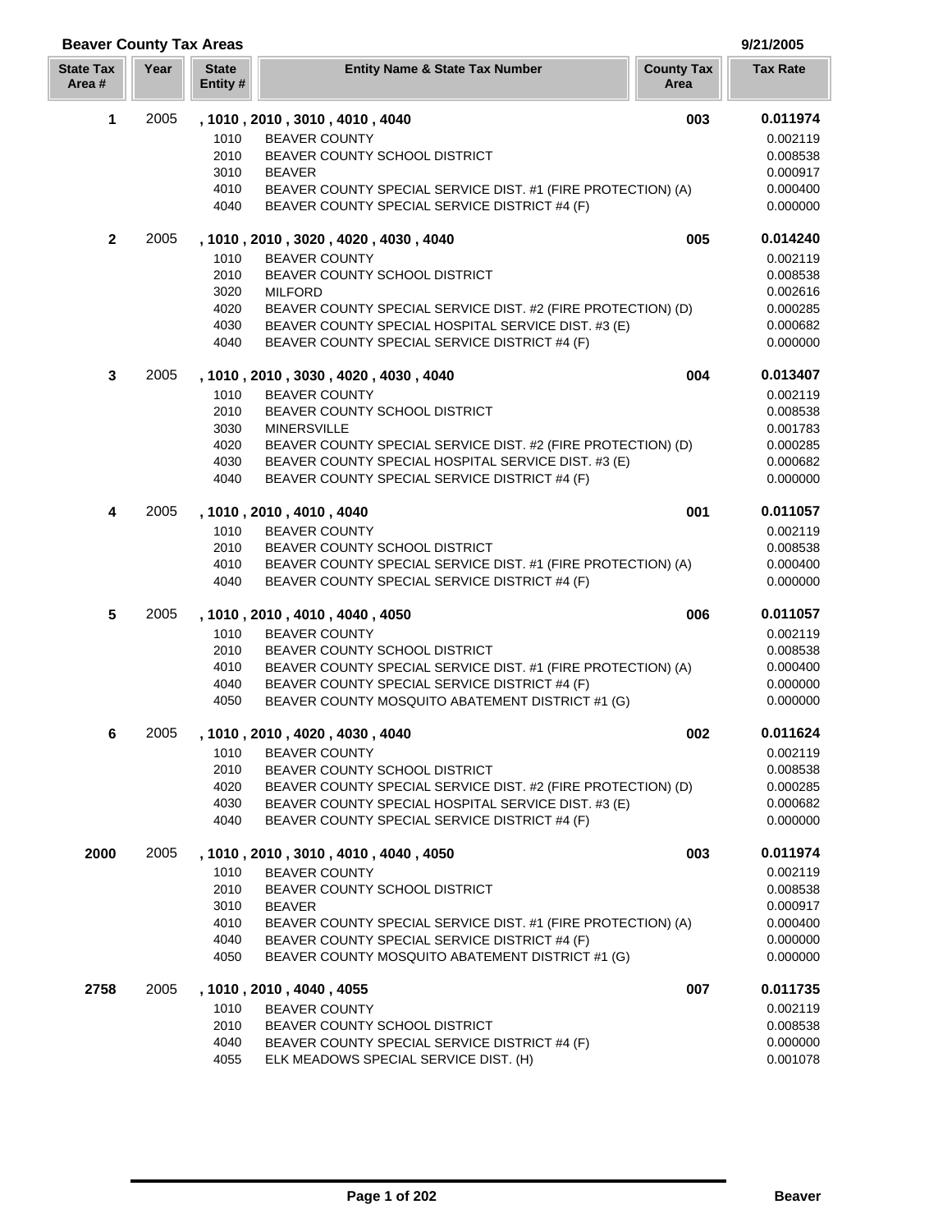| <b>Beaver County Tax Areas</b> |      |                          |                                                                                                                     |                           | 9/21/2005            |
|--------------------------------|------|--------------------------|---------------------------------------------------------------------------------------------------------------------|---------------------------|----------------------|
| <b>State Tax</b><br>Area#      | Year | <b>State</b><br>Entity # | <b>Entity Name &amp; State Tax Number</b>                                                                           | <b>County Tax</b><br>Area | <b>Tax Rate</b>      |
| 1                              | 2005 |                          | , 1010, 2010, 3010, 4010, 4040                                                                                      | 003                       | 0.011974             |
|                                |      | 1010                     | <b>BEAVER COUNTY</b>                                                                                                |                           | 0.002119             |
|                                |      | 2010                     | BEAVER COUNTY SCHOOL DISTRICT                                                                                       |                           | 0.008538             |
|                                |      | 3010                     | <b>BEAVER</b>                                                                                                       |                           | 0.000917             |
|                                |      | 4010                     | BEAVER COUNTY SPECIAL SERVICE DIST. #1 (FIRE PROTECTION) (A)                                                        |                           | 0.000400             |
|                                |      | 4040                     | BEAVER COUNTY SPECIAL SERVICE DISTRICT #4 (F)                                                                       |                           | 0.000000             |
| $\mathbf{2}$                   | 2005 |                          | , 1010, 2010, 3020, 4020, 4030, 4040                                                                                | 005                       | 0.014240             |
|                                |      | 1010                     | <b>BEAVER COUNTY</b>                                                                                                |                           | 0.002119             |
|                                |      | 2010                     | BEAVER COUNTY SCHOOL DISTRICT                                                                                       |                           | 0.008538             |
|                                |      | 3020                     | <b>MILFORD</b>                                                                                                      |                           | 0.002616             |
|                                |      | 4020                     | BEAVER COUNTY SPECIAL SERVICE DIST. #2 (FIRE PROTECTION) (D)                                                        |                           | 0.000285             |
|                                |      | 4030<br>4040             | BEAVER COUNTY SPECIAL HOSPITAL SERVICE DIST. #3 (E)<br>BEAVER COUNTY SPECIAL SERVICE DISTRICT #4 (F)                |                           | 0.000682<br>0.000000 |
| 3                              | 2005 |                          |                                                                                                                     | 004                       | 0.013407             |
|                                |      |                          | , 1010, 2010, 3030, 4020, 4030, 4040                                                                                |                           |                      |
|                                |      | 1010<br>2010             | <b>BEAVER COUNTY</b><br>BEAVER COUNTY SCHOOL DISTRICT                                                               |                           | 0.002119<br>0.008538 |
|                                |      | 3030                     | <b>MINERSVILLE</b>                                                                                                  |                           | 0.001783             |
|                                |      | 4020                     | BEAVER COUNTY SPECIAL SERVICE DIST. #2 (FIRE PROTECTION) (D)                                                        |                           | 0.000285             |
|                                |      | 4030                     | BEAVER COUNTY SPECIAL HOSPITAL SERVICE DIST. #3 (E)                                                                 |                           | 0.000682             |
|                                |      | 4040                     | BEAVER COUNTY SPECIAL SERVICE DISTRICT #4 (F)                                                                       |                           | 0.000000             |
| 4                              | 2005 |                          | , 1010, 2010, 4010, 4040                                                                                            | 001                       | 0.011057             |
|                                |      | 1010                     | <b>BEAVER COUNTY</b>                                                                                                |                           | 0.002119             |
|                                |      | 2010                     | BEAVER COUNTY SCHOOL DISTRICT                                                                                       |                           | 0.008538             |
|                                |      | 4010                     | BEAVER COUNTY SPECIAL SERVICE DIST. #1 (FIRE PROTECTION) (A)                                                        |                           | 0.000400             |
|                                |      | 4040                     | BEAVER COUNTY SPECIAL SERVICE DISTRICT #4 (F)                                                                       |                           | 0.000000             |
| 5                              | 2005 |                          | , 1010, 2010, 4010, 4040, 4050                                                                                      | 006                       | 0.011057             |
|                                |      | 1010                     | <b>BEAVER COUNTY</b>                                                                                                |                           | 0.002119             |
|                                |      | 2010                     | BEAVER COUNTY SCHOOL DISTRICT                                                                                       |                           | 0.008538             |
|                                |      | 4010                     | BEAVER COUNTY SPECIAL SERVICE DIST. #1 (FIRE PROTECTION) (A)                                                        |                           | 0.000400             |
|                                |      | 4040                     | BEAVER COUNTY SPECIAL SERVICE DISTRICT #4 (F)                                                                       |                           | 0.000000             |
|                                |      | 4050                     | BEAVER COUNTY MOSQUITO ABATEMENT DISTRICT #1 (G)                                                                    |                           | 0.000000             |
| 6                              | 2005 |                          | , 1010, 2010, 4020, 4030, 4040                                                                                      | 002                       | 0.011624             |
|                                |      | 1010                     | <b>BEAVER COUNTY</b>                                                                                                |                           | 0.002119             |
|                                |      | 2010<br>4020             | BEAVER COUNTY SCHOOL DISTRICT                                                                                       |                           | 0.008538<br>0.000285 |
|                                |      | 4030                     | BEAVER COUNTY SPECIAL SERVICE DIST. #2 (FIRE PROTECTION) (D)<br>BEAVER COUNTY SPECIAL HOSPITAL SERVICE DIST. #3 (E) |                           | 0.000682             |
|                                |      | 4040                     | BEAVER COUNTY SPECIAL SERVICE DISTRICT #4 (F)                                                                       |                           | 0.000000             |
| 2000                           | 2005 |                          | , 1010, 2010, 3010, 4010, 4040, 4050                                                                                | 003                       | 0.011974             |
|                                |      | 1010                     | <b>BEAVER COUNTY</b>                                                                                                |                           | 0.002119             |
|                                |      | 2010                     | BEAVER COUNTY SCHOOL DISTRICT                                                                                       |                           | 0.008538             |
|                                |      | 3010                     | <b>BEAVER</b>                                                                                                       |                           | 0.000917             |
|                                |      | 4010                     | BEAVER COUNTY SPECIAL SERVICE DIST. #1 (FIRE PROTECTION) (A)                                                        |                           | 0.000400             |
|                                |      | 4040                     | BEAVER COUNTY SPECIAL SERVICE DISTRICT #4 (F)                                                                       |                           | 0.000000             |
|                                |      | 4050                     | BEAVER COUNTY MOSQUITO ABATEMENT DISTRICT #1 (G)                                                                    |                           | 0.000000             |
| 2758                           | 2005 |                          | , 1010, 2010, 4040, 4055                                                                                            | 007                       | 0.011735             |
|                                |      | 1010                     | <b>BEAVER COUNTY</b>                                                                                                |                           | 0.002119             |
|                                |      | 2010                     | BEAVER COUNTY SCHOOL DISTRICT                                                                                       |                           | 0.008538             |
|                                |      | 4040                     | BEAVER COUNTY SPECIAL SERVICE DISTRICT #4 (F)                                                                       |                           | 0.000000             |
|                                |      | 4055                     | ELK MEADOWS SPECIAL SERVICE DIST. (H)                                                                               |                           | 0.001078             |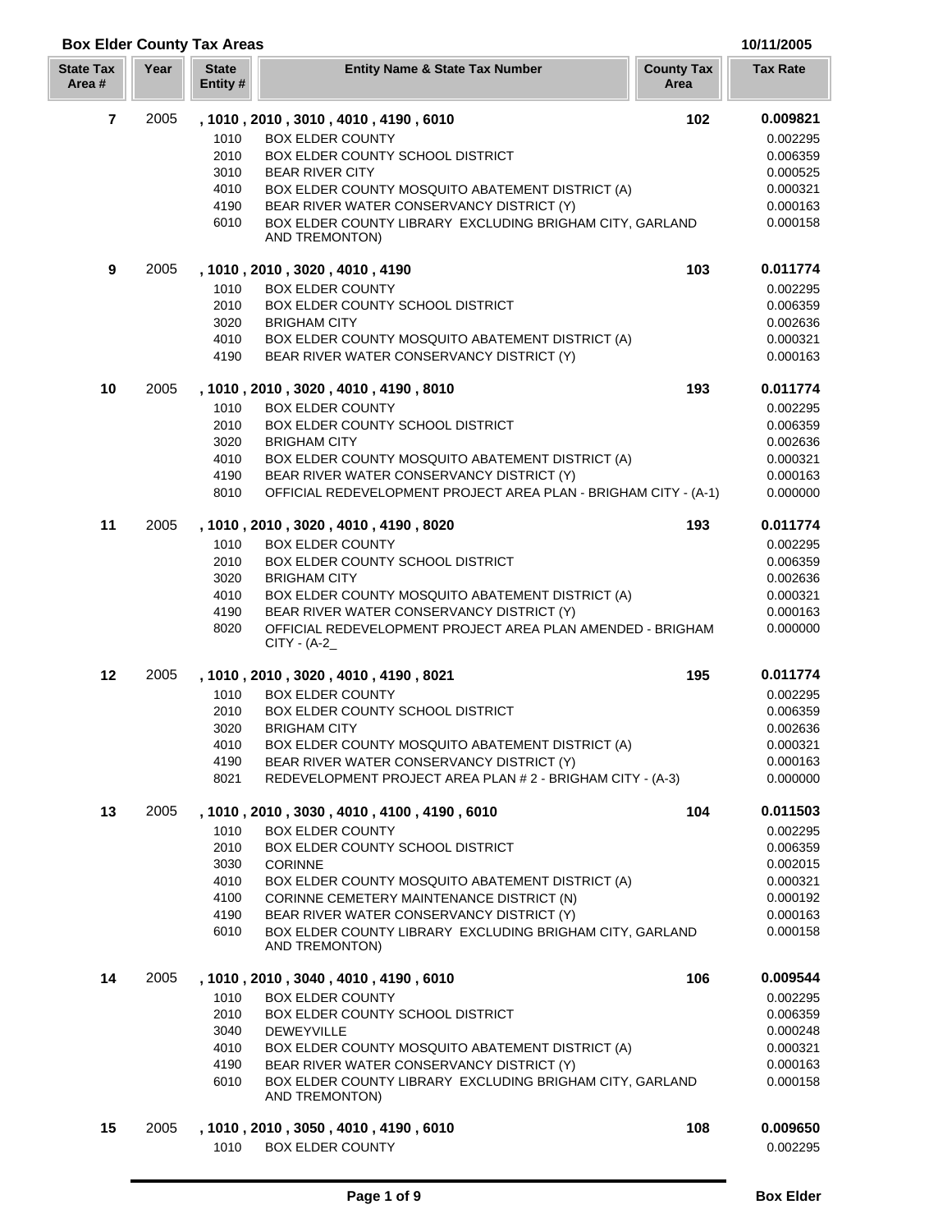## **Box Elder County Tax Areas 10/11/2005**

| <b>State Tax</b><br>Area# | Year | <b>State</b><br>Entity # | <b>Entity Name &amp; State Tax Number</b>                                                     | <b>County Tax</b><br>Area | <b>Tax Rate</b>      |
|---------------------------|------|--------------------------|-----------------------------------------------------------------------------------------------|---------------------------|----------------------|
| $\overline{7}$            | 2005 |                          | , 1010, 2010, 3010, 4010, 4190, 6010                                                          | 102                       | 0.009821             |
|                           |      | 1010                     | <b>BOX ELDER COUNTY</b>                                                                       |                           | 0.002295             |
|                           |      | 2010                     | BOX ELDER COUNTY SCHOOL DISTRICT                                                              |                           | 0.006359             |
|                           |      | 3010                     | <b>BEAR RIVER CITY</b>                                                                        |                           | 0.000525             |
|                           |      | 4010                     | BOX ELDER COUNTY MOSQUITO ABATEMENT DISTRICT (A)                                              |                           | 0.000321             |
|                           |      | 4190                     | BEAR RIVER WATER CONSERVANCY DISTRICT (Y)                                                     |                           | 0.000163             |
|                           |      | 6010                     | BOX ELDER COUNTY LIBRARY EXCLUDING BRIGHAM CITY, GARLAND<br>AND TREMONTON)                    |                           | 0.000158             |
| 9                         | 2005 |                          | , 1010 , 2010 , 3020 , 4010 , 4190                                                            | 103                       | 0.011774             |
|                           |      | 1010                     | <b>BOX ELDER COUNTY</b>                                                                       |                           | 0.002295             |
|                           |      | 2010                     | BOX ELDER COUNTY SCHOOL DISTRICT                                                              |                           | 0.006359             |
|                           |      | 3020                     | <b>BRIGHAM CITY</b>                                                                           |                           | 0.002636             |
|                           |      | 4010                     | BOX ELDER COUNTY MOSQUITO ABATEMENT DISTRICT (A)                                              |                           | 0.000321             |
|                           |      | 4190                     | BEAR RIVER WATER CONSERVANCY DISTRICT (Y)                                                     |                           | 0.000163             |
| 10                        | 2005 |                          | , 1010, 2010, 3020, 4010, 4190, 8010                                                          | 193                       | 0.011774             |
|                           |      | 1010                     | <b>BOX ELDER COUNTY</b>                                                                       |                           | 0.002295             |
|                           |      | 2010                     | BOX ELDER COUNTY SCHOOL DISTRICT                                                              |                           | 0.006359             |
|                           |      | 3020                     | <b>BRIGHAM CITY</b>                                                                           |                           | 0.002636             |
|                           |      | 4010                     | BOX ELDER COUNTY MOSQUITO ABATEMENT DISTRICT (A)<br>BEAR RIVER WATER CONSERVANCY DISTRICT (Y) |                           | 0.000321             |
|                           |      | 4190<br>8010             | OFFICIAL REDEVELOPMENT PROJECT AREA PLAN - BRIGHAM CITY - (A-1)                               |                           | 0.000163<br>0.000000 |
| 11                        | 2005 |                          | , 1010, 2010, 3020, 4010, 4190, 8020                                                          | 193                       | 0.011774             |
|                           |      | 1010                     | <b>BOX ELDER COUNTY</b>                                                                       |                           | 0.002295             |
|                           |      | 2010                     | BOX ELDER COUNTY SCHOOL DISTRICT                                                              |                           | 0.006359             |
|                           |      | 3020                     | <b>BRIGHAM CITY</b>                                                                           |                           | 0.002636             |
|                           |      | 4010                     | BOX ELDER COUNTY MOSQUITO ABATEMENT DISTRICT (A)                                              |                           | 0.000321             |
|                           |      | 4190                     | BEAR RIVER WATER CONSERVANCY DISTRICT (Y)                                                     |                           | 0.000163             |
|                           |      | 8020                     | OFFICIAL REDEVELOPMENT PROJECT AREA PLAN AMENDED - BRIGHAM<br>$CITY - (A-2)$                  |                           | 0.000000             |
| 12                        | 2005 |                          | , 1010, 2010, 3020, 4010, 4190, 8021                                                          | 195                       | 0.011774             |
|                           |      | 1010                     | <b>BOX ELDER COUNTY</b>                                                                       |                           | 0.002295             |
|                           |      | 2010                     | BOX ELDER COUNTY SCHOOL DISTRICT                                                              |                           | 0.006359             |
|                           |      | 3020                     | <b>BRIGHAM CITY</b>                                                                           |                           | 0.002636             |
|                           |      | 4010                     | BOX ELDER COUNTY MOSQUITO ABATEMENT DISTRICT (A)                                              |                           | 0.000321             |
|                           |      | 4190                     | BEAR RIVER WATER CONSERVANCY DISTRICT (Y)                                                     |                           | 0.000163             |
|                           |      | 8021                     | REDEVELOPMENT PROJECT AREA PLAN # 2 - BRIGHAM CITY - (A-3)                                    |                           | 0.000000             |
| 13                        | 2005 | 1010                     | , 1010, 2010, 3030, 4010, 4100, 4190, 6010<br><b>BOX ELDER COUNTY</b>                         | 104                       | 0.011503<br>0.002295 |
|                           |      | 2010                     | BOX ELDER COUNTY SCHOOL DISTRICT                                                              |                           | 0.006359             |
|                           |      | 3030                     | <b>CORINNE</b>                                                                                |                           | 0.002015             |
|                           |      | 4010                     | BOX ELDER COUNTY MOSQUITO ABATEMENT DISTRICT (A)                                              |                           | 0.000321             |
|                           |      | 4100                     | CORINNE CEMETERY MAINTENANCE DISTRICT (N)                                                     |                           | 0.000192             |
|                           |      | 4190                     | BEAR RIVER WATER CONSERVANCY DISTRICT (Y)                                                     |                           | 0.000163             |
|                           |      | 6010                     | BOX ELDER COUNTY LIBRARY EXCLUDING BRIGHAM CITY, GARLAND<br>AND TREMONTON)                    |                           | 0.000158             |
| 14                        | 2005 |                          | , 1010, 2010, 3040, 4010, 4190, 6010                                                          | 106                       | 0.009544             |
|                           |      | 1010                     | <b>BOX ELDER COUNTY</b>                                                                       |                           | 0.002295             |
|                           |      | 2010                     | <b>BOX ELDER COUNTY SCHOOL DISTRICT</b>                                                       |                           | 0.006359             |
|                           |      | 3040                     | <b>DEWEYVILLE</b>                                                                             |                           | 0.000248             |
|                           |      | 4010                     | BOX ELDER COUNTY MOSQUITO ABATEMENT DISTRICT (A)                                              |                           | 0.000321             |
|                           |      | 4190                     | BEAR RIVER WATER CONSERVANCY DISTRICT (Y)                                                     |                           | 0.000163             |
|                           |      | 6010                     | BOX ELDER COUNTY LIBRARY EXCLUDING BRIGHAM CITY, GARLAND<br>AND TREMONTON)                    |                           | 0.000158             |
| 15                        | 2005 |                          | , 1010, 2010, 3050, 4010, 4190, 6010                                                          | 108                       | 0.009650             |
|                           |      | 1010                     | <b>BOX ELDER COUNTY</b>                                                                       |                           | 0.002295             |
|                           |      |                          |                                                                                               |                           |                      |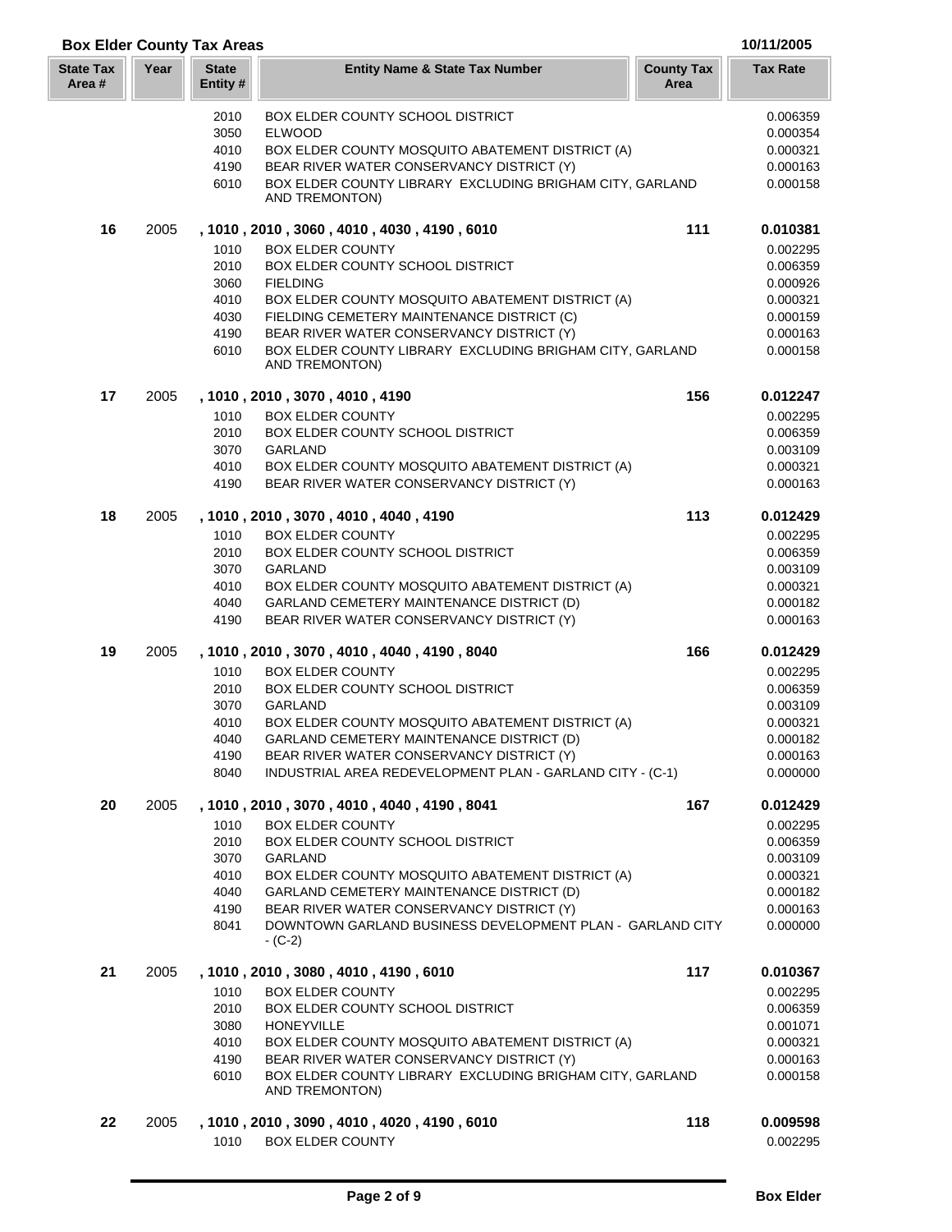|    |      | 2010 | <b>BOX ELDER COUNTY SCHOOL DISTRICT</b>                                    |     | 0.006359 |
|----|------|------|----------------------------------------------------------------------------|-----|----------|
|    |      | 3050 | <b>ELWOOD</b>                                                              |     | 0.000354 |
|    |      | 4010 | BOX ELDER COUNTY MOSQUITO ABATEMENT DISTRICT (A)                           |     | 0.000321 |
|    |      | 4190 | BEAR RIVER WATER CONSERVANCY DISTRICT (Y)                                  |     | 0.000163 |
|    |      | 6010 | BOX ELDER COUNTY LIBRARY EXCLUDING BRIGHAM CITY, GARLAND                   |     | 0.000158 |
|    |      |      | AND TREMONTON)                                                             |     |          |
| 16 | 2005 |      | , 1010, 2010, 3060, 4010, 4030, 4190, 6010                                 | 111 | 0.010381 |
|    |      | 1010 | <b>BOX ELDER COUNTY</b>                                                    |     | 0.002295 |
|    |      | 2010 | BOX ELDER COUNTY SCHOOL DISTRICT                                           |     | 0.006359 |
|    |      | 3060 | <b>FIELDING</b>                                                            |     | 0.000926 |
|    |      | 4010 | BOX ELDER COUNTY MOSQUITO ABATEMENT DISTRICT (A)                           |     | 0.000321 |
|    |      | 4030 | FIELDING CEMETERY MAINTENANCE DISTRICT (C)                                 |     | 0.000159 |
|    |      | 4190 | BEAR RIVER WATER CONSERVANCY DISTRICT (Y)                                  |     | 0.000163 |
|    |      | 6010 | BOX ELDER COUNTY LIBRARY EXCLUDING BRIGHAM CITY, GARLAND<br>AND TREMONTON) |     | 0.000158 |
| 17 | 2005 |      | , 1010, 2010, 3070, 4010, 4190                                             | 156 | 0.012247 |
|    |      | 1010 | <b>BOX ELDER COUNTY</b>                                                    |     | 0.002295 |
|    |      | 2010 | BOX ELDER COUNTY SCHOOL DISTRICT                                           |     | 0.006359 |
|    |      | 3070 | <b>GARLAND</b>                                                             |     | 0.003109 |
|    |      | 4010 | BOX ELDER COUNTY MOSQUITO ABATEMENT DISTRICT (A)                           |     | 0.000321 |
|    |      | 4190 | BEAR RIVER WATER CONSERVANCY DISTRICT (Y)                                  |     | 0.000163 |
| 18 | 2005 |      | , 1010, 2010, 3070, 4010, 4040, 4190                                       | 113 | 0.012429 |
|    |      | 1010 | <b>BOX ELDER COUNTY</b>                                                    |     | 0.002295 |
|    |      | 2010 | BOX ELDER COUNTY SCHOOL DISTRICT                                           |     | 0.006359 |
|    |      | 3070 | <b>GARLAND</b>                                                             |     | 0.003109 |
|    |      | 4010 | BOX ELDER COUNTY MOSQUITO ABATEMENT DISTRICT (A)                           |     | 0.000321 |
|    |      | 4040 | GARLAND CEMETERY MAINTENANCE DISTRICT (D)                                  |     | 0.000182 |
|    |      | 4190 | BEAR RIVER WATER CONSERVANCY DISTRICT (Y)                                  |     | 0.000163 |
| 19 | 2005 |      | , 1010, 2010, 3070, 4010, 4040, 4190, 8040                                 | 166 | 0.012429 |
|    |      | 1010 | <b>BOX ELDER COUNTY</b>                                                    |     | 0.002295 |
|    |      | 2010 | BOX ELDER COUNTY SCHOOL DISTRICT                                           |     | 0.006359 |
|    |      | 3070 | GARLAND                                                                    |     | 0.003109 |
|    |      | 4010 | BOX ELDER COUNTY MOSQUITO ABATEMENT DISTRICT (A)                           |     | 0.000321 |
|    |      | 4040 | GARLAND CEMETERY MAINTENANCE DISTRICT (D)                                  |     | 0.000182 |
|    |      | 4190 | BEAR RIVER WATER CONSERVANCY DISTRICT (Y)                                  |     | 0.000163 |
|    |      | 8040 | INDUSTRIAL AREA REDEVELOPMENT PLAN - GARLAND CITY - (C-1)                  |     | 0.000000 |
| 20 | 2005 |      | , 1010 , 2010 , 3070 , 4010 , 4040 , 4190 , 8041                           | 167 | 0.012429 |
|    |      | 1010 | <b>BOX ELDER COUNTY</b>                                                    |     | 0.002295 |
|    |      | 2010 | BOX ELDER COUNTY SCHOOL DISTRICT                                           |     | 0.006359 |
|    |      | 3070 | GARLAND                                                                    |     | 0.003109 |
|    |      | 4010 | BOX ELDER COUNTY MOSQUITO ABATEMENT DISTRICT (A)                           |     | 0.000321 |
|    |      | 4040 | GARLAND CEMETERY MAINTENANCE DISTRICT (D)                                  |     | 0.000182 |
|    |      | 4190 | BEAR RIVER WATER CONSERVANCY DISTRICT (Y)                                  |     | 0.000163 |
|    |      | 8041 | DOWNTOWN GARLAND BUSINESS DEVELOPMENT PLAN - GARLAND CITY<br>- (C-2)       |     | 0.000000 |
| 21 | 2005 |      | , 1010, 2010, 3080, 4010, 4190, 6010                                       | 117 | 0.010367 |
|    |      | 1010 | <b>BOX ELDER COUNTY</b>                                                    |     | 0.002295 |
|    |      | 2010 | BOX ELDER COUNTY SCHOOL DISTRICT                                           |     | 0.006359 |
|    |      | 3080 | <b>HONEYVILLE</b>                                                          |     | 0.001071 |
|    |      | 4010 | BOX ELDER COUNTY MOSQUITO ABATEMENT DISTRICT (A)                           |     | 0.000321 |
|    |      | 4190 | BEAR RIVER WATER CONSERVANCY DISTRICT (Y)                                  |     | 0.000163 |
|    |      | 6010 | BOX ELDER COUNTY LIBRARY EXCLUDING BRIGHAM CITY, GARLAND                   |     | 0.000158 |
|    |      |      | AND TREMONTON)                                                             |     |          |
| 22 | 2005 |      | , 1010, 2010, 3090, 4010, 4020, 4190, 6010                                 | 118 | 0.009598 |
|    |      | 1010 | <b>BOX ELDER COUNTY</b>                                                    |     | 0.002295 |

**Year Entity Name & State Tax Number County Tax Tax Rate**

**Box Elder County Tax Areas 10/11/2005**

**State Tax Area #**

**State Entity #**

**Area**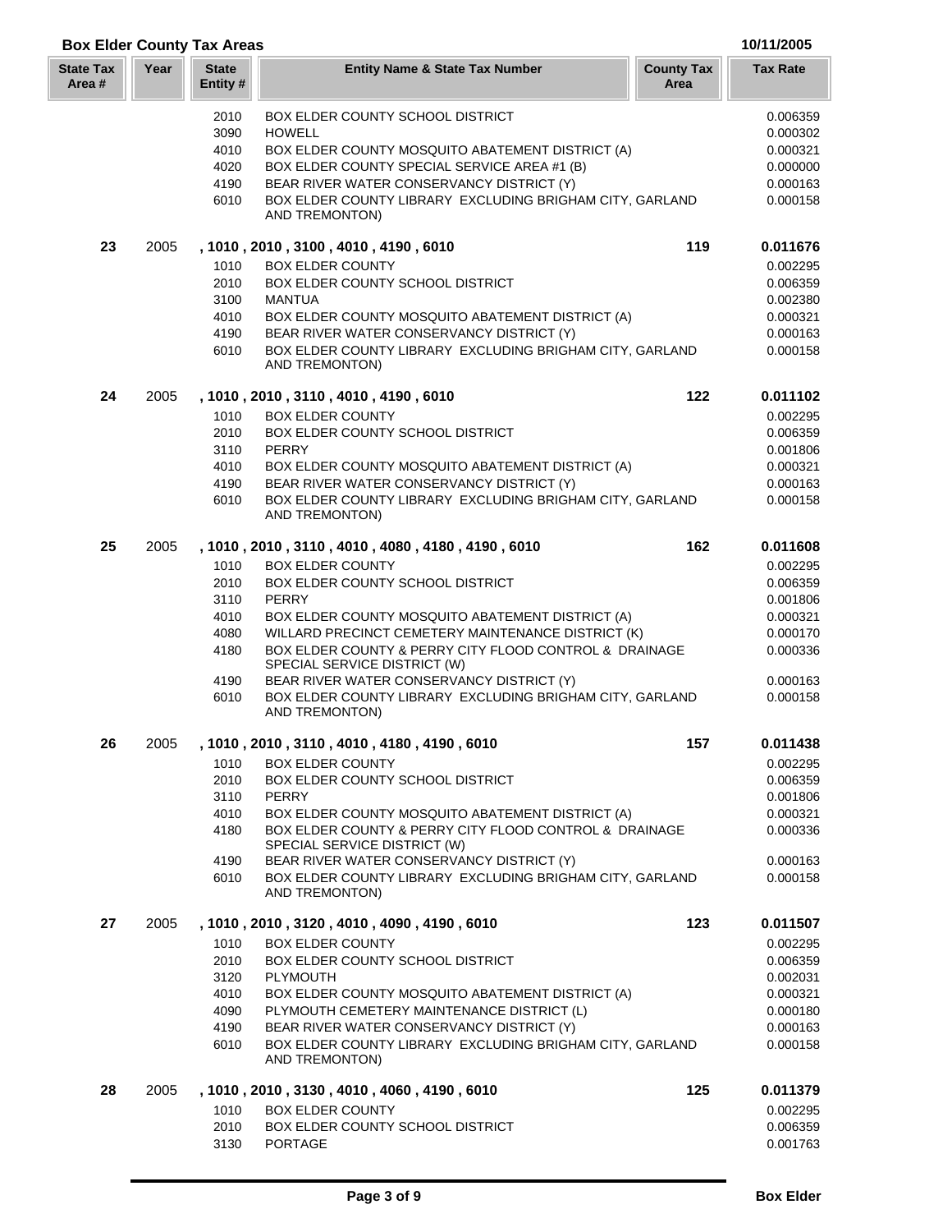## **Box Elder County Tax Areas 10/11/2005**

| <b>State Tax</b><br>Area # | Year | <b>State</b><br>Entity# | <b>Entity Name &amp; State Tax Number</b>                                                                                                  | <b>County Tax</b><br>Area | <b>Tax Rate</b>      |
|----------------------------|------|-------------------------|--------------------------------------------------------------------------------------------------------------------------------------------|---------------------------|----------------------|
|                            |      | 2010                    | <b>BOX ELDER COUNTY SCHOOL DISTRICT</b>                                                                                                    |                           | 0.006359             |
|                            |      | 3090<br>4010            | <b>HOWELL</b><br>BOX ELDER COUNTY MOSQUITO ABATEMENT DISTRICT (A)                                                                          |                           | 0.000302<br>0.000321 |
|                            |      | 4020                    | BOX ELDER COUNTY SPECIAL SERVICE AREA #1 (B)                                                                                               |                           | 0.000000             |
|                            |      | 4190                    | BEAR RIVER WATER CONSERVANCY DISTRICT (Y)                                                                                                  |                           | 0.000163             |
|                            |      | 6010                    | BOX ELDER COUNTY LIBRARY EXCLUDING BRIGHAM CITY, GARLAND<br>AND TREMONTON)                                                                 |                           | 0.000158             |
| 23                         | 2005 |                         | , 1010, 2010, 3100, 4010, 4190, 6010                                                                                                       | 119                       | 0.011676             |
|                            |      | 1010                    | <b>BOX ELDER COUNTY</b>                                                                                                                    |                           | 0.002295             |
|                            |      | 2010                    | BOX ELDER COUNTY SCHOOL DISTRICT                                                                                                           |                           | 0.006359             |
|                            |      | 3100<br>4010            | <b>MANTUA</b><br>BOX ELDER COUNTY MOSQUITO ABATEMENT DISTRICT (A)                                                                          |                           | 0.002380<br>0.000321 |
|                            |      | 4190                    | BEAR RIVER WATER CONSERVANCY DISTRICT (Y)                                                                                                  |                           | 0.000163             |
|                            |      | 6010                    | BOX ELDER COUNTY LIBRARY EXCLUDING BRIGHAM CITY, GARLAND<br>AND TREMONTON)                                                                 |                           | 0.000158             |
| 24                         | 2005 |                         | , 1010, 2010, 3110, 4010, 4190, 6010                                                                                                       | 122                       | 0.011102             |
|                            |      | 1010                    | <b>BOX ELDER COUNTY</b>                                                                                                                    |                           | 0.002295             |
|                            |      | 2010                    | BOX ELDER COUNTY SCHOOL DISTRICT                                                                                                           |                           | 0.006359             |
|                            |      | 3110                    | <b>PERRY</b>                                                                                                                               |                           | 0.001806             |
|                            |      | 4010<br>4190            | BOX ELDER COUNTY MOSQUITO ABATEMENT DISTRICT (A)<br>BEAR RIVER WATER CONSERVANCY DISTRICT (Y)                                              |                           | 0.000321             |
|                            |      | 6010                    | BOX ELDER COUNTY LIBRARY EXCLUDING BRIGHAM CITY, GARLAND                                                                                   |                           | 0.000163<br>0.000158 |
|                            |      |                         | AND TREMONTON)                                                                                                                             |                           |                      |
| 25                         | 2005 |                         | , 1010, 2010, 3110, 4010, 4080, 4180, 4190, 6010                                                                                           | 162                       | 0.011608             |
|                            |      | 1010                    | <b>BOX ELDER COUNTY</b>                                                                                                                    |                           | 0.002295             |
|                            |      | 2010                    | BOX ELDER COUNTY SCHOOL DISTRICT                                                                                                           |                           | 0.006359             |
|                            |      | 3110                    | <b>PERRY</b>                                                                                                                               |                           | 0.001806             |
|                            |      | 4010<br>4080            | BOX ELDER COUNTY MOSQUITO ABATEMENT DISTRICT (A)<br>WILLARD PRECINCT CEMETERY MAINTENANCE DISTRICT (K)                                     |                           | 0.000321<br>0.000170 |
|                            |      | 4180                    | BOX ELDER COUNTY & PERRY CITY FLOOD CONTROL & DRAINAGE<br>SPECIAL SERVICE DISTRICT (W)                                                     |                           | 0.000336             |
|                            |      | 4190                    | BEAR RIVER WATER CONSERVANCY DISTRICT (Y)                                                                                                  |                           | 0.000163             |
|                            |      | 6010                    | BOX ELDER COUNTY LIBRARY EXCLUDING BRIGHAM CITY, GARLAND<br>AND TREMONTON)                                                                 |                           | 0.000158             |
| 26                         | 2005 |                         | , 1010, 2010, 3110, 4010, 4180, 4190, 6010                                                                                                 | 157                       | 0.011438             |
|                            |      | 1010                    | <b>BOX ELDER COUNTY</b>                                                                                                                    |                           | 0.002295             |
|                            |      | 2010                    | <b>BOX ELDER COUNTY SCHOOL DISTRICT</b>                                                                                                    |                           | 0.006359             |
|                            |      | 3110                    | <b>PERRY</b>                                                                                                                               |                           | 0.001806             |
|                            |      | 4010<br>4180            | BOX ELDER COUNTY MOSQUITO ABATEMENT DISTRICT (A)<br>BOX ELDER COUNTY & PERRY CITY FLOOD CONTROL & DRAINAGE<br>SPECIAL SERVICE DISTRICT (W) |                           | 0.000321<br>0.000336 |
|                            |      | 4190                    | BEAR RIVER WATER CONSERVANCY DISTRICT (Y)                                                                                                  |                           | 0.000163             |
|                            |      | 6010                    | BOX ELDER COUNTY LIBRARY EXCLUDING BRIGHAM CITY, GARLAND<br>AND TREMONTON)                                                                 |                           | 0.000158             |
| 27                         | 2005 |                         | , 1010 , 2010 , 3120 , 4010 , 4090 , 4190 , 6010                                                                                           | 123                       | 0.011507             |
|                            |      | 1010                    | <b>BOX ELDER COUNTY</b>                                                                                                                    |                           | 0.002295             |
|                            |      | 2010                    | <b>BOX ELDER COUNTY SCHOOL DISTRICT</b>                                                                                                    |                           | 0.006359             |
|                            |      | 3120                    | <b>PLYMOUTH</b>                                                                                                                            |                           | 0.002031             |
|                            |      | 4010<br>4090            | BOX ELDER COUNTY MOSQUITO ABATEMENT DISTRICT (A)<br>PLYMOUTH CEMETERY MAINTENANCE DISTRICT (L)                                             |                           | 0.000321<br>0.000180 |
|                            |      | 4190                    | BEAR RIVER WATER CONSERVANCY DISTRICT (Y)                                                                                                  |                           | 0.000163             |
|                            |      | 6010                    | BOX ELDER COUNTY LIBRARY EXCLUDING BRIGHAM CITY, GARLAND<br>AND TREMONTON)                                                                 |                           | 0.000158             |
| 28                         | 2005 |                         | , 1010, 2010, 3130, 4010, 4060, 4190, 6010                                                                                                 | 125                       | 0.011379             |
|                            |      | 1010                    | <b>BOX ELDER COUNTY</b>                                                                                                                    |                           | 0.002295             |
|                            |      | 2010                    | BOX ELDER COUNTY SCHOOL DISTRICT                                                                                                           |                           | 0.006359             |
|                            |      | 3130                    | <b>PORTAGE</b>                                                                                                                             |                           | 0.001763             |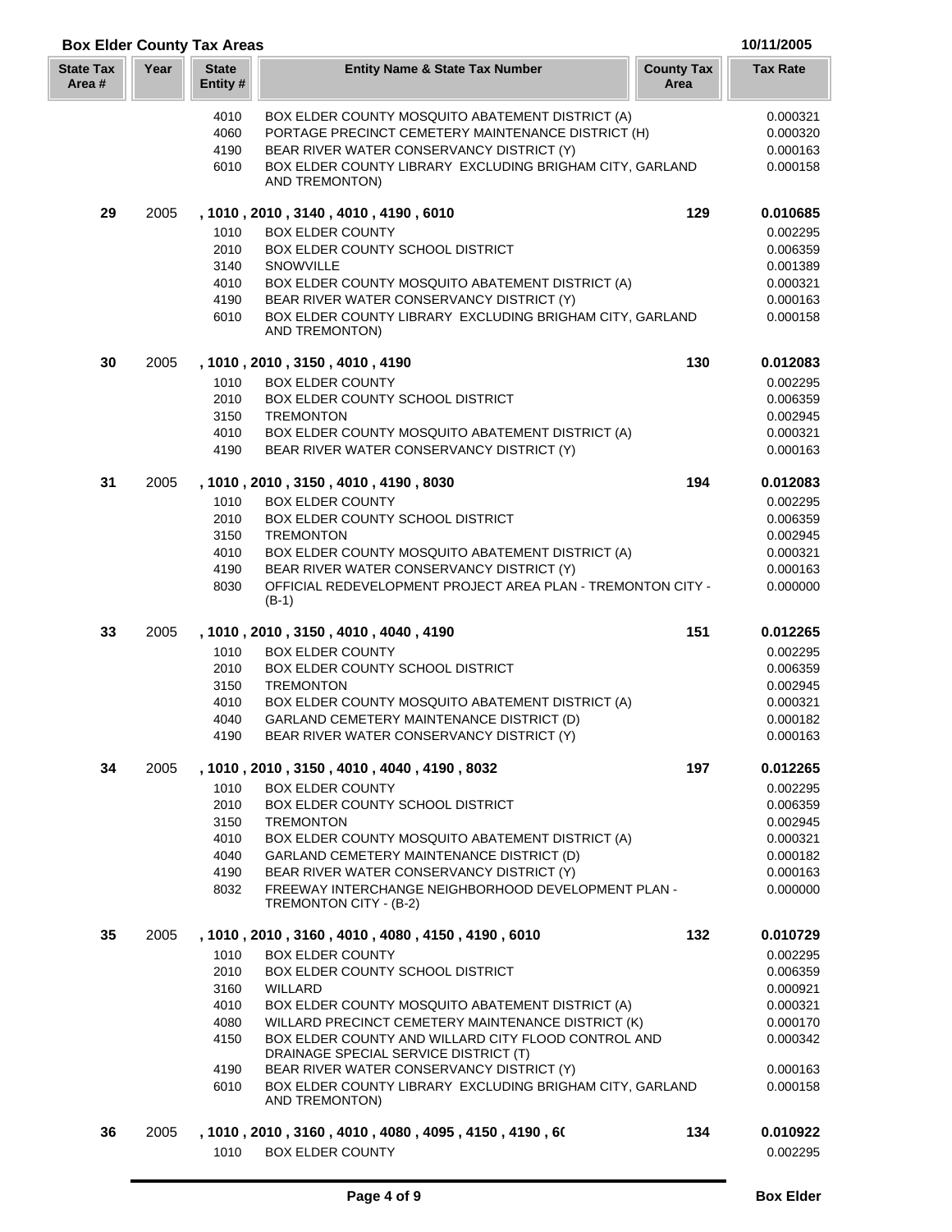| <b>Box Elder County Tax Areas</b> |      |                          |                                                                                                          |                           | 10/11/2005           |
|-----------------------------------|------|--------------------------|----------------------------------------------------------------------------------------------------------|---------------------------|----------------------|
| <b>State Tax</b><br>Area #        | Year | <b>State</b><br>Entity # | <b>Entity Name &amp; State Tax Number</b>                                                                | <b>County Tax</b><br>Area | <b>Tax Rate</b>      |
|                                   |      | 4010                     | BOX ELDER COUNTY MOSQUITO ABATEMENT DISTRICT (A)                                                         |                           | 0.000321             |
|                                   |      | 4060                     | PORTAGE PRECINCT CEMETERY MAINTENANCE DISTRICT (H)                                                       |                           | 0.000320             |
|                                   |      | 4190                     | BEAR RIVER WATER CONSERVANCY DISTRICT (Y)                                                                |                           | 0.000163             |
|                                   |      | 6010                     | BOX ELDER COUNTY LIBRARY EXCLUDING BRIGHAM CITY, GARLAND                                                 |                           | 0.000158             |
|                                   |      |                          | AND TREMONTON)                                                                                           |                           |                      |
| 29                                | 2005 |                          | , 1010, 2010, 3140, 4010, 4190, 6010                                                                     | 129                       | 0.010685             |
|                                   |      | 1010                     | <b>BOX ELDER COUNTY</b>                                                                                  |                           | 0.002295             |
|                                   |      | 2010                     | BOX ELDER COUNTY SCHOOL DISTRICT                                                                         |                           | 0.006359             |
|                                   |      | 3140                     | SNOWVILLE                                                                                                |                           | 0.001389             |
|                                   |      | 4010<br>4190             | BOX ELDER COUNTY MOSQUITO ABATEMENT DISTRICT (A)<br>BEAR RIVER WATER CONSERVANCY DISTRICT (Y)            |                           | 0.000321<br>0.000163 |
|                                   |      | 6010                     | BOX ELDER COUNTY LIBRARY EXCLUDING BRIGHAM CITY, GARLAND<br>AND TREMONTON)                               |                           | 0.000158             |
| 30                                | 2005 |                          | , 1010, 2010, 3150, 4010, 4190                                                                           | 130                       | 0.012083             |
|                                   |      | 1010                     | <b>BOX ELDER COUNTY</b>                                                                                  |                           | 0.002295             |
|                                   |      | 2010                     | BOX ELDER COUNTY SCHOOL DISTRICT                                                                         |                           | 0.006359             |
|                                   |      | 3150                     | <b>TREMONTON</b>                                                                                         |                           | 0.002945             |
|                                   |      | 4010                     | BOX ELDER COUNTY MOSQUITO ABATEMENT DISTRICT (A)                                                         |                           | 0.000321             |
|                                   |      | 4190                     | BEAR RIVER WATER CONSERVANCY DISTRICT (Y)                                                                |                           | 0.000163             |
| 31                                | 2005 |                          | , 1010, 2010, 3150, 4010, 4190, 8030                                                                     | 194                       | 0.012083             |
|                                   |      | 1010                     | <b>BOX ELDER COUNTY</b>                                                                                  |                           | 0.002295             |
|                                   |      | 2010                     | BOX ELDER COUNTY SCHOOL DISTRICT                                                                         |                           | 0.006359             |
|                                   |      | 3150                     | <b>TREMONTON</b>                                                                                         |                           | 0.002945             |
|                                   |      | 4010                     | BOX ELDER COUNTY MOSQUITO ABATEMENT DISTRICT (A)                                                         |                           | 0.000321             |
|                                   |      | 4190<br>8030             | BEAR RIVER WATER CONSERVANCY DISTRICT (Y)<br>OFFICIAL REDEVELOPMENT PROJECT AREA PLAN - TREMONTON CITY - |                           | 0.000163<br>0.000000 |
|                                   |      |                          | $(B-1)$                                                                                                  |                           |                      |
| 33                                | 2005 |                          | , 1010, 2010, 3150, 4010, 4040, 4190                                                                     | 151                       | 0.012265             |
|                                   |      | 1010                     | <b>BOX ELDER COUNTY</b>                                                                                  |                           | 0.002295             |
|                                   |      | 2010                     | BOX ELDER COUNTY SCHOOL DISTRICT                                                                         |                           | 0.006359             |
|                                   |      | 3150                     | <b>TREMONTON</b>                                                                                         |                           | 0.002945             |
|                                   |      | 4010                     | BOX ELDER COUNTY MOSQUITO ABATEMENT DISTRICT (A)                                                         |                           | 0.000321             |
|                                   |      | 4040                     | GARLAND CEMETERY MAINTENANCE DISTRICT (D)                                                                |                           | 0.000182             |
|                                   |      | 4190                     | BEAR RIVER WATER CONSERVANCY DISTRICT (Y)                                                                |                           | 0.000163             |
| 34                                | 2005 |                          | , 1010, 2010, 3150, 4010, 4040, 4190, 8032                                                               | 197                       | 0.012265             |
|                                   |      | 1010                     | <b>BOX ELDER COUNTY</b>                                                                                  |                           | 0.002295             |
|                                   |      | 2010<br>3150             | <b>BOX ELDER COUNTY SCHOOL DISTRICT</b><br><b>TREMONTON</b>                                              |                           | 0.006359<br>0.002945 |
|                                   |      | 4010                     | BOX ELDER COUNTY MOSQUITO ABATEMENT DISTRICT (A)                                                         |                           | 0.000321             |
|                                   |      | 4040                     | GARLAND CEMETERY MAINTENANCE DISTRICT (D)                                                                |                           | 0.000182             |
|                                   |      | 4190                     | BEAR RIVER WATER CONSERVANCY DISTRICT (Y)                                                                |                           | 0.000163             |
|                                   |      | 8032                     | FREEWAY INTERCHANGE NEIGHBORHOOD DEVELOPMENT PLAN -<br>TREMONTON CITY - (B-2)                            |                           | 0.000000             |
| 35                                | 2005 |                          | , 1010, 2010, 3160, 4010, 4080, 4150, 4190, 6010                                                         | 132                       | 0.010729             |
|                                   |      | 1010                     | <b>BOX ELDER COUNTY</b>                                                                                  |                           | 0.002295             |
|                                   |      | 2010                     | <b>BOX ELDER COUNTY SCHOOL DISTRICT</b>                                                                  |                           | 0.006359             |
|                                   |      | 3160                     | WILLARD                                                                                                  |                           | 0.000921             |
|                                   |      | 4010                     | BOX ELDER COUNTY MOSQUITO ABATEMENT DISTRICT (A)                                                         |                           | 0.000321             |
|                                   |      | 4080                     | WILLARD PRECINCT CEMETERY MAINTENANCE DISTRICT (K)                                                       |                           | 0.000170             |
|                                   |      | 4150                     | BOX ELDER COUNTY AND WILLARD CITY FLOOD CONTROL AND<br>DRAINAGE SPECIAL SERVICE DISTRICT (T)             |                           | 0.000342             |
|                                   |      | 4190                     | BEAR RIVER WATER CONSERVANCY DISTRICT (Y)                                                                |                           | 0.000163             |
|                                   |      | 6010                     | BOX ELDER COUNTY LIBRARY EXCLUDING BRIGHAM CITY, GARLAND                                                 |                           | 0.000158             |
|                                   |      |                          | AND TREMONTON)                                                                                           |                           |                      |
| 36                                | 2005 |                          | , 1010 , 2010 , 3160 , 4010 , 4080 , 4095 , 4150 , 4190 , 60                                             | 134                       | 0.010922             |
|                                   |      | 1010                     | <b>BOX ELDER COUNTY</b>                                                                                  |                           | 0.002295             |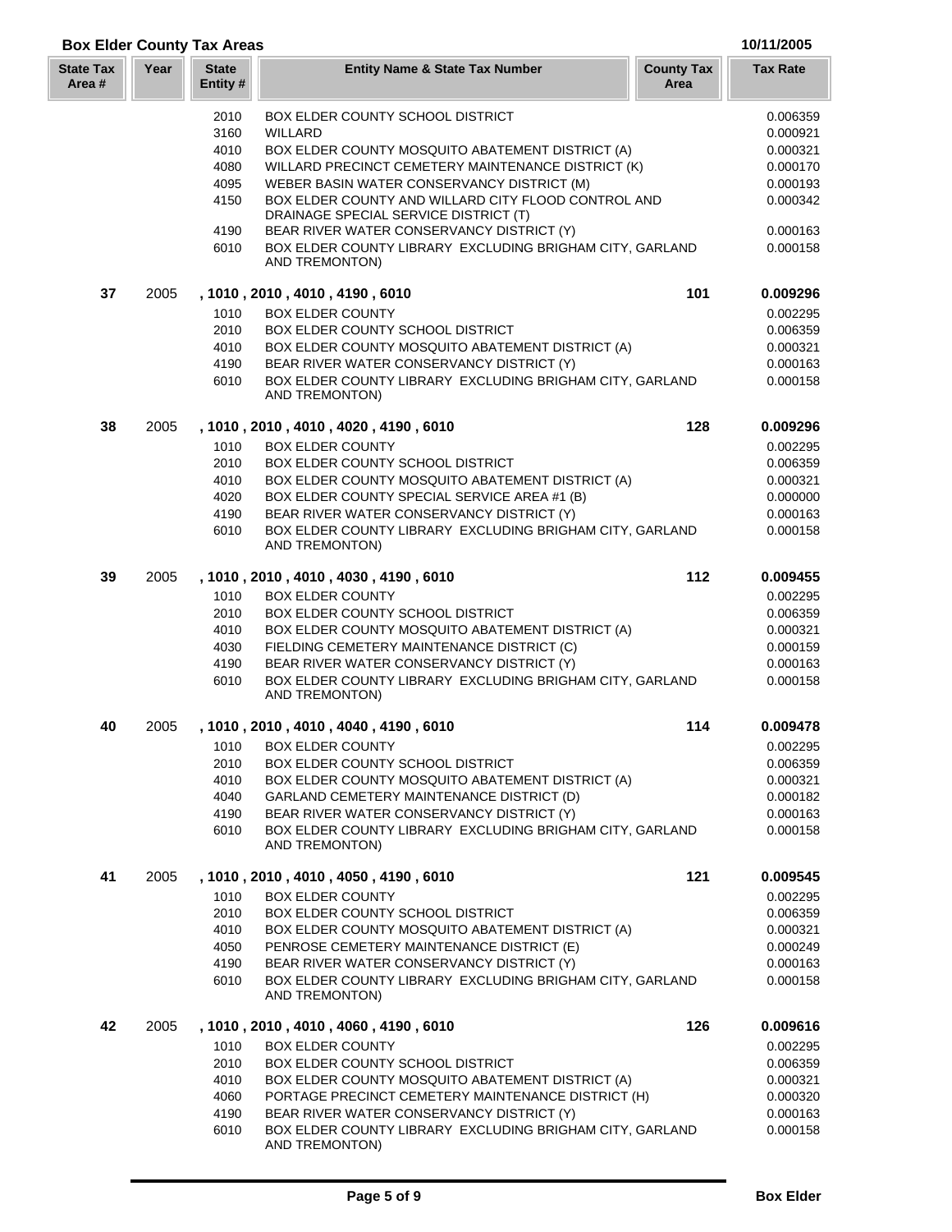## **Box Elder County Tax Areas 10/11/2005**

| <b>State Tax</b><br>Area # | Year | <b>State</b><br>Entity # | <b>Entity Name &amp; State Tax Number</b>                                                    | <b>County Tax</b><br>Area | <b>Tax Rate</b> |
|----------------------------|------|--------------------------|----------------------------------------------------------------------------------------------|---------------------------|-----------------|
|                            |      | 2010                     | <b>BOX ELDER COUNTY SCHOOL DISTRICT</b>                                                      |                           | 0.006359        |
|                            |      | 3160                     | WILLARD                                                                                      |                           | 0.000921        |
|                            |      | 4010                     | BOX ELDER COUNTY MOSQUITO ABATEMENT DISTRICT (A)                                             |                           | 0.000321        |
|                            |      | 4080                     | WILLARD PRECINCT CEMETERY MAINTENANCE DISTRICT (K)                                           |                           | 0.000170        |
|                            |      | 4095                     | WEBER BASIN WATER CONSERVANCY DISTRICT (M)                                                   |                           | 0.000193        |
|                            |      | 4150                     | BOX ELDER COUNTY AND WILLARD CITY FLOOD CONTROL AND<br>DRAINAGE SPECIAL SERVICE DISTRICT (T) |                           | 0.000342        |
|                            |      | 4190                     | BEAR RIVER WATER CONSERVANCY DISTRICT (Y)                                                    |                           | 0.000163        |
|                            |      | 6010                     | BOX ELDER COUNTY LIBRARY EXCLUDING BRIGHAM CITY, GARLAND<br>AND TREMONTON)                   |                           | 0.000158        |
| 37                         | 2005 |                          | , 1010, 2010, 4010, 4190, 6010                                                               | 101                       | 0.009296        |
|                            |      | 1010                     | <b>BOX ELDER COUNTY</b>                                                                      |                           | 0.002295        |
|                            |      | 2010                     | BOX ELDER COUNTY SCHOOL DISTRICT                                                             |                           | 0.006359        |
|                            |      | 4010                     | BOX ELDER COUNTY MOSQUITO ABATEMENT DISTRICT (A)                                             |                           | 0.000321        |
|                            |      | 4190                     | BEAR RIVER WATER CONSERVANCY DISTRICT (Y)                                                    |                           | 0.000163        |
|                            |      | 6010                     | BOX ELDER COUNTY LIBRARY EXCLUDING BRIGHAM CITY, GARLAND<br>AND TREMONTON)                   |                           | 0.000158        |
| 38                         | 2005 |                          | , 1010, 2010, 4010, 4020, 4190, 6010                                                         | 128                       | 0.009296        |
|                            |      | 1010                     | <b>BOX ELDER COUNTY</b>                                                                      |                           | 0.002295        |
|                            |      | 2010                     | <b>BOX ELDER COUNTY SCHOOL DISTRICT</b>                                                      |                           | 0.006359        |
|                            |      | 4010                     | BOX ELDER COUNTY MOSQUITO ABATEMENT DISTRICT (A)                                             |                           | 0.000321        |
|                            |      | 4020                     | BOX ELDER COUNTY SPECIAL SERVICE AREA #1 (B)                                                 |                           | 0.000000        |
|                            |      | 4190                     | BEAR RIVER WATER CONSERVANCY DISTRICT (Y)                                                    |                           | 0.000163        |
|                            |      | 6010                     | BOX ELDER COUNTY LIBRARY EXCLUDING BRIGHAM CITY, GARLAND<br>AND TREMONTON)                   |                           | 0.000158        |
| 39                         | 2005 |                          | , 1010, 2010, 4010, 4030, 4190, 6010                                                         | 112                       | 0.009455        |
|                            |      | 1010                     | <b>BOX ELDER COUNTY</b>                                                                      |                           | 0.002295        |
|                            |      | 2010                     | <b>BOX ELDER COUNTY SCHOOL DISTRICT</b>                                                      |                           | 0.006359        |
|                            |      | 4010                     | BOX ELDER COUNTY MOSQUITO ABATEMENT DISTRICT (A)                                             |                           | 0.000321        |
|                            |      | 4030                     | FIELDING CEMETERY MAINTENANCE DISTRICT (C)                                                   |                           | 0.000159        |
|                            |      | 4190                     | BEAR RIVER WATER CONSERVANCY DISTRICT (Y)                                                    |                           | 0.000163        |
|                            |      | 6010                     | BOX ELDER COUNTY LIBRARY EXCLUDING BRIGHAM CITY, GARLAND<br>AND TREMONTON)                   |                           | 0.000158        |
| 40                         | 2005 |                          | , 1010, 2010, 4010, 4040, 4190, 6010                                                         | 114                       | 0.009478        |
|                            |      | 1010                     | <b>BOX ELDER COUNTY</b>                                                                      |                           | 0.002295        |
|                            |      | 2010                     | BOX ELDER COUNTY SCHOOL DISTRICT                                                             |                           | 0.006359        |
|                            |      | 4010                     | BOX ELDER COUNTY MOSQUITO ABATEMENT DISTRICT (A)                                             |                           | 0.000321        |
|                            |      | 4040                     | GARLAND CEMETERY MAINTENANCE DISTRICT (D)                                                    |                           | 0.000182        |
|                            |      | 4190                     | BEAR RIVER WATER CONSERVANCY DISTRICT (Y)                                                    |                           | 0.000163        |
|                            |      | 6010                     | BOX ELDER COUNTY LIBRARY EXCLUDING BRIGHAM CITY, GARLAND<br>AND TREMONTON)                   |                           | 0.000158        |
| 41                         | 2005 |                          | , 1010, 2010, 4010, 4050, 4190, 6010                                                         | 121                       | 0.009545        |
|                            |      | 1010                     | <b>BOX ELDER COUNTY</b>                                                                      |                           | 0.002295        |
|                            |      | 2010                     | BOX ELDER COUNTY SCHOOL DISTRICT                                                             |                           | 0.006359        |
|                            |      | 4010                     | BOX ELDER COUNTY MOSQUITO ABATEMENT DISTRICT (A)                                             |                           | 0.000321        |
|                            |      | 4050                     | PENROSE CEMETERY MAINTENANCE DISTRICT (E)                                                    |                           | 0.000249        |
|                            |      | 4190                     | BEAR RIVER WATER CONSERVANCY DISTRICT (Y)                                                    |                           | 0.000163        |
|                            |      | 6010                     | BOX ELDER COUNTY LIBRARY EXCLUDING BRIGHAM CITY, GARLAND<br>AND TREMONTON)                   |                           | 0.000158        |
| 42                         | 2005 |                          | , 1010, 2010, 4010, 4060, 4190, 6010                                                         | 126                       | 0.009616        |
|                            |      | 1010                     | <b>BOX ELDER COUNTY</b>                                                                      |                           | 0.002295        |
|                            |      | 2010                     | BOX ELDER COUNTY SCHOOL DISTRICT                                                             |                           | 0.006359        |
|                            |      | 4010                     | BOX ELDER COUNTY MOSQUITO ABATEMENT DISTRICT (A)                                             |                           | 0.000321        |
|                            |      | 4060                     | PORTAGE PRECINCT CEMETERY MAINTENANCE DISTRICT (H)                                           |                           | 0.000320        |
|                            |      | 4190                     | BEAR RIVER WATER CONSERVANCY DISTRICT (Y)                                                    |                           | 0.000163        |
|                            |      | 6010                     | BOX ELDER COUNTY LIBRARY EXCLUDING BRIGHAM CITY, GARLAND<br>AND TREMONTON)                   |                           | 0.000158        |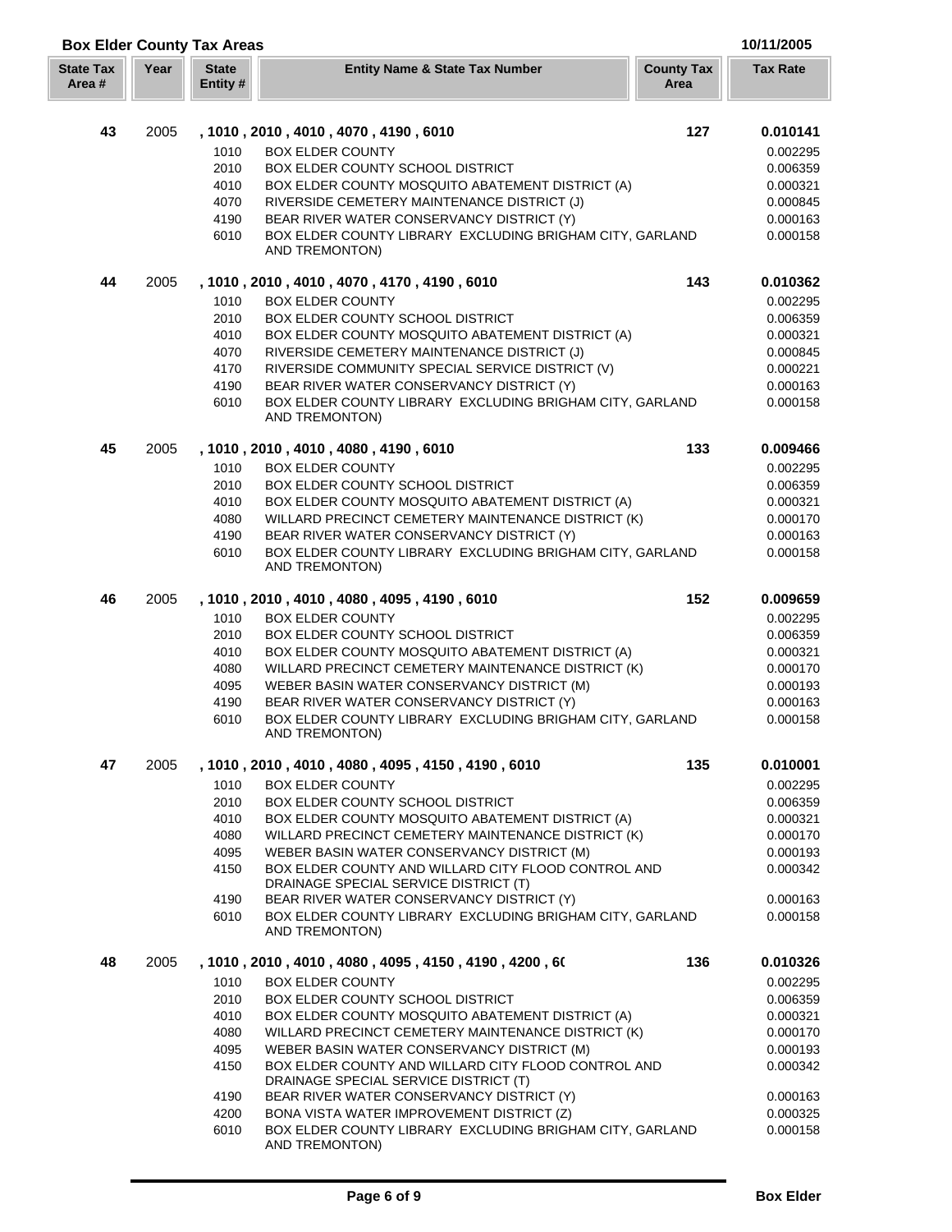|  |  | 10/11/2005 |  |  |
|--|--|------------|--|--|

| <b>Box Elder County Tax Areas</b> |      |                          |                                                                                              |                           | 10/11/2005           |
|-----------------------------------|------|--------------------------|----------------------------------------------------------------------------------------------|---------------------------|----------------------|
| <b>State Tax</b><br>Area #        | Year | <b>State</b><br>Entity # | <b>Entity Name &amp; State Tax Number</b>                                                    | <b>County Tax</b><br>Area | <b>Tax Rate</b>      |
|                                   |      |                          |                                                                                              |                           |                      |
| 43                                | 2005 |                          | , 1010, 2010, 4010, 4070, 4190, 6010                                                         | 127                       | 0.010141             |
|                                   |      | 1010                     | <b>BOX ELDER COUNTY</b>                                                                      |                           | 0.002295             |
|                                   |      | 2010                     | BOX ELDER COUNTY SCHOOL DISTRICT                                                             |                           | 0.006359             |
|                                   |      | 4010                     | BOX ELDER COUNTY MOSQUITO ABATEMENT DISTRICT (A)                                             |                           | 0.000321             |
|                                   |      | 4070                     | RIVERSIDE CEMETERY MAINTENANCE DISTRICT (J)                                                  |                           | 0.000845             |
|                                   |      | 4190                     | BEAR RIVER WATER CONSERVANCY DISTRICT (Y)                                                    |                           | 0.000163             |
|                                   |      | 6010                     | BOX ELDER COUNTY LIBRARY EXCLUDING BRIGHAM CITY, GARLAND<br>AND TREMONTON)                   |                           | 0.000158             |
| 44                                | 2005 |                          | , 1010 , 2010 , 4010 , 4070 , 4170 , 4190 , 6010                                             | 143                       | 0.010362             |
|                                   |      | 1010                     | <b>BOX ELDER COUNTY</b>                                                                      |                           | 0.002295             |
|                                   |      | 2010                     | BOX ELDER COUNTY SCHOOL DISTRICT                                                             |                           | 0.006359             |
|                                   |      | 4010                     | BOX ELDER COUNTY MOSQUITO ABATEMENT DISTRICT (A)                                             |                           | 0.000321             |
|                                   |      | 4070                     | RIVERSIDE CEMETERY MAINTENANCE DISTRICT (J)                                                  |                           | 0.000845             |
|                                   |      | 4170                     | RIVERSIDE COMMUNITY SPECIAL SERVICE DISTRICT (V)                                             |                           | 0.000221             |
|                                   |      | 4190                     | BEAR RIVER WATER CONSERVANCY DISTRICT (Y)                                                    |                           | 0.000163             |
|                                   |      | 6010                     | BOX ELDER COUNTY LIBRARY EXCLUDING BRIGHAM CITY, GARLAND<br>AND TREMONTON)                   |                           | 0.000158             |
| 45                                | 2005 |                          | , 1010, 2010, 4010, 4080, 4190, 6010                                                         | 133                       | 0.009466             |
|                                   |      | 1010                     | <b>BOX ELDER COUNTY</b>                                                                      |                           | 0.002295             |
|                                   |      | 2010                     | BOX ELDER COUNTY SCHOOL DISTRICT                                                             |                           | 0.006359             |
|                                   |      | 4010                     | BOX ELDER COUNTY MOSQUITO ABATEMENT DISTRICT (A)                                             |                           | 0.000321             |
|                                   |      | 4080                     | WILLARD PRECINCT CEMETERY MAINTENANCE DISTRICT (K)                                           |                           | 0.000170             |
|                                   |      | 4190                     | BEAR RIVER WATER CONSERVANCY DISTRICT (Y)                                                    |                           | 0.000163             |
|                                   |      | 6010                     | BOX ELDER COUNTY LIBRARY EXCLUDING BRIGHAM CITY, GARLAND<br>AND TREMONTON)                   |                           | 0.000158             |
| 46                                | 2005 |                          | , 1010, 2010, 4010, 4080, 4095, 4190, 6010                                                   | 152                       | 0.009659             |
|                                   |      | 1010                     | <b>BOX ELDER COUNTY</b>                                                                      |                           |                      |
|                                   |      | 2010                     | BOX ELDER COUNTY SCHOOL DISTRICT                                                             |                           | 0.002295<br>0.006359 |
|                                   |      | 4010                     | BOX ELDER COUNTY MOSQUITO ABATEMENT DISTRICT (A)                                             |                           | 0.000321             |
|                                   |      | 4080                     | WILLARD PRECINCT CEMETERY MAINTENANCE DISTRICT (K)                                           |                           | 0.000170             |
|                                   |      | 4095                     | WEBER BASIN WATER CONSERVANCY DISTRICT (M)                                                   |                           | 0.000193             |
|                                   |      | 4190                     | BEAR RIVER WATER CONSERVANCY DISTRICT (Y)                                                    |                           | 0.000163             |
|                                   |      | 6010                     | BOX ELDER COUNTY LIBRARY EXCLUDING BRIGHAM CITY, GARLAND                                     |                           | 0.000158             |
|                                   |      |                          | AND TREMONTON)                                                                               |                           |                      |
| 47                                | 2005 |                          | , 1010, 2010, 4010, 4080, 4095, 4150, 4190, 6010                                             | 135                       | 0.010001             |
|                                   |      | 1010                     | <b>BOX ELDER COUNTY</b>                                                                      |                           | 0.002295             |
|                                   |      | 2010                     | BOX ELDER COUNTY SCHOOL DISTRICT                                                             |                           | 0.006359             |
|                                   |      | 4010                     | BOX ELDER COUNTY MOSQUITO ABATEMENT DISTRICT (A)                                             |                           | 0.000321             |
|                                   |      | 4080                     | WILLARD PRECINCT CEMETERY MAINTENANCE DISTRICT (K)                                           |                           | 0.000170             |
|                                   |      | 4095                     | WEBER BASIN WATER CONSERVANCY DISTRICT (M)                                                   |                           | 0.000193             |
|                                   |      | 4150                     | BOX ELDER COUNTY AND WILLARD CITY FLOOD CONTROL AND<br>DRAINAGE SPECIAL SERVICE DISTRICT (T) |                           | 0.000342             |
|                                   |      | 4190                     | BEAR RIVER WATER CONSERVANCY DISTRICT (Y)                                                    |                           | 0.000163             |
|                                   |      | 6010                     | BOX ELDER COUNTY LIBRARY EXCLUDING BRIGHAM CITY, GARLAND<br><b>AND TREMONTON)</b>            |                           | 0.000158             |
| 48                                | 2005 |                          | , 1010 , 2010 , 4010 , 4080 , 4095 , 4150 , 4190 , 4200 , 60                                 | 136                       | 0.010326             |
|                                   |      | 1010                     | <b>BOX ELDER COUNTY</b>                                                                      |                           | 0.002295             |
|                                   |      | 2010                     | <b>BOX ELDER COUNTY SCHOOL DISTRICT</b>                                                      |                           | 0.006359             |
|                                   |      | 4010                     | BOX ELDER COUNTY MOSQUITO ABATEMENT DISTRICT (A)                                             |                           | 0.000321             |
|                                   |      | 4080                     | WILLARD PRECINCT CEMETERY MAINTENANCE DISTRICT (K)                                           |                           | 0.000170             |
|                                   |      | 4095                     | WEBER BASIN WATER CONSERVANCY DISTRICT (M)                                                   |                           | 0.000193             |
|                                   |      | 4150                     | BOX ELDER COUNTY AND WILLARD CITY FLOOD CONTROL AND<br>DRAINAGE SPECIAL SERVICE DISTRICT (T) |                           | 0.000342             |
|                                   |      | 4190                     | BEAR RIVER WATER CONSERVANCY DISTRICT (Y)                                                    |                           | 0.000163             |
|                                   |      | 4200                     | BONA VISTA WATER IMPROVEMENT DISTRICT (Z)                                                    |                           | 0.000325             |
|                                   |      | 6010                     | BOX ELDER COUNTY LIBRARY EXCLUDING BRIGHAM CITY, GARLAND<br>AND TREMONTON)                   |                           | 0.000158             |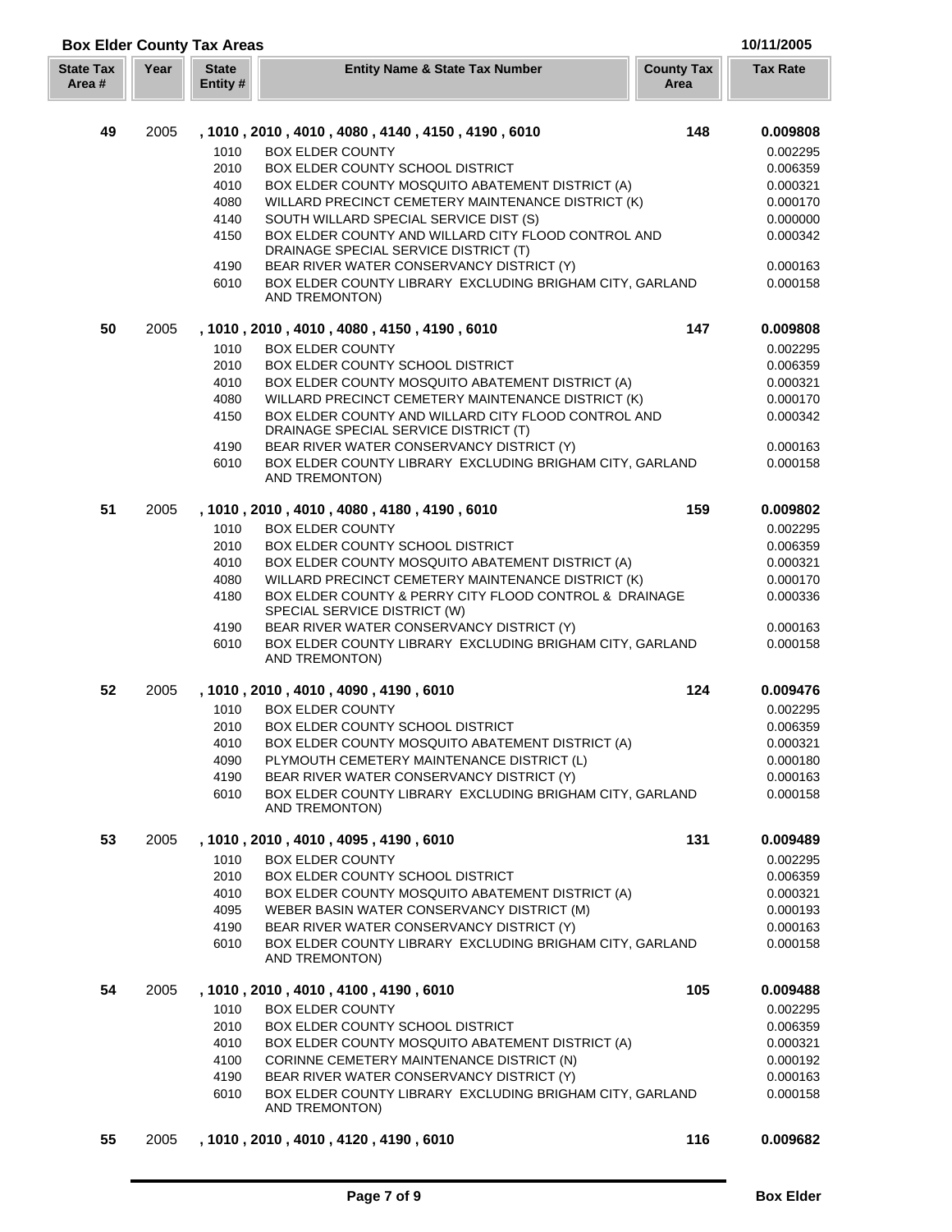| <b>Box Elder County Tax Areas</b> |      | 10/11/2005               |                                                                                                                                           |                           |                      |
|-----------------------------------|------|--------------------------|-------------------------------------------------------------------------------------------------------------------------------------------|---------------------------|----------------------|
| <b>State Tax</b><br>Area #        | Year | <b>State</b><br>Entity # | <b>Entity Name &amp; State Tax Number</b>                                                                                                 | <b>County Tax</b><br>Area | <b>Tax Rate</b>      |
|                                   |      |                          |                                                                                                                                           |                           |                      |
| 49                                | 2005 |                          | , 1010, 2010, 4010, 4080, 4140, 4150, 4190, 6010                                                                                          | 148                       | 0.009808             |
|                                   |      | 1010                     | <b>BOX ELDER COUNTY</b>                                                                                                                   |                           | 0.002295             |
|                                   |      | 2010                     | <b>BOX ELDER COUNTY SCHOOL DISTRICT</b>                                                                                                   |                           | 0.006359             |
|                                   |      | 4010                     | BOX ELDER COUNTY MOSQUITO ABATEMENT DISTRICT (A)                                                                                          |                           | 0.000321             |
|                                   |      | 4080                     | WILLARD PRECINCT CEMETERY MAINTENANCE DISTRICT (K)                                                                                        |                           | 0.000170             |
|                                   |      | 4140                     | SOUTH WILLARD SPECIAL SERVICE DIST (S)                                                                                                    |                           | 0.000000             |
|                                   |      | 4150<br>4190             | BOX ELDER COUNTY AND WILLARD CITY FLOOD CONTROL AND<br>DRAINAGE SPECIAL SERVICE DISTRICT (T)<br>BEAR RIVER WATER CONSERVANCY DISTRICT (Y) |                           | 0.000342<br>0.000163 |
|                                   |      | 6010                     | BOX ELDER COUNTY LIBRARY EXCLUDING BRIGHAM CITY, GARLAND<br>AND TREMONTON)                                                                |                           | 0.000158             |
| 50                                | 2005 |                          | , 1010 , 2010 , 4010 , 4080 , 4150 , 4190 , 6010                                                                                          | 147                       | 0.009808             |
|                                   |      | 1010                     | <b>BOX ELDER COUNTY</b>                                                                                                                   |                           | 0.002295             |
|                                   |      | 2010                     | BOX ELDER COUNTY SCHOOL DISTRICT                                                                                                          |                           | 0.006359             |
|                                   |      | 4010                     | BOX ELDER COUNTY MOSQUITO ABATEMENT DISTRICT (A)                                                                                          |                           | 0.000321             |
|                                   |      | 4080                     | WILLARD PRECINCT CEMETERY MAINTENANCE DISTRICT (K)                                                                                        |                           | 0.000170             |
|                                   |      | 4150                     | BOX ELDER COUNTY AND WILLARD CITY FLOOD CONTROL AND<br>DRAINAGE SPECIAL SERVICE DISTRICT (T)                                              |                           | 0.000342             |
|                                   |      | 4190                     | BEAR RIVER WATER CONSERVANCY DISTRICT (Y)                                                                                                 |                           | 0.000163             |
|                                   |      | 6010                     | BOX ELDER COUNTY LIBRARY EXCLUDING BRIGHAM CITY, GARLAND<br>AND TREMONTON)                                                                |                           | 0.000158             |
| 51                                | 2005 |                          | , 1010 , 2010 , 4010 , 4080 , 4180 , 4190 , 6010                                                                                          | 159                       | 0.009802             |
|                                   |      | 1010                     | <b>BOX ELDER COUNTY</b>                                                                                                                   |                           | 0.002295             |
|                                   |      | 2010                     | BOX ELDER COUNTY SCHOOL DISTRICT                                                                                                          |                           | 0.006359             |
|                                   |      | 4010                     | BOX ELDER COUNTY MOSQUITO ABATEMENT DISTRICT (A)                                                                                          |                           | 0.000321             |
|                                   |      | 4080                     | WILLARD PRECINCT CEMETERY MAINTENANCE DISTRICT (K)                                                                                        |                           | 0.000170             |
|                                   |      | 4180                     | BOX ELDER COUNTY & PERRY CITY FLOOD CONTROL & DRAINAGE<br>SPECIAL SERVICE DISTRICT (W)                                                    |                           | 0.000336             |
|                                   |      | 4190                     | BEAR RIVER WATER CONSERVANCY DISTRICT (Y)                                                                                                 |                           | 0.000163             |
|                                   |      | 6010                     | BOX ELDER COUNTY LIBRARY EXCLUDING BRIGHAM CITY, GARLAND<br>AND TREMONTON)                                                                |                           | 0.000158             |
| 52                                | 2005 |                          | , 1010, 2010, 4010, 4090, 4190, 6010                                                                                                      | 124                       | 0.009476             |
|                                   |      | 1010                     | <b>BOX ELDER COUNTY</b>                                                                                                                   |                           | 0.002295             |
|                                   |      | 2010                     | BOX ELDER COUNTY SCHOOL DISTRICT                                                                                                          |                           | 0.006359             |
|                                   |      | 4010                     | BOX ELDER COUNTY MOSQUITO ABATEMENT DISTRICT (A)                                                                                          |                           | 0.000321             |
|                                   |      | 4090                     | PLYMOUTH CEMETERY MAINTENANCE DISTRICT (L)                                                                                                |                           | 0.000180             |
|                                   |      | 4190                     | BEAR RIVER WATER CONSERVANCY DISTRICT (Y)                                                                                                 |                           | 0.000163             |
|                                   |      | 6010                     | BOX ELDER COUNTY LIBRARY EXCLUDING BRIGHAM CITY, GARLAND<br>AND TREMONTON)                                                                |                           | 0.000158             |
| 53                                | 2005 |                          | , 1010, 2010, 4010, 4095, 4190, 6010                                                                                                      | 131                       | 0.009489             |
|                                   |      | 1010                     | <b>BOX ELDER COUNTY</b>                                                                                                                   |                           | 0.002295             |
|                                   |      | 2010                     | BOX ELDER COUNTY SCHOOL DISTRICT                                                                                                          |                           | 0.006359             |
|                                   |      | 4010                     | BOX ELDER COUNTY MOSQUITO ABATEMENT DISTRICT (A)                                                                                          |                           | 0.000321             |
|                                   |      | 4095                     | WEBER BASIN WATER CONSERVANCY DISTRICT (M)                                                                                                |                           | 0.000193             |
|                                   |      | 4190                     | BEAR RIVER WATER CONSERVANCY DISTRICT (Y)                                                                                                 |                           | 0.000163             |
|                                   |      | 6010                     | BOX ELDER COUNTY LIBRARY EXCLUDING BRIGHAM CITY, GARLAND<br>AND TREMONTON)                                                                |                           | 0.000158             |
| 54                                | 2005 |                          | , 1010 , 2010 , 4010 , 4100 , 4190 , 6010                                                                                                 | 105                       | 0.009488             |
|                                   |      | 1010                     | <b>BOX ELDER COUNTY</b>                                                                                                                   |                           | 0.002295             |
|                                   |      | 2010                     | BOX ELDER COUNTY SCHOOL DISTRICT                                                                                                          |                           | 0.006359             |
|                                   |      | 4010                     | BOX ELDER COUNTY MOSQUITO ABATEMENT DISTRICT (A)                                                                                          |                           | 0.000321             |
|                                   |      | 4100                     | CORINNE CEMETERY MAINTENANCE DISTRICT (N)                                                                                                 |                           | 0.000192             |
|                                   |      | 4190                     | BEAR RIVER WATER CONSERVANCY DISTRICT (Y)                                                                                                 |                           | 0.000163             |
|                                   |      | 6010                     | BOX ELDER COUNTY LIBRARY EXCLUDING BRIGHAM CITY, GARLAND<br>AND TREMONTON)                                                                |                           | 0.000158             |
| 55                                | 2005 |                          | , 1010, 2010, 4010, 4120, 4190, 6010                                                                                                      | 116                       | 0.009682             |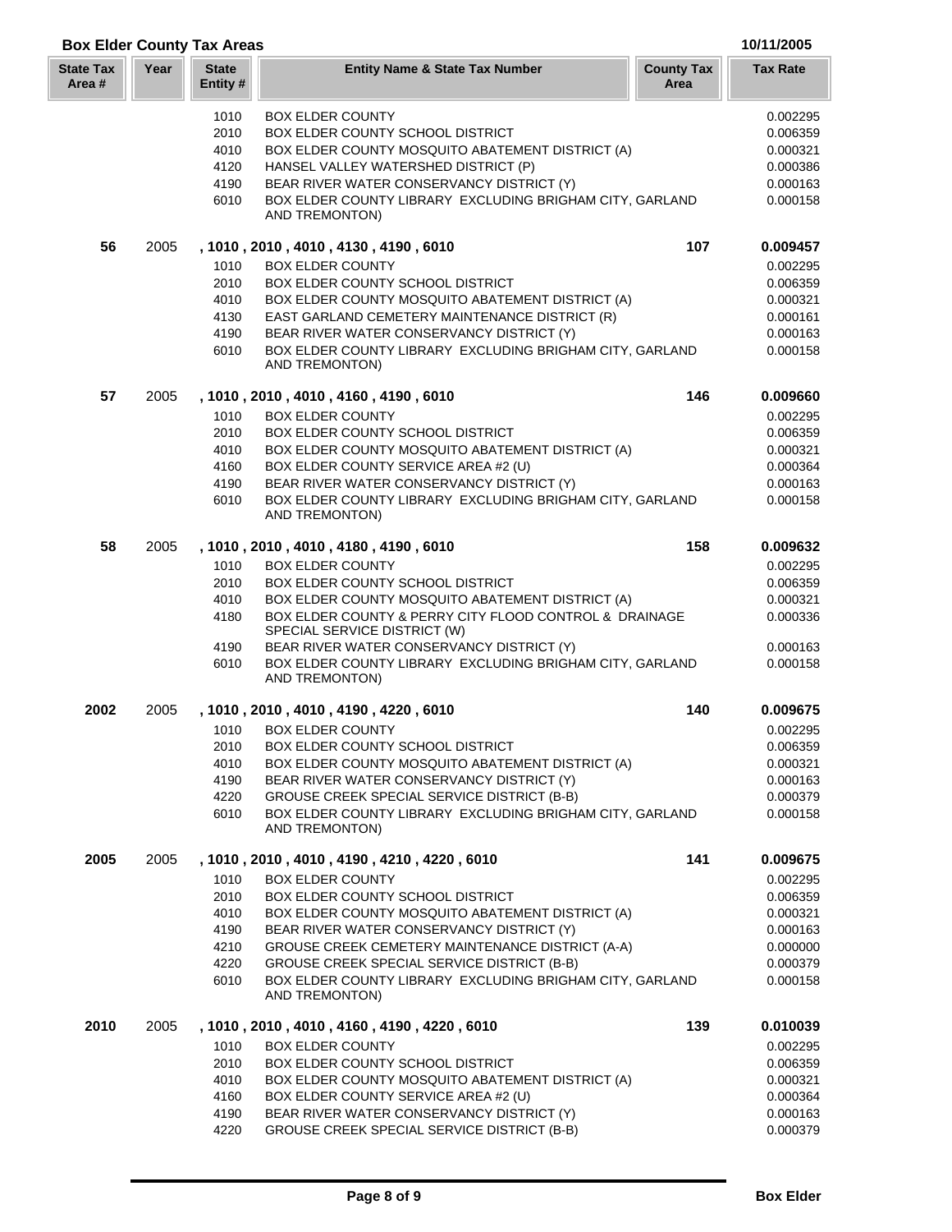|  |  | 10l |
|--|--|-----|
|  |  |     |

| <b>Box Elder County Tax Areas</b> |  | 10/11/2005 |
|-----------------------------------|--|------------|
|                                   |  |            |

Г

| <b>State Tax</b><br>Area # | Year | <b>State</b><br>Entity# | <b>Entity Name &amp; State Tax Number</b>                                              | <b>County Tax</b><br>Area | <b>Tax Rate</b> |
|----------------------------|------|-------------------------|----------------------------------------------------------------------------------------|---------------------------|-----------------|
|                            |      | 1010                    | <b>BOX ELDER COUNTY</b>                                                                |                           | 0.002295        |
|                            |      | 2010                    | BOX ELDER COUNTY SCHOOL DISTRICT                                                       |                           | 0.006359        |
|                            |      | 4010                    | BOX ELDER COUNTY MOSQUITO ABATEMENT DISTRICT (A)                                       |                           | 0.000321        |
|                            |      | 4120                    | HANSEL VALLEY WATERSHED DISTRICT (P)                                                   |                           | 0.000386        |
|                            |      | 4190                    | BEAR RIVER WATER CONSERVANCY DISTRICT (Y)                                              |                           | 0.000163        |
|                            |      | 6010                    | BOX ELDER COUNTY LIBRARY EXCLUDING BRIGHAM CITY, GARLAND<br>AND TREMONTON)             |                           | 0.000158        |
| 56                         | 2005 |                         | , 1010, 2010, 4010, 4130, 4190, 6010                                                   | 107                       | 0.009457        |
|                            |      | 1010                    | <b>BOX ELDER COUNTY</b>                                                                |                           | 0.002295        |
|                            |      | 2010                    | BOX ELDER COUNTY SCHOOL DISTRICT                                                       |                           | 0.006359        |
|                            |      | 4010                    | BOX ELDER COUNTY MOSQUITO ABATEMENT DISTRICT (A)                                       |                           | 0.000321        |
|                            |      | 4130                    | EAST GARLAND CEMETERY MAINTENANCE DISTRICT (R)                                         |                           | 0.000161        |
|                            |      | 4190                    | BEAR RIVER WATER CONSERVANCY DISTRICT (Y)                                              |                           | 0.000163        |
|                            |      | 6010                    | BOX ELDER COUNTY LIBRARY EXCLUDING BRIGHAM CITY, GARLAND<br><b>AND TREMONTON)</b>      |                           | 0.000158        |
| 57                         | 2005 |                         | , 1010, 2010, 4010, 4160, 4190, 6010                                                   | 146                       | 0.009660        |
|                            |      | 1010                    | <b>BOX ELDER COUNTY</b>                                                                |                           | 0.002295        |
|                            |      | 2010                    | BOX ELDER COUNTY SCHOOL DISTRICT                                                       |                           | 0.006359        |
|                            |      | 4010                    | BOX ELDER COUNTY MOSQUITO ABATEMENT DISTRICT (A)                                       |                           | 0.000321        |
|                            |      | 4160                    | BOX ELDER COUNTY SERVICE AREA #2 (U)                                                   |                           | 0.000364        |
|                            |      | 4190                    | BEAR RIVER WATER CONSERVANCY DISTRICT (Y)                                              |                           | 0.000163        |
|                            |      | 6010                    | BOX ELDER COUNTY LIBRARY EXCLUDING BRIGHAM CITY, GARLAND<br>AND TREMONTON)             |                           | 0.000158        |
| 58                         | 2005 |                         | , 1010, 2010, 4010, 4180, 4190, 6010                                                   | 158                       | 0.009632        |
|                            |      | 1010                    | <b>BOX ELDER COUNTY</b>                                                                |                           | 0.002295        |
|                            |      | 2010                    | BOX ELDER COUNTY SCHOOL DISTRICT                                                       |                           | 0.006359        |
|                            |      | 4010                    | BOX ELDER COUNTY MOSQUITO ABATEMENT DISTRICT (A)                                       |                           | 0.000321        |
|                            |      | 4180                    | BOX ELDER COUNTY & PERRY CITY FLOOD CONTROL & DRAINAGE<br>SPECIAL SERVICE DISTRICT (W) |                           | 0.000336        |
|                            |      | 4190                    | BEAR RIVER WATER CONSERVANCY DISTRICT (Y)                                              |                           | 0.000163        |
|                            |      | 6010                    | BOX ELDER COUNTY LIBRARY EXCLUDING BRIGHAM CITY, GARLAND<br>AND TREMONTON)             |                           | 0.000158        |
| 2002                       | 2005 |                         | , 1010, 2010, 4010, 4190, 4220, 6010                                                   | 140                       | 0.009675        |
|                            |      | 1010                    | <b>BOX ELDER COUNTY</b>                                                                |                           | 0.002295        |
|                            |      | 2010                    | BOX ELDER COUNTY SCHOOL DISTRICT                                                       |                           | 0.006359        |
|                            |      | 4010                    | BOX ELDER COUNTY MOSQUITO ABATEMENT DISTRICT (A)                                       |                           | 0.000321        |
|                            |      | 4190                    | BEAR RIVER WATER CONSERVANCY DISTRICT (Y)                                              |                           | 0.000163        |
|                            |      | 4220                    | GROUSE CREEK SPECIAL SERVICE DISTRICT (B-B)                                            |                           | 0.000379        |
|                            |      | 6010                    | BOX ELDER COUNTY LIBRARY EXCLUDING BRIGHAM CITY, GARLAND<br>AND TREMONTON)             |                           | 0.000158        |
| 2005                       | 2005 |                         | , 1010, 2010, 4010, 4190, 4210, 4220, 6010                                             | 141                       | 0.009675        |
|                            |      | 1010                    | <b>BOX ELDER COUNTY</b>                                                                |                           | 0.002295        |
|                            |      | 2010                    | BOX ELDER COUNTY SCHOOL DISTRICT                                                       |                           | 0.006359        |
|                            |      | 4010                    | BOX ELDER COUNTY MOSQUITO ABATEMENT DISTRICT (A)                                       |                           | 0.000321        |
|                            |      | 4190                    | BEAR RIVER WATER CONSERVANCY DISTRICT (Y)                                              |                           | 0.000163        |
|                            |      | 4210                    | GROUSE CREEK CEMETERY MAINTENANCE DISTRICT (A-A)                                       |                           | 0.000000        |
|                            |      | 4220                    | GROUSE CREEK SPECIAL SERVICE DISTRICT (B-B)                                            |                           | 0.000379        |
|                            |      | 6010                    | BOX ELDER COUNTY LIBRARY EXCLUDING BRIGHAM CITY, GARLAND<br>AND TREMONTON)             |                           | 0.000158        |
| 2010                       | 2005 |                         | , 1010 , 2010 , 4010 , 4160 , 4190 , 4220 , 6010                                       | 139                       | 0.010039        |
|                            |      | 1010                    | <b>BOX ELDER COUNTY</b>                                                                |                           | 0.002295        |
|                            |      | 2010                    | BOX ELDER COUNTY SCHOOL DISTRICT                                                       |                           | 0.006359        |
|                            |      | 4010                    | BOX ELDER COUNTY MOSQUITO ABATEMENT DISTRICT (A)                                       |                           | 0.000321        |
|                            |      | 4160                    | BOX ELDER COUNTY SERVICE AREA #2 (U)                                                   |                           | 0.000364        |
|                            |      | 4190                    | BEAR RIVER WATER CONSERVANCY DISTRICT (Y)                                              |                           | 0.000163        |
|                            |      | 4220                    | GROUSE CREEK SPECIAL SERVICE DISTRICT (B-B)                                            |                           | 0.000379        |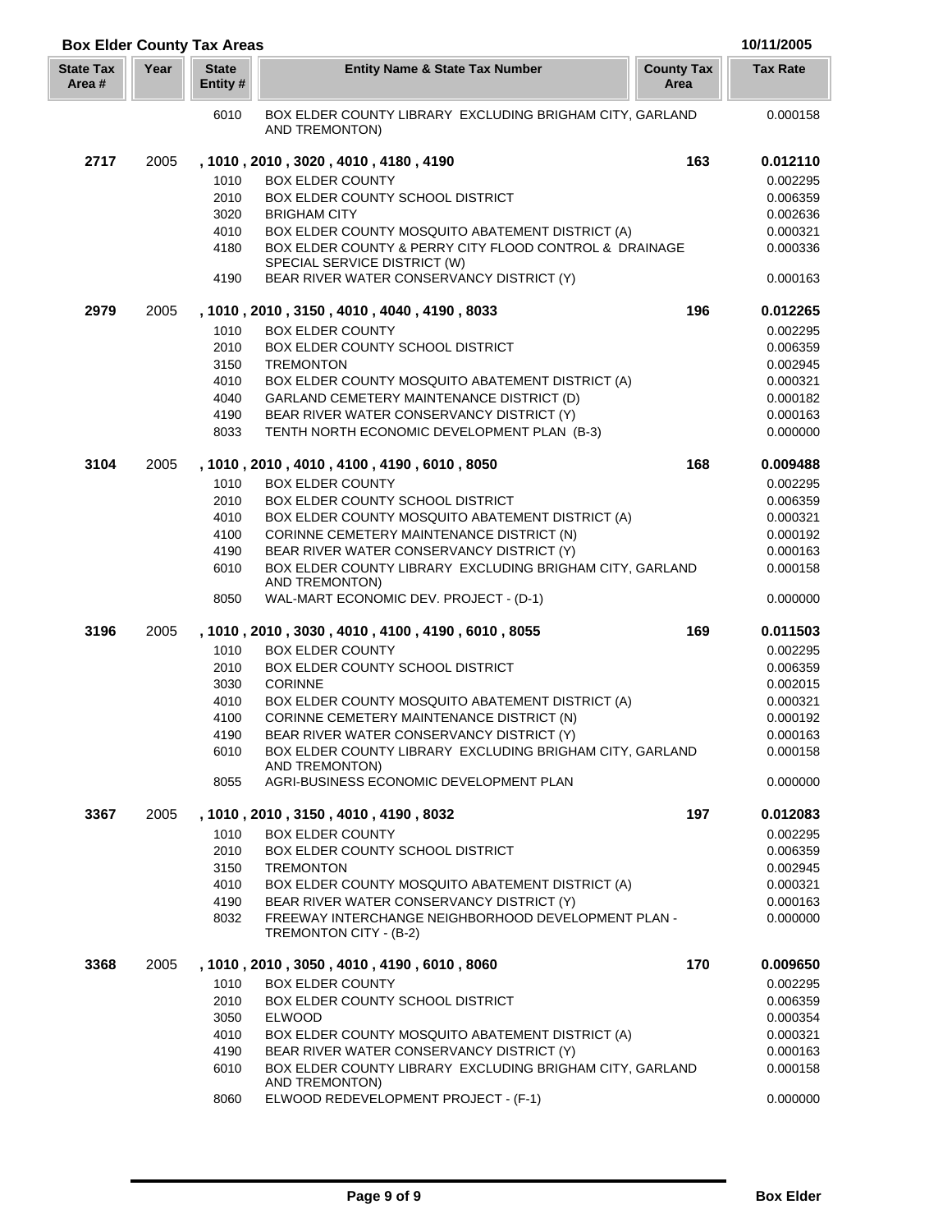| <b>Box Elder County Tax Areas</b> |      |                          |                                                                               |                           | 10/11/2005           |
|-----------------------------------|------|--------------------------|-------------------------------------------------------------------------------|---------------------------|----------------------|
| <b>State Tax</b><br>Area#         | Year | <b>State</b><br>Entity # | <b>Entity Name &amp; State Tax Number</b>                                     | <b>County Tax</b><br>Area | <b>Tax Rate</b>      |
|                                   |      | 6010                     | BOX ELDER COUNTY LIBRARY EXCLUDING BRIGHAM CITY, GARLAND<br>AND TREMONTON)    |                           | 0.000158             |
| 2717                              | 2005 |                          | , 1010 , 2010 , 3020 , 4010 , 4180 , 4190                                     | 163                       | 0.012110             |
|                                   |      | 1010                     | <b>BOX ELDER COUNTY</b>                                                       |                           | 0.002295             |
|                                   |      | 2010                     | BOX ELDER COUNTY SCHOOL DISTRICT                                              |                           | 0.006359             |
|                                   |      | 3020                     | <b>BRIGHAM CITY</b>                                                           |                           | 0.002636             |
|                                   |      | 4010                     | BOX ELDER COUNTY MOSQUITO ABATEMENT DISTRICT (A)                              |                           | 0.000321             |
|                                   |      | 4180                     | BOX ELDER COUNTY & PERRY CITY FLOOD CONTROL & DRAINAGE                        |                           | 0.000336             |
|                                   |      |                          | SPECIAL SERVICE DISTRICT (W)                                                  |                           |                      |
|                                   |      | 4190                     | BEAR RIVER WATER CONSERVANCY DISTRICT (Y)                                     |                           | 0.000163             |
| 2979                              | 2005 |                          | , 1010, 2010, 3150, 4010, 4040, 4190, 8033                                    | 196                       | 0.012265             |
|                                   |      | 1010                     | <b>BOX ELDER COUNTY</b>                                                       |                           | 0.002295             |
|                                   |      | 2010                     | BOX ELDER COUNTY SCHOOL DISTRICT                                              |                           | 0.006359             |
|                                   |      | 3150                     | <b>TREMONTON</b>                                                              |                           | 0.002945             |
|                                   |      | 4010                     | BOX ELDER COUNTY MOSQUITO ABATEMENT DISTRICT (A)                              |                           | 0.000321             |
|                                   |      | 4040                     | GARLAND CEMETERY MAINTENANCE DISTRICT (D)                                     |                           | 0.000182             |
|                                   |      | 4190                     | BEAR RIVER WATER CONSERVANCY DISTRICT (Y)                                     |                           | 0.000163             |
|                                   |      | 8033                     | TENTH NORTH ECONOMIC DEVELOPMENT PLAN (B-3)                                   |                           | 0.000000             |
| 3104                              | 2005 |                          | , 1010, 2010, 4010, 4100, 4190, 6010, 8050                                    | 168                       | 0.009488             |
|                                   |      | 1010                     | <b>BOX ELDER COUNTY</b>                                                       |                           | 0.002295             |
|                                   |      | 2010                     | BOX ELDER COUNTY SCHOOL DISTRICT                                              |                           | 0.006359             |
|                                   |      | 4010                     | BOX ELDER COUNTY MOSQUITO ABATEMENT DISTRICT (A)                              |                           | 0.000321             |
|                                   |      | 4100                     | CORINNE CEMETERY MAINTENANCE DISTRICT (N)                                     |                           | 0.000192             |
|                                   |      | 4190                     | BEAR RIVER WATER CONSERVANCY DISTRICT (Y)                                     |                           | 0.000163             |
|                                   |      | 6010                     | BOX ELDER COUNTY LIBRARY EXCLUDING BRIGHAM CITY, GARLAND                      |                           | 0.000158             |
|                                   |      | 8050                     | AND TREMONTON)<br>WAL-MART ECONOMIC DEV. PROJECT - (D-1)                      |                           | 0.000000             |
| 3196                              | 2005 |                          | , 1010, 2010, 3030, 4010, 4100, 4190, 6010, 8055                              | 169                       | 0.011503             |
|                                   |      | 1010                     | <b>BOX ELDER COUNTY</b>                                                       |                           | 0.002295             |
|                                   |      | 2010                     | BOX ELDER COUNTY SCHOOL DISTRICT                                              |                           | 0.006359             |
|                                   |      | 3030                     | <b>CORINNE</b>                                                                |                           | 0.002015             |
|                                   |      | 4010                     | BOX ELDER COUNTY MOSQUITO ABATEMENT DISTRICT (A)                              |                           | 0.000321             |
|                                   |      | 4100                     | CORINNE CEMETERY MAINTENANCE DISTRICT (N)                                     |                           | 0.000192             |
|                                   |      | 4190                     | BEAR RIVER WATER CONSERVANCY DISTRICT (Y)                                     |                           | 0.000163             |
|                                   |      | 6010                     | BOX ELDER COUNTY LIBRARY EXCLUDING BRIGHAM CITY, GARLAND<br>AND TREMONTON)    |                           | 0.000158             |
|                                   |      | 8055                     | AGRI-BUSINESS ECONOMIC DEVELOPMENT PLAN                                       |                           | 0.000000             |
| 3367                              | 2005 |                          | , 1010, 2010, 3150, 4010, 4190, 8032                                          | 197                       | 0.012083             |
|                                   |      | 1010                     | <b>BOX ELDER COUNTY</b>                                                       |                           | 0.002295             |
|                                   |      | 2010                     | BOX ELDER COUNTY SCHOOL DISTRICT                                              |                           | 0.006359             |
|                                   |      | 3150                     | <b>TREMONTON</b>                                                              |                           | 0.002945             |
|                                   |      | 4010                     | BOX ELDER COUNTY MOSQUITO ABATEMENT DISTRICT (A)                              |                           | 0.000321             |
|                                   |      | 4190                     | BEAR RIVER WATER CONSERVANCY DISTRICT (Y)                                     |                           | 0.000163             |
|                                   |      | 8032                     | FREEWAY INTERCHANGE NEIGHBORHOOD DEVELOPMENT PLAN -<br>TREMONTON CITY - (B-2) |                           | 0.000000             |
| 3368                              | 2005 |                          | , 1010, 2010, 3050, 4010, 4190, 6010, 8060                                    | 170                       | 0.009650             |
|                                   |      | 1010                     | <b>BOX ELDER COUNTY</b>                                                       |                           | 0.002295             |
|                                   |      | 2010                     | BOX ELDER COUNTY SCHOOL DISTRICT                                              |                           |                      |
|                                   |      | 3050                     | <b>ELWOOD</b>                                                                 |                           | 0.006359<br>0.000354 |
|                                   |      | 4010                     | BOX ELDER COUNTY MOSQUITO ABATEMENT DISTRICT (A)                              |                           | 0.000321             |
|                                   |      | 4190                     | BEAR RIVER WATER CONSERVANCY DISTRICT (Y)                                     |                           | 0.000163             |
|                                   |      | 6010                     | BOX ELDER COUNTY LIBRARY EXCLUDING BRIGHAM CITY, GARLAND                      |                           | 0.000158             |
|                                   |      |                          | AND TREMONTON)                                                                |                           |                      |
|                                   |      | 8060                     | ELWOOD REDEVELOPMENT PROJECT - (F-1)                                          |                           | 0.000000             |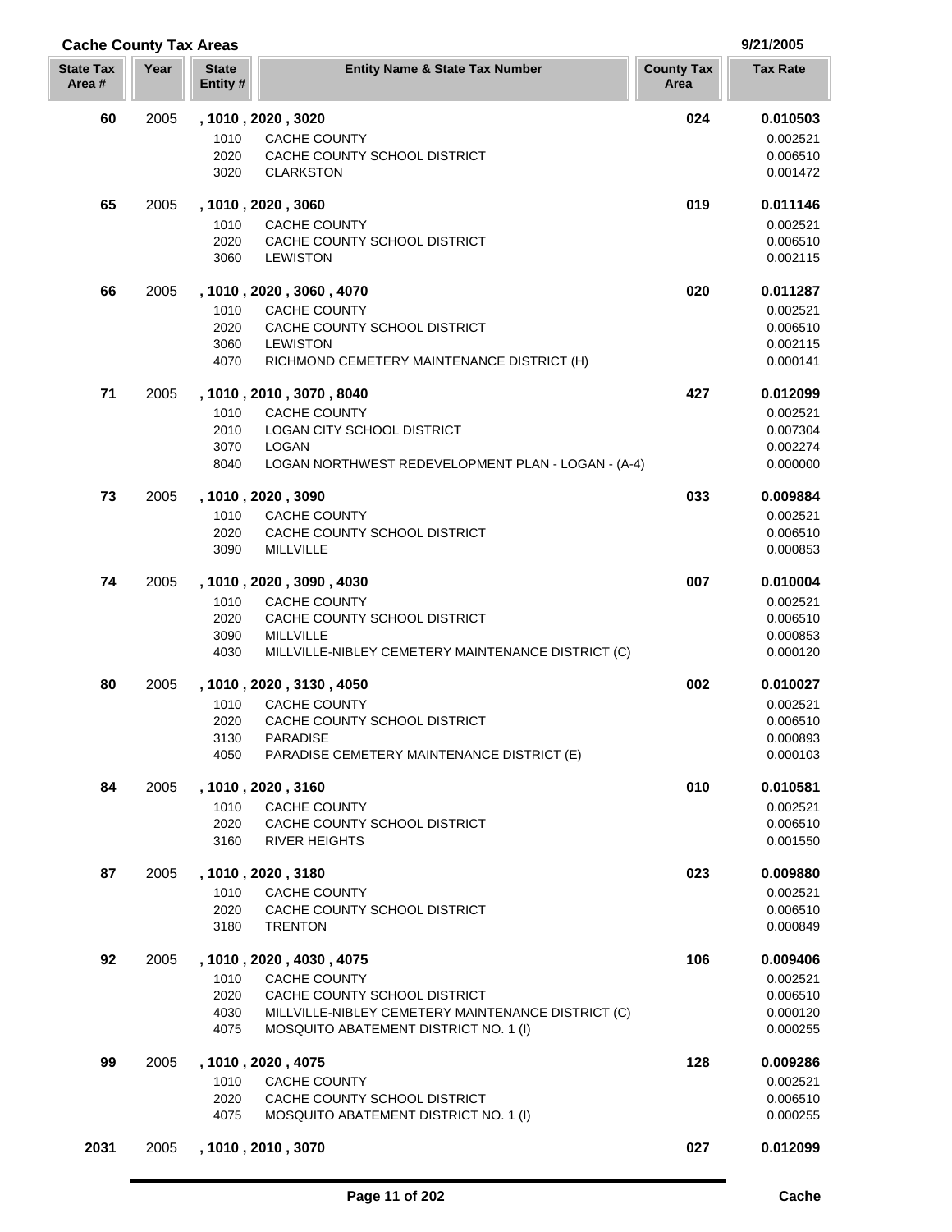| <b>Cache County Tax Areas</b> |      |                         |                                                                                             |                           | 9/21/2005            |
|-------------------------------|------|-------------------------|---------------------------------------------------------------------------------------------|---------------------------|----------------------|
| <b>State Tax</b><br>Area#     | Year | <b>State</b><br>Entity# | <b>Entity Name &amp; State Tax Number</b>                                                   | <b>County Tax</b><br>Area | <b>Tax Rate</b>      |
| 60                            | 2005 |                         | , 1010, 2020, 3020                                                                          | 024                       | 0.010503             |
|                               |      | 1010                    | CACHE COUNTY                                                                                |                           | 0.002521             |
|                               |      | 2020                    | CACHE COUNTY SCHOOL DISTRICT                                                                |                           | 0.006510             |
|                               |      | 3020                    | <b>CLARKSTON</b>                                                                            |                           | 0.001472             |
| 65                            | 2005 |                         | , 1010, 2020, 3060                                                                          | 019                       | 0.011146             |
|                               |      | 1010                    | CACHE COUNTY                                                                                |                           | 0.002521             |
|                               |      | 2020                    | CACHE COUNTY SCHOOL DISTRICT                                                                |                           | 0.006510             |
|                               |      | 3060                    | <b>LEWISTON</b>                                                                             |                           | 0.002115             |
| 66                            | 2005 |                         | , 1010, 2020, 3060, 4070                                                                    | 020                       | 0.011287             |
|                               |      | 1010                    | <b>CACHE COUNTY</b>                                                                         |                           | 0.002521             |
|                               |      | 2020                    | CACHE COUNTY SCHOOL DISTRICT                                                                |                           | 0.006510             |
|                               |      | 3060                    | <b>LEWISTON</b>                                                                             |                           | 0.002115             |
|                               |      | 4070                    | RICHMOND CEMETERY MAINTENANCE DISTRICT (H)                                                  |                           | 0.000141             |
| 71                            | 2005 | 1010                    | , 1010, 2010, 3070, 8040<br><b>CACHE COUNTY</b>                                             | 427                       | 0.012099             |
|                               |      | 2010                    | <b>LOGAN CITY SCHOOL DISTRICT</b>                                                           |                           | 0.002521<br>0.007304 |
|                               |      | 3070                    | <b>LOGAN</b>                                                                                |                           | 0.002274             |
|                               |      | 8040                    | LOGAN NORTHWEST REDEVELOPMENT PLAN - LOGAN - (A-4)                                          |                           | 0.000000             |
| 73                            | 2005 |                         | , 1010, 2020, 3090                                                                          | 033                       | 0.009884             |
|                               |      | 1010                    | CACHE COUNTY                                                                                |                           | 0.002521             |
|                               |      | 2020                    | CACHE COUNTY SCHOOL DISTRICT                                                                |                           | 0.006510             |
|                               |      | 3090                    | <b>MILLVILLE</b>                                                                            |                           | 0.000853             |
| 74                            | 2005 |                         | , 1010, 2020, 3090, 4030                                                                    | 007                       | 0.010004             |
|                               |      | 1010                    | <b>CACHE COUNTY</b>                                                                         |                           | 0.002521             |
|                               |      | 2020                    | CACHE COUNTY SCHOOL DISTRICT                                                                |                           | 0.006510             |
|                               |      | 3090                    | <b>MILLVILLE</b>                                                                            |                           | 0.000853             |
|                               |      | 4030                    | MILLVILLE-NIBLEY CEMETERY MAINTENANCE DISTRICT (C)                                          |                           | 0.000120             |
| 80                            | 2005 |                         | , 1010, 2020, 3130, 4050                                                                    | 002                       | 0.010027             |
|                               |      | 1010                    | <b>CACHE COUNTY</b>                                                                         |                           | 0.002521             |
|                               |      | 2020<br>3130            | CACHE COUNTY SCHOOL DISTRICT<br><b>PARADISE</b>                                             |                           | 0.006510<br>0.000893 |
|                               |      | 4050                    | PARADISE CEMETERY MAINTENANCE DISTRICT (E)                                                  |                           | 0.000103             |
| 84                            | 2005 |                         | , 1010, 2020, 3160                                                                          | 010                       | 0.010581             |
|                               |      | 1010                    | <b>CACHE COUNTY</b>                                                                         |                           | 0.002521             |
|                               |      | 2020                    | CACHE COUNTY SCHOOL DISTRICT                                                                |                           | 0.006510             |
|                               |      | 3160                    | <b>RIVER HEIGHTS</b>                                                                        |                           | 0.001550             |
| 87                            | 2005 |                         | , 1010, 2020, 3180                                                                          | 023                       | 0.009880             |
|                               |      | 1010                    | <b>CACHE COUNTY</b>                                                                         |                           | 0.002521             |
|                               |      | 2020                    | CACHE COUNTY SCHOOL DISTRICT                                                                |                           | 0.006510             |
|                               |      | 3180                    | <b>TRENTON</b>                                                                              |                           | 0.000849             |
| 92                            | 2005 |                         | , 1010 , 2020 , 4030 , 4075                                                                 | 106                       | 0.009406             |
|                               |      | 1010                    | CACHE COUNTY                                                                                |                           | 0.002521             |
|                               |      | 2020                    | CACHE COUNTY SCHOOL DISTRICT                                                                |                           | 0.006510             |
|                               |      | 4030<br>4075            | MILLVILLE-NIBLEY CEMETERY MAINTENANCE DISTRICT (C)<br>MOSQUITO ABATEMENT DISTRICT NO. 1 (I) |                           | 0.000120<br>0.000255 |
| 99                            | 2005 |                         | , 1010, 2020, 4075                                                                          | 128                       | 0.009286             |
|                               |      | 1010                    | CACHE COUNTY                                                                                |                           | 0.002521             |
|                               |      | 2020                    | CACHE COUNTY SCHOOL DISTRICT                                                                |                           | 0.006510             |
|                               |      | 4075                    | MOSQUITO ABATEMENT DISTRICT NO. 1 (I)                                                       |                           | 0.000255             |
| 2031                          | 2005 |                         | , 1010, 2010, 3070                                                                          | 027                       | 0.012099             |

J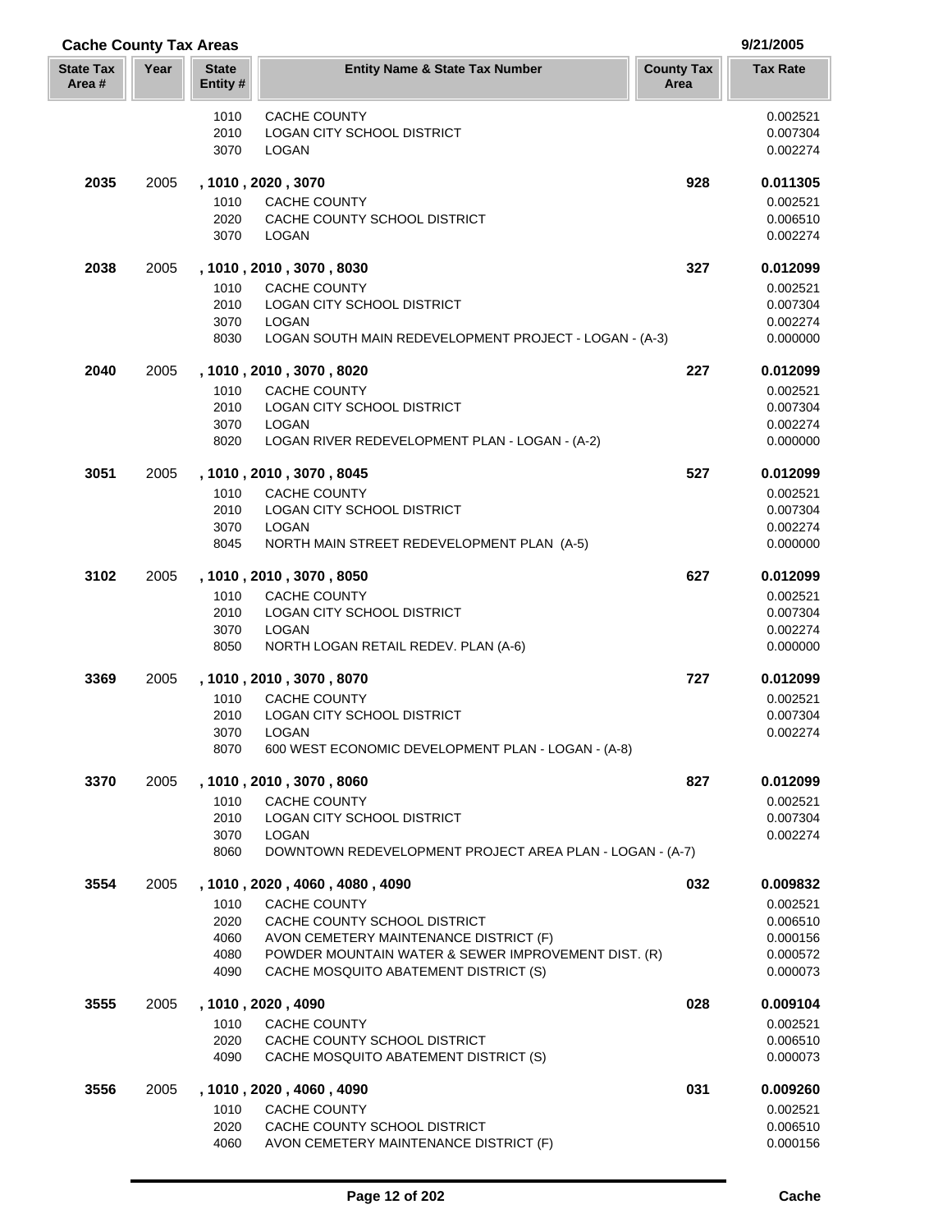| <b>Cache County Tax Areas</b> |      |                         |                                                                   |                           | 9/21/2005            |
|-------------------------------|------|-------------------------|-------------------------------------------------------------------|---------------------------|----------------------|
| <b>State Tax</b><br>Area #    | Year | <b>State</b><br>Entity# | <b>Entity Name &amp; State Tax Number</b>                         | <b>County Tax</b><br>Area | <b>Tax Rate</b>      |
|                               |      | 1010                    | CACHE COUNTY                                                      |                           | 0.002521             |
|                               |      | 2010                    | LOGAN CITY SCHOOL DISTRICT                                        |                           | 0.007304             |
|                               |      | 3070                    | LOGAN                                                             |                           | 0.002274             |
| 2035                          | 2005 |                         | , 1010, 2020, 3070                                                | 928                       | 0.011305             |
|                               |      | 1010                    | CACHE COUNTY                                                      |                           | 0.002521             |
|                               |      | 2020<br>3070            | CACHE COUNTY SCHOOL DISTRICT<br><b>LOGAN</b>                      |                           | 0.006510<br>0.002274 |
| 2038                          | 2005 |                         | , 1010, 2010, 3070, 8030                                          | 327                       | 0.012099             |
|                               |      | 1010                    | CACHE COUNTY                                                      |                           | 0.002521             |
|                               |      | 2010                    | LOGAN CITY SCHOOL DISTRICT                                        |                           | 0.007304             |
|                               |      | 3070                    | LOGAN                                                             |                           | 0.002274             |
|                               |      | 8030                    | LOGAN SOUTH MAIN REDEVELOPMENT PROJECT - LOGAN - (A-3)            |                           | 0.000000             |
| 2040                          | 2005 |                         | , 1010, 2010, 3070, 8020                                          | 227                       | 0.012099             |
|                               |      | 1010                    | CACHE COUNTY                                                      |                           | 0.002521             |
|                               |      | 2010                    | <b>LOGAN CITY SCHOOL DISTRICT</b>                                 |                           | 0.007304             |
|                               |      | 3070                    | LOGAN                                                             |                           | 0.002274             |
|                               |      | 8020                    | LOGAN RIVER REDEVELOPMENT PLAN - LOGAN - (A-2)                    |                           | 0.000000             |
| 3051                          | 2005 |                         | , 1010, 2010, 3070, 8045                                          | 527                       | 0.012099             |
|                               |      | 1010                    | <b>CACHE COUNTY</b>                                               |                           | 0.002521             |
|                               |      | 2010                    | LOGAN CITY SCHOOL DISTRICT                                        |                           | 0.007304             |
|                               |      | 3070                    | <b>LOGAN</b>                                                      |                           | 0.002274             |
|                               |      | 8045                    | NORTH MAIN STREET REDEVELOPMENT PLAN (A-5)                        |                           | 0.000000             |
| 3102                          | 2005 |                         | , 1010, 2010, 3070, 8050                                          | 627                       | 0.012099             |
|                               |      | 1010                    | CACHE COUNTY                                                      |                           | 0.002521             |
|                               |      | 2010                    | LOGAN CITY SCHOOL DISTRICT                                        |                           | 0.007304             |
|                               |      | 3070                    | <b>LOGAN</b>                                                      |                           | 0.002274             |
|                               |      | 8050                    | NORTH LOGAN RETAIL REDEV. PLAN (A-6)                              |                           | 0.000000             |
| 3369                          | 2005 |                         | , 1010 , 2010 , 3070 , 8070                                       | 727                       | 0.012099             |
|                               |      | 1010                    | <b>CACHE COUNTY</b>                                               |                           | 0.002521             |
|                               |      | 2010                    | LOGAN CITY SCHOOL DISTRICT                                        |                           | 0.007304             |
|                               |      | 3070                    | LOGAN                                                             |                           | 0.002274             |
|                               |      | 8070                    | 600 WEST ECONOMIC DEVELOPMENT PLAN - LOGAN - (A-8)                |                           |                      |
| 3370                          | 2005 |                         | , 1010, 2010, 3070, 8060                                          | 827                       | 0.012099             |
|                               |      | 1010                    | CACHE COUNTY                                                      |                           | 0.002521             |
|                               |      | 2010                    | LOGAN CITY SCHOOL DISTRICT                                        |                           | 0.007304             |
|                               |      | 3070<br>8060            | LOGAN<br>DOWNTOWN REDEVELOPMENT PROJECT AREA PLAN - LOGAN - (A-7) |                           | 0.002274             |
| 3554                          | 2005 |                         | , 1010, 2020, 4060, 4080, 4090                                    | 032                       | 0.009832             |
|                               |      | 1010                    | CACHE COUNTY                                                      |                           | 0.002521             |
|                               |      | 2020                    | CACHE COUNTY SCHOOL DISTRICT                                      |                           | 0.006510             |
|                               |      | 4060                    | AVON CEMETERY MAINTENANCE DISTRICT (F)                            |                           | 0.000156             |
|                               |      | 4080                    | POWDER MOUNTAIN WATER & SEWER IMPROVEMENT DIST. (R)               |                           | 0.000572             |
|                               |      | 4090                    | CACHE MOSQUITO ABATEMENT DISTRICT (S)                             |                           | 0.000073             |
| 3555                          | 2005 |                         | , 1010, 2020, 4090                                                | 028                       | 0.009104             |
|                               |      | 1010                    | CACHE COUNTY                                                      |                           | 0.002521             |
|                               |      | 2020                    | CACHE COUNTY SCHOOL DISTRICT                                      |                           | 0.006510             |
|                               |      | 4090                    | CACHE MOSQUITO ABATEMENT DISTRICT (S)                             |                           | 0.000073             |
| 3556                          | 2005 |                         | , 1010, 2020, 4060, 4090                                          | 031                       | 0.009260             |
|                               |      | 1010                    | CACHE COUNTY                                                      |                           | 0.002521             |
|                               |      | 2020                    | CACHE COUNTY SCHOOL DISTRICT                                      |                           | 0.006510             |
|                               |      | 4060                    | AVON CEMETERY MAINTENANCE DISTRICT (F)                            |                           | 0.000156             |

Ī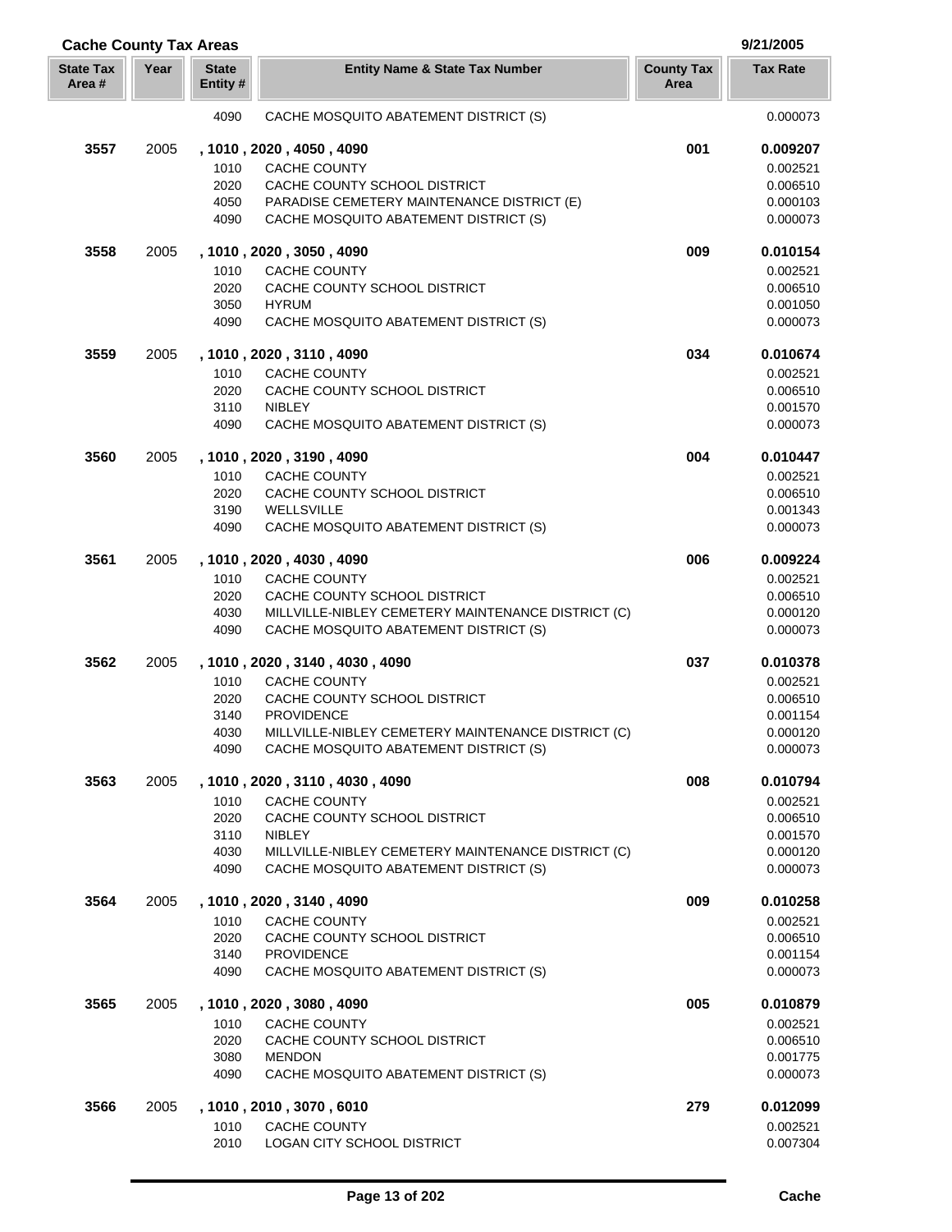| <b>Cache County Tax Areas</b> |      |                          |                                                                                             |                           | 9/21/2005            |
|-------------------------------|------|--------------------------|---------------------------------------------------------------------------------------------|---------------------------|----------------------|
| <b>State Tax</b><br>Area #    | Year | <b>State</b><br>Entity # | <b>Entity Name &amp; State Tax Number</b>                                                   | <b>County Tax</b><br>Area | <b>Tax Rate</b>      |
|                               |      | 4090                     | CACHE MOSQUITO ABATEMENT DISTRICT (S)                                                       |                           | 0.000073             |
| 3557                          | 2005 |                          | , 1010, 2020, 4050, 4090                                                                    | 001                       | 0.009207             |
|                               |      | 1010                     | CACHE COUNTY                                                                                |                           | 0.002521             |
|                               |      | 2020                     | CACHE COUNTY SCHOOL DISTRICT                                                                |                           | 0.006510             |
|                               |      | 4050                     | PARADISE CEMETERY MAINTENANCE DISTRICT (E)                                                  |                           | 0.000103             |
|                               |      | 4090                     | CACHE MOSQUITO ABATEMENT DISTRICT (S)                                                       |                           | 0.000073             |
| 3558                          | 2005 |                          | , 1010, 2020, 3050, 4090                                                                    | 009                       | 0.010154             |
|                               |      | 1010                     | <b>CACHE COUNTY</b>                                                                         |                           | 0.002521             |
|                               |      | 2020                     | CACHE COUNTY SCHOOL DISTRICT                                                                |                           | 0.006510             |
|                               |      | 3050                     | <b>HYRUM</b>                                                                                |                           | 0.001050             |
|                               |      | 4090                     | CACHE MOSQUITO ABATEMENT DISTRICT (S)                                                       |                           | 0.000073             |
| 3559                          | 2005 |                          | , 1010, 2020, 3110, 4090                                                                    | 034                       | 0.010674             |
|                               |      | 1010                     | CACHE COUNTY                                                                                |                           | 0.002521             |
|                               |      | 2020                     | CACHE COUNTY SCHOOL DISTRICT                                                                |                           | 0.006510             |
|                               |      | 3110<br>4090             | <b>NIBLEY</b><br>CACHE MOSQUITO ABATEMENT DISTRICT (S)                                      |                           | 0.001570<br>0.000073 |
| 3560                          | 2005 |                          |                                                                                             | 004                       |                      |
|                               |      |                          | , 1010, 2020, 3190, 4090                                                                    |                           | 0.010447             |
|                               |      | 1010                     | <b>CACHE COUNTY</b>                                                                         |                           | 0.002521             |
|                               |      | 2020<br>3190             | CACHE COUNTY SCHOOL DISTRICT<br><b>WELLSVILLE</b>                                           |                           | 0.006510<br>0.001343 |
|                               |      | 4090                     | CACHE MOSQUITO ABATEMENT DISTRICT (S)                                                       |                           | 0.000073             |
|                               |      |                          |                                                                                             |                           |                      |
| 3561                          | 2005 |                          | , 1010, 2020, 4030, 4090                                                                    | 006                       | 0.009224             |
|                               |      | 1010                     | <b>CACHE COUNTY</b>                                                                         |                           | 0.002521             |
|                               |      | 2020                     | CACHE COUNTY SCHOOL DISTRICT                                                                |                           | 0.006510             |
|                               |      | 4030                     | MILLVILLE-NIBLEY CEMETERY MAINTENANCE DISTRICT (C)                                          |                           | 0.000120             |
|                               |      | 4090                     | CACHE MOSQUITO ABATEMENT DISTRICT (S)                                                       |                           | 0.000073             |
| 3562                          | 2005 |                          | , 1010 , 2020 , 3140 , 4030 , 4090                                                          | 037                       | 0.010378             |
|                               |      | 1010                     | <b>CACHE COUNTY</b>                                                                         |                           | 0.002521             |
|                               |      | 2020                     | CACHE COUNTY SCHOOL DISTRICT                                                                |                           | 0.006510             |
|                               |      | 3140                     | <b>PROVIDENCE</b>                                                                           |                           | 0.001154             |
|                               |      | 4030<br>4090             | MILLVILLE-NIBLEY CEMETERY MAINTENANCE DISTRICT (C)<br>CACHE MOSQUITO ABATEMENT DISTRICT (S) |                           | 0.000120<br>0.000073 |
| 3563                          | 2005 |                          | , 1010, 2020, 3110, 4030, 4090                                                              | 008                       | 0.010794             |
|                               |      | 1010                     | CACHE COUNTY                                                                                |                           | 0.002521             |
|                               |      | 2020                     | CACHE COUNTY SCHOOL DISTRICT                                                                |                           | 0.006510             |
|                               |      | 3110                     | <b>NIBLEY</b>                                                                               |                           | 0.001570             |
|                               |      | 4030                     | MILLVILLE-NIBLEY CEMETERY MAINTENANCE DISTRICT (C)                                          |                           | 0.000120             |
|                               |      | 4090                     | CACHE MOSQUITO ABATEMENT DISTRICT (S)                                                       |                           | 0.000073             |
| 3564                          | 2005 |                          | , 1010, 2020, 3140, 4090                                                                    | 009                       | 0.010258             |
|                               |      | 1010                     | CACHE COUNTY                                                                                |                           | 0.002521             |
|                               |      | 2020                     | CACHE COUNTY SCHOOL DISTRICT                                                                |                           | 0.006510             |
|                               |      | 3140                     | <b>PROVIDENCE</b>                                                                           |                           | 0.001154             |
|                               |      | 4090                     | CACHE MOSQUITO ABATEMENT DISTRICT (S)                                                       |                           | 0.000073             |
| 3565                          | 2005 |                          | , 1010, 2020, 3080, 4090                                                                    | 005                       | 0.010879             |
|                               |      | 1010                     | CACHE COUNTY                                                                                |                           | 0.002521             |
|                               |      | 2020                     | CACHE COUNTY SCHOOL DISTRICT                                                                |                           | 0.006510             |
|                               |      | 3080                     | <b>MENDON</b>                                                                               |                           | 0.001775             |
|                               |      | 4090                     | CACHE MOSQUITO ABATEMENT DISTRICT (S)                                                       |                           | 0.000073             |
| 3566                          | 2005 |                          | , 1010 , 2010 , 3070 , 6010                                                                 | 279                       | 0.012099             |
|                               |      | 1010<br>2010             | CACHE COUNTY<br>LOGAN CITY SCHOOL DISTRICT                                                  |                           | 0.002521<br>0.007304 |
|                               |      |                          |                                                                                             |                           |                      |

Γ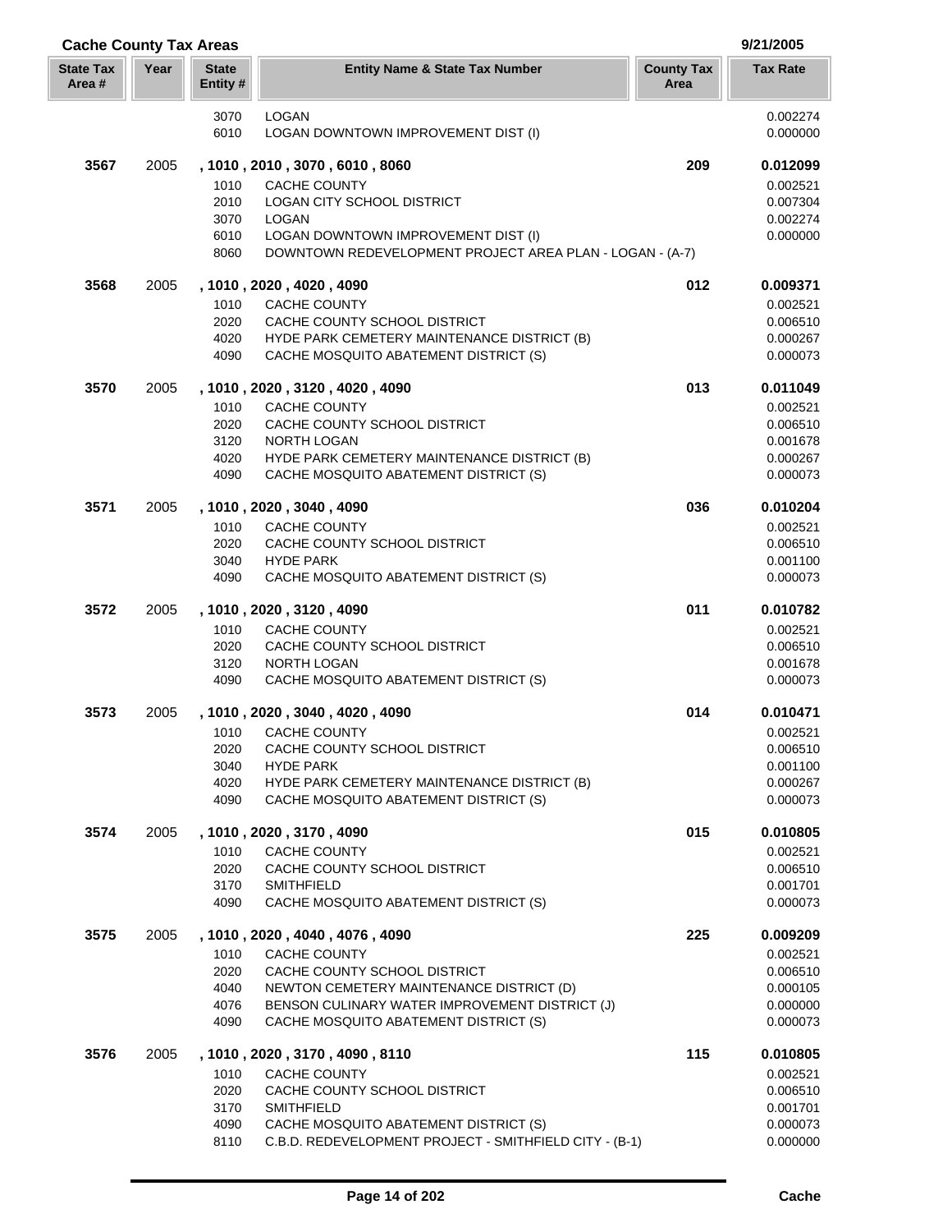| <b>Cache County Tax Areas</b> |      |                          |                                                                                                        |                           | 9/21/2005            |
|-------------------------------|------|--------------------------|--------------------------------------------------------------------------------------------------------|---------------------------|----------------------|
| <b>State Tax</b><br>Area#     | Year | <b>State</b><br>Entity # | <b>Entity Name &amp; State Tax Number</b>                                                              | <b>County Tax</b><br>Area | <b>Tax Rate</b>      |
|                               |      | 3070                     | <b>LOGAN</b>                                                                                           |                           | 0.002274             |
|                               |      | 6010                     | LOGAN DOWNTOWN IMPROVEMENT DIST (I)                                                                    |                           | 0.000000             |
| 3567                          | 2005 |                          | , 1010, 2010, 3070, 6010, 8060                                                                         | 209                       | 0.012099             |
|                               |      | 1010                     | <b>CACHE COUNTY</b>                                                                                    |                           | 0.002521             |
|                               |      | 2010                     | LOGAN CITY SCHOOL DISTRICT                                                                             |                           | 0.007304             |
|                               |      | 3070                     | <b>LOGAN</b>                                                                                           |                           | 0.002274             |
|                               |      | 6010<br>8060             | <b>LOGAN DOWNTOWN IMPROVEMENT DIST (I)</b><br>DOWNTOWN REDEVELOPMENT PROJECT AREA PLAN - LOGAN - (A-7) |                           | 0.000000             |
| 3568                          | 2005 |                          | , 1010 , 2020 , 4020 , 4090                                                                            | 012                       | 0.009371             |
|                               |      | 1010                     | <b>CACHE COUNTY</b>                                                                                    |                           | 0.002521             |
|                               |      | 2020                     | CACHE COUNTY SCHOOL DISTRICT                                                                           |                           | 0.006510             |
|                               |      | 4020                     | HYDE PARK CEMETERY MAINTENANCE DISTRICT (B)                                                            |                           | 0.000267             |
|                               |      | 4090                     | CACHE MOSQUITO ABATEMENT DISTRICT (S)                                                                  |                           | 0.000073             |
| 3570                          | 2005 |                          | , 1010, 2020, 3120, 4020, 4090                                                                         | 013                       | 0.011049             |
|                               |      | 1010                     | <b>CACHE COUNTY</b>                                                                                    |                           | 0.002521             |
|                               |      | 2020<br>3120             | CACHE COUNTY SCHOOL DISTRICT<br><b>NORTH LOGAN</b>                                                     |                           | 0.006510<br>0.001678 |
|                               |      | 4020                     | HYDE PARK CEMETERY MAINTENANCE DISTRICT (B)                                                            |                           | 0.000267             |
|                               |      | 4090                     | CACHE MOSQUITO ABATEMENT DISTRICT (S)                                                                  |                           | 0.000073             |
| 3571                          | 2005 |                          | , 1010 , 2020 , 3040 , 4090                                                                            | 036                       | 0.010204             |
|                               |      | 1010                     | <b>CACHE COUNTY</b>                                                                                    |                           | 0.002521             |
|                               |      | 2020                     | CACHE COUNTY SCHOOL DISTRICT                                                                           |                           | 0.006510             |
|                               |      | 3040<br>4090             | <b>HYDE PARK</b><br>CACHE MOSQUITO ABATEMENT DISTRICT (S)                                              |                           | 0.001100<br>0.000073 |
| 3572                          | 2005 |                          | , 1010, 2020, 3120, 4090                                                                               | 011                       | 0.010782             |
|                               |      | 1010                     | <b>CACHE COUNTY</b>                                                                                    |                           | 0.002521             |
|                               |      | 2020                     | CACHE COUNTY SCHOOL DISTRICT                                                                           |                           | 0.006510             |
|                               |      | 3120                     | <b>NORTH LOGAN</b>                                                                                     |                           | 0.001678             |
|                               |      | 4090                     | CACHE MOSQUITO ABATEMENT DISTRICT (S)                                                                  |                           | 0.000073             |
| 3573                          | 2005 |                          | , 1010, 2020, 3040, 4020, 4090                                                                         | 014                       | 0.010471             |
|                               |      |                          | 1010 CACHE COUNTY                                                                                      |                           | 0.002521             |
|                               |      | 2020<br>3040             | CACHE COUNTY SCHOOL DISTRICT<br><b>HYDE PARK</b>                                                       |                           | 0.006510<br>0.001100 |
|                               |      | 4020                     | HYDE PARK CEMETERY MAINTENANCE DISTRICT (B)                                                            |                           | 0.000267             |
|                               |      | 4090                     | CACHE MOSQUITO ABATEMENT DISTRICT (S)                                                                  |                           | 0.000073             |
| 3574                          | 2005 |                          | , 1010, 2020, 3170, 4090                                                                               | 015                       | 0.010805             |
|                               |      | 1010                     | CACHE COUNTY                                                                                           |                           | 0.002521             |
|                               |      | 2020                     | CACHE COUNTY SCHOOL DISTRICT                                                                           |                           | 0.006510             |
|                               |      | 3170<br>4090             | <b>SMITHFIELD</b><br>CACHE MOSQUITO ABATEMENT DISTRICT (S)                                             |                           | 0.001701<br>0.000073 |
| 3575                          | 2005 |                          | , 1010, 2020, 4040, 4076, 4090                                                                         | 225                       | 0.009209             |
|                               |      | 1010                     | CACHE COUNTY                                                                                           |                           | 0.002521             |
|                               |      | 2020                     | CACHE COUNTY SCHOOL DISTRICT                                                                           |                           | 0.006510             |
|                               |      | 4040                     | NEWTON CEMETERY MAINTENANCE DISTRICT (D)                                                               |                           | 0.000105             |
|                               |      | 4076<br>4090             | BENSON CULINARY WATER IMPROVEMENT DISTRICT (J)<br>CACHE MOSQUITO ABATEMENT DISTRICT (S)                |                           | 0.000000<br>0.000073 |
| 3576                          | 2005 |                          | , 1010, 2020, 3170, 4090, 8110                                                                         | 115                       | 0.010805             |
|                               |      | 1010                     | <b>CACHE COUNTY</b>                                                                                    |                           | 0.002521             |
|                               |      | 2020                     | CACHE COUNTY SCHOOL DISTRICT                                                                           |                           | 0.006510             |
|                               |      | 3170                     | <b>SMITHFIELD</b>                                                                                      |                           | 0.001701             |
|                               |      | 4090                     | CACHE MOSQUITO ABATEMENT DISTRICT (S)                                                                  |                           | 0.000073             |
|                               |      | 8110                     | C.B.D. REDEVELOPMENT PROJECT - SMITHFIELD CITY - (B-1)                                                 |                           | 0.000000             |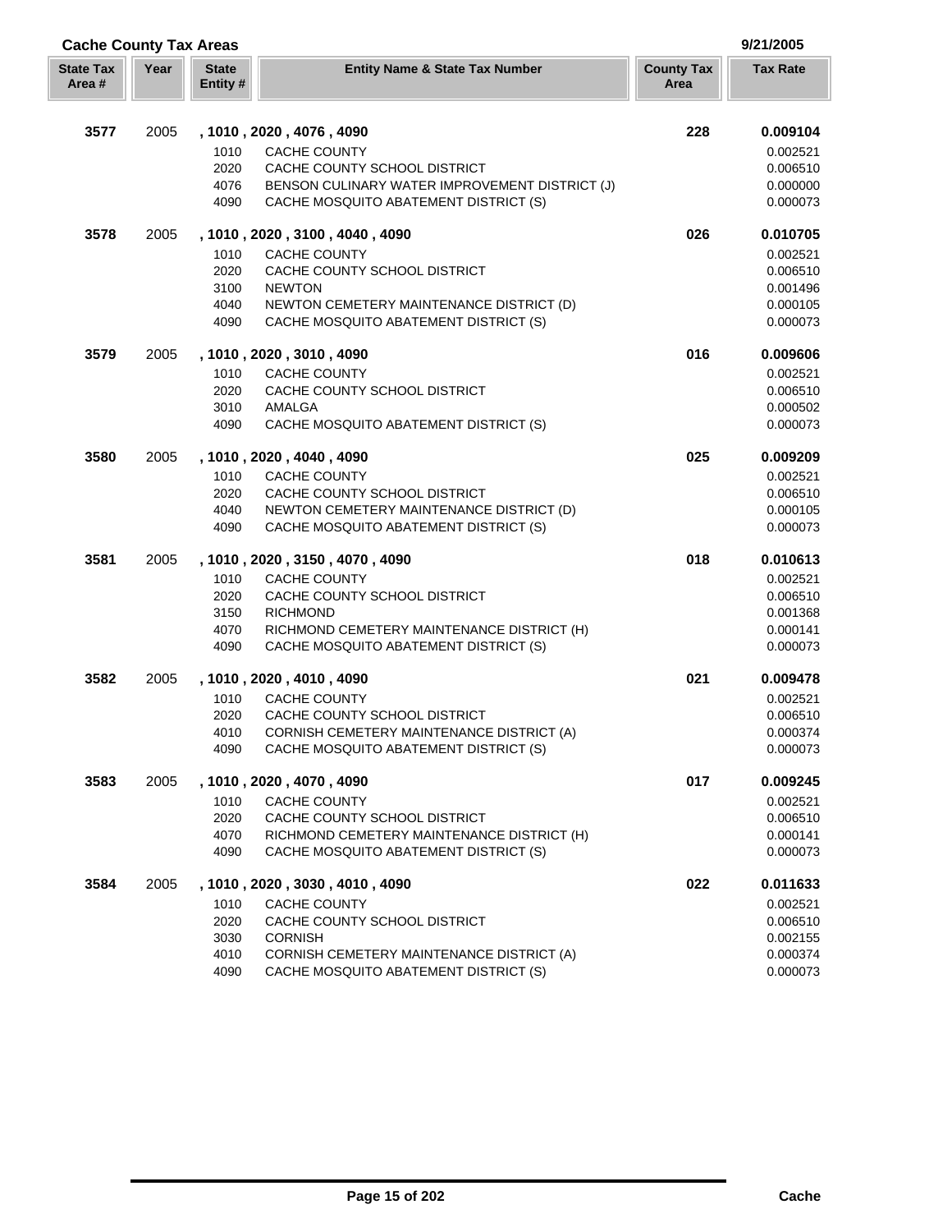| <b>Cache County Tax Areas</b> |      |                          |                                                                                     |                           | 9/21/2005            |
|-------------------------------|------|--------------------------|-------------------------------------------------------------------------------------|---------------------------|----------------------|
| <b>State Tax</b><br>Area #    | Year | <b>State</b><br>Entity # | <b>Entity Name &amp; State Tax Number</b>                                           | <b>County Tax</b><br>Area | <b>Tax Rate</b>      |
| 3577                          | 2005 |                          | , 1010, 2020, 4076, 4090                                                            | 228                       | 0.009104             |
|                               |      | 1010                     | <b>CACHE COUNTY</b>                                                                 |                           | 0.002521             |
|                               |      | 2020                     | CACHE COUNTY SCHOOL DISTRICT                                                        |                           | 0.006510             |
|                               |      | 4076                     | BENSON CULINARY WATER IMPROVEMENT DISTRICT (J)                                      |                           | 0.000000             |
|                               |      | 4090                     | CACHE MOSQUITO ABATEMENT DISTRICT (S)                                               |                           | 0.000073             |
| 3578                          | 2005 |                          | , 1010 , 2020 , 3100 , 4040 , 4090                                                  | 026                       | 0.010705             |
|                               |      | 1010                     | <b>CACHE COUNTY</b>                                                                 |                           | 0.002521             |
|                               |      | 2020                     | CACHE COUNTY SCHOOL DISTRICT                                                        |                           | 0.006510             |
|                               |      | 3100                     | <b>NEWTON</b>                                                                       |                           | 0.001496             |
|                               |      | 4040<br>4090             | NEWTON CEMETERY MAINTENANCE DISTRICT (D)<br>CACHE MOSQUITO ABATEMENT DISTRICT (S)   |                           | 0.000105<br>0.000073 |
| 3579                          | 2005 |                          | , 1010, 2020, 3010, 4090                                                            | 016                       | 0.009606             |
|                               |      | 1010                     | <b>CACHE COUNTY</b>                                                                 |                           | 0.002521             |
|                               |      | 2020                     | CACHE COUNTY SCHOOL DISTRICT                                                        |                           | 0.006510             |
|                               |      | 3010                     | AMALGA                                                                              |                           | 0.000502             |
|                               |      | 4090                     | CACHE MOSQUITO ABATEMENT DISTRICT (S)                                               |                           | 0.000073             |
| 3580                          | 2005 |                          | , 1010, 2020, 4040, 4090                                                            | 025                       | 0.009209             |
|                               |      | 1010                     | <b>CACHE COUNTY</b>                                                                 |                           | 0.002521             |
|                               |      | 2020                     | CACHE COUNTY SCHOOL DISTRICT                                                        |                           | 0.006510             |
|                               |      | 4040                     | NEWTON CEMETERY MAINTENANCE DISTRICT (D)                                            |                           | 0.000105             |
|                               |      | 4090                     | CACHE MOSQUITO ABATEMENT DISTRICT (S)                                               |                           | 0.000073             |
| 3581                          | 2005 |                          | , 1010 , 2020 , 3150 , 4070 , 4090                                                  | 018                       | 0.010613             |
|                               |      | 1010                     | <b>CACHE COUNTY</b>                                                                 |                           | 0.002521             |
|                               |      | 2020                     | CACHE COUNTY SCHOOL DISTRICT                                                        |                           | 0.006510             |
|                               |      | 3150<br>4070             | <b>RICHMOND</b><br>RICHMOND CEMETERY MAINTENANCE DISTRICT (H)                       |                           | 0.001368<br>0.000141 |
|                               |      | 4090                     | CACHE MOSQUITO ABATEMENT DISTRICT (S)                                               |                           | 0.000073             |
| 3582                          | 2005 |                          | , 1010 , 2020 , 4010 , 4090                                                         | 021                       | 0.009478             |
|                               |      | 1010                     | <b>CACHE COUNTY</b>                                                                 |                           | 0.002521             |
|                               |      | 2020                     | CACHE COUNTY SCHOOL DISTRICT                                                        |                           | 0.006510             |
|                               |      | 4010                     | CORNISH CEMETERY MAINTENANCE DISTRICT (A)                                           |                           | 0.000374             |
|                               |      | 4090                     | CACHE MOSQUITO ABATEMENT DISTRICT (S)                                               |                           | 0.000073             |
| 3583                          | 2005 |                          | , 1010, 2020, 4070, 4090                                                            | 017                       | 0.009245             |
|                               |      | 1010                     | CACHE COUNTY                                                                        |                           | 0.002521             |
|                               |      | 2020                     | CACHE COUNTY SCHOOL DISTRICT                                                        |                           | 0.006510             |
|                               |      | 4070<br>4090             | RICHMOND CEMETERY MAINTENANCE DISTRICT (H)<br>CACHE MOSQUITO ABATEMENT DISTRICT (S) |                           | 0.000141<br>0.000073 |
| 3584                          | 2005 |                          | , 1010, 2020, 3030, 4010, 4090                                                      | 022                       | 0.011633             |
|                               |      | 1010                     | <b>CACHE COUNTY</b>                                                                 |                           | 0.002521             |
|                               |      | 2020                     | CACHE COUNTY SCHOOL DISTRICT                                                        |                           | 0.006510             |
|                               |      | 3030                     | <b>CORNISH</b>                                                                      |                           | 0.002155             |
|                               |      | 4010                     | CORNISH CEMETERY MAINTENANCE DISTRICT (A)                                           |                           | 0.000374             |
|                               |      | 4090                     | CACHE MOSQUITO ABATEMENT DISTRICT (S)                                               |                           | 0.000073             |

Г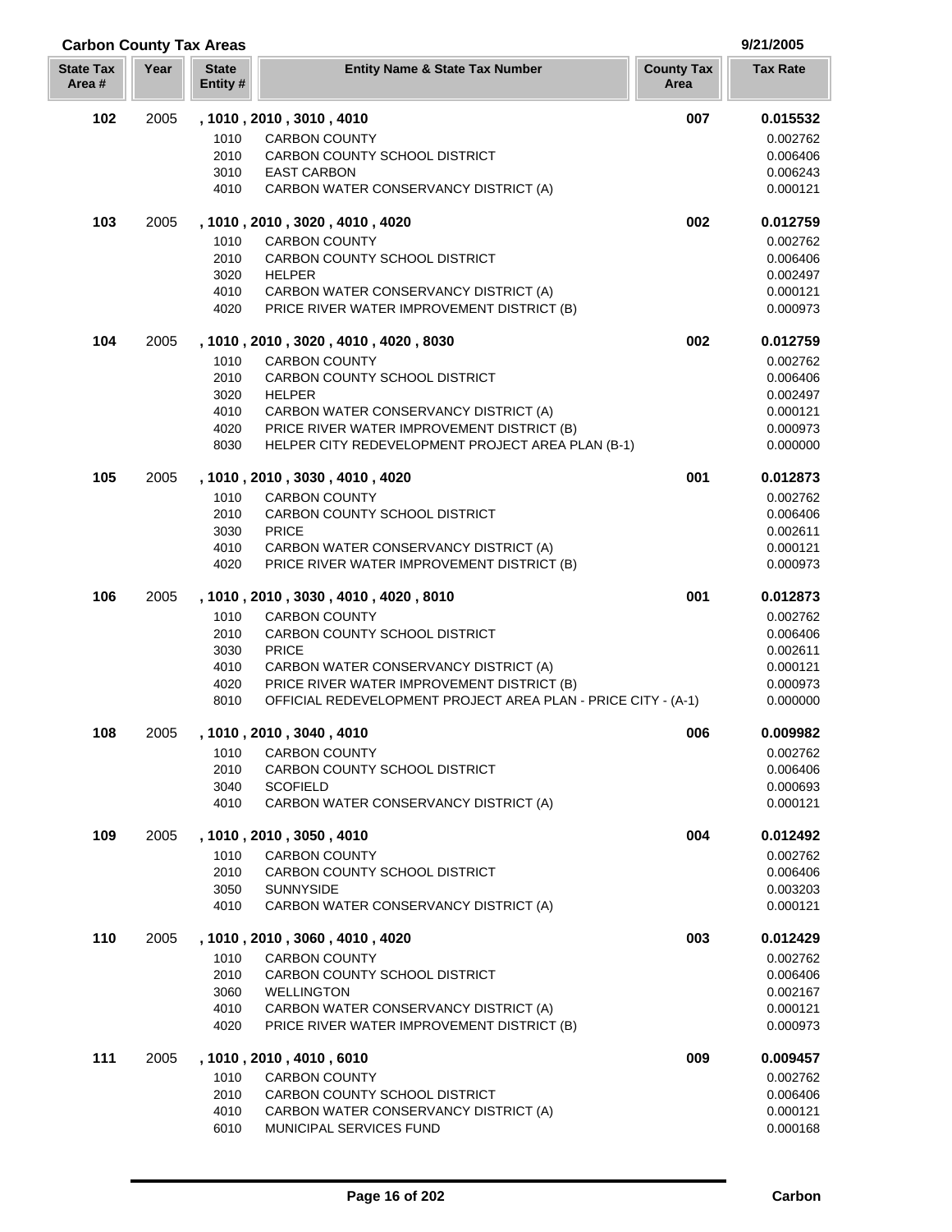| <b>State Tax</b><br>Area# | Year | <b>State</b><br>Entity # | <b>Entity Name &amp; State Tax Number</b>                                                                   | <b>County Tax</b><br>Area | <b>Tax Rate</b>      |
|---------------------------|------|--------------------------|-------------------------------------------------------------------------------------------------------------|---------------------------|----------------------|
| 102                       | 2005 |                          | , 1010, 2010, 3010, 4010                                                                                    | 007                       | 0.015532             |
|                           |      | 1010                     | <b>CARBON COUNTY</b>                                                                                        |                           | 0.002762             |
|                           |      | 2010                     | CARBON COUNTY SCHOOL DISTRICT                                                                               |                           | 0.006406             |
|                           |      | 3010                     | <b>EAST CARBON</b>                                                                                          |                           | 0.006243             |
|                           |      | 4010                     | CARBON WATER CONSERVANCY DISTRICT (A)                                                                       |                           | 0.000121             |
| 103                       | 2005 |                          | , 1010, 2010, 3020, 4010, 4020                                                                              | 002                       | 0.012759             |
|                           |      | 1010                     | <b>CARBON COUNTY</b>                                                                                        |                           | 0.002762             |
|                           |      | 2010                     | CARBON COUNTY SCHOOL DISTRICT                                                                               |                           | 0.006406             |
|                           |      | 3020                     | <b>HELPER</b>                                                                                               |                           | 0.002497             |
|                           |      | 4010<br>4020             | CARBON WATER CONSERVANCY DISTRICT (A)<br>PRICE RIVER WATER IMPROVEMENT DISTRICT (B)                         |                           | 0.000121<br>0.000973 |
| 104                       | 2005 |                          | , 1010 , 2010 , 3020 , 4010 , 4020 , 8030                                                                   | 002                       | 0.012759             |
|                           |      | 1010                     | <b>CARBON COUNTY</b>                                                                                        |                           | 0.002762             |
|                           |      | 2010                     | CARBON COUNTY SCHOOL DISTRICT                                                                               |                           | 0.006406             |
|                           |      | 3020                     | <b>HELPER</b>                                                                                               |                           | 0.002497             |
|                           |      | 4010                     | CARBON WATER CONSERVANCY DISTRICT (A)                                                                       |                           | 0.000121             |
|                           |      | 4020                     | PRICE RIVER WATER IMPROVEMENT DISTRICT (B)                                                                  |                           | 0.000973             |
|                           |      | 8030                     | HELPER CITY REDEVELOPMENT PROJECT AREA PLAN (B-1)                                                           |                           | 0.000000             |
| 105                       | 2005 |                          | , 1010, 2010, 3030, 4010, 4020                                                                              | 001                       | 0.012873             |
|                           |      | 1010<br>2010             | <b>CARBON COUNTY</b><br>CARBON COUNTY SCHOOL DISTRICT                                                       |                           | 0.002762<br>0.006406 |
|                           |      | 3030                     | <b>PRICE</b>                                                                                                |                           | 0.002611             |
|                           |      | 4010                     | CARBON WATER CONSERVANCY DISTRICT (A)                                                                       |                           | 0.000121             |
|                           |      | 4020                     | PRICE RIVER WATER IMPROVEMENT DISTRICT (B)                                                                  |                           | 0.000973             |
| 106                       | 2005 |                          | , 1010, 2010, 3030, 4010, 4020, 8010                                                                        | 001                       | 0.012873             |
|                           |      | 1010                     | <b>CARBON COUNTY</b>                                                                                        |                           | 0.002762             |
|                           |      | 2010                     | CARBON COUNTY SCHOOL DISTRICT                                                                               |                           | 0.006406             |
|                           |      | 3030                     | <b>PRICE</b>                                                                                                |                           | 0.002611             |
|                           |      | 4010                     | CARBON WATER CONSERVANCY DISTRICT (A)                                                                       |                           | 0.000121             |
|                           |      | 4020<br>8010             | PRICE RIVER WATER IMPROVEMENT DISTRICT (B)<br>OFFICIAL REDEVELOPMENT PROJECT AREA PLAN - PRICE CITY - (A-1) |                           | 0.000973<br>0.000000 |
| 108                       | 2005 |                          | , 1010, 2010, 3040, 4010                                                                                    | 006                       | 0.009982             |
|                           |      |                          | 1010 CARBON COUNTY                                                                                          |                           | 0.002762             |
|                           |      | 2010                     | CARBON COUNTY SCHOOL DISTRICT                                                                               |                           | 0.006406             |
|                           |      | 3040                     | <b>SCOFIELD</b>                                                                                             |                           | 0.000693             |
|                           |      | 4010                     | CARBON WATER CONSERVANCY DISTRICT (A)                                                                       |                           | 0.000121             |
| 109                       | 2005 |                          | , 1010, 2010, 3050, 4010                                                                                    | 004                       | 0.012492             |
|                           |      | 1010                     | <b>CARBON COUNTY</b>                                                                                        |                           | 0.002762             |
|                           |      | 2010                     | CARBON COUNTY SCHOOL DISTRICT                                                                               |                           | 0.006406             |
|                           |      | 3050<br>4010             | <b>SUNNYSIDE</b><br>CARBON WATER CONSERVANCY DISTRICT (A)                                                   |                           | 0.003203<br>0.000121 |
| 110                       | 2005 |                          | , 1010, 2010, 3060, 4010, 4020                                                                              | 003                       | 0.012429             |
|                           |      | 1010                     | <b>CARBON COUNTY</b>                                                                                        |                           | 0.002762             |
|                           |      | 2010                     | CARBON COUNTY SCHOOL DISTRICT                                                                               |                           | 0.006406             |
|                           |      | 3060                     | <b>WELLINGTON</b>                                                                                           |                           | 0.002167             |
|                           |      | 4010                     | CARBON WATER CONSERVANCY DISTRICT (A)                                                                       |                           | 0.000121             |
|                           |      | 4020                     | PRICE RIVER WATER IMPROVEMENT DISTRICT (B)                                                                  |                           | 0.000973             |
| 111                       | 2005 |                          | , 1010 , 2010 , 4010 , 6010                                                                                 | 009                       | 0.009457             |
|                           |      | 1010                     | <b>CARBON COUNTY</b>                                                                                        |                           | 0.002762             |
|                           |      | 2010                     | CARBON COUNTY SCHOOL DISTRICT                                                                               |                           | 0.006406             |
|                           |      | 4010<br>6010             | CARBON WATER CONSERVANCY DISTRICT (A)<br>MUNICIPAL SERVICES FUND                                            |                           | 0.000121<br>0.000168 |
|                           |      |                          |                                                                                                             |                           |                      |

**Carbon County Tax Areas 9/21/2005**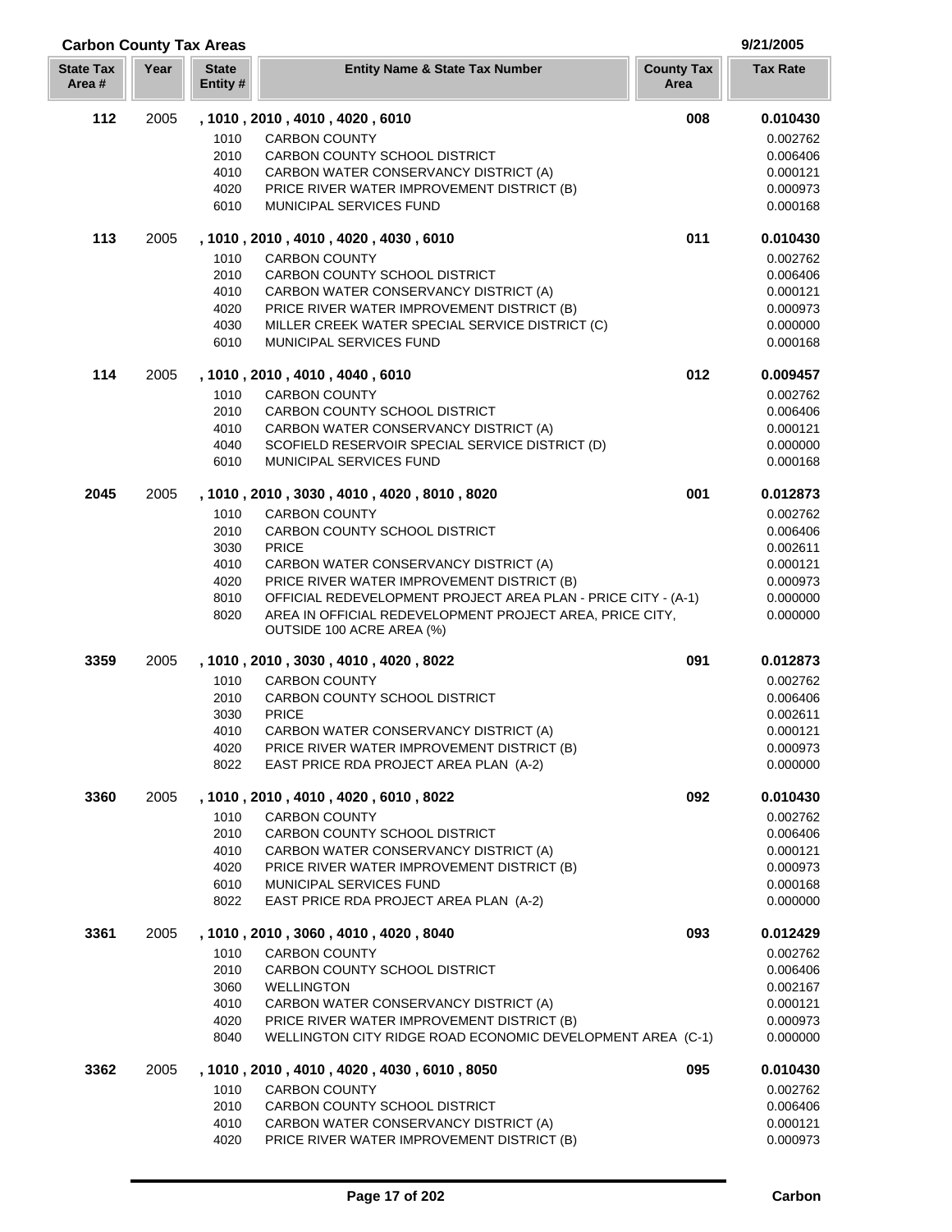| <b>Carbon County Tax Areas</b> |      |                          |                                                                                                                                                        |                           | 9/21/2005            |
|--------------------------------|------|--------------------------|--------------------------------------------------------------------------------------------------------------------------------------------------------|---------------------------|----------------------|
| <b>State Tax</b><br>Area#      | Year | <b>State</b><br>Entity # | <b>Entity Name &amp; State Tax Number</b>                                                                                                              | <b>County Tax</b><br>Area | <b>Tax Rate</b>      |
| 112                            | 2005 |                          | , 1010, 2010, 4010, 4020, 6010                                                                                                                         | 008                       | 0.010430             |
|                                |      | 1010                     | <b>CARBON COUNTY</b>                                                                                                                                   |                           | 0.002762             |
|                                |      | 2010                     | CARBON COUNTY SCHOOL DISTRICT                                                                                                                          |                           | 0.006406             |
|                                |      | 4010                     | CARBON WATER CONSERVANCY DISTRICT (A)                                                                                                                  |                           | 0.000121             |
|                                |      | 4020<br>6010             | PRICE RIVER WATER IMPROVEMENT DISTRICT (B)<br>MUNICIPAL SERVICES FUND                                                                                  |                           | 0.000973<br>0.000168 |
| 113                            | 2005 |                          | , 1010, 2010, 4010, 4020, 4030, 6010                                                                                                                   | 011                       | 0.010430             |
|                                |      | 1010                     | <b>CARBON COUNTY</b>                                                                                                                                   |                           | 0.002762             |
|                                |      | 2010                     | CARBON COUNTY SCHOOL DISTRICT                                                                                                                          |                           | 0.006406             |
|                                |      | 4010                     | CARBON WATER CONSERVANCY DISTRICT (A)                                                                                                                  |                           | 0.000121             |
|                                |      | 4020                     | PRICE RIVER WATER IMPROVEMENT DISTRICT (B)                                                                                                             |                           | 0.000973             |
|                                |      | 4030                     | MILLER CREEK WATER SPECIAL SERVICE DISTRICT (C)                                                                                                        |                           | 0.000000             |
|                                |      | 6010                     | MUNICIPAL SERVICES FUND                                                                                                                                |                           | 0.000168             |
| 114                            | 2005 |                          | , 1010, 2010, 4010, 4040, 6010                                                                                                                         | 012                       | 0.009457             |
|                                |      | 1010<br>2010             | <b>CARBON COUNTY</b><br>CARBON COUNTY SCHOOL DISTRICT                                                                                                  |                           | 0.002762<br>0.006406 |
|                                |      | 4010                     | CARBON WATER CONSERVANCY DISTRICT (A)                                                                                                                  |                           | 0.000121             |
|                                |      | 4040                     | SCOFIELD RESERVOIR SPECIAL SERVICE DISTRICT (D)                                                                                                        |                           | 0.000000             |
|                                |      | 6010                     | <b>MUNICIPAL SERVICES FUND</b>                                                                                                                         |                           | 0.000168             |
| 2045                           | 2005 |                          | , 1010, 2010, 3030, 4010, 4020, 8010, 8020                                                                                                             | 001                       | 0.012873             |
|                                |      | 1010                     | <b>CARBON COUNTY</b>                                                                                                                                   |                           | 0.002762             |
|                                |      | 2010                     | CARBON COUNTY SCHOOL DISTRICT                                                                                                                          |                           | 0.006406             |
|                                |      | 3030                     | <b>PRICE</b>                                                                                                                                           |                           | 0.002611             |
|                                |      | 4010                     | CARBON WATER CONSERVANCY DISTRICT (A)                                                                                                                  |                           | 0.000121             |
|                                |      | 4020                     | PRICE RIVER WATER IMPROVEMENT DISTRICT (B)                                                                                                             |                           | 0.000973             |
|                                |      | 8010<br>8020             | OFFICIAL REDEVELOPMENT PROJECT AREA PLAN - PRICE CITY - (A-1)<br>AREA IN OFFICIAL REDEVELOPMENT PROJECT AREA, PRICE CITY,<br>OUTSIDE 100 ACRE AREA (%) |                           | 0.000000<br>0.000000 |
| 3359                           | 2005 |                          | , 1010, 2010, 3030, 4010, 4020, 8022                                                                                                                   | 091                       | 0.012873             |
|                                |      | 1010                     | <b>CARBON COUNTY</b>                                                                                                                                   |                           | 0.002762             |
|                                |      | 2010                     | CARBON COUNTY SCHOOL DISTRICT                                                                                                                          |                           | 0.006406             |
|                                |      | 3030                     | <b>PRICE</b>                                                                                                                                           |                           | 0.002611             |
|                                |      | 4010                     | CARBON WATER CONSERVANCY DISTRICT (A)                                                                                                                  |                           | 0.000121             |
|                                |      | 4020<br>8022             | PRICE RIVER WATER IMPROVEMENT DISTRICT (B)<br>EAST PRICE RDA PROJECT AREA PLAN (A-2)                                                                   |                           | 0.000973<br>0.000000 |
|                                |      |                          |                                                                                                                                                        |                           |                      |
| 3360                           | 2005 | 1010                     | , 1010 , 2010 , 4010 , 4020 , 6010 , 8022<br><b>CARBON COUNTY</b>                                                                                      | 092                       | 0.010430<br>0.002762 |
|                                |      | 2010                     | CARBON COUNTY SCHOOL DISTRICT                                                                                                                          |                           | 0.006406             |
|                                |      | 4010                     | CARBON WATER CONSERVANCY DISTRICT (A)                                                                                                                  |                           | 0.000121             |
|                                |      | 4020                     | PRICE RIVER WATER IMPROVEMENT DISTRICT (B)                                                                                                             |                           | 0.000973             |
|                                |      | 6010                     | MUNICIPAL SERVICES FUND                                                                                                                                |                           | 0.000168             |
|                                |      | 8022                     | EAST PRICE RDA PROJECT AREA PLAN (A-2)                                                                                                                 |                           | 0.000000             |
| 3361                           | 2005 |                          | , 1010 , 2010 , 3060 , 4010 , 4020 , 8040                                                                                                              | 093                       | 0.012429             |
|                                |      | 1010                     | <b>CARBON COUNTY</b>                                                                                                                                   |                           | 0.002762             |
|                                |      | 2010                     | CARBON COUNTY SCHOOL DISTRICT<br><b>WELLINGTON</b>                                                                                                     |                           | 0.006406             |
|                                |      | 3060<br>4010             | CARBON WATER CONSERVANCY DISTRICT (A)                                                                                                                  |                           | 0.002167<br>0.000121 |
|                                |      | 4020                     | PRICE RIVER WATER IMPROVEMENT DISTRICT (B)                                                                                                             |                           | 0.000973             |
|                                |      | 8040                     | WELLINGTON CITY RIDGE ROAD ECONOMIC DEVELOPMENT AREA (C-1)                                                                                             |                           | 0.000000             |
| 3362                           | 2005 |                          | , 1010, 2010, 4010, 4020, 4030, 6010, 8050                                                                                                             | 095                       | 0.010430             |
|                                |      | 1010                     | <b>CARBON COUNTY</b>                                                                                                                                   |                           | 0.002762             |
|                                |      | 2010                     | CARBON COUNTY SCHOOL DISTRICT                                                                                                                          |                           | 0.006406             |
|                                |      | 4010                     | CARBON WATER CONSERVANCY DISTRICT (A)                                                                                                                  |                           | 0.000121             |
|                                |      | 4020                     | PRICE RIVER WATER IMPROVEMENT DISTRICT (B)                                                                                                             |                           | 0.000973             |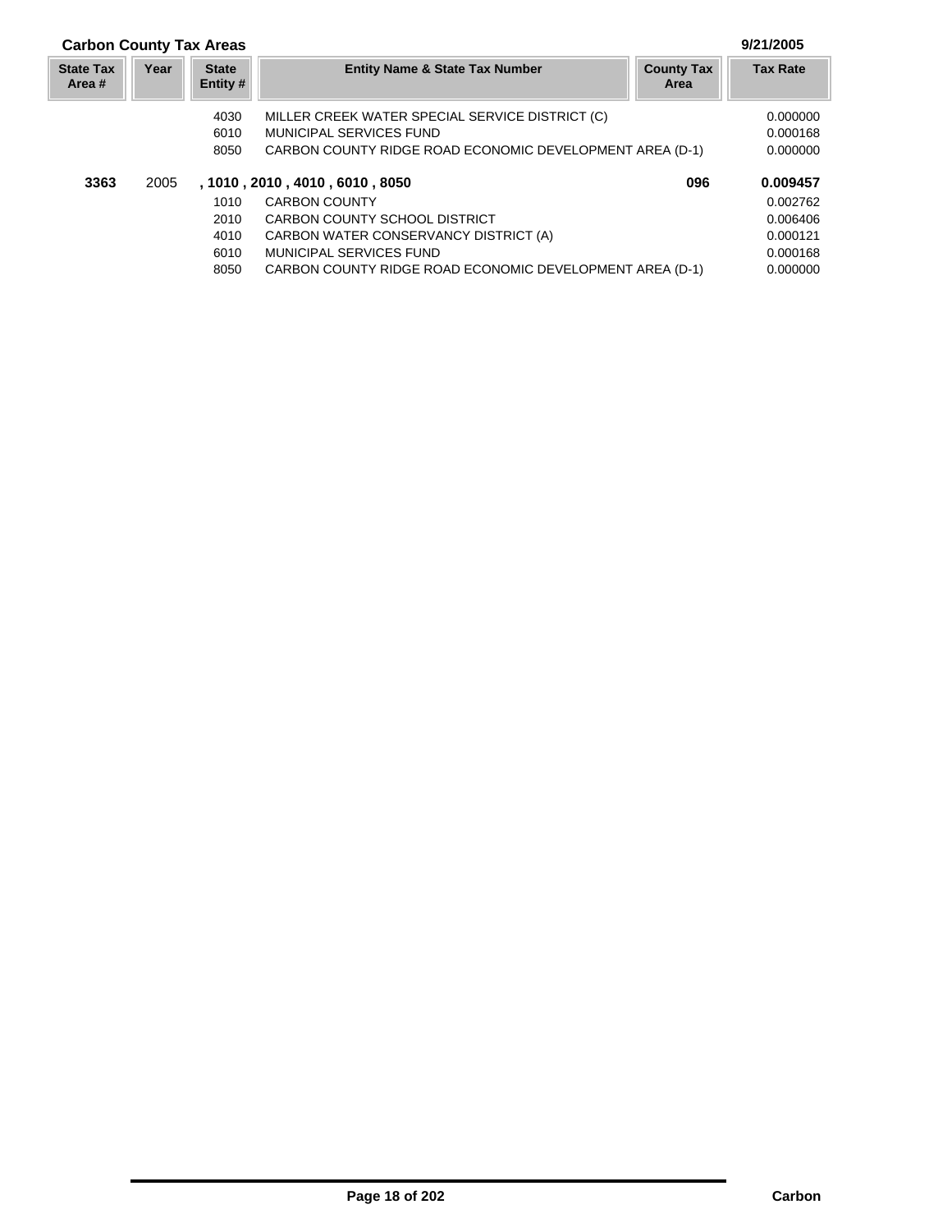## **Carbon County Tax Areas 9/21/2005**

| <b>State Tax</b><br>Area # | Year | <b>State</b><br>Entity # | <b>Entity Name &amp; State Tax Number</b><br><b>County Tax</b><br>Area |     | <b>Tax Rate</b> |
|----------------------------|------|--------------------------|------------------------------------------------------------------------|-----|-----------------|
|                            |      | 4030                     | MILLER CREEK WATER SPECIAL SERVICE DISTRICT (C)                        |     | 0.000000        |
|                            |      | 6010                     | MUNICIPAL SERVICES FUND                                                |     | 0.000168        |
|                            |      | 8050                     | CARBON COUNTY RIDGE ROAD ECONOMIC DEVELOPMENT AREA (D-1)               |     | 0.000000        |
| 3363                       | 2005 |                          | , 1010, 2010, 4010, 6010, 8050                                         | 096 | 0.009457        |
|                            |      | 1010                     | <b>CARBON COUNTY</b>                                                   |     | 0.002762        |
|                            |      | 2010                     | CARBON COUNTY SCHOOL DISTRICT                                          |     | 0.006406        |
|                            |      | 4010                     | CARBON WATER CONSERVANCY DISTRICT (A)                                  |     | 0.000121        |
|                            |      | 6010                     | MUNICIPAL SERVICES FUND                                                |     | 0.000168        |
|                            |      | 8050                     | CARBON COUNTY RIDGE ROAD ECONOMIC DEVELOPMENT AREA (D-1)               |     | 0.000000        |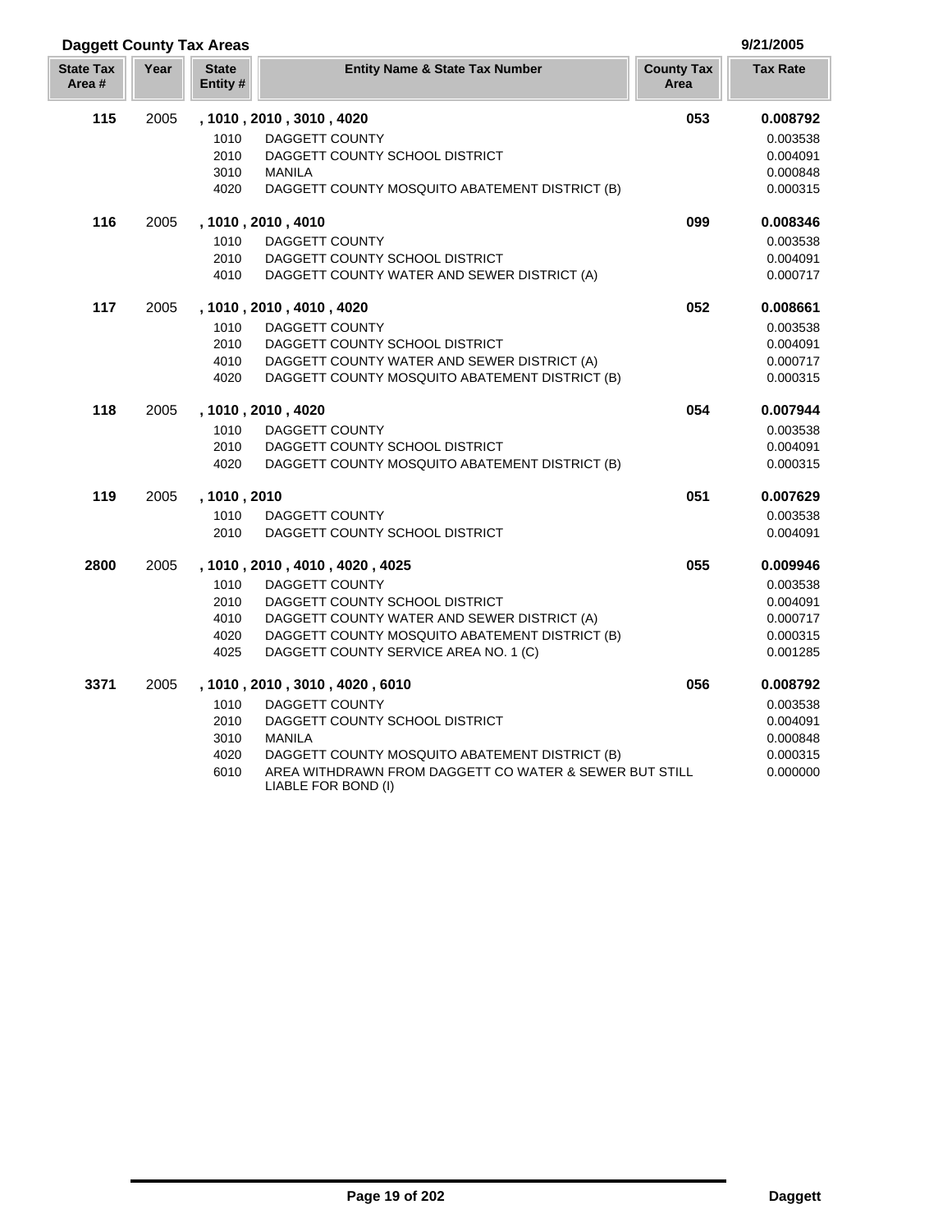| <b>Daggett County Tax Areas</b> |      |                          |                                                                               |                           | 9/21/2005       |
|---------------------------------|------|--------------------------|-------------------------------------------------------------------------------|---------------------------|-----------------|
| <b>State Tax</b><br>Area #      | Year | <b>State</b><br>Entity # | <b>Entity Name &amp; State Tax Number</b>                                     | <b>County Tax</b><br>Area | <b>Tax Rate</b> |
| 115                             | 2005 |                          | , 1010, 2010, 3010, 4020                                                      | 053                       | 0.008792        |
|                                 |      | 1010                     | DAGGETT COUNTY                                                                |                           | 0.003538        |
|                                 |      | 2010                     | DAGGETT COUNTY SCHOOL DISTRICT                                                |                           | 0.004091        |
|                                 |      | 3010                     | <b>MANILA</b>                                                                 |                           | 0.000848        |
|                                 |      | 4020                     | DAGGETT COUNTY MOSQUITO ABATEMENT DISTRICT (B)                                |                           | 0.000315        |
| 116                             | 2005 |                          | , 1010, 2010, 4010                                                            | 099                       | 0.008346        |
|                                 |      | 1010                     | DAGGETT COUNTY                                                                |                           | 0.003538        |
|                                 |      | 2010                     | DAGGETT COUNTY SCHOOL DISTRICT                                                |                           | 0.004091        |
|                                 |      | 4010                     | DAGGETT COUNTY WATER AND SEWER DISTRICT (A)                                   |                           | 0.000717        |
| 117                             | 2005 |                          | , 1010, 2010, 4010, 4020                                                      | 052                       | 0.008661        |
|                                 |      | 1010                     | <b>DAGGETT COUNTY</b>                                                         |                           | 0.003538        |
|                                 |      | 2010                     | DAGGETT COUNTY SCHOOL DISTRICT                                                |                           | 0.004091        |
|                                 |      | 4010                     | DAGGETT COUNTY WATER AND SEWER DISTRICT (A)                                   |                           | 0.000717        |
|                                 |      | 4020                     | DAGGETT COUNTY MOSQUITO ABATEMENT DISTRICT (B)                                |                           | 0.000315        |
| 118                             | 2005 |                          | , 1010, 2010, 4020                                                            | 054                       | 0.007944        |
|                                 |      | 1010                     | DAGGETT COUNTY                                                                |                           | 0.003538        |
|                                 |      | 2010                     | DAGGETT COUNTY SCHOOL DISTRICT                                                |                           | 0.004091        |
|                                 |      | 4020                     | DAGGETT COUNTY MOSQUITO ABATEMENT DISTRICT (B)                                |                           | 0.000315        |
| 119                             | 2005 | , 1010, 2010             |                                                                               | 051                       | 0.007629        |
|                                 |      | 1010                     | <b>DAGGETT COUNTY</b>                                                         |                           | 0.003538        |
|                                 |      | 2010                     | DAGGETT COUNTY SCHOOL DISTRICT                                                |                           | 0.004091        |
| 2800                            | 2005 |                          | , 1010, 2010, 4010, 4020, 4025                                                | 055                       | 0.009946        |
|                                 |      | 1010                     | DAGGETT COUNTY                                                                |                           | 0.003538        |
|                                 |      | 2010                     | DAGGETT COUNTY SCHOOL DISTRICT                                                |                           | 0.004091        |
|                                 |      | 4010                     | DAGGETT COUNTY WATER AND SEWER DISTRICT (A)                                   |                           | 0.000717        |
|                                 |      | 4020                     | DAGGETT COUNTY MOSQUITO ABATEMENT DISTRICT (B)                                |                           | 0.000315        |
|                                 |      | 4025                     | DAGGETT COUNTY SERVICE AREA NO. 1 (C)                                         |                           | 0.001285        |
| 3371                            | 2005 |                          | , 1010, 2010, 3010, 4020, 6010                                                | 056                       | 0.008792        |
|                                 |      | 1010                     | DAGGETT COUNTY                                                                |                           | 0.003538        |
|                                 |      | 2010                     | DAGGETT COUNTY SCHOOL DISTRICT                                                |                           | 0.004091        |
|                                 |      | 3010                     | <b>MANILA</b>                                                                 |                           | 0.000848        |
|                                 |      | 4020                     | DAGGETT COUNTY MOSQUITO ABATEMENT DISTRICT (B)                                |                           | 0.000315        |
|                                 |      | 6010                     | AREA WITHDRAWN FROM DAGGETT CO WATER & SEWER BUT STILL<br>LIABLE FOR BOND (I) |                           | 0.000000        |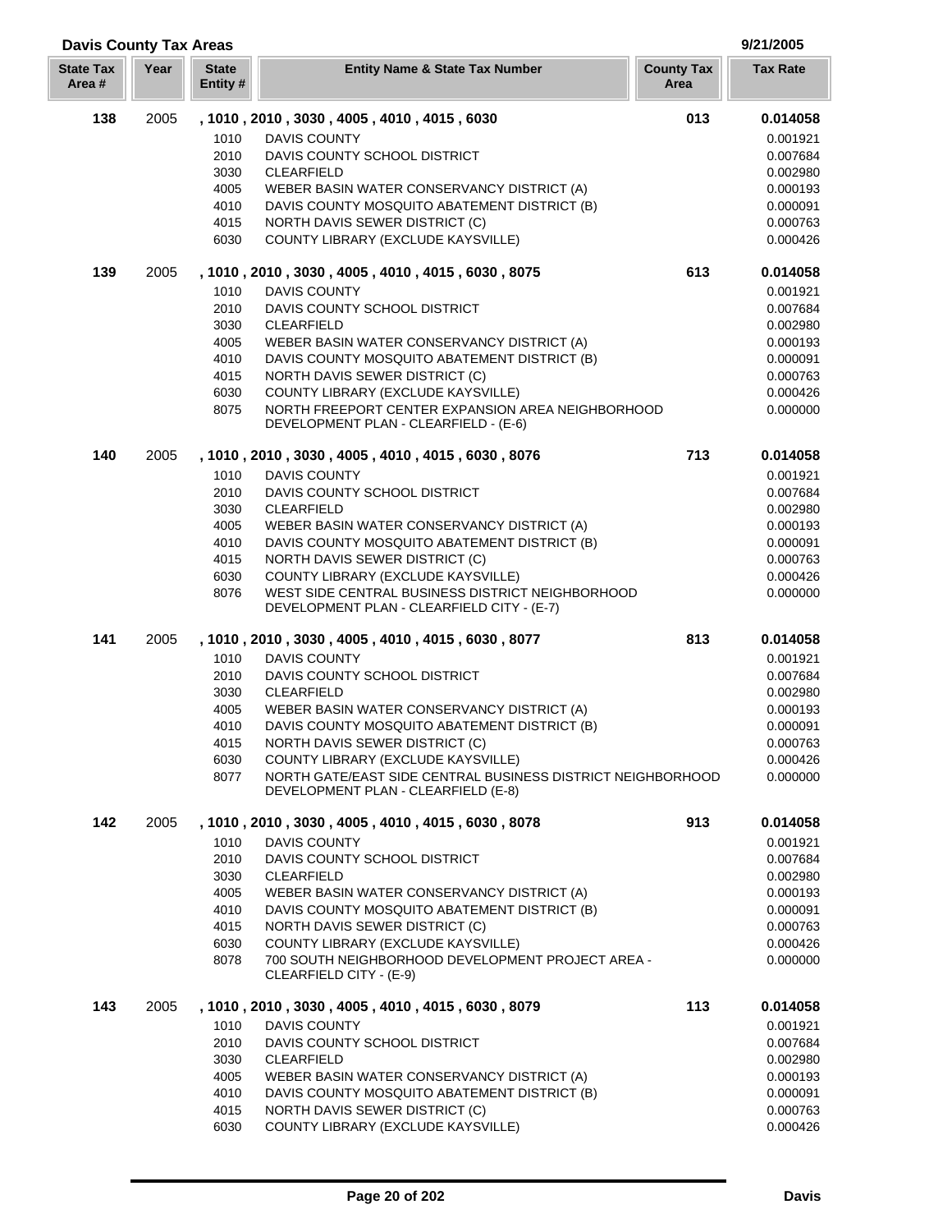| <b>Davis County Tax Areas</b> |      |                          |                                                                                                    |                           | 9/21/2005       |
|-------------------------------|------|--------------------------|----------------------------------------------------------------------------------------------------|---------------------------|-----------------|
| <b>State Tax</b><br>Area#     | Year | <b>State</b><br>Entity # | <b>Entity Name &amp; State Tax Number</b>                                                          | <b>County Tax</b><br>Area | <b>Tax Rate</b> |
| 138                           | 2005 |                          | , 1010, 2010, 3030, 4005, 4010, 4015, 6030                                                         | 013                       | 0.014058        |
|                               |      | 1010                     | DAVIS COUNTY                                                                                       |                           | 0.001921        |
|                               |      | 2010                     | DAVIS COUNTY SCHOOL DISTRICT                                                                       |                           | 0.007684        |
|                               |      | 3030                     | <b>CLEARFIELD</b>                                                                                  |                           | 0.002980        |
|                               |      | 4005                     | WEBER BASIN WATER CONSERVANCY DISTRICT (A)                                                         |                           | 0.000193        |
|                               |      | 4010                     | DAVIS COUNTY MOSQUITO ABATEMENT DISTRICT (B)                                                       |                           | 0.000091        |
|                               |      | 4015                     | NORTH DAVIS SEWER DISTRICT (C)                                                                     |                           | 0.000763        |
|                               |      | 6030                     | COUNTY LIBRARY (EXCLUDE KAYSVILLE)                                                                 |                           | 0.000426        |
| 139                           | 2005 |                          | , 1010, 2010, 3030, 4005, 4010, 4015, 6030, 8075                                                   | 613                       | 0.014058        |
|                               |      | 1010                     | <b>DAVIS COUNTY</b>                                                                                |                           | 0.001921        |
|                               |      | 2010                     | DAVIS COUNTY SCHOOL DISTRICT                                                                       |                           | 0.007684        |
|                               |      | 3030                     | <b>CLEARFIELD</b>                                                                                  |                           | 0.002980        |
|                               |      | 4005                     | WEBER BASIN WATER CONSERVANCY DISTRICT (A)                                                         |                           | 0.000193        |
|                               |      | 4010                     | DAVIS COUNTY MOSQUITO ABATEMENT DISTRICT (B)                                                       |                           | 0.000091        |
|                               |      | 4015                     | NORTH DAVIS SEWER DISTRICT (C)                                                                     |                           | 0.000763        |
|                               |      | 6030                     | COUNTY LIBRARY (EXCLUDE KAYSVILLE)                                                                 |                           | 0.000426        |
|                               |      | 8075                     | NORTH FREEPORT CENTER EXPANSION AREA NEIGHBORHOOD<br>DEVELOPMENT PLAN - CLEARFIELD - (E-6)         |                           | 0.000000        |
| 140                           | 2005 |                          | , 1010, 2010, 3030, 4005, 4010, 4015, 6030, 8076                                                   | 713                       | 0.014058        |
|                               |      | 1010                     | <b>DAVIS COUNTY</b>                                                                                |                           | 0.001921        |
|                               |      | 2010                     | DAVIS COUNTY SCHOOL DISTRICT                                                                       |                           | 0.007684        |
|                               |      | 3030                     | <b>CLEARFIELD</b>                                                                                  |                           | 0.002980        |
|                               |      | 4005                     | WEBER BASIN WATER CONSERVANCY DISTRICT (A)                                                         |                           | 0.000193        |
|                               |      | 4010                     | DAVIS COUNTY MOSQUITO ABATEMENT DISTRICT (B)                                                       |                           | 0.000091        |
|                               |      | 4015                     | NORTH DAVIS SEWER DISTRICT (C)                                                                     |                           | 0.000763        |
|                               |      | 6030                     | COUNTY LIBRARY (EXCLUDE KAYSVILLE)                                                                 |                           | 0.000426        |
|                               |      | 8076                     | WEST SIDE CENTRAL BUSINESS DISTRICT NEIGHBORHOOD<br>DEVELOPMENT PLAN - CLEARFIELD CITY - (E-7)     |                           | 0.000000        |
| 141                           | 2005 |                          | , 1010, 2010, 3030, 4005, 4010, 4015, 6030, 8077                                                   | 813                       | 0.014058        |
|                               |      | 1010                     | <b>DAVIS COUNTY</b>                                                                                |                           | 0.001921        |
|                               |      | 2010                     | DAVIS COUNTY SCHOOL DISTRICT                                                                       |                           | 0.007684        |
|                               |      | 3030                     | <b>CLEARFIELD</b>                                                                                  |                           | 0.002980        |
|                               |      | 4005                     | WEBER BASIN WATER CONSERVANCY DISTRICT (A)                                                         |                           | 0.000193        |
|                               |      | 4010                     | DAVIS COUNTY MOSQUITO ABATEMENT DISTRICT (B)                                                       |                           | 0.000091        |
|                               |      | 4015                     | NORTH DAVIS SEWER DISTRICT (C)                                                                     |                           | 0.000763        |
|                               |      | 6030                     | COUNTY LIBRARY (EXCLUDE KAYSVILLE)                                                                 |                           | 0.000426        |
|                               |      | 8077                     | NORTH GATE/EAST SIDE CENTRAL BUSINESS DISTRICT NEIGHBORHOOD<br>DEVELOPMENT PLAN - CLEARFIELD (E-8) |                           | 0.000000        |
| 142                           | 2005 |                          | , 1010, 2010, 3030, 4005, 4010, 4015, 6030, 8078                                                   | 913                       | 0.014058        |
|                               |      | 1010                     | DAVIS COUNTY                                                                                       |                           | 0.001921        |
|                               |      | 2010                     | DAVIS COUNTY SCHOOL DISTRICT                                                                       |                           | 0.007684        |
|                               |      | 3030                     | <b>CLEARFIELD</b>                                                                                  |                           | 0.002980        |
|                               |      | 4005                     | WEBER BASIN WATER CONSERVANCY DISTRICT (A)                                                         |                           | 0.000193        |
|                               |      | 4010                     | DAVIS COUNTY MOSQUITO ABATEMENT DISTRICT (B)                                                       |                           | 0.000091        |
|                               |      | 4015                     | NORTH DAVIS SEWER DISTRICT (C)                                                                     |                           | 0.000763        |
|                               |      | 6030                     | COUNTY LIBRARY (EXCLUDE KAYSVILLE)                                                                 |                           | 0.000426        |
|                               |      | 8078                     | 700 SOUTH NEIGHBORHOOD DEVELOPMENT PROJECT AREA -<br>CLEARFIELD CITY - (E-9)                       |                           | 0.000000        |
| 143                           | 2005 |                          | , 1010, 2010, 3030, 4005, 4010, 4015, 6030, 8079                                                   | 113                       | 0.014058        |
|                               |      | 1010                     | DAVIS COUNTY                                                                                       |                           | 0.001921        |
|                               |      | 2010                     | DAVIS COUNTY SCHOOL DISTRICT                                                                       |                           | 0.007684        |
|                               |      | 3030                     | <b>CLEARFIELD</b>                                                                                  |                           | 0.002980        |
|                               |      | 4005                     | WEBER BASIN WATER CONSERVANCY DISTRICT (A)                                                         |                           | 0.000193        |
|                               |      | 4010                     | DAVIS COUNTY MOSQUITO ABATEMENT DISTRICT (B)                                                       |                           | 0.000091        |
|                               |      | 4015                     | NORTH DAVIS SEWER DISTRICT (C)                                                                     |                           | 0.000763        |
|                               |      | 6030                     | COUNTY LIBRARY (EXCLUDE KAYSVILLE)                                                                 |                           | 0.000426        |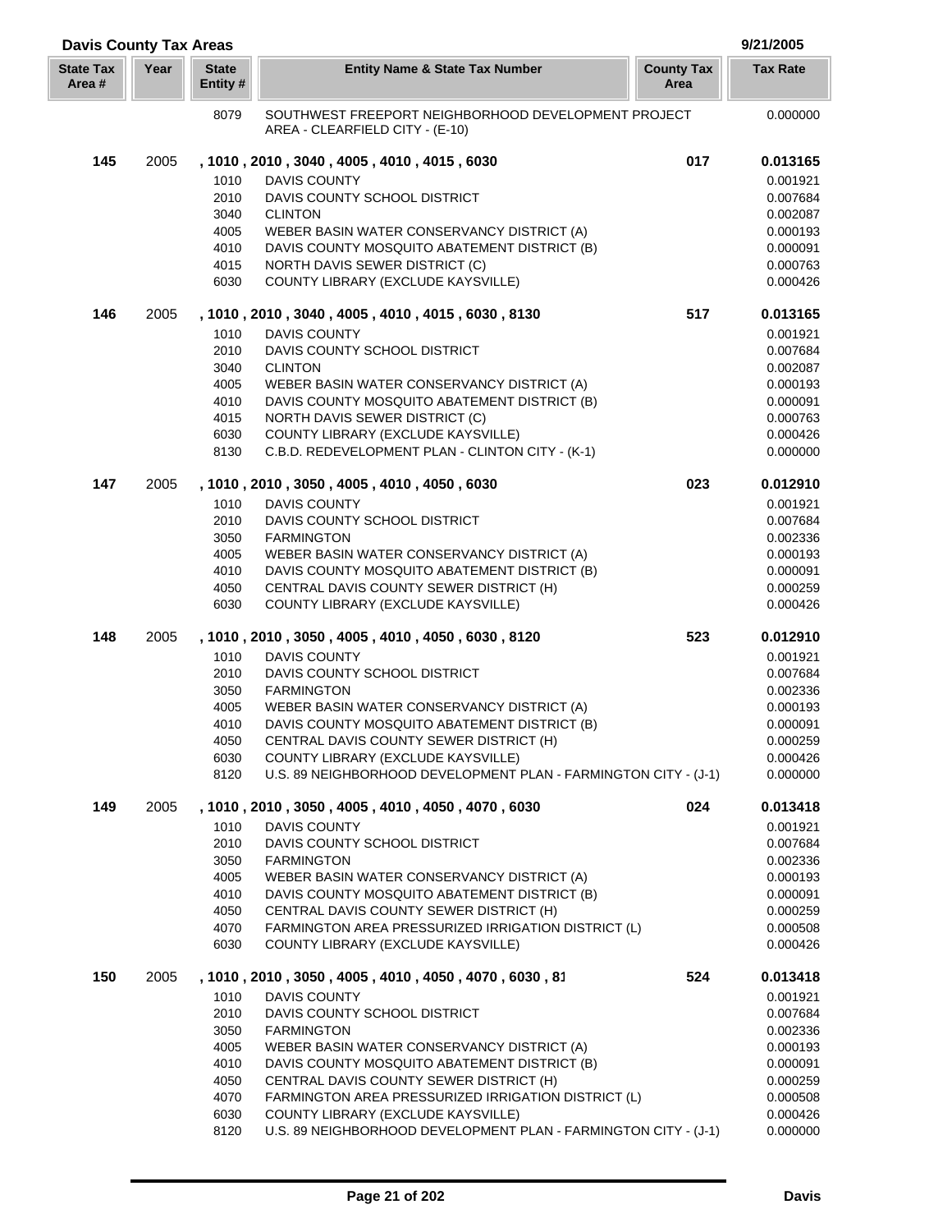| <b>Davis County Tax Areas</b> |      |                          |                                                                                            |                           | 9/21/2005            |
|-------------------------------|------|--------------------------|--------------------------------------------------------------------------------------------|---------------------------|----------------------|
| <b>State Tax</b><br>Area #    | Year | <b>State</b><br>Entity # | <b>Entity Name &amp; State Tax Number</b>                                                  | <b>County Tax</b><br>Area | <b>Tax Rate</b>      |
|                               |      | 8079                     | SOUTHWEST FREEPORT NEIGHBORHOOD DEVELOPMENT PROJECT<br>AREA - CLEARFIELD CITY - (E-10)     |                           | 0.000000             |
| 145                           | 2005 |                          | , 1010, 2010, 3040, 4005, 4010, 4015, 6030                                                 | 017                       | 0.013165             |
|                               |      | 1010                     | DAVIS COUNTY                                                                               |                           | 0.001921             |
|                               |      | 2010                     | DAVIS COUNTY SCHOOL DISTRICT                                                               |                           | 0.007684             |
|                               |      | 3040                     | <b>CLINTON</b>                                                                             |                           | 0.002087             |
|                               |      | 4005                     | WEBER BASIN WATER CONSERVANCY DISTRICT (A)                                                 |                           | 0.000193             |
|                               |      | 4010                     | DAVIS COUNTY MOSQUITO ABATEMENT DISTRICT (B)                                               |                           | 0.000091             |
|                               |      | 4015                     | NORTH DAVIS SEWER DISTRICT (C)                                                             |                           | 0.000763             |
|                               |      | 6030                     | COUNTY LIBRARY (EXCLUDE KAYSVILLE)                                                         |                           | 0.000426             |
| 146                           | 2005 |                          | , 1010, 2010, 3040, 4005, 4010, 4015, 6030, 8130                                           | 517                       | 0.013165             |
|                               |      | 1010                     | <b>DAVIS COUNTY</b>                                                                        |                           | 0.001921             |
|                               |      | 2010                     | DAVIS COUNTY SCHOOL DISTRICT                                                               |                           | 0.007684             |
|                               |      | 3040                     | <b>CLINTON</b>                                                                             |                           | 0.002087             |
|                               |      | 4005                     | WEBER BASIN WATER CONSERVANCY DISTRICT (A)                                                 |                           | 0.000193             |
|                               |      | 4010                     | DAVIS COUNTY MOSQUITO ABATEMENT DISTRICT (B)                                               |                           | 0.000091             |
|                               |      | 4015                     | NORTH DAVIS SEWER DISTRICT (C)                                                             |                           | 0.000763             |
|                               |      | 6030                     | COUNTY LIBRARY (EXCLUDE KAYSVILLE)                                                         |                           | 0.000426             |
|                               |      | 8130                     | C.B.D. REDEVELOPMENT PLAN - CLINTON CITY - (K-1)                                           |                           | 0.000000             |
| 147                           | 2005 |                          | , 1010, 2010, 3050, 4005, 4010, 4050, 6030                                                 | 023                       | 0.012910             |
|                               |      | 1010                     | <b>DAVIS COUNTY</b>                                                                        |                           | 0.001921             |
|                               |      | 2010                     | DAVIS COUNTY SCHOOL DISTRICT                                                               |                           | 0.007684             |
|                               |      | 3050                     | <b>FARMINGTON</b>                                                                          |                           | 0.002336             |
|                               |      | 4005<br>4010             | WEBER BASIN WATER CONSERVANCY DISTRICT (A)<br>DAVIS COUNTY MOSQUITO ABATEMENT DISTRICT (B) |                           | 0.000193<br>0.000091 |
|                               |      | 4050                     | CENTRAL DAVIS COUNTY SEWER DISTRICT (H)                                                    |                           | 0.000259             |
|                               |      | 6030                     | COUNTY LIBRARY (EXCLUDE KAYSVILLE)                                                         |                           | 0.000426             |
| 148                           | 2005 |                          | , 1010 , 2010 , 3050 , 4005 , 4010 , 4050 , 6030 , 8120                                    | 523                       | 0.012910             |
|                               |      | 1010                     | <b>DAVIS COUNTY</b>                                                                        |                           | 0.001921             |
|                               |      | 2010                     | DAVIS COUNTY SCHOOL DISTRICT                                                               |                           | 0.007684             |
|                               |      | 3050                     | <b>FARMINGTON</b>                                                                          |                           | 0.002336             |
|                               |      | 4005                     | WEBER BASIN WATER CONSERVANCY DISTRICT (A)                                                 |                           | 0.000193             |
|                               |      | 4010                     | DAVIS COUNTY MOSQUITO ABATEMENT DISTRICT (B)                                               |                           | 0.000091             |
|                               |      | 4050                     | CENTRAL DAVIS COUNTY SEWER DISTRICT (H)                                                    |                           | 0.000259             |
|                               |      | 6030                     | COUNTY LIBRARY (EXCLUDE KAYSVILLE)                                                         |                           | 0.000426             |
|                               |      | 8120                     | U.S. 89 NEIGHBORHOOD DEVELOPMENT PLAN - FARMINGTON CITY - (J-1)                            |                           | 0.000000             |
| 149                           | 2005 |                          | , 1010, 2010, 3050, 4005, 4010, 4050, 4070, 6030                                           | 024                       | 0.013418             |
|                               |      | 1010                     | <b>DAVIS COUNTY</b>                                                                        |                           | 0.001921             |
|                               |      | 2010                     | DAVIS COUNTY SCHOOL DISTRICT                                                               |                           | 0.007684             |
|                               |      | 3050                     | <b>FARMINGTON</b>                                                                          |                           | 0.002336             |
|                               |      | 4005                     | WEBER BASIN WATER CONSERVANCY DISTRICT (A)                                                 |                           | 0.000193             |
|                               |      | 4010                     | DAVIS COUNTY MOSQUITO ABATEMENT DISTRICT (B)                                               |                           | 0.000091             |
|                               |      | 4050                     | CENTRAL DAVIS COUNTY SEWER DISTRICT (H)                                                    |                           | 0.000259             |
|                               |      | 4070<br>6030             | FARMINGTON AREA PRESSURIZED IRRIGATION DISTRICT (L)<br>COUNTY LIBRARY (EXCLUDE KAYSVILLE)  |                           | 0.000508<br>0.000426 |
| 150                           | 2005 |                          | , 1010 , 2010 , 3050 , 4005 , 4010 , 4050 , 4070 , 6030 , 81                               | 524                       | 0.013418             |
|                               |      | 1010                     | DAVIS COUNTY                                                                               |                           | 0.001921             |
|                               |      | 2010                     | DAVIS COUNTY SCHOOL DISTRICT                                                               |                           | 0.007684             |
|                               |      | 3050                     | <b>FARMINGTON</b>                                                                          |                           | 0.002336             |
|                               |      | 4005                     | WEBER BASIN WATER CONSERVANCY DISTRICT (A)                                                 |                           | 0.000193             |
|                               |      | 4010                     | DAVIS COUNTY MOSQUITO ABATEMENT DISTRICT (B)                                               |                           | 0.000091             |
|                               |      | 4050                     | CENTRAL DAVIS COUNTY SEWER DISTRICT (H)                                                    |                           | 0.000259             |
|                               |      | 4070                     | FARMINGTON AREA PRESSURIZED IRRIGATION DISTRICT (L)                                        |                           | 0.000508             |
|                               |      | 6030                     | COUNTY LIBRARY (EXCLUDE KAYSVILLE)                                                         |                           | 0.000426             |
|                               |      | 8120                     | U.S. 89 NEIGHBORHOOD DEVELOPMENT PLAN - FARMINGTON CITY - (J-1)                            |                           | 0.000000             |

Γ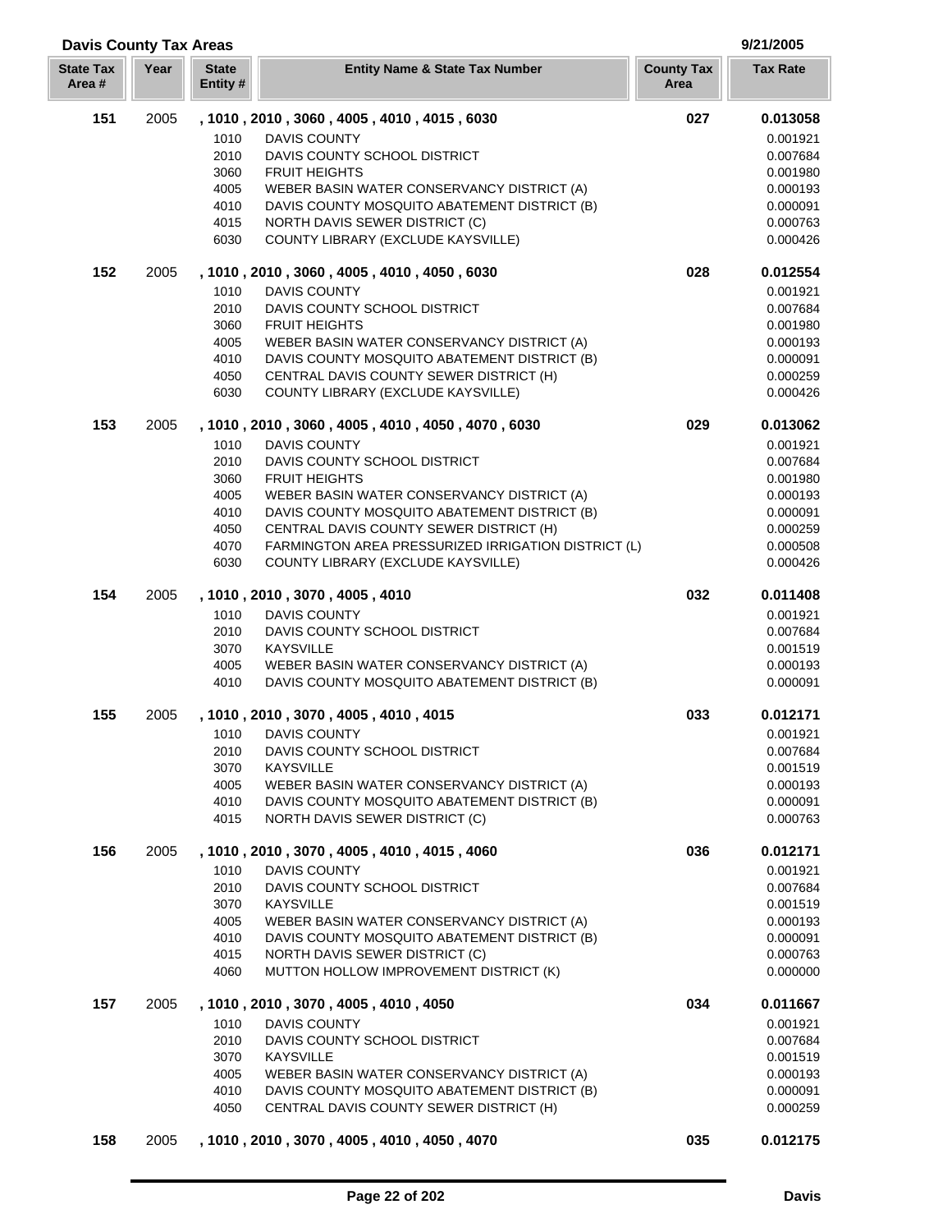| <b>State Tax</b><br>Area# | Year | <b>State</b><br>Entity# | <b>Entity Name &amp; State Tax Number</b>                                                  | <b>County Tax</b><br>Area | <b>Tax Rate</b>      |
|---------------------------|------|-------------------------|--------------------------------------------------------------------------------------------|---------------------------|----------------------|
| 151                       | 2005 |                         | , 1010, 2010, 3060, 4005, 4010, 4015, 6030                                                 | 027                       | 0.013058             |
|                           |      | 1010                    | <b>DAVIS COUNTY</b>                                                                        |                           | 0.001921             |
|                           |      | 2010                    | DAVIS COUNTY SCHOOL DISTRICT                                                               |                           | 0.007684             |
|                           |      | 3060                    | <b>FRUIT HEIGHTS</b>                                                                       |                           | 0.001980             |
|                           |      | 4005                    | WEBER BASIN WATER CONSERVANCY DISTRICT (A)                                                 |                           | 0.000193             |
|                           |      | 4010                    | DAVIS COUNTY MOSQUITO ABATEMENT DISTRICT (B)<br>NORTH DAVIS SEWER DISTRICT (C)             |                           | 0.000091             |
|                           |      | 4015<br>6030            | COUNTY LIBRARY (EXCLUDE KAYSVILLE)                                                         |                           | 0.000763<br>0.000426 |
| 152                       | 2005 |                         | , 1010, 2010, 3060, 4005, 4010, 4050, 6030                                                 | 028                       | 0.012554             |
|                           |      | 1010                    | <b>DAVIS COUNTY</b>                                                                        |                           | 0.001921             |
|                           |      | 2010                    | DAVIS COUNTY SCHOOL DISTRICT                                                               |                           | 0.007684             |
|                           |      | 3060                    | <b>FRUIT HEIGHTS</b>                                                                       |                           | 0.001980             |
|                           |      | 4005                    | WEBER BASIN WATER CONSERVANCY DISTRICT (A)                                                 |                           | 0.000193             |
|                           |      | 4010                    | DAVIS COUNTY MOSQUITO ABATEMENT DISTRICT (B)                                               |                           | 0.000091             |
|                           |      | 4050                    | CENTRAL DAVIS COUNTY SEWER DISTRICT (H)                                                    |                           | 0.000259             |
|                           |      | 6030                    | COUNTY LIBRARY (EXCLUDE KAYSVILLE)                                                         |                           | 0.000426             |
| 153                       | 2005 |                         | , 1010, 2010, 3060, 4005, 4010, 4050, 4070, 6030                                           | 029                       | 0.013062             |
|                           |      | 1010                    | DAVIS COUNTY                                                                               |                           | 0.001921             |
|                           |      | 2010<br>3060            | DAVIS COUNTY SCHOOL DISTRICT                                                               |                           | 0.007684             |
|                           |      | 4005                    | <b>FRUIT HEIGHTS</b>                                                                       |                           | 0.001980             |
|                           |      | 4010                    | WEBER BASIN WATER CONSERVANCY DISTRICT (A)<br>DAVIS COUNTY MOSQUITO ABATEMENT DISTRICT (B) |                           | 0.000193<br>0.000091 |
|                           |      | 4050                    | CENTRAL DAVIS COUNTY SEWER DISTRICT (H)                                                    |                           | 0.000259             |
|                           |      | 4070                    | FARMINGTON AREA PRESSURIZED IRRIGATION DISTRICT (L)                                        |                           | 0.000508             |
|                           |      | 6030                    | COUNTY LIBRARY (EXCLUDE KAYSVILLE)                                                         |                           | 0.000426             |
| 154                       | 2005 |                         | , 1010, 2010, 3070, 4005, 4010                                                             | 032                       | 0.011408             |
|                           |      | 1010                    | <b>DAVIS COUNTY</b>                                                                        |                           | 0.001921             |
|                           |      | 2010                    | DAVIS COUNTY SCHOOL DISTRICT                                                               |                           | 0.007684             |
|                           |      | 3070                    | <b>KAYSVILLE</b>                                                                           |                           | 0.001519             |
|                           |      | 4005                    | WEBER BASIN WATER CONSERVANCY DISTRICT (A)                                                 |                           | 0.000193             |
|                           |      | 4010                    | DAVIS COUNTY MOSQUITO ABATEMENT DISTRICT (B)                                               |                           | 0.000091             |
| 155                       | 2005 |                         | , 1010, 2010, 3070, 4005, 4010, 4015                                                       | 033                       | 0.012171             |
|                           |      | 1010                    | <b>DAVIS COUNTY</b>                                                                        |                           | 0.001921             |
|                           |      |                         | 2010 DAVIS COUNTY SCHOOL DISTRICT                                                          |                           | 0.007684             |
|                           |      | 3070                    | <b>KAYSVILLE</b>                                                                           |                           | 0.001519             |
|                           |      | 4005                    | WEBER BASIN WATER CONSERVANCY DISTRICT (A)                                                 |                           | 0.000193             |
|                           |      | 4010                    | DAVIS COUNTY MOSQUITO ABATEMENT DISTRICT (B)                                               |                           | 0.000091             |
|                           |      | 4015                    | <b>NORTH DAVIS SEWER DISTRICT (C)</b>                                                      |                           | 0.000763             |
| 156                       | 2005 | 1010                    | , 1010, 2010, 3070, 4005, 4010, 4015, 4060<br><b>DAVIS COUNTY</b>                          | 036                       | 0.012171<br>0.001921 |
|                           |      | 2010                    | DAVIS COUNTY SCHOOL DISTRICT                                                               |                           | 0.007684             |
|                           |      | 3070                    | <b>KAYSVILLE</b>                                                                           |                           | 0.001519             |
|                           |      | 4005                    | WEBER BASIN WATER CONSERVANCY DISTRICT (A)                                                 |                           | 0.000193             |
|                           |      | 4010                    | DAVIS COUNTY MOSQUITO ABATEMENT DISTRICT (B)                                               |                           | 0.000091             |
|                           |      | 4015                    | NORTH DAVIS SEWER DISTRICT (C)                                                             |                           | 0.000763             |
|                           |      | 4060                    | MUTTON HOLLOW IMPROVEMENT DISTRICT (K)                                                     |                           | 0.000000             |
| 157                       | 2005 |                         | , 1010 , 2010 , 3070 , 4005 , 4010 , 4050                                                  | 034                       | 0.011667             |
|                           |      | 1010                    | DAVIS COUNTY                                                                               |                           | 0.001921             |
|                           |      | 2010                    | DAVIS COUNTY SCHOOL DISTRICT                                                               |                           | 0.007684             |
|                           |      | 3070                    | <b>KAYSVILLE</b>                                                                           |                           | 0.001519             |
|                           |      | 4005                    | WEBER BASIN WATER CONSERVANCY DISTRICT (A)                                                 |                           | 0.000193             |
|                           |      | 4010                    | DAVIS COUNTY MOSQUITO ABATEMENT DISTRICT (B)                                               |                           | 0.000091             |
|                           |      | 4050                    | CENTRAL DAVIS COUNTY SEWER DISTRICT (H)                                                    |                           | 0.000259             |
| 158                       | 2005 |                         | , 1010, 2010, 3070, 4005, 4010, 4050, 4070                                                 | 035                       | 0.012175             |

**Davis County Tax Areas 9/21/2005**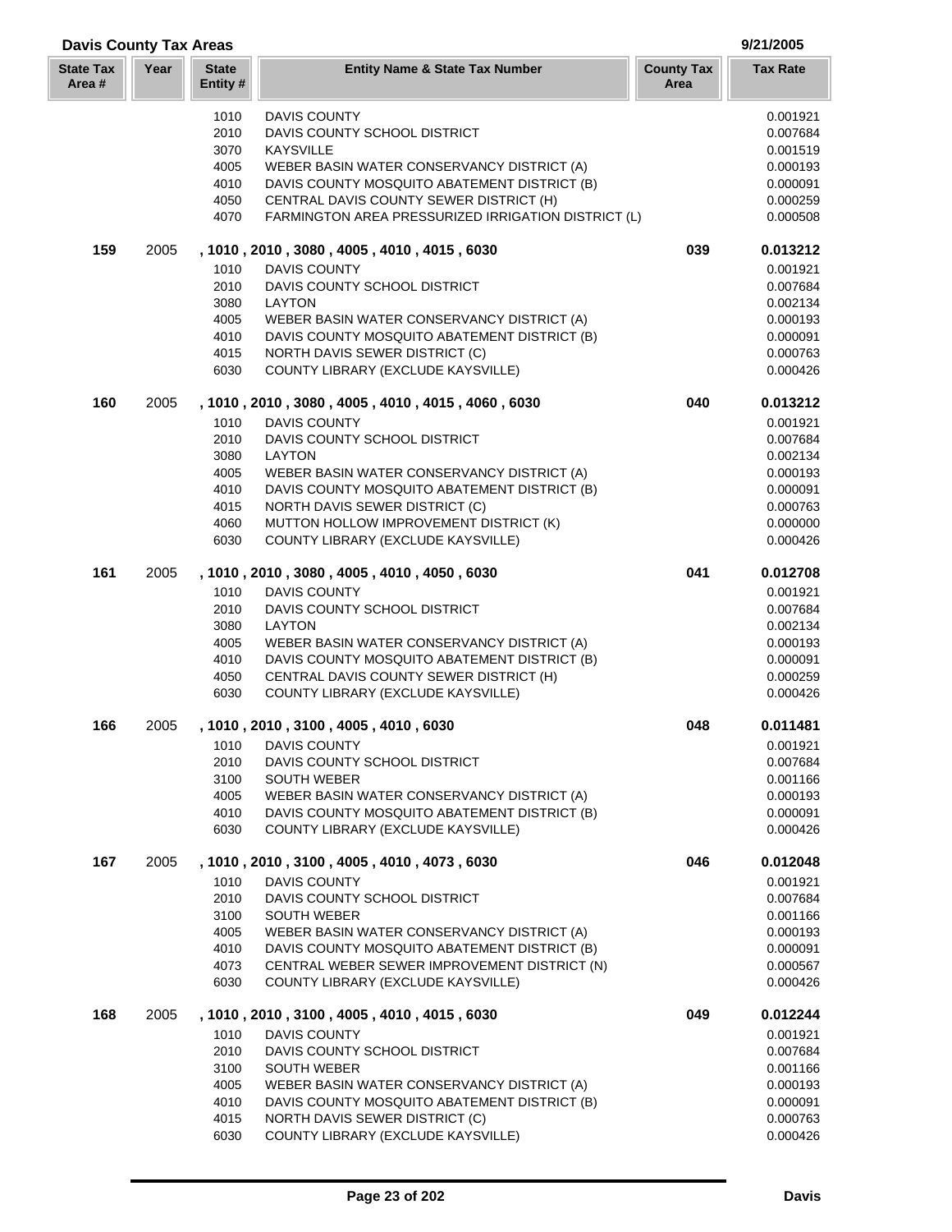| <b>State Tax</b><br>Area # | Year | <b>State</b><br>Entity # | <b>Entity Name &amp; State Tax Number</b>                                                  | <b>County Tax</b><br>Area | <b>Tax Rate</b>      |
|----------------------------|------|--------------------------|--------------------------------------------------------------------------------------------|---------------------------|----------------------|
|                            |      | 1010                     | <b>DAVIS COUNTY</b>                                                                        |                           | 0.001921             |
|                            |      | 2010                     | DAVIS COUNTY SCHOOL DISTRICT                                                               |                           | 0.007684             |
|                            |      | 3070                     | <b>KAYSVILLE</b>                                                                           |                           | 0.001519             |
|                            |      | 4005                     | WEBER BASIN WATER CONSERVANCY DISTRICT (A)                                                 |                           | 0.000193             |
|                            |      | 4010<br>4050             | DAVIS COUNTY MOSQUITO ABATEMENT DISTRICT (B)<br>CENTRAL DAVIS COUNTY SEWER DISTRICT (H)    |                           | 0.000091<br>0.000259 |
|                            |      | 4070                     | FARMINGTON AREA PRESSURIZED IRRIGATION DISTRICT (L)                                        |                           | 0.000508             |
| 159                        | 2005 |                          | , 1010, 2010, 3080, 4005, 4010, 4015, 6030                                                 | 039                       | 0.013212             |
|                            |      | 1010                     | <b>DAVIS COUNTY</b>                                                                        |                           | 0.001921             |
|                            |      | 2010                     | DAVIS COUNTY SCHOOL DISTRICT                                                               |                           | 0.007684             |
|                            |      | 3080                     | <b>LAYTON</b>                                                                              |                           | 0.002134             |
|                            |      | 4005                     | WEBER BASIN WATER CONSERVANCY DISTRICT (A)                                                 |                           | 0.000193             |
|                            |      | 4010<br>4015             | DAVIS COUNTY MOSQUITO ABATEMENT DISTRICT (B)<br>NORTH DAVIS SEWER DISTRICT (C)             |                           | 0.000091<br>0.000763 |
|                            |      | 6030                     | COUNTY LIBRARY (EXCLUDE KAYSVILLE)                                                         |                           | 0.000426             |
|                            |      |                          |                                                                                            |                           |                      |
| 160                        | 2005 |                          | , 1010, 2010, 3080, 4005, 4010, 4015, 4060, 6030                                           | 040                       | 0.013212             |
|                            |      | 1010<br>2010             | DAVIS COUNTY<br>DAVIS COUNTY SCHOOL DISTRICT                                               |                           | 0.001921<br>0.007684 |
|                            |      | 3080                     | <b>LAYTON</b>                                                                              |                           | 0.002134             |
|                            |      | 4005                     | WEBER BASIN WATER CONSERVANCY DISTRICT (A)                                                 |                           | 0.000193             |
|                            |      | 4010                     | DAVIS COUNTY MOSQUITO ABATEMENT DISTRICT (B)                                               |                           | 0.000091             |
|                            |      | 4015                     | NORTH DAVIS SEWER DISTRICT (C)                                                             |                           | 0.000763             |
|                            |      | 4060                     | MUTTON HOLLOW IMPROVEMENT DISTRICT (K)                                                     |                           | 0.000000             |
|                            |      | 6030                     | COUNTY LIBRARY (EXCLUDE KAYSVILLE)                                                         |                           | 0.000426             |
| 161                        | 2005 |                          | , 1010, 2010, 3080, 4005, 4010, 4050, 6030                                                 | 041                       | 0.012708             |
|                            |      | 1010                     | <b>DAVIS COUNTY</b>                                                                        |                           | 0.001921             |
|                            |      | 2010                     | DAVIS COUNTY SCHOOL DISTRICT                                                               |                           | 0.007684             |
|                            |      | 3080<br>4005             | <b>LAYTON</b><br>WEBER BASIN WATER CONSERVANCY DISTRICT (A)                                |                           | 0.002134<br>0.000193 |
|                            |      | 4010                     | DAVIS COUNTY MOSQUITO ABATEMENT DISTRICT (B)                                               |                           | 0.000091             |
|                            |      | 4050                     | CENTRAL DAVIS COUNTY SEWER DISTRICT (H)                                                    |                           | 0.000259             |
|                            |      | 6030                     | COUNTY LIBRARY (EXCLUDE KAYSVILLE)                                                         |                           | 0.000426             |
| 166                        | 2005 |                          | , 1010, 2010, 3100, 4005, 4010, 6030                                                       | 048                       | 0.011481             |
|                            |      | 1010                     | <b>DAVIS COUNTY</b>                                                                        |                           | 0.001921             |
|                            |      | 2010                     | DAVIS COUNTY SCHOOL DISTRICT                                                               |                           | 0.007684             |
|                            |      | 3100                     | <b>SOUTH WEBER</b>                                                                         |                           | 0.001166             |
|                            |      | 4005                     | WEBER BASIN WATER CONSERVANCY DISTRICT (A)                                                 |                           | 0.000193             |
|                            |      | 4010<br>6030             | DAVIS COUNTY MOSQUITO ABATEMENT DISTRICT (B)<br>COUNTY LIBRARY (EXCLUDE KAYSVILLE)         |                           | 0.000091<br>0.000426 |
|                            |      |                          |                                                                                            |                           |                      |
| 167                        | 2005 |                          | , 1010, 2010, 3100, 4005, 4010, 4073, 6030                                                 | 046                       | 0.012048             |
|                            |      | 1010<br>2010             | DAVIS COUNTY<br>DAVIS COUNTY SCHOOL DISTRICT                                               |                           | 0.001921             |
|                            |      | 3100                     | <b>SOUTH WEBER</b>                                                                         |                           | 0.007684<br>0.001166 |
|                            |      | 4005                     | WEBER BASIN WATER CONSERVANCY DISTRICT (A)                                                 |                           | 0.000193             |
|                            |      | 4010                     | DAVIS COUNTY MOSQUITO ABATEMENT DISTRICT (B)                                               |                           | 0.000091             |
|                            |      | 4073                     | CENTRAL WEBER SEWER IMPROVEMENT DISTRICT (N)                                               |                           | 0.000567             |
|                            |      | 6030                     | COUNTY LIBRARY (EXCLUDE KAYSVILLE)                                                         |                           | 0.000426             |
| 168                        | 2005 |                          | , 1010, 2010, 3100, 4005, 4010, 4015, 6030                                                 | 049                       | 0.012244             |
|                            |      | 1010                     | DAVIS COUNTY                                                                               |                           | 0.001921             |
|                            |      | 2010                     | DAVIS COUNTY SCHOOL DISTRICT                                                               |                           | 0.007684             |
|                            |      | 3100                     | <b>SOUTH WEBER</b>                                                                         |                           | 0.001166             |
|                            |      | 4005<br>4010             | WEBER BASIN WATER CONSERVANCY DISTRICT (A)<br>DAVIS COUNTY MOSQUITO ABATEMENT DISTRICT (B) |                           | 0.000193<br>0.000091 |
|                            |      | 4015                     | NORTH DAVIS SEWER DISTRICT (C)                                                             |                           | 0.000763             |
|                            |      | 6030                     | COUNTY LIBRARY (EXCLUDE KAYSVILLE)                                                         |                           | 0.000426             |

**Davis County Tax Areas 9/21/2005**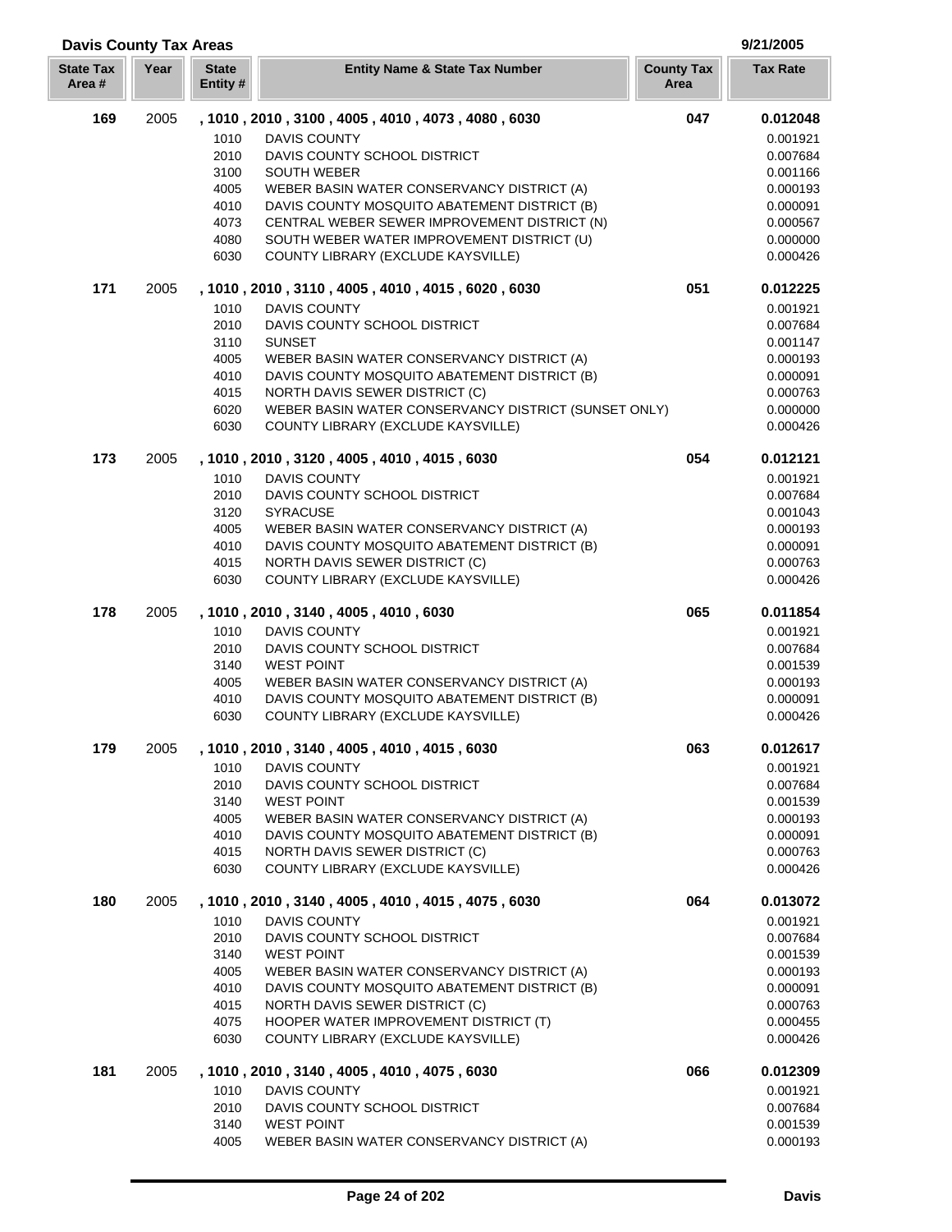| <b>Davis County Tax Areas</b> |      |                         |                                                                                |                           | 9/21/2005            |
|-------------------------------|------|-------------------------|--------------------------------------------------------------------------------|---------------------------|----------------------|
| <b>State Tax</b><br>Area#     | Year | <b>State</b><br>Entity# | <b>Entity Name &amp; State Tax Number</b>                                      | <b>County Tax</b><br>Area | <b>Tax Rate</b>      |
| 169                           | 2005 |                         | , 1010, 2010, 3100, 4005, 4010, 4073, 4080, 6030                               | 047                       | 0.012048             |
|                               |      | 1010                    | <b>DAVIS COUNTY</b>                                                            |                           | 0.001921             |
|                               |      | 2010                    | DAVIS COUNTY SCHOOL DISTRICT                                                   |                           | 0.007684             |
|                               |      | 3100                    | <b>SOUTH WEBER</b>                                                             |                           | 0.001166             |
|                               |      | 4005                    | WEBER BASIN WATER CONSERVANCY DISTRICT (A)                                     |                           | 0.000193             |
|                               |      | 4010                    | DAVIS COUNTY MOSQUITO ABATEMENT DISTRICT (B)                                   |                           | 0.000091             |
|                               |      | 4073                    | CENTRAL WEBER SEWER IMPROVEMENT DISTRICT (N)                                   |                           | 0.000567             |
|                               |      | 4080                    | SOUTH WEBER WATER IMPROVEMENT DISTRICT (U)                                     |                           | 0.000000             |
|                               |      | 6030                    | COUNTY LIBRARY (EXCLUDE KAYSVILLE)                                             |                           | 0.000426             |
| 171                           | 2005 |                         | , 1010, 2010, 3110, 4005, 4010, 4015, 6020, 6030                               | 051                       | 0.012225             |
|                               |      | 1010                    | <b>DAVIS COUNTY</b>                                                            |                           | 0.001921             |
|                               |      | 2010                    | DAVIS COUNTY SCHOOL DISTRICT                                                   |                           | 0.007684             |
|                               |      | 3110                    | <b>SUNSET</b>                                                                  |                           | 0.001147             |
|                               |      | 4005                    | WEBER BASIN WATER CONSERVANCY DISTRICT (A)                                     |                           | 0.000193             |
|                               |      | 4010                    | DAVIS COUNTY MOSQUITO ABATEMENT DISTRICT (B)                                   |                           | 0.000091             |
|                               |      | 4015                    | NORTH DAVIS SEWER DISTRICT (C)                                                 |                           | 0.000763             |
|                               |      | 6020                    | WEBER BASIN WATER CONSERVANCY DISTRICT (SUNSET ONLY)                           |                           | 0.000000             |
|                               |      | 6030                    | COUNTY LIBRARY (EXCLUDE KAYSVILLE)                                             |                           | 0.000426             |
| 173                           | 2005 |                         | , 1010, 2010, 3120, 4005, 4010, 4015, 6030                                     | 054                       | 0.012121             |
|                               |      | 1010                    | <b>DAVIS COUNTY</b>                                                            |                           | 0.001921             |
|                               |      | 2010                    | DAVIS COUNTY SCHOOL DISTRICT                                                   |                           | 0.007684             |
|                               |      | 3120                    | <b>SYRACUSE</b>                                                                |                           | 0.001043             |
|                               |      | 4005<br>4010            | WEBER BASIN WATER CONSERVANCY DISTRICT (A)                                     |                           | 0.000193             |
|                               |      | 4015                    | DAVIS COUNTY MOSQUITO ABATEMENT DISTRICT (B)<br>NORTH DAVIS SEWER DISTRICT (C) |                           | 0.000091<br>0.000763 |
|                               |      | 6030                    | COUNTY LIBRARY (EXCLUDE KAYSVILLE)                                             |                           | 0.000426             |
|                               |      |                         |                                                                                |                           |                      |
| 178                           | 2005 |                         | , 1010, 2010, 3140, 4005, 4010, 6030                                           | 065                       | 0.011854             |
|                               |      | 1010                    | <b>DAVIS COUNTY</b>                                                            |                           | 0.001921             |
|                               |      | 2010<br>3140            | DAVIS COUNTY SCHOOL DISTRICT<br><b>WEST POINT</b>                              |                           | 0.007684<br>0.001539 |
|                               |      | 4005                    | WEBER BASIN WATER CONSERVANCY DISTRICT (A)                                     |                           | 0.000193             |
|                               |      | 4010                    | DAVIS COUNTY MOSQUITO ABATEMENT DISTRICT (B)                                   |                           | 0.000091             |
|                               |      | 6030                    | COUNTY LIBRARY (EXCLUDE KAYSVILLE)                                             |                           | 0.000426             |
| 179                           | 2005 |                         | , 1010, 2010, 3140, 4005, 4010, 4015, 6030                                     | 063                       | 0.012617             |
|                               |      | 1010                    | <b>DAVIS COUNTY</b>                                                            |                           | 0.001921             |
|                               |      | 2010                    | DAVIS COUNTY SCHOOL DISTRICT                                                   |                           | 0.007684             |
|                               |      | 3140                    | <b>WEST POINT</b>                                                              |                           | 0.001539             |
|                               |      | 4005                    | WEBER BASIN WATER CONSERVANCY DISTRICT (A)                                     |                           | 0.000193             |
|                               |      | 4010                    | DAVIS COUNTY MOSQUITO ABATEMENT DISTRICT (B)                                   |                           | 0.000091             |
|                               |      | 4015                    | NORTH DAVIS SEWER DISTRICT (C)                                                 |                           | 0.000763             |
|                               |      | 6030                    | COUNTY LIBRARY (EXCLUDE KAYSVILLE)                                             |                           | 0.000426             |
| 180                           | 2005 |                         | , 1010, 2010, 3140, 4005, 4010, 4015, 4075, 6030                               | 064                       | 0.013072             |
|                               |      | 1010                    | <b>DAVIS COUNTY</b>                                                            |                           | 0.001921             |
|                               |      | 2010                    | DAVIS COUNTY SCHOOL DISTRICT                                                   |                           | 0.007684             |
|                               |      | 3140                    | <b>WEST POINT</b>                                                              |                           | 0.001539             |
|                               |      | 4005                    | WEBER BASIN WATER CONSERVANCY DISTRICT (A)                                     |                           | 0.000193             |
|                               |      | 4010                    | DAVIS COUNTY MOSQUITO ABATEMENT DISTRICT (B)                                   |                           | 0.000091             |
|                               |      | 4015                    | NORTH DAVIS SEWER DISTRICT (C)                                                 |                           | 0.000763             |
|                               |      | 4075                    | HOOPER WATER IMPROVEMENT DISTRICT (T)                                          |                           | 0.000455             |
|                               |      | 6030                    | COUNTY LIBRARY (EXCLUDE KAYSVILLE)                                             |                           | 0.000426             |
| 181                           | 2005 |                         | , 1010, 2010, 3140, 4005, 4010, 4075, 6030                                     | 066                       | 0.012309             |
|                               |      | 1010                    | <b>DAVIS COUNTY</b>                                                            |                           | 0.001921             |
|                               |      | 2010                    | DAVIS COUNTY SCHOOL DISTRICT                                                   |                           | 0.007684             |
|                               |      | 3140                    | <b>WEST POINT</b>                                                              |                           | 0.001539             |
|                               |      | 4005                    | WEBER BASIN WATER CONSERVANCY DISTRICT (A)                                     |                           | 0.000193             |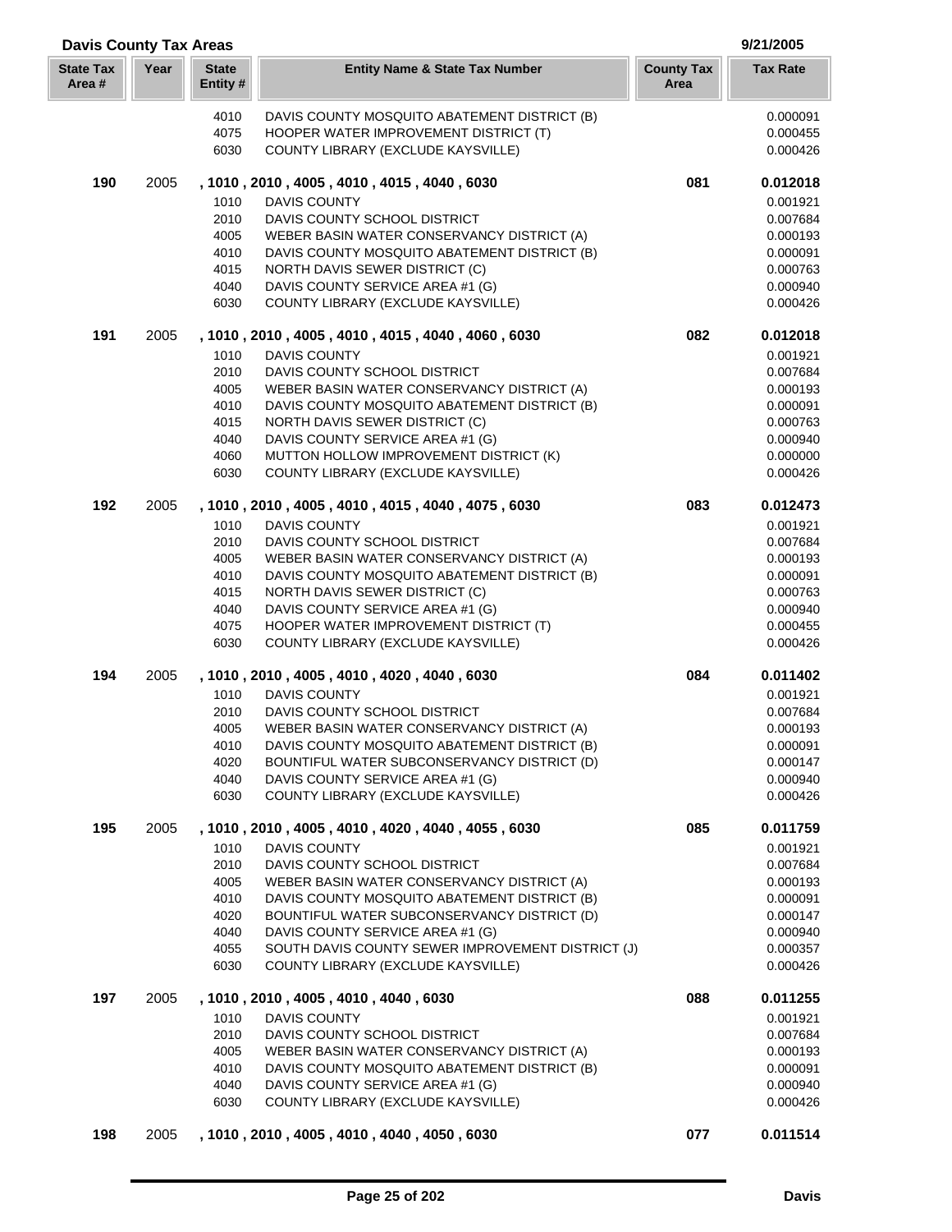| <b>Davis County Tax Areas</b> |      |                          |                                                                                         |                           | 9/21/2005            |
|-------------------------------|------|--------------------------|-----------------------------------------------------------------------------------------|---------------------------|----------------------|
| <b>State Tax</b><br>Area #    | Year | <b>State</b><br>Entity # | <b>Entity Name &amp; State Tax Number</b>                                               | <b>County Tax</b><br>Area | <b>Tax Rate</b>      |
|                               |      | 4010                     | DAVIS COUNTY MOSQUITO ABATEMENT DISTRICT (B)                                            |                           | 0.000091             |
|                               |      | 4075                     | HOOPER WATER IMPROVEMENT DISTRICT (T)                                                   |                           | 0.000455             |
|                               |      | 6030                     | COUNTY LIBRARY (EXCLUDE KAYSVILLE)                                                      |                           | 0.000426             |
| 190                           | 2005 |                          | , 1010, 2010, 4005, 4010, 4015, 4040, 6030                                              | 081                       | 0.012018             |
|                               |      | 1010                     | <b>DAVIS COUNTY</b>                                                                     |                           | 0.001921             |
|                               |      | 2010                     | DAVIS COUNTY SCHOOL DISTRICT                                                            |                           | 0.007684             |
|                               |      | 4005                     | WEBER BASIN WATER CONSERVANCY DISTRICT (A)                                              |                           | 0.000193             |
|                               |      | 4010                     | DAVIS COUNTY MOSQUITO ABATEMENT DISTRICT (B)                                            |                           | 0.000091             |
|                               |      | 4015<br>4040             | NORTH DAVIS SEWER DISTRICT (C)                                                          |                           | 0.000763<br>0.000940 |
|                               |      | 6030                     | DAVIS COUNTY SERVICE AREA #1 (G)<br>COUNTY LIBRARY (EXCLUDE KAYSVILLE)                  |                           | 0.000426             |
|                               |      |                          |                                                                                         |                           |                      |
| 191                           | 2005 | 1010                     | , 1010, 2010, 4005, 4010, 4015, 4040, 4060, 6030<br><b>DAVIS COUNTY</b>                 | 082                       | 0.012018<br>0.001921 |
|                               |      | 2010                     | DAVIS COUNTY SCHOOL DISTRICT                                                            |                           | 0.007684             |
|                               |      | 4005                     | WEBER BASIN WATER CONSERVANCY DISTRICT (A)                                              |                           | 0.000193             |
|                               |      | 4010                     | DAVIS COUNTY MOSQUITO ABATEMENT DISTRICT (B)                                            |                           | 0.000091             |
|                               |      | 4015                     | <b>NORTH DAVIS SEWER DISTRICT (C)</b>                                                   |                           | 0.000763             |
|                               |      | 4040                     | DAVIS COUNTY SERVICE AREA #1 (G)                                                        |                           | 0.000940             |
|                               |      | 4060                     | MUTTON HOLLOW IMPROVEMENT DISTRICT (K)                                                  |                           | 0.000000             |
|                               |      | 6030                     | COUNTY LIBRARY (EXCLUDE KAYSVILLE)                                                      |                           | 0.000426             |
| 192                           | 2005 |                          | , 1010, 2010, 4005, 4010, 4015, 4040, 4075, 6030                                        | 083                       | 0.012473             |
|                               |      | 1010                     | <b>DAVIS COUNTY</b>                                                                     |                           | 0.001921             |
|                               |      | 2010                     | DAVIS COUNTY SCHOOL DISTRICT                                                            |                           | 0.007684             |
|                               |      | 4005                     | WEBER BASIN WATER CONSERVANCY DISTRICT (A)                                              |                           | 0.000193             |
|                               |      | 4010                     | DAVIS COUNTY MOSQUITO ABATEMENT DISTRICT (B)                                            |                           | 0.000091             |
|                               |      | 4015                     | NORTH DAVIS SEWER DISTRICT (C)                                                          |                           | 0.000763             |
|                               |      | 4040                     | DAVIS COUNTY SERVICE AREA #1 (G)                                                        |                           | 0.000940             |
|                               |      | 4075<br>6030             | HOOPER WATER IMPROVEMENT DISTRICT (T)<br>COUNTY LIBRARY (EXCLUDE KAYSVILLE)             |                           | 0.000455<br>0.000426 |
|                               |      |                          |                                                                                         |                           |                      |
| 194                           | 2005 |                          | , 1010, 2010, 4005, 4010, 4020, 4040, 6030                                              | 084                       | 0.011402             |
|                               |      | 1010                     | <b>DAVIS COUNTY</b>                                                                     |                           | 0.001921             |
|                               |      | 2010                     | DAVIS COUNTY SCHOOL DISTRICT<br>WEBER BASIN WATER CONSERVANCY DISTRICT (A)              |                           | 0.007684             |
|                               |      | 4005<br>4010             | DAVIS COUNTY MOSQUITO ABATEMENT DISTRICT (B)                                            |                           | 0.000193<br>0.000091 |
|                               |      | 4020                     | BOUNTIFUL WATER SUBCONSERVANCY DISTRICT (D)                                             |                           | 0.000147             |
|                               |      | 4040                     | DAVIS COUNTY SERVICE AREA #1 (G)                                                        |                           | 0.000940             |
|                               |      | 6030                     | COUNTY LIBRARY (EXCLUDE KAYSVILLE)                                                      |                           | 0.000426             |
| 195                           | 2005 |                          | , 1010, 2010, 4005, 4010, 4020, 4040, 4055, 6030                                        | 085                       | 0.011759             |
|                               |      | 1010                     | DAVIS COUNTY                                                                            |                           | 0.001921             |
|                               |      | 2010                     | DAVIS COUNTY SCHOOL DISTRICT                                                            |                           | 0.007684             |
|                               |      | 4005                     | WEBER BASIN WATER CONSERVANCY DISTRICT (A)                                              |                           | 0.000193             |
|                               |      | 4010                     | DAVIS COUNTY MOSQUITO ABATEMENT DISTRICT (B)                                            |                           | 0.000091             |
|                               |      | 4020                     | BOUNTIFUL WATER SUBCONSERVANCY DISTRICT (D)                                             |                           | 0.000147             |
|                               |      | 4040                     | DAVIS COUNTY SERVICE AREA #1 (G)                                                        |                           | 0.000940             |
|                               |      | 4055<br>6030             | SOUTH DAVIS COUNTY SEWER IMPROVEMENT DISTRICT (J)<br>COUNTY LIBRARY (EXCLUDE KAYSVILLE) |                           | 0.000357<br>0.000426 |
|                               |      |                          |                                                                                         |                           |                      |
| 197                           | 2005 |                          | , 1010 , 2010 , 4005 , 4010 , 4040 , 6030                                               | 088                       | 0.011255             |
|                               |      | 1010                     | DAVIS COUNTY                                                                            |                           | 0.001921             |
|                               |      | 2010<br>4005             | DAVIS COUNTY SCHOOL DISTRICT<br>WEBER BASIN WATER CONSERVANCY DISTRICT (A)              |                           | 0.007684<br>0.000193 |
|                               |      | 4010                     | DAVIS COUNTY MOSQUITO ABATEMENT DISTRICT (B)                                            |                           | 0.000091             |
|                               |      | 4040                     | DAVIS COUNTY SERVICE AREA #1 (G)                                                        |                           | 0.000940             |
|                               |      | 6030                     | COUNTY LIBRARY (EXCLUDE KAYSVILLE)                                                      |                           | 0.000426             |
| 198                           | 2005 |                          | , 1010, 2010, 4005, 4010, 4040, 4050, 6030                                              | 077                       | 0.011514             |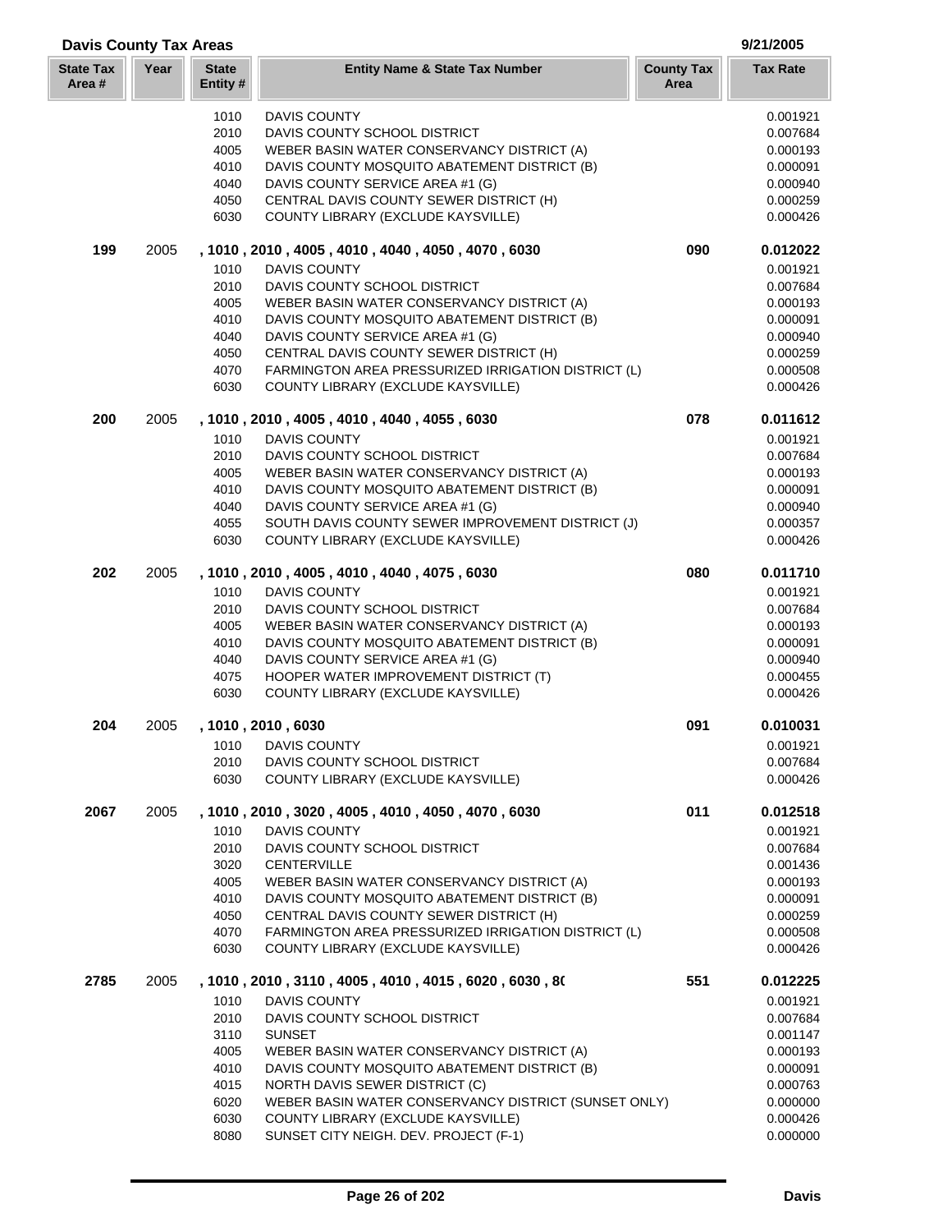| <b>Davis County Tax Areas</b> |      |                         |                                                                                     |                           | 9/21/2005            |
|-------------------------------|------|-------------------------|-------------------------------------------------------------------------------------|---------------------------|----------------------|
| <b>State Tax</b><br>Area#     | Year | <b>State</b><br>Entity# | <b>Entity Name &amp; State Tax Number</b>                                           | <b>County Tax</b><br>Area | <b>Tax Rate</b>      |
|                               |      | 1010                    | <b>DAVIS COUNTY</b>                                                                 |                           | 0.001921             |
|                               |      | 2010                    | DAVIS COUNTY SCHOOL DISTRICT                                                        |                           | 0.007684             |
|                               |      | 4005                    | WEBER BASIN WATER CONSERVANCY DISTRICT (A)                                          |                           | 0.000193             |
|                               |      | 4010                    | DAVIS COUNTY MOSQUITO ABATEMENT DISTRICT (B)                                        |                           | 0.000091             |
|                               |      | 4040                    | DAVIS COUNTY SERVICE AREA #1 (G)                                                    |                           | 0.000940             |
|                               |      | 4050                    | CENTRAL DAVIS COUNTY SEWER DISTRICT (H)                                             |                           | 0.000259             |
|                               |      | 6030                    | COUNTY LIBRARY (EXCLUDE KAYSVILLE)                                                  |                           | 0.000426             |
| 199                           | 2005 |                         | , 1010, 2010, 4005, 4010, 4040, 4050, 4070, 6030                                    | 090                       | 0.012022             |
|                               |      | 1010                    | DAVIS COUNTY                                                                        |                           | 0.001921             |
|                               |      | 2010                    | DAVIS COUNTY SCHOOL DISTRICT                                                        |                           | 0.007684             |
|                               |      | 4005                    | WEBER BASIN WATER CONSERVANCY DISTRICT (A)                                          |                           | 0.000193             |
|                               |      | 4010                    | DAVIS COUNTY MOSQUITO ABATEMENT DISTRICT (B)                                        |                           | 0.000091             |
|                               |      | 4040                    | DAVIS COUNTY SERVICE AREA #1 (G)                                                    |                           | 0.000940             |
|                               |      | 4050                    | CENTRAL DAVIS COUNTY SEWER DISTRICT (H)                                             |                           | 0.000259             |
|                               |      | 4070                    | FARMINGTON AREA PRESSURIZED IRRIGATION DISTRICT (L)                                 |                           | 0.000508             |
|                               |      | 6030                    | COUNTY LIBRARY (EXCLUDE KAYSVILLE)                                                  |                           | 0.000426             |
| 200                           | 2005 |                         | , 1010, 2010, 4005, 4010, 4040, 4055, 6030                                          | 078                       | 0.011612             |
|                               |      | 1010                    | DAVIS COUNTY                                                                        |                           | 0.001921             |
|                               |      | 2010                    | DAVIS COUNTY SCHOOL DISTRICT                                                        |                           | 0.007684             |
|                               |      | 4005                    | WEBER BASIN WATER CONSERVANCY DISTRICT (A)                                          |                           | 0.000193             |
|                               |      | 4010                    | DAVIS COUNTY MOSQUITO ABATEMENT DISTRICT (B)                                        |                           | 0.000091             |
|                               |      | 4040                    | DAVIS COUNTY SERVICE AREA #1 (G)                                                    |                           | 0.000940             |
|                               |      | 4055                    | SOUTH DAVIS COUNTY SEWER IMPROVEMENT DISTRICT (J)                                   |                           | 0.000357             |
|                               |      | 6030                    | COUNTY LIBRARY (EXCLUDE KAYSVILLE)                                                  |                           | 0.000426             |
| 202                           | 2005 |                         | , 1010, 2010, 4005, 4010, 4040, 4075, 6030                                          | 080                       | 0.011710             |
|                               |      | 1010                    | DAVIS COUNTY                                                                        |                           | 0.001921             |
|                               |      | 2010                    | DAVIS COUNTY SCHOOL DISTRICT                                                        |                           | 0.007684             |
|                               |      | 4005                    | WEBER BASIN WATER CONSERVANCY DISTRICT (A)                                          |                           | 0.000193             |
|                               |      | 4010                    | DAVIS COUNTY MOSQUITO ABATEMENT DISTRICT (B)                                        |                           | 0.000091             |
|                               |      | 4040                    | DAVIS COUNTY SERVICE AREA #1 (G)                                                    |                           | 0.000940             |
|                               |      | 4075<br>6030            | HOOPER WATER IMPROVEMENT DISTRICT (T)<br>COUNTY LIBRARY (EXCLUDE KAYSVILLE)         |                           | 0.000455<br>0.000426 |
| 204                           | 2005 |                         | 1010, 2010, 6030                                                                    | 091                       | 0.010031             |
|                               |      | 1010                    | <b>DAVIS COUNTY</b>                                                                 |                           | 0.001921             |
|                               |      | 2010                    | DAVIS COUNTY SCHOOL DISTRICT                                                        |                           | 0.007684             |
|                               |      | 6030                    | COUNTY LIBRARY (EXCLUDE KAYSVILLE)                                                  |                           | 0.000426             |
|                               |      |                         |                                                                                     |                           |                      |
| 2067                          | 2005 |                         | , 1010, 2010, 3020, 4005, 4010, 4050, 4070, 6030                                    | 011                       | 0.012518             |
|                               |      | 1010                    | <b>DAVIS COUNTY</b>                                                                 |                           | 0.001921             |
|                               |      | 2010                    | DAVIS COUNTY SCHOOL DISTRICT                                                        |                           | 0.007684             |
|                               |      | 3020                    | <b>CENTERVILLE</b>                                                                  |                           | 0.001436             |
|                               |      | 4005                    | WEBER BASIN WATER CONSERVANCY DISTRICT (A)                                          |                           | 0.000193             |
|                               |      | 4010                    | DAVIS COUNTY MOSQUITO ABATEMENT DISTRICT (B)                                        |                           | 0.000091             |
|                               |      | 4050                    | CENTRAL DAVIS COUNTY SEWER DISTRICT (H)                                             |                           | 0.000259             |
|                               |      | 4070                    | FARMINGTON AREA PRESSURIZED IRRIGATION DISTRICT (L)                                 |                           | 0.000508             |
|                               |      | 6030                    | COUNTY LIBRARY (EXCLUDE KAYSVILLE)                                                  |                           | 0.000426             |
| 2785                          | 2005 | 1010                    | , 1010 , 2010 , 3110 , 4005 , 4010 , 4015 , 6020 , 6030 , 80<br><b>DAVIS COUNTY</b> | 551                       | 0.012225             |
|                               |      | 2010                    | DAVIS COUNTY SCHOOL DISTRICT                                                        |                           | 0.001921<br>0.007684 |
|                               |      | 3110                    | <b>SUNSET</b>                                                                       |                           | 0.001147             |
|                               |      | 4005                    | WEBER BASIN WATER CONSERVANCY DISTRICT (A)                                          |                           | 0.000193             |
|                               |      | 4010                    | DAVIS COUNTY MOSQUITO ABATEMENT DISTRICT (B)                                        |                           | 0.000091             |
|                               |      | 4015                    | NORTH DAVIS SEWER DISTRICT (C)                                                      |                           | 0.000763             |
|                               |      | 6020                    | WEBER BASIN WATER CONSERVANCY DISTRICT (SUNSET ONLY)                                |                           | 0.000000             |
|                               |      | 6030                    | COUNTY LIBRARY (EXCLUDE KAYSVILLE)                                                  |                           | 0.000426             |
|                               |      | 8080                    | SUNSET CITY NEIGH. DEV. PROJECT (F-1)                                               |                           | 0.000000             |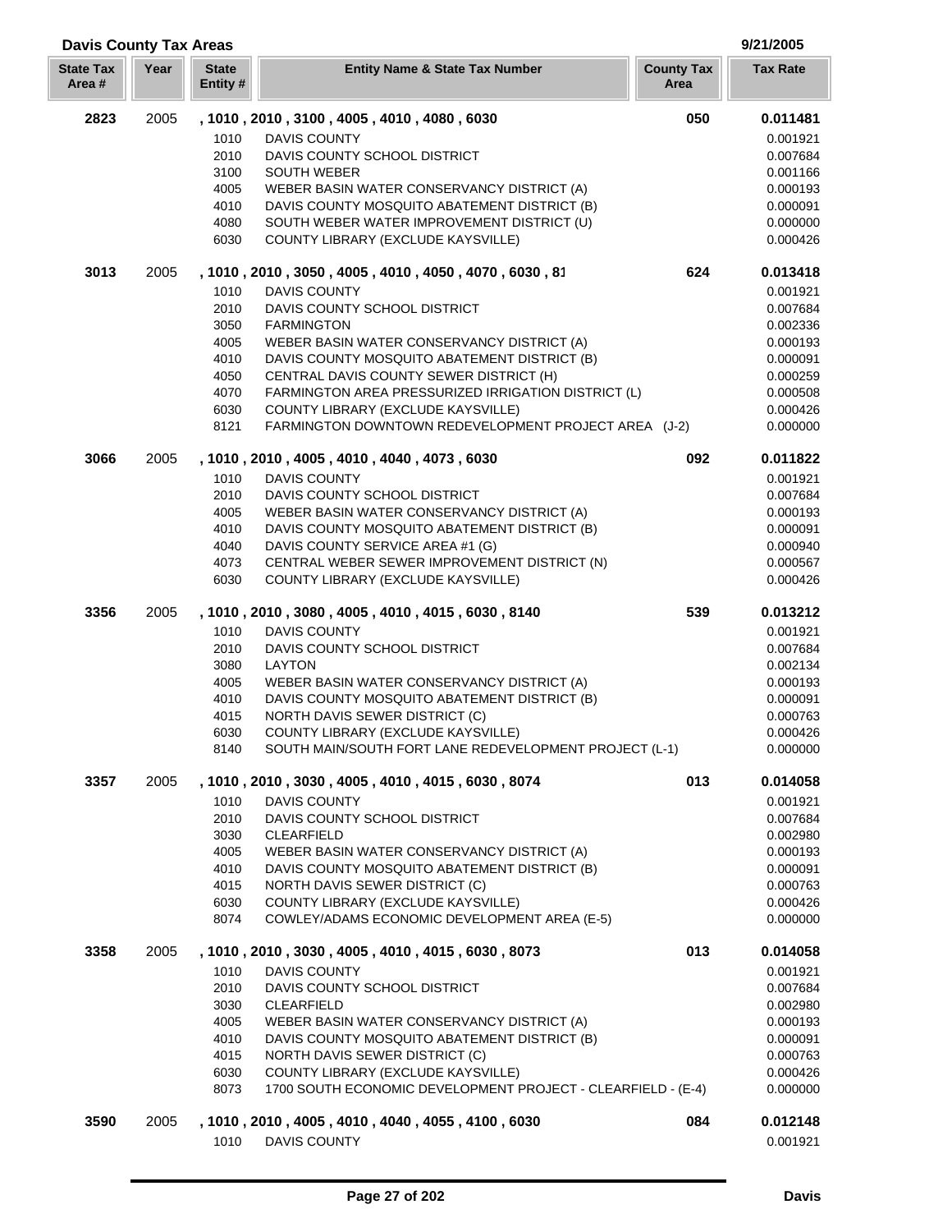| <b>Davis County Tax Areas</b> |      |                          |                                                                                  |                           | 9/21/2005            |
|-------------------------------|------|--------------------------|----------------------------------------------------------------------------------|---------------------------|----------------------|
| <b>State Tax</b><br>Area#     | Year | <b>State</b><br>Entity # | <b>Entity Name &amp; State Tax Number</b>                                        | <b>County Tax</b><br>Area | <b>Tax Rate</b>      |
| 2823                          | 2005 |                          | , 1010, 2010, 3100, 4005, 4010, 4080, 6030                                       | 050                       | 0.011481             |
|                               |      | 1010                     | <b>DAVIS COUNTY</b>                                                              |                           | 0.001921             |
|                               |      | 2010                     | DAVIS COUNTY SCHOOL DISTRICT                                                     |                           | 0.007684             |
|                               |      | 3100                     | <b>SOUTH WEBER</b>                                                               |                           | 0.001166             |
|                               |      | 4005                     | WEBER BASIN WATER CONSERVANCY DISTRICT (A)                                       |                           | 0.000193             |
|                               |      | 4010                     | DAVIS COUNTY MOSQUITO ABATEMENT DISTRICT (B)                                     |                           | 0.000091             |
|                               |      | 4080<br>6030             | SOUTH WEBER WATER IMPROVEMENT DISTRICT (U)<br>COUNTY LIBRARY (EXCLUDE KAYSVILLE) |                           | 0.000000<br>0.000426 |
| 3013                          | 2005 |                          | , 1010, 2010, 3050, 4005, 4010, 4050, 4070, 6030, 81                             | 624                       | 0.013418             |
|                               |      | 1010                     | <b>DAVIS COUNTY</b>                                                              |                           | 0.001921             |
|                               |      | 2010                     | DAVIS COUNTY SCHOOL DISTRICT                                                     |                           | 0.007684             |
|                               |      | 3050                     | <b>FARMINGTON</b>                                                                |                           | 0.002336             |
|                               |      | 4005                     | WEBER BASIN WATER CONSERVANCY DISTRICT (A)                                       |                           | 0.000193             |
|                               |      | 4010                     | DAVIS COUNTY MOSQUITO ABATEMENT DISTRICT (B)                                     |                           | 0.000091             |
|                               |      | 4050                     | CENTRAL DAVIS COUNTY SEWER DISTRICT (H)                                          |                           | 0.000259             |
|                               |      | 4070                     | FARMINGTON AREA PRESSURIZED IRRIGATION DISTRICT (L)                              |                           | 0.000508             |
|                               |      | 6030                     | COUNTY LIBRARY (EXCLUDE KAYSVILLE)                                               |                           | 0.000426             |
|                               |      | 8121                     | FARMINGTON DOWNTOWN REDEVELOPMENT PROJECT AREA (J-2)                             |                           | 0.000000             |
| 3066                          | 2005 |                          | , 1010, 2010, 4005, 4010, 4040, 4073, 6030                                       | 092                       | 0.011822             |
|                               |      | 1010                     | <b>DAVIS COUNTY</b>                                                              |                           | 0.001921             |
|                               |      | 2010                     | DAVIS COUNTY SCHOOL DISTRICT                                                     |                           | 0.007684             |
|                               |      | 4005                     | WEBER BASIN WATER CONSERVANCY DISTRICT (A)                                       |                           | 0.000193             |
|                               |      | 4010                     | DAVIS COUNTY MOSQUITO ABATEMENT DISTRICT (B)                                     |                           | 0.000091             |
|                               |      | 4040                     | DAVIS COUNTY SERVICE AREA #1 (G)                                                 |                           | 0.000940             |
|                               |      | 4073                     | CENTRAL WEBER SEWER IMPROVEMENT DISTRICT (N)                                     |                           | 0.000567             |
|                               |      | 6030                     | COUNTY LIBRARY (EXCLUDE KAYSVILLE)                                               |                           | 0.000426             |
| 3356                          | 2005 | 1010                     | , 1010, 2010, 3080, 4005, 4010, 4015, 6030, 8140<br><b>DAVIS COUNTY</b>          | 539                       | 0.013212<br>0.001921 |
|                               |      | 2010                     | DAVIS COUNTY SCHOOL DISTRICT                                                     |                           | 0.007684             |
|                               |      | 3080                     | <b>LAYTON</b>                                                                    |                           | 0.002134             |
|                               |      | 4005                     | WEBER BASIN WATER CONSERVANCY DISTRICT (A)                                       |                           | 0.000193             |
|                               |      | 4010                     | DAVIS COUNTY MOSQUITO ABATEMENT DISTRICT (B)                                     |                           | 0.000091             |
|                               |      | 4015                     | <b>NORTH DAVIS SEWER DISTRICT (C)</b>                                            |                           | 0.000763             |
|                               |      | 6030                     | COUNTY LIBRARY (EXCLUDE KAYSVILLE)                                               |                           | 0.000426             |
|                               |      | 8140                     | SOUTH MAIN/SOUTH FORT LANE REDEVELOPMENT PROJECT (L-1)                           |                           | 0.000000             |
| 3357                          | 2005 |                          | , 1010, 2010, 3030, 4005, 4010, 4015, 6030, 8074                                 | 013                       | 0.014058             |
|                               |      | 1010                     | <b>DAVIS COUNTY</b>                                                              |                           | 0.001921             |
|                               |      | 2010                     | DAVIS COUNTY SCHOOL DISTRICT                                                     |                           | 0.007684             |
|                               |      | 3030                     | <b>CLEARFIELD</b>                                                                |                           | 0.002980             |
|                               |      | 4005                     | WEBER BASIN WATER CONSERVANCY DISTRICT (A)                                       |                           | 0.000193             |
|                               |      | 4010                     | DAVIS COUNTY MOSQUITO ABATEMENT DISTRICT (B)                                     |                           | 0.000091             |
|                               |      | 4015                     | NORTH DAVIS SEWER DISTRICT (C)                                                   |                           | 0.000763             |
|                               |      | 6030                     | COUNTY LIBRARY (EXCLUDE KAYSVILLE)                                               |                           | 0.000426             |
|                               |      | 8074                     | COWLEY/ADAMS ECONOMIC DEVELOPMENT AREA (E-5)                                     |                           | 0.000000             |
| 3358                          | 2005 |                          | , 1010, 2010, 3030, 4005, 4010, 4015, 6030, 8073                                 | 013                       | 0.014058             |
|                               |      | 1010                     | DAVIS COUNTY                                                                     |                           | 0.001921             |
|                               |      | 2010                     | DAVIS COUNTY SCHOOL DISTRICT                                                     |                           | 0.007684             |
|                               |      | 3030                     | <b>CLEARFIELD</b>                                                                |                           | 0.002980             |
|                               |      | 4005                     | WEBER BASIN WATER CONSERVANCY DISTRICT (A)                                       |                           | 0.000193             |
|                               |      | 4010                     | DAVIS COUNTY MOSQUITO ABATEMENT DISTRICT (B)                                     |                           | 0.000091             |
|                               |      | 4015                     | NORTH DAVIS SEWER DISTRICT (C)                                                   |                           | 0.000763             |
|                               |      | 6030                     | COUNTY LIBRARY (EXCLUDE KAYSVILLE)                                               |                           | 0.000426             |
|                               |      | 8073                     | 1700 SOUTH ECONOMIC DEVELOPMENT PROJECT - CLEARFIELD - (E-4)                     |                           | 0.000000             |
| 3590                          | 2005 | 1010                     | , 1010, 2010, 4005, 4010, 4040, 4055, 4100, 6030<br>DAVIS COUNTY                 | 084                       | 0.012148<br>0.001921 |
|                               |      |                          |                                                                                  |                           |                      |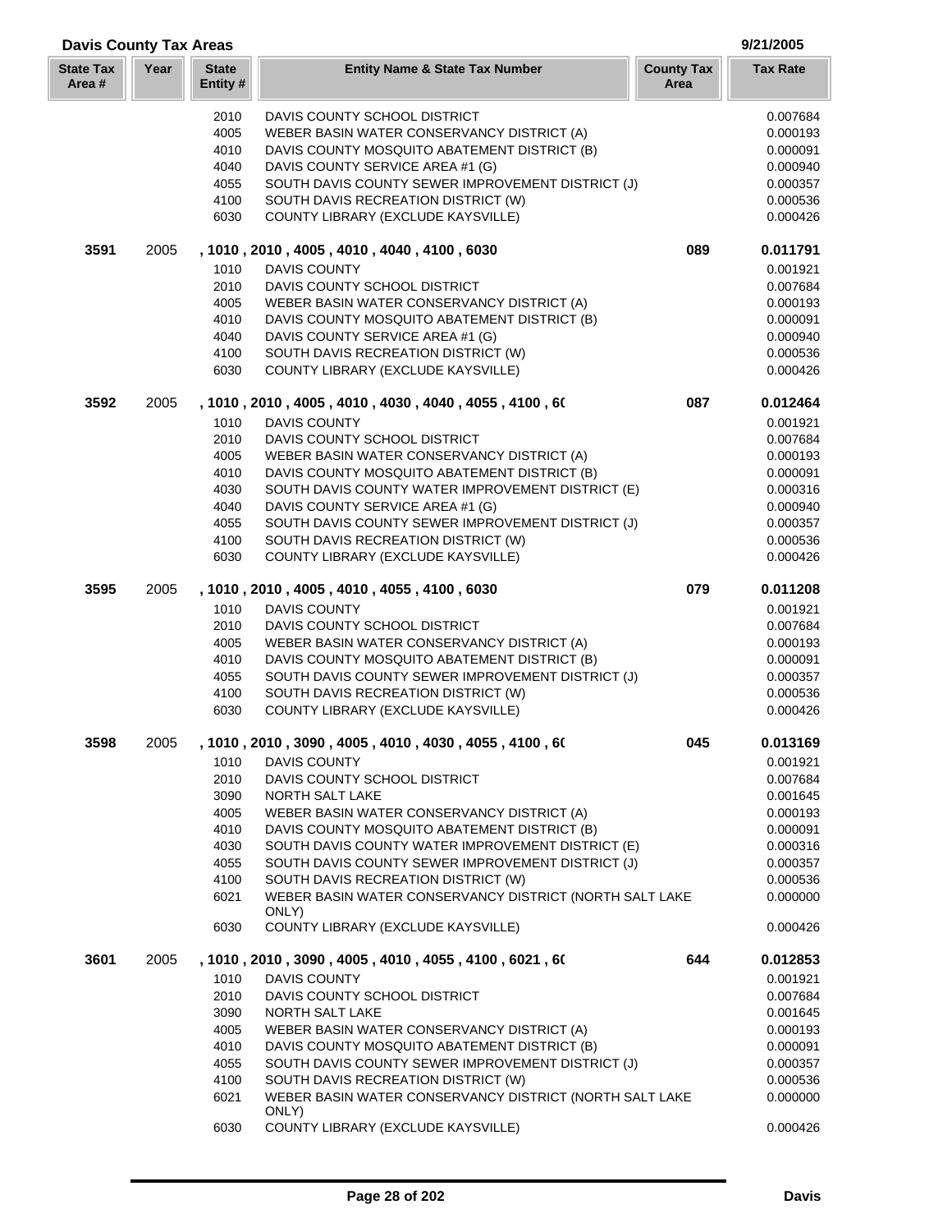| <b>Davis County Tax Areas</b> |      |                          |                                                                                     | 9/21/2005                 |                      |
|-------------------------------|------|--------------------------|-------------------------------------------------------------------------------------|---------------------------|----------------------|
| <b>State Tax</b><br>Area#     | Year | <b>State</b><br>Entity # | <b>Entity Name &amp; State Tax Number</b>                                           | <b>County Tax</b><br>Area | <b>Tax Rate</b>      |
|                               |      | 2010                     | DAVIS COUNTY SCHOOL DISTRICT                                                        |                           | 0.007684             |
|                               |      | 4005                     | WEBER BASIN WATER CONSERVANCY DISTRICT (A)                                          |                           | 0.000193             |
|                               |      | 4010                     | DAVIS COUNTY MOSQUITO ABATEMENT DISTRICT (B)                                        |                           | 0.000091             |
|                               |      | 4040                     | DAVIS COUNTY SERVICE AREA #1 (G)                                                    |                           | 0.000940             |
|                               |      | 4055                     | SOUTH DAVIS COUNTY SEWER IMPROVEMENT DISTRICT (J)                                   |                           | 0.000357             |
|                               |      | 4100                     | SOUTH DAVIS RECREATION DISTRICT (W)                                                 |                           | 0.000536             |
|                               |      | 6030                     | COUNTY LIBRARY (EXCLUDE KAYSVILLE)                                                  |                           | 0.000426             |
| 3591                          | 2005 |                          | , 1010, 2010, 4005, 4010, 4040, 4100, 6030                                          | 089                       | 0.011791             |
|                               |      | 1010                     | DAVIS COUNTY                                                                        |                           | 0.001921             |
|                               |      | 2010                     | DAVIS COUNTY SCHOOL DISTRICT                                                        |                           | 0.007684             |
|                               |      | 4005                     | WEBER BASIN WATER CONSERVANCY DISTRICT (A)                                          |                           | 0.000193             |
|                               |      | 4010                     | DAVIS COUNTY MOSQUITO ABATEMENT DISTRICT (B)                                        |                           | 0.000091             |
|                               |      | 4040                     | DAVIS COUNTY SERVICE AREA #1 (G)                                                    |                           | 0.000940             |
|                               |      | 4100<br>6030             | SOUTH DAVIS RECREATION DISTRICT (W)<br>COUNTY LIBRARY (EXCLUDE KAYSVILLE)           |                           | 0.000536<br>0.000426 |
| 3592                          | 2005 |                          | , 1010, 2010, 4005, 4010, 4030, 4040, 4055, 4100, 60                                | 087                       | 0.012464             |
|                               |      | 1010                     | <b>DAVIS COUNTY</b>                                                                 |                           | 0.001921             |
|                               |      | 2010                     | DAVIS COUNTY SCHOOL DISTRICT                                                        |                           | 0.007684             |
|                               |      | 4005                     | WEBER BASIN WATER CONSERVANCY DISTRICT (A)                                          |                           | 0.000193             |
|                               |      | 4010                     | DAVIS COUNTY MOSQUITO ABATEMENT DISTRICT (B)                                        |                           | 0.000091             |
|                               |      | 4030                     | SOUTH DAVIS COUNTY WATER IMPROVEMENT DISTRICT (E)                                   |                           | 0.000316             |
|                               |      | 4040                     | DAVIS COUNTY SERVICE AREA #1 (G)                                                    |                           | 0.000940             |
|                               |      | 4055                     | SOUTH DAVIS COUNTY SEWER IMPROVEMENT DISTRICT (J)                                   |                           | 0.000357             |
|                               |      | 4100                     | SOUTH DAVIS RECREATION DISTRICT (W)                                                 |                           | 0.000536             |
|                               |      | 6030                     | COUNTY LIBRARY (EXCLUDE KAYSVILLE)                                                  |                           | 0.000426             |
| 3595                          | 2005 |                          | , 1010, 2010, 4005, 4010, 4055, 4100, 6030                                          | 079                       | 0.011208             |
|                               |      | 1010                     | <b>DAVIS COUNTY</b>                                                                 |                           | 0.001921             |
|                               |      | 2010                     | DAVIS COUNTY SCHOOL DISTRICT                                                        |                           | 0.007684             |
|                               |      | 4005                     | WEBER BASIN WATER CONSERVANCY DISTRICT (A)                                          |                           | 0.000193             |
|                               |      | 4010                     | DAVIS COUNTY MOSQUITO ABATEMENT DISTRICT (B)                                        |                           | 0.000091             |
|                               |      | 4055                     | SOUTH DAVIS COUNTY SEWER IMPROVEMENT DISTRICT (J)                                   |                           | 0.000357             |
|                               |      | 4100                     | SOUTH DAVIS RECREATION DISTRICT (W)                                                 |                           | 0.000536             |
|                               |      | 6030                     | COUNTY LIBRARY (EXCLUDE KAYSVILLE)                                                  |                           | 0.000426             |
| 3598                          | 2005 |                          | , 1010, 2010, 3090, 4005, 4010, 4030, 4055, 4100, 60                                | 045                       | 0.013169             |
|                               |      | 1010                     | <b>DAVIS COUNTY</b>                                                                 |                           | 0.001921             |
|                               |      | 2010                     | DAVIS COUNTY SCHOOL DISTRICT                                                        |                           | 0.007684             |
|                               |      | 3090<br>4005             | NORTH SALT LAKE<br>WEBER BASIN WATER CONSERVANCY DISTRICT (A)                       |                           | 0.001645<br>0.000193 |
|                               |      | 4010                     | DAVIS COUNTY MOSQUITO ABATEMENT DISTRICT (B)                                        |                           | 0.000091             |
|                               |      | 4030                     | SOUTH DAVIS COUNTY WATER IMPROVEMENT DISTRICT (E)                                   |                           | 0.000316             |
|                               |      | 4055                     | SOUTH DAVIS COUNTY SEWER IMPROVEMENT DISTRICT (J)                                   |                           | 0.000357             |
|                               |      | 4100                     | SOUTH DAVIS RECREATION DISTRICT (W)                                                 |                           | 0.000536             |
|                               |      | 6021                     | WEBER BASIN WATER CONSERVANCY DISTRICT (NORTH SALT LAKE                             |                           | 0.000000             |
|                               |      | 6030                     | ONLY)<br>COUNTY LIBRARY (EXCLUDE KAYSVILLE)                                         |                           | 0.000426             |
|                               |      |                          |                                                                                     |                           |                      |
| 3601                          | 2005 | 1010                     | , 1010 , 2010 , 3090 , 4005 , 4010 , 4055 , 4100 , 6021 , 60<br><b>DAVIS COUNTY</b> | 644                       | 0.012853<br>0.001921 |
|                               |      | 2010                     | DAVIS COUNTY SCHOOL DISTRICT                                                        |                           | 0.007684             |
|                               |      | 3090                     | NORTH SALT LAKE                                                                     |                           | 0.001645             |
|                               |      | 4005                     | WEBER BASIN WATER CONSERVANCY DISTRICT (A)                                          |                           | 0.000193             |
|                               |      | 4010                     | DAVIS COUNTY MOSQUITO ABATEMENT DISTRICT (B)                                        |                           | 0.000091             |
|                               |      | 4055                     | SOUTH DAVIS COUNTY SEWER IMPROVEMENT DISTRICT (J)                                   |                           | 0.000357             |
|                               |      | 4100                     | SOUTH DAVIS RECREATION DISTRICT (W)                                                 |                           | 0.000536             |
|                               |      | 6021                     | WEBER BASIN WATER CONSERVANCY DISTRICT (NORTH SALT LAKE                             |                           | 0.000000             |
|                               |      | 6030                     | ONLY)<br>COUNTY LIBRARY (EXCLUDE KAYSVILLE)                                         |                           | 0.000426             |
|                               |      |                          |                                                                                     |                           |                      |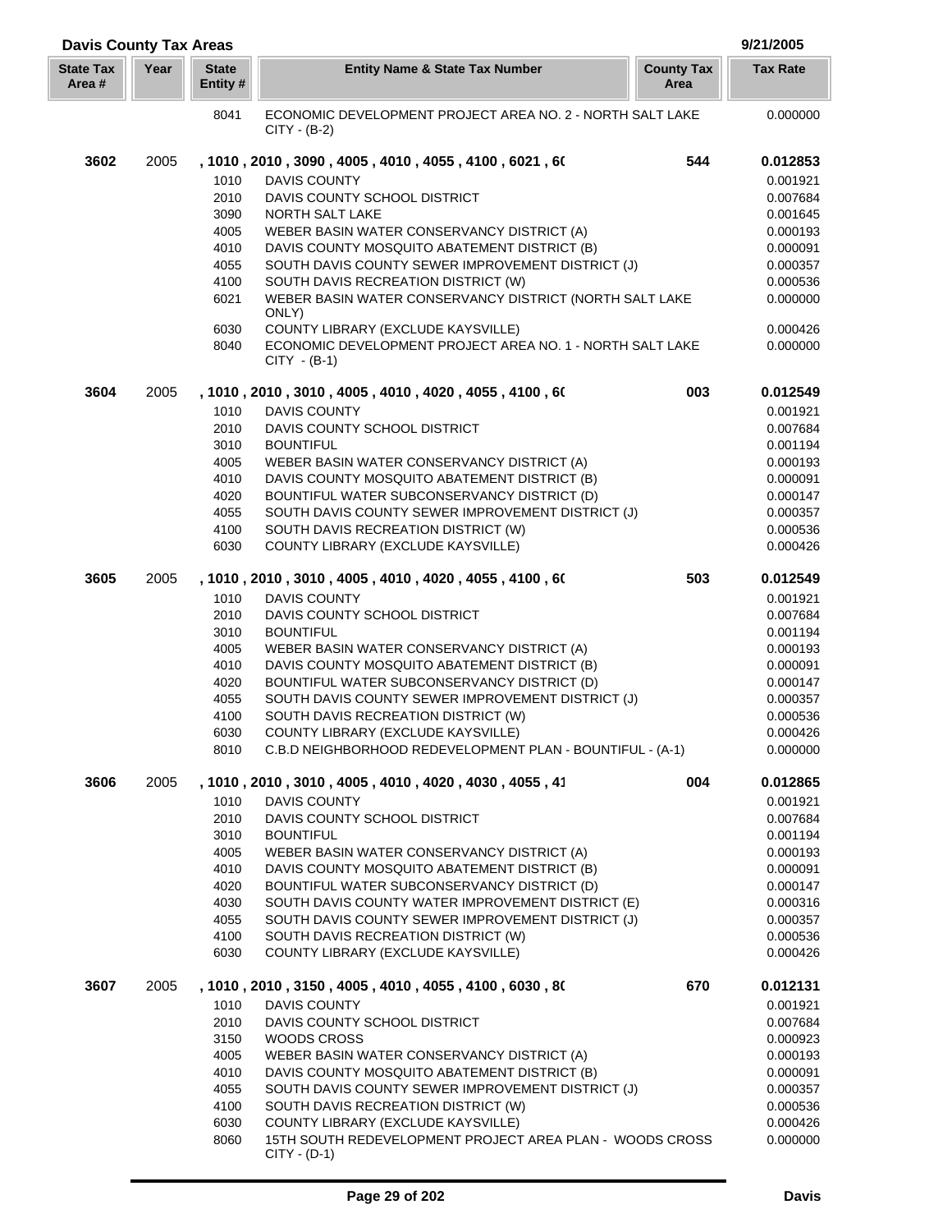| <b>Davis County Tax Areas</b> |      |                          |                                                                             |                           | 9/21/2005            |
|-------------------------------|------|--------------------------|-----------------------------------------------------------------------------|---------------------------|----------------------|
| <b>State Tax</b><br>Area #    | Year | <b>State</b><br>Entity # | <b>Entity Name &amp; State Tax Number</b>                                   | <b>County Tax</b><br>Area | <b>Tax Rate</b>      |
|                               |      | 8041                     | ECONOMIC DEVELOPMENT PROJECT AREA NO. 2 - NORTH SALT LAKE<br>$CITY - (B-2)$ |                           | 0.000000             |
| 3602                          | 2005 |                          | , 1010 , 2010 , 3090 , 4005 , 4010 , 4055 , 4100 , 6021 , 60                | 544                       | 0.012853             |
|                               |      | 1010                     | <b>DAVIS COUNTY</b>                                                         |                           | 0.001921             |
|                               |      | 2010                     | DAVIS COUNTY SCHOOL DISTRICT                                                |                           | 0.007684             |
|                               |      | 3090                     | NORTH SALT LAKE                                                             |                           | 0.001645             |
|                               |      | 4005                     | WEBER BASIN WATER CONSERVANCY DISTRICT (A)                                  |                           | 0.000193             |
|                               |      | 4010                     | DAVIS COUNTY MOSQUITO ABATEMENT DISTRICT (B)                                |                           | 0.000091             |
|                               |      | 4055                     | SOUTH DAVIS COUNTY SEWER IMPROVEMENT DISTRICT (J)                           |                           | 0.000357             |
|                               |      | 4100                     | SOUTH DAVIS RECREATION DISTRICT (W)                                         |                           | 0.000536             |
|                               |      | 6021                     | WEBER BASIN WATER CONSERVANCY DISTRICT (NORTH SALT LAKE<br>ONLY)            |                           | 0.000000             |
|                               |      | 6030                     | COUNTY LIBRARY (EXCLUDE KAYSVILLE)                                          |                           | 0.000426             |
|                               |      | 8040                     | ECONOMIC DEVELOPMENT PROJECT AREA NO. 1 - NORTH SALT LAKE<br>$CITY - (B-1)$ |                           | 0.000000             |
| 3604                          | 2005 |                          | , 1010 , 2010 , 3010 , 4005 , 4010 , 4020 , 4055 , 4100 , 60                | 003                       | 0.012549             |
|                               |      | 1010                     | <b>DAVIS COUNTY</b>                                                         |                           | 0.001921             |
|                               |      | 2010                     | DAVIS COUNTY SCHOOL DISTRICT                                                |                           | 0.007684             |
|                               |      | 3010                     | <b>BOUNTIFUL</b>                                                            |                           | 0.001194             |
|                               |      | 4005                     | WEBER BASIN WATER CONSERVANCY DISTRICT (A)                                  |                           | 0.000193             |
|                               |      | 4010                     | DAVIS COUNTY MOSQUITO ABATEMENT DISTRICT (B)                                |                           | 0.000091             |
|                               |      | 4020                     | BOUNTIFUL WATER SUBCONSERVANCY DISTRICT (D)                                 |                           | 0.000147             |
|                               |      | 4055                     | SOUTH DAVIS COUNTY SEWER IMPROVEMENT DISTRICT (J)                           |                           | 0.000357             |
|                               |      | 4100                     | SOUTH DAVIS RECREATION DISTRICT (W)                                         |                           | 0.000536             |
|                               |      | 6030                     | COUNTY LIBRARY (EXCLUDE KAYSVILLE)                                          |                           | 0.000426             |
| 3605                          | 2005 |                          | , 1010 , 2010 , 3010 , 4005 , 4010 , 4020 , 4055 , 4100 , 60                | 503                       | 0.012549             |
|                               |      | 1010                     | <b>DAVIS COUNTY</b>                                                         |                           | 0.001921             |
|                               |      | 2010                     | DAVIS COUNTY SCHOOL DISTRICT                                                |                           | 0.007684             |
|                               |      | 3010<br>4005             | <b>BOUNTIFUL</b><br>WEBER BASIN WATER CONSERVANCY DISTRICT (A)              |                           | 0.001194<br>0.000193 |
|                               |      | 4010                     | DAVIS COUNTY MOSQUITO ABATEMENT DISTRICT (B)                                |                           | 0.000091             |
|                               |      | 4020                     | BOUNTIFUL WATER SUBCONSERVANCY DISTRICT (D)                                 |                           | 0.000147             |
|                               |      | 4055                     | SOUTH DAVIS COUNTY SEWER IMPROVEMENT DISTRICT (J)                           |                           | 0.000357             |
|                               |      | 4100                     | SOUTH DAVIS RECREATION DISTRICT (W)                                         |                           | 0.000536             |
|                               |      | 6030                     | COUNTY LIBRARY (EXCLUDE KAYSVILLE)                                          |                           | 0.000426             |
|                               |      | 8010                     | C.B.D NEIGHBORHOOD REDEVELOPMENT PLAN - BOUNTIFUL - (A-1)                   |                           | 0.000000             |
| 3606                          | 2005 |                          | , 1010 , 2010 , 3010 , 4005 , 4010 , 4020 , 4030 , 4055 , 41                | 004                       | 0.012865             |
|                               |      | 1010                     | <b>DAVIS COUNTY</b>                                                         |                           | 0.001921             |
|                               |      | 2010                     | DAVIS COUNTY SCHOOL DISTRICT                                                |                           | 0.007684             |
|                               |      | 3010                     | <b>BOUNTIFUL</b>                                                            |                           | 0.001194             |
|                               |      | 4005                     | WEBER BASIN WATER CONSERVANCY DISTRICT (A)                                  |                           | 0.000193             |
|                               |      | 4010                     | DAVIS COUNTY MOSQUITO ABATEMENT DISTRICT (B)                                |                           | 0.000091             |
|                               |      | 4020                     | BOUNTIFUL WATER SUBCONSERVANCY DISTRICT (D)                                 |                           | 0.000147             |
|                               |      | 4030                     | SOUTH DAVIS COUNTY WATER IMPROVEMENT DISTRICT (E)                           |                           | 0.000316             |
|                               |      | 4055                     | SOUTH DAVIS COUNTY SEWER IMPROVEMENT DISTRICT (J)                           |                           | 0.000357             |
|                               |      | 4100<br>6030             | SOUTH DAVIS RECREATION DISTRICT (W)<br>COUNTY LIBRARY (EXCLUDE KAYSVILLE)   |                           | 0.000536<br>0.000426 |
| 3607                          | 2005 |                          | , 1010 , 2010 , 3150 , 4005 , 4010 , 4055 , 4100 , 6030 , 80                | 670                       | 0.012131             |
|                               |      | 1010                     | <b>DAVIS COUNTY</b>                                                         |                           | 0.001921             |
|                               |      | 2010                     | DAVIS COUNTY SCHOOL DISTRICT                                                |                           | 0.007684             |
|                               |      | 3150                     | WOODS CROSS                                                                 |                           | 0.000923             |
|                               |      | 4005                     | WEBER BASIN WATER CONSERVANCY DISTRICT (A)                                  |                           | 0.000193             |
|                               |      | 4010                     | DAVIS COUNTY MOSQUITO ABATEMENT DISTRICT (B)                                |                           | 0.000091             |
|                               |      | 4055                     | SOUTH DAVIS COUNTY SEWER IMPROVEMENT DISTRICT (J)                           |                           | 0.000357             |
|                               |      | 4100                     | SOUTH DAVIS RECREATION DISTRICT (W)                                         |                           | 0.000536             |
|                               |      | 6030                     | COUNTY LIBRARY (EXCLUDE KAYSVILLE)                                          |                           | 0.000426             |
|                               |      | 8060                     | 15TH SOUTH REDEVELOPMENT PROJECT AREA PLAN - WOODS CROSS<br>$CITY - (D-1)$  |                           | 0.000000             |

Γ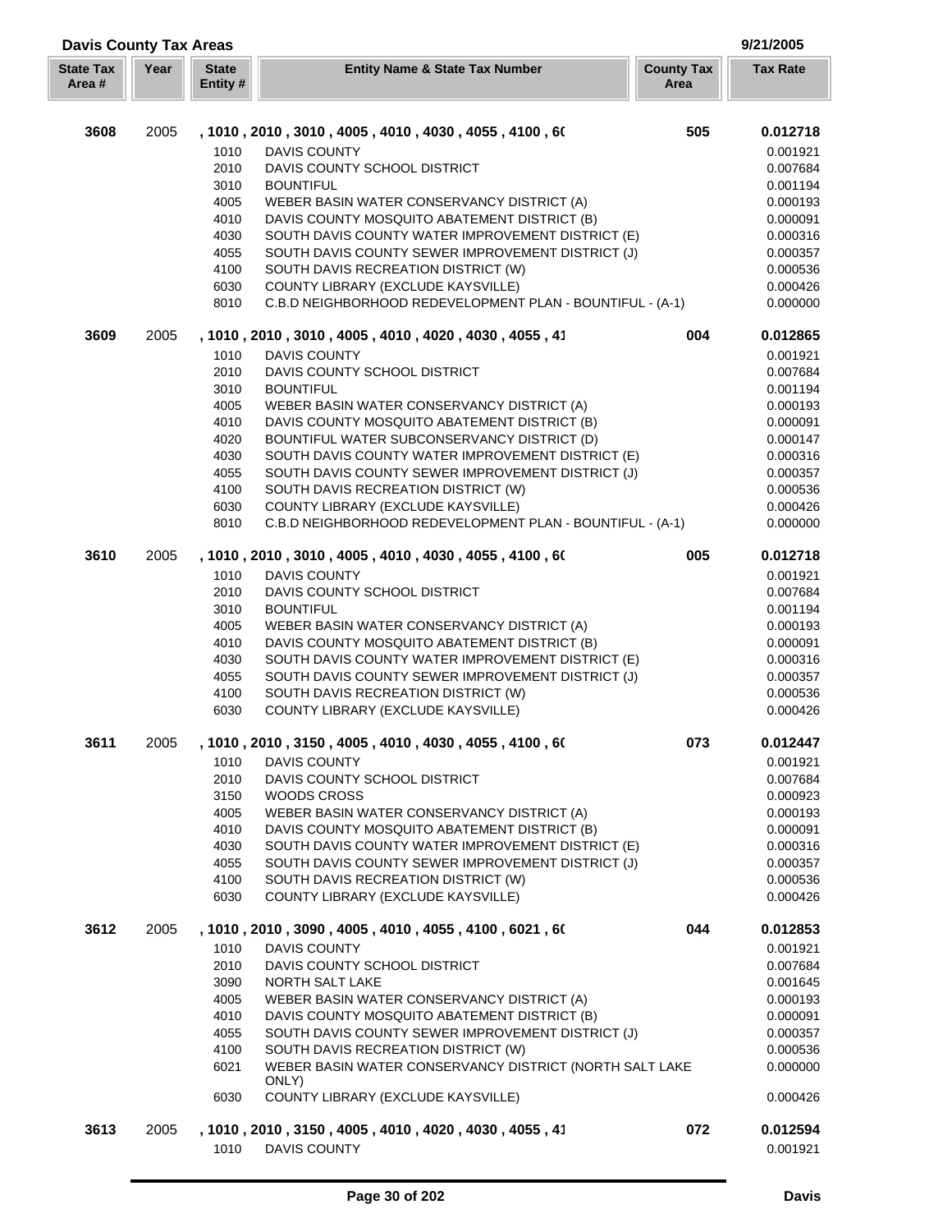| <b>Davis County Tax Areas</b><br>9/21/2005 |      |                          |                                                                  |                           |                 |
|--------------------------------------------|------|--------------------------|------------------------------------------------------------------|---------------------------|-----------------|
| <b>State Tax</b><br>Area #                 | Year | <b>State</b><br>Entity # | <b>Entity Name &amp; State Tax Number</b>                        | <b>County Tax</b><br>Area | <b>Tax Rate</b> |
| 3608                                       | 2005 |                          | , 1010, 2010, 3010, 4005, 4010, 4030, 4055, 4100, 60             | 505                       | 0.012718        |
|                                            |      | 1010                     | <b>DAVIS COUNTY</b>                                              |                           | 0.001921        |
|                                            |      | 2010                     | DAVIS COUNTY SCHOOL DISTRICT                                     |                           | 0.007684        |
|                                            |      | 3010                     | <b>BOUNTIFUL</b>                                                 |                           | 0.001194        |
|                                            |      | 4005                     | WEBER BASIN WATER CONSERVANCY DISTRICT (A)                       |                           | 0.000193        |
|                                            |      | 4010                     | DAVIS COUNTY MOSQUITO ABATEMENT DISTRICT (B)                     |                           | 0.000091        |
|                                            |      | 4030                     | SOUTH DAVIS COUNTY WATER IMPROVEMENT DISTRICT (E)                |                           | 0.000316        |
|                                            |      | 4055                     | SOUTH DAVIS COUNTY SEWER IMPROVEMENT DISTRICT (J)                |                           | 0.000357        |
|                                            |      | 4100                     | SOUTH DAVIS RECREATION DISTRICT (W)                              |                           | 0.000536        |
|                                            |      | 6030                     | COUNTY LIBRARY (EXCLUDE KAYSVILLE)                               |                           | 0.000426        |
|                                            |      | 8010                     | C.B.D NEIGHBORHOOD REDEVELOPMENT PLAN - BOUNTIFUL - (A-1)        |                           | 0.000000        |
| 3609                                       | 2005 |                          | , 1010, 2010, 3010, 4005, 4010, 4020, 4030, 4055, 41             | 004                       | 0.012865        |
|                                            |      | 1010                     | <b>DAVIS COUNTY</b>                                              |                           | 0.001921        |
|                                            |      | 2010                     | DAVIS COUNTY SCHOOL DISTRICT                                     |                           | 0.007684        |
|                                            |      | 3010                     | <b>BOUNTIFUL</b>                                                 |                           | 0.001194        |
|                                            |      | 4005                     | WEBER BASIN WATER CONSERVANCY DISTRICT (A)                       |                           | 0.000193        |
|                                            |      | 4010                     | DAVIS COUNTY MOSQUITO ABATEMENT DISTRICT (B)                     |                           | 0.000091        |
|                                            |      | 4020                     | BOUNTIFUL WATER SUBCONSERVANCY DISTRICT (D)                      |                           | 0.000147        |
|                                            |      | 4030                     | SOUTH DAVIS COUNTY WATER IMPROVEMENT DISTRICT (E)                |                           | 0.000316        |
|                                            |      | 4055                     | SOUTH DAVIS COUNTY SEWER IMPROVEMENT DISTRICT (J)                |                           | 0.000357        |
|                                            |      | 4100                     | SOUTH DAVIS RECREATION DISTRICT (W)                              |                           | 0.000536        |
|                                            |      | 6030                     | COUNTY LIBRARY (EXCLUDE KAYSVILLE)                               |                           | 0.000426        |
|                                            |      | 8010                     | C.B.D NEIGHBORHOOD REDEVELOPMENT PLAN - BOUNTIFUL - (A-1)        |                           | 0.000000        |
| 3610                                       | 2005 |                          | , 1010, 2010, 3010, 4005, 4010, 4030, 4055, 4100, 60             | 005                       | 0.012718        |
|                                            |      | 1010                     | <b>DAVIS COUNTY</b>                                              |                           | 0.001921        |
|                                            |      | 2010                     | DAVIS COUNTY SCHOOL DISTRICT                                     |                           | 0.007684        |
|                                            |      | 3010                     | <b>BOUNTIFUL</b>                                                 |                           | 0.001194        |
|                                            |      | 4005                     | WEBER BASIN WATER CONSERVANCY DISTRICT (A)                       |                           | 0.000193        |
|                                            |      | 4010                     | DAVIS COUNTY MOSQUITO ABATEMENT DISTRICT (B)                     |                           | 0.000091        |
|                                            |      | 4030                     | SOUTH DAVIS COUNTY WATER IMPROVEMENT DISTRICT (E)                |                           | 0.000316        |
|                                            |      | 4055                     | SOUTH DAVIS COUNTY SEWER IMPROVEMENT DISTRICT (J)                |                           | 0.000357        |
|                                            |      | 4100                     | SOUTH DAVIS RECREATION DISTRICT (W)                              |                           | 0.000536        |
|                                            |      | 6030                     | COUNTY LIBRARY (EXCLUDE KAYSVILLE)                               |                           | 0.000426        |
| 3611                                       | 2005 |                          | , 1010 , 2010 , 3150 , 4005 , 4010 , 4030 , 4055 , 4100 , 60     | 073                       | 0.012447        |
|                                            |      | 1010                     | <b>DAVIS COUNTY</b>                                              |                           | 0.001921        |
|                                            |      | 2010                     | DAVIS COUNTY SCHOOL DISTRICT                                     |                           | 0.007684        |
|                                            |      | 3150                     | WOODS CROSS                                                      |                           | 0.000923        |
|                                            |      | 4005                     | WEBER BASIN WATER CONSERVANCY DISTRICT (A)                       |                           | 0.000193        |
|                                            |      | 4010                     | DAVIS COUNTY MOSQUITO ABATEMENT DISTRICT (B)                     |                           | 0.000091        |
|                                            |      | 4030                     | SOUTH DAVIS COUNTY WATER IMPROVEMENT DISTRICT (E)                |                           | 0.000316        |
|                                            |      | 4055                     | SOUTH DAVIS COUNTY SEWER IMPROVEMENT DISTRICT (J)                |                           | 0.000357        |
|                                            |      | 4100                     | SOUTH DAVIS RECREATION DISTRICT (W)                              |                           | 0.000536        |
|                                            |      | 6030                     | COUNTY LIBRARY (EXCLUDE KAYSVILLE)                               |                           | 0.000426        |
| 3612                                       | 2005 |                          | , 1010, 2010, 3090, 4005, 4010, 4055, 4100, 6021, 60             | 044                       | 0.012853        |
|                                            |      | 1010                     | <b>DAVIS COUNTY</b>                                              |                           | 0.001921        |
|                                            |      | 2010                     | DAVIS COUNTY SCHOOL DISTRICT                                     |                           | 0.007684        |
|                                            |      | 3090                     | NORTH SALT LAKE                                                  |                           | 0.001645        |
|                                            |      | 4005                     | WEBER BASIN WATER CONSERVANCY DISTRICT (A)                       |                           | 0.000193        |
|                                            |      | 4010                     | DAVIS COUNTY MOSQUITO ABATEMENT DISTRICT (B)                     |                           | 0.000091        |
|                                            |      | 4055                     | SOUTH DAVIS COUNTY SEWER IMPROVEMENT DISTRICT (J)                |                           | 0.000357        |
|                                            |      | 4100                     | SOUTH DAVIS RECREATION DISTRICT (W)                              |                           | 0.000536        |
|                                            |      | 6021                     | WEBER BASIN WATER CONSERVANCY DISTRICT (NORTH SALT LAKE<br>ONLY) |                           | 0.000000        |
|                                            |      | 6030                     | COUNTY LIBRARY (EXCLUDE KAYSVILLE)                               |                           | 0.000426        |
| 3613                                       | 2005 |                          | , 1010, 2010, 3150, 4005, 4010, 4020, 4030, 4055, 41             | 072                       | 0.012594        |
|                                            |      | 1010                     | <b>DAVIS COUNTY</b>                                              |                           | 0.001921        |
|                                            |      |                          |                                                                  |                           |                 |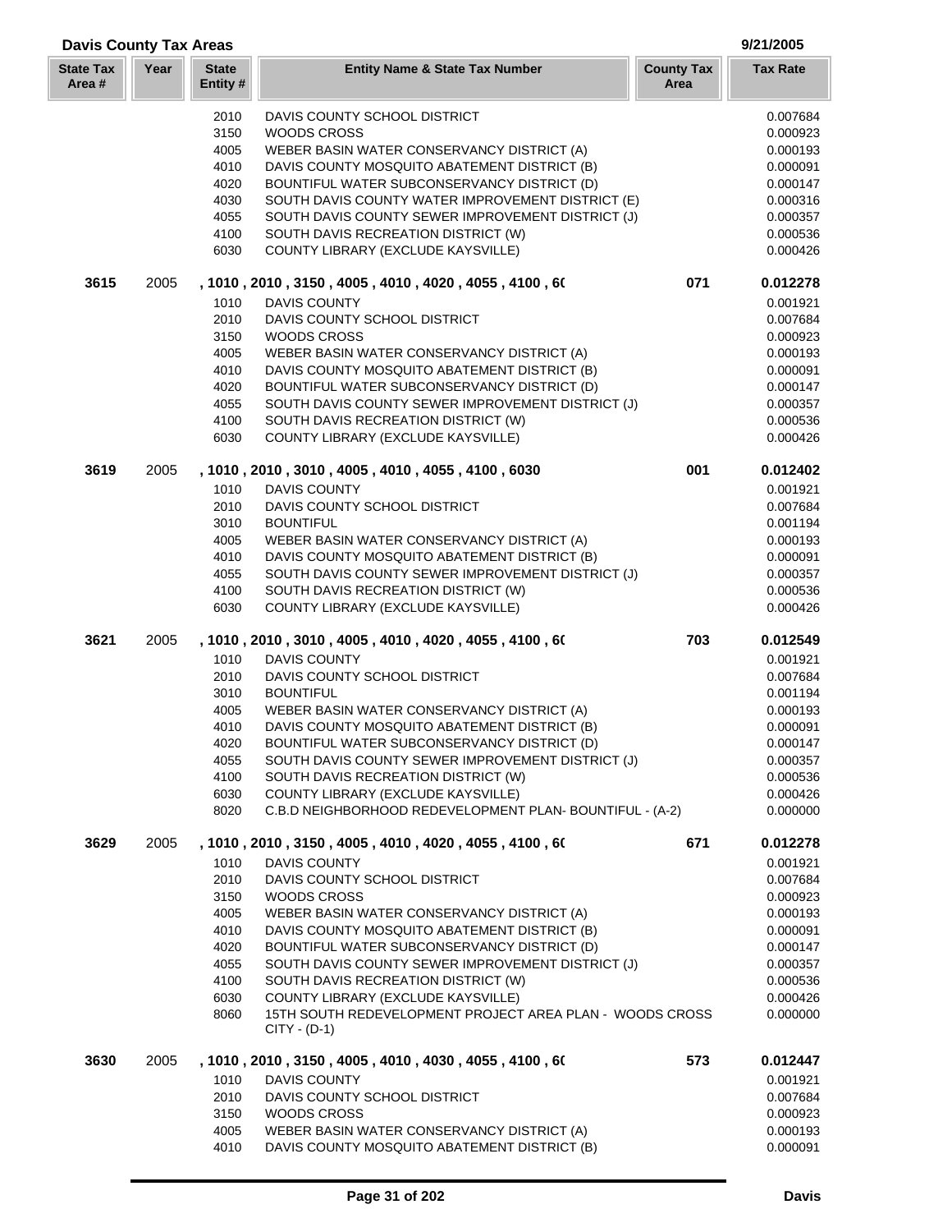| <b>Davis County Tax Areas</b> |      |                          |                                                                                             |                           | 9/21/2005            |
|-------------------------------|------|--------------------------|---------------------------------------------------------------------------------------------|---------------------------|----------------------|
| <b>State Tax</b><br>Area #    | Year | <b>State</b><br>Entity # | <b>Entity Name &amp; State Tax Number</b>                                                   | <b>County Tax</b><br>Area | <b>Tax Rate</b>      |
|                               |      | 2010                     | DAVIS COUNTY SCHOOL DISTRICT                                                                |                           | 0.007684             |
|                               |      | 3150                     | <b>WOODS CROSS</b>                                                                          |                           | 0.000923             |
|                               |      | 4005                     | WEBER BASIN WATER CONSERVANCY DISTRICT (A)                                                  |                           | 0.000193             |
|                               |      | 4010                     | DAVIS COUNTY MOSQUITO ABATEMENT DISTRICT (B)                                                |                           | 0.000091             |
|                               |      | 4020                     | BOUNTIFUL WATER SUBCONSERVANCY DISTRICT (D)                                                 |                           | 0.000147             |
|                               |      | 4030                     | SOUTH DAVIS COUNTY WATER IMPROVEMENT DISTRICT (E)                                           |                           | 0.000316             |
|                               |      | 4055                     | SOUTH DAVIS COUNTY SEWER IMPROVEMENT DISTRICT (J)                                           |                           | 0.000357             |
|                               |      | 4100                     | SOUTH DAVIS RECREATION DISTRICT (W)                                                         |                           | 0.000536             |
|                               |      | 6030                     | COUNTY LIBRARY (EXCLUDE KAYSVILLE)                                                          |                           | 0.000426             |
| 3615                          | 2005 |                          | , 1010, 2010, 3150, 4005, 4010, 4020, 4055, 4100, 60                                        | 071                       | 0.012278             |
|                               |      | 1010                     | <b>DAVIS COUNTY</b>                                                                         |                           | 0.001921             |
|                               |      | 2010                     | DAVIS COUNTY SCHOOL DISTRICT                                                                |                           | 0.007684             |
|                               |      | 3150                     | <b>WOODS CROSS</b>                                                                          |                           | 0.000923             |
|                               |      | 4005                     | WEBER BASIN WATER CONSERVANCY DISTRICT (A)                                                  |                           | 0.000193             |
|                               |      | 4010                     | DAVIS COUNTY MOSQUITO ABATEMENT DISTRICT (B)                                                |                           | 0.000091             |
|                               |      | 4020                     | BOUNTIFUL WATER SUBCONSERVANCY DISTRICT (D)                                                 |                           | 0.000147             |
|                               |      | 4055                     | SOUTH DAVIS COUNTY SEWER IMPROVEMENT DISTRICT (J)                                           |                           | 0.000357             |
|                               |      | 4100                     | SOUTH DAVIS RECREATION DISTRICT (W)                                                         |                           | 0.000536             |
|                               |      | 6030                     | COUNTY LIBRARY (EXCLUDE KAYSVILLE)                                                          |                           | 0.000426             |
| 3619                          | 2005 |                          | , 1010, 2010, 3010, 4005, 4010, 4055, 4100, 6030                                            | 001                       | 0.012402             |
|                               |      | 1010                     | <b>DAVIS COUNTY</b>                                                                         |                           | 0.001921             |
|                               |      | 2010                     | DAVIS COUNTY SCHOOL DISTRICT                                                                |                           | 0.007684             |
|                               |      | 3010                     | <b>BOUNTIFUL</b>                                                                            |                           | 0.001194             |
|                               |      | 4005                     | WEBER BASIN WATER CONSERVANCY DISTRICT (A)                                                  |                           | 0.000193             |
|                               |      | 4010                     | DAVIS COUNTY MOSQUITO ABATEMENT DISTRICT (B)                                                |                           | 0.000091             |
|                               |      | 4055                     | SOUTH DAVIS COUNTY SEWER IMPROVEMENT DISTRICT (J)                                           |                           | 0.000357             |
|                               |      | 4100                     | SOUTH DAVIS RECREATION DISTRICT (W)                                                         |                           | 0.000536             |
|                               |      | 6030                     | COUNTY LIBRARY (EXCLUDE KAYSVILLE)                                                          |                           | 0.000426             |
| 3621                          | 2005 |                          | , 1010 , 2010 , 3010 , 4005 , 4010 , 4020 , 4055 , 4100 , 60                                | 703                       | 0.012549             |
|                               |      | 1010                     | <b>DAVIS COUNTY</b>                                                                         |                           | 0.001921             |
|                               |      | 2010                     | DAVIS COUNTY SCHOOL DISTRICT                                                                |                           | 0.007684             |
|                               |      | 3010                     | <b>BOUNTIFUL</b>                                                                            |                           | 0.001194             |
|                               |      | 4005                     | WEBER BASIN WATER CONSERVANCY DISTRICT (A)                                                  |                           | 0.000193             |
|                               |      | 4010                     | DAVIS COUNTY MOSQUITO ABATEMENT DISTRICT (B)                                                |                           | 0.000091             |
|                               |      | 4020                     | BOUNTIFUL WATER SUBCONSERVANCY DISTRICT (D)                                                 |                           | 0.000147             |
|                               |      | 4055                     | SOUTH DAVIS COUNTY SEWER IMPROVEMENT DISTRICT (J)                                           |                           | 0.000357             |
|                               |      | 4100                     | SOUTH DAVIS RECREATION DISTRICT (W)                                                         |                           | 0.000536             |
|                               |      | 6030                     | COUNTY LIBRARY (EXCLUDE KAYSVILLE)                                                          |                           | 0.000426             |
|                               |      | 8020                     | C.B.D NEIGHBORHOOD REDEVELOPMENT PLAN-BOUNTIFUL - (A-2)                                     |                           | 0.000000             |
| 3629                          | 2005 | 1010                     | , 1010 , 2010 , 3150 , 4005 , 4010 , 4020 , 4055 , 4100 , 60<br>DAVIS COUNTY                | 671                       | 0.012278<br>0.001921 |
|                               |      |                          |                                                                                             |                           |                      |
|                               |      | 2010                     | DAVIS COUNTY SCHOOL DISTRICT                                                                |                           | 0.007684             |
|                               |      | 3150                     | WOODS CROSS                                                                                 |                           | 0.000923<br>0.000193 |
|                               |      | 4005                     | WEBER BASIN WATER CONSERVANCY DISTRICT (A)                                                  |                           |                      |
|                               |      | 4010<br>4020             | DAVIS COUNTY MOSQUITO ABATEMENT DISTRICT (B)<br>BOUNTIFUL WATER SUBCONSERVANCY DISTRICT (D) |                           | 0.000091<br>0.000147 |
|                               |      |                          |                                                                                             |                           |                      |
|                               |      | 4055<br>4100             | SOUTH DAVIS COUNTY SEWER IMPROVEMENT DISTRICT (J)<br>SOUTH DAVIS RECREATION DISTRICT (W)    |                           | 0.000357<br>0.000536 |
|                               |      | 6030                     | COUNTY LIBRARY (EXCLUDE KAYSVILLE)                                                          |                           | 0.000426             |
|                               |      |                          | 15TH SOUTH REDEVELOPMENT PROJECT AREA PLAN - WOODS CROSS                                    |                           |                      |
|                               |      | 8060                     | $CITY - (D-1)$                                                                              |                           | 0.000000             |
| 3630                          | 2005 |                          | , 1010 , 2010 , 3150 , 4005 , 4010 , 4030 , 4055 , 4100 , 60                                | 573                       | 0.012447             |
|                               |      | 1010                     | DAVIS COUNTY                                                                                |                           | 0.001921             |
|                               |      | 2010                     | DAVIS COUNTY SCHOOL DISTRICT                                                                |                           | 0.007684             |
|                               |      | 3150                     | <b>WOODS CROSS</b>                                                                          |                           | 0.000923             |
|                               |      | 4005                     | WEBER BASIN WATER CONSERVANCY DISTRICT (A)                                                  |                           | 0.000193             |

DAVIS COUNTY MOSQUITO ABATEMENT DISTRICT (B) 0.000091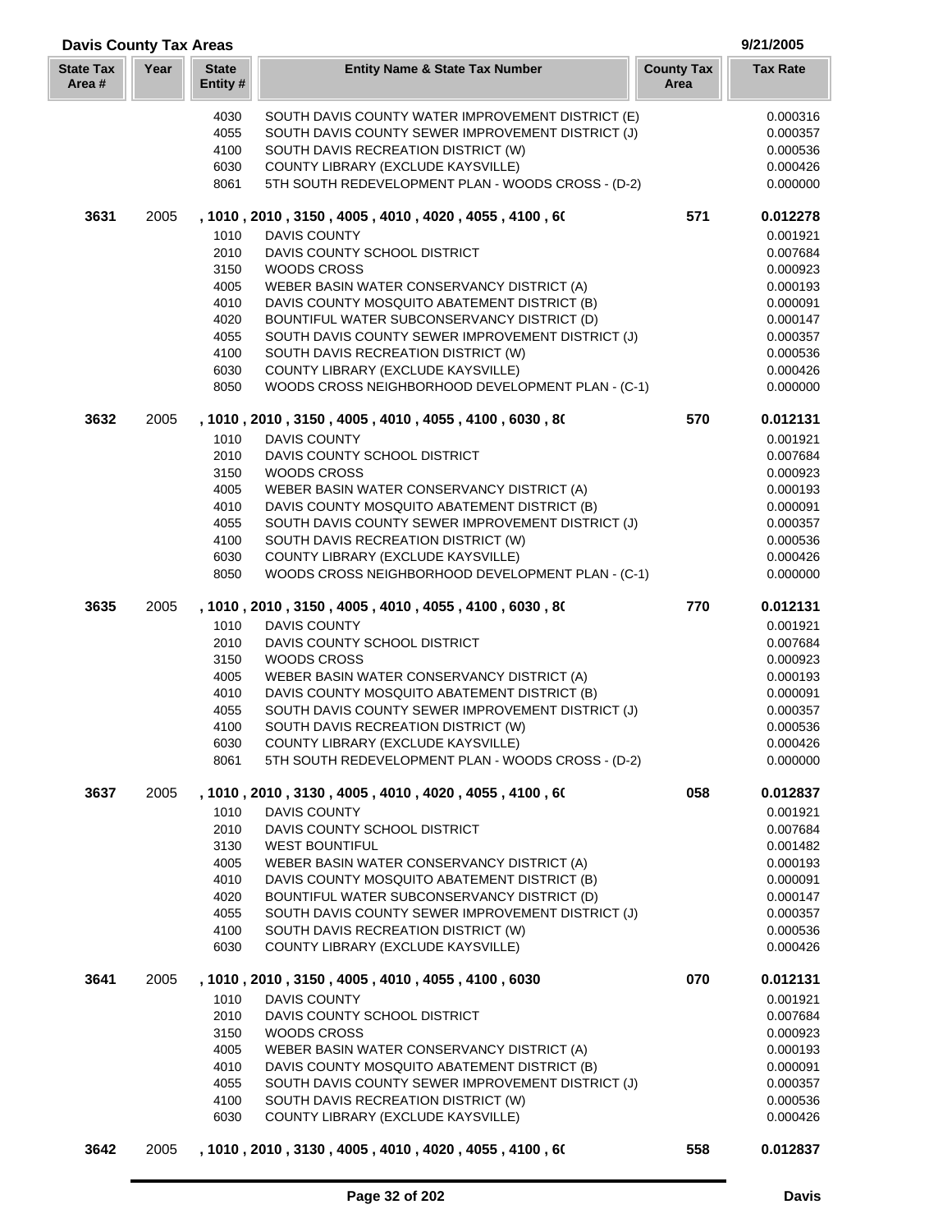| <b>Davis County Tax Areas</b> |      |                         |                                                                                                   |                           | 9/21/2005            |
|-------------------------------|------|-------------------------|---------------------------------------------------------------------------------------------------|---------------------------|----------------------|
| <b>State Tax</b><br>Area#     | Year | <b>State</b><br>Entity# | <b>Entity Name &amp; State Tax Number</b>                                                         | <b>County Tax</b><br>Area | <b>Tax Rate</b>      |
|                               |      | 4030                    | SOUTH DAVIS COUNTY WATER IMPROVEMENT DISTRICT (E)                                                 |                           | 0.000316             |
|                               |      | 4055                    | SOUTH DAVIS COUNTY SEWER IMPROVEMENT DISTRICT (J)                                                 |                           | 0.000357             |
|                               |      | 4100                    | SOUTH DAVIS RECREATION DISTRICT (W)                                                               |                           | 0.000536             |
|                               |      | 6030                    | COUNTY LIBRARY (EXCLUDE KAYSVILLE)                                                                |                           | 0.000426             |
|                               |      | 8061                    | 5TH SOUTH REDEVELOPMENT PLAN - WOODS CROSS - (D-2)                                                |                           | 0.000000             |
| 3631                          | 2005 |                         | , 1010, 2010, 3150, 4005, 4010, 4020, 4055, 4100, 60                                              | 571                       | 0.012278             |
|                               |      | 1010                    | <b>DAVIS COUNTY</b>                                                                               |                           | 0.001921             |
|                               |      | 2010                    | DAVIS COUNTY SCHOOL DISTRICT                                                                      |                           | 0.007684             |
|                               |      | 3150                    | <b>WOODS CROSS</b>                                                                                |                           | 0.000923             |
|                               |      | 4005                    | WEBER BASIN WATER CONSERVANCY DISTRICT (A)                                                        |                           | 0.000193             |
|                               |      | 4010                    | DAVIS COUNTY MOSQUITO ABATEMENT DISTRICT (B)                                                      |                           | 0.000091             |
|                               |      | 4020                    | BOUNTIFUL WATER SUBCONSERVANCY DISTRICT (D)                                                       |                           | 0.000147             |
|                               |      | 4055                    | SOUTH DAVIS COUNTY SEWER IMPROVEMENT DISTRICT (J)                                                 |                           | 0.000357             |
|                               |      | 4100                    | SOUTH DAVIS RECREATION DISTRICT (W)                                                               |                           | 0.000536             |
|                               |      | 6030                    | COUNTY LIBRARY (EXCLUDE KAYSVILLE)                                                                |                           | 0.000426             |
|                               |      | 8050                    | WOODS CROSS NEIGHBORHOOD DEVELOPMENT PLAN - (C-1)                                                 |                           | 0.000000             |
| 3632                          | 2005 |                         | , 1010, 2010, 3150, 4005, 4010, 4055, 4100, 6030, 80                                              | 570                       | 0.012131             |
|                               |      | 1010                    | <b>DAVIS COUNTY</b>                                                                               |                           | 0.001921             |
|                               |      | 2010                    | DAVIS COUNTY SCHOOL DISTRICT                                                                      |                           | 0.007684             |
|                               |      | 3150                    | WOODS CROSS                                                                                       |                           | 0.000923             |
|                               |      | 4005                    | WEBER BASIN WATER CONSERVANCY DISTRICT (A)                                                        |                           | 0.000193             |
|                               |      | 4010                    | DAVIS COUNTY MOSQUITO ABATEMENT DISTRICT (B)                                                      |                           | 0.000091             |
|                               |      | 4055                    | SOUTH DAVIS COUNTY SEWER IMPROVEMENT DISTRICT (J)                                                 |                           | 0.000357             |
|                               |      | 4100                    | SOUTH DAVIS RECREATION DISTRICT (W)                                                               |                           | 0.000536             |
|                               |      | 6030                    | COUNTY LIBRARY (EXCLUDE KAYSVILLE)                                                                |                           | 0.000426             |
|                               |      | 8050                    | WOODS CROSS NEIGHBORHOOD DEVELOPMENT PLAN - (C-1)                                                 |                           | 0.000000             |
| 3635                          | 2005 |                         | , 1010, 2010, 3150, 4005, 4010, 4055, 4100, 6030, 80                                              | 770                       | 0.012131             |
|                               |      | 1010                    | DAVIS COUNTY                                                                                      |                           | 0.001921             |
|                               |      | 2010                    | DAVIS COUNTY SCHOOL DISTRICT                                                                      |                           | 0.007684             |
|                               |      | 3150                    | WOODS CROSS                                                                                       |                           | 0.000923             |
|                               |      | 4005                    | WEBER BASIN WATER CONSERVANCY DISTRICT (A)                                                        |                           | 0.000193             |
|                               |      | 4010<br>4055            | DAVIS COUNTY MOSQUITO ABATEMENT DISTRICT (B)<br>SOUTH DAVIS COUNTY SEWER IMPROVEMENT DISTRICT (J) |                           | 0.000091<br>0.000357 |
|                               |      |                         |                                                                                                   |                           |                      |
|                               |      | 4100<br>6030            | SOUTH DAVIS RECREATION DISTRICT (W)<br>COUNTY LIBRARY (EXCLUDE KAYSVILLE)                         |                           | 0.000536<br>0.000426 |
|                               |      | 8061                    | 5TH SOUTH REDEVELOPMENT PLAN - WOODS CROSS - (D-2)                                                |                           | 0.000000             |
| 3637                          | 2005 |                         | , 1010 , 2010 , 3130 , 4005 , 4010 , 4020 , 4055 , 4100 , 60                                      | 058                       | 0.012837             |
|                               |      | 1010                    | DAVIS COUNTY                                                                                      |                           | 0.001921             |
|                               |      | 2010                    | DAVIS COUNTY SCHOOL DISTRICT                                                                      |                           | 0.007684             |
|                               |      | 3130                    | <b>WEST BOUNTIFUL</b>                                                                             |                           | 0.001482             |
|                               |      | 4005                    | WEBER BASIN WATER CONSERVANCY DISTRICT (A)                                                        |                           | 0.000193             |
|                               |      | 4010                    | DAVIS COUNTY MOSQUITO ABATEMENT DISTRICT (B)                                                      |                           | 0.000091             |
|                               |      | 4020                    | BOUNTIFUL WATER SUBCONSERVANCY DISTRICT (D)                                                       |                           | 0.000147             |
|                               |      | 4055                    | SOUTH DAVIS COUNTY SEWER IMPROVEMENT DISTRICT (J)                                                 |                           | 0.000357             |
|                               |      | 4100                    | SOUTH DAVIS RECREATION DISTRICT (W)                                                               |                           | 0.000536             |
|                               |      | 6030                    | COUNTY LIBRARY (EXCLUDE KAYSVILLE)                                                                |                           | 0.000426             |
| 3641                          | 2005 |                         | , 1010, 2010, 3150, 4005, 4010, 4055, 4100, 6030                                                  | 070                       | 0.012131             |
|                               |      | 1010                    | DAVIS COUNTY                                                                                      |                           | 0.001921             |
|                               |      | 2010                    | DAVIS COUNTY SCHOOL DISTRICT                                                                      |                           | 0.007684             |
|                               |      | 3150                    | WOODS CROSS                                                                                       |                           | 0.000923             |
|                               |      | 4005                    | WEBER BASIN WATER CONSERVANCY DISTRICT (A)                                                        |                           | 0.000193             |
|                               |      | 4010                    | DAVIS COUNTY MOSQUITO ABATEMENT DISTRICT (B)                                                      |                           | 0.000091             |
|                               |      | 4055                    | SOUTH DAVIS COUNTY SEWER IMPROVEMENT DISTRICT (J)                                                 |                           | 0.000357             |
|                               |      | 4100                    | SOUTH DAVIS RECREATION DISTRICT (W)                                                               |                           | 0.000536             |
|                               |      | 6030                    | COUNTY LIBRARY (EXCLUDE KAYSVILLE)                                                                |                           | 0.000426             |
| 3642                          | 2005 |                         | , 1010 , 2010 , 3130 , 4005 , 4010 , 4020 , 4055 , 4100 , 60                                      | 558                       | 0.012837             |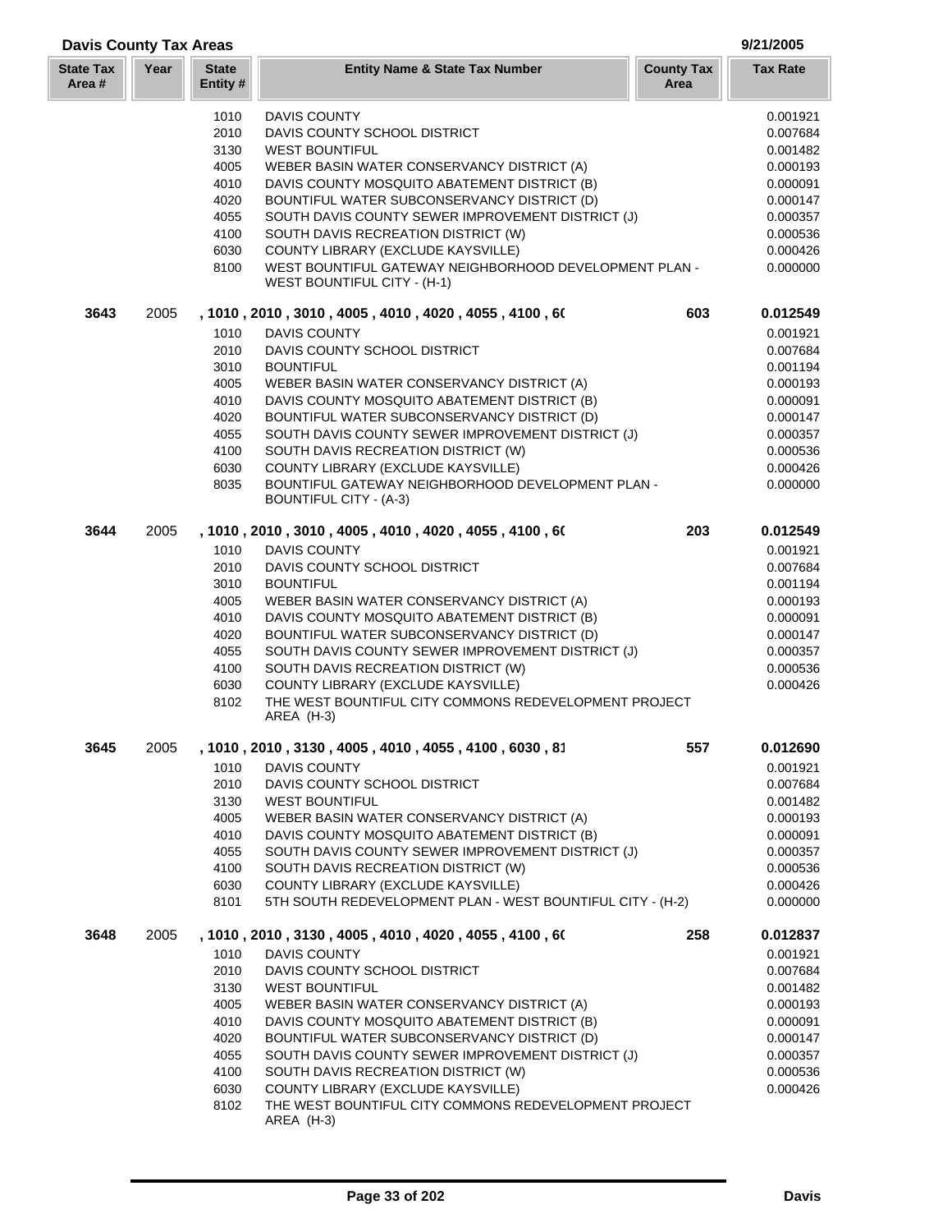| <b>Davis County Tax Areas</b> | 9/21/2005 |
|-------------------------------|-----------|
|                               |           |

ΞĪ.

| <b>State Tax</b><br>Area # | Year | <b>State</b><br>Entity# | <b>Entity Name &amp; State Tax Number</b>                                                                 | <b>County Tax</b><br>Area | <b>Tax Rate</b>      |
|----------------------------|------|-------------------------|-----------------------------------------------------------------------------------------------------------|---------------------------|----------------------|
|                            |      | 1010                    | DAVIS COUNTY                                                                                              |                           | 0.001921             |
|                            |      | 2010                    | DAVIS COUNTY SCHOOL DISTRICT                                                                              |                           | 0.007684             |
|                            |      | 3130                    | <b>WEST BOUNTIFUL</b>                                                                                     |                           | 0.001482             |
|                            |      | 4005<br>4010            | WEBER BASIN WATER CONSERVANCY DISTRICT (A)<br>DAVIS COUNTY MOSQUITO ABATEMENT DISTRICT (B)                |                           | 0.000193<br>0.000091 |
|                            |      | 4020                    | BOUNTIFUL WATER SUBCONSERVANCY DISTRICT (D)                                                               |                           | 0.000147             |
|                            |      | 4055                    | SOUTH DAVIS COUNTY SEWER IMPROVEMENT DISTRICT (J)                                                         |                           | 0.000357             |
|                            |      | 4100                    | SOUTH DAVIS RECREATION DISTRICT (W)                                                                       |                           | 0.000536             |
|                            |      | 6030                    | COUNTY LIBRARY (EXCLUDE KAYSVILLE)                                                                        |                           | 0.000426             |
|                            |      | 8100                    | WEST BOUNTIFUL GATEWAY NEIGHBORHOOD DEVELOPMENT PLAN -<br>WEST BOUNTIFUL CITY - (H-1)                     |                           | 0.000000             |
| 3643                       | 2005 |                         | , 1010, 2010, 3010, 4005, 4010, 4020, 4055, 4100, 60                                                      | 603                       | 0.012549             |
|                            |      | 1010                    | <b>DAVIS COUNTY</b>                                                                                       |                           | 0.001921             |
|                            |      | 2010                    | DAVIS COUNTY SCHOOL DISTRICT                                                                              |                           | 0.007684             |
|                            |      | 3010                    | <b>BOUNTIFUL</b>                                                                                          |                           | 0.001194             |
|                            |      | 4005                    | WEBER BASIN WATER CONSERVANCY DISTRICT (A)                                                                |                           | 0.000193             |
|                            |      | 4010<br>4020            | DAVIS COUNTY MOSQUITO ABATEMENT DISTRICT (B)<br>BOUNTIFUL WATER SUBCONSERVANCY DISTRICT (D)               |                           | 0.000091<br>0.000147 |
|                            |      | 4055                    | SOUTH DAVIS COUNTY SEWER IMPROVEMENT DISTRICT (J)                                                         |                           | 0.000357             |
|                            |      | 4100                    | SOUTH DAVIS RECREATION DISTRICT (W)                                                                       |                           | 0.000536             |
|                            |      | 6030                    | COUNTY LIBRARY (EXCLUDE KAYSVILLE)                                                                        |                           | 0.000426             |
|                            |      | 8035                    | BOUNTIFUL GATEWAY NEIGHBORHOOD DEVELOPMENT PLAN -<br><b>BOUNTIFUL CITY - (A-3)</b>                        |                           | 0.000000             |
| 3644                       | 2005 |                         | , 1010 , 2010 , 3010 , 4005 , 4010 , 4020 , 4055 , 4100 , 60                                              | 203                       | 0.012549             |
|                            |      | 1010                    | <b>DAVIS COUNTY</b>                                                                                       |                           | 0.001921             |
|                            |      | 2010                    | DAVIS COUNTY SCHOOL DISTRICT                                                                              |                           | 0.007684             |
|                            |      | 3010                    | <b>BOUNTIFUL</b>                                                                                          |                           | 0.001194             |
|                            |      | 4005<br>4010            | WEBER BASIN WATER CONSERVANCY DISTRICT (A)<br>DAVIS COUNTY MOSQUITO ABATEMENT DISTRICT (B)                |                           | 0.000193<br>0.000091 |
|                            |      | 4020                    | BOUNTIFUL WATER SUBCONSERVANCY DISTRICT (D)                                                               |                           | 0.000147             |
|                            |      | 4055                    | SOUTH DAVIS COUNTY SEWER IMPROVEMENT DISTRICT (J)                                                         |                           | 0.000357             |
|                            |      | 4100                    | SOUTH DAVIS RECREATION DISTRICT (W)                                                                       |                           | 0.000536             |
|                            |      | 6030                    | COUNTY LIBRARY (EXCLUDE KAYSVILLE)                                                                        |                           | 0.000426             |
|                            |      | 8102                    | THE WEST BOUNTIFUL CITY COMMONS REDEVELOPMENT PROJECT<br>AREA (H-3)                                       |                           |                      |
| 3645                       | 2005 |                         | , 1010 , 2010 , 3130 , 4005 , 4010 , 4055 , 4100 , 6030 , 81                                              | 557                       | 0.012690             |
|                            |      | 1010                    | DAVIS COUNTY                                                                                              |                           | 0.001921             |
|                            |      | 2010                    | DAVIS COUNTY SCHOOL DISTRICT                                                                              |                           | 0.007684             |
|                            |      | 3130<br>4005            | <b>WEST BOUNTIFUL</b><br>WEBER BASIN WATER CONSERVANCY DISTRICT (A)                                       |                           | 0.001482<br>0.000193 |
|                            |      | 4010                    | DAVIS COUNTY MOSQUITO ABATEMENT DISTRICT (B)                                                              |                           | 0.000091             |
|                            |      | 4055                    | SOUTH DAVIS COUNTY SEWER IMPROVEMENT DISTRICT (J)                                                         |                           | 0.000357             |
|                            |      | 4100                    | SOUTH DAVIS RECREATION DISTRICT (W)                                                                       |                           | 0.000536             |
|                            |      | 6030                    | COUNTY LIBRARY (EXCLUDE KAYSVILLE)                                                                        |                           | 0.000426             |
|                            |      | 8101                    | 5TH SOUTH REDEVELOPMENT PLAN - WEST BOUNTIFUL CITY - (H-2)                                                |                           | 0.000000             |
| 3648                       | 2005 | 1010                    | , 1010 , 2010 , 3130 , 4005 , 4010 , 4020 , 4055 , 4100 , 60<br><b>DAVIS COUNTY</b>                       | 258                       | 0.012837<br>0.001921 |
|                            |      | 2010                    | DAVIS COUNTY SCHOOL DISTRICT                                                                              |                           | 0.007684             |
|                            |      | 3130                    | <b>WEST BOUNTIFUL</b>                                                                                     |                           | 0.001482             |
|                            |      | 4005                    | WEBER BASIN WATER CONSERVANCY DISTRICT (A)                                                                |                           | 0.000193             |
|                            |      | 4010                    | DAVIS COUNTY MOSQUITO ABATEMENT DISTRICT (B)                                                              |                           | 0.000091             |
|                            |      | 4020                    | BOUNTIFUL WATER SUBCONSERVANCY DISTRICT (D)                                                               |                           | 0.000147             |
|                            |      | 4055                    | SOUTH DAVIS COUNTY SEWER IMPROVEMENT DISTRICT (J)                                                         |                           | 0.000357             |
|                            |      | 4100                    | SOUTH DAVIS RECREATION DISTRICT (W)                                                                       |                           | 0.000536             |
|                            |      | 6030<br>8102            | COUNTY LIBRARY (EXCLUDE KAYSVILLE)<br>THE WEST BOUNTIFUL CITY COMMONS REDEVELOPMENT PROJECT<br>AREA (H-3) |                           | 0.000426             |

T.

a n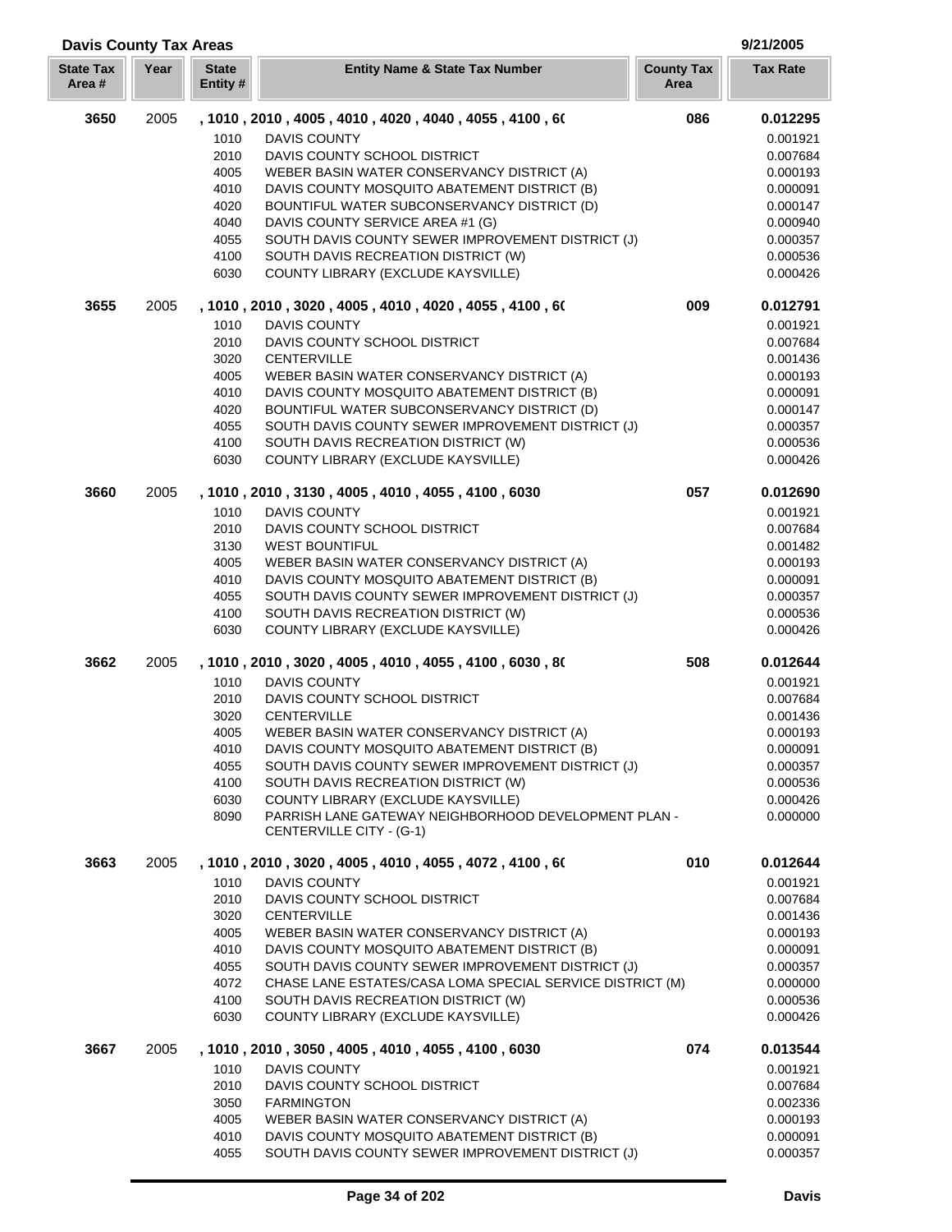| <b>State Tax</b><br>Area# | Year | <b>State</b><br>Entity#                                              | <b>Entity Name &amp; State Tax Number</b>                                                                                                                                                                                                                                                                                                                                                                                                      | <b>County Tax</b><br>Area | <b>Tax Rate</b>                                                                                                      |
|---------------------------|------|----------------------------------------------------------------------|------------------------------------------------------------------------------------------------------------------------------------------------------------------------------------------------------------------------------------------------------------------------------------------------------------------------------------------------------------------------------------------------------------------------------------------------|---------------------------|----------------------------------------------------------------------------------------------------------------------|
| 3650                      | 2005 | 1010<br>2010<br>4005<br>4010<br>4020<br>4040<br>4055<br>4100<br>6030 | , 1010 , 2010 , 4005 , 4010 , 4020 , 4040 , 4055 , 4100 , 60<br>DAVIS COUNTY<br>DAVIS COUNTY SCHOOL DISTRICT<br>WEBER BASIN WATER CONSERVANCY DISTRICT (A)<br>DAVIS COUNTY MOSQUITO ABATEMENT DISTRICT (B)<br>BOUNTIFUL WATER SUBCONSERVANCY DISTRICT (D)<br>DAVIS COUNTY SERVICE AREA #1 (G)<br>SOUTH DAVIS COUNTY SEWER IMPROVEMENT DISTRICT (J)<br>SOUTH DAVIS RECREATION DISTRICT (W)<br>COUNTY LIBRARY (EXCLUDE KAYSVILLE)                | 086                       | 0.012295<br>0.001921<br>0.007684<br>0.000193<br>0.000091<br>0.000147<br>0.000940<br>0.000357<br>0.000536<br>0.000426 |
| 3655                      | 2005 | 1010<br>2010<br>3020<br>4005<br>4010<br>4020<br>4055<br>4100<br>6030 | , 1010, 2010, 3020, 4005, 4010, 4020, 4055, 4100, 60<br><b>DAVIS COUNTY</b><br>DAVIS COUNTY SCHOOL DISTRICT<br><b>CENTERVILLE</b><br>WEBER BASIN WATER CONSERVANCY DISTRICT (A)<br>DAVIS COUNTY MOSQUITO ABATEMENT DISTRICT (B)<br>BOUNTIFUL WATER SUBCONSERVANCY DISTRICT (D)<br>SOUTH DAVIS COUNTY SEWER IMPROVEMENT DISTRICT (J)<br>SOUTH DAVIS RECREATION DISTRICT (W)<br>COUNTY LIBRARY (EXCLUDE KAYSVILLE)                               | 009                       | 0.012791<br>0.001921<br>0.007684<br>0.001436<br>0.000193<br>0.000091<br>0.000147<br>0.000357<br>0.000536<br>0.000426 |
| 3660                      | 2005 | 1010<br>2010<br>3130<br>4005<br>4010<br>4055<br>4100<br>6030         | , 1010, 2010, 3130, 4005, 4010, 4055, 4100, 6030<br><b>DAVIS COUNTY</b><br>DAVIS COUNTY SCHOOL DISTRICT<br><b>WEST BOUNTIFUL</b><br>WEBER BASIN WATER CONSERVANCY DISTRICT (A)<br>DAVIS COUNTY MOSQUITO ABATEMENT DISTRICT (B)<br>SOUTH DAVIS COUNTY SEWER IMPROVEMENT DISTRICT (J)<br>SOUTH DAVIS RECREATION DISTRICT (W)<br>COUNTY LIBRARY (EXCLUDE KAYSVILLE)                                                                               | 057                       | 0.012690<br>0.001921<br>0.007684<br>0.001482<br>0.000193<br>0.000091<br>0.000357<br>0.000536<br>0.000426             |
| 3662                      | 2005 | 1010<br>2010<br>3020<br>4005<br>4010<br>4055<br>4100<br>6030<br>8090 | , 1010, 2010, 3020, 4005, 4010, 4055, 4100, 6030, 80<br>DAVIS COUNTY<br>DAVIS COUNTY SCHOOL DISTRICT<br><b>CENTERVILLE</b><br>WEBER BASIN WATER CONSERVANCY DISTRICT (A)<br>DAVIS COUNTY MOSQUITO ABATEMENT DISTRICT (B)<br>SOUTH DAVIS COUNTY SEWER IMPROVEMENT DISTRICT (J)<br>SOUTH DAVIS RECREATION DISTRICT (W)<br>COUNTY LIBRARY (EXCLUDE KAYSVILLE)<br>PARRISH LANE GATEWAY NEIGHBORHOOD DEVELOPMENT PLAN -<br>CENTERVILLE CITY - (G-1) | 508                       | 0.012644<br>0.001921<br>0.007684<br>0.001436<br>0.000193<br>0.000091<br>0.000357<br>0.000536<br>0.000426<br>0.000000 |
| 3663                      | 2005 | 1010<br>2010<br>3020<br>4005<br>4010<br>4055<br>4072<br>4100<br>6030 | , 1010 , 2010 , 3020 , 4005 , 4010 , 4055 , 4072 , 4100 , 60<br><b>DAVIS COUNTY</b><br>DAVIS COUNTY SCHOOL DISTRICT<br><b>CENTERVILLE</b><br>WEBER BASIN WATER CONSERVANCY DISTRICT (A)<br>DAVIS COUNTY MOSQUITO ABATEMENT DISTRICT (B)<br>SOUTH DAVIS COUNTY SEWER IMPROVEMENT DISTRICT (J)<br>CHASE LANE ESTATES/CASA LOMA SPECIAL SERVICE DISTRICT (M)<br>SOUTH DAVIS RECREATION DISTRICT (W)<br>COUNTY LIBRARY (EXCLUDE KAYSVILLE)         | 010                       | 0.012644<br>0.001921<br>0.007684<br>0.001436<br>0.000193<br>0.000091<br>0.000357<br>0.000000<br>0.000536<br>0.000426 |
| 3667                      | 2005 | 1010<br>2010<br>3050<br>4005<br>4010<br>4055                         | , 1010, 2010, 3050, 4005, 4010, 4055, 4100, 6030<br>DAVIS COUNTY<br>DAVIS COUNTY SCHOOL DISTRICT<br><b>FARMINGTON</b><br>WEBER BASIN WATER CONSERVANCY DISTRICT (A)<br>DAVIS COUNTY MOSQUITO ABATEMENT DISTRICT (B)<br>SOUTH DAVIS COUNTY SEWER IMPROVEMENT DISTRICT (J)                                                                                                                                                                       | 074                       | 0.013544<br>0.001921<br>0.007684<br>0.002336<br>0.000193<br>0.000091<br>0.000357                                     |

**Davis County Tax Areas 9/21/2005**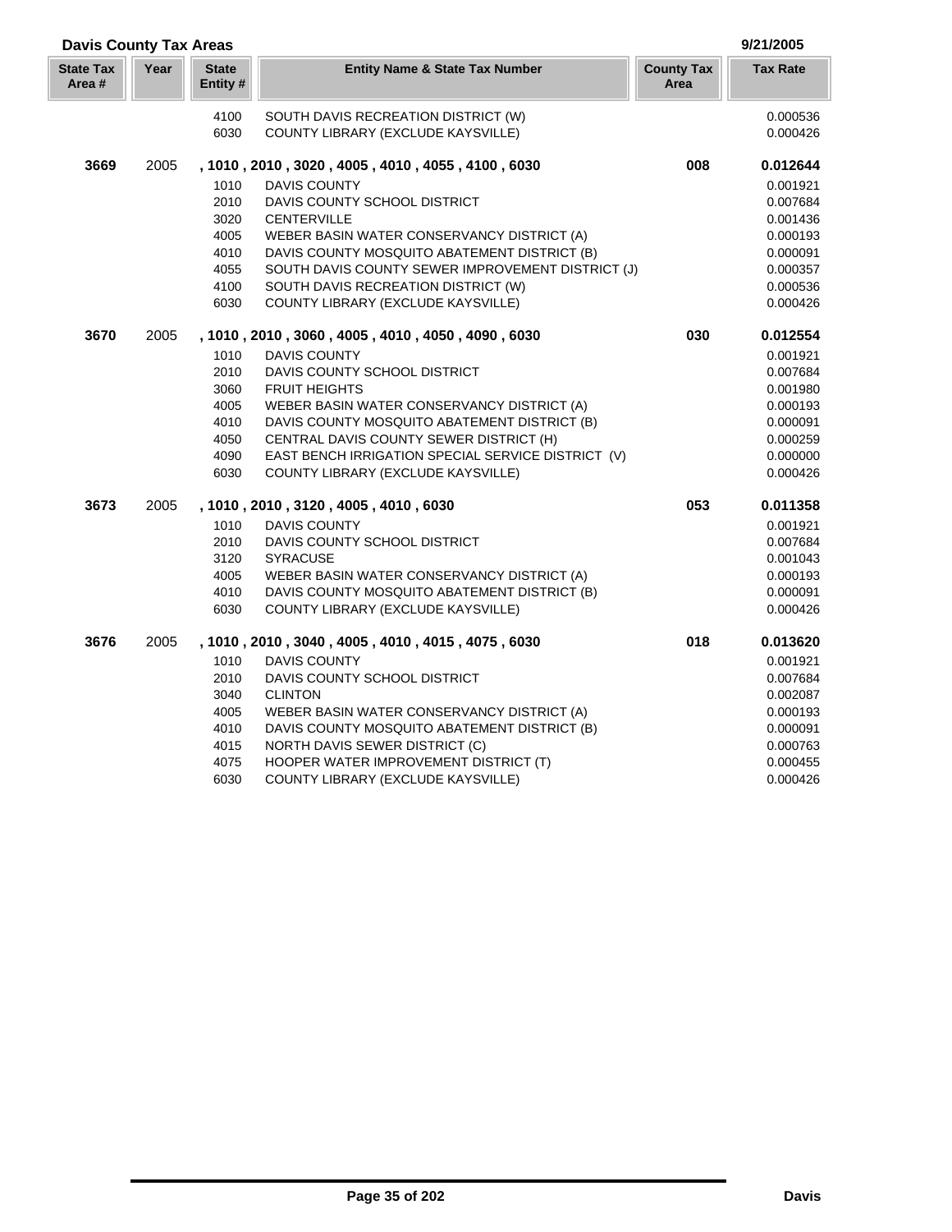| <b>Davis County Tax Areas</b> |      |                         |                                                    |                           | 9/21/2005       |
|-------------------------------|------|-------------------------|----------------------------------------------------|---------------------------|-----------------|
| <b>State Tax</b><br>Area#     | Year | <b>State</b><br>Entity# | <b>Entity Name &amp; State Tax Number</b>          | <b>County Tax</b><br>Area | <b>Tax Rate</b> |
|                               |      | 4100                    | SOUTH DAVIS RECREATION DISTRICT (W)                |                           | 0.000536        |
|                               |      | 6030                    | COUNTY LIBRARY (EXCLUDE KAYSVILLE)                 |                           | 0.000426        |
| 3669                          | 2005 |                         | , 1010, 2010, 3020, 4005, 4010, 4055, 4100, 6030   | 008                       | 0.012644        |
|                               |      | 1010                    | <b>DAVIS COUNTY</b>                                |                           | 0.001921        |
|                               |      | 2010                    | DAVIS COUNTY SCHOOL DISTRICT                       |                           | 0.007684        |
|                               |      | 3020                    | <b>CENTERVILLE</b>                                 |                           | 0.001436        |
|                               |      | 4005                    | WEBER BASIN WATER CONSERVANCY DISTRICT (A)         |                           | 0.000193        |
|                               |      | 4010                    | DAVIS COUNTY MOSQUITO ABATEMENT DISTRICT (B)       |                           | 0.000091        |
|                               |      | 4055                    | SOUTH DAVIS COUNTY SEWER IMPROVEMENT DISTRICT (J)  |                           | 0.000357        |
|                               |      | 4100                    | SOUTH DAVIS RECREATION DISTRICT (W)                |                           | 0.000536        |
|                               |      | 6030                    | COUNTY LIBRARY (EXCLUDE KAYSVILLE)                 |                           | 0.000426        |
| 3670                          | 2005 |                         | , 1010, 2010, 3060, 4005, 4010, 4050, 4090, 6030   | 030                       | 0.012554        |
|                               |      | 1010                    | <b>DAVIS COUNTY</b>                                |                           | 0.001921        |
|                               |      | 2010                    | DAVIS COUNTY SCHOOL DISTRICT                       |                           | 0.007684        |
|                               |      | 3060                    | <b>FRUIT HEIGHTS</b>                               |                           | 0.001980        |
|                               |      | 4005                    | WEBER BASIN WATER CONSERVANCY DISTRICT (A)         |                           | 0.000193        |
|                               |      | 4010                    | DAVIS COUNTY MOSQUITO ABATEMENT DISTRICT (B)       |                           | 0.000091        |
|                               |      | 4050                    | CENTRAL DAVIS COUNTY SEWER DISTRICT (H)            |                           | 0.000259        |
|                               |      | 4090                    | EAST BENCH IRRIGATION SPECIAL SERVICE DISTRICT (V) |                           | 0.000000        |
|                               |      | 6030                    | COUNTY LIBRARY (EXCLUDE KAYSVILLE)                 |                           | 0.000426        |
| 3673                          | 2005 |                         | , 1010, 2010, 3120, 4005, 4010, 6030               | 053                       | 0.011358        |
|                               |      | 1010                    | <b>DAVIS COUNTY</b>                                |                           | 0.001921        |
|                               |      | 2010                    | DAVIS COUNTY SCHOOL DISTRICT                       |                           | 0.007684        |
|                               |      | 3120                    | <b>SYRACUSE</b>                                    |                           | 0.001043        |
|                               |      | 4005                    | WEBER BASIN WATER CONSERVANCY DISTRICT (A)         |                           | 0.000193        |
|                               |      | 4010                    | DAVIS COUNTY MOSQUITO ABATEMENT DISTRICT (B)       |                           | 0.000091        |
|                               |      | 6030                    | COUNTY LIBRARY (EXCLUDE KAYSVILLE)                 |                           | 0.000426        |
| 3676                          | 2005 |                         | , 1010, 2010, 3040, 4005, 4010, 4015, 4075, 6030   | 018                       | 0.013620        |
|                               |      | 1010                    | <b>DAVIS COUNTY</b>                                |                           | 0.001921        |
|                               |      | 2010                    | DAVIS COUNTY SCHOOL DISTRICT                       |                           | 0.007684        |
|                               |      | 3040                    | <b>CLINTON</b>                                     |                           | 0.002087        |
|                               |      | 4005                    | WEBER BASIN WATER CONSERVANCY DISTRICT (A)         |                           | 0.000193        |
|                               |      | 4010                    | DAVIS COUNTY MOSQUITO ABATEMENT DISTRICT (B)       |                           | 0.000091        |
|                               |      | 4015                    | <b>NORTH DAVIS SEWER DISTRICT (C)</b>              |                           | 0.000763        |
|                               |      | 4075                    | HOOPER WATER IMPROVEMENT DISTRICT (T)              |                           | 0.000455        |
|                               |      | 6030                    | COUNTY LIBRARY (EXCLUDE KAYSVILLE)                 |                           | 0.000426        |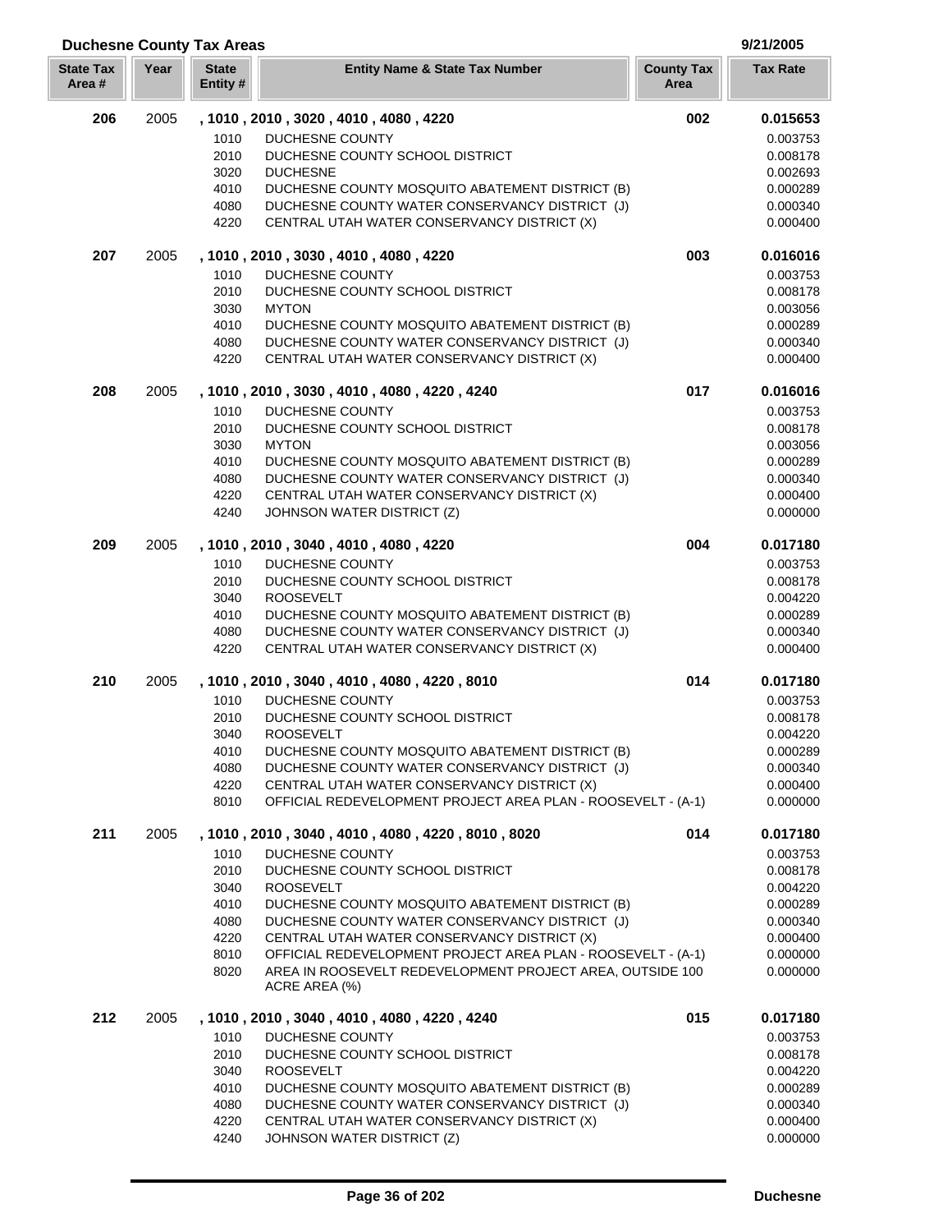| Ō.<br>9/2 |
|-----------|
|           |

| <b>Duchesne County Tax Areas</b> |      |                          | 9/21/2005                                                                                                   |                           |                      |
|----------------------------------|------|--------------------------|-------------------------------------------------------------------------------------------------------------|---------------------------|----------------------|
| <b>State Tax</b><br>Area#        | Year | <b>State</b><br>Entity # | <b>Entity Name &amp; State Tax Number</b>                                                                   | <b>County Tax</b><br>Area | <b>Tax Rate</b>      |
| 206                              | 2005 |                          | , 1010, 2010, 3020, 4010, 4080, 4220                                                                        | 002                       | 0.015653             |
|                                  |      | 1010                     | DUCHESNE COUNTY                                                                                             |                           | 0.003753             |
|                                  |      | 2010                     | DUCHESNE COUNTY SCHOOL DISTRICT                                                                             |                           | 0.008178             |
|                                  |      | 3020                     | <b>DUCHESNE</b>                                                                                             |                           | 0.002693             |
|                                  |      | 4010                     | DUCHESNE COUNTY MOSQUITO ABATEMENT DISTRICT (B)                                                             |                           | 0.000289             |
|                                  |      | 4080                     | DUCHESNE COUNTY WATER CONSERVANCY DISTRICT (J)                                                              |                           | 0.000340             |
|                                  |      | 4220                     | CENTRAL UTAH WATER CONSERVANCY DISTRICT (X)                                                                 |                           | 0.000400             |
| 207                              | 2005 |                          | , 1010 , 2010 , 3030 , 4010 , 4080 , 4220                                                                   | 003                       | 0.016016             |
|                                  |      | 1010                     | <b>DUCHESNE COUNTY</b>                                                                                      |                           | 0.003753             |
|                                  |      | 2010                     | DUCHESNE COUNTY SCHOOL DISTRICT                                                                             |                           | 0.008178             |
|                                  |      | 3030                     | <b>MYTON</b>                                                                                                |                           | 0.003056             |
|                                  |      | 4010                     | DUCHESNE COUNTY MOSQUITO ABATEMENT DISTRICT (B)                                                             |                           | 0.000289             |
|                                  |      | 4080                     | DUCHESNE COUNTY WATER CONSERVANCY DISTRICT (J)                                                              |                           | 0.000340             |
|                                  |      | 4220                     | CENTRAL UTAH WATER CONSERVANCY DISTRICT (X)                                                                 |                           | 0.000400             |
| 208                              | 2005 |                          | , 1010, 2010, 3030, 4010, 4080, 4220, 4240                                                                  | 017                       | 0.016016             |
|                                  |      | 1010                     | <b>DUCHESNE COUNTY</b>                                                                                      |                           | 0.003753             |
|                                  |      | 2010                     | DUCHESNE COUNTY SCHOOL DISTRICT<br><b>MYTON</b>                                                             |                           | 0.008178             |
|                                  |      | 3030<br>4010             | DUCHESNE COUNTY MOSQUITO ABATEMENT DISTRICT (B)                                                             |                           | 0.003056<br>0.000289 |
|                                  |      | 4080                     | DUCHESNE COUNTY WATER CONSERVANCY DISTRICT (J)                                                              |                           | 0.000340             |
|                                  |      | 4220                     | CENTRAL UTAH WATER CONSERVANCY DISTRICT (X)                                                                 |                           | 0.000400             |
|                                  |      | 4240                     | JOHNSON WATER DISTRICT (Z)                                                                                  |                           | 0.000000             |
| 209                              | 2005 |                          | , 1010 , 2010 , 3040 , 4010 , 4080 , 4220                                                                   | 004                       | 0.017180             |
|                                  |      | 1010                     | <b>DUCHESNE COUNTY</b>                                                                                      |                           | 0.003753             |
|                                  |      | 2010                     | DUCHESNE COUNTY SCHOOL DISTRICT                                                                             |                           | 0.008178             |
|                                  |      | 3040                     | <b>ROOSEVELT</b>                                                                                            |                           | 0.004220             |
|                                  |      | 4010                     | DUCHESNE COUNTY MOSQUITO ABATEMENT DISTRICT (B)                                                             |                           | 0.000289             |
|                                  |      | 4080                     | DUCHESNE COUNTY WATER CONSERVANCY DISTRICT (J)                                                              |                           | 0.000340             |
|                                  |      | 4220                     | CENTRAL UTAH WATER CONSERVANCY DISTRICT (X)                                                                 |                           | 0.000400             |
| 210                              | 2005 |                          | , 1010, 2010, 3040, 4010, 4080, 4220, 8010                                                                  | 014                       | 0.017180             |
|                                  |      | 1010                     | <b>DUCHESNE COUNTY</b>                                                                                      |                           | 0.003753             |
|                                  |      | 2010                     | DUCHESNE COUNTY SCHOOL DISTRICT                                                                             |                           | 0.008178             |
|                                  |      | 3040                     | <b>ROOSEVELT</b>                                                                                            |                           | 0.004220             |
|                                  |      | 4010                     | DUCHESNE COUNTY MOSQUITO ABATEMENT DISTRICT (B)                                                             |                           | 0.000289             |
|                                  |      | 4080                     | DUCHESNE COUNTY WATER CONSERVANCY DISTRICT (J)                                                              |                           | 0.000340             |
|                                  |      | 4220<br>8010             | CENTRAL UTAH WATER CONSERVANCY DISTRICT (X)<br>OFFICIAL REDEVELOPMENT PROJECT AREA PLAN - ROOSEVELT - (A-1) |                           | 0.000400<br>0.000000 |
| 211                              | 2005 |                          | , 1010, 2010, 3040, 4010, 4080, 4220, 8010, 8020                                                            | 014                       | 0.017180             |
|                                  |      |                          |                                                                                                             |                           |                      |
|                                  |      | 1010<br>2010             | DUCHESNE COUNTY<br>DUCHESNE COUNTY SCHOOL DISTRICT                                                          |                           | 0.003753<br>0.008178 |
|                                  |      | 3040                     | <b>ROOSEVELT</b>                                                                                            |                           | 0.004220             |
|                                  |      | 4010                     | DUCHESNE COUNTY MOSQUITO ABATEMENT DISTRICT (B)                                                             |                           | 0.000289             |
|                                  |      | 4080                     | DUCHESNE COUNTY WATER CONSERVANCY DISTRICT (J)                                                              |                           | 0.000340             |
|                                  |      | 4220                     | CENTRAL UTAH WATER CONSERVANCY DISTRICT (X)                                                                 |                           | 0.000400             |
|                                  |      | 8010                     | OFFICIAL REDEVELOPMENT PROJECT AREA PLAN - ROOSEVELT - (A-1)                                                |                           | 0.000000             |
|                                  |      | 8020                     | AREA IN ROOSEVELT REDEVELOPMENT PROJECT AREA, OUTSIDE 100<br>ACRE AREA (%)                                  |                           | 0.000000             |
| 212                              | 2005 |                          | , 1010, 2010, 3040, 4010, 4080, 4220, 4240                                                                  | 015                       | 0.017180             |
|                                  |      | 1010                     | <b>DUCHESNE COUNTY</b>                                                                                      |                           | 0.003753             |
|                                  |      | 2010                     | DUCHESNE COUNTY SCHOOL DISTRICT                                                                             |                           | 0.008178             |
|                                  |      | 3040                     | <b>ROOSEVELT</b>                                                                                            |                           | 0.004220             |
|                                  |      | 4010                     | DUCHESNE COUNTY MOSQUITO ABATEMENT DISTRICT (B)                                                             |                           | 0.000289             |
|                                  |      | 4080                     | DUCHESNE COUNTY WATER CONSERVANCY DISTRICT (J)                                                              |                           | 0.000340             |
|                                  |      | 4220                     | CENTRAL UTAH WATER CONSERVANCY DISTRICT (X)                                                                 |                           | 0.000400             |
|                                  |      | 4240                     | JOHNSON WATER DISTRICT (Z)                                                                                  |                           | 0.000000             |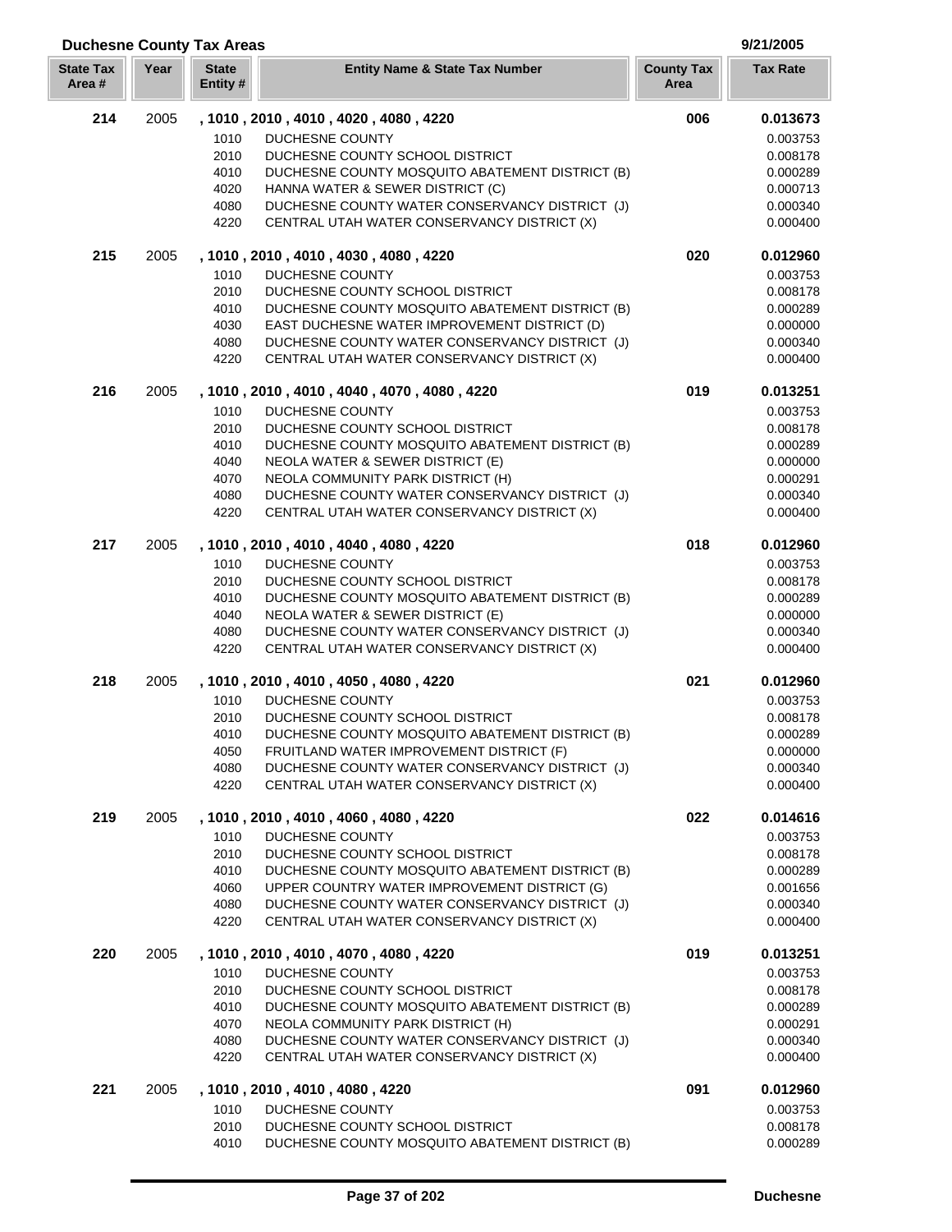### 2005 **, 1010 , 2010 , 4010 , 4020 , 4080 , 4220 006 0.013673** DUCHESNE COUNTY 0.003753 DUCHESNE COUNTY SCHOOL DISTRICT 0.008178 DUCHESNE COUNTY MOSQUITO ABATEMENT DISTRICT (B) 0.000289 4020 HANNA WATER & SEWER DISTRICT (C) 0.000713 DUCHESNE COUNTY WATER CONSERVANCY DISTRICT (J) 0.000340 4220 CENTRAL UTAH WATER CONSERVANCY DISTRICT (X) 0.000400 0.000400 2005 **, 1010 , 2010 , 4010 , 4030 , 4080 , 4220 020 0.012960** DUCHESNE COUNTY 0.003753 DUCHESNE COUNTY SCHOOL DISTRICT 0.008178 DUCHESNE COUNTY MOSQUITO ABATEMENT DISTRICT (B) 0.000289 EAST DUCHESNE WATER IMPROVEMENT DISTRICT (D) 0.000000 DUCHESNE COUNTY WATER CONSERVANCY DISTRICT (J) 0.000340 4220 CENTRAL UTAH WATER CONSERVANCY DISTRICT (X) 0.000400 0.000400 2005 **, 1010 , 2010 , 4010 , 4040 , 4070 , 4080 , 4220 019 0.013251** DUCHESNE COUNTY 0.003753 DUCHESNE COUNTY SCHOOL DISTRICT 0.008178 DUCHESNE COUNTY MOSQUITO ABATEMENT DISTRICT (B) 0.000289 4040 NEOLA WATER & SEWER DISTRICT (E)  $0.0000000$ 4070 NEOLA COMMUNITY PARK DISTRICT (H) 0.000291 DUCHESNE COUNTY WATER CONSERVANCY DISTRICT (J) 0.000340 4220 CENTRAL UTAH WATER CONSERVANCY DISTRICT (X) 0.000400 0.000400 2005 **, 1010 , 2010 , 4010 , 4040 , 4080 , 4220 018 0.012960** DUCHESNE COUNTY 0.003753 DUCHESNE COUNTY SCHOOL DISTRICT 0.008178 DUCHESNE COUNTY MOSQUITO ABATEMENT DISTRICT (B) 0.000289 NEOLA WATER & SEWER DISTRICT (E) 0.000000 DUCHESNE COUNTY WATER CONSERVANCY DISTRICT (J) 0.000340 4220 CENTRAL UTAH WATER CONSERVANCY DISTRICT (X) 0.000400 0.000400 2005 **, 1010 , 2010 , 4010 , 4050 , 4080 , 4220 021 0.012960** DUCHESNE COUNTY 0.003753 DUCHESNE COUNTY SCHOOL DISTRICT 0.008178 DUCHESNE COUNTY MOSQUITO ABATEMENT DISTRICT (B) 0.000289 FRUITLAND WATER IMPROVEMENT DISTRICT (F) 0.000000 DUCHESNE COUNTY WATER CONSERVANCY DISTRICT (J) 0.000340 4220 CENTRAL UTAH WATER CONSERVANCY DISTRICT (X) 0.000400 0.000400 2005 **, 1010 , 2010 , 4010 , 4060 , 4080 , 4220 022 0.014616** DUCHESNE COUNTY 0.003753 DUCHESNE COUNTY SCHOOL DISTRICT 0.008178 DUCHESNE COUNTY MOSQUITO ABATEMENT DISTRICT (B) 0.000289 4060 UPPER COUNTRY WATER IMPROVEMENT DISTRICT (G) 0.001656 DUCHESNE COUNTY WATER CONSERVANCY DISTRICT (J) 0.000340 4220 CENTRAL UTAH WATER CONSERVANCY DISTRICT (X) 0.000400 2005 **, 1010 , 2010 , 4010 , 4070 , 4080 , 4220 019 0.013251** 1010 DUCHESNE COUNTY **1010** DUCHESNE COUNTY DUCHESNE COUNTY SCHOOL DISTRICT 0.008178 DUCHESNE COUNTY MOSQUITO ABATEMENT DISTRICT (B) 0.000289 NEOLA COMMUNITY PARK DISTRICT (H) 0.000291 DUCHESNE COUNTY WATER CONSERVANCY DISTRICT (J) 0.000340 4220 CENTRAL UTAH WATER CONSERVANCY DISTRICT (X) 0.000400 0.000400

**Year Entity Name & State Tax Number County Tax Tax Rate**

**Duchesne County Tax Areas 9/21/2005**

**State Tax Area #**

**State Entity #**

**Area**

| 221 | 2005 |       | . 1010 . 2010 . 4010 . 4080 . 4220              | 091 | 0.012960 |
|-----|------|-------|-------------------------------------------------|-----|----------|
|     |      | 1010. | DUCHESNE COUNTY                                 |     | 0.003753 |
|     |      | 2010  | DUCHESNE COUNTY SCHOOL DISTRICT                 |     | 0.008178 |
|     |      | 4010  | DUCHESNE COUNTY MOSQUITO ABATEMENT DISTRICT (B) |     | 0.000289 |
|     |      |       |                                                 |     |          |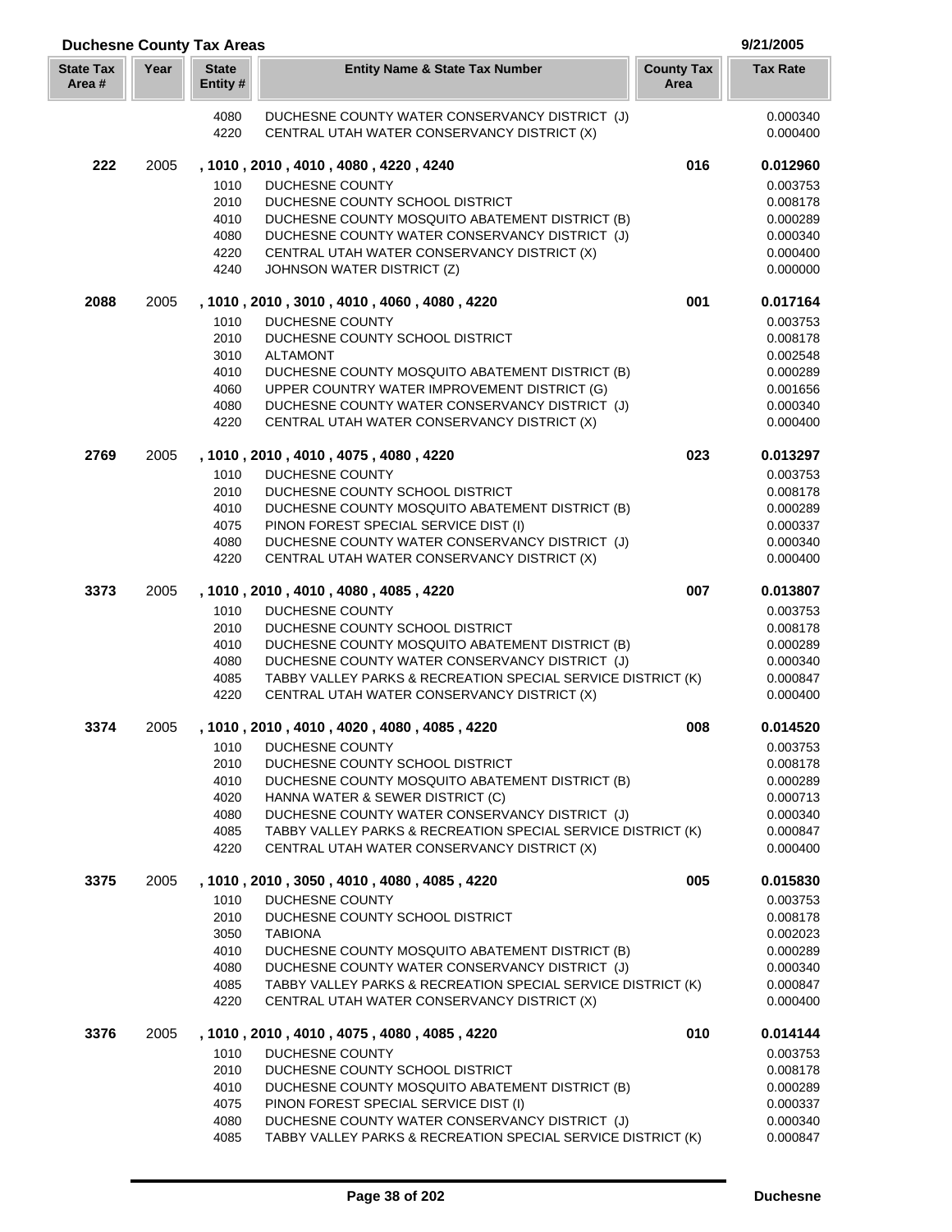| <b>Duchesne County Tax Areas</b> |      |                          |                                                                                                             |                           | 9/21/2005            |
|----------------------------------|------|--------------------------|-------------------------------------------------------------------------------------------------------------|---------------------------|----------------------|
| <b>State Tax</b><br>Area#        | Year | <b>State</b><br>Entity # | <b>Entity Name &amp; State Tax Number</b>                                                                   | <b>County Tax</b><br>Area | <b>Tax Rate</b>      |
|                                  |      | 4080                     | DUCHESNE COUNTY WATER CONSERVANCY DISTRICT (J)                                                              |                           | 0.000340             |
|                                  |      | 4220                     | CENTRAL UTAH WATER CONSERVANCY DISTRICT (X)                                                                 |                           | 0.000400             |
| 222                              | 2005 |                          | , 1010, 2010, 4010, 4080, 4220, 4240                                                                        | 016                       | 0.012960             |
|                                  |      | 1010                     | <b>DUCHESNE COUNTY</b>                                                                                      |                           | 0.003753             |
|                                  |      | 2010                     | DUCHESNE COUNTY SCHOOL DISTRICT                                                                             |                           | 0.008178             |
|                                  |      | 4010                     | DUCHESNE COUNTY MOSQUITO ABATEMENT DISTRICT (B)                                                             |                           | 0.000289             |
|                                  |      | 4080                     | DUCHESNE COUNTY WATER CONSERVANCY DISTRICT (J)                                                              |                           | 0.000340             |
|                                  |      | 4220<br>4240             | CENTRAL UTAH WATER CONSERVANCY DISTRICT (X)<br>JOHNSON WATER DISTRICT (Z)                                   |                           | 0.000400<br>0.000000 |
|                                  |      |                          |                                                                                                             |                           |                      |
| 2088                             | 2005 |                          | , 1010, 2010, 3010, 4010, 4060, 4080, 4220                                                                  | 001                       | 0.017164             |
|                                  |      | 1010<br>2010             | <b>DUCHESNE COUNTY</b><br>DUCHESNE COUNTY SCHOOL DISTRICT                                                   |                           | 0.003753             |
|                                  |      | 3010                     | <b>ALTAMONT</b>                                                                                             |                           | 0.008178<br>0.002548 |
|                                  |      | 4010                     | DUCHESNE COUNTY MOSQUITO ABATEMENT DISTRICT (B)                                                             |                           | 0.000289             |
|                                  |      | 4060                     | UPPER COUNTRY WATER IMPROVEMENT DISTRICT (G)                                                                |                           | 0.001656             |
|                                  |      | 4080                     | DUCHESNE COUNTY WATER CONSERVANCY DISTRICT (J)                                                              |                           | 0.000340             |
|                                  |      | 4220                     | CENTRAL UTAH WATER CONSERVANCY DISTRICT (X)                                                                 |                           | 0.000400             |
| 2769                             | 2005 |                          | , 1010, 2010, 4010, 4075, 4080, 4220                                                                        | 023                       | 0.013297             |
|                                  |      | 1010                     | DUCHESNE COUNTY                                                                                             |                           | 0.003753             |
|                                  |      | 2010                     | DUCHESNE COUNTY SCHOOL DISTRICT                                                                             |                           | 0.008178             |
|                                  |      | 4010                     | DUCHESNE COUNTY MOSQUITO ABATEMENT DISTRICT (B)                                                             |                           | 0.000289             |
|                                  |      | 4075                     | PINON FOREST SPECIAL SERVICE DIST (I)                                                                       |                           | 0.000337             |
|                                  |      | 4080                     | DUCHESNE COUNTY WATER CONSERVANCY DISTRICT (J)                                                              |                           | 0.000340             |
|                                  |      | 4220                     | CENTRAL UTAH WATER CONSERVANCY DISTRICT (X)                                                                 |                           | 0.000400             |
| 3373                             | 2005 |                          | , 1010, 2010, 4010, 4080, 4085, 4220                                                                        | 007                       | 0.013807             |
|                                  |      | 1010<br>2010             | <b>DUCHESNE COUNTY</b>                                                                                      |                           | 0.003753             |
|                                  |      | 4010                     | DUCHESNE COUNTY SCHOOL DISTRICT<br>DUCHESNE COUNTY MOSQUITO ABATEMENT DISTRICT (B)                          |                           | 0.008178<br>0.000289 |
|                                  |      | 4080                     | DUCHESNE COUNTY WATER CONSERVANCY DISTRICT (J)                                                              |                           | 0.000340             |
|                                  |      | 4085                     | TABBY VALLEY PARKS & RECREATION SPECIAL SERVICE DISTRICT (K)                                                |                           | 0.000847             |
|                                  |      | 4220                     | CENTRAL UTAH WATER CONSERVANCY DISTRICT (X)                                                                 |                           | 0.000400             |
| 3374                             | 2005 |                          | , 1010, 2010, 4010, 4020, 4080, 4085, 4220                                                                  | 008                       | 0.014520             |
|                                  |      | 1010                     | DUCHESNE COUNTY                                                                                             |                           | 0.003753             |
|                                  |      | 2010                     | DUCHESNE COUNTY SCHOOL DISTRICT                                                                             |                           | 0.008178             |
|                                  |      | 4010                     | DUCHESNE COUNTY MOSQUITO ABATEMENT DISTRICT (B)                                                             |                           | 0.000289             |
|                                  |      | 4020                     | HANNA WATER & SEWER DISTRICT (C)                                                                            |                           | 0.000713             |
|                                  |      | 4080                     | DUCHESNE COUNTY WATER CONSERVANCY DISTRICT (J)                                                              |                           | 0.000340             |
|                                  |      | 4085<br>4220             | TABBY VALLEY PARKS & RECREATION SPECIAL SERVICE DISTRICT (K)<br>CENTRAL UTAH WATER CONSERVANCY DISTRICT (X) |                           | 0.000847<br>0.000400 |
| 3375                             | 2005 |                          | , 1010, 2010, 3050, 4010, 4080, 4085, 4220                                                                  | 005                       | 0.015830             |
|                                  |      | 1010                     | DUCHESNE COUNTY                                                                                             |                           | 0.003753             |
|                                  |      | 2010                     | DUCHESNE COUNTY SCHOOL DISTRICT                                                                             |                           | 0.008178             |
|                                  |      | 3050                     | <b>TABIONA</b>                                                                                              |                           | 0.002023             |
|                                  |      | 4010                     | DUCHESNE COUNTY MOSQUITO ABATEMENT DISTRICT (B)                                                             |                           | 0.000289             |
|                                  |      | 4080                     | DUCHESNE COUNTY WATER CONSERVANCY DISTRICT (J)                                                              |                           | 0.000340             |
|                                  |      | 4085                     | TABBY VALLEY PARKS & RECREATION SPECIAL SERVICE DISTRICT (K)                                                |                           | 0.000847             |
|                                  |      | 4220                     | CENTRAL UTAH WATER CONSERVANCY DISTRICT (X)                                                                 |                           | 0.000400             |
| 3376                             | 2005 |                          | , 1010 , 2010 , 4010 , 4075 , 4080 , 4085 , 4220<br>DUCHESNE COUNTY                                         | 010                       | 0.014144             |
|                                  |      | 1010<br>2010             | DUCHESNE COUNTY SCHOOL DISTRICT                                                                             |                           | 0.003753<br>0.008178 |
|                                  |      | 4010                     | DUCHESNE COUNTY MOSQUITO ABATEMENT DISTRICT (B)                                                             |                           | 0.000289             |
|                                  |      | 4075                     | PINON FOREST SPECIAL SERVICE DIST (I)                                                                       |                           | 0.000337             |
|                                  |      | 4080                     | DUCHESNE COUNTY WATER CONSERVANCY DISTRICT (J)                                                              |                           | 0.000340             |
|                                  |      | 4085                     | TABBY VALLEY PARKS & RECREATION SPECIAL SERVICE DISTRICT (K)                                                |                           | 0.000847             |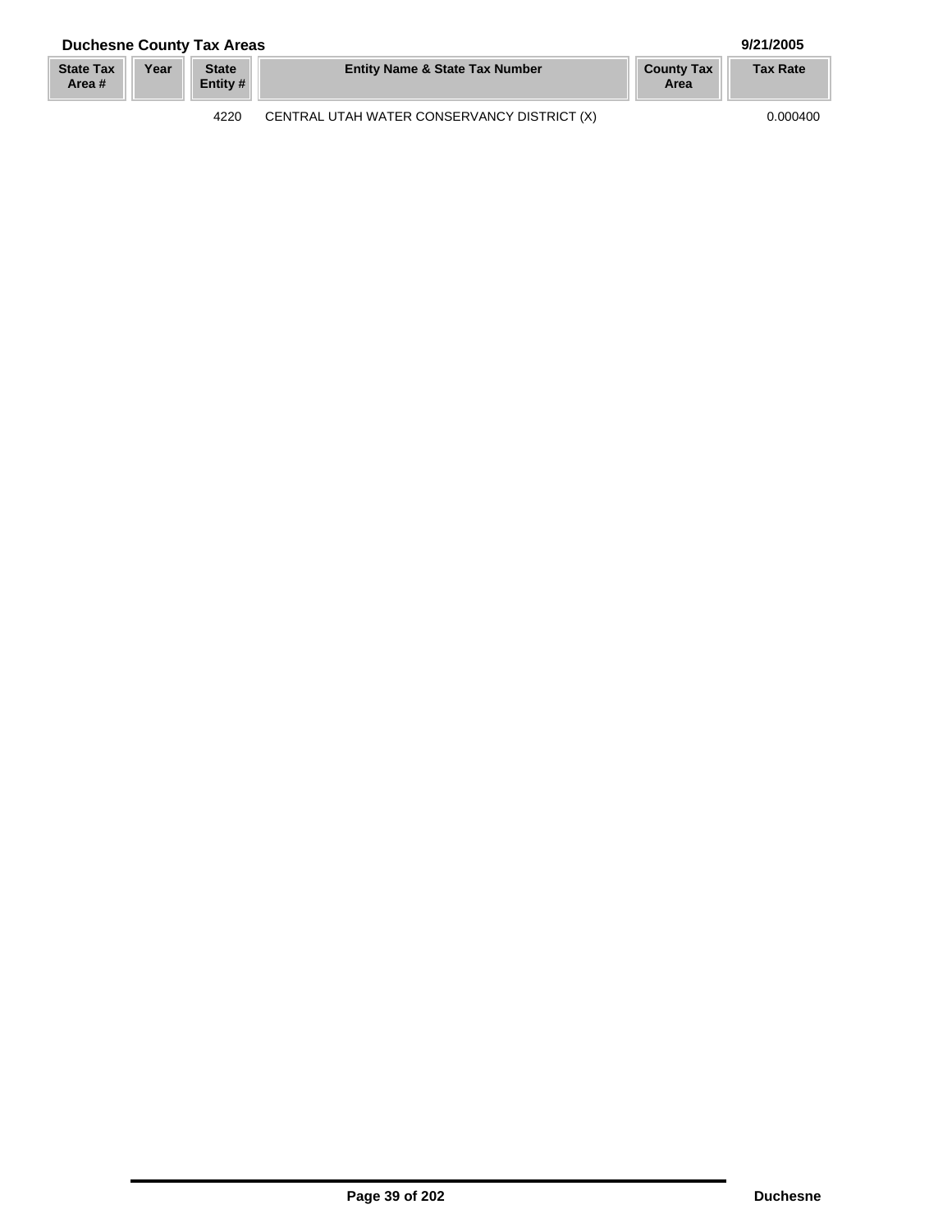## **Duchesne County Tax Areas 9/21/2005**

| <b>State Tax</b><br>Area # | Year | <b>State</b><br>Entity # | <b>Entity Name &amp; State Tax Number</b>   | <b>County Tax</b><br>Area | <b>Tax Rate</b> |
|----------------------------|------|--------------------------|---------------------------------------------|---------------------------|-----------------|
|                            |      | 4220                     | CENTRAL UTAH WATER CONSERVANCY DISTRICT (X) |                           | 0.000400        |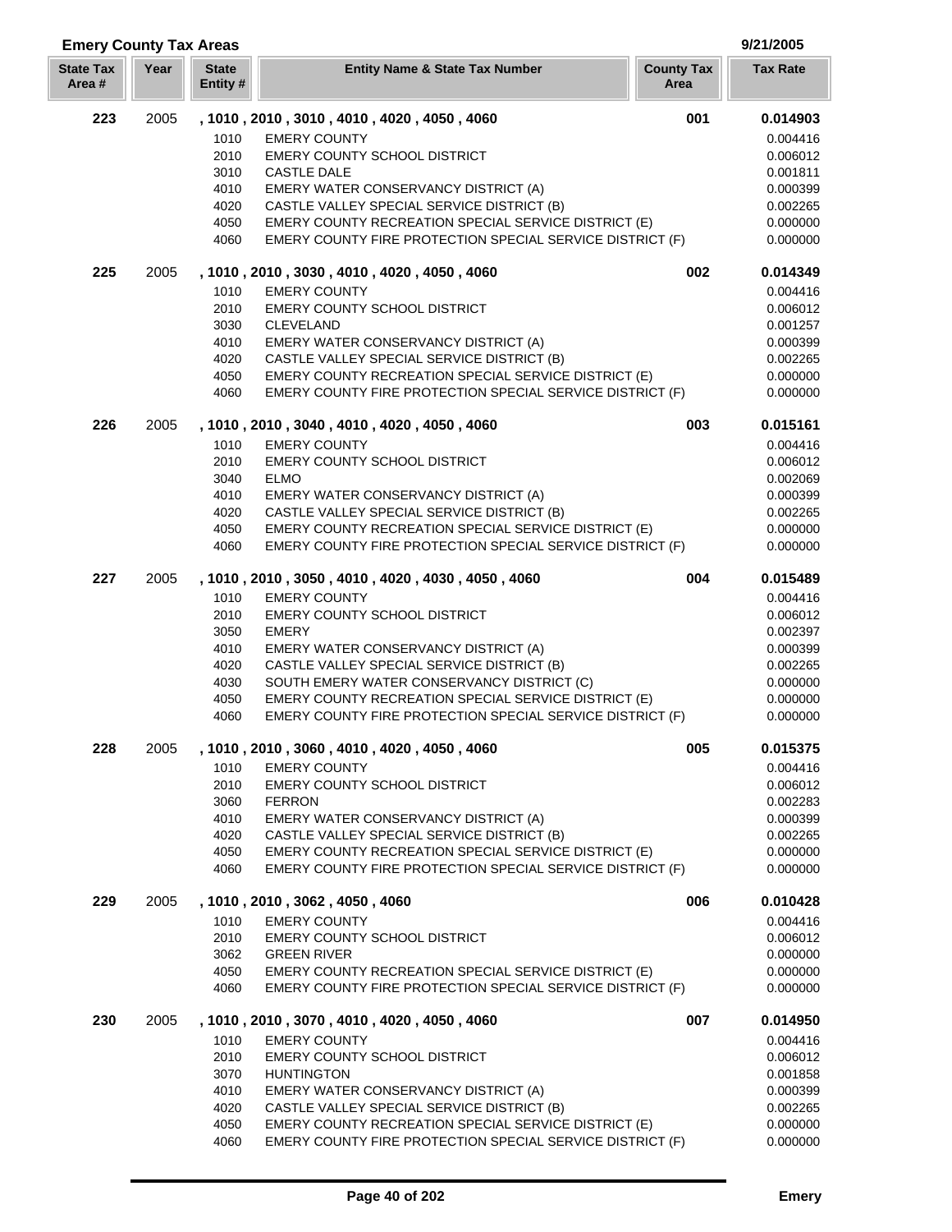| <b>Emery County Tax Areas</b> |      |                          |                                                                                                                   |                           | 9/21/2005            |
|-------------------------------|------|--------------------------|-------------------------------------------------------------------------------------------------------------------|---------------------------|----------------------|
| <b>State Tax</b><br>Area#     | Year | <b>State</b><br>Entity # | <b>Entity Name &amp; State Tax Number</b>                                                                         | <b>County Tax</b><br>Area | <b>Tax Rate</b>      |
| 223                           | 2005 |                          | , 1010, 2010, 3010, 4010, 4020, 4050, 4060                                                                        | 001                       | 0.014903             |
|                               |      | 1010                     | <b>EMERY COUNTY</b>                                                                                               |                           | 0.004416             |
|                               |      | 2010                     | EMERY COUNTY SCHOOL DISTRICT                                                                                      |                           | 0.006012             |
|                               |      | 3010                     | <b>CASTLE DALE</b>                                                                                                |                           | 0.001811             |
|                               |      | 4010                     | EMERY WATER CONSERVANCY DISTRICT (A)                                                                              |                           | 0.000399             |
|                               |      | 4020                     | CASTLE VALLEY SPECIAL SERVICE DISTRICT (B)                                                                        |                           | 0.002265             |
|                               |      | 4050                     | EMERY COUNTY RECREATION SPECIAL SERVICE DISTRICT (E)                                                              |                           | 0.000000             |
|                               |      | 4060                     | EMERY COUNTY FIRE PROTECTION SPECIAL SERVICE DISTRICT (F)                                                         |                           | 0.000000             |
| 225                           | 2005 |                          | , 1010, 2010, 3030, 4010, 4020, 4050, 4060                                                                        | 002                       | 0.014349             |
|                               |      | 1010                     | <b>EMERY COUNTY</b>                                                                                               |                           | 0.004416             |
|                               |      | 2010                     | <b>EMERY COUNTY SCHOOL DISTRICT</b>                                                                               |                           | 0.006012             |
|                               |      | 3030                     | <b>CLEVELAND</b>                                                                                                  |                           | 0.001257             |
|                               |      | 4010                     | EMERY WATER CONSERVANCY DISTRICT (A)                                                                              |                           | 0.000399             |
|                               |      | 4020                     | CASTLE VALLEY SPECIAL SERVICE DISTRICT (B)                                                                        |                           | 0.002265             |
|                               |      | 4050                     | EMERY COUNTY RECREATION SPECIAL SERVICE DISTRICT (E)                                                              |                           | 0.000000             |
|                               |      | 4060                     | EMERY COUNTY FIRE PROTECTION SPECIAL SERVICE DISTRICT (F)                                                         |                           | 0.000000             |
| 226                           | 2005 |                          | , 1010, 2010, 3040, 4010, 4020, 4050, 4060                                                                        | 003                       | 0.015161             |
|                               |      | 1010                     | <b>EMERY COUNTY</b>                                                                                               |                           | 0.004416             |
|                               |      | 2010                     | <b>EMERY COUNTY SCHOOL DISTRICT</b>                                                                               |                           | 0.006012             |
|                               |      | 3040                     | <b>ELMO</b>                                                                                                       |                           | 0.002069             |
|                               |      | 4010                     | EMERY WATER CONSERVANCY DISTRICT (A)                                                                              |                           | 0.000399             |
|                               |      | 4020                     | CASTLE VALLEY SPECIAL SERVICE DISTRICT (B)                                                                        |                           | 0.002265             |
|                               |      | 4050                     | EMERY COUNTY RECREATION SPECIAL SERVICE DISTRICT (E)                                                              |                           | 0.000000             |
|                               |      | 4060                     | EMERY COUNTY FIRE PROTECTION SPECIAL SERVICE DISTRICT (F)                                                         |                           | 0.000000             |
| 227                           | 2005 |                          | , 1010, 2010, 3050, 4010, 4020, 4030, 4050, 4060                                                                  | 004                       | 0.015489             |
|                               |      | 1010                     | <b>EMERY COUNTY</b>                                                                                               |                           | 0.004416             |
|                               |      | 2010                     | <b>EMERY COUNTY SCHOOL DISTRICT</b>                                                                               |                           | 0.006012             |
|                               |      | 3050                     | <b>EMERY</b>                                                                                                      |                           | 0.002397             |
|                               |      | 4010                     | EMERY WATER CONSERVANCY DISTRICT (A)                                                                              |                           | 0.000399             |
|                               |      | 4020                     | CASTLE VALLEY SPECIAL SERVICE DISTRICT (B)                                                                        |                           | 0.002265             |
|                               |      | 4030                     | SOUTH EMERY WATER CONSERVANCY DISTRICT (C)                                                                        |                           | 0.000000             |
|                               |      | 4050<br>4060             | EMERY COUNTY RECREATION SPECIAL SERVICE DISTRICT (E)<br>EMERY COUNTY FIRE PROTECTION SPECIAL SERVICE DISTRICT (F) |                           | 0.000000<br>0.000000 |
| 228                           | 2005 |                          | , 1010, 2010, 3060, 4010, 4020, 4050, 4060                                                                        | 005                       | 0.015375             |
|                               |      | 1010                     | <b>EMERY COUNTY</b>                                                                                               |                           | 0.004416             |
|                               |      | 2010                     | EMERY COUNTY SCHOOL DISTRICT                                                                                      |                           | 0.006012             |
|                               |      | 3060                     | <b>FERRON</b>                                                                                                     |                           | 0.002283             |
|                               |      | 4010                     | EMERY WATER CONSERVANCY DISTRICT (A)                                                                              |                           | 0.000399             |
|                               |      | 4020                     | CASTLE VALLEY SPECIAL SERVICE DISTRICT (B)                                                                        |                           | 0.002265             |
|                               |      | 4050                     | EMERY COUNTY RECREATION SPECIAL SERVICE DISTRICT (E)                                                              |                           | 0.000000             |
|                               |      | 4060                     | EMERY COUNTY FIRE PROTECTION SPECIAL SERVICE DISTRICT (F)                                                         |                           | 0.000000             |
| 229                           | 2005 |                          | , 1010 , 2010 , 3062 , 4050 , 4060                                                                                | 006                       | 0.010428             |
|                               |      | 1010                     | <b>EMERY COUNTY</b>                                                                                               |                           | 0.004416             |
|                               |      | 2010                     | <b>EMERY COUNTY SCHOOL DISTRICT</b>                                                                               |                           | 0.006012             |
|                               |      | 3062                     | <b>GREEN RIVER</b>                                                                                                |                           | 0.000000             |
|                               |      | 4050                     | EMERY COUNTY RECREATION SPECIAL SERVICE DISTRICT (E)                                                              |                           | 0.000000             |
|                               |      | 4060                     | EMERY COUNTY FIRE PROTECTION SPECIAL SERVICE DISTRICT (F)                                                         |                           | 0.000000             |
| 230                           | 2005 |                          | , 1010, 2010, 3070, 4010, 4020, 4050, 4060                                                                        | 007                       | 0.014950             |
|                               |      | 1010                     | <b>EMERY COUNTY</b>                                                                                               |                           | 0.004416             |
|                               |      | 2010                     | <b>EMERY COUNTY SCHOOL DISTRICT</b>                                                                               |                           | 0.006012             |
|                               |      | 3070                     | <b>HUNTINGTON</b>                                                                                                 |                           | 0.001858             |
|                               |      | 4010                     | EMERY WATER CONSERVANCY DISTRICT (A)                                                                              |                           | 0.000399             |
|                               |      | 4020                     | CASTLE VALLEY SPECIAL SERVICE DISTRICT (B)                                                                        |                           | 0.002265             |
|                               |      | 4050                     | EMERY COUNTY RECREATION SPECIAL SERVICE DISTRICT (E)                                                              |                           | 0.000000             |
|                               |      | 4060                     | EMERY COUNTY FIRE PROTECTION SPECIAL SERVICE DISTRICT (F)                                                         |                           | 0.000000             |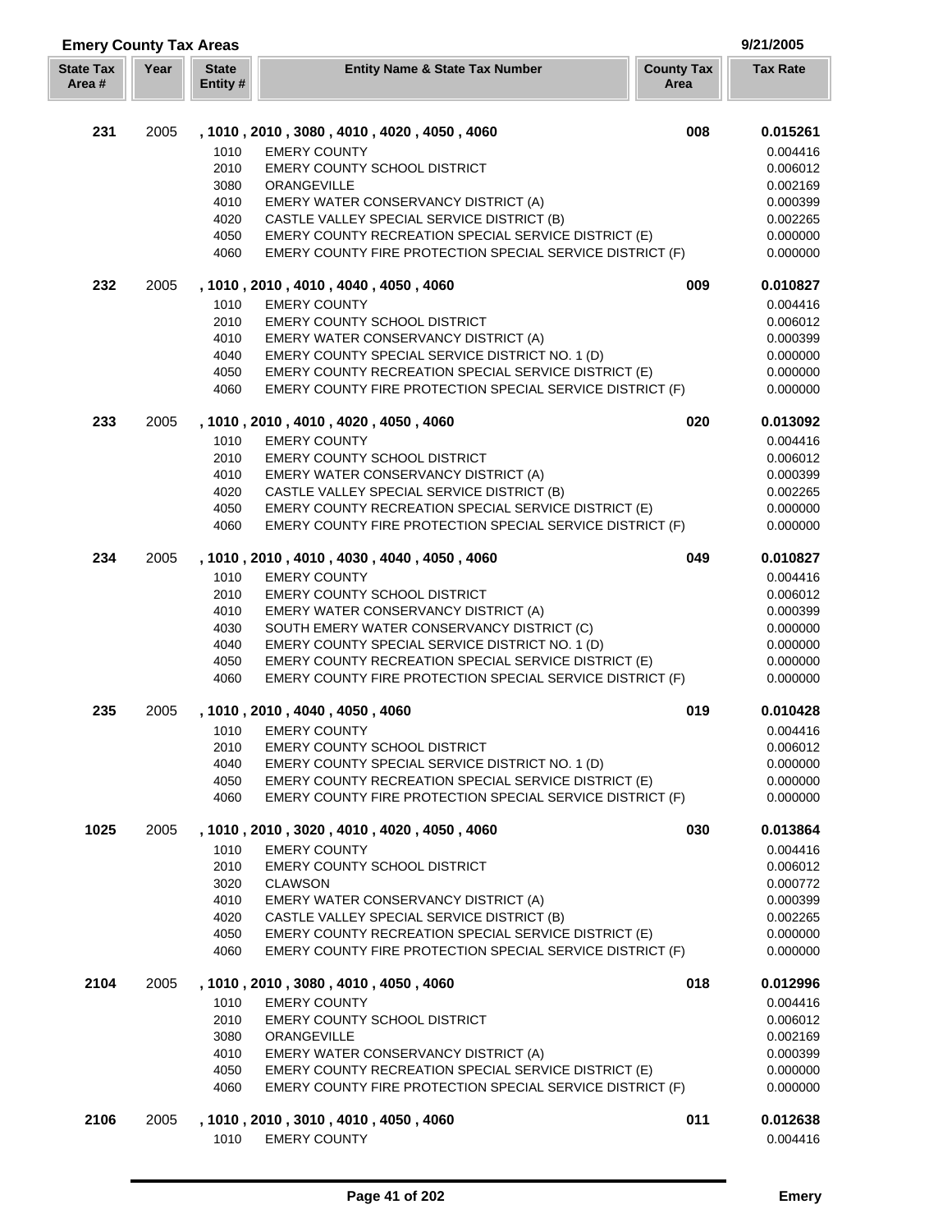| <b>Emery County Tax Areas</b> |      |                         |                                                                                                                   |                           | 9/21/2005            |
|-------------------------------|------|-------------------------|-------------------------------------------------------------------------------------------------------------------|---------------------------|----------------------|
| <b>State Tax</b><br>Area#     | Year | <b>State</b><br>Entity# | <b>Entity Name &amp; State Tax Number</b>                                                                         | <b>County Tax</b><br>Area | <b>Tax Rate</b>      |
| 231                           | 2005 |                         | , 1010, 2010, 3080, 4010, 4020, 4050, 4060                                                                        | 008                       | 0.015261             |
|                               |      | 1010                    | <b>EMERY COUNTY</b>                                                                                               |                           | 0.004416             |
|                               |      | 2010                    | <b>EMERY COUNTY SCHOOL DISTRICT</b>                                                                               |                           | 0.006012             |
|                               |      | 3080                    | ORANGEVILLE                                                                                                       |                           | 0.002169             |
|                               |      | 4010                    | EMERY WATER CONSERVANCY DISTRICT (A)                                                                              |                           | 0.000399             |
|                               |      | 4020                    | CASTLE VALLEY SPECIAL SERVICE DISTRICT (B)                                                                        |                           | 0.002265             |
|                               |      | 4050                    | EMERY COUNTY RECREATION SPECIAL SERVICE DISTRICT (E)                                                              |                           | 0.000000             |
|                               |      | 4060                    | EMERY COUNTY FIRE PROTECTION SPECIAL SERVICE DISTRICT (F)                                                         |                           | 0.000000             |
| 232                           | 2005 |                         | , 1010, 2010, 4010, 4040, 4050, 4060                                                                              | 009                       | 0.010827             |
|                               |      | 1010                    | <b>EMERY COUNTY</b>                                                                                               |                           | 0.004416             |
|                               |      | 2010                    | EMERY COUNTY SCHOOL DISTRICT                                                                                      |                           | 0.006012             |
|                               |      | 4010                    | EMERY WATER CONSERVANCY DISTRICT (A)                                                                              |                           | 0.000399             |
|                               |      | 4040                    | EMERY COUNTY SPECIAL SERVICE DISTRICT NO. 1 (D)                                                                   |                           | 0.000000             |
|                               |      | 4050                    | EMERY COUNTY RECREATION SPECIAL SERVICE DISTRICT (E)                                                              |                           | 0.000000             |
|                               |      | 4060                    | EMERY COUNTY FIRE PROTECTION SPECIAL SERVICE DISTRICT (F)                                                         |                           | 0.000000             |
| 233                           | 2005 |                         | , 1010, 2010, 4010, 4020, 4050, 4060                                                                              | 020                       | 0.013092             |
|                               |      | 1010<br>2010            | <b>EMERY COUNTY</b><br>EMERY COUNTY SCHOOL DISTRICT                                                               |                           | 0.004416<br>0.006012 |
|                               |      | 4010                    | EMERY WATER CONSERVANCY DISTRICT (A)                                                                              |                           | 0.000399             |
|                               |      | 4020                    | CASTLE VALLEY SPECIAL SERVICE DISTRICT (B)                                                                        |                           | 0.002265             |
|                               |      | 4050                    | EMERY COUNTY RECREATION SPECIAL SERVICE DISTRICT (E)                                                              |                           | 0.000000             |
|                               |      | 4060                    | EMERY COUNTY FIRE PROTECTION SPECIAL SERVICE DISTRICT (F)                                                         |                           | 0.000000             |
| 234                           | 2005 |                         | , 1010, 2010, 4010, 4030, 4040, 4050, 4060                                                                        | 049                       | 0.010827             |
|                               |      | 1010                    | <b>EMERY COUNTY</b>                                                                                               |                           | 0.004416             |
|                               |      | 2010                    | <b>EMERY COUNTY SCHOOL DISTRICT</b>                                                                               |                           | 0.006012             |
|                               |      | 4010                    | EMERY WATER CONSERVANCY DISTRICT (A)                                                                              |                           | 0.000399             |
|                               |      | 4030                    | SOUTH EMERY WATER CONSERVANCY DISTRICT (C)                                                                        |                           | 0.000000             |
|                               |      | 4040                    | EMERY COUNTY SPECIAL SERVICE DISTRICT NO. 1 (D)                                                                   |                           | 0.000000             |
|                               |      | 4050                    | EMERY COUNTY RECREATION SPECIAL SERVICE DISTRICT (E)                                                              |                           | 0.000000             |
|                               |      | 4060                    | EMERY COUNTY FIRE PROTECTION SPECIAL SERVICE DISTRICT (F)                                                         |                           | 0.000000             |
| 235                           | 2005 |                         | , 1010, 2010, 4040, 4050, 4060                                                                                    | 019                       | 0.010428             |
|                               |      | 1010<br>2010            | <b>EMERY COUNTY</b><br><b>EMERY COUNTY SCHOOL DISTRICT</b>                                                        |                           | 0.004416<br>0.006012 |
|                               |      | 4040                    | EMERY COUNTY SPECIAL SERVICE DISTRICT NO. 1 (D)                                                                   |                           | 0.000000             |
|                               |      | 4050                    | EMERY COUNTY RECREATION SPECIAL SERVICE DISTRICT (E)                                                              |                           | 0.000000             |
|                               |      | 4060                    | EMERY COUNTY FIRE PROTECTION SPECIAL SERVICE DISTRICT (F)                                                         |                           | 0.000000             |
| 1025                          | 2005 |                         | , 1010, 2010, 3020, 4010, 4020, 4050, 4060                                                                        | 030                       | 0.013864             |
|                               |      | 1010                    | <b>EMERY COUNTY</b>                                                                                               |                           | 0.004416             |
|                               |      | 2010                    | EMERY COUNTY SCHOOL DISTRICT                                                                                      |                           | 0.006012             |
|                               |      | 3020                    | <b>CLAWSON</b>                                                                                                    |                           | 0.000772             |
|                               |      | 4010                    | EMERY WATER CONSERVANCY DISTRICT (A)                                                                              |                           | 0.000399             |
|                               |      | 4020                    | CASTLE VALLEY SPECIAL SERVICE DISTRICT (B)                                                                        |                           | 0.002265             |
|                               |      | 4050<br>4060            | EMERY COUNTY RECREATION SPECIAL SERVICE DISTRICT (E)<br>EMERY COUNTY FIRE PROTECTION SPECIAL SERVICE DISTRICT (F) |                           | 0.000000<br>0.000000 |
| 2104                          | 2005 |                         | , 1010, 2010, 3080, 4010, 4050, 4060                                                                              | 018                       | 0.012996             |
|                               |      | 1010                    | <b>EMERY COUNTY</b>                                                                                               |                           | 0.004416             |
|                               |      | 2010                    | <b>EMERY COUNTY SCHOOL DISTRICT</b>                                                                               |                           | 0.006012             |
|                               |      | 3080                    | ORANGEVILLE                                                                                                       |                           | 0.002169             |
|                               |      | 4010                    | EMERY WATER CONSERVANCY DISTRICT (A)                                                                              |                           | 0.000399             |
|                               |      | 4050                    | EMERY COUNTY RECREATION SPECIAL SERVICE DISTRICT (E)                                                              |                           | 0.000000             |
|                               |      | 4060                    | EMERY COUNTY FIRE PROTECTION SPECIAL SERVICE DISTRICT (F)                                                         |                           | 0.000000             |
| 2106                          | 2005 |                         | , 1010, 2010, 3010, 4010, 4050, 4060                                                                              | 011                       | 0.012638             |
|                               |      | 1010                    | <b>EMERY COUNTY</b>                                                                                               |                           | 0.004416             |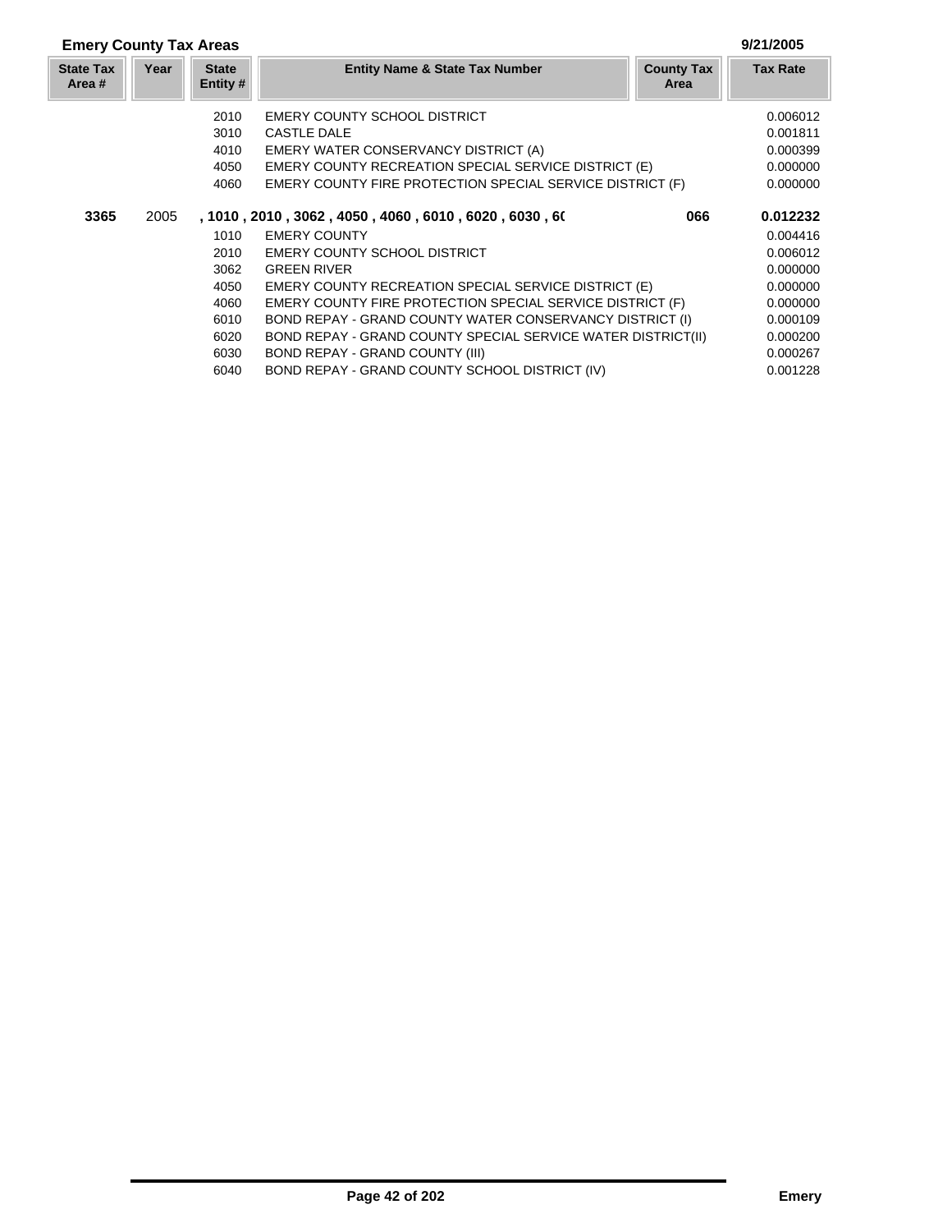# **Emery County Tax Areas 9/21/2005**

| <b>State Tax</b><br>Area # | Year | <b>State</b><br>Entity # | <b>Entity Name &amp; State Tax Number</b>                    | <b>County Tax</b><br>Area | <b>Tax Rate</b> |
|----------------------------|------|--------------------------|--------------------------------------------------------------|---------------------------|-----------------|
|                            |      | 2010                     | <b>EMERY COUNTY SCHOOL DISTRICT</b>                          |                           | 0.006012        |
|                            |      | 3010                     | CASTLE DALE                                                  |                           | 0.001811        |
|                            |      | 4010                     | EMERY WATER CONSERVANCY DISTRICT (A)                         |                           | 0.000399        |
|                            |      | 4050                     | <b>EMERY COUNTY RECREATION SPECIAL SERVICE DISTRICT (E)</b>  |                           | 0.000000        |
|                            |      | 4060                     | EMERY COUNTY FIRE PROTECTION SPECIAL SERVICE DISTRICT (F)    |                           | 0.000000        |
| 3365                       | 2005 |                          | , 1010, 2010, 3062, 4050, 4060, 6010, 6020, 6030, 60         | 066                       | 0.012232        |
|                            |      | 1010                     | <b>EMERY COUNTY</b>                                          |                           | 0.004416        |
|                            |      | 2010                     | <b>EMERY COUNTY SCHOOL DISTRICT</b>                          |                           | 0.006012        |
|                            |      | 3062                     | <b>GREEN RIVER</b>                                           |                           | 0.000000        |
|                            |      | 4050                     | EMERY COUNTY RECREATION SPECIAL SERVICE DISTRICT (E)         |                           | 0.000000        |
|                            |      | 4060                     | EMERY COUNTY FIRE PROTECTION SPECIAL SERVICE DISTRICT (F)    |                           | 0.000000        |
|                            |      | 6010                     | BOND REPAY - GRAND COUNTY WATER CONSERVANCY DISTRICT (I)     |                           | 0.000109        |
|                            |      | 6020                     | BOND REPAY - GRAND COUNTY SPECIAL SERVICE WATER DISTRICT(II) |                           | 0.000200        |
|                            |      | 6030                     | BOND REPAY - GRAND COUNTY (III)                              |                           | 0.000267        |
|                            |      | 6040                     | BOND REPAY - GRAND COUNTY SCHOOL DISTRICT (IV)               |                           | 0.001228        |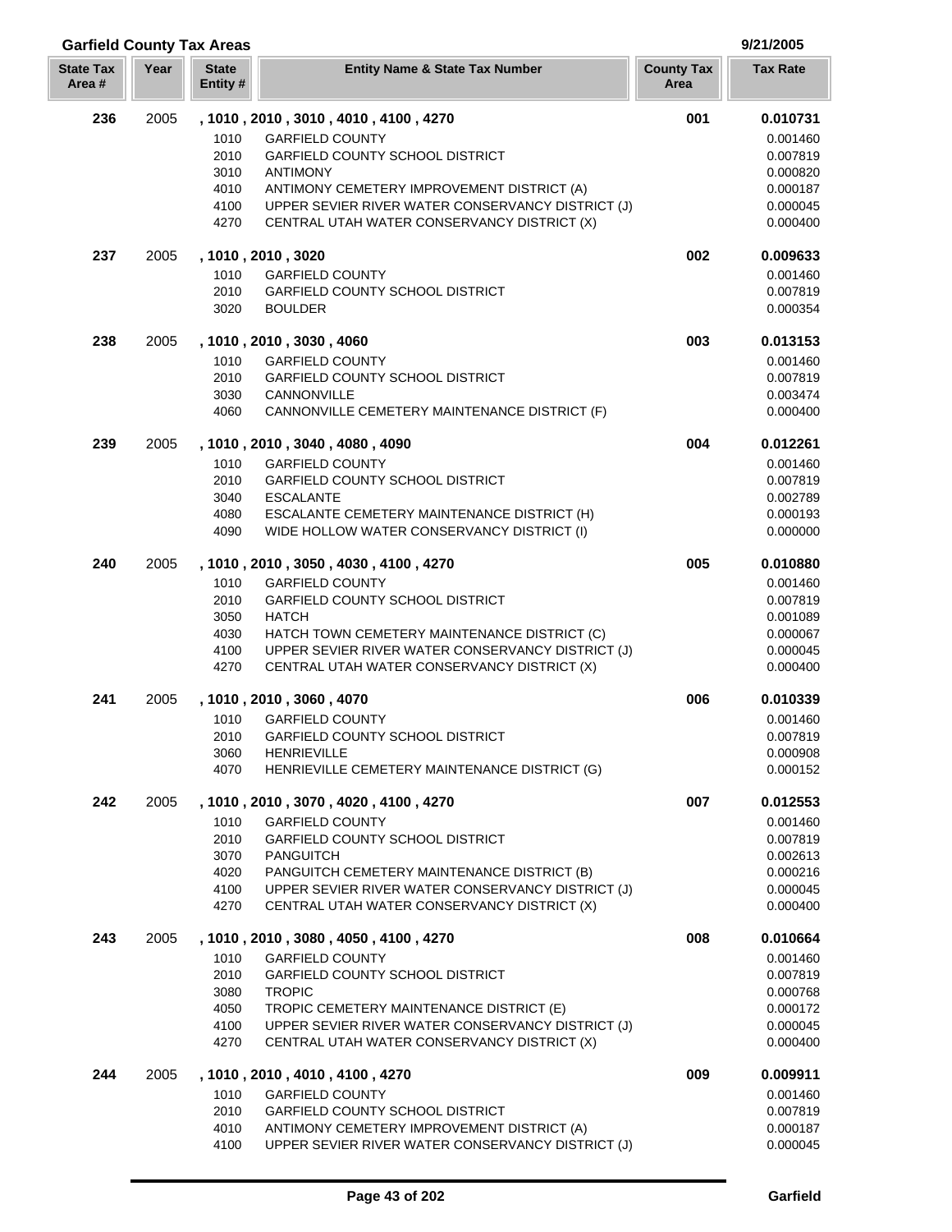| <b>Garfield County Tax Areas</b> |      |                          |                                                                                                   |                           | 9/21/2005            |  |
|----------------------------------|------|--------------------------|---------------------------------------------------------------------------------------------------|---------------------------|----------------------|--|
| <b>State Tax</b><br>Area#        | Year | <b>State</b><br>Entity # | <b>Entity Name &amp; State Tax Number</b>                                                         | <b>County Tax</b><br>Area | <b>Tax Rate</b>      |  |
| 236                              | 2005 |                          | , 1010, 2010, 3010, 4010, 4100, 4270                                                              | 001                       | 0.010731             |  |
|                                  |      | 1010                     | <b>GARFIELD COUNTY</b>                                                                            |                           | 0.001460             |  |
|                                  |      | 2010                     | GARFIELD COUNTY SCHOOL DISTRICT                                                                   |                           | 0.007819             |  |
|                                  |      | 3010                     | <b>ANTIMONY</b>                                                                                   |                           | 0.000820             |  |
|                                  |      | 4010                     | ANTIMONY CEMETERY IMPROVEMENT DISTRICT (A)                                                        |                           | 0.000187             |  |
|                                  |      | 4100                     | UPPER SEVIER RIVER WATER CONSERVANCY DISTRICT (J)                                                 |                           | 0.000045             |  |
|                                  |      | 4270                     | CENTRAL UTAH WATER CONSERVANCY DISTRICT (X)                                                       |                           | 0.000400             |  |
| 237                              | 2005 |                          | , 1010, 2010, 3020                                                                                | 002                       | 0.009633             |  |
|                                  |      | 1010                     | <b>GARFIELD COUNTY</b>                                                                            |                           | 0.001460             |  |
|                                  |      | 2010                     | <b>GARFIELD COUNTY SCHOOL DISTRICT</b>                                                            |                           | 0.007819             |  |
|                                  |      | 3020                     | <b>BOULDER</b>                                                                                    |                           | 0.000354             |  |
| 238                              | 2005 |                          | , 1010, 2010, 3030, 4060                                                                          | 003                       | 0.013153             |  |
|                                  |      | 1010                     | <b>GARFIELD COUNTY</b>                                                                            |                           | 0.001460             |  |
|                                  |      | 2010                     | <b>GARFIELD COUNTY SCHOOL DISTRICT</b>                                                            |                           | 0.007819             |  |
|                                  |      | 3030                     | CANNONVILLE                                                                                       |                           | 0.003474             |  |
|                                  |      | 4060                     | CANNONVILLE CEMETERY MAINTENANCE DISTRICT (F)                                                     |                           | 0.000400             |  |
| 239                              | 2005 |                          | , 1010 , 2010 , 3040 , 4080 , 4090                                                                | 004                       | 0.012261             |  |
|                                  |      | 1010                     | <b>GARFIELD COUNTY</b>                                                                            |                           | 0.001460             |  |
|                                  |      | 2010                     | GARFIELD COUNTY SCHOOL DISTRICT                                                                   |                           | 0.007819             |  |
|                                  |      | 3040<br>4080             | <b>ESCALANTE</b><br>ESCALANTE CEMETERY MAINTENANCE DISTRICT (H)                                   |                           | 0.002789<br>0.000193 |  |
|                                  |      | 4090                     | WIDE HOLLOW WATER CONSERVANCY DISTRICT (I)                                                        |                           | 0.000000             |  |
|                                  |      |                          |                                                                                                   |                           |                      |  |
| 240                              | 2005 |                          | , 1010 , 2010 , 3050 , 4030 , 4100 , 4270                                                         | 005                       | 0.010880             |  |
|                                  |      | 1010                     | <b>GARFIELD COUNTY</b>                                                                            |                           | 0.001460             |  |
|                                  |      | 2010                     | <b>GARFIELD COUNTY SCHOOL DISTRICT</b>                                                            |                           | 0.007819             |  |
|                                  |      | 3050                     | <b>HATCH</b>                                                                                      |                           | 0.001089             |  |
|                                  |      | 4030<br>4100             | HATCH TOWN CEMETERY MAINTENANCE DISTRICT (C)<br>UPPER SEVIER RIVER WATER CONSERVANCY DISTRICT (J) |                           | 0.000067<br>0.000045 |  |
|                                  |      | 4270                     | CENTRAL UTAH WATER CONSERVANCY DISTRICT (X)                                                       |                           | 0.000400             |  |
|                                  |      |                          |                                                                                                   |                           |                      |  |
| 241                              | 2005 |                          | , 1010, 2010, 3060, 4070                                                                          | 006                       | 0.010339             |  |
|                                  |      | 1010                     | <b>GARFIELD COUNTY</b>                                                                            |                           | 0.001460             |  |
|                                  |      | 2010                     | <b>GARFIELD COUNTY SCHOOL DISTRICT</b>                                                            |                           | 0.007819             |  |
|                                  |      | 3060<br>4070             | <b>HENRIEVILLE</b><br>HENRIEVILLE CEMETERY MAINTENANCE DISTRICT (G)                               |                           | 0.000908             |  |
|                                  |      |                          |                                                                                                   |                           | 0.000152             |  |
| 242                              | 2005 |                          | , 1010, 2010, 3070, 4020, 4100, 4270                                                              | 007                       | 0.012553             |  |
|                                  |      | 1010                     | <b>GARFIELD COUNTY</b>                                                                            |                           | 0.001460             |  |
|                                  |      | 2010                     | <b>GARFIELD COUNTY SCHOOL DISTRICT</b>                                                            |                           | 0.007819             |  |
|                                  |      | 3070<br>4020             | <b>PANGUITCH</b><br>PANGUITCH CEMETERY MAINTENANCE DISTRICT (B)                                   |                           | 0.002613<br>0.000216 |  |
|                                  |      | 4100                     | UPPER SEVIER RIVER WATER CONSERVANCY DISTRICT (J)                                                 |                           | 0.000045             |  |
|                                  |      | 4270                     | CENTRAL UTAH WATER CONSERVANCY DISTRICT (X)                                                       |                           | 0.000400             |  |
| 243                              | 2005 |                          | , 1010, 2010, 3080, 4050, 4100, 4270                                                              | 008                       | 0.010664             |  |
|                                  |      | 1010                     | <b>GARFIELD COUNTY</b>                                                                            |                           | 0.001460             |  |
|                                  |      | 2010                     | <b>GARFIELD COUNTY SCHOOL DISTRICT</b>                                                            |                           | 0.007819             |  |
|                                  |      | 3080                     | <b>TROPIC</b>                                                                                     |                           | 0.000768             |  |
|                                  |      | 4050                     | TROPIC CEMETERY MAINTENANCE DISTRICT (E)                                                          |                           | 0.000172             |  |
|                                  |      | 4100                     | UPPER SEVIER RIVER WATER CONSERVANCY DISTRICT (J)                                                 |                           | 0.000045             |  |
|                                  |      | 4270                     | CENTRAL UTAH WATER CONSERVANCY DISTRICT (X)                                                       |                           | 0.000400             |  |
| 244                              | 2005 |                          | , 1010, 2010, 4010, 4100, 4270                                                                    | 009                       | 0.009911             |  |
|                                  |      | 1010                     | <b>GARFIELD COUNTY</b>                                                                            |                           | 0.001460             |  |
|                                  |      | 2010                     | <b>GARFIELD COUNTY SCHOOL DISTRICT</b>                                                            |                           | 0.007819             |  |
|                                  |      | 4010                     | ANTIMONY CEMETERY IMPROVEMENT DISTRICT (A)                                                        |                           | 0.000187             |  |
|                                  |      | 4100                     | UPPER SEVIER RIVER WATER CONSERVANCY DISTRICT (J)                                                 |                           | 0.000045             |  |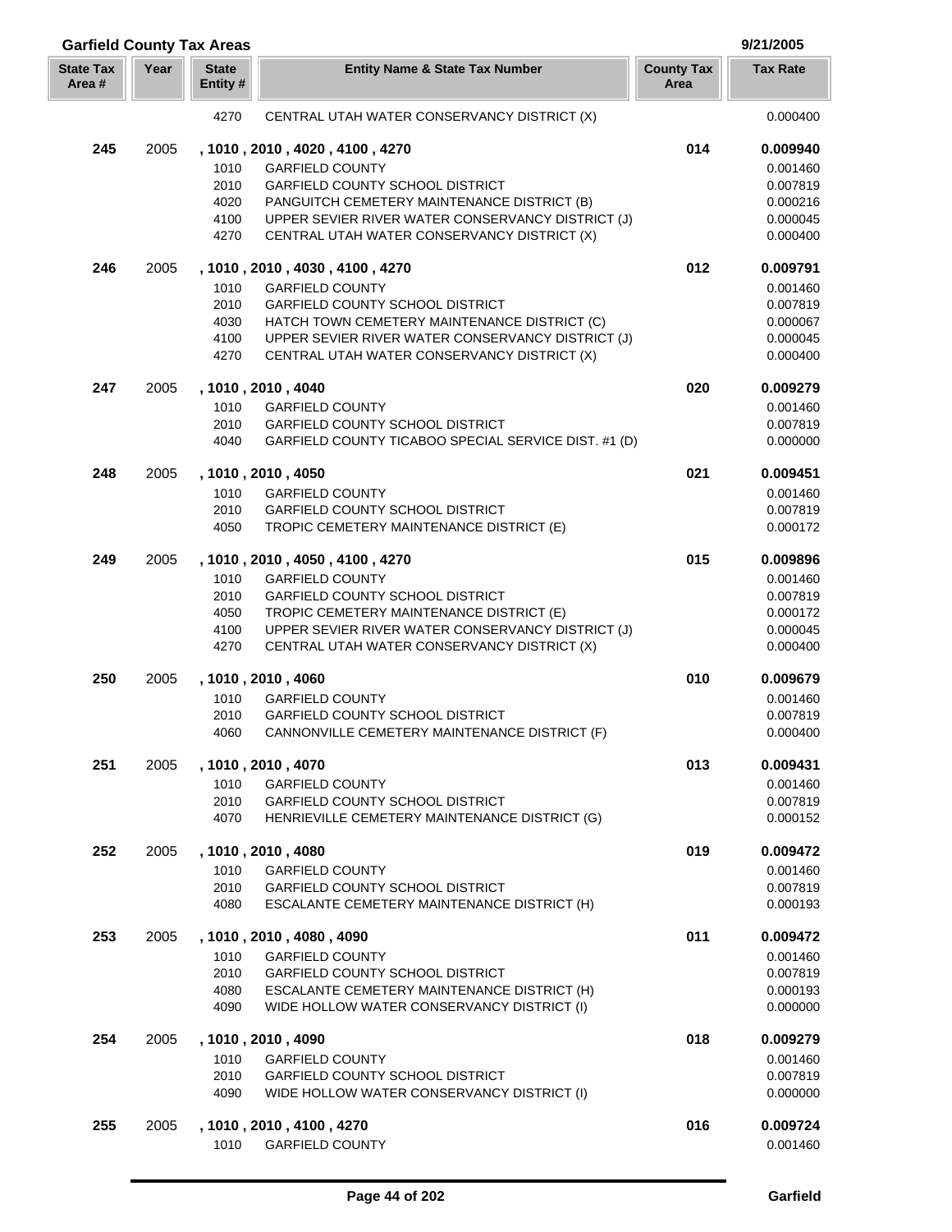| <b>Garfield County Tax Areas</b> |      |                                      |                                                                                                                                                                                                                                                        |                           | 9/21/2005                                                            |
|----------------------------------|------|--------------------------------------|--------------------------------------------------------------------------------------------------------------------------------------------------------------------------------------------------------------------------------------------------------|---------------------------|----------------------------------------------------------------------|
| <b>State Tax</b><br>Area #       | Year | <b>State</b><br>Entity #             | <b>Entity Name &amp; State Tax Number</b>                                                                                                                                                                                                              | <b>County Tax</b><br>Area | <b>Tax Rate</b>                                                      |
|                                  |      | 4270                                 | CENTRAL UTAH WATER CONSERVANCY DISTRICT (X)                                                                                                                                                                                                            |                           | 0.000400                                                             |
| 245                              | 2005 | 1010<br>2010<br>4020<br>4100<br>4270 | , 1010, 2010, 4020, 4100, 4270<br><b>GARFIELD COUNTY</b><br><b>GARFIELD COUNTY SCHOOL DISTRICT</b><br>PANGUITCH CEMETERY MAINTENANCE DISTRICT (B)<br>UPPER SEVIER RIVER WATER CONSERVANCY DISTRICT (J)<br>CENTRAL UTAH WATER CONSERVANCY DISTRICT (X)  | 014                       | 0.009940<br>0.001460<br>0.007819<br>0.000216<br>0.000045<br>0.000400 |
| 246                              | 2005 | 1010<br>2010<br>4030<br>4100<br>4270 | , 1010, 2010, 4030, 4100, 4270<br><b>GARFIELD COUNTY</b><br><b>GARFIELD COUNTY SCHOOL DISTRICT</b><br>HATCH TOWN CEMETERY MAINTENANCE DISTRICT (C)<br>UPPER SEVIER RIVER WATER CONSERVANCY DISTRICT (J)<br>CENTRAL UTAH WATER CONSERVANCY DISTRICT (X) | 012                       | 0.009791<br>0.001460<br>0.007819<br>0.000067<br>0.000045<br>0.000400 |
| 247                              | 2005 | 1010<br>2010<br>4040                 | , 1010, 2010, 4040<br><b>GARFIELD COUNTY</b><br><b>GARFIELD COUNTY SCHOOL DISTRICT</b><br>GARFIELD COUNTY TICABOO SPECIAL SERVICE DIST. #1 (D)                                                                                                         | 020                       | 0.009279<br>0.001460<br>0.007819<br>0.000000                         |
| 248                              | 2005 | 1010<br>2010<br>4050                 | , 1010, 2010, 4050<br><b>GARFIELD COUNTY</b><br><b>GARFIELD COUNTY SCHOOL DISTRICT</b><br>TROPIC CEMETERY MAINTENANCE DISTRICT (E)                                                                                                                     | 021                       | 0.009451<br>0.001460<br>0.007819<br>0.000172                         |
| 249                              | 2005 | 1010<br>2010<br>4050<br>4100<br>4270 | , 1010, 2010, 4050, 4100, 4270<br><b>GARFIELD COUNTY</b><br><b>GARFIELD COUNTY SCHOOL DISTRICT</b><br>TROPIC CEMETERY MAINTENANCE DISTRICT (E)<br>UPPER SEVIER RIVER WATER CONSERVANCY DISTRICT (J)<br>CENTRAL UTAH WATER CONSERVANCY DISTRICT (X)     | 015                       | 0.009896<br>0.001460<br>0.007819<br>0.000172<br>0.000045<br>0.000400 |
| 250                              | 2005 | 1010<br>2010<br>4060                 | , 1010, 2010, 4060<br><b>GARFIELD COUNTY</b><br><b>GARFIELD COUNTY SCHOOL DISTRICT</b><br>CANNONVILLE CEMETERY MAINTENANCE DISTRICT (F)                                                                                                                | 010                       | 0.009679<br>0.001460<br>0.007819<br>0.000400                         |
| 251                              | 2005 | 1010<br>2010<br>4070                 | , 1010, 2010, 4070<br><b>GARFIELD COUNTY</b><br><b>GARFIELD COUNTY SCHOOL DISTRICT</b><br>HENRIEVILLE CEMETERY MAINTENANCE DISTRICT (G)                                                                                                                | 013                       | 0.009431<br>0.001460<br>0.007819<br>0.000152                         |
| 252                              | 2005 | 1010<br>2010<br>4080                 | , 1010, 2010, 4080<br><b>GARFIELD COUNTY</b><br><b>GARFIELD COUNTY SCHOOL DISTRICT</b><br>ESCALANTE CEMETERY MAINTENANCE DISTRICT (H)                                                                                                                  | 019                       | 0.009472<br>0.001460<br>0.007819<br>0.000193                         |
| 253                              | 2005 | 1010<br>2010<br>4080<br>4090         | , 1010, 2010, 4080, 4090<br><b>GARFIELD COUNTY</b><br><b>GARFIELD COUNTY SCHOOL DISTRICT</b><br>ESCALANTE CEMETERY MAINTENANCE DISTRICT (H)<br>WIDE HOLLOW WATER CONSERVANCY DISTRICT (I)                                                              | 011                       | 0.009472<br>0.001460<br>0.007819<br>0.000193<br>0.000000             |
| 254                              | 2005 | 1010<br>2010<br>4090                 | , 1010, 2010, 4090<br><b>GARFIELD COUNTY</b><br><b>GARFIELD COUNTY SCHOOL DISTRICT</b><br>WIDE HOLLOW WATER CONSERVANCY DISTRICT (I)                                                                                                                   | 018                       | 0.009279<br>0.001460<br>0.007819<br>0.000000                         |
| 255                              | 2005 | 1010                                 | , 1010, 2010, 4100, 4270<br><b>GARFIELD COUNTY</b>                                                                                                                                                                                                     | 016                       | 0.009724<br>0.001460                                                 |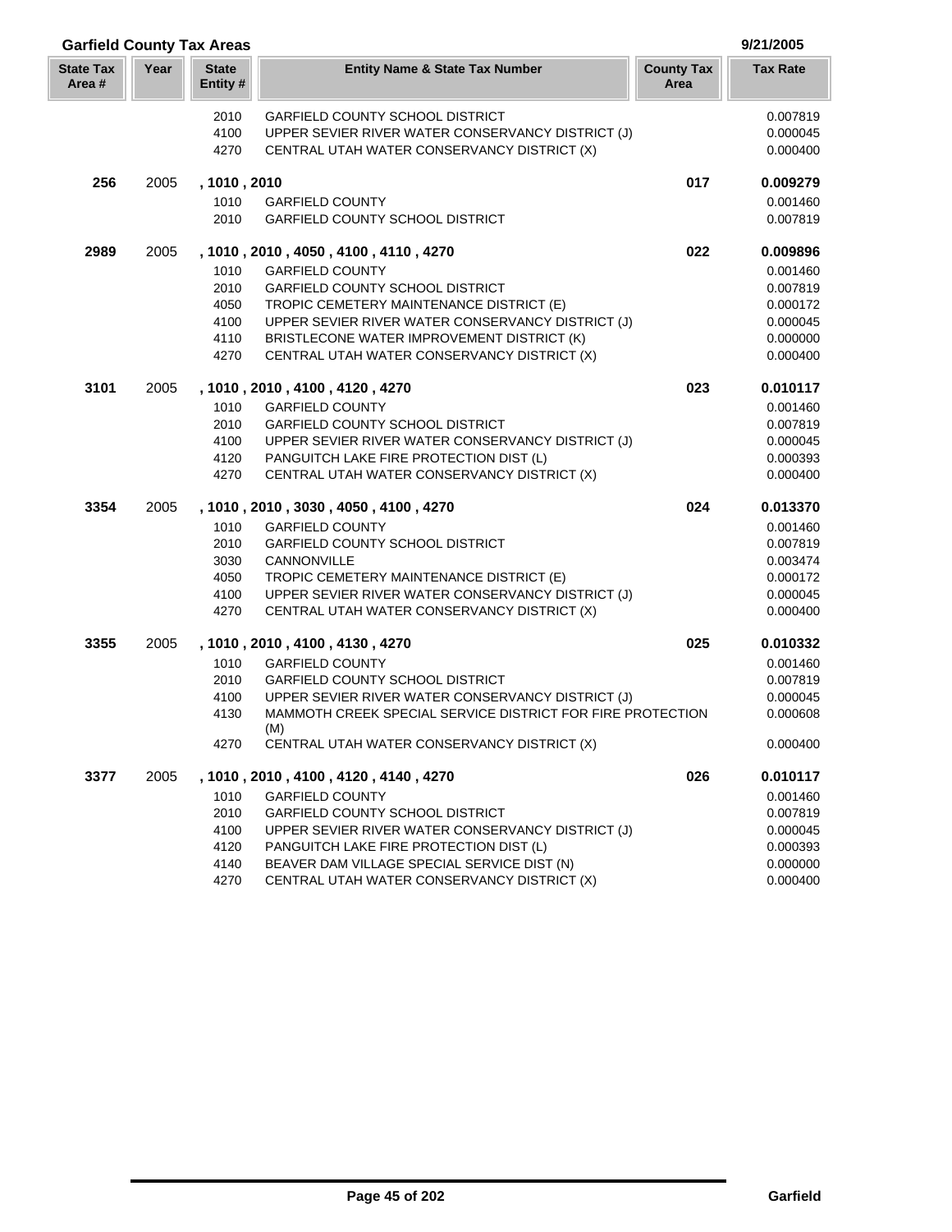| <b>Garfield County Tax Areas</b> |      |                          |                                                                   |                           | 9/21/2005       |
|----------------------------------|------|--------------------------|-------------------------------------------------------------------|---------------------------|-----------------|
| <b>State Tax</b><br>Area#        | Year | <b>State</b><br>Entity # | <b>Entity Name &amp; State Tax Number</b>                         | <b>County Tax</b><br>Area | <b>Tax Rate</b> |
|                                  |      | 2010                     | <b>GARFIELD COUNTY SCHOOL DISTRICT</b>                            |                           | 0.007819        |
|                                  |      | 4100                     | UPPER SEVIER RIVER WATER CONSERVANCY DISTRICT (J)                 |                           | 0.000045        |
|                                  |      | 4270                     | CENTRAL UTAH WATER CONSERVANCY DISTRICT (X)                       |                           | 0.000400        |
| 256                              | 2005 | , 1010, 2010             |                                                                   | 017                       | 0.009279        |
|                                  |      | 1010                     | <b>GARFIELD COUNTY</b>                                            |                           | 0.001460        |
|                                  |      | 2010                     | <b>GARFIELD COUNTY SCHOOL DISTRICT</b>                            |                           | 0.007819        |
| 2989                             | 2005 |                          | , 1010 , 2010 , 4050 , 4100 , 4110 , 4270                         | 022                       | 0.009896        |
|                                  |      | 1010                     | <b>GARFIELD COUNTY</b>                                            |                           | 0.001460        |
|                                  |      | 2010                     | <b>GARFIELD COUNTY SCHOOL DISTRICT</b>                            |                           | 0.007819        |
|                                  |      | 4050                     | TROPIC CEMETERY MAINTENANCE DISTRICT (E)                          |                           | 0.000172        |
|                                  |      | 4100                     | UPPER SEVIER RIVER WATER CONSERVANCY DISTRICT (J)                 |                           | 0.000045        |
|                                  |      | 4110                     | BRISTLECONE WATER IMPROVEMENT DISTRICT (K)                        |                           | 0.000000        |
|                                  |      | 4270                     | CENTRAL UTAH WATER CONSERVANCY DISTRICT (X)                       |                           | 0.000400        |
| 3101                             | 2005 |                          | , 1010, 2010, 4100, 4120, 4270                                    | 023                       | 0.010117        |
|                                  |      | 1010                     | <b>GARFIELD COUNTY</b>                                            |                           | 0.001460        |
|                                  |      | 2010                     | <b>GARFIELD COUNTY SCHOOL DISTRICT</b>                            |                           | 0.007819        |
|                                  |      | 4100                     | UPPER SEVIER RIVER WATER CONSERVANCY DISTRICT (J)                 |                           | 0.000045        |
|                                  |      | 4120                     | PANGUITCH LAKE FIRE PROTECTION DIST (L)                           |                           | 0.000393        |
|                                  |      | 4270                     | CENTRAL UTAH WATER CONSERVANCY DISTRICT (X)                       |                           | 0.000400        |
| 3354                             | 2005 |                          | , 1010, 2010, 3030, 4050, 4100, 4270                              | 024                       | 0.013370        |
|                                  |      | 1010                     | <b>GARFIELD COUNTY</b>                                            |                           | 0.001460        |
|                                  |      | 2010                     | <b>GARFIELD COUNTY SCHOOL DISTRICT</b>                            |                           | 0.007819        |
|                                  |      | 3030                     | CANNONVILLE                                                       |                           | 0.003474        |
|                                  |      | 4050                     | TROPIC CEMETERY MAINTENANCE DISTRICT (E)                          |                           | 0.000172        |
|                                  |      | 4100                     | UPPER SEVIER RIVER WATER CONSERVANCY DISTRICT (J)                 |                           | 0.000045        |
|                                  |      | 4270                     | CENTRAL UTAH WATER CONSERVANCY DISTRICT (X)                       |                           | 0.000400        |
| 3355                             | 2005 |                          | , 1010, 2010, 4100, 4130, 4270                                    | 025                       | 0.010332        |
|                                  |      | 1010                     | <b>GARFIELD COUNTY</b>                                            |                           | 0.001460        |
|                                  |      | 2010                     | <b>GARFIELD COUNTY SCHOOL DISTRICT</b>                            |                           | 0.007819        |
|                                  |      | 4100                     | UPPER SEVIER RIVER WATER CONSERVANCY DISTRICT (J)                 |                           | 0.000045        |
|                                  |      | 4130                     | MAMMOTH CREEK SPECIAL SERVICE DISTRICT FOR FIRE PROTECTION<br>(M) |                           | 0.000608        |
|                                  |      | 4270                     | CENTRAL UTAH WATER CONSERVANCY DISTRICT (X)                       |                           | 0.000400        |
| 3377                             | 2005 |                          | , 1010, 2010, 4100, 4120, 4140, 4270                              | 026                       | 0.010117        |
|                                  |      | 1010                     | <b>GARFIELD COUNTY</b>                                            |                           | 0.001460        |
|                                  |      | 2010                     | <b>GARFIELD COUNTY SCHOOL DISTRICT</b>                            |                           | 0.007819        |
|                                  |      | 4100                     | UPPER SEVIER RIVER WATER CONSERVANCY DISTRICT (J)                 |                           | 0.000045        |
|                                  |      | 4120                     | PANGUITCH LAKE FIRE PROTECTION DIST (L)                           |                           | 0.000393        |
|                                  |      | 4140                     | BEAVER DAM VILLAGE SPECIAL SERVICE DIST (N)                       |                           | 0.000000        |
|                                  |      | 4270                     | CENTRAL UTAH WATER CONSERVANCY DISTRICT (X)                       |                           | 0.000400        |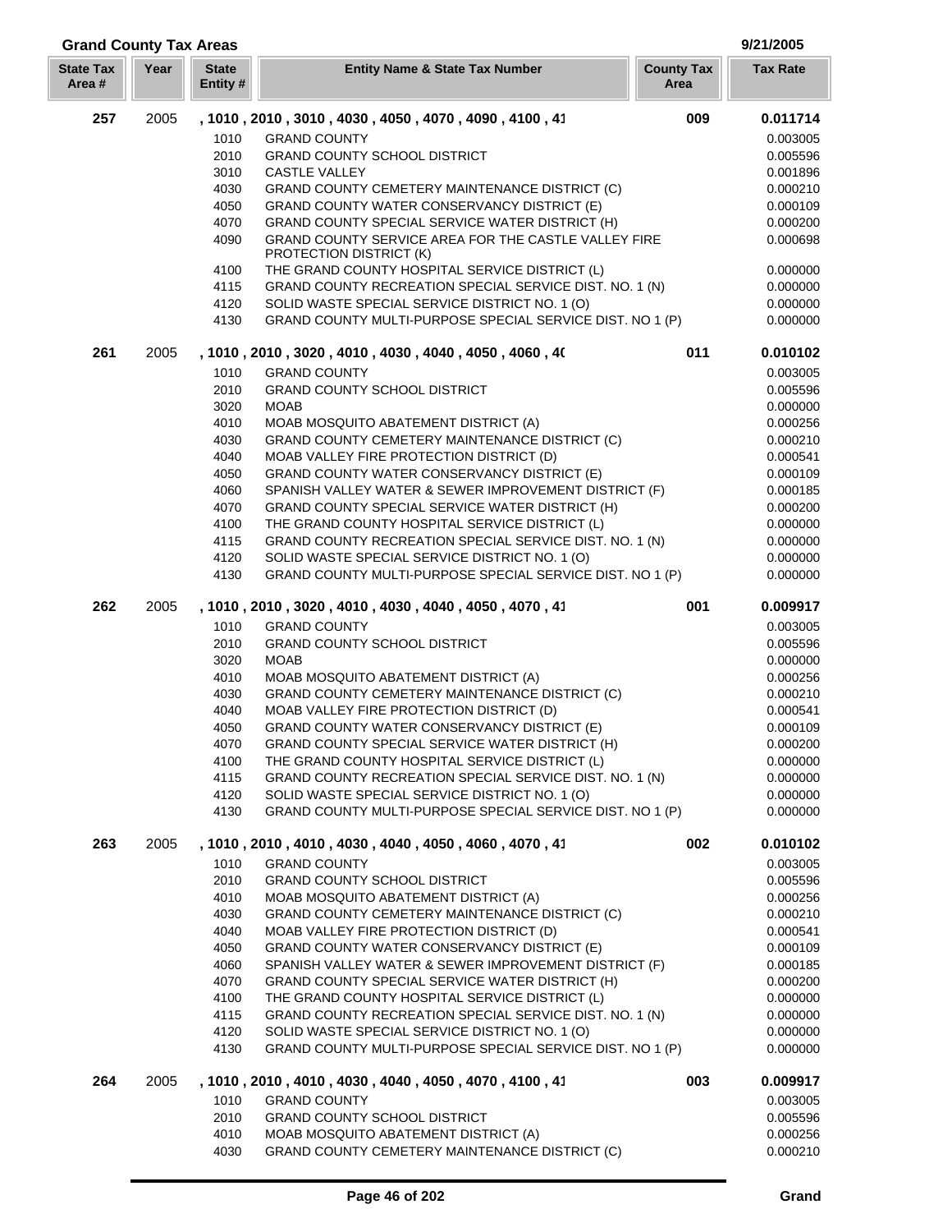| <b>Grand County Tax Areas</b> |      |                          |                                                                                                             |                           | 9/21/2005            |
|-------------------------------|------|--------------------------|-------------------------------------------------------------------------------------------------------------|---------------------------|----------------------|
| <b>State Tax</b><br>Area#     | Year | <b>State</b><br>Entity # | <b>Entity Name &amp; State Tax Number</b>                                                                   | <b>County Tax</b><br>Area | <b>Tax Rate</b>      |
| 257                           | 2005 |                          | , 1010, 2010, 3010, 4030, 4050, 4070, 4090, 4100, 41                                                        | 009                       | 0.011714             |
|                               |      | 1010                     | <b>GRAND COUNTY</b>                                                                                         |                           | 0.003005             |
|                               |      | 2010                     | <b>GRAND COUNTY SCHOOL DISTRICT</b>                                                                         |                           | 0.005596             |
|                               |      | 3010                     | <b>CASTLE VALLEY</b>                                                                                        |                           | 0.001896             |
|                               |      | 4030                     | GRAND COUNTY CEMETERY MAINTENANCE DISTRICT (C)                                                              |                           | 0.000210             |
|                               |      | 4050                     | GRAND COUNTY WATER CONSERVANCY DISTRICT (E)                                                                 |                           | 0.000109             |
|                               |      | 4070                     | GRAND COUNTY SPECIAL SERVICE WATER DISTRICT (H)                                                             |                           | 0.000200             |
|                               |      | 4090                     | GRAND COUNTY SERVICE AREA FOR THE CASTLE VALLEY FIRE<br>PROTECTION DISTRICT (K)                             |                           | 0.000698             |
|                               |      | 4100                     | THE GRAND COUNTY HOSPITAL SERVICE DISTRICT (L)                                                              |                           | 0.000000             |
|                               |      | 4115<br>4120             | GRAND COUNTY RECREATION SPECIAL SERVICE DIST. NO. 1 (N)                                                     |                           | 0.000000             |
|                               |      | 4130                     | SOLID WASTE SPECIAL SERVICE DISTRICT NO. 1 (O)<br>GRAND COUNTY MULTI-PURPOSE SPECIAL SERVICE DIST. NO 1 (P) |                           | 0.000000<br>0.000000 |
| 261                           | 2005 |                          | , 1010, 2010, 3020, 4010, 4030, 4040, 4050, 4060, 40                                                        | 011                       | 0.010102             |
|                               |      | 1010                     | <b>GRAND COUNTY</b>                                                                                         |                           | 0.003005             |
|                               |      | 2010                     | <b>GRAND COUNTY SCHOOL DISTRICT</b>                                                                         |                           | 0.005596             |
|                               |      | 3020                     | <b>MOAB</b>                                                                                                 |                           | 0.000000             |
|                               |      | 4010                     | MOAB MOSQUITO ABATEMENT DISTRICT (A)                                                                        |                           | 0.000256             |
|                               |      | 4030                     | GRAND COUNTY CEMETERY MAINTENANCE DISTRICT (C)                                                              |                           | 0.000210             |
|                               |      | 4040                     | MOAB VALLEY FIRE PROTECTION DISTRICT (D)                                                                    |                           | 0.000541             |
|                               |      | 4050                     | GRAND COUNTY WATER CONSERVANCY DISTRICT (E)                                                                 |                           | 0.000109             |
|                               |      | 4060                     | SPANISH VALLEY WATER & SEWER IMPROVEMENT DISTRICT (F)                                                       |                           | 0.000185             |
|                               |      | 4070                     | GRAND COUNTY SPECIAL SERVICE WATER DISTRICT (H)                                                             |                           | 0.000200             |
|                               |      | 4100                     | THE GRAND COUNTY HOSPITAL SERVICE DISTRICT (L)                                                              |                           | 0.000000             |
|                               |      | 4115                     | GRAND COUNTY RECREATION SPECIAL SERVICE DIST. NO. 1 (N)                                                     |                           | 0.000000             |
|                               |      | 4120<br>4130             | SOLID WASTE SPECIAL SERVICE DISTRICT NO. 1 (O)<br>GRAND COUNTY MULTI-PURPOSE SPECIAL SERVICE DIST. NO 1 (P) |                           | 0.000000<br>0.000000 |
| 262                           | 2005 |                          | , 1010, 2010, 3020, 4010, 4030, 4040, 4050, 4070, 41                                                        | 001                       | 0.009917             |
|                               |      | 1010                     | <b>GRAND COUNTY</b>                                                                                         |                           | 0.003005             |
|                               |      | 2010                     | <b>GRAND COUNTY SCHOOL DISTRICT</b>                                                                         |                           | 0.005596             |
|                               |      | 3020                     | <b>MOAB</b>                                                                                                 |                           | 0.000000             |
|                               |      | 4010                     | MOAB MOSQUITO ABATEMENT DISTRICT (A)                                                                        |                           | 0.000256             |
|                               |      | 4030<br>4040             | GRAND COUNTY CEMETERY MAINTENANCE DISTRICT (C)<br>MOAB VALLEY FIRE PROTECTION DISTRICT (D)                  |                           | 0.000210<br>0.000541 |
|                               |      | 4050                     | GRAND COUNTY WATER CONSERVANCY DISTRICT (E)                                                                 |                           | 0.000109             |
|                               |      | 4070                     | GRAND COUNTY SPECIAL SERVICE WATER DISTRICT (H)                                                             |                           |                      |
|                               |      | 4100                     |                                                                                                             |                           |                      |
|                               |      |                          |                                                                                                             |                           | 0.000200             |
|                               |      |                          | THE GRAND COUNTY HOSPITAL SERVICE DISTRICT (L)                                                              |                           | 0.000000             |
|                               |      | 4115                     | GRAND COUNTY RECREATION SPECIAL SERVICE DIST. NO. 1 (N)                                                     |                           | 0.000000             |
|                               |      | 4120<br>4130             | SOLID WASTE SPECIAL SERVICE DISTRICT NO. 1 (O)<br>GRAND COUNTY MULTI-PURPOSE SPECIAL SERVICE DIST. NO 1 (P) |                           | 0.000000<br>0.000000 |
| 263                           | 2005 |                          | , 1010, 2010, 4010, 4030, 4040, 4050, 4060, 4070, 41                                                        | 002                       | 0.010102             |
|                               |      | 1010                     | <b>GRAND COUNTY</b>                                                                                         |                           | 0.003005             |
|                               |      | 2010                     | <b>GRAND COUNTY SCHOOL DISTRICT</b>                                                                         |                           |                      |
|                               |      | 4010                     | MOAB MOSQUITO ABATEMENT DISTRICT (A)                                                                        |                           | 0.005596<br>0.000256 |
|                               |      | 4030                     | GRAND COUNTY CEMETERY MAINTENANCE DISTRICT (C)                                                              |                           | 0.000210             |
|                               |      | 4040                     | MOAB VALLEY FIRE PROTECTION DISTRICT (D)                                                                    |                           | 0.000541             |
|                               |      | 4050                     | GRAND COUNTY WATER CONSERVANCY DISTRICT (E)                                                                 |                           | 0.000109             |
|                               |      | 4060                     | SPANISH VALLEY WATER & SEWER IMPROVEMENT DISTRICT (F)                                                       |                           | 0.000185             |
|                               |      | 4070                     | GRAND COUNTY SPECIAL SERVICE WATER DISTRICT (H)                                                             |                           | 0.000200             |
|                               |      | 4100<br>4115             | THE GRAND COUNTY HOSPITAL SERVICE DISTRICT (L)                                                              |                           | 0.000000             |
|                               |      | 4120                     | GRAND COUNTY RECREATION SPECIAL SERVICE DIST. NO. 1 (N)<br>SOLID WASTE SPECIAL SERVICE DISTRICT NO. 1 (O)   |                           | 0.000000<br>0.000000 |
|                               |      | 4130                     | GRAND COUNTY MULTI-PURPOSE SPECIAL SERVICE DIST. NO 1 (P)                                                   |                           | 0.000000             |
| 264                           | 2005 |                          | , 1010, 2010, 4010, 4030, 4040, 4050, 4070, 4100, 41                                                        | 003                       | 0.009917             |
|                               |      | 1010                     | <b>GRAND COUNTY</b>                                                                                         |                           | 0.003005             |
|                               |      | 2010                     | <b>GRAND COUNTY SCHOOL DISTRICT</b>                                                                         |                           | 0.005596             |
|                               |      | 4010<br>4030             | MOAB MOSQUITO ABATEMENT DISTRICT (A)<br>GRAND COUNTY CEMETERY MAINTENANCE DISTRICT (C)                      |                           | 0.000256<br>0.000210 |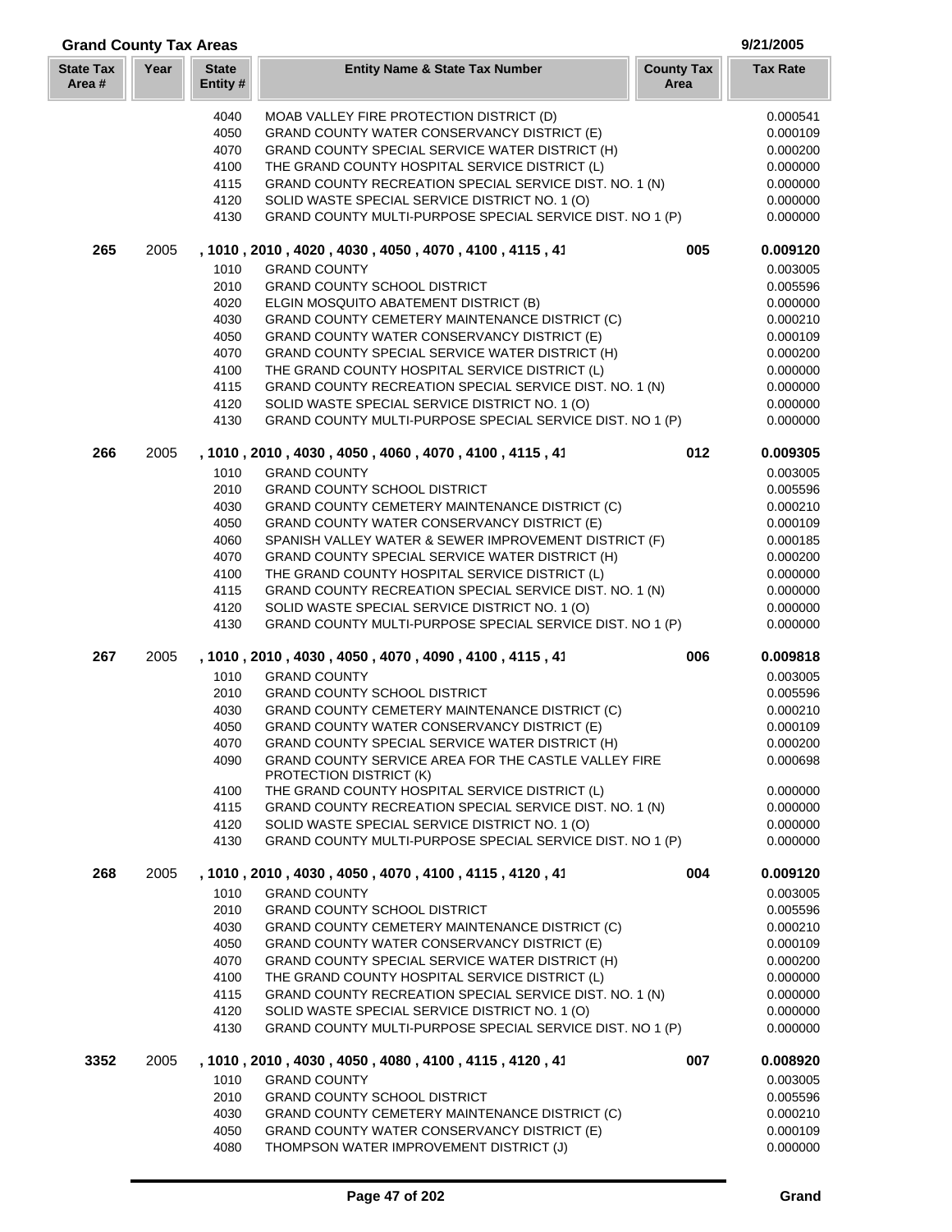| <b>Grand County Tax Areas</b> |      |                          |                                                                                                             |                           | 9/21/2005            |
|-------------------------------|------|--------------------------|-------------------------------------------------------------------------------------------------------------|---------------------------|----------------------|
| <b>State Tax</b><br>Area#     | Year | <b>State</b><br>Entity # | <b>Entity Name &amp; State Tax Number</b>                                                                   | <b>County Tax</b><br>Area | <b>Tax Rate</b>      |
|                               |      | 4040                     | MOAB VALLEY FIRE PROTECTION DISTRICT (D)                                                                    |                           | 0.000541             |
|                               |      | 4050                     | GRAND COUNTY WATER CONSERVANCY DISTRICT (E)                                                                 |                           | 0.000109             |
|                               |      | 4070                     | GRAND COUNTY SPECIAL SERVICE WATER DISTRICT (H)                                                             |                           | 0.000200             |
|                               |      | 4100                     | THE GRAND COUNTY HOSPITAL SERVICE DISTRICT (L)                                                              |                           | 0.000000             |
|                               |      | 4115                     | GRAND COUNTY RECREATION SPECIAL SERVICE DIST. NO. 1 (N)                                                     |                           | 0.000000             |
|                               |      | 4120                     | SOLID WASTE SPECIAL SERVICE DISTRICT NO. 1 (O)                                                              |                           | 0.000000             |
|                               |      | 4130                     | GRAND COUNTY MULTI-PURPOSE SPECIAL SERVICE DIST. NO 1 (P)                                                   |                           | 0.000000             |
| 265                           | 2005 |                          | , 1010, 2010, 4020, 4030, 4050, 4070, 4100, 4115, 41                                                        | 005                       | 0.009120             |
|                               |      | 1010                     | <b>GRAND COUNTY</b>                                                                                         |                           | 0.003005             |
|                               |      | 2010                     | <b>GRAND COUNTY SCHOOL DISTRICT</b>                                                                         |                           | 0.005596             |
|                               |      | 4020                     | ELGIN MOSQUITO ABATEMENT DISTRICT (B)                                                                       |                           | 0.000000             |
|                               |      | 4030<br>4050             | GRAND COUNTY CEMETERY MAINTENANCE DISTRICT (C)<br>GRAND COUNTY WATER CONSERVANCY DISTRICT (E)               |                           | 0.000210<br>0.000109 |
|                               |      | 4070                     | GRAND COUNTY SPECIAL SERVICE WATER DISTRICT (H)                                                             |                           | 0.000200             |
|                               |      | 4100                     | THE GRAND COUNTY HOSPITAL SERVICE DISTRICT (L)                                                              |                           | 0.000000             |
|                               |      | 4115                     | GRAND COUNTY RECREATION SPECIAL SERVICE DIST. NO. 1 (N)                                                     |                           | 0.000000             |
|                               |      | 4120                     | SOLID WASTE SPECIAL SERVICE DISTRICT NO. 1 (O)                                                              |                           | 0.000000             |
|                               |      | 4130                     | GRAND COUNTY MULTI-PURPOSE SPECIAL SERVICE DIST. NO 1 (P)                                                   |                           | 0.000000             |
| 266                           | 2005 |                          | , 1010, 2010, 4030, 4050, 4060, 4070, 4100, 4115, 41                                                        | 012                       | 0.009305             |
|                               |      | 1010                     | <b>GRAND COUNTY</b>                                                                                         |                           | 0.003005             |
|                               |      | 2010                     | <b>GRAND COUNTY SCHOOL DISTRICT</b>                                                                         |                           | 0.005596             |
|                               |      | 4030                     | GRAND COUNTY CEMETERY MAINTENANCE DISTRICT (C)                                                              |                           | 0.000210             |
|                               |      | 4050                     | GRAND COUNTY WATER CONSERVANCY DISTRICT (E)                                                                 |                           | 0.000109             |
|                               |      | 4060                     | SPANISH VALLEY WATER & SEWER IMPROVEMENT DISTRICT (F)                                                       |                           | 0.000185             |
|                               |      | 4070                     | GRAND COUNTY SPECIAL SERVICE WATER DISTRICT (H)                                                             |                           | 0.000200             |
|                               |      | 4100                     | THE GRAND COUNTY HOSPITAL SERVICE DISTRICT (L)                                                              |                           | 0.000000             |
|                               |      | 4115                     | GRAND COUNTY RECREATION SPECIAL SERVICE DIST. NO. 1 (N)                                                     |                           | 0.000000             |
|                               |      | 4120<br>4130             | SOLID WASTE SPECIAL SERVICE DISTRICT NO. 1 (O)<br>GRAND COUNTY MULTI-PURPOSE SPECIAL SERVICE DIST. NO 1 (P) |                           | 0.000000<br>0.000000 |
| 267                           | 2005 |                          | , 1010, 2010, 4030, 4050, 4070, 4090, 4100, 4115, 41                                                        | 006                       | 0.009818             |
|                               |      | 1010                     | <b>GRAND COUNTY</b>                                                                                         |                           | 0.003005             |
|                               |      | 2010                     | <b>GRAND COUNTY SCHOOL DISTRICT</b>                                                                         |                           | 0.005596             |
|                               |      | 4030                     | GRAND COUNTY CEMETERY MAINTENANCE DISTRICT (C)                                                              |                           | 0.000210             |
|                               |      | 4050                     | GRAND COUNTY WATER CONSERVANCY DISTRICT (E)                                                                 |                           | 0.000109             |
|                               |      | 4070                     | GRAND COUNTY SPECIAL SERVICE WATER DISTRICT (H)                                                             |                           | 0.000200             |
|                               |      | 4090                     | GRAND COUNTY SERVICE AREA FOR THE CASTLE VALLEY FIRE<br>PROTECTION DISTRICT (K)                             |                           | 0.000698             |
|                               |      | 4100                     | THE GRAND COUNTY HOSPITAL SERVICE DISTRICT (L)                                                              |                           | 0.000000             |
|                               |      | 4115                     | GRAND COUNTY RECREATION SPECIAL SERVICE DIST. NO. 1 (N)                                                     |                           | 0.000000             |
|                               |      | 4120                     | SOLID WASTE SPECIAL SERVICE DISTRICT NO. 1 (O)                                                              |                           | 0.000000             |
|                               |      | 4130                     | GRAND COUNTY MULTI-PURPOSE SPECIAL SERVICE DIST. NO 1 (P)                                                   |                           | 0.000000             |
| 268                           | 2005 |                          | , 1010, 2010, 4030, 4050, 4070, 4100, 4115, 4120, 41                                                        | 004                       | 0.009120             |
|                               |      | 1010                     | <b>GRAND COUNTY</b>                                                                                         |                           | 0.003005             |
|                               |      | 2010                     | <b>GRAND COUNTY SCHOOL DISTRICT</b>                                                                         |                           | 0.005596             |
|                               |      | 4030<br>4050             | GRAND COUNTY CEMETERY MAINTENANCE DISTRICT (C)<br>GRAND COUNTY WATER CONSERVANCY DISTRICT (E)               |                           | 0.000210<br>0.000109 |
|                               |      | 4070                     | GRAND COUNTY SPECIAL SERVICE WATER DISTRICT (H)                                                             |                           | 0.000200             |
|                               |      | 4100                     | THE GRAND COUNTY HOSPITAL SERVICE DISTRICT (L)                                                              |                           | 0.000000             |
|                               |      | 4115                     | GRAND COUNTY RECREATION SPECIAL SERVICE DIST. NO. 1 (N)                                                     |                           | 0.000000             |
|                               |      | 4120                     | SOLID WASTE SPECIAL SERVICE DISTRICT NO. 1 (O)                                                              |                           | 0.000000             |
|                               |      | 4130                     | GRAND COUNTY MULTI-PURPOSE SPECIAL SERVICE DIST. NO 1 (P)                                                   |                           | 0.000000             |
| 3352                          | 2005 |                          | , 1010, 2010, 4030, 4050, 4080, 4100, 4115, 4120, 41                                                        | 007                       | 0.008920             |
|                               |      | 1010                     | <b>GRAND COUNTY</b>                                                                                         |                           | 0.003005             |
|                               |      | 2010                     | <b>GRAND COUNTY SCHOOL DISTRICT</b>                                                                         |                           | 0.005596             |
|                               |      | 4030                     | GRAND COUNTY CEMETERY MAINTENANCE DISTRICT (C)                                                              |                           | 0.000210             |
|                               |      | 4050                     | GRAND COUNTY WATER CONSERVANCY DISTRICT (E)                                                                 |                           | 0.000109             |
|                               |      | 4080                     | THOMPSON WATER IMPROVEMENT DISTRICT (J)                                                                     |                           | 0.000000             |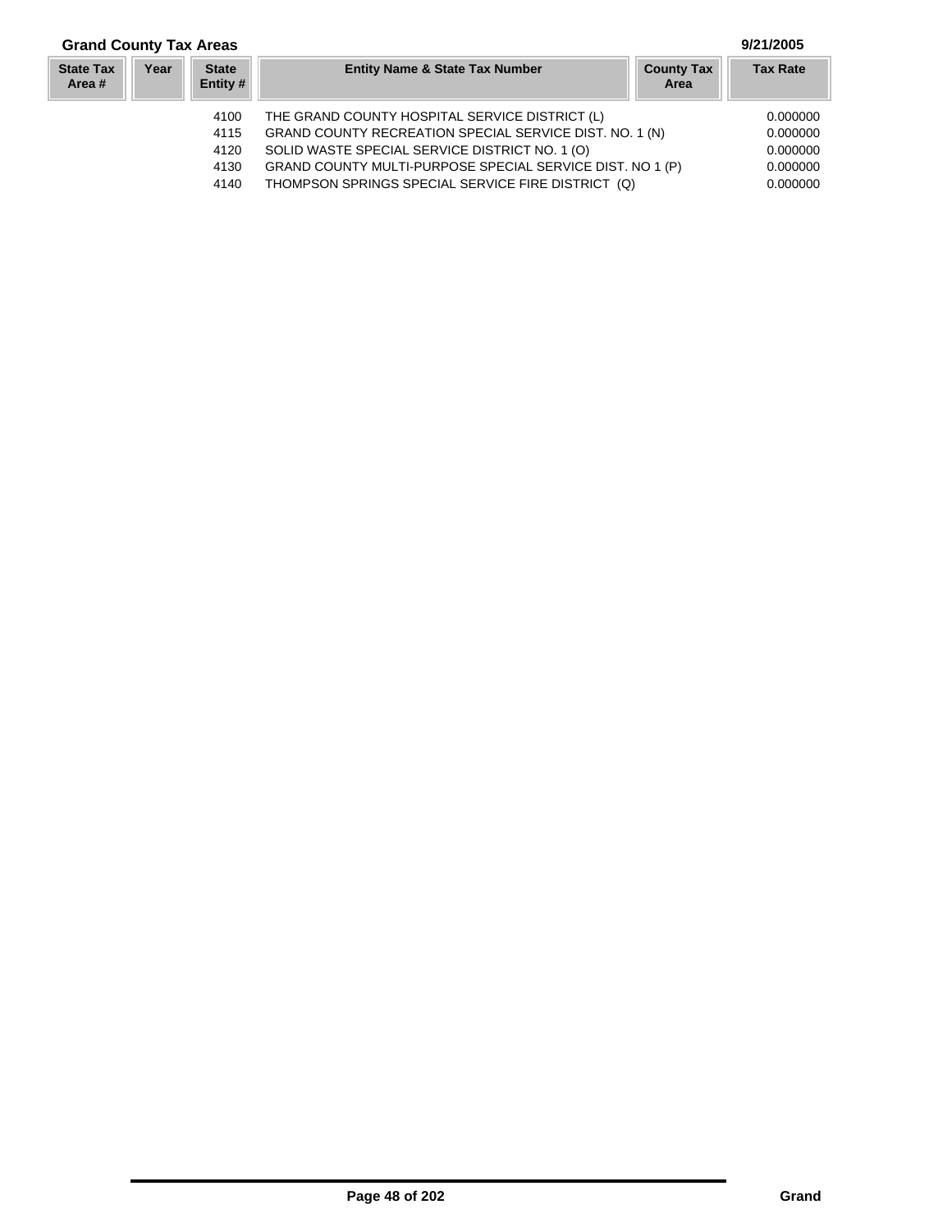# **Grand County Tax Areas 9/21/2005**

| <b>State Tax</b><br>Area # | Year | <b>State</b><br>Entity # | <b>Entity Name &amp; State Tax Number</b>                 | <b>County Tax</b><br>Area | <b>Tax Rate</b> |
|----------------------------|------|--------------------------|-----------------------------------------------------------|---------------------------|-----------------|
|                            |      | 4100                     | THE GRAND COUNTY HOSPITAL SERVICE DISTRICT (L)            |                           | 0.000000        |
|                            |      | 4115                     | GRAND COUNTY RECREATION SPECIAL SERVICE DIST. NO. 1 (N)   |                           | 0.000000        |
|                            |      | 4120                     | SOLID WASTE SPECIAL SERVICE DISTRICT NO. 1 (O)            |                           | 0.000000        |
|                            |      | 4130                     | GRAND COUNTY MULTI-PURPOSE SPECIAL SERVICE DIST. NO 1 (P) |                           | 0.000000        |
|                            |      | 4140                     | THOMPSON SPRINGS SPECIAL SERVICE FIRE DISTRICT (Q)        |                           | 0.000000        |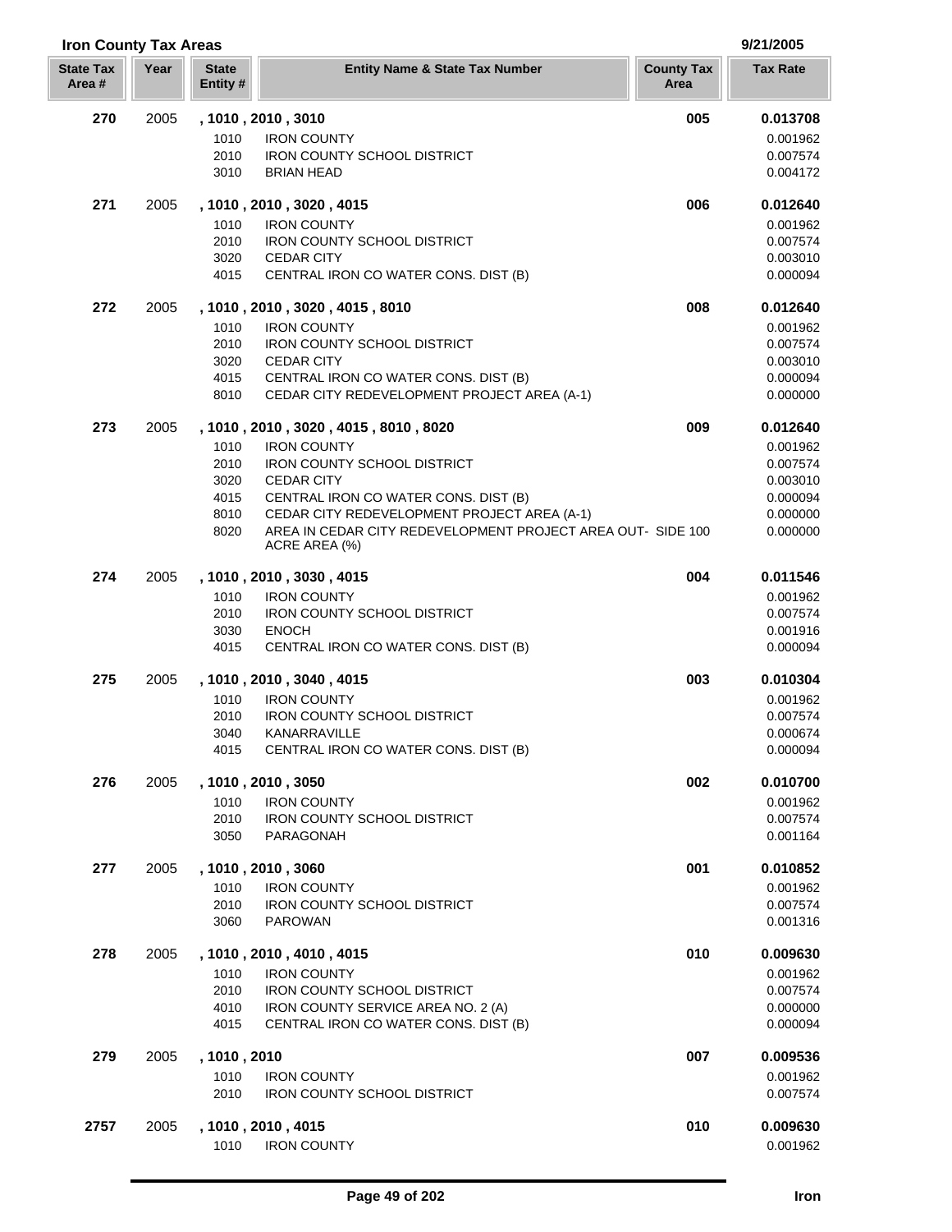| <b>Iron County Tax Areas</b> |      |                          |                                                                                                            |                           | 9/21/2005            |
|------------------------------|------|--------------------------|------------------------------------------------------------------------------------------------------------|---------------------------|----------------------|
| <b>State Tax</b><br>Area#    | Year | <b>State</b><br>Entity # | <b>Entity Name &amp; State Tax Number</b>                                                                  | <b>County Tax</b><br>Area | <b>Tax Rate</b>      |
| 270                          | 2005 |                          | , 1010, 2010, 3010                                                                                         | 005                       | 0.013708             |
|                              |      | 1010                     | <b>IRON COUNTY</b>                                                                                         |                           | 0.001962             |
|                              |      | 2010                     | <b>IRON COUNTY SCHOOL DISTRICT</b>                                                                         |                           | 0.007574             |
|                              |      | 3010                     | <b>BRIAN HEAD</b>                                                                                          |                           | 0.004172             |
| 271                          | 2005 |                          | , 1010, 2010, 3020, 4015                                                                                   | 006                       | 0.012640             |
|                              |      | 1010                     | <b>IRON COUNTY</b>                                                                                         |                           | 0.001962             |
|                              |      | 2010<br>3020             | <b>IRON COUNTY SCHOOL DISTRICT</b><br><b>CEDAR CITY</b>                                                    |                           | 0.007574<br>0.003010 |
|                              |      | 4015                     | CENTRAL IRON CO WATER CONS. DIST (B)                                                                       |                           | 0.000094             |
| 272                          | 2005 |                          | , 1010, 2010, 3020, 4015, 8010                                                                             | 008                       | 0.012640             |
|                              |      | 1010                     | <b>IRON COUNTY</b>                                                                                         |                           | 0.001962             |
|                              |      | 2010                     | <b>IRON COUNTY SCHOOL DISTRICT</b>                                                                         |                           | 0.007574             |
|                              |      | 3020                     | <b>CEDAR CITY</b>                                                                                          |                           | 0.003010             |
|                              |      | 4015<br>8010             | CENTRAL IRON CO WATER CONS. DIST (B)<br>CEDAR CITY REDEVELOPMENT PROJECT AREA (A-1)                        |                           | 0.000094<br>0.000000 |
| 273                          | 2005 |                          | , 1010 , 2010 , 3020 , 4015 , 8010 , 8020                                                                  | 009                       | 0.012640             |
|                              |      | 1010                     | <b>IRON COUNTY</b>                                                                                         |                           | 0.001962             |
|                              |      | 2010                     | <b>IRON COUNTY SCHOOL DISTRICT</b>                                                                         |                           | 0.007574             |
|                              |      | 3020                     | <b>CEDAR CITY</b>                                                                                          |                           | 0.003010             |
|                              |      | 4015                     | CENTRAL IRON CO WATER CONS. DIST (B)                                                                       |                           | 0.000094             |
|                              |      | 8010<br>8020             | CEDAR CITY REDEVELOPMENT PROJECT AREA (A-1)<br>AREA IN CEDAR CITY REDEVELOPMENT PROJECT AREA OUT- SIDE 100 |                           | 0.000000<br>0.000000 |
|                              |      |                          | ACRE AREA (%)                                                                                              |                           |                      |
| 274                          | 2005 |                          | , 1010, 2010, 3030, 4015                                                                                   | 004                       | 0.011546             |
|                              |      | 1010                     | <b>IRON COUNTY</b>                                                                                         |                           | 0.001962             |
|                              |      | 2010                     | <b>IRON COUNTY SCHOOL DISTRICT</b>                                                                         |                           | 0.007574             |
|                              |      | 3030                     | <b>ENOCH</b>                                                                                               |                           | 0.001916             |
|                              |      | 4015                     | CENTRAL IRON CO WATER CONS. DIST (B)                                                                       |                           | 0.000094             |
| 275                          | 2005 |                          | , 1010, 2010, 3040, 4015                                                                                   | 003                       | 0.010304             |
|                              |      | 1010                     | <b>IRON COUNTY</b>                                                                                         |                           | 0.001962             |
|                              |      | 2010<br>3040             | <b>IRON COUNTY SCHOOL DISTRICT</b><br>KANARRAVILLE                                                         |                           | 0.007574<br>0.000674 |
|                              |      | 4015                     | CENTRAL IRON CO WATER CONS. DIST (B)                                                                       |                           | 0.000094             |
| 276                          | 2005 |                          | , 1010 , 2010 , 3050                                                                                       | 002                       | 0.010700             |
|                              |      | 1010                     | <b>IRON COUNTY</b>                                                                                         |                           | 0.001962             |
|                              |      | 2010                     | <b>IRON COUNTY SCHOOL DISTRICT</b>                                                                         |                           | 0.007574             |
|                              |      | 3050                     | PARAGONAH                                                                                                  |                           | 0.001164             |
| 277                          | 2005 |                          | , 1010, 2010, 3060                                                                                         | 001                       | 0.010852             |
|                              |      | 1010                     | <b>IRON COUNTY</b>                                                                                         |                           | 0.001962             |
|                              |      | 2010                     | <b>IRON COUNTY SCHOOL DISTRICT</b>                                                                         |                           | 0.007574             |
|                              |      | 3060                     | <b>PAROWAN</b>                                                                                             |                           | 0.001316             |
| 278                          | 2005 |                          | , 1010, 2010, 4010, 4015                                                                                   | 010                       | 0.009630             |
|                              |      | 1010<br>2010             | <b>IRON COUNTY</b><br><b>IRON COUNTY SCHOOL DISTRICT</b>                                                   |                           | 0.001962<br>0.007574 |
|                              |      | 4010                     | IRON COUNTY SERVICE AREA NO. 2 (A)                                                                         |                           | 0.000000             |
|                              |      | 4015                     | CENTRAL IRON CO WATER CONS. DIST (B)                                                                       |                           | 0.000094             |
| 279                          | 2005 | , 1010, 2010             |                                                                                                            | 007                       | 0.009536             |
|                              |      | 1010                     | <b>IRON COUNTY</b>                                                                                         |                           | 0.001962             |
|                              |      | 2010                     | <b>IRON COUNTY SCHOOL DISTRICT</b>                                                                         |                           | 0.007574             |
| 2757                         | 2005 |                          | , 1010, 2010, 4015                                                                                         | 010                       | 0.009630             |
|                              |      | 1010                     | <b>IRON COUNTY</b>                                                                                         |                           | 0.001962             |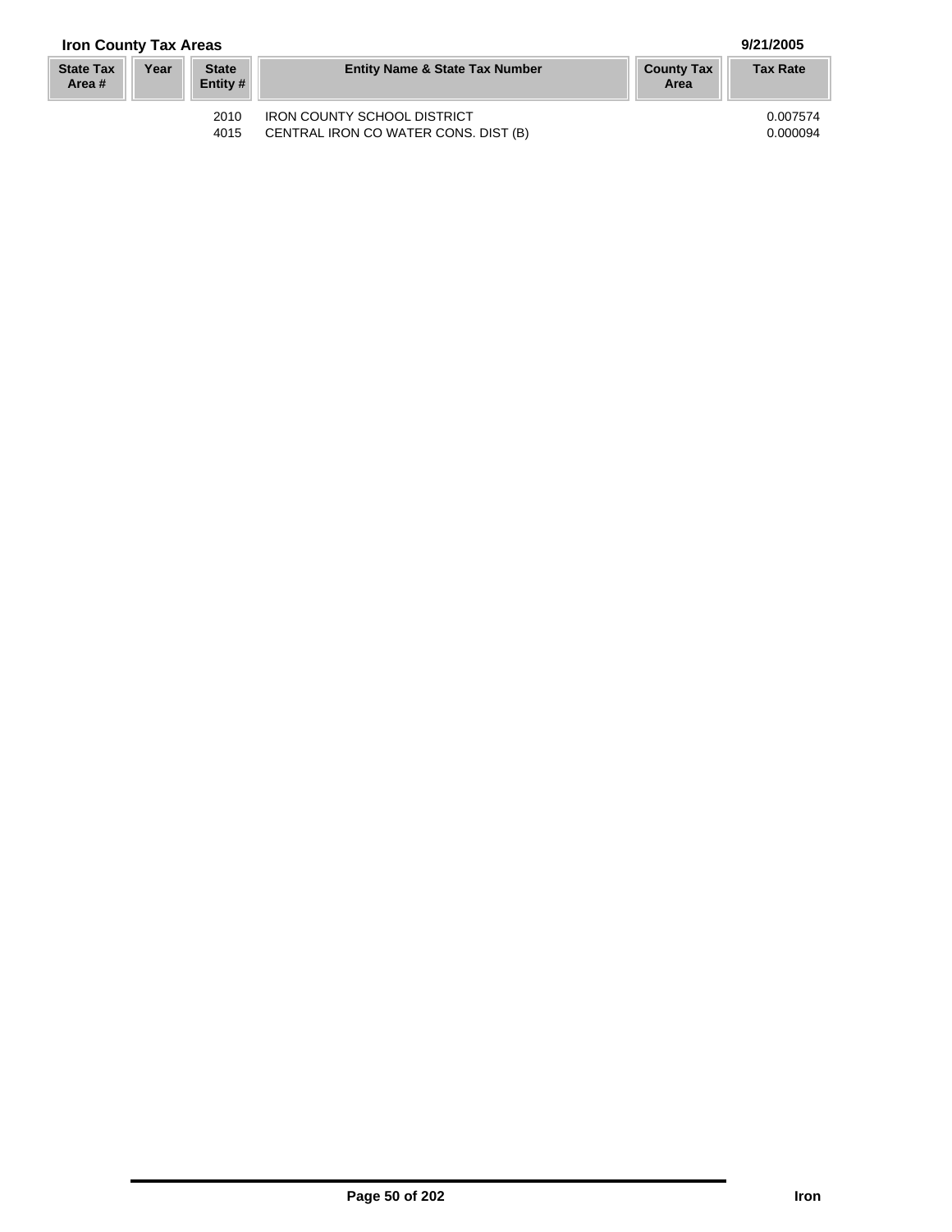## **Iron County Tax Areas 9/21/2005**

| <b>State Tax</b><br>Area # | Year | <b>State</b><br>Entity $#$ | <b>Entity Name &amp; State Tax Number</b> | <b>County Tax</b><br>Area | <b>Tax Rate</b> |
|----------------------------|------|----------------------------|-------------------------------------------|---------------------------|-----------------|
|                            |      | 2010                       | <b>IRON COUNTY SCHOOL DISTRICT</b>        |                           | 0.007574        |
|                            |      | 4015                       | CENTRAL IRON CO WATER CONS. DIST (B)      |                           | 0.000094        |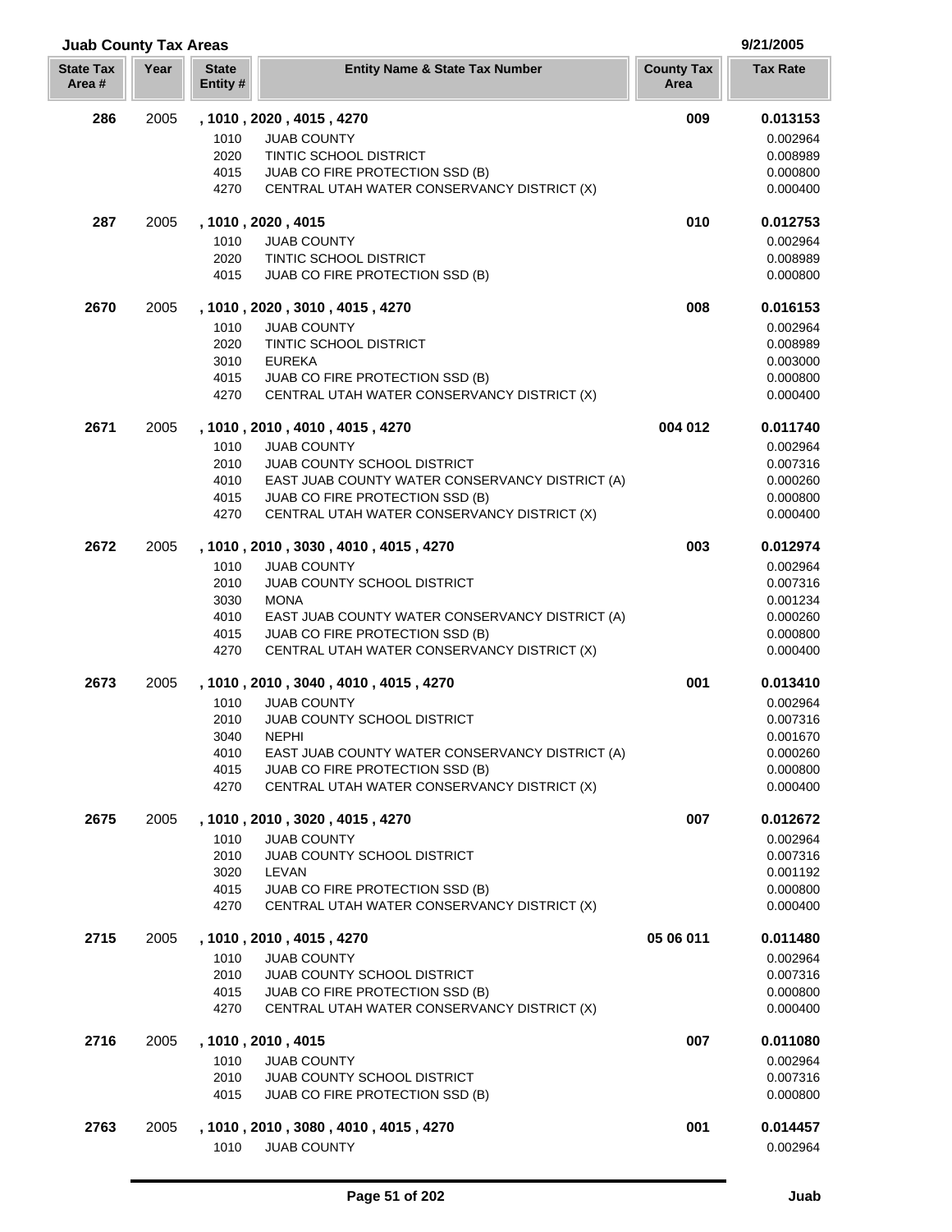| <b>State Tax</b><br>Area# | Year | <b>State</b><br>Entity # | <b>Entity Name &amp; State Tax Number</b>                                          | <b>County Tax</b><br>Area | <b>Tax Rate</b>      |
|---------------------------|------|--------------------------|------------------------------------------------------------------------------------|---------------------------|----------------------|
| 286                       | 2005 |                          | , 1010, 2020, 4015, 4270                                                           | 009                       | 0.013153             |
|                           |      | 1010                     | <b>JUAB COUNTY</b>                                                                 |                           | 0.002964             |
|                           |      | 2020                     | <b>TINTIC SCHOOL DISTRICT</b>                                                      |                           | 0.008989             |
|                           |      | 4015                     | JUAB CO FIRE PROTECTION SSD (B)                                                    |                           | 0.000800             |
|                           |      | 4270                     | CENTRAL UTAH WATER CONSERVANCY DISTRICT (X)                                        |                           | 0.000400             |
| 287                       | 2005 |                          | , 1010, 2020, 4015                                                                 | 010                       | 0.012753             |
|                           |      | 1010                     | <b>JUAB COUNTY</b>                                                                 |                           | 0.002964             |
|                           |      | 2020                     | <b>TINTIC SCHOOL DISTRICT</b>                                                      |                           | 0.008989             |
|                           |      | 4015                     | JUAB CO FIRE PROTECTION SSD (B)                                                    |                           | 0.000800             |
| 2670                      | 2005 |                          | , 1010 , 2020 , 3010 , 4015 , 4270                                                 | 008                       | 0.016153             |
|                           |      | 1010<br>2020             | <b>JUAB COUNTY</b><br>TINTIC SCHOOL DISTRICT                                       |                           | 0.002964             |
|                           |      | 3010                     | <b>EUREKA</b>                                                                      |                           | 0.008989<br>0.003000 |
|                           |      | 4015                     | JUAB CO FIRE PROTECTION SSD (B)                                                    |                           | 0.000800             |
|                           |      | 4270                     | CENTRAL UTAH WATER CONSERVANCY DISTRICT (X)                                        |                           | 0.000400             |
| 2671                      | 2005 |                          | , 1010, 2010, 4010, 4015, 4270                                                     | 004 012                   | 0.011740             |
|                           |      | 1010                     | <b>JUAB COUNTY</b>                                                                 |                           | 0.002964             |
|                           |      | 2010                     | <b>JUAB COUNTY SCHOOL DISTRICT</b>                                                 |                           | 0.007316             |
|                           |      | 4010                     | EAST JUAB COUNTY WATER CONSERVANCY DISTRICT (A)                                    |                           | 0.000260             |
|                           |      | 4015                     | JUAB CO FIRE PROTECTION SSD (B)                                                    |                           | 0.000800             |
|                           |      | 4270                     | CENTRAL UTAH WATER CONSERVANCY DISTRICT (X)                                        |                           | 0.000400             |
| 2672                      | 2005 |                          | , 1010, 2010, 3030, 4010, 4015, 4270                                               | 003                       | 0.012974             |
|                           |      | 1010                     | <b>JUAB COUNTY</b>                                                                 |                           | 0.002964             |
|                           |      | 2010                     | JUAB COUNTY SCHOOL DISTRICT                                                        |                           | 0.007316             |
|                           |      | 3030                     | <b>MONA</b>                                                                        |                           | 0.001234             |
|                           |      | 4010<br>4015             | EAST JUAB COUNTY WATER CONSERVANCY DISTRICT (A)<br>JUAB CO FIRE PROTECTION SSD (B) |                           | 0.000260<br>0.000800 |
|                           |      | 4270                     | CENTRAL UTAH WATER CONSERVANCY DISTRICT (X)                                        |                           | 0.000400             |
| 2673                      | 2005 |                          | , 1010, 2010, 3040, 4010, 4015, 4270                                               | 001                       | 0.013410             |
|                           |      | 1010                     | <b>JUAB COUNTY</b>                                                                 |                           | 0.002964             |
|                           |      | 2010                     | JUAB COUNTY SCHOOL DISTRICT                                                        |                           | 0.007316             |
|                           |      | 3040                     | <b>NEPHI</b>                                                                       |                           | 0.001670             |
|                           |      | 4010                     | EAST JUAB COUNTY WATER CONSERVANCY DISTRICT (A)                                    |                           | 0.000260             |
|                           |      | 4015                     | JUAB CO FIRE PROTECTION SSD (B)                                                    |                           | 0.000800             |
|                           |      | 4270                     | CENTRAL UTAH WATER CONSERVANCY DISTRICT (X)                                        |                           | 0.000400             |
| 2675                      | 2005 |                          | , 1010 , 2010 , 3020 , 4015 , 4270                                                 | 007                       | 0.012672             |
|                           |      | 1010                     | <b>JUAB COUNTY</b>                                                                 |                           | 0.002964             |
|                           |      | 2010                     | JUAB COUNTY SCHOOL DISTRICT                                                        |                           | 0.007316             |
|                           |      | 3020                     | LEVAN                                                                              |                           | 0.001192             |
|                           |      | 4015<br>4270             | JUAB CO FIRE PROTECTION SSD (B)<br>CENTRAL UTAH WATER CONSERVANCY DISTRICT (X)     |                           | 0.000800<br>0.000400 |
| 2715                      | 2005 |                          | , 1010, 2010, 4015, 4270                                                           | 05 06 011                 | 0.011480             |
|                           |      | 1010                     | <b>JUAB COUNTY</b>                                                                 |                           | 0.002964             |
|                           |      | 2010                     | JUAB COUNTY SCHOOL DISTRICT                                                        |                           | 0.007316             |
|                           |      | 4015                     | JUAB CO FIRE PROTECTION SSD (B)                                                    |                           | 0.000800             |
|                           |      | 4270                     | CENTRAL UTAH WATER CONSERVANCY DISTRICT (X)                                        |                           | 0.000400             |
| 2716                      | 2005 |                          | , 1010, 2010, 4015                                                                 | 007                       | 0.011080             |
|                           |      | 1010                     | <b>JUAB COUNTY</b>                                                                 |                           | 0.002964             |
|                           |      | 2010                     | <b>JUAB COUNTY SCHOOL DISTRICT</b>                                                 |                           | 0.007316             |
|                           |      | 4015                     | JUAB CO FIRE PROTECTION SSD (B)                                                    |                           | 0.000800             |
| 2763                      | 2005 |                          | , 1010, 2010, 3080, 4010, 4015, 4270                                               | 001                       | 0.014457             |
|                           |      | 1010                     | <b>JUAB COUNTY</b>                                                                 |                           | 0.002964             |

**Juab County Tax Areas 9/21/2005**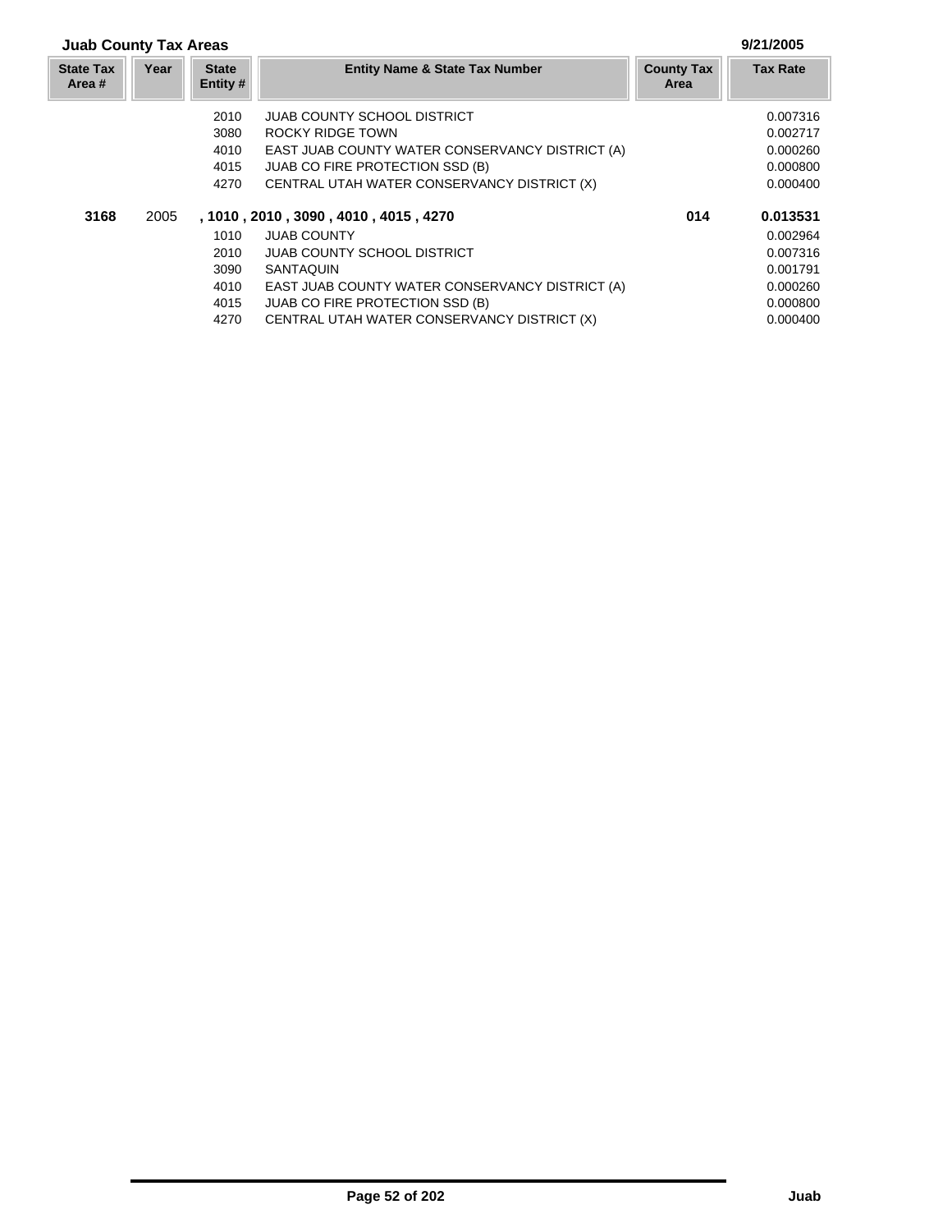## **Juab County Tax Areas 9/21/2005**

| <b>State Tax</b><br>Area # | Year | <b>State</b><br>Entity # | <b>Entity Name &amp; State Tax Number</b>       | <b>County Tax</b><br>Area | <b>Tax Rate</b> |
|----------------------------|------|--------------------------|-------------------------------------------------|---------------------------|-----------------|
|                            |      | 2010                     | <b>JUAB COUNTY SCHOOL DISTRICT</b>              |                           | 0.007316        |
|                            |      | 3080                     | ROCKY RIDGE TOWN                                |                           | 0.002717        |
|                            |      | 4010                     | EAST JUAB COUNTY WATER CONSERVANCY DISTRICT (A) |                           | 0.000260        |
|                            |      | 4015                     | <b>JUAB CO FIRE PROTECTION SSD (B)</b>          |                           | 0.000800        |
|                            |      | 4270                     | CENTRAL UTAH WATER CONSERVANCY DISTRICT (X)     |                           | 0.000400        |
| 3168                       | 2005 |                          | , 1010 , 2010 , 3090 , 4010 , 4015 , 4270       | 014                       | 0.013531        |
|                            |      | 1010                     | <b>JUAB COUNTY</b>                              |                           | 0.002964        |
|                            |      | 2010                     | <b>JUAB COUNTY SCHOOL DISTRICT</b>              |                           | 0.007316        |
|                            |      | 3090                     | <b>SANTAQUIN</b>                                |                           | 0.001791        |
|                            |      | 4010                     | EAST JUAB COUNTY WATER CONSERVANCY DISTRICT (A) |                           | 0.000260        |
|                            |      | 4015                     | <b>JUAB CO FIRE PROTECTION SSD (B)</b>          |                           | 0.000800        |
|                            |      | 4270                     | CENTRAL UTAH WATER CONSERVANCY DISTRICT (X)     |                           | 0.000400        |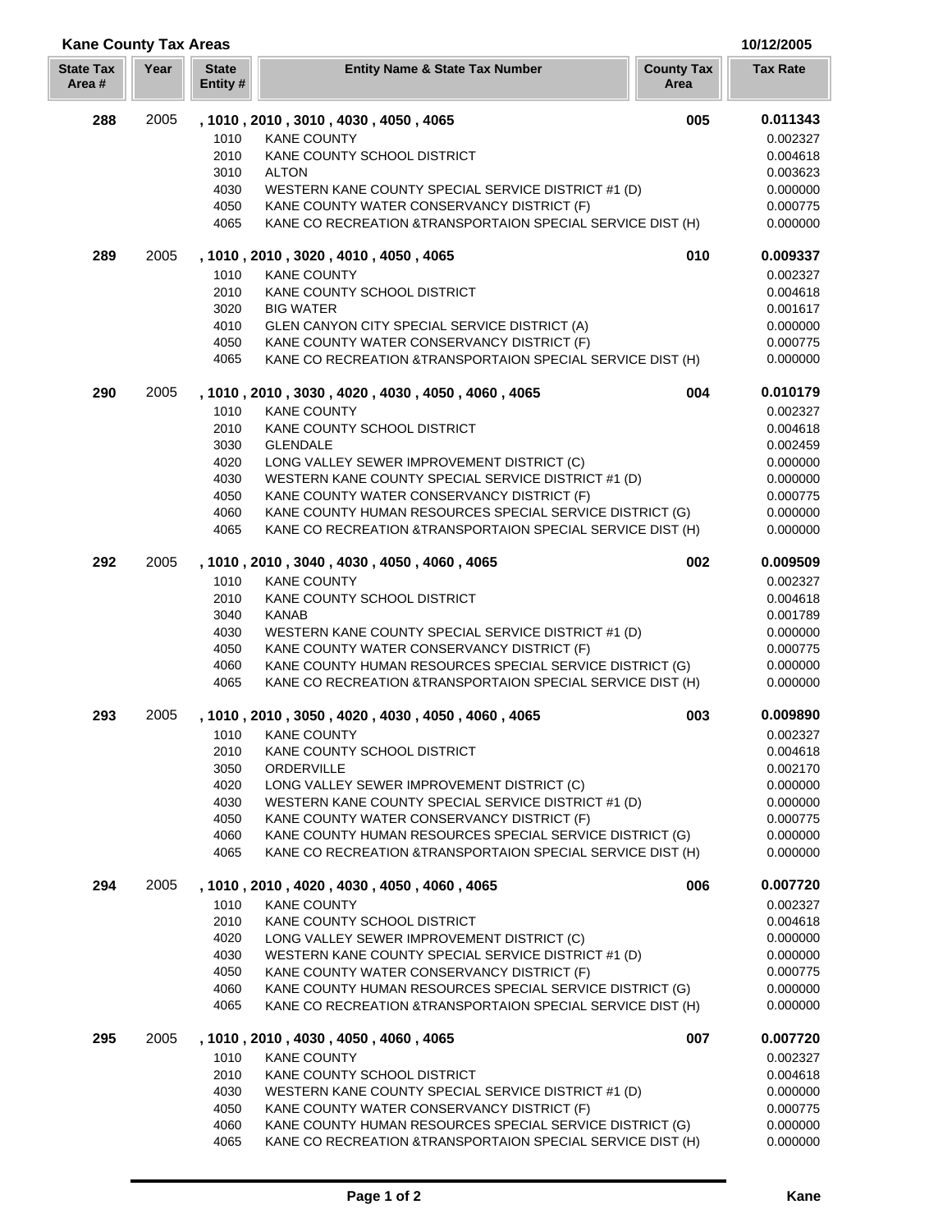# **Kane County Tax Areas 10/12/2005**

| <b>State Tax</b><br>Area# | Year | <b>State</b><br>Entity # | <b>Entity Name &amp; State Tax Number</b>                                                                               | <b>County Tax</b><br>Area | <b>Tax Rate</b>      |
|---------------------------|------|--------------------------|-------------------------------------------------------------------------------------------------------------------------|---------------------------|----------------------|
| 288                       | 2005 |                          | , 1010, 2010, 3010, 4030, 4050, 4065                                                                                    | 005                       | 0.011343             |
|                           |      | 1010                     | <b>KANE COUNTY</b>                                                                                                      |                           | 0.002327             |
|                           |      | 2010                     | KANE COUNTY SCHOOL DISTRICT                                                                                             |                           | 0.004618             |
|                           |      | 3010                     | <b>ALTON</b>                                                                                                            |                           | 0.003623             |
|                           |      | 4030                     | WESTERN KANE COUNTY SPECIAL SERVICE DISTRICT #1 (D)                                                                     |                           | 0.000000             |
|                           |      | 4050                     | KANE COUNTY WATER CONSERVANCY DISTRICT (F)                                                                              |                           | 0.000775             |
|                           |      | 4065                     | KANE CO RECREATION & TRANSPORTAION SPECIAL SERVICE DIST (H)                                                             |                           | 0.000000             |
| 289                       | 2005 |                          | , 1010, 2010, 3020, 4010, 4050, 4065                                                                                    | 010                       | 0.009337             |
|                           |      | 1010                     | <b>KANE COUNTY</b>                                                                                                      |                           | 0.002327             |
|                           |      | 2010                     | KANE COUNTY SCHOOL DISTRICT                                                                                             |                           | 0.004618             |
|                           |      | 3020                     | <b>BIG WATER</b>                                                                                                        |                           | 0.001617             |
|                           |      | 4010                     | GLEN CANYON CITY SPECIAL SERVICE DISTRICT (A)                                                                           |                           | 0.000000             |
|                           |      | 4050                     | KANE COUNTY WATER CONSERVANCY DISTRICT (F)                                                                              |                           | 0.000775             |
|                           |      | 4065                     | KANE CO RECREATION & TRANSPORTAION SPECIAL SERVICE DIST (H)                                                             |                           | 0.000000             |
| 290                       | 2005 |                          | , 1010, 2010, 3030, 4020, 4030, 4050, 4060, 4065                                                                        | 004                       | 0.010179             |
|                           |      | 1010                     | <b>KANE COUNTY</b>                                                                                                      |                           | 0.002327             |
|                           |      | 2010                     | KANE COUNTY SCHOOL DISTRICT                                                                                             |                           | 0.004618             |
|                           |      | 3030                     | <b>GLENDALE</b>                                                                                                         |                           | 0.002459             |
|                           |      | 4020<br>4030             | LONG VALLEY SEWER IMPROVEMENT DISTRICT (C)<br>WESTERN KANE COUNTY SPECIAL SERVICE DISTRICT #1 (D)                       |                           | 0.000000             |
|                           |      | 4050                     | KANE COUNTY WATER CONSERVANCY DISTRICT (F)                                                                              |                           | 0.000000<br>0.000775 |
|                           |      | 4060                     | KANE COUNTY HUMAN RESOURCES SPECIAL SERVICE DISTRICT (G)                                                                |                           | 0.000000             |
|                           |      | 4065                     | KANE CO RECREATION & TRANSPORTAION SPECIAL SERVICE DIST (H)                                                             |                           | 0.000000             |
| 292                       | 2005 |                          | , 1010, 2010, 3040, 4030, 4050, 4060, 4065                                                                              | 002                       | 0.009509             |
|                           |      | 1010                     | <b>KANE COUNTY</b>                                                                                                      |                           | 0.002327             |
|                           |      | 2010                     | KANE COUNTY SCHOOL DISTRICT                                                                                             |                           | 0.004618             |
|                           |      | 3040                     | <b>KANAB</b>                                                                                                            |                           | 0.001789             |
|                           |      | 4030                     | WESTERN KANE COUNTY SPECIAL SERVICE DISTRICT #1 (D)                                                                     |                           | 0.000000             |
|                           |      | 4050                     | KANE COUNTY WATER CONSERVANCY DISTRICT (F)                                                                              |                           | 0.000775             |
|                           |      | 4060                     | KANE COUNTY HUMAN RESOURCES SPECIAL SERVICE DISTRICT (G)                                                                |                           | 0.000000             |
|                           |      | 4065                     | KANE CO RECREATION &TRANSPORTAION SPECIAL SERVICE DIST (H)                                                              |                           | 0.000000             |
| 293                       | 2005 |                          | , 1010, 2010, 3050, 4020, 4030, 4050, 4060, 4065                                                                        | 003                       | 0.009890             |
|                           |      | 1010                     | <b>KANE COUNTY</b>                                                                                                      |                           | 0.002327             |
|                           |      | 2010                     | KANE COUNTY SCHOOL DISTRICT                                                                                             |                           | 0.004618             |
|                           |      | 3050                     | ORDERVILLE                                                                                                              |                           | 0.002170             |
|                           |      | 4020                     | LONG VALLEY SEWER IMPROVEMENT DISTRICT (C)                                                                              |                           | 0.000000             |
|                           |      | 4030                     | WESTERN KANE COUNTY SPECIAL SERVICE DISTRICT #1 (D)                                                                     |                           | 0.000000             |
|                           |      | 4050                     | KANE COUNTY WATER CONSERVANCY DISTRICT (F)                                                                              |                           | 0.000775             |
|                           |      | 4060<br>4065             | KANE COUNTY HUMAN RESOURCES SPECIAL SERVICE DISTRICT (G)<br>KANE CO RECREATION & TRANSPORTAION SPECIAL SERVICE DIST (H) |                           | 0.000000<br>0.000000 |
|                           |      |                          |                                                                                                                         |                           |                      |
| 294                       | 2005 |                          | , 1010, 2010, 4020, 4030, 4050, 4060, 4065                                                                              | 006                       | 0.007720             |
|                           |      | 1010                     | <b>KANE COUNTY</b>                                                                                                      |                           | 0.002327             |
|                           |      | 2010<br>4020             | KANE COUNTY SCHOOL DISTRICT<br>LONG VALLEY SEWER IMPROVEMENT DISTRICT (C)                                               |                           | 0.004618<br>0.000000 |
|                           |      | 4030                     | WESTERN KANE COUNTY SPECIAL SERVICE DISTRICT #1 (D)                                                                     |                           | 0.000000             |
|                           |      | 4050                     | KANE COUNTY WATER CONSERVANCY DISTRICT (F)                                                                              |                           | 0.000775             |
|                           |      | 4060                     | KANE COUNTY HUMAN RESOURCES SPECIAL SERVICE DISTRICT (G)                                                                |                           | 0.000000             |
|                           |      | 4065                     | KANE CO RECREATION & TRANSPORTAION SPECIAL SERVICE DIST (H)                                                             |                           | 0.000000             |
| 295                       | 2005 |                          | , 1010, 2010, 4030, 4050, 4060, 4065                                                                                    | 007                       | 0.007720             |
|                           |      | 1010                     | <b>KANE COUNTY</b>                                                                                                      |                           | 0.002327             |
|                           |      | 2010                     | KANE COUNTY SCHOOL DISTRICT                                                                                             |                           | 0.004618             |
|                           |      | 4030                     | WESTERN KANE COUNTY SPECIAL SERVICE DISTRICT #1 (D)                                                                     |                           | 0.000000             |
|                           |      | 4050                     | KANE COUNTY WATER CONSERVANCY DISTRICT (F)                                                                              |                           | 0.000775             |
|                           |      | 4060                     | KANE COUNTY HUMAN RESOURCES SPECIAL SERVICE DISTRICT (G)                                                                |                           | 0.000000             |
|                           |      | 4065                     | KANE CO RECREATION & TRANSPORTAION SPECIAL SERVICE DIST (H)                                                             |                           | 0.000000             |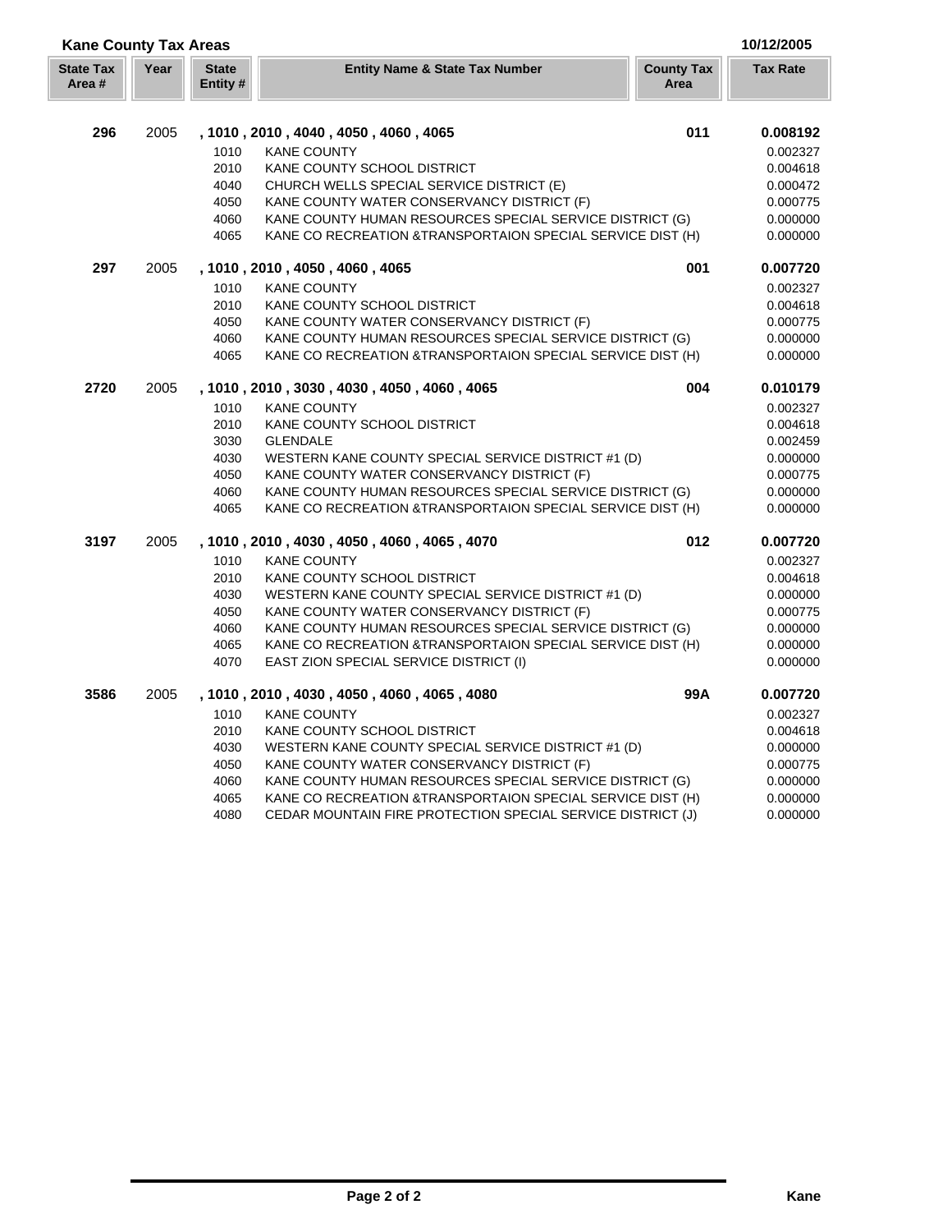| <b>Kane County Tax Areas</b> |      |                          |                                                             |                           | 10/12/2005      |
|------------------------------|------|--------------------------|-------------------------------------------------------------|---------------------------|-----------------|
| <b>State Tax</b><br>Area#    | Year | <b>State</b><br>Entity # | <b>Entity Name &amp; State Tax Number</b>                   | <b>County Tax</b><br>Area | <b>Tax Rate</b> |
| 296                          | 2005 |                          | , 1010 , 2010 , 4040 , 4050 , 4060 , 4065                   | 011                       | 0.008192        |
|                              |      | 1010                     | <b>KANE COUNTY</b>                                          |                           | 0.002327        |
|                              |      | 2010                     | KANE COUNTY SCHOOL DISTRICT                                 |                           | 0.004618        |
|                              |      | 4040                     | CHURCH WELLS SPECIAL SERVICE DISTRICT (E)                   |                           | 0.000472        |
|                              |      | 4050                     | KANE COUNTY WATER CONSERVANCY DISTRICT (F)                  |                           | 0.000775        |
|                              |      | 4060                     | KANE COUNTY HUMAN RESOURCES SPECIAL SERVICE DISTRICT (G)    |                           | 0.000000        |
|                              |      | 4065                     | KANE CO RECREATION & TRANSPORTAION SPECIAL SERVICE DIST (H) |                           | 0.000000        |
| 297                          | 2005 |                          | , 1010, 2010, 4050, 4060, 4065                              | 001                       | 0.007720        |
|                              |      | 1010                     | <b>KANE COUNTY</b>                                          |                           | 0.002327        |
|                              |      | 2010                     | KANE COUNTY SCHOOL DISTRICT                                 |                           | 0.004618        |
|                              |      | 4050                     | KANE COUNTY WATER CONSERVANCY DISTRICT (F)                  |                           | 0.000775        |
|                              |      | 4060                     | KANE COUNTY HUMAN RESOURCES SPECIAL SERVICE DISTRICT (G)    |                           | 0.000000        |
|                              |      | 4065                     | KANE CO RECREATION & TRANSPORTAION SPECIAL SERVICE DIST (H) |                           | 0.000000        |
| 2720                         | 2005 |                          | , 1010, 2010, 3030, 4030, 4050, 4060, 4065                  | 004                       | 0.010179        |
|                              |      | 1010                     | <b>KANE COUNTY</b>                                          |                           | 0.002327        |
|                              |      | 2010                     | KANE COUNTY SCHOOL DISTRICT                                 |                           | 0.004618        |
|                              |      | 3030                     | <b>GLENDALE</b>                                             |                           | 0.002459        |
|                              |      | 4030                     | WESTERN KANE COUNTY SPECIAL SERVICE DISTRICT #1 (D)         |                           | 0.000000        |
|                              |      | 4050                     | KANE COUNTY WATER CONSERVANCY DISTRICT (F)                  |                           | 0.000775        |
|                              |      | 4060                     | KANE COUNTY HUMAN RESOURCES SPECIAL SERVICE DISTRICT (G)    |                           | 0.000000        |
|                              |      | 4065                     | KANE CO RECREATION & TRANSPORTAION SPECIAL SERVICE DIST (H) |                           | 0.000000        |
| 3197                         | 2005 |                          | , 1010, 2010, 4030, 4050, 4060, 4065, 4070                  | 012                       | 0.007720        |
|                              |      | 1010                     | <b>KANE COUNTY</b>                                          |                           | 0.002327        |
|                              |      | 2010                     | KANE COUNTY SCHOOL DISTRICT                                 |                           | 0.004618        |
|                              |      | 4030                     | WESTERN KANE COUNTY SPECIAL SERVICE DISTRICT #1 (D)         |                           | 0.000000        |
|                              |      | 4050                     | KANE COUNTY WATER CONSERVANCY DISTRICT (F)                  |                           | 0.000775        |
|                              |      | 4060                     | KANE COUNTY HUMAN RESOURCES SPECIAL SERVICE DISTRICT (G)    |                           | 0.000000        |
|                              |      | 4065                     | KANE CO RECREATION & TRANSPORTAION SPECIAL SERVICE DIST (H) |                           | 0.000000        |
|                              |      | 4070                     | EAST ZION SPECIAL SERVICE DISTRICT (I)                      |                           | 0.000000        |
| 3586                         | 2005 |                          | , 1010, 2010, 4030, 4050, 4060, 4065, 4080                  | 99A                       | 0.007720        |
|                              |      | 1010                     | <b>KANE COUNTY</b>                                          |                           | 0.002327        |
|                              |      | 2010                     | KANE COUNTY SCHOOL DISTRICT                                 |                           | 0.004618        |
|                              |      | 4030                     | WESTERN KANE COUNTY SPECIAL SERVICE DISTRICT #1 (D)         |                           | 0.000000        |
|                              |      | 4050                     | KANE COUNTY WATER CONSERVANCY DISTRICT (F)                  |                           | 0.000775        |
|                              |      | 4060                     | KANE COUNTY HUMAN RESOURCES SPECIAL SERVICE DISTRICT (G)    |                           | 0.000000        |
|                              |      | 4065                     | KANE CO RECREATION & TRANSPORTAION SPECIAL SERVICE DIST (H) |                           | 0.000000        |
|                              |      | 4080                     | CEDAR MOUNTAIN FIRE PROTECTION SPECIAL SERVICE DISTRICT (J) |                           | 0.000000        |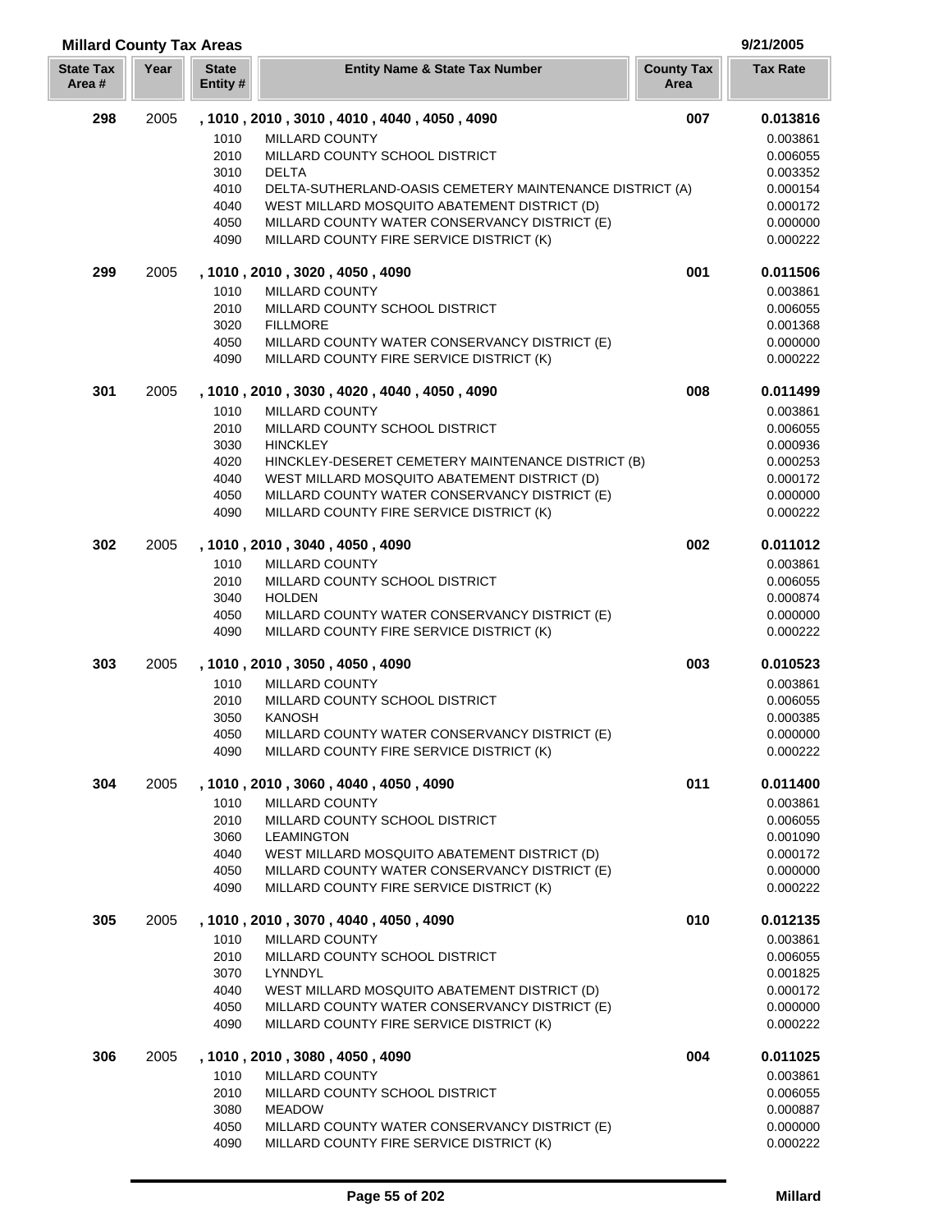# **Millard County Tax Areas 9/21/2005**

| <b>State Tax</b><br>Area # | Year | <b>State</b><br>Entity # | <b>Entity Name &amp; State Tax Number</b>                                                 | <b>County Tax</b><br>Area | <b>Tax Rate</b>      |
|----------------------------|------|--------------------------|-------------------------------------------------------------------------------------------|---------------------------|----------------------|
| 298                        | 2005 |                          | , 1010 , 2010 , 3010 , 4010 , 4040 , 4050 , 4090                                          | 007                       | 0.013816             |
|                            |      | 1010                     | <b>MILLARD COUNTY</b>                                                                     |                           | 0.003861             |
|                            |      | 2010                     | MILLARD COUNTY SCHOOL DISTRICT                                                            |                           | 0.006055             |
|                            |      | 3010                     | <b>DELTA</b>                                                                              |                           | 0.003352             |
|                            |      | 4010                     | DELTA-SUTHERLAND-OASIS CEMETERY MAINTENANCE DISTRICT (A)                                  |                           | 0.000154             |
|                            |      | 4040                     | WEST MILLARD MOSQUITO ABATEMENT DISTRICT (D)                                              |                           | 0.000172             |
|                            |      | 4050<br>4090             | MILLARD COUNTY WATER CONSERVANCY DISTRICT (E)<br>MILLARD COUNTY FIRE SERVICE DISTRICT (K) |                           | 0.000000<br>0.000222 |
| 299                        | 2005 |                          | , 1010 , 2010 , 3020 , 4050 , 4090                                                        | 001                       | 0.011506             |
|                            |      | 1010                     | MILLARD COUNTY                                                                            |                           | 0.003861             |
|                            |      | 2010                     | MILLARD COUNTY SCHOOL DISTRICT                                                            |                           | 0.006055             |
|                            |      | 3020                     | <b>FILLMORE</b>                                                                           |                           | 0.001368             |
|                            |      | 4050                     | MILLARD COUNTY WATER CONSERVANCY DISTRICT (E)                                             |                           | 0.000000             |
|                            |      | 4090                     | MILLARD COUNTY FIRE SERVICE DISTRICT (K)                                                  |                           | 0.000222             |
| 301                        | 2005 |                          | , 1010, 2010, 3030, 4020, 4040, 4050, 4090                                                | 008                       | 0.011499             |
|                            |      | 1010                     | MILLARD COUNTY                                                                            |                           | 0.003861             |
|                            |      | 2010<br>3030             | MILLARD COUNTY SCHOOL DISTRICT<br><b>HINCKLEY</b>                                         |                           | 0.006055<br>0.000936 |
|                            |      | 4020                     | HINCKLEY-DESERET CEMETERY MAINTENANCE DISTRICT (B)                                        |                           | 0.000253             |
|                            |      | 4040                     | WEST MILLARD MOSQUITO ABATEMENT DISTRICT (D)                                              |                           | 0.000172             |
|                            |      | 4050                     | MILLARD COUNTY WATER CONSERVANCY DISTRICT (E)                                             |                           | 0.000000             |
|                            |      | 4090                     | MILLARD COUNTY FIRE SERVICE DISTRICT (K)                                                  |                           | 0.000222             |
| 302                        | 2005 |                          | , 1010, 2010, 3040, 4050, 4090                                                            | 002                       | 0.011012             |
|                            |      | 1010                     | MILLARD COUNTY                                                                            |                           | 0.003861             |
|                            |      | 2010                     | MILLARD COUNTY SCHOOL DISTRICT                                                            |                           | 0.006055             |
|                            |      | 3040                     | <b>HOLDEN</b>                                                                             |                           | 0.000874             |
|                            |      | 4050<br>4090             | MILLARD COUNTY WATER CONSERVANCY DISTRICT (E)<br>MILLARD COUNTY FIRE SERVICE DISTRICT (K) |                           | 0.000000<br>0.000222 |
| 303                        | 2005 |                          | , 1010 , 2010 , 3050 , 4050 , 4090                                                        | 003                       | 0.010523             |
|                            |      | 1010                     | MILLARD COUNTY                                                                            |                           | 0.003861             |
|                            |      | 2010                     | MILLARD COUNTY SCHOOL DISTRICT                                                            |                           | 0.006055             |
|                            |      | 3050                     | <b>KANOSH</b>                                                                             |                           | 0.000385             |
|                            |      | 4050                     | MILLARD COUNTY WATER CONSERVANCY DISTRICT (E)                                             |                           | 0.000000             |
|                            |      | 4090                     | MILLARD COUNTY FIRE SERVICE DISTRICT (K)                                                  |                           | 0.000222             |
| 304                        | 2005 |                          | , 1010, 2010, 3060, 4040, 4050, 4090                                                      | 011                       | 0.011400             |
|                            |      | 1010<br>2010             | MILLARD COUNTY<br>MILLARD COUNTY SCHOOL DISTRICT                                          |                           | 0.003861             |
|                            |      | 3060                     | <b>LEAMINGTON</b>                                                                         |                           | 0.006055<br>0.001090 |
|                            |      | 4040                     | WEST MILLARD MOSQUITO ABATEMENT DISTRICT (D)                                              |                           | 0.000172             |
|                            |      | 4050                     | MILLARD COUNTY WATER CONSERVANCY DISTRICT (E)                                             |                           | 0.000000             |
|                            |      | 4090                     | MILLARD COUNTY FIRE SERVICE DISTRICT (K)                                                  |                           | 0.000222             |
| 305                        | 2005 |                          | , 1010, 2010, 3070, 4040, 4050, 4090                                                      | 010                       | 0.012135             |
|                            |      | 1010                     | <b>MILLARD COUNTY</b>                                                                     |                           | 0.003861             |
|                            |      | 2010                     | MILLARD COUNTY SCHOOL DISTRICT                                                            |                           | 0.006055             |
|                            |      | 3070                     | LYNNDYL                                                                                   |                           | 0.001825             |
|                            |      | 4040                     | WEST MILLARD MOSQUITO ABATEMENT DISTRICT (D)                                              |                           | 0.000172             |
|                            |      | 4050<br>4090             | MILLARD COUNTY WATER CONSERVANCY DISTRICT (E)<br>MILLARD COUNTY FIRE SERVICE DISTRICT (K) |                           | 0.000000<br>0.000222 |
| 306                        | 2005 |                          | , 1010, 2010, 3080, 4050, 4090                                                            | 004                       | 0.011025             |
|                            |      | 1010                     | MILLARD COUNTY                                                                            |                           | 0.003861             |
|                            |      | 2010                     | MILLARD COUNTY SCHOOL DISTRICT                                                            |                           | 0.006055             |
|                            |      | 3080                     | <b>MEADOW</b>                                                                             |                           | 0.000887             |
|                            |      | 4050                     | MILLARD COUNTY WATER CONSERVANCY DISTRICT (E)                                             |                           | 0.000000             |
|                            |      | 4090                     | MILLARD COUNTY FIRE SERVICE DISTRICT (K)                                                  |                           | 0.000222             |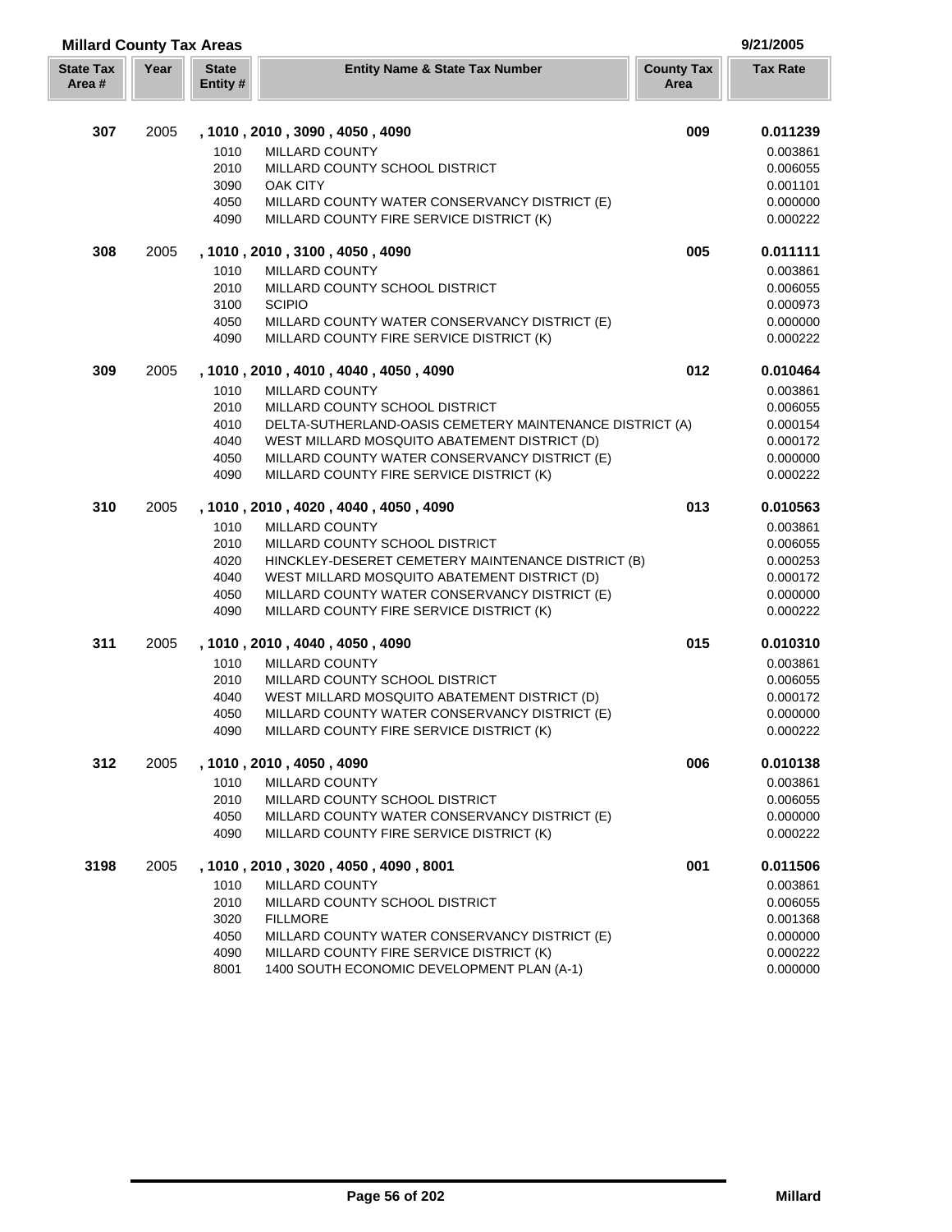| <b>Millard County Tax Areas</b> |      |                          |                                                                                           |                           | 9/21/2005            |
|---------------------------------|------|--------------------------|-------------------------------------------------------------------------------------------|---------------------------|----------------------|
| <b>State Tax</b><br>Area#       | Year | <b>State</b><br>Entity # | <b>Entity Name &amp; State Tax Number</b>                                                 | <b>County Tax</b><br>Area | <b>Tax Rate</b>      |
|                                 |      |                          |                                                                                           |                           |                      |
| 307                             | 2005 |                          | , 1010, 2010, 3090, 4050, 4090                                                            | 009                       | 0.011239             |
|                                 |      | 1010                     | MILLARD COUNTY                                                                            |                           | 0.003861             |
|                                 |      | 2010                     | MILLARD COUNTY SCHOOL DISTRICT                                                            |                           | 0.006055             |
|                                 |      | 3090                     | OAK CITY                                                                                  |                           | 0.001101             |
|                                 |      | 4050<br>4090             | MILLARD COUNTY WATER CONSERVANCY DISTRICT (E)<br>MILLARD COUNTY FIRE SERVICE DISTRICT (K) |                           | 0.000000<br>0.000222 |
| 308                             | 2005 |                          | , 1010, 2010, 3100, 4050, 4090                                                            | 005                       | 0.011111             |
|                                 |      | 1010                     | <b>MILLARD COUNTY</b>                                                                     |                           | 0.003861             |
|                                 |      | 2010                     | MILLARD COUNTY SCHOOL DISTRICT                                                            |                           | 0.006055             |
|                                 |      | 3100                     | <b>SCIPIO</b>                                                                             |                           | 0.000973             |
|                                 |      | 4050                     | MILLARD COUNTY WATER CONSERVANCY DISTRICT (E)                                             |                           | 0.000000             |
|                                 |      | 4090                     | MILLARD COUNTY FIRE SERVICE DISTRICT (K)                                                  |                           | 0.000222             |
| 309                             | 2005 |                          | , 1010, 2010, 4010, 4040, 4050, 4090                                                      | 012                       | 0.010464             |
|                                 |      | 1010                     | <b>MILLARD COUNTY</b>                                                                     |                           | 0.003861             |
|                                 |      | 2010                     | MILLARD COUNTY SCHOOL DISTRICT                                                            |                           | 0.006055             |
|                                 |      | 4010                     | DELTA-SUTHERLAND-OASIS CEMETERY MAINTENANCE DISTRICT (A)                                  |                           | 0.000154             |
|                                 |      | 4040                     | WEST MILLARD MOSQUITO ABATEMENT DISTRICT (D)                                              |                           | 0.000172             |
|                                 |      | 4050                     | MILLARD COUNTY WATER CONSERVANCY DISTRICT (E)                                             |                           | 0.000000             |
|                                 |      | 4090                     | MILLARD COUNTY FIRE SERVICE DISTRICT (K)                                                  |                           | 0.000222             |
| 310                             | 2005 |                          | , 1010, 2010, 4020, 4040, 4050, 4090                                                      | 013                       | 0.010563             |
|                                 |      | 1010                     | MILLARD COUNTY                                                                            |                           | 0.003861             |
|                                 |      | 2010                     | MILLARD COUNTY SCHOOL DISTRICT                                                            |                           | 0.006055             |
|                                 |      | 4020                     | HINCKLEY-DESERET CEMETERY MAINTENANCE DISTRICT (B)                                        |                           | 0.000253             |
|                                 |      | 4040                     | WEST MILLARD MOSQUITO ABATEMENT DISTRICT (D)                                              |                           | 0.000172             |
|                                 |      | 4050                     | MILLARD COUNTY WATER CONSERVANCY DISTRICT (E)                                             |                           | 0.000000             |
|                                 |      | 4090                     | MILLARD COUNTY FIRE SERVICE DISTRICT (K)                                                  |                           | 0.000222             |
| 311                             | 2005 |                          | , 1010, 2010, 4040, 4050, 4090                                                            | 015                       | 0.010310             |
|                                 |      | 1010                     | <b>MILLARD COUNTY</b>                                                                     |                           | 0.003861             |
|                                 |      | 2010                     | MILLARD COUNTY SCHOOL DISTRICT                                                            |                           | 0.006055             |
|                                 |      | 4040<br>4050             | WEST MILLARD MOSQUITO ABATEMENT DISTRICT (D)                                              |                           | 0.000172             |
|                                 |      | 4090                     | MILLARD COUNTY WATER CONSERVANCY DISTRICT (E)<br>MILLARD COUNTY FIRE SERVICE DISTRICT (K) |                           | 0.000000<br>0.000222 |
| 312                             | 2005 |                          | , 1010, 2010, 4050, 4090                                                                  | 006                       | 0.010138             |
|                                 |      | 1010                     | <b>MILLARD COUNTY</b>                                                                     |                           | 0.003861             |
|                                 |      | 2010                     | MILLARD COUNTY SCHOOL DISTRICT                                                            |                           | 0.006055             |
|                                 |      | 4050                     | MILLARD COUNTY WATER CONSERVANCY DISTRICT (E)                                             |                           | 0.000000             |
|                                 |      | 4090                     | MILLARD COUNTY FIRE SERVICE DISTRICT (K)                                                  |                           | 0.000222             |
| 3198                            | 2005 |                          | , 1010 , 2010 , 3020 , 4050 , 4090 , 8001                                                 | 001                       | 0.011506             |
|                                 |      | 1010                     | <b>MILLARD COUNTY</b>                                                                     |                           | 0.003861             |
|                                 |      | 2010                     | MILLARD COUNTY SCHOOL DISTRICT                                                            |                           | 0.006055             |
|                                 |      | 3020                     | <b>FILLMORE</b>                                                                           |                           | 0.001368             |
|                                 |      | 4050                     | MILLARD COUNTY WATER CONSERVANCY DISTRICT (E)                                             |                           | 0.000000             |
|                                 |      | 4090                     | MILLARD COUNTY FIRE SERVICE DISTRICT (K)                                                  |                           | 0.000222             |
|                                 |      | 8001                     | 1400 SOUTH ECONOMIC DEVELOPMENT PLAN (A-1)                                                |                           | 0.000000             |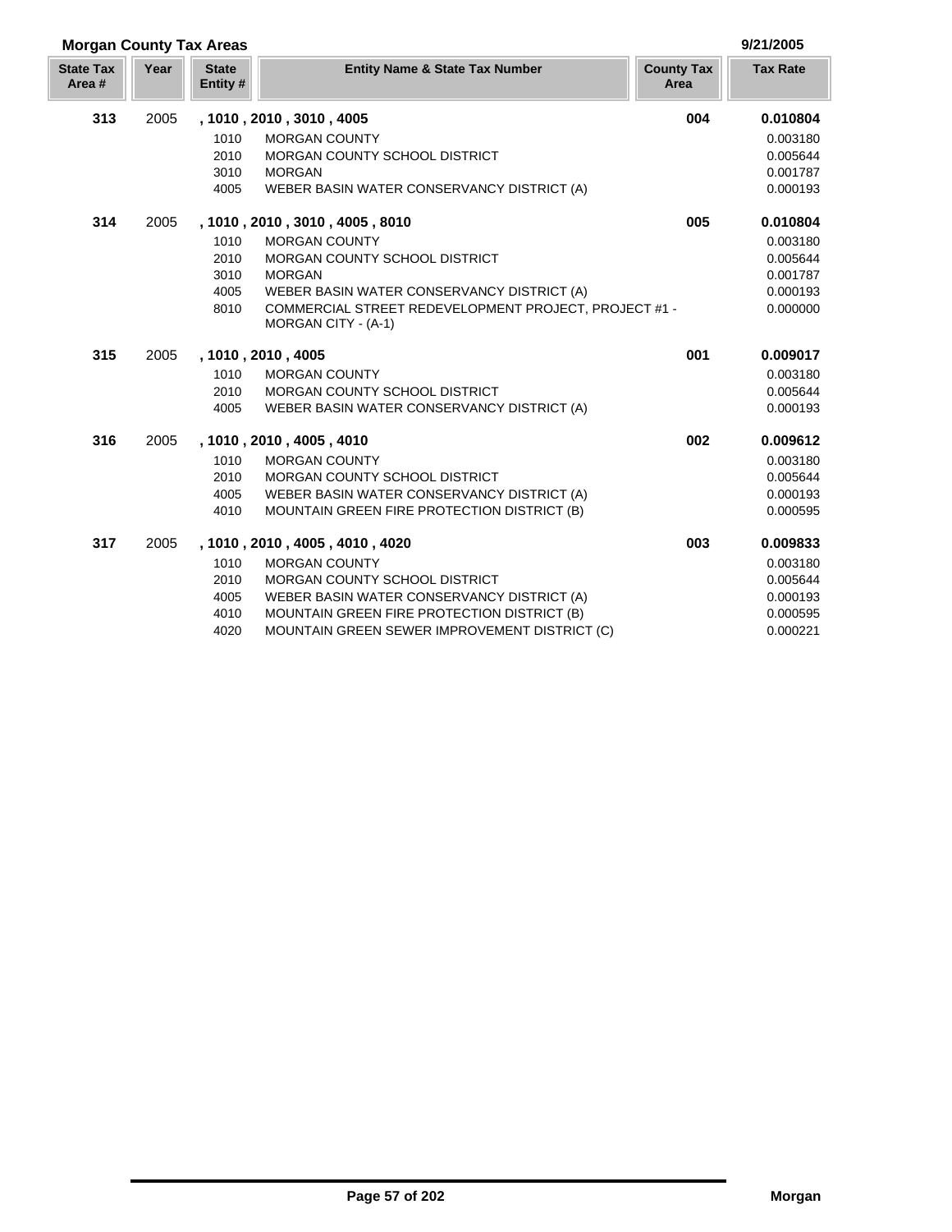| 9/21/2005 |  |
|-----------|--|

| <b>Morgan County Tax Areas</b> |      |                          |                                                                              |                           | 9/21/2005       |
|--------------------------------|------|--------------------------|------------------------------------------------------------------------------|---------------------------|-----------------|
| <b>State Tax</b><br>Area#      | Year | <b>State</b><br>Entity # | <b>Entity Name &amp; State Tax Number</b>                                    | <b>County Tax</b><br>Area | <b>Tax Rate</b> |
| 313                            | 2005 |                          | , 1010, 2010, 3010, 4005                                                     | 004                       | 0.010804        |
|                                |      | 1010                     | <b>MORGAN COUNTY</b>                                                         |                           | 0.003180        |
|                                |      | 2010                     | MORGAN COUNTY SCHOOL DISTRICT                                                |                           | 0.005644        |
|                                |      | 3010                     | <b>MORGAN</b>                                                                |                           | 0.001787        |
|                                |      | 4005                     | WEBER BASIN WATER CONSERVANCY DISTRICT (A)                                   |                           | 0.000193        |
| 314                            | 2005 |                          | , 1010 , 2010 , 3010 , 4005 , 8010                                           | 005                       | 0.010804        |
|                                |      | 1010                     | <b>MORGAN COUNTY</b>                                                         |                           | 0.003180        |
|                                |      | 2010                     | <b>MORGAN COUNTY SCHOOL DISTRICT</b>                                         |                           | 0.005644        |
|                                |      | 3010                     | <b>MORGAN</b>                                                                |                           | 0.001787        |
|                                |      | 4005                     | WEBER BASIN WATER CONSERVANCY DISTRICT (A)                                   |                           | 0.000193        |
|                                |      | 8010                     | COMMERCIAL STREET REDEVELOPMENT PROJECT, PROJECT #1 -<br>MORGAN CITY - (A-1) |                           | 0.000000        |
| 315                            | 2005 |                          | , 1010, 2010, 4005                                                           | 001                       | 0.009017        |
|                                |      | 1010                     | <b>MORGAN COUNTY</b>                                                         |                           | 0.003180        |
|                                |      | 2010                     | MORGAN COUNTY SCHOOL DISTRICT                                                |                           | 0.005644        |
|                                |      | 4005                     | WEBER BASIN WATER CONSERVANCY DISTRICT (A)                                   |                           | 0.000193        |
| 316                            | 2005 |                          | , 1010, 2010, 4005, 4010                                                     | 002                       | 0.009612        |
|                                |      | 1010                     | <b>MORGAN COUNTY</b>                                                         |                           | 0.003180        |
|                                |      | 2010                     | MORGAN COUNTY SCHOOL DISTRICT                                                |                           | 0.005644        |
|                                |      | 4005                     | WEBER BASIN WATER CONSERVANCY DISTRICT (A)                                   |                           | 0.000193        |
|                                |      | 4010                     | MOUNTAIN GREEN FIRE PROTECTION DISTRICT (B)                                  |                           | 0.000595        |
| 317                            | 2005 |                          | , 1010 , 2010 , 4005 , 4010 , 4020                                           | 003                       | 0.009833        |
|                                |      | 1010                     | <b>MORGAN COUNTY</b>                                                         |                           | 0.003180        |
|                                |      | 2010                     | MORGAN COUNTY SCHOOL DISTRICT                                                |                           | 0.005644        |
|                                |      | 4005                     | WEBER BASIN WATER CONSERVANCY DISTRICT (A)                                   |                           | 0.000193        |
|                                |      | 4010                     | MOUNTAIN GREEN FIRE PROTECTION DISTRICT (B)                                  |                           | 0.000595        |
|                                |      | 4020                     | MOUNTAIN GREEN SEWER IMPROVEMENT DISTRICT (C)                                |                           | 0.000221        |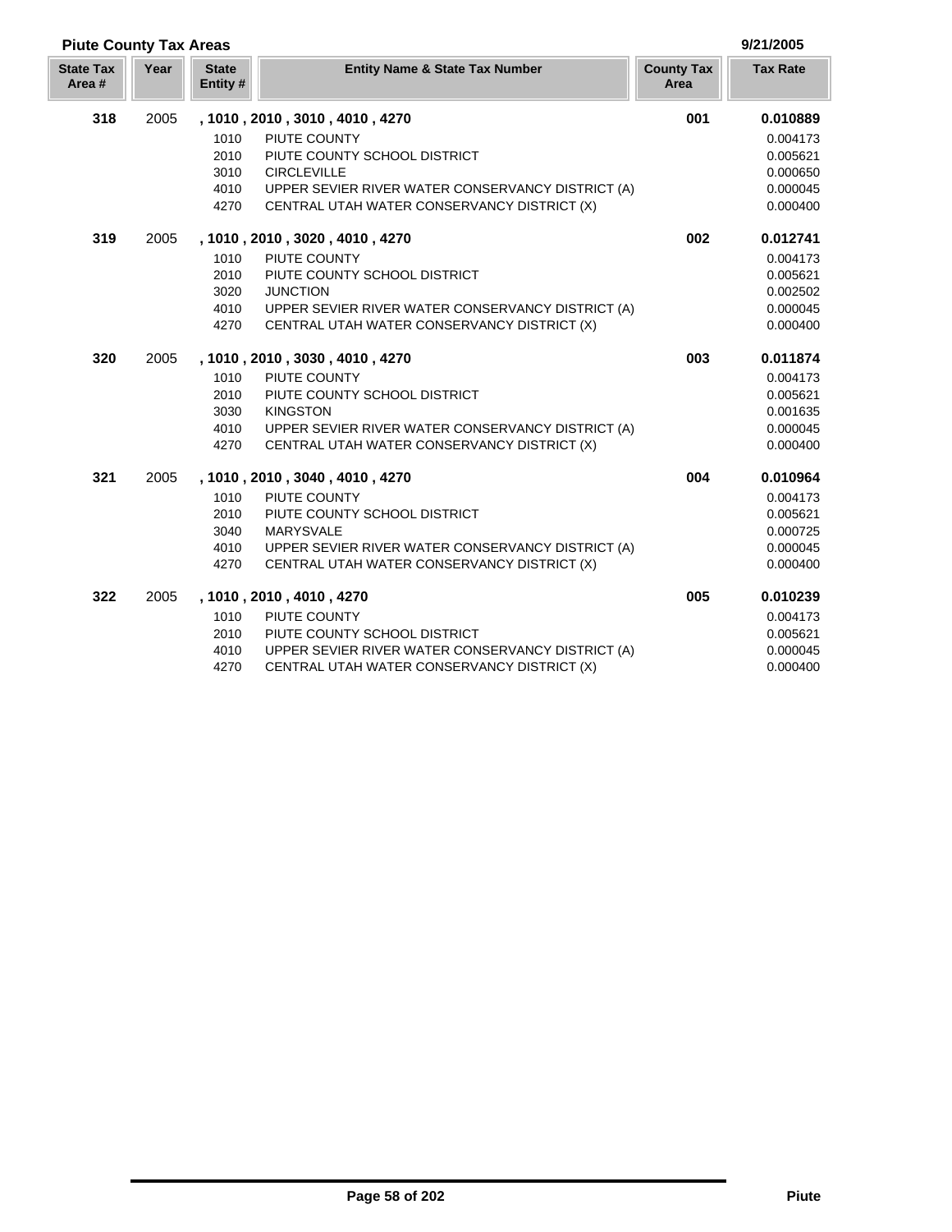| <b>Piute County Tax Areas</b> |      |                          |                                                   |                           | 9/21/2005       |
|-------------------------------|------|--------------------------|---------------------------------------------------|---------------------------|-----------------|
| <b>State Tax</b><br>Area#     | Year | <b>State</b><br>Entity # | <b>Entity Name &amp; State Tax Number</b>         | <b>County Tax</b><br>Area | <b>Tax Rate</b> |
| 318                           | 2005 |                          | , 1010, 2010, 3010, 4010, 4270                    | 001                       | 0.010889        |
|                               |      | 1010                     | PIUTE COUNTY                                      |                           | 0.004173        |
|                               |      | 2010                     | PIUTE COUNTY SCHOOL DISTRICT                      |                           | 0.005621        |
|                               |      | 3010                     | <b>CIRCLEVILLE</b>                                |                           | 0.000650        |
|                               |      | 4010                     | UPPER SEVIER RIVER WATER CONSERVANCY DISTRICT (A) |                           | 0.000045        |
|                               |      | 4270                     | CENTRAL UTAH WATER CONSERVANCY DISTRICT (X)       |                           | 0.000400        |
| 319                           | 2005 |                          | , 1010, 2010, 3020, 4010, 4270                    | 002                       | 0.012741        |
|                               |      | 1010                     | PIUTE COUNTY                                      |                           | 0.004173        |
|                               |      | 2010                     | PIUTE COUNTY SCHOOL DISTRICT                      |                           | 0.005621        |
|                               |      | 3020                     | <b>JUNCTION</b>                                   |                           | 0.002502        |
|                               |      | 4010                     | UPPER SEVIER RIVER WATER CONSERVANCY DISTRICT (A) |                           | 0.000045        |
|                               |      | 4270                     | CENTRAL UTAH WATER CONSERVANCY DISTRICT (X)       |                           | 0.000400        |
| 320                           | 2005 |                          | , 1010, 2010, 3030, 4010, 4270                    | 003                       | 0.011874        |
|                               |      | 1010                     | PIUTE COUNTY                                      |                           | 0.004173        |
|                               |      | 2010                     | PIUTE COUNTY SCHOOL DISTRICT                      |                           | 0.005621        |
|                               |      | 3030                     | <b>KINGSTON</b>                                   |                           | 0.001635        |
|                               |      | 4010                     | UPPER SEVIER RIVER WATER CONSERVANCY DISTRICT (A) |                           | 0.000045        |
|                               |      | 4270                     | CENTRAL UTAH WATER CONSERVANCY DISTRICT (X)       |                           | 0.000400        |
| 321                           | 2005 |                          | , 1010, 2010, 3040, 4010, 4270                    | 004                       | 0.010964        |
|                               |      | 1010                     | PIUTE COUNTY                                      |                           | 0.004173        |
|                               |      | 2010                     | PIUTE COUNTY SCHOOL DISTRICT                      |                           | 0.005621        |
|                               |      | 3040                     | <b>MARYSVALE</b>                                  |                           | 0.000725        |
|                               |      | 4010                     | UPPER SEVIER RIVER WATER CONSERVANCY DISTRICT (A) |                           | 0.000045        |
|                               |      | 4270                     | CENTRAL UTAH WATER CONSERVANCY DISTRICT (X)       |                           | 0.000400        |
| 322                           | 2005 |                          | , 1010, 2010, 4010, 4270                          | 005                       | 0.010239        |
|                               |      | 1010                     | PIUTE COUNTY                                      |                           | 0.004173        |
|                               |      | 2010                     | PIUTE COUNTY SCHOOL DISTRICT                      |                           | 0.005621        |
|                               |      | 4010                     | UPPER SEVIER RIVER WATER CONSERVANCY DISTRICT (A) |                           | 0.000045        |
|                               |      | 4270                     | CENTRAL UTAH WATER CONSERVANCY DISTRICT (X)       |                           | 0.000400        |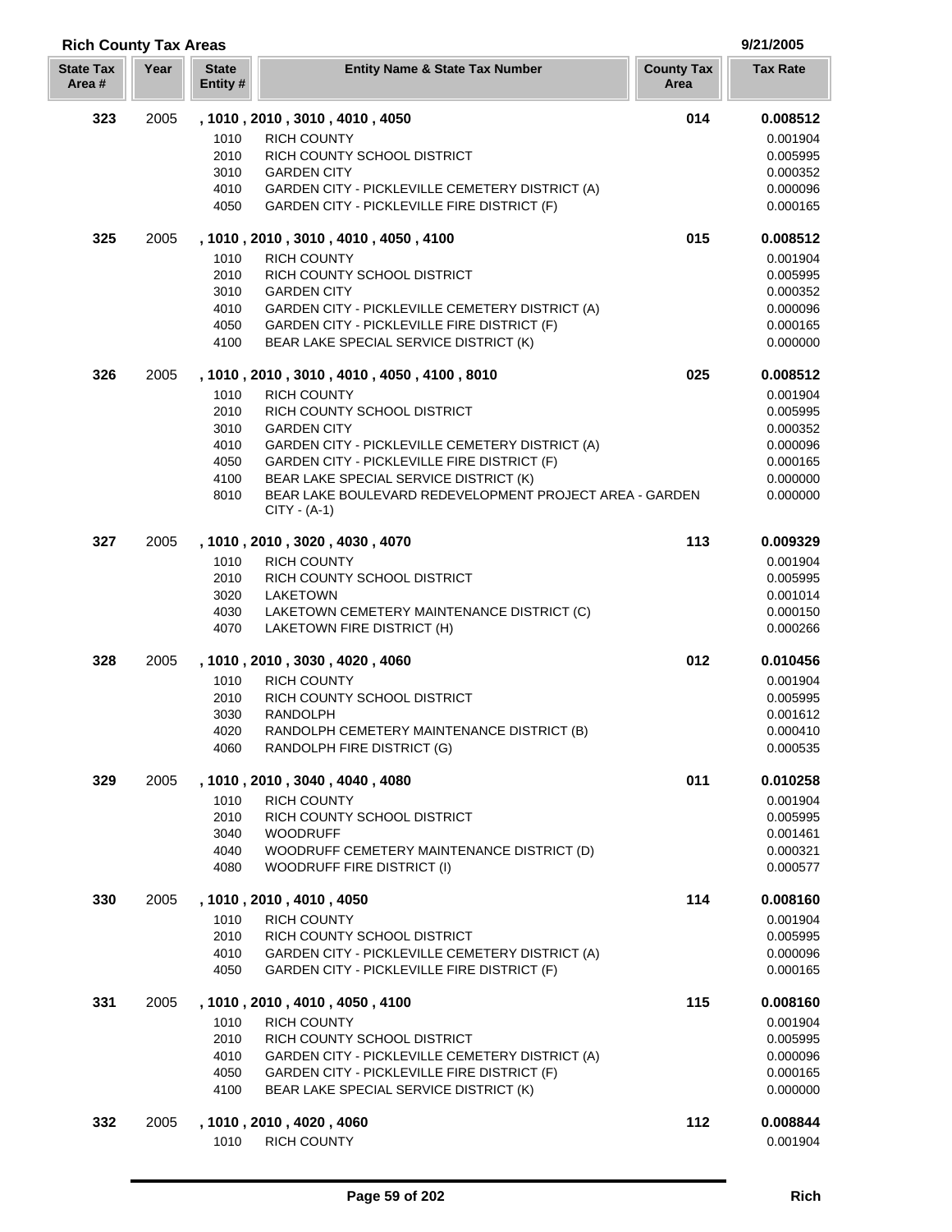| <b>Rich County Tax Areas</b> |      |                          |                                                               |                           | 9/21/2005            |
|------------------------------|------|--------------------------|---------------------------------------------------------------|---------------------------|----------------------|
| <b>State Tax</b><br>Area#    | Year | <b>State</b><br>Entity # | <b>Entity Name &amp; State Tax Number</b>                     | <b>County Tax</b><br>Area | <b>Tax Rate</b>      |
| 323                          | 2005 |                          | , 1010, 2010, 3010, 4010, 4050                                | 014                       | 0.008512             |
|                              |      | 1010                     | <b>RICH COUNTY</b>                                            |                           | 0.001904             |
|                              |      | 2010                     | RICH COUNTY SCHOOL DISTRICT                                   |                           | 0.005995             |
|                              |      | 3010                     | <b>GARDEN CITY</b>                                            |                           | 0.000352             |
|                              |      | 4010                     | GARDEN CITY - PICKLEVILLE CEMETERY DISTRICT (A)               |                           | 0.000096             |
|                              |      | 4050                     | GARDEN CITY - PICKLEVILLE FIRE DISTRICT (F)                   |                           | 0.000165             |
| 325                          | 2005 |                          | , 1010, 2010, 3010, 4010, 4050, 4100                          | 015                       | 0.008512             |
|                              |      | 1010                     | <b>RICH COUNTY</b>                                            |                           | 0.001904             |
|                              |      | 2010                     | RICH COUNTY SCHOOL DISTRICT                                   |                           | 0.005995             |
|                              |      | 3010                     | <b>GARDEN CITY</b>                                            |                           | 0.000352             |
|                              |      | 4010                     | GARDEN CITY - PICKLEVILLE CEMETERY DISTRICT (A)               |                           | 0.000096             |
|                              |      | 4050                     | <b>GARDEN CITY - PICKLEVILLE FIRE DISTRICT (F)</b>            |                           | 0.000165             |
|                              |      | 4100                     | BEAR LAKE SPECIAL SERVICE DISTRICT (K)                        |                           | 0.000000             |
| 326                          | 2005 |                          | , 1010, 2010, 3010, 4010, 4050, 4100, 8010                    | 025                       | 0.008512             |
|                              |      | 1010<br>2010             | <b>RICH COUNTY</b><br>RICH COUNTY SCHOOL DISTRICT             |                           | 0.001904<br>0.005995 |
|                              |      | 3010                     | <b>GARDEN CITY</b>                                            |                           | 0.000352             |
|                              |      | 4010                     | GARDEN CITY - PICKLEVILLE CEMETERY DISTRICT (A)               |                           | 0.000096             |
|                              |      | 4050                     | GARDEN CITY - PICKLEVILLE FIRE DISTRICT (F)                   |                           | 0.000165             |
|                              |      | 4100                     | BEAR LAKE SPECIAL SERVICE DISTRICT (K)                        |                           | 0.000000             |
|                              |      | 8010                     | BEAR LAKE BOULEVARD REDEVELOPMENT PROJECT AREA - GARDEN       |                           | 0.000000             |
|                              |      |                          | $CITY - (A-1)$                                                |                           |                      |
| 327                          | 2005 |                          | , 1010, 2010, 3020, 4030, 4070                                | 113                       | 0.009329             |
|                              |      | 1010                     | <b>RICH COUNTY</b>                                            |                           | 0.001904             |
|                              |      | 2010                     | RICH COUNTY SCHOOL DISTRICT                                   |                           | 0.005995             |
|                              |      | 3020                     | <b>LAKETOWN</b>                                               |                           | 0.001014             |
|                              |      | 4030                     | LAKETOWN CEMETERY MAINTENANCE DISTRICT (C)                    |                           | 0.000150             |
|                              |      | 4070                     | LAKETOWN FIRE DISTRICT (H)                                    |                           | 0.000266             |
| 328                          | 2005 |                          | , 1010, 2010, 3030, 4020, 4060                                | 012                       | 0.010456             |
|                              |      | 1010                     | <b>RICH COUNTY</b>                                            |                           | 0.001904             |
|                              |      | 2010                     | RICH COUNTY SCHOOL DISTRICT                                   |                           | 0.005995             |
|                              |      | 3030                     | <b>RANDOLPH</b><br>RANDOLPH CEMETERY MAINTENANCE DISTRICT (B) |                           | 0.001612             |
|                              |      | 4020<br>4060             | RANDOLPH FIRE DISTRICT (G)                                    |                           | 0.000410<br>0.000535 |
| 329                          | 2005 |                          | , 1010, 2010, 3040, 4040, 4080                                | 011                       | 0.010258             |
|                              |      | 1010                     | <b>RICH COUNTY</b>                                            |                           | 0.001904             |
|                              |      | 2010                     | RICH COUNTY SCHOOL DISTRICT                                   |                           | 0.005995             |
|                              |      | 3040                     | <b>WOODRUFF</b>                                               |                           | 0.001461             |
|                              |      | 4040                     | WOODRUFF CEMETERY MAINTENANCE DISTRICT (D)                    |                           | 0.000321             |
|                              |      | 4080                     | WOODRUFF FIRE DISTRICT (I)                                    |                           | 0.000577             |
| 330                          | 2005 |                          | , 1010, 2010, 4010, 4050                                      | 114                       | 0.008160             |
|                              |      | 1010                     | <b>RICH COUNTY</b>                                            |                           | 0.001904             |
|                              |      | 2010                     | RICH COUNTY SCHOOL DISTRICT                                   |                           | 0.005995             |
|                              |      | 4010                     | GARDEN CITY - PICKLEVILLE CEMETERY DISTRICT (A)               |                           | 0.000096             |
|                              |      | 4050                     | <b>GARDEN CITY - PICKLEVILLE FIRE DISTRICT (F)</b>            |                           | 0.000165             |
| 331                          | 2005 |                          | , 1010, 2010, 4010, 4050, 4100                                | 115                       | 0.008160             |
|                              |      | 1010                     | <b>RICH COUNTY</b>                                            |                           | 0.001904             |
|                              |      | 2010                     | RICH COUNTY SCHOOL DISTRICT                                   |                           | 0.005995             |
|                              |      | 4010                     | GARDEN CITY - PICKLEVILLE CEMETERY DISTRICT (A)               |                           | 0.000096             |
|                              |      | 4050                     | GARDEN CITY - PICKLEVILLE FIRE DISTRICT (F)                   |                           | 0.000165             |
|                              |      | 4100                     | BEAR LAKE SPECIAL SERVICE DISTRICT (K)                        |                           | 0.000000             |
| 332                          | 2005 | 1010                     | , 1010, 2010, 4020, 4060                                      | 112                       | 0.008844<br>0.001904 |
|                              |      |                          | <b>RICH COUNTY</b>                                            |                           |                      |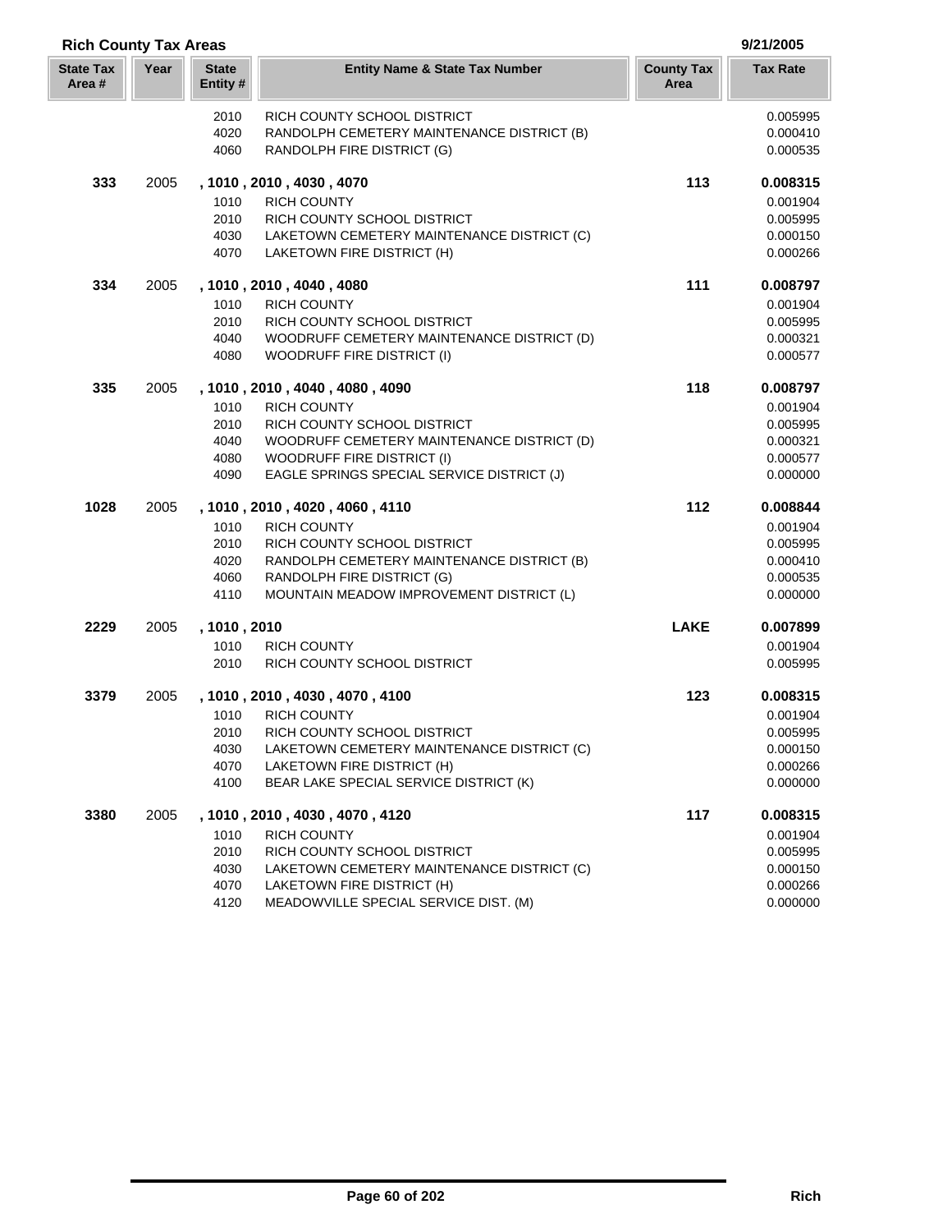| <b>Rich County Tax Areas</b> |      |                          |                                                                                 |                           | 9/21/2005            |
|------------------------------|------|--------------------------|---------------------------------------------------------------------------------|---------------------------|----------------------|
| <b>State Tax</b><br>Area #   | Year | <b>State</b><br>Entity # | <b>Entity Name &amp; State Tax Number</b>                                       | <b>County Tax</b><br>Area | <b>Tax Rate</b>      |
|                              |      | 2010                     | RICH COUNTY SCHOOL DISTRICT                                                     |                           | 0.005995             |
|                              |      | 4020                     | RANDOLPH CEMETERY MAINTENANCE DISTRICT (B)                                      |                           | 0.000410             |
|                              |      | 4060                     | RANDOLPH FIRE DISTRICT (G)                                                      |                           | 0.000535             |
| 333                          | 2005 |                          | , 1010, 2010, 4030, 4070                                                        | 113                       | 0.008315             |
|                              |      | 1010                     | <b>RICH COUNTY</b>                                                              |                           | 0.001904             |
|                              |      | 2010                     | RICH COUNTY SCHOOL DISTRICT                                                     |                           | 0.005995             |
|                              |      | 4030                     | LAKETOWN CEMETERY MAINTENANCE DISTRICT (C)                                      |                           | 0.000150             |
|                              |      | 4070                     | LAKETOWN FIRE DISTRICT (H)                                                      |                           | 0.000266             |
| 334                          | 2005 |                          | , 1010, 2010, 4040, 4080                                                        | 111                       | 0.008797             |
|                              |      | 1010                     | <b>RICH COUNTY</b>                                                              |                           | 0.001904             |
|                              |      | 2010                     | RICH COUNTY SCHOOL DISTRICT                                                     |                           | 0.005995             |
|                              |      | 4040                     | WOODRUFF CEMETERY MAINTENANCE DISTRICT (D)<br><b>WOODRUFF FIRE DISTRICT (I)</b> |                           | 0.000321             |
|                              |      | 4080                     |                                                                                 |                           | 0.000577             |
| 335                          | 2005 |                          | , 1010, 2010, 4040, 4080, 4090                                                  | 118                       | 0.008797             |
|                              |      | 1010                     | <b>RICH COUNTY</b>                                                              |                           | 0.001904             |
|                              |      | 2010                     | RICH COUNTY SCHOOL DISTRICT                                                     |                           | 0.005995             |
|                              |      | 4040                     | WOODRUFF CEMETERY MAINTENANCE DISTRICT (D)                                      |                           | 0.000321             |
|                              |      | 4080                     | <b>WOODRUFF FIRE DISTRICT (I)</b>                                               |                           | 0.000577             |
|                              |      | 4090                     | EAGLE SPRINGS SPECIAL SERVICE DISTRICT (J)                                      |                           | 0.000000             |
| 1028                         | 2005 |                          | , 1010, 2010, 4020, 4060, 4110                                                  | 112                       | 0.008844             |
|                              |      | 1010                     | <b>RICH COUNTY</b>                                                              |                           | 0.001904             |
|                              |      | 2010                     | RICH COUNTY SCHOOL DISTRICT                                                     |                           | 0.005995             |
|                              |      | 4020                     | RANDOLPH CEMETERY MAINTENANCE DISTRICT (B)                                      |                           | 0.000410             |
|                              |      | 4060                     | RANDOLPH FIRE DISTRICT (G)                                                      |                           | 0.000535             |
|                              |      | 4110                     | MOUNTAIN MEADOW IMPROVEMENT DISTRICT (L)                                        |                           | 0.000000             |
| 2229                         | 2005 | , 1010, 2010             |                                                                                 | <b>LAKE</b>               | 0.007899             |
|                              |      | 1010                     | <b>RICH COUNTY</b>                                                              |                           | 0.001904             |
|                              |      | 2010                     | RICH COUNTY SCHOOL DISTRICT                                                     |                           | 0.005995             |
| 3379                         | 2005 |                          | , 1010 , 2010 , 4030 , 4070 , 4100                                              | 123                       | 0.008315             |
|                              |      | 1010                     | <b>RICH COUNTY</b>                                                              |                           | 0.001904             |
|                              |      | 2010<br>4030             | RICH COUNTY SCHOOL DISTRICT<br>LAKETOWN CEMETERY MAINTENANCE DISTRICT (C)       |                           | 0.005995<br>0.000150 |
|                              |      | 4070                     | LAKETOWN FIRE DISTRICT (H)                                                      |                           | 0.000266             |
|                              |      | 4100                     | BEAR LAKE SPECIAL SERVICE DISTRICT (K)                                          |                           | 0.000000             |
| 3380                         | 2005 |                          | , 1010, 2010, 4030, 4070, 4120                                                  | 117                       | 0.008315             |
|                              |      | 1010                     | <b>RICH COUNTY</b>                                                              |                           | 0.001904             |
|                              |      | 2010                     | RICH COUNTY SCHOOL DISTRICT                                                     |                           | 0.005995             |
|                              |      | 4030                     | LAKETOWN CEMETERY MAINTENANCE DISTRICT (C)                                      |                           | 0.000150             |
|                              |      | 4070                     | LAKETOWN FIRE DISTRICT (H)                                                      |                           | 0.000266             |
|                              |      | 4120                     | MEADOWVILLE SPECIAL SERVICE DIST. (M)                                           |                           | 0.000000             |

Г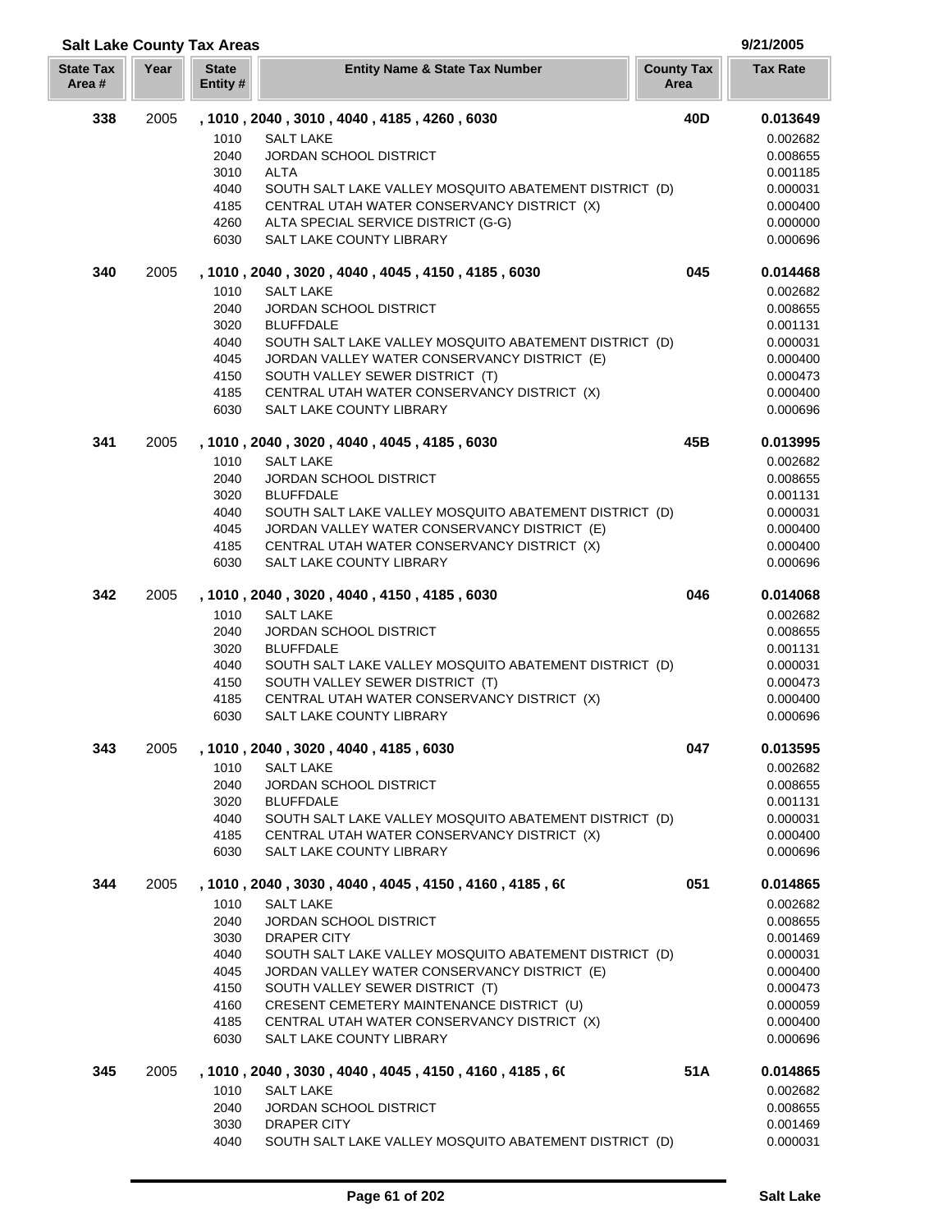# **Salt Lake County Tax Areas 9/21/2005**

| <b>State Tax</b><br>Area # | Year | <b>State</b><br>Entity # | <b>Entity Name &amp; State Tax Number</b>                                                              | <b>County Tax</b><br>Area | <b>Tax Rate</b>      |
|----------------------------|------|--------------------------|--------------------------------------------------------------------------------------------------------|---------------------------|----------------------|
| 338                        | 2005 | 1010                     | , 1010, 2040, 3010, 4040, 4185, 4260, 6030<br><b>SALT LAKE</b>                                         | 40 <sub>D</sub>           | 0.013649<br>0.002682 |
|                            |      | 2040<br>3010             | JORDAN SCHOOL DISTRICT<br>ALTA                                                                         |                           | 0.008655<br>0.001185 |
|                            |      | 4040                     | SOUTH SALT LAKE VALLEY MOSQUITO ABATEMENT DISTRICT (D)                                                 |                           | 0.000031             |
|                            |      | 4185                     | CENTRAL UTAH WATER CONSERVANCY DISTRICT (X)                                                            |                           | 0.000400             |
|                            |      | 4260                     | ALTA SPECIAL SERVICE DISTRICT (G-G)                                                                    |                           | 0.000000             |
|                            |      | 6030                     | SALT LAKE COUNTY LIBRARY                                                                               |                           | 0.000696             |
| 340                        | 2005 | 1010                     | , 1010, 2040, 3020, 4040, 4045, 4150, 4185, 6030<br><b>SALT LAKE</b>                                   | 045                       | 0.014468<br>0.002682 |
|                            |      | 2040                     | <b>JORDAN SCHOOL DISTRICT</b>                                                                          |                           | 0.008655             |
|                            |      | 3020                     | <b>BLUFFDALE</b>                                                                                       |                           | 0.001131             |
|                            |      | 4040                     | SOUTH SALT LAKE VALLEY MOSQUITO ABATEMENT DISTRICT (D)                                                 |                           | 0.000031             |
|                            |      | 4045                     | JORDAN VALLEY WATER CONSERVANCY DISTRICT (E)                                                           |                           | 0.000400             |
|                            |      | 4150<br>4185             | SOUTH VALLEY SEWER DISTRICT (T)<br>CENTRAL UTAH WATER CONSERVANCY DISTRICT (X)                         |                           | 0.000473<br>0.000400 |
|                            |      | 6030                     | SALT LAKE COUNTY LIBRARY                                                                               |                           | 0.000696             |
| 341                        | 2005 |                          | , 1010, 2040, 3020, 4040, 4045, 4185, 6030                                                             | 45B                       | 0.013995             |
|                            |      | 1010                     | <b>SALT LAKE</b>                                                                                       |                           | 0.002682             |
|                            |      | 2040                     | JORDAN SCHOOL DISTRICT                                                                                 |                           | 0.008655             |
|                            |      | 3020                     | <b>BLUFFDALE</b>                                                                                       |                           | 0.001131             |
|                            |      | 4040<br>4045             | SOUTH SALT LAKE VALLEY MOSQUITO ABATEMENT DISTRICT (D)<br>JORDAN VALLEY WATER CONSERVANCY DISTRICT (E) |                           | 0.000031<br>0.000400 |
|                            |      | 4185                     | CENTRAL UTAH WATER CONSERVANCY DISTRICT (X)                                                            |                           | 0.000400             |
|                            |      | 6030                     | SALT LAKE COUNTY LIBRARY                                                                               |                           | 0.000696             |
| 342                        | 2005 |                          | , 1010, 2040, 3020, 4040, 4150, 4185, 6030                                                             | 046                       | 0.014068             |
|                            |      | 1010                     | <b>SALT LAKE</b>                                                                                       |                           | 0.002682             |
|                            |      | 2040<br>3020             | <b>JORDAN SCHOOL DISTRICT</b><br><b>BLUFFDALE</b>                                                      |                           | 0.008655<br>0.001131 |
|                            |      | 4040                     | SOUTH SALT LAKE VALLEY MOSQUITO ABATEMENT DISTRICT (D)                                                 |                           | 0.000031             |
|                            |      | 4150                     | SOUTH VALLEY SEWER DISTRICT (T)                                                                        |                           | 0.000473             |
|                            |      | 4185                     | CENTRAL UTAH WATER CONSERVANCY DISTRICT (X)                                                            |                           | 0.000400             |
|                            |      | 6030                     | SALT LAKE COUNTY LIBRARY                                                                               |                           | 0.000696             |
| 343                        | 2005 |                          | , 1010, 2040, 3020, 4040, 4185, 6030                                                                   | 047                       | 0.013595             |
|                            |      | 1010<br>2040             | <b>SALT LAKE</b><br><b>JORDAN SCHOOL DISTRICT</b>                                                      |                           | 0.002682<br>0.008655 |
|                            |      | 3020                     | <b>BLUFFDALE</b>                                                                                       |                           | 0.001131             |
|                            |      | 4040                     | SOUTH SALT LAKE VALLEY MOSQUITO ABATEMENT DISTRICT (D)                                                 |                           | 0.000031             |
|                            |      | 4185<br>6030             | CENTRAL UTAH WATER CONSERVANCY DISTRICT (X)<br>SALT LAKE COUNTY LIBRARY                                |                           | 0.000400<br>0.000696 |
|                            |      |                          |                                                                                                        |                           |                      |
| 344                        | 2005 | 1010                     | , 1010 , 2040 , 3030 , 4040 , 4045 , 4150 , 4160 , 4185 , 60<br><b>SALT LAKE</b>                       | 051                       | 0.014865<br>0.002682 |
|                            |      | 2040                     | <b>JORDAN SCHOOL DISTRICT</b>                                                                          |                           | 0.008655             |
|                            |      | 3030                     | DRAPER CITY                                                                                            |                           | 0.001469             |
|                            |      | 4040                     | SOUTH SALT LAKE VALLEY MOSQUITO ABATEMENT DISTRICT (D)                                                 |                           | 0.000031             |
|                            |      | 4045<br>4150             | JORDAN VALLEY WATER CONSERVANCY DISTRICT (E)<br>SOUTH VALLEY SEWER DISTRICT (T)                        |                           | 0.000400<br>0.000473 |
|                            |      | 4160                     | CRESENT CEMETERY MAINTENANCE DISTRICT (U)                                                              |                           | 0.000059             |
|                            |      | 4185                     | CENTRAL UTAH WATER CONSERVANCY DISTRICT (X)                                                            |                           | 0.000400             |
|                            |      | 6030                     | SALT LAKE COUNTY LIBRARY                                                                               |                           | 0.000696             |
| 345                        | 2005 |                          | , 1010 , 2040 , 3030 , 4040 , 4045 , 4150 , 4160 , 4185 , 60                                           | 51A                       | 0.014865             |
|                            |      | 1010                     | <b>SALT LAKE</b>                                                                                       |                           | 0.002682             |
|                            |      | 2040<br>3030             | <b>JORDAN SCHOOL DISTRICT</b><br>DRAPER CITY                                                           |                           | 0.008655<br>0.001469 |
|                            |      | 4040                     | SOUTH SALT LAKE VALLEY MOSQUITO ABATEMENT DISTRICT (D)                                                 |                           | 0.000031             |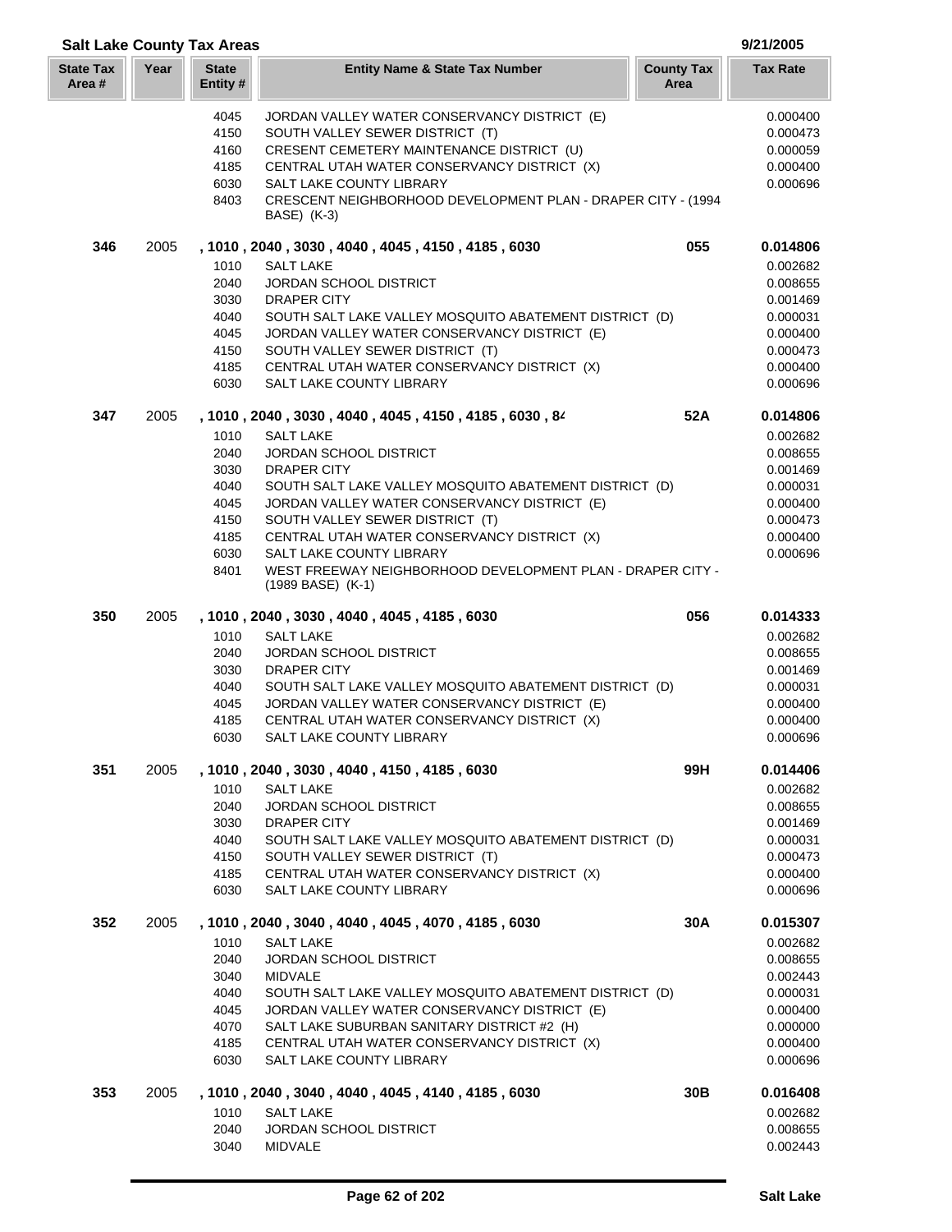| <b>Salt Lake County Tax Areas</b> |      |                          |                                                                                                                 |                           | 9/21/2005            |
|-----------------------------------|------|--------------------------|-----------------------------------------------------------------------------------------------------------------|---------------------------|----------------------|
| <b>State Tax</b><br>Area #        | Year | <b>State</b><br>Entity # | <b>Entity Name &amp; State Tax Number</b>                                                                       | <b>County Tax</b><br>Area | <b>Tax Rate</b>      |
|                                   |      | 4045                     | JORDAN VALLEY WATER CONSERVANCY DISTRICT (E)                                                                    |                           | 0.000400             |
|                                   |      | 4150                     | SOUTH VALLEY SEWER DISTRICT (T)                                                                                 |                           | 0.000473             |
|                                   |      | 4160                     | CRESENT CEMETERY MAINTENANCE DISTRICT (U)                                                                       |                           | 0.000059             |
|                                   |      | 4185                     | CENTRAL UTAH WATER CONSERVANCY DISTRICT (X)                                                                     |                           | 0.000400             |
|                                   |      | 6030                     | SALT LAKE COUNTY LIBRARY                                                                                        |                           | 0.000696             |
|                                   |      | 8403                     | CRESCENT NEIGHBORHOOD DEVELOPMENT PLAN - DRAPER CITY - (1994<br>BASE) (K-3)                                     |                           |                      |
| 346                               | 2005 |                          | , 1010, 2040, 3030, 4040, 4045, 4150, 4185, 6030                                                                | 055                       | 0.014806             |
|                                   |      | 1010                     | <b>SALT LAKE</b>                                                                                                |                           | 0.002682             |
|                                   |      | 2040                     | <b>JORDAN SCHOOL DISTRICT</b>                                                                                   |                           | 0.008655             |
|                                   |      | 3030                     | DRAPER CITY                                                                                                     |                           | 0.001469             |
|                                   |      | 4040                     | SOUTH SALT LAKE VALLEY MOSQUITO ABATEMENT DISTRICT (D)                                                          |                           | 0.000031             |
|                                   |      | 4045                     | JORDAN VALLEY WATER CONSERVANCY DISTRICT (E)                                                                    |                           | 0.000400             |
|                                   |      | 4150                     | SOUTH VALLEY SEWER DISTRICT (T)                                                                                 |                           | 0.000473             |
|                                   |      | 4185                     | CENTRAL UTAH WATER CONSERVANCY DISTRICT (X)                                                                     |                           | 0.000400             |
|                                   |      | 6030                     | SALT LAKE COUNTY LIBRARY                                                                                        |                           | 0.000696             |
| 347                               | 2005 |                          | , 1010, 2040, 3030, 4040, 4045, 4150, 4185, 6030, 84                                                            | 52A                       | 0.014806             |
|                                   |      | 1010                     | <b>SALT LAKE</b>                                                                                                |                           | 0.002682             |
|                                   |      | 2040                     | <b>JORDAN SCHOOL DISTRICT</b>                                                                                   |                           | 0.008655             |
|                                   |      | 3030                     | <b>DRAPER CITY</b>                                                                                              |                           | 0.001469             |
|                                   |      | 4040                     | SOUTH SALT LAKE VALLEY MOSQUITO ABATEMENT DISTRICT (D)                                                          |                           | 0.000031             |
|                                   |      | 4045                     | JORDAN VALLEY WATER CONSERVANCY DISTRICT (E)                                                                    |                           | 0.000400             |
|                                   |      | 4150<br>4185             | SOUTH VALLEY SEWER DISTRICT (T)                                                                                 |                           | 0.000473             |
|                                   |      |                          | CENTRAL UTAH WATER CONSERVANCY DISTRICT (X)                                                                     |                           | 0.000400             |
|                                   |      | 6030<br>8401             | SALT LAKE COUNTY LIBRARY<br>WEST FREEWAY NEIGHBORHOOD DEVELOPMENT PLAN - DRAPER CITY -<br>$(1989$ BASE) $(K-1)$ |                           | 0.000696             |
| 350                               | 2005 |                          | , 1010, 2040, 3030, 4040, 4045, 4185, 6030                                                                      | 056                       | 0.014333             |
|                                   |      | 1010                     | <b>SALT LAKE</b>                                                                                                |                           | 0.002682             |
|                                   |      | 2040                     | <b>JORDAN SCHOOL DISTRICT</b>                                                                                   |                           | 0.008655             |
|                                   |      | 3030                     | <b>DRAPER CITY</b>                                                                                              |                           | 0.001469             |
|                                   |      | 4040                     | SOUTH SALT LAKE VALLEY MOSQUITO ABATEMENT DISTRICT (D)                                                          |                           | 0.000031             |
|                                   |      | 4045                     | JORDAN VALLEY WATER CONSERVANCY DISTRICT (E)                                                                    |                           | 0.000400             |
|                                   |      | 4185                     | CENTRAL UTAH WATER CONSERVANCY DISTRICT (X)                                                                     |                           | 0.000400             |
|                                   |      | 6030                     | SALT LAKE COUNTY LIBRARY                                                                                        |                           | 0.000696             |
| 351                               | 2005 |                          | , 1010, 2040, 3030, 4040, 4150, 4185, 6030                                                                      | 99H                       | 0.014406             |
|                                   |      | 1010                     | <b>SALT LAKE</b>                                                                                                |                           | 0.002682             |
|                                   |      | 2040                     | <b>JORDAN SCHOOL DISTRICT</b>                                                                                   |                           | 0.008655             |
|                                   |      | 3030                     | DRAPER CITY                                                                                                     |                           | 0.001469             |
|                                   |      | 4040                     | SOUTH SALT LAKE VALLEY MOSQUITO ABATEMENT DISTRICT (D)                                                          |                           | 0.000031             |
|                                   |      | 4150                     | SOUTH VALLEY SEWER DISTRICT (T)                                                                                 |                           | 0.000473             |
|                                   |      | 4185<br>6030             | CENTRAL UTAH WATER CONSERVANCY DISTRICT (X)<br>SALT LAKE COUNTY LIBRARY                                         |                           | 0.000400<br>0.000696 |
| 352                               | 2005 |                          | , 1010, 2040, 3040, 4040, 4045, 4070, 4185, 6030                                                                | 30A                       | 0.015307             |
|                                   |      | 1010                     | <b>SALT LAKE</b>                                                                                                |                           | 0.002682             |
|                                   |      | 2040                     | JORDAN SCHOOL DISTRICT                                                                                          |                           | 0.008655             |
|                                   |      | 3040                     | <b>MIDVALE</b>                                                                                                  |                           | 0.002443             |
|                                   |      | 4040                     | SOUTH SALT LAKE VALLEY MOSQUITO ABATEMENT DISTRICT (D)                                                          |                           | 0.000031             |
|                                   |      | 4045                     | JORDAN VALLEY WATER CONSERVANCY DISTRICT (E)                                                                    |                           | 0.000400             |
|                                   |      | 4070                     | SALT LAKE SUBURBAN SANITARY DISTRICT #2 (H)                                                                     |                           | 0.000000             |
|                                   |      | 4185                     | CENTRAL UTAH WATER CONSERVANCY DISTRICT (X)                                                                     |                           | 0.000400             |
|                                   |      | 6030                     | SALT LAKE COUNTY LIBRARY                                                                                        |                           | 0.000696             |
| 353                               | 2005 |                          | , 1010, 2040, 3040, 4040, 4045, 4140, 4185, 6030                                                                | 30B                       | 0.016408             |
|                                   |      | 1010                     | <b>SALT LAKE</b>                                                                                                |                           | 0.002682             |
|                                   |      | 2040                     | <b>JORDAN SCHOOL DISTRICT</b>                                                                                   |                           | 0.008655             |
|                                   |      | 3040                     | <b>MIDVALE</b>                                                                                                  |                           | 0.002443             |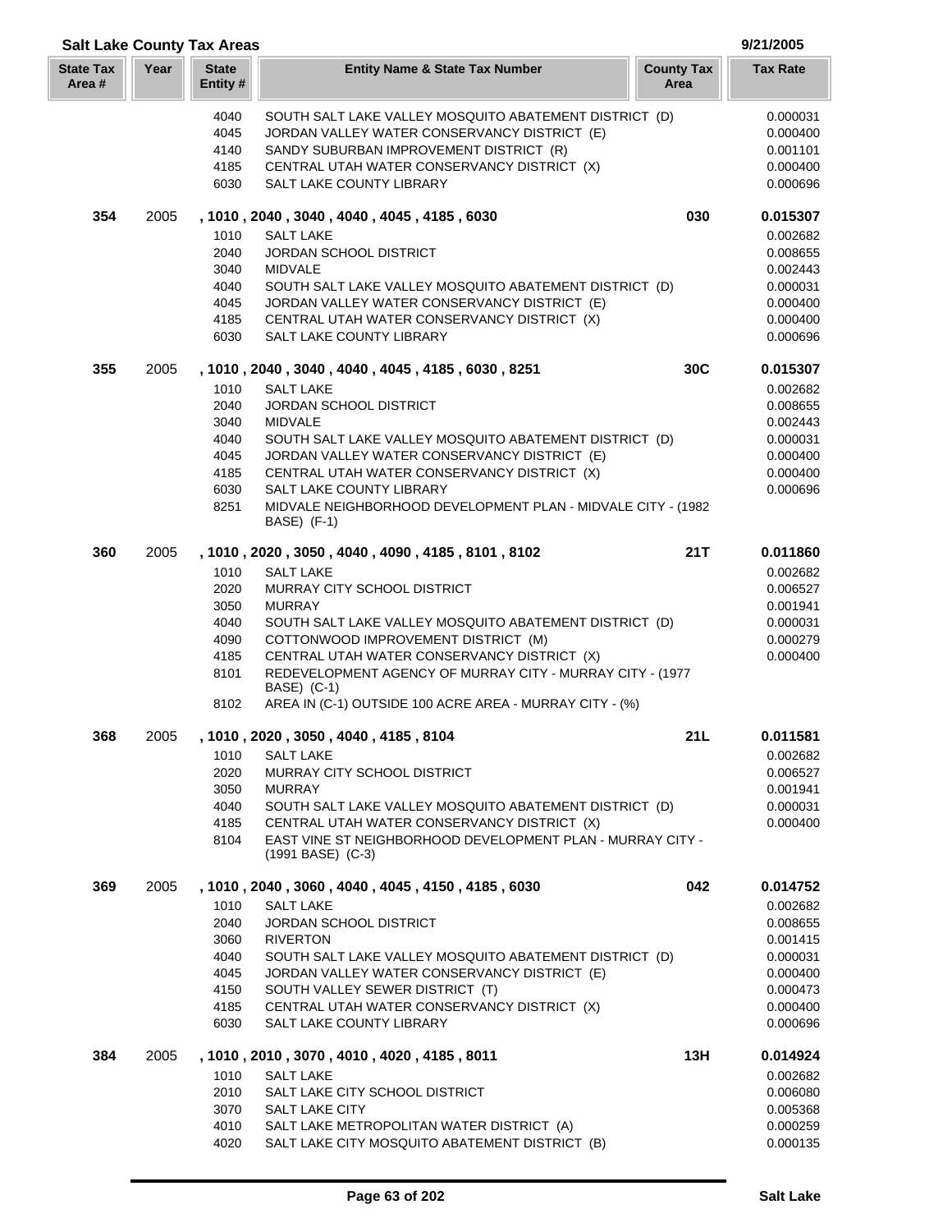| <b>Salt Lake County Tax Areas</b> |      |                          |                                                                                                       |                           | 9/21/2005            |
|-----------------------------------|------|--------------------------|-------------------------------------------------------------------------------------------------------|---------------------------|----------------------|
| <b>State Tax</b><br>Area #        | Year | <b>State</b><br>Entity # | <b>Entity Name &amp; State Tax Number</b>                                                             | <b>County Tax</b><br>Area | <b>Tax Rate</b>      |
|                                   |      | 4040                     | SOUTH SALT LAKE VALLEY MOSQUITO ABATEMENT DISTRICT (D)                                                |                           | 0.000031             |
|                                   |      | 4045                     | JORDAN VALLEY WATER CONSERVANCY DISTRICT (E)                                                          |                           | 0.000400             |
|                                   |      | 4140                     | SANDY SUBURBAN IMPROVEMENT DISTRICT (R)                                                               |                           | 0.001101             |
|                                   |      | 4185                     | CENTRAL UTAH WATER CONSERVANCY DISTRICT (X)                                                           |                           | 0.000400             |
|                                   |      | 6030                     | SALT LAKE COUNTY LIBRARY                                                                              |                           | 0.000696             |
| 354                               | 2005 |                          | , 1010, 2040, 3040, 4040, 4045, 4185, 6030                                                            | 030                       | 0.015307             |
|                                   |      | 1010                     | <b>SALT LAKE</b>                                                                                      |                           | 0.002682             |
|                                   |      | 2040                     | <b>JORDAN SCHOOL DISTRICT</b>                                                                         |                           | 0.008655             |
|                                   |      | 3040                     | <b>MIDVALE</b>                                                                                        |                           | 0.002443             |
|                                   |      | 4040                     | SOUTH SALT LAKE VALLEY MOSQUITO ABATEMENT DISTRICT (D)                                                |                           | 0.000031             |
|                                   |      | 4045                     | JORDAN VALLEY WATER CONSERVANCY DISTRICT (E)                                                          |                           | 0.000400             |
|                                   |      | 4185                     | CENTRAL UTAH WATER CONSERVANCY DISTRICT (X)                                                           |                           | 0.000400             |
|                                   |      | 6030                     | SALT LAKE COUNTY LIBRARY                                                                              |                           | 0.000696             |
| 355                               | 2005 |                          | , 1010, 2040, 3040, 4040, 4045, 4185, 6030, 8251                                                      | 30C                       | 0.015307             |
|                                   |      | 1010                     | <b>SALT LAKE</b>                                                                                      |                           | 0.002682             |
|                                   |      | 2040                     | <b>JORDAN SCHOOL DISTRICT</b>                                                                         |                           | 0.008655             |
|                                   |      | 3040<br>4040             | <b>MIDVALE</b><br>SOUTH SALT LAKE VALLEY MOSQUITO ABATEMENT DISTRICT (D)                              |                           | 0.002443<br>0.000031 |
|                                   |      | 4045                     | JORDAN VALLEY WATER CONSERVANCY DISTRICT (E)                                                          |                           | 0.000400             |
|                                   |      | 4185                     | CENTRAL UTAH WATER CONSERVANCY DISTRICT (X)                                                           |                           | 0.000400             |
|                                   |      | 6030                     | SALT LAKE COUNTY LIBRARY                                                                              |                           | 0.000696             |
|                                   |      | 8251                     | MIDVALE NEIGHBORHOOD DEVELOPMENT PLAN - MIDVALE CITY - (1982<br>BASE) (F-1)                           |                           |                      |
| 360                               | 2005 |                          | , 1010, 2020, 3050, 4040, 4090, 4185, 8101, 8102                                                      | 21T                       | 0.011860             |
|                                   |      | 1010                     | <b>SALT LAKE</b>                                                                                      |                           | 0.002682             |
|                                   |      | 2020                     | MURRAY CITY SCHOOL DISTRICT                                                                           |                           | 0.006527             |
|                                   |      | 3050                     | <b>MURRAY</b>                                                                                         |                           | 0.001941             |
|                                   |      | 4040                     | SOUTH SALT LAKE VALLEY MOSQUITO ABATEMENT DISTRICT (D)                                                |                           | 0.000031             |
|                                   |      | 4090                     | COTTONWOOD IMPROVEMENT DISTRICT (M)                                                                   |                           | 0.000279             |
|                                   |      | 4185                     | CENTRAL UTAH WATER CONSERVANCY DISTRICT (X)                                                           |                           | 0.000400             |
|                                   |      | 8101                     | REDEVELOPMENT AGENCY OF MURRAY CITY - MURRAY CITY - (1977<br>BASE) (C-1)                              |                           |                      |
|                                   |      | 8102                     | AREA IN (C-1) OUTSIDE 100 ACRE AREA - MURRAY CITY - (%)                                               |                           |                      |
| 368                               | 2005 |                          | , 1010 , 2020 , 3050 , 4040 , 4185 , 8104                                                             | 21 L                      | 0.011581             |
|                                   |      | 1010                     | <b>SALT LAKE</b>                                                                                      |                           | 0.002682             |
|                                   |      | 2020                     | MURRAY CITY SCHOOL DISTRICT                                                                           |                           | 0.006527             |
|                                   |      | 3050                     | <b>MURRAY</b>                                                                                         |                           | 0.001941             |
|                                   |      | 4040<br>4185             | SOUTH SALT LAKE VALLEY MOSQUITO ABATEMENT DISTRICT (D)<br>CENTRAL UTAH WATER CONSERVANCY DISTRICT (X) |                           | 0.000031<br>0.000400 |
|                                   |      | 8104                     | EAST VINE ST NEIGHBORHOOD DEVELOPMENT PLAN - MURRAY CITY -<br>$(1991$ BASE) $(C-3)$                   |                           |                      |
| 369                               | 2005 |                          | , 1010, 2040, 3060, 4040, 4045, 4150, 4185, 6030                                                      | 042                       | 0.014752             |
|                                   |      |                          |                                                                                                       |                           | 0.002682             |
|                                   |      | 1010<br>2040             | <b>SALT LAKE</b><br><b>JORDAN SCHOOL DISTRICT</b>                                                     |                           | 0.008655             |
|                                   |      | 3060                     | <b>RIVERTON</b>                                                                                       |                           | 0.001415             |
|                                   |      | 4040                     | SOUTH SALT LAKE VALLEY MOSQUITO ABATEMENT DISTRICT (D)                                                |                           | 0.000031             |
|                                   |      | 4045                     | JORDAN VALLEY WATER CONSERVANCY DISTRICT (E)                                                          |                           | 0.000400             |
|                                   |      | 4150                     | SOUTH VALLEY SEWER DISTRICT (T)                                                                       |                           | 0.000473             |
|                                   |      | 4185                     | CENTRAL UTAH WATER CONSERVANCY DISTRICT (X)                                                           |                           | 0.000400             |
|                                   |      | 6030                     | SALT LAKE COUNTY LIBRARY                                                                              |                           | 0.000696             |
| 384                               | 2005 |                          | , 1010, 2010, 3070, 4010, 4020, 4185, 8011                                                            | 13H                       | 0.014924             |
|                                   |      | 1010                     | <b>SALT LAKE</b>                                                                                      |                           | 0.002682             |
|                                   |      | 2010                     | SALT LAKE CITY SCHOOL DISTRICT                                                                        |                           | 0.006080             |
|                                   |      | 3070                     | SALT LAKE CITY                                                                                        |                           | 0.005368             |
|                                   |      | 4010                     | SALT LAKE METROPOLITAN WATER DISTRICT (A)                                                             |                           | 0.000259             |

4020 SALT LAKE CITY MOSQUITO ABATEMENT DISTRICT (B) 0.000135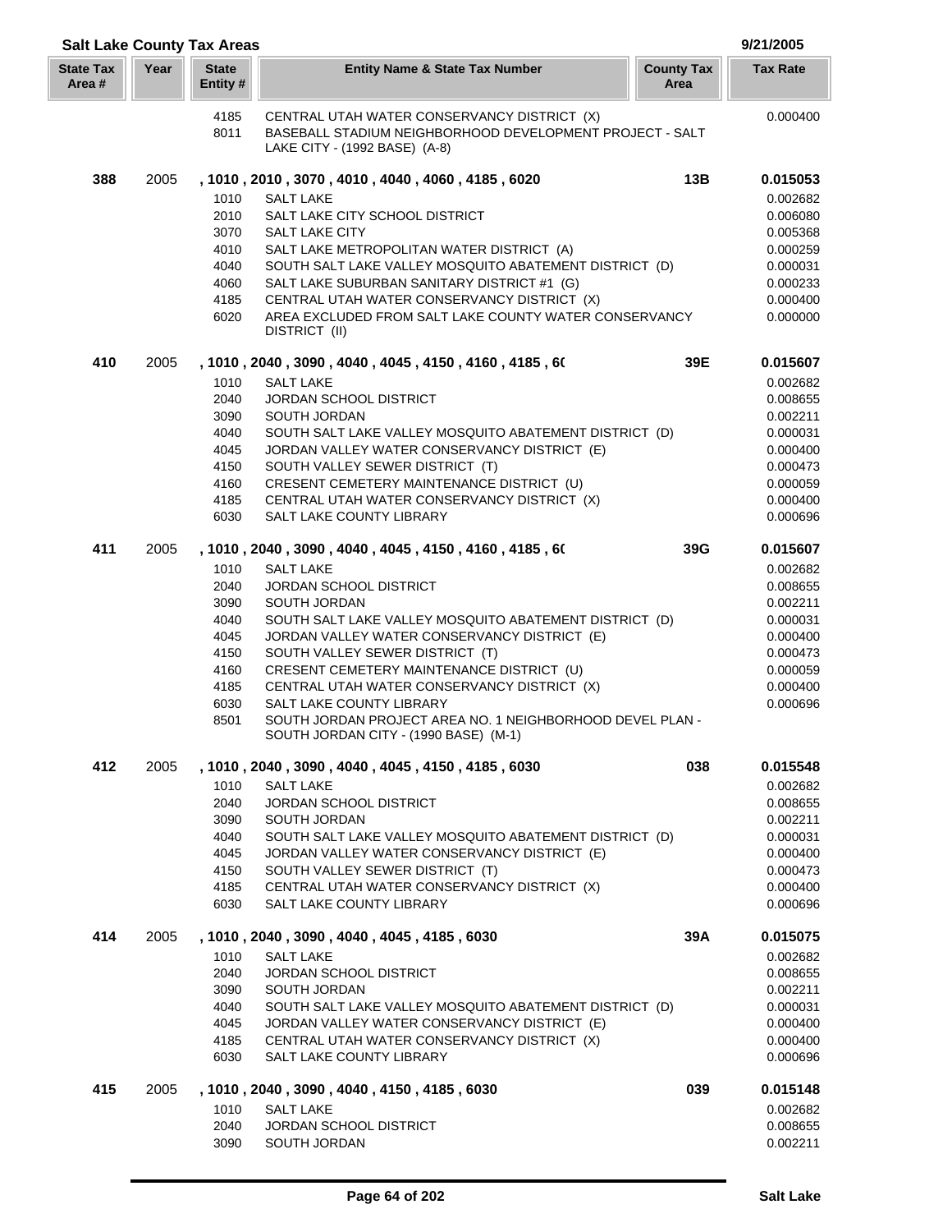| <b>Salt Lake County Tax Areas</b> |      |                         |                                                                                                        |                           | 9/21/2005            |
|-----------------------------------|------|-------------------------|--------------------------------------------------------------------------------------------------------|---------------------------|----------------------|
| <b>State Tax</b><br>Area#         | Year | <b>State</b><br>Entity# | <b>Entity Name &amp; State Tax Number</b>                                                              | <b>County Tax</b><br>Area | <b>Tax Rate</b>      |
|                                   |      | 4185                    | CENTRAL UTAH WATER CONSERVANCY DISTRICT (X)                                                            |                           | 0.000400             |
|                                   |      | 8011                    | BASEBALL STADIUM NEIGHBORHOOD DEVELOPMENT PROJECT - SALT<br>LAKE CITY - (1992 BASE) (A-8)              |                           |                      |
| 388                               | 2005 |                         | , 1010, 2010, 3070, 4010, 4040, 4060, 4185, 6020                                                       | 13B                       | 0.015053             |
|                                   |      | 1010                    | <b>SALT LAKE</b>                                                                                       |                           | 0.002682             |
|                                   |      | 2010                    | SALT LAKE CITY SCHOOL DISTRICT                                                                         |                           | 0.006080             |
|                                   |      | 3070                    | SALT LAKE CITY                                                                                         |                           | 0.005368             |
|                                   |      | 4010                    | SALT LAKE METROPOLITAN WATER DISTRICT (A)                                                              |                           | 0.000259             |
|                                   |      | 4040                    | SOUTH SALT LAKE VALLEY MOSQUITO ABATEMENT DISTRICT (D)                                                 |                           | 0.000031             |
|                                   |      | 4060                    | SALT LAKE SUBURBAN SANITARY DISTRICT #1 (G)                                                            |                           | 0.000233<br>0.000400 |
|                                   |      | 4185<br>6020            | CENTRAL UTAH WATER CONSERVANCY DISTRICT (X)<br>AREA EXCLUDED FROM SALT LAKE COUNTY WATER CONSERVANCY   |                           | 0.000000             |
|                                   |      |                         | DISTRICT (II)                                                                                          |                           |                      |
| 410                               | 2005 |                         | , 1010 , 2040 , 3090 , 4040 , 4045 , 4150 , 4160 , 4185 , 60                                           | 39E                       | 0.015607             |
|                                   |      | 1010                    | <b>SALT LAKE</b>                                                                                       |                           | 0.002682             |
|                                   |      | 2040<br>3090            | <b>JORDAN SCHOOL DISTRICT</b>                                                                          |                           | 0.008655             |
|                                   |      | 4040                    | SOUTH JORDAN<br>SOUTH SALT LAKE VALLEY MOSQUITO ABATEMENT DISTRICT (D)                                 |                           | 0.002211<br>0.000031 |
|                                   |      | 4045                    | JORDAN VALLEY WATER CONSERVANCY DISTRICT (E)                                                           |                           | 0.000400             |
|                                   |      | 4150                    | SOUTH VALLEY SEWER DISTRICT (T)                                                                        |                           | 0.000473             |
|                                   |      | 4160                    | CRESENT CEMETERY MAINTENANCE DISTRICT (U)                                                              |                           | 0.000059             |
|                                   |      | 4185                    | CENTRAL UTAH WATER CONSERVANCY DISTRICT (X)                                                            |                           | 0.000400             |
|                                   |      | 6030                    | <b>SALT LAKE COUNTY LIBRARY</b>                                                                        |                           | 0.000696             |
| 411                               | 2005 |                         | , 1010, 2040, 3090, 4040, 4045, 4150, 4160, 4185, 60                                                   | 39G                       | 0.015607             |
|                                   |      | 1010                    | <b>SALT LAKE</b>                                                                                       |                           | 0.002682             |
|                                   |      | 2040<br>3090            | <b>JORDAN SCHOOL DISTRICT</b><br>SOUTH JORDAN                                                          |                           | 0.008655<br>0.002211 |
|                                   |      | 4040                    | SOUTH SALT LAKE VALLEY MOSQUITO ABATEMENT DISTRICT (D)                                                 |                           | 0.000031             |
|                                   |      | 4045                    | JORDAN VALLEY WATER CONSERVANCY DISTRICT (E)                                                           |                           | 0.000400             |
|                                   |      | 4150                    | SOUTH VALLEY SEWER DISTRICT (T)                                                                        |                           | 0.000473             |
|                                   |      | 4160                    | CRESENT CEMETERY MAINTENANCE DISTRICT (U)                                                              |                           | 0.000059             |
|                                   |      | 4185                    | CENTRAL UTAH WATER CONSERVANCY DISTRICT (X)                                                            |                           | 0.000400             |
|                                   |      | 6030                    | SALT LAKE COUNTY LIBRARY                                                                               |                           | 0.000696             |
|                                   |      | 8501                    | SOUTH JORDAN PROJECT AREA NO. 1 NEIGHBORHOOD DEVEL PLAN -<br>SOUTH JORDAN CITY - (1990 BASE) (M-1)     |                           |                      |
| 412                               | 2005 |                         | , 1010, 2040, 3090, 4040, 4045, 4150, 4185, 6030                                                       | 038                       | 0.015548             |
|                                   |      | 1010                    | <b>SALT LAKE</b>                                                                                       |                           | 0.002682             |
|                                   |      | 2040                    | <b>JORDAN SCHOOL DISTRICT</b>                                                                          |                           | 0.008655             |
|                                   |      | 3090                    | SOUTH JORDAN                                                                                           |                           | 0.002211             |
|                                   |      | 4040                    | SOUTH SALT LAKE VALLEY MOSQUITO ABATEMENT DISTRICT (D)                                                 |                           | 0.000031             |
|                                   |      | 4045<br>4150            | JORDAN VALLEY WATER CONSERVANCY DISTRICT (E)<br>SOUTH VALLEY SEWER DISTRICT (T)                        |                           | 0.000400<br>0.000473 |
|                                   |      | 4185                    | CENTRAL UTAH WATER CONSERVANCY DISTRICT (X)                                                            |                           | 0.000400             |
|                                   |      | 6030                    | SALT LAKE COUNTY LIBRARY                                                                               |                           | 0.000696             |
| 414                               | 2005 |                         | , 1010, 2040, 3090, 4040, 4045, 4185, 6030                                                             | 39A                       | 0.015075             |
|                                   |      | 1010                    | <b>SALT LAKE</b>                                                                                       |                           | 0.002682             |
|                                   |      | 2040                    | <b>JORDAN SCHOOL DISTRICT</b>                                                                          |                           | 0.008655             |
|                                   |      | 3090                    | SOUTH JORDAN                                                                                           |                           | 0.002211             |
|                                   |      | 4040<br>4045            | SOUTH SALT LAKE VALLEY MOSQUITO ABATEMENT DISTRICT (D)<br>JORDAN VALLEY WATER CONSERVANCY DISTRICT (E) |                           | 0.000031<br>0.000400 |
|                                   |      | 4185                    | CENTRAL UTAH WATER CONSERVANCY DISTRICT (X)                                                            |                           | 0.000400             |
|                                   |      | 6030                    | SALT LAKE COUNTY LIBRARY                                                                               |                           | 0.000696             |
| 415                               | 2005 |                         | , 1010, 2040, 3090, 4040, 4150, 4185, 6030                                                             | 039                       | 0.015148             |
|                                   |      | 1010                    | <b>SALT LAKE</b>                                                                                       |                           | 0.002682             |
|                                   |      | 2040                    | <b>JORDAN SCHOOL DISTRICT</b>                                                                          |                           | 0.008655             |
|                                   |      | 3090                    | SOUTH JORDAN                                                                                           |                           | 0.002211             |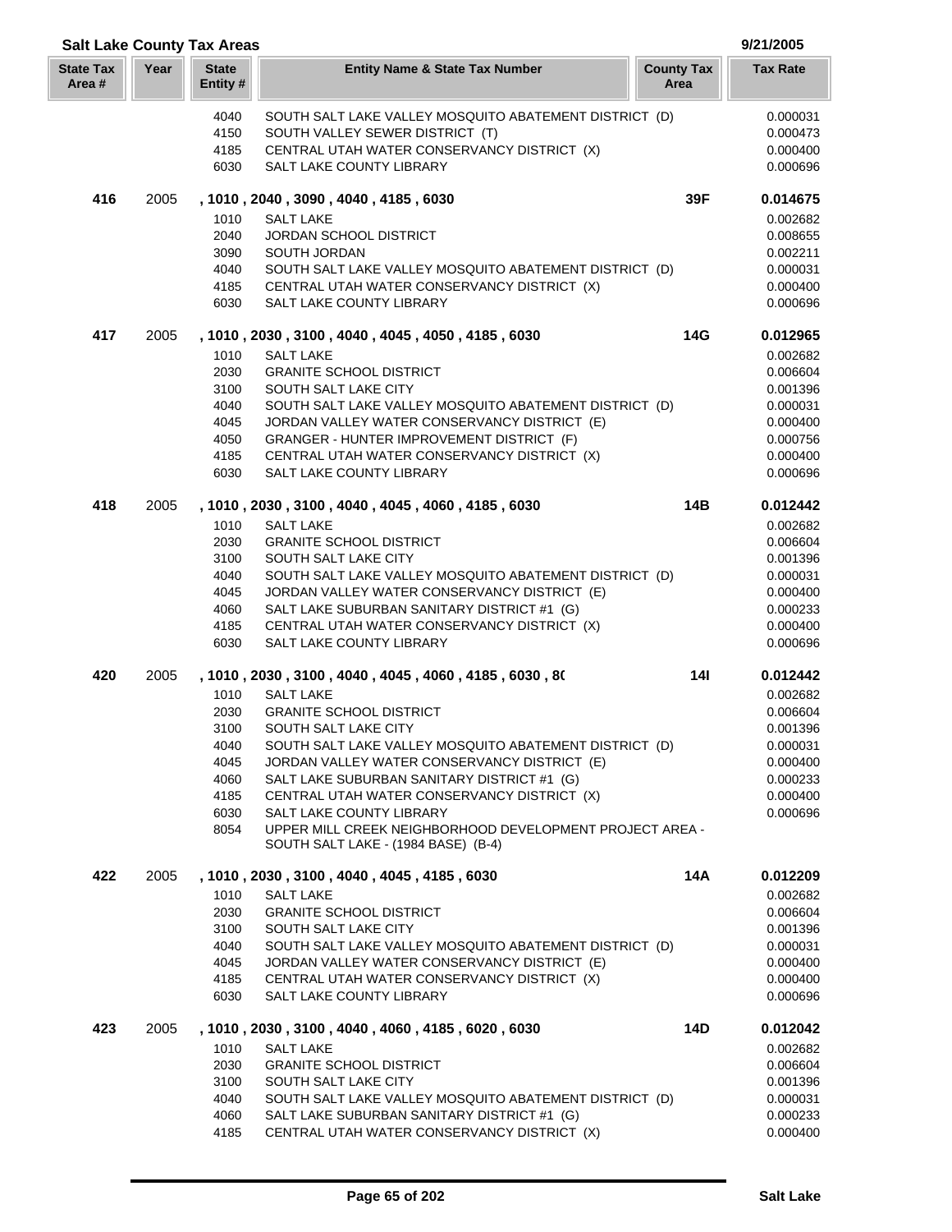| <b>Salt Lake County Tax Areas</b> |      |                         |                                                                                                        |                           | 9/21/2005            |
|-----------------------------------|------|-------------------------|--------------------------------------------------------------------------------------------------------|---------------------------|----------------------|
| <b>State Tax</b><br>Area#         | Year | <b>State</b><br>Entity# | <b>Entity Name &amp; State Tax Number</b>                                                              | <b>County Tax</b><br>Area | <b>Tax Rate</b>      |
|                                   |      | 4040                    | SOUTH SALT LAKE VALLEY MOSQUITO ABATEMENT DISTRICT (D)                                                 |                           | 0.000031             |
|                                   |      | 4150                    | SOUTH VALLEY SEWER DISTRICT (T)                                                                        |                           | 0.000473             |
|                                   |      | 4185                    | CENTRAL UTAH WATER CONSERVANCY DISTRICT (X)                                                            |                           | 0.000400             |
|                                   |      | 6030                    | SALT LAKE COUNTY LIBRARY                                                                               |                           | 0.000696             |
| 416                               | 2005 |                         | , 1010, 2040, 3090, 4040, 4185, 6030                                                                   | 39F                       | 0.014675             |
|                                   |      | 1010                    | <b>SALT LAKE</b>                                                                                       |                           | 0.002682             |
|                                   |      | 2040                    | JORDAN SCHOOL DISTRICT                                                                                 |                           | 0.008655             |
|                                   |      | 3090                    | SOUTH JORDAN                                                                                           |                           | 0.002211             |
|                                   |      | 4040                    | SOUTH SALT LAKE VALLEY MOSQUITO ABATEMENT DISTRICT (D)                                                 |                           | 0.000031             |
|                                   |      | 4185                    | CENTRAL UTAH WATER CONSERVANCY DISTRICT (X)                                                            |                           | 0.000400             |
|                                   |      | 6030                    | SALT LAKE COUNTY LIBRARY                                                                               |                           | 0.000696             |
| 417                               | 2005 |                         | , 1010, 2030, 3100, 4040, 4045, 4050, 4185, 6030                                                       | 14G                       | 0.012965             |
|                                   |      | 1010                    | <b>SALT LAKE</b>                                                                                       |                           | 0.002682             |
|                                   |      | 2030<br>3100            | <b>GRANITE SCHOOL DISTRICT</b>                                                                         |                           | 0.006604             |
|                                   |      | 4040                    | SOUTH SALT LAKE CITY                                                                                   |                           | 0.001396<br>0.000031 |
|                                   |      | 4045                    | SOUTH SALT LAKE VALLEY MOSQUITO ABATEMENT DISTRICT (D)<br>JORDAN VALLEY WATER CONSERVANCY DISTRICT (E) |                           | 0.000400             |
|                                   |      | 4050                    | GRANGER - HUNTER IMPROVEMENT DISTRICT (F)                                                              |                           | 0.000756             |
|                                   |      | 4185                    | CENTRAL UTAH WATER CONSERVANCY DISTRICT (X)                                                            |                           | 0.000400             |
|                                   |      | 6030                    | SALT LAKE COUNTY LIBRARY                                                                               |                           | 0.000696             |
| 418                               | 2005 |                         | , 1010, 2030, 3100, 4040, 4045, 4060, 4185, 6030                                                       | 14B                       | 0.012442             |
|                                   |      | 1010                    | <b>SALT LAKE</b>                                                                                       |                           | 0.002682             |
|                                   |      | 2030                    | <b>GRANITE SCHOOL DISTRICT</b>                                                                         |                           | 0.006604             |
|                                   |      | 3100                    | SOUTH SALT LAKE CITY                                                                                   |                           | 0.001396             |
|                                   |      | 4040                    | SOUTH SALT LAKE VALLEY MOSQUITO ABATEMENT DISTRICT (D)                                                 |                           | 0.000031             |
|                                   |      | 4045                    | JORDAN VALLEY WATER CONSERVANCY DISTRICT (E)                                                           |                           | 0.000400             |
|                                   |      | 4060                    | SALT LAKE SUBURBAN SANITARY DISTRICT #1 (G)                                                            |                           | 0.000233             |
|                                   |      | 4185                    | CENTRAL UTAH WATER CONSERVANCY DISTRICT (X)                                                            |                           | 0.000400             |
|                                   |      | 6030                    | SALT LAKE COUNTY LIBRARY                                                                               |                           | 0.000696             |
| 420                               | 2005 |                         | , 1010, 2030, 3100, 4040, 4045, 4060, 4185, 6030, 80                                                   | 14 <sup>1</sup>           | 0.012442             |
|                                   |      | 1010                    | <b>SALT LAKE</b>                                                                                       |                           | 0.002682             |
|                                   |      | 2030                    | <b>GRANITE SCHOOL DISTRICT</b>                                                                         |                           | 0.006604             |
|                                   |      | 3100                    | SOUTH SALT LAKE CITY                                                                                   |                           | 0.001396             |
|                                   |      | 4040<br>4045            | SOUTH SALT LAKE VALLEY MOSQUITO ABATEMENT DISTRICT (D)<br>JORDAN VALLEY WATER CONSERVANCY DISTRICT (E) |                           | 0.000031<br>0.000400 |
|                                   |      | 4060                    | SALT LAKE SUBURBAN SANITARY DISTRICT #1 (G)                                                            |                           | 0.000233             |
|                                   |      | 4185                    | CENTRAL UTAH WATER CONSERVANCY DISTRICT (X)                                                            |                           | 0.000400             |
|                                   |      | 6030                    | SALT LAKE COUNTY LIBRARY                                                                               |                           | 0.000696             |
|                                   |      | 8054                    | UPPER MILL CREEK NEIGHBORHOOD DEVELOPMENT PROJECT AREA -                                               |                           |                      |
|                                   |      |                         | SOUTH SALT LAKE - (1984 BASE) (B-4)                                                                    |                           |                      |
| 422                               | 2005 |                         | , 1010, 2030, 3100, 4040, 4045, 4185, 6030                                                             | 14A                       | 0.012209             |
|                                   |      | 1010                    | <b>SALT LAKE</b>                                                                                       |                           | 0.002682             |
|                                   |      | 2030                    | <b>GRANITE SCHOOL DISTRICT</b>                                                                         |                           | 0.006604             |
|                                   |      | 3100                    | SOUTH SALT LAKE CITY                                                                                   |                           | 0.001396             |
|                                   |      | 4040<br>4045            | SOUTH SALT LAKE VALLEY MOSQUITO ABATEMENT DISTRICT (D)<br>JORDAN VALLEY WATER CONSERVANCY DISTRICT (E) |                           | 0.000031<br>0.000400 |
|                                   |      | 4185                    | CENTRAL UTAH WATER CONSERVANCY DISTRICT (X)                                                            |                           | 0.000400             |
|                                   |      | 6030                    | SALT LAKE COUNTY LIBRARY                                                                               |                           | 0.000696             |
| 423                               | 2005 |                         | , 1010, 2030, 3100, 4040, 4060, 4185, 6020, 6030                                                       | 14D                       | 0.012042             |
|                                   |      | 1010                    | <b>SALT LAKE</b>                                                                                       |                           | 0.002682             |
|                                   |      | 2030                    | <b>GRANITE SCHOOL DISTRICT</b>                                                                         |                           | 0.006604             |
|                                   |      | 3100                    | SOUTH SALT LAKE CITY                                                                                   |                           | 0.001396             |
|                                   |      | 4040                    | SOUTH SALT LAKE VALLEY MOSQUITO ABATEMENT DISTRICT (D)                                                 |                           | 0.000031             |
|                                   |      | 4060                    | SALT LAKE SUBURBAN SANITARY DISTRICT #1 (G)                                                            |                           | 0.000233             |
|                                   |      | 4185                    | CENTRAL UTAH WATER CONSERVANCY DISTRICT (X)                                                            |                           | 0.000400             |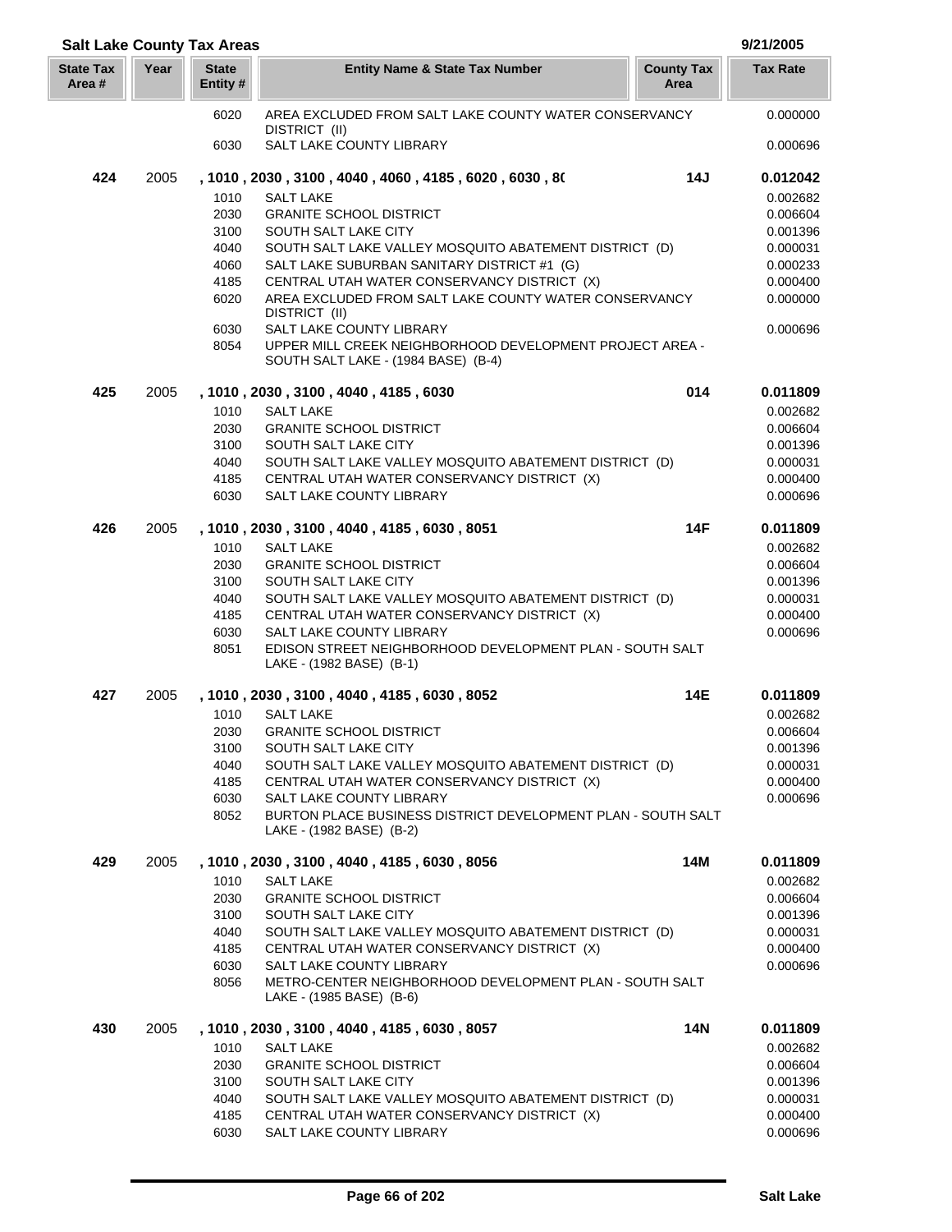| <b>Salt Lake County Tax Areas</b> |      |                          |                                                                                                 |                           | 9/21/2005            |
|-----------------------------------|------|--------------------------|-------------------------------------------------------------------------------------------------|---------------------------|----------------------|
| <b>State Tax</b><br>Area #        | Year | <b>State</b><br>Entity # | <b>Entity Name &amp; State Tax Number</b>                                                       | <b>County Tax</b><br>Area | <b>Tax Rate</b>      |
|                                   |      | 6020                     | AREA EXCLUDED FROM SALT LAKE COUNTY WATER CONSERVANCY<br>DISTRICT (II)                          |                           | 0.000000             |
|                                   |      | 6030                     | SALT LAKE COUNTY LIBRARY                                                                        |                           | 0.000696             |
| 424                               | 2005 |                          | , 1010 , 2030 , 3100 , 4040 , 4060 , 4185 , 6020 , 6030 , 80                                    | 14J                       | 0.012042             |
|                                   |      | 1010                     | <b>SALT LAKE</b>                                                                                |                           | 0.002682             |
|                                   |      | 2030                     | <b>GRANITE SCHOOL DISTRICT</b>                                                                  |                           | 0.006604             |
|                                   |      | 3100                     | SOUTH SALT LAKE CITY                                                                            |                           | 0.001396             |
|                                   |      | 4040                     | SOUTH SALT LAKE VALLEY MOSQUITO ABATEMENT DISTRICT (D)                                          |                           | 0.000031             |
|                                   |      | 4060                     | SALT LAKE SUBURBAN SANITARY DISTRICT #1 (G)                                                     |                           | 0.000233             |
|                                   |      | 4185                     | CENTRAL UTAH WATER CONSERVANCY DISTRICT (X)                                                     |                           | 0.000400             |
|                                   |      | 6020                     | AREA EXCLUDED FROM SALT LAKE COUNTY WATER CONSERVANCY<br>DISTRICT (II)                          |                           | 0.000000             |
|                                   |      | 6030                     | SALT LAKE COUNTY LIBRARY                                                                        |                           | 0.000696             |
|                                   |      | 8054                     | UPPER MILL CREEK NEIGHBORHOOD DEVELOPMENT PROJECT AREA -<br>SOUTH SALT LAKE - (1984 BASE) (B-4) |                           |                      |
| 425                               | 2005 |                          | , 1010, 2030, 3100, 4040, 4185, 6030                                                            | 014                       | 0.011809             |
|                                   |      | 1010                     | <b>SALT LAKE</b>                                                                                |                           | 0.002682             |
|                                   |      | 2030                     | <b>GRANITE SCHOOL DISTRICT</b>                                                                  |                           | 0.006604             |
|                                   |      | 3100                     | SOUTH SALT LAKE CITY                                                                            |                           | 0.001396             |
|                                   |      | 4040                     | SOUTH SALT LAKE VALLEY MOSQUITO ABATEMENT DISTRICT (D)                                          |                           | 0.000031             |
|                                   |      | 4185                     | CENTRAL UTAH WATER CONSERVANCY DISTRICT (X)                                                     |                           | 0.000400             |
|                                   |      | 6030                     | SALT LAKE COUNTY LIBRARY                                                                        |                           | 0.000696             |
| 426                               | 2005 |                          | , 1010, 2030, 3100, 4040, 4185, 6030, 8051                                                      | <b>14F</b>                | 0.011809             |
|                                   |      | 1010                     | <b>SALT LAKE</b>                                                                                |                           | 0.002682             |
|                                   |      | 2030                     | <b>GRANITE SCHOOL DISTRICT</b>                                                                  |                           | 0.006604             |
|                                   |      | 3100                     | SOUTH SALT LAKE CITY                                                                            |                           | 0.001396             |
|                                   |      | 4040                     | SOUTH SALT LAKE VALLEY MOSQUITO ABATEMENT DISTRICT (D)                                          |                           | 0.000031             |
|                                   |      | 4185<br>6030             | CENTRAL UTAH WATER CONSERVANCY DISTRICT (X)                                                     |                           | 0.000400<br>0.000696 |
|                                   |      | 8051                     | SALT LAKE COUNTY LIBRARY<br>EDISON STREET NEIGHBORHOOD DEVELOPMENT PLAN - SOUTH SALT            |                           |                      |
|                                   |      |                          | LAKE - (1982 BASE) (B-1)                                                                        |                           |                      |
| 427                               | 2005 |                          | , 1010, 2030, 3100, 4040, 4185, 6030, 8052                                                      | 14E                       | 0.011809             |
|                                   |      | 1010                     | <b>SALT LAKE</b>                                                                                |                           | 0.002682             |
|                                   |      | 2030                     | <b>GRANITE SCHOOL DISTRICT</b>                                                                  |                           | 0.006604             |
|                                   |      | 3100                     | SOUTH SALT LAKE CITY                                                                            |                           | 0.001396             |
|                                   |      | 4040                     | SOUTH SALT LAKE VALLEY MOSQUITO ABATEMENT DISTRICT (D)                                          |                           | 0.000031             |
|                                   |      | 4185                     | CENTRAL UTAH WATER CONSERVANCY DISTRICT (X)                                                     |                           | 0.000400             |
|                                   |      | 6030                     | SALT LAKE COUNTY LIBRARY                                                                        |                           | 0.000696             |
|                                   |      | 8052                     | BURTON PLACE BUSINESS DISTRICT DEVELOPMENT PLAN - SOUTH SALT<br>LAKE - (1982 BASE) (B-2)        |                           |                      |
| 429                               | 2005 |                          | , 1010, 2030, 3100, 4040, 4185, 6030, 8056                                                      | 14M                       | 0.011809             |
|                                   |      | 1010                     | <b>SALT LAKE</b>                                                                                |                           | 0.002682             |
|                                   |      | 2030                     | <b>GRANITE SCHOOL DISTRICT</b>                                                                  |                           | 0.006604             |
|                                   |      | 3100                     | SOUTH SALT LAKE CITY                                                                            |                           | 0.001396             |
|                                   |      | 4040                     | SOUTH SALT LAKE VALLEY MOSQUITO ABATEMENT DISTRICT (D)                                          |                           | 0.000031             |
|                                   |      | 4185                     | CENTRAL UTAH WATER CONSERVANCY DISTRICT (X)                                                     |                           | 0.000400             |
|                                   |      | 6030                     | SALT LAKE COUNTY LIBRARY                                                                        |                           | 0.000696             |
|                                   |      | 8056                     | METRO-CENTER NEIGHBORHOOD DEVELOPMENT PLAN - SOUTH SALT<br>LAKE - (1985 BASE) (B-6)             |                           |                      |
| 430                               | 2005 |                          | , 1010, 2030, 3100, 4040, 4185, 6030, 8057                                                      | 14N                       | 0.011809             |
|                                   |      | 1010                     | <b>SALT LAKE</b>                                                                                |                           | 0.002682             |
|                                   |      | 2030                     | <b>GRANITE SCHOOL DISTRICT</b>                                                                  |                           | 0.006604             |
|                                   |      | 3100                     | SOUTH SALT LAKE CITY                                                                            |                           | 0.001396             |
|                                   |      | 4040                     | SOUTH SALT LAKE VALLEY MOSQUITO ABATEMENT DISTRICT (D)                                          |                           | 0.000031             |
|                                   |      | 4185                     | CENTRAL UTAH WATER CONSERVANCY DISTRICT (X)                                                     |                           | 0.000400             |
|                                   |      | 6030                     | SALT LAKE COUNTY LIBRARY                                                                        |                           | 0.000696             |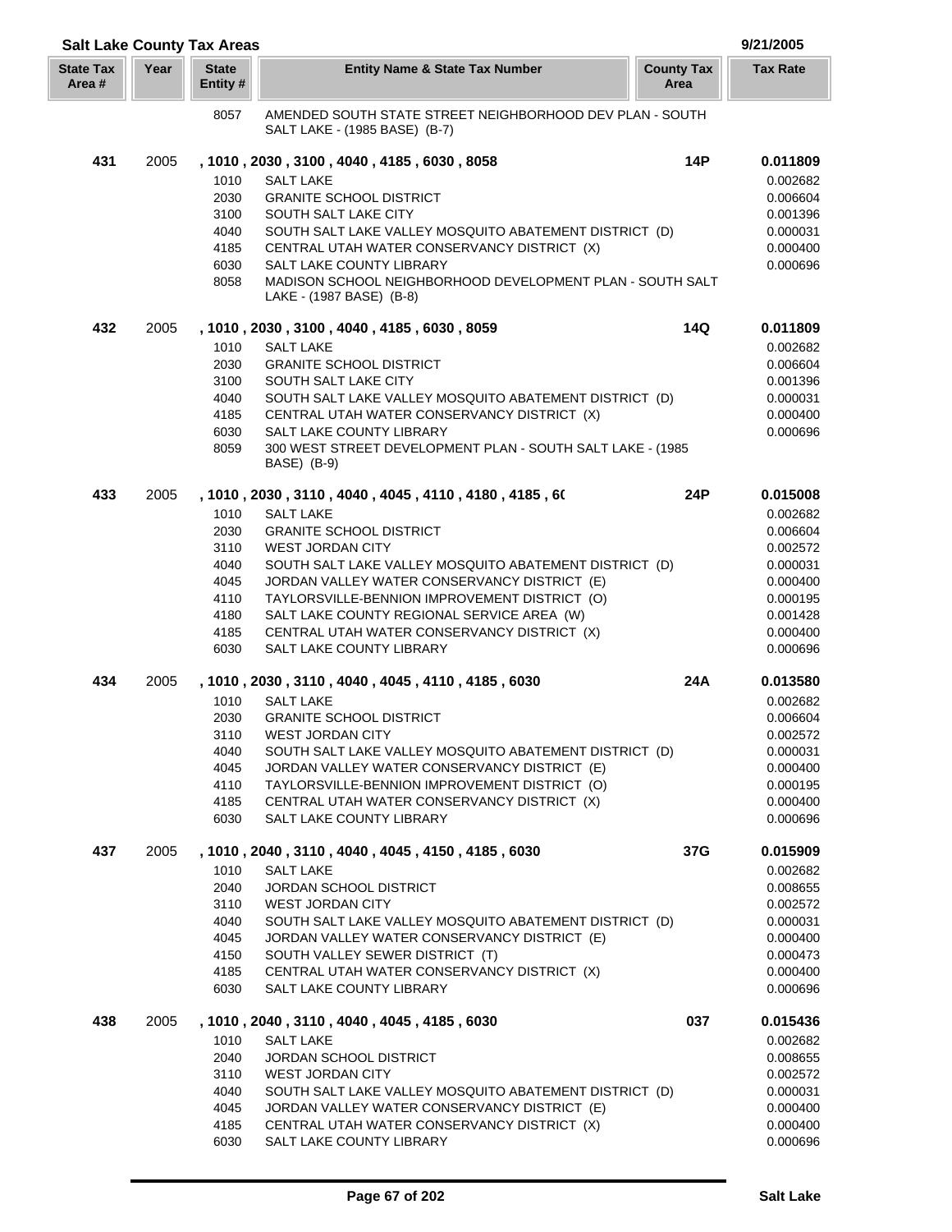|                            |      | <b>Salt Lake County Tax Areas</b> |                                                                                               |                           | 9/21/2005            |
|----------------------------|------|-----------------------------------|-----------------------------------------------------------------------------------------------|---------------------------|----------------------|
| <b>State Tax</b><br>Area # | Year | <b>State</b><br>Entity #          | <b>Entity Name &amp; State Tax Number</b>                                                     | <b>County Tax</b><br>Area | <b>Tax Rate</b>      |
|                            |      | 8057                              | AMENDED SOUTH STATE STREET NEIGHBORHOOD DEV PLAN - SOUTH<br>SALT LAKE - (1985 BASE) (B-7)     |                           |                      |
| 431                        | 2005 |                                   | , 1010, 2030, 3100, 4040, 4185, 6030, 8058                                                    | 14P                       | 0.011809             |
|                            |      | 1010                              | <b>SALT LAKE</b>                                                                              |                           | 0.002682             |
|                            |      | 2030                              | <b>GRANITE SCHOOL DISTRICT</b>                                                                |                           | 0.006604             |
|                            |      | 3100                              | SOUTH SALT LAKE CITY                                                                          |                           | 0.001396             |
|                            |      | 4040                              | SOUTH SALT LAKE VALLEY MOSQUITO ABATEMENT DISTRICT (D)                                        |                           | 0.000031             |
|                            |      | 4185                              | CENTRAL UTAH WATER CONSERVANCY DISTRICT (X)                                                   |                           | 0.000400             |
|                            |      | 6030                              | <b>SALT LAKE COUNTY LIBRARY</b>                                                               |                           | 0.000696             |
|                            |      | 8058                              | MADISON SCHOOL NEIGHBORHOOD DEVELOPMENT PLAN - SOUTH SALT                                     |                           |                      |
|                            |      |                                   | LAKE - (1987 BASE) (B-8)                                                                      |                           |                      |
| 432                        | 2005 |                                   | , 1010, 2030, 3100, 4040, 4185, 6030, 8059                                                    | 14Q                       | 0.011809             |
|                            |      | 1010                              | <b>SALT LAKE</b>                                                                              |                           | 0.002682             |
|                            |      | 2030                              | <b>GRANITE SCHOOL DISTRICT</b>                                                                |                           | 0.006604             |
|                            |      | 3100                              | SOUTH SALT LAKE CITY                                                                          |                           | 0.001396             |
|                            |      | 4040                              | SOUTH SALT LAKE VALLEY MOSQUITO ABATEMENT DISTRICT (D)                                        |                           | 0.000031             |
|                            |      | 4185                              | CENTRAL UTAH WATER CONSERVANCY DISTRICT (X)                                                   |                           | 0.000400             |
|                            |      | 6030                              | SALT LAKE COUNTY LIBRARY                                                                      |                           | 0.000696             |
|                            |      | 8059                              | 300 WEST STREET DEVELOPMENT PLAN - SOUTH SALT LAKE - (1985<br>BASE) (B-9)                     |                           |                      |
| 433                        | 2005 |                                   | , 1010 , 2030 , 3110 , 4040 , 4045 , 4110 , 4180 , 4185 , 60                                  | 24P                       | 0.015008             |
|                            |      | 1010                              | <b>SALT LAKE</b>                                                                              |                           | 0.002682             |
|                            |      | 2030                              | <b>GRANITE SCHOOL DISTRICT</b>                                                                |                           | 0.006604             |
|                            |      | 3110                              | <b>WEST JORDAN CITY</b>                                                                       |                           | 0.002572             |
|                            |      | 4040                              | SOUTH SALT LAKE VALLEY MOSQUITO ABATEMENT DISTRICT (D)                                        |                           | 0.000031             |
|                            |      | 4045                              | JORDAN VALLEY WATER CONSERVANCY DISTRICT (E)                                                  |                           | 0.000400             |
|                            |      | 4110                              | TAYLORSVILLE-BENNION IMPROVEMENT DISTRICT (O)                                                 |                           | 0.000195             |
|                            |      | 4180                              | SALT LAKE COUNTY REGIONAL SERVICE AREA (W)                                                    |                           | 0.001428             |
|                            |      | 4185                              | CENTRAL UTAH WATER CONSERVANCY DISTRICT (X)                                                   |                           | 0.000400             |
|                            |      | 6030                              | SALT LAKE COUNTY LIBRARY                                                                      |                           | 0.000696             |
| 434                        | 2005 |                                   | , 1010, 2030, 3110, 4040, 4045, 4110, 4185, 6030                                              | 24A                       | 0.013580             |
|                            |      | 1010                              | <b>SALT LAKE</b>                                                                              |                           | 0.002682             |
|                            |      | 2030                              | <b>GRANITE SCHOOL DISTRICT</b>                                                                |                           | 0.006604             |
|                            |      | 3110                              | WEST JORDAN CITY                                                                              |                           | 0.002572             |
|                            |      | 4040                              | SOUTH SALT LAKE VALLEY MOSQUITO ABATEMENT DISTRICT (D)                                        |                           | 0.000031             |
|                            |      | 4045<br>4110                      | JORDAN VALLEY WATER CONSERVANCY DISTRICT (E)<br>TAYLORSVILLE-BENNION IMPROVEMENT DISTRICT (O) |                           | 0.000400<br>0.000195 |
|                            |      | 4185                              | CENTRAL UTAH WATER CONSERVANCY DISTRICT (X)                                                   |                           | 0.000400             |
|                            |      | 6030                              | <b>SALT LAKE COUNTY LIBRARY</b>                                                               |                           | 0.000696             |
|                            |      |                                   |                                                                                               |                           |                      |
| 437                        | 2005 | 1010                              | , 1010, 2040, 3110, 4040, 4045, 4150, 4185, 6030<br><b>SALT LAKE</b>                          | 37G                       | 0.015909<br>0.002682 |
|                            |      | 2040                              | <b>JORDAN SCHOOL DISTRICT</b>                                                                 |                           | 0.008655             |
|                            |      | 3110                              | <b>WEST JORDAN CITY</b>                                                                       |                           | 0.002572             |
|                            |      | 4040                              | SOUTH SALT LAKE VALLEY MOSQUITO ABATEMENT DISTRICT (D)                                        |                           | 0.000031             |
|                            |      | 4045                              | JORDAN VALLEY WATER CONSERVANCY DISTRICT (E)                                                  |                           | 0.000400             |
|                            |      | 4150                              | SOUTH VALLEY SEWER DISTRICT (T)                                                               |                           | 0.000473             |
|                            |      | 4185                              | CENTRAL UTAH WATER CONSERVANCY DISTRICT (X)                                                   |                           | 0.000400             |
|                            |      | 6030                              | SALT LAKE COUNTY LIBRARY                                                                      |                           | 0.000696             |
| 438                        | 2005 |                                   | , 1010, 2040, 3110, 4040, 4045, 4185, 6030                                                    | 037                       | 0.015436             |
|                            |      | 1010                              | <b>SALT LAKE</b>                                                                              |                           | 0.002682             |
|                            |      | 2040                              | JORDAN SCHOOL DISTRICT                                                                        |                           | 0.008655             |
|                            |      | 3110                              | <b>WEST JORDAN CITY</b>                                                                       |                           | 0.002572             |
|                            |      | 4040                              | SOUTH SALT LAKE VALLEY MOSQUITO ABATEMENT DISTRICT (D)                                        |                           | 0.000031             |
|                            |      | 4045<br>4185                      | JORDAN VALLEY WATER CONSERVANCY DISTRICT (E)<br>CENTRAL UTAH WATER CONSERVANCY DISTRICT (X)   |                           | 0.000400<br>0.000400 |
|                            |      | 6030                              | SALT LAKE COUNTY LIBRARY                                                                      |                           | 0.000696             |
|                            |      |                                   |                                                                                               |                           |                      |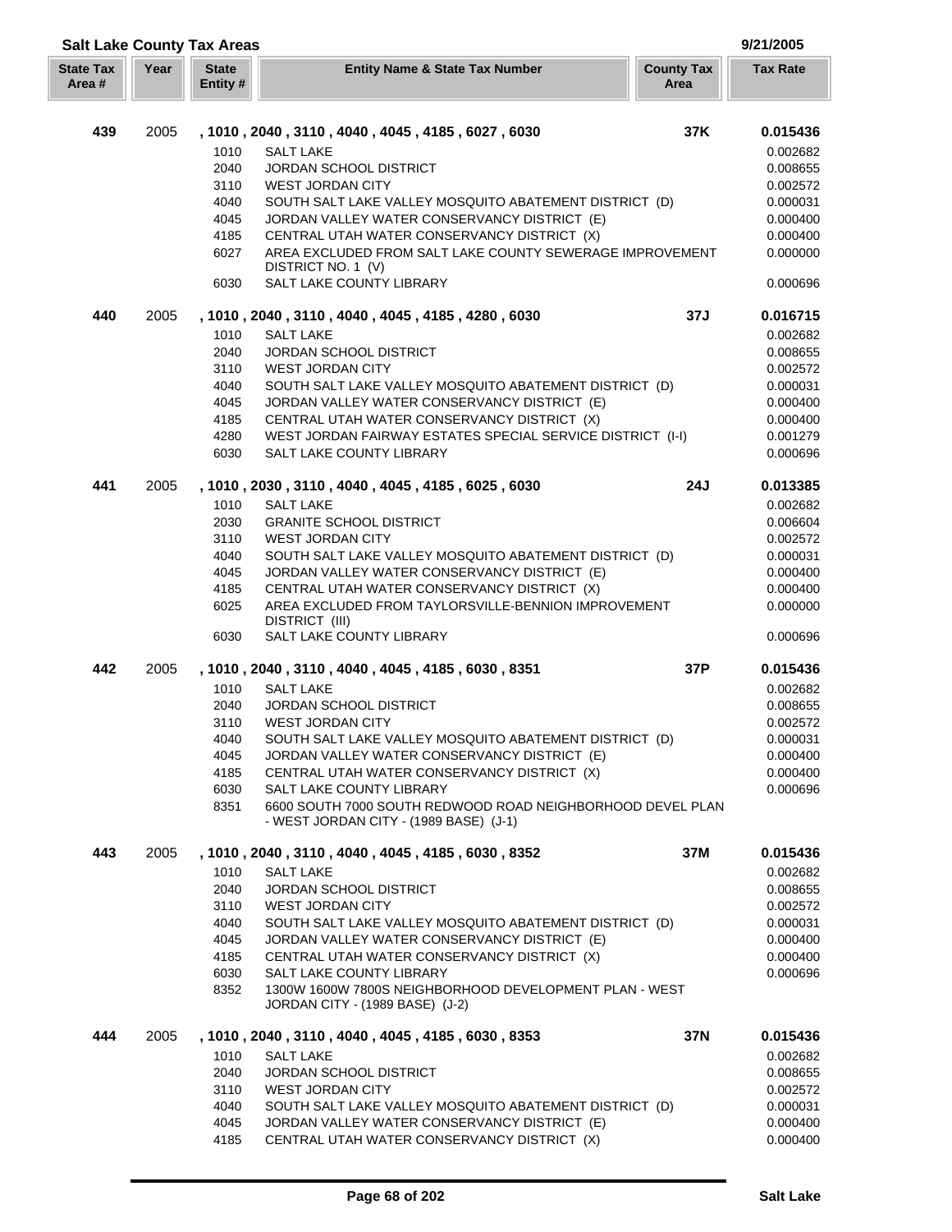| <b>Salt Lake County Tax Areas</b> |      |                          |                                                                                                      |                           | 9/21/2005       |
|-----------------------------------|------|--------------------------|------------------------------------------------------------------------------------------------------|---------------------------|-----------------|
| <b>State Tax</b><br>Area #        | Year | <b>State</b><br>Entity # | <b>Entity Name &amp; State Tax Number</b>                                                            | <b>County Tax</b><br>Area | <b>Tax Rate</b> |
|                                   |      |                          |                                                                                                      |                           |                 |
| 439                               | 2005 |                          | , 1010, 2040, 3110, 4040, 4045, 4185, 6027, 6030                                                     | 37K                       | 0.015436        |
|                                   |      | 1010                     | <b>SALT LAKE</b>                                                                                     |                           | 0.002682        |
|                                   |      | 2040                     | <b>JORDAN SCHOOL DISTRICT</b>                                                                        |                           | 0.008655        |
|                                   |      | 3110                     | <b>WEST JORDAN CITY</b>                                                                              |                           | 0.002572        |
|                                   |      | 4040                     | SOUTH SALT LAKE VALLEY MOSQUITO ABATEMENT DISTRICT (D)                                               |                           | 0.000031        |
|                                   |      | 4045                     | JORDAN VALLEY WATER CONSERVANCY DISTRICT (E)                                                         |                           | 0.000400        |
|                                   |      | 4185                     | CENTRAL UTAH WATER CONSERVANCY DISTRICT (X)                                                          |                           | 0.000400        |
|                                   |      | 6027                     | AREA EXCLUDED FROM SALT LAKE COUNTY SEWERAGE IMPROVEMENT                                             |                           | 0.000000        |
|                                   |      | 6030                     | DISTRICT NO. 1 (V)<br>SALT LAKE COUNTY LIBRARY                                                       |                           | 0.000696        |
| 440                               | 2005 |                          | , 1010, 2040, 3110, 4040, 4045, 4185, 4280, 6030                                                     | 37J                       | 0.016715        |
|                                   |      | 1010                     | <b>SALT LAKE</b>                                                                                     |                           | 0.002682        |
|                                   |      | 2040                     | <b>JORDAN SCHOOL DISTRICT</b>                                                                        |                           | 0.008655        |
|                                   |      | 3110                     | <b>WEST JORDAN CITY</b>                                                                              |                           | 0.002572        |
|                                   |      | 4040                     | SOUTH SALT LAKE VALLEY MOSQUITO ABATEMENT DISTRICT (D)                                               |                           | 0.000031        |
|                                   |      | 4045                     | JORDAN VALLEY WATER CONSERVANCY DISTRICT (E)                                                         |                           | 0.000400        |
|                                   |      | 4185                     | CENTRAL UTAH WATER CONSERVANCY DISTRICT (X)                                                          |                           | 0.000400        |
|                                   |      | 4280                     | WEST JORDAN FAIRWAY ESTATES SPECIAL SERVICE DISTRICT (I-I)                                           |                           | 0.001279        |
|                                   |      | 6030                     | <b>SALT LAKE COUNTY LIBRARY</b>                                                                      |                           | 0.000696        |
| 441                               | 2005 |                          | , 1010, 2030, 3110, 4040, 4045, 4185, 6025, 6030                                                     | 24J                       | 0.013385        |
|                                   |      | 1010                     | <b>SALT LAKE</b>                                                                                     |                           | 0.002682        |
|                                   |      | 2030                     | <b>GRANITE SCHOOL DISTRICT</b>                                                                       |                           | 0.006604        |
|                                   |      | 3110                     | <b>WEST JORDAN CITY</b>                                                                              |                           | 0.002572        |
|                                   |      | 4040                     | SOUTH SALT LAKE VALLEY MOSQUITO ABATEMENT DISTRICT (D)                                               |                           | 0.000031        |
|                                   |      | 4045                     | JORDAN VALLEY WATER CONSERVANCY DISTRICT (E)                                                         |                           | 0.000400        |
|                                   |      | 4185                     | CENTRAL UTAH WATER CONSERVANCY DISTRICT (X)                                                          |                           | 0.000400        |
|                                   |      | 6025                     | AREA EXCLUDED FROM TAYLORSVILLE-BENNION IMPROVEMENT<br>DISTRICT (III)                                |                           | 0.000000        |
|                                   |      | 6030                     | SALT LAKE COUNTY LIBRARY                                                                             |                           | 0.000696        |
| 442                               | 2005 |                          | , 1010, 2040, 3110, 4040, 4045, 4185, 6030, 8351                                                     | 37P                       | 0.015436        |
|                                   |      | 1010                     | <b>SALT LAKE</b>                                                                                     |                           | 0.002682        |
|                                   |      | 2040                     | JORDAN SCHOOL DISTRICT                                                                               |                           | 0.008655        |
|                                   |      | 3110                     | <b>WEST JORDAN CITY</b>                                                                              |                           | 0.002572        |
|                                   |      | 4040                     | SOUTH SALT LAKE VALLEY MOSQUITO ABATEMENT DISTRICT (D)                                               |                           | 0.000031        |
|                                   |      | 4045                     | JORDAN VALLEY WATER CONSERVANCY DISTRICT (E)                                                         |                           | 0.000400        |
|                                   |      | 4185                     | CENTRAL UTAH WATER CONSERVANCY DISTRICT (X)                                                          |                           | 0.000400        |
|                                   |      | 6030                     | SALT LAKE COUNTY LIBRARY                                                                             |                           | 0.000696        |
|                                   |      | 8351                     | 6600 SOUTH 7000 SOUTH REDWOOD ROAD NEIGHBORHOOD DEVEL PLAN<br>- WEST JORDAN CITY - (1989 BASE) (J-1) |                           |                 |
| 443                               | 2005 |                          | , 1010, 2040, 3110, 4040, 4045, 4185, 6030, 8352                                                     | 37M                       | 0.015436        |
|                                   |      | 1010                     | <b>SALT LAKE</b>                                                                                     |                           | 0.002682        |
|                                   |      | 2040                     | <b>JORDAN SCHOOL DISTRICT</b>                                                                        |                           | 0.008655        |
|                                   |      | 3110                     | <b>WEST JORDAN CITY</b>                                                                              |                           | 0.002572        |
|                                   |      | 4040                     | SOUTH SALT LAKE VALLEY MOSQUITO ABATEMENT DISTRICT (D)                                               |                           | 0.000031        |
|                                   |      | 4045                     | JORDAN VALLEY WATER CONSERVANCY DISTRICT (E)                                                         |                           | 0.000400        |
|                                   |      | 4185                     | CENTRAL UTAH WATER CONSERVANCY DISTRICT (X)                                                          |                           | 0.000400        |
|                                   |      | 6030                     | SALT LAKE COUNTY LIBRARY                                                                             |                           | 0.000696        |
|                                   |      | 8352                     | 1300W 1600W 7800S NEIGHBORHOOD DEVELOPMENT PLAN - WEST<br>JORDAN CITY - (1989 BASE) (J-2)            |                           |                 |
| 444                               | 2005 |                          | , 1010, 2040, 3110, 4040, 4045, 4185, 6030, 8353                                                     | 37N                       | 0.015436        |
|                                   |      | 1010                     | <b>SALT LAKE</b>                                                                                     |                           | 0.002682        |
|                                   |      | 2040                     | <b>JORDAN SCHOOL DISTRICT</b>                                                                        |                           | 0.008655        |
|                                   |      | 3110                     | <b>WEST JORDAN CITY</b>                                                                              |                           | 0.002572        |
|                                   |      | 4040                     | SOUTH SALT LAKE VALLEY MOSQUITO ABATEMENT DISTRICT (D)                                               |                           | 0.000031        |
|                                   |      | 4045                     | JORDAN VALLEY WATER CONSERVANCY DISTRICT (E)                                                         |                           | 0.000400        |
|                                   |      | 4185                     | CENTRAL UTAH WATER CONSERVANCY DISTRICT (X)                                                          |                           | 0.000400        |

Г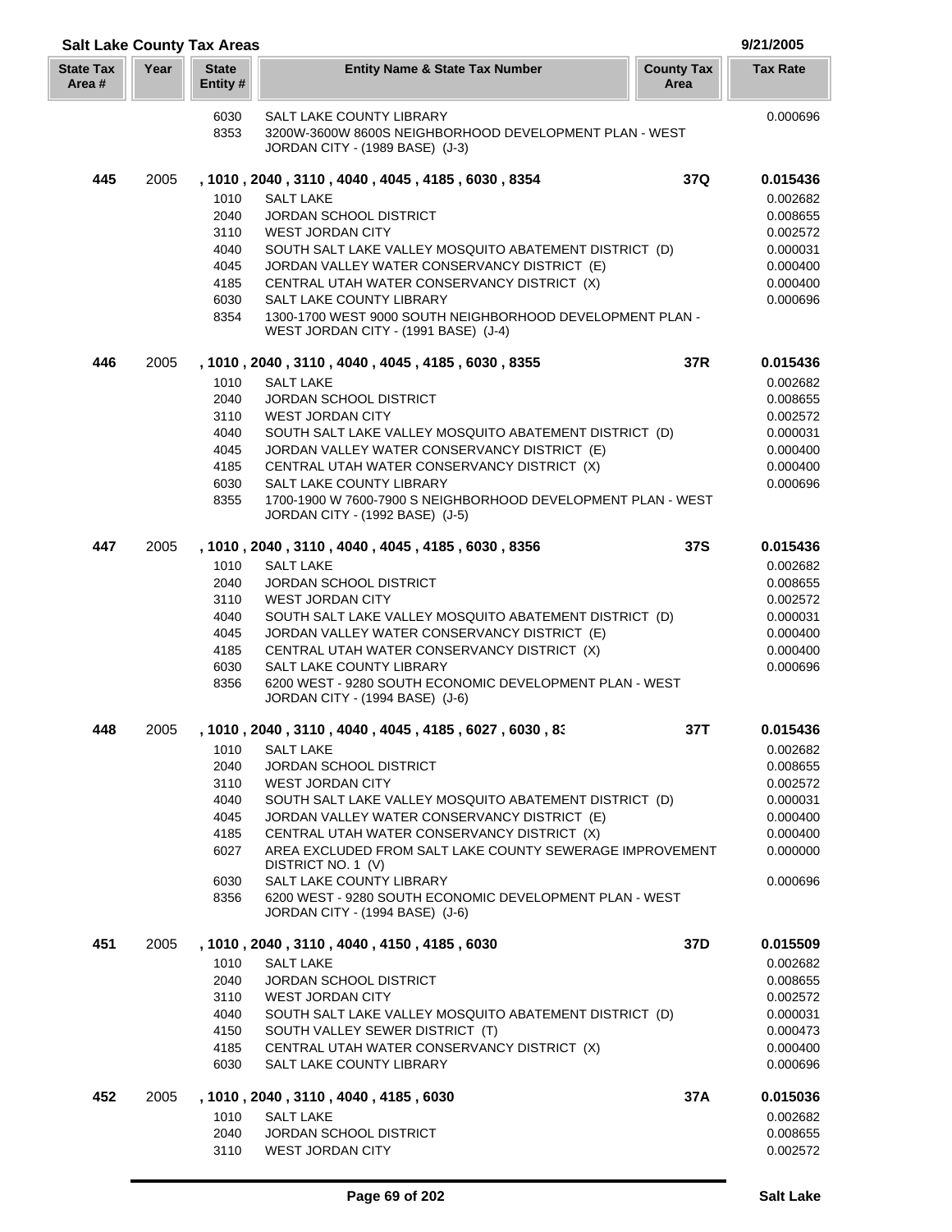|                            |      | <b>Salt Lake County Tax Areas</b>                                    |                                                                                                                                                                                                                                                                                                                                                                                                                                                                                                            |                           | 9/21/2005                                                                                                |
|----------------------------|------|----------------------------------------------------------------------|------------------------------------------------------------------------------------------------------------------------------------------------------------------------------------------------------------------------------------------------------------------------------------------------------------------------------------------------------------------------------------------------------------------------------------------------------------------------------------------------------------|---------------------------|----------------------------------------------------------------------------------------------------------|
| <b>State Tax</b><br>Area # | Year | <b>State</b><br>Entity #                                             | <b>Entity Name &amp; State Tax Number</b>                                                                                                                                                                                                                                                                                                                                                                                                                                                                  | <b>County Tax</b><br>Area | <b>Tax Rate</b>                                                                                          |
|                            |      | 6030<br>8353                                                         | SALT LAKE COUNTY LIBRARY<br>3200W-3600W 8600S NEIGHBORHOOD DEVELOPMENT PLAN - WEST<br>JORDAN CITY - (1989 BASE) (J-3)                                                                                                                                                                                                                                                                                                                                                                                      |                           | 0.000696                                                                                                 |
| 445                        | 2005 | 1010<br>2040                                                         | , 1010, 2040, 3110, 4040, 4045, 4185, 6030, 8354<br><b>SALT LAKE</b><br>JORDAN SCHOOL DISTRICT                                                                                                                                                                                                                                                                                                                                                                                                             | 37Q                       | 0.015436<br>0.002682<br>0.008655                                                                         |
|                            |      | 3110<br>4040<br>4045<br>4185<br>6030<br>8354                         | <b>WEST JORDAN CITY</b><br>SOUTH SALT LAKE VALLEY MOSQUITO ABATEMENT DISTRICT (D)<br>JORDAN VALLEY WATER CONSERVANCY DISTRICT (E)<br>CENTRAL UTAH WATER CONSERVANCY DISTRICT (X)<br>SALT LAKE COUNTY LIBRARY<br>1300-1700 WEST 9000 SOUTH NEIGHBORHOOD DEVELOPMENT PLAN -                                                                                                                                                                                                                                  |                           | 0.002572<br>0.000031<br>0.000400<br>0.000400<br>0.000696                                                 |
|                            |      |                                                                      | WEST JORDAN CITY - (1991 BASE) (J-4)                                                                                                                                                                                                                                                                                                                                                                                                                                                                       |                           |                                                                                                          |
| 446                        | 2005 | 1010<br>2040<br>3110<br>4040<br>4045<br>4185<br>6030<br>8355         | , 1010, 2040, 3110, 4040, 4045, 4185, 6030, 8355<br><b>SALT LAKE</b><br><b>JORDAN SCHOOL DISTRICT</b><br><b>WEST JORDAN CITY</b><br>SOUTH SALT LAKE VALLEY MOSQUITO ABATEMENT DISTRICT (D)<br>JORDAN VALLEY WATER CONSERVANCY DISTRICT (E)<br>CENTRAL UTAH WATER CONSERVANCY DISTRICT (X)<br>SALT LAKE COUNTY LIBRARY<br>1700-1900 W 7600-7900 S NEIGHBORHOOD DEVELOPMENT PLAN - WEST<br>JORDAN CITY - (1992 BASE) (J-5)                                                                                   | 37R                       | 0.015436<br>0.002682<br>0.008655<br>0.002572<br>0.000031<br>0.000400<br>0.000400<br>0.000696             |
| 447                        | 2005 | 1010<br>2040<br>3110<br>4040<br>4045<br>4185<br>6030<br>8356         | , 1010, 2040, 3110, 4040, 4045, 4185, 6030, 8356<br><b>SALT LAKE</b><br>JORDAN SCHOOL DISTRICT<br><b>WEST JORDAN CITY</b><br>SOUTH SALT LAKE VALLEY MOSQUITO ABATEMENT DISTRICT (D)<br>JORDAN VALLEY WATER CONSERVANCY DISTRICT (E)<br>CENTRAL UTAH WATER CONSERVANCY DISTRICT (X)<br>SALT LAKE COUNTY LIBRARY<br>6200 WEST - 9280 SOUTH ECONOMIC DEVELOPMENT PLAN - WEST<br>JORDAN CITY - (1994 BASE) (J-6)                                                                                               | 37S                       | 0.015436<br>0.002682<br>0.008655<br>0.002572<br>0.000031<br>0.000400<br>0.000400<br>0.000696             |
| 448                        | 2005 | 1010<br>2040<br>3110<br>4040<br>4045<br>4185<br>6027<br>6030<br>8356 | , 1010 , 2040 , 3110 , 4040 , 4045 , 4185 , 6027 , 6030 , 83<br>SALT LAKE<br><b>JORDAN SCHOOL DISTRICT</b><br><b>WEST JORDAN CITY</b><br>SOUTH SALT LAKE VALLEY MOSQUITO ABATEMENT DISTRICT (D)<br>JORDAN VALLEY WATER CONSERVANCY DISTRICT (E)<br>CENTRAL UTAH WATER CONSERVANCY DISTRICT (X)<br>AREA EXCLUDED FROM SALT LAKE COUNTY SEWERAGE IMPROVEMENT<br>DISTRICT NO. 1 (V)<br>SALT LAKE COUNTY LIBRARY<br>6200 WEST - 9280 SOUTH ECONOMIC DEVELOPMENT PLAN - WEST<br>JORDAN CITY - (1994 BASE) (J-6) | 37T                       | 0.015436<br>0.002682<br>0.008655<br>0.002572<br>0.000031<br>0.000400<br>0.000400<br>0.000000<br>0.000696 |
| 451                        | 2005 | 1010<br>2040<br>3110<br>4040<br>4150<br>4185<br>6030                 | , 1010, 2040, 3110, 4040, 4150, 4185, 6030<br><b>SALT LAKE</b><br><b>JORDAN SCHOOL DISTRICT</b><br><b>WEST JORDAN CITY</b><br>SOUTH SALT LAKE VALLEY MOSQUITO ABATEMENT DISTRICT (D)<br>SOUTH VALLEY SEWER DISTRICT (T)<br>CENTRAL UTAH WATER CONSERVANCY DISTRICT (X)<br>SALT LAKE COUNTY LIBRARY                                                                                                                                                                                                         | 37D                       | 0.015509<br>0.002682<br>0.008655<br>0.002572<br>0.000031<br>0.000473<br>0.000400<br>0.000696             |
| 452                        | 2005 | 1010<br>2040<br>3110                                                 | , 1010, 2040, 3110, 4040, 4185, 6030<br><b>SALT LAKE</b><br><b>JORDAN SCHOOL DISTRICT</b><br><b>WEST JORDAN CITY</b>                                                                                                                                                                                                                                                                                                                                                                                       | 37A                       | 0.015036<br>0.002682<br>0.008655<br>0.002572                                                             |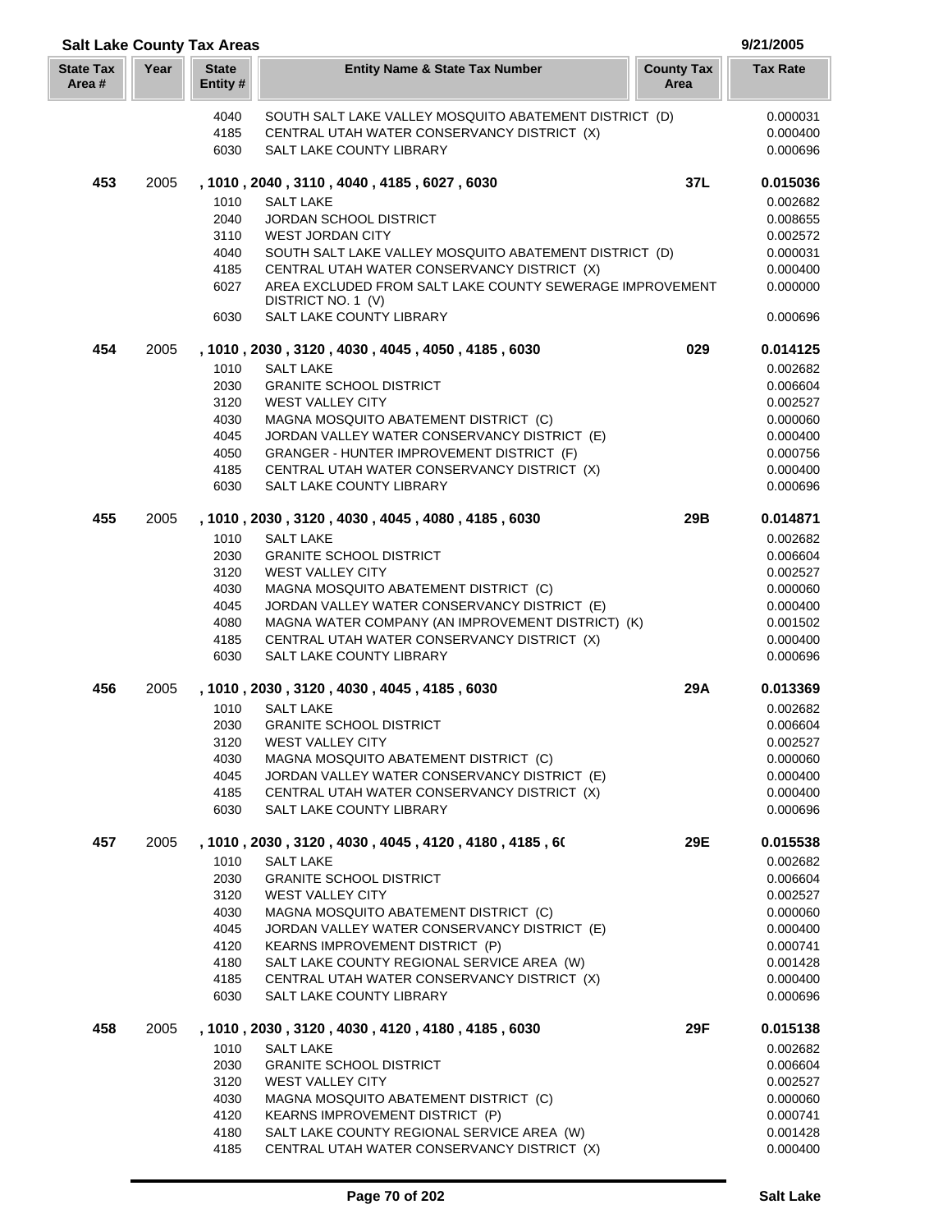| <b>Salt Lake County Tax Areas</b> |      |                          |                                                                                  |                           | 9/21/2005            |
|-----------------------------------|------|--------------------------|----------------------------------------------------------------------------------|---------------------------|----------------------|
| <b>State Tax</b><br>Area#         | Year | <b>State</b><br>Entity # | <b>Entity Name &amp; State Tax Number</b>                                        | <b>County Tax</b><br>Area | <b>Tax Rate</b>      |
|                                   |      | 4040                     | SOUTH SALT LAKE VALLEY MOSQUITO ABATEMENT DISTRICT (D)                           |                           | 0.000031             |
|                                   |      | 4185                     | CENTRAL UTAH WATER CONSERVANCY DISTRICT (X)                                      |                           | 0.000400             |
|                                   |      | 6030                     | SALT LAKE COUNTY LIBRARY                                                         |                           | 0.000696             |
| 453                               | 2005 |                          | , 1010, 2040, 3110, 4040, 4185, 6027, 6030                                       | 37L                       | 0.015036             |
|                                   |      | 1010                     | <b>SALT LAKE</b>                                                                 |                           | 0.002682             |
|                                   |      | 2040                     | <b>JORDAN SCHOOL DISTRICT</b>                                                    |                           | 0.008655             |
|                                   |      | 3110                     | <b>WEST JORDAN CITY</b>                                                          |                           | 0.002572             |
|                                   |      | 4040                     | SOUTH SALT LAKE VALLEY MOSQUITO ABATEMENT DISTRICT (D)                           |                           | 0.000031             |
|                                   |      | 4185                     | CENTRAL UTAH WATER CONSERVANCY DISTRICT (X)                                      |                           | 0.000400             |
|                                   |      | 6027                     | AREA EXCLUDED FROM SALT LAKE COUNTY SEWERAGE IMPROVEMENT<br>DISTRICT NO. 1 (V)   |                           | 0.000000             |
|                                   |      | 6030                     | SALT LAKE COUNTY LIBRARY                                                         |                           | 0.000696             |
| 454                               | 2005 |                          | , 1010, 2030, 3120, 4030, 4045, 4050, 4185, 6030                                 | 029                       | 0.014125             |
|                                   |      | 1010                     | <b>SALT LAKE</b>                                                                 |                           | 0.002682             |
|                                   |      | 2030                     | <b>GRANITE SCHOOL DISTRICT</b>                                                   |                           | 0.006604             |
|                                   |      | 3120                     | <b>WEST VALLEY CITY</b>                                                          |                           | 0.002527             |
|                                   |      | 4030                     | MAGNA MOSQUITO ABATEMENT DISTRICT (C)                                            |                           | 0.000060             |
|                                   |      | 4045                     | JORDAN VALLEY WATER CONSERVANCY DISTRICT (E)                                     |                           | 0.000400             |
|                                   |      | 4050                     | GRANGER - HUNTER IMPROVEMENT DISTRICT (F)                                        |                           | 0.000756             |
|                                   |      | 4185                     | CENTRAL UTAH WATER CONSERVANCY DISTRICT (X)                                      |                           | 0.000400             |
|                                   |      | 6030                     | SALT LAKE COUNTY LIBRARY                                                         |                           | 0.000696             |
| 455                               | 2005 |                          | , 1010, 2030, 3120, 4030, 4045, 4080, 4185, 6030                                 | 29B                       | 0.014871             |
|                                   |      | 1010                     | <b>SALT LAKE</b>                                                                 |                           | 0.002682             |
|                                   |      | 2030<br>3120             | <b>GRANITE SCHOOL DISTRICT</b><br><b>WEST VALLEY CITY</b>                        |                           | 0.006604<br>0.002527 |
|                                   |      | 4030                     | MAGNA MOSQUITO ABATEMENT DISTRICT (C)                                            |                           | 0.000060             |
|                                   |      | 4045                     | JORDAN VALLEY WATER CONSERVANCY DISTRICT (E)                                     |                           | 0.000400             |
|                                   |      | 4080                     | MAGNA WATER COMPANY (AN IMPROVEMENT DISTRICT) (K)                                |                           | 0.001502             |
|                                   |      | 4185                     | CENTRAL UTAH WATER CONSERVANCY DISTRICT (X)                                      |                           | 0.000400             |
|                                   |      | 6030                     | <b>SALT LAKE COUNTY LIBRARY</b>                                                  |                           | 0.000696             |
| 456                               | 2005 |                          | , 1010, 2030, 3120, 4030, 4045, 4185, 6030                                       | 29A                       | 0.013369             |
|                                   |      | 1010                     | <b>SALT LAKE</b>                                                                 |                           | 0.002682             |
|                                   |      | 2030                     | <b>GRANITE SCHOOL DISTRICT</b>                                                   |                           | 0.006604             |
|                                   |      | 3120                     | <b>WEST VALLEY CITY</b>                                                          |                           | 0.002527             |
|                                   |      | 4030                     | MAGNA MOSQUITO ABATEMENT DISTRICT (C)                                            |                           | 0.000060             |
|                                   |      | 4045                     | JORDAN VALLEY WATER CONSERVANCY DISTRICT (E)                                     |                           | 0.000400             |
|                                   |      | 4185                     | CENTRAL UTAH WATER CONSERVANCY DISTRICT (X)                                      |                           | 0.000400             |
|                                   |      | 6030                     | <b>SALT LAKE COUNTY LIBRARY</b>                                                  |                           | 0.000696             |
| 457                               | 2005 | 1010                     | , 1010 , 2030 , 3120 , 4030 , 4045 , 4120 , 4180 , 4185 , 60<br><b>SALT LAKE</b> | 29E                       | 0.015538<br>0.002682 |
|                                   |      | 2030                     | <b>GRANITE SCHOOL DISTRICT</b>                                                   |                           | 0.006604             |
|                                   |      | 3120                     | <b>WEST VALLEY CITY</b>                                                          |                           | 0.002527             |
|                                   |      | 4030                     | MAGNA MOSQUITO ABATEMENT DISTRICT (C)                                            |                           | 0.000060             |
|                                   |      | 4045                     | JORDAN VALLEY WATER CONSERVANCY DISTRICT (E)                                     |                           | 0.000400             |
|                                   |      | 4120                     | KEARNS IMPROVEMENT DISTRICT (P)                                                  |                           | 0.000741             |
|                                   |      | 4180                     | SALT LAKE COUNTY REGIONAL SERVICE AREA (W)                                       |                           | 0.001428             |
|                                   |      | 4185                     | CENTRAL UTAH WATER CONSERVANCY DISTRICT (X)                                      |                           | 0.000400             |
|                                   |      | 6030                     | SALT LAKE COUNTY LIBRARY                                                         |                           | 0.000696             |
| 458                               | 2005 |                          | , 1010, 2030, 3120, 4030, 4120, 4180, 4185, 6030                                 | 29F                       | 0.015138             |
|                                   |      | 1010                     | <b>SALT LAKE</b>                                                                 |                           | 0.002682             |
|                                   |      | 2030                     | <b>GRANITE SCHOOL DISTRICT</b>                                                   |                           | 0.006604             |
|                                   |      | 3120                     | <b>WEST VALLEY CITY</b>                                                          |                           | 0.002527             |
|                                   |      | 4030<br>4120             | MAGNA MOSQUITO ABATEMENT DISTRICT (C)<br><b>KEARNS IMPROVEMENT DISTRICT (P)</b>  |                           | 0.000060<br>0.000741 |
|                                   |      | 4180                     | SALT LAKE COUNTY REGIONAL SERVICE AREA (W)                                       |                           | 0.001428             |
|                                   |      | 4185                     | CENTRAL UTAH WATER CONSERVANCY DISTRICT (X)                                      |                           | 0.000400             |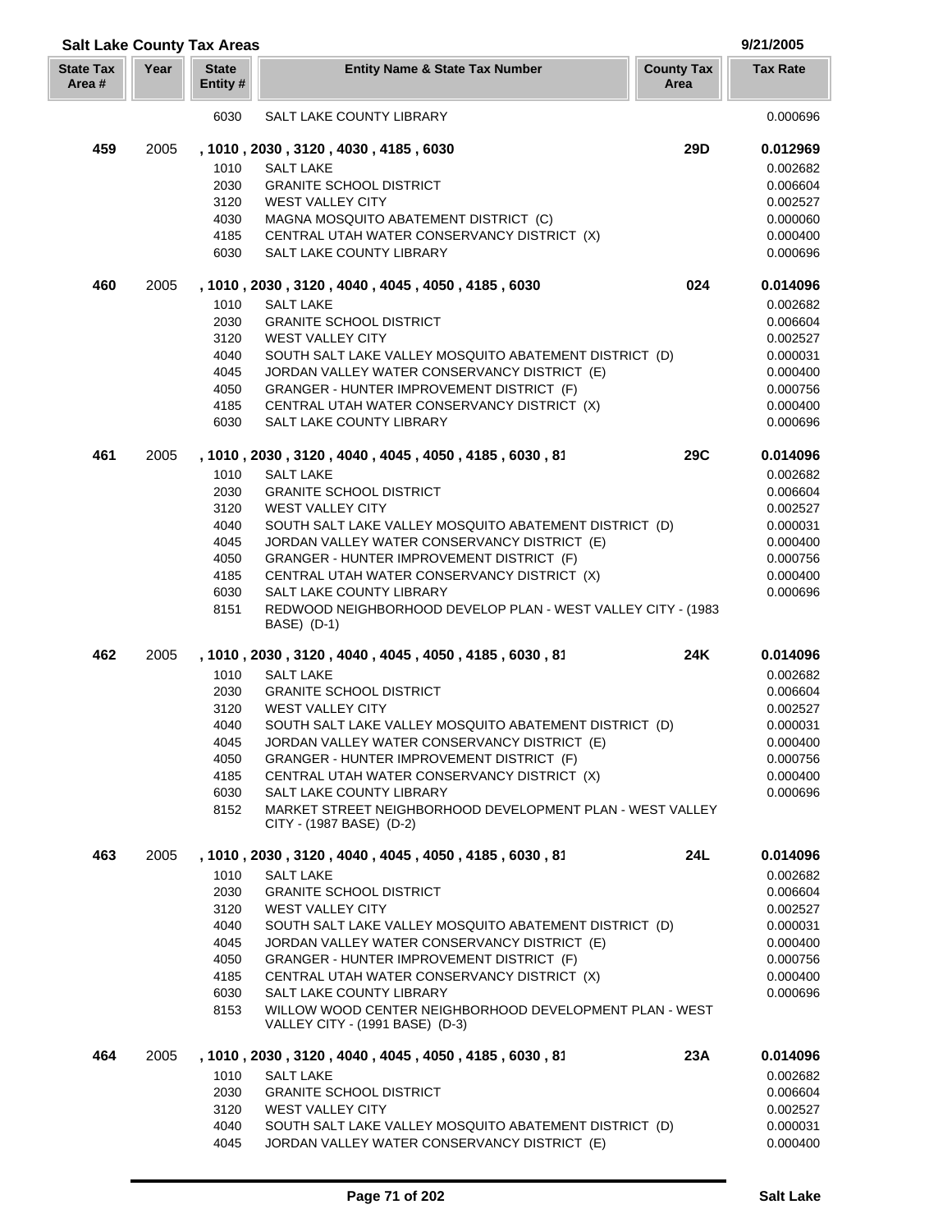| <b>Salt Lake County Tax Areas</b> |      |                         |                                                                                            |                           | 9/21/2005            |
|-----------------------------------|------|-------------------------|--------------------------------------------------------------------------------------------|---------------------------|----------------------|
| <b>State Tax</b><br>Area #        | Year | <b>State</b><br>Entity# | <b>Entity Name &amp; State Tax Number</b>                                                  | <b>County Tax</b><br>Area | <b>Tax Rate</b>      |
|                                   |      | 6030                    | <b>SALT LAKE COUNTY LIBRARY</b>                                                            |                           | 0.000696             |
| 459                               | 2005 |                         | , 1010, 2030, 3120, 4030, 4185, 6030                                                       | 29D                       | 0.012969             |
|                                   |      | 1010                    | <b>SALT LAKE</b>                                                                           |                           | 0.002682             |
|                                   |      | 2030                    | <b>GRANITE SCHOOL DISTRICT</b>                                                             |                           | 0.006604             |
|                                   |      | 3120                    | <b>WEST VALLEY CITY</b>                                                                    |                           | 0.002527             |
|                                   |      | 4030                    | MAGNA MOSQUITO ABATEMENT DISTRICT (C)                                                      |                           | 0.000060             |
|                                   |      | 4185                    | CENTRAL UTAH WATER CONSERVANCY DISTRICT (X)                                                |                           | 0.000400             |
|                                   |      | 6030                    | SALT LAKE COUNTY LIBRARY                                                                   |                           | 0.000696             |
| 460                               | 2005 |                         | , 1010, 2030, 3120, 4040, 4045, 4050, 4185, 6030                                           | 024                       | 0.014096             |
|                                   |      | 1010                    | <b>SALT LAKE</b>                                                                           |                           | 0.002682             |
|                                   |      | 2030                    | <b>GRANITE SCHOOL DISTRICT</b>                                                             |                           | 0.006604             |
|                                   |      | 3120                    | <b>WEST VALLEY CITY</b>                                                                    |                           | 0.002527             |
|                                   |      | 4040                    | SOUTH SALT LAKE VALLEY MOSQUITO ABATEMENT DISTRICT (D)                                     |                           | 0.000031             |
|                                   |      | 4045                    | JORDAN VALLEY WATER CONSERVANCY DISTRICT (E)                                               |                           | 0.000400             |
|                                   |      | 4050<br>4185            | GRANGER - HUNTER IMPROVEMENT DISTRICT (F)<br>CENTRAL UTAH WATER CONSERVANCY DISTRICT (X)   |                           | 0.000756<br>0.000400 |
|                                   |      | 6030                    | <b>SALT LAKE COUNTY LIBRARY</b>                                                            |                           | 0.000696             |
| 461                               | 2005 |                         | , 1010, 2030, 3120, 4040, 4045, 4050, 4185, 6030, 81                                       | <b>29C</b>                | 0.014096             |
|                                   |      | 1010                    | <b>SALT LAKE</b>                                                                           |                           | 0.002682             |
|                                   |      | 2030                    | <b>GRANITE SCHOOL DISTRICT</b>                                                             |                           | 0.006604             |
|                                   |      | 3120                    | <b>WEST VALLEY CITY</b>                                                                    |                           | 0.002527             |
|                                   |      | 4040                    | SOUTH SALT LAKE VALLEY MOSQUITO ABATEMENT DISTRICT (D)                                     |                           | 0.000031             |
|                                   |      | 4045                    | JORDAN VALLEY WATER CONSERVANCY DISTRICT (E)                                               |                           | 0.000400             |
|                                   |      | 4050                    | GRANGER - HUNTER IMPROVEMENT DISTRICT (F)                                                  |                           | 0.000756             |
|                                   |      | 4185                    | CENTRAL UTAH WATER CONSERVANCY DISTRICT (X)                                                |                           | 0.000400             |
|                                   |      | 6030                    | SALT LAKE COUNTY LIBRARY                                                                   |                           | 0.000696             |
|                                   |      | 8151                    | REDWOOD NEIGHBORHOOD DEVELOP PLAN - WEST VALLEY CITY - (1983<br>BASE) (D-1)                |                           |                      |
| 462                               | 2005 |                         | , 1010, 2030, 3120, 4040, 4045, 4050, 4185, 6030, 81                                       | 24K                       | 0.014096             |
|                                   |      | 1010                    | <b>SALT LAKE</b>                                                                           |                           | 0.002682             |
|                                   |      | 2030                    | <b>GRANITE SCHOOL DISTRICT</b>                                                             |                           | 0.006604             |
|                                   |      | 3120                    | <b>WEST VALLEY CITY</b>                                                                    |                           | 0.002527             |
|                                   |      | 4040                    | SOUTH SALT LAKE VALLEY MOSQUITO ABATEMENT DISTRICT (D)                                     |                           | 0.000031             |
|                                   |      | 4045                    | JORDAN VALLEY WATER CONSERVANCY DISTRICT (E)                                               |                           | 0.000400             |
|                                   |      | 4050                    | <b>GRANGER - HUNTER IMPROVEMENT DISTRICT (F)</b>                                           |                           | 0.000756             |
|                                   |      | 4185                    | CENTRAL UTAH WATER CONSERVANCY DISTRICT (X)                                                |                           | 0.000400             |
|                                   |      | 6030<br>8152            | SALT LAKE COUNTY LIBRARY<br>MARKET STREET NEIGHBORHOOD DEVELOPMENT PLAN - WEST VALLEY      |                           | 0.000696             |
|                                   |      |                         | CITY - (1987 BASE) (D-2)                                                                   |                           |                      |
| 463                               | 2005 |                         | , 1010, 2030, 3120, 4040, 4045, 4050, 4185, 6030, 81                                       | 24L                       | 0.014096             |
|                                   |      | 1010                    | <b>SALT LAKE</b>                                                                           |                           | 0.002682             |
|                                   |      | 2030                    | <b>GRANITE SCHOOL DISTRICT</b>                                                             |                           | 0.006604             |
|                                   |      | 3120                    | <b>WEST VALLEY CITY</b>                                                                    |                           | 0.002527             |
|                                   |      | 4040                    | SOUTH SALT LAKE VALLEY MOSQUITO ABATEMENT DISTRICT (D)                                     |                           | 0.000031             |
|                                   |      | 4045                    | JORDAN VALLEY WATER CONSERVANCY DISTRICT (E)                                               |                           | 0.000400             |
|                                   |      | 4050<br>4185            | GRANGER - HUNTER IMPROVEMENT DISTRICT (F)<br>CENTRAL UTAH WATER CONSERVANCY DISTRICT (X)   |                           | 0.000756<br>0.000400 |
|                                   |      | 6030                    | SALT LAKE COUNTY LIBRARY                                                                   |                           | 0.000696             |
|                                   |      | 8153                    | WILLOW WOOD CENTER NEIGHBORHOOD DEVELOPMENT PLAN - WEST<br>VALLEY CITY - (1991 BASE) (D-3) |                           |                      |
| 464                               | 2005 |                         | , 1010, 2030, 3120, 4040, 4045, 4050, 4185, 6030, 81                                       | 23A                       | 0.014096             |
|                                   |      | 1010                    | <b>SALT LAKE</b>                                                                           |                           | 0.002682             |
|                                   |      | 2030                    | <b>GRANITE SCHOOL DISTRICT</b>                                                             |                           | 0.006604             |
|                                   |      | 3120                    | <b>WEST VALLEY CITY</b>                                                                    |                           | 0.002527             |
|                                   |      | 4040                    | SOUTH SALT LAKE VALLEY MOSQUITO ABATEMENT DISTRICT (D)                                     |                           | 0.000031             |
|                                   |      | 4045                    | JORDAN VALLEY WATER CONSERVANCY DISTRICT (E)                                               |                           | 0.000400             |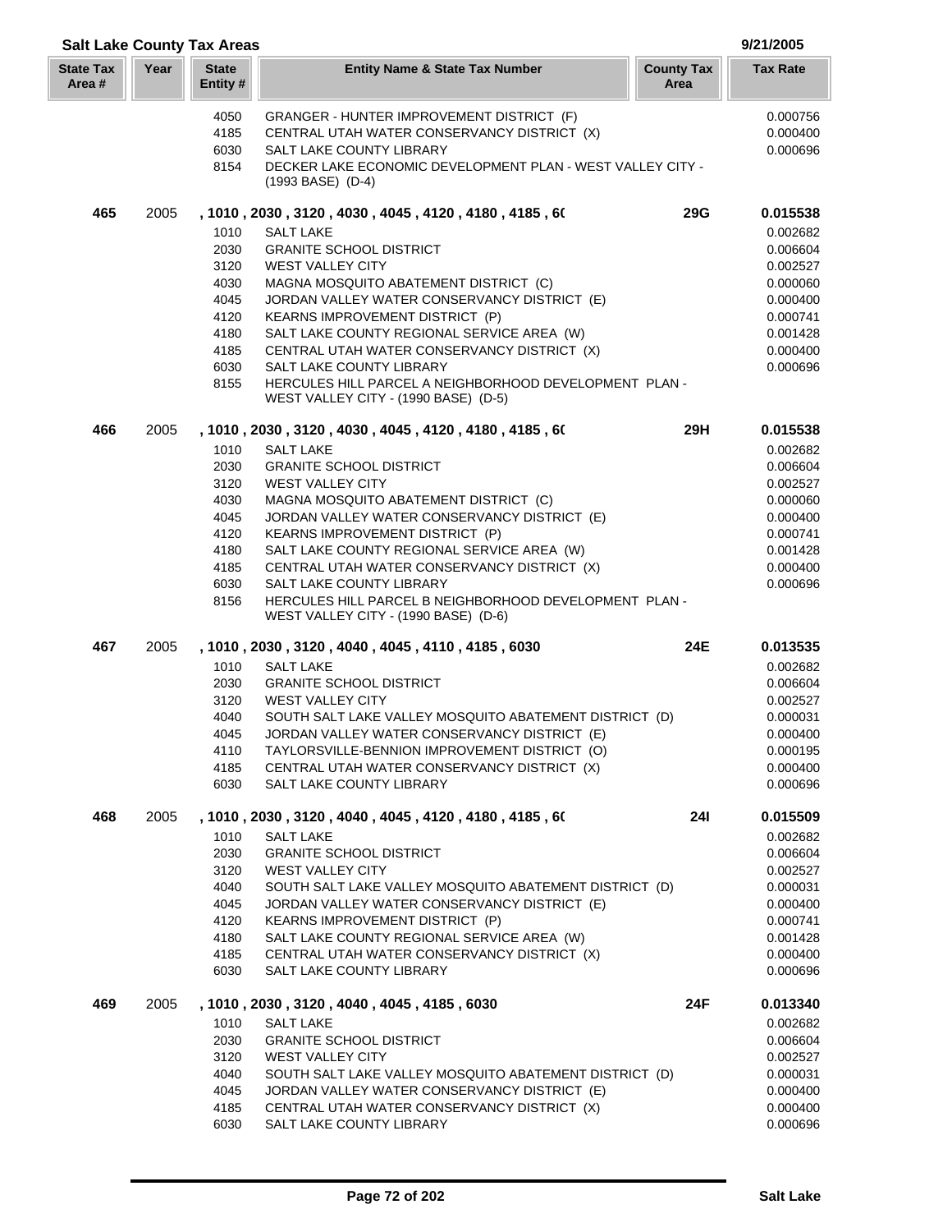| <b>Salt Lake County Tax Areas</b> |      |                                                              |                                                                                                        |                           | 9/21/2005            |
|-----------------------------------|------|--------------------------------------------------------------|--------------------------------------------------------------------------------------------------------|---------------------------|----------------------|
| <b>State Tax</b><br>Area#         | Year | <b>State</b><br>Entity#                                      | <b>Entity Name &amp; State Tax Number</b>                                                              | <b>County Tax</b><br>Area | <b>Tax Rate</b>      |
|                                   |      | 4050                                                         | GRANGER - HUNTER IMPROVEMENT DISTRICT (F)                                                              |                           | 0.000756             |
|                                   |      | 4185                                                         | CENTRAL UTAH WATER CONSERVANCY DISTRICT (X)                                                            |                           | 0.000400             |
|                                   |      | 6030                                                         | SALT LAKE COUNTY LIBRARY                                                                               |                           | 0.000696             |
|                                   |      | 8154                                                         | DECKER LAKE ECONOMIC DEVELOPMENT PLAN - WEST VALLEY CITY -<br>$(1993$ BASE) $(D-4)$                    |                           |                      |
| 465                               | 2005 |                                                              | , 1010, 2030, 3120, 4030, 4045, 4120, 4180, 4185, 60                                                   | <b>29G</b>                | 0.015538             |
|                                   |      | 1010                                                         | <b>SALT LAKE</b>                                                                                       |                           | 0.002682             |
|                                   |      | 2030<br>3120                                                 | <b>GRANITE SCHOOL DISTRICT</b><br><b>WEST VALLEY CITY</b>                                              |                           | 0.006604<br>0.002527 |
|                                   |      | 4030                                                         | MAGNA MOSQUITO ABATEMENT DISTRICT (C)                                                                  |                           | 0.000060             |
|                                   |      | 4045                                                         | JORDAN VALLEY WATER CONSERVANCY DISTRICT (E)                                                           |                           | 0.000400             |
|                                   |      | 4120                                                         | KEARNS IMPROVEMENT DISTRICT (P)                                                                        |                           | 0.000741             |
|                                   |      | 4180                                                         | SALT LAKE COUNTY REGIONAL SERVICE AREA (W)                                                             |                           | 0.001428             |
|                                   |      | 4185                                                         | CENTRAL UTAH WATER CONSERVANCY DISTRICT (X)                                                            |                           | 0.000400             |
|                                   |      | 6030                                                         | SALT LAKE COUNTY LIBRARY                                                                               |                           | 0.000696             |
|                                   |      | 8155                                                         | HERCULES HILL PARCEL A NEIGHBORHOOD DEVELOPMENT PLAN -<br>WEST VALLEY CITY - (1990 BASE) (D-5)         |                           |                      |
| 466                               | 2005 |                                                              | , 1010, 2030, 3120, 4030, 4045, 4120, 4180, 4185, 60                                                   | 29H                       | 0.015538             |
|                                   |      | 1010                                                         | <b>SALT LAKE</b>                                                                                       |                           | 0.002682             |
|                                   |      | 2030<br>3120                                                 | <b>GRANITE SCHOOL DISTRICT</b><br><b>WEST VALLEY CITY</b>                                              |                           | 0.006604<br>0.002527 |
|                                   |      | 4030                                                         | MAGNA MOSQUITO ABATEMENT DISTRICT (C)                                                                  |                           | 0.000060             |
|                                   |      | 4045                                                         | JORDAN VALLEY WATER CONSERVANCY DISTRICT (E)                                                           |                           | 0.000400             |
|                                   |      | 4120                                                         | <b>KEARNS IMPROVEMENT DISTRICT (P)</b>                                                                 |                           | 0.000741             |
|                                   |      | 4180                                                         | SALT LAKE COUNTY REGIONAL SERVICE AREA (W)                                                             |                           | 0.001428             |
|                                   |      | 4185                                                         | CENTRAL UTAH WATER CONSERVANCY DISTRICT (X)                                                            |                           | 0.000400             |
|                                   |      | 6030                                                         | SALT LAKE COUNTY LIBRARY                                                                               |                           | 0.000696             |
|                                   |      | 8156                                                         | HERCULES HILL PARCEL B NEIGHBORHOOD DEVELOPMENT PLAN -<br>WEST VALLEY CITY - (1990 BASE) (D-6)         |                           |                      |
| 467                               | 2005 |                                                              | , 1010, 2030, 3120, 4040, 4045, 4110, 4185, 6030                                                       | 24E                       | 0.013535             |
|                                   |      | 1010                                                         | <b>SALT LAKE</b>                                                                                       |                           | 0.002682             |
|                                   |      | 2030                                                         | <b>GRANITE SCHOOL DISTRICT</b>                                                                         |                           | 0.006604             |
|                                   |      | 3120                                                         | <b>WEST VALLEY CITY</b>                                                                                |                           | 0.002527             |
|                                   |      | 4040                                                         | SOUTH SALT LAKE VALLEY MOSQUITO ABATEMENT DISTRICT (D)                                                 |                           | 0.000031             |
|                                   |      | 4045                                                         | JORDAN VALLEY WATER CONSERVANCY DISTRICT (E)                                                           |                           | 0.000400             |
|                                   |      | 4110<br>4185                                                 | TAYLORSVILLE-BENNION IMPROVEMENT DISTRICT (O)<br>CENTRAL UTAH WATER CONSERVANCY DISTRICT (X)           |                           | 0.000195<br>0.000400 |
|                                   |      | 6030                                                         | SALT LAKE COUNTY LIBRARY                                                                               |                           | 0.000696             |
| 468                               | 2005 | , 1010 , 2030 , 3120 , 4040 , 4045 , 4120 , 4180 , 4185 , 60 |                                                                                                        |                           | 0.015509             |
|                                   |      | 1010                                                         | <b>SALT LAKE</b>                                                                                       |                           | 0.002682             |
|                                   |      | 2030                                                         | <b>GRANITE SCHOOL DISTRICT</b>                                                                         |                           | 0.006604             |
|                                   |      | 3120                                                         | <b>WEST VALLEY CITY</b>                                                                                |                           | 0.002527             |
|                                   |      | 4040                                                         | SOUTH SALT LAKE VALLEY MOSQUITO ABATEMENT DISTRICT (D)                                                 |                           | 0.000031             |
|                                   |      | 4045                                                         | JORDAN VALLEY WATER CONSERVANCY DISTRICT (E)                                                           |                           | 0.000400             |
|                                   |      | 4120<br>4180                                                 | <b>KEARNS IMPROVEMENT DISTRICT (P)</b><br>SALT LAKE COUNTY REGIONAL SERVICE AREA (W)                   |                           | 0.000741<br>0.001428 |
|                                   |      | 4185                                                         | CENTRAL UTAH WATER CONSERVANCY DISTRICT (X)                                                            |                           | 0.000400             |
|                                   |      | 6030                                                         | SALT LAKE COUNTY LIBRARY                                                                               |                           | 0.000696             |
| 469                               | 2005 |                                                              | , 1010, 2030, 3120, 4040, 4045, 4185, 6030                                                             | 24F                       | 0.013340             |
|                                   |      | 1010                                                         | <b>SALT LAKE</b>                                                                                       |                           | 0.002682             |
|                                   |      | 2030                                                         | <b>GRANITE SCHOOL DISTRICT</b>                                                                         |                           | 0.006604             |
|                                   |      | 3120                                                         | <b>WEST VALLEY CITY</b>                                                                                |                           | 0.002527             |
|                                   |      | 4040<br>4045                                                 | SOUTH SALT LAKE VALLEY MOSQUITO ABATEMENT DISTRICT (D)<br>JORDAN VALLEY WATER CONSERVANCY DISTRICT (E) |                           | 0.000031<br>0.000400 |
|                                   |      | 4185                                                         | CENTRAL UTAH WATER CONSERVANCY DISTRICT (X)                                                            |                           | 0.000400             |
|                                   |      | 6030                                                         | SALT LAKE COUNTY LIBRARY                                                                               |                           | 0.000696             |
|                                   |      |                                                              |                                                                                                        |                           |                      |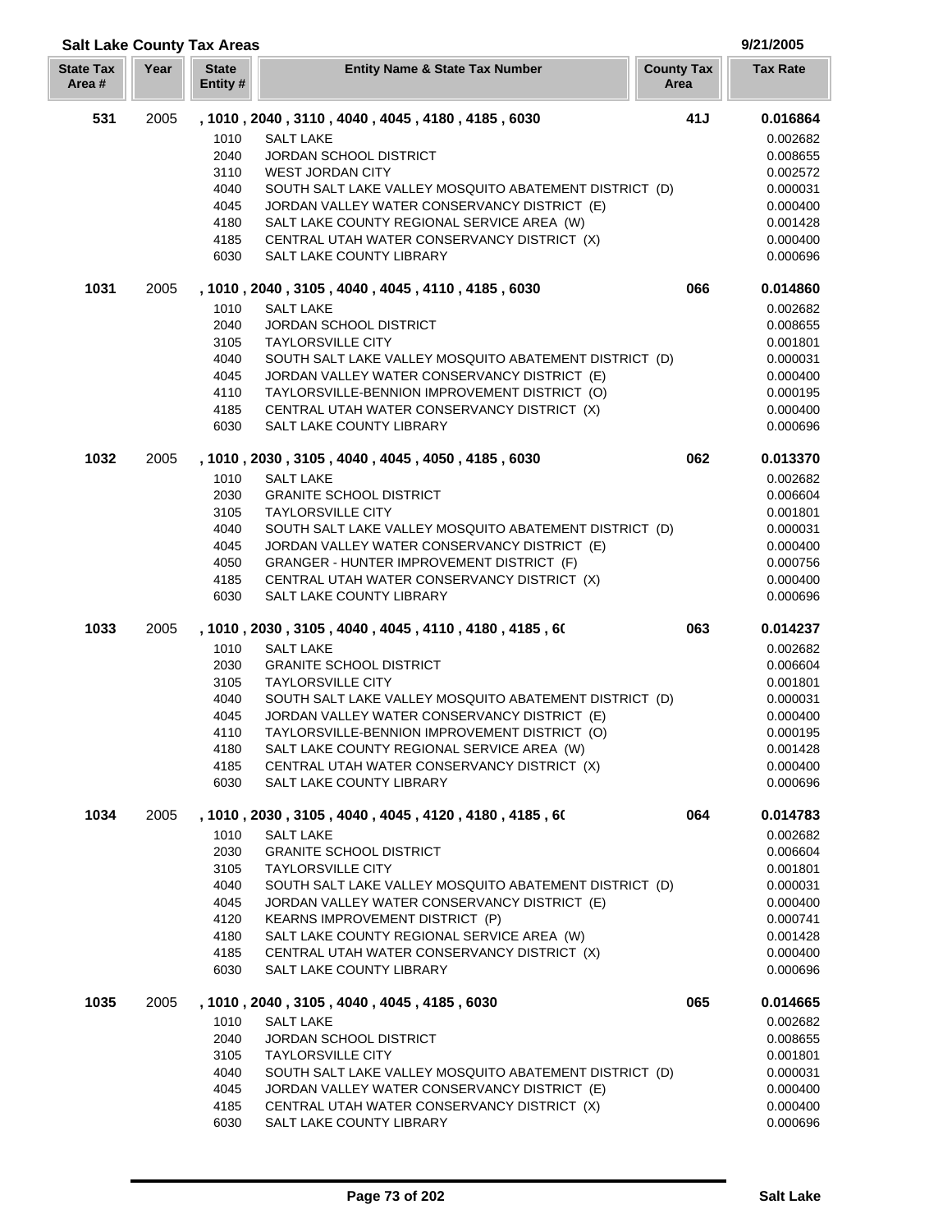| <b>Salt Lake County Tax Areas</b> |      |                          |                                                                                              |                           | 9/21/2005            |
|-----------------------------------|------|--------------------------|----------------------------------------------------------------------------------------------|---------------------------|----------------------|
| <b>State Tax</b><br>Area#         | Year | <b>State</b><br>Entity # | <b>Entity Name &amp; State Tax Number</b>                                                    | <b>County Tax</b><br>Area | <b>Tax Rate</b>      |
| 531                               | 2005 |                          | , 1010, 2040, 3110, 4040, 4045, 4180, 4185, 6030                                             | 41J                       | 0.016864             |
|                                   |      | 1010                     | <b>SALT LAKE</b>                                                                             |                           | 0.002682             |
|                                   |      | 2040                     | <b>JORDAN SCHOOL DISTRICT</b>                                                                |                           | 0.008655             |
|                                   |      | 3110                     | <b>WEST JORDAN CITY</b>                                                                      |                           | 0.002572             |
|                                   |      | 4040                     | SOUTH SALT LAKE VALLEY MOSQUITO ABATEMENT DISTRICT (D)                                       |                           | 0.000031             |
|                                   |      | 4045                     | JORDAN VALLEY WATER CONSERVANCY DISTRICT (E)                                                 |                           | 0.000400             |
|                                   |      | 4180                     | SALT LAKE COUNTY REGIONAL SERVICE AREA (W)                                                   |                           | 0.001428             |
|                                   |      | 4185                     | CENTRAL UTAH WATER CONSERVANCY DISTRICT (X)                                                  |                           | 0.000400             |
|                                   |      | 6030                     | SALT LAKE COUNTY LIBRARY                                                                     |                           | 0.000696             |
| 1031                              | 2005 |                          | , 1010, 2040, 3105, 4040, 4045, 4110, 4185, 6030                                             | 066                       | 0.014860             |
|                                   |      | 1010                     | <b>SALT LAKE</b>                                                                             |                           | 0.002682             |
|                                   |      | 2040                     | <b>JORDAN SCHOOL DISTRICT</b>                                                                |                           | 0.008655             |
|                                   |      | 3105                     | <b>TAYLORSVILLE CITY</b>                                                                     |                           | 0.001801             |
|                                   |      | 4040                     | SOUTH SALT LAKE VALLEY MOSQUITO ABATEMENT DISTRICT (D)                                       |                           | 0.000031             |
|                                   |      | 4045<br>4110             | JORDAN VALLEY WATER CONSERVANCY DISTRICT (E)                                                 |                           | 0.000400             |
|                                   |      | 4185                     | TAYLORSVILLE-BENNION IMPROVEMENT DISTRICT (O)<br>CENTRAL UTAH WATER CONSERVANCY DISTRICT (X) |                           | 0.000195<br>0.000400 |
|                                   |      | 6030                     | SALT LAKE COUNTY LIBRARY                                                                     |                           | 0.000696             |
| 1032                              | 2005 |                          | , 1010, 2030, 3105, 4040, 4045, 4050, 4185, 6030                                             | 062                       | 0.013370             |
|                                   |      | 1010                     | <b>SALT LAKE</b>                                                                             |                           | 0.002682             |
|                                   |      | 2030                     | <b>GRANITE SCHOOL DISTRICT</b>                                                               |                           | 0.006604             |
|                                   |      | 3105                     | <b>TAYLORSVILLE CITY</b>                                                                     |                           | 0.001801             |
|                                   |      | 4040                     | SOUTH SALT LAKE VALLEY MOSQUITO ABATEMENT DISTRICT (D)                                       |                           | 0.000031             |
|                                   |      | 4045                     | JORDAN VALLEY WATER CONSERVANCY DISTRICT (E)                                                 |                           | 0.000400             |
|                                   |      | 4050                     | GRANGER - HUNTER IMPROVEMENT DISTRICT (F)                                                    |                           | 0.000756             |
|                                   |      | 4185                     | CENTRAL UTAH WATER CONSERVANCY DISTRICT (X)                                                  |                           | 0.000400             |
|                                   |      | 6030                     | SALT LAKE COUNTY LIBRARY                                                                     |                           | 0.000696             |
| 1033                              | 2005 |                          | , 1010, 2030, 3105, 4040, 4045, 4110, 4180, 4185, 60                                         | 063                       | 0.014237             |
|                                   |      | 1010                     | <b>SALT LAKE</b>                                                                             |                           | 0.002682             |
|                                   |      | 2030                     | <b>GRANITE SCHOOL DISTRICT</b>                                                               |                           | 0.006604             |
|                                   |      | 3105                     | <b>TAYLORSVILLE CITY</b>                                                                     |                           | 0.001801             |
|                                   |      | 4040                     | SOUTH SALT LAKE VALLEY MOSQUITO ABATEMENT DISTRICT (D)                                       |                           | 0.000031             |
|                                   |      | 4045                     | JORDAN VALLEY WATER CONSERVANCY DISTRICT (E)                                                 |                           | 0.000400             |
|                                   |      | 4110                     | TAYLORSVILLE-BENNION IMPROVEMENT DISTRICT (O)                                                |                           | 0.000195             |
|                                   |      | 4180<br>4185             | SALT LAKE COUNTY REGIONAL SERVICE AREA (W)                                                   |                           | 0.001428<br>0.000400 |
|                                   |      | 6030                     | CENTRAL UTAH WATER CONSERVANCY DISTRICT (X)<br><b>SALT LAKE COUNTY LIBRARY</b>               |                           | 0.000696             |
| 1034                              | 2005 |                          | , 1010 , 2030 , 3105 , 4040 , 4045 , 4120 , 4180 , 4185 , 60                                 | 064                       | 0.014783             |
|                                   |      | 1010                     | <b>SALT LAKE</b>                                                                             |                           | 0.002682             |
|                                   |      | 2030                     | <b>GRANITE SCHOOL DISTRICT</b>                                                               |                           | 0.006604             |
|                                   |      | 3105                     | <b>TAYLORSVILLE CITY</b>                                                                     |                           | 0.001801             |
|                                   |      | 4040                     | SOUTH SALT LAKE VALLEY MOSQUITO ABATEMENT DISTRICT (D)                                       |                           | 0.000031             |
|                                   |      | 4045                     | JORDAN VALLEY WATER CONSERVANCY DISTRICT (E)                                                 |                           | 0.000400             |
|                                   |      | 4120                     | KEARNS IMPROVEMENT DISTRICT (P)                                                              |                           | 0.000741             |
|                                   |      | 4180                     | SALT LAKE COUNTY REGIONAL SERVICE AREA (W)                                                   |                           | 0.001428             |
|                                   |      | 4185<br>6030             | CENTRAL UTAH WATER CONSERVANCY DISTRICT (X)<br>SALT LAKE COUNTY LIBRARY                      |                           | 0.000400<br>0.000696 |
|                                   |      |                          |                                                                                              |                           |                      |
| 1035                              | 2005 | 1010                     | , 1010, 2040, 3105, 4040, 4045, 4185, 6030<br><b>SALT LAKE</b>                               | 065                       | 0.014665<br>0.002682 |
|                                   |      | 2040                     | <b>JORDAN SCHOOL DISTRICT</b>                                                                |                           | 0.008655             |
|                                   |      | 3105                     | <b>TAYLORSVILLE CITY</b>                                                                     |                           | 0.001801             |
|                                   |      | 4040                     | SOUTH SALT LAKE VALLEY MOSQUITO ABATEMENT DISTRICT (D)                                       |                           | 0.000031             |
|                                   |      | 4045                     | JORDAN VALLEY WATER CONSERVANCY DISTRICT (E)                                                 |                           | 0.000400             |
|                                   |      | 4185                     | CENTRAL UTAH WATER CONSERVANCY DISTRICT (X)                                                  |                           | 0.000400             |
|                                   |      | 6030                     | SALT LAKE COUNTY LIBRARY                                                                     |                           | 0.000696             |

L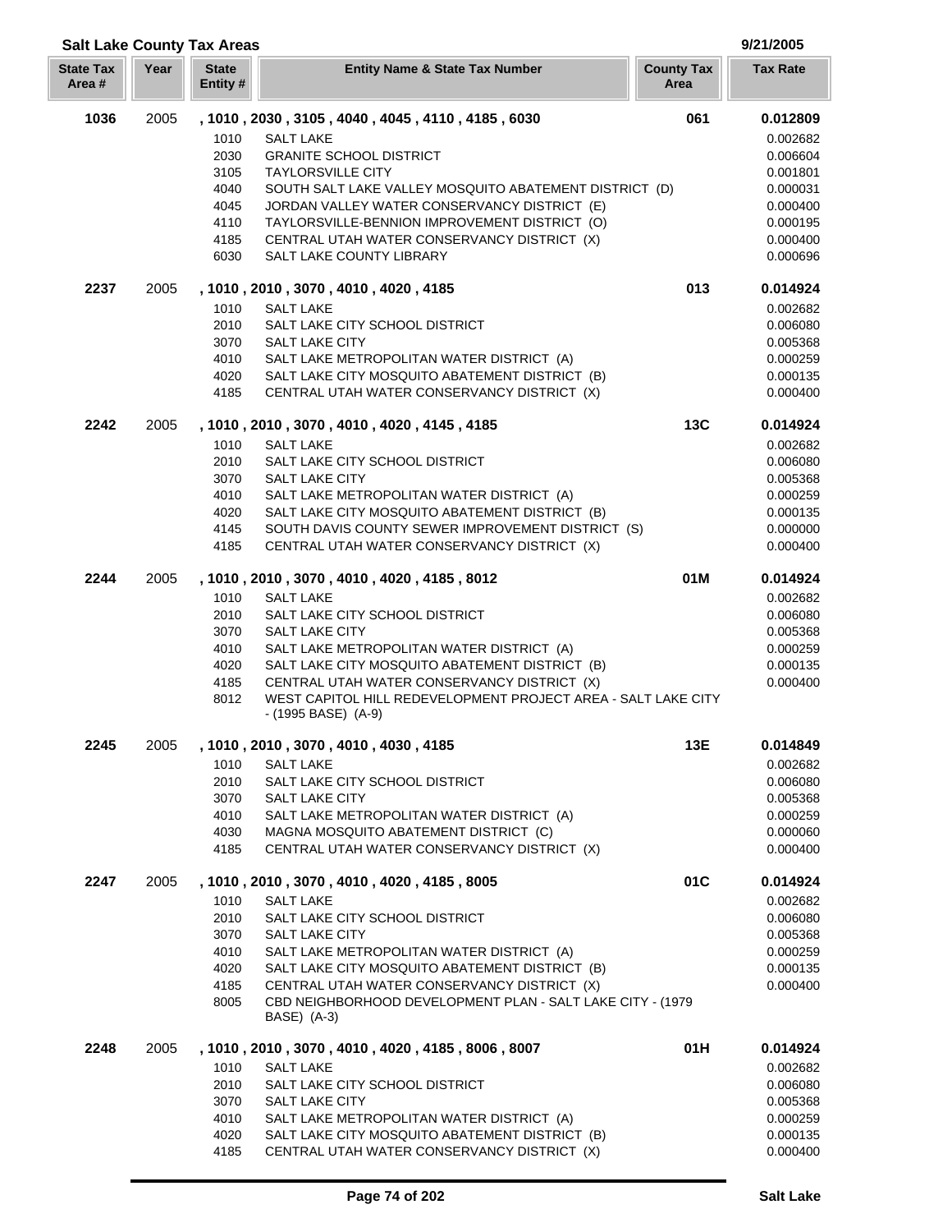## **Year Entity Name & State Tax Number County Tax Tax Rate Area Salt Lake County Tax Areas 9/21/2005 State Entity #** 2005 **, 1010 , 2030 , 3105 , 4040 , 4045 , 4110 , 4185 , 6030 061 0.012809** SALT LAKE 0.002682 GRANITE SCHOOL DISTRICT 0.006604 TAYLORSVILLE CITY 0.001801 SOUTH SALT LAKE VALLEY MOSQUITO ABATEMENT DISTRICT (D) 0.000031 JORDAN VALLEY WATER CONSERVANCY DISTRICT (E) 0.000400 4110 TAYLORSVILLE-BENNION IMPROVEMENT DISTRICT (O) 0.000195 4185 CENTRAL UTAH WATER CONSERVANCY DISTRICT (X) 0.000400 SALT LAKE COUNTY LIBRARY 0.000696

**State Tax Area #**

| 2237 | 2005 | , 1010, 2010, 3070, 4010, 4020, 4185<br>1010<br><b>SALT LAKE</b><br>2010<br>SALT LAKE CITY SCHOOL DISTRICT<br><b>SALT LAKE CITY</b><br>3070<br>4010<br>SALT LAKE METROPOLITAN WATER DISTRICT (A)<br>SALT LAKE CITY MOSQUITO ABATEMENT DISTRICT (B)<br>4020<br>4185<br>CENTRAL UTAH WATER CONSERVANCY DISTRICT (X)                                                                                                | 013 | 0.014924<br>0.002682<br>0.006080<br>0.005368<br>0.000259<br>0.000135<br>0.000400             |
|------|------|------------------------------------------------------------------------------------------------------------------------------------------------------------------------------------------------------------------------------------------------------------------------------------------------------------------------------------------------------------------------------------------------------------------|-----|----------------------------------------------------------------------------------------------|
| 2242 | 2005 | , 1010, 2010, 3070, 4010, 4020, 4145, 4185<br>1010<br><b>SALT LAKE</b><br>2010<br>SALT LAKE CITY SCHOOL DISTRICT<br>3070<br><b>SALT LAKE CITY</b><br>4010<br>SALT LAKE METROPOLITAN WATER DISTRICT (A)<br>4020<br>SALT LAKE CITY MOSQUITO ABATEMENT DISTRICT (B)<br>4145<br>SOUTH DAVIS COUNTY SEWER IMPROVEMENT DISTRICT (S)<br>CENTRAL UTAH WATER CONSERVANCY DISTRICT (X)<br>4185                             | 13C | 0.014924<br>0.002682<br>0.006080<br>0.005368<br>0.000259<br>0.000135<br>0.000000<br>0.000400 |
| 2244 | 2005 | , 1010, 2010, 3070, 4010, 4020, 4185, 8012<br>1010<br><b>SALT LAKE</b><br>2010<br>SALT LAKE CITY SCHOOL DISTRICT<br>3070<br>SALT LAKE CITY<br>4010<br>SALT LAKE METROPOLITAN WATER DISTRICT (A)<br>SALT LAKE CITY MOSQUITO ABATEMENT DISTRICT (B)<br>4020<br>4185<br>CENTRAL UTAH WATER CONSERVANCY DISTRICT (X)<br>WEST CAPITOL HILL REDEVELOPMENT PROJECT AREA - SALT LAKE CITY<br>8012<br>- (1995 BASE) (A-9) | 01M | 0.014924<br>0.002682<br>0.006080<br>0.005368<br>0.000259<br>0.000135<br>0.000400             |
| 2245 | 2005 | , 1010, 2010, 3070, 4010, 4030, 4185<br><b>SALT LAKE</b><br>1010<br>2010<br>SALT LAKE CITY SCHOOL DISTRICT<br>3070<br><b>SALT LAKE CITY</b><br>4010<br>SALT LAKE METROPOLITAN WATER DISTRICT (A)<br>4030<br>MAGNA MOSQUITO ABATEMENT DISTRICT (C)<br>CENTRAL UTAH WATER CONSERVANCY DISTRICT (X)<br>4185                                                                                                         | 13E | 0.014849<br>0.002682<br>0.006080<br>0.005368<br>0.000259<br>0.000060<br>0.000400             |
| 2247 | 2005 | , 1010, 2010, 3070, 4010, 4020, 4185, 8005<br>1010<br><b>SALT LAKE</b><br>2010<br>SALT LAKE CITY SCHOOL DISTRICT<br>3070<br>SALT LAKE CITY<br>4010<br>SALT LAKE METROPOLITAN WATER DISTRICT (A)<br>4020<br>SALT LAKE CITY MOSQUITO ABATEMENT DISTRICT (B)<br>4185<br>CENTRAL UTAH WATER CONSERVANCY DISTRICT (X)<br>CBD NEIGHBORHOOD DEVELOPMENT PLAN - SALT LAKE CITY - (1979)<br>8005<br>BASE) (A-3)           | 01C | 0.014924<br>0.002682<br>0.006080<br>0.005368<br>0.000259<br>0.000135<br>0.000400             |

| 2248 | 2005 |      | , 1010 , 2010 , 3070 , 4010 , 4020 , 4185 , 8006 , 8007 | 01H | 0.014924 |
|------|------|------|---------------------------------------------------------|-----|----------|
|      |      | 1010 | SALT LAKE                                               |     | 0.002682 |
|      |      | 2010 | SALT LAKE CITY SCHOOL DISTRICT                          |     | 0.006080 |
|      |      | 3070 | SALT LAKE CITY                                          |     | 0.005368 |
|      |      | 4010 | SALT LAKE METROPOLITAN WATER DISTRICT (A)               |     | 0.000259 |
|      |      | 4020 | SALT LAKE CITY MOSQUITO ABATEMENT DISTRICT (B)          |     | 0.000135 |
|      |      | 4185 | CENTRAL UTAH WATER CONSERVANCY DISTRICT (X)             |     | 0.000400 |
|      |      |      |                                                         |     |          |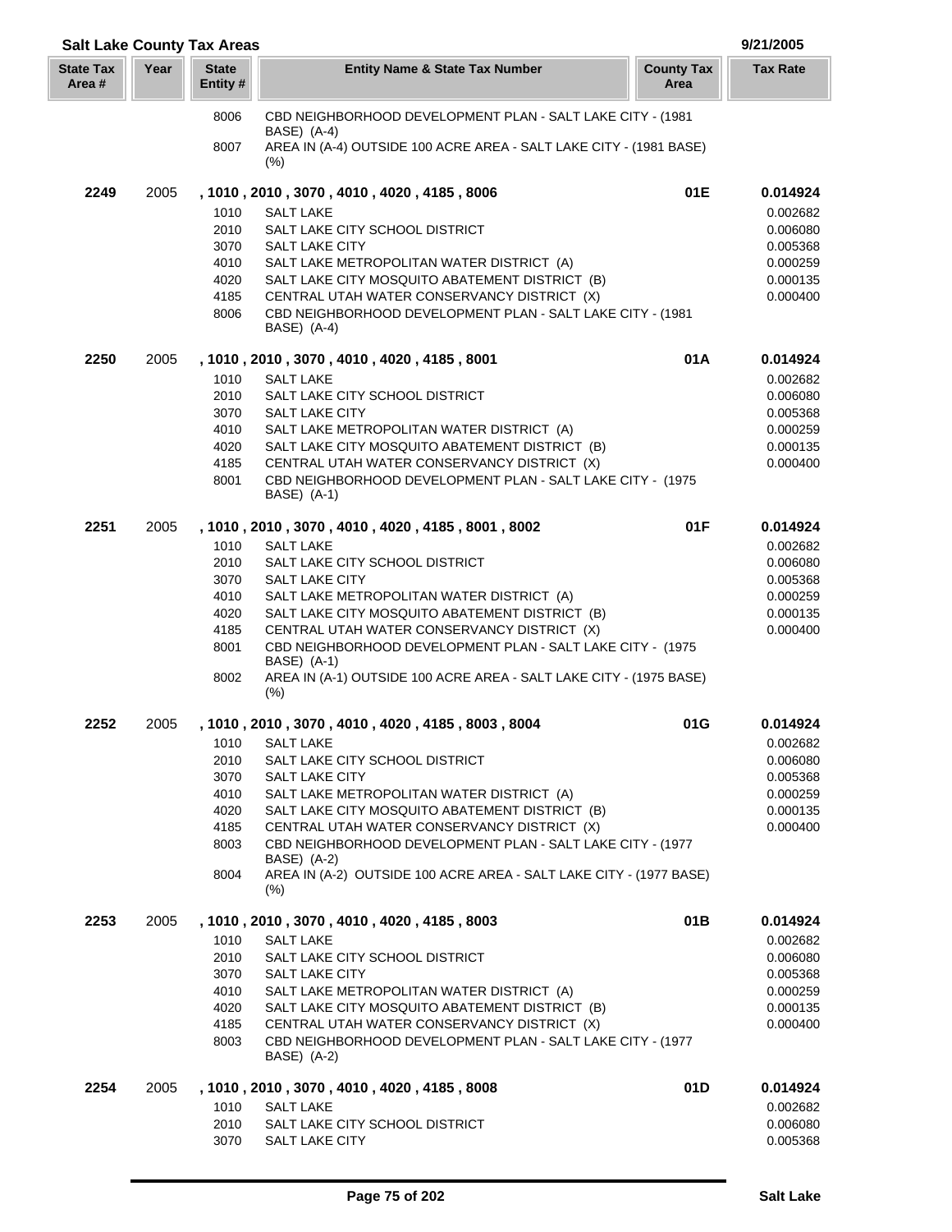| <b>Salt Lake County Tax Areas</b> |      |                         |                                                                                                                           |                           | 9/21/2005            |
|-----------------------------------|------|-------------------------|---------------------------------------------------------------------------------------------------------------------------|---------------------------|----------------------|
| <b>State Tax</b><br>Area#         | Year | <b>State</b><br>Entity# | <b>Entity Name &amp; State Tax Number</b>                                                                                 | <b>County Tax</b><br>Area | <b>Tax Rate</b>      |
|                                   |      | 8006                    | CBD NEIGHBORHOOD DEVELOPMENT PLAN - SALT LAKE CITY - (1981<br>BASE) (A-4)                                                 |                           |                      |
|                                   |      | 8007                    | AREA IN (A-4) OUTSIDE 100 ACRE AREA - SALT LAKE CITY - (1981 BASE)<br>$(\%)$                                              |                           |                      |
| 2249                              | 2005 |                         | , 1010 , 2010 , 3070 , 4010 , 4020 , 4185 , 8006                                                                          | 01E                       | 0.014924             |
|                                   |      | 1010                    | <b>SALT LAKE</b>                                                                                                          |                           | 0.002682             |
|                                   |      | 2010                    | SALT LAKE CITY SCHOOL DISTRICT                                                                                            |                           | 0.006080             |
|                                   |      | 3070                    | <b>SALT LAKE CITY</b>                                                                                                     |                           | 0.005368             |
|                                   |      | 4010                    | SALT LAKE METROPOLITAN WATER DISTRICT (A)                                                                                 |                           | 0.000259             |
|                                   |      | 4020                    | SALT LAKE CITY MOSQUITO ABATEMENT DISTRICT (B)                                                                            |                           | 0.000135             |
|                                   |      | 4185<br>8006            | CENTRAL UTAH WATER CONSERVANCY DISTRICT (X)<br>CBD NEIGHBORHOOD DEVELOPMENT PLAN - SALT LAKE CITY - (1981<br>BASE) (A-4)  |                           | 0.000400             |
| 2250                              | 2005 |                         | , 1010 , 2010 , 3070 , 4010 , 4020 , 4185 , 8001                                                                          | 01A                       | 0.014924             |
|                                   |      | 1010                    | <b>SALT LAKE</b>                                                                                                          |                           | 0.002682             |
|                                   |      | 2010                    | SALT LAKE CITY SCHOOL DISTRICT                                                                                            |                           | 0.006080             |
|                                   |      | 3070                    | <b>SALT LAKE CITY</b>                                                                                                     |                           | 0.005368             |
|                                   |      | 4010                    | SALT LAKE METROPOLITAN WATER DISTRICT (A)                                                                                 |                           | 0.000259             |
|                                   |      | 4020                    | SALT LAKE CITY MOSQUITO ABATEMENT DISTRICT (B)                                                                            |                           | 0.000135             |
|                                   |      | 4185                    | CENTRAL UTAH WATER CONSERVANCY DISTRICT (X)                                                                               |                           | 0.000400             |
|                                   |      | 8001                    | CBD NEIGHBORHOOD DEVELOPMENT PLAN - SALT LAKE CITY - (1975<br>BASE) (A-1)                                                 |                           |                      |
| 2251                              | 2005 |                         | , 1010 , 2010 , 3070 , 4010 , 4020 , 4185 , 8001 , 8002                                                                   | 01F                       | 0.014924             |
|                                   |      | 1010                    | <b>SALT LAKE</b>                                                                                                          |                           | 0.002682             |
|                                   |      | 2010                    | SALT LAKE CITY SCHOOL DISTRICT                                                                                            |                           | 0.006080             |
|                                   |      | 3070                    | <b>SALT LAKE CITY</b>                                                                                                     |                           | 0.005368             |
|                                   |      | 4010                    | SALT LAKE METROPOLITAN WATER DISTRICT (A)                                                                                 |                           | 0.000259             |
|                                   |      | 4020<br>4185            | SALT LAKE CITY MOSQUITO ABATEMENT DISTRICT (B)<br>CENTRAL UTAH WATER CONSERVANCY DISTRICT (X)                             |                           | 0.000135<br>0.000400 |
|                                   |      | 8001                    | CBD NEIGHBORHOOD DEVELOPMENT PLAN - SALT LAKE CITY - (1975                                                                |                           |                      |
|                                   |      |                         | BASE) (A-1)                                                                                                               |                           |                      |
|                                   |      | 8002                    | AREA IN (A-1) OUTSIDE 100 ACRE AREA - SALT LAKE CITY - (1975 BASE)<br>(% )                                                |                           |                      |
| 2252                              | 2005 |                         | , 1010 , 2010 , 3070 , 4010 , 4020 , 4185 , 8003 , 8004                                                                   | 01G                       | 0.014924             |
|                                   |      | 1010                    | <b>SALT LAKE</b>                                                                                                          |                           | 0.002682             |
|                                   |      | 2010                    | SALT LAKE CITY SCHOOL DISTRICT                                                                                            |                           | 0.006080             |
|                                   |      | 3070                    | <b>SALT LAKE CITY</b>                                                                                                     |                           | 0.005368             |
|                                   |      | 4010                    | SALT LAKE METROPOLITAN WATER DISTRICT (A)                                                                                 |                           | 0.000259             |
|                                   |      | 4020                    | SALT LAKE CITY MOSQUITO ABATEMENT DISTRICT (B)                                                                            |                           | 0.000135             |
|                                   |      | 4185                    | CENTRAL UTAH WATER CONSERVANCY DISTRICT (X)                                                                               |                           | 0.000400             |
|                                   |      | 8003                    | CBD NEIGHBORHOOD DEVELOPMENT PLAN - SALT LAKE CITY - (1977<br>BASE) (A-2)                                                 |                           |                      |
|                                   |      | 8004                    | AREA IN (A-2) OUTSIDE 100 ACRE AREA - SALT LAKE CITY - (1977 BASE)<br>$(\% )$                                             |                           |                      |
| 2253                              | 2005 |                         | , 1010 , 2010 , 3070 , 4010 , 4020 , 4185 , 8003                                                                          | 01B                       | 0.014924             |
|                                   |      | 1010                    | <b>SALT LAKE</b>                                                                                                          |                           | 0.002682             |
|                                   |      | 2010                    | SALT LAKE CITY SCHOOL DISTRICT                                                                                            |                           | 0.006080             |
|                                   |      | 3070                    | SALT LAKE CITY                                                                                                            |                           | 0.005368             |
|                                   |      | 4010                    | SALT LAKE METROPOLITAN WATER DISTRICT (A)                                                                                 |                           | 0.000259             |
|                                   |      | 4020                    | SALT LAKE CITY MOSQUITO ABATEMENT DISTRICT (B)                                                                            |                           | 0.000135             |
|                                   |      | 4185<br>8003            | CENTRAL UTAH WATER CONSERVANCY DISTRICT (X)<br>CBD NEIGHBORHOOD DEVELOPMENT PLAN - SALT LAKE CITY - (1977)<br>BASE) (A-2) |                           | 0.000400             |
| 2254                              | 2005 |                         | , 1010, 2010, 3070, 4010, 4020, 4185, 8008                                                                                | 01D                       | 0.014924             |
|                                   |      | 1010                    | <b>SALT LAKE</b>                                                                                                          |                           | 0.002682             |
|                                   |      | 2010                    | SALT LAKE CITY SCHOOL DISTRICT                                                                                            |                           | 0.006080             |
|                                   |      | 3070                    | SALT LAKE CITY                                                                                                            |                           | 0.005368             |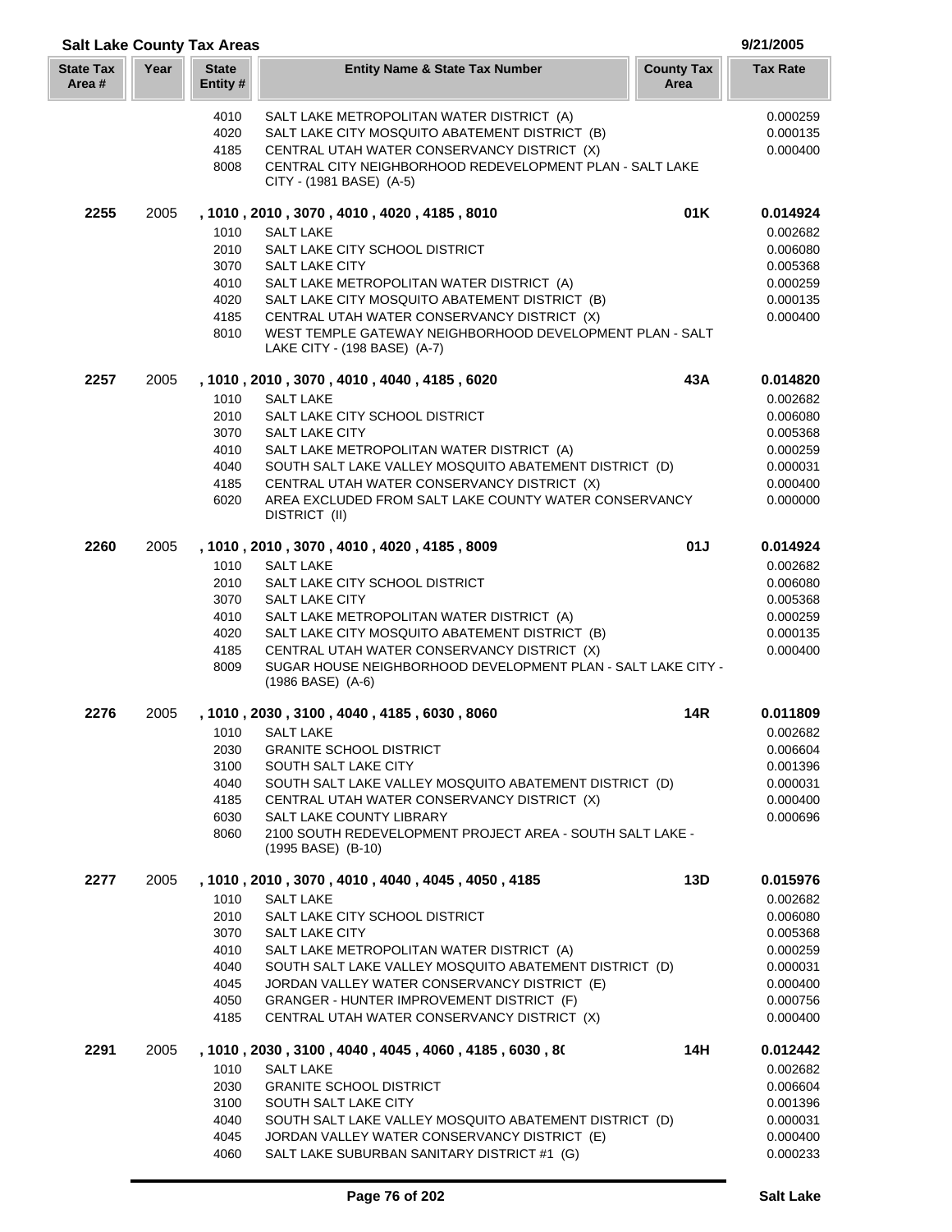| <b>Salt Lake County Tax Areas</b> |      |                         |                                                                                                             |                           | 9/21/2005            |
|-----------------------------------|------|-------------------------|-------------------------------------------------------------------------------------------------------------|---------------------------|----------------------|
| <b>State Tax</b><br>Area #        | Year | <b>State</b><br>Entity# | <b>Entity Name &amp; State Tax Number</b>                                                                   | <b>County Tax</b><br>Area | <b>Tax Rate</b>      |
|                                   |      | 4010                    | SALT LAKE METROPOLITAN WATER DISTRICT (A)                                                                   |                           | 0.000259             |
|                                   |      | 4020                    | SALT LAKE CITY MOSQUITO ABATEMENT DISTRICT (B)                                                              |                           | 0.000135             |
|                                   |      | 4185                    | CENTRAL UTAH WATER CONSERVANCY DISTRICT (X)                                                                 |                           | 0.000400             |
|                                   |      | 8008                    | CENTRAL CITY NEIGHBORHOOD REDEVELOPMENT PLAN - SALT LAKE<br>CITY - (1981 BASE) (A-5)                        |                           |                      |
| 2255                              | 2005 |                         | , 1010, 2010, 3070, 4010, 4020, 4185, 8010                                                                  | 01K                       | 0.014924             |
|                                   |      | 1010                    | <b>SALT LAKE</b>                                                                                            |                           | 0.002682             |
|                                   |      | 2010                    | SALT LAKE CITY SCHOOL DISTRICT                                                                              |                           | 0.006080             |
|                                   |      | 3070                    | <b>SALT LAKE CITY</b>                                                                                       |                           | 0.005368             |
|                                   |      | 4010                    | SALT LAKE METROPOLITAN WATER DISTRICT (A)                                                                   |                           | 0.000259             |
|                                   |      | 4020                    | SALT LAKE CITY MOSQUITO ABATEMENT DISTRICT (B)                                                              |                           | 0.000135             |
|                                   |      | 4185                    | CENTRAL UTAH WATER CONSERVANCY DISTRICT (X)                                                                 |                           | 0.000400             |
|                                   |      | 8010                    | WEST TEMPLE GATEWAY NEIGHBORHOOD DEVELOPMENT PLAN - SALT<br>LAKE CITY - (198 BASE) (A-7)                    |                           |                      |
| 2257                              | 2005 |                         | , 1010, 2010, 3070, 4010, 4040, 4185, 6020                                                                  | 43A                       | 0.014820             |
|                                   |      | 1010                    | <b>SALT LAKE</b>                                                                                            |                           | 0.002682             |
|                                   |      | 2010                    | SALT LAKE CITY SCHOOL DISTRICT                                                                              |                           | 0.006080             |
|                                   |      | 3070                    | <b>SALT LAKE CITY</b>                                                                                       |                           | 0.005368             |
|                                   |      | 4010                    | SALT LAKE METROPOLITAN WATER DISTRICT (A)                                                                   |                           | 0.000259             |
|                                   |      | 4040<br>4185            | SOUTH SALT LAKE VALLEY MOSQUITO ABATEMENT DISTRICT (D)<br>CENTRAL UTAH WATER CONSERVANCY DISTRICT (X)       |                           | 0.000031<br>0.000400 |
|                                   |      | 6020                    | AREA EXCLUDED FROM SALT LAKE COUNTY WATER CONSERVANCY                                                       |                           | 0.000000             |
|                                   |      |                         | DISTRICT (II)                                                                                               |                           |                      |
| 2260                              | 2005 |                         | , 1010, 2010, 3070, 4010, 4020, 4185, 8009                                                                  | 01J                       | 0.014924             |
|                                   |      | 1010                    | <b>SALT LAKE</b>                                                                                            |                           | 0.002682             |
|                                   |      | 2010                    | SALT LAKE CITY SCHOOL DISTRICT                                                                              |                           | 0.006080             |
|                                   |      | 3070                    | <b>SALT LAKE CITY</b>                                                                                       |                           | 0.005368             |
|                                   |      | 4010                    | SALT LAKE METROPOLITAN WATER DISTRICT (A)                                                                   |                           | 0.000259             |
|                                   |      | 4020                    | SALT LAKE CITY MOSQUITO ABATEMENT DISTRICT (B)                                                              |                           | 0.000135             |
|                                   |      | 4185                    | CENTRAL UTAH WATER CONSERVANCY DISTRICT (X)<br>SUGAR HOUSE NEIGHBORHOOD DEVELOPMENT PLAN - SALT LAKE CITY - |                           | 0.000400             |
|                                   |      | 8009                    | $(1986$ BASE) $(A-6)$                                                                                       |                           |                      |
| 2276                              | 2005 |                         | , 1010, 2030, 3100, 4040, 4185, 6030, 8060                                                                  | 14R                       | 0.011809             |
|                                   |      |                         | 1010 SALT LAKE                                                                                              |                           | 0.002682             |
|                                   |      | 2030                    | <b>GRANITE SCHOOL DISTRICT</b>                                                                              |                           | 0.006604             |
|                                   |      | 3100                    | SOUTH SALT LAKE CITY                                                                                        |                           | 0.001396             |
|                                   |      | 4040                    | SOUTH SALT LAKE VALLEY MOSQUITO ABATEMENT DISTRICT (D)                                                      |                           | 0.000031             |
|                                   |      | 4185<br>6030            | CENTRAL UTAH WATER CONSERVANCY DISTRICT (X)<br>SALT LAKE COUNTY LIBRARY                                     |                           | 0.000400<br>0.000696 |
|                                   |      | 8060                    | 2100 SOUTH REDEVELOPMENT PROJECT AREA - SOUTH SALT LAKE -                                                   |                           |                      |
|                                   |      |                         | (1995 BASE) (B-10)                                                                                          |                           |                      |
| 2277                              | 2005 |                         | , 1010, 2010, 3070, 4010, 4040, 4045, 4050, 4185                                                            | 13D                       | 0.015976             |
|                                   |      | 1010                    | <b>SALT LAKE</b>                                                                                            |                           | 0.002682             |
|                                   |      | 2010                    | SALT LAKE CITY SCHOOL DISTRICT                                                                              |                           | 0.006080             |
|                                   |      | 3070                    | <b>SALT LAKE CITY</b>                                                                                       |                           | 0.005368             |
|                                   |      | 4010<br>4040            | SALT LAKE METROPOLITAN WATER DISTRICT (A)<br>SOUTH SALT LAKE VALLEY MOSQUITO ABATEMENT DISTRICT (D)         |                           | 0.000259<br>0.000031 |
|                                   |      | 4045                    | JORDAN VALLEY WATER CONSERVANCY DISTRICT (E)                                                                |                           | 0.000400             |
|                                   |      | 4050                    | GRANGER - HUNTER IMPROVEMENT DISTRICT (F)                                                                   |                           | 0.000756             |
|                                   |      | 4185                    | CENTRAL UTAH WATER CONSERVANCY DISTRICT (X)                                                                 |                           | 0.000400             |
| 2291                              | 2005 |                         | , 1010, 2030, 3100, 4040, 4045, 4060, 4185, 6030, 80                                                        | 14H                       | 0.012442             |
|                                   |      | 1010                    | <b>SALT LAKE</b>                                                                                            |                           | 0.002682             |
|                                   |      | 2030                    | <b>GRANITE SCHOOL DISTRICT</b>                                                                              |                           | 0.006604             |
|                                   |      | 3100<br>4040            | SOUTH SALT LAKE CITY<br>SOUTH SALT LAKE VALLEY MOSQUITO ABATEMENT DISTRICT (D)                              |                           | 0.001396<br>0.000031 |
|                                   |      | 4045                    | JORDAN VALLEY WATER CONSERVANCY DISTRICT (E)                                                                |                           | 0.000400             |
|                                   |      | 4060                    | SALT LAKE SUBURBAN SANITARY DISTRICT #1 (G)                                                                 |                           | 0.000233             |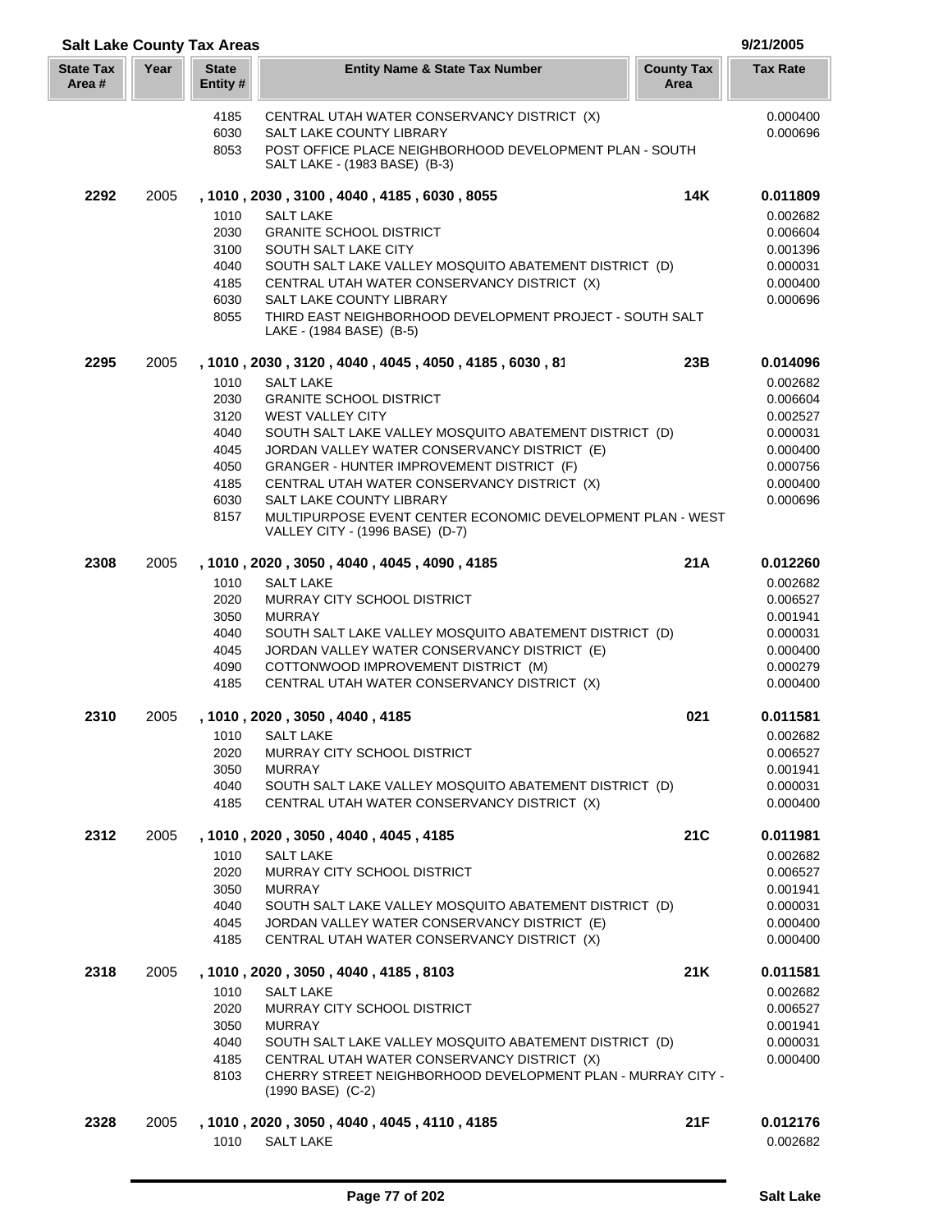| <b>Salt Lake County Tax Areas</b> |      |                          |                                                                                                       |                           | 9/21/2005            |
|-----------------------------------|------|--------------------------|-------------------------------------------------------------------------------------------------------|---------------------------|----------------------|
| <b>State Tax</b><br>Area #        | Year | <b>State</b><br>Entity # | <b>Entity Name &amp; State Tax Number</b>                                                             | <b>County Tax</b><br>Area | <b>Tax Rate</b>      |
|                                   |      | 4185                     | CENTRAL UTAH WATER CONSERVANCY DISTRICT (X)                                                           |                           | 0.000400             |
|                                   |      | 6030                     | SALT LAKE COUNTY LIBRARY                                                                              |                           | 0.000696             |
|                                   |      | 8053                     | POST OFFICE PLACE NEIGHBORHOOD DEVELOPMENT PLAN - SOUTH<br>SALT LAKE - (1983 BASE) (B-3)              |                           |                      |
| 2292                              | 2005 |                          | , 1010, 2030, 3100, 4040, 4185, 6030, 8055                                                            | 14K                       | 0.011809             |
|                                   |      | 1010                     | <b>SALT LAKE</b>                                                                                      |                           | 0.002682             |
|                                   |      | 2030                     | <b>GRANITE SCHOOL DISTRICT</b>                                                                        |                           | 0.006604             |
|                                   |      | 3100                     | SOUTH SALT LAKE CITY                                                                                  |                           | 0.001396             |
|                                   |      | 4040                     | SOUTH SALT LAKE VALLEY MOSQUITO ABATEMENT DISTRICT (D)                                                |                           | 0.000031             |
|                                   |      | 4185                     | CENTRAL UTAH WATER CONSERVANCY DISTRICT (X)                                                           |                           | 0.000400             |
|                                   |      | 6030                     | SALT LAKE COUNTY LIBRARY                                                                              |                           | 0.000696             |
|                                   |      | 8055                     | THIRD EAST NEIGHBORHOOD DEVELOPMENT PROJECT - SOUTH SALT<br>LAKE - (1984 BASE) (B-5)                  |                           |                      |
| 2295                              | 2005 |                          | , 1010, 2030, 3120, 4040, 4045, 4050, 4185, 6030, 81                                                  | 23B                       | 0.014096             |
|                                   |      | 1010                     | <b>SALT LAKE</b>                                                                                      |                           | 0.002682             |
|                                   |      | 2030                     | <b>GRANITE SCHOOL DISTRICT</b>                                                                        |                           | 0.006604             |
|                                   |      | 3120                     | <b>WEST VALLEY CITY</b>                                                                               |                           | 0.002527             |
|                                   |      | 4040                     | SOUTH SALT LAKE VALLEY MOSQUITO ABATEMENT DISTRICT (D)                                                |                           | 0.000031             |
|                                   |      | 4045                     | JORDAN VALLEY WATER CONSERVANCY DISTRICT (E)                                                          |                           | 0.000400             |
|                                   |      | 4050                     | GRANGER - HUNTER IMPROVEMENT DISTRICT (F)                                                             |                           | 0.000756             |
|                                   |      | 4185                     | CENTRAL UTAH WATER CONSERVANCY DISTRICT (X)                                                           |                           | 0.000400             |
|                                   |      | 6030                     | SALT LAKE COUNTY LIBRARY                                                                              |                           | 0.000696             |
|                                   |      | 8157                     | MULTIPURPOSE EVENT CENTER ECONOMIC DEVELOPMENT PLAN - WEST<br>VALLEY CITY - (1996 BASE) (D-7)         |                           |                      |
| 2308                              | 2005 |                          | , 1010, 2020, 3050, 4040, 4045, 4090, 4185                                                            | 21A                       | 0.012260             |
|                                   |      | 1010                     | <b>SALT LAKE</b>                                                                                      |                           | 0.002682             |
|                                   |      | 2020                     | MURRAY CITY SCHOOL DISTRICT                                                                           |                           | 0.006527             |
|                                   |      | 3050                     | <b>MURRAY</b>                                                                                         |                           | 0.001941             |
|                                   |      | 4040                     | SOUTH SALT LAKE VALLEY MOSQUITO ABATEMENT DISTRICT (D)                                                |                           | 0.000031             |
|                                   |      | 4045                     | JORDAN VALLEY WATER CONSERVANCY DISTRICT (E)                                                          |                           | 0.000400             |
|                                   |      | 4090<br>4185             | COTTONWOOD IMPROVEMENT DISTRICT (M)                                                                   |                           | 0.000279             |
|                                   |      |                          | CENTRAL UTAH WATER CONSERVANCY DISTRICT (X)                                                           |                           | 0.000400             |
| 2310                              | 2005 |                          | , 1010, 2020, 3050, 4040, 4185                                                                        | 021                       | 0.011581             |
|                                   |      | 1010                     | SALT LAKE                                                                                             |                           | 0.002682             |
|                                   |      | 2020                     | MURRAY CITY SCHOOL DISTRICT                                                                           |                           | 0.006527             |
|                                   |      | 3050                     | <b>MURRAY</b>                                                                                         |                           | 0.001941             |
|                                   |      | 4040<br>4185             | SOUTH SALT LAKE VALLEY MOSQUITO ABATEMENT DISTRICT (D)<br>CENTRAL UTAH WATER CONSERVANCY DISTRICT (X) |                           | 0.000031<br>0.000400 |
| 2312                              | 2005 |                          | , 1010, 2020, 3050, 4040, 4045, 4185                                                                  | 21C                       | 0.011981             |
|                                   |      | 1010                     | <b>SALT LAKE</b>                                                                                      |                           | 0.002682             |
|                                   |      | 2020                     | MURRAY CITY SCHOOL DISTRICT                                                                           |                           | 0.006527             |
|                                   |      | 3050                     | <b>MURRAY</b>                                                                                         |                           | 0.001941             |
|                                   |      | 4040                     | SOUTH SALT LAKE VALLEY MOSQUITO ABATEMENT DISTRICT (D)                                                |                           | 0.000031             |
|                                   |      | 4045<br>4185             | JORDAN VALLEY WATER CONSERVANCY DISTRICT (E)<br>CENTRAL UTAH WATER CONSERVANCY DISTRICT (X)           |                           | 0.000400<br>0.000400 |
| 2318                              | 2005 |                          | , 1010, 2020, 3050, 4040, 4185, 8103                                                                  | 21K                       | 0.011581             |
|                                   |      |                          |                                                                                                       |                           |                      |
|                                   |      | 1010<br>2020             | <b>SALT LAKE</b><br>MURRAY CITY SCHOOL DISTRICT                                                       |                           | 0.002682<br>0.006527 |
|                                   |      | 3050                     | <b>MURRAY</b>                                                                                         |                           | 0.001941             |
|                                   |      | 4040                     | SOUTH SALT LAKE VALLEY MOSQUITO ABATEMENT DISTRICT (D)                                                |                           | 0.000031             |
|                                   |      | 4185                     | CENTRAL UTAH WATER CONSERVANCY DISTRICT (X)                                                           |                           | 0.000400             |
|                                   |      | 8103                     | CHERRY STREET NEIGHBORHOOD DEVELOPMENT PLAN - MURRAY CITY -                                           |                           |                      |
|                                   |      |                          | $(1990$ BASE) $(C-2)$                                                                                 |                           |                      |
| 2328                              | 2005 | 1010                     | , 1010, 2020, 3050, 4040, 4045, 4110, 4185<br><b>SALT LAKE</b>                                        | 21F                       | 0.012176<br>0.002682 |
|                                   |      |                          |                                                                                                       |                           |                      |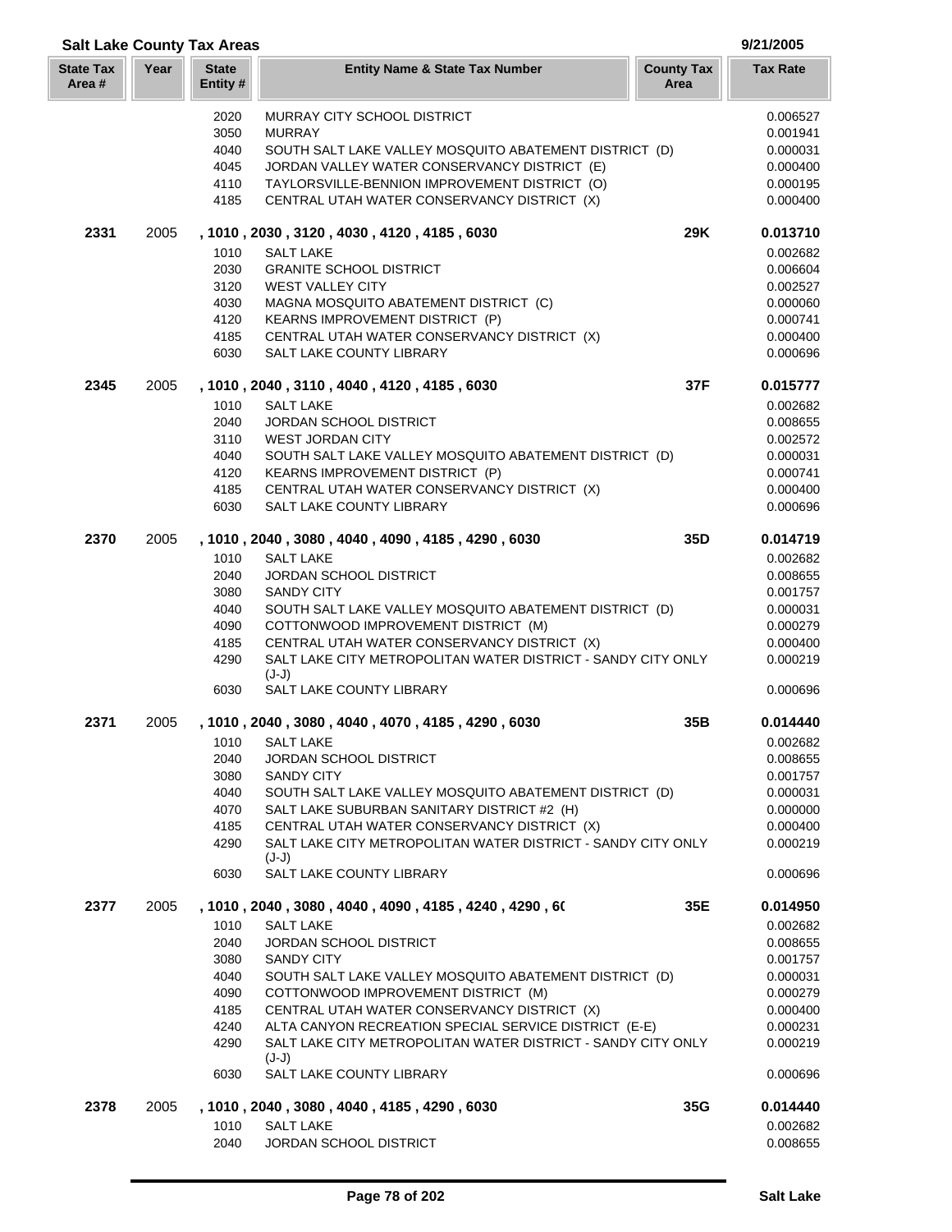| <b>Salt Lake County Tax Areas</b> |      |                          |                                                                                           |                           | 9/21/2005            |
|-----------------------------------|------|--------------------------|-------------------------------------------------------------------------------------------|---------------------------|----------------------|
| <b>State Tax</b><br>Area#         | Year | <b>State</b><br>Entity # | <b>Entity Name &amp; State Tax Number</b>                                                 | <b>County Tax</b><br>Area | <b>Tax Rate</b>      |
|                                   |      | 2020                     | <b>MURRAY CITY SCHOOL DISTRICT</b>                                                        |                           | 0.006527             |
|                                   |      | 3050                     | <b>MURRAY</b>                                                                             |                           | 0.001941             |
|                                   |      | 4040                     | SOUTH SALT LAKE VALLEY MOSQUITO ABATEMENT DISTRICT (D)                                    |                           | 0.000031             |
|                                   |      | 4045                     | JORDAN VALLEY WATER CONSERVANCY DISTRICT (E)                                              |                           | 0.000400             |
|                                   |      | 4110                     | TAYLORSVILLE-BENNION IMPROVEMENT DISTRICT (O)                                             |                           | 0.000195             |
|                                   |      | 4185                     | CENTRAL UTAH WATER CONSERVANCY DISTRICT (X)                                               |                           | 0.000400             |
| 2331                              | 2005 |                          | , 1010, 2030, 3120, 4030, 4120, 4185, 6030                                                | 29K                       | 0.013710             |
|                                   |      | 1010                     | <b>SALT LAKE</b>                                                                          |                           | 0.002682             |
|                                   |      | 2030                     | <b>GRANITE SCHOOL DISTRICT</b>                                                            |                           | 0.006604             |
|                                   |      | 3120                     | <b>WEST VALLEY CITY</b>                                                                   |                           | 0.002527             |
|                                   |      | 4030                     | MAGNA MOSQUITO ABATEMENT DISTRICT (C)                                                     |                           | 0.000060             |
|                                   |      | 4120                     | KEARNS IMPROVEMENT DISTRICT (P)                                                           |                           | 0.000741             |
|                                   |      | 4185                     | CENTRAL UTAH WATER CONSERVANCY DISTRICT (X)                                               |                           | 0.000400             |
|                                   |      | 6030                     | SALT LAKE COUNTY LIBRARY                                                                  |                           | 0.000696             |
| 2345                              | 2005 |                          | , 1010, 2040, 3110, 4040, 4120, 4185, 6030                                                | 37F                       | 0.015777             |
|                                   |      | 1010                     | <b>SALT LAKE</b>                                                                          |                           | 0.002682             |
|                                   |      | 2040<br>3110             | <b>JORDAN SCHOOL DISTRICT</b><br><b>WEST JORDAN CITY</b>                                  |                           | 0.008655<br>0.002572 |
|                                   |      | 4040                     |                                                                                           |                           | 0.000031             |
|                                   |      | 4120                     | SOUTH SALT LAKE VALLEY MOSQUITO ABATEMENT DISTRICT (D)<br>KEARNS IMPROVEMENT DISTRICT (P) |                           | 0.000741             |
|                                   |      | 4185                     | CENTRAL UTAH WATER CONSERVANCY DISTRICT (X)                                               |                           | 0.000400             |
|                                   |      | 6030                     | SALT LAKE COUNTY LIBRARY                                                                  |                           | 0.000696             |
| 2370                              | 2005 |                          | , 1010, 2040, 3080, 4040, 4090, 4185, 4290, 6030                                          | 35D                       | 0.014719             |
|                                   |      | 1010                     | <b>SALT LAKE</b>                                                                          |                           | 0.002682             |
|                                   |      | 2040                     | <b>JORDAN SCHOOL DISTRICT</b>                                                             |                           | 0.008655             |
|                                   |      | 3080                     | <b>SANDY CITY</b>                                                                         |                           | 0.001757             |
|                                   |      | 4040                     | SOUTH SALT LAKE VALLEY MOSQUITO ABATEMENT DISTRICT (D)                                    |                           | 0.000031             |
|                                   |      | 4090                     | COTTONWOOD IMPROVEMENT DISTRICT (M)                                                       |                           | 0.000279             |
|                                   |      | 4185                     | CENTRAL UTAH WATER CONSERVANCY DISTRICT (X)                                               |                           | 0.000400             |
|                                   |      | 4290                     | SALT LAKE CITY METROPOLITAN WATER DISTRICT - SANDY CITY ONLY<br>$(J-J)$                   |                           | 0.000219             |
|                                   |      | 6030                     | SALT LAKE COUNTY LIBRARY                                                                  |                           | 0.000696             |
| 2371                              | 2005 |                          | , 1010, 2040, 3080, 4040, 4070, 4185, 4290, 6030                                          | 35B                       | 0.014440             |
|                                   |      | 1010                     | <b>SALT LAKE</b>                                                                          |                           | 0.002682             |
|                                   |      | 2040                     | <b>JORDAN SCHOOL DISTRICT</b>                                                             |                           | 0.008655             |
|                                   |      | 3080                     | <b>SANDY CITY</b>                                                                         |                           | 0.001757             |
|                                   |      | 4040                     | SOUTH SALT LAKE VALLEY MOSQUITO ABATEMENT DISTRICT (D)                                    |                           | 0.000031             |
|                                   |      | 4070                     | SALT LAKE SUBURBAN SANITARY DISTRICT #2 (H)                                               |                           | 0.000000             |
|                                   |      | 4185                     | CENTRAL UTAH WATER CONSERVANCY DISTRICT (X)                                               |                           | 0.000400             |
|                                   |      | 4290                     | SALT LAKE CITY METROPOLITAN WATER DISTRICT - SANDY CITY ONLY<br>$(J-J)$                   |                           | 0.000219             |
|                                   |      | 6030                     | SALT LAKE COUNTY LIBRARY                                                                  |                           | 0.000696             |
| 2377                              | 2005 |                          | , 1010 , 2040 , 3080 , 4040 , 4090 , 4185 , 4240 , 4290 , 60                              | 35E                       | 0.014950             |
|                                   |      | 1010                     | <b>SALT LAKE</b>                                                                          |                           | 0.002682             |
|                                   |      | 2040                     | <b>JORDAN SCHOOL DISTRICT</b>                                                             |                           | 0.008655             |
|                                   |      | 3080                     | <b>SANDY CITY</b>                                                                         |                           | 0.001757             |
|                                   |      | 4040                     | SOUTH SALT LAKE VALLEY MOSQUITO ABATEMENT DISTRICT (D)                                    |                           | 0.000031             |
|                                   |      | 4090                     | COTTONWOOD IMPROVEMENT DISTRICT (M)                                                       |                           | 0.000279             |
|                                   |      | 4185                     | CENTRAL UTAH WATER CONSERVANCY DISTRICT (X)                                               |                           | 0.000400             |
|                                   |      | 4240                     | ALTA CANYON RECREATION SPECIAL SERVICE DISTRICT (E-E)                                     |                           | 0.000231             |
|                                   |      | 4290                     | SALT LAKE CITY METROPOLITAN WATER DISTRICT - SANDY CITY ONLY<br>$(J-J)$                   |                           | 0.000219             |
|                                   |      | 6030                     | SALT LAKE COUNTY LIBRARY                                                                  |                           | 0.000696             |
| 2378                              | 2005 | 1010                     | , 1010, 2040, 3080, 4040, 4185, 4290, 6030<br><b>SALT LAKE</b>                            | 35G                       | 0.014440<br>0.002682 |
|                                   |      | 2040                     | JORDAN SCHOOL DISTRICT                                                                    |                           | 0.008655             |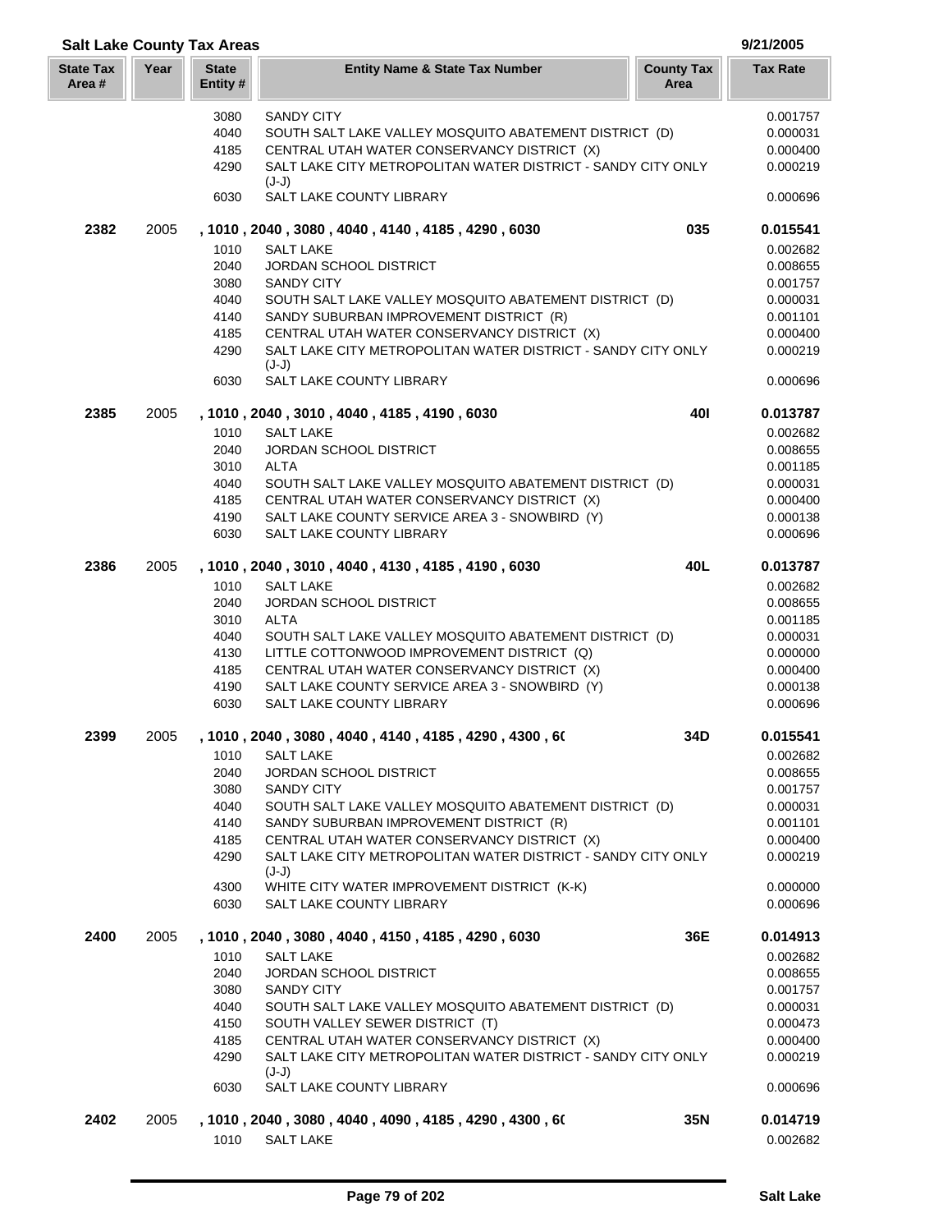| <b>Salt Lake County Tax Areas</b> |      |                          |                                                                                  |                           | 9/21/2005            |
|-----------------------------------|------|--------------------------|----------------------------------------------------------------------------------|---------------------------|----------------------|
| <b>State Tax</b><br>Area #        | Year | <b>State</b><br>Entity # | <b>Entity Name &amp; State Tax Number</b>                                        | <b>County Tax</b><br>Area | <b>Tax Rate</b>      |
|                                   |      | 3080                     | <b>SANDY CITY</b>                                                                |                           | 0.001757             |
|                                   |      | 4040                     | SOUTH SALT LAKE VALLEY MOSQUITO ABATEMENT DISTRICT (D)                           |                           | 0.000031             |
|                                   |      | 4185                     | CENTRAL UTAH WATER CONSERVANCY DISTRICT (X)                                      |                           | 0.000400             |
|                                   |      | 4290                     | SALT LAKE CITY METROPOLITAN WATER DISTRICT - SANDY CITY ONLY                     |                           | 0.000219             |
|                                   |      |                          | $(J-J)$                                                                          |                           |                      |
|                                   |      | 6030                     | SALT LAKE COUNTY LIBRARY                                                         |                           | 0.000696             |
| 2382                              | 2005 |                          | , 1010, 2040, 3080, 4040, 4140, 4185, 4290, 6030                                 | 035                       | 0.015541             |
|                                   |      | 1010                     | <b>SALT LAKE</b>                                                                 |                           | 0.002682             |
|                                   |      | 2040                     | <b>JORDAN SCHOOL DISTRICT</b>                                                    |                           | 0.008655             |
|                                   |      | 3080                     | <b>SANDY CITY</b>                                                                |                           | 0.001757             |
|                                   |      | 4040                     | SOUTH SALT LAKE VALLEY MOSQUITO ABATEMENT DISTRICT (D)                           |                           | 0.000031             |
|                                   |      | 4140                     | SANDY SUBURBAN IMPROVEMENT DISTRICT (R)                                          |                           | 0.001101             |
|                                   |      | 4185                     | CENTRAL UTAH WATER CONSERVANCY DISTRICT (X)                                      |                           | 0.000400             |
|                                   |      | 4290                     | SALT LAKE CITY METROPOLITAN WATER DISTRICT - SANDY CITY ONLY<br>$(J-J)$          |                           | 0.000219             |
|                                   |      | 6030                     | SALT LAKE COUNTY LIBRARY                                                         |                           | 0.000696             |
| 2385                              | 2005 |                          | , 1010, 2040, 3010, 4040, 4185, 4190, 6030                                       | 401                       | 0.013787             |
|                                   |      | 1010                     | <b>SALT LAKE</b>                                                                 |                           | 0.002682             |
|                                   |      | 2040                     | <b>JORDAN SCHOOL DISTRICT</b>                                                    |                           | 0.008655             |
|                                   |      | 3010                     | <b>ALTA</b>                                                                      |                           | 0.001185             |
|                                   |      | 4040                     | SOUTH SALT LAKE VALLEY MOSQUITO ABATEMENT DISTRICT (D)                           |                           | 0.000031             |
|                                   |      | 4185                     | CENTRAL UTAH WATER CONSERVANCY DISTRICT (X)                                      |                           | 0.000400             |
|                                   |      | 4190                     | SALT LAKE COUNTY SERVICE AREA 3 - SNOWBIRD (Y)                                   |                           | 0.000138             |
|                                   |      | 6030                     | SALT LAKE COUNTY LIBRARY                                                         |                           | 0.000696             |
| 2386                              | 2005 |                          | , 1010, 2040, 3010, 4040, 4130, 4185, 4190, 6030                                 | 40L                       | 0.013787             |
|                                   |      | 1010                     | <b>SALT LAKE</b>                                                                 |                           | 0.002682             |
|                                   |      | 2040                     | <b>JORDAN SCHOOL DISTRICT</b>                                                    |                           | 0.008655             |
|                                   |      | 3010                     | <b>ALTA</b>                                                                      |                           | 0.001185             |
|                                   |      | 4040                     | SOUTH SALT LAKE VALLEY MOSQUITO ABATEMENT DISTRICT (D)                           |                           | 0.000031             |
|                                   |      | 4130                     | LITTLE COTTONWOOD IMPROVEMENT DISTRICT (Q)                                       |                           | 0.000000             |
|                                   |      | 4185                     | CENTRAL UTAH WATER CONSERVANCY DISTRICT (X)                                      |                           | 0.000400             |
|                                   |      | 4190                     | SALT LAKE COUNTY SERVICE AREA 3 - SNOWBIRD (Y)                                   |                           | 0.000138             |
|                                   |      | 6030                     | SALT LAKE COUNTY LIBRARY                                                         |                           | 0.000696             |
| 2399                              | 2005 |                          | , 1010 , 2040 , 3080 , 4040 , 4140 , 4185 , 4290 , 4300 , 60                     | 34D                       | 0.015541             |
|                                   |      | 1010                     | <b>SALT LAKE</b>                                                                 |                           | 0.002682             |
|                                   |      | 2040                     | JORDAN SCHOOL DISTRICT                                                           |                           | 0.008655             |
|                                   |      | 3080                     | <b>SANDY CITY</b>                                                                |                           | 0.001757             |
|                                   |      | 4040                     | SOUTH SALT LAKE VALLEY MOSQUITO ABATEMENT DISTRICT (D)                           |                           | 0.000031             |
|                                   |      | 4140                     | SANDY SUBURBAN IMPROVEMENT DISTRICT (R)                                          |                           | 0.001101             |
|                                   |      | 4185                     | CENTRAL UTAH WATER CONSERVANCY DISTRICT (X)                                      |                           | 0.000400             |
|                                   |      | 4290                     | SALT LAKE CITY METROPOLITAN WATER DISTRICT - SANDY CITY ONLY<br>$(J-J)$          |                           | 0.000219             |
|                                   |      | 4300                     | WHITE CITY WATER IMPROVEMENT DISTRICT (K-K)                                      |                           | 0.000000             |
|                                   |      | 6030                     | SALT LAKE COUNTY LIBRARY                                                         |                           | 0.000696             |
| 2400                              | 2005 |                          | , 1010 , 2040 , 3080 , 4040 , 4150 , 4185 , 4290 , 6030                          | 36E                       | 0.014913             |
|                                   |      | 1010                     | <b>SALT LAKE</b>                                                                 |                           | 0.002682             |
|                                   |      | 2040                     | <b>JORDAN SCHOOL DISTRICT</b>                                                    |                           | 0.008655             |
|                                   |      | 3080                     | <b>SANDY CITY</b>                                                                |                           | 0.001757             |
|                                   |      | 4040                     | SOUTH SALT LAKE VALLEY MOSQUITO ABATEMENT DISTRICT (D)                           |                           | 0.000031             |
|                                   |      | 4150                     | SOUTH VALLEY SEWER DISTRICT (T)                                                  |                           | 0.000473             |
|                                   |      | 4185                     | CENTRAL UTAH WATER CONSERVANCY DISTRICT (X)                                      |                           | 0.000400             |
|                                   |      | 4290                     | SALT LAKE CITY METROPOLITAN WATER DISTRICT - SANDY CITY ONLY                     |                           | 0.000219             |
|                                   |      | 6030                     | $(J-J)$<br>SALT LAKE COUNTY LIBRARY                                              |                           | 0.000696             |
|                                   |      |                          |                                                                                  |                           |                      |
| 2402                              | 2005 | 1010                     | , 1010 , 2040 , 3080 , 4040 , 4090 , 4185 , 4290 , 4300 , 60<br><b>SALT LAKE</b> | 35N                       | 0.014719<br>0.002682 |
|                                   |      |                          |                                                                                  |                           |                      |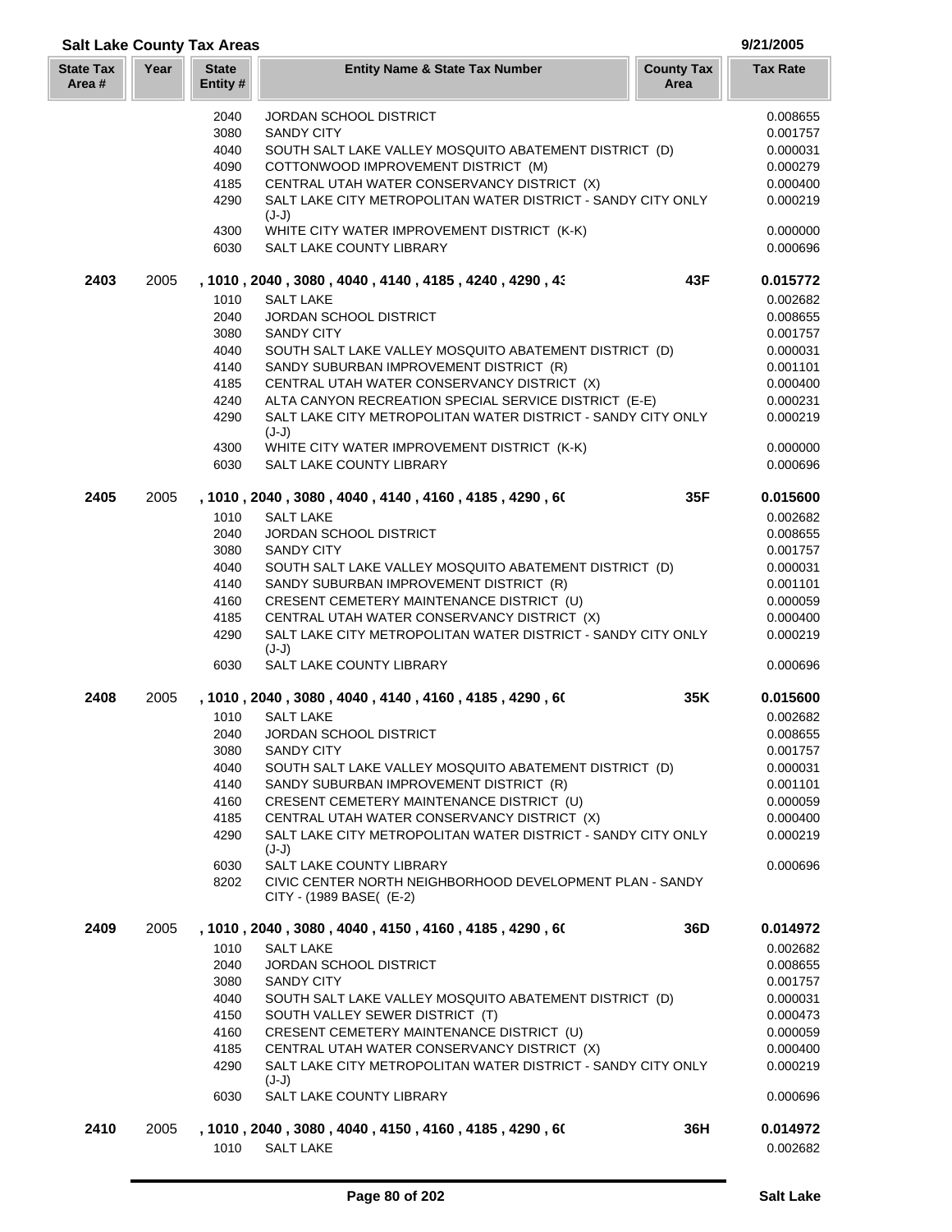| <b>Salt Lake County Tax Areas</b> |      |                          |                                                                                      |                           | 9/21/2005            |
|-----------------------------------|------|--------------------------|--------------------------------------------------------------------------------------|---------------------------|----------------------|
| <b>State Tax</b><br>Area#         | Year | <b>State</b><br>Entity # | <b>Entity Name &amp; State Tax Number</b>                                            | <b>County Tax</b><br>Area | <b>Tax Rate</b>      |
|                                   |      | 2040                     | <b>JORDAN SCHOOL DISTRICT</b>                                                        |                           | 0.008655             |
|                                   |      | 3080                     | <b>SANDY CITY</b>                                                                    |                           | 0.001757             |
|                                   |      | 4040                     | SOUTH SALT LAKE VALLEY MOSQUITO ABATEMENT DISTRICT (D)                               |                           | 0.000031             |
|                                   |      | 4090                     | COTTONWOOD IMPROVEMENT DISTRICT (M)                                                  |                           | 0.000279             |
|                                   |      | 4185                     | CENTRAL UTAH WATER CONSERVANCY DISTRICT (X)                                          |                           | 0.000400             |
|                                   |      | 4290                     | SALT LAKE CITY METROPOLITAN WATER DISTRICT - SANDY CITY ONLY<br>$(J-J)$              |                           | 0.000219             |
|                                   |      | 4300<br>6030             | WHITE CITY WATER IMPROVEMENT DISTRICT (K-K)<br>SALT LAKE COUNTY LIBRARY              |                           | 0.000000<br>0.000696 |
| 2403                              | 2005 |                          | , 1010 , 2040 , 3080 , 4040 , 4140 , 4185 , 4240 , 4290 , 43                         | 43F                       | 0.015772             |
|                                   |      | 1010                     | <b>SALT LAKE</b>                                                                     |                           | 0.002682             |
|                                   |      | 2040                     | <b>JORDAN SCHOOL DISTRICT</b>                                                        |                           | 0.008655             |
|                                   |      | 3080                     | <b>SANDY CITY</b>                                                                    |                           | 0.001757             |
|                                   |      | 4040                     | SOUTH SALT LAKE VALLEY MOSQUITO ABATEMENT DISTRICT (D)                               |                           | 0.000031             |
|                                   |      | 4140                     | SANDY SUBURBAN IMPROVEMENT DISTRICT (R)                                              |                           | 0.001101             |
|                                   |      | 4185                     | CENTRAL UTAH WATER CONSERVANCY DISTRICT (X)                                          |                           | 0.000400             |
|                                   |      | 4240                     | ALTA CANYON RECREATION SPECIAL SERVICE DISTRICT (E-E)                                |                           | 0.000231             |
|                                   |      | 4290                     | SALT LAKE CITY METROPOLITAN WATER DISTRICT - SANDY CITY ONLY<br>$(J-J)$              |                           | 0.000219             |
|                                   |      | 4300                     | WHITE CITY WATER IMPROVEMENT DISTRICT (K-K)                                          |                           | 0.000000             |
|                                   |      | 6030                     | <b>SALT LAKE COUNTY LIBRARY</b>                                                      |                           | 0.000696             |
| 2405                              | 2005 |                          | , 1010, 2040, 3080, 4040, 4140, 4160, 4185, 4290, 60                                 | 35F                       | 0.015600             |
|                                   |      | 1010                     | SALT LAKE                                                                            |                           | 0.002682             |
|                                   |      | 2040                     | JORDAN SCHOOL DISTRICT                                                               |                           | 0.008655             |
|                                   |      | 3080                     | <b>SANDY CITY</b>                                                                    |                           | 0.001757             |
|                                   |      | 4040                     | SOUTH SALT LAKE VALLEY MOSQUITO ABATEMENT DISTRICT (D)                               |                           | 0.000031             |
|                                   |      | 4140                     | SANDY SUBURBAN IMPROVEMENT DISTRICT (R)                                              |                           | 0.001101             |
|                                   |      | 4160                     | CRESENT CEMETERY MAINTENANCE DISTRICT (U)                                            |                           | 0.000059             |
|                                   |      | 4185                     | CENTRAL UTAH WATER CONSERVANCY DISTRICT (X)                                          |                           | 0.000400             |
|                                   |      | 4290                     | SALT LAKE CITY METROPOLITAN WATER DISTRICT - SANDY CITY ONLY<br>$(J-J)$              |                           | 0.000219             |
|                                   |      | 6030                     | SALT LAKE COUNTY LIBRARY                                                             |                           | 0.000696             |
| 2408                              | 2005 |                          | , 1010 , 2040 , 3080 , 4040 , 4140 , 4160 , 4185 , 4290 , 60                         | 35K                       | 0.015600             |
|                                   |      | 1010                     | <b>SALT LAKE</b>                                                                     |                           | 0.002682             |
|                                   |      | 2040                     | JORDAN SCHOOL DISTRICT                                                               |                           | 0.008655             |
|                                   |      | 3080                     | <b>SANDY CITY</b>                                                                    |                           | 0.001757             |
|                                   |      | 4040                     | SOUTH SALT LAKE VALLEY MOSQUITO ABATEMENT DISTRICT (D)                               |                           | 0.000031             |
|                                   |      | 4140                     | SANDY SUBURBAN IMPROVEMENT DISTRICT (R)                                              |                           | 0.001101             |
|                                   |      | 4160                     | CRESENT CEMETERY MAINTENANCE DISTRICT (U)                                            |                           | 0.000059             |
|                                   |      | 4185                     | CENTRAL UTAH WATER CONSERVANCY DISTRICT (X)                                          |                           | 0.000400             |
|                                   |      | 4290                     | SALT LAKE CITY METROPOLITAN WATER DISTRICT - SANDY CITY ONLY<br>$(J-J)$              |                           | 0.000219             |
|                                   |      | 6030                     | SALT LAKE COUNTY LIBRARY                                                             |                           | 0.000696             |
|                                   |      | 8202                     | CIVIC CENTER NORTH NEIGHBORHOOD DEVELOPMENT PLAN - SANDY<br>CITY - (1989 BASE( (E-2) |                           |                      |
| 2409                              | 2005 |                          | , 1010 , 2040 , 3080 , 4040 , 4150 , 4160 , 4185 , 4290 , 60                         | 36D                       | 0.014972             |
|                                   |      | 1010                     | <b>SALT LAKE</b>                                                                     |                           | 0.002682             |
|                                   |      | 2040                     | <b>JORDAN SCHOOL DISTRICT</b>                                                        |                           | 0.008655             |
|                                   |      | 3080                     | <b>SANDY CITY</b>                                                                    |                           | 0.001757             |
|                                   |      | 4040                     | SOUTH SALT LAKE VALLEY MOSQUITO ABATEMENT DISTRICT (D)                               |                           | 0.000031             |
|                                   |      | 4150                     | SOUTH VALLEY SEWER DISTRICT (T)                                                      |                           | 0.000473             |
|                                   |      | 4160                     | CRESENT CEMETERY MAINTENANCE DISTRICT (U)                                            |                           | 0.000059             |
|                                   |      | 4185                     | CENTRAL UTAH WATER CONSERVANCY DISTRICT (X)                                          |                           | 0.000400             |
|                                   |      | 4290                     | SALT LAKE CITY METROPOLITAN WATER DISTRICT - SANDY CITY ONLY<br>$(J-J)$              |                           | 0.000219             |
|                                   |      | 6030                     | SALT LAKE COUNTY LIBRARY                                                             |                           | 0.000696             |
| 2410                              | 2005 |                          | , 1010 , 2040 , 3080 , 4040 , 4150 , 4160 , 4185 , 4290 , 60                         | 36H                       | 0.014972             |
|                                   |      | 1010                     | <b>SALT LAKE</b>                                                                     |                           | 0.002682             |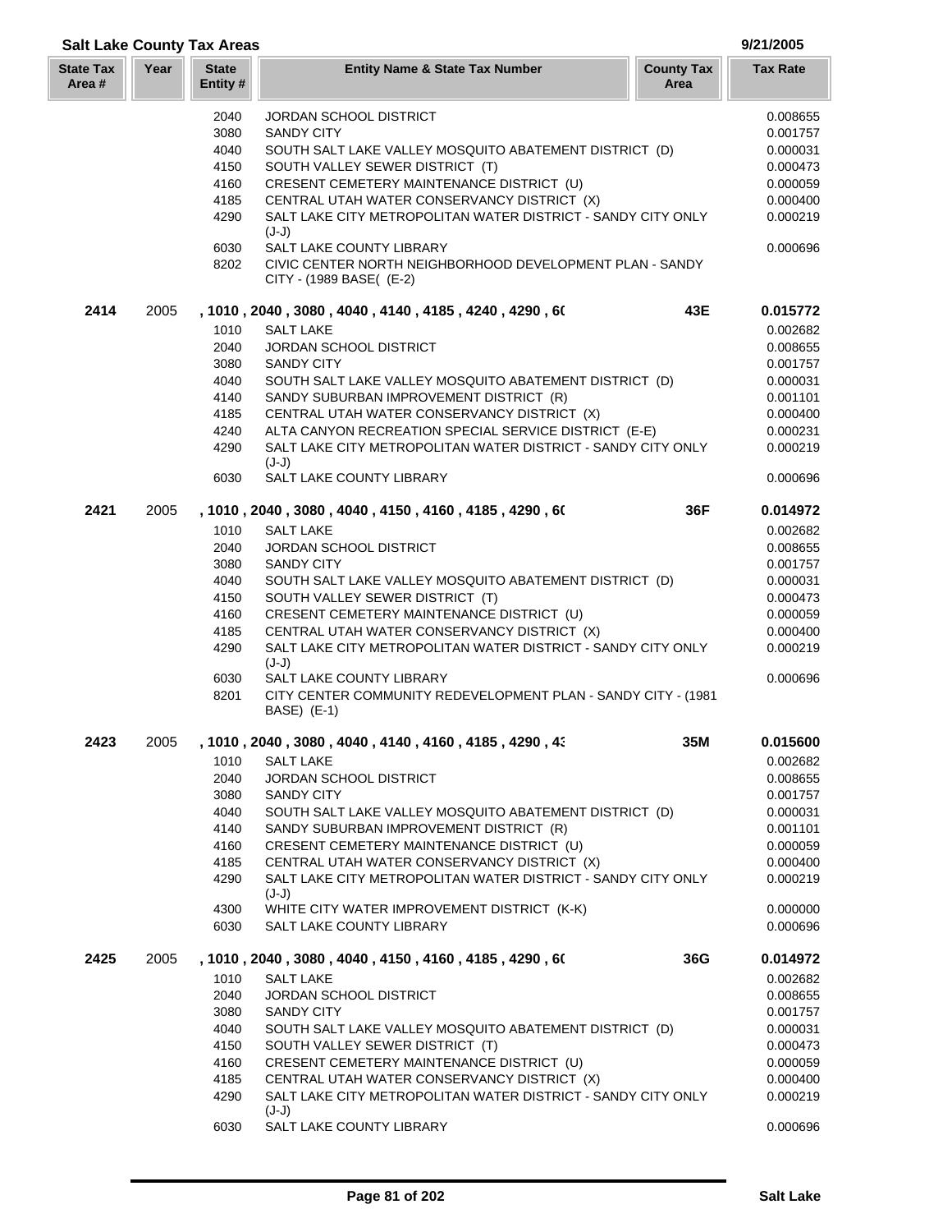# State Tax Ye **Salt Lake County Tax Areas 9/21/2005 State Entity #**

| tate Tax<br>Area # | Year | <b>State</b><br>Entity# | <b>County Tax</b><br><b>Entity Name &amp; State Tax Number</b><br>Area                                           | Tax Rate             |
|--------------------|------|-------------------------|------------------------------------------------------------------------------------------------------------------|----------------------|
|                    |      | 2040                    | JORDAN SCHOOL DISTRICT                                                                                           | 0.008655             |
|                    |      | 3080                    | <b>SANDY CITY</b>                                                                                                | 0.001757             |
|                    |      | 4040                    | SOUTH SALT LAKE VALLEY MOSQUITO ABATEMENT DISTRICT (D)                                                           | 0.000031             |
|                    |      | 4150                    | SOUTH VALLEY SEWER DISTRICT (T)                                                                                  | 0.000473             |
|                    |      | 4160                    | CRESENT CEMETERY MAINTENANCE DISTRICT (U)                                                                        | 0.000059             |
|                    |      | 4185<br>4290            | CENTRAL UTAH WATER CONSERVANCY DISTRICT (X)<br>SALT LAKE CITY METROPOLITAN WATER DISTRICT - SANDY CITY ONLY      | 0.000400<br>0.000219 |
|                    |      |                         | $(J-J)$                                                                                                          |                      |
|                    |      | 6030<br>8202            | SALT LAKE COUNTY LIBRARY<br>CIVIC CENTER NORTH NEIGHBORHOOD DEVELOPMENT PLAN - SANDY<br>CITY - (1989 BASE( (E-2) | 0.000696             |
| 2414               | 2005 |                         | 43E<br>, 1010 , 2040 , 3080 , 4040 , 4140 , 4185 , 4240 , 4290 , 60                                              | 0.015772             |
|                    |      | 1010                    | <b>SALT LAKE</b>                                                                                                 | 0.002682             |
|                    |      | 2040                    | JORDAN SCHOOL DISTRICT                                                                                           | 0.008655             |
|                    |      | 3080                    | <b>SANDY CITY</b>                                                                                                | 0.001757             |
|                    |      | 4040                    | SOUTH SALT LAKE VALLEY MOSQUITO ABATEMENT DISTRICT (D)                                                           | 0.000031             |
|                    |      | 4140                    | SANDY SUBURBAN IMPROVEMENT DISTRICT (R)                                                                          | 0.001101             |
|                    |      | 4185                    | CENTRAL UTAH WATER CONSERVANCY DISTRICT (X)                                                                      | 0.000400             |
|                    |      | 4240                    | ALTA CANYON RECREATION SPECIAL SERVICE DISTRICT (E-E)                                                            | 0.000231             |
|                    |      | 4290                    | SALT LAKE CITY METROPOLITAN WATER DISTRICT - SANDY CITY ONLY<br>$(J-J)$                                          | 0.000219             |
|                    |      | 6030                    | SALT LAKE COUNTY LIBRARY                                                                                         | 0.000696             |
| 2421               | 2005 |                         | 36F<br>, 1010 , 2040 , 3080 , 4040 , 4150 , 4160 , 4185 , 4290 , 60                                              | 0.014972             |
|                    |      | 1010                    | <b>SALT LAKE</b>                                                                                                 | 0.002682             |
|                    |      | 2040                    | <b>JORDAN SCHOOL DISTRICT</b>                                                                                    | 0.008655             |
|                    |      | 3080                    | <b>SANDY CITY</b>                                                                                                | 0.001757             |
|                    |      | 4040                    | SOUTH SALT LAKE VALLEY MOSQUITO ABATEMENT DISTRICT (D)                                                           | 0.000031             |
|                    |      | 4150                    | SOUTH VALLEY SEWER DISTRICT (T)                                                                                  | 0.000473             |
|                    |      | 4160                    | CRESENT CEMETERY MAINTENANCE DISTRICT (U)                                                                        | 0.000059             |
|                    |      | 4185                    | CENTRAL UTAH WATER CONSERVANCY DISTRICT (X)                                                                      | 0.000400             |
|                    |      | 4290                    | SALT LAKE CITY METROPOLITAN WATER DISTRICT - SANDY CITY ONLY<br>$(J-J)$                                          | 0.000219             |
|                    |      | 6030                    | SALT LAKE COUNTY LIBRARY                                                                                         | 0.000696             |
|                    |      | 8201                    | CITY CENTER COMMUNITY REDEVELOPMENT PLAN - SANDY CITY - (1981<br>BASE) (E-1)                                     |                      |
| 2423               | 2005 |                         | , 1010, 2040, 3080, 4040, 4140, 4160, 4185, 4290, 43<br>35M                                                      | 0.015600             |
|                    |      |                         | 1010 SALT LAKE                                                                                                   | 0.002682             |
|                    |      | 2040                    | <b>JORDAN SCHOOL DISTRICT</b>                                                                                    | 0.008655             |
|                    |      | 3080                    | <b>SANDY CITY</b>                                                                                                | 0.001757             |
|                    |      | 4040                    | SOUTH SALT LAKE VALLEY MOSQUITO ABATEMENT DISTRICT (D)                                                           | 0.000031             |
|                    |      | 4140                    | SANDY SUBURBAN IMPROVEMENT DISTRICT (R)                                                                          | 0.001101             |
|                    |      | 4160                    | CRESENT CEMETERY MAINTENANCE DISTRICT (U)                                                                        | 0.000059             |
|                    |      | 4185                    | CENTRAL UTAH WATER CONSERVANCY DISTRICT (X)                                                                      | 0.000400             |
|                    |      | 4290                    | SALT LAKE CITY METROPOLITAN WATER DISTRICT - SANDY CITY ONLY<br>$(J-J)$                                          | 0.000219             |
|                    |      | 4300                    | WHITE CITY WATER IMPROVEMENT DISTRICT (K-K)                                                                      | 0.000000             |
|                    |      | 6030                    | SALT LAKE COUNTY LIBRARY                                                                                         | 0.000696             |
| 2425               | 2005 |                         | , 1010 , 2040 , 3080 , 4040 , 4150 , 4160 , 4185 , 4290 , 60<br>36G                                              | 0.014972             |
|                    |      | 1010                    | <b>SALT LAKE</b>                                                                                                 | 0.002682             |
|                    |      | 2040                    | JORDAN SCHOOL DISTRICT                                                                                           | 0.008655             |
|                    |      | 3080                    | <b>SANDY CITY</b>                                                                                                | 0.001757             |
|                    |      | 4040                    | SOUTH SALT LAKE VALLEY MOSQUITO ABATEMENT DISTRICT (D)                                                           | 0.000031             |
|                    |      | 4150                    | SOUTH VALLEY SEWER DISTRICT (T)                                                                                  | 0.000473             |
|                    |      | 4160                    | CRESENT CEMETERY MAINTENANCE DISTRICT (U)                                                                        | 0.000059             |
|                    |      | 4185                    | CENTRAL UTAH WATER CONSERVANCY DISTRICT (X)                                                                      | 0.000400             |
|                    |      | 4290                    | SALT LAKE CITY METROPOLITAN WATER DISTRICT - SANDY CITY ONLY<br>$(J-J)$                                          | 0.000219             |
|                    |      | 6030                    | SALT LAKE COUNTY LIBRARY                                                                                         | 0.000696             |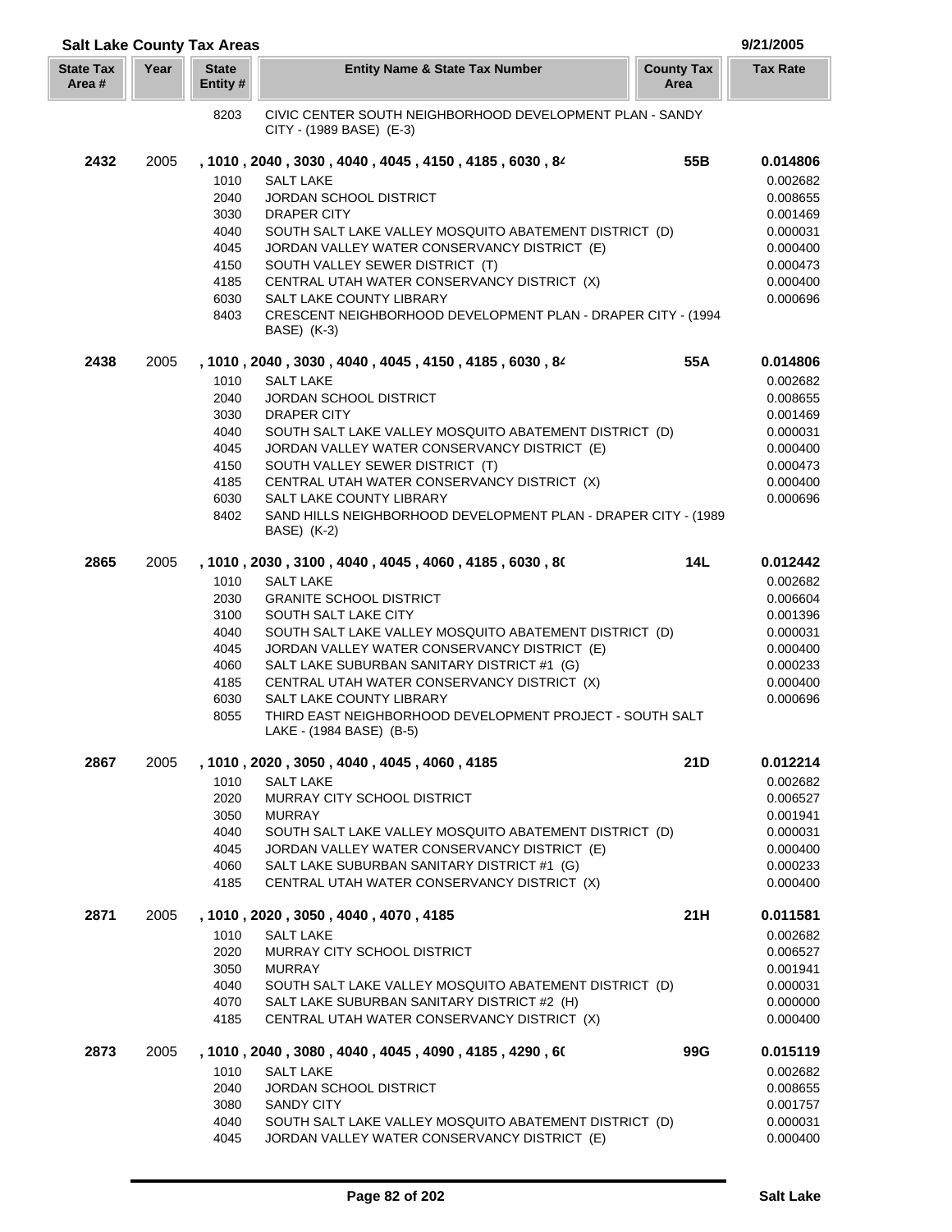| <b>Salt Lake County Tax Areas</b> |      |                          |                                                                                      |                           | 9/21/2005       |
|-----------------------------------|------|--------------------------|--------------------------------------------------------------------------------------|---------------------------|-----------------|
| <b>State Tax</b><br>Area#         | Year | <b>State</b><br>Entity # | <b>Entity Name &amp; State Tax Number</b>                                            | <b>County Tax</b><br>Area | <b>Tax Rate</b> |
|                                   |      | 8203                     | CIVIC CENTER SOUTH NEIGHBORHOOD DEVELOPMENT PLAN - SANDY<br>CITY - (1989 BASE) (E-3) |                           |                 |
| 2432                              | 2005 |                          | , 1010, 2040, 3030, 4040, 4045, 4150, 4185, 6030, 84                                 | 55B                       | 0.014806        |
|                                   |      | 1010                     | <b>SALT LAKE</b>                                                                     |                           | 0.002682        |
|                                   |      | 2040                     | JORDAN SCHOOL DISTRICT                                                               |                           | 0.008655        |
|                                   |      | 3030                     | <b>DRAPER CITY</b>                                                                   |                           | 0.001469        |
|                                   |      | 4040                     | SOUTH SALT LAKE VALLEY MOSQUITO ABATEMENT DISTRICT (D)                               |                           | 0.000031        |
|                                   |      | 4045                     | JORDAN VALLEY WATER CONSERVANCY DISTRICT (E)                                         |                           | 0.000400        |
|                                   |      | 4150                     | SOUTH VALLEY SEWER DISTRICT (T)                                                      |                           | 0.000473        |
|                                   |      | 4185                     | CENTRAL UTAH WATER CONSERVANCY DISTRICT (X)                                          |                           | 0.000400        |
|                                   |      | 6030                     | SALT LAKE COUNTY LIBRARY                                                             |                           | 0.000696        |
|                                   |      | 8403                     | CRESCENT NEIGHBORHOOD DEVELOPMENT PLAN - DRAPER CITY - (1994<br>BASE) (K-3)          |                           |                 |
| 2438                              | 2005 |                          | , 1010, 2040, 3030, 4040, 4045, 4150, 4185, 6030, 84                                 | 55A                       | 0.014806        |
|                                   |      | 1010                     | <b>SALT LAKE</b>                                                                     |                           | 0.002682        |
|                                   |      | 2040                     | <b>JORDAN SCHOOL DISTRICT</b>                                                        |                           | 0.008655        |
|                                   |      | 3030                     | <b>DRAPER CITY</b>                                                                   |                           | 0.001469        |
|                                   |      | 4040                     | SOUTH SALT LAKE VALLEY MOSQUITO ABATEMENT DISTRICT (D)                               |                           | 0.000031        |
|                                   |      | 4045                     | JORDAN VALLEY WATER CONSERVANCY DISTRICT (E)                                         |                           | 0.000400        |
|                                   |      | 4150                     | SOUTH VALLEY SEWER DISTRICT (T)                                                      |                           | 0.000473        |
|                                   |      | 4185                     | CENTRAL UTAH WATER CONSERVANCY DISTRICT (X)                                          |                           | 0.000400        |
|                                   |      | 6030                     | SALT LAKE COUNTY LIBRARY                                                             |                           | 0.000696        |
|                                   |      | 8402                     | SAND HILLS NEIGHBORHOOD DEVELOPMENT PLAN - DRAPER CITY - (1989                       |                           |                 |
|                                   |      |                          | BASE) (K-2)                                                                          |                           |                 |
| 2865                              | 2005 |                          | , 1010 , 2030 , 3100 , 4040 , 4045 , 4060 , 4185 , 6030 , 80                         | 14L                       | 0.012442        |
|                                   |      | 1010                     | <b>SALT LAKE</b>                                                                     |                           | 0.002682        |
|                                   |      | 2030                     | <b>GRANITE SCHOOL DISTRICT</b>                                                       |                           | 0.006604        |
|                                   |      | 3100                     | SOUTH SALT LAKE CITY                                                                 |                           | 0.001396        |
|                                   |      | 4040                     | SOUTH SALT LAKE VALLEY MOSQUITO ABATEMENT DISTRICT (D)                               |                           | 0.000031        |
|                                   |      | 4045                     | JORDAN VALLEY WATER CONSERVANCY DISTRICT (E)                                         |                           | 0.000400        |
|                                   |      | 4060                     | SALT LAKE SUBURBAN SANITARY DISTRICT #1 (G)                                          |                           | 0.000233        |
|                                   |      | 4185                     | CENTRAL UTAH WATER CONSERVANCY DISTRICT (X)                                          |                           | 0.000400        |
|                                   |      | 6030                     | SALT LAKE COUNTY LIBRARY                                                             |                           | 0.000696        |
|                                   |      | 8055                     | THIRD EAST NEIGHBORHOOD DEVELOPMENT PROJECT - SOUTH SALT<br>LAKE - (1984 BASE) (B-5) |                           |                 |
| 2867                              | 2005 |                          | , 1010, 2020, 3050, 4040, 4045, 4060, 4185                                           | 21D                       | 0.012214        |
|                                   |      | 1010                     | <b>SALT LAKE</b>                                                                     |                           | 0.002682        |
|                                   |      | 2020                     | MURRAY CITY SCHOOL DISTRICT                                                          |                           | 0.006527        |
|                                   |      | 3050                     | <b>MURRAY</b>                                                                        |                           | 0.001941        |
|                                   |      | 4040                     | SOUTH SALT LAKE VALLEY MOSQUITO ABATEMENT DISTRICT (D)                               |                           | 0.000031        |
|                                   |      | 4045                     | JORDAN VALLEY WATER CONSERVANCY DISTRICT (E)                                         |                           | 0.000400        |
|                                   |      | 4060                     | SALT LAKE SUBURBAN SANITARY DISTRICT #1 (G)                                          |                           | 0.000233        |
|                                   |      | 4185                     | CENTRAL UTAH WATER CONSERVANCY DISTRICT (X)                                          |                           | 0.000400        |
| 2871                              | 2005 |                          | , 1010 , 2020 , 3050 , 4040 , 4070 , 4185                                            | 21H                       | 0.011581        |
|                                   |      | 1010                     | <b>SALT LAKE</b>                                                                     |                           | 0.002682        |
|                                   |      | 2020                     | MURRAY CITY SCHOOL DISTRICT                                                          |                           | 0.006527        |
|                                   |      | 3050                     | <b>MURRAY</b>                                                                        |                           | 0.001941        |
|                                   |      | 4040                     | SOUTH SALT LAKE VALLEY MOSQUITO ABATEMENT DISTRICT (D)                               |                           | 0.000031        |
|                                   |      | 4070                     | SALT LAKE SUBURBAN SANITARY DISTRICT #2 (H)                                          |                           | 0.000000        |
|                                   |      | 4185                     | CENTRAL UTAH WATER CONSERVANCY DISTRICT (X)                                          |                           | 0.000400        |
| 2873                              | 2005 |                          | , 1010 , 2040 , 3080 , 4040 , 4045 , 4090 , 4185 , 4290 , 60                         | 99G                       | 0.015119        |
|                                   |      | 1010                     | <b>SALT LAKE</b>                                                                     |                           | 0.002682        |
|                                   |      | 2040                     | <b>JORDAN SCHOOL DISTRICT</b>                                                        |                           | 0.008655        |
|                                   |      | 3080                     | <b>SANDY CITY</b>                                                                    |                           | 0.001757        |
|                                   |      | 4040                     | SOUTH SALT LAKE VALLEY MOSQUITO ABATEMENT DISTRICT (D)                               |                           | 0.000031        |
|                                   |      | 4045                     | JORDAN VALLEY WATER CONSERVANCY DISTRICT (E)                                         |                           | 0.000400        |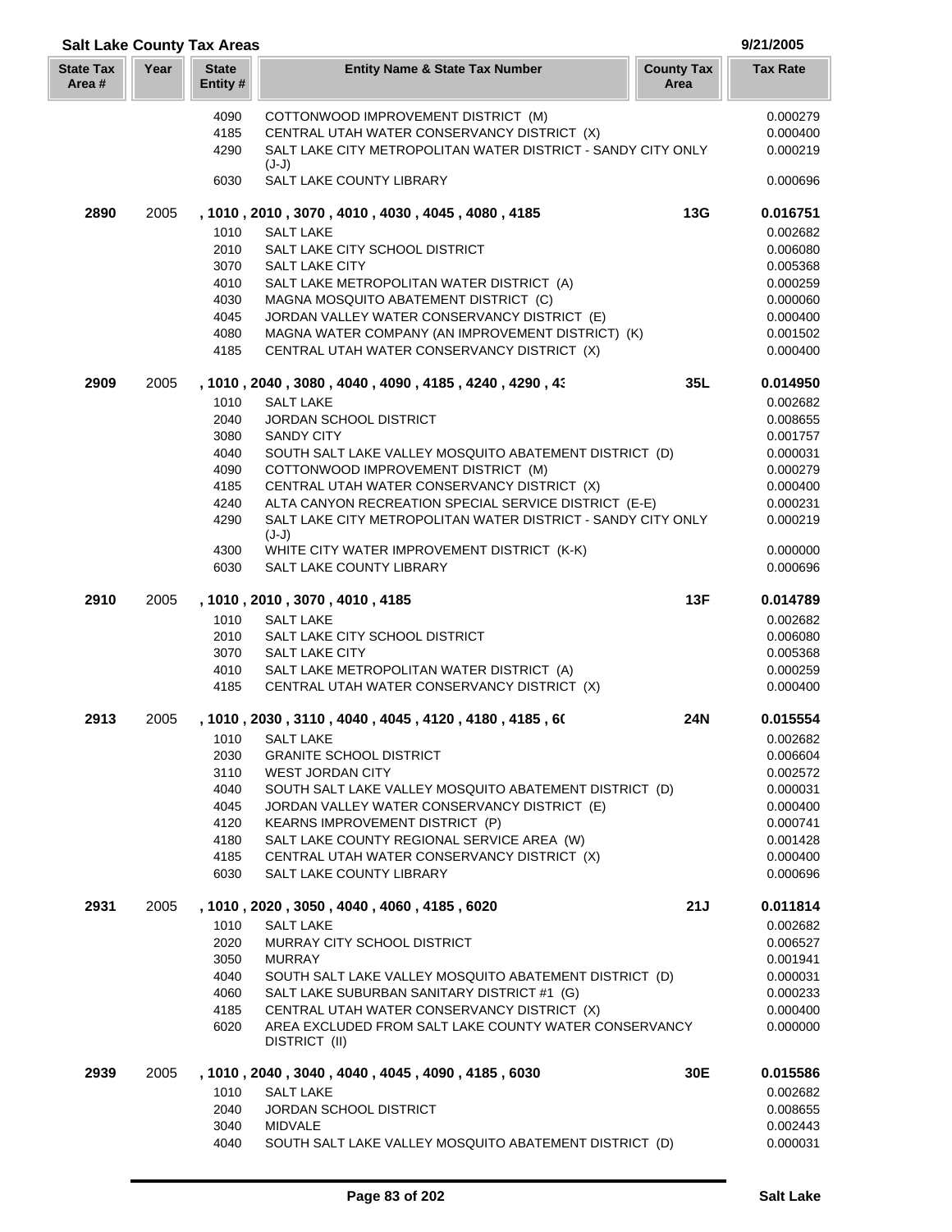| <b>Salt Lake County Tax Areas</b> |      |                          |                                                                                            |                           | 9/21/2005            |
|-----------------------------------|------|--------------------------|--------------------------------------------------------------------------------------------|---------------------------|----------------------|
| <b>State Tax</b><br>Area#         | Year | <b>State</b><br>Entity # | <b>Entity Name &amp; State Tax Number</b>                                                  | <b>County Tax</b><br>Area | <b>Tax Rate</b>      |
|                                   |      | 4090                     | COTTONWOOD IMPROVEMENT DISTRICT (M)                                                        |                           | 0.000279             |
|                                   |      | 4185                     | CENTRAL UTAH WATER CONSERVANCY DISTRICT (X)                                                |                           | 0.000400             |
|                                   |      | 4290                     | SALT LAKE CITY METROPOLITAN WATER DISTRICT - SANDY CITY ONLY<br>$(J-J)$                    |                           | 0.000219             |
|                                   |      | 6030                     | SALT LAKE COUNTY LIBRARY                                                                   |                           | 0.000696             |
| 2890                              | 2005 |                          | , 1010, 2010, 3070, 4010, 4030, 4045, 4080, 4185                                           | 13G                       | 0.016751             |
|                                   |      | 1010                     | <b>SALT LAKE</b>                                                                           |                           | 0.002682             |
|                                   |      | 2010                     | SALT LAKE CITY SCHOOL DISTRICT                                                             |                           | 0.006080             |
|                                   |      | 3070                     | <b>SALT LAKE CITY</b>                                                                      |                           | 0.005368             |
|                                   |      | 4010<br>4030             | SALT LAKE METROPOLITAN WATER DISTRICT (A)<br>MAGNA MOSQUITO ABATEMENT DISTRICT (C)         |                           | 0.000259<br>0.000060 |
|                                   |      | 4045                     | JORDAN VALLEY WATER CONSERVANCY DISTRICT (E)                                               |                           | 0.000400             |
|                                   |      | 4080                     | MAGNA WATER COMPANY (AN IMPROVEMENT DISTRICT) (K)                                          |                           | 0.001502             |
|                                   |      | 4185                     | CENTRAL UTAH WATER CONSERVANCY DISTRICT (X)                                                |                           | 0.000400             |
| 2909                              | 2005 |                          | , 1010, 2040, 3080, 4040, 4090, 4185, 4240, 4290, 43                                       | 35L                       | 0.014950             |
|                                   |      | 1010                     | <b>SALT LAKE</b>                                                                           |                           | 0.002682             |
|                                   |      | 2040                     | <b>JORDAN SCHOOL DISTRICT</b>                                                              |                           | 0.008655             |
|                                   |      | 3080                     | <b>SANDY CITY</b>                                                                          |                           | 0.001757             |
|                                   |      | 4040                     | SOUTH SALT LAKE VALLEY MOSQUITO ABATEMENT DISTRICT (D)                                     |                           | 0.000031             |
|                                   |      | 4090<br>4185             | COTTONWOOD IMPROVEMENT DISTRICT (M)<br>CENTRAL UTAH WATER CONSERVANCY DISTRICT (X)         |                           | 0.000279<br>0.000400 |
|                                   |      | 4240                     | ALTA CANYON RECREATION SPECIAL SERVICE DISTRICT (E-E)                                      |                           | 0.000231             |
|                                   |      | 4290                     | SALT LAKE CITY METROPOLITAN WATER DISTRICT - SANDY CITY ONLY<br>$(J-J)$                    |                           | 0.000219             |
|                                   |      | 4300                     | WHITE CITY WATER IMPROVEMENT DISTRICT (K-K)                                                |                           | 0.000000             |
|                                   |      | 6030                     | SALT LAKE COUNTY LIBRARY                                                                   |                           | 0.000696             |
| 2910                              | 2005 |                          | , 1010 , 2010 , 3070 , 4010 , 4185                                                         | 13F                       | 0.014789             |
|                                   |      | 1010                     | <b>SALT LAKE</b>                                                                           |                           | 0.002682             |
|                                   |      | 2010<br>3070             | SALT LAKE CITY SCHOOL DISTRICT<br><b>SALT LAKE CITY</b>                                    |                           | 0.006080<br>0.005368 |
|                                   |      | 4010                     | SALT LAKE METROPOLITAN WATER DISTRICT (A)                                                  |                           | 0.000259             |
|                                   |      | 4185                     | CENTRAL UTAH WATER CONSERVANCY DISTRICT (X)                                                |                           | 0.000400             |
| 2913                              | 2005 |                          | , 1010 , 2030 , 3110 , 4040 , 4045 , 4120 , 4180 , 4185 , 60                               | 24N                       | 0.015554             |
|                                   |      | 1010                     | <b>SALT LAKE</b>                                                                           |                           | 0.002682             |
|                                   |      | 2030                     | <b>GRANITE SCHOOL DISTRICT</b>                                                             |                           | 0.006604             |
|                                   |      | 3110                     | <b>WEST JORDAN CITY</b>                                                                    |                           | 0.002572             |
|                                   |      | 4040                     | SOUTH SALT LAKE VALLEY MOSQUITO ABATEMENT DISTRICT (D)                                     |                           | 0.000031             |
|                                   |      | 4045                     | JORDAN VALLEY WATER CONSERVANCY DISTRICT (E)                                               |                           | 0.000400             |
|                                   |      | 4120<br>4180             | KEARNS IMPROVEMENT DISTRICT (P)<br>SALT LAKE COUNTY REGIONAL SERVICE AREA (W)              |                           | 0.000741<br>0.001428 |
|                                   |      | 4185                     | CENTRAL UTAH WATER CONSERVANCY DISTRICT (X)                                                |                           | 0.000400             |
|                                   |      | 6030                     | <b>SALT LAKE COUNTY LIBRARY</b>                                                            |                           | 0.000696             |
| 2931                              | 2005 |                          | , 1010, 2020, 3050, 4040, 4060, 4185, 6020                                                 | 21J                       | 0.011814             |
|                                   |      | 1010                     | <b>SALT LAKE</b>                                                                           |                           | 0.002682             |
|                                   |      | 2020                     | MURRAY CITY SCHOOL DISTRICT                                                                |                           | 0.006527             |
|                                   |      | 3050                     | <b>MURRAY</b>                                                                              |                           | 0.001941             |
|                                   |      | 4040                     | SOUTH SALT LAKE VALLEY MOSQUITO ABATEMENT DISTRICT (D)                                     |                           | 0.000031             |
|                                   |      | 4060<br>4185             | SALT LAKE SUBURBAN SANITARY DISTRICT #1 (G)<br>CENTRAL UTAH WATER CONSERVANCY DISTRICT (X) |                           | 0.000233<br>0.000400 |
|                                   |      | 6020                     | AREA EXCLUDED FROM SALT LAKE COUNTY WATER CONSERVANCY<br>DISTRICT (II)                     |                           | 0.000000             |
| 2939                              | 2005 |                          | , 1010, 2040, 3040, 4040, 4045, 4090, 4185, 6030                                           | 30E                       | 0.015586             |
|                                   |      | 1010                     | <b>SALT LAKE</b>                                                                           |                           | 0.002682             |
|                                   |      | 2040                     | <b>JORDAN SCHOOL DISTRICT</b>                                                              |                           | 0.008655             |
|                                   |      | 3040                     | <b>MIDVALE</b>                                                                             |                           | 0.002443             |
|                                   |      | 4040                     | SOUTH SALT LAKE VALLEY MOSQUITO ABATEMENT DISTRICT (D)                                     |                           | 0.000031             |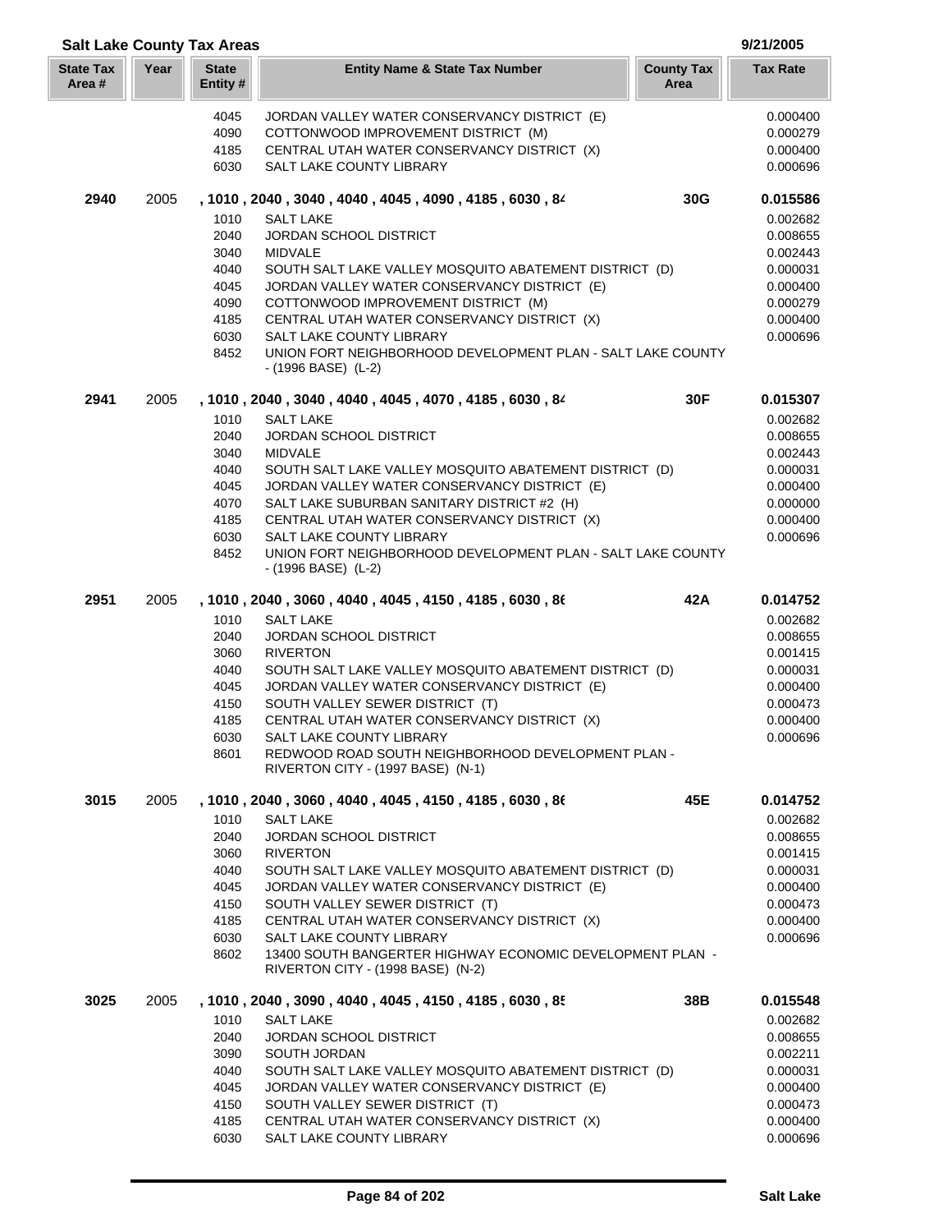| Year<br><b>State</b><br><b>State Tax</b><br><b>County Tax</b><br><b>Tax Rate</b><br><b>Entity Name &amp; State Tax Number</b><br>Area#<br>Entity#<br>Area<br>4045<br>JORDAN VALLEY WATER CONSERVANCY DISTRICT (E)<br>COTTONWOOD IMPROVEMENT DISTRICT (M)<br>4090<br>4185<br>CENTRAL UTAH WATER CONSERVANCY DISTRICT (X)<br>6030<br>SALT LAKE COUNTY LIBRARY<br>30G<br>2940<br>2005<br>, 1010, 2040, 3040, 4040, 4045, 4090, 4185, 6030, 84<br>1010<br><b>SALT LAKE</b><br>0.002682<br>2040<br><b>JORDAN SCHOOL DISTRICT</b><br>0.008655<br>3040<br><b>MIDVALE</b><br>0.002443<br>4040<br>SOUTH SALT LAKE VALLEY MOSQUITO ABATEMENT DISTRICT (D)<br>0.000031<br>4045<br>0.000400<br>JORDAN VALLEY WATER CONSERVANCY DISTRICT (E)<br>4090<br>COTTONWOOD IMPROVEMENT DISTRICT (M)<br>0.000279<br>0.000400<br>4185<br>CENTRAL UTAH WATER CONSERVANCY DISTRICT (X)<br>6030<br>SALT LAKE COUNTY LIBRARY<br>0.000696<br>UNION FORT NEIGHBORHOOD DEVELOPMENT PLAN - SALT LAKE COUNTY<br>8452<br>- (1996 BASE) (L-2)<br>30F<br>2941<br>2005<br>, 1010, 2040, 3040, 4040, 4045, 4070, 4185, 6030, 84<br>1010<br><b>SALT LAKE</b><br>2040<br><b>JORDAN SCHOOL DISTRICT</b><br>3040<br><b>MIDVALE</b><br>4040<br>SOUTH SALT LAKE VALLEY MOSQUITO ABATEMENT DISTRICT (D)<br>JORDAN VALLEY WATER CONSERVANCY DISTRICT (E)<br>4045<br>4070<br>SALT LAKE SUBURBAN SANITARY DISTRICT #2 (H)<br>0.000000<br>4185<br>CENTRAL UTAH WATER CONSERVANCY DISTRICT (X)<br>0.000400<br>6030<br>SALT LAKE COUNTY LIBRARY<br>0.000696<br>8452<br>UNION FORT NEIGHBORHOOD DEVELOPMENT PLAN - SALT LAKE COUNTY<br>- (1996 BASE) (L-2)<br>2951<br>2005<br>42A<br>, 1010, 2040, 3060, 4040, 4045, 4150, 4185, 6030, 86<br>1010<br><b>SALT LAKE</b><br>2040<br>JORDAN SCHOOL DISTRICT<br>3060<br><b>RIVERTON</b><br>4040<br>SOUTH SALT LAKE VALLEY MOSQUITO ABATEMENT DISTRICT (D)<br>0.000031<br>4045<br>JORDAN VALLEY WATER CONSERVANCY DISTRICT (E)<br>0.000400<br>4150<br>SOUTH VALLEY SEWER DISTRICT (T)<br>0.000473<br>0.000400<br>4185<br>CENTRAL UTAH WATER CONSERVANCY DISTRICT (X)<br>6030<br>SALT LAKE COUNTY LIBRARY<br>0.000696<br>8601<br>REDWOOD ROAD SOUTH NEIGHBORHOOD DEVELOPMENT PLAN -<br>RIVERTON CITY - (1997 BASE) (N-1)<br>3015<br>2005<br>, 1010, 2040, 3060, 4040, 4045, 4150, 4185, 6030, 86<br>45E<br>1010<br><b>SALT LAKE</b><br>2040<br>JORDAN SCHOOL DISTRICT<br><b>RIVERTON</b><br>3060<br>4040<br>SOUTH SALT LAKE VALLEY MOSQUITO ABATEMENT DISTRICT (D)<br>0.000400<br>4045<br>JORDAN VALLEY WATER CONSERVANCY DISTRICT (E)<br>4150<br>SOUTH VALLEY SEWER DISTRICT (T)<br>0.000473<br>4185<br>CENTRAL UTAH WATER CONSERVANCY DISTRICT (X)<br>0.000400<br>6030<br>SALT LAKE COUNTY LIBRARY<br>0.000696<br>13400 SOUTH BANGERTER HIGHWAY ECONOMIC DEVELOPMENT PLAN -<br>8602<br>RIVERTON CITY - (1998 BASE) (N-2)<br>3025<br>2005<br>, 1010, 2040, 3090, 4040, 4045, 4150, 4185, 6030, 85<br>38B<br>1010<br><b>SALT LAKE</b><br>2040<br><b>JORDAN SCHOOL DISTRICT</b><br>3090<br>SOUTH JORDAN<br>0.002211<br>4040<br>SOUTH SALT LAKE VALLEY MOSQUITO ABATEMENT DISTRICT (D)<br>0.000031<br>4045<br>JORDAN VALLEY WATER CONSERVANCY DISTRICT (E)<br>0.000400<br>4150<br>SOUTH VALLEY SEWER DISTRICT (T)<br>0.000473<br>4185<br>CENTRAL UTAH WATER CONSERVANCY DISTRICT (X)<br>0.000400 | <b>Salt Lake County Tax Areas</b> |      |                          | 9/21/2005 |
|--------------------------------------------------------------------------------------------------------------------------------------------------------------------------------------------------------------------------------------------------------------------------------------------------------------------------------------------------------------------------------------------------------------------------------------------------------------------------------------------------------------------------------------------------------------------------------------------------------------------------------------------------------------------------------------------------------------------------------------------------------------------------------------------------------------------------------------------------------------------------------------------------------------------------------------------------------------------------------------------------------------------------------------------------------------------------------------------------------------------------------------------------------------------------------------------------------------------------------------------------------------------------------------------------------------------------------------------------------------------------------------------------------------------------------------------------------------------------------------------------------------------------------------------------------------------------------------------------------------------------------------------------------------------------------------------------------------------------------------------------------------------------------------------------------------------------------------------------------------------------------------------------------------------------------------------------------------------------------------------------------------------------------------------------------------------------------------------------------------------------------------------------------------------------------------------------------------------------------------------------------------------------------------------------------------------------------------------------------------------------------------------------------------------------------------------------------------------------------------------------------------------------------------------------------------------------------------------------------------------------------------------------------------------------------------------------------------------------------------------------------------------------------------------------------------------------------------------------------------------------------------------------------------------------------------------------------------------------------------------------------------------------------------------------------------------------------------------------------------------------------------------------------------------------------------------------------------------------------------------------------------------------------------|-----------------------------------|------|--------------------------|-----------|
|                                                                                                                                                                                                                                                                                                                                                                                                                                                                                                                                                                                                                                                                                                                                                                                                                                                                                                                                                                                                                                                                                                                                                                                                                                                                                                                                                                                                                                                                                                                                                                                                                                                                                                                                                                                                                                                                                                                                                                                                                                                                                                                                                                                                                                                                                                                                                                                                                                                                                                                                                                                                                                                                                                                                                                                                                                                                                                                                                                                                                                                                                                                                                                                                                                                                                      |                                   |      |                          |           |
|                                                                                                                                                                                                                                                                                                                                                                                                                                                                                                                                                                                                                                                                                                                                                                                                                                                                                                                                                                                                                                                                                                                                                                                                                                                                                                                                                                                                                                                                                                                                                                                                                                                                                                                                                                                                                                                                                                                                                                                                                                                                                                                                                                                                                                                                                                                                                                                                                                                                                                                                                                                                                                                                                                                                                                                                                                                                                                                                                                                                                                                                                                                                                                                                                                                                                      |                                   |      |                          | 0.000400  |
|                                                                                                                                                                                                                                                                                                                                                                                                                                                                                                                                                                                                                                                                                                                                                                                                                                                                                                                                                                                                                                                                                                                                                                                                                                                                                                                                                                                                                                                                                                                                                                                                                                                                                                                                                                                                                                                                                                                                                                                                                                                                                                                                                                                                                                                                                                                                                                                                                                                                                                                                                                                                                                                                                                                                                                                                                                                                                                                                                                                                                                                                                                                                                                                                                                                                                      |                                   |      |                          | 0.000279  |
|                                                                                                                                                                                                                                                                                                                                                                                                                                                                                                                                                                                                                                                                                                                                                                                                                                                                                                                                                                                                                                                                                                                                                                                                                                                                                                                                                                                                                                                                                                                                                                                                                                                                                                                                                                                                                                                                                                                                                                                                                                                                                                                                                                                                                                                                                                                                                                                                                                                                                                                                                                                                                                                                                                                                                                                                                                                                                                                                                                                                                                                                                                                                                                                                                                                                                      |                                   |      |                          | 0.000400  |
|                                                                                                                                                                                                                                                                                                                                                                                                                                                                                                                                                                                                                                                                                                                                                                                                                                                                                                                                                                                                                                                                                                                                                                                                                                                                                                                                                                                                                                                                                                                                                                                                                                                                                                                                                                                                                                                                                                                                                                                                                                                                                                                                                                                                                                                                                                                                                                                                                                                                                                                                                                                                                                                                                                                                                                                                                                                                                                                                                                                                                                                                                                                                                                                                                                                                                      |                                   |      |                          | 0.000696  |
|                                                                                                                                                                                                                                                                                                                                                                                                                                                                                                                                                                                                                                                                                                                                                                                                                                                                                                                                                                                                                                                                                                                                                                                                                                                                                                                                                                                                                                                                                                                                                                                                                                                                                                                                                                                                                                                                                                                                                                                                                                                                                                                                                                                                                                                                                                                                                                                                                                                                                                                                                                                                                                                                                                                                                                                                                                                                                                                                                                                                                                                                                                                                                                                                                                                                                      |                                   |      |                          | 0.015586  |
|                                                                                                                                                                                                                                                                                                                                                                                                                                                                                                                                                                                                                                                                                                                                                                                                                                                                                                                                                                                                                                                                                                                                                                                                                                                                                                                                                                                                                                                                                                                                                                                                                                                                                                                                                                                                                                                                                                                                                                                                                                                                                                                                                                                                                                                                                                                                                                                                                                                                                                                                                                                                                                                                                                                                                                                                                                                                                                                                                                                                                                                                                                                                                                                                                                                                                      |                                   |      |                          |           |
|                                                                                                                                                                                                                                                                                                                                                                                                                                                                                                                                                                                                                                                                                                                                                                                                                                                                                                                                                                                                                                                                                                                                                                                                                                                                                                                                                                                                                                                                                                                                                                                                                                                                                                                                                                                                                                                                                                                                                                                                                                                                                                                                                                                                                                                                                                                                                                                                                                                                                                                                                                                                                                                                                                                                                                                                                                                                                                                                                                                                                                                                                                                                                                                                                                                                                      |                                   |      |                          |           |
|                                                                                                                                                                                                                                                                                                                                                                                                                                                                                                                                                                                                                                                                                                                                                                                                                                                                                                                                                                                                                                                                                                                                                                                                                                                                                                                                                                                                                                                                                                                                                                                                                                                                                                                                                                                                                                                                                                                                                                                                                                                                                                                                                                                                                                                                                                                                                                                                                                                                                                                                                                                                                                                                                                                                                                                                                                                                                                                                                                                                                                                                                                                                                                                                                                                                                      |                                   |      |                          |           |
|                                                                                                                                                                                                                                                                                                                                                                                                                                                                                                                                                                                                                                                                                                                                                                                                                                                                                                                                                                                                                                                                                                                                                                                                                                                                                                                                                                                                                                                                                                                                                                                                                                                                                                                                                                                                                                                                                                                                                                                                                                                                                                                                                                                                                                                                                                                                                                                                                                                                                                                                                                                                                                                                                                                                                                                                                                                                                                                                                                                                                                                                                                                                                                                                                                                                                      |                                   |      |                          |           |
|                                                                                                                                                                                                                                                                                                                                                                                                                                                                                                                                                                                                                                                                                                                                                                                                                                                                                                                                                                                                                                                                                                                                                                                                                                                                                                                                                                                                                                                                                                                                                                                                                                                                                                                                                                                                                                                                                                                                                                                                                                                                                                                                                                                                                                                                                                                                                                                                                                                                                                                                                                                                                                                                                                                                                                                                                                                                                                                                                                                                                                                                                                                                                                                                                                                                                      |                                   |      |                          |           |
|                                                                                                                                                                                                                                                                                                                                                                                                                                                                                                                                                                                                                                                                                                                                                                                                                                                                                                                                                                                                                                                                                                                                                                                                                                                                                                                                                                                                                                                                                                                                                                                                                                                                                                                                                                                                                                                                                                                                                                                                                                                                                                                                                                                                                                                                                                                                                                                                                                                                                                                                                                                                                                                                                                                                                                                                                                                                                                                                                                                                                                                                                                                                                                                                                                                                                      |                                   |      |                          |           |
|                                                                                                                                                                                                                                                                                                                                                                                                                                                                                                                                                                                                                                                                                                                                                                                                                                                                                                                                                                                                                                                                                                                                                                                                                                                                                                                                                                                                                                                                                                                                                                                                                                                                                                                                                                                                                                                                                                                                                                                                                                                                                                                                                                                                                                                                                                                                                                                                                                                                                                                                                                                                                                                                                                                                                                                                                                                                                                                                                                                                                                                                                                                                                                                                                                                                                      |                                   |      |                          |           |
|                                                                                                                                                                                                                                                                                                                                                                                                                                                                                                                                                                                                                                                                                                                                                                                                                                                                                                                                                                                                                                                                                                                                                                                                                                                                                                                                                                                                                                                                                                                                                                                                                                                                                                                                                                                                                                                                                                                                                                                                                                                                                                                                                                                                                                                                                                                                                                                                                                                                                                                                                                                                                                                                                                                                                                                                                                                                                                                                                                                                                                                                                                                                                                                                                                                                                      |                                   |      |                          |           |
|                                                                                                                                                                                                                                                                                                                                                                                                                                                                                                                                                                                                                                                                                                                                                                                                                                                                                                                                                                                                                                                                                                                                                                                                                                                                                                                                                                                                                                                                                                                                                                                                                                                                                                                                                                                                                                                                                                                                                                                                                                                                                                                                                                                                                                                                                                                                                                                                                                                                                                                                                                                                                                                                                                                                                                                                                                                                                                                                                                                                                                                                                                                                                                                                                                                                                      |                                   |      |                          | 0.015307  |
|                                                                                                                                                                                                                                                                                                                                                                                                                                                                                                                                                                                                                                                                                                                                                                                                                                                                                                                                                                                                                                                                                                                                                                                                                                                                                                                                                                                                                                                                                                                                                                                                                                                                                                                                                                                                                                                                                                                                                                                                                                                                                                                                                                                                                                                                                                                                                                                                                                                                                                                                                                                                                                                                                                                                                                                                                                                                                                                                                                                                                                                                                                                                                                                                                                                                                      |                                   |      |                          | 0.002682  |
|                                                                                                                                                                                                                                                                                                                                                                                                                                                                                                                                                                                                                                                                                                                                                                                                                                                                                                                                                                                                                                                                                                                                                                                                                                                                                                                                                                                                                                                                                                                                                                                                                                                                                                                                                                                                                                                                                                                                                                                                                                                                                                                                                                                                                                                                                                                                                                                                                                                                                                                                                                                                                                                                                                                                                                                                                                                                                                                                                                                                                                                                                                                                                                                                                                                                                      |                                   |      |                          | 0.008655  |
|                                                                                                                                                                                                                                                                                                                                                                                                                                                                                                                                                                                                                                                                                                                                                                                                                                                                                                                                                                                                                                                                                                                                                                                                                                                                                                                                                                                                                                                                                                                                                                                                                                                                                                                                                                                                                                                                                                                                                                                                                                                                                                                                                                                                                                                                                                                                                                                                                                                                                                                                                                                                                                                                                                                                                                                                                                                                                                                                                                                                                                                                                                                                                                                                                                                                                      |                                   |      |                          | 0.002443  |
|                                                                                                                                                                                                                                                                                                                                                                                                                                                                                                                                                                                                                                                                                                                                                                                                                                                                                                                                                                                                                                                                                                                                                                                                                                                                                                                                                                                                                                                                                                                                                                                                                                                                                                                                                                                                                                                                                                                                                                                                                                                                                                                                                                                                                                                                                                                                                                                                                                                                                                                                                                                                                                                                                                                                                                                                                                                                                                                                                                                                                                                                                                                                                                                                                                                                                      |                                   |      |                          | 0.000031  |
|                                                                                                                                                                                                                                                                                                                                                                                                                                                                                                                                                                                                                                                                                                                                                                                                                                                                                                                                                                                                                                                                                                                                                                                                                                                                                                                                                                                                                                                                                                                                                                                                                                                                                                                                                                                                                                                                                                                                                                                                                                                                                                                                                                                                                                                                                                                                                                                                                                                                                                                                                                                                                                                                                                                                                                                                                                                                                                                                                                                                                                                                                                                                                                                                                                                                                      |                                   |      |                          | 0.000400  |
|                                                                                                                                                                                                                                                                                                                                                                                                                                                                                                                                                                                                                                                                                                                                                                                                                                                                                                                                                                                                                                                                                                                                                                                                                                                                                                                                                                                                                                                                                                                                                                                                                                                                                                                                                                                                                                                                                                                                                                                                                                                                                                                                                                                                                                                                                                                                                                                                                                                                                                                                                                                                                                                                                                                                                                                                                                                                                                                                                                                                                                                                                                                                                                                                                                                                                      |                                   |      |                          |           |
|                                                                                                                                                                                                                                                                                                                                                                                                                                                                                                                                                                                                                                                                                                                                                                                                                                                                                                                                                                                                                                                                                                                                                                                                                                                                                                                                                                                                                                                                                                                                                                                                                                                                                                                                                                                                                                                                                                                                                                                                                                                                                                                                                                                                                                                                                                                                                                                                                                                                                                                                                                                                                                                                                                                                                                                                                                                                                                                                                                                                                                                                                                                                                                                                                                                                                      |                                   |      |                          |           |
|                                                                                                                                                                                                                                                                                                                                                                                                                                                                                                                                                                                                                                                                                                                                                                                                                                                                                                                                                                                                                                                                                                                                                                                                                                                                                                                                                                                                                                                                                                                                                                                                                                                                                                                                                                                                                                                                                                                                                                                                                                                                                                                                                                                                                                                                                                                                                                                                                                                                                                                                                                                                                                                                                                                                                                                                                                                                                                                                                                                                                                                                                                                                                                                                                                                                                      |                                   |      |                          |           |
|                                                                                                                                                                                                                                                                                                                                                                                                                                                                                                                                                                                                                                                                                                                                                                                                                                                                                                                                                                                                                                                                                                                                                                                                                                                                                                                                                                                                                                                                                                                                                                                                                                                                                                                                                                                                                                                                                                                                                                                                                                                                                                                                                                                                                                                                                                                                                                                                                                                                                                                                                                                                                                                                                                                                                                                                                                                                                                                                                                                                                                                                                                                                                                                                                                                                                      |                                   |      |                          | 0.014752  |
|                                                                                                                                                                                                                                                                                                                                                                                                                                                                                                                                                                                                                                                                                                                                                                                                                                                                                                                                                                                                                                                                                                                                                                                                                                                                                                                                                                                                                                                                                                                                                                                                                                                                                                                                                                                                                                                                                                                                                                                                                                                                                                                                                                                                                                                                                                                                                                                                                                                                                                                                                                                                                                                                                                                                                                                                                                                                                                                                                                                                                                                                                                                                                                                                                                                                                      |                                   |      |                          | 0.002682  |
|                                                                                                                                                                                                                                                                                                                                                                                                                                                                                                                                                                                                                                                                                                                                                                                                                                                                                                                                                                                                                                                                                                                                                                                                                                                                                                                                                                                                                                                                                                                                                                                                                                                                                                                                                                                                                                                                                                                                                                                                                                                                                                                                                                                                                                                                                                                                                                                                                                                                                                                                                                                                                                                                                                                                                                                                                                                                                                                                                                                                                                                                                                                                                                                                                                                                                      |                                   |      |                          | 0.008655  |
|                                                                                                                                                                                                                                                                                                                                                                                                                                                                                                                                                                                                                                                                                                                                                                                                                                                                                                                                                                                                                                                                                                                                                                                                                                                                                                                                                                                                                                                                                                                                                                                                                                                                                                                                                                                                                                                                                                                                                                                                                                                                                                                                                                                                                                                                                                                                                                                                                                                                                                                                                                                                                                                                                                                                                                                                                                                                                                                                                                                                                                                                                                                                                                                                                                                                                      |                                   |      |                          | 0.001415  |
|                                                                                                                                                                                                                                                                                                                                                                                                                                                                                                                                                                                                                                                                                                                                                                                                                                                                                                                                                                                                                                                                                                                                                                                                                                                                                                                                                                                                                                                                                                                                                                                                                                                                                                                                                                                                                                                                                                                                                                                                                                                                                                                                                                                                                                                                                                                                                                                                                                                                                                                                                                                                                                                                                                                                                                                                                                                                                                                                                                                                                                                                                                                                                                                                                                                                                      |                                   |      |                          |           |
|                                                                                                                                                                                                                                                                                                                                                                                                                                                                                                                                                                                                                                                                                                                                                                                                                                                                                                                                                                                                                                                                                                                                                                                                                                                                                                                                                                                                                                                                                                                                                                                                                                                                                                                                                                                                                                                                                                                                                                                                                                                                                                                                                                                                                                                                                                                                                                                                                                                                                                                                                                                                                                                                                                                                                                                                                                                                                                                                                                                                                                                                                                                                                                                                                                                                                      |                                   |      |                          |           |
|                                                                                                                                                                                                                                                                                                                                                                                                                                                                                                                                                                                                                                                                                                                                                                                                                                                                                                                                                                                                                                                                                                                                                                                                                                                                                                                                                                                                                                                                                                                                                                                                                                                                                                                                                                                                                                                                                                                                                                                                                                                                                                                                                                                                                                                                                                                                                                                                                                                                                                                                                                                                                                                                                                                                                                                                                                                                                                                                                                                                                                                                                                                                                                                                                                                                                      |                                   |      |                          |           |
|                                                                                                                                                                                                                                                                                                                                                                                                                                                                                                                                                                                                                                                                                                                                                                                                                                                                                                                                                                                                                                                                                                                                                                                                                                                                                                                                                                                                                                                                                                                                                                                                                                                                                                                                                                                                                                                                                                                                                                                                                                                                                                                                                                                                                                                                                                                                                                                                                                                                                                                                                                                                                                                                                                                                                                                                                                                                                                                                                                                                                                                                                                                                                                                                                                                                                      |                                   |      |                          |           |
|                                                                                                                                                                                                                                                                                                                                                                                                                                                                                                                                                                                                                                                                                                                                                                                                                                                                                                                                                                                                                                                                                                                                                                                                                                                                                                                                                                                                                                                                                                                                                                                                                                                                                                                                                                                                                                                                                                                                                                                                                                                                                                                                                                                                                                                                                                                                                                                                                                                                                                                                                                                                                                                                                                                                                                                                                                                                                                                                                                                                                                                                                                                                                                                                                                                                                      |                                   |      |                          |           |
|                                                                                                                                                                                                                                                                                                                                                                                                                                                                                                                                                                                                                                                                                                                                                                                                                                                                                                                                                                                                                                                                                                                                                                                                                                                                                                                                                                                                                                                                                                                                                                                                                                                                                                                                                                                                                                                                                                                                                                                                                                                                                                                                                                                                                                                                                                                                                                                                                                                                                                                                                                                                                                                                                                                                                                                                                                                                                                                                                                                                                                                                                                                                                                                                                                                                                      |                                   |      |                          | 0.014752  |
|                                                                                                                                                                                                                                                                                                                                                                                                                                                                                                                                                                                                                                                                                                                                                                                                                                                                                                                                                                                                                                                                                                                                                                                                                                                                                                                                                                                                                                                                                                                                                                                                                                                                                                                                                                                                                                                                                                                                                                                                                                                                                                                                                                                                                                                                                                                                                                                                                                                                                                                                                                                                                                                                                                                                                                                                                                                                                                                                                                                                                                                                                                                                                                                                                                                                                      |                                   |      |                          | 0.002682  |
|                                                                                                                                                                                                                                                                                                                                                                                                                                                                                                                                                                                                                                                                                                                                                                                                                                                                                                                                                                                                                                                                                                                                                                                                                                                                                                                                                                                                                                                                                                                                                                                                                                                                                                                                                                                                                                                                                                                                                                                                                                                                                                                                                                                                                                                                                                                                                                                                                                                                                                                                                                                                                                                                                                                                                                                                                                                                                                                                                                                                                                                                                                                                                                                                                                                                                      |                                   |      |                          | 0.008655  |
|                                                                                                                                                                                                                                                                                                                                                                                                                                                                                                                                                                                                                                                                                                                                                                                                                                                                                                                                                                                                                                                                                                                                                                                                                                                                                                                                                                                                                                                                                                                                                                                                                                                                                                                                                                                                                                                                                                                                                                                                                                                                                                                                                                                                                                                                                                                                                                                                                                                                                                                                                                                                                                                                                                                                                                                                                                                                                                                                                                                                                                                                                                                                                                                                                                                                                      |                                   |      |                          | 0.001415  |
|                                                                                                                                                                                                                                                                                                                                                                                                                                                                                                                                                                                                                                                                                                                                                                                                                                                                                                                                                                                                                                                                                                                                                                                                                                                                                                                                                                                                                                                                                                                                                                                                                                                                                                                                                                                                                                                                                                                                                                                                                                                                                                                                                                                                                                                                                                                                                                                                                                                                                                                                                                                                                                                                                                                                                                                                                                                                                                                                                                                                                                                                                                                                                                                                                                                                                      |                                   |      |                          | 0.000031  |
|                                                                                                                                                                                                                                                                                                                                                                                                                                                                                                                                                                                                                                                                                                                                                                                                                                                                                                                                                                                                                                                                                                                                                                                                                                                                                                                                                                                                                                                                                                                                                                                                                                                                                                                                                                                                                                                                                                                                                                                                                                                                                                                                                                                                                                                                                                                                                                                                                                                                                                                                                                                                                                                                                                                                                                                                                                                                                                                                                                                                                                                                                                                                                                                                                                                                                      |                                   |      |                          |           |
|                                                                                                                                                                                                                                                                                                                                                                                                                                                                                                                                                                                                                                                                                                                                                                                                                                                                                                                                                                                                                                                                                                                                                                                                                                                                                                                                                                                                                                                                                                                                                                                                                                                                                                                                                                                                                                                                                                                                                                                                                                                                                                                                                                                                                                                                                                                                                                                                                                                                                                                                                                                                                                                                                                                                                                                                                                                                                                                                                                                                                                                                                                                                                                                                                                                                                      |                                   |      |                          |           |
|                                                                                                                                                                                                                                                                                                                                                                                                                                                                                                                                                                                                                                                                                                                                                                                                                                                                                                                                                                                                                                                                                                                                                                                                                                                                                                                                                                                                                                                                                                                                                                                                                                                                                                                                                                                                                                                                                                                                                                                                                                                                                                                                                                                                                                                                                                                                                                                                                                                                                                                                                                                                                                                                                                                                                                                                                                                                                                                                                                                                                                                                                                                                                                                                                                                                                      |                                   |      |                          |           |
|                                                                                                                                                                                                                                                                                                                                                                                                                                                                                                                                                                                                                                                                                                                                                                                                                                                                                                                                                                                                                                                                                                                                                                                                                                                                                                                                                                                                                                                                                                                                                                                                                                                                                                                                                                                                                                                                                                                                                                                                                                                                                                                                                                                                                                                                                                                                                                                                                                                                                                                                                                                                                                                                                                                                                                                                                                                                                                                                                                                                                                                                                                                                                                                                                                                                                      |                                   |      |                          |           |
|                                                                                                                                                                                                                                                                                                                                                                                                                                                                                                                                                                                                                                                                                                                                                                                                                                                                                                                                                                                                                                                                                                                                                                                                                                                                                                                                                                                                                                                                                                                                                                                                                                                                                                                                                                                                                                                                                                                                                                                                                                                                                                                                                                                                                                                                                                                                                                                                                                                                                                                                                                                                                                                                                                                                                                                                                                                                                                                                                                                                                                                                                                                                                                                                                                                                                      |                                   |      |                          |           |
|                                                                                                                                                                                                                                                                                                                                                                                                                                                                                                                                                                                                                                                                                                                                                                                                                                                                                                                                                                                                                                                                                                                                                                                                                                                                                                                                                                                                                                                                                                                                                                                                                                                                                                                                                                                                                                                                                                                                                                                                                                                                                                                                                                                                                                                                                                                                                                                                                                                                                                                                                                                                                                                                                                                                                                                                                                                                                                                                                                                                                                                                                                                                                                                                                                                                                      |                                   |      |                          | 0.015548  |
|                                                                                                                                                                                                                                                                                                                                                                                                                                                                                                                                                                                                                                                                                                                                                                                                                                                                                                                                                                                                                                                                                                                                                                                                                                                                                                                                                                                                                                                                                                                                                                                                                                                                                                                                                                                                                                                                                                                                                                                                                                                                                                                                                                                                                                                                                                                                                                                                                                                                                                                                                                                                                                                                                                                                                                                                                                                                                                                                                                                                                                                                                                                                                                                                                                                                                      |                                   |      |                          | 0.002682  |
|                                                                                                                                                                                                                                                                                                                                                                                                                                                                                                                                                                                                                                                                                                                                                                                                                                                                                                                                                                                                                                                                                                                                                                                                                                                                                                                                                                                                                                                                                                                                                                                                                                                                                                                                                                                                                                                                                                                                                                                                                                                                                                                                                                                                                                                                                                                                                                                                                                                                                                                                                                                                                                                                                                                                                                                                                                                                                                                                                                                                                                                                                                                                                                                                                                                                                      |                                   |      |                          | 0.008655  |
|                                                                                                                                                                                                                                                                                                                                                                                                                                                                                                                                                                                                                                                                                                                                                                                                                                                                                                                                                                                                                                                                                                                                                                                                                                                                                                                                                                                                                                                                                                                                                                                                                                                                                                                                                                                                                                                                                                                                                                                                                                                                                                                                                                                                                                                                                                                                                                                                                                                                                                                                                                                                                                                                                                                                                                                                                                                                                                                                                                                                                                                                                                                                                                                                                                                                                      |                                   |      |                          |           |
|                                                                                                                                                                                                                                                                                                                                                                                                                                                                                                                                                                                                                                                                                                                                                                                                                                                                                                                                                                                                                                                                                                                                                                                                                                                                                                                                                                                                                                                                                                                                                                                                                                                                                                                                                                                                                                                                                                                                                                                                                                                                                                                                                                                                                                                                                                                                                                                                                                                                                                                                                                                                                                                                                                                                                                                                                                                                                                                                                                                                                                                                                                                                                                                                                                                                                      |                                   |      |                          |           |
|                                                                                                                                                                                                                                                                                                                                                                                                                                                                                                                                                                                                                                                                                                                                                                                                                                                                                                                                                                                                                                                                                                                                                                                                                                                                                                                                                                                                                                                                                                                                                                                                                                                                                                                                                                                                                                                                                                                                                                                                                                                                                                                                                                                                                                                                                                                                                                                                                                                                                                                                                                                                                                                                                                                                                                                                                                                                                                                                                                                                                                                                                                                                                                                                                                                                                      |                                   |      |                          |           |
|                                                                                                                                                                                                                                                                                                                                                                                                                                                                                                                                                                                                                                                                                                                                                                                                                                                                                                                                                                                                                                                                                                                                                                                                                                                                                                                                                                                                                                                                                                                                                                                                                                                                                                                                                                                                                                                                                                                                                                                                                                                                                                                                                                                                                                                                                                                                                                                                                                                                                                                                                                                                                                                                                                                                                                                                                                                                                                                                                                                                                                                                                                                                                                                                                                                                                      |                                   |      |                          |           |
|                                                                                                                                                                                                                                                                                                                                                                                                                                                                                                                                                                                                                                                                                                                                                                                                                                                                                                                                                                                                                                                                                                                                                                                                                                                                                                                                                                                                                                                                                                                                                                                                                                                                                                                                                                                                                                                                                                                                                                                                                                                                                                                                                                                                                                                                                                                                                                                                                                                                                                                                                                                                                                                                                                                                                                                                                                                                                                                                                                                                                                                                                                                                                                                                                                                                                      |                                   | 6030 | SALT LAKE COUNTY LIBRARY | 0.000696  |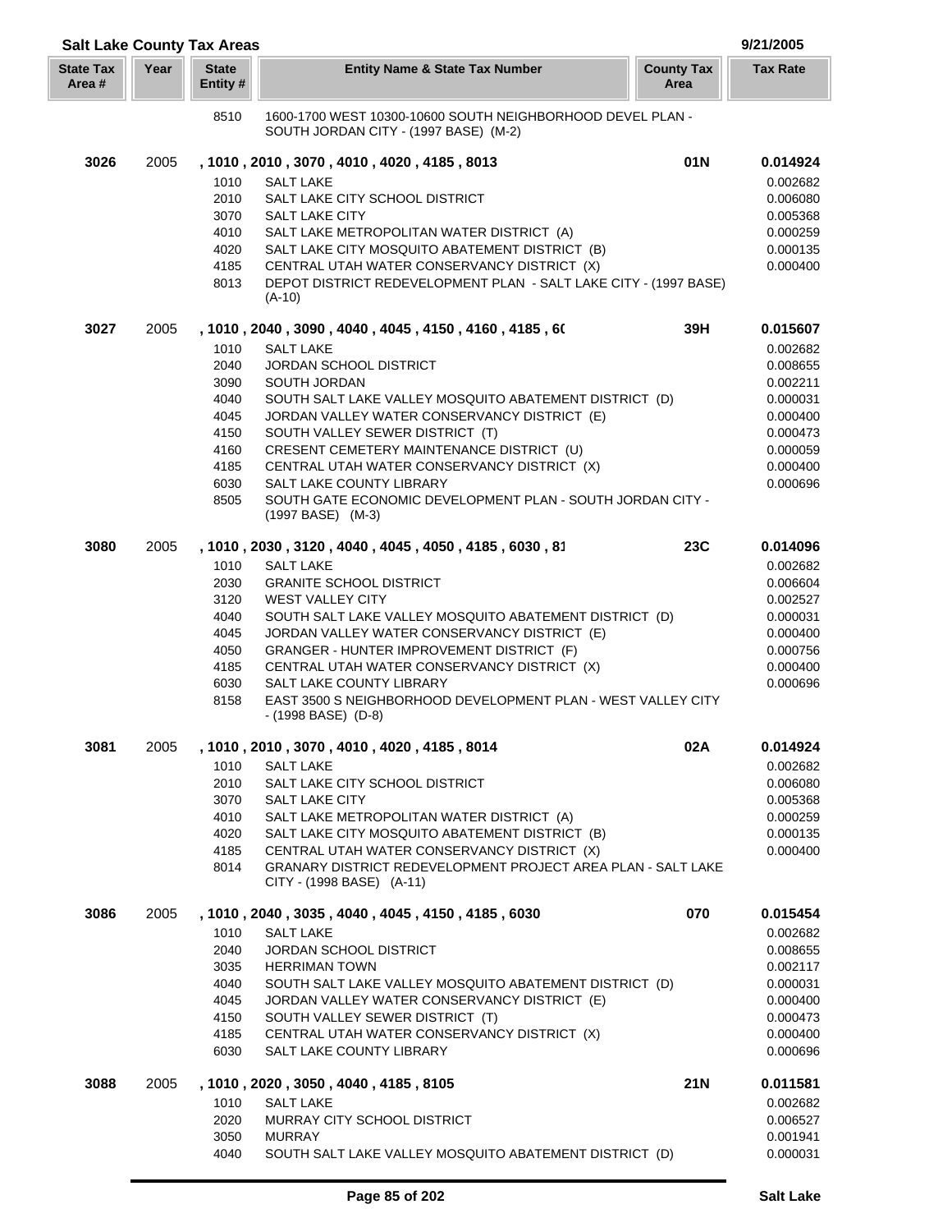| <b>Salt Lake County Tax Areas</b> |      |                          |                                                                                                     |                           | 9/21/2005            |
|-----------------------------------|------|--------------------------|-----------------------------------------------------------------------------------------------------|---------------------------|----------------------|
| <b>State Tax</b><br>Area #        | Year | <b>State</b><br>Entity # | <b>Entity Name &amp; State Tax Number</b>                                                           | <b>County Tax</b><br>Area | <b>Tax Rate</b>      |
|                                   |      | 8510                     | 1600-1700 WEST 10300-10600 SOUTH NEIGHBORHOOD DEVEL PLAN -<br>SOUTH JORDAN CITY - (1997 BASE) (M-2) |                           |                      |
| 3026                              | 2005 |                          | , 1010, 2010, 3070, 4010, 4020, 4185, 8013                                                          | 01N                       | 0.014924             |
|                                   |      | 1010                     | <b>SALT LAKE</b>                                                                                    |                           | 0.002682             |
|                                   |      | 2010                     | SALT LAKE CITY SCHOOL DISTRICT                                                                      |                           | 0.006080             |
|                                   |      | 3070                     | <b>SALT LAKE CITY</b>                                                                               |                           | 0.005368             |
|                                   |      | 4010                     | SALT LAKE METROPOLITAN WATER DISTRICT (A)                                                           |                           | 0.000259             |
|                                   |      | 4020                     | SALT LAKE CITY MOSQUITO ABATEMENT DISTRICT (B)                                                      |                           | 0.000135             |
|                                   |      | 4185                     | CENTRAL UTAH WATER CONSERVANCY DISTRICT (X)                                                         |                           | 0.000400             |
|                                   |      | 8013                     | DEPOT DISTRICT REDEVELOPMENT PLAN - SALT LAKE CITY - (1997 BASE)                                    |                           |                      |
|                                   |      |                          | $(A-10)$                                                                                            |                           |                      |
| 3027                              | 2005 |                          | , 1010 , 2040 , 3090 , 4040 , 4045 , 4150 , 4160 , 4185 , 60                                        | 39H                       | 0.015607             |
|                                   |      | 1010                     | <b>SALT LAKE</b>                                                                                    |                           | 0.002682             |
|                                   |      | 2040                     | JORDAN SCHOOL DISTRICT                                                                              |                           | 0.008655             |
|                                   |      | 3090                     | SOUTH JORDAN                                                                                        |                           | 0.002211             |
|                                   |      | 4040                     | SOUTH SALT LAKE VALLEY MOSQUITO ABATEMENT DISTRICT (D)                                              |                           | 0.000031             |
|                                   |      | 4045                     | JORDAN VALLEY WATER CONSERVANCY DISTRICT (E)                                                        |                           | 0.000400             |
|                                   |      | 4150                     | SOUTH VALLEY SEWER DISTRICT (T)                                                                     |                           | 0.000473             |
|                                   |      | 4160                     | CRESENT CEMETERY MAINTENANCE DISTRICT (U)                                                           |                           | 0.000059             |
|                                   |      | 4185<br>6030             | CENTRAL UTAH WATER CONSERVANCY DISTRICT (X)<br><b>SALT LAKE COUNTY LIBRARY</b>                      |                           | 0.000400<br>0.000696 |
|                                   |      | 8505                     | SOUTH GATE ECONOMIC DEVELOPMENT PLAN - SOUTH JORDAN CITY -                                          |                           |                      |
|                                   |      |                          | (1997 BASE) (M-3)                                                                                   |                           |                      |
| 3080                              | 2005 |                          | , 1010, 2030, 3120, 4040, 4045, 4050, 4185, 6030, 81                                                | <b>23C</b>                | 0.014096             |
|                                   |      | 1010                     | <b>SALT LAKE</b>                                                                                    |                           | 0.002682             |
|                                   |      | 2030                     | <b>GRANITE SCHOOL DISTRICT</b>                                                                      |                           | 0.006604             |
|                                   |      | 3120                     | <b>WEST VALLEY CITY</b>                                                                             |                           | 0.002527             |
|                                   |      | 4040                     | SOUTH SALT LAKE VALLEY MOSQUITO ABATEMENT DISTRICT (D)                                              |                           | 0.000031             |
|                                   |      | 4045                     | JORDAN VALLEY WATER CONSERVANCY DISTRICT (E)                                                        |                           | 0.000400             |
|                                   |      | 4050                     | GRANGER - HUNTER IMPROVEMENT DISTRICT (F)                                                           |                           | 0.000756             |
|                                   |      | 4185                     | CENTRAL UTAH WATER CONSERVANCY DISTRICT (X)                                                         |                           | 0.000400             |
|                                   |      | 6030                     | SALT LAKE COUNTY LIBRARY                                                                            |                           | 0.000696             |
|                                   |      | 8158                     | EAST 3500 S NEIGHBORHOOD DEVELOPMENT PLAN - WEST VALLEY CITY<br>$-(1998$ BASE) $(D-8)$              |                           |                      |
| 3081                              | 2005 |                          | , 1010, 2010, 3070, 4010, 4020, 4185, 8014                                                          | 02A                       | 0.014924             |
|                                   |      | 1010                     | <b>SALT LAKE</b>                                                                                    |                           | 0.002682             |
|                                   |      | 2010                     | SALT LAKE CITY SCHOOL DISTRICT                                                                      |                           | 0.006080             |
|                                   |      | 3070                     | <b>SALT LAKE CITY</b>                                                                               |                           | 0.005368             |
|                                   |      | 4010                     | SALT LAKE METROPOLITAN WATER DISTRICT (A)                                                           |                           | 0.000259             |
|                                   |      | 4020                     | SALT LAKE CITY MOSQUITO ABATEMENT DISTRICT (B)                                                      |                           | 0.000135             |
|                                   |      | 4185                     | CENTRAL UTAH WATER CONSERVANCY DISTRICT (X)                                                         |                           | 0.000400             |
|                                   |      | 8014                     | GRANARY DISTRICT REDEVELOPMENT PROJECT AREA PLAN - SALT LAKE<br>CITY - (1998 BASE) (A-11)           |                           |                      |
| 3086                              | 2005 |                          | , 1010, 2040, 3035, 4040, 4045, 4150, 4185, 6030                                                    | 070                       | 0.015454             |
|                                   |      | 1010                     | <b>SALT LAKE</b>                                                                                    |                           | 0.002682             |
|                                   |      | 2040                     | <b>JORDAN SCHOOL DISTRICT</b>                                                                       |                           | 0.008655             |
|                                   |      | 3035                     | <b>HERRIMAN TOWN</b>                                                                                |                           | 0.002117             |
|                                   |      | 4040                     | SOUTH SALT LAKE VALLEY MOSQUITO ABATEMENT DISTRICT (D)                                              |                           | 0.000031             |
|                                   |      | 4045                     | JORDAN VALLEY WATER CONSERVANCY DISTRICT (E)                                                        |                           | 0.000400             |
|                                   |      | 4150<br>4185             | SOUTH VALLEY SEWER DISTRICT (T)                                                                     |                           | 0.000473<br>0.000400 |
|                                   |      | 6030                     | CENTRAL UTAH WATER CONSERVANCY DISTRICT (X)<br>SALT LAKE COUNTY LIBRARY                             |                           | 0.000696             |
| 3088                              | 2005 |                          | , 1010, 2020, 3050, 4040, 4185, 8105                                                                | 21N                       | 0.011581             |
|                                   |      | 1010                     | <b>SALT LAKE</b>                                                                                    |                           | 0.002682             |
|                                   |      | 2020                     | MURRAY CITY SCHOOL DISTRICT                                                                         |                           | 0.006527             |
|                                   |      | 3050                     | <b>MURRAY</b>                                                                                       |                           | 0.001941             |
|                                   |      | 4040                     | SOUTH SALT LAKE VALLEY MOSQUITO ABATEMENT DISTRICT (D)                                              |                           | 0.000031             |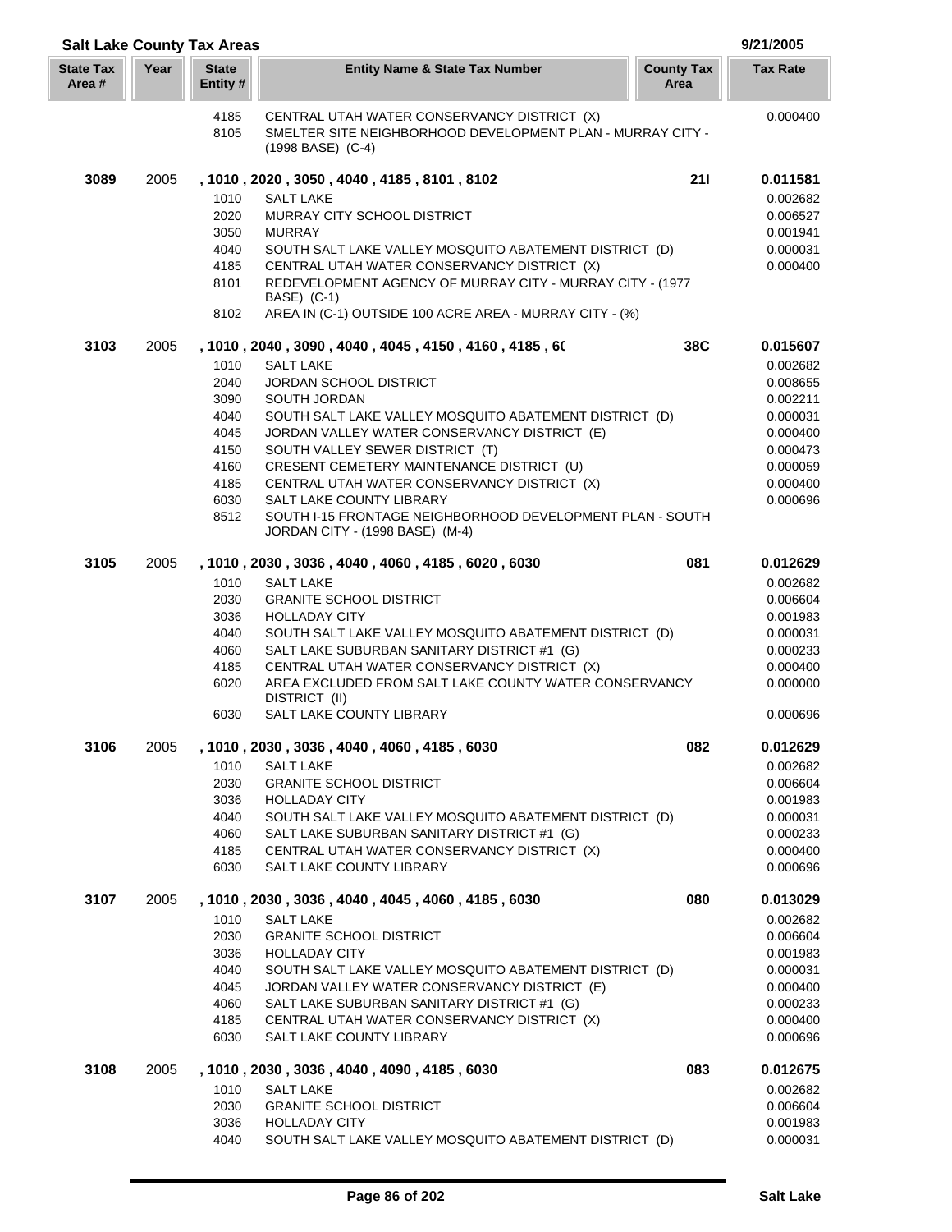| <b>Salt Lake County Tax Areas</b> |      |                          |                                                                                                                                     |                           | 9/21/2005            |
|-----------------------------------|------|--------------------------|-------------------------------------------------------------------------------------------------------------------------------------|---------------------------|----------------------|
| <b>State Tax</b><br>Area #        | Year | <b>State</b><br>Entity # | <b>Entity Name &amp; State Tax Number</b>                                                                                           | <b>County Tax</b><br>Area | <b>Tax Rate</b>      |
|                                   |      | 4185<br>8105             | CENTRAL UTAH WATER CONSERVANCY DISTRICT (X)<br>SMELTER SITE NEIGHBORHOOD DEVELOPMENT PLAN - MURRAY CITY -<br>$(1998$ BASE) $(C-4)$  |                           | 0.000400             |
| 3089                              | 2005 |                          | , 1010, 2020, 3050, 4040, 4185, 8101, 8102                                                                                          | 211                       | 0.011581             |
|                                   |      | 1010                     | <b>SALT LAKE</b>                                                                                                                    |                           | 0.002682             |
|                                   |      | 2020                     | MURRAY CITY SCHOOL DISTRICT                                                                                                         |                           | 0.006527             |
|                                   |      | 3050                     | <b>MURRAY</b>                                                                                                                       |                           | 0.001941             |
|                                   |      | 4040                     | SOUTH SALT LAKE VALLEY MOSQUITO ABATEMENT DISTRICT (D)                                                                              |                           | 0.000031             |
|                                   |      | 4185                     | CENTRAL UTAH WATER CONSERVANCY DISTRICT (X)                                                                                         |                           | 0.000400             |
|                                   |      | 8101<br>8102             | REDEVELOPMENT AGENCY OF MURRAY CITY - MURRAY CITY - (1977<br>BASE) (C-1)<br>AREA IN (C-1) OUTSIDE 100 ACRE AREA - MURRAY CITY - (%) |                           |                      |
| 3103                              | 2005 |                          | , 1010, 2040, 3090, 4040, 4045, 4150, 4160, 4185, 60                                                                                | 38C                       | 0.015607             |
|                                   |      | 1010                     | <b>SALT LAKE</b>                                                                                                                    |                           | 0.002682             |
|                                   |      | 2040                     | <b>JORDAN SCHOOL DISTRICT</b>                                                                                                       |                           | 0.008655             |
|                                   |      | 3090                     | SOUTH JORDAN                                                                                                                        |                           | 0.002211             |
|                                   |      | 4040                     | SOUTH SALT LAKE VALLEY MOSQUITO ABATEMENT DISTRICT (D)                                                                              |                           | 0.000031             |
|                                   |      | 4045<br>4150             | JORDAN VALLEY WATER CONSERVANCY DISTRICT (E)<br>SOUTH VALLEY SEWER DISTRICT (T)                                                     |                           | 0.000400<br>0.000473 |
|                                   |      | 4160                     | CRESENT CEMETERY MAINTENANCE DISTRICT (U)                                                                                           |                           | 0.000059             |
|                                   |      | 4185                     | CENTRAL UTAH WATER CONSERVANCY DISTRICT (X)                                                                                         |                           | 0.000400             |
|                                   |      | 6030                     | SALT LAKE COUNTY LIBRARY                                                                                                            |                           | 0.000696             |
|                                   |      | 8512                     | SOUTH I-15 FRONTAGE NEIGHBORHOOD DEVELOPMENT PLAN - SOUTH<br>JORDAN CITY - (1998 BASE) (M-4)                                        |                           |                      |
| 3105                              | 2005 |                          | , 1010, 2030, 3036, 4040, 4060, 4185, 6020, 6030                                                                                    | 081                       | 0.012629             |
|                                   |      | 1010<br>2030             | <b>SALT LAKE</b><br><b>GRANITE SCHOOL DISTRICT</b>                                                                                  |                           | 0.002682<br>0.006604 |
|                                   |      | 3036                     | <b>HOLLADAY CITY</b>                                                                                                                |                           | 0.001983             |
|                                   |      | 4040                     | SOUTH SALT LAKE VALLEY MOSQUITO ABATEMENT DISTRICT (D)                                                                              |                           | 0.000031             |
|                                   |      | 4060                     | SALT LAKE SUBURBAN SANITARY DISTRICT #1 (G)                                                                                         |                           | 0.000233             |
|                                   |      | 4185                     | CENTRAL UTAH WATER CONSERVANCY DISTRICT (X)                                                                                         |                           | 0.000400             |
|                                   |      | 6020                     | AREA EXCLUDED FROM SALT LAKE COUNTY WATER CONSERVANCY<br>DISTRICT (II)                                                              |                           | 0.000000             |
|                                   |      | 6030                     | SALT LAKE COUNTY LIBRARY                                                                                                            |                           | 0.000696             |
| 3106                              | 2005 | 1010                     | , 1010, 2030, 3036, 4040, 4060, 4185, 6030<br><b>SALT LAKE</b>                                                                      | 082                       | 0.012629             |
|                                   |      | 2030                     | <b>GRANITE SCHOOL DISTRICT</b>                                                                                                      |                           | 0.002682<br>0.006604 |
|                                   |      | 3036                     | <b>HOLLADAY CITY</b>                                                                                                                |                           | 0.001983             |
|                                   |      | 4040                     | SOUTH SALT LAKE VALLEY MOSQUITO ABATEMENT DISTRICT (D)                                                                              |                           | 0.000031             |
|                                   |      | 4060                     | SALT LAKE SUBURBAN SANITARY DISTRICT #1 (G)                                                                                         |                           | 0.000233             |
|                                   |      | 4185                     | CENTRAL UTAH WATER CONSERVANCY DISTRICT (X)                                                                                         |                           | 0.000400             |
|                                   |      | 6030                     | SALT LAKE COUNTY LIBRARY                                                                                                            |                           | 0.000696             |
| 3107                              | 2005 |                          | , 1010, 2030, 3036, 4040, 4045, 4060, 4185, 6030                                                                                    | 080                       | 0.013029             |
|                                   |      | 1010<br>2030             | <b>SALT LAKE</b><br><b>GRANITE SCHOOL DISTRICT</b>                                                                                  |                           | 0.002682<br>0.006604 |
|                                   |      | 3036                     | <b>HOLLADAY CITY</b>                                                                                                                |                           | 0.001983             |
|                                   |      | 4040                     | SOUTH SALT LAKE VALLEY MOSQUITO ABATEMENT DISTRICT (D)                                                                              |                           | 0.000031             |
|                                   |      | 4045                     | JORDAN VALLEY WATER CONSERVANCY DISTRICT (E)                                                                                        |                           | 0.000400             |
|                                   |      | 4060                     | SALT LAKE SUBURBAN SANITARY DISTRICT #1 (G)                                                                                         |                           | 0.000233             |
|                                   |      | 4185<br>6030             | CENTRAL UTAH WATER CONSERVANCY DISTRICT (X)<br>SALT LAKE COUNTY LIBRARY                                                             |                           | 0.000400<br>0.000696 |
| 3108                              | 2005 |                          | , 1010, 2030, 3036, 4040, 4090, 4185, 6030                                                                                          | 083                       | 0.012675             |
|                                   |      | 1010                     | <b>SALT LAKE</b>                                                                                                                    |                           | 0.002682             |
|                                   |      | 2030<br>3036             | <b>GRANITE SCHOOL DISTRICT</b><br><b>HOLLADAY CITY</b>                                                                              |                           | 0.006604<br>0.001983 |
|                                   |      | 4040                     | SOUTH SALT LAKE VALLEY MOSQUITO ABATEMENT DISTRICT (D)                                                                              |                           | 0.000031             |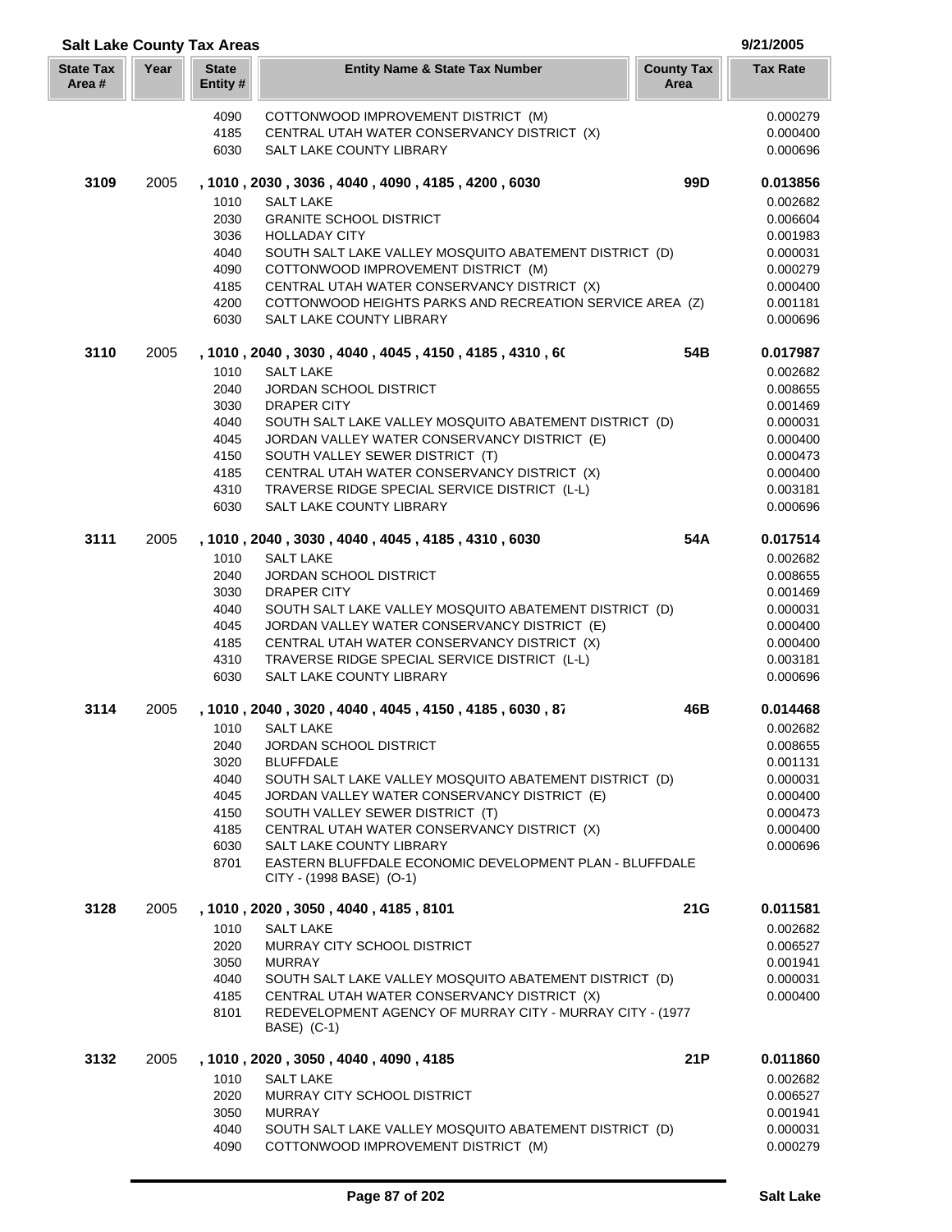| <b>Salt Lake County Tax Areas</b> |      |                          |                                                                                                          |                           | 9/21/2005            |
|-----------------------------------|------|--------------------------|----------------------------------------------------------------------------------------------------------|---------------------------|----------------------|
| <b>State Tax</b><br>Area #        | Year | <b>State</b><br>Entity # | <b>Entity Name &amp; State Tax Number</b>                                                                | <b>County Tax</b><br>Area | <b>Tax Rate</b>      |
|                                   |      | 4090                     | COTTONWOOD IMPROVEMENT DISTRICT (M)                                                                      |                           | 0.000279             |
|                                   |      | 4185                     | CENTRAL UTAH WATER CONSERVANCY DISTRICT (X)                                                              |                           | 0.000400             |
|                                   |      | 6030                     | SALT LAKE COUNTY LIBRARY                                                                                 |                           | 0.000696             |
| 3109                              | 2005 |                          | , 1010, 2030, 3036, 4040, 4090, 4185, 4200, 6030                                                         | 99 <sub>D</sub>           | 0.013856             |
|                                   |      | 1010                     | <b>SALT LAKE</b>                                                                                         |                           | 0.002682             |
|                                   |      | 2030<br>3036             | <b>GRANITE SCHOOL DISTRICT</b><br><b>HOLLADAY CITY</b>                                                   |                           | 0.006604<br>0.001983 |
|                                   |      | 4040                     | SOUTH SALT LAKE VALLEY MOSQUITO ABATEMENT DISTRICT (D)                                                   |                           | 0.000031             |
|                                   |      | 4090                     | COTTONWOOD IMPROVEMENT DISTRICT (M)                                                                      |                           | 0.000279             |
|                                   |      | 4185                     | CENTRAL UTAH WATER CONSERVANCY DISTRICT (X)                                                              |                           | 0.000400             |
|                                   |      | 4200                     | COTTONWOOD HEIGHTS PARKS AND RECREATION SERVICE AREA (Z)                                                 |                           | 0.001181             |
|                                   |      | 6030                     | SALT LAKE COUNTY LIBRARY                                                                                 |                           | 0.000696             |
| 3110                              | 2005 |                          | , 1010 , 2040 , 3030 , 4040 , 4045 , 4150 , 4185 , 4310 , 60                                             | 54B                       | 0.017987             |
|                                   |      | 1010                     | <b>SALT LAKE</b>                                                                                         |                           | 0.002682             |
|                                   |      | 2040                     | <b>JORDAN SCHOOL DISTRICT</b>                                                                            |                           | 0.008655             |
|                                   |      | 3030                     | DRAPER CITY                                                                                              |                           | 0.001469             |
|                                   |      | 4040                     | SOUTH SALT LAKE VALLEY MOSQUITO ABATEMENT DISTRICT (D)                                                   |                           | 0.000031             |
|                                   |      | 4045                     | JORDAN VALLEY WATER CONSERVANCY DISTRICT (E)                                                             |                           | 0.000400             |
|                                   |      | 4150                     | SOUTH VALLEY SEWER DISTRICT (T)                                                                          |                           | 0.000473             |
|                                   |      | 4185<br>4310             | CENTRAL UTAH WATER CONSERVANCY DISTRICT (X)<br>TRAVERSE RIDGE SPECIAL SERVICE DISTRICT (L-L)             |                           | 0.000400<br>0.003181 |
|                                   |      | 6030                     | SALT LAKE COUNTY LIBRARY                                                                                 |                           | 0.000696             |
| 3111                              | 2005 |                          | , 1010, 2040, 3030, 4040, 4045, 4185, 4310, 6030                                                         | 54A                       | 0.017514             |
|                                   |      | 1010                     | SALT LAKE                                                                                                |                           | 0.002682             |
|                                   |      | 2040                     | <b>JORDAN SCHOOL DISTRICT</b>                                                                            |                           | 0.008655             |
|                                   |      | 3030                     | DRAPER CITY                                                                                              |                           | 0.001469             |
|                                   |      | 4040                     | SOUTH SALT LAKE VALLEY MOSQUITO ABATEMENT DISTRICT (D)                                                   |                           | 0.000031             |
|                                   |      | 4045                     | JORDAN VALLEY WATER CONSERVANCY DISTRICT (E)                                                             |                           | 0.000400             |
|                                   |      | 4185                     | CENTRAL UTAH WATER CONSERVANCY DISTRICT (X)                                                              |                           | 0.000400             |
|                                   |      | 4310                     | TRAVERSE RIDGE SPECIAL SERVICE DISTRICT (L-L)                                                            |                           | 0.003181             |
|                                   |      | 6030                     | SALT LAKE COUNTY LIBRARY                                                                                 |                           | 0.000696             |
| 3114                              | 2005 |                          | , 1010, 2040, 3020, 4040, 4045, 4150, 4185, 6030, 87                                                     | 46B                       | 0.014468             |
|                                   |      | 1010<br>2040             | <b>SALT LAKE</b><br><b>JORDAN SCHOOL DISTRICT</b>                                                        |                           | 0.002682<br>0.008655 |
|                                   |      | 3020                     | <b>BLUFFDALE</b>                                                                                         |                           | 0.001131             |
|                                   |      | 4040                     | SOUTH SALT LAKE VALLEY MOSQUITO ABATEMENT DISTRICT (D)                                                   |                           | 0.000031             |
|                                   |      | 4045                     | JORDAN VALLEY WATER CONSERVANCY DISTRICT (E)                                                             |                           | 0.000400             |
|                                   |      | 4150                     | SOUTH VALLEY SEWER DISTRICT (T)                                                                          |                           | 0.000473             |
|                                   |      | 4185                     | CENTRAL UTAH WATER CONSERVANCY DISTRICT (X)                                                              |                           | 0.000400             |
|                                   |      | 6030                     | SALT LAKE COUNTY LIBRARY                                                                                 |                           | 0.000696             |
|                                   |      | 8701                     | EASTERN BLUFFDALE ECONOMIC DEVELOPMENT PLAN - BLUFFDALE<br>CITY - (1998 BASE) (O-1)                      |                           |                      |
| 3128                              | 2005 |                          | , 1010, 2020, 3050, 4040, 4185, 8101                                                                     | 21G                       | 0.011581             |
|                                   |      | 1010                     | <b>SALT LAKE</b>                                                                                         |                           | 0.002682             |
|                                   |      | 2020                     | MURRAY CITY SCHOOL DISTRICT                                                                              |                           | 0.006527             |
|                                   |      | 3050                     | <b>MURRAY</b>                                                                                            |                           | 0.001941             |
|                                   |      | 4040                     | SOUTH SALT LAKE VALLEY MOSQUITO ABATEMENT DISTRICT (D)                                                   |                           | 0.000031             |
|                                   |      | 4185<br>8101             | CENTRAL UTAH WATER CONSERVANCY DISTRICT (X)<br>REDEVELOPMENT AGENCY OF MURRAY CITY - MURRAY CITY - (1977 |                           | 0.000400             |
|                                   |      |                          | BASE) (C-1)                                                                                              |                           |                      |
| 3132                              | 2005 | 1010                     | , 1010, 2020, 3050, 4040, 4090, 4185<br><b>SALT LAKE</b>                                                 | 21P                       | 0.011860<br>0.002682 |
|                                   |      | 2020                     | MURRAY CITY SCHOOL DISTRICT                                                                              |                           | 0.006527             |
|                                   |      | 3050                     | <b>MURRAY</b>                                                                                            |                           | 0.001941             |
|                                   |      | 4040                     | SOUTH SALT LAKE VALLEY MOSQUITO ABATEMENT DISTRICT (D)                                                   |                           | 0.000031             |
|                                   |      | 4090                     | COTTONWOOD IMPROVEMENT DISTRICT (M)                                                                      |                           | 0.000279             |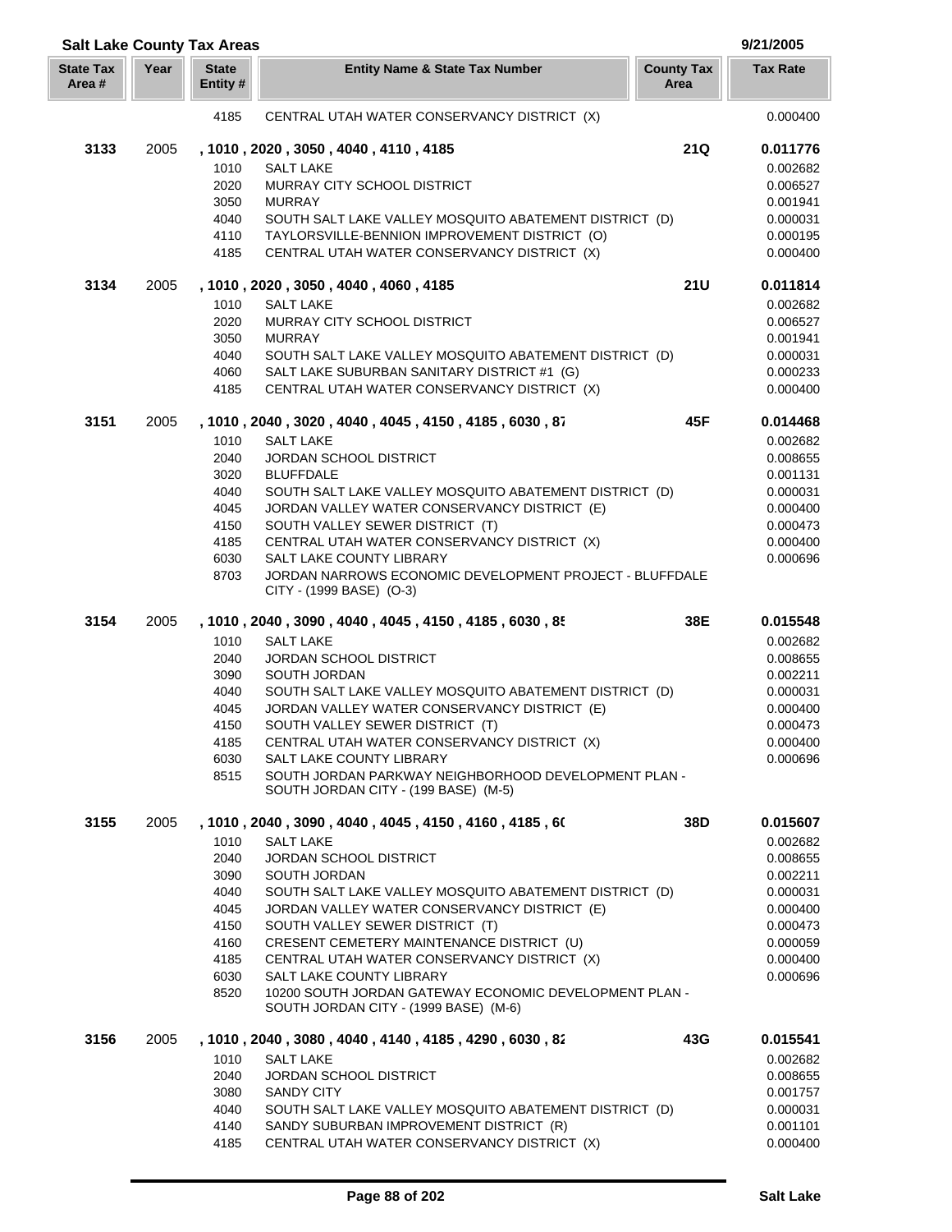|                           |      | <b>Salt Lake County Tax Areas</b> |                                                                                                        |                           | 9/21/2005            |
|---------------------------|------|-----------------------------------|--------------------------------------------------------------------------------------------------------|---------------------------|----------------------|
| <b>State Tax</b><br>Area# | Year | <b>State</b><br>Entity #          | <b>Entity Name &amp; State Tax Number</b>                                                              | <b>County Tax</b><br>Area | <b>Tax Rate</b>      |
|                           |      | 4185                              | CENTRAL UTAH WATER CONSERVANCY DISTRICT (X)                                                            |                           | 0.000400             |
| 3133                      | 2005 |                                   | , 1010, 2020, 3050, 4040, 4110, 4185                                                                   | 21Q                       | 0.011776             |
|                           |      | 1010                              | <b>SALT LAKE</b>                                                                                       |                           | 0.002682             |
|                           |      | 2020                              | MURRAY CITY SCHOOL DISTRICT                                                                            |                           | 0.006527             |
|                           |      | 3050                              | <b>MURRAY</b>                                                                                          |                           | 0.001941             |
|                           |      | 4040                              | SOUTH SALT LAKE VALLEY MOSQUITO ABATEMENT DISTRICT (D)                                                 |                           | 0.000031             |
|                           |      | 4110                              | TAYLORSVILLE-BENNION IMPROVEMENT DISTRICT (O)                                                          |                           | 0.000195             |
|                           |      | 4185                              | CENTRAL UTAH WATER CONSERVANCY DISTRICT (X)                                                            |                           | 0.000400             |
| 3134                      | 2005 |                                   | , 1010, 2020, 3050, 4040, 4060, 4185                                                                   | <b>21U</b>                | 0.011814             |
|                           |      | 1010                              | <b>SALT LAKE</b>                                                                                       |                           | 0.002682             |
|                           |      | 2020                              | MURRAY CITY SCHOOL DISTRICT                                                                            |                           | 0.006527             |
|                           |      | 3050                              | <b>MURRAY</b>                                                                                          |                           | 0.001941             |
|                           |      | 4040                              | SOUTH SALT LAKE VALLEY MOSQUITO ABATEMENT DISTRICT (D)                                                 |                           | 0.000031             |
|                           |      | 4060                              | SALT LAKE SUBURBAN SANITARY DISTRICT #1 (G)                                                            |                           | 0.000233             |
|                           |      | 4185                              | CENTRAL UTAH WATER CONSERVANCY DISTRICT (X)                                                            |                           | 0.000400             |
| 3151                      | 2005 |                                   | , 1010, 2040, 3020, 4040, 4045, 4150, 4185, 6030, 87                                                   | 45F                       | 0.014468             |
|                           |      | 1010                              | <b>SALT LAKE</b>                                                                                       |                           | 0.002682             |
|                           |      | 2040                              | <b>JORDAN SCHOOL DISTRICT</b>                                                                          |                           | 0.008655             |
|                           |      | 3020                              | <b>BLUFFDALE</b>                                                                                       |                           | 0.001131             |
|                           |      | 4040                              | SOUTH SALT LAKE VALLEY MOSQUITO ABATEMENT DISTRICT (D)                                                 |                           | 0.000031             |
|                           |      | 4045                              | JORDAN VALLEY WATER CONSERVANCY DISTRICT (E)                                                           |                           | 0.000400             |
|                           |      | 4150<br>4185                      | SOUTH VALLEY SEWER DISTRICT (T)<br>CENTRAL UTAH WATER CONSERVANCY DISTRICT (X)                         |                           | 0.000473<br>0.000400 |
|                           |      | 6030                              | SALT LAKE COUNTY LIBRARY                                                                               |                           | 0.000696             |
|                           |      | 8703                              | JORDAN NARROWS ECONOMIC DEVELOPMENT PROJECT - BLUFFDALE<br>CITY - (1999 BASE) (O-3)                    |                           |                      |
| 3154                      | 2005 |                                   | , 1010, 2040, 3090, 4040, 4045, 4150, 4185, 6030, 85                                                   | 38E                       | 0.015548             |
|                           |      | 1010                              | <b>SALT LAKE</b>                                                                                       |                           | 0.002682             |
|                           |      | 2040                              | <b>JORDAN SCHOOL DISTRICT</b>                                                                          |                           | 0.008655             |
|                           |      | 3090                              | SOUTH JORDAN                                                                                           |                           | 0.002211             |
|                           |      | 4040                              | SOUTH SALT LAKE VALLEY MOSQUITO ABATEMENT DISTRICT (D)                                                 |                           | 0.000031             |
|                           |      | 4045                              | JORDAN VALLEY WATER CONSERVANCY DISTRICT (E)                                                           |                           | 0.000400             |
|                           |      | 4150                              | SOUTH VALLEY SEWER DISTRICT (T)                                                                        |                           | 0.000473             |
|                           |      | 4185                              | CENTRAL UTAH WATER CONSERVANCY DISTRICT (X)                                                            |                           | 0.000400             |
|                           |      | 6030                              | SALT LAKE COUNTY LIBRARY                                                                               |                           | 0.000696             |
|                           |      | 8515                              | SOUTH JORDAN PARKWAY NEIGHBORHOOD DEVELOPMENT PLAN -                                                   |                           |                      |
|                           |      |                                   | SOUTH JORDAN CITY - (199 BASE) (M-5)                                                                   |                           |                      |
| 3155                      | 2005 |                                   | , 1010 , 2040 , 3090 , 4040 , 4045 , 4150 , 4160 , 4185 , 60                                           | 38D                       | 0.015607             |
|                           |      | 1010                              | <b>SALT LAKE</b>                                                                                       |                           | 0.002682             |
|                           |      | 2040                              | JORDAN SCHOOL DISTRICT                                                                                 |                           | 0.008655             |
|                           |      | 3090                              | SOUTH JORDAN                                                                                           |                           | 0.002211             |
|                           |      | 4040                              | SOUTH SALT LAKE VALLEY MOSQUITO ABATEMENT DISTRICT (D)<br>JORDAN VALLEY WATER CONSERVANCY DISTRICT (E) |                           | 0.000031             |
|                           |      | 4045<br>4150                      | SOUTH VALLEY SEWER DISTRICT (T)                                                                        |                           | 0.000400<br>0.000473 |
|                           |      | 4160                              | CRESENT CEMETERY MAINTENANCE DISTRICT (U)                                                              |                           | 0.000059             |
|                           |      | 4185                              | CENTRAL UTAH WATER CONSERVANCY DISTRICT (X)                                                            |                           | 0.000400             |
|                           |      | 6030                              | SALT LAKE COUNTY LIBRARY                                                                               |                           | 0.000696             |
|                           |      | 8520                              | 10200 SOUTH JORDAN GATEWAY ECONOMIC DEVELOPMENT PLAN -                                                 |                           |                      |
|                           |      |                                   | SOUTH JORDAN CITY - (1999 BASE) (M-6)                                                                  |                           |                      |
| 3156                      | 2005 | 1010                              | , 1010 , 2040 , 3080 , 4040 , 4140 , 4185 , 4290 , 6030 , 82<br><b>SALT LAKE</b>                       | 43G                       | 0.015541<br>0.002682 |
|                           |      | 2040                              | JORDAN SCHOOL DISTRICT                                                                                 |                           | 0.008655             |
|                           |      | 3080                              | <b>SANDY CITY</b>                                                                                      |                           | 0.001757             |
|                           |      | 4040                              | SOUTH SALT LAKE VALLEY MOSQUITO ABATEMENT DISTRICT (D)                                                 |                           | 0.000031             |
|                           |      | 4140                              | SANDY SUBURBAN IMPROVEMENT DISTRICT (R)                                                                |                           | 0.001101             |
|                           |      | 4185                              | CENTRAL UTAH WATER CONSERVANCY DISTRICT (X)                                                            |                           | 0.000400             |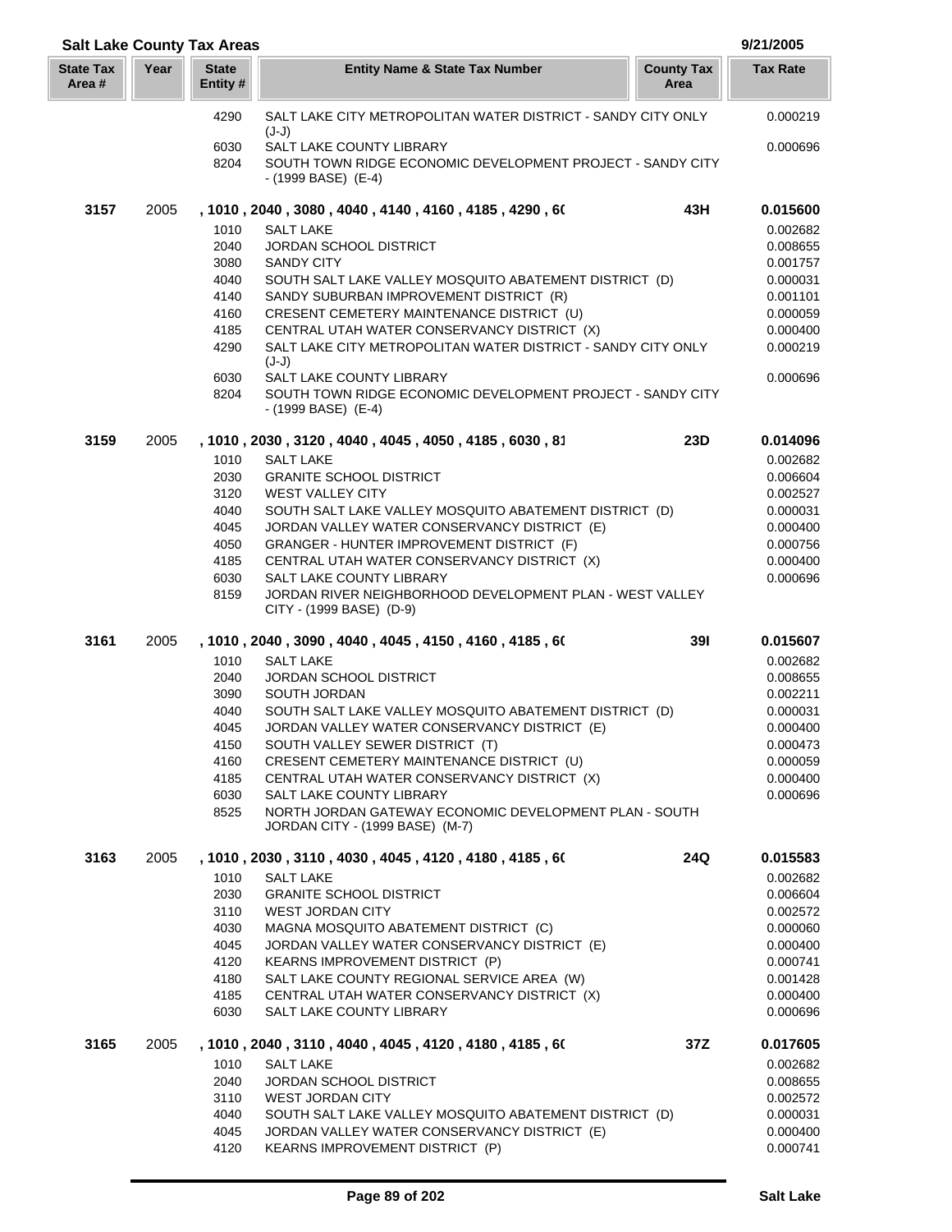| <b>Salt Lake County Tax Areas</b> |      |                         |                                                                                                        |                           | 9/21/2005            |
|-----------------------------------|------|-------------------------|--------------------------------------------------------------------------------------------------------|---------------------------|----------------------|
| <b>State Tax</b><br>Area#         | Year | <b>State</b><br>Entity# | <b>Entity Name &amp; State Tax Number</b>                                                              | <b>County Tax</b><br>Area | <b>Tax Rate</b>      |
|                                   |      | 4290                    | SALT LAKE CITY METROPOLITAN WATER DISTRICT - SANDY CITY ONLY                                           |                           | 0.000219             |
|                                   |      | 6030                    | $(J-J)$<br>SALT LAKE COUNTY LIBRARY                                                                    |                           | 0.000696             |
|                                   |      | 8204                    | SOUTH TOWN RIDGE ECONOMIC DEVELOPMENT PROJECT - SANDY CITY<br>- (1999 BASE) (E-4)                      |                           |                      |
| 3157                              | 2005 |                         | , 1010 , 2040 , 3080 , 4040 , 4140 , 4160 , 4185 , 4290 , 60                                           | 43H                       | 0.015600             |
|                                   |      | 1010                    | <b>SALT LAKE</b>                                                                                       |                           | 0.002682             |
|                                   |      | 2040                    | JORDAN SCHOOL DISTRICT                                                                                 |                           | 0.008655             |
|                                   |      | 3080<br>4040            | <b>SANDY CITY</b><br>SOUTH SALT LAKE VALLEY MOSQUITO ABATEMENT DISTRICT (D)                            |                           | 0.001757<br>0.000031 |
|                                   |      | 4140                    | SANDY SUBURBAN IMPROVEMENT DISTRICT (R)                                                                |                           | 0.001101             |
|                                   |      | 4160                    | CRESENT CEMETERY MAINTENANCE DISTRICT (U)                                                              |                           | 0.000059             |
|                                   |      | 4185                    | CENTRAL UTAH WATER CONSERVANCY DISTRICT (X)                                                            |                           | 0.000400             |
|                                   |      | 4290                    | SALT LAKE CITY METROPOLITAN WATER DISTRICT - SANDY CITY ONLY<br>$(J-J)$                                |                           | 0.000219             |
|                                   |      | 6030                    | SALT LAKE COUNTY LIBRARY                                                                               |                           | 0.000696             |
|                                   |      | 8204                    | SOUTH TOWN RIDGE ECONOMIC DEVELOPMENT PROJECT - SANDY CITY<br>- (1999 BASE) (E-4)                      |                           |                      |
| 3159                              | 2005 |                         | , 1010, 2030, 3120, 4040, 4045, 4050, 4185, 6030, 81                                                   | 23D                       | 0.014096             |
|                                   |      | 1010                    | <b>SALT LAKE</b>                                                                                       |                           | 0.002682             |
|                                   |      | 2030<br>3120            | <b>GRANITE SCHOOL DISTRICT</b><br><b>WEST VALLEY CITY</b>                                              |                           | 0.006604<br>0.002527 |
|                                   |      | 4040                    | SOUTH SALT LAKE VALLEY MOSQUITO ABATEMENT DISTRICT (D)                                                 |                           | 0.000031             |
|                                   |      | 4045                    | JORDAN VALLEY WATER CONSERVANCY DISTRICT (E)                                                           |                           | 0.000400             |
|                                   |      | 4050                    | GRANGER - HUNTER IMPROVEMENT DISTRICT (F)                                                              |                           | 0.000756             |
|                                   |      | 4185                    | CENTRAL UTAH WATER CONSERVANCY DISTRICT (X)                                                            |                           | 0.000400             |
|                                   |      | 6030                    | SALT LAKE COUNTY LIBRARY                                                                               |                           | 0.000696             |
|                                   |      | 8159                    | JORDAN RIVER NEIGHBORHOOD DEVELOPMENT PLAN - WEST VALLEY<br>CITY - (1999 BASE) (D-9)                   |                           |                      |
| 3161                              | 2005 |                         | , 1010, 2040, 3090, 4040, 4045, 4150, 4160, 4185, 60                                                   | 391                       | 0.015607             |
|                                   |      | 1010                    | <b>SALT LAKE</b>                                                                                       |                           | 0.002682             |
|                                   |      | 2040                    | <b>JORDAN SCHOOL DISTRICT</b>                                                                          |                           | 0.008655             |
|                                   |      | 3090                    | SOUTH JORDAN                                                                                           |                           | 0.002211             |
|                                   |      | 4040<br>4045            | SOUTH SALT LAKE VALLEY MOSQUITO ABATEMENT DISTRICT (D)<br>JORDAN VALLEY WATER CONSERVANCY DISTRICT (E) |                           | 0.000031<br>0.000400 |
|                                   |      | 4150                    | SOUTH VALLEY SEWER DISTRICT (T)                                                                        |                           | 0.000473             |
|                                   |      | 4160                    | CRESENT CEMETERY MAINTENANCE DISTRICT (U)                                                              |                           | 0.000059             |
|                                   |      | 4185                    | CENTRAL UTAH WATER CONSERVANCY DISTRICT (X)                                                            |                           | 0.000400             |
|                                   |      | 6030                    | SALT LAKE COUNTY LIBRARY                                                                               |                           | 0.000696             |
|                                   |      | 8525                    | NORTH JORDAN GATEWAY ECONOMIC DEVELOPMENT PLAN - SOUTH<br>JORDAN CITY - (1999 BASE) (M-7)              |                           |                      |
| 3163                              | 2005 |                         | , 1010, 2030, 3110, 4030, 4045, 4120, 4180, 4185, 60                                                   | 24Q                       | 0.015583             |
|                                   |      | 1010                    | <b>SALT LAKE</b>                                                                                       |                           | 0.002682             |
|                                   |      | 2030<br>3110            | <b>GRANITE SCHOOL DISTRICT</b><br><b>WEST JORDAN CITY</b>                                              |                           | 0.006604<br>0.002572 |
|                                   |      | 4030                    | MAGNA MOSQUITO ABATEMENT DISTRICT (C)                                                                  |                           | 0.000060             |
|                                   |      | 4045                    | JORDAN VALLEY WATER CONSERVANCY DISTRICT (E)                                                           |                           | 0.000400             |
|                                   |      | 4120                    | KEARNS IMPROVEMENT DISTRICT (P)                                                                        |                           | 0.000741             |
|                                   |      | 4180                    | SALT LAKE COUNTY REGIONAL SERVICE AREA (W)                                                             |                           | 0.001428             |
|                                   |      | 4185                    | CENTRAL UTAH WATER CONSERVANCY DISTRICT (X)                                                            |                           | 0.000400             |
|                                   |      | 6030                    | SALT LAKE COUNTY LIBRARY                                                                               |                           | 0.000696             |
| 3165                              | 2005 | 1010                    | , 1010 , 2040 , 3110 , 4040 , 4045 , 4120 , 4180 , 4185 , 60<br><b>SALT LAKE</b>                       | 37Z                       | 0.017605<br>0.002682 |
|                                   |      | 2040                    | <b>JORDAN SCHOOL DISTRICT</b>                                                                          |                           | 0.008655             |
|                                   |      | 3110                    | <b>WEST JORDAN CITY</b>                                                                                |                           | 0.002572             |
|                                   |      | 4040                    | SOUTH SALT LAKE VALLEY MOSQUITO ABATEMENT DISTRICT (D)                                                 |                           | 0.000031             |
|                                   |      | 4045                    | JORDAN VALLEY WATER CONSERVANCY DISTRICT (E)                                                           |                           | 0.000400             |
|                                   |      | 4120                    | KEARNS IMPROVEMENT DISTRICT (P)                                                                        |                           | 0.000741             |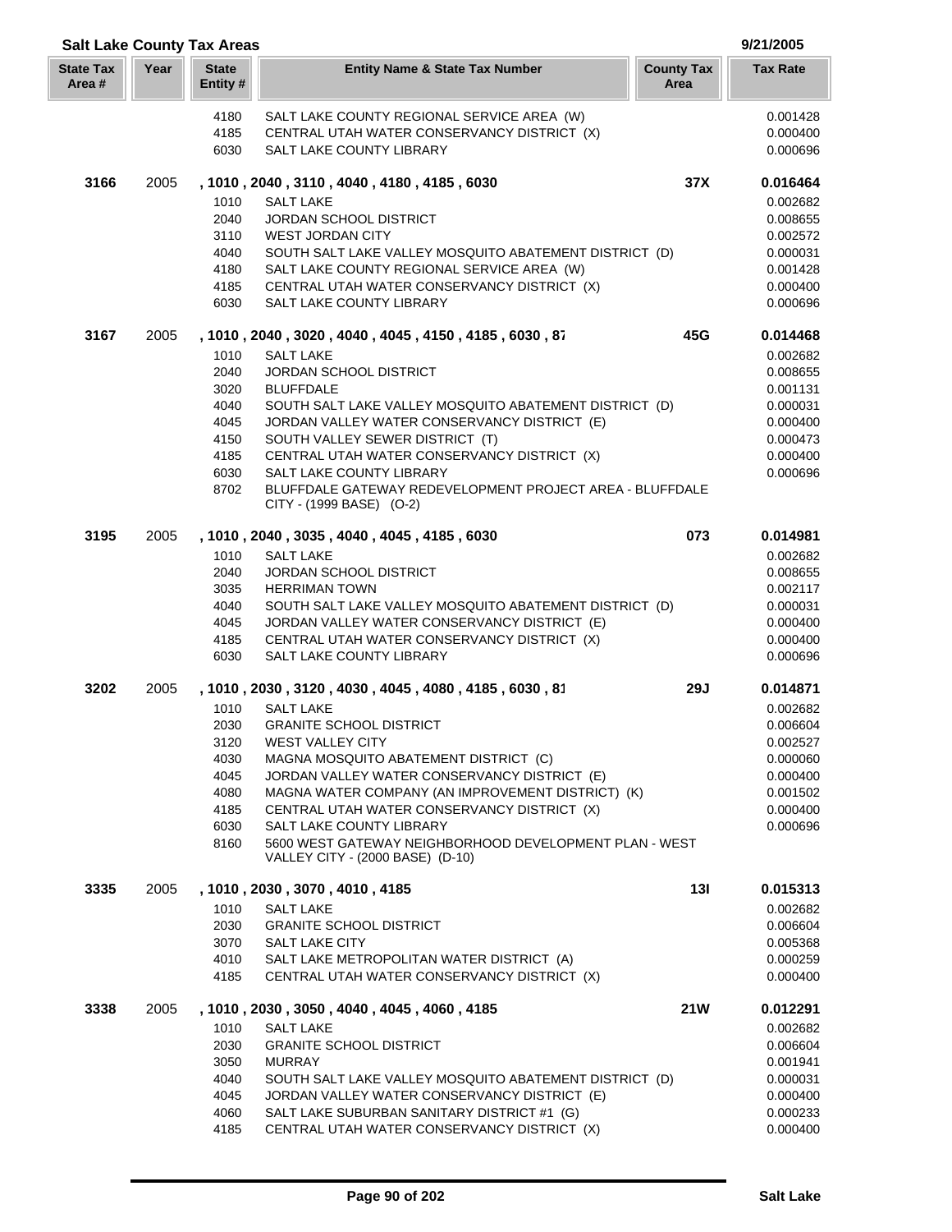| <b>Salt Lake County Tax Areas</b> |      |                          |                                                                                             |                           | 9/21/2005            |
|-----------------------------------|------|--------------------------|---------------------------------------------------------------------------------------------|---------------------------|----------------------|
| <b>State Tax</b><br>Area#         | Year | <b>State</b><br>Entity # | <b>Entity Name &amp; State Tax Number</b>                                                   | <b>County Tax</b><br>Area | <b>Tax Rate</b>      |
|                                   |      | 4180                     | SALT LAKE COUNTY REGIONAL SERVICE AREA (W)                                                  |                           | 0.001428             |
|                                   |      | 4185                     | CENTRAL UTAH WATER CONSERVANCY DISTRICT (X)                                                 |                           | 0.000400             |
|                                   |      | 6030                     | SALT LAKE COUNTY LIBRARY                                                                    |                           | 0.000696             |
| 3166                              | 2005 |                          | , 1010, 2040, 3110, 4040, 4180, 4185, 6030                                                  | 37X                       | 0.016464             |
|                                   |      | 1010                     | <b>SALT LAKE</b>                                                                            |                           | 0.002682             |
|                                   |      | 2040                     | <b>JORDAN SCHOOL DISTRICT</b>                                                               |                           | 0.008655             |
|                                   |      | 3110                     | <b>WEST JORDAN CITY</b>                                                                     |                           | 0.002572             |
|                                   |      | 4040                     | SOUTH SALT LAKE VALLEY MOSQUITO ABATEMENT DISTRICT (D)                                      |                           | 0.000031             |
|                                   |      | 4180                     | SALT LAKE COUNTY REGIONAL SERVICE AREA (W)                                                  |                           | 0.001428             |
|                                   |      | 4185                     | CENTRAL UTAH WATER CONSERVANCY DISTRICT (X)                                                 |                           | 0.000400             |
|                                   |      | 6030                     | SALT LAKE COUNTY LIBRARY                                                                    |                           | 0.000696             |
| 3167                              | 2005 |                          | , 1010, 2040, 3020, 4040, 4045, 4150, 4185, 6030, 87                                        | 45G                       | 0.014468             |
|                                   |      | 1010                     | <b>SALT LAKE</b>                                                                            |                           | 0.002682             |
|                                   |      | 2040                     | <b>JORDAN SCHOOL DISTRICT</b>                                                               |                           | 0.008655             |
|                                   |      | 3020                     | <b>BLUFFDALE</b>                                                                            |                           | 0.001131             |
|                                   |      | 4040                     | SOUTH SALT LAKE VALLEY MOSQUITO ABATEMENT DISTRICT (D)                                      |                           | 0.000031             |
|                                   |      | 4045                     | JORDAN VALLEY WATER CONSERVANCY DISTRICT (E)                                                |                           | 0.000400             |
|                                   |      | 4150                     | SOUTH VALLEY SEWER DISTRICT (T)                                                             |                           | 0.000473             |
|                                   |      | 4185                     | CENTRAL UTAH WATER CONSERVANCY DISTRICT (X)                                                 |                           | 0.000400             |
|                                   |      | 6030                     | <b>SALT LAKE COUNTY LIBRARY</b>                                                             |                           | 0.000696             |
|                                   |      | 8702                     | BLUFFDALE GATEWAY REDEVELOPMENT PROJECT AREA - BLUFFDALE<br>CITY - (1999 BASE) (O-2)        |                           |                      |
| 3195                              | 2005 |                          | , 1010, 2040, 3035, 4040, 4045, 4185, 6030                                                  | 073                       | 0.014981             |
|                                   |      | 1010                     | <b>SALT LAKE</b>                                                                            |                           | 0.002682             |
|                                   |      | 2040                     | <b>JORDAN SCHOOL DISTRICT</b>                                                               |                           | 0.008655             |
|                                   |      | 3035                     | <b>HERRIMAN TOWN</b>                                                                        |                           | 0.002117             |
|                                   |      | 4040                     | SOUTH SALT LAKE VALLEY MOSQUITO ABATEMENT DISTRICT (D)                                      |                           | 0.000031             |
|                                   |      | 4045                     | JORDAN VALLEY WATER CONSERVANCY DISTRICT (E)                                                |                           | 0.000400             |
|                                   |      | 4185                     | CENTRAL UTAH WATER CONSERVANCY DISTRICT (X)                                                 |                           | 0.000400             |
|                                   |      | 6030                     | SALT LAKE COUNTY LIBRARY                                                                    |                           | 0.000696             |
| 3202                              | 2005 |                          | , 1010, 2030, 3120, 4030, 4045, 4080, 4185, 6030, 81                                        | <b>29J</b>                | 0.014871             |
|                                   |      | 1010                     | <b>SALT LAKE</b>                                                                            |                           | 0.002682             |
|                                   |      | 2030                     | <b>GRANITE SCHOOL DISTRICT</b>                                                              |                           | 0.006604             |
|                                   |      | 3120                     | <b>WEST VALLEY CITY</b>                                                                     |                           | 0.002527             |
|                                   |      | 4030                     | MAGNA MOSQUITO ABATEMENT DISTRICT (C)                                                       |                           | 0.000060             |
|                                   |      | 4045                     | JORDAN VALLEY WATER CONSERVANCY DISTRICT (E)                                                |                           | 0.000400             |
|                                   |      | 4080                     | MAGNA WATER COMPANY (AN IMPROVEMENT DISTRICT) (K)                                           |                           | 0.001502             |
|                                   |      | 4185<br>6030             | CENTRAL UTAH WATER CONSERVANCY DISTRICT (X)<br>SALT LAKE COUNTY LIBRARY                     |                           | 0.000400<br>0.000696 |
|                                   |      | 8160                     | 5600 WEST GATEWAY NEIGHBORHOOD DEVELOPMENT PLAN - WEST                                      |                           |                      |
|                                   |      |                          | VALLEY CITY - (2000 BASE) (D-10)                                                            |                           |                      |
| 3335                              | 2005 |                          | , 1010, 2030, 3070, 4010, 4185                                                              | 13I                       | 0.015313             |
|                                   |      | 1010                     | <b>SALT LAKE</b>                                                                            |                           | 0.002682             |
|                                   |      | 2030                     | <b>GRANITE SCHOOL DISTRICT</b>                                                              |                           | 0.006604             |
|                                   |      | 3070                     | SALT LAKE CITY                                                                              |                           | 0.005368             |
|                                   |      | 4010                     | SALT LAKE METROPOLITAN WATER DISTRICT (A)                                                   |                           | 0.000259             |
|                                   |      | 4185                     | CENTRAL UTAH WATER CONSERVANCY DISTRICT (X)                                                 |                           | 0.000400             |
| 3338                              | 2005 |                          | , 1010, 2030, 3050, 4040, 4045, 4060, 4185                                                  | <b>21W</b>                | 0.012291             |
|                                   |      | 1010                     | <b>SALT LAKE</b>                                                                            |                           | 0.002682             |
|                                   |      | 2030                     | <b>GRANITE SCHOOL DISTRICT</b>                                                              |                           | 0.006604             |
|                                   |      | 3050                     | <b>MURRAY</b>                                                                               |                           | 0.001941             |
|                                   |      | 4040                     | SOUTH SALT LAKE VALLEY MOSQUITO ABATEMENT DISTRICT (D)                                      |                           | 0.000031             |
|                                   |      | 4045<br>4060             | JORDAN VALLEY WATER CONSERVANCY DISTRICT (E)<br>SALT LAKE SUBURBAN SANITARY DISTRICT #1 (G) |                           | 0.000400<br>0.000233 |
|                                   |      | 4185                     | CENTRAL UTAH WATER CONSERVANCY DISTRICT (X)                                                 |                           | 0.000400             |
|                                   |      |                          |                                                                                             |                           |                      |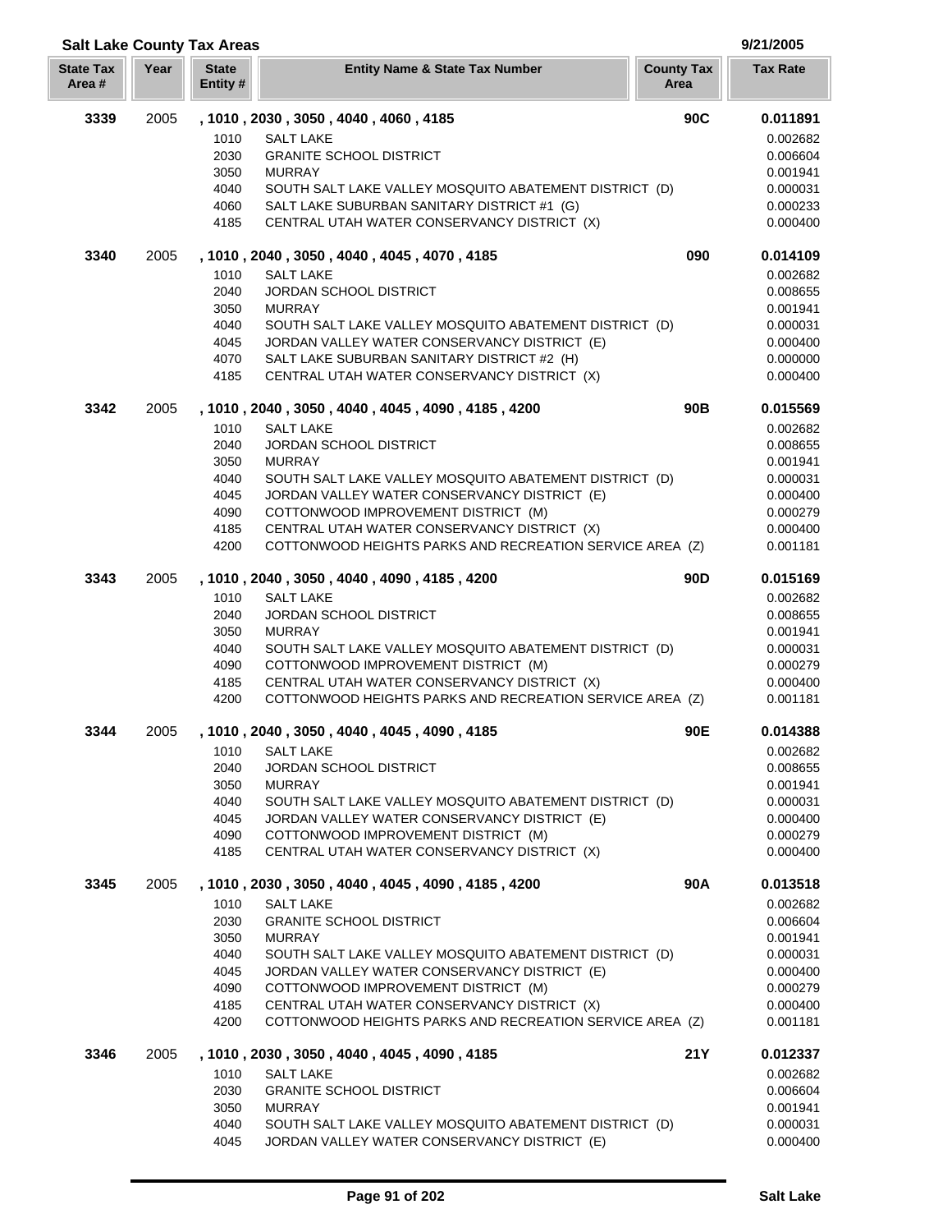| <b>Salt Lake County Tax Areas</b> |      |                         |                                                                                                        |                           | 9/21/2005            |
|-----------------------------------|------|-------------------------|--------------------------------------------------------------------------------------------------------|---------------------------|----------------------|
| <b>State Tax</b><br>Area#         | Year | <b>State</b><br>Entity# | <b>Entity Name &amp; State Tax Number</b>                                                              | <b>County Tax</b><br>Area | <b>Tax Rate</b>      |
| 3339                              | 2005 |                         | , 1010, 2030, 3050, 4040, 4060, 4185                                                                   | 90C                       | 0.011891             |
|                                   |      | 1010                    | <b>SALT LAKE</b>                                                                                       |                           | 0.002682             |
|                                   |      | 2030                    | <b>GRANITE SCHOOL DISTRICT</b>                                                                         |                           | 0.006604             |
|                                   |      | 3050                    | <b>MURRAY</b>                                                                                          |                           | 0.001941             |
|                                   |      | 4040                    | SOUTH SALT LAKE VALLEY MOSQUITO ABATEMENT DISTRICT (D)                                                 |                           | 0.000031             |
|                                   |      | 4060                    | SALT LAKE SUBURBAN SANITARY DISTRICT #1 (G)                                                            |                           | 0.000233             |
|                                   |      | 4185                    | CENTRAL UTAH WATER CONSERVANCY DISTRICT (X)                                                            |                           | 0.000400             |
| 3340                              | 2005 |                         | , 1010, 2040, 3050, 4040, 4045, 4070, 4185                                                             | 090                       | 0.014109             |
|                                   |      | 1010                    | <b>SALT LAKE</b>                                                                                       |                           | 0.002682             |
|                                   |      | 2040                    | <b>JORDAN SCHOOL DISTRICT</b>                                                                          |                           | 0.008655             |
|                                   |      | 3050                    | <b>MURRAY</b>                                                                                          |                           | 0.001941             |
|                                   |      | 4040<br>4045            | SOUTH SALT LAKE VALLEY MOSQUITO ABATEMENT DISTRICT (D)<br>JORDAN VALLEY WATER CONSERVANCY DISTRICT (E) |                           | 0.000031<br>0.000400 |
|                                   |      | 4070                    | SALT LAKE SUBURBAN SANITARY DISTRICT #2 (H)                                                            |                           | 0.000000             |
|                                   |      | 4185                    | CENTRAL UTAH WATER CONSERVANCY DISTRICT (X)                                                            |                           | 0.000400             |
| 3342                              | 2005 |                         | , 1010, 2040, 3050, 4040, 4045, 4090, 4185, 4200                                                       | 90 <sub>B</sub>           | 0.015569             |
|                                   |      | 1010                    | <b>SALT LAKE</b>                                                                                       |                           | 0.002682             |
|                                   |      | 2040                    | JORDAN SCHOOL DISTRICT                                                                                 |                           | 0.008655             |
|                                   |      | 3050                    | <b>MURRAY</b>                                                                                          |                           | 0.001941             |
|                                   |      | 4040                    | SOUTH SALT LAKE VALLEY MOSQUITO ABATEMENT DISTRICT (D)                                                 |                           | 0.000031             |
|                                   |      | 4045                    | JORDAN VALLEY WATER CONSERVANCY DISTRICT (E)                                                           |                           | 0.000400             |
|                                   |      | 4090                    | COTTONWOOD IMPROVEMENT DISTRICT (M)                                                                    |                           | 0.000279             |
|                                   |      | 4185                    | CENTRAL UTAH WATER CONSERVANCY DISTRICT (X)                                                            |                           | 0.000400             |
|                                   |      | 4200                    | COTTONWOOD HEIGHTS PARKS AND RECREATION SERVICE AREA (Z)                                               |                           | 0.001181             |
| 3343                              | 2005 |                         | , 1010, 2040, 3050, 4040, 4090, 4185, 4200                                                             | 90 <sub>D</sub>           | 0.015169             |
|                                   |      | 1010                    | <b>SALT LAKE</b>                                                                                       |                           | 0.002682             |
|                                   |      | 2040                    | JORDAN SCHOOL DISTRICT                                                                                 |                           | 0.008655             |
|                                   |      | 3050<br>4040            | <b>MURRAY</b><br>SOUTH SALT LAKE VALLEY MOSQUITO ABATEMENT DISTRICT (D)                                |                           | 0.001941<br>0.000031 |
|                                   |      | 4090                    | COTTONWOOD IMPROVEMENT DISTRICT (M)                                                                    |                           | 0.000279             |
|                                   |      | 4185                    | CENTRAL UTAH WATER CONSERVANCY DISTRICT (X)                                                            |                           | 0.000400             |
|                                   |      | 4200                    | COTTONWOOD HEIGHTS PARKS AND RECREATION SERVICE AREA (Z)                                               |                           | 0.001181             |
| 3344                              | 2005 |                         | , 1010, 2040, 3050, 4040, 4045, 4090, 4185                                                             | 90E                       | 0.014388             |
|                                   |      | 1010                    | <b>SALT LAKE</b>                                                                                       |                           | 0.002682             |
|                                   |      | 2040                    | <b>JORDAN SCHOOL DISTRICT</b>                                                                          |                           | 0.008655             |
|                                   |      | 3050                    | <b>MURRAY</b>                                                                                          |                           | 0.001941             |
|                                   |      | 4040                    | SOUTH SALT LAKE VALLEY MOSQUITO ABATEMENT DISTRICT (D)                                                 |                           | 0.000031             |
|                                   |      | 4045                    | JORDAN VALLEY WATER CONSERVANCY DISTRICT (E)                                                           |                           | 0.000400             |
|                                   |      | 4090<br>4185            | COTTONWOOD IMPROVEMENT DISTRICT (M)<br>CENTRAL UTAH WATER CONSERVANCY DISTRICT (X)                     |                           | 0.000279<br>0.000400 |
| 3345                              | 2005 |                         | , 1010, 2030, 3050, 4040, 4045, 4090, 4185, 4200                                                       | 90A                       |                      |
|                                   |      | 1010                    | <b>SALT LAKE</b>                                                                                       |                           | 0.013518<br>0.002682 |
|                                   |      | 2030                    | <b>GRANITE SCHOOL DISTRICT</b>                                                                         |                           | 0.006604             |
|                                   |      | 3050                    | <b>MURRAY</b>                                                                                          |                           | 0.001941             |
|                                   |      | 4040                    | SOUTH SALT LAKE VALLEY MOSQUITO ABATEMENT DISTRICT (D)                                                 |                           | 0.000031             |
|                                   |      | 4045                    | JORDAN VALLEY WATER CONSERVANCY DISTRICT (E)                                                           |                           | 0.000400             |
|                                   |      | 4090                    | COTTONWOOD IMPROVEMENT DISTRICT (M)                                                                    |                           | 0.000279             |
|                                   |      | 4185                    | CENTRAL UTAH WATER CONSERVANCY DISTRICT (X)                                                            |                           | 0.000400             |
|                                   |      | 4200                    | COTTONWOOD HEIGHTS PARKS AND RECREATION SERVICE AREA (Z)                                               |                           | 0.001181             |
| 3346                              | 2005 |                         | , 1010, 2030, 3050, 4040, 4045, 4090, 4185                                                             | <b>21Y</b>                | 0.012337             |
|                                   |      | 1010                    | <b>SALT LAKE</b>                                                                                       |                           | 0.002682             |
|                                   |      | 2030                    | <b>GRANITE SCHOOL DISTRICT</b>                                                                         |                           | 0.006604             |
|                                   |      | 3050                    | <b>MURRAY</b>                                                                                          |                           | 0.001941             |
|                                   |      | 4040                    | SOUTH SALT LAKE VALLEY MOSQUITO ABATEMENT DISTRICT (D)                                                 |                           | 0.000031             |
|                                   |      | 4045                    | JORDAN VALLEY WATER CONSERVANCY DISTRICT (E)                                                           |                           | 0.000400             |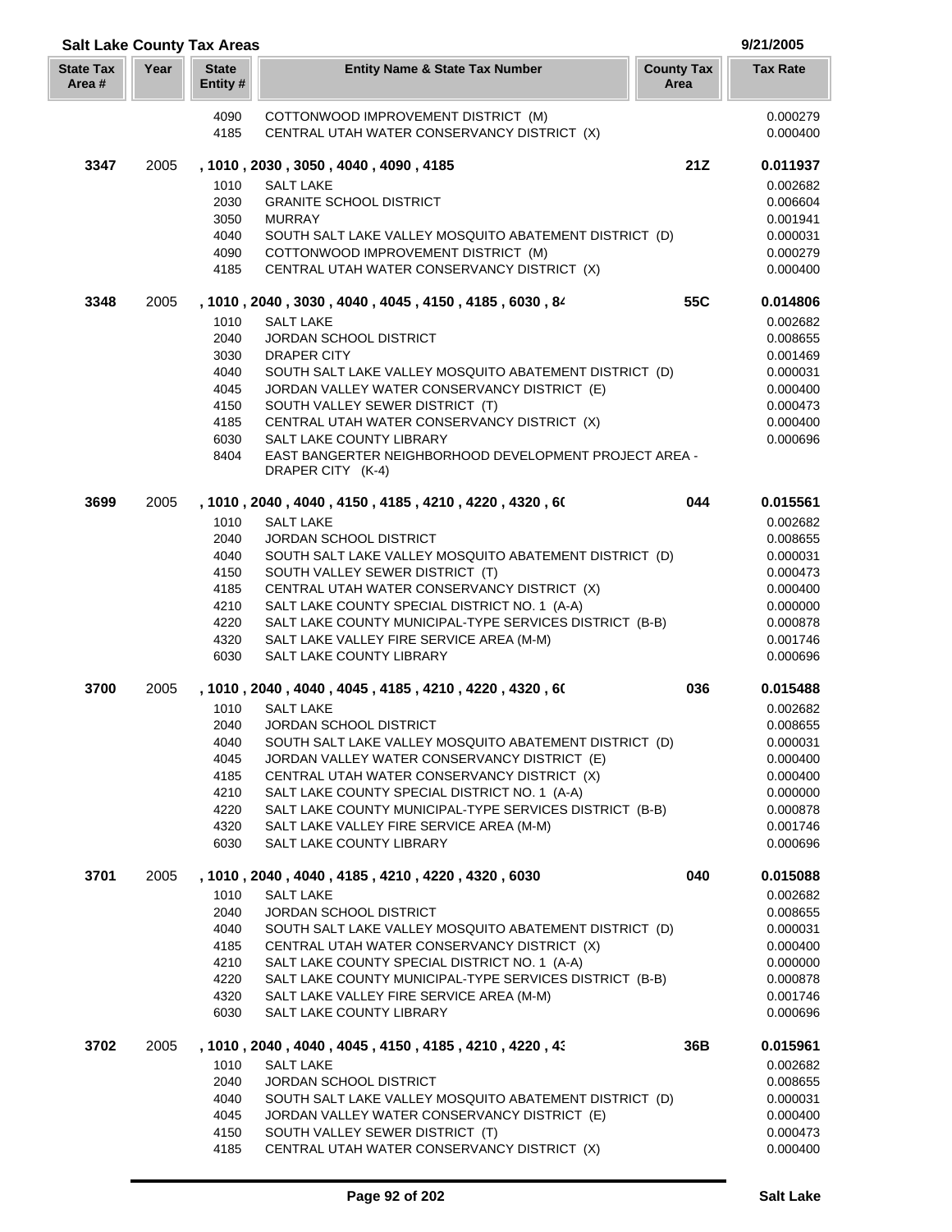| <b>Salt Lake County Tax Areas</b> |      |                         |                                                                                                     |                           | 9/21/2005            |
|-----------------------------------|------|-------------------------|-----------------------------------------------------------------------------------------------------|---------------------------|----------------------|
| <b>State Tax</b><br>Area #        | Year | <b>State</b><br>Entity# | <b>Entity Name &amp; State Tax Number</b>                                                           | <b>County Tax</b><br>Area | <b>Tax Rate</b>      |
|                                   |      | 4090<br>4185            | COTTONWOOD IMPROVEMENT DISTRICT (M)<br>CENTRAL UTAH WATER CONSERVANCY DISTRICT (X)                  |                           | 0.000279<br>0.000400 |
| 3347                              | 2005 |                         | , 1010, 2030, 3050, 4040, 4090, 4185                                                                | 21Z                       | 0.011937             |
|                                   |      | 1010                    | <b>SALT LAKE</b>                                                                                    |                           | 0.002682             |
|                                   |      | 2030                    | <b>GRANITE SCHOOL DISTRICT</b>                                                                      |                           | 0.006604             |
|                                   |      | 3050                    | <b>MURRAY</b>                                                                                       |                           | 0.001941             |
|                                   |      | 4040                    | SOUTH SALT LAKE VALLEY MOSQUITO ABATEMENT DISTRICT (D)                                              |                           | 0.000031             |
|                                   |      | 4090                    | COTTONWOOD IMPROVEMENT DISTRICT (M)                                                                 |                           | 0.000279             |
|                                   |      | 4185                    | CENTRAL UTAH WATER CONSERVANCY DISTRICT (X)                                                         |                           | 0.000400             |
| 3348                              | 2005 |                         | , 1010, 2040, 3030, 4040, 4045, 4150, 4185, 6030, 84                                                | 55C                       | 0.014806             |
|                                   |      | 1010<br>2040            | <b>SALT LAKE</b>                                                                                    |                           | 0.002682             |
|                                   |      | 3030                    | JORDAN SCHOOL DISTRICT<br><b>DRAPER CITY</b>                                                        |                           | 0.008655<br>0.001469 |
|                                   |      | 4040                    | SOUTH SALT LAKE VALLEY MOSQUITO ABATEMENT DISTRICT (D)                                              |                           | 0.000031             |
|                                   |      | 4045                    | JORDAN VALLEY WATER CONSERVANCY DISTRICT (E)                                                        |                           | 0.000400             |
|                                   |      | 4150                    | SOUTH VALLEY SEWER DISTRICT (T)                                                                     |                           | 0.000473             |
|                                   |      | 4185                    | CENTRAL UTAH WATER CONSERVANCY DISTRICT (X)                                                         |                           | 0.000400             |
|                                   |      | 6030                    | SALT LAKE COUNTY LIBRARY                                                                            |                           | 0.000696             |
|                                   |      | 8404                    | EAST BANGERTER NEIGHBORHOOD DEVELOPMENT PROJECT AREA -<br>DRAPER CITY (K-4)                         |                           |                      |
| 3699                              | 2005 |                         | , 1010 , 2040 , 4040 , 4150 , 4185 , 4210 , 4220 , 4320 , 60                                        | 044                       | 0.015561             |
|                                   |      | 1010                    | <b>SALT LAKE</b>                                                                                    |                           | 0.002682             |
|                                   |      | 2040                    | <b>JORDAN SCHOOL DISTRICT</b>                                                                       |                           | 0.008655             |
|                                   |      | 4040                    | SOUTH SALT LAKE VALLEY MOSQUITO ABATEMENT DISTRICT (D)                                              |                           | 0.000031             |
|                                   |      | 4150                    | SOUTH VALLEY SEWER DISTRICT (T)                                                                     |                           | 0.000473             |
|                                   |      | 4185                    | CENTRAL UTAH WATER CONSERVANCY DISTRICT (X)                                                         |                           | 0.000400             |
|                                   |      | 4210<br>4220            | SALT LAKE COUNTY SPECIAL DISTRICT NO. 1 (A-A)                                                       |                           | 0.000000             |
|                                   |      | 4320                    | SALT LAKE COUNTY MUNICIPAL-TYPE SERVICES DISTRICT (B-B)<br>SALT LAKE VALLEY FIRE SERVICE AREA (M-M) |                           | 0.000878<br>0.001746 |
|                                   |      | 6030                    | SALT LAKE COUNTY LIBRARY                                                                            |                           | 0.000696             |
| 3700                              | 2005 |                         | , 1010, 2040, 4040, 4045, 4185, 4210, 4220, 4320, 60                                                | 036                       | 0.015488             |
|                                   |      | 1010                    | SALT LAKE                                                                                           |                           | 0.002682             |
|                                   |      | 2040                    | <b>JORDAN SCHOOL DISTRICT</b>                                                                       |                           | 0.008655             |
|                                   |      | 4040                    | SOUTH SALT LAKE VALLEY MOSQUITO ABATEMENT DISTRICT (D)                                              |                           | 0.000031             |
|                                   |      | 4045<br>4185            | JORDAN VALLEY WATER CONSERVANCY DISTRICT (E)<br>CENTRAL UTAH WATER CONSERVANCY DISTRICT (X)         |                           | 0.000400<br>0.000400 |
|                                   |      | 4210                    | SALT LAKE COUNTY SPECIAL DISTRICT NO. 1 (A-A)                                                       |                           | 0.000000             |
|                                   |      | 4220                    | SALT LAKE COUNTY MUNICIPAL-TYPE SERVICES DISTRICT (B-B)                                             |                           | 0.000878             |
|                                   |      | 4320                    | SALT LAKE VALLEY FIRE SERVICE AREA (M-M)                                                            |                           | 0.001746             |
|                                   |      | 6030                    | SALT LAKE COUNTY LIBRARY                                                                            |                           | 0.000696             |
| 3701                              | 2005 |                         | , 1010, 2040, 4040, 4185, 4210, 4220, 4320, 6030                                                    | 040                       | 0.015088             |
|                                   |      | 1010                    | <b>SALT LAKE</b>                                                                                    |                           | 0.002682             |
|                                   |      | 2040<br>4040            | <b>JORDAN SCHOOL DISTRICT</b><br>SOUTH SALT LAKE VALLEY MOSQUITO ABATEMENT DISTRICT (D)             |                           | 0.008655<br>0.000031 |
|                                   |      | 4185                    | CENTRAL UTAH WATER CONSERVANCY DISTRICT (X)                                                         |                           | 0.000400             |
|                                   |      | 4210                    | SALT LAKE COUNTY SPECIAL DISTRICT NO. 1 (A-A)                                                       |                           | 0.000000             |
|                                   |      | 4220                    | SALT LAKE COUNTY MUNICIPAL-TYPE SERVICES DISTRICT (B-B)                                             |                           | 0.000878             |
|                                   |      | 4320                    | SALT LAKE VALLEY FIRE SERVICE AREA (M-M)                                                            |                           | 0.001746             |
|                                   |      | 6030                    | SALT LAKE COUNTY LIBRARY                                                                            |                           | 0.000696             |
| 3702                              | 2005 |                         | , 1010 , 2040 , 4040 , 4045 , 4150 , 4185 , 4210 , 4220 , 43                                        | 36B                       | 0.015961             |
|                                   |      | 1010                    | <b>SALT LAKE</b>                                                                                    |                           | 0.002682             |
|                                   |      | 2040<br>4040            | <b>JORDAN SCHOOL DISTRICT</b><br>SOUTH SALT LAKE VALLEY MOSQUITO ABATEMENT DISTRICT (D)             |                           | 0.008655<br>0.000031 |
|                                   |      | 4045                    | JORDAN VALLEY WATER CONSERVANCY DISTRICT (E)                                                        |                           | 0.000400             |
|                                   |      | 4150                    | SOUTH VALLEY SEWER DISTRICT (T)                                                                     |                           | 0.000473             |
|                                   |      | 4185                    | CENTRAL UTAH WATER CONSERVANCY DISTRICT (X)                                                         |                           | 0.000400             |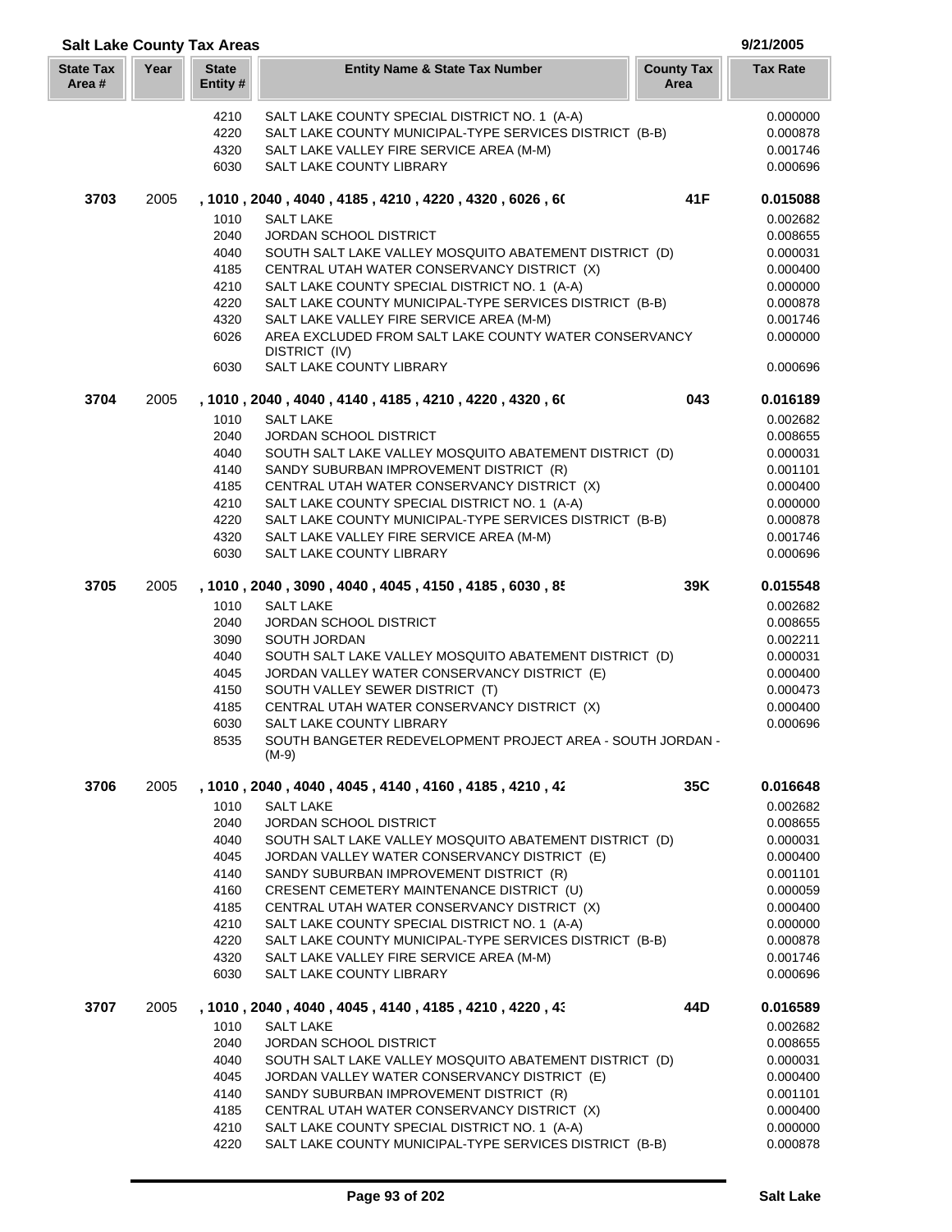| <b>Salt Lake County Tax Areas</b> |      |                         |                                                                                                     |                           | 9/21/2005            |
|-----------------------------------|------|-------------------------|-----------------------------------------------------------------------------------------------------|---------------------------|----------------------|
| <b>State Tax</b><br>Area#         | Year | <b>State</b><br>Entity# | <b>Entity Name &amp; State Tax Number</b>                                                           | <b>County Tax</b><br>Area | <b>Tax Rate</b>      |
|                                   |      | 4210                    | SALT LAKE COUNTY SPECIAL DISTRICT NO. 1 (A-A)                                                       |                           | 0.000000             |
|                                   |      | 4220                    | SALT LAKE COUNTY MUNICIPAL-TYPE SERVICES DISTRICT (B-B)                                             |                           | 0.000878             |
|                                   |      | 4320                    | SALT LAKE VALLEY FIRE SERVICE AREA (M-M)                                                            |                           | 0.001746             |
|                                   |      | 6030                    | SALT LAKE COUNTY LIBRARY                                                                            |                           | 0.000696             |
| 3703                              | 2005 |                         | , 1010, 2040, 4040, 4185, 4210, 4220, 4320, 6026, 60                                                | 41F                       | 0.015088             |
|                                   |      | 1010                    | <b>SALT LAKE</b>                                                                                    |                           | 0.002682             |
|                                   |      | 2040                    | JORDAN SCHOOL DISTRICT                                                                              |                           | 0.008655             |
|                                   |      | 4040                    | SOUTH SALT LAKE VALLEY MOSQUITO ABATEMENT DISTRICT (D)                                              |                           | 0.000031             |
|                                   |      | 4185                    | CENTRAL UTAH WATER CONSERVANCY DISTRICT (X)                                                         |                           | 0.000400             |
|                                   |      | 4210                    | SALT LAKE COUNTY SPECIAL DISTRICT NO. 1 (A-A)                                                       |                           | 0.000000             |
|                                   |      | 4220                    | SALT LAKE COUNTY MUNICIPAL-TYPE SERVICES DISTRICT (B-B)                                             |                           | 0.000878             |
|                                   |      | 4320                    | SALT LAKE VALLEY FIRE SERVICE AREA (M-M)                                                            |                           | 0.001746             |
|                                   |      | 6026                    | AREA EXCLUDED FROM SALT LAKE COUNTY WATER CONSERVANCY                                               |                           | 0.000000             |
|                                   |      | 6030                    | DISTRICT (IV)<br>SALT LAKE COUNTY LIBRARY                                                           |                           | 0.000696             |
| 3704                              | 2005 |                         | , 1010, 2040, 4040, 4140, 4185, 4210, 4220, 4320, 60                                                | 043                       | 0.016189             |
|                                   |      | 1010                    | <b>SALT LAKE</b>                                                                                    |                           | 0.002682             |
|                                   |      | 2040                    | JORDAN SCHOOL DISTRICT                                                                              |                           | 0.008655             |
|                                   |      | 4040                    | SOUTH SALT LAKE VALLEY MOSQUITO ABATEMENT DISTRICT (D)                                              |                           | 0.000031             |
|                                   |      | 4140                    | SANDY SUBURBAN IMPROVEMENT DISTRICT (R)                                                             |                           | 0.001101             |
|                                   |      | 4185                    | CENTRAL UTAH WATER CONSERVANCY DISTRICT (X)                                                         |                           | 0.000400             |
|                                   |      | 4210                    | SALT LAKE COUNTY SPECIAL DISTRICT NO. 1 (A-A)                                                       |                           | 0.000000             |
|                                   |      | 4220                    | SALT LAKE COUNTY MUNICIPAL-TYPE SERVICES DISTRICT (B-B)                                             |                           | 0.000878             |
|                                   |      | 4320                    | SALT LAKE VALLEY FIRE SERVICE AREA (M-M)                                                            |                           | 0.001746             |
|                                   |      | 6030                    | SALT LAKE COUNTY LIBRARY                                                                            |                           | 0.000696             |
| 3705                              | 2005 |                         | , 1010, 2040, 3090, 4040, 4045, 4150, 4185, 6030, 85                                                | 39K                       | 0.015548             |
|                                   |      | 1010                    | <b>SALT LAKE</b>                                                                                    |                           | 0.002682             |
|                                   |      | 2040                    | <b>JORDAN SCHOOL DISTRICT</b>                                                                       |                           | 0.008655             |
|                                   |      | 3090                    | SOUTH JORDAN                                                                                        |                           | 0.002211             |
|                                   |      | 4040                    | SOUTH SALT LAKE VALLEY MOSQUITO ABATEMENT DISTRICT (D)                                              |                           | 0.000031             |
|                                   |      | 4045                    | JORDAN VALLEY WATER CONSERVANCY DISTRICT (E)                                                        |                           | 0.000400             |
|                                   |      | 4150<br>4185            | SOUTH VALLEY SEWER DISTRICT (T)<br>CENTRAL UTAH WATER CONSERVANCY DISTRICT (X)                      |                           | 0.000473             |
|                                   |      | 6030                    | SALT LAKE COUNTY LIBRARY                                                                            |                           | 0.000400<br>0.000696 |
|                                   |      | 8535                    | SOUTH BANGETER REDEVELOPMENT PROJECT AREA - SOUTH JORDAN -                                          |                           |                      |
|                                   |      |                         | $(M-9)$                                                                                             |                           |                      |
| 3706                              | 2005 |                         | , 1010 , 2040 , 4040 , 4045 , 4140 , 4160 , 4185 , 4210 , 42                                        | 35C                       | 0.016648             |
|                                   |      | 1010                    | <b>SALT LAKE</b>                                                                                    |                           | 0.002682             |
|                                   |      | 2040                    | <b>JORDAN SCHOOL DISTRICT</b>                                                                       |                           | 0.008655             |
|                                   |      | 4040                    | SOUTH SALT LAKE VALLEY MOSQUITO ABATEMENT DISTRICT (D)                                              |                           | 0.000031             |
|                                   |      | 4045                    | JORDAN VALLEY WATER CONSERVANCY DISTRICT (E)                                                        |                           | 0.000400             |
|                                   |      | 4140                    | SANDY SUBURBAN IMPROVEMENT DISTRICT (R)                                                             |                           | 0.001101             |
|                                   |      | 4160                    | CRESENT CEMETERY MAINTENANCE DISTRICT (U)                                                           |                           | 0.000059             |
|                                   |      | 4185                    | CENTRAL UTAH WATER CONSERVANCY DISTRICT (X)                                                         |                           | 0.000400             |
|                                   |      | 4210                    | SALT LAKE COUNTY SPECIAL DISTRICT NO. 1 (A-A)                                                       |                           | 0.000000             |
|                                   |      | 4220<br>4320            | SALT LAKE COUNTY MUNICIPAL-TYPE SERVICES DISTRICT (B-B)<br>SALT LAKE VALLEY FIRE SERVICE AREA (M-M) |                           | 0.000878             |
|                                   |      | 6030                    | SALT LAKE COUNTY LIBRARY                                                                            |                           | 0.001746<br>0.000696 |
| 3707                              | 2005 |                         | , 1010 , 2040 , 4040 , 4045 , 4140 , 4185 , 4210 , 4220 , 43                                        | 44D                       | 0.016589             |
|                                   |      | 1010                    | <b>SALT LAKE</b>                                                                                    |                           | 0.002682             |
|                                   |      | 2040                    | JORDAN SCHOOL DISTRICT                                                                              |                           | 0.008655             |
|                                   |      | 4040                    | SOUTH SALT LAKE VALLEY MOSQUITO ABATEMENT DISTRICT (D)                                              |                           | 0.000031             |
|                                   |      | 4045                    | JORDAN VALLEY WATER CONSERVANCY DISTRICT (E)                                                        |                           | 0.000400             |
|                                   |      | 4140                    | SANDY SUBURBAN IMPROVEMENT DISTRICT (R)                                                             |                           | 0.001101             |
|                                   |      | 4185                    | CENTRAL UTAH WATER CONSERVANCY DISTRICT (X)                                                         |                           | 0.000400             |
|                                   |      | 4210                    | SALT LAKE COUNTY SPECIAL DISTRICT NO. 1 (A-A)                                                       |                           | 0.000000             |
|                                   |      | 4220                    | SALT LAKE COUNTY MUNICIPAL-TYPE SERVICES DISTRICT (B-B)                                             |                           | 0.000878             |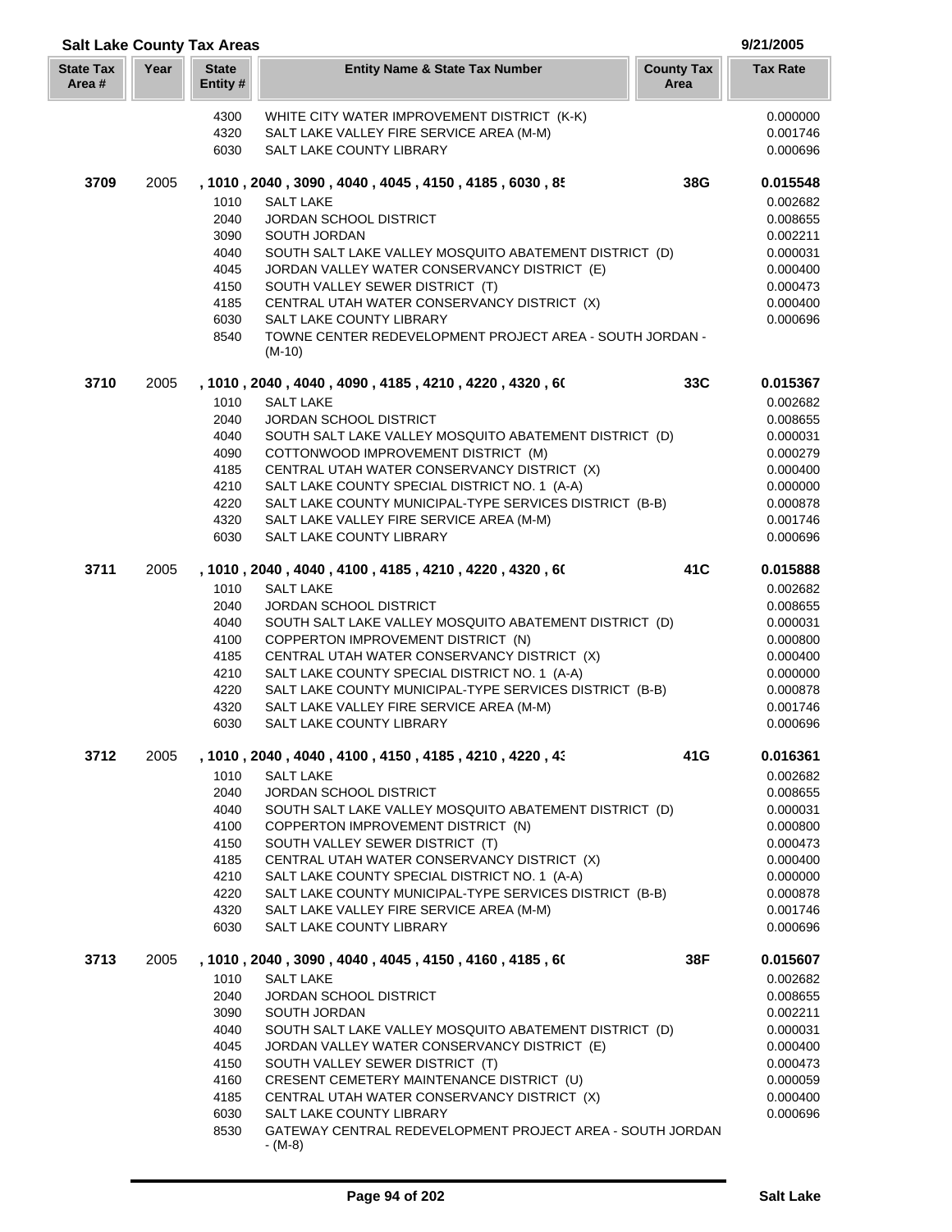| <b>Salt Lake County Tax Areas</b> |      |                          |                                                                                                     |                           | 9/21/2005            |
|-----------------------------------|------|--------------------------|-----------------------------------------------------------------------------------------------------|---------------------------|----------------------|
| <b>State Tax</b><br>Area#         | Year | <b>State</b><br>Entity # | <b>Entity Name &amp; State Tax Number</b>                                                           | <b>County Tax</b><br>Area | <b>Tax Rate</b>      |
|                                   |      | 4300                     | WHITE CITY WATER IMPROVEMENT DISTRICT (K-K)                                                         |                           | 0.000000             |
|                                   |      | 4320                     | SALT LAKE VALLEY FIRE SERVICE AREA (M-M)                                                            |                           | 0.001746             |
|                                   |      | 6030                     | SALT LAKE COUNTY LIBRARY                                                                            |                           | 0.000696             |
| 3709                              | 2005 |                          | , 1010, 2040, 3090, 4040, 4045, 4150, 4185, 6030, 85                                                | 38G                       | 0.015548             |
|                                   |      | 1010<br>2040             | <b>SALT LAKE</b>                                                                                    |                           | 0.002682             |
|                                   |      | 3090                     | <b>JORDAN SCHOOL DISTRICT</b><br>SOUTH JORDAN                                                       |                           | 0.008655<br>0.002211 |
|                                   |      | 4040                     | SOUTH SALT LAKE VALLEY MOSQUITO ABATEMENT DISTRICT (D)                                              |                           | 0.000031             |
|                                   |      | 4045                     | JORDAN VALLEY WATER CONSERVANCY DISTRICT (E)                                                        |                           | 0.000400             |
|                                   |      | 4150                     | SOUTH VALLEY SEWER DISTRICT (T)                                                                     |                           | 0.000473             |
|                                   |      | 4185                     | CENTRAL UTAH WATER CONSERVANCY DISTRICT (X)                                                         |                           | 0.000400             |
|                                   |      | 6030                     | SALT LAKE COUNTY LIBRARY                                                                            |                           | 0.000696             |
|                                   |      | 8540                     | TOWNE CENTER REDEVELOPMENT PROJECT AREA - SOUTH JORDAN -<br>$(M-10)$                                |                           |                      |
| 3710                              | 2005 |                          | , 1010, 2040, 4040, 4090, 4185, 4210, 4220, 4320, 60                                                | 33C                       | 0.015367             |
|                                   |      | 1010                     | <b>SALT LAKE</b>                                                                                    |                           | 0.002682             |
|                                   |      | 2040                     | JORDAN SCHOOL DISTRICT                                                                              |                           | 0.008655             |
|                                   |      | 4040<br>4090             | SOUTH SALT LAKE VALLEY MOSQUITO ABATEMENT DISTRICT (D)<br>COTTONWOOD IMPROVEMENT DISTRICT (M)       |                           | 0.000031<br>0.000279 |
|                                   |      | 4185                     | CENTRAL UTAH WATER CONSERVANCY DISTRICT (X)                                                         |                           | 0.000400             |
|                                   |      | 4210                     | SALT LAKE COUNTY SPECIAL DISTRICT NO. 1 (A-A)                                                       |                           | 0.000000             |
|                                   |      | 4220                     | SALT LAKE COUNTY MUNICIPAL-TYPE SERVICES DISTRICT (B-B)                                             |                           | 0.000878             |
|                                   |      | 4320                     | SALT LAKE VALLEY FIRE SERVICE AREA (M-M)                                                            |                           | 0.001746             |
|                                   |      | 6030                     | SALT LAKE COUNTY LIBRARY                                                                            |                           | 0.000696             |
| 3711                              | 2005 |                          | , 1010, 2040, 4040, 4100, 4185, 4210, 4220, 4320, 60                                                | 41C                       | 0.015888             |
|                                   |      | 1010<br>2040             | <b>SALT LAKE</b><br>JORDAN SCHOOL DISTRICT                                                          |                           | 0.002682<br>0.008655 |
|                                   |      | 4040                     | SOUTH SALT LAKE VALLEY MOSQUITO ABATEMENT DISTRICT (D)                                              |                           | 0.000031             |
|                                   |      | 4100                     | COPPERTON IMPROVEMENT DISTRICT (N)                                                                  |                           | 0.000800             |
|                                   |      | 4185                     | CENTRAL UTAH WATER CONSERVANCY DISTRICT (X)                                                         |                           | 0.000400             |
|                                   |      | 4210                     | SALT LAKE COUNTY SPECIAL DISTRICT NO. 1 (A-A)                                                       |                           | 0.000000             |
|                                   |      | 4220                     | SALT LAKE COUNTY MUNICIPAL-TYPE SERVICES DISTRICT (B-B)                                             |                           | 0.000878             |
|                                   |      | 4320<br>6030             | SALT LAKE VALLEY FIRE SERVICE AREA (M-M)<br>SALT LAKE COUNTY LIBRARY                                |                           | 0.001746<br>0.000696 |
|                                   |      |                          |                                                                                                     |                           |                      |
| 3712                              | 2005 |                          | , 1010, 2040, 4040, 4100, 4150, 4185, 4210, 4220, 43                                                | 41G                       | 0.016361             |
|                                   |      | 1010<br>2040             | <b>SALT LAKE</b><br>JORDAN SCHOOL DISTRICT                                                          |                           | 0.002682<br>0.008655 |
|                                   |      | 4040                     | SOUTH SALT LAKE VALLEY MOSQUITO ABATEMENT DISTRICT (D)                                              |                           | 0.000031             |
|                                   |      | 4100                     | COPPERTON IMPROVEMENT DISTRICT (N)                                                                  |                           | 0.000800             |
|                                   |      | 4150                     | SOUTH VALLEY SEWER DISTRICT (T)                                                                     |                           | 0.000473             |
|                                   |      | 4185                     | CENTRAL UTAH WATER CONSERVANCY DISTRICT (X)                                                         |                           | 0.000400             |
|                                   |      | 4210                     | SALT LAKE COUNTY SPECIAL DISTRICT NO. 1 (A-A)                                                       |                           | 0.000000             |
|                                   |      | 4220<br>4320             | SALT LAKE COUNTY MUNICIPAL-TYPE SERVICES DISTRICT (B-B)<br>SALT LAKE VALLEY FIRE SERVICE AREA (M-M) |                           | 0.000878<br>0.001746 |
|                                   |      | 6030                     | <b>SALT LAKE COUNTY LIBRARY</b>                                                                     |                           | 0.000696             |
| 3713                              | 2005 |                          | , 1010 , 2040 , 3090 , 4040 , 4045 , 4150 , 4160 , 4185 , 60                                        | 38F                       | 0.015607             |
|                                   |      | 1010                     | <b>SALT LAKE</b>                                                                                    |                           | 0.002682             |
|                                   |      | 2040                     | <b>JORDAN SCHOOL DISTRICT</b>                                                                       |                           | 0.008655             |
|                                   |      | 3090<br>4040             | SOUTH JORDAN<br>SOUTH SALT LAKE VALLEY MOSQUITO ABATEMENT DISTRICT (D)                              |                           | 0.002211<br>0.000031 |
|                                   |      | 4045                     | JORDAN VALLEY WATER CONSERVANCY DISTRICT (E)                                                        |                           | 0.000400             |
|                                   |      | 4150                     | SOUTH VALLEY SEWER DISTRICT (T)                                                                     |                           | 0.000473             |
|                                   |      | 4160                     | CRESENT CEMETERY MAINTENANCE DISTRICT (U)                                                           |                           | 0.000059             |
|                                   |      | 4185                     | CENTRAL UTAH WATER CONSERVANCY DISTRICT (X)                                                         |                           | 0.000400             |
|                                   |      | 6030                     | SALT LAKE COUNTY LIBRARY                                                                            |                           | 0.000696             |
|                                   |      | 8530                     | GATEWAY CENTRAL REDEVELOPMENT PROJECT AREA - SOUTH JORDAN<br>$-(M-8)$                               |                           |                      |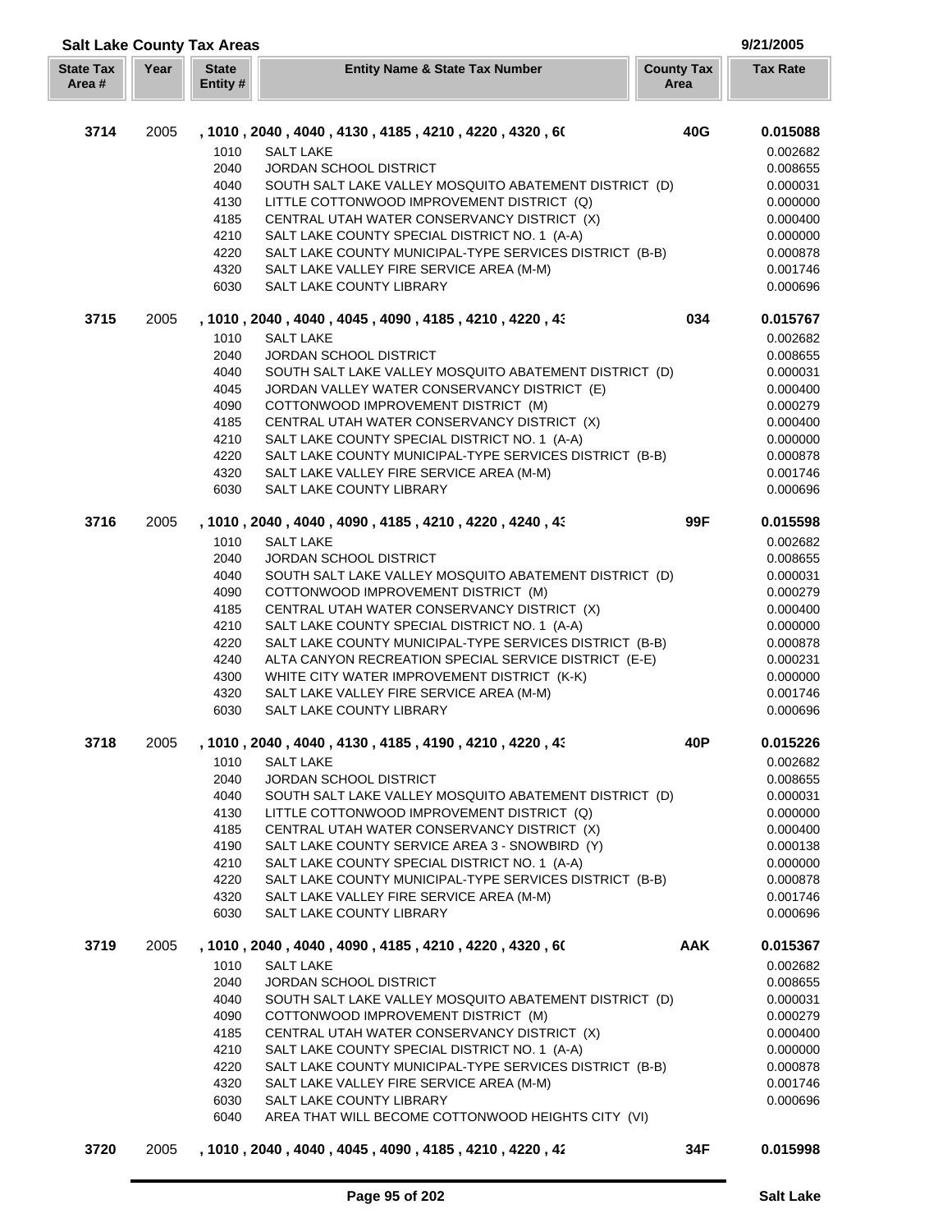| <b>Salt Lake County Tax Areas</b> |      |                          |                                                              |                           | 9/21/2005            |
|-----------------------------------|------|--------------------------|--------------------------------------------------------------|---------------------------|----------------------|
| <b>State Tax</b><br>Area #        | Year | <b>State</b><br>Entity # | <b>Entity Name &amp; State Tax Number</b>                    | <b>County Tax</b><br>Area | <b>Tax Rate</b>      |
| 3714                              | 2005 |                          | , 1010 , 2040 , 4040 , 4130 , 4185 , 4210 , 4220 , 4320 , 60 | 40G                       | 0.015088             |
|                                   |      | 1010                     | <b>SALT LAKE</b>                                             |                           | 0.002682             |
|                                   |      | 2040                     | JORDAN SCHOOL DISTRICT                                       |                           | 0.008655             |
|                                   |      | 4040                     | SOUTH SALT LAKE VALLEY MOSQUITO ABATEMENT DISTRICT (D)       |                           | 0.000031             |
|                                   |      | 4130                     | LITTLE COTTONWOOD IMPROVEMENT DISTRICT (Q)                   |                           | 0.000000             |
|                                   |      | 4185                     | CENTRAL UTAH WATER CONSERVANCY DISTRICT (X)                  |                           | 0.000400             |
|                                   |      | 4210                     | SALT LAKE COUNTY SPECIAL DISTRICT NO. 1 (A-A)                |                           | 0.000000             |
|                                   |      | 4220                     | SALT LAKE COUNTY MUNICIPAL-TYPE SERVICES DISTRICT (B-B)      |                           | 0.000878             |
|                                   |      | 4320                     | SALT LAKE VALLEY FIRE SERVICE AREA (M-M)                     |                           | 0.001746             |
|                                   |      | 6030                     | SALT LAKE COUNTY LIBRARY                                     |                           | 0.000696             |
| 3715                              | 2005 |                          | , 1010 , 2040 , 4040 , 4045 , 4090 , 4185 , 4210 , 4220 , 43 | 034                       | 0.015767             |
|                                   |      | 1010                     | <b>SALT LAKE</b>                                             |                           | 0.002682             |
|                                   |      | 2040                     | JORDAN SCHOOL DISTRICT                                       |                           | 0.008655             |
|                                   |      | 4040                     | SOUTH SALT LAKE VALLEY MOSQUITO ABATEMENT DISTRICT (D)       |                           | 0.000031             |
|                                   |      | 4045                     | JORDAN VALLEY WATER CONSERVANCY DISTRICT (E)                 |                           | 0.000400             |
|                                   |      | 4090                     | COTTONWOOD IMPROVEMENT DISTRICT (M)                          |                           | 0.000279             |
|                                   |      | 4185                     | CENTRAL UTAH WATER CONSERVANCY DISTRICT (X)                  |                           | 0.000400             |
|                                   |      | 4210                     | SALT LAKE COUNTY SPECIAL DISTRICT NO. 1 (A-A)                |                           | 0.000000             |
|                                   |      | 4220                     | SALT LAKE COUNTY MUNICIPAL-TYPE SERVICES DISTRICT (B-B)      |                           | 0.000878             |
|                                   |      | 4320                     | SALT LAKE VALLEY FIRE SERVICE AREA (M-M)                     |                           | 0.001746             |
|                                   |      | 6030                     | SALT LAKE COUNTY LIBRARY                                     |                           | 0.000696             |
| 3716                              | 2005 |                          | , 1010 , 2040 , 4040 , 4090 , 4185 , 4210 , 4220 , 4240 , 43 | 99F                       | 0.015598             |
|                                   |      | 1010                     | <b>SALT LAKE</b>                                             |                           | 0.002682             |
|                                   |      | 2040                     | <b>JORDAN SCHOOL DISTRICT</b>                                |                           | 0.008655             |
|                                   |      | 4040                     | SOUTH SALT LAKE VALLEY MOSQUITO ABATEMENT DISTRICT (D)       |                           | 0.000031             |
|                                   |      | 4090                     | COTTONWOOD IMPROVEMENT DISTRICT (M)                          |                           | 0.000279             |
|                                   |      | 4185                     | CENTRAL UTAH WATER CONSERVANCY DISTRICT (X)                  |                           | 0.000400             |
|                                   |      | 4210                     | SALT LAKE COUNTY SPECIAL DISTRICT NO. 1 (A-A)                |                           | 0.000000             |
|                                   |      | 4220                     | SALT LAKE COUNTY MUNICIPAL TYPE SERVICES DISTRICT (B-B)      |                           | 0.000878             |
|                                   |      | 4240                     | ALTA CANYON RECREATION SPECIAL SERVICE DISTRICT (E-E)        |                           | 0.000231             |
|                                   |      | 4300                     | WHITE CITY WATER IMPROVEMENT DISTRICT (K-K)                  |                           | 0.000000             |
|                                   |      | 4320                     | SALT LAKE VALLEY FIRE SERVICE AREA (M-M)                     |                           | 0.001746             |
|                                   |      | 6030                     | SALT LAKE COUNTY LIBRARY                                     |                           | 0.000696             |
| 3718                              | 2005 |                          | , 1010 , 2040 , 4040 , 4130 , 4185 , 4190 , 4210 , 4220 , 43 | 40P                       | 0.015226             |
|                                   |      | 1010<br>2040             | <b>SALT LAKE</b><br>JORDAN SCHOOL DISTRICT                   |                           | 0.002682<br>0.008655 |
|                                   |      | 4040                     | SOUTH SALT LAKE VALLEY MOSQUITO ABATEMENT DISTRICT (D)       |                           |                      |
|                                   |      | 4130                     | LITTLE COTTONWOOD IMPROVEMENT DISTRICT (Q)                   |                           | 0.000031<br>0.000000 |
|                                   |      | 4185                     | CENTRAL UTAH WATER CONSERVANCY DISTRICT (X)                  |                           | 0.000400             |
|                                   |      | 4190                     | SALT LAKE COUNTY SERVICE AREA 3 - SNOWBIRD (Y)               |                           | 0.000138             |
|                                   |      | 4210                     | SALT LAKE COUNTY SPECIAL DISTRICT NO. 1 (A-A)                |                           | 0.000000             |
|                                   |      | 4220                     | SALT LAKE COUNTY MUNICIPAL-TYPE SERVICES DISTRICT (B-B)      |                           | 0.000878             |
|                                   |      | 4320                     | SALT LAKE VALLEY FIRE SERVICE AREA (M-M)                     |                           | 0.001746             |
|                                   |      | 6030                     | SALT LAKE COUNTY LIBRARY                                     |                           | 0.000696             |
| 3719                              | 2005 |                          | , 1010 , 2040 , 4040 , 4090 , 4185 , 4210 , 4220 , 4320 , 60 | <b>AAK</b>                | 0.015367             |
|                                   |      | 1010                     | <b>SALT LAKE</b>                                             |                           | 0.002682             |
|                                   |      | 2040                     | JORDAN SCHOOL DISTRICT                                       |                           | 0.008655             |
|                                   |      | 4040                     | SOUTH SALT LAKE VALLEY MOSQUITO ABATEMENT DISTRICT (D)       |                           | 0.000031             |
|                                   |      | 4090                     | COTTONWOOD IMPROVEMENT DISTRICT (M)                          |                           | 0.000279             |
|                                   |      | 4185                     | CENTRAL UTAH WATER CONSERVANCY DISTRICT (X)                  |                           | 0.000400             |
|                                   |      | 4210                     | SALT LAKE COUNTY SPECIAL DISTRICT NO. 1 (A-A)                |                           | 0.000000             |
|                                   |      | 4220                     | SALT LAKE COUNTY MUNICIPAL-TYPE SERVICES DISTRICT (B-B)      |                           | 0.000878             |
|                                   |      | 4320                     | SALT LAKE VALLEY FIRE SERVICE AREA (M-M)                     |                           | 0.001746             |
|                                   |      | 6030                     | SALT LAKE COUNTY LIBRARY                                     |                           | 0.000696             |
|                                   |      | 6040                     | AREA THAT WILL BECOME COTTONWOOD HEIGHTS CITY (VI)           |                           |                      |
| 3720                              | 2005 |                          | , 1010, 2040, 4040, 4045, 4090, 4185, 4210, 4220, 42         | 34F                       | 0.015998             |
|                                   |      |                          |                                                              |                           |                      |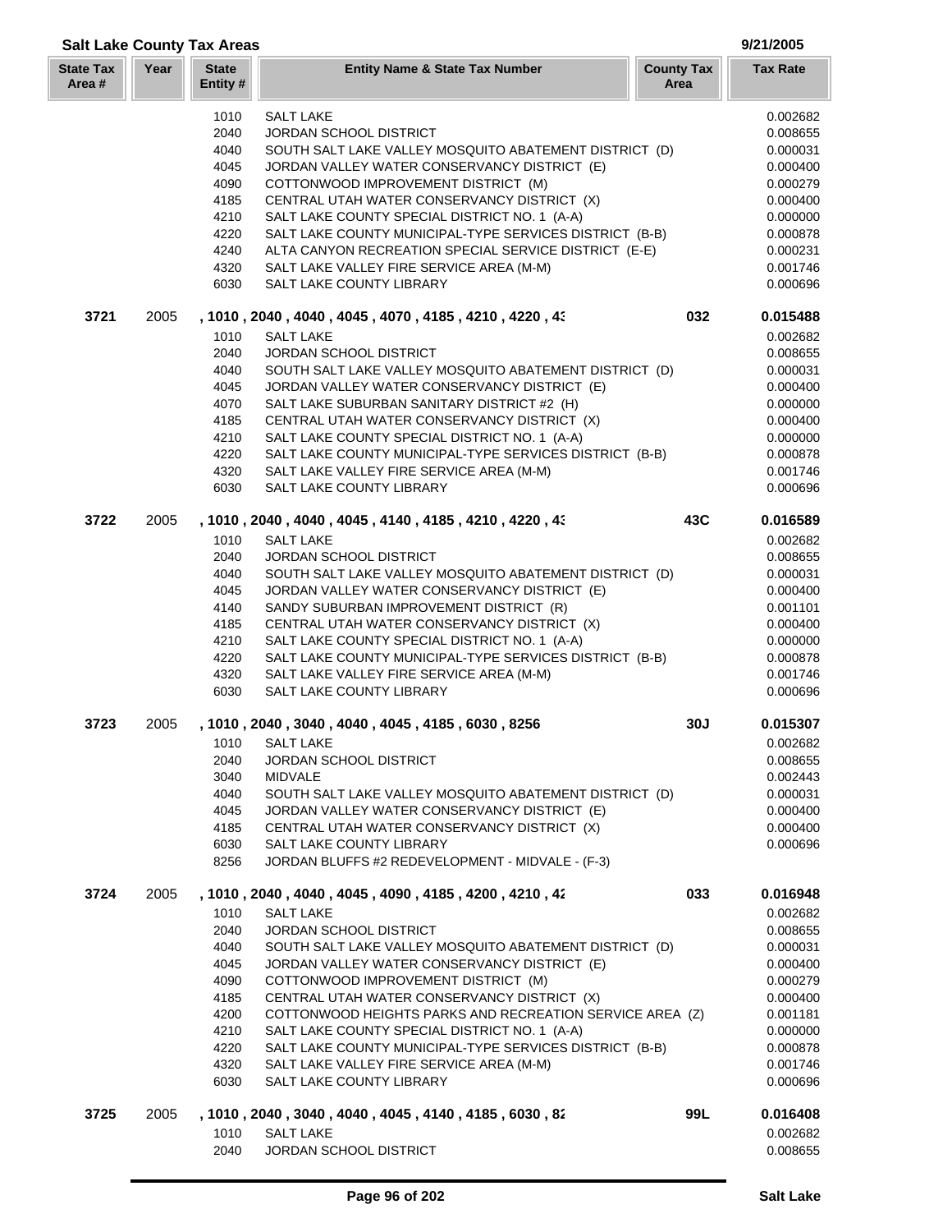| <b>Salt Lake County Tax Areas</b> |      |                          |                                                                                              |                           | 9/21/2005            |
|-----------------------------------|------|--------------------------|----------------------------------------------------------------------------------------------|---------------------------|----------------------|
| <b>State Tax</b><br>Area#         | Year | <b>State</b><br>Entity # | <b>Entity Name &amp; State Tax Number</b>                                                    | <b>County Tax</b><br>Area | <b>Tax Rate</b>      |
|                                   |      | 1010                     | <b>SALT LAKE</b>                                                                             |                           | 0.002682             |
|                                   |      | 2040                     | JORDAN SCHOOL DISTRICT                                                                       |                           | 0.008655             |
|                                   |      | 4040                     | SOUTH SALT LAKE VALLEY MOSQUITO ABATEMENT DISTRICT (D)                                       |                           | 0.000031             |
|                                   |      | 4045                     | JORDAN VALLEY WATER CONSERVANCY DISTRICT (E)                                                 |                           | 0.000400             |
|                                   |      | 4090                     | COTTONWOOD IMPROVEMENT DISTRICT (M)                                                          |                           | 0.000279             |
|                                   |      | 4185                     | CENTRAL UTAH WATER CONSERVANCY DISTRICT (X)                                                  |                           | 0.000400             |
|                                   |      | 4210                     | SALT LAKE COUNTY SPECIAL DISTRICT NO. 1 (A-A)                                                |                           | 0.000000             |
|                                   |      | 4220                     | SALT LAKE COUNTY MUNICIPAL-TYPE SERVICES DISTRICT (B-B)                                      |                           | 0.000878             |
|                                   |      | 4240                     | ALTA CANYON RECREATION SPECIAL SERVICE DISTRICT (E-E)                                        |                           | 0.000231             |
|                                   |      | 4320<br>6030             | SALT LAKE VALLEY FIRE SERVICE AREA (M-M)<br>SALT LAKE COUNTY LIBRARY                         |                           | 0.001746<br>0.000696 |
| 3721                              | 2005 |                          | , 1010 , 2040 , 4040 , 4045 , 4070 , 4185 , 4210 , 4220 , 43                                 | 032                       | 0.015488             |
|                                   |      | 1010                     | <b>SALT LAKE</b>                                                                             |                           | 0.002682             |
|                                   |      | 2040                     | <b>JORDAN SCHOOL DISTRICT</b>                                                                |                           | 0.008655             |
|                                   |      | 4040                     | SOUTH SALT LAKE VALLEY MOSQUITO ABATEMENT DISTRICT (D)                                       |                           | 0.000031             |
|                                   |      | 4045                     | JORDAN VALLEY WATER CONSERVANCY DISTRICT (E)                                                 |                           | 0.000400             |
|                                   |      | 4070                     | SALT LAKE SUBURBAN SANITARY DISTRICT #2 (H)                                                  |                           | 0.000000             |
|                                   |      | 4185                     | CENTRAL UTAH WATER CONSERVANCY DISTRICT (X)                                                  |                           | 0.000400             |
|                                   |      | 4210                     | SALT LAKE COUNTY SPECIAL DISTRICT NO. 1 (A-A)                                                |                           | 0.000000             |
|                                   |      | 4220                     | SALT LAKE COUNTY MUNICIPAL-TYPE SERVICES DISTRICT (B-B)                                      |                           | 0.000878             |
|                                   |      | 4320                     | SALT LAKE VALLEY FIRE SERVICE AREA (M-M)                                                     |                           | 0.001746             |
|                                   |      | 6030                     | SALT LAKE COUNTY LIBRARY                                                                     |                           | 0.000696             |
| 3722                              | 2005 |                          | , 1010, 2040, 4040, 4045, 4140, 4185, 4210, 4220, 43                                         | 43C                       | 0.016589             |
|                                   |      | 1010                     | <b>SALT LAKE</b>                                                                             |                           | 0.002682             |
|                                   |      | 2040                     | <b>JORDAN SCHOOL DISTRICT</b>                                                                |                           | 0.008655             |
|                                   |      | 4040                     | SOUTH SALT LAKE VALLEY MOSQUITO ABATEMENT DISTRICT (D)                                       |                           | 0.000031             |
|                                   |      | 4045                     | JORDAN VALLEY WATER CONSERVANCY DISTRICT (E)                                                 |                           | 0.000400             |
|                                   |      | 4140                     | SANDY SUBURBAN IMPROVEMENT DISTRICT (R)                                                      |                           | 0.001101             |
|                                   |      | 4185<br>4210             | CENTRAL UTAH WATER CONSERVANCY DISTRICT (X)<br>SALT LAKE COUNTY SPECIAL DISTRICT NO. 1 (A-A) |                           | 0.000400<br>0.000000 |
|                                   |      | 4220                     | SALT LAKE COUNTY MUNICIPAL-TYPE SERVICES DISTRICT (B-B)                                      |                           | 0.000878             |
|                                   |      | 4320                     | SALT LAKE VALLEY FIRE SERVICE AREA (M-M)                                                     |                           | 0.001746             |
|                                   |      | 6030                     | SALT LAKE COUNTY LIBRARY                                                                     |                           | 0.000696             |
| 3723                              | 2005 |                          | , 1010 , 2040 , 3040 , 4040 , 4045 , 4185 , 6030 , 8256                                      | 30J                       | 0.015307             |
|                                   |      | 1010                     | <b>SALT LAKE</b>                                                                             |                           | 0.002682             |
|                                   |      | 2040                     | JORDAN SCHOOL DISTRICT                                                                       |                           | 0.008655             |
|                                   |      | 3040                     | <b>MIDVALE</b>                                                                               |                           | 0.002443             |
|                                   |      | 4040                     | SOUTH SALT LAKE VALLEY MOSQUITO ABATEMENT DISTRICT (D)                                       |                           | 0.000031             |
|                                   |      | 4045                     | JORDAN VALLEY WATER CONSERVANCY DISTRICT (E)                                                 |                           | 0.000400             |
|                                   |      | 4185                     | CENTRAL UTAH WATER CONSERVANCY DISTRICT (X)                                                  |                           | 0.000400             |
|                                   |      | 6030<br>8256             | SALT LAKE COUNTY LIBRARY<br>JORDAN BLUFFS #2 REDEVELOPMENT - MIDVALE - (F-3)                 |                           | 0.000696             |
| 3724                              | 2005 |                          | , 1010 , 2040 , 4040 , 4045 , 4090 , 4185 , 4200 , 4210 , 42                                 | 033                       | 0.016948             |
|                                   |      | 1010                     | <b>SALT LAKE</b>                                                                             |                           | 0.002682             |
|                                   |      | 2040                     | JORDAN SCHOOL DISTRICT                                                                       |                           | 0.008655             |
|                                   |      | 4040                     | SOUTH SALT LAKE VALLEY MOSQUITO ABATEMENT DISTRICT (D)                                       |                           | 0.000031             |
|                                   |      | 4045                     | JORDAN VALLEY WATER CONSERVANCY DISTRICT (E)                                                 |                           | 0.000400             |
|                                   |      | 4090                     | COTTONWOOD IMPROVEMENT DISTRICT (M)                                                          |                           | 0.000279             |
|                                   |      | 4185                     | CENTRAL UTAH WATER CONSERVANCY DISTRICT (X)                                                  |                           | 0.000400             |
|                                   |      | 4200                     | COTTONWOOD HEIGHTS PARKS AND RECREATION SERVICE AREA (Z)                                     |                           | 0.001181             |
|                                   |      | 4210                     | SALT LAKE COUNTY SPECIAL DISTRICT NO. 1 (A-A)                                                |                           | 0.000000             |
|                                   |      | 4220                     | SALT LAKE COUNTY MUNICIPAL-TYPE SERVICES DISTRICT (B-B)                                      |                           | 0.000878             |
|                                   |      | 4320                     | SALT LAKE VALLEY FIRE SERVICE AREA (M-M)                                                     |                           | 0.001746             |
|                                   |      | 6030                     | SALT LAKE COUNTY LIBRARY                                                                     |                           | 0.000696             |
| 3725                              | 2005 |                          | , 1010, 2040, 3040, 4040, 4045, 4140, 4185, 6030, 82                                         | 99L                       | 0.016408             |
|                                   |      | 1010<br>2040             | <b>SALT LAKE</b><br>JORDAN SCHOOL DISTRICT                                                   |                           | 0.002682<br>0.008655 |
|                                   |      |                          |                                                                                              |                           |                      |

J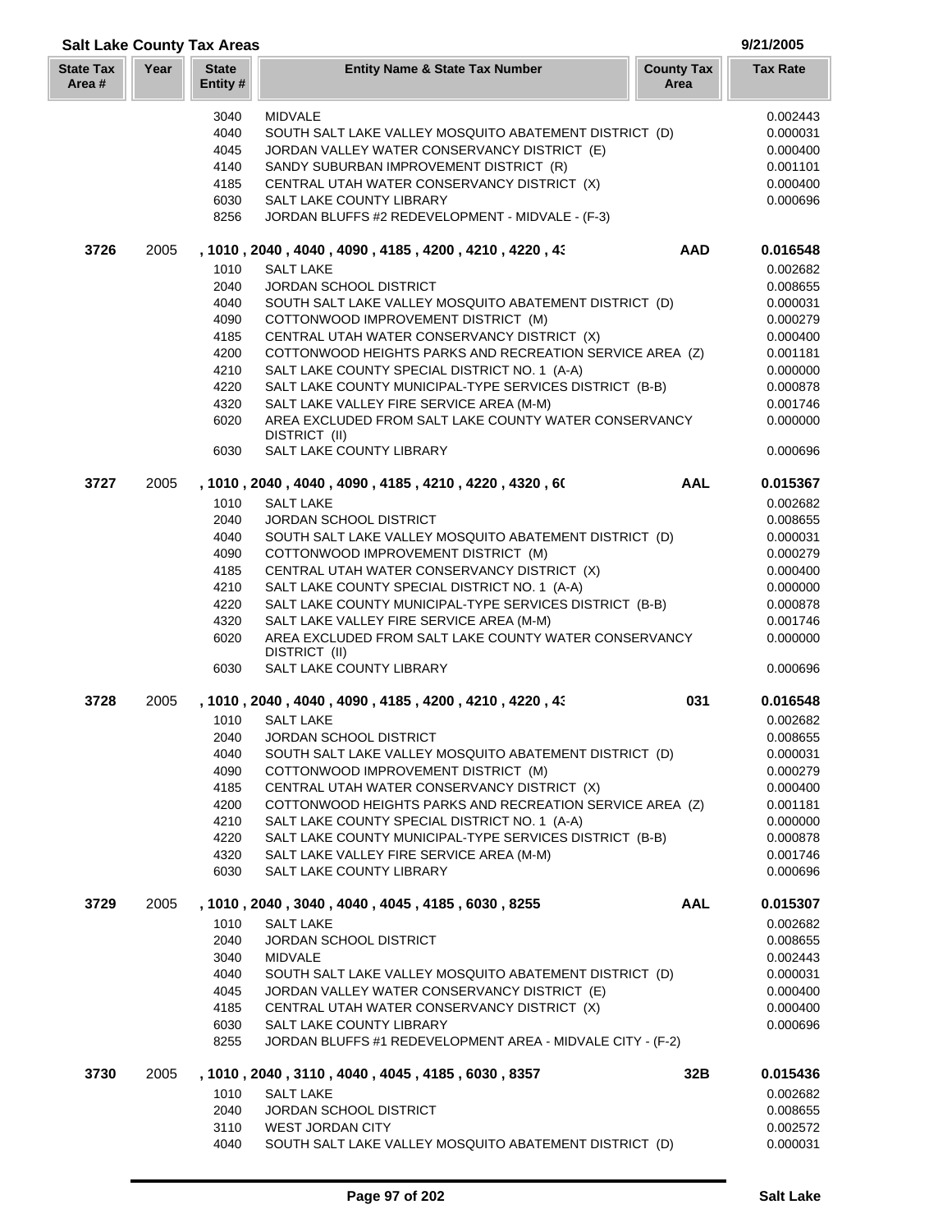| <b>Salt Lake County Tax Areas</b> |      |                          |                                                                                        |                           | 9/21/2005       |
|-----------------------------------|------|--------------------------|----------------------------------------------------------------------------------------|---------------------------|-----------------|
| <b>State Tax</b><br>Area #        | Year | <b>State</b><br>Entity # | <b>Entity Name &amp; State Tax Number</b>                                              | <b>County Tax</b><br>Area | <b>Tax Rate</b> |
|                                   |      | 3040                     | <b>MIDVALE</b>                                                                         |                           | 0.002443        |
|                                   |      | 4040                     | SOUTH SALT LAKE VALLEY MOSQUITO ABATEMENT DISTRICT (D)                                 |                           | 0.000031        |
|                                   |      | 4045                     | JORDAN VALLEY WATER CONSERVANCY DISTRICT (E)                                           |                           | 0.000400        |
|                                   |      | 4140                     | SANDY SUBURBAN IMPROVEMENT DISTRICT (R)                                                |                           | 0.001101        |
|                                   |      | 4185                     | CENTRAL UTAH WATER CONSERVANCY DISTRICT (X)                                            |                           | 0.000400        |
|                                   |      | 6030                     | SALT LAKE COUNTY LIBRARY                                                               |                           | 0.000696        |
|                                   |      | 8256                     | JORDAN BLUFFS #2 REDEVELOPMENT - MIDVALE - (F-3)                                       |                           |                 |
| 3726                              | 2005 |                          | , 1010 , 2040 , 4040 , 4090 , 4185 , 4200 , 4210 , 4220 , 43                           | <b>AAD</b>                | 0.016548        |
|                                   |      | 1010                     | <b>SALT LAKE</b>                                                                       |                           | 0.002682        |
|                                   |      | 2040                     | JORDAN SCHOOL DISTRICT                                                                 |                           | 0.008655        |
|                                   |      | 4040                     | SOUTH SALT LAKE VALLEY MOSQUITO ABATEMENT DISTRICT (D)                                 |                           | 0.000031        |
|                                   |      | 4090                     | COTTONWOOD IMPROVEMENT DISTRICT (M)                                                    |                           | 0.000279        |
|                                   |      | 4185                     | CENTRAL UTAH WATER CONSERVANCY DISTRICT (X)                                            |                           | 0.000400        |
|                                   |      | 4200                     | COTTONWOOD HEIGHTS PARKS AND RECREATION SERVICE AREA (Z)                               |                           | 0.001181        |
|                                   |      | 4210                     | SALT LAKE COUNTY SPECIAL DISTRICT NO. 1 (A-A)                                          |                           | 0.000000        |
|                                   |      | 4220                     | SALT LAKE COUNTY MUNICIPAL-TYPE SERVICES DISTRICT (B-B)                                |                           | 0.000878        |
|                                   |      | 4320                     | SALT LAKE VALLEY FIRE SERVICE AREA (M-M)                                               |                           | 0.001746        |
|                                   |      | 6020                     | AREA EXCLUDED FROM SALT LAKE COUNTY WATER CONSERVANCY<br>DISTRICT (II)                 |                           | 0.000000        |
|                                   |      | 6030                     | SALT LAKE COUNTY LIBRARY                                                               |                           | 0.000696        |
| 3727                              | 2005 |                          | , 1010, 2040, 4040, 4090, 4185, 4210, 4220, 4320, 60                                   | <b>AAL</b>                | 0.015367        |
|                                   |      | 1010                     | <b>SALT LAKE</b>                                                                       |                           | 0.002682        |
|                                   |      | 2040                     | <b>JORDAN SCHOOL DISTRICT</b>                                                          |                           | 0.008655        |
|                                   |      | 4040                     | SOUTH SALT LAKE VALLEY MOSQUITO ABATEMENT DISTRICT (D)                                 |                           | 0.000031        |
|                                   |      | 4090                     | COTTONWOOD IMPROVEMENT DISTRICT (M)                                                    |                           | 0.000279        |
|                                   |      | 4185                     | CENTRAL UTAH WATER CONSERVANCY DISTRICT (X)                                            |                           | 0.000400        |
|                                   |      | 4210                     | SALT LAKE COUNTY SPECIAL DISTRICT NO. 1 (A-A)                                          |                           | 0.000000        |
|                                   |      | 4220                     | SALT LAKE COUNTY MUNICIPAL-TYPE SERVICES DISTRICT (B-B)                                |                           | 0.000878        |
|                                   |      | 4320                     | SALT LAKE VALLEY FIRE SERVICE AREA (M-M)                                               |                           | 0.001746        |
|                                   |      | 6020                     | AREA EXCLUDED FROM SALT LAKE COUNTY WATER CONSERVANCY<br>DISTRICT (II)                 |                           | 0.000000        |
|                                   |      | 6030                     | SALT LAKE COUNTY LIBRARY                                                               |                           | 0.000696        |
| 3728                              | 2005 |                          | , 1010, 2040, 4040, 4090, 4185, 4200, 4210, 4220, 43                                   | 031                       | 0.016548        |
|                                   |      | 1010                     | <b>SALT LAKE</b>                                                                       |                           | 0.002682        |
|                                   |      | 2040                     | JORDAN SCHOOL DISTRICT                                                                 |                           | 0.008655        |
|                                   |      | 4040                     | SOUTH SALT LAKE VALLEY MOSQUITO ABATEMENT DISTRICT (D)                                 |                           | 0.000031        |
|                                   |      | 4090                     | COTTONWOOD IMPROVEMENT DISTRICT (M)                                                    |                           | 0.000279        |
|                                   |      | 4185                     | CENTRAL UTAH WATER CONSERVANCY DISTRICT (X)                                            |                           | 0.000400        |
|                                   |      | 4200                     | COTTONWOOD HEIGHTS PARKS AND RECREATION SERVICE AREA (Z)                               |                           | 0.001181        |
|                                   |      | 4210                     | SALT LAKE COUNTY SPECIAL DISTRICT NO. 1 (A-A)                                          |                           | 0.000000        |
|                                   |      | 4220                     | SALT LAKE COUNTY MUNICIPAL-TYPE SERVICES DISTRICT (B-B)                                |                           | 0.000878        |
|                                   |      | 4320                     | SALT LAKE VALLEY FIRE SERVICE AREA (M-M)                                               |                           | 0.001746        |
|                                   |      | 6030                     | SALT LAKE COUNTY LIBRARY                                                               |                           | 0.000696        |
| 3729                              | 2005 |                          | , 1010, 2040, 3040, 4040, 4045, 4185, 6030, 8255                                       | <b>AAL</b>                | 0.015307        |
|                                   |      | 1010                     | <b>SALT LAKE</b>                                                                       |                           | 0.002682        |
|                                   |      | 2040                     | JORDAN SCHOOL DISTRICT                                                                 |                           | 0.008655        |
|                                   |      | 3040                     | <b>MIDVALE</b>                                                                         |                           | 0.002443        |
|                                   |      | 4040                     | SOUTH SALT LAKE VALLEY MOSQUITO ABATEMENT DISTRICT (D)                                 |                           | 0.000031        |
|                                   |      | 4045                     | JORDAN VALLEY WATER CONSERVANCY DISTRICT (E)                                           |                           | 0.000400        |
|                                   |      | 4185                     | CENTRAL UTAH WATER CONSERVANCY DISTRICT (X)                                            |                           | 0.000400        |
|                                   |      | 6030<br>8255             | SALT LAKE COUNTY LIBRARY<br>JORDAN BLUFFS #1 REDEVELOPMENT AREA - MIDVALE CITY - (F-2) |                           | 0.000696        |
| 3730                              | 2005 |                          | , 1010, 2040, 3110, 4040, 4045, 4185, 6030, 8357                                       | 32B                       | 0.015436        |
|                                   |      | 1010                     | <b>SALT LAKE</b>                                                                       |                           | 0.002682        |
|                                   |      | 2040                     | <b>JORDAN SCHOOL DISTRICT</b>                                                          |                           | 0.008655        |
|                                   |      | 3110                     | <b>WEST JORDAN CITY</b>                                                                |                           | 0.002572        |
|                                   |      | 4040                     | SOUTH SALT LAKE VALLEY MOSQUITO ABATEMENT DISTRICT (D)                                 |                           | 0.000031        |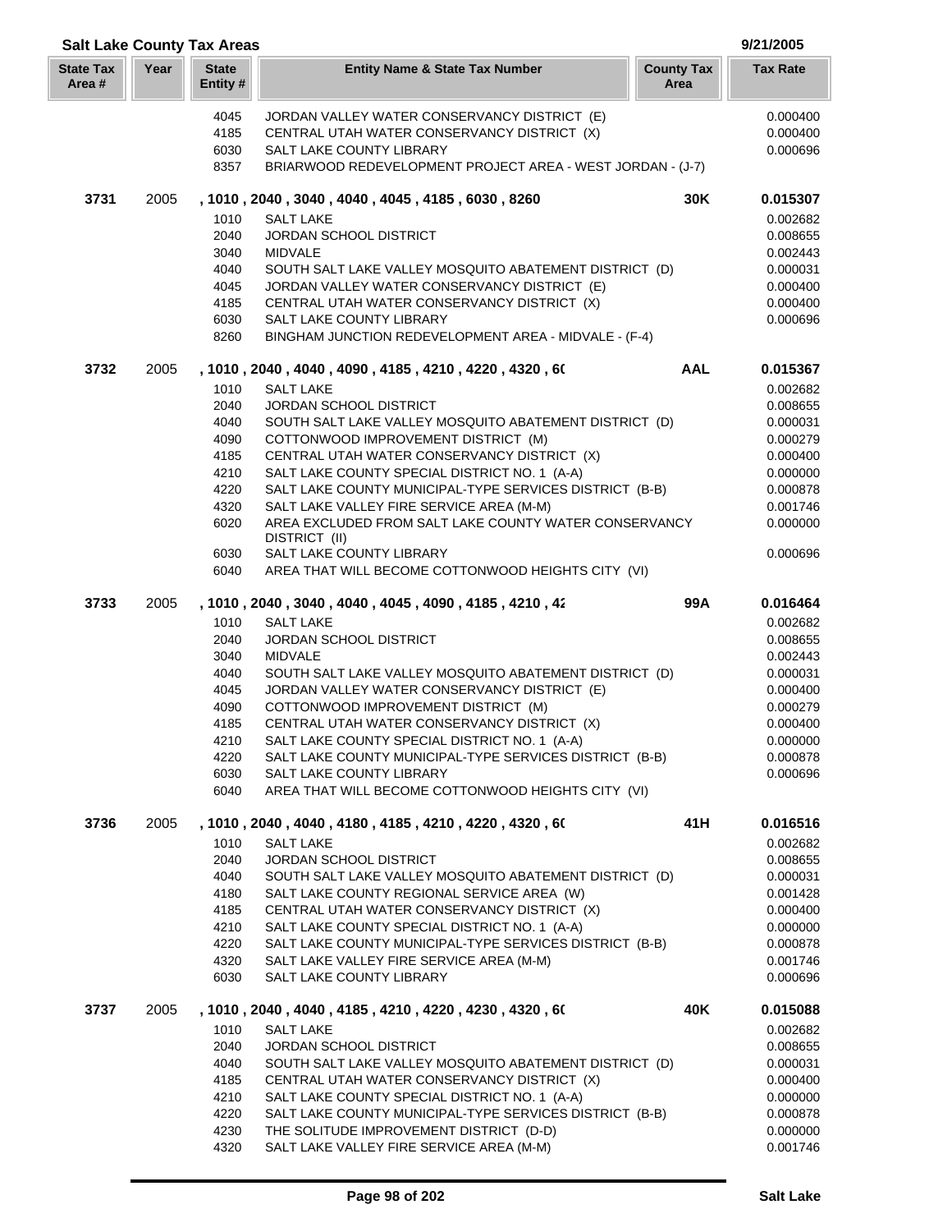| <b>Salt Lake County Tax Areas</b> |      |                          |                                                                                                        |                           | 9/21/2005            |
|-----------------------------------|------|--------------------------|--------------------------------------------------------------------------------------------------------|---------------------------|----------------------|
| <b>State Tax</b><br>Area#         | Year | <b>State</b><br>Entity # | <b>Entity Name &amp; State Tax Number</b>                                                              | <b>County Tax</b><br>Area | <b>Tax Rate</b>      |
|                                   |      | 4045                     | JORDAN VALLEY WATER CONSERVANCY DISTRICT (E)                                                           |                           | 0.000400             |
|                                   |      | 4185                     | CENTRAL UTAH WATER CONSERVANCY DISTRICT (X)                                                            |                           | 0.000400             |
|                                   |      | 6030                     | <b>SALT LAKE COUNTY LIBRARY</b>                                                                        |                           | 0.000696             |
|                                   |      | 8357                     | BRIARWOOD REDEVELOPMENT PROJECT AREA - WEST JORDAN - (J-7)                                             |                           |                      |
| 3731                              | 2005 |                          | , 1010, 2040, 3040, 4040, 4045, 4185, 6030, 8260                                                       | 30K                       | 0.015307             |
|                                   |      | 1010                     | <b>SALT LAKE</b>                                                                                       |                           | 0.002682             |
|                                   |      | 2040                     | <b>JORDAN SCHOOL DISTRICT</b>                                                                          |                           | 0.008655             |
|                                   |      | 3040                     | <b>MIDVALE</b>                                                                                         |                           | 0.002443             |
|                                   |      | 4040                     | SOUTH SALT LAKE VALLEY MOSQUITO ABATEMENT DISTRICT (D)                                                 |                           | 0.000031             |
|                                   |      | 4045                     | JORDAN VALLEY WATER CONSERVANCY DISTRICT (E)                                                           |                           | 0.000400             |
|                                   |      | 4185                     | CENTRAL UTAH WATER CONSERVANCY DISTRICT (X)                                                            |                           | 0.000400             |
|                                   |      | 6030<br>8260             | SALT LAKE COUNTY LIBRARY<br>BINGHAM JUNCTION REDEVELOPMENT AREA - MIDVALE - (F-4)                      |                           | 0.000696             |
|                                   |      |                          |                                                                                                        |                           |                      |
| 3732                              | 2005 | 1010                     | , 1010 , 2040 , 4040 , 4090 , 4185 , 4210 , 4220 , 4320 , 60<br><b>SALT LAKE</b>                       | <b>AAL</b>                | 0.015367<br>0.002682 |
|                                   |      | 2040                     | <b>JORDAN SCHOOL DISTRICT</b>                                                                          |                           | 0.008655             |
|                                   |      | 4040                     | SOUTH SALT LAKE VALLEY MOSQUITO ABATEMENT DISTRICT (D)                                                 |                           | 0.000031             |
|                                   |      | 4090                     | COTTONWOOD IMPROVEMENT DISTRICT (M)                                                                    |                           | 0.000279             |
|                                   |      | 4185                     | CENTRAL UTAH WATER CONSERVANCY DISTRICT (X)                                                            |                           | 0.000400             |
|                                   |      | 4210                     | SALT LAKE COUNTY SPECIAL DISTRICT NO. 1 (A-A)                                                          |                           | 0.000000             |
|                                   |      | 4220                     | SALT LAKE COUNTY MUNICIPAL-TYPE SERVICES DISTRICT (B-B)                                                |                           | 0.000878             |
|                                   |      | 4320                     | SALT LAKE VALLEY FIRE SERVICE AREA (M-M)                                                               |                           | 0.001746             |
|                                   |      | 6020                     | AREA EXCLUDED FROM SALT LAKE COUNTY WATER CONSERVANCY<br>DISTRICT (II)                                 |                           | 0.000000             |
|                                   |      | 6030                     | SALT LAKE COUNTY LIBRARY                                                                               |                           | 0.000696             |
|                                   |      | 6040                     | AREA THAT WILL BECOME COTTONWOOD HEIGHTS CITY (VI)                                                     |                           |                      |
| 3733                              | 2005 |                          | , 1010, 2040, 3040, 4040, 4045, 4090, 4185, 4210, 42                                                   | 99A                       | 0.016464             |
|                                   |      | 1010                     | <b>SALT LAKE</b>                                                                                       |                           | 0.002682             |
|                                   |      | 2040                     | JORDAN SCHOOL DISTRICT                                                                                 |                           | 0.008655             |
|                                   |      | 3040                     | <b>MIDVALE</b>                                                                                         |                           | 0.002443             |
|                                   |      | 4040                     | SOUTH SALT LAKE VALLEY MOSQUITO ABATEMENT DISTRICT (D)<br>JORDAN VALLEY WATER CONSERVANCY DISTRICT (E) |                           | 0.000031             |
|                                   |      |                          |                                                                                                        |                           | 0.000400             |
|                                   |      | 4045                     |                                                                                                        |                           |                      |
|                                   |      | 4090                     | COTTONWOOD IMPROVEMENT DISTRICT (M)                                                                    |                           | 0.000279             |
|                                   |      | 4185                     | CENTRAL UTAH WATER CONSERVANCY DISTRICT (X)                                                            |                           | 0.000400             |
|                                   |      | 4210                     | SALT LAKE COUNTY SPECIAL DISTRICT NO. 1 (A-A)                                                          |                           | 0.000000             |
|                                   |      | 4220<br>6030             | SALT LAKE COUNTY MUNICIPAL-TYPE SERVICES DISTRICT (B-B)<br>SALT LAKE COUNTY LIBRARY                    |                           | 0.000878<br>0.000696 |
|                                   |      | 6040                     | AREA THAT WILL BECOME COTTONWOOD HEIGHTS CITY (VI)                                                     |                           |                      |
| 3736                              | 2005 |                          | , 1010 , 2040 , 4040 , 4180 , 4185 , 4210 , 4220 , 4320 , 60                                           | 41H                       | 0.016516             |
|                                   |      | 1010                     | <b>SALT LAKE</b>                                                                                       |                           | 0.002682             |
|                                   |      | 2040                     | JORDAN SCHOOL DISTRICT                                                                                 |                           | 0.008655             |
|                                   |      | 4040                     | SOUTH SALT LAKE VALLEY MOSQUITO ABATEMENT DISTRICT (D)                                                 |                           | 0.000031             |
|                                   |      | 4180                     | SALT LAKE COUNTY REGIONAL SERVICE AREA (W)                                                             |                           | 0.001428             |
|                                   |      | 4185                     | CENTRAL UTAH WATER CONSERVANCY DISTRICT (X)                                                            |                           | 0.000400             |
|                                   |      | 4210                     | SALT LAKE COUNTY SPECIAL DISTRICT NO. 1 (A-A)                                                          |                           | 0.000000             |
|                                   |      | 4220                     | SALT LAKE COUNTY MUNICIPAL-TYPE SERVICES DISTRICT (B-B)                                                |                           | 0.000878             |
|                                   |      | 4320<br>6030             | SALT LAKE VALLEY FIRE SERVICE AREA (M-M)<br>SALT LAKE COUNTY LIBRARY                                   |                           | 0.001746<br>0.000696 |
|                                   |      |                          |                                                                                                        |                           |                      |
| 3737                              | 2005 |                          | , 1010 , 2040 , 4040 , 4185 , 4210 , 4220 , 4230 , 4320 , 60                                           | 40K                       | 0.015088             |
|                                   |      | 1010                     | <b>SALT LAKE</b>                                                                                       |                           | 0.002682             |
|                                   |      | 2040<br>4040             | JORDAN SCHOOL DISTRICT                                                                                 |                           | 0.008655             |
|                                   |      | 4185                     | SOUTH SALT LAKE VALLEY MOSQUITO ABATEMENT DISTRICT (D)<br>CENTRAL UTAH WATER CONSERVANCY DISTRICT (X)  |                           | 0.000031<br>0.000400 |
|                                   |      | 4210                     | SALT LAKE COUNTY SPECIAL DISTRICT NO. 1 (A-A)                                                          |                           | 0.000000             |
|                                   |      | 4220                     | SALT LAKE COUNTY MUNICIPAL-TYPE SERVICES DISTRICT (B-B)                                                |                           | 0.000878             |
|                                   |      | 4230                     | THE SOLITUDE IMPROVEMENT DISTRICT (D-D)<br>SALT LAKE VALLEY FIRE SERVICE AREA (M-M)                    |                           | 0.000000<br>0.001746 |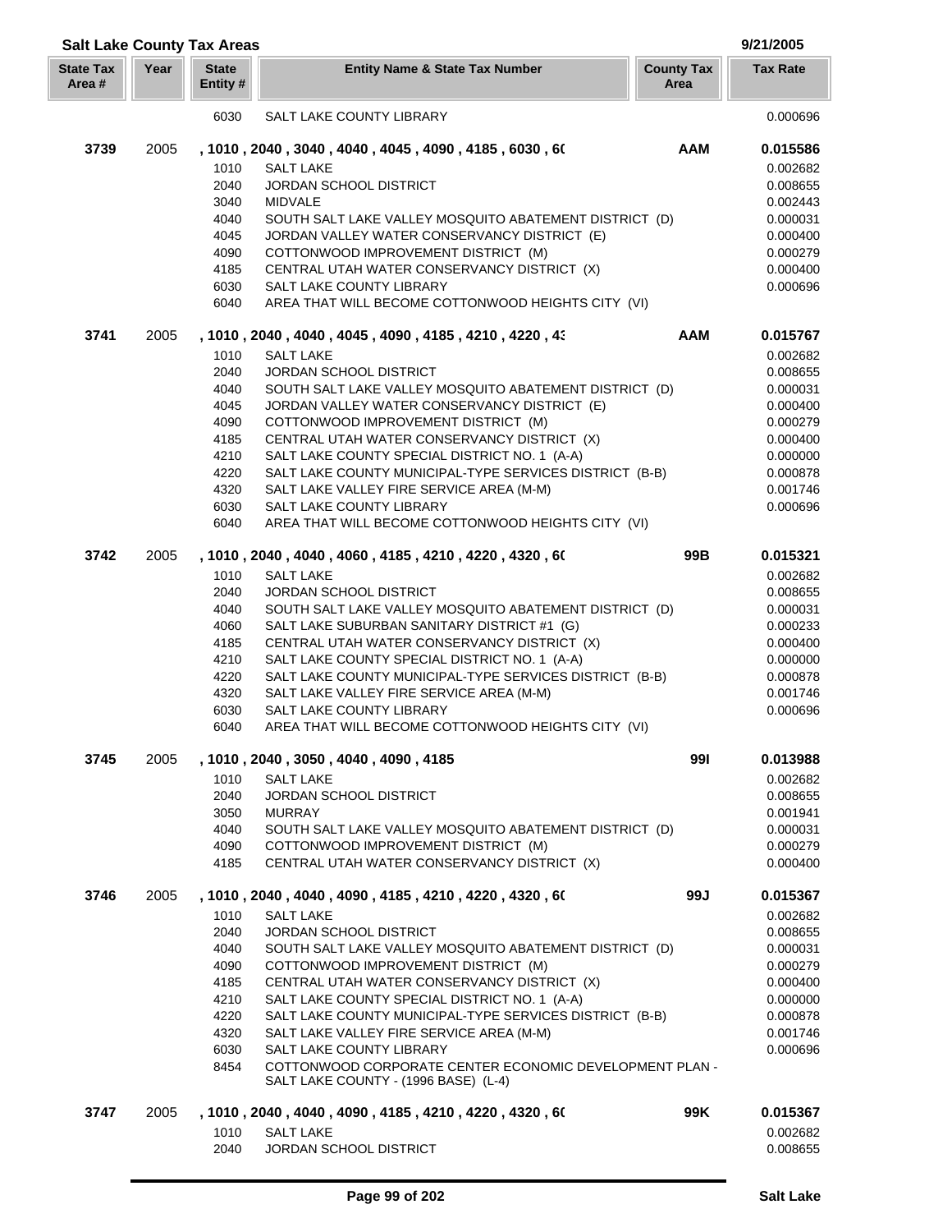| <b>Salt Lake County Tax Areas</b> |      |                          |                                                                                |                           | 9/21/2005            |
|-----------------------------------|------|--------------------------|--------------------------------------------------------------------------------|---------------------------|----------------------|
| <b>State Tax</b><br>Area #        | Year | <b>State</b><br>Entity # | <b>Entity Name &amp; State Tax Number</b>                                      | <b>County Tax</b><br>Area | <b>Tax Rate</b>      |
|                                   |      | 6030                     | SALT LAKE COUNTY LIBRARY                                                       |                           | 0.000696             |
| 3739                              | 2005 |                          | , 1010, 2040, 3040, 4040, 4045, 4090, 4185, 6030, 60                           | <b>AAM</b>                | 0.015586             |
|                                   |      | 1010                     | <b>SALT LAKE</b>                                                               |                           | 0.002682             |
|                                   |      | 2040                     | JORDAN SCHOOL DISTRICT                                                         |                           | 0.008655             |
|                                   |      | 3040                     | <b>MIDVALE</b>                                                                 |                           | 0.002443             |
|                                   |      | 4040                     | SOUTH SALT LAKE VALLEY MOSQUITO ABATEMENT DISTRICT (D)                         |                           | 0.000031             |
|                                   |      | 4045                     | JORDAN VALLEY WATER CONSERVANCY DISTRICT (E)                                   |                           | 0.000400             |
|                                   |      | 4090                     | COTTONWOOD IMPROVEMENT DISTRICT (M)                                            |                           | 0.000279             |
|                                   |      | 4185                     | CENTRAL UTAH WATER CONSERVANCY DISTRICT (X)                                    |                           | 0.000400             |
|                                   |      | 6030                     | <b>SALT LAKE COUNTY LIBRARY</b>                                                |                           | 0.000696             |
|                                   |      | 6040                     | AREA THAT WILL BECOME COTTONWOOD HEIGHTS CITY (VI)                             |                           |                      |
| 3741                              | 2005 |                          | , 1010, 2040, 4040, 4045, 4090, 4185, 4210, 4220, 43                           | <b>AAM</b>                | 0.015767             |
|                                   |      | 1010                     | <b>SALT LAKE</b>                                                               |                           | 0.002682             |
|                                   |      | 2040                     | <b>JORDAN SCHOOL DISTRICT</b>                                                  |                           | 0.008655             |
|                                   |      | 4040                     | SOUTH SALT LAKE VALLEY MOSQUITO ABATEMENT DISTRICT (D)                         |                           | 0.000031             |
|                                   |      | 4045                     | JORDAN VALLEY WATER CONSERVANCY DISTRICT (E)                                   |                           | 0.000400             |
|                                   |      | 4090                     | COTTONWOOD IMPROVEMENT DISTRICT (M)                                            |                           | 0.000279             |
|                                   |      | 4185                     | CENTRAL UTAH WATER CONSERVANCY DISTRICT (X)                                    |                           | 0.000400             |
|                                   |      | 4210                     | SALT LAKE COUNTY SPECIAL DISTRICT NO. 1 (A-A)                                  |                           | 0.000000             |
|                                   |      | 4220                     | SALT LAKE COUNTY MUNICIPAL-TYPE SERVICES DISTRICT (B-B)                        |                           | 0.000878             |
|                                   |      | 4320                     | SALT LAKE VALLEY FIRE SERVICE AREA (M-M)                                       |                           | 0.001746             |
|                                   |      | 6030<br>6040             | SALT LAKE COUNTY LIBRARY<br>AREA THAT WILL BECOME COTTONWOOD HEIGHTS CITY (VI) |                           | 0.000696             |
| 3742                              | 2005 |                          | , 1010, 2040, 4040, 4060, 4185, 4210, 4220, 4320, 60                           | 99B                       | 0.015321             |
|                                   |      | 1010                     | <b>SALT LAKE</b>                                                               |                           | 0.002682             |
|                                   |      | 2040                     | JORDAN SCHOOL DISTRICT                                                         |                           | 0.008655             |
|                                   |      | 4040                     | SOUTH SALT LAKE VALLEY MOSQUITO ABATEMENT DISTRICT (D)                         |                           | 0.000031             |
|                                   |      | 4060                     | SALT LAKE SUBURBAN SANITARY DISTRICT #1 (G)                                    |                           | 0.000233             |
|                                   |      | 4185                     | CENTRAL UTAH WATER CONSERVANCY DISTRICT (X)                                    |                           | 0.000400             |
|                                   |      | 4210                     | SALT LAKE COUNTY SPECIAL DISTRICT NO. 1 (A-A)                                  |                           | 0.000000             |
|                                   |      | 4220                     | SALT LAKE COUNTY MUNICIPAL-TYPE SERVICES DISTRICT (B-B)                        |                           | 0.000878             |
|                                   |      | 4320                     | SALT LAKE VALLEY FIRE SERVICE AREA (M-M)                                       |                           | 0.001746             |
|                                   |      | 6030                     | SALT LAKE COUNTY LIBRARY                                                       |                           | 0.000696             |
|                                   |      | 6040                     | AREA THAT WILL BECOME COTTONWOOD HEIGHTS CITY (VI)                             |                           |                      |
| 3745                              | 2005 |                          | , 1010, 2040, 3050, 4040, 4090, 4185                                           | 991                       | 0.013988             |
|                                   |      | 1010                     | <b>SALT LAKE</b>                                                               |                           | 0.002682             |
|                                   |      | 2040                     | <b>JORDAN SCHOOL DISTRICT</b>                                                  |                           | 0.008655             |
|                                   |      | 3050                     | <b>MURRAY</b>                                                                  |                           | 0.001941             |
|                                   |      | 4040                     | SOUTH SALT LAKE VALLEY MOSQUITO ABATEMENT DISTRICT (D)                         |                           | 0.000031             |
|                                   |      | 4090                     | COTTONWOOD IMPROVEMENT DISTRICT (M)                                            |                           | 0.000279             |
|                                   |      | 4185                     | CENTRAL UTAH WATER CONSERVANCY DISTRICT (X)                                    |                           | 0.000400             |
| 3746                              | 2005 |                          | , 1010, 2040, 4040, 4090, 4185, 4210, 4220, 4320, 60                           | 99J                       | 0.015367             |
|                                   |      | 1010                     | <b>SALT LAKE</b>                                                               |                           | 0.002682             |
|                                   |      | 2040                     | <b>JORDAN SCHOOL DISTRICT</b>                                                  |                           | 0.008655             |
|                                   |      | 4040                     | SOUTH SALT LAKE VALLEY MOSQUITO ABATEMENT DISTRICT (D)                         |                           | 0.000031             |
|                                   |      | 4090                     | COTTONWOOD IMPROVEMENT DISTRICT (M)                                            |                           | 0.000279             |
|                                   |      | 4185                     | CENTRAL UTAH WATER CONSERVANCY DISTRICT (X)                                    |                           | 0.000400             |
|                                   |      | 4210                     | SALT LAKE COUNTY SPECIAL DISTRICT NO. 1 (A-A)                                  |                           | 0.000000             |
|                                   |      | 4220<br>4320             | SALT LAKE COUNTY MUNICIPAL-TYPE SERVICES DISTRICT (B-B)                        |                           | 0.000878             |
|                                   |      | 6030                     | SALT LAKE VALLEY FIRE SERVICE AREA (M-M)<br>SALT LAKE COUNTY LIBRARY           |                           | 0.001746<br>0.000696 |
|                                   |      | 8454                     | COTTONWOOD CORPORATE CENTER ECONOMIC DEVELOPMENT PLAN -                        |                           |                      |
|                                   |      |                          | SALT LAKE COUNTY - (1996 BASE) (L-4)                                           |                           |                      |
| 3747                              | 2005 |                          | , 1010 , 2040 , 4040 , 4090 , 4185 , 4210 , 4220 , 4320 , 60                   | 99K                       | 0.015367             |
|                                   |      | 1010                     | <b>SALT LAKE</b>                                                               |                           | 0.002682             |
|                                   |      | 2040                     | JORDAN SCHOOL DISTRICT                                                         |                           | 0.008655             |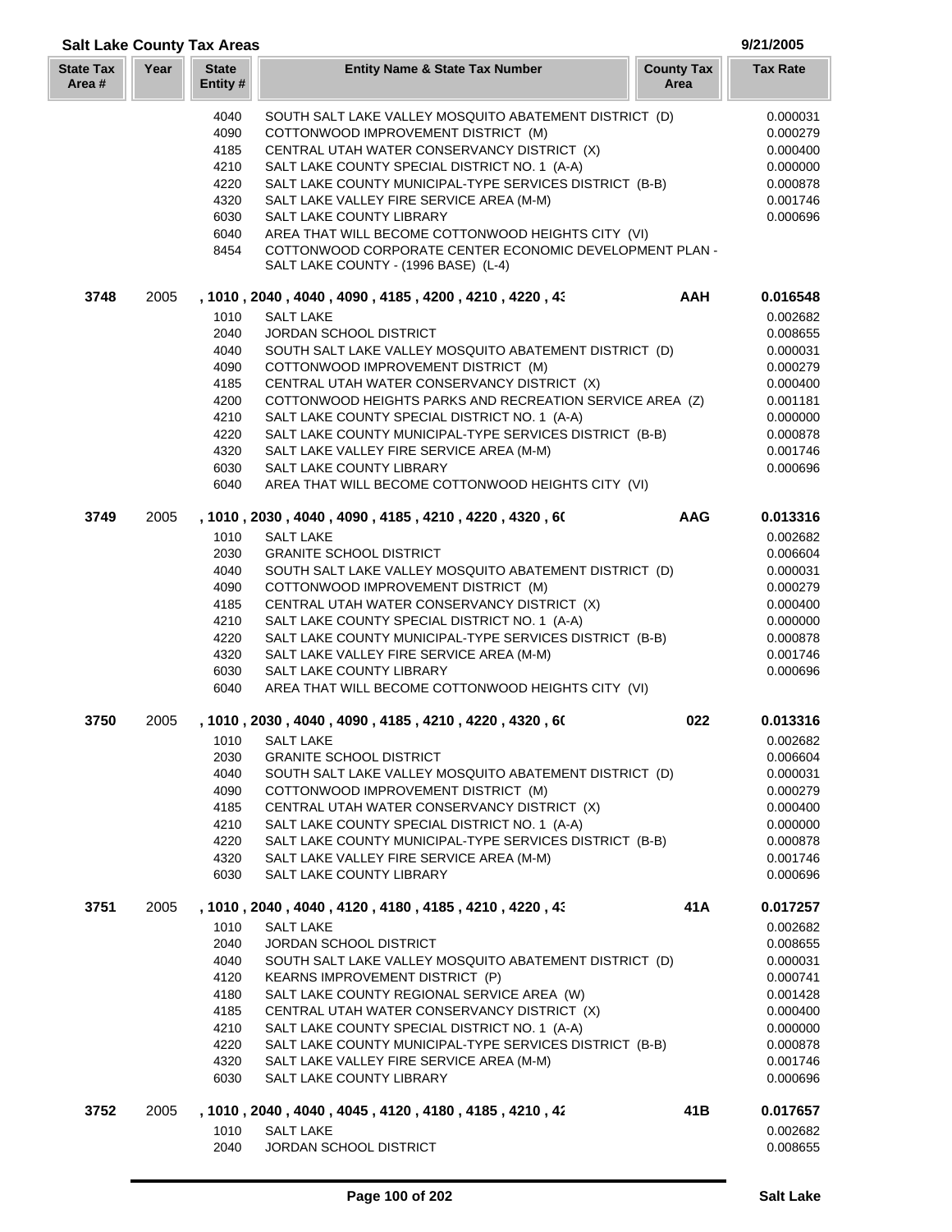| <b>Salt Lake County Tax Areas</b> |      |                          |                                                                                                 |                           | 9/21/2005            |
|-----------------------------------|------|--------------------------|-------------------------------------------------------------------------------------------------|---------------------------|----------------------|
| <b>State Tax</b><br>Area#         | Year | <b>State</b><br>Entity # | <b>Entity Name &amp; State Tax Number</b>                                                       | <b>County Tax</b><br>Area | <b>Tax Rate</b>      |
|                                   |      | 4040                     | SOUTH SALT LAKE VALLEY MOSQUITO ABATEMENT DISTRICT (D)                                          |                           | 0.000031             |
|                                   |      | 4090                     | COTTONWOOD IMPROVEMENT DISTRICT (M)                                                             |                           | 0.000279             |
|                                   |      | 4185                     | CENTRAL UTAH WATER CONSERVANCY DISTRICT (X)                                                     |                           | 0.000400             |
|                                   |      | 4210                     | SALT LAKE COUNTY SPECIAL DISTRICT NO. 1 (A-A)                                                   |                           | 0.000000             |
|                                   |      | 4220                     | SALT LAKE COUNTY MUNICIPAL-TYPE SERVICES DISTRICT (B-B)                                         |                           | 0.000878             |
|                                   |      | 4320                     | SALT LAKE VALLEY FIRE SERVICE AREA (M-M)                                                        |                           | 0.001746             |
|                                   |      | 6030                     | <b>SALT LAKE COUNTY LIBRARY</b>                                                                 |                           | 0.000696             |
|                                   |      | 6040                     | AREA THAT WILL BECOME COTTONWOOD HEIGHTS CITY (VI)                                              |                           |                      |
|                                   |      | 8454                     | COTTONWOOD CORPORATE CENTER ECONOMIC DEVELOPMENT PLAN -<br>SALT LAKE COUNTY - (1996 BASE) (L-4) |                           |                      |
| 3748                              | 2005 |                          | , 1010, 2040, 4040, 4090, 4185, 4200, 4210, 4220, 43                                            | <b>AAH</b>                | 0.016548             |
|                                   |      | 1010                     | <b>SALT LAKE</b>                                                                                |                           | 0.002682             |
|                                   |      | 2040                     | JORDAN SCHOOL DISTRICT                                                                          |                           | 0.008655             |
|                                   |      | 4040                     | SOUTH SALT LAKE VALLEY MOSQUITO ABATEMENT DISTRICT (D)                                          |                           | 0.000031             |
|                                   |      | 4090                     | COTTONWOOD IMPROVEMENT DISTRICT (M)                                                             |                           | 0.000279             |
|                                   |      | 4185                     | CENTRAL UTAH WATER CONSERVANCY DISTRICT (X)                                                     |                           | 0.000400             |
|                                   |      | 4200                     | COTTONWOOD HEIGHTS PARKS AND RECREATION SERVICE AREA (Z)                                        |                           | 0.001181             |
|                                   |      | 4210                     | SALT LAKE COUNTY SPECIAL DISTRICT NO. 1 (A-A)                                                   |                           | 0.000000             |
|                                   |      | 4220                     | SALT LAKE COUNTY MUNICIPAL-TYPE SERVICES DISTRICT (B-B)                                         |                           | 0.000878             |
|                                   |      | 4320                     | SALT LAKE VALLEY FIRE SERVICE AREA (M-M)                                                        |                           | 0.001746             |
|                                   |      | 6030                     | SALT LAKE COUNTY LIBRARY                                                                        |                           | 0.000696             |
|                                   |      | 6040                     | AREA THAT WILL BECOME COTTONWOOD HEIGHTS CITY (VI)                                              |                           |                      |
| 3749                              | 2005 | 1010                     | , 1010 , 2030 , 4040 , 4090 , 4185 , 4210 , 4220 , 4320 , 60                                    | <b>AAG</b>                | 0.013316             |
|                                   |      | 2030                     | <b>SALT LAKE</b><br><b>GRANITE SCHOOL DISTRICT</b>                                              |                           | 0.002682<br>0.006604 |
|                                   |      | 4040                     | SOUTH SALT LAKE VALLEY MOSQUITO ABATEMENT DISTRICT (D)                                          |                           | 0.000031             |
|                                   |      | 4090                     | COTTONWOOD IMPROVEMENT DISTRICT (M)                                                             |                           | 0.000279             |
|                                   |      | 4185                     | CENTRAL UTAH WATER CONSERVANCY DISTRICT (X)                                                     |                           | 0.000400             |
|                                   |      | 4210                     | SALT LAKE COUNTY SPECIAL DISTRICT NO. 1 (A-A)                                                   |                           | 0.000000             |
|                                   |      | 4220                     | SALT LAKE COUNTY MUNICIPAL-TYPE SERVICES DISTRICT (B-B)                                         |                           | 0.000878             |
|                                   |      | 4320                     | SALT LAKE VALLEY FIRE SERVICE AREA (M-M)                                                        |                           | 0.001746             |
|                                   |      | 6030                     | <b>SALT LAKE COUNTY LIBRARY</b>                                                                 |                           | 0.000696             |
|                                   |      | 6040                     | AREA THAT WILL BECOME COTTONWOOD HEIGHTS CITY (VI)                                              |                           |                      |
| 3750                              | 2005 |                          | , 1010 , 2030 , 4040 , 4090 , 4185 , 4210 , 4220 , 4320 , 60                                    | 022                       | 0.013316             |
|                                   |      | 1010                     | <b>SALT LAKE</b>                                                                                |                           | 0.002682             |
|                                   |      | 2030                     | <b>GRANITE SCHOOL DISTRICT</b>                                                                  |                           | 0.006604             |
|                                   |      | 4040                     | SOUTH SALT LAKE VALLEY MOSQUITO ABATEMENT DISTRICT (D)                                          |                           | 0.000031             |
|                                   |      | 4090                     | COTTONWOOD IMPROVEMENT DISTRICT (M)                                                             |                           | 0.000279             |
|                                   |      | 4185                     | CENTRAL UTAH WATER CONSERVANCY DISTRICT (X)                                                     |                           | 0.000400             |
|                                   |      | 4210                     | SALT LAKE COUNTY SPECIAL DISTRICT NO. 1 (A-A)                                                   |                           | 0.000000             |
|                                   |      | 4220                     | SALT LAKE COUNTY MUNICIPAL-TYPE SERVICES DISTRICT (B-B)                                         |                           | 0.000878             |
|                                   |      | 4320<br>6030             | SALT LAKE VALLEY FIRE SERVICE AREA (M-M)<br>SALT LAKE COUNTY LIBRARY                            |                           | 0.001746<br>0.000696 |
| 3751                              | 2005 |                          | , 1010 , 2040 , 4040 , 4120 , 4180 , 4185 , 4210 , 4220 , 43                                    | 41 A                      | 0.017257             |
|                                   |      | 1010                     | <b>SALT LAKE</b>                                                                                |                           | 0.002682             |
|                                   |      | 2040                     | <b>JORDAN SCHOOL DISTRICT</b>                                                                   |                           | 0.008655             |
|                                   |      | 4040                     | SOUTH SALT LAKE VALLEY MOSQUITO ABATEMENT DISTRICT (D)                                          |                           | 0.000031             |
|                                   |      | 4120                     | KEARNS IMPROVEMENT DISTRICT (P)                                                                 |                           | 0.000741             |
|                                   |      | 4180                     | SALT LAKE COUNTY REGIONAL SERVICE AREA (W)                                                      |                           | 0.001428             |
|                                   |      | 4185                     | CENTRAL UTAH WATER CONSERVANCY DISTRICT (X)                                                     |                           | 0.000400             |
|                                   |      | 4210                     | SALT LAKE COUNTY SPECIAL DISTRICT NO. 1 (A-A)                                                   |                           | 0.000000             |
|                                   |      | 4220                     | SALT LAKE COUNTY MUNICIPAL-TYPE SERVICES DISTRICT (B-B)                                         |                           | 0.000878             |
|                                   |      | 4320                     | SALT LAKE VALLEY FIRE SERVICE AREA (M-M)                                                        |                           | 0.001746             |
|                                   |      | 6030                     | SALT LAKE COUNTY LIBRARY                                                                        |                           | 0.000696             |
| 3752                              | 2005 |                          | , 1010, 2040, 4040, 4045, 4120, 4180, 4185, 4210, 42                                            | 41B                       | 0.017657             |
|                                   |      | 1010<br>2040             | <b>SALT LAKE</b>                                                                                |                           | 0.002682             |
|                                   |      |                          | JORDAN SCHOOL DISTRICT                                                                          |                           | 0.008655             |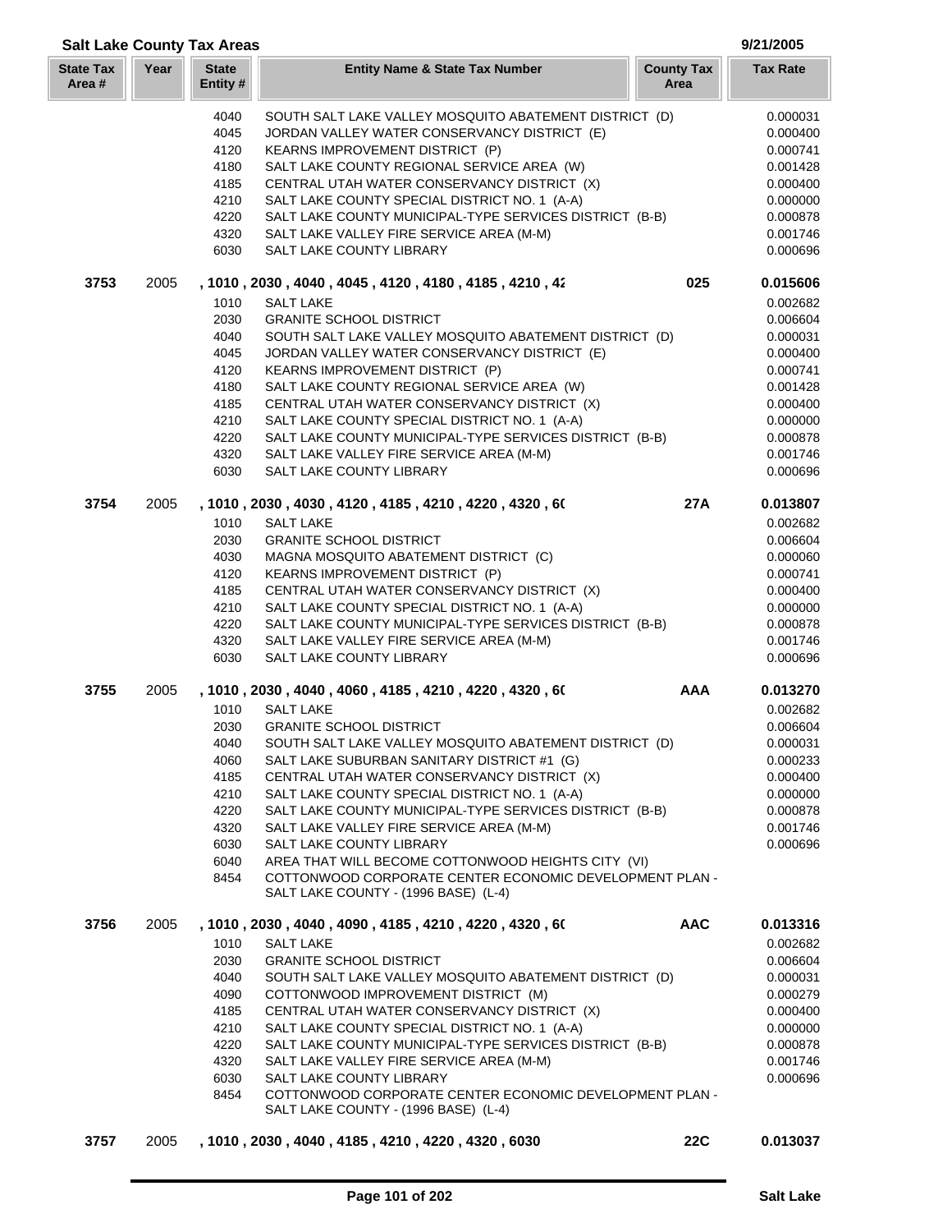| Year<br><b>State</b><br><b>County Tax</b><br><b>Entity Name &amp; State Tax Number</b><br><b>Tax Rate</b><br>Area #<br>Entity #<br>Area<br>4040<br>SOUTH SALT LAKE VALLEY MOSQUITO ABATEMENT DISTRICT (D)<br>4045<br>JORDAN VALLEY WATER CONSERVANCY DISTRICT (E)<br>4120<br>KEARNS IMPROVEMENT DISTRICT (P)<br>SALT LAKE COUNTY REGIONAL SERVICE AREA (W)<br>4180<br>CENTRAL UTAH WATER CONSERVANCY DISTRICT (X)<br>4185<br>SALT LAKE COUNTY SPECIAL DISTRICT NO. 1 (A-A)<br>4210<br>4220<br>SALT LAKE COUNTY MUNICIPAL-TYPE SERVICES DISTRICT (B-B)<br>4320<br>SALT LAKE VALLEY FIRE SERVICE AREA (M-M)<br>6030<br>SALT LAKE COUNTY LIBRARY<br>025<br>3753<br>2005<br>, 1010 , 2030 , 4040 , 4045 , 4120 , 4180 , 4185 , 4210 , 42<br>1010<br><b>SALT LAKE</b><br>2030<br><b>GRANITE SCHOOL DISTRICT</b><br>4040<br>SOUTH SALT LAKE VALLEY MOSQUITO ABATEMENT DISTRICT (D)<br>4045<br>JORDAN VALLEY WATER CONSERVANCY DISTRICT (E)<br>4120<br>KEARNS IMPROVEMENT DISTRICT (P)<br>SALT LAKE COUNTY REGIONAL SERVICE AREA (W)<br>4180<br>4185<br>CENTRAL UTAH WATER CONSERVANCY DISTRICT (X)<br>4210<br>SALT LAKE COUNTY SPECIAL DISTRICT NO. 1 (A-A)<br>SALT LAKE COUNTY MUNICIPAL-TYPE SERVICES DISTRICT (B-B)<br>4220<br>4320<br>SALT LAKE VALLEY FIRE SERVICE AREA (M-M)<br>6030<br><b>SALT LAKE COUNTY LIBRARY</b><br>3754<br><b>27A</b><br>2005<br>, 1010, 2030, 4030, 4120, 4185, 4210, 4220, 4320, 60<br>1010<br><b>SALT LAKE</b><br>2030<br><b>GRANITE SCHOOL DISTRICT</b><br>MAGNA MOSQUITO ABATEMENT DISTRICT (C)<br>4030<br>4120<br>KEARNS IMPROVEMENT DISTRICT (P)<br>4185<br>CENTRAL UTAH WATER CONSERVANCY DISTRICT (X)<br>4210<br>SALT LAKE COUNTY SPECIAL DISTRICT NO. 1 (A-A)<br>SALT LAKE COUNTY MUNICIPAL-TYPE SERVICES DISTRICT (B-B)<br>4220<br>4320<br>SALT LAKE VALLEY FIRE SERVICE AREA (M-M)<br>6030<br>SALT LAKE COUNTY LIBRARY<br>, 1010, 2030, 4040, 4060, 4185, 4210, 4220, 4320, 60<br><b>AAA</b><br>3755<br>2005<br>1010<br><b>SALT LAKE</b><br>2030<br><b>GRANITE SCHOOL DISTRICT</b><br>SOUTH SALT LAKE VALLEY MOSQUITO ABATEMENT DISTRICT (D)<br>4040<br>4060<br>SALT LAKE SUBURBAN SANITARY DISTRICT #1 (G)<br>4185<br>CENTRAL UTAH WATER CONSERVANCY DISTRICT (X)<br>4210<br>SALT LAKE COUNTY SPECIAL DISTRICT NO. 1 (A-A)<br>SALT LAKE COUNTY MUNICIPAL-TYPE SERVICES DISTRICT (B-B)<br>4220<br>4320<br>SALT LAKE VALLEY FIRE SERVICE AREA (M-M)<br>6030<br>SALT LAKE COUNTY LIBRARY<br>6040<br>AREA THAT WILL BECOME COTTONWOOD HEIGHTS CITY (VI)<br>8454<br>COTTONWOOD CORPORATE CENTER ECONOMIC DEVELOPMENT PLAN -<br>SALT LAKE COUNTY - (1996 BASE) (L-4)<br><b>AAC</b><br>3756<br>2005<br>, 1010, 2030, 4040, 4090, 4185, 4210, 4220, 4320, 60<br>1010<br>0.002682<br><b>SALT LAKE</b><br>2030<br><b>GRANITE SCHOOL DISTRICT</b><br>0.006604<br>4040<br>SOUTH SALT LAKE VALLEY MOSQUITO ABATEMENT DISTRICT (D)<br>0.000031<br>4090<br>COTTONWOOD IMPROVEMENT DISTRICT (M)<br>0.000279<br>CENTRAL UTAH WATER CONSERVANCY DISTRICT (X)<br>4185<br>0.000400<br>4210<br>SALT LAKE COUNTY SPECIAL DISTRICT NO. 1 (A-A)<br>0.000000<br>SALT LAKE COUNTY MUNICIPAL-TYPE SERVICES DISTRICT (B-B)<br>4220<br>0.000878<br>4320<br>SALT LAKE VALLEY FIRE SERVICE AREA (M-M)<br>0.001746<br>6030<br>SALT LAKE COUNTY LIBRARY<br>0.000696<br>COTTONWOOD CORPORATE CENTER ECONOMIC DEVELOPMENT PLAN -<br>8454<br>SALT LAKE COUNTY - (1996 BASE) (L-4)<br>3757<br>2005<br>, 1010, 2030, 4040, 4185, 4210, 4220, 4320, 6030<br><b>22C</b> |                  | <b>Salt Lake County Tax Areas</b> |  | 9/21/2005 |
|----------------------------------------------------------------------------------------------------------------------------------------------------------------------------------------------------------------------------------------------------------------------------------------------------------------------------------------------------------------------------------------------------------------------------------------------------------------------------------------------------------------------------------------------------------------------------------------------------------------------------------------------------------------------------------------------------------------------------------------------------------------------------------------------------------------------------------------------------------------------------------------------------------------------------------------------------------------------------------------------------------------------------------------------------------------------------------------------------------------------------------------------------------------------------------------------------------------------------------------------------------------------------------------------------------------------------------------------------------------------------------------------------------------------------------------------------------------------------------------------------------------------------------------------------------------------------------------------------------------------------------------------------------------------------------------------------------------------------------------------------------------------------------------------------------------------------------------------------------------------------------------------------------------------------------------------------------------------------------------------------------------------------------------------------------------------------------------------------------------------------------------------------------------------------------------------------------------------------------------------------------------------------------------------------------------------------------------------------------------------------------------------------------------------------------------------------------------------------------------------------------------------------------------------------------------------------------------------------------------------------------------------------------------------------------------------------------------------------------------------------------------------------------------------------------------------------------------------------------------------------------------------------------------------------------------------------------------------------------------------------------------------------------------------------------------------------------------------------------------------------------------------------------------------------------------------------------------------------------------------------------------------------------------------------------------------------------------------------------------------------------------------------------------------------------------------------------------------|------------------|-----------------------------------|--|-----------|
|                                                                                                                                                                                                                                                                                                                                                                                                                                                                                                                                                                                                                                                                                                                                                                                                                                                                                                                                                                                                                                                                                                                                                                                                                                                                                                                                                                                                                                                                                                                                                                                                                                                                                                                                                                                                                                                                                                                                                                                                                                                                                                                                                                                                                                                                                                                                                                                                                                                                                                                                                                                                                                                                                                                                                                                                                                                                                                                                                                                                                                                                                                                                                                                                                                                                                                                                                                                                                                                                      | <b>State Tax</b> |                                   |  |           |
|                                                                                                                                                                                                                                                                                                                                                                                                                                                                                                                                                                                                                                                                                                                                                                                                                                                                                                                                                                                                                                                                                                                                                                                                                                                                                                                                                                                                                                                                                                                                                                                                                                                                                                                                                                                                                                                                                                                                                                                                                                                                                                                                                                                                                                                                                                                                                                                                                                                                                                                                                                                                                                                                                                                                                                                                                                                                                                                                                                                                                                                                                                                                                                                                                                                                                                                                                                                                                                                                      |                  |                                   |  | 0.000031  |
|                                                                                                                                                                                                                                                                                                                                                                                                                                                                                                                                                                                                                                                                                                                                                                                                                                                                                                                                                                                                                                                                                                                                                                                                                                                                                                                                                                                                                                                                                                                                                                                                                                                                                                                                                                                                                                                                                                                                                                                                                                                                                                                                                                                                                                                                                                                                                                                                                                                                                                                                                                                                                                                                                                                                                                                                                                                                                                                                                                                                                                                                                                                                                                                                                                                                                                                                                                                                                                                                      |                  |                                   |  | 0.000400  |
|                                                                                                                                                                                                                                                                                                                                                                                                                                                                                                                                                                                                                                                                                                                                                                                                                                                                                                                                                                                                                                                                                                                                                                                                                                                                                                                                                                                                                                                                                                                                                                                                                                                                                                                                                                                                                                                                                                                                                                                                                                                                                                                                                                                                                                                                                                                                                                                                                                                                                                                                                                                                                                                                                                                                                                                                                                                                                                                                                                                                                                                                                                                                                                                                                                                                                                                                                                                                                                                                      |                  |                                   |  | 0.000741  |
|                                                                                                                                                                                                                                                                                                                                                                                                                                                                                                                                                                                                                                                                                                                                                                                                                                                                                                                                                                                                                                                                                                                                                                                                                                                                                                                                                                                                                                                                                                                                                                                                                                                                                                                                                                                                                                                                                                                                                                                                                                                                                                                                                                                                                                                                                                                                                                                                                                                                                                                                                                                                                                                                                                                                                                                                                                                                                                                                                                                                                                                                                                                                                                                                                                                                                                                                                                                                                                                                      |                  |                                   |  | 0.001428  |
|                                                                                                                                                                                                                                                                                                                                                                                                                                                                                                                                                                                                                                                                                                                                                                                                                                                                                                                                                                                                                                                                                                                                                                                                                                                                                                                                                                                                                                                                                                                                                                                                                                                                                                                                                                                                                                                                                                                                                                                                                                                                                                                                                                                                                                                                                                                                                                                                                                                                                                                                                                                                                                                                                                                                                                                                                                                                                                                                                                                                                                                                                                                                                                                                                                                                                                                                                                                                                                                                      |                  |                                   |  | 0.000400  |
|                                                                                                                                                                                                                                                                                                                                                                                                                                                                                                                                                                                                                                                                                                                                                                                                                                                                                                                                                                                                                                                                                                                                                                                                                                                                                                                                                                                                                                                                                                                                                                                                                                                                                                                                                                                                                                                                                                                                                                                                                                                                                                                                                                                                                                                                                                                                                                                                                                                                                                                                                                                                                                                                                                                                                                                                                                                                                                                                                                                                                                                                                                                                                                                                                                                                                                                                                                                                                                                                      |                  |                                   |  | 0.000000  |
|                                                                                                                                                                                                                                                                                                                                                                                                                                                                                                                                                                                                                                                                                                                                                                                                                                                                                                                                                                                                                                                                                                                                                                                                                                                                                                                                                                                                                                                                                                                                                                                                                                                                                                                                                                                                                                                                                                                                                                                                                                                                                                                                                                                                                                                                                                                                                                                                                                                                                                                                                                                                                                                                                                                                                                                                                                                                                                                                                                                                                                                                                                                                                                                                                                                                                                                                                                                                                                                                      |                  |                                   |  | 0.000878  |
|                                                                                                                                                                                                                                                                                                                                                                                                                                                                                                                                                                                                                                                                                                                                                                                                                                                                                                                                                                                                                                                                                                                                                                                                                                                                                                                                                                                                                                                                                                                                                                                                                                                                                                                                                                                                                                                                                                                                                                                                                                                                                                                                                                                                                                                                                                                                                                                                                                                                                                                                                                                                                                                                                                                                                                                                                                                                                                                                                                                                                                                                                                                                                                                                                                                                                                                                                                                                                                                                      |                  |                                   |  | 0.001746  |
|                                                                                                                                                                                                                                                                                                                                                                                                                                                                                                                                                                                                                                                                                                                                                                                                                                                                                                                                                                                                                                                                                                                                                                                                                                                                                                                                                                                                                                                                                                                                                                                                                                                                                                                                                                                                                                                                                                                                                                                                                                                                                                                                                                                                                                                                                                                                                                                                                                                                                                                                                                                                                                                                                                                                                                                                                                                                                                                                                                                                                                                                                                                                                                                                                                                                                                                                                                                                                                                                      |                  |                                   |  | 0.000696  |
|                                                                                                                                                                                                                                                                                                                                                                                                                                                                                                                                                                                                                                                                                                                                                                                                                                                                                                                                                                                                                                                                                                                                                                                                                                                                                                                                                                                                                                                                                                                                                                                                                                                                                                                                                                                                                                                                                                                                                                                                                                                                                                                                                                                                                                                                                                                                                                                                                                                                                                                                                                                                                                                                                                                                                                                                                                                                                                                                                                                                                                                                                                                                                                                                                                                                                                                                                                                                                                                                      |                  |                                   |  | 0.015606  |
|                                                                                                                                                                                                                                                                                                                                                                                                                                                                                                                                                                                                                                                                                                                                                                                                                                                                                                                                                                                                                                                                                                                                                                                                                                                                                                                                                                                                                                                                                                                                                                                                                                                                                                                                                                                                                                                                                                                                                                                                                                                                                                                                                                                                                                                                                                                                                                                                                                                                                                                                                                                                                                                                                                                                                                                                                                                                                                                                                                                                                                                                                                                                                                                                                                                                                                                                                                                                                                                                      |                  |                                   |  | 0.002682  |
|                                                                                                                                                                                                                                                                                                                                                                                                                                                                                                                                                                                                                                                                                                                                                                                                                                                                                                                                                                                                                                                                                                                                                                                                                                                                                                                                                                                                                                                                                                                                                                                                                                                                                                                                                                                                                                                                                                                                                                                                                                                                                                                                                                                                                                                                                                                                                                                                                                                                                                                                                                                                                                                                                                                                                                                                                                                                                                                                                                                                                                                                                                                                                                                                                                                                                                                                                                                                                                                                      |                  |                                   |  | 0.006604  |
|                                                                                                                                                                                                                                                                                                                                                                                                                                                                                                                                                                                                                                                                                                                                                                                                                                                                                                                                                                                                                                                                                                                                                                                                                                                                                                                                                                                                                                                                                                                                                                                                                                                                                                                                                                                                                                                                                                                                                                                                                                                                                                                                                                                                                                                                                                                                                                                                                                                                                                                                                                                                                                                                                                                                                                                                                                                                                                                                                                                                                                                                                                                                                                                                                                                                                                                                                                                                                                                                      |                  |                                   |  | 0.000031  |
|                                                                                                                                                                                                                                                                                                                                                                                                                                                                                                                                                                                                                                                                                                                                                                                                                                                                                                                                                                                                                                                                                                                                                                                                                                                                                                                                                                                                                                                                                                                                                                                                                                                                                                                                                                                                                                                                                                                                                                                                                                                                                                                                                                                                                                                                                                                                                                                                                                                                                                                                                                                                                                                                                                                                                                                                                                                                                                                                                                                                                                                                                                                                                                                                                                                                                                                                                                                                                                                                      |                  |                                   |  | 0.000400  |
|                                                                                                                                                                                                                                                                                                                                                                                                                                                                                                                                                                                                                                                                                                                                                                                                                                                                                                                                                                                                                                                                                                                                                                                                                                                                                                                                                                                                                                                                                                                                                                                                                                                                                                                                                                                                                                                                                                                                                                                                                                                                                                                                                                                                                                                                                                                                                                                                                                                                                                                                                                                                                                                                                                                                                                                                                                                                                                                                                                                                                                                                                                                                                                                                                                                                                                                                                                                                                                                                      |                  |                                   |  | 0.000741  |
|                                                                                                                                                                                                                                                                                                                                                                                                                                                                                                                                                                                                                                                                                                                                                                                                                                                                                                                                                                                                                                                                                                                                                                                                                                                                                                                                                                                                                                                                                                                                                                                                                                                                                                                                                                                                                                                                                                                                                                                                                                                                                                                                                                                                                                                                                                                                                                                                                                                                                                                                                                                                                                                                                                                                                                                                                                                                                                                                                                                                                                                                                                                                                                                                                                                                                                                                                                                                                                                                      |                  |                                   |  | 0.001428  |
|                                                                                                                                                                                                                                                                                                                                                                                                                                                                                                                                                                                                                                                                                                                                                                                                                                                                                                                                                                                                                                                                                                                                                                                                                                                                                                                                                                                                                                                                                                                                                                                                                                                                                                                                                                                                                                                                                                                                                                                                                                                                                                                                                                                                                                                                                                                                                                                                                                                                                                                                                                                                                                                                                                                                                                                                                                                                                                                                                                                                                                                                                                                                                                                                                                                                                                                                                                                                                                                                      |                  |                                   |  | 0.000400  |
|                                                                                                                                                                                                                                                                                                                                                                                                                                                                                                                                                                                                                                                                                                                                                                                                                                                                                                                                                                                                                                                                                                                                                                                                                                                                                                                                                                                                                                                                                                                                                                                                                                                                                                                                                                                                                                                                                                                                                                                                                                                                                                                                                                                                                                                                                                                                                                                                                                                                                                                                                                                                                                                                                                                                                                                                                                                                                                                                                                                                                                                                                                                                                                                                                                                                                                                                                                                                                                                                      |                  |                                   |  | 0.000000  |
|                                                                                                                                                                                                                                                                                                                                                                                                                                                                                                                                                                                                                                                                                                                                                                                                                                                                                                                                                                                                                                                                                                                                                                                                                                                                                                                                                                                                                                                                                                                                                                                                                                                                                                                                                                                                                                                                                                                                                                                                                                                                                                                                                                                                                                                                                                                                                                                                                                                                                                                                                                                                                                                                                                                                                                                                                                                                                                                                                                                                                                                                                                                                                                                                                                                                                                                                                                                                                                                                      |                  |                                   |  | 0.000878  |
|                                                                                                                                                                                                                                                                                                                                                                                                                                                                                                                                                                                                                                                                                                                                                                                                                                                                                                                                                                                                                                                                                                                                                                                                                                                                                                                                                                                                                                                                                                                                                                                                                                                                                                                                                                                                                                                                                                                                                                                                                                                                                                                                                                                                                                                                                                                                                                                                                                                                                                                                                                                                                                                                                                                                                                                                                                                                                                                                                                                                                                                                                                                                                                                                                                                                                                                                                                                                                                                                      |                  |                                   |  | 0.001746  |
|                                                                                                                                                                                                                                                                                                                                                                                                                                                                                                                                                                                                                                                                                                                                                                                                                                                                                                                                                                                                                                                                                                                                                                                                                                                                                                                                                                                                                                                                                                                                                                                                                                                                                                                                                                                                                                                                                                                                                                                                                                                                                                                                                                                                                                                                                                                                                                                                                                                                                                                                                                                                                                                                                                                                                                                                                                                                                                                                                                                                                                                                                                                                                                                                                                                                                                                                                                                                                                                                      |                  |                                   |  | 0.000696  |
|                                                                                                                                                                                                                                                                                                                                                                                                                                                                                                                                                                                                                                                                                                                                                                                                                                                                                                                                                                                                                                                                                                                                                                                                                                                                                                                                                                                                                                                                                                                                                                                                                                                                                                                                                                                                                                                                                                                                                                                                                                                                                                                                                                                                                                                                                                                                                                                                                                                                                                                                                                                                                                                                                                                                                                                                                                                                                                                                                                                                                                                                                                                                                                                                                                                                                                                                                                                                                                                                      |                  |                                   |  | 0.013807  |
|                                                                                                                                                                                                                                                                                                                                                                                                                                                                                                                                                                                                                                                                                                                                                                                                                                                                                                                                                                                                                                                                                                                                                                                                                                                                                                                                                                                                                                                                                                                                                                                                                                                                                                                                                                                                                                                                                                                                                                                                                                                                                                                                                                                                                                                                                                                                                                                                                                                                                                                                                                                                                                                                                                                                                                                                                                                                                                                                                                                                                                                                                                                                                                                                                                                                                                                                                                                                                                                                      |                  |                                   |  | 0.002682  |
|                                                                                                                                                                                                                                                                                                                                                                                                                                                                                                                                                                                                                                                                                                                                                                                                                                                                                                                                                                                                                                                                                                                                                                                                                                                                                                                                                                                                                                                                                                                                                                                                                                                                                                                                                                                                                                                                                                                                                                                                                                                                                                                                                                                                                                                                                                                                                                                                                                                                                                                                                                                                                                                                                                                                                                                                                                                                                                                                                                                                                                                                                                                                                                                                                                                                                                                                                                                                                                                                      |                  |                                   |  | 0.006604  |
|                                                                                                                                                                                                                                                                                                                                                                                                                                                                                                                                                                                                                                                                                                                                                                                                                                                                                                                                                                                                                                                                                                                                                                                                                                                                                                                                                                                                                                                                                                                                                                                                                                                                                                                                                                                                                                                                                                                                                                                                                                                                                                                                                                                                                                                                                                                                                                                                                                                                                                                                                                                                                                                                                                                                                                                                                                                                                                                                                                                                                                                                                                                                                                                                                                                                                                                                                                                                                                                                      |                  |                                   |  | 0.000060  |
|                                                                                                                                                                                                                                                                                                                                                                                                                                                                                                                                                                                                                                                                                                                                                                                                                                                                                                                                                                                                                                                                                                                                                                                                                                                                                                                                                                                                                                                                                                                                                                                                                                                                                                                                                                                                                                                                                                                                                                                                                                                                                                                                                                                                                                                                                                                                                                                                                                                                                                                                                                                                                                                                                                                                                                                                                                                                                                                                                                                                                                                                                                                                                                                                                                                                                                                                                                                                                                                                      |                  |                                   |  | 0.000741  |
|                                                                                                                                                                                                                                                                                                                                                                                                                                                                                                                                                                                                                                                                                                                                                                                                                                                                                                                                                                                                                                                                                                                                                                                                                                                                                                                                                                                                                                                                                                                                                                                                                                                                                                                                                                                                                                                                                                                                                                                                                                                                                                                                                                                                                                                                                                                                                                                                                                                                                                                                                                                                                                                                                                                                                                                                                                                                                                                                                                                                                                                                                                                                                                                                                                                                                                                                                                                                                                                                      |                  |                                   |  | 0.000400  |
|                                                                                                                                                                                                                                                                                                                                                                                                                                                                                                                                                                                                                                                                                                                                                                                                                                                                                                                                                                                                                                                                                                                                                                                                                                                                                                                                                                                                                                                                                                                                                                                                                                                                                                                                                                                                                                                                                                                                                                                                                                                                                                                                                                                                                                                                                                                                                                                                                                                                                                                                                                                                                                                                                                                                                                                                                                                                                                                                                                                                                                                                                                                                                                                                                                                                                                                                                                                                                                                                      |                  |                                   |  | 0.000000  |
|                                                                                                                                                                                                                                                                                                                                                                                                                                                                                                                                                                                                                                                                                                                                                                                                                                                                                                                                                                                                                                                                                                                                                                                                                                                                                                                                                                                                                                                                                                                                                                                                                                                                                                                                                                                                                                                                                                                                                                                                                                                                                                                                                                                                                                                                                                                                                                                                                                                                                                                                                                                                                                                                                                                                                                                                                                                                                                                                                                                                                                                                                                                                                                                                                                                                                                                                                                                                                                                                      |                  |                                   |  | 0.000878  |
|                                                                                                                                                                                                                                                                                                                                                                                                                                                                                                                                                                                                                                                                                                                                                                                                                                                                                                                                                                                                                                                                                                                                                                                                                                                                                                                                                                                                                                                                                                                                                                                                                                                                                                                                                                                                                                                                                                                                                                                                                                                                                                                                                                                                                                                                                                                                                                                                                                                                                                                                                                                                                                                                                                                                                                                                                                                                                                                                                                                                                                                                                                                                                                                                                                                                                                                                                                                                                                                                      |                  |                                   |  | 0.001746  |
|                                                                                                                                                                                                                                                                                                                                                                                                                                                                                                                                                                                                                                                                                                                                                                                                                                                                                                                                                                                                                                                                                                                                                                                                                                                                                                                                                                                                                                                                                                                                                                                                                                                                                                                                                                                                                                                                                                                                                                                                                                                                                                                                                                                                                                                                                                                                                                                                                                                                                                                                                                                                                                                                                                                                                                                                                                                                                                                                                                                                                                                                                                                                                                                                                                                                                                                                                                                                                                                                      |                  |                                   |  | 0.000696  |
|                                                                                                                                                                                                                                                                                                                                                                                                                                                                                                                                                                                                                                                                                                                                                                                                                                                                                                                                                                                                                                                                                                                                                                                                                                                                                                                                                                                                                                                                                                                                                                                                                                                                                                                                                                                                                                                                                                                                                                                                                                                                                                                                                                                                                                                                                                                                                                                                                                                                                                                                                                                                                                                                                                                                                                                                                                                                                                                                                                                                                                                                                                                                                                                                                                                                                                                                                                                                                                                                      |                  |                                   |  | 0.013270  |
|                                                                                                                                                                                                                                                                                                                                                                                                                                                                                                                                                                                                                                                                                                                                                                                                                                                                                                                                                                                                                                                                                                                                                                                                                                                                                                                                                                                                                                                                                                                                                                                                                                                                                                                                                                                                                                                                                                                                                                                                                                                                                                                                                                                                                                                                                                                                                                                                                                                                                                                                                                                                                                                                                                                                                                                                                                                                                                                                                                                                                                                                                                                                                                                                                                                                                                                                                                                                                                                                      |                  |                                   |  | 0.002682  |
|                                                                                                                                                                                                                                                                                                                                                                                                                                                                                                                                                                                                                                                                                                                                                                                                                                                                                                                                                                                                                                                                                                                                                                                                                                                                                                                                                                                                                                                                                                                                                                                                                                                                                                                                                                                                                                                                                                                                                                                                                                                                                                                                                                                                                                                                                                                                                                                                                                                                                                                                                                                                                                                                                                                                                                                                                                                                                                                                                                                                                                                                                                                                                                                                                                                                                                                                                                                                                                                                      |                  |                                   |  | 0.006604  |
|                                                                                                                                                                                                                                                                                                                                                                                                                                                                                                                                                                                                                                                                                                                                                                                                                                                                                                                                                                                                                                                                                                                                                                                                                                                                                                                                                                                                                                                                                                                                                                                                                                                                                                                                                                                                                                                                                                                                                                                                                                                                                                                                                                                                                                                                                                                                                                                                                                                                                                                                                                                                                                                                                                                                                                                                                                                                                                                                                                                                                                                                                                                                                                                                                                                                                                                                                                                                                                                                      |                  |                                   |  | 0.000031  |
|                                                                                                                                                                                                                                                                                                                                                                                                                                                                                                                                                                                                                                                                                                                                                                                                                                                                                                                                                                                                                                                                                                                                                                                                                                                                                                                                                                                                                                                                                                                                                                                                                                                                                                                                                                                                                                                                                                                                                                                                                                                                                                                                                                                                                                                                                                                                                                                                                                                                                                                                                                                                                                                                                                                                                                                                                                                                                                                                                                                                                                                                                                                                                                                                                                                                                                                                                                                                                                                                      |                  |                                   |  | 0.000233  |
|                                                                                                                                                                                                                                                                                                                                                                                                                                                                                                                                                                                                                                                                                                                                                                                                                                                                                                                                                                                                                                                                                                                                                                                                                                                                                                                                                                                                                                                                                                                                                                                                                                                                                                                                                                                                                                                                                                                                                                                                                                                                                                                                                                                                                                                                                                                                                                                                                                                                                                                                                                                                                                                                                                                                                                                                                                                                                                                                                                                                                                                                                                                                                                                                                                                                                                                                                                                                                                                                      |                  |                                   |  | 0.000400  |
|                                                                                                                                                                                                                                                                                                                                                                                                                                                                                                                                                                                                                                                                                                                                                                                                                                                                                                                                                                                                                                                                                                                                                                                                                                                                                                                                                                                                                                                                                                                                                                                                                                                                                                                                                                                                                                                                                                                                                                                                                                                                                                                                                                                                                                                                                                                                                                                                                                                                                                                                                                                                                                                                                                                                                                                                                                                                                                                                                                                                                                                                                                                                                                                                                                                                                                                                                                                                                                                                      |                  |                                   |  | 0.000000  |
|                                                                                                                                                                                                                                                                                                                                                                                                                                                                                                                                                                                                                                                                                                                                                                                                                                                                                                                                                                                                                                                                                                                                                                                                                                                                                                                                                                                                                                                                                                                                                                                                                                                                                                                                                                                                                                                                                                                                                                                                                                                                                                                                                                                                                                                                                                                                                                                                                                                                                                                                                                                                                                                                                                                                                                                                                                                                                                                                                                                                                                                                                                                                                                                                                                                                                                                                                                                                                                                                      |                  |                                   |  | 0.000878  |
|                                                                                                                                                                                                                                                                                                                                                                                                                                                                                                                                                                                                                                                                                                                                                                                                                                                                                                                                                                                                                                                                                                                                                                                                                                                                                                                                                                                                                                                                                                                                                                                                                                                                                                                                                                                                                                                                                                                                                                                                                                                                                                                                                                                                                                                                                                                                                                                                                                                                                                                                                                                                                                                                                                                                                                                                                                                                                                                                                                                                                                                                                                                                                                                                                                                                                                                                                                                                                                                                      |                  |                                   |  | 0.001746  |
|                                                                                                                                                                                                                                                                                                                                                                                                                                                                                                                                                                                                                                                                                                                                                                                                                                                                                                                                                                                                                                                                                                                                                                                                                                                                                                                                                                                                                                                                                                                                                                                                                                                                                                                                                                                                                                                                                                                                                                                                                                                                                                                                                                                                                                                                                                                                                                                                                                                                                                                                                                                                                                                                                                                                                                                                                                                                                                                                                                                                                                                                                                                                                                                                                                                                                                                                                                                                                                                                      |                  |                                   |  | 0.000696  |
|                                                                                                                                                                                                                                                                                                                                                                                                                                                                                                                                                                                                                                                                                                                                                                                                                                                                                                                                                                                                                                                                                                                                                                                                                                                                                                                                                                                                                                                                                                                                                                                                                                                                                                                                                                                                                                                                                                                                                                                                                                                                                                                                                                                                                                                                                                                                                                                                                                                                                                                                                                                                                                                                                                                                                                                                                                                                                                                                                                                                                                                                                                                                                                                                                                                                                                                                                                                                                                                                      |                  |                                   |  |           |
|                                                                                                                                                                                                                                                                                                                                                                                                                                                                                                                                                                                                                                                                                                                                                                                                                                                                                                                                                                                                                                                                                                                                                                                                                                                                                                                                                                                                                                                                                                                                                                                                                                                                                                                                                                                                                                                                                                                                                                                                                                                                                                                                                                                                                                                                                                                                                                                                                                                                                                                                                                                                                                                                                                                                                                                                                                                                                                                                                                                                                                                                                                                                                                                                                                                                                                                                                                                                                                                                      |                  |                                   |  |           |
|                                                                                                                                                                                                                                                                                                                                                                                                                                                                                                                                                                                                                                                                                                                                                                                                                                                                                                                                                                                                                                                                                                                                                                                                                                                                                                                                                                                                                                                                                                                                                                                                                                                                                                                                                                                                                                                                                                                                                                                                                                                                                                                                                                                                                                                                                                                                                                                                                                                                                                                                                                                                                                                                                                                                                                                                                                                                                                                                                                                                                                                                                                                                                                                                                                                                                                                                                                                                                                                                      |                  |                                   |  |           |
|                                                                                                                                                                                                                                                                                                                                                                                                                                                                                                                                                                                                                                                                                                                                                                                                                                                                                                                                                                                                                                                                                                                                                                                                                                                                                                                                                                                                                                                                                                                                                                                                                                                                                                                                                                                                                                                                                                                                                                                                                                                                                                                                                                                                                                                                                                                                                                                                                                                                                                                                                                                                                                                                                                                                                                                                                                                                                                                                                                                                                                                                                                                                                                                                                                                                                                                                                                                                                                                                      |                  |                                   |  | 0.013316  |
|                                                                                                                                                                                                                                                                                                                                                                                                                                                                                                                                                                                                                                                                                                                                                                                                                                                                                                                                                                                                                                                                                                                                                                                                                                                                                                                                                                                                                                                                                                                                                                                                                                                                                                                                                                                                                                                                                                                                                                                                                                                                                                                                                                                                                                                                                                                                                                                                                                                                                                                                                                                                                                                                                                                                                                                                                                                                                                                                                                                                                                                                                                                                                                                                                                                                                                                                                                                                                                                                      |                  |                                   |  |           |
|                                                                                                                                                                                                                                                                                                                                                                                                                                                                                                                                                                                                                                                                                                                                                                                                                                                                                                                                                                                                                                                                                                                                                                                                                                                                                                                                                                                                                                                                                                                                                                                                                                                                                                                                                                                                                                                                                                                                                                                                                                                                                                                                                                                                                                                                                                                                                                                                                                                                                                                                                                                                                                                                                                                                                                                                                                                                                                                                                                                                                                                                                                                                                                                                                                                                                                                                                                                                                                                                      |                  |                                   |  |           |
|                                                                                                                                                                                                                                                                                                                                                                                                                                                                                                                                                                                                                                                                                                                                                                                                                                                                                                                                                                                                                                                                                                                                                                                                                                                                                                                                                                                                                                                                                                                                                                                                                                                                                                                                                                                                                                                                                                                                                                                                                                                                                                                                                                                                                                                                                                                                                                                                                                                                                                                                                                                                                                                                                                                                                                                                                                                                                                                                                                                                                                                                                                                                                                                                                                                                                                                                                                                                                                                                      |                  |                                   |  |           |
|                                                                                                                                                                                                                                                                                                                                                                                                                                                                                                                                                                                                                                                                                                                                                                                                                                                                                                                                                                                                                                                                                                                                                                                                                                                                                                                                                                                                                                                                                                                                                                                                                                                                                                                                                                                                                                                                                                                                                                                                                                                                                                                                                                                                                                                                                                                                                                                                                                                                                                                                                                                                                                                                                                                                                                                                                                                                                                                                                                                                                                                                                                                                                                                                                                                                                                                                                                                                                                                                      |                  |                                   |  |           |
|                                                                                                                                                                                                                                                                                                                                                                                                                                                                                                                                                                                                                                                                                                                                                                                                                                                                                                                                                                                                                                                                                                                                                                                                                                                                                                                                                                                                                                                                                                                                                                                                                                                                                                                                                                                                                                                                                                                                                                                                                                                                                                                                                                                                                                                                                                                                                                                                                                                                                                                                                                                                                                                                                                                                                                                                                                                                                                                                                                                                                                                                                                                                                                                                                                                                                                                                                                                                                                                                      |                  |                                   |  |           |
|                                                                                                                                                                                                                                                                                                                                                                                                                                                                                                                                                                                                                                                                                                                                                                                                                                                                                                                                                                                                                                                                                                                                                                                                                                                                                                                                                                                                                                                                                                                                                                                                                                                                                                                                                                                                                                                                                                                                                                                                                                                                                                                                                                                                                                                                                                                                                                                                                                                                                                                                                                                                                                                                                                                                                                                                                                                                                                                                                                                                                                                                                                                                                                                                                                                                                                                                                                                                                                                                      |                  |                                   |  |           |
|                                                                                                                                                                                                                                                                                                                                                                                                                                                                                                                                                                                                                                                                                                                                                                                                                                                                                                                                                                                                                                                                                                                                                                                                                                                                                                                                                                                                                                                                                                                                                                                                                                                                                                                                                                                                                                                                                                                                                                                                                                                                                                                                                                                                                                                                                                                                                                                                                                                                                                                                                                                                                                                                                                                                                                                                                                                                                                                                                                                                                                                                                                                                                                                                                                                                                                                                                                                                                                                                      |                  |                                   |  |           |
|                                                                                                                                                                                                                                                                                                                                                                                                                                                                                                                                                                                                                                                                                                                                                                                                                                                                                                                                                                                                                                                                                                                                                                                                                                                                                                                                                                                                                                                                                                                                                                                                                                                                                                                                                                                                                                                                                                                                                                                                                                                                                                                                                                                                                                                                                                                                                                                                                                                                                                                                                                                                                                                                                                                                                                                                                                                                                                                                                                                                                                                                                                                                                                                                                                                                                                                                                                                                                                                                      |                  |                                   |  |           |
|                                                                                                                                                                                                                                                                                                                                                                                                                                                                                                                                                                                                                                                                                                                                                                                                                                                                                                                                                                                                                                                                                                                                                                                                                                                                                                                                                                                                                                                                                                                                                                                                                                                                                                                                                                                                                                                                                                                                                                                                                                                                                                                                                                                                                                                                                                                                                                                                                                                                                                                                                                                                                                                                                                                                                                                                                                                                                                                                                                                                                                                                                                                                                                                                                                                                                                                                                                                                                                                                      |                  |                                   |  |           |
|                                                                                                                                                                                                                                                                                                                                                                                                                                                                                                                                                                                                                                                                                                                                                                                                                                                                                                                                                                                                                                                                                                                                                                                                                                                                                                                                                                                                                                                                                                                                                                                                                                                                                                                                                                                                                                                                                                                                                                                                                                                                                                                                                                                                                                                                                                                                                                                                                                                                                                                                                                                                                                                                                                                                                                                                                                                                                                                                                                                                                                                                                                                                                                                                                                                                                                                                                                                                                                                                      |                  |                                   |  |           |
|                                                                                                                                                                                                                                                                                                                                                                                                                                                                                                                                                                                                                                                                                                                                                                                                                                                                                                                                                                                                                                                                                                                                                                                                                                                                                                                                                                                                                                                                                                                                                                                                                                                                                                                                                                                                                                                                                                                                                                                                                                                                                                                                                                                                                                                                                                                                                                                                                                                                                                                                                                                                                                                                                                                                                                                                                                                                                                                                                                                                                                                                                                                                                                                                                                                                                                                                                                                                                                                                      |                  |                                   |  | 0.013037  |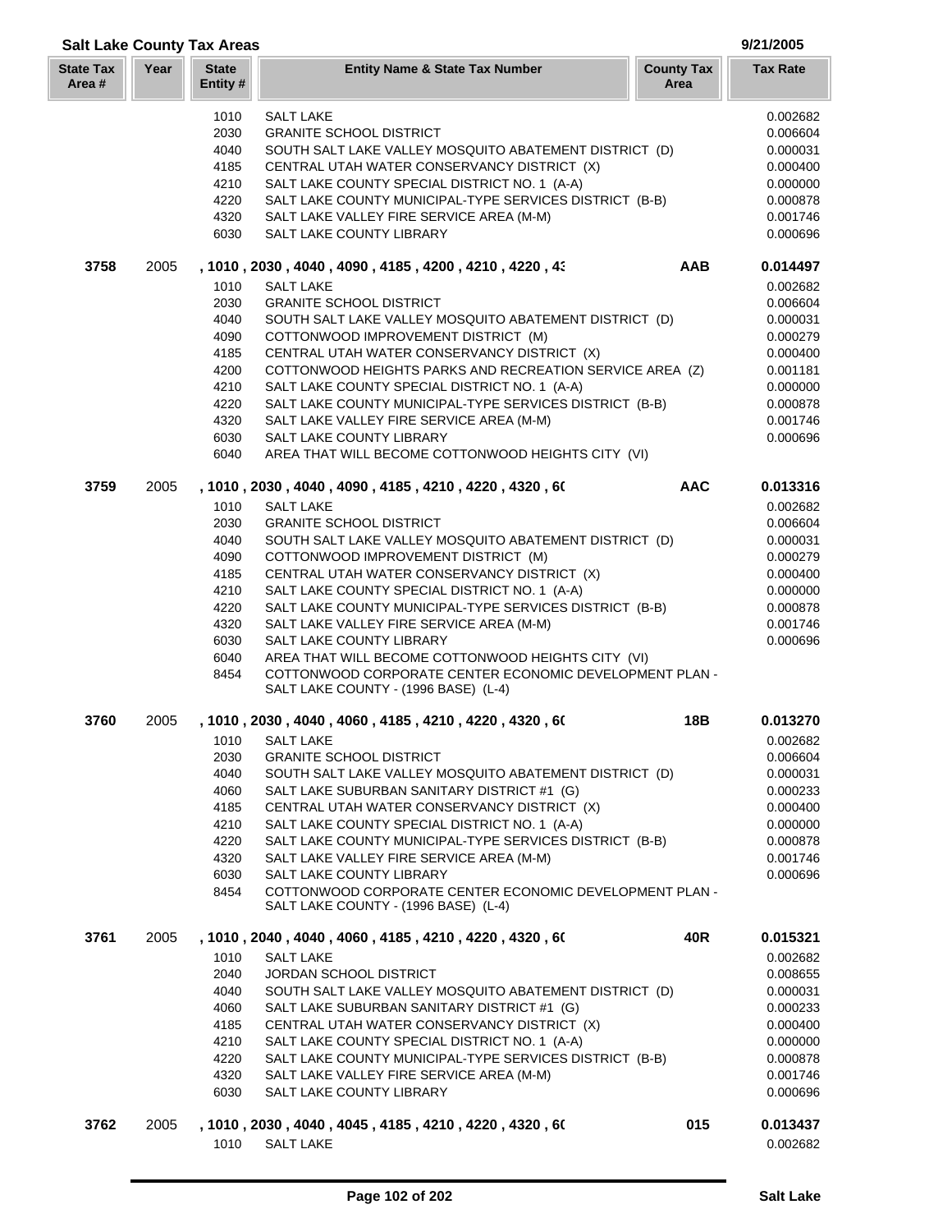| <b>Salt Lake County Tax Areas</b> |      |                          |                                                                                                               |                           | 9/21/2005       |
|-----------------------------------|------|--------------------------|---------------------------------------------------------------------------------------------------------------|---------------------------|-----------------|
| <b>State Tax</b><br>Area #        | Year | <b>State</b><br>Entity # | <b>Entity Name &amp; State Tax Number</b>                                                                     | <b>County Tax</b><br>Area | <b>Tax Rate</b> |
|                                   |      | 1010                     | <b>SALT LAKE</b>                                                                                              |                           | 0.002682        |
|                                   |      | 2030                     | <b>GRANITE SCHOOL DISTRICT</b>                                                                                |                           | 0.006604        |
|                                   |      | 4040                     | SOUTH SALT LAKE VALLEY MOSQUITO ABATEMENT DISTRICT (D)                                                        |                           | 0.000031        |
|                                   |      | 4185                     | CENTRAL UTAH WATER CONSERVANCY DISTRICT (X)                                                                   |                           | 0.000400        |
|                                   |      | 4210                     | SALT LAKE COUNTY SPECIAL DISTRICT NO. 1 (A-A)                                                                 |                           | 0.000000        |
|                                   |      | 4220                     | SALT LAKE COUNTY MUNICIPAL-TYPE SERVICES DISTRICT (B-B)                                                       |                           | 0.000878        |
|                                   |      | 4320                     | SALT LAKE VALLEY FIRE SERVICE AREA (M-M)                                                                      |                           | 0.001746        |
|                                   |      | 6030                     | SALT LAKE COUNTY LIBRARY                                                                                      |                           | 0.000696        |
| 3758                              | 2005 |                          | , 1010 , 2030 , 4040 , 4090 , 4185 , 4200 , 4210 , 4220 , 43                                                  | AAB                       | 0.014497        |
|                                   |      | 1010                     | <b>SALT LAKE</b>                                                                                              |                           | 0.002682        |
|                                   |      | 2030                     | <b>GRANITE SCHOOL DISTRICT</b>                                                                                |                           | 0.006604        |
|                                   |      | 4040                     | SOUTH SALT LAKE VALLEY MOSQUITO ABATEMENT DISTRICT (D)                                                        |                           | 0.000031        |
|                                   |      | 4090                     | COTTONWOOD IMPROVEMENT DISTRICT (M)                                                                           |                           | 0.000279        |
|                                   |      | 4185                     | CENTRAL UTAH WATER CONSERVANCY DISTRICT (X)                                                                   |                           | 0.000400        |
|                                   |      | 4200                     | COTTONWOOD HEIGHTS PARKS AND RECREATION SERVICE AREA (Z)                                                      |                           | 0.001181        |
|                                   |      | 4210                     | SALT LAKE COUNTY SPECIAL DISTRICT NO. 1 (A-A)                                                                 |                           | 0.000000        |
|                                   |      | 4220                     | SALT LAKE COUNTY MUNICIPAL-TYPE SERVICES DISTRICT (B-B)                                                       |                           | 0.000878        |
|                                   |      | 4320                     |                                                                                                               |                           |                 |
|                                   |      |                          | SALT LAKE VALLEY FIRE SERVICE AREA (M-M)                                                                      |                           | 0.001746        |
|                                   |      | 6030<br>6040             | SALT LAKE COUNTY LIBRARY<br>AREA THAT WILL BECOME COTTONWOOD HEIGHTS CITY (VI)                                |                           | 0.000696        |
| 3759                              | 2005 |                          | , 1010 , 2030 , 4040 , 4090 , 4185 , 4210 , 4220 , 4320 , 60                                                  | <b>AAC</b>                | 0.013316        |
|                                   |      | 1010                     | <b>SALT LAKE</b>                                                                                              |                           | 0.002682        |
|                                   |      | 2030                     | <b>GRANITE SCHOOL DISTRICT</b>                                                                                |                           | 0.006604        |
|                                   |      | 4040                     | SOUTH SALT LAKE VALLEY MOSQUITO ABATEMENT DISTRICT (D)                                                        |                           | 0.000031        |
|                                   |      | 4090                     | COTTONWOOD IMPROVEMENT DISTRICT (M)                                                                           |                           | 0.000279        |
|                                   |      | 4185                     | CENTRAL UTAH WATER CONSERVANCY DISTRICT (X)                                                                   |                           | 0.000400        |
|                                   |      | 4210                     |                                                                                                               |                           |                 |
|                                   |      | 4220                     | SALT LAKE COUNTY SPECIAL DISTRICT NO. 1 (A-A)                                                                 |                           | 0.000000        |
|                                   |      |                          | SALT LAKE COUNTY MUNICIPAL-TYPE SERVICES DISTRICT (B-B)                                                       |                           | 0.000878        |
|                                   |      | 4320                     | SALT LAKE VALLEY FIRE SERVICE AREA (M-M)                                                                      |                           | 0.001746        |
|                                   |      | 6030<br>6040             | SALT LAKE COUNTY LIBRARY                                                                                      |                           | 0.000696        |
|                                   |      | 8454                     | AREA THAT WILL BECOME COTTONWOOD HEIGHTS CITY (VI)<br>COTTONWOOD CORPORATE CENTER ECONOMIC DEVELOPMENT PLAN - |                           |                 |
|                                   |      |                          | SALT LAKE COUNTY - (1996 BASE) (L-4)                                                                          |                           |                 |
| 3760                              | 2005 |                          | , 1010 , 2030 , 4040 , 4060 , 4185 , 4210 , 4220 , 4320 , 60                                                  | 18B                       | 0.013270        |
|                                   |      | 1010                     | <b>SALT LAKE</b>                                                                                              |                           | 0.002682        |
|                                   |      | 2030                     | <b>GRANITE SCHOOL DISTRICT</b>                                                                                |                           | 0.006604        |
|                                   |      | 4040                     | SOUTH SALT LAKE VALLEY MOSQUITO ABATEMENT DISTRICT (D)                                                        |                           | 0.000031        |
|                                   |      | 4060                     | SALT LAKE SUBURBAN SANITARY DISTRICT #1 (G)                                                                   |                           | 0.000233        |
|                                   |      | 4185                     | CENTRAL UTAH WATER CONSERVANCY DISTRICT (X)                                                                   |                           | 0.000400        |
|                                   |      | 4210                     | SALT LAKE COUNTY SPECIAL DISTRICT NO. 1 (A-A)                                                                 |                           | 0.000000        |
|                                   |      | 4220                     | SALT LAKE COUNTY MUNICIPAL-TYPE SERVICES DISTRICT (B-B)                                                       |                           | 0.000878        |
|                                   |      | 4320                     | SALT LAKE VALLEY FIRE SERVICE AREA (M-M)                                                                      |                           | 0.001746        |
|                                   |      | 6030                     | SALT LAKE COUNTY LIBRARY                                                                                      |                           | 0.000696        |
|                                   |      | 8454                     | COTTONWOOD CORPORATE CENTER ECONOMIC DEVELOPMENT PLAN -                                                       |                           |                 |
|                                   |      |                          | SALT LAKE COUNTY - (1996 BASE) (L-4)                                                                          |                           |                 |
| 3761                              | 2005 |                          | , 1010 , 2040 , 4040 , 4060 , 4185 , 4210 , 4220 , 4320 , 60                                                  | 40R                       | 0.015321        |
|                                   |      | 1010                     | <b>SALT LAKE</b>                                                                                              |                           | 0.002682        |
|                                   |      | 2040                     | <b>JORDAN SCHOOL DISTRICT</b>                                                                                 |                           | 0.008655        |
|                                   |      | 4040                     | SOUTH SALT LAKE VALLEY MOSQUITO ABATEMENT DISTRICT (D)                                                        |                           | 0.000031        |
|                                   |      | 4060                     | SALT LAKE SUBURBAN SANITARY DISTRICT #1 (G)                                                                   |                           | 0.000233        |
|                                   |      | 4185                     | CENTRAL UTAH WATER CONSERVANCY DISTRICT (X)                                                                   |                           | 0.000400        |
|                                   |      | 4210                     | SALT LAKE COUNTY SPECIAL DISTRICT NO. 1 (A-A)                                                                 |                           | 0.000000        |
|                                   |      | 4220                     | SALT LAKE COUNTY MUNICIPAL-TYPE SERVICES DISTRICT (B-B)                                                       |                           | 0.000878        |
|                                   |      | 4320                     | SALT LAKE VALLEY FIRE SERVICE AREA (M-M)                                                                      |                           | 0.001746        |
|                                   |      | 6030                     | SALT LAKE COUNTY LIBRARY                                                                                      |                           | 0.000696        |
| 3762                              | 2005 |                          | , 1010 , 2030 , 4040 , 4045 , 4185 , 4210 , 4220 , 4320 , 60                                                  | 015                       | 0.013437        |
|                                   |      | 1010                     | <b>SALT LAKE</b>                                                                                              |                           | 0.002682        |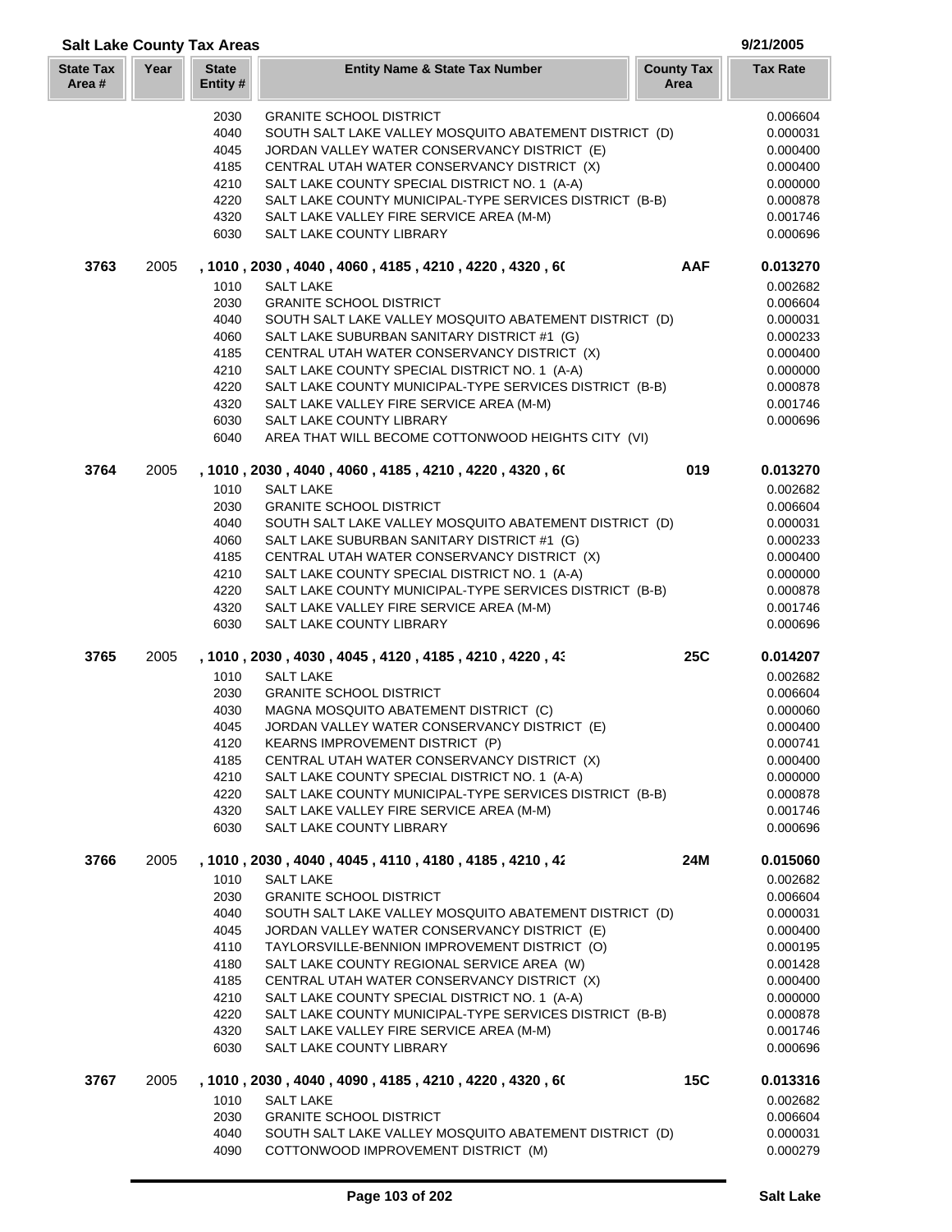| <b>Salt Lake County Tax Areas</b> |      |                          |                                                                                                        |                           | 9/21/2005            |
|-----------------------------------|------|--------------------------|--------------------------------------------------------------------------------------------------------|---------------------------|----------------------|
| <b>State Tax</b><br>Area#         | Year | <b>State</b><br>Entity # | <b>Entity Name &amp; State Tax Number</b>                                                              | <b>County Tax</b><br>Area | <b>Tax Rate</b>      |
|                                   |      | 2030                     | <b>GRANITE SCHOOL DISTRICT</b>                                                                         |                           | 0.006604             |
|                                   |      | 4040                     | SOUTH SALT LAKE VALLEY MOSQUITO ABATEMENT DISTRICT (D)                                                 |                           | 0.000031             |
|                                   |      | 4045                     | JORDAN VALLEY WATER CONSERVANCY DISTRICT (E)                                                           |                           | 0.000400             |
|                                   |      | 4185                     | CENTRAL UTAH WATER CONSERVANCY DISTRICT (X)                                                            |                           | 0.000400             |
|                                   |      | 4210                     | SALT LAKE COUNTY SPECIAL DISTRICT NO. 1 (A-A)                                                          |                           | 0.000000             |
|                                   |      | 4220                     | SALT LAKE COUNTY MUNICIPAL-TYPE SERVICES DISTRICT (B-B)                                                |                           | 0.000878             |
|                                   |      | 4320                     | SALT LAKE VALLEY FIRE SERVICE AREA (M-M)                                                               |                           | 0.001746             |
|                                   |      | 6030                     | SALT LAKE COUNTY LIBRARY                                                                               |                           | 0.000696             |
| 3763                              | 2005 |                          | , 1010 , 2030 , 4040 , 4060 , 4185 , 4210 , 4220 , 4320 , 60                                           | AAF                       | 0.013270             |
|                                   |      | 1010                     | <b>SALT LAKE</b>                                                                                       |                           | 0.002682             |
|                                   |      | 2030                     | <b>GRANITE SCHOOL DISTRICT</b>                                                                         |                           | 0.006604             |
|                                   |      | 4040                     | SOUTH SALT LAKE VALLEY MOSQUITO ABATEMENT DISTRICT (D)                                                 |                           | 0.000031             |
|                                   |      | 4060                     | SALT LAKE SUBURBAN SANITARY DISTRICT #1 (G)                                                            |                           | 0.000233             |
|                                   |      | 4185                     | CENTRAL UTAH WATER CONSERVANCY DISTRICT (X)                                                            |                           | 0.000400             |
|                                   |      | 4210                     | SALT LAKE COUNTY SPECIAL DISTRICT NO. 1 (A-A)                                                          |                           | 0.000000             |
|                                   |      | 4220                     | SALT LAKE COUNTY MUNICIPAL-TYPE SERVICES DISTRICT (B-B)                                                |                           | 0.000878             |
|                                   |      | 4320                     | SALT LAKE VALLEY FIRE SERVICE AREA (M-M)                                                               |                           | 0.001746             |
|                                   |      | 6030<br>6040             | SALT LAKE COUNTY LIBRARY<br>AREA THAT WILL BECOME COTTONWOOD HEIGHTS CITY (VI)                         |                           | 0.000696             |
| 3764                              | 2005 |                          | , 1010, 2030, 4040, 4060, 4185, 4210, 4220, 4320, 60                                                   | 019                       | 0.013270             |
|                                   |      | 1010                     | <b>SALT LAKE</b>                                                                                       |                           | 0.002682             |
|                                   |      | 2030                     | <b>GRANITE SCHOOL DISTRICT</b>                                                                         |                           | 0.006604             |
|                                   |      | 4040                     | SOUTH SALT LAKE VALLEY MOSQUITO ABATEMENT DISTRICT (D)                                                 |                           | 0.000031             |
|                                   |      | 4060                     | SALT LAKE SUBURBAN SANITARY DISTRICT #1 (G)                                                            |                           | 0.000233             |
|                                   |      | 4185                     | CENTRAL UTAH WATER CONSERVANCY DISTRICT (X)                                                            |                           | 0.000400             |
|                                   |      | 4210                     | SALT LAKE COUNTY SPECIAL DISTRICT NO. 1 (A-A)                                                          |                           | 0.000000             |
|                                   |      | 4220                     | SALT LAKE COUNTY MUNICIPAL-TYPE SERVICES DISTRICT (B-B)                                                |                           | 0.000878             |
|                                   |      | 4320                     | SALT LAKE VALLEY FIRE SERVICE AREA (M-M)                                                               |                           | 0.001746             |
|                                   |      | 6030                     | SALT LAKE COUNTY LIBRARY                                                                               |                           | 0.000696             |
| 3765                              | 2005 |                          | , 1010, 2030, 4030, 4045, 4120, 4185, 4210, 4220, 43                                                   | <b>25C</b>                | 0.014207             |
|                                   |      | 1010                     | <b>SALT LAKE</b>                                                                                       |                           | 0.002682             |
|                                   |      | 2030                     | <b>GRANITE SCHOOL DISTRICT</b>                                                                         |                           | 0.006604             |
|                                   |      | 4030                     | MAGNA MOSQUITO ABATEMENT DISTRICT (C)                                                                  |                           | 0.000060             |
|                                   |      | 4045                     | JORDAN VALLEY WATER CONSERVANCY DISTRICT (E)                                                           |                           | 0.000400             |
|                                   |      | 4120                     | <b>KEARNS IMPROVEMENT DISTRICT (P)</b>                                                                 |                           | 0.000741             |
|                                   |      | 4185                     | CENTRAL UTAH WATER CONSERVANCY DISTRICT (X)                                                            |                           | 0.000400             |
|                                   |      | 4210                     | SALT LAKE COUNTY SPECIAL DISTRICT NO. 1 (A-A)                                                          |                           | 0.000000             |
|                                   |      | 4220                     | SALT LAKE COUNTY MUNICIPAL-TYPE SERVICES DISTRICT (B-B)                                                |                           | 0.000878             |
|                                   |      | 4320                     | SALT LAKE VALLEY FIRE SERVICE AREA (M-M)                                                               |                           | 0.001746             |
|                                   |      | 6030                     | SALT LAKE COUNTY LIBRARY                                                                               |                           | 0.000696             |
| 3766                              | 2005 |                          | , 1010 , 2030 , 4040 , 4045 , 4110 , 4180 , 4185 , 4210 , 42                                           | 24M                       | 0.015060             |
|                                   |      | 1010                     | <b>SALT LAKE</b>                                                                                       |                           | 0.002682             |
|                                   |      | 2030                     | <b>GRANITE SCHOOL DISTRICT</b>                                                                         |                           | 0.006604<br>0.000031 |
|                                   |      | 4040<br>4045             | SOUTH SALT LAKE VALLEY MOSQUITO ABATEMENT DISTRICT (D)<br>JORDAN VALLEY WATER CONSERVANCY DISTRICT (E) |                           | 0.000400             |
|                                   |      | 4110                     | TAYLORSVILLE-BENNION IMPROVEMENT DISTRICT (O)                                                          |                           | 0.000195             |
|                                   |      | 4180                     | SALT LAKE COUNTY REGIONAL SERVICE AREA (W)                                                             |                           | 0.001428             |
|                                   |      | 4185                     | CENTRAL UTAH WATER CONSERVANCY DISTRICT (X)                                                            |                           | 0.000400             |
|                                   |      | 4210                     | SALT LAKE COUNTY SPECIAL DISTRICT NO. 1 (A-A)                                                          |                           | 0.000000             |
|                                   |      | 4220                     | SALT LAKE COUNTY MUNICIPAL-TYPE SERVICES DISTRICT (B-B)                                                |                           | 0.000878             |
|                                   |      | 4320                     | SALT LAKE VALLEY FIRE SERVICE AREA (M-M)                                                               |                           | 0.001746             |
|                                   |      | 6030                     | SALT LAKE COUNTY LIBRARY                                                                               |                           | 0.000696             |
| 3767                              | 2005 |                          | , 1010 , 2030 , 4040 , 4090 , 4185 , 4210 , 4220 , 4320 , 60                                           | 15C                       | 0.013316             |
|                                   |      | 1010                     | <b>SALT LAKE</b>                                                                                       |                           | 0.002682             |
|                                   |      | 2030                     | <b>GRANITE SCHOOL DISTRICT</b>                                                                         |                           | 0.006604             |
|                                   |      | 4040                     | SOUTH SALT LAKE VALLEY MOSQUITO ABATEMENT DISTRICT (D)                                                 |                           | 0.000031             |
|                                   |      | 4090                     | COTTONWOOD IMPROVEMENT DISTRICT (M)                                                                    |                           | 0.000279             |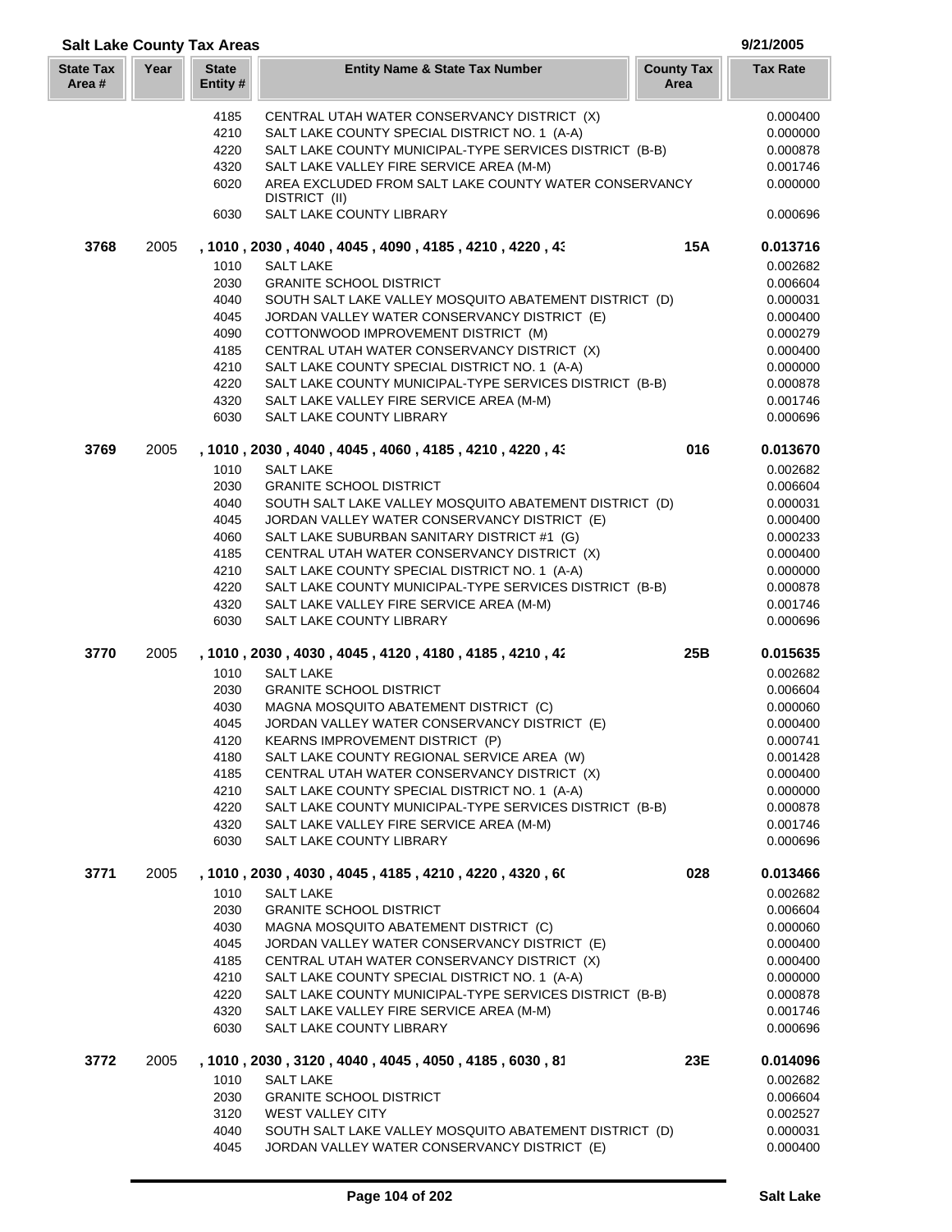| <b>Salt Lake County Tax Areas</b> |      |                          |                                                                        |                           | 9/21/2005            |
|-----------------------------------|------|--------------------------|------------------------------------------------------------------------|---------------------------|----------------------|
| <b>State Tax</b><br>Area #        | Year | <b>State</b><br>Entity # | <b>Entity Name &amp; State Tax Number</b>                              | <b>County Tax</b><br>Area | <b>Tax Rate</b>      |
|                                   |      | 4185                     | CENTRAL UTAH WATER CONSERVANCY DISTRICT (X)                            |                           | 0.000400             |
|                                   |      | 4210                     | SALT LAKE COUNTY SPECIAL DISTRICT NO. 1 (A-A)                          |                           | 0.000000             |
|                                   |      | 4220                     | SALT LAKE COUNTY MUNICIPAL-TYPE SERVICES DISTRICT (B-B)                |                           | 0.000878             |
|                                   |      | 4320                     | SALT LAKE VALLEY FIRE SERVICE AREA (M-M)                               |                           | 0.001746             |
|                                   |      | 6020                     | AREA EXCLUDED FROM SALT LAKE COUNTY WATER CONSERVANCY<br>DISTRICT (II) |                           | 0.000000             |
|                                   |      | 6030                     | SALT LAKE COUNTY LIBRARY                                               |                           | 0.000696             |
| 3768                              | 2005 |                          | , 1010, 2030, 4040, 4045, 4090, 4185, 4210, 4220, 43                   | <b>15A</b>                | 0.013716             |
|                                   |      | 1010                     | <b>SALT LAKE</b>                                                       |                           | 0.002682             |
|                                   |      | 2030                     | <b>GRANITE SCHOOL DISTRICT</b>                                         |                           | 0.006604             |
|                                   |      | 4040                     | SOUTH SALT LAKE VALLEY MOSQUITO ABATEMENT DISTRICT (D)                 |                           | 0.000031             |
|                                   |      | 4045                     | JORDAN VALLEY WATER CONSERVANCY DISTRICT (E)                           |                           | 0.000400             |
|                                   |      | 4090                     | COTTONWOOD IMPROVEMENT DISTRICT (M)                                    |                           | 0.000279             |
|                                   |      | 4185                     | CENTRAL UTAH WATER CONSERVANCY DISTRICT (X)                            |                           | 0.000400             |
|                                   |      | 4210                     | SALT LAKE COUNTY SPECIAL DISTRICT NO. 1 (A-A)                          |                           | 0.000000             |
|                                   |      | 4220                     | SALT LAKE COUNTY MUNICIPAL-TYPE SERVICES DISTRICT (B-B)                |                           | 0.000878             |
|                                   |      | 4320<br>6030             | SALT LAKE VALLEY FIRE SERVICE AREA (M-M)<br>SALT LAKE COUNTY LIBRARY   |                           | 0.001746<br>0.000696 |
| 3769                              | 2005 |                          | , 1010, 2030, 4040, 4045, 4060, 4185, 4210, 4220, 43                   | 016                       | 0.013670             |
|                                   |      | 1010                     | <b>SALT LAKE</b>                                                       |                           | 0.002682             |
|                                   |      | 2030                     | <b>GRANITE SCHOOL DISTRICT</b>                                         |                           | 0.006604             |
|                                   |      | 4040                     | SOUTH SALT LAKE VALLEY MOSQUITO ABATEMENT DISTRICT (D)                 |                           | 0.000031             |
|                                   |      | 4045                     | JORDAN VALLEY WATER CONSERVANCY DISTRICT (E)                           |                           | 0.000400             |
|                                   |      | 4060                     | SALT LAKE SUBURBAN SANITARY DISTRICT #1 (G)                            |                           | 0.000233             |
|                                   |      | 4185                     | CENTRAL UTAH WATER CONSERVANCY DISTRICT (X)                            |                           | 0.000400             |
|                                   |      | 4210                     | SALT LAKE COUNTY SPECIAL DISTRICT NO. 1 (A-A)                          |                           | 0.000000             |
|                                   |      | 4220                     | SALT LAKE COUNTY MUNICIPAL-TYPE SERVICES DISTRICT (B-B)                |                           | 0.000878             |
|                                   |      | 4320                     | SALT LAKE VALLEY FIRE SERVICE AREA (M-M)                               |                           | 0.001746             |
|                                   |      | 6030                     | SALT LAKE COUNTY LIBRARY                                               |                           | 0.000696             |
| 3770                              | 2005 |                          | , 1010 , 2030 , 4030 , 4045 , 4120 , 4180 , 4185 , 4210 , 42           | 25B                       | 0.015635             |
|                                   |      | 1010                     | <b>SALT LAKE</b>                                                       |                           | 0.002682             |
|                                   |      | 2030                     | <b>GRANITE SCHOOL DISTRICT</b>                                         |                           | 0.006604             |
|                                   |      | 4030                     | MAGNA MOSQUITO ABATEMENT DISTRICT (C)                                  |                           | 0.000060             |
|                                   |      | 4045                     | JORDAN VALLEY WATER CONSERVANCY DISTRICT (E)                           |                           | 0.000400             |
|                                   |      | 4120                     | KEARNS IMPROVEMENT DISTRICT (P)                                        |                           | 0.000741             |
|                                   |      | 4180                     | SALT LAKE COUNTY REGIONAL SERVICE AREA (W)                             |                           | 0.001428             |
|                                   |      | 4185                     | CENTRAL UTAH WATER CONSERVANCY DISTRICT (X)                            |                           | 0.000400             |
|                                   |      | 4210                     | SALT LAKE COUNTY SPECIAL DISTRICT NO. 1 (A-A)                          |                           | 0.000000             |
|                                   |      | 4220                     | SALT LAKE COUNTY MUNICIPAL-TYPE SERVICES DISTRICT (B-B)                |                           | 0.000878             |
|                                   |      | 4320<br>6030             | SALT LAKE VALLEY FIRE SERVICE AREA (M-M)<br>SALT LAKE COUNTY LIBRARY   |                           | 0.001746<br>0.000696 |
| 3771                              | 2005 |                          | , 1010 , 2030 , 4030 , 4045 , 4185 , 4210 , 4220 , 4320 , 60           | 028                       | 0.013466             |
|                                   |      | 1010                     | <b>SALT LAKE</b>                                                       |                           | 0.002682             |
|                                   |      | 2030                     | <b>GRANITE SCHOOL DISTRICT</b>                                         |                           | 0.006604             |
|                                   |      | 4030                     | MAGNA MOSQUITO ABATEMENT DISTRICT (C)                                  |                           | 0.000060             |
|                                   |      | 4045                     | JORDAN VALLEY WATER CONSERVANCY DISTRICT (E)                           |                           | 0.000400             |
|                                   |      | 4185                     | CENTRAL UTAH WATER CONSERVANCY DISTRICT (X)                            |                           | 0.000400             |
|                                   |      | 4210                     | SALT LAKE COUNTY SPECIAL DISTRICT NO. 1 (A-A)                          |                           | 0.000000             |
|                                   |      | 4220                     | SALT LAKE COUNTY MUNICIPAL-TYPE SERVICES DISTRICT (B-B)                |                           | 0.000878             |
|                                   |      | 4320<br>6030             | SALT LAKE VALLEY FIRE SERVICE AREA (M-M)<br>SALT LAKE COUNTY LIBRARY   |                           | 0.001746<br>0.000696 |
| 3772                              | 2005 |                          | , 1010, 2030, 3120, 4040, 4045, 4050, 4185, 6030, 81                   | 23E                       | 0.014096             |
|                                   |      | 1010                     | <b>SALT LAKE</b>                                                       |                           | 0.002682             |
|                                   |      | 2030                     | <b>GRANITE SCHOOL DISTRICT</b>                                         |                           | 0.006604             |
|                                   |      | 3120                     | <b>WEST VALLEY CITY</b>                                                |                           | 0.002527             |
|                                   |      | 4040                     | SOUTH SALT LAKE VALLEY MOSQUITO ABATEMENT DISTRICT (D)                 |                           | 0.000031             |
|                                   |      | 4045                     | JORDAN VALLEY WATER CONSERVANCY DISTRICT (E)                           |                           | 0.000400             |

L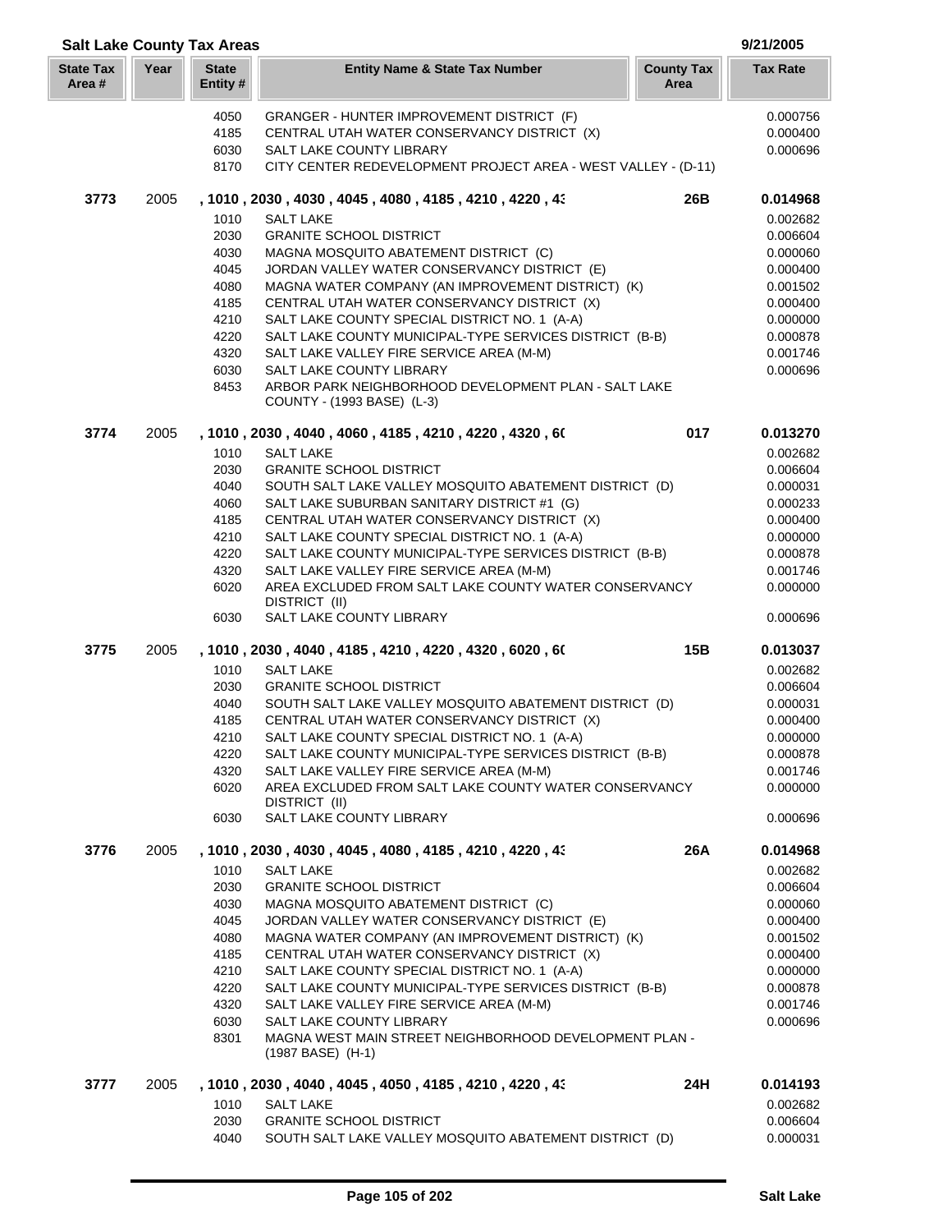| <b>Salt Lake County Tax Areas</b> |      |                          |                                                                                                   |                           | 9/21/2005            |
|-----------------------------------|------|--------------------------|---------------------------------------------------------------------------------------------------|---------------------------|----------------------|
| <b>State Tax</b><br>Area#         | Year | <b>State</b><br>Entity # | <b>Entity Name &amp; State Tax Number</b>                                                         | <b>County Tax</b><br>Area | <b>Tax Rate</b>      |
|                                   |      | 4050                     | GRANGER - HUNTER IMPROVEMENT DISTRICT (F)                                                         |                           | 0.000756             |
|                                   |      | 4185                     | CENTRAL UTAH WATER CONSERVANCY DISTRICT (X)                                                       |                           | 0.000400             |
|                                   |      | 6030                     | SALT LAKE COUNTY LIBRARY                                                                          |                           | 0.000696             |
|                                   |      | 8170                     | CITY CENTER REDEVELOPMENT PROJECT AREA - WEST VALLEY - (D-11)                                     |                           |                      |
| 3773                              | 2005 |                          | , 1010, 2030, 4030, 4045, 4080, 4185, 4210, 4220, 43                                              | 26B                       | 0.014968             |
|                                   |      | 1010                     | SALT LAKE                                                                                         |                           | 0.002682             |
|                                   |      | 2030                     | <b>GRANITE SCHOOL DISTRICT</b>                                                                    |                           | 0.006604             |
|                                   |      | 4030                     | MAGNA MOSQUITO ABATEMENT DISTRICT (C)                                                             |                           | 0.000060             |
|                                   |      | 4045                     | JORDAN VALLEY WATER CONSERVANCY DISTRICT (E)                                                      |                           | 0.000400             |
|                                   |      | 4080                     | MAGNA WATER COMPANY (AN IMPROVEMENT DISTRICT) (K)                                                 |                           | 0.001502             |
|                                   |      | 4185                     | CENTRAL UTAH WATER CONSERVANCY DISTRICT (X)                                                       |                           | 0.000400             |
|                                   |      | 4210                     | SALT LAKE COUNTY SPECIAL DISTRICT NO. 1 (A-A)                                                     |                           | 0.000000             |
|                                   |      | 4220                     | SALT LAKE COUNTY MUNICIPAL-TYPE SERVICES DISTRICT (B-B)                                           |                           | 0.000878             |
|                                   |      | 4320                     | SALT LAKE VALLEY FIRE SERVICE AREA (M-M)                                                          |                           | 0.001746             |
|                                   |      | 6030                     | SALT LAKE COUNTY LIBRARY                                                                          |                           | 0.000696             |
|                                   |      | 8453                     | ARBOR PARK NEIGHBORHOOD DEVELOPMENT PLAN - SALT LAKE<br>COUNTY - (1993 BASE) (L-3)                |                           |                      |
| 3774                              | 2005 |                          | , 1010 , 2030 , 4040 , 4060 , 4185 , 4210 , 4220 , 4320 , 60                                      | 017                       | 0.013270             |
|                                   |      | 1010                     | <b>SALT LAKE</b>                                                                                  |                           | 0.002682             |
|                                   |      | 2030                     | <b>GRANITE SCHOOL DISTRICT</b>                                                                    |                           | 0.006604             |
|                                   |      | 4040                     | SOUTH SALT LAKE VALLEY MOSQUITO ABATEMENT DISTRICT (D)                                            |                           | 0.000031             |
|                                   |      | 4060                     | SALT LAKE SUBURBAN SANITARY DISTRICT #1 (G)                                                       |                           | 0.000233             |
|                                   |      | 4185                     | CENTRAL UTAH WATER CONSERVANCY DISTRICT (X)                                                       |                           | 0.000400             |
|                                   |      | 4210                     | SALT LAKE COUNTY SPECIAL DISTRICT NO. 1 (A-A)                                                     |                           | 0.000000             |
|                                   |      | 4220                     | SALT LAKE COUNTY MUNICIPAL-TYPE SERVICES DISTRICT (B-B)                                           |                           | 0.000878             |
|                                   |      | 4320                     | SALT LAKE VALLEY FIRE SERVICE AREA (M-M)                                                          |                           | 0.001746             |
|                                   |      | 6020                     | AREA EXCLUDED FROM SALT LAKE COUNTY WATER CONSERVANCY<br>DISTRICT (II)                            |                           | 0.000000             |
|                                   |      | 6030                     | SALT LAKE COUNTY LIBRARY                                                                          |                           | 0.000696             |
| 3775                              | 2005 |                          | , 1010 , 2030 , 4040 , 4185 , 4210 , 4220 , 4320 , 6020 , 60                                      | 15B                       | 0.013037             |
|                                   |      | 1010                     | <b>SALT LAKE</b>                                                                                  |                           | 0.002682             |
|                                   |      | 2030                     | <b>GRANITE SCHOOL DISTRICT</b>                                                                    |                           | 0.006604             |
|                                   |      | 4040                     | SOUTH SALT LAKE VALLEY MOSQUITO ABATEMENT DISTRICT (D)                                            |                           | 0.000031             |
|                                   |      | 4185                     | CENTRAL UTAH WATER CONSERVANCY DISTRICT (X)                                                       |                           | 0.000400             |
|                                   |      | 4210                     | SALT LAKE COUNTY SPECIAL DISTRICT NO. 1 (A-A)                                                     |                           | 0.000000             |
|                                   |      | 4220<br>4320             | SALT LAKE COUNTY MUNICIPAL-TYPE SERVICES DISTRICT (B-B)                                           |                           | 0.000878             |
|                                   |      | 6020                     | SALT LAKE VALLEY FIRE SERVICE AREA (M-M)<br>AREA EXCLUDED FROM SALT LAKE COUNTY WATER CONSERVANCY |                           | 0.001746<br>0.000000 |
|                                   |      |                          | DISTRICT (II)                                                                                     |                           |                      |
|                                   |      | 6030                     | SALT LAKE COUNTY LIBRARY                                                                          |                           | 0.000696             |
| 3776                              | 2005 |                          | , 1010 , 2030 , 4030 , 4045 , 4080 , 4185 , 4210 , 4220 , 43                                      | 26A                       | 0.014968             |
|                                   |      | 1010                     | <b>SALT LAKE</b>                                                                                  |                           | 0.002682             |
|                                   |      | 2030                     | <b>GRANITE SCHOOL DISTRICT</b>                                                                    |                           | 0.006604             |
|                                   |      | 4030                     | MAGNA MOSQUITO ABATEMENT DISTRICT (C)<br>JORDAN VALLEY WATER CONSERVANCY DISTRICT (E)             |                           | 0.000060             |
|                                   |      | 4045<br>4080             | MAGNA WATER COMPANY (AN IMPROVEMENT DISTRICT) (K)                                                 |                           | 0.000400<br>0.001502 |
|                                   |      | 4185                     | CENTRAL UTAH WATER CONSERVANCY DISTRICT (X)                                                       |                           | 0.000400             |
|                                   |      | 4210                     | SALT LAKE COUNTY SPECIAL DISTRICT NO. 1 (A-A)                                                     |                           | 0.000000             |
|                                   |      | 4220                     | SALT LAKE COUNTY MUNICIPAL-TYPE SERVICES DISTRICT (B-B)                                           |                           | 0.000878             |
|                                   |      | 4320                     | SALT LAKE VALLEY FIRE SERVICE AREA (M-M)                                                          |                           | 0.001746             |
|                                   |      | 6030                     | SALT LAKE COUNTY LIBRARY                                                                          |                           | 0.000696             |
|                                   |      | 8301                     | MAGNA WEST MAIN STREET NEIGHBORHOOD DEVELOPMENT PLAN -<br>(1987 BASE) (H-1)                       |                           |                      |
| 3777                              | 2005 |                          | , 1010 , 2030 , 4040 , 4045 , 4050 , 4185 , 4210 , 4220 , 43                                      | 24H                       | 0.014193             |
|                                   |      | 1010                     | <b>SALT LAKE</b>                                                                                  |                           | 0.002682             |
|                                   |      | 2030                     | <b>GRANITE SCHOOL DISTRICT</b>                                                                    |                           | 0.006604             |
|                                   |      | 4040                     | SOUTH SALT LAKE VALLEY MOSQUITO ABATEMENT DISTRICT (D)                                            |                           | 0.000031             |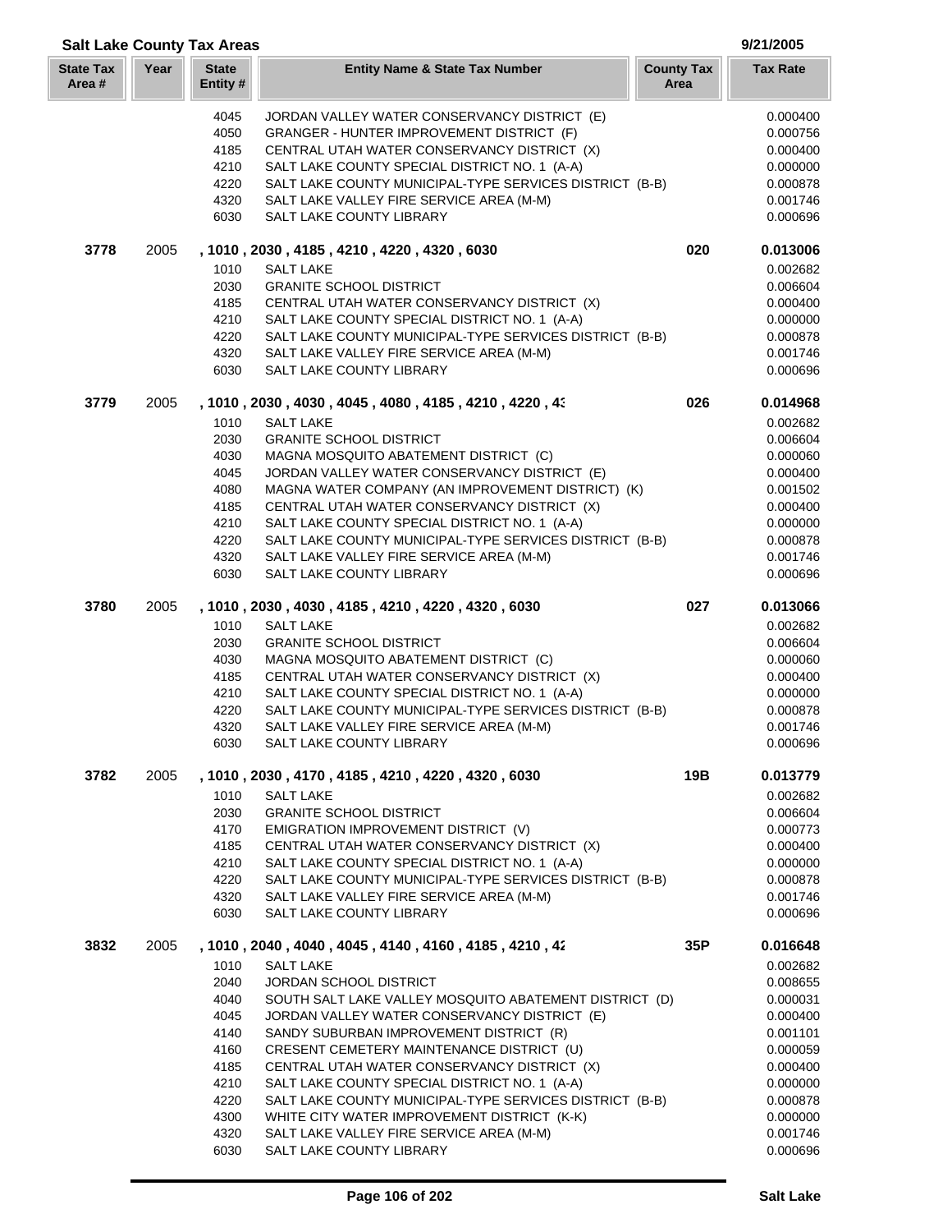| <b>State Tax</b><br>Area # | Year | <b>State</b><br>Entity # | <b>Entity Name &amp; State Tax Number</b>                                                                | <b>County Tax</b><br>Area | <b>Tax Rate</b>      |
|----------------------------|------|--------------------------|----------------------------------------------------------------------------------------------------------|---------------------------|----------------------|
|                            |      | 4045                     | JORDAN VALLEY WATER CONSERVANCY DISTRICT (E)                                                             |                           | 0.000400             |
|                            |      | 4050                     | GRANGER - HUNTER IMPROVEMENT DISTRICT (F)                                                                |                           | 0.000756             |
|                            |      | 4185                     | CENTRAL UTAH WATER CONSERVANCY DISTRICT (X)                                                              |                           | 0.000400             |
|                            |      | 4210                     | SALT LAKE COUNTY SPECIAL DISTRICT NO. 1 (A-A)                                                            |                           | 0.000000             |
|                            |      | 4220                     | SALT LAKE COUNTY MUNICIPAL-TYPE SERVICES DISTRICT (B-B)                                                  |                           | 0.000878             |
|                            |      | 4320                     | SALT LAKE VALLEY FIRE SERVICE AREA (M-M)                                                                 |                           | 0.001746             |
|                            |      | 6030                     | SALT LAKE COUNTY LIBRARY                                                                                 |                           | 0.000696             |
| 3778                       | 2005 |                          | , 1010, 2030, 4185, 4210, 4220, 4320, 6030                                                               | 020                       | 0.013006             |
|                            |      | 1010                     | <b>SALT LAKE</b>                                                                                         |                           | 0.002682             |
|                            |      | 2030                     | <b>GRANITE SCHOOL DISTRICT</b>                                                                           |                           | 0.006604             |
|                            |      | 4185                     | CENTRAL UTAH WATER CONSERVANCY DISTRICT (X)                                                              |                           | 0.000400             |
|                            |      | 4210                     | SALT LAKE COUNTY SPECIAL DISTRICT NO. 1 (A-A)                                                            |                           | 0.000000             |
|                            |      | 4220                     | SALT LAKE COUNTY MUNICIPAL-TYPE SERVICES DISTRICT (B-B)                                                  |                           | 0.000878             |
|                            |      | 4320                     | SALT LAKE VALLEY FIRE SERVICE AREA (M-M)                                                                 |                           | 0.001746             |
|                            |      | 6030                     | SALT LAKE COUNTY LIBRARY                                                                                 |                           | 0.000696             |
| 3779                       | 2005 |                          | , 1010, 2030, 4030, 4045, 4080, 4185, 4210, 4220, 43                                                     | 026                       | 0.014968             |
|                            |      | 1010                     | <b>SALT LAKE</b>                                                                                         |                           | 0.002682             |
|                            |      | 2030                     | <b>GRANITE SCHOOL DISTRICT</b>                                                                           |                           | 0.006604             |
|                            |      | 4030                     | MAGNA MOSQUITO ABATEMENT DISTRICT (C)                                                                    |                           | 0.000060             |
|                            |      | 4045                     | JORDAN VALLEY WATER CONSERVANCY DISTRICT (E)                                                             |                           | 0.000400             |
|                            |      | 4080                     | MAGNA WATER COMPANY (AN IMPROVEMENT DISTRICT) (K)                                                        |                           | 0.001502             |
|                            |      | 4185<br>4210             | CENTRAL UTAH WATER CONSERVANCY DISTRICT (X)                                                              |                           | 0.000400             |
|                            |      | 4220                     | SALT LAKE COUNTY SPECIAL DISTRICT NO. 1 (A-A)<br>SALT LAKE COUNTY MUNICIPAL-TYPE SERVICES DISTRICT (B-B) |                           | 0.000000<br>0.000878 |
|                            |      | 4320                     | SALT LAKE VALLEY FIRE SERVICE AREA (M-M)                                                                 |                           | 0.001746             |
|                            |      | 6030                     | SALT LAKE COUNTY LIBRARY                                                                                 |                           | 0.000696             |
| 3780                       | 2005 |                          | , 1010, 2030, 4030, 4185, 4210, 4220, 4320, 6030                                                         | 027                       | 0.013066             |
|                            |      | 1010                     | <b>SALT LAKE</b>                                                                                         |                           | 0.002682             |
|                            |      | 2030                     | <b>GRANITE SCHOOL DISTRICT</b>                                                                           |                           | 0.006604             |
|                            |      | 4030                     | MAGNA MOSQUITO ABATEMENT DISTRICT (C)                                                                    |                           | 0.000060             |
|                            |      | 4185                     | CENTRAL UTAH WATER CONSERVANCY DISTRICT (X)                                                              |                           | 0.000400             |
|                            |      | 4210                     | SALT LAKE COUNTY SPECIAL DISTRICT NO. 1 (A-A)                                                            |                           | 0.000000             |
|                            |      | 4220                     | SALT LAKE COUNTY MUNICIPAL-TYPE SERVICES DISTRICT (B-B)                                                  |                           | 0.000878             |
|                            |      | 4320                     | SALT LAKE VALLEY FIRE SERVICE AREA (M-M)                                                                 |                           | 0.001746             |
|                            |      | 6030                     | SALT LAKE COUNTY LIBRARY                                                                                 |                           | 0.000696             |
| 3782                       | 2005 |                          | , 1010, 2030, 4170, 4185, 4210, 4220, 4320, 6030                                                         | 19B                       | 0.013779             |
|                            |      | 1010                     | <b>SALT LAKE</b>                                                                                         |                           | 0.002682             |
|                            |      | 2030                     | <b>GRANITE SCHOOL DISTRICT</b>                                                                           |                           | 0.006604             |
|                            |      | 4170                     | EMIGRATION IMPROVEMENT DISTRICT (V)                                                                      |                           | 0.000773             |
|                            |      | 4185                     | CENTRAL UTAH WATER CONSERVANCY DISTRICT (X)                                                              |                           | 0.000400             |
|                            |      | 4210                     | SALT LAKE COUNTY SPECIAL DISTRICT NO. 1 (A-A)                                                            |                           | 0.000000             |
|                            |      | 4220                     | SALT LAKE COUNTY MUNICIPAL-TYPE SERVICES DISTRICT (B-B)                                                  |                           | 0.000878             |
|                            |      | 4320<br>6030             | SALT LAKE VALLEY FIRE SERVICE AREA (M-M)<br>SALT LAKE COUNTY LIBRARY                                     |                           | 0.001746<br>0.000696 |
|                            |      |                          |                                                                                                          |                           |                      |
| 3832                       | 2005 | 1010                     | , 1010, 2040, 4040, 4045, 4140, 4160, 4185, 4210, 42<br>SALT LAKE                                        | 35P                       | 0.016648<br>0.002682 |
|                            |      | 2040                     | <b>JORDAN SCHOOL DISTRICT</b>                                                                            |                           | 0.008655             |
|                            |      | 4040                     | SOUTH SALT LAKE VALLEY MOSQUITO ABATEMENT DISTRICT (D)                                                   |                           | 0.000031             |
|                            |      | 4045                     | JORDAN VALLEY WATER CONSERVANCY DISTRICT (E)                                                             |                           | 0.000400             |
|                            |      | 4140                     | SANDY SUBURBAN IMPROVEMENT DISTRICT (R)                                                                  |                           | 0.001101             |
|                            |      | 4160                     | CRESENT CEMETERY MAINTENANCE DISTRICT (U)                                                                |                           | 0.000059             |
|                            |      | 4185                     | CENTRAL UTAH WATER CONSERVANCY DISTRICT (X)                                                              |                           | 0.000400             |
|                            |      | 4210                     | SALT LAKE COUNTY SPECIAL DISTRICT NO. 1 (A-A)                                                            |                           | 0.000000             |
|                            |      | 4220                     | SALT LAKE COUNTY MUNICIPAL-TYPE SERVICES DISTRICT (B-B)                                                  |                           | 0.000878             |
|                            |      | 4300                     | WHITE CITY WATER IMPROVEMENT DISTRICT (K-K)                                                              |                           | 0.000000             |
|                            |      | 4320                     | SALT LAKE VALLEY FIRE SERVICE AREA (M-M)                                                                 |                           | 0.001746             |

**Salt Lake County Tax Areas 9/21/2005**

SALT LAKE COUNTY LIBRARY 0.000696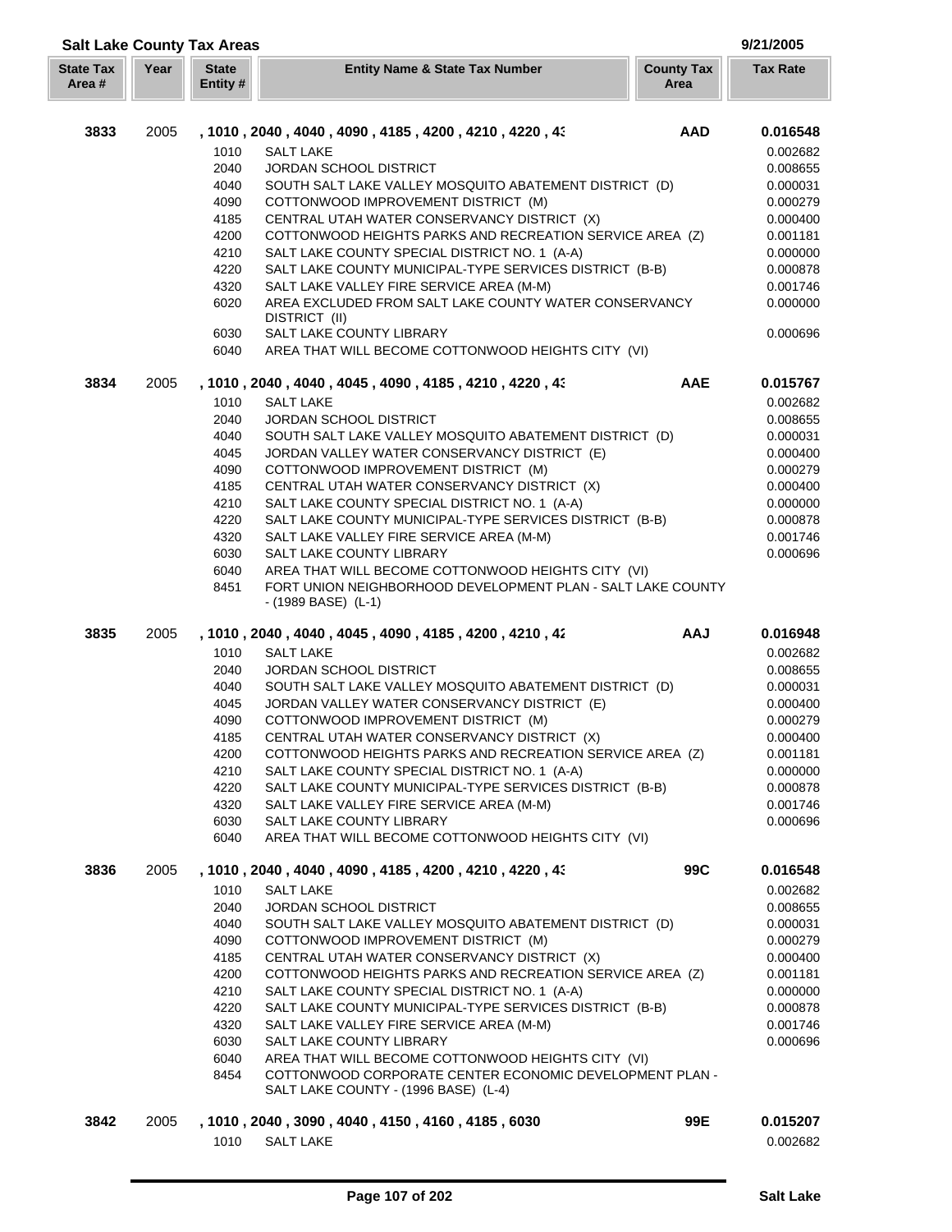| <b>Salt Lake County Tax Areas</b> |      |                          |                                                                                     |                           | 9/21/2005            |
|-----------------------------------|------|--------------------------|-------------------------------------------------------------------------------------|---------------------------|----------------------|
| <b>State Tax</b><br>Area #        | Year | <b>State</b><br>Entity # | <b>Entity Name &amp; State Tax Number</b>                                           | <b>County Tax</b><br>Area | <b>Tax Rate</b>      |
| 3833                              | 2005 |                          | , 1010 , 2040 , 4040 , 4090 , 4185 , 4200 , 4210 , 4220 , 43                        | <b>AAD</b>                | 0.016548             |
|                                   |      | 1010                     | <b>SALT LAKE</b>                                                                    |                           | 0.002682             |
|                                   |      | 2040                     | <b>JORDAN SCHOOL DISTRICT</b>                                                       |                           | 0.008655             |
|                                   |      | 4040                     | SOUTH SALT LAKE VALLEY MOSQUITO ABATEMENT DISTRICT (D)                              |                           | 0.000031             |
|                                   |      | 4090                     | COTTONWOOD IMPROVEMENT DISTRICT (M)                                                 |                           | 0.000279             |
|                                   |      | 4185                     | CENTRAL UTAH WATER CONSERVANCY DISTRICT (X)                                         |                           | 0.000400             |
|                                   |      | 4200                     | COTTONWOOD HEIGHTS PARKS AND RECREATION SERVICE AREA (Z)                            |                           | 0.001181             |
|                                   |      | 4210                     | SALT LAKE COUNTY SPECIAL DISTRICT NO. 1 (A-A)                                       |                           | 0.000000             |
|                                   |      | 4220                     | SALT LAKE COUNTY MUNICIPAL-TYPE SERVICES DISTRICT (B-B)                             |                           | 0.000878             |
|                                   |      | 4320                     | SALT LAKE VALLEY FIRE SERVICE AREA (M-M)                                            |                           | 0.001746             |
|                                   |      | 6020                     | AREA EXCLUDED FROM SALT LAKE COUNTY WATER CONSERVANCY                               |                           | 0.000000             |
|                                   |      |                          | DISTRICT (II)                                                                       |                           |                      |
|                                   |      | 6030                     | SALT LAKE COUNTY LIBRARY                                                            |                           | 0.000696             |
|                                   |      | 6040                     | AREA THAT WILL BECOME COTTONWOOD HEIGHTS CITY (VI)                                  |                           |                      |
| 3834                              | 2005 |                          | , 1010 , 2040 , 4040 , 4045 , 4090 , 4185 , 4210 , 4220 , 43                        | <b>AAE</b>                | 0.015767             |
|                                   |      | 1010                     | <b>SALT LAKE</b>                                                                    |                           | 0.002682             |
|                                   |      | 2040                     | <b>JORDAN SCHOOL DISTRICT</b>                                                       |                           | 0.008655             |
|                                   |      | 4040                     | SOUTH SALT LAKE VALLEY MOSQUITO ABATEMENT DISTRICT (D)                              |                           | 0.000031             |
|                                   |      | 4045                     | JORDAN VALLEY WATER CONSERVANCY DISTRICT (E)                                        |                           | 0.000400             |
|                                   |      | 4090                     | COTTONWOOD IMPROVEMENT DISTRICT (M)                                                 |                           | 0.000279             |
|                                   |      | 4185                     | CENTRAL UTAH WATER CONSERVANCY DISTRICT (X)                                         |                           | 0.000400             |
|                                   |      | 4210                     | SALT LAKE COUNTY SPECIAL DISTRICT NO. 1 (A-A)                                       |                           | 0.000000             |
|                                   |      | 4220                     | SALT LAKE COUNTY MUNICIPAL-TYPE SERVICES DISTRICT (B-B)                             |                           | 0.000878             |
|                                   |      | 4320                     | SALT LAKE VALLEY FIRE SERVICE AREA (M-M)                                            |                           | 0.001746             |
|                                   |      | 6030                     | SALT LAKE COUNTY LIBRARY                                                            |                           | 0.000696             |
|                                   |      | 6040                     | AREA THAT WILL BECOME COTTONWOOD HEIGHTS CITY (VI)                                  |                           |                      |
|                                   |      | 8451                     | FORT UNION NEIGHBORHOOD DEVELOPMENT PLAN - SALT LAKE COUNTY<br>$-(1989 BASE)$ (L-1) |                           |                      |
| 3835                              | 2005 |                          | , 1010 , 2040 , 4040 , 4045 , 4090 , 4185 , 4200 , 4210 , 42                        | <b>AAJ</b>                | 0.016948             |
|                                   |      | 1010                     | <b>SALT LAKE</b>                                                                    |                           | 0.002682             |
|                                   |      | 2040                     | <b>JORDAN SCHOOL DISTRICT</b>                                                       |                           | 0.008655             |
|                                   |      | 4040                     | SOUTH SALT LAKE VALLEY MOSQUITO ABATEMENT DISTRICT (D)                              |                           | 0.000031             |
|                                   |      | 4045                     | JORDAN VALLEY WATER CONSERVANCY DISTRICT (E)                                        |                           | 0.000400             |
|                                   |      | 4090                     | COTTONWOOD IMPROVEMENT DISTRICT (M)                                                 |                           | 0.000279             |
|                                   |      | 4185                     | CENTRAL UTAH WATER CONSERVANCY DISTRICT (X)                                         |                           | 0.000400             |
|                                   |      | 4200                     | COTTONWOOD HEIGHTS PARKS AND RECREATION SERVICE AREA (Z)                            |                           | 0.001181             |
|                                   |      | 4210                     | SALT LAKE COUNTY SPECIAL DISTRICT NO. 1 (A-A)                                       |                           | 0.000000             |
|                                   |      | 4220                     | SALT LAKE COUNTY MUNICIPAL-TYPE SERVICES DISTRICT (B-B)                             |                           | 0.000878             |
|                                   |      | 4320                     | SALT LAKE VALLEY FIRE SERVICE AREA (M-M)                                            |                           | 0.001746             |
|                                   |      | 6030                     | <b>SALT LAKE COUNTY LIBRARY</b>                                                     |                           | 0.000696             |
|                                   |      | 6040                     | AREA THAT WILL BECOME COTTONWOOD HEIGHTS CITY (VI)                                  |                           |                      |
| 3836                              | 2005 |                          | , 1010, 2040, 4040, 4090, 4185, 4200, 4210, 4220, 43                                | 99C                       | 0.016548             |
|                                   |      | 1010                     | <b>SALT LAKE</b>                                                                    |                           | 0.002682             |
|                                   |      | 2040                     | JORDAN SCHOOL DISTRICT                                                              |                           | 0.008655             |
|                                   |      | 4040                     | SOUTH SALT LAKE VALLEY MOSQUITO ABATEMENT DISTRICT (D)                              |                           | 0.000031             |
|                                   |      | 4090                     | COTTONWOOD IMPROVEMENT DISTRICT (M)                                                 |                           | 0.000279             |
|                                   |      | 4185                     | CENTRAL UTAH WATER CONSERVANCY DISTRICT (X)                                         |                           | 0.000400             |
|                                   |      | 4200                     | COTTONWOOD HEIGHTS PARKS AND RECREATION SERVICE AREA (Z)                            |                           | 0.001181             |
|                                   |      | 4210                     | SALT LAKE COUNTY SPECIAL DISTRICT NO. 1 (A-A)                                       |                           | 0.000000             |
|                                   |      | 4220                     | SALT LAKE COUNTY MUNICIPAL-TYPE SERVICES DISTRICT (B-B)                             |                           | 0.000878             |
|                                   |      | 4320<br>6030             | SALT LAKE VALLEY FIRE SERVICE AREA (M-M)<br>SALT LAKE COUNTY LIBRARY                |                           | 0.001746<br>0.000696 |
|                                   |      | 6040                     | AREA THAT WILL BECOME COTTONWOOD HEIGHTS CITY (VI)                                  |                           |                      |
|                                   |      | 8454                     | COTTONWOOD CORPORATE CENTER ECONOMIC DEVELOPMENT PLAN -                             |                           |                      |
|                                   |      |                          | SALT LAKE COUNTY - (1996 BASE) (L-4)                                                |                           |                      |
| 3842                              | 2005 |                          | , 1010, 2040, 3090, 4040, 4150, 4160, 4185, 6030                                    | 99E                       | 0.015207             |
|                                   |      | 1010                     | <b>SALT LAKE</b>                                                                    |                           | 0.002682             |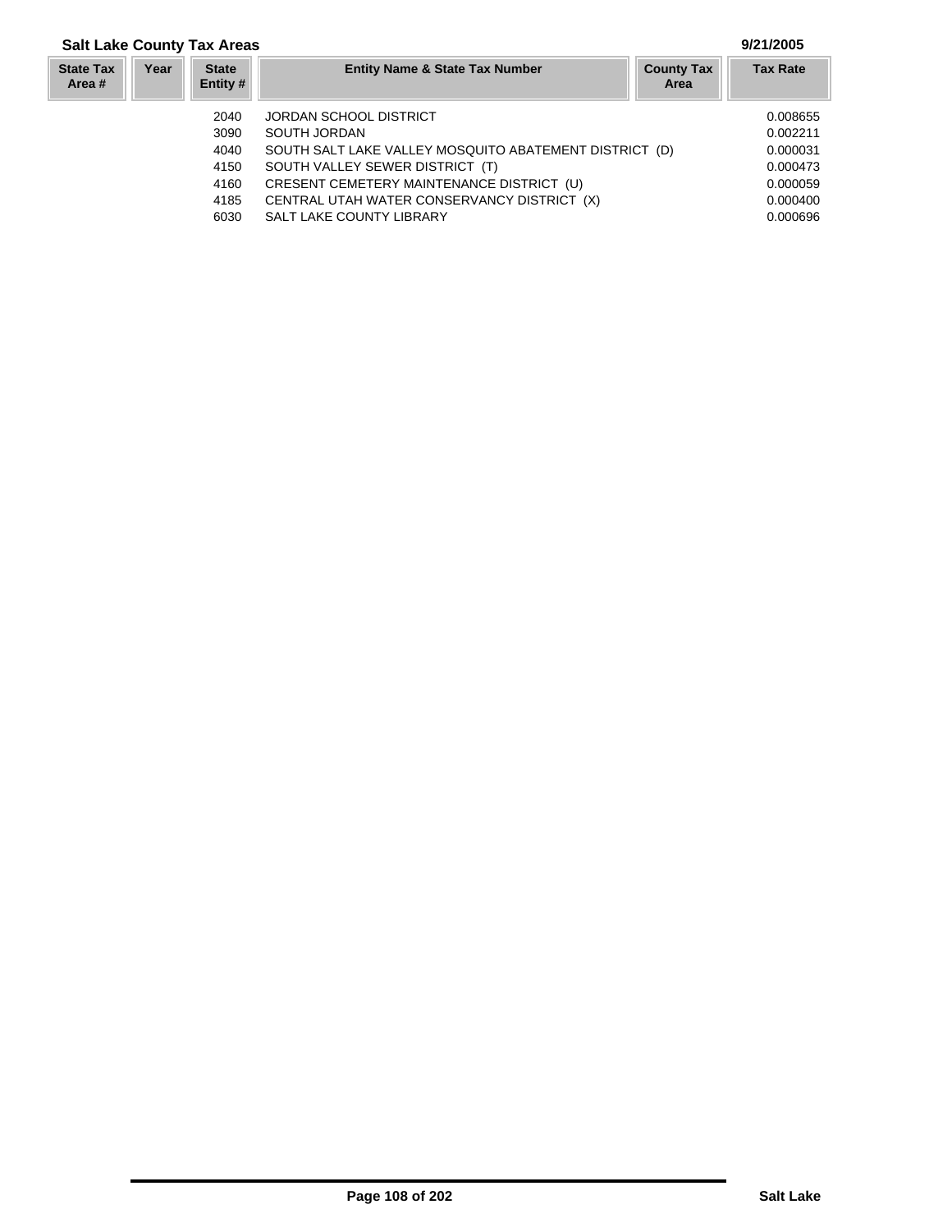### **Year Entity Name & State Tax Number County Tax Tax Rate Area State Tax Area # Salt Lake County Tax Areas 9/21/2005 State Entity #** 2040 JORDAN SCHOOL DISTRICT 0.008655 3090 SOUTH JORDAN<br>4040 SOUTH SALT LAKE VALLEY MOSQUITO ABATEMENT DISTRICT (D)  $0.000031$ SOUTH SALT LAKE VALLEY MOSQUITO ABATEMENT DISTRICT (D) 4150 SOUTH VALLEY SEWER DISTRICT (T) 0.000473

- 4160 CRESENT CEMETERY MAINTENANCE DISTRICT (U) 0.000059 0.000059
- 4185 CENTRAL UTAH WATER CONSERVANCY DISTRICT (X) 0.000400
- 6030 SALT LAKE COUNTY LIBRARY 6030 0.000696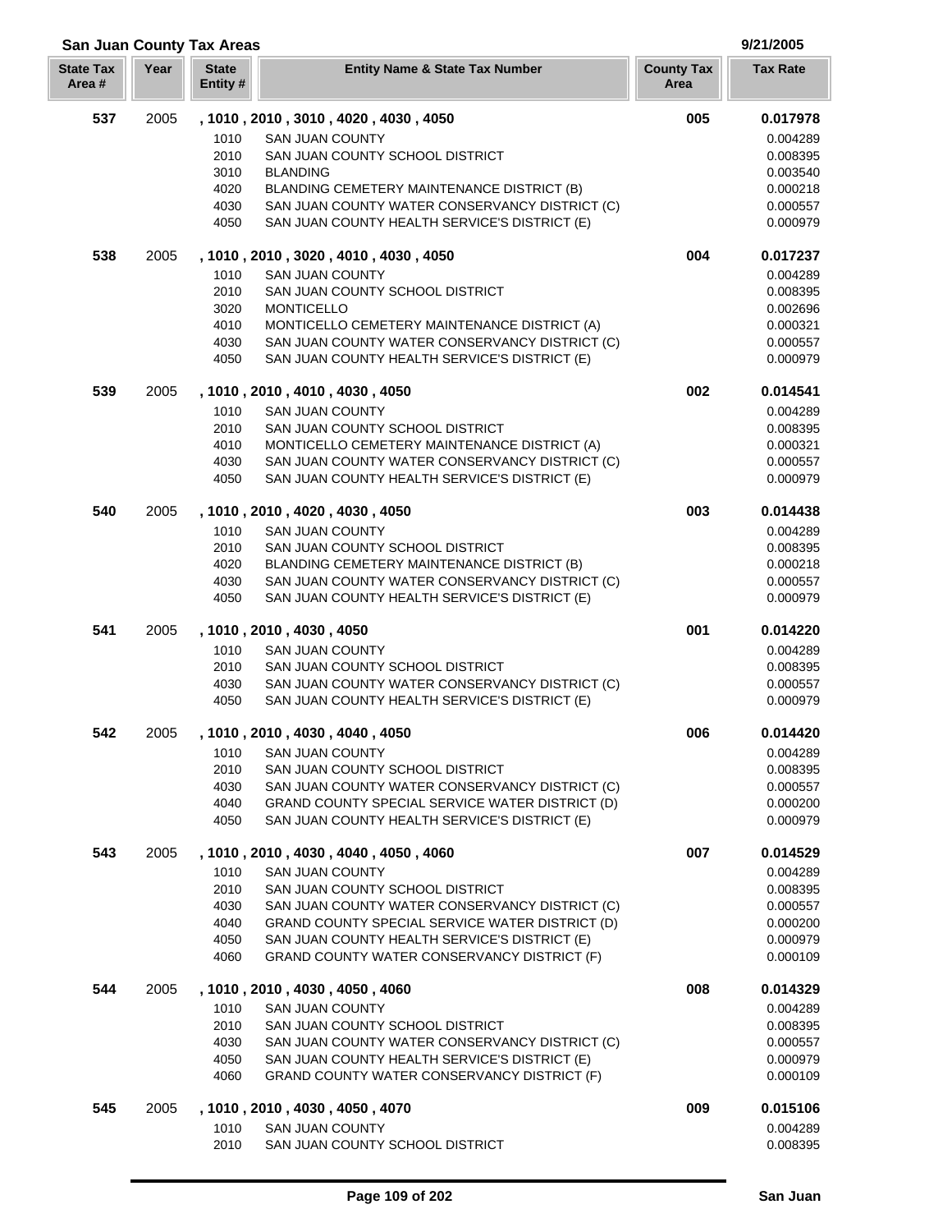| <b>San Juan County Tax Areas</b> | 9/21/2005 |
|----------------------------------|-----------|
|                                  |           |

| <b>State Tax</b><br>Area # | Year | <b>State</b><br>Entity# | <b>Entity Name &amp; State Tax Number</b>                                                    | <b>County Tax</b><br>Area | <b>Tax Rate</b>      |
|----------------------------|------|-------------------------|----------------------------------------------------------------------------------------------|---------------------------|----------------------|
| 537                        | 2005 |                         | , 1010, 2010, 3010, 4020, 4030, 4050                                                         | 005                       | 0.017978             |
|                            |      | 1010                    | <b>SAN JUAN COUNTY</b>                                                                       |                           | 0.004289             |
|                            |      | 2010                    | SAN JUAN COUNTY SCHOOL DISTRICT                                                              |                           | 0.008395             |
|                            |      | 3010                    | <b>BLANDING</b>                                                                              |                           | 0.003540             |
|                            |      | 4020                    | BLANDING CEMETERY MAINTENANCE DISTRICT (B)                                                   |                           | 0.000218             |
|                            |      | 4030                    | SAN JUAN COUNTY WATER CONSERVANCY DISTRICT (C)                                               |                           | 0.000557             |
|                            |      | 4050                    | SAN JUAN COUNTY HEALTH SERVICE'S DISTRICT (E)                                                |                           | 0.000979             |
| 538                        | 2005 |                         | , 1010, 2010, 3020, 4010, 4030, 4050                                                         | 004                       | 0.017237             |
|                            |      | 1010                    | <b>SAN JUAN COUNTY</b>                                                                       |                           | 0.004289             |
|                            |      | 2010                    | SAN JUAN COUNTY SCHOOL DISTRICT                                                              |                           | 0.008395             |
|                            |      | 3020<br>4010            | <b>MONTICELLO</b><br>MONTICELLO CEMETERY MAINTENANCE DISTRICT (A)                            |                           | 0.002696<br>0.000321 |
|                            |      | 4030                    | SAN JUAN COUNTY WATER CONSERVANCY DISTRICT (C)                                               |                           | 0.000557             |
|                            |      | 4050                    | SAN JUAN COUNTY HEALTH SERVICE'S DISTRICT (E)                                                |                           | 0.000979             |
| 539                        | 2005 |                         | , 1010, 2010, 4010, 4030, 4050                                                               | 002                       | 0.014541             |
|                            |      | 1010                    | <b>SAN JUAN COUNTY</b>                                                                       |                           | 0.004289             |
|                            |      | 2010                    | SAN JUAN COUNTY SCHOOL DISTRICT                                                              |                           | 0.008395             |
|                            |      | 4010                    | MONTICELLO CEMETERY MAINTENANCE DISTRICT (A)                                                 |                           | 0.000321             |
|                            |      | 4030                    | SAN JUAN COUNTY WATER CONSERVANCY DISTRICT (C)                                               |                           | 0.000557             |
|                            |      | 4050                    | SAN JUAN COUNTY HEALTH SERVICE'S DISTRICT (E)                                                |                           | 0.000979             |
| 540                        | 2005 |                         | , 1010, 2010, 4020, 4030, 4050                                                               | 003                       | 0.014438             |
|                            |      | 1010                    | <b>SAN JUAN COUNTY</b>                                                                       |                           | 0.004289             |
|                            |      | 2010                    | SAN JUAN COUNTY SCHOOL DISTRICT                                                              |                           | 0.008395             |
|                            |      | 4020                    | BLANDING CEMETERY MAINTENANCE DISTRICT (B)                                                   |                           | 0.000218             |
|                            |      | 4030                    | SAN JUAN COUNTY WATER CONSERVANCY DISTRICT (C)                                               |                           | 0.000557             |
|                            |      | 4050                    | SAN JUAN COUNTY HEALTH SERVICE'S DISTRICT (E)                                                |                           | 0.000979             |
| 541                        | 2005 |                         | , 1010, 2010, 4030, 4050                                                                     | 001                       | 0.014220             |
|                            |      | 1010                    | SAN JUAN COUNTY                                                                              |                           | 0.004289             |
|                            |      | 2010<br>4030            | SAN JUAN COUNTY SCHOOL DISTRICT<br>SAN JUAN COUNTY WATER CONSERVANCY DISTRICT (C)            |                           | 0.008395<br>0.000557 |
|                            |      | 4050                    | SAN JUAN COUNTY HEALTH SERVICE'S DISTRICT (E)                                                |                           | 0.000979             |
| 542                        | 2005 |                         | , 1010, 2010, 4030, 4040, 4050                                                               | 006                       | 0.014420             |
|                            |      | 1010                    | SAN JUAN COUNTY                                                                              |                           | 0.004289             |
|                            |      | 2010                    | SAN JUAN COUNTY SCHOOL DISTRICT                                                              |                           | 0.008395             |
|                            |      | 4030                    | SAN JUAN COUNTY WATER CONSERVANCY DISTRICT (C)                                               |                           | 0.000557             |
|                            |      | 4040                    | GRAND COUNTY SPECIAL SERVICE WATER DISTRICT (D)                                              |                           | 0.000200             |
|                            |      | 4050                    | SAN JUAN COUNTY HEALTH SERVICE'S DISTRICT (E)                                                |                           | 0.000979             |
| 543                        | 2005 |                         | , 1010, 2010, 4030, 4040, 4050, 4060                                                         | 007                       | 0.014529             |
|                            |      | 1010                    | <b>SAN JUAN COUNTY</b>                                                                       |                           | 0.004289             |
|                            |      | 2010                    | SAN JUAN COUNTY SCHOOL DISTRICT                                                              |                           | 0.008395             |
|                            |      | 4030                    | SAN JUAN COUNTY WATER CONSERVANCY DISTRICT (C)                                               |                           | 0.000557             |
|                            |      | 4040                    | GRAND COUNTY SPECIAL SERVICE WATER DISTRICT (D)                                              |                           | 0.000200             |
|                            |      | 4050<br>4060            | SAN JUAN COUNTY HEALTH SERVICE'S DISTRICT (E)<br>GRAND COUNTY WATER CONSERVANCY DISTRICT (F) |                           | 0.000979<br>0.000109 |
| 544                        | 2005 |                         | , 1010, 2010, 4030, 4050, 4060                                                               | 008                       | 0.014329             |
|                            |      | 1010                    | <b>SAN JUAN COUNTY</b>                                                                       |                           | 0.004289             |
|                            |      | 2010                    | SAN JUAN COUNTY SCHOOL DISTRICT                                                              |                           | 0.008395             |
|                            |      | 4030                    | SAN JUAN COUNTY WATER CONSERVANCY DISTRICT (C)                                               |                           | 0.000557             |
|                            |      | 4050                    | SAN JUAN COUNTY HEALTH SERVICE'S DISTRICT (E)                                                |                           | 0.000979             |
|                            |      | 4060                    | GRAND COUNTY WATER CONSERVANCY DISTRICT (F)                                                  |                           | 0.000109             |
| 545                        | 2005 |                         | , 1010, 2010, 4030, 4050, 4070                                                               | 009                       | 0.015106             |
|                            |      | 1010                    | <b>SAN JUAN COUNTY</b>                                                                       |                           | 0.004289             |
|                            |      | 2010                    | SAN JUAN COUNTY SCHOOL DISTRICT                                                              |                           | 0.008395             |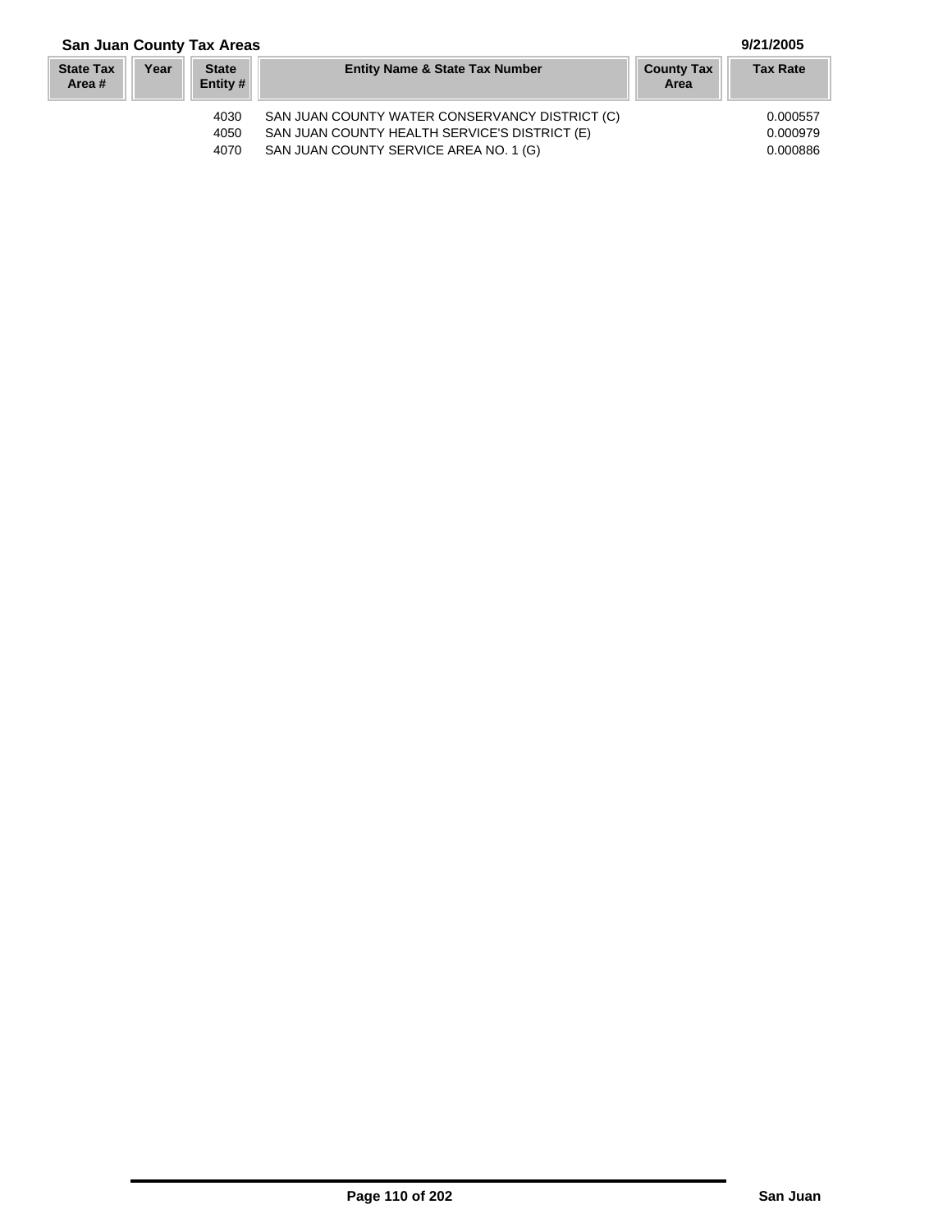# **San Juan County Tax Areas 9/21/2005**

#### **Year Entity Name & State Tax Number County Tax Tax Rate Area State Tax Area # State Entity #** 4030 SAN JUAN COUNTY WATER CONSERVANCY DISTRICT (C) 0.000557 4050 SAN JUAN COUNTY HEALTH SERVICE'S DISTRICT (E) 0.000979<br>4070 SAN JUAN COUNTY SERVICE AREA NO. 1 (G) 0.000886 SAN JUAN COUNTY SERVICE AREA NO. 1 (G)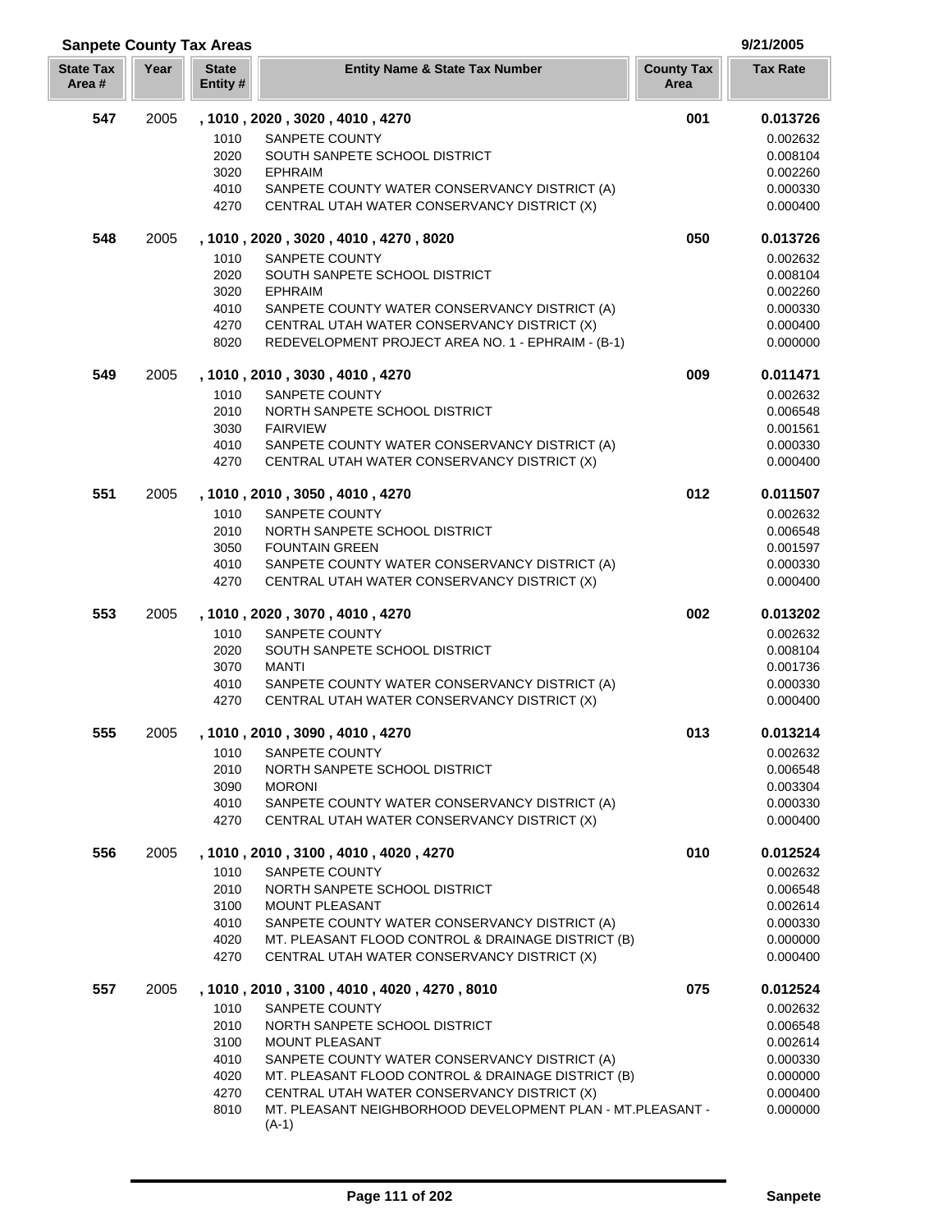| <b>Sanpete County Tax Areas</b> |      |                         |                                                                                                   | 9/21/2005                 |                      |
|---------------------------------|------|-------------------------|---------------------------------------------------------------------------------------------------|---------------------------|----------------------|
| <b>State Tax</b><br>Area#       | Year | <b>State</b><br>Entity# | <b>Entity Name &amp; State Tax Number</b>                                                         | <b>County Tax</b><br>Area | <b>Tax Rate</b>      |
| 547                             | 2005 |                         | , 1010, 2020, 3020, 4010, 4270                                                                    | 001                       | 0.013726             |
|                                 |      | 1010                    | SANPETE COUNTY                                                                                    |                           | 0.002632             |
|                                 |      | 2020                    | SOUTH SANPETE SCHOOL DISTRICT                                                                     |                           | 0.008104             |
|                                 |      | 3020                    | <b>EPHRAIM</b>                                                                                    |                           | 0.002260             |
|                                 |      | 4010                    | SANPETE COUNTY WATER CONSERVANCY DISTRICT (A)                                                     |                           | 0.000330             |
|                                 |      | 4270                    | CENTRAL UTAH WATER CONSERVANCY DISTRICT (X)                                                       |                           | 0.000400             |
| 548                             | 2005 |                         | , 1010, 2020, 3020, 4010, 4270, 8020                                                              | 050                       | 0.013726             |
|                                 |      | 1010                    | SANPETE COUNTY                                                                                    |                           | 0.002632             |
|                                 |      | 2020                    | SOUTH SANPETE SCHOOL DISTRICT                                                                     |                           | 0.008104             |
|                                 |      | 3020                    | <b>EPHRAIM</b>                                                                                    |                           | 0.002260             |
|                                 |      | 4010                    | SANPETE COUNTY WATER CONSERVANCY DISTRICT (A)                                                     |                           | 0.000330             |
|                                 |      | 4270                    | CENTRAL UTAH WATER CONSERVANCY DISTRICT (X)                                                       |                           | 0.000400             |
|                                 |      | 8020                    | REDEVELOPMENT PROJECT AREA NO. 1 - EPHRAIM - (B-1)                                                |                           | 0.000000             |
| 549                             | 2005 |                         | , 1010, 2010, 3030, 4010, 4270                                                                    | 009                       | 0.011471             |
|                                 |      | 1010                    | SANPETE COUNTY                                                                                    |                           | 0.002632             |
|                                 |      | 2010                    | NORTH SANPETE SCHOOL DISTRICT                                                                     |                           | 0.006548             |
|                                 |      | 3030                    | <b>FAIRVIEW</b>                                                                                   |                           | 0.001561             |
|                                 |      | 4010                    | SANPETE COUNTY WATER CONSERVANCY DISTRICT (A)                                                     |                           | 0.000330             |
|                                 |      | 4270                    | CENTRAL UTAH WATER CONSERVANCY DISTRICT (X)                                                       |                           | 0.000400             |
| 551                             | 2005 |                         | , 1010, 2010, 3050, 4010, 4270                                                                    | 012                       | 0.011507             |
|                                 |      | 1010                    | SANPETE COUNTY                                                                                    |                           | 0.002632             |
|                                 |      | 2010                    | NORTH SANPETE SCHOOL DISTRICT                                                                     |                           | 0.006548             |
|                                 |      | 3050                    | <b>FOUNTAIN GREEN</b>                                                                             |                           | 0.001597             |
|                                 |      | 4010<br>4270            | SANPETE COUNTY WATER CONSERVANCY DISTRICT (A)<br>CENTRAL UTAH WATER CONSERVANCY DISTRICT (X)      |                           | 0.000330<br>0.000400 |
| 553                             | 2005 |                         | , 1010, 2020, 3070, 4010, 4270                                                                    | 002                       | 0.013202             |
|                                 |      | 1010                    | SANPETE COUNTY                                                                                    |                           | 0.002632             |
|                                 |      | 2020                    | SOUTH SANPETE SCHOOL DISTRICT                                                                     |                           | 0.008104             |
|                                 |      | 3070                    | <b>MANTI</b>                                                                                      |                           | 0.001736             |
|                                 |      | 4010                    | SANPETE COUNTY WATER CONSERVANCY DISTRICT (A)                                                     |                           | 0.000330             |
|                                 |      | 4270                    | CENTRAL UTAH WATER CONSERVANCY DISTRICT (X)                                                       |                           | 0.000400             |
| 555                             | 2005 |                         | , 1010, 2010, 3090, 4010, 4270                                                                    | 013                       | 0.013214             |
|                                 |      | 1010                    | SANPETE COUNTY                                                                                    |                           | 0.002632             |
|                                 |      | 2010                    | NORTH SANPETE SCHOOL DISTRICT                                                                     |                           | 0.006548             |
|                                 |      | 3090                    | <b>MORONI</b>                                                                                     |                           | 0.003304             |
|                                 |      | 4010                    | SANPETE COUNTY WATER CONSERVANCY DISTRICT (A)                                                     |                           | 0.000330             |
|                                 |      | 4270                    | CENTRAL UTAH WATER CONSERVANCY DISTRICT (X)                                                       |                           | 0.000400             |
| 556                             | 2005 |                         | , 1010, 2010, 3100, 4010, 4020, 4270                                                              | 010                       | 0.012524             |
|                                 |      | 1010                    | SANPETE COUNTY                                                                                    |                           | 0.002632             |
|                                 |      | 2010                    | NORTH SANPETE SCHOOL DISTRICT                                                                     |                           | 0.006548             |
|                                 |      | 3100                    | <b>MOUNT PLEASANT</b>                                                                             |                           | 0.002614             |
|                                 |      | 4010                    | SANPETE COUNTY WATER CONSERVANCY DISTRICT (A)                                                     |                           | 0.000330             |
|                                 |      | 4020<br>4270            | MT. PLEASANT FLOOD CONTROL & DRAINAGE DISTRICT (B)<br>CENTRAL UTAH WATER CONSERVANCY DISTRICT (X) |                           | 0.000000<br>0.000400 |
|                                 |      |                         |                                                                                                   |                           |                      |
| 557                             | 2005 |                         | , 1010, 2010, 3100, 4010, 4020, 4270, 8010                                                        | 075                       | 0.012524             |
|                                 |      | 1010                    | SANPETE COUNTY                                                                                    |                           | 0.002632             |
|                                 |      | 2010                    | NORTH SANPETE SCHOOL DISTRICT<br><b>MOUNT PLEASANT</b>                                            |                           | 0.006548             |
|                                 |      | 3100<br>4010            | SANPETE COUNTY WATER CONSERVANCY DISTRICT (A)                                                     |                           | 0.002614<br>0.000330 |
|                                 |      | 4020                    | MT. PLEASANT FLOOD CONTROL & DRAINAGE DISTRICT (B)                                                |                           | 0.000000             |
|                                 |      | 4270                    | CENTRAL UTAH WATER CONSERVANCY DISTRICT (X)                                                       |                           | 0.000400             |
|                                 |      | 8010                    | MT. PLEASANT NEIGHBORHOOD DEVELOPMENT PLAN - MT.PLEASANT -<br>$(A-1)$                             |                           | 0.000000             |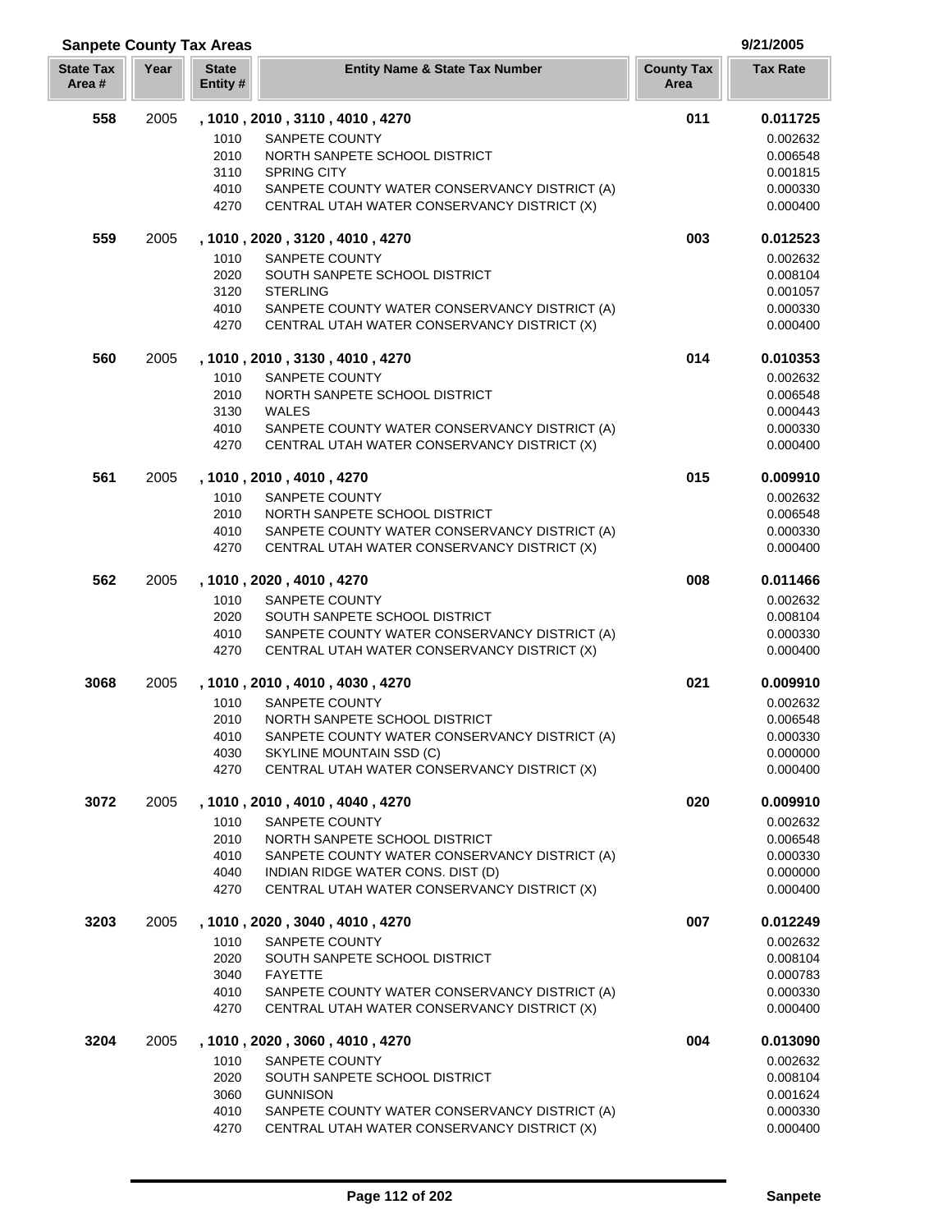| <b>Sanpete County Tax Areas</b> |      |                          |                                                                 |                           |                      |
|---------------------------------|------|--------------------------|-----------------------------------------------------------------|---------------------------|----------------------|
| <b>State Tax</b><br>Area #      | Year | <b>State</b><br>Entity # | <b>Entity Name &amp; State Tax Number</b>                       | <b>County Tax</b><br>Area | <b>Tax Rate</b>      |
| 558                             | 2005 |                          | , 1010, 2010, 3110, 4010, 4270                                  | 011                       | 0.011725             |
|                                 |      | 1010                     | SANPETE COUNTY                                                  |                           | 0.002632             |
|                                 |      | 2010                     | NORTH SANPETE SCHOOL DISTRICT                                   |                           | 0.006548             |
|                                 |      | 3110                     | <b>SPRING CITY</b>                                              |                           | 0.001815             |
|                                 |      | 4010                     | SANPETE COUNTY WATER CONSERVANCY DISTRICT (A)                   |                           | 0.000330             |
|                                 |      | 4270                     | CENTRAL UTAH WATER CONSERVANCY DISTRICT (X)                     |                           | 0.000400             |
| 559                             | 2005 |                          | , 1010, 2020, 3120, 4010, 4270                                  | 003                       | 0.012523             |
|                                 |      | 1010                     | SANPETE COUNTY                                                  |                           | 0.002632             |
|                                 |      | 2020                     | SOUTH SANPETE SCHOOL DISTRICT                                   |                           | 0.008104             |
|                                 |      | 3120                     | <b>STERLING</b>                                                 |                           | 0.001057             |
|                                 |      | 4010                     | SANPETE COUNTY WATER CONSERVANCY DISTRICT (A)                   |                           | 0.000330             |
|                                 |      | 4270                     | CENTRAL UTAH WATER CONSERVANCY DISTRICT (X)                     |                           | 0.000400             |
| 560                             | 2005 |                          | , 1010, 2010, 3130, 4010, 4270                                  | 014                       | 0.010353             |
|                                 |      | 1010                     | SANPETE COUNTY                                                  |                           | 0.002632             |
|                                 |      | 2010                     | NORTH SANPETE SCHOOL DISTRICT                                   |                           | 0.006548             |
|                                 |      | 3130                     | <b>WALES</b>                                                    |                           | 0.000443             |
|                                 |      | 4010                     | SANPETE COUNTY WATER CONSERVANCY DISTRICT (A)                   |                           | 0.000330             |
|                                 |      | 4270                     | CENTRAL UTAH WATER CONSERVANCY DISTRICT (X)                     |                           | 0.000400             |
| 561                             | 2005 |                          | , 1010, 2010, 4010, 4270                                        | 015                       | 0.009910             |
|                                 |      | 1010                     | SANPETE COUNTY                                                  |                           | 0.002632             |
|                                 |      | 2010                     | NORTH SANPETE SCHOOL DISTRICT                                   |                           | 0.006548             |
|                                 |      | 4010                     | SANPETE COUNTY WATER CONSERVANCY DISTRICT (A)                   |                           | 0.000330             |
|                                 |      | 4270                     | CENTRAL UTAH WATER CONSERVANCY DISTRICT (X)                     |                           | 0.000400             |
| 562                             | 2005 |                          | , 1010, 2020, 4010, 4270                                        | 008                       | 0.011466             |
|                                 |      | 1010                     | SANPETE COUNTY                                                  |                           | 0.002632             |
|                                 |      | 2020                     | SOUTH SANPETE SCHOOL DISTRICT                                   |                           | 0.008104             |
|                                 |      | 4010                     | SANPETE COUNTY WATER CONSERVANCY DISTRICT (A)                   |                           | 0.000330             |
|                                 |      | 4270                     | CENTRAL UTAH WATER CONSERVANCY DISTRICT (X)                     |                           | 0.000400             |
| 3068                            | 2005 |                          | , 1010, 2010, 4010, 4030, 4270                                  | 021                       | 0.009910             |
|                                 |      | 1010                     | SANPETE COUNTY                                                  |                           | 0.002632             |
|                                 |      | 2010                     | NORTH SANPETE SCHOOL DISTRICT                                   |                           | 0.006548             |
|                                 |      | 4010                     | SANPETE COUNTY WATER CONSERVANCY DISTRICT (A)                   |                           | 0.000330             |
|                                 |      | 4030                     | SKYLINE MOUNTAIN SSD (C)                                        |                           | 0.000000             |
|                                 |      | 4270                     | CENTRAL UTAH WATER CONSERVANCY DISTRICT (X)                     |                           | 0.000400             |
| 3072                            | 2005 |                          | , 1010 , 2010 , 4010 , 4040 , 4270                              | 020                       | 0.009910             |
|                                 |      | 1010                     | SANPETE COUNTY                                                  |                           | 0.002632             |
|                                 |      | 2010                     | NORTH SANPETE SCHOOL DISTRICT                                   |                           | 0.006548             |
|                                 |      | 4010                     | SANPETE COUNTY WATER CONSERVANCY DISTRICT (A)                   |                           | 0.000330             |
|                                 |      | 4040<br>4270             | INDIAN RIDGE WATER CONS. DIST (D)                               |                           | 0.000000             |
|                                 |      |                          | CENTRAL UTAH WATER CONSERVANCY DISTRICT (X)                     |                           | 0.000400             |
| 3203                            | 2005 |                          | , 1010, 2020, 3040, 4010, 4270                                  | 007                       | 0.012249             |
|                                 |      | 1010                     | SANPETE COUNTY                                                  |                           | 0.002632             |
|                                 |      | 2020                     | SOUTH SANPETE SCHOOL DISTRICT                                   |                           | 0.008104             |
|                                 |      | 3040<br>4010             | <b>FAYETTE</b><br>SANPETE COUNTY WATER CONSERVANCY DISTRICT (A) |                           | 0.000783             |
|                                 |      | 4270                     | CENTRAL UTAH WATER CONSERVANCY DISTRICT (X)                     |                           | 0.000330<br>0.000400 |
| 3204                            | 2005 |                          | , 1010, 2020, 3060, 4010, 4270                                  | 004                       | 0.013090             |
|                                 |      | 1010                     | SANPETE COUNTY                                                  |                           | 0.002632             |
|                                 |      | 2020                     | SOUTH SANPETE SCHOOL DISTRICT                                   |                           | 0.008104             |
|                                 |      | 3060                     | <b>GUNNISON</b>                                                 |                           | 0.001624             |
|                                 |      | 4010                     | SANPETE COUNTY WATER CONSERVANCY DISTRICT (A)                   |                           | 0.000330             |
|                                 |      | 4270                     | CENTRAL UTAH WATER CONSERVANCY DISTRICT (X)                     |                           | 0.000400             |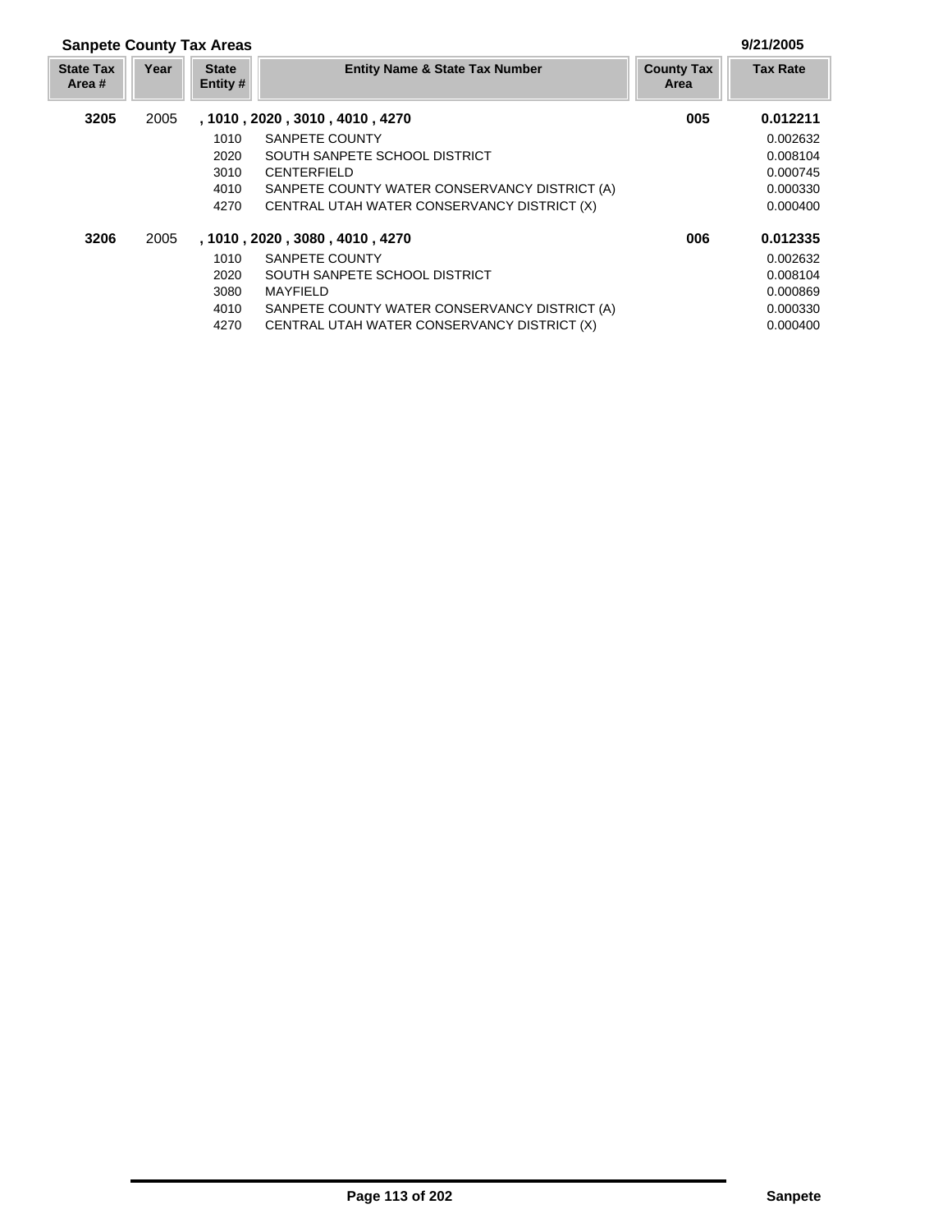| <b>Sanpete County Tax Areas</b> |      |                          |                                               |                           |                 |
|---------------------------------|------|--------------------------|-----------------------------------------------|---------------------------|-----------------|
| <b>State Tax</b><br>Area #      | Year | <b>State</b><br>Entity # | <b>Entity Name &amp; State Tax Number</b>     | <b>County Tax</b><br>Area | <b>Tax Rate</b> |
| 3205                            | 2005 |                          | , 1010, 2020, 3010, 4010, 4270                | 005                       | 0.012211        |
|                                 |      | 1010                     | SANPETE COUNTY                                |                           | 0.002632        |
|                                 |      | 2020                     | SOUTH SANPETE SCHOOL DISTRICT                 |                           | 0.008104        |
|                                 |      | 3010                     | <b>CENTERFIELD</b>                            |                           | 0.000745        |
|                                 |      | 4010                     | SANPETE COUNTY WATER CONSERVANCY DISTRICT (A) |                           | 0.000330        |
|                                 |      | 4270                     | CENTRAL UTAH WATER CONSERVANCY DISTRICT (X)   |                           | 0.000400        |
| 3206                            | 2005 |                          | , 1010, 2020, 3080, 4010, 4270                | 006                       | 0.012335        |
|                                 |      | 1010                     | SANPETE COUNTY                                |                           | 0.002632        |
|                                 |      | 2020                     | SOUTH SANPETE SCHOOL DISTRICT                 |                           | 0.008104        |
|                                 |      | 3080                     | MAYFIELD                                      |                           | 0.000869        |
|                                 |      | 4010                     | SANPETE COUNTY WATER CONSERVANCY DISTRICT (A) |                           | 0.000330        |
|                                 |      | 4270                     | CENTRAL UTAH WATER CONSERVANCY DISTRICT (X)   |                           | 0.000400        |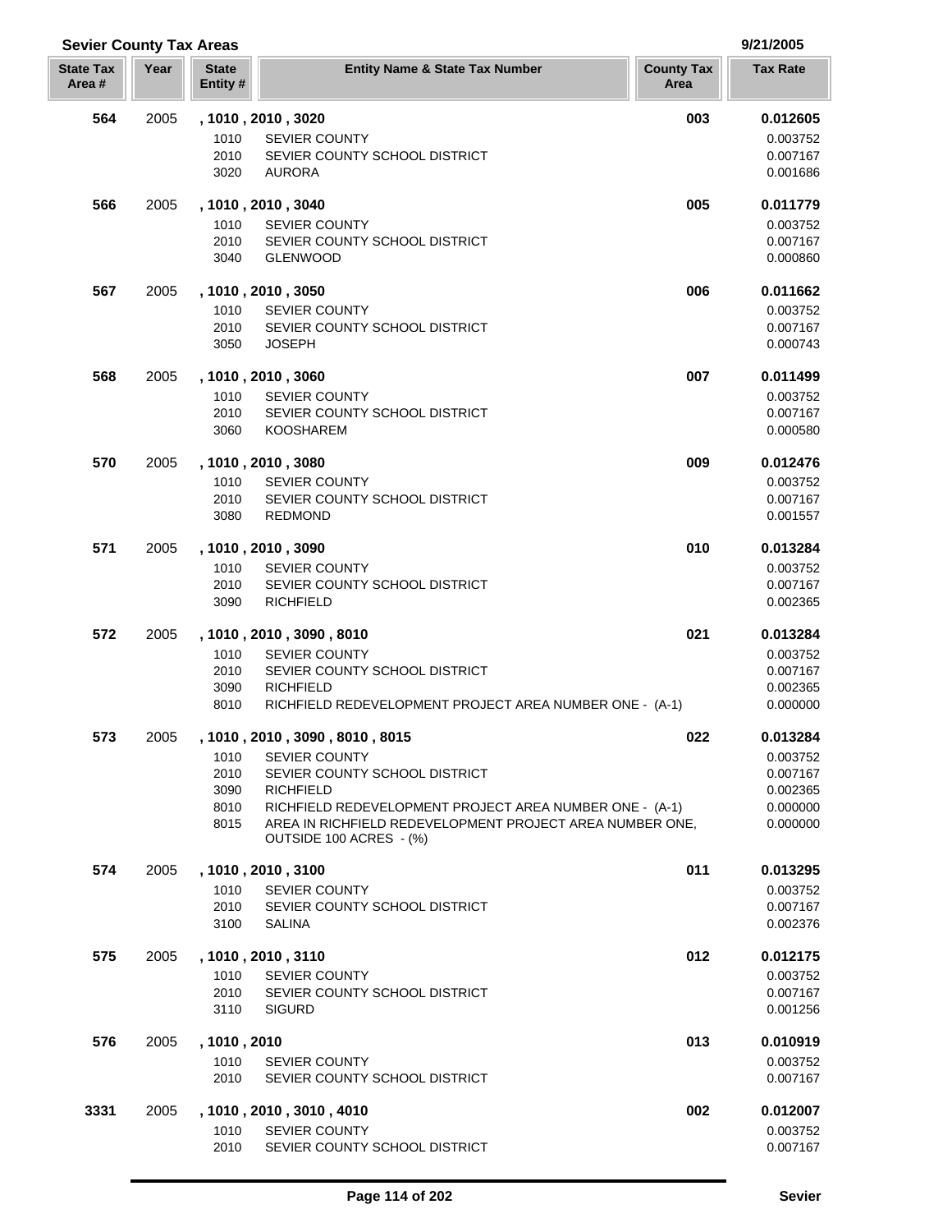| <b>Sevier County Tax Areas</b> |      |                         |                                                                             |                           | 9/21/2005            |  |
|--------------------------------|------|-------------------------|-----------------------------------------------------------------------------|---------------------------|----------------------|--|
| <b>State Tax</b><br>Area#      | Year | <b>State</b><br>Entity# | <b>Entity Name &amp; State Tax Number</b>                                   | <b>County Tax</b><br>Area | <b>Tax Rate</b>      |  |
| 564                            | 2005 |                         | , 1010, 2010, 3020                                                          | 003                       | 0.012605             |  |
|                                |      | 1010                    | <b>SEVIER COUNTY</b>                                                        |                           | 0.003752             |  |
|                                |      | 2010                    | SEVIER COUNTY SCHOOL DISTRICT                                               |                           | 0.007167             |  |
|                                |      | 3020                    | <b>AURORA</b>                                                               |                           | 0.001686             |  |
| 566                            | 2005 |                         | , 1010, 2010, 3040                                                          | 005                       | 0.011779             |  |
|                                |      | 1010                    | <b>SEVIER COUNTY</b>                                                        |                           | 0.003752             |  |
|                                |      | 2010                    | SEVIER COUNTY SCHOOL DISTRICT                                               |                           | 0.007167             |  |
|                                |      | 3040                    | <b>GLENWOOD</b>                                                             |                           | 0.000860             |  |
| 567                            | 2005 |                         | , 1010, 2010, 3050                                                          | 006                       | 0.011662             |  |
|                                |      | 1010                    | <b>SEVIER COUNTY</b>                                                        |                           | 0.003752             |  |
|                                |      | 2010                    | SEVIER COUNTY SCHOOL DISTRICT                                               |                           | 0.007167             |  |
|                                |      | 3050                    | <b>JOSEPH</b>                                                               |                           | 0.000743             |  |
| 568                            | 2005 |                         | , 1010, 2010, 3060                                                          | 007                       | 0.011499             |  |
|                                |      | 1010                    | <b>SEVIER COUNTY</b>                                                        |                           | 0.003752             |  |
|                                |      | 2010                    | SEVIER COUNTY SCHOOL DISTRICT                                               |                           | 0.007167             |  |
|                                |      | 3060                    | <b>KOOSHAREM</b>                                                            |                           | 0.000580             |  |
| 570                            | 2005 |                         | , 1010, 2010, 3080                                                          | 009                       | 0.012476             |  |
|                                |      | 1010                    | <b>SEVIER COUNTY</b>                                                        |                           | 0.003752             |  |
|                                |      | 2010                    | SEVIER COUNTY SCHOOL DISTRICT                                               |                           | 0.007167             |  |
|                                |      | 3080                    | <b>REDMOND</b>                                                              |                           | 0.001557             |  |
| 571                            | 2005 |                         | , 1010, 2010, 3090                                                          | 010                       | 0.013284             |  |
|                                |      | 1010                    | <b>SEVIER COUNTY</b>                                                        |                           | 0.003752             |  |
|                                |      | 2010                    | SEVIER COUNTY SCHOOL DISTRICT                                               |                           | 0.007167             |  |
|                                |      | 3090                    | <b>RICHFIELD</b>                                                            |                           | 0.002365             |  |
| 572                            | 2005 |                         | , 1010 , 2010 , 3090 , 8010                                                 | 021                       | 0.013284             |  |
|                                |      | 1010                    | <b>SEVIER COUNTY</b>                                                        |                           | 0.003752             |  |
|                                |      | 2010                    | SEVIER COUNTY SCHOOL DISTRICT                                               |                           | 0.007167             |  |
|                                |      | 3090                    | <b>RICHFIELD</b>                                                            |                           | 0.002365             |  |
|                                |      | 8010                    | RICHFIELD REDEVELOPMENT PROJECT AREA NUMBER ONE - (A-1)                     |                           | 0.000000             |  |
| 573                            | 2005 |                         | , 1010, 2010, 3090, 8010, 8015                                              | 022                       | 0.013284             |  |
|                                |      | 1010                    | <b>SEVIER COUNTY</b>                                                        |                           | 0.003752             |  |
|                                |      | 2010                    | SEVIER COUNTY SCHOOL DISTRICT                                               |                           | 0.007167             |  |
|                                |      | 3090<br>8010            | <b>RICHFIELD</b><br>RICHFIELD REDEVELOPMENT PROJECT AREA NUMBER ONE - (A-1) |                           | 0.002365<br>0.000000 |  |
|                                |      | 8015                    | AREA IN RICHFIELD REDEVELOPMENT PROJECT AREA NUMBER ONE.                    |                           | 0.000000             |  |
|                                |      |                         | OUTSIDE 100 ACRES - (%)                                                     |                           |                      |  |
| 574                            | 2005 |                         | , 1010, 2010, 3100                                                          | 011                       | 0.013295             |  |
|                                |      | 1010                    | <b>SEVIER COUNTY</b>                                                        |                           | 0.003752             |  |
|                                |      | 2010                    | SEVIER COUNTY SCHOOL DISTRICT                                               |                           | 0.007167             |  |
|                                |      | 3100                    | <b>SALINA</b>                                                               |                           | 0.002376             |  |
| 575                            | 2005 |                         | , 1010 , 2010 , 3110                                                        | 012                       | 0.012175             |  |
|                                |      | 1010                    | <b>SEVIER COUNTY</b>                                                        |                           | 0.003752             |  |
|                                |      | 2010                    | SEVIER COUNTY SCHOOL DISTRICT                                               |                           | 0.007167             |  |
|                                |      | 3110                    | <b>SIGURD</b>                                                               |                           | 0.001256             |  |
| 576                            | 2005 | , 1010 , 2010           |                                                                             | 013                       | 0.010919             |  |
|                                |      | 1010                    | <b>SEVIER COUNTY</b>                                                        |                           | 0.003752             |  |
|                                |      | 2010                    | SEVIER COUNTY SCHOOL DISTRICT                                               |                           | 0.007167             |  |
| 3331                           | 2005 |                         | , 1010 , 2010 , 3010 , 4010                                                 | 002                       | 0.012007             |  |
|                                |      | 1010                    | <b>SEVIER COUNTY</b>                                                        |                           | 0.003752             |  |
|                                |      | 2010                    | SEVIER COUNTY SCHOOL DISTRICT                                               |                           | 0.007167             |  |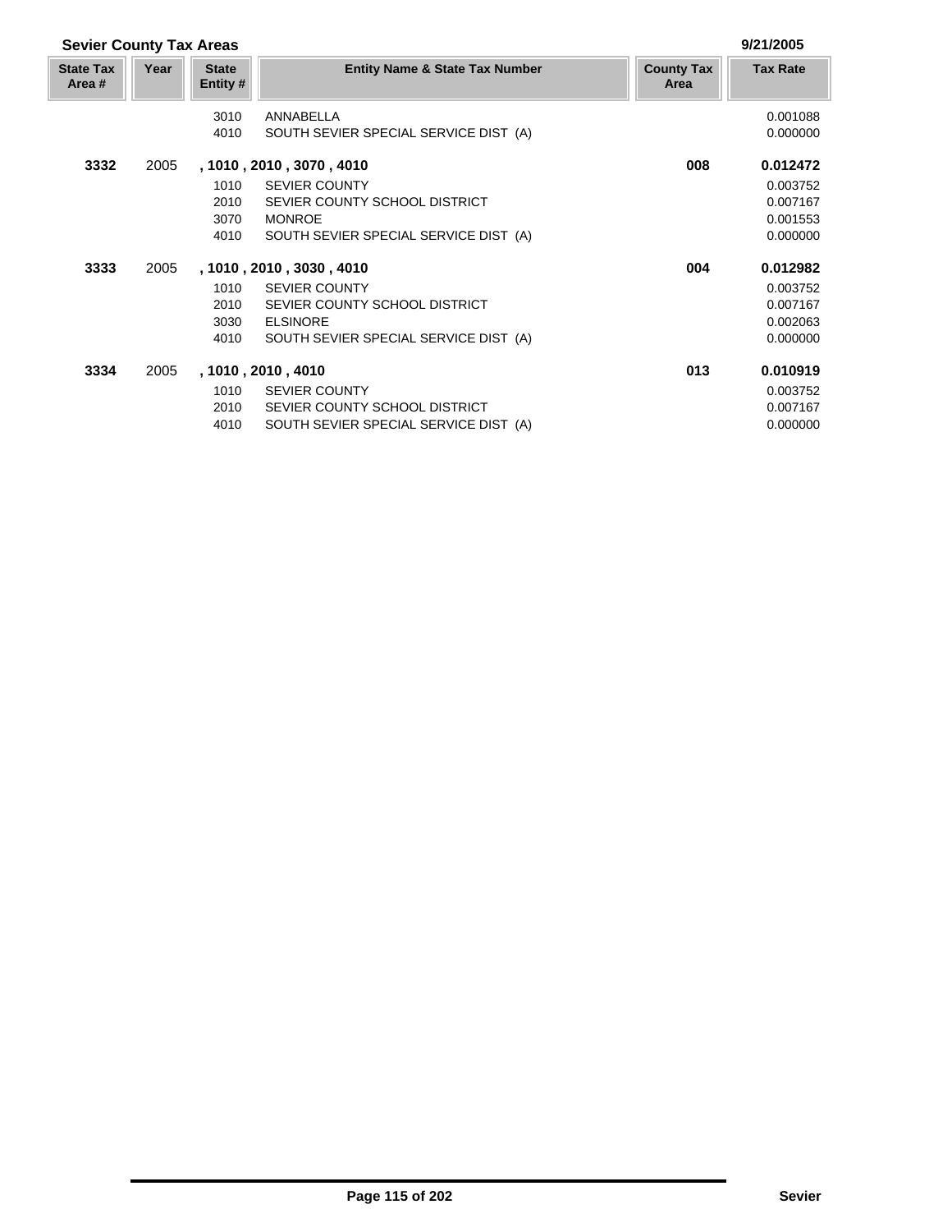|      |                          |                                           |                                                                                  | 9/21/2005       |
|------|--------------------------|-------------------------------------------|----------------------------------------------------------------------------------|-----------------|
| Year | <b>State</b><br>Entity # | <b>Entity Name &amp; State Tax Number</b> | <b>County Tax</b><br>Area                                                        | <b>Tax Rate</b> |
|      | 3010                     | ANNABELLA                                 |                                                                                  | 0.001088        |
|      | 4010                     | SOUTH SEVIER SPECIAL SERVICE DIST (A)     |                                                                                  | 0.000000        |
| 2005 |                          |                                           | 008                                                                              | 0.012472        |
|      | 1010                     | <b>SEVIER COUNTY</b>                      |                                                                                  | 0.003752        |
|      | 2010                     | SEVIER COUNTY SCHOOL DISTRICT             |                                                                                  | 0.007167        |
|      | 3070                     | <b>MONROE</b>                             |                                                                                  | 0.001553        |
|      | 4010                     | SOUTH SEVIER SPECIAL SERVICE DIST (A)     |                                                                                  | 0.000000        |
| 2005 |                          |                                           | 004                                                                              | 0.012982        |
|      | 1010                     | <b>SEVIER COUNTY</b>                      |                                                                                  | 0.003752        |
|      | 2010                     | SEVIER COUNTY SCHOOL DISTRICT             |                                                                                  | 0.007167        |
|      | 3030                     | <b>ELSINORE</b>                           |                                                                                  | 0.002063        |
|      | 4010                     | SOUTH SEVIER SPECIAL SERVICE DIST (A)     |                                                                                  | 0.000000        |
| 2005 |                          |                                           | 013                                                                              | 0.010919        |
|      | 1010                     | <b>SEVIER COUNTY</b>                      |                                                                                  | 0.003752        |
|      | 2010                     | SEVIER COUNTY SCHOOL DISTRICT             |                                                                                  | 0.007167        |
|      | 4010                     | SOUTH SEVIER SPECIAL SERVICE DIST (A)     |                                                                                  | 0.000000        |
|      |                          | <b>Sevier County Tax Areas</b>            | , 1010 , 2010 , 3070 , 4010<br>, 1010 , 2010 , 3030 , 4010<br>, 1010, 2010, 4010 |                 |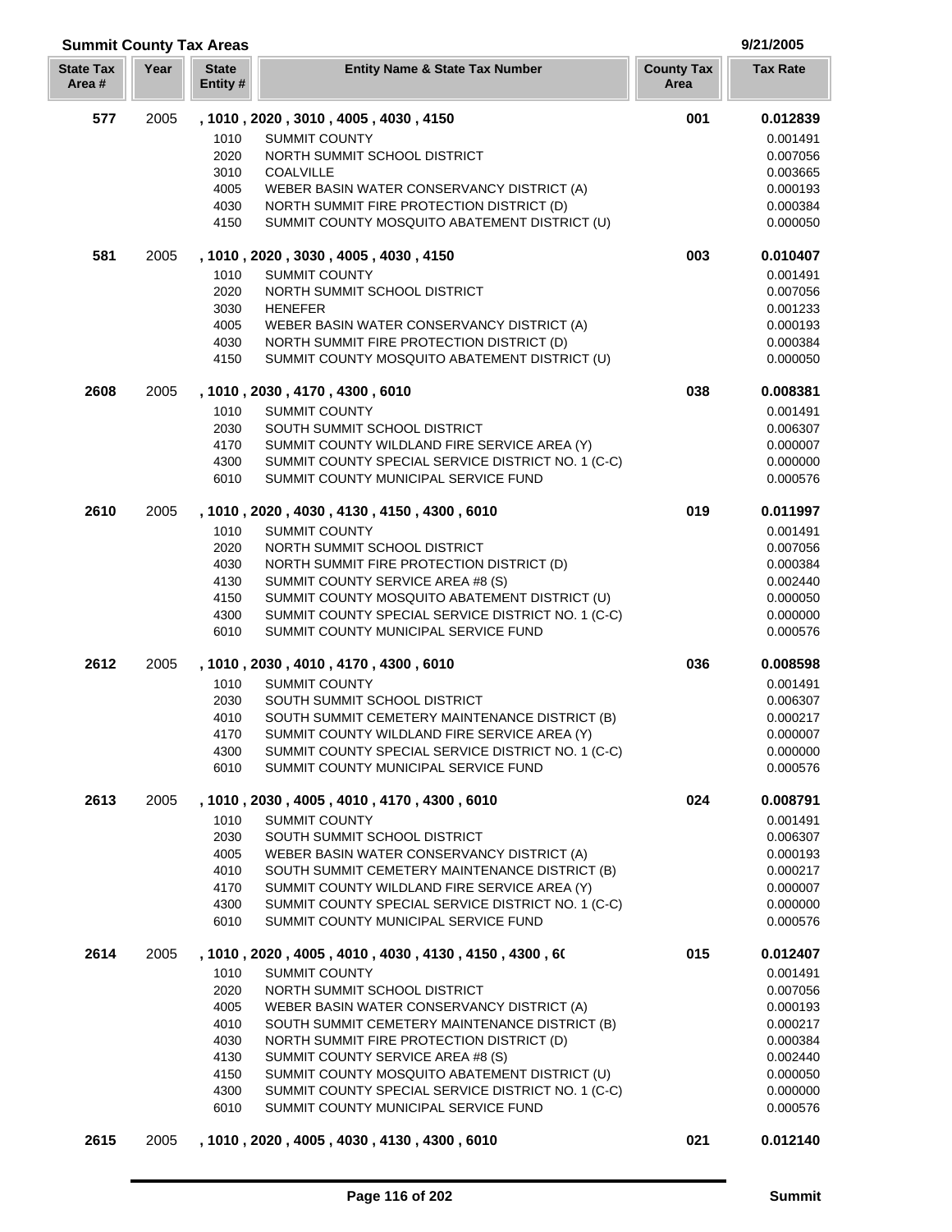| <b>Summit County Tax Areas</b> |      |                                      | 9/21/2005                                                                                  |                           |                      |
|--------------------------------|------|--------------------------------------|--------------------------------------------------------------------------------------------|---------------------------|----------------------|
| <b>State Tax</b><br>Area#      | Year | <b>State</b><br>Entity #             | <b>Entity Name &amp; State Tax Number</b>                                                  | <b>County Tax</b><br>Area | <b>Tax Rate</b>      |
| 577                            | 2005 | , 1010, 2020, 3010, 4005, 4030, 4150 |                                                                                            | 001                       | 0.012839             |
|                                |      | 1010<br><b>SUMMIT COUNTY</b>         |                                                                                            |                           | 0.001491             |
|                                |      | 2020                                 | NORTH SUMMIT SCHOOL DISTRICT                                                               |                           | 0.007056             |
|                                |      | 3010<br><b>COALVILLE</b>             |                                                                                            |                           | 0.003665             |
|                                |      | 4005                                 | WEBER BASIN WATER CONSERVANCY DISTRICT (A)                                                 |                           | 0.000193             |
|                                |      | 4030                                 | NORTH SUMMIT FIRE PROTECTION DISTRICT (D)                                                  |                           | 0.000384             |
|                                |      | 4150                                 | SUMMIT COUNTY MOSQUITO ABATEMENT DISTRICT (U)                                              |                           | 0.000050             |
| 581                            | 2005 | , 1010, 2020, 3030, 4005, 4030, 4150 |                                                                                            | 003                       | 0.010407             |
|                                |      | 1010<br><b>SUMMIT COUNTY</b>         |                                                                                            |                           | 0.001491             |
|                                |      | 2020                                 | NORTH SUMMIT SCHOOL DISTRICT                                                               |                           | 0.007056             |
|                                |      | 3030<br><b>HENEFER</b>               |                                                                                            |                           | 0.001233             |
|                                |      | 4005                                 | WEBER BASIN WATER CONSERVANCY DISTRICT (A)                                                 |                           | 0.000193             |
|                                |      | 4030                                 | NORTH SUMMIT FIRE PROTECTION DISTRICT (D)                                                  |                           | 0.000384             |
|                                |      | 4150                                 | SUMMIT COUNTY MOSQUITO ABATEMENT DISTRICT (U)                                              |                           | 0.000050             |
| 2608                           | 2005 | , 1010, 2030, 4170, 4300, 6010       |                                                                                            | 038                       | 0.008381             |
|                                |      | 1010<br><b>SUMMIT COUNTY</b>         |                                                                                            |                           | 0.001491             |
|                                |      | 2030                                 | SOUTH SUMMIT SCHOOL DISTRICT                                                               |                           | 0.006307             |
|                                |      | 4170                                 | SUMMIT COUNTY WILDLAND FIRE SERVICE AREA (Y)                                               |                           | 0.000007             |
|                                |      | 4300                                 | SUMMIT COUNTY SPECIAL SERVICE DISTRICT NO. 1 (C-C)                                         |                           | 0.000000             |
|                                |      | 6010                                 | SUMMIT COUNTY MUNICIPAL SERVICE FUND                                                       |                           | 0.000576             |
| 2610                           | 2005 |                                      | , 1010 , 2020 , 4030 , 4130 , 4150 , 4300 , 6010                                           | 019                       | 0.011997             |
|                                |      | <b>SUMMIT COUNTY</b><br>1010         |                                                                                            |                           | 0.001491             |
|                                |      | 2020                                 | NORTH SUMMIT SCHOOL DISTRICT                                                               |                           | 0.007056             |
|                                |      | 4030                                 | NORTH SUMMIT FIRE PROTECTION DISTRICT (D)                                                  |                           | 0.000384             |
|                                |      | 4130                                 | SUMMIT COUNTY SERVICE AREA #8 (S)                                                          |                           | 0.002440             |
|                                |      | 4150                                 | SUMMIT COUNTY MOSQUITO ABATEMENT DISTRICT (U)                                              |                           | 0.000050             |
|                                |      | 4300<br>6010                         | SUMMIT COUNTY SPECIAL SERVICE DISTRICT NO. 1 (C-C)<br>SUMMIT COUNTY MUNICIPAL SERVICE FUND |                           | 0.000000<br>0.000576 |
| 2612                           | 2005 | , 1010, 2030, 4010, 4170, 4300, 6010 |                                                                                            | 036                       | 0.008598             |
|                                |      | 1010<br><b>SUMMIT COUNTY</b>         |                                                                                            |                           | 0.001491             |
|                                |      | 2030                                 | SOUTH SUMMIT SCHOOL DISTRICT                                                               |                           | 0.006307             |
|                                |      | 4010                                 | SOUTH SUMMIT CEMETERY MAINTENANCE DISTRICT (B)                                             |                           | 0.000217             |
|                                |      | 4170                                 | SUMMIT COUNTY WILDLAND FIRE SERVICE AREA (Y)                                               |                           | 0.000007             |
|                                |      | 4300                                 | SUMMIT COUNTY SPECIAL SERVICE DISTRICT NO. 1 (C-C)                                         |                           | 0.000000             |
|                                |      | 6010                                 | SUMMIT COUNTY MUNICIPAL SERVICE FUND                                                       |                           | 0.000576             |
| 2613                           | 2005 |                                      | , 1010 , 2030 , 4005 , 4010 , 4170 , 4300 , 6010                                           | 024                       | 0.008791             |
|                                |      | 1010<br><b>SUMMIT COUNTY</b>         |                                                                                            |                           | 0.001491             |
|                                |      | 2030                                 | SOUTH SUMMIT SCHOOL DISTRICT                                                               |                           | 0.006307             |
|                                |      | 4005                                 | WEBER BASIN WATER CONSERVANCY DISTRICT (A)                                                 |                           | 0.000193             |
|                                |      | 4010                                 | SOUTH SUMMIT CEMETERY MAINTENANCE DISTRICT (B)                                             |                           | 0.000217             |
|                                |      | 4170                                 | SUMMIT COUNTY WILDLAND FIRE SERVICE AREA (Y)                                               |                           | 0.000007             |
|                                |      | 4300                                 | SUMMIT COUNTY SPECIAL SERVICE DISTRICT NO. 1 (C-C)                                         |                           | 0.000000             |
|                                |      | 6010                                 | SUMMIT COUNTY MUNICIPAL SERVICE FUND                                                       |                           | 0.000576             |
| 2614                           | 2005 |                                      | , 1010, 2020, 4005, 4010, 4030, 4130, 4150, 4300, 60                                       | 015                       | 0.012407             |
|                                |      | 1010<br><b>SUMMIT COUNTY</b>         |                                                                                            |                           | 0.001491             |
|                                |      | 2020                                 | NORTH SUMMIT SCHOOL DISTRICT                                                               |                           | 0.007056             |
|                                |      | 4005                                 | WEBER BASIN WATER CONSERVANCY DISTRICT (A)                                                 |                           | 0.000193             |
|                                |      | 4010                                 | SOUTH SUMMIT CEMETERY MAINTENANCE DISTRICT (B)                                             |                           | 0.000217             |
|                                |      | 4030                                 | NORTH SUMMIT FIRE PROTECTION DISTRICT (D)                                                  |                           | 0.000384             |
|                                |      | 4130                                 | SUMMIT COUNTY SERVICE AREA #8 (S)                                                          |                           | 0.002440             |
|                                |      | 4150                                 | SUMMIT COUNTY MOSQUITO ABATEMENT DISTRICT (U)                                              |                           | 0.000050             |
|                                |      | 4300                                 | SUMMIT COUNTY SPECIAL SERVICE DISTRICT NO. 1 (C-C)                                         |                           | 0.000000             |
|                                |      | 6010                                 | SUMMIT COUNTY MUNICIPAL SERVICE FUND                                                       |                           | 0.000576             |
| 2615                           | 2005 |                                      | , 1010, 2020, 4005, 4030, 4130, 4300, 6010                                                 | 021                       | 0.012140             |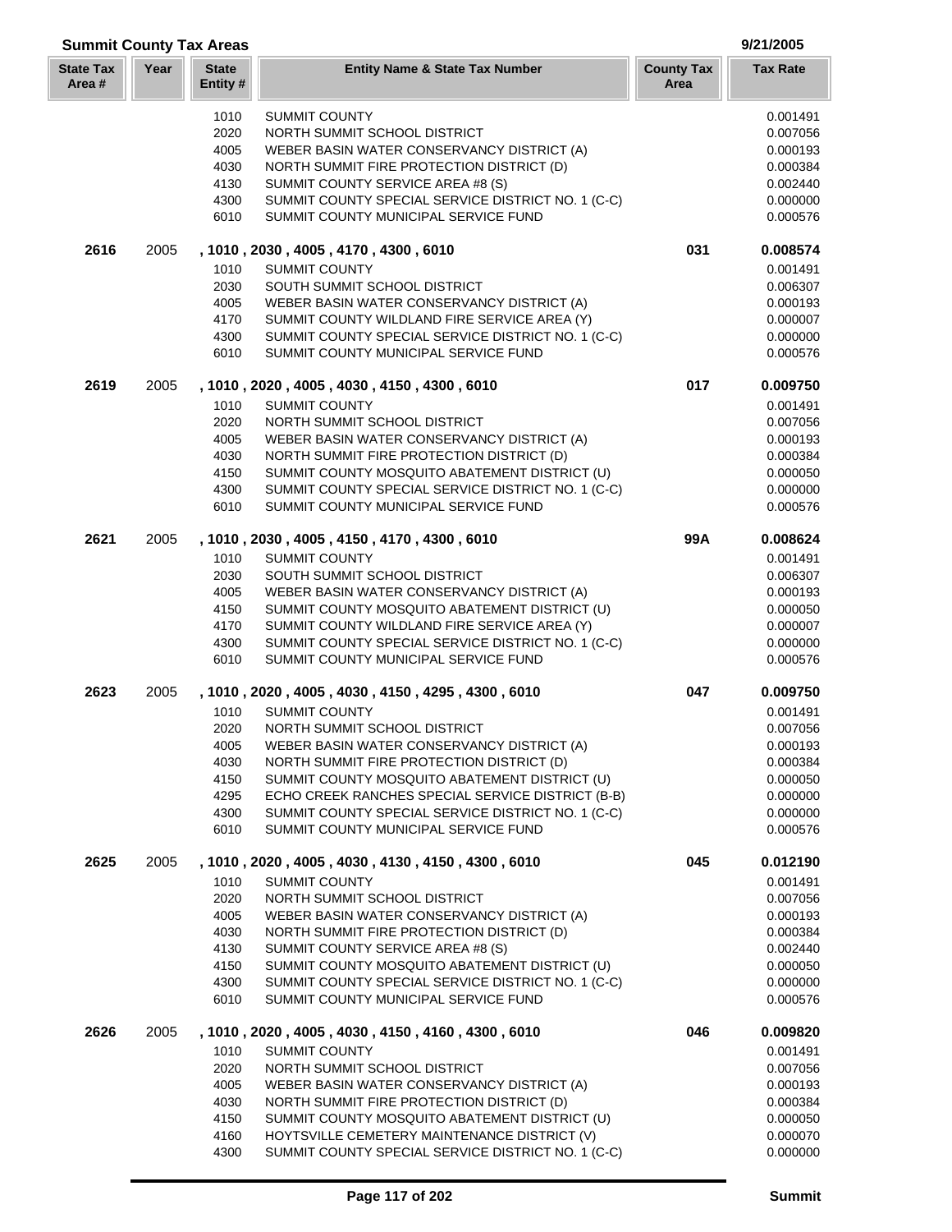| <b>Summit County Tax Areas</b> |      |                         |                                                                                               |                           | 9/21/2005            |  |
|--------------------------------|------|-------------------------|-----------------------------------------------------------------------------------------------|---------------------------|----------------------|--|
| <b>State Tax</b><br>Area #     | Year | <b>State</b><br>Entity# | <b>Entity Name &amp; State Tax Number</b>                                                     | <b>County Tax</b><br>Area | <b>Tax Rate</b>      |  |
|                                |      | 1010                    | <b>SUMMIT COUNTY</b>                                                                          |                           | 0.001491             |  |
|                                |      | 2020                    | NORTH SUMMIT SCHOOL DISTRICT                                                                  |                           | 0.007056             |  |
|                                |      | 4005                    | WEBER BASIN WATER CONSERVANCY DISTRICT (A)                                                    |                           | 0.000193             |  |
|                                |      | 4030                    | NORTH SUMMIT FIRE PROTECTION DISTRICT (D)                                                     |                           | 0.000384             |  |
|                                |      | 4130                    | SUMMIT COUNTY SERVICE AREA #8 (S)                                                             |                           | 0.002440             |  |
|                                |      | 4300                    | SUMMIT COUNTY SPECIAL SERVICE DISTRICT NO. 1 (C-C)                                            |                           | 0.000000             |  |
|                                |      | 6010                    | SUMMIT COUNTY MUNICIPAL SERVICE FUND                                                          |                           | 0.000576             |  |
| 2616                           | 2005 |                         | , 1010, 2030, 4005, 4170, 4300, 6010                                                          | 031                       | 0.008574             |  |
|                                |      | 1010                    | <b>SUMMIT COUNTY</b>                                                                          |                           | 0.001491             |  |
|                                |      | 2030                    | SOUTH SUMMIT SCHOOL DISTRICT                                                                  |                           | 0.006307             |  |
|                                |      | 4005                    | WEBER BASIN WATER CONSERVANCY DISTRICT (A)                                                    |                           | 0.000193             |  |
|                                |      | 4170                    | SUMMIT COUNTY WILDLAND FIRE SERVICE AREA (Y)                                                  |                           | 0.000007             |  |
|                                |      | 4300                    | SUMMIT COUNTY SPECIAL SERVICE DISTRICT NO. 1 (C-C)                                            |                           | 0.000000             |  |
|                                |      | 6010                    | SUMMIT COUNTY MUNICIPAL SERVICE FUND                                                          |                           | 0.000576             |  |
| 2619                           | 2005 |                         | , 1010, 2020, 4005, 4030, 4150, 4300, 6010                                                    | 017                       | 0.009750             |  |
|                                |      | 1010                    | <b>SUMMIT COUNTY</b>                                                                          |                           | 0.001491             |  |
|                                |      | 2020                    | NORTH SUMMIT SCHOOL DISTRICT                                                                  |                           | 0.007056             |  |
|                                |      | 4005                    | WEBER BASIN WATER CONSERVANCY DISTRICT (A)                                                    |                           | 0.000193             |  |
|                                |      | 4030                    | NORTH SUMMIT FIRE PROTECTION DISTRICT (D)                                                     |                           | 0.000384             |  |
|                                |      | 4150<br>4300            | SUMMIT COUNTY MOSQUITO ABATEMENT DISTRICT (U)                                                 |                           | 0.000050             |  |
|                                |      |                         | SUMMIT COUNTY SPECIAL SERVICE DISTRICT NO. 1 (C-C)                                            |                           | 0.000000             |  |
|                                |      | 6010                    | SUMMIT COUNTY MUNICIPAL SERVICE FUND                                                          |                           | 0.000576             |  |
| 2621                           | 2005 |                         | , 1010, 2030, 4005, 4150, 4170, 4300, 6010                                                    | 99A                       | 0.008624             |  |
|                                |      | 1010                    | <b>SUMMIT COUNTY</b>                                                                          |                           | 0.001491             |  |
|                                |      | 2030                    | SOUTH SUMMIT SCHOOL DISTRICT                                                                  |                           | 0.006307             |  |
|                                |      | 4005                    | WEBER BASIN WATER CONSERVANCY DISTRICT (A)                                                    |                           | 0.000193             |  |
|                                |      | 4150                    | SUMMIT COUNTY MOSQUITO ABATEMENT DISTRICT (U)                                                 |                           | 0.000050             |  |
|                                |      | 4170                    | SUMMIT COUNTY WILDLAND FIRE SERVICE AREA (Y)                                                  |                           | 0.000007             |  |
|                                |      | 4300<br>6010            | SUMMIT COUNTY SPECIAL SERVICE DISTRICT NO. 1 (C-C)<br>SUMMIT COUNTY MUNICIPAL SERVICE FUND    |                           | 0.000000<br>0.000576 |  |
| 2623                           | 2005 |                         | , 1010, 2020, 4005, 4030, 4150, 4295, 4300, 6010                                              | 047                       | 0.009750             |  |
|                                |      | 1010                    | <b>SUMMIT COUNTY</b>                                                                          |                           | 0.001491             |  |
|                                |      | 2020                    | NORTH SUMMIT SCHOOL DISTRICT                                                                  |                           | 0.007056             |  |
|                                |      | 4005                    | WEBER BASIN WATER CONSERVANCY DISTRICT (A)                                                    |                           | 0.000193             |  |
|                                |      | 4030                    | NORTH SUMMIT FIRE PROTECTION DISTRICT (D)                                                     |                           | 0.000384             |  |
|                                |      | 4150                    | SUMMIT COUNTY MOSQUITO ABATEMENT DISTRICT (U)                                                 |                           | 0.000050             |  |
|                                |      | 4295                    | ECHO CREEK RANCHES SPECIAL SERVICE DISTRICT (B-B)                                             |                           | 0.000000             |  |
|                                |      | 4300                    | SUMMIT COUNTY SPECIAL SERVICE DISTRICT NO. 1 (C-C)                                            |                           | 0.000000             |  |
|                                |      | 6010                    | SUMMIT COUNTY MUNICIPAL SERVICE FUND                                                          |                           | 0.000576             |  |
| 2625                           | 2005 |                         | , 1010, 2020, 4005, 4030, 4130, 4150, 4300, 6010                                              | 045                       | 0.012190             |  |
|                                |      | 1010                    | <b>SUMMIT COUNTY</b>                                                                          |                           | 0.001491             |  |
|                                |      | 2020                    | NORTH SUMMIT SCHOOL DISTRICT                                                                  |                           | 0.007056             |  |
|                                |      | 4005                    | WEBER BASIN WATER CONSERVANCY DISTRICT (A)                                                    |                           | 0.000193             |  |
|                                |      | 4030                    | NORTH SUMMIT FIRE PROTECTION DISTRICT (D)                                                     |                           | 0.000384             |  |
|                                |      | 4130                    | SUMMIT COUNTY SERVICE AREA #8 (S)                                                             |                           | 0.002440             |  |
|                                |      | 4150                    | SUMMIT COUNTY MOSQUITO ABATEMENT DISTRICT (U)                                                 |                           | 0.000050             |  |
|                                |      | 4300                    | SUMMIT COUNTY SPECIAL SERVICE DISTRICT NO. 1 (C-C)                                            |                           | 0.000000             |  |
|                                |      | 6010                    | SUMMIT COUNTY MUNICIPAL SERVICE FUND                                                          |                           | 0.000576             |  |
| 2626                           | 2005 |                         | , 1010, 2020, 4005, 4030, 4150, 4160, 4300, 6010                                              | 046                       | 0.009820             |  |
|                                |      | 1010                    | SUMMIT COUNTY                                                                                 |                           | 0.001491             |  |
|                                |      | 2020                    | NORTH SUMMIT SCHOOL DISTRICT                                                                  |                           | 0.007056             |  |
|                                |      | 4005                    | WEBER BASIN WATER CONSERVANCY DISTRICT (A)                                                    |                           | 0.000193             |  |
|                                |      | 4030                    | NORTH SUMMIT FIRE PROTECTION DISTRICT (D)                                                     |                           | 0.000384             |  |
|                                |      | 4150<br>4160            | SUMMIT COUNTY MOSQUITO ABATEMENT DISTRICT (U)<br>HOYTSVILLE CEMETERY MAINTENANCE DISTRICT (V) |                           | 0.000050<br>0.000070 |  |
|                                |      | 4300                    | SUMMIT COUNTY SPECIAL SERVICE DISTRICT NO. 1 (C-C)                                            |                           | 0.000000             |  |
|                                |      |                         |                                                                                               |                           |                      |  |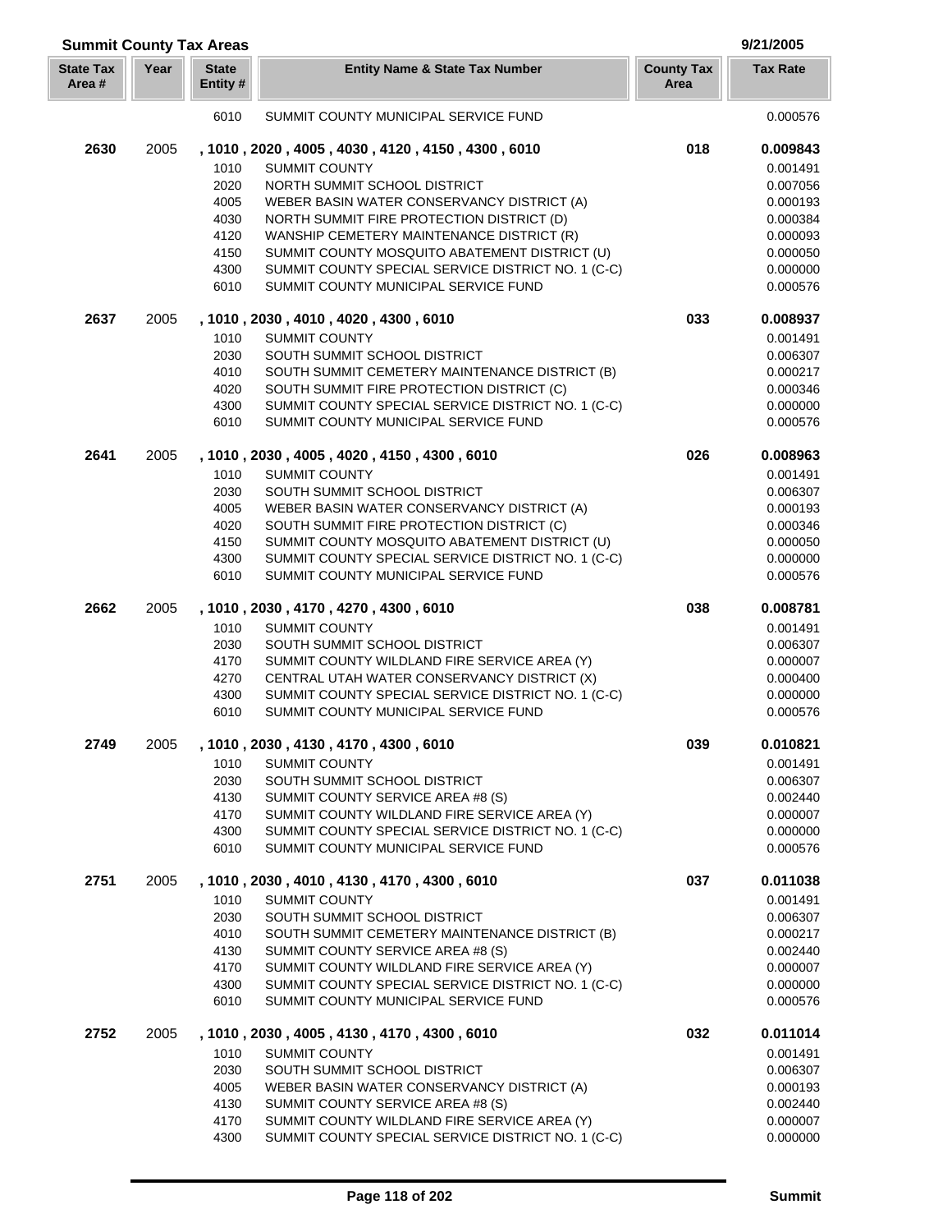| <b>Summit County Tax Areas</b> |      |                          |                                                                                                     |                           | 9/21/2005            |
|--------------------------------|------|--------------------------|-----------------------------------------------------------------------------------------------------|---------------------------|----------------------|
| <b>State Tax</b><br>Area#      | Year | <b>State</b><br>Entity # | <b>Entity Name &amp; State Tax Number</b>                                                           | <b>County Tax</b><br>Area | <b>Tax Rate</b>      |
|                                |      | 6010                     | SUMMIT COUNTY MUNICIPAL SERVICE FUND                                                                |                           | 0.000576             |
| 2630                           | 2005 |                          | , 1010, 2020, 4005, 4030, 4120, 4150, 4300, 6010                                                    | 018                       | 0.009843             |
|                                |      | 1010                     | <b>SUMMIT COUNTY</b>                                                                                |                           | 0.001491             |
|                                |      | 2020                     | NORTH SUMMIT SCHOOL DISTRICT                                                                        |                           | 0.007056             |
|                                |      | 4005                     | WEBER BASIN WATER CONSERVANCY DISTRICT (A)                                                          |                           | 0.000193             |
|                                |      | 4030                     | NORTH SUMMIT FIRE PROTECTION DISTRICT (D)                                                           |                           | 0.000384             |
|                                |      | 4120                     | WANSHIP CEMETERY MAINTENANCE DISTRICT (R)                                                           |                           | 0.000093             |
|                                |      | 4150<br>4300             | SUMMIT COUNTY MOSQUITO ABATEMENT DISTRICT (U)<br>SUMMIT COUNTY SPECIAL SERVICE DISTRICT NO. 1 (C-C) |                           | 0.000050<br>0.000000 |
|                                |      | 6010                     | SUMMIT COUNTY MUNICIPAL SERVICE FUND                                                                |                           | 0.000576             |
| 2637                           | 2005 |                          | , 1010, 2030, 4010, 4020, 4300, 6010                                                                | 033                       | 0.008937             |
|                                |      | 1010                     | <b>SUMMIT COUNTY</b>                                                                                |                           | 0.001491             |
|                                |      | 2030                     | SOUTH SUMMIT SCHOOL DISTRICT                                                                        |                           | 0.006307             |
|                                |      | 4010                     | SOUTH SUMMIT CEMETERY MAINTENANCE DISTRICT (B)                                                      |                           | 0.000217             |
|                                |      | 4020                     | SOUTH SUMMIT FIRE PROTECTION DISTRICT (C)                                                           |                           | 0.000346             |
|                                |      | 4300<br>6010             | SUMMIT COUNTY SPECIAL SERVICE DISTRICT NO. 1 (C-C)<br>SUMMIT COUNTY MUNICIPAL SERVICE FUND          |                           | 0.000000<br>0.000576 |
| 2641                           | 2005 |                          | , 1010, 2030, 4005, 4020, 4150, 4300, 6010                                                          | 026                       | 0.008963             |
|                                |      | 1010                     | <b>SUMMIT COUNTY</b>                                                                                |                           | 0.001491             |
|                                |      | 2030                     | SOUTH SUMMIT SCHOOL DISTRICT                                                                        |                           | 0.006307             |
|                                |      | 4005                     | WEBER BASIN WATER CONSERVANCY DISTRICT (A)                                                          |                           | 0.000193             |
|                                |      | 4020                     | SOUTH SUMMIT FIRE PROTECTION DISTRICT (C)                                                           |                           | 0.000346             |
|                                |      | 4150                     | SUMMIT COUNTY MOSQUITO ABATEMENT DISTRICT (U)                                                       |                           | 0.000050             |
|                                |      | 4300                     | SUMMIT COUNTY SPECIAL SERVICE DISTRICT NO. 1 (C-C)                                                  |                           | 0.000000             |
|                                |      | 6010                     | SUMMIT COUNTY MUNICIPAL SERVICE FUND                                                                |                           | 0.000576             |
| 2662                           | 2005 |                          | , 1010, 2030, 4170, 4270, 4300, 6010                                                                | 038                       | 0.008781             |
|                                |      | 1010                     | <b>SUMMIT COUNTY</b>                                                                                |                           | 0.001491             |
|                                |      | 2030                     | SOUTH SUMMIT SCHOOL DISTRICT                                                                        |                           | 0.006307             |
|                                |      | 4170<br>4270             | SUMMIT COUNTY WILDLAND FIRE SERVICE AREA (Y)<br>CENTRAL UTAH WATER CONSERVANCY DISTRICT (X)         |                           | 0.000007<br>0.000400 |
|                                |      | 4300                     | SUMMIT COUNTY SPECIAL SERVICE DISTRICT NO. 1 (C-C)                                                  |                           | 0.000000             |
|                                |      | 6010                     | SUMMIT COUNTY MUNICIPAL SERVICE FUND                                                                |                           | 0.000576             |
| 2749                           | 2005 |                          | , 1010, 2030, 4130, 4170, 4300, 6010                                                                | 039                       | 0.010821             |
|                                |      | 1010                     | <b>SUMMIT COUNTY</b>                                                                                |                           | 0.001491             |
|                                |      | 2030                     | SOUTH SUMMIT SCHOOL DISTRICT                                                                        |                           | 0.006307             |
|                                |      | 4130                     | SUMMIT COUNTY SERVICE AREA #8 (S)                                                                   |                           | 0.002440             |
|                                |      | 4170<br>4300             | SUMMIT COUNTY WILDLAND FIRE SERVICE AREA (Y)<br>SUMMIT COUNTY SPECIAL SERVICE DISTRICT NO. 1 (C-C)  |                           | 0.000007<br>0.000000 |
|                                |      | 6010                     | SUMMIT COUNTY MUNICIPAL SERVICE FUND                                                                |                           | 0.000576             |
| 2751                           | 2005 |                          | , 1010 , 2030 , 4010 , 4130 , 4170 , 4300 , 6010                                                    | 037                       | 0.011038             |
|                                |      | 1010                     | <b>SUMMIT COUNTY</b>                                                                                |                           | 0.001491             |
|                                |      | 2030                     | SOUTH SUMMIT SCHOOL DISTRICT                                                                        |                           | 0.006307             |
|                                |      | 4010                     | SOUTH SUMMIT CEMETERY MAINTENANCE DISTRICT (B)                                                      |                           | 0.000217             |
|                                |      | 4130                     | SUMMIT COUNTY SERVICE AREA #8 (S)                                                                   |                           | 0.002440             |
|                                |      | 4170<br>4300             | SUMMIT COUNTY WILDLAND FIRE SERVICE AREA (Y)                                                        |                           | 0.000007<br>0.000000 |
|                                |      | 6010                     | SUMMIT COUNTY SPECIAL SERVICE DISTRICT NO. 1 (C-C)<br>SUMMIT COUNTY MUNICIPAL SERVICE FUND          |                           | 0.000576             |
| 2752                           | 2005 |                          | , 1010, 2030, 4005, 4130, 4170, 4300, 6010                                                          | 032                       | 0.011014             |
|                                |      | 1010                     | <b>SUMMIT COUNTY</b>                                                                                |                           | 0.001491             |
|                                |      | 2030                     | SOUTH SUMMIT SCHOOL DISTRICT                                                                        |                           | 0.006307             |
|                                |      | 4005                     | WEBER BASIN WATER CONSERVANCY DISTRICT (A)                                                          |                           | 0.000193             |
|                                |      | 4130                     | SUMMIT COUNTY SERVICE AREA #8 (S)                                                                   |                           | 0.002440             |
|                                |      | 4170                     | SUMMIT COUNTY WILDLAND FIRE SERVICE AREA (Y)                                                        |                           | 0.000007             |
|                                |      | 4300                     | SUMMIT COUNTY SPECIAL SERVICE DISTRICT NO. 1 (C-C)                                                  |                           | 0.000000             |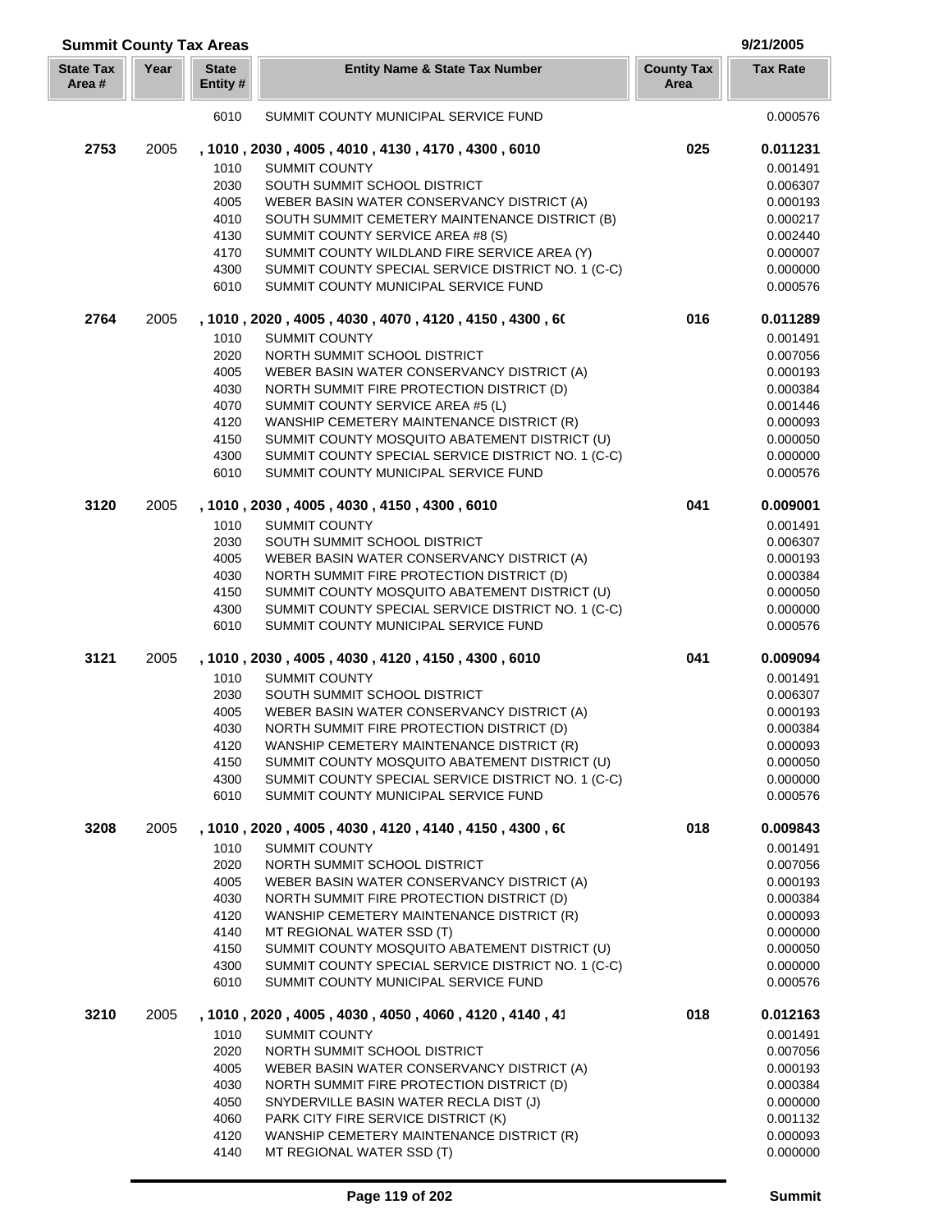| <b>Summit County Tax Areas</b> |      |                          |                                                                                            |                           | 9/21/2005            |  |
|--------------------------------|------|--------------------------|--------------------------------------------------------------------------------------------|---------------------------|----------------------|--|
| <b>State Tax</b><br>Area#      | Year | <b>State</b><br>Entity # | <b>Entity Name &amp; State Tax Number</b>                                                  | <b>County Tax</b><br>Area | <b>Tax Rate</b>      |  |
|                                |      | 6010                     | SUMMIT COUNTY MUNICIPAL SERVICE FUND                                                       |                           | 0.000576             |  |
| 2753                           | 2005 |                          | , 1010, 2030, 4005, 4010, 4130, 4170, 4300, 6010                                           | 025                       | 0.011231             |  |
|                                |      | 1010                     | <b>SUMMIT COUNTY</b>                                                                       |                           | 0.001491             |  |
|                                |      | 2030                     | SOUTH SUMMIT SCHOOL DISTRICT                                                               |                           | 0.006307             |  |
|                                |      | 4005                     | WEBER BASIN WATER CONSERVANCY DISTRICT (A)                                                 |                           | 0.000193             |  |
|                                |      | 4010                     | SOUTH SUMMIT CEMETERY MAINTENANCE DISTRICT (B)                                             |                           | 0.000217             |  |
|                                |      | 4130                     | SUMMIT COUNTY SERVICE AREA #8 (S)                                                          |                           | 0.002440             |  |
|                                |      | 4170                     | SUMMIT COUNTY WILDLAND FIRE SERVICE AREA (Y)                                               |                           | 0.000007             |  |
|                                |      | 4300                     | SUMMIT COUNTY SPECIAL SERVICE DISTRICT NO. 1 (C-C)                                         |                           | 0.000000             |  |
|                                |      | 6010                     | SUMMIT COUNTY MUNICIPAL SERVICE FUND                                                       |                           | 0.000576             |  |
| 2764                           | 2005 |                          | , 1010, 2020, 4005, 4030, 4070, 4120, 4150, 4300, 60                                       | 016                       | 0.011289             |  |
|                                |      | 1010                     | <b>SUMMIT COUNTY</b>                                                                       |                           | 0.001491             |  |
|                                |      | 2020                     | NORTH SUMMIT SCHOOL DISTRICT                                                               |                           | 0.007056             |  |
|                                |      | 4005                     | WEBER BASIN WATER CONSERVANCY DISTRICT (A)                                                 |                           | 0.000193             |  |
|                                |      | 4030                     | NORTH SUMMIT FIRE PROTECTION DISTRICT (D)                                                  |                           | 0.000384             |  |
|                                |      | 4070                     | SUMMIT COUNTY SERVICE AREA #5 (L)                                                          |                           | 0.001446             |  |
|                                |      | 4120                     | WANSHIP CEMETERY MAINTENANCE DISTRICT (R)                                                  |                           | 0.000093             |  |
|                                |      | 4150                     | SUMMIT COUNTY MOSQUITO ABATEMENT DISTRICT (U)                                              |                           | 0.000050             |  |
|                                |      | 4300                     | SUMMIT COUNTY SPECIAL SERVICE DISTRICT NO. 1 (C-C)                                         |                           | 0.000000             |  |
|                                |      | 6010                     | SUMMIT COUNTY MUNICIPAL SERVICE FUND                                                       |                           | 0.000576             |  |
| 3120                           | 2005 |                          | , 1010, 2030, 4005, 4030, 4150, 4300, 6010                                                 | 041                       | 0.009001             |  |
|                                |      | 1010                     | <b>SUMMIT COUNTY</b>                                                                       |                           | 0.001491             |  |
|                                |      | 2030                     | SOUTH SUMMIT SCHOOL DISTRICT                                                               |                           | 0.006307             |  |
|                                |      | 4005                     | WEBER BASIN WATER CONSERVANCY DISTRICT (A)                                                 |                           | 0.000193             |  |
|                                |      | 4030                     | NORTH SUMMIT FIRE PROTECTION DISTRICT (D)                                                  |                           | 0.000384             |  |
|                                |      | 4150                     | SUMMIT COUNTY MOSQUITO ABATEMENT DISTRICT (U)                                              |                           | 0.000050             |  |
|                                |      | 4300                     | SUMMIT COUNTY SPECIAL SERVICE DISTRICT NO. 1 (C-C)                                         |                           | 0.000000             |  |
|                                |      | 6010                     | SUMMIT COUNTY MUNICIPAL SERVICE FUND                                                       |                           | 0.000576             |  |
| 3121                           | 2005 |                          | , 1010, 2030, 4005, 4030, 4120, 4150, 4300, 6010                                           | 041                       | 0.009094             |  |
|                                |      | 1010                     | <b>SUMMIT COUNTY</b>                                                                       |                           | 0.001491             |  |
|                                |      | 2030                     | SOUTH SUMMIT SCHOOL DISTRICT                                                               |                           | 0.006307             |  |
|                                |      | 4005                     | WEBER BASIN WATER CONSERVANCY DISTRICT (A)                                                 |                           | 0.000193             |  |
|                                |      | 4030                     | NORTH SUMMIT FIRE PROTECTION DISTRICT (D)                                                  |                           | 0.000384             |  |
|                                |      | 4120                     | WANSHIP CEMETERY MAINTENANCE DISTRICT (R)                                                  |                           | 0.000093             |  |
|                                |      | 4150                     | SUMMIT COUNTY MOSQUITO ABATEMENT DISTRICT (U)                                              |                           | 0.000050             |  |
|                                |      | 4300                     | SUMMIT COUNTY SPECIAL SERVICE DISTRICT NO. 1 (C-C)                                         |                           | 0.000000             |  |
|                                |      | 6010                     | SUMMIT COUNTY MUNICIPAL SERVICE FUND                                                       |                           | 0.000576             |  |
| 3208                           | 2005 |                          | , 1010, 2020, 4005, 4030, 4120, 4140, 4150, 4300, 60                                       | 018                       | 0.009843             |  |
|                                |      | 1010                     | <b>SUMMIT COUNTY</b>                                                                       |                           | 0.001491             |  |
|                                |      | 2020                     | NORTH SUMMIT SCHOOL DISTRICT                                                               |                           | 0.007056             |  |
|                                |      | 4005                     | WEBER BASIN WATER CONSERVANCY DISTRICT (A)                                                 |                           | 0.000193             |  |
|                                |      | 4030                     | NORTH SUMMIT FIRE PROTECTION DISTRICT (D)                                                  |                           | 0.000384             |  |
|                                |      | 4120                     | WANSHIP CEMETERY MAINTENANCE DISTRICT (R)                                                  |                           | 0.000093             |  |
|                                |      | 4140                     | MT REGIONAL WATER SSD (T)                                                                  |                           | 0.000000             |  |
|                                |      | 4150                     | SUMMIT COUNTY MOSQUITO ABATEMENT DISTRICT (U)                                              |                           | 0.000050             |  |
|                                |      | 4300<br>6010             | SUMMIT COUNTY SPECIAL SERVICE DISTRICT NO. 1 (C-C)<br>SUMMIT COUNTY MUNICIPAL SERVICE FUND |                           | 0.000000<br>0.000576 |  |
| 3210                           | 2005 |                          | , 1010, 2020, 4005, 4030, 4050, 4060, 4120, 4140, 41                                       | 018                       | 0.012163             |  |
|                                |      |                          |                                                                                            |                           |                      |  |
|                                |      | 1010                     | <b>SUMMIT COUNTY</b>                                                                       |                           | 0.001491             |  |
|                                |      | 2020                     | NORTH SUMMIT SCHOOL DISTRICT                                                               |                           | 0.007056             |  |
|                                |      | 4005                     | WEBER BASIN WATER CONSERVANCY DISTRICT (A)                                                 |                           | 0.000193             |  |
|                                |      | 4030                     | NORTH SUMMIT FIRE PROTECTION DISTRICT (D)                                                  |                           | 0.000384             |  |
|                                |      | 4050<br>4060             | SNYDERVILLE BASIN WATER RECLA DIST (J)<br>PARK CITY FIRE SERVICE DISTRICT (K)              |                           | 0.000000<br>0.001132 |  |
|                                |      | 4120                     | WANSHIP CEMETERY MAINTENANCE DISTRICT (R)                                                  |                           | 0.000093             |  |
|                                |      | 4140                     | MT REGIONAL WATER SSD (T)                                                                  |                           | 0.000000             |  |
|                                |      |                          |                                                                                            |                           |                      |  |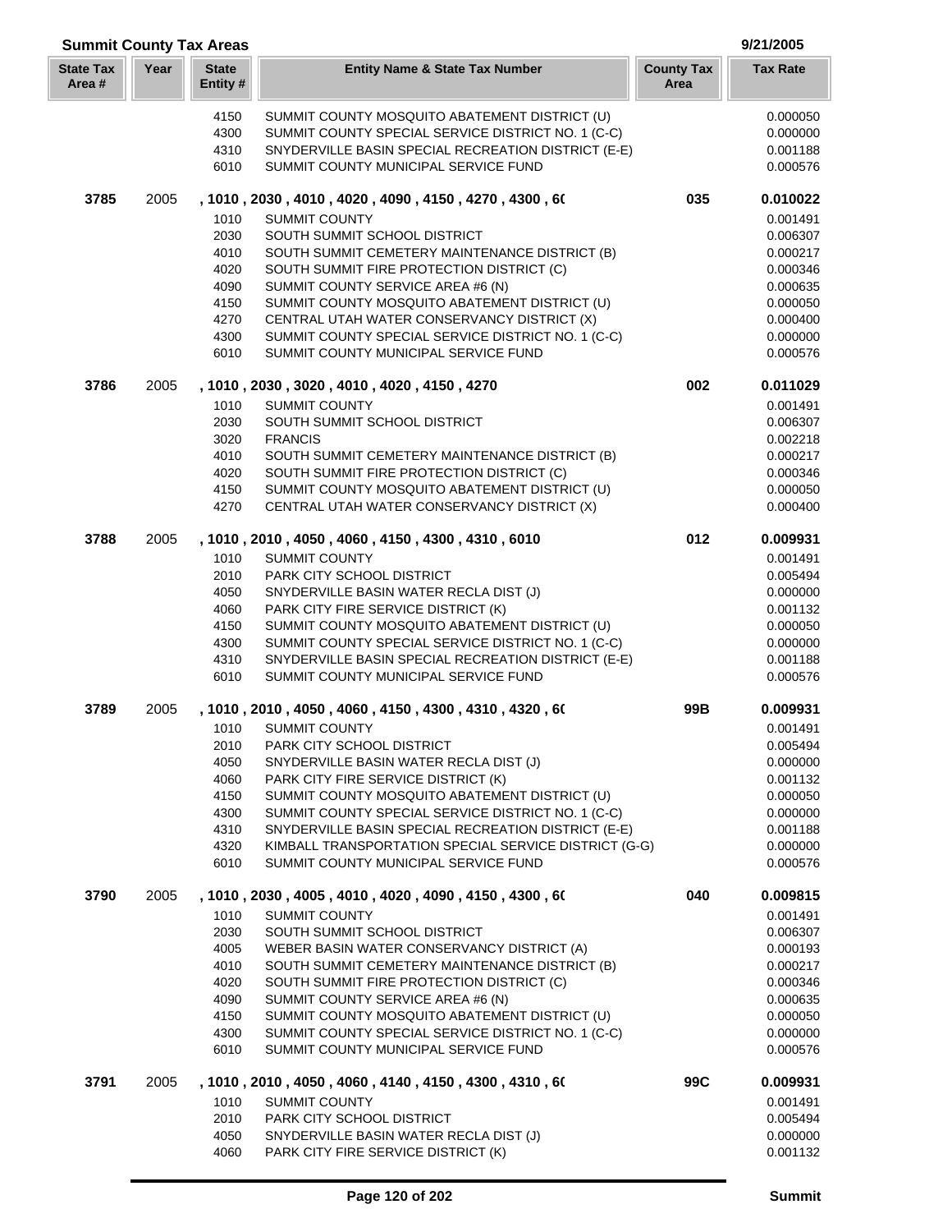| <b>Summit County Tax Areas</b> |      |                         |                                                                                                              |                           |                      |  |
|--------------------------------|------|-------------------------|--------------------------------------------------------------------------------------------------------------|---------------------------|----------------------|--|
| <b>State Tax</b><br>Area#      | Year | <b>State</b><br>Entity# | <b>Entity Name &amp; State Tax Number</b>                                                                    | <b>County Tax</b><br>Area | <b>Tax Rate</b>      |  |
|                                |      | 4150                    | SUMMIT COUNTY MOSQUITO ABATEMENT DISTRICT (U)                                                                |                           | 0.000050             |  |
|                                |      | 4300                    | SUMMIT COUNTY SPECIAL SERVICE DISTRICT NO. 1 (C-C)                                                           |                           | 0.000000             |  |
|                                |      | 4310                    | SNYDERVILLE BASIN SPECIAL RECREATION DISTRICT (E-E)                                                          |                           | 0.001188             |  |
|                                |      | 6010                    | SUMMIT COUNTY MUNICIPAL SERVICE FUND                                                                         |                           | 0.000576             |  |
| 3785                           | 2005 |                         | , 1010 , 2030 , 4010 , 4020 , 4090 , 4150 , 4270 , 4300 , 60                                                 | 035                       | 0.010022             |  |
|                                |      | 1010                    | <b>SUMMIT COUNTY</b>                                                                                         |                           | 0.001491             |  |
|                                |      | 2030                    | SOUTH SUMMIT SCHOOL DISTRICT                                                                                 |                           | 0.006307             |  |
|                                |      | 4010                    | SOUTH SUMMIT CEMETERY MAINTENANCE DISTRICT (B)                                                               |                           | 0.000217             |  |
|                                |      | 4020                    | SOUTH SUMMIT FIRE PROTECTION DISTRICT (C)                                                                    |                           | 0.000346             |  |
|                                |      | 4090<br>4150            | SUMMIT COUNTY SERVICE AREA #6 (N)<br>SUMMIT COUNTY MOSQUITO ABATEMENT DISTRICT (U)                           |                           | 0.000635<br>0.000050 |  |
|                                |      | 4270                    | CENTRAL UTAH WATER CONSERVANCY DISTRICT (X)                                                                  |                           | 0.000400             |  |
|                                |      | 4300                    | SUMMIT COUNTY SPECIAL SERVICE DISTRICT NO. 1 (C-C)                                                           |                           | 0.000000             |  |
|                                |      | 6010                    | SUMMIT COUNTY MUNICIPAL SERVICE FUND                                                                         |                           | 0.000576             |  |
| 3786                           | 2005 |                         | , 1010, 2030, 3020, 4010, 4020, 4150, 4270                                                                   | 002                       | 0.011029             |  |
|                                |      | 1010                    | <b>SUMMIT COUNTY</b>                                                                                         |                           | 0.001491             |  |
|                                |      | 2030                    | SOUTH SUMMIT SCHOOL DISTRICT                                                                                 |                           | 0.006307             |  |
|                                |      | 3020                    | <b>FRANCIS</b>                                                                                               |                           | 0.002218             |  |
|                                |      | 4010                    | SOUTH SUMMIT CEMETERY MAINTENANCE DISTRICT (B)                                                               |                           | 0.000217             |  |
|                                |      | 4020                    | SOUTH SUMMIT FIRE PROTECTION DISTRICT (C)                                                                    |                           | 0.000346             |  |
|                                |      | 4150                    | SUMMIT COUNTY MOSQUITO ABATEMENT DISTRICT (U)                                                                |                           | 0.000050             |  |
|                                |      | 4270                    | CENTRAL UTAH WATER CONSERVANCY DISTRICT (X)                                                                  |                           | 0.000400             |  |
| 3788                           | 2005 |                         | , 1010, 2010, 4050, 4060, 4150, 4300, 4310, 6010                                                             | 012                       | 0.009931             |  |
|                                |      | 1010                    | <b>SUMMIT COUNTY</b>                                                                                         |                           | 0.001491             |  |
|                                |      | 2010                    | PARK CITY SCHOOL DISTRICT                                                                                    |                           | 0.005494             |  |
|                                |      | 4050<br>4060            | SNYDERVILLE BASIN WATER RECLA DIST (J)<br>PARK CITY FIRE SERVICE DISTRICT (K)                                |                           | 0.000000<br>0.001132 |  |
|                                |      | 4150                    | SUMMIT COUNTY MOSQUITO ABATEMENT DISTRICT (U)                                                                |                           | 0.000050             |  |
|                                |      | 4300                    | SUMMIT COUNTY SPECIAL SERVICE DISTRICT NO. 1 (C-C)                                                           |                           | 0.000000             |  |
|                                |      | 4310                    | SNYDERVILLE BASIN SPECIAL RECREATION DISTRICT (E-E)                                                          |                           | 0.001188             |  |
|                                |      | 6010                    | SUMMIT COUNTY MUNICIPAL SERVICE FUND                                                                         |                           | 0.000576             |  |
| 3789                           | 2005 |                         | , 1010, 2010, 4050, 4060, 4150, 4300, 4310, 4320, 60                                                         | 99B                       | 0.009931             |  |
|                                |      |                         | 1010 SUMMIT COUNTY                                                                                           |                           | 0.001491             |  |
|                                |      | 2010                    | PARK CITY SCHOOL DISTRICT                                                                                    |                           | 0.005494             |  |
|                                |      | 4050                    | SNYDERVILLE BASIN WATER RECLA DIST (J)                                                                       |                           | 0.000000             |  |
|                                |      | 4060                    | PARK CITY FIRE SERVICE DISTRICT (K)                                                                          |                           | 0.001132             |  |
|                                |      | 4150                    | SUMMIT COUNTY MOSQUITO ABATEMENT DISTRICT (U)                                                                |                           | 0.000050             |  |
|                                |      | 4300                    | SUMMIT COUNTY SPECIAL SERVICE DISTRICT NO. 1 (C-C)                                                           |                           | 0.000000             |  |
|                                |      | 4310<br>4320            | SNYDERVILLE BASIN SPECIAL RECREATION DISTRICT (E-E)<br>KIMBALL TRANSPORTATION SPECIAL SERVICE DISTRICT (G-G) |                           | 0.001188<br>0.000000 |  |
|                                |      | 6010                    | SUMMIT COUNTY MUNICIPAL SERVICE FUND                                                                         |                           | 0.000576             |  |
| 3790                           | 2005 |                         | , 1010, 2030, 4005, 4010, 4020, 4090, 4150, 4300, 60                                                         | 040                       | 0.009815             |  |
|                                |      | 1010                    | SUMMIT COUNTY                                                                                                |                           | 0.001491             |  |
|                                |      | 2030                    | SOUTH SUMMIT SCHOOL DISTRICT                                                                                 |                           | 0.006307             |  |
|                                |      | 4005                    | WEBER BASIN WATER CONSERVANCY DISTRICT (A)                                                                   |                           | 0.000193             |  |
|                                |      | 4010                    | SOUTH SUMMIT CEMETERY MAINTENANCE DISTRICT (B)                                                               |                           | 0.000217             |  |
|                                |      | 4020                    | SOUTH SUMMIT FIRE PROTECTION DISTRICT (C)                                                                    |                           | 0.000346             |  |
|                                |      | 4090                    | SUMMIT COUNTY SERVICE AREA #6 (N)                                                                            |                           | 0.000635             |  |
|                                |      | 4150                    | SUMMIT COUNTY MOSQUITO ABATEMENT DISTRICT (U)                                                                |                           | 0.000050             |  |
|                                |      | 4300                    | SUMMIT COUNTY SPECIAL SERVICE DISTRICT NO. 1 (C-C)                                                           |                           | 0.000000             |  |
|                                |      | 6010                    | SUMMIT COUNTY MUNICIPAL SERVICE FUND                                                                         |                           | 0.000576             |  |
| 3791                           | 2005 |                         | , 1010, 2010, 4050, 4060, 4140, 4150, 4300, 4310, 60                                                         | 99C                       | 0.009931             |  |
|                                |      | 1010                    | SUMMIT COUNTY                                                                                                |                           | 0.001491             |  |
|                                |      | 2010<br>4050            | PARK CITY SCHOOL DISTRICT<br>SNYDERVILLE BASIN WATER RECLA DIST (J)                                          |                           | 0.005494<br>0.000000 |  |
|                                |      | 4060                    | PARK CITY FIRE SERVICE DISTRICT (K)                                                                          |                           | 0.001132             |  |
|                                |      |                         |                                                                                                              |                           |                      |  |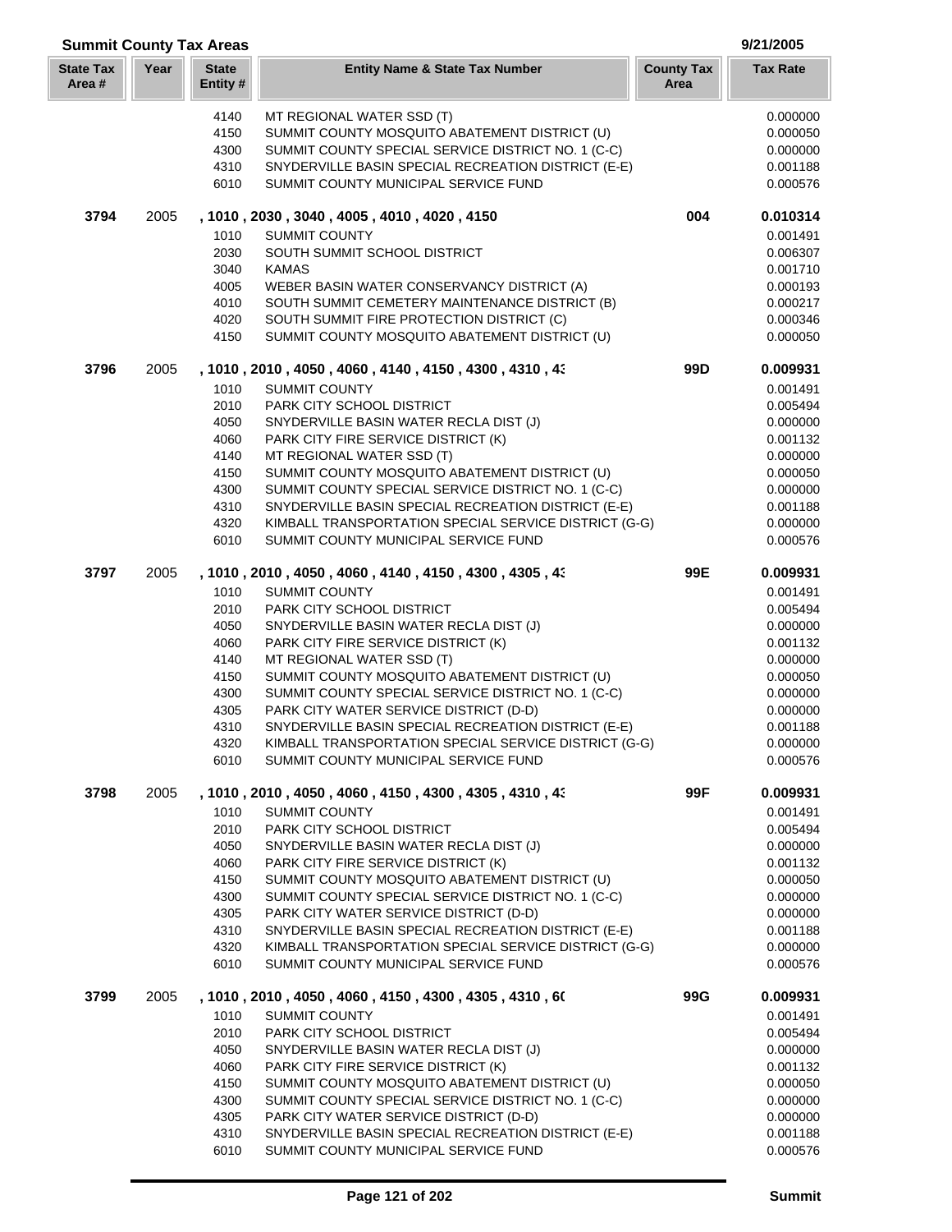| <b>Summit County Tax Areas</b> |      |                          |                                                                                               |                           | 9/21/2005            |
|--------------------------------|------|--------------------------|-----------------------------------------------------------------------------------------------|---------------------------|----------------------|
| <b>State Tax</b><br>Area#      | Year | <b>State</b><br>Entity # | <b>Entity Name &amp; State Tax Number</b>                                                     | <b>County Tax</b><br>Area | <b>Tax Rate</b>      |
|                                |      | 4140                     | MT REGIONAL WATER SSD (T)                                                                     |                           | 0.000000             |
|                                |      | 4150                     | SUMMIT COUNTY MOSQUITO ABATEMENT DISTRICT (U)                                                 |                           | 0.000050             |
|                                |      | 4300                     | SUMMIT COUNTY SPECIAL SERVICE DISTRICT NO. 1 (C-C)                                            |                           | 0.000000             |
|                                |      | 4310                     | SNYDERVILLE BASIN SPECIAL RECREATION DISTRICT (E-E)                                           |                           | 0.001188             |
|                                |      | 6010                     | SUMMIT COUNTY MUNICIPAL SERVICE FUND                                                          |                           | 0.000576             |
| 3794                           | 2005 |                          | , 1010, 2030, 3040, 4005, 4010, 4020, 4150                                                    | 004                       | 0.010314             |
|                                |      | 1010                     | <b>SUMMIT COUNTY</b>                                                                          |                           | 0.001491             |
|                                |      | 2030                     | SOUTH SUMMIT SCHOOL DISTRICT                                                                  |                           | 0.006307             |
|                                |      | 3040                     | <b>KAMAS</b>                                                                                  |                           | 0.001710             |
|                                |      | 4005                     | WEBER BASIN WATER CONSERVANCY DISTRICT (A)                                                    |                           | 0.000193             |
|                                |      | 4010                     | SOUTH SUMMIT CEMETERY MAINTENANCE DISTRICT (B)                                                |                           | 0.000217             |
|                                |      | 4020<br>4150             | SOUTH SUMMIT FIRE PROTECTION DISTRICT (C)<br>SUMMIT COUNTY MOSQUITO ABATEMENT DISTRICT (U)    |                           | 0.000346<br>0.000050 |
|                                |      |                          |                                                                                               |                           |                      |
| 3796                           | 2005 | 1010                     | , 1010, 2010, 4050, 4060, 4140, 4150, 4300, 4310, 43<br><b>SUMMIT COUNTY</b>                  | 99 <sub>D</sub>           | 0.009931<br>0.001491 |
|                                |      | 2010                     | <b>PARK CITY SCHOOL DISTRICT</b>                                                              |                           | 0.005494             |
|                                |      | 4050                     | SNYDERVILLE BASIN WATER RECLA DIST (J)                                                        |                           | 0.000000             |
|                                |      | 4060                     | PARK CITY FIRE SERVICE DISTRICT (K)                                                           |                           | 0.001132             |
|                                |      | 4140                     | MT REGIONAL WATER SSD (T)                                                                     |                           | 0.000000             |
|                                |      | 4150                     | SUMMIT COUNTY MOSQUITO ABATEMENT DISTRICT (U)                                                 |                           | 0.000050             |
|                                |      | 4300                     | SUMMIT COUNTY SPECIAL SERVICE DISTRICT NO. 1 (C-C)                                            |                           | 0.000000             |
|                                |      | 4310                     | SNYDERVILLE BASIN SPECIAL RECREATION DISTRICT (E-E)                                           |                           | 0.001188             |
|                                |      | 4320                     | KIMBALL TRANSPORTATION SPECIAL SERVICE DISTRICT (G-G)                                         |                           | 0.000000             |
|                                |      | 6010                     | SUMMIT COUNTY MUNICIPAL SERVICE FUND                                                          |                           | 0.000576             |
| 3797                           | 2005 |                          | , 1010, 2010, 4050, 4060, 4140, 4150, 4300, 4305, 43                                          | 99E                       | 0.009931             |
|                                |      | 1010                     | <b>SUMMIT COUNTY</b>                                                                          |                           | 0.001491             |
|                                |      | 2010                     | PARK CITY SCHOOL DISTRICT                                                                     |                           | 0.005494             |
|                                |      | 4050                     | SNYDERVILLE BASIN WATER RECLA DIST (J)                                                        |                           | 0.000000             |
|                                |      | 4060                     | PARK CITY FIRE SERVICE DISTRICT (K)                                                           |                           | 0.001132             |
|                                |      | 4140                     | MT REGIONAL WATER SSD (T)                                                                     |                           | 0.000000             |
|                                |      | 4150                     | SUMMIT COUNTY MOSQUITO ABATEMENT DISTRICT (U)                                                 |                           | 0.000050             |
|                                |      | 4300                     | SUMMIT COUNTY SPECIAL SERVICE DISTRICT NO. 1 (C-C)                                            |                           | 0.000000             |
|                                |      | 4305                     | PARK CITY WATER SERVICE DISTRICT (D-D)                                                        |                           | 0.000000             |
|                                |      | 4310                     | SNYDERVILLE BASIN SPECIAL RECREATION DISTRICT (E-E)                                           |                           | 0.001188             |
|                                |      | 4320<br>6010             | KIMBALL TRANSPORTATION SPECIAL SERVICE DISTRICT (G-G)<br>SUMMIT COUNTY MUNICIPAL SERVICE FUND |                           | 0.000000<br>0.000576 |
|                                |      |                          |                                                                                               |                           |                      |
| 3798                           | 2005 | 1010                     | , 1010 , 2010 , 4050 , 4060 , 4150 , 4300 , 4305 , 4310 , 43<br><b>SUMMIT COUNTY</b>          | 99F                       | 0.009931<br>0.001491 |
|                                |      | 2010                     | PARK CITY SCHOOL DISTRICT                                                                     |                           | 0.005494             |
|                                |      | 4050                     | SNYDERVILLE BASIN WATER RECLA DIST (J)                                                        |                           | 0.000000             |
|                                |      | 4060                     | PARK CITY FIRE SERVICE DISTRICT (K)                                                           |                           | 0.001132             |
|                                |      | 4150                     | SUMMIT COUNTY MOSQUITO ABATEMENT DISTRICT (U)                                                 |                           | 0.000050             |
|                                |      | 4300                     | SUMMIT COUNTY SPECIAL SERVICE DISTRICT NO. 1 (C-C)                                            |                           | 0.000000             |
|                                |      | 4305                     | PARK CITY WATER SERVICE DISTRICT (D-D)                                                        |                           | 0.000000             |
|                                |      | 4310                     | SNYDERVILLE BASIN SPECIAL RECREATION DISTRICT (E-E)                                           |                           | 0.001188             |
|                                |      | 4320<br>6010             | KIMBALL TRANSPORTATION SPECIAL SERVICE DISTRICT (G-G)<br>SUMMIT COUNTY MUNICIPAL SERVICE FUND |                           | 0.000000<br>0.000576 |
|                                |      |                          |                                                                                               |                           |                      |
| 3799                           | 2005 | 1010                     | , 1010 , 2010 , 4050 , 4060 , 4150 , 4300 , 4305 , 4310 , 60<br><b>SUMMIT COUNTY</b>          | 99G                       | 0.009931<br>0.001491 |
|                                |      | 2010                     | PARK CITY SCHOOL DISTRICT                                                                     |                           | 0.005494             |
|                                |      | 4050                     | SNYDERVILLE BASIN WATER RECLA DIST (J)                                                        |                           | 0.000000             |
|                                |      | 4060                     | PARK CITY FIRE SERVICE DISTRICT (K)                                                           |                           | 0.001132             |
|                                |      | 4150                     | SUMMIT COUNTY MOSQUITO ABATEMENT DISTRICT (U)                                                 |                           | 0.000050             |
|                                |      | 4300                     | SUMMIT COUNTY SPECIAL SERVICE DISTRICT NO. 1 (C-C)                                            |                           | 0.000000             |
|                                |      | 4305                     | PARK CITY WATER SERVICE DISTRICT (D-D)                                                        |                           | 0.000000             |
|                                |      | 4310                     | SNYDERVILLE BASIN SPECIAL RECREATION DISTRICT (E-E)                                           |                           | 0.001188             |
|                                |      | 6010                     | SUMMIT COUNTY MUNICIPAL SERVICE FUND                                                          |                           | 0.000576             |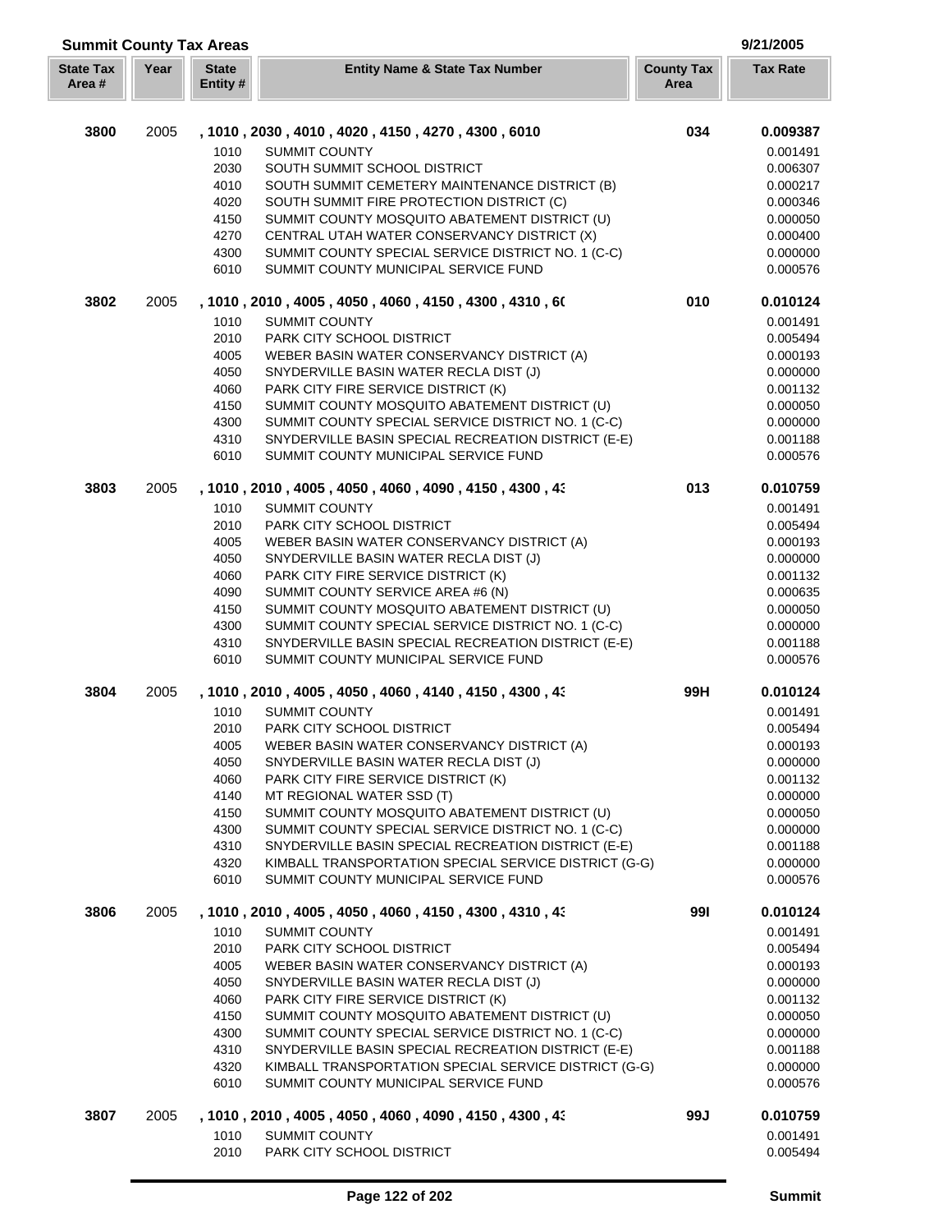| <b>Summit County Tax Areas</b><br>9/21/2005 |      |                          |                                                                                               |                           |                      |
|---------------------------------------------|------|--------------------------|-----------------------------------------------------------------------------------------------|---------------------------|----------------------|
| <b>State Tax</b><br>Area#                   | Year | <b>State</b><br>Entity # | <b>Entity Name &amp; State Tax Number</b>                                                     | <b>County Tax</b><br>Area | <b>Tax Rate</b>      |
| 3800                                        | 2005 |                          | , 1010, 2030, 4010, 4020, 4150, 4270, 4300, 6010                                              | 034                       | 0.009387             |
|                                             |      | 1010                     | <b>SUMMIT COUNTY</b>                                                                          |                           | 0.001491             |
|                                             |      | 2030                     | SOUTH SUMMIT SCHOOL DISTRICT                                                                  |                           | 0.006307             |
|                                             |      | 4010                     | SOUTH SUMMIT CEMETERY MAINTENANCE DISTRICT (B)                                                |                           | 0.000217             |
|                                             |      | 4020                     | SOUTH SUMMIT FIRE PROTECTION DISTRICT (C)                                                     |                           | 0.000346             |
|                                             |      | 4150                     | SUMMIT COUNTY MOSQUITO ABATEMENT DISTRICT (U)                                                 |                           | 0.000050             |
|                                             |      | 4270                     | CENTRAL UTAH WATER CONSERVANCY DISTRICT (X)                                                   |                           | 0.000400             |
|                                             |      | 4300                     | SUMMIT COUNTY SPECIAL SERVICE DISTRICT NO. 1 (C-C)                                            |                           | 0.000000             |
|                                             |      | 6010                     | SUMMIT COUNTY MUNICIPAL SERVICE FUND                                                          |                           | 0.000576             |
| 3802                                        | 2005 |                          | , 1010, 2010, 4005, 4050, 4060, 4150, 4300, 4310, 60                                          | 010                       | 0.010124             |
|                                             |      | 1010                     | <b>SUMMIT COUNTY</b>                                                                          |                           | 0.001491             |
|                                             |      | 2010                     | PARK CITY SCHOOL DISTRICT                                                                     |                           | 0.005494             |
|                                             |      | 4005                     | WEBER BASIN WATER CONSERVANCY DISTRICT (A)                                                    |                           | 0.000193             |
|                                             |      | 4050                     | SNYDERVILLE BASIN WATER RECLA DIST (J)                                                        |                           | 0.000000             |
|                                             |      | 4060                     | PARK CITY FIRE SERVICE DISTRICT (K)                                                           |                           | 0.001132             |
|                                             |      | 4150                     | SUMMIT COUNTY MOSQUITO ABATEMENT DISTRICT (U)                                                 |                           | 0.000050             |
|                                             |      | 4300                     | SUMMIT COUNTY SPECIAL SERVICE DISTRICT NO. 1 (C-C)                                            |                           | 0.000000             |
|                                             |      | 4310                     | SNYDERVILLE BASIN SPECIAL RECREATION DISTRICT (E-E)                                           |                           | 0.001188             |
|                                             |      | 6010                     | SUMMIT COUNTY MUNICIPAL SERVICE FUND                                                          |                           | 0.000576             |
| 3803                                        | 2005 |                          | , 1010, 2010, 4005, 4050, 4060, 4090, 4150, 4300, 43                                          | 013                       | 0.010759             |
|                                             |      | 1010                     | <b>SUMMIT COUNTY</b>                                                                          |                           | 0.001491             |
|                                             |      | 2010                     | PARK CITY SCHOOL DISTRICT                                                                     |                           | 0.005494             |
|                                             |      | 4005                     | WEBER BASIN WATER CONSERVANCY DISTRICT (A)                                                    |                           | 0.000193             |
|                                             |      | 4050                     | SNYDERVILLE BASIN WATER RECLA DIST (J)                                                        |                           | 0.000000             |
|                                             |      | 4060                     | PARK CITY FIRE SERVICE DISTRICT (K)                                                           |                           | 0.001132             |
|                                             |      | 4090                     | SUMMIT COUNTY SERVICE AREA #6 (N)                                                             |                           | 0.000635             |
|                                             |      | 4150                     | SUMMIT COUNTY MOSQUITO ABATEMENT DISTRICT (U)                                                 |                           | 0.000050             |
|                                             |      | 4300                     | SUMMIT COUNTY SPECIAL SERVICE DISTRICT NO. 1 (C-C)                                            |                           | 0.000000             |
|                                             |      | 4310                     | SNYDERVILLE BASIN SPECIAL RECREATION DISTRICT (E-E)                                           |                           | 0.001188             |
|                                             |      | 6010                     | SUMMIT COUNTY MUNICIPAL SERVICE FUND                                                          |                           | 0.000576             |
| 3804                                        | 2005 |                          | , 1010, 2010, 4005, 4050, 4060, 4140, 4150, 4300, 43                                          | 99H                       | 0.010124             |
|                                             |      | 1010                     | <b>SUMMIT COUNTY</b>                                                                          |                           | 0.001491             |
|                                             |      | 2010                     | PARK CITY SCHOOL DISTRICT                                                                     |                           | 0.005494             |
|                                             |      | 4005                     | WEBER BASIN WATER CONSERVANCY DISTRICT (A)                                                    |                           | 0.000193             |
|                                             |      | 4050                     | SNYDERVILLE BASIN WATER RECLA DIST (J)                                                        |                           | 0.000000             |
|                                             |      | 4060                     | PARK CITY FIRE SERVICE DISTRICT (K)                                                           |                           | 0.001132             |
|                                             |      | 4140                     | MT REGIONAL WATER SSD (T)                                                                     |                           | 0.000000             |
|                                             |      | 4150                     | SUMMIT COUNTY MOSQUITO ABATEMENT DISTRICT (U)                                                 |                           | 0.000050             |
|                                             |      | 4300                     | SUMMIT COUNTY SPECIAL SERVICE DISTRICT NO. 1 (C-C)                                            |                           | 0.000000             |
|                                             |      | 4310                     | SNYDERVILLE BASIN SPECIAL RECREATION DISTRICT (E-E)                                           |                           | 0.001188             |
|                                             |      | 4320                     | KIMBALL TRANSPORTATION SPECIAL SERVICE DISTRICT (G-G)                                         |                           | 0.000000             |
|                                             |      | 6010                     | SUMMIT COUNTY MUNICIPAL SERVICE FUND                                                          |                           | 0.000576             |
| 3806                                        | 2005 |                          | , 1010 , 2010 , 4005 , 4050 , 4060 , 4150 , 4300 , 4310 , 43                                  | 991                       | 0.010124             |
|                                             |      | 1010                     | <b>SUMMIT COUNTY</b>                                                                          |                           | 0.001491             |
|                                             |      | 2010                     | PARK CITY SCHOOL DISTRICT                                                                     |                           | 0.005494             |
|                                             |      | 4005                     | WEBER BASIN WATER CONSERVANCY DISTRICT (A)                                                    |                           | 0.000193             |
|                                             |      | 4050                     | SNYDERVILLE BASIN WATER RECLA DIST (J)                                                        |                           | 0.000000             |
|                                             |      | 4060                     | PARK CITY FIRE SERVICE DISTRICT (K)                                                           |                           | 0.001132             |
|                                             |      | 4150                     | SUMMIT COUNTY MOSQUITO ABATEMENT DISTRICT (U)                                                 |                           | 0.000050             |
|                                             |      | 4300                     | SUMMIT COUNTY SPECIAL SERVICE DISTRICT NO. 1 (C-C)                                            |                           | 0.000000             |
|                                             |      | 4310                     | SNYDERVILLE BASIN SPECIAL RECREATION DISTRICT (E-E)                                           |                           | 0.001188             |
|                                             |      | 4320<br>6010             | KIMBALL TRANSPORTATION SPECIAL SERVICE DISTRICT (G-G)<br>SUMMIT COUNTY MUNICIPAL SERVICE FUND |                           | 0.000000<br>0.000576 |
| 3807                                        | 2005 |                          | , 1010 , 2010 , 4005 , 4050 , 4060 , 4090 , 4150 , 4300 , 43                                  | 99J                       | 0.010759             |
|                                             |      | 1010                     | <b>SUMMIT COUNTY</b>                                                                          |                           | 0.001491             |
|                                             |      | 2010                     | PARK CITY SCHOOL DISTRICT                                                                     |                           | 0.005494             |
|                                             |      |                          |                                                                                               |                           |                      |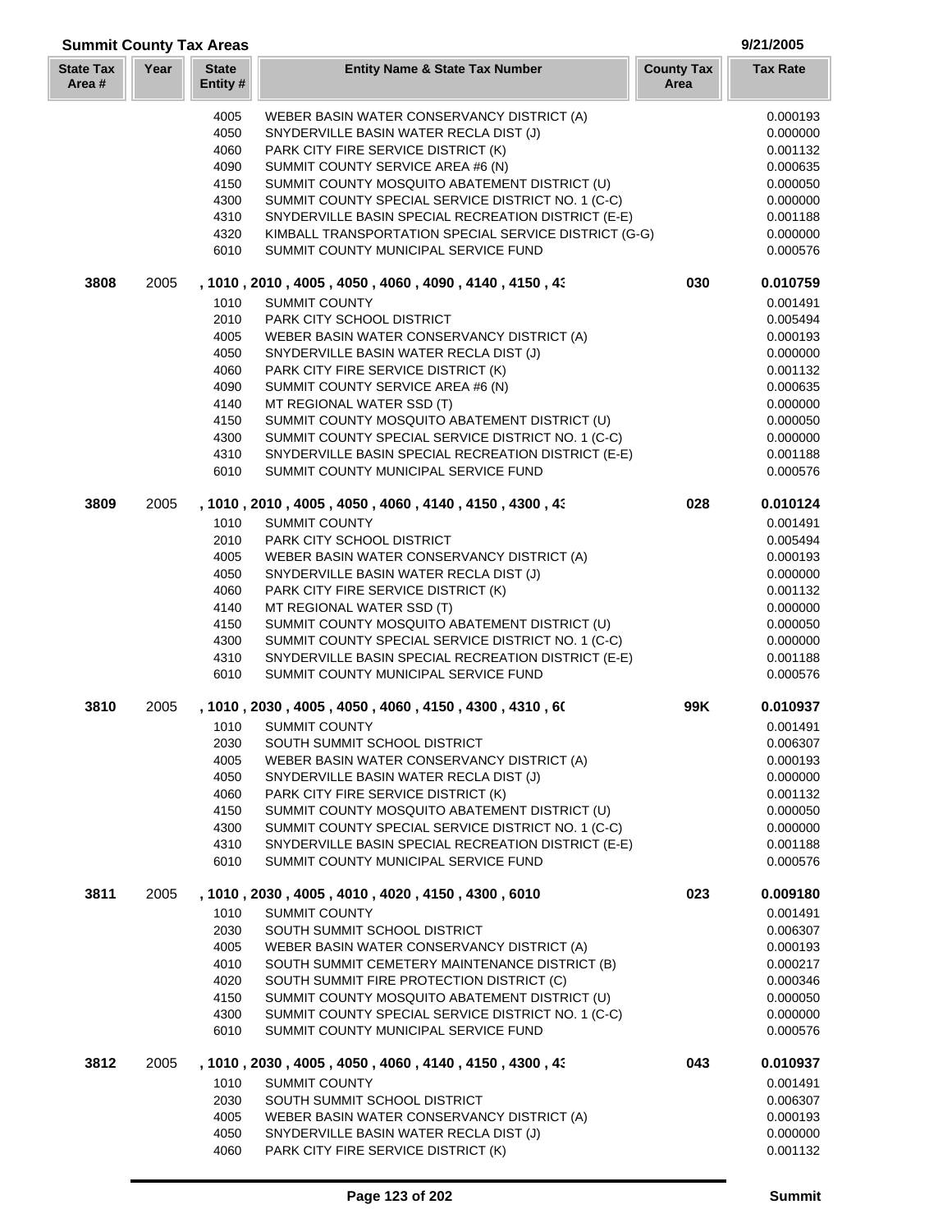| <b>Summit County Tax Areas</b> |      |                          |                                                                                             |                           | 9/21/2005            |
|--------------------------------|------|--------------------------|---------------------------------------------------------------------------------------------|---------------------------|----------------------|
| <b>State Tax</b><br>Area #     | Year | <b>State</b><br>Entity # | <b>Entity Name &amp; State Tax Number</b>                                                   | <b>County Tax</b><br>Area | <b>Tax Rate</b>      |
|                                |      | 4005                     | WEBER BASIN WATER CONSERVANCY DISTRICT (A)                                                  |                           | 0.000193             |
|                                |      | 4050                     | SNYDERVILLE BASIN WATER RECLA DIST (J)                                                      |                           | 0.000000             |
|                                |      | 4060                     | PARK CITY FIRE SERVICE DISTRICT (K)                                                         |                           | 0.001132             |
|                                |      | 4090                     | SUMMIT COUNTY SERVICE AREA #6 (N)                                                           |                           | 0.000635             |
|                                |      | 4150                     | SUMMIT COUNTY MOSQUITO ABATEMENT DISTRICT (U)                                               |                           | 0.000050             |
|                                |      | 4300                     | SUMMIT COUNTY SPECIAL SERVICE DISTRICT NO. 1 (C-C)                                          |                           | 0.000000             |
|                                |      | 4310                     | SNYDERVILLE BASIN SPECIAL RECREATION DISTRICT (E-E)                                         |                           | 0.001188             |
|                                |      | 4320                     | KIMBALL TRANSPORTATION SPECIAL SERVICE DISTRICT (G-G)                                       |                           | 0.000000             |
|                                |      | 6010                     | SUMMIT COUNTY MUNICIPAL SERVICE FUND                                                        |                           | 0.000576             |
| 3808                           | 2005 |                          | , 1010, 2010, 4005, 4050, 4060, 4090, 4140, 4150, 43                                        | 030                       | 0.010759             |
|                                |      | 1010                     | <b>SUMMIT COUNTY</b>                                                                        |                           | 0.001491             |
|                                |      | 2010                     | PARK CITY SCHOOL DISTRICT                                                                   |                           | 0.005494             |
|                                |      | 4005                     | WEBER BASIN WATER CONSERVANCY DISTRICT (A)                                                  |                           | 0.000193             |
|                                |      | 4050                     | SNYDERVILLE BASIN WATER RECLA DIST (J)                                                      |                           | 0.000000             |
|                                |      | 4060                     | PARK CITY FIRE SERVICE DISTRICT (K)                                                         |                           | 0.001132             |
|                                |      | 4090                     | SUMMIT COUNTY SERVICE AREA #6 (N)                                                           |                           | 0.000635             |
|                                |      | 4140                     | MT REGIONAL WATER SSD (T)                                                                   |                           | 0.000000             |
|                                |      | 4150                     | SUMMIT COUNTY MOSQUITO ABATEMENT DISTRICT (U)                                               |                           | 0.000050             |
|                                |      | 4300                     | SUMMIT COUNTY SPECIAL SERVICE DISTRICT NO. 1 (C-C)                                          |                           | 0.000000             |
|                                |      | 4310<br>6010             | SNYDERVILLE BASIN SPECIAL RECREATION DISTRICT (E-E)<br>SUMMIT COUNTY MUNICIPAL SERVICE FUND |                           | 0.001188<br>0.000576 |
| 3809                           | 2005 |                          | , 1010 , 2010 , 4005 , 4050 , 4060 , 4140 , 4150 , 4300 , 43                                | 028                       | 0.010124             |
|                                |      | 1010                     | <b>SUMMIT COUNTY</b>                                                                        |                           | 0.001491             |
|                                |      | 2010                     | PARK CITY SCHOOL DISTRICT                                                                   |                           | 0.005494             |
|                                |      | 4005                     | WEBER BASIN WATER CONSERVANCY DISTRICT (A)                                                  |                           | 0.000193             |
|                                |      | 4050                     | SNYDERVILLE BASIN WATER RECLA DIST (J)                                                      |                           | 0.000000             |
|                                |      | 4060                     | PARK CITY FIRE SERVICE DISTRICT (K)                                                         |                           | 0.001132             |
|                                |      | 4140                     | MT REGIONAL WATER SSD (T)                                                                   |                           | 0.000000             |
|                                |      | 4150                     | SUMMIT COUNTY MOSQUITO ABATEMENT DISTRICT (U)                                               |                           | 0.000050             |
|                                |      | 4300                     | SUMMIT COUNTY SPECIAL SERVICE DISTRICT NO. 1 (C-C)                                          |                           | 0.000000             |
|                                |      | 4310                     | SNYDERVILLE BASIN SPECIAL RECREATION DISTRICT (E-E)                                         |                           | 0.001188             |
|                                |      | 6010                     | SUMMIT COUNTY MUNICIPAL SERVICE FUND                                                        |                           | 0.000576             |
| 3810                           | 2005 |                          | , 1010 , 2030 , 4005 , 4050 , 4060 , 4150 , 4300 , 4310 , 60                                | 99K                       | 0.010937             |
|                                |      | 1010                     | <b>SUMMIT COUNTY</b>                                                                        |                           | 0.001491             |
|                                |      | 2030                     | SOUTH SUMMIT SCHOOL DISTRICT                                                                |                           | 0.006307             |
|                                |      | 4005                     | WEBER BASIN WATER CONSERVANCY DISTRICT (A)                                                  |                           | 0.000193             |
|                                |      | 4050                     | SNYDERVILLE BASIN WATER RECLA DIST (J)                                                      |                           | 0.000000             |
|                                |      | 4060                     | PARK CITY FIRE SERVICE DISTRICT (K)                                                         |                           | 0.001132             |
|                                |      | 4150                     | SUMMIT COUNTY MOSQUITO ABATEMENT DISTRICT (U)                                               |                           | 0.000050             |
|                                |      | 4300                     | SUMMIT COUNTY SPECIAL SERVICE DISTRICT NO. 1 (C-C)                                          |                           | 0.000000             |
|                                |      | 4310<br>6010             | SNYDERVILLE BASIN SPECIAL RECREATION DISTRICT (E-E)<br>SUMMIT COUNTY MUNICIPAL SERVICE FUND |                           | 0.001188<br>0.000576 |
| 3811                           | 2005 |                          | , 1010, 2030, 4005, 4010, 4020, 4150, 4300, 6010                                            | 023                       | 0.009180             |
|                                |      | 1010                     | <b>SUMMIT COUNTY</b>                                                                        |                           | 0.001491             |
|                                |      | 2030                     | SOUTH SUMMIT SCHOOL DISTRICT                                                                |                           | 0.006307             |
|                                |      | 4005                     | WEBER BASIN WATER CONSERVANCY DISTRICT (A)                                                  |                           | 0.000193             |
|                                |      | 4010                     | SOUTH SUMMIT CEMETERY MAINTENANCE DISTRICT (B)                                              |                           | 0.000217             |
|                                |      | 4020                     | SOUTH SUMMIT FIRE PROTECTION DISTRICT (C)                                                   |                           | 0.000346             |
|                                |      | 4150                     | SUMMIT COUNTY MOSQUITO ABATEMENT DISTRICT (U)                                               |                           | 0.000050             |
|                                |      | 4300                     | SUMMIT COUNTY SPECIAL SERVICE DISTRICT NO. 1 (C-C)                                          |                           | 0.000000             |
|                                |      | 6010                     | SUMMIT COUNTY MUNICIPAL SERVICE FUND                                                        |                           | 0.000576             |
| 3812                           | 2005 |                          | , 1010 , 2030 , 4005 , 4050 , 4060 , 4140 , 4150 , 4300 , 43                                | 043                       | 0.010937             |
|                                |      | 1010                     | <b>SUMMIT COUNTY</b>                                                                        |                           | 0.001491             |
|                                |      | 2030                     | SOUTH SUMMIT SCHOOL DISTRICT                                                                |                           | 0.006307             |
|                                |      | 4005                     | WEBER BASIN WATER CONSERVANCY DISTRICT (A)                                                  |                           | 0.000193             |
|                                |      | 4050                     | SNYDERVILLE BASIN WATER RECLA DIST (J)                                                      |                           | 0.000000             |
|                                |      | 4060                     | PARK CITY FIRE SERVICE DISTRICT (K)                                                         |                           | 0.001132             |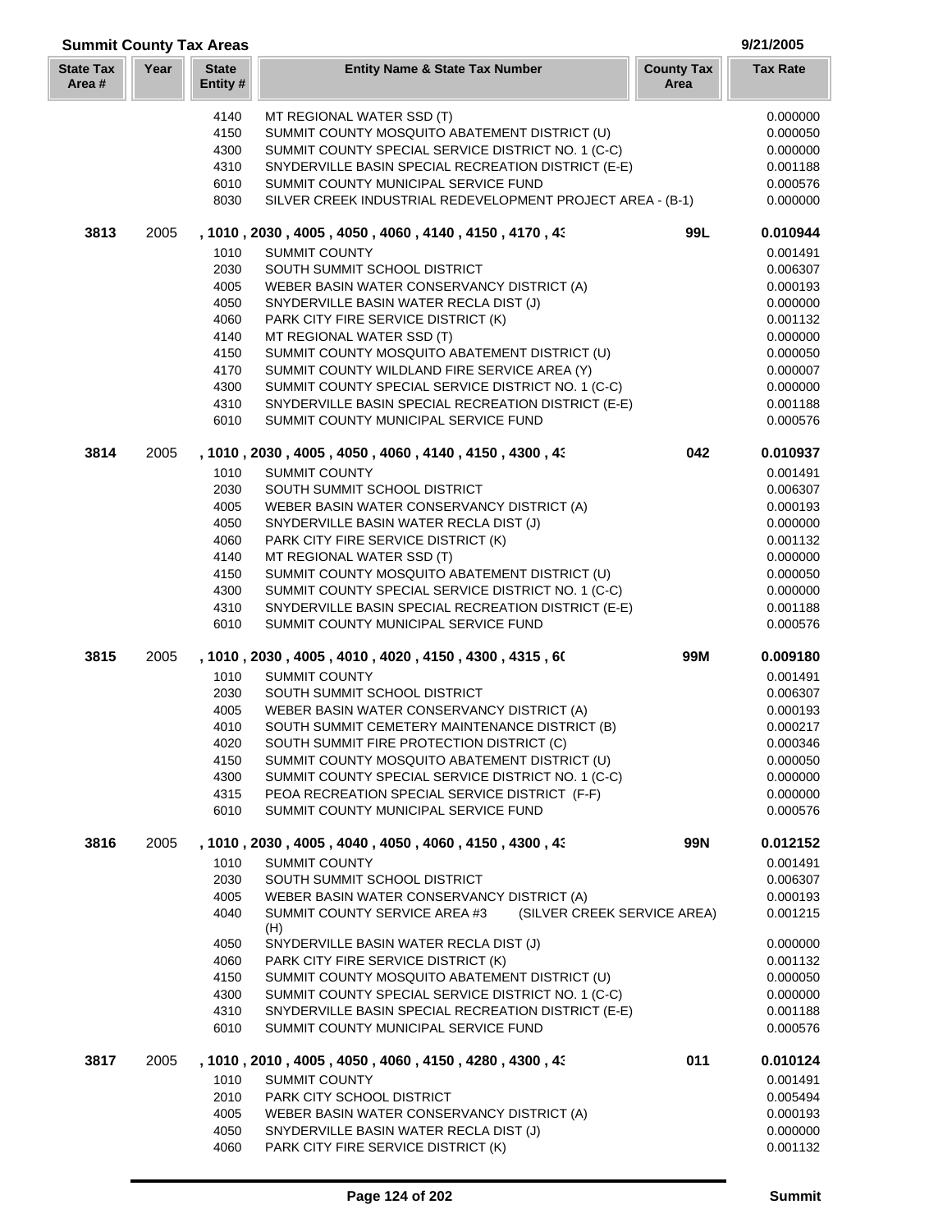| <b>Summit County Tax Areas</b> |      |                         |                                                                                                           |                           | 9/21/2005            |
|--------------------------------|------|-------------------------|-----------------------------------------------------------------------------------------------------------|---------------------------|----------------------|
| <b>State Tax</b><br>Area#      | Year | <b>State</b><br>Entity# | <b>Entity Name &amp; State Tax Number</b>                                                                 | <b>County Tax</b><br>Area | <b>Tax Rate</b>      |
|                                |      | 4140                    | MT REGIONAL WATER SSD (T)                                                                                 |                           | 0.000000             |
|                                |      | 4150                    | SUMMIT COUNTY MOSQUITO ABATEMENT DISTRICT (U)                                                             |                           | 0.000050             |
|                                |      | 4300                    | SUMMIT COUNTY SPECIAL SERVICE DISTRICT NO. 1 (C-C)                                                        |                           | 0.000000             |
|                                |      | 4310                    | SNYDERVILLE BASIN SPECIAL RECREATION DISTRICT (E-E)                                                       |                           | 0.001188             |
|                                |      | 6010                    | SUMMIT COUNTY MUNICIPAL SERVICE FUND                                                                      |                           | 0.000576             |
|                                |      | 8030                    | SILVER CREEK INDUSTRIAL REDEVELOPMENT PROJECT AREA - (B-1)                                                |                           | 0.000000             |
| 3813                           | 2005 |                         | , 1010, 2030, 4005, 4050, 4060, 4140, 4150, 4170, 43                                                      | 99L                       | 0.010944             |
|                                |      | 1010                    | <b>SUMMIT COUNTY</b>                                                                                      |                           | 0.001491             |
|                                |      | 2030                    | SOUTH SUMMIT SCHOOL DISTRICT                                                                              |                           | 0.006307             |
|                                |      | 4005                    | WEBER BASIN WATER CONSERVANCY DISTRICT (A)                                                                |                           | 0.000193             |
|                                |      | 4050                    | SNYDERVILLE BASIN WATER RECLA DIST (J)                                                                    |                           | 0.000000             |
|                                |      | 4060                    | PARK CITY FIRE SERVICE DISTRICT (K)                                                                       |                           | 0.001132             |
|                                |      | 4140                    | MT REGIONAL WATER SSD (T)                                                                                 |                           | 0.000000             |
|                                |      | 4150                    | SUMMIT COUNTY MOSQUITO ABATEMENT DISTRICT (U)                                                             |                           | 0.000050             |
|                                |      | 4170                    | SUMMIT COUNTY WILDLAND FIRE SERVICE AREA (Y)                                                              |                           | 0.000007             |
|                                |      | 4300                    | SUMMIT COUNTY SPECIAL SERVICE DISTRICT NO. 1 (C-C)                                                        |                           | 0.000000             |
|                                |      | 4310<br>6010            | SNYDERVILLE BASIN SPECIAL RECREATION DISTRICT (E-E)<br>SUMMIT COUNTY MUNICIPAL SERVICE FUND               |                           | 0.001188<br>0.000576 |
|                                |      |                         |                                                                                                           |                           |                      |
| 3814                           | 2005 |                         | , 1010, 2030, 4005, 4050, 4060, 4140, 4150, 4300, 43                                                      | 042                       | 0.010937             |
|                                |      | 1010                    | <b>SUMMIT COUNTY</b>                                                                                      |                           | 0.001491             |
|                                |      | 2030                    | SOUTH SUMMIT SCHOOL DISTRICT                                                                              |                           | 0.006307             |
|                                |      | 4005                    | WEBER BASIN WATER CONSERVANCY DISTRICT (A)                                                                |                           | 0.000193             |
|                                |      | 4050                    | SNYDERVILLE BASIN WATER RECLA DIST (J)                                                                    |                           | 0.000000             |
|                                |      | 4060                    | PARK CITY FIRE SERVICE DISTRICT (K)                                                                       |                           | 0.001132             |
|                                |      | 4140                    | MT REGIONAL WATER SSD (T)                                                                                 |                           | 0.000000             |
|                                |      | 4150                    | SUMMIT COUNTY MOSQUITO ABATEMENT DISTRICT (U)                                                             |                           | 0.000050             |
|                                |      | 4300<br>4310            | SUMMIT COUNTY SPECIAL SERVICE DISTRICT NO. 1 (C-C)<br>SNYDERVILLE BASIN SPECIAL RECREATION DISTRICT (E-E) |                           | 0.000000             |
|                                |      | 6010                    | SUMMIT COUNTY MUNICIPAL SERVICE FUND                                                                      |                           | 0.001188<br>0.000576 |
| 3815                           | 2005 |                         | , 1010, 2030, 4005, 4010, 4020, 4150, 4300, 4315, 60                                                      | 99M                       | 0.009180             |
|                                |      | 1010                    | <b>SUMMIT COUNTY</b>                                                                                      |                           | 0.001491             |
|                                |      | 2030                    | SOUTH SUMMIT SCHOOL DISTRICT                                                                              |                           | 0.006307             |
|                                |      | 4005                    | WEBER BASIN WATER CONSERVANCY DISTRICT (A)                                                                |                           | 0.000193             |
|                                |      | 4010                    | SOUTH SUMMIT CEMETERY MAINTENANCE DISTRICT (B)                                                            |                           | 0.000217             |
|                                |      | 4020                    | SOUTH SUMMIT FIRE PROTECTION DISTRICT (C)                                                                 |                           | 0.000346             |
|                                |      | 4150                    | SUMMIT COUNTY MOSQUITO ABATEMENT DISTRICT (U)                                                             |                           | 0.000050             |
|                                |      | 4300                    | SUMMIT COUNTY SPECIAL SERVICE DISTRICT NO. 1 (C-C)                                                        |                           | 0.000000             |
|                                |      | 4315                    | PEOA RECREATION SPECIAL SERVICE DISTRICT (F-F)                                                            |                           | 0.000000             |
|                                |      | 6010                    | SUMMIT COUNTY MUNICIPAL SERVICE FUND                                                                      |                           | 0.000576             |
| 3816                           | 2005 |                         | , 1010, 2030, 4005, 4040, 4050, 4060, 4150, 4300, 43                                                      | 99N                       | 0.012152             |
|                                |      | 1010                    | <b>SUMMIT COUNTY</b>                                                                                      |                           | 0.001491             |
|                                |      | 2030                    | SOUTH SUMMIT SCHOOL DISTRICT                                                                              |                           | 0.006307             |
|                                |      | 4005                    | WEBER BASIN WATER CONSERVANCY DISTRICT (A)                                                                |                           | 0.000193             |
|                                |      | 4040                    | SUMMIT COUNTY SERVICE AREA #3<br>(SILVER CREEK SERVICE AREA)<br>(H)                                       |                           | 0.001215             |
|                                |      | 4050                    | SNYDERVILLE BASIN WATER RECLA DIST (J)                                                                    |                           | 0.000000             |
|                                |      | 4060                    | PARK CITY FIRE SERVICE DISTRICT (K)                                                                       |                           | 0.001132             |
|                                |      | 4150                    | SUMMIT COUNTY MOSQUITO ABATEMENT DISTRICT (U)                                                             |                           | 0.000050             |
|                                |      | 4300                    | SUMMIT COUNTY SPECIAL SERVICE DISTRICT NO. 1 (C-C)                                                        |                           | 0.000000             |
|                                |      | 4310<br>6010            | SNYDERVILLE BASIN SPECIAL RECREATION DISTRICT (E-E)<br>SUMMIT COUNTY MUNICIPAL SERVICE FUND               |                           | 0.001188<br>0.000576 |
|                                |      |                         |                                                                                                           |                           |                      |
| 3817                           | 2005 |                         | , 1010 , 2010 , 4005 , 4050 , 4060 , 4150 , 4280 , 4300 , 43                                              | 011                       | 0.010124             |
|                                |      | 1010                    | <b>SUMMIT COUNTY</b>                                                                                      |                           | 0.001491             |
|                                |      | 2010                    | PARK CITY SCHOOL DISTRICT                                                                                 |                           | 0.005494             |
|                                |      | 4005                    | WEBER BASIN WATER CONSERVANCY DISTRICT (A)                                                                |                           | 0.000193             |
|                                |      | 4050<br>4060            | SNYDERVILLE BASIN WATER RECLA DIST (J)<br>PARK CITY FIRE SERVICE DISTRICT (K)                             |                           | 0.000000<br>0.001132 |
|                                |      |                         |                                                                                                           |                           |                      |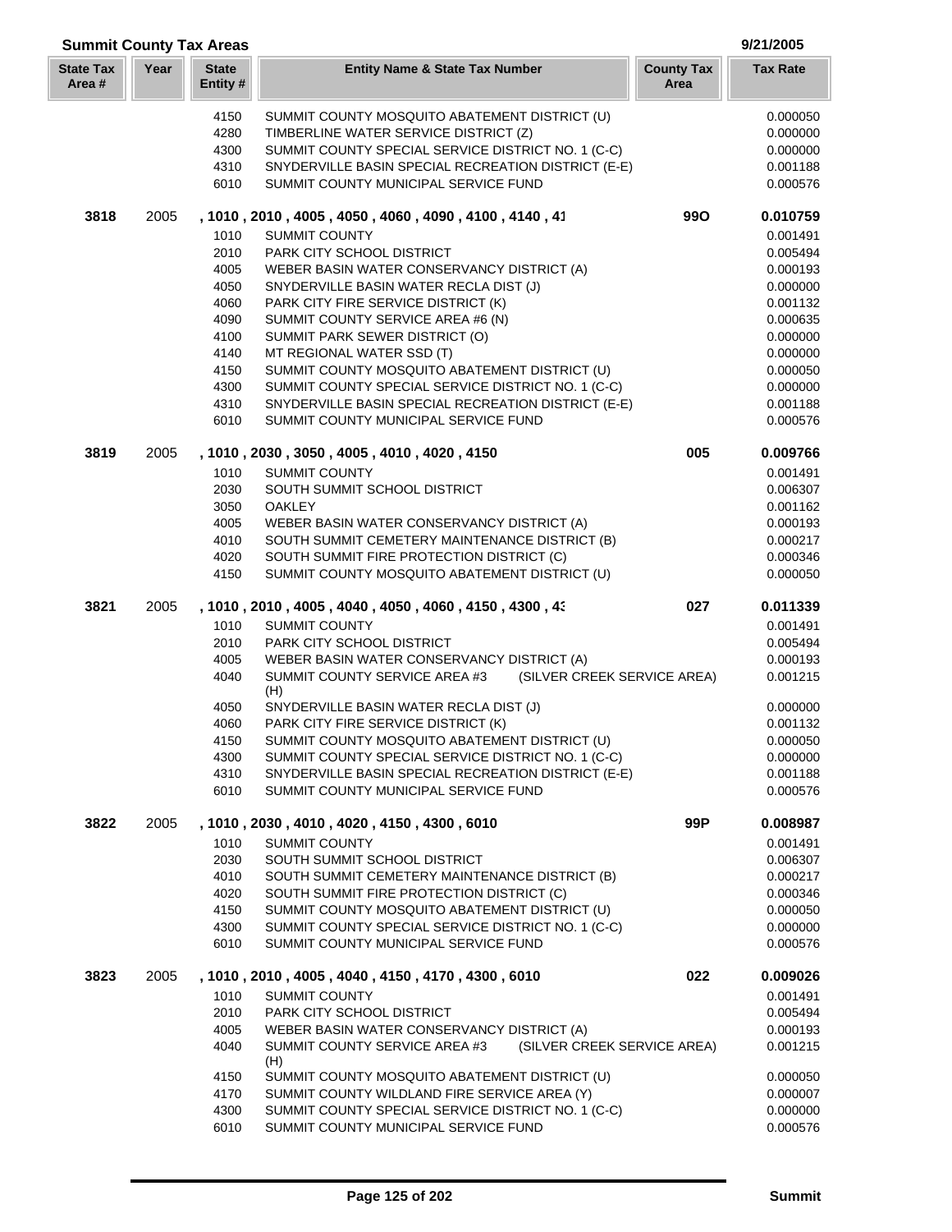| <b>Summit County Tax Areas</b> |      |                          |                                                                                                                   |                           | 9/21/2005            |
|--------------------------------|------|--------------------------|-------------------------------------------------------------------------------------------------------------------|---------------------------|----------------------|
| <b>State Tax</b><br>Area#      | Year | <b>State</b><br>Entity # | <b>Entity Name &amp; State Tax Number</b>                                                                         | <b>County Tax</b><br>Area | <b>Tax Rate</b>      |
|                                |      | 4150                     | SUMMIT COUNTY MOSQUITO ABATEMENT DISTRICT (U)                                                                     |                           | 0.000050             |
|                                |      | 4280                     | TIMBERLINE WATER SERVICE DISTRICT (Z)                                                                             |                           | 0.000000             |
|                                |      | 4300                     | SUMMIT COUNTY SPECIAL SERVICE DISTRICT NO. 1 (C-C)                                                                |                           | 0.000000             |
|                                |      | 4310                     | SNYDERVILLE BASIN SPECIAL RECREATION DISTRICT (E-E)                                                               |                           | 0.001188             |
|                                |      | 6010                     | SUMMIT COUNTY MUNICIPAL SERVICE FUND                                                                              |                           | 0.000576             |
| 3818                           | 2005 |                          | , 1010, 2010, 4005, 4050, 4060, 4090, 4100, 4140, 41                                                              | <b>990</b>                | 0.010759             |
|                                |      | 1010                     | <b>SUMMIT COUNTY</b>                                                                                              |                           | 0.001491             |
|                                |      | 2010                     | PARK CITY SCHOOL DISTRICT                                                                                         |                           | 0.005494             |
|                                |      | 4005                     | WEBER BASIN WATER CONSERVANCY DISTRICT (A)                                                                        |                           | 0.000193             |
|                                |      | 4050                     | SNYDERVILLE BASIN WATER RECLA DIST (J)                                                                            |                           | 0.000000             |
|                                |      | 4060                     | PARK CITY FIRE SERVICE DISTRICT (K)                                                                               |                           | 0.001132             |
|                                |      | 4090                     | SUMMIT COUNTY SERVICE AREA #6 (N)                                                                                 |                           | 0.000635             |
|                                |      | 4100                     | SUMMIT PARK SEWER DISTRICT (O)                                                                                    |                           | 0.000000             |
|                                |      | 4140                     | MT REGIONAL WATER SSD (T)                                                                                         |                           | 0.000000             |
|                                |      | 4150                     | SUMMIT COUNTY MOSQUITO ABATEMENT DISTRICT (U)                                                                     |                           | 0.000050             |
|                                |      | 4300                     | SUMMIT COUNTY SPECIAL SERVICE DISTRICT NO. 1 (C-C)                                                                |                           | 0.000000             |
|                                |      | 4310<br>6010             | SNYDERVILLE BASIN SPECIAL RECREATION DISTRICT (E-E)<br>SUMMIT COUNTY MUNICIPAL SERVICE FUND                       |                           | 0.001188<br>0.000576 |
| 3819                           | 2005 |                          | , 1010, 2030, 3050, 4005, 4010, 4020, 4150                                                                        | 005                       | 0.009766             |
|                                |      | 1010                     | <b>SUMMIT COUNTY</b>                                                                                              |                           | 0.001491             |
|                                |      | 2030                     | SOUTH SUMMIT SCHOOL DISTRICT                                                                                      |                           | 0.006307             |
|                                |      | 3050                     | <b>OAKLEY</b>                                                                                                     |                           | 0.001162             |
|                                |      | 4005                     | WEBER BASIN WATER CONSERVANCY DISTRICT (A)                                                                        |                           | 0.000193             |
|                                |      | 4010                     | SOUTH SUMMIT CEMETERY MAINTENANCE DISTRICT (B)                                                                    |                           | 0.000217             |
|                                |      | 4020                     | SOUTH SUMMIT FIRE PROTECTION DISTRICT (C)                                                                         |                           | 0.000346             |
|                                |      | 4150                     | SUMMIT COUNTY MOSQUITO ABATEMENT DISTRICT (U)                                                                     |                           | 0.000050             |
| 3821                           | 2005 |                          | , 1010, 2010, 4005, 4040, 4050, 4060, 4150, 4300, 43                                                              | 027                       | 0.011339             |
|                                |      | 1010                     | <b>SUMMIT COUNTY</b>                                                                                              |                           | 0.001491             |
|                                |      | 2010                     | PARK CITY SCHOOL DISTRICT                                                                                         |                           | 0.005494             |
|                                |      | 4005<br>4040             | WEBER BASIN WATER CONSERVANCY DISTRICT (A)<br>(SILVER CREEK SERVICE AREA)<br>SUMMIT COUNTY SERVICE AREA #3<br>(H) |                           | 0.000193<br>0.001215 |
|                                |      | 4050                     | SNYDERVILLE BASIN WATER RECLA DIST (J)                                                                            |                           | 0.000000             |
|                                |      | 4060                     | PARK CITY FIRE SERVICE DISTRICT (K)                                                                               |                           | 0.001132             |
|                                |      | 4150                     | SUMMIT COUNTY MOSQUITO ABATEMENT DISTRICT (U)                                                                     |                           | 0.000050             |
|                                |      | 4300                     | SUMMIT COUNTY SPECIAL SERVICE DISTRICT NO. 1 (C-C)                                                                |                           | 0.000000             |
|                                |      | 4310                     | SNYDERVILLE BASIN SPECIAL RECREATION DISTRICT (E-E)                                                               |                           | 0.001188             |
|                                |      | 6010                     | SUMMIT COUNTY MUNICIPAL SERVICE FUND                                                                              |                           | 0.000576             |
| 3822                           | 2005 |                          | , 1010, 2030, 4010, 4020, 4150, 4300, 6010                                                                        | 99P                       | 0.008987             |
|                                |      | 1010                     | <b>SUMMIT COUNTY</b>                                                                                              |                           | 0.001491             |
|                                |      | 2030                     | SOUTH SUMMIT SCHOOL DISTRICT                                                                                      |                           | 0.006307             |
|                                |      | 4010                     | SOUTH SUMMIT CEMETERY MAINTENANCE DISTRICT (B)                                                                    |                           | 0.000217             |
|                                |      | 4020<br>4150             | SOUTH SUMMIT FIRE PROTECTION DISTRICT (C)<br>SUMMIT COUNTY MOSQUITO ABATEMENT DISTRICT (U)                        |                           | 0.000346<br>0.000050 |
|                                |      | 4300                     | SUMMIT COUNTY SPECIAL SERVICE DISTRICT NO. 1 (C-C)                                                                |                           | 0.000000             |
|                                |      | 6010                     | SUMMIT COUNTY MUNICIPAL SERVICE FUND                                                                              |                           | 0.000576             |
| 3823                           | 2005 |                          | , 1010, 2010, 4005, 4040, 4150, 4170, 4300, 6010                                                                  | 022                       | 0.009026             |
|                                |      | 1010                     | <b>SUMMIT COUNTY</b>                                                                                              |                           | 0.001491             |
|                                |      | 2010                     | PARK CITY SCHOOL DISTRICT                                                                                         |                           | 0.005494             |
|                                |      | 4005                     | WEBER BASIN WATER CONSERVANCY DISTRICT (A)                                                                        |                           | 0.000193             |
|                                |      | 4040                     | SUMMIT COUNTY SERVICE AREA #3<br>(SILVER CREEK SERVICE AREA)<br>(H)                                               |                           | 0.001215             |
|                                |      | 4150                     | SUMMIT COUNTY MOSQUITO ABATEMENT DISTRICT (U)                                                                     |                           | 0.000050             |
|                                |      | 4170                     | SUMMIT COUNTY WILDLAND FIRE SERVICE AREA (Y)                                                                      |                           | 0.000007             |
|                                |      | 4300                     | SUMMIT COUNTY SPECIAL SERVICE DISTRICT NO. 1 (C-C)                                                                |                           | 0.000000             |
|                                |      | 6010                     | SUMMIT COUNTY MUNICIPAL SERVICE FUND                                                                              |                           | 0.000576             |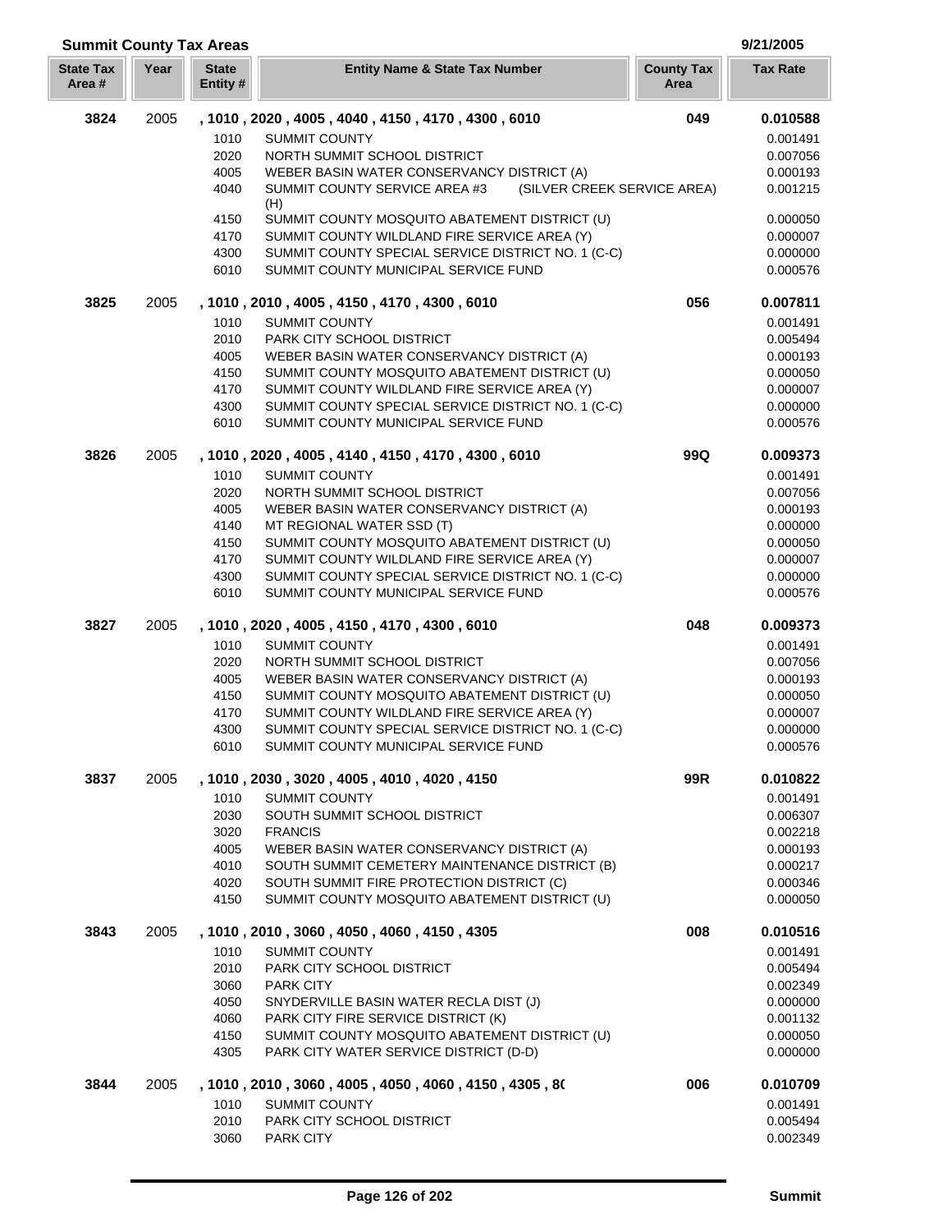### **Year Entity Name & State Tax Number County Tax Tax Rate Area State Tax Area # Summit County Tax Areas 9/21/2005 State Entity #** 2005 **, 1010 , 2020 , 4005 , 4040 , 4150 , 4170 , 4300 , 6010 049 0.010588** SUMMIT COUNTY 0.001491 NORTH SUMMIT SCHOOL DISTRICT 0.007056 WEBER BASIN WATER CONSERVANCY DISTRICT (A) 0.000193 SUMMIT COUNTY SERVICE AREA #3 (SILVER CREEK SERVICE AREA) 0.001215 (H) SUMMIT COUNTY MOSQUITO ABATEMENT DISTRICT (U) 0.000050 SUMMIT COUNTY WILDLAND FIRE SERVICE AREA (Y) 0.000007 4300 SUMMIT COUNTY SPECIAL SERVICE DISTRICT NO. 1 (C-C) 0.000000 0.000000 SUMMIT COUNTY MUNICIPAL SERVICE FUND 0.000576 2005 **, 1010 , 2010 , 4005 , 4150 , 4170 , 4300 , 6010 056 0.007811** 1010 SUMMIT COUNTY 6.001491 PARK CITY SCHOOL DISTRICT 0.005494 WEBER BASIN WATER CONSERVANCY DISTRICT (A) 0.000193 4150 SUMMIT COUNTY MOSQUITO ABATEMENT DISTRICT (U) 0.000050 SUMMIT COUNTY WILDLAND FIRE SERVICE AREA (Y) 0.000007 SUMMIT COUNTY SPECIAL SERVICE DISTRICT NO. 1 (C-C) 0.000000 SUMMIT COUNTY MUNICIPAL SERVICE FUND 0.000576 2005 **, 1010 , 2020 , 4005 , 4140 , 4150 , 4170 , 4300 , 6010 99Q 0.009373** 1010 SUMMIT COUNTY 6.001491 2020 NORTH SUMMIT SCHOOL DISTRICT ALL CONTROLLERY ON A 1990 ON 2007056 WEBER BASIN WATER CONSERVANCY DISTRICT (A) 0.000193 MT REGIONAL WATER SSD (T) 0.000000 4150 SUMMIT COUNTY MOSQUITO ABATEMENT DISTRICT (U) 0.000050 0.000050 SUMMIT COUNTY WILDLAND FIRE SERVICE AREA (Y) 0.000007 SUMMIT COUNTY SPECIAL SERVICE DISTRICT NO. 1 (C-C) 0.000000 SUMMIT COUNTY MUNICIPAL SERVICE FUND 0.000576 2005 **, 1010 , 2020 , 4005 , 4150 , 4170 , 4300 , 6010 048 0.009373** 1010 SUMMIT COUNTY **1010** SUMMIT COUNTY NORTH SUMMIT SCHOOL DISTRICT 0.007056 WEBER BASIN WATER CONSERVANCY DISTRICT (A) 0.000193 4150 SUMMIT COUNTY MOSQUITO ABATEMENT DISTRICT (U) 0.000050 SUMMIT COUNTY WILDLAND FIRE SERVICE AREA (Y) 0.000007 4300 SUMMIT COUNTY SPECIAL SERVICE DISTRICT NO. 1 (C-C) 0.000000 0.000000 SUMMIT COUNTY MUNICIPAL SERVICE FUND 0.000576 2005 **, 1010 , 2030 , 3020 , 4005 , 4010 , 4020 , 4150 99R 0.010822** 1010 SUMMIT COUNTY **1010** SUMMIT COUNTY SOUTH SUMMIT SCHOOL DISTRICT 0.006307 FRANCIS 0.002218 WEBER BASIN WATER CONSERVANCY DISTRICT (A) 0.000193 SOUTH SUMMIT CEMETERY MAINTENANCE DISTRICT (B) 0.000217 4020 SOUTH SUMMIT FIRE PROTECTION DISTRICT (C) 0.000346 SUMMIT COUNTY MOSQUITO ABATEMENT DISTRICT (U) 0.000050 2005 **, 1010 , 2010 , 3060 , 4050 , 4060 , 4150 , 4305 008 0.010516** 1010 SUMMIT COUNTY **1010** SUMMIT COUNTY PARK CITY SCHOOL DISTRICT 0.005494 3060 PARK CITY 6.002349 SNYDERVILLE BASIN WATER RECLA DIST (J) 0.000000 4060 PARK CITY FIRE SERVICE DISTRICT (K) 0.001132 4150 SUMMIT COUNTY MOSQUITO ABATEMENT DISTRICT (U) 0.000050 PARK CITY WATER SERVICE DISTRICT (D-D) 0.000000 2005 **, 1010 , 2010 , 3060 , 4005 , 4050 , 4060 , 4150 , 4305 , 801 006 0.010709** SUMMIT COUNTY 0.001491 PARK CITY SCHOOL DISTRICT 0.005494 PARK CITY 0.002349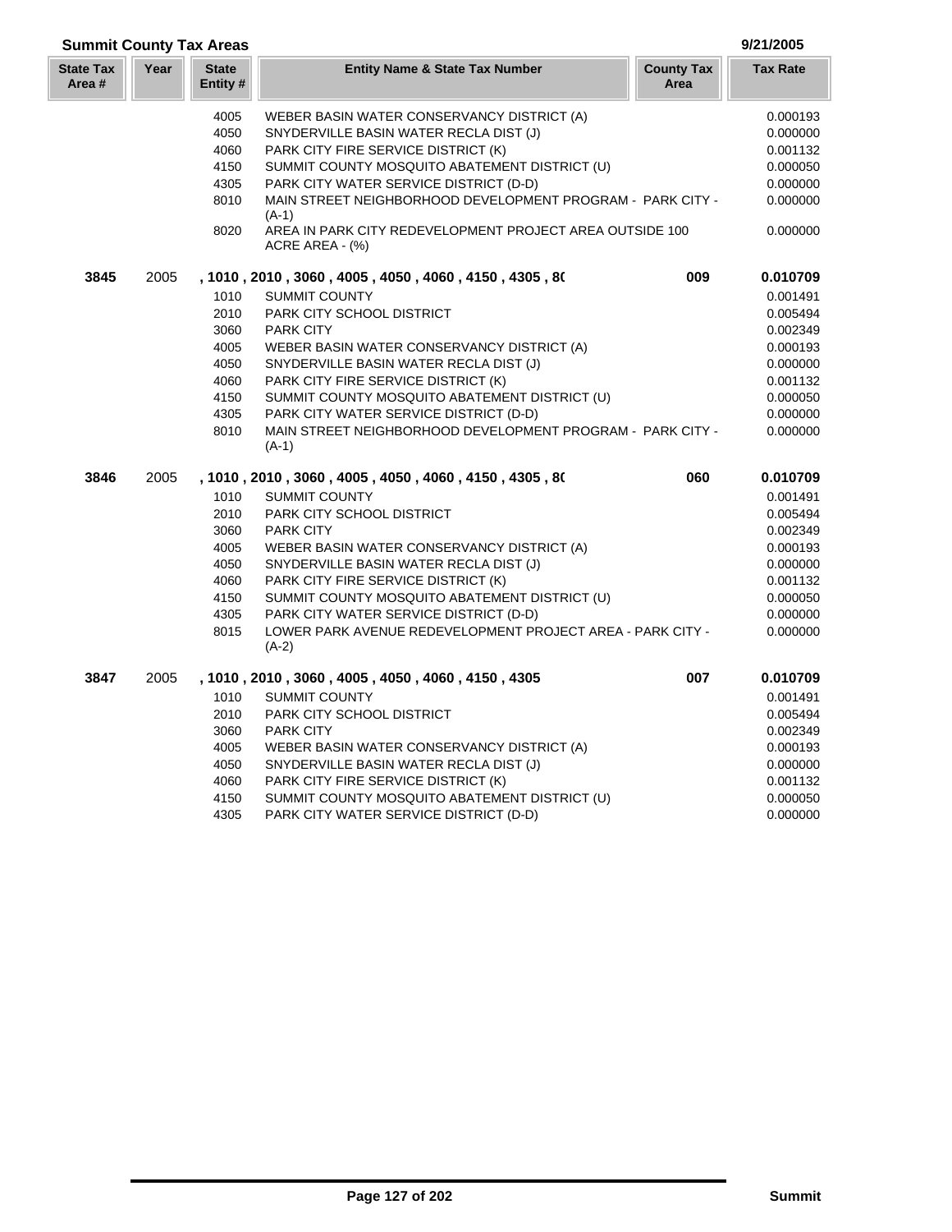| <b>Summit County Tax Areas</b> |      |                         |                                                                             |                           | 9/21/2005       |
|--------------------------------|------|-------------------------|-----------------------------------------------------------------------------|---------------------------|-----------------|
| <b>State Tax</b><br>Area #     | Year | <b>State</b><br>Entity# | <b>Entity Name &amp; State Tax Number</b>                                   | <b>County Tax</b><br>Area | <b>Tax Rate</b> |
|                                |      | 4005                    | WEBER BASIN WATER CONSERVANCY DISTRICT (A)                                  |                           | 0.000193        |
|                                |      | 4050                    | SNYDERVILLE BASIN WATER RECLA DIST (J)                                      |                           | 0.000000        |
|                                |      | 4060                    | PARK CITY FIRE SERVICE DISTRICT (K)                                         |                           | 0.001132        |
|                                |      | 4150                    | SUMMIT COUNTY MOSQUITO ABATEMENT DISTRICT (U)                               |                           | 0.000050        |
|                                |      | 4305                    | PARK CITY WATER SERVICE DISTRICT (D-D)                                      |                           | 0.000000        |
|                                |      | 8010                    | MAIN STREET NEIGHBORHOOD DEVELOPMENT PROGRAM - PARK CITY -<br>$(A-1)$       |                           | 0.000000        |
|                                |      | 8020                    | AREA IN PARK CITY REDEVELOPMENT PROJECT AREA OUTSIDE 100<br>ACRE AREA - (%) |                           | 0.000000        |
| 3845                           | 2005 |                         | , 1010, 2010, 3060, 4005, 4050, 4060, 4150, 4305, 80                        | 009                       | 0.010709        |
|                                |      | 1010                    | <b>SUMMIT COUNTY</b>                                                        |                           | 0.001491        |
|                                |      | 2010                    | PARK CITY SCHOOL DISTRICT                                                   |                           | 0.005494        |
|                                |      | 3060                    | <b>PARK CITY</b>                                                            |                           | 0.002349        |
|                                |      | 4005                    | WEBER BASIN WATER CONSERVANCY DISTRICT (A)                                  |                           | 0.000193        |
|                                |      | 4050                    | SNYDERVILLE BASIN WATER RECLA DIST (J)                                      |                           | 0.000000        |
|                                |      | 4060                    | PARK CITY FIRE SERVICE DISTRICT (K)                                         |                           | 0.001132        |
|                                |      | 4150                    | SUMMIT COUNTY MOSQUITO ABATEMENT DISTRICT (U)                               |                           | 0.000050        |
|                                |      | 4305                    | PARK CITY WATER SERVICE DISTRICT (D-D)                                      |                           | 0.000000        |
|                                |      | 8010                    | MAIN STREET NEIGHBORHOOD DEVELOPMENT PROGRAM - PARK CITY -<br>$(A-1)$       |                           | 0.000000        |
| 3846                           | 2005 |                         | , 1010 , 2010 , 3060 , 4005 , 4050 , 4060 , 4150 , 4305 , 80                | 060                       | 0.010709        |
|                                |      | 1010                    | <b>SUMMIT COUNTY</b>                                                        |                           | 0.001491        |
|                                |      | 2010                    | PARK CITY SCHOOL DISTRICT                                                   |                           | 0.005494        |
|                                |      | 3060                    | <b>PARK CITY</b>                                                            |                           | 0.002349        |
|                                |      | 4005                    | WEBER BASIN WATER CONSERVANCY DISTRICT (A)                                  |                           | 0.000193        |
|                                |      | 4050                    | SNYDERVILLE BASIN WATER RECLA DIST (J)                                      |                           | 0.000000        |
|                                |      | 4060                    | PARK CITY FIRE SERVICE DISTRICT (K)                                         |                           | 0.001132        |
|                                |      | 4150                    | SUMMIT COUNTY MOSQUITO ABATEMENT DISTRICT (U)                               |                           | 0.000050        |
|                                |      | 4305                    | PARK CITY WATER SERVICE DISTRICT (D-D)                                      |                           | 0.000000        |
|                                |      | 8015                    | LOWER PARK AVENUE REDEVELOPMENT PROJECT AREA - PARK CITY -<br>$(A-2)$       |                           | 0.000000        |
| 3847                           | 2005 |                         | , 1010, 2010, 3060, 4005, 4050, 4060, 4150, 4305                            | 007                       | 0.010709        |
|                                |      | 1010                    | <b>SUMMIT COUNTY</b>                                                        |                           | 0.001491        |
|                                |      | 2010                    | PARK CITY SCHOOL DISTRICT                                                   |                           | 0.005494        |
|                                |      | 3060                    | <b>PARK CITY</b>                                                            |                           | 0.002349        |
|                                |      | 4005                    | WEBER BASIN WATER CONSERVANCY DISTRICT (A)                                  |                           | 0.000193        |
|                                |      | 4050                    | SNYDERVILLE BASIN WATER RECLA DIST (J)                                      |                           | 0.000000        |
|                                |      | 4060                    | PARK CITY FIRE SERVICE DISTRICT (K)                                         |                           | 0.001132        |
|                                |      | 4150                    | SUMMIT COUNTY MOSQUITO ABATEMENT DISTRICT (U)                               |                           | 0.000050        |

PARK CITY WATER SERVICE DISTRICT (D-D) 0.000000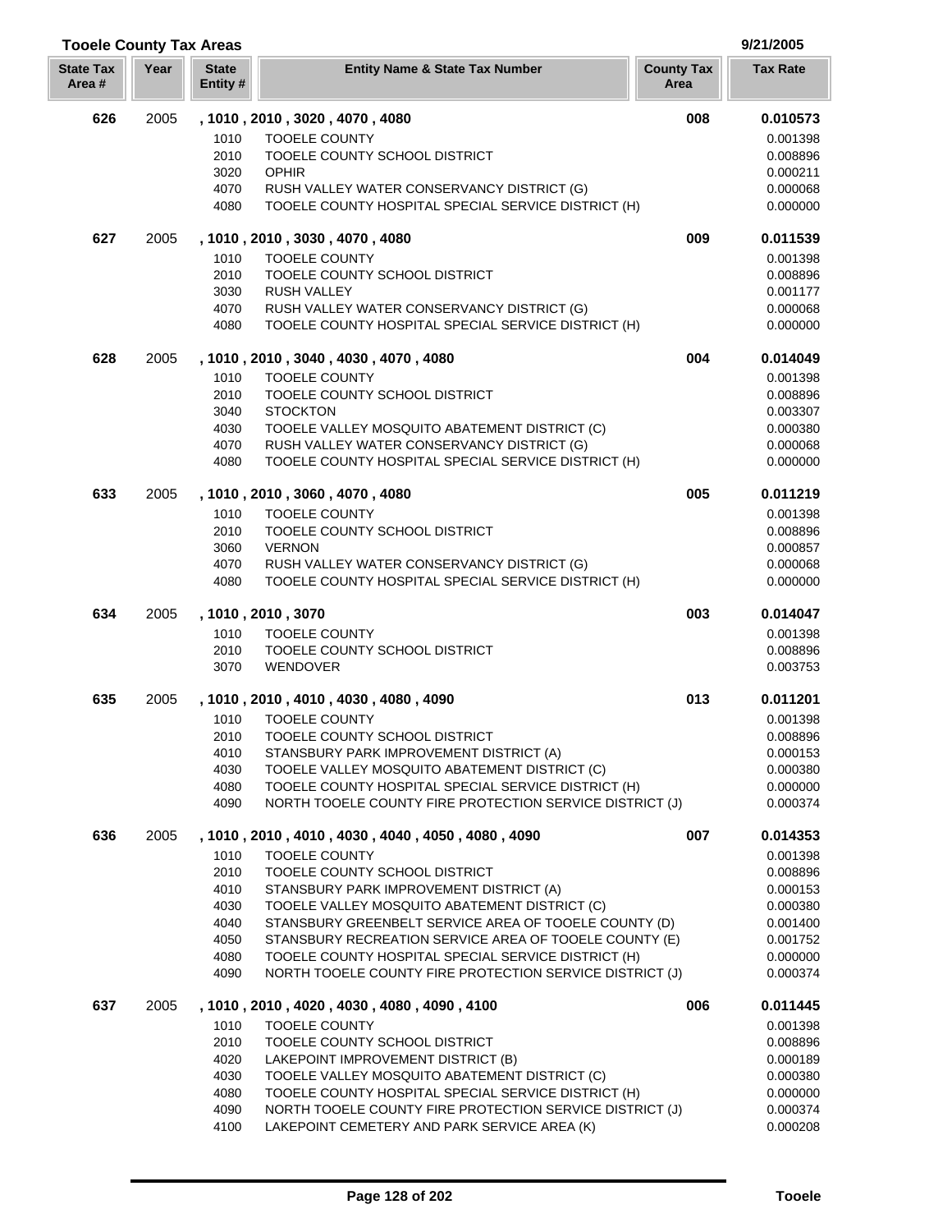| <b>Tooele County Tax Areas</b> |      |                         |                                                                                                   |                           | 9/21/2005            |
|--------------------------------|------|-------------------------|---------------------------------------------------------------------------------------------------|---------------------------|----------------------|
| <b>State Tax</b><br>Area#      | Year | <b>State</b><br>Entity# | <b>Entity Name &amp; State Tax Number</b>                                                         | <b>County Tax</b><br>Area | <b>Tax Rate</b>      |
| 626                            | 2005 |                         | , 1010, 2010, 3020, 4070, 4080                                                                    | 008                       | 0.010573             |
|                                |      | 1010                    | <b>TOOELE COUNTY</b>                                                                              |                           | 0.001398             |
|                                |      | 2010                    | TOOELE COUNTY SCHOOL DISTRICT                                                                     |                           | 0.008896             |
|                                |      | 3020                    | <b>OPHIR</b>                                                                                      |                           | 0.000211             |
|                                |      | 4070                    | RUSH VALLEY WATER CONSERVANCY DISTRICT (G)                                                        |                           | 0.000068             |
|                                |      | 4080                    | TOOELE COUNTY HOSPITAL SPECIAL SERVICE DISTRICT (H)                                               |                           | 0.000000             |
| 627                            | 2005 |                         | , 1010, 2010, 3030, 4070, 4080                                                                    | 009                       | 0.011539             |
|                                |      | 1010                    | <b>TOOELE COUNTY</b>                                                                              |                           | 0.001398             |
|                                |      | 2010                    | TOOELE COUNTY SCHOOL DISTRICT                                                                     |                           | 0.008896             |
|                                |      | 3030                    | <b>RUSH VALLEY</b>                                                                                |                           | 0.001177             |
|                                |      | 4070                    | RUSH VALLEY WATER CONSERVANCY DISTRICT (G)                                                        |                           | 0.000068             |
|                                |      | 4080                    | TOOELE COUNTY HOSPITAL SPECIAL SERVICE DISTRICT (H)                                               |                           | 0.000000             |
| 628                            | 2005 |                         | , 1010 , 2010 , 3040 , 4030 , 4070 , 4080                                                         | 004                       | 0.014049             |
|                                |      | 1010                    | <b>TOOELE COUNTY</b>                                                                              |                           | 0.001398             |
|                                |      | 2010                    | TOOELE COUNTY SCHOOL DISTRICT                                                                     |                           | 0.008896             |
|                                |      | 3040                    | <b>STOCKTON</b>                                                                                   |                           | 0.003307             |
|                                |      | 4030                    | TOOELE VALLEY MOSQUITO ABATEMENT DISTRICT (C)                                                     |                           | 0.000380             |
|                                |      | 4070<br>4080            | RUSH VALLEY WATER CONSERVANCY DISTRICT (G)<br>TOOELE COUNTY HOSPITAL SPECIAL SERVICE DISTRICT (H) |                           | 0.000068<br>0.000000 |
| 633                            | 2005 |                         | , 1010, 2010, 3060, 4070, 4080                                                                    | 005                       | 0.011219             |
|                                |      | 1010                    | <b>TOOELE COUNTY</b>                                                                              |                           | 0.001398             |
|                                |      | 2010                    | TOOELE COUNTY SCHOOL DISTRICT                                                                     |                           | 0.008896             |
|                                |      | 3060                    | <b>VERNON</b>                                                                                     |                           | 0.000857             |
|                                |      | 4070                    | RUSH VALLEY WATER CONSERVANCY DISTRICT (G)                                                        |                           | 0.000068             |
|                                |      | 4080                    | TOOELE COUNTY HOSPITAL SPECIAL SERVICE DISTRICT (H)                                               |                           | 0.000000             |
| 634                            | 2005 |                         | , 1010, 2010, 3070                                                                                | 003                       | 0.014047             |
|                                |      | 1010                    | <b>TOOELE COUNTY</b>                                                                              |                           | 0.001398             |
|                                |      | 2010                    | TOOELE COUNTY SCHOOL DISTRICT                                                                     |                           | 0.008896             |
|                                |      | 3070                    | WENDOVER                                                                                          |                           | 0.003753             |
| 635                            | 2005 |                         | , 1010, 2010, 4010, 4030, 4080, 4090                                                              | 013                       | 0.011201             |
|                                |      | 1010                    | <b>TOOELE COUNTY</b>                                                                              |                           | 0.001398             |
|                                |      | 2010                    | TOOELE COUNTY SCHOOL DISTRICT                                                                     |                           | 0.008896             |
|                                |      | 4010                    | STANSBURY PARK IMPROVEMENT DISTRICT (A)                                                           |                           | 0.000153             |
|                                |      | 4030                    | TOOELE VALLEY MOSQUITO ABATEMENT DISTRICT (C)                                                     |                           | 0.000380             |
|                                |      | 4080                    | TOOELE COUNTY HOSPITAL SPECIAL SERVICE DISTRICT (H)                                               |                           | 0.000000             |
|                                |      | 4090                    | NORTH TOOELE COUNTY FIRE PROTECTION SERVICE DISTRICT (J)                                          |                           | 0.000374             |
| 636                            | 2005 |                         | , 1010, 2010, 4010, 4030, 4040, 4050, 4080, 4090                                                  | 007                       | 0.014353             |
|                                |      | 1010                    | <b>TOOELE COUNTY</b>                                                                              |                           | 0.001398             |
|                                |      | 2010                    | TOOELE COUNTY SCHOOL DISTRICT                                                                     |                           | 0.008896             |
|                                |      | 4010<br>4030            | STANSBURY PARK IMPROVEMENT DISTRICT (A)<br>TOOELE VALLEY MOSQUITO ABATEMENT DISTRICT (C)          |                           | 0.000153<br>0.000380 |
|                                |      | 4040                    | STANSBURY GREENBELT SERVICE AREA OF TOOELE COUNTY (D)                                             |                           | 0.001400             |
|                                |      | 4050                    | STANSBURY RECREATION SERVICE AREA OF TOOELE COUNTY (E)                                            |                           | 0.001752             |
|                                |      | 4080                    | TOOELE COUNTY HOSPITAL SPECIAL SERVICE DISTRICT (H)                                               |                           | 0.000000             |
|                                |      | 4090                    | NORTH TOOELE COUNTY FIRE PROTECTION SERVICE DISTRICT (J)                                          |                           | 0.000374             |
| 637                            | 2005 |                         | , 1010 , 2010 , 4020 , 4030 , 4080 , 4090 , 4100                                                  | 006                       | 0.011445             |
|                                |      | 1010                    | <b>TOOELE COUNTY</b>                                                                              |                           | 0.001398             |
|                                |      | 2010                    | TOOELE COUNTY SCHOOL DISTRICT                                                                     |                           | 0.008896             |
|                                |      | 4020                    | LAKEPOINT IMPROVEMENT DISTRICT (B)                                                                |                           | 0.000189             |
|                                |      | 4030                    | TOOELE VALLEY MOSQUITO ABATEMENT DISTRICT (C)                                                     |                           | 0.000380             |
|                                |      | 4080                    | TOOELE COUNTY HOSPITAL SPECIAL SERVICE DISTRICT (H)                                               |                           | 0.000000             |
|                                |      | 4090                    | NORTH TOOELE COUNTY FIRE PROTECTION SERVICE DISTRICT (J)                                          |                           | 0.000374             |
|                                |      | 4100                    | LAKEPOINT CEMETERY AND PARK SERVICE AREA (K)                                                      |                           | 0.000208             |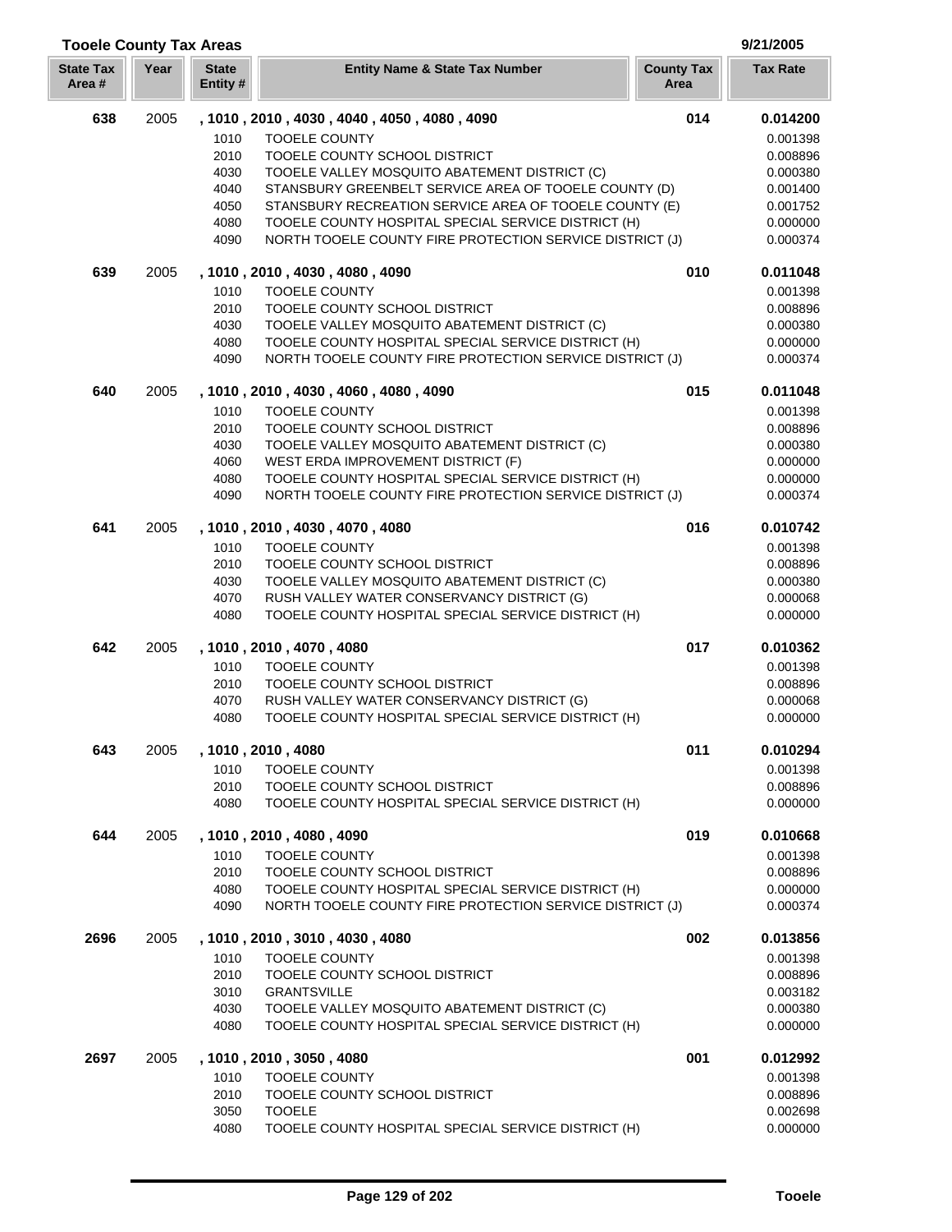## **Year Entity Name & State Tax Number County Tax Tax Rate Area State Tax Area # State Entity #** 2005 **, 1010 , 2010 , 4030 , 4040 , 4050 , 4080 , 4090 014 0.014200** TOOELE COUNTY 0.001398 TOOELE COUNTY SCHOOL DISTRICT 0.008896 TOOELE VALLEY MOSQUITO ABATEMENT DISTRICT (C) 0.000380 STANSBURY GREENBELT SERVICE AREA OF TOOELE COUNTY (D) 0.001400 STANSBURY RECREATION SERVICE AREA OF TOOELE COUNTY (E) 0.001752 TOOELE COUNTY HOSPITAL SPECIAL SERVICE DISTRICT (H) 0.000000 NORTH TOOELE COUNTY FIRE PROTECTION SERVICE DISTRICT (J) 0.000374 2005 **, 1010 , 2010 , 4030 , 4080 , 4090 010 0.011048** TOOELE COUNTY 0.001398 TOOELE COUNTY SCHOOL DISTRICT 0.008896 4030 TOOELE VALLEY MOSQUITO ABATEMENT DISTRICT (C) 0.000300 0.000380 TOOELE COUNTY HOSPITAL SPECIAL SERVICE DISTRICT (H) 0.000000 NORTH TOOELE COUNTY FIRE PROTECTION SERVICE DISTRICT (J) 0.000374 2005 **, 1010 , 2010 , 4030 , 4060 , 4080 , 4090 015 0.011048** TOOELE COUNTY 0.001398 TOOELE COUNTY SCHOOL DISTRICT 0.008896 4030 TOOELE VALLEY MOSQUITO ABATEMENT DISTRICT (C) 0.000300 0.000380 WEST ERDA IMPROVEMENT DISTRICT (F) 0.000000 TOOELE COUNTY HOSPITAL SPECIAL SERVICE DISTRICT (H) 0.000000 NORTH TOOELE COUNTY FIRE PROTECTION SERVICE DISTRICT (J) 0.000374 2005 **, 1010 , 2010 , 4030 , 4070 , 4080 016 0.010742** 1010 TOOELE COUNTY **1010** TOOELE COUNTY TOOELE COUNTY SCHOOL DISTRICT 0.008896 4030 TOOELE VALLEY MOSQUITO ABATEMENT DISTRICT (C) 0.000380 0.000380 4070 RUSH VALLEY WATER CONSERVANCY DISTRICT (G) 0.000068 TOOELE COUNTY HOSPITAL SPECIAL SERVICE DISTRICT (H) 0.000000 2005 **, 1010 , 2010 , 4070 , 4080 017 0.010362** 1010 TOOELE COUNTY **1010** TOOELE COUNTY TOOELE COUNTY SCHOOL DISTRICT 0.008896 4070 RUSH VALLEY WATER CONSERVANCY DISTRICT (G) 0.000068 0.000068 TOOELE COUNTY HOSPITAL SPECIAL SERVICE DISTRICT (H) 0.000000 2005 **, 1010 , 2010 , 4080 011 0.010294** TOOELE COUNTY 0.001398 TOOELE COUNTY SCHOOL DISTRICT 0.008896 TOOELE COUNTY HOSPITAL SPECIAL SERVICE DISTRICT (H) 0.000000 2005 **, 1010 , 2010 , 4080 , 4090 019 0.010668** 1010 TOOELE COUNTY **1010** TOOELE COUNTY TOOELE COUNTY SCHOOL DISTRICT 0.008896 TOOELE COUNTY HOSPITAL SPECIAL SERVICE DISTRICT (H) 0.000000 NORTH TOOELE COUNTY FIRE PROTECTION SERVICE DISTRICT (J) 0.000374 2005 **, 1010 , 2010 , 3010 , 4030 , 4080 002 0.013856** 1010 TOOELE COUNTY **1010** TOOELE COUNTY TOOELE COUNTY SCHOOL DISTRICT 0.008896 GRANTSVILLE 0.003182 TOOELE VALLEY MOSQUITO ABATEMENT DISTRICT (C) 0.000380 TOOELE COUNTY HOSPITAL SPECIAL SERVICE DISTRICT (H) 0.000000 2005 **, 1010 , 2010 , 3050 , 4080 001 0.012992** 1010 TOOFLE COUNTY CONTRACTED TO A 2001 10:001398 TOOELE COUNTY SCHOOL DISTRICT 0.008896 TOOELE 0.002698 TOOELE COUNTY HOSPITAL SPECIAL SERVICE DISTRICT (H) 0.000000

**Tooele County Tax Areas 9/21/2005**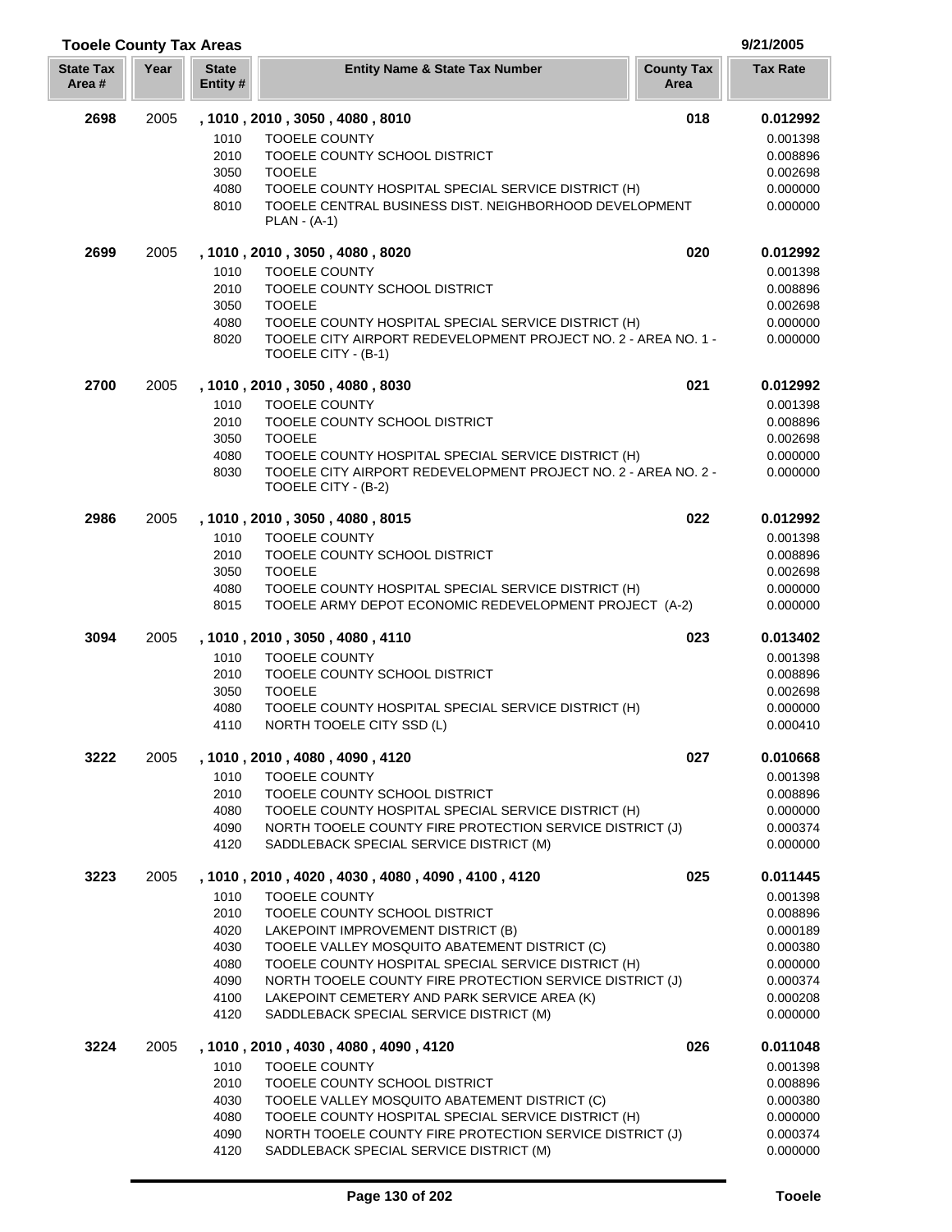# **Tooele County Tax Areas 9/21/2005**

| <b>State Tax</b><br>Area # | Year | <b>State</b><br>Entity # | <b>Entity Name &amp; State Tax Number</b>                                                                                                    | <b>County Tax</b><br>Area | <b>Tax Rate</b>      |
|----------------------------|------|--------------------------|----------------------------------------------------------------------------------------------------------------------------------------------|---------------------------|----------------------|
| 2698                       | 2005 |                          | , 1010, 2010, 3050, 4080, 8010                                                                                                               | 018                       | 0.012992             |
|                            |      | 1010                     | <b>TOOELE COUNTY</b>                                                                                                                         |                           | 0.001398             |
|                            |      | 2010                     | TOOELE COUNTY SCHOOL DISTRICT                                                                                                                |                           | 0.008896             |
|                            |      | 3050                     | <b>TOOELE</b>                                                                                                                                |                           | 0.002698             |
|                            |      | 4080                     | TOOELE COUNTY HOSPITAL SPECIAL SERVICE DISTRICT (H)                                                                                          |                           | 0.000000             |
|                            |      | 8010                     | TOOELE CENTRAL BUSINESS DIST. NEIGHBORHOOD DEVELOPMENT<br>$PLAN - (A-1)$                                                                     |                           | 0.000000             |
| 2699                       | 2005 |                          | , 1010, 2010, 3050, 4080, 8020                                                                                                               | 020                       | 0.012992             |
|                            |      | 1010                     | <b>TOOELE COUNTY</b>                                                                                                                         |                           | 0.001398             |
|                            |      | 2010                     | TOOELE COUNTY SCHOOL DISTRICT                                                                                                                |                           | 0.008896             |
|                            |      | 3050                     | <b>TOOELE</b>                                                                                                                                |                           | 0.002698             |
|                            |      | 4080<br>8020             | TOOELE COUNTY HOSPITAL SPECIAL SERVICE DISTRICT (H)<br>TOOELE CITY AIRPORT REDEVELOPMENT PROJECT NO. 2 - AREA NO. 1 -<br>TOOELE CITY - (B-1) |                           | 0.000000<br>0.000000 |
| 2700                       | 2005 |                          | , 1010, 2010, 3050, 4080, 8030                                                                                                               | 021                       | 0.012992             |
|                            |      | 1010                     | <b>TOOELE COUNTY</b>                                                                                                                         |                           | 0.001398             |
|                            |      | 2010                     | TOOELE COUNTY SCHOOL DISTRICT                                                                                                                |                           | 0.008896             |
|                            |      | 3050                     | <b>TOOELE</b>                                                                                                                                |                           | 0.002698             |
|                            |      | 4080                     | TOOELE COUNTY HOSPITAL SPECIAL SERVICE DISTRICT (H)                                                                                          |                           | 0.000000             |
|                            |      | 8030                     | TOOELE CITY AIRPORT REDEVELOPMENT PROJECT NO. 2 - AREA NO. 2 -<br>TOOELE CITY - (B-2)                                                        |                           | 0.000000             |
| 2986                       | 2005 |                          | , 1010, 2010, 3050, 4080, 8015                                                                                                               | 022                       | 0.012992             |
|                            |      | 1010                     | <b>TOOELE COUNTY</b>                                                                                                                         |                           | 0.001398             |
|                            |      | 2010                     | TOOELE COUNTY SCHOOL DISTRICT                                                                                                                |                           | 0.008896             |
|                            |      | 3050                     | <b>TOOELE</b>                                                                                                                                |                           | 0.002698             |
|                            |      | 4080                     | TOOELE COUNTY HOSPITAL SPECIAL SERVICE DISTRICT (H)                                                                                          |                           | 0.000000             |
|                            |      | 8015                     | TOOELE ARMY DEPOT ECONOMIC REDEVELOPMENT PROJECT (A-2)                                                                                       |                           | 0.000000             |
| 3094                       | 2005 |                          | , 1010 , 2010 , 3050 , 4080 , 4110                                                                                                           | 023                       | 0.013402             |
|                            |      | 1010                     | TOOELE COUNTY                                                                                                                                |                           | 0.001398             |
|                            |      | 2010                     | TOOELE COUNTY SCHOOL DISTRICT                                                                                                                |                           | 0.008896             |
|                            |      | 3050                     | <b>TOOELE</b>                                                                                                                                |                           | 0.002698             |
|                            |      | 4080<br>4110             | TOOELE COUNTY HOSPITAL SPECIAL SERVICE DISTRICT (H)<br>NORTH TOOELE CITY SSD (L)                                                             |                           | 0.000000<br>0.000410 |
| 3222                       | 2005 |                          | , 1010, 2010, 4080, 4090, 4120                                                                                                               | 027                       | 0.010668             |
|                            |      | 1010                     | <b>TOOELE COUNTY</b>                                                                                                                         |                           | 0.001398             |
|                            |      | 2010                     | TOOELE COUNTY SCHOOL DISTRICT                                                                                                                |                           | 0.008896             |
|                            |      | 4080                     | TOOELE COUNTY HOSPITAL SPECIAL SERVICE DISTRICT (H)                                                                                          |                           | 0.000000             |
|                            |      | 4090                     | NORTH TOOELE COUNTY FIRE PROTECTION SERVICE DISTRICT (J)                                                                                     |                           | 0.000374             |
|                            |      | 4120                     | SADDLEBACK SPECIAL SERVICE DISTRICT (M)                                                                                                      |                           | 0.000000             |
| 3223                       | 2005 |                          | , 1010, 2010, 4020, 4030, 4080, 4090, 4100, 4120                                                                                             | 025                       | 0.011445             |
|                            |      | 1010                     | <b>TOOELE COUNTY</b>                                                                                                                         |                           | 0.001398             |
|                            |      | 2010                     | TOOELE COUNTY SCHOOL DISTRICT                                                                                                                |                           | 0.008896             |
|                            |      | 4020                     | LAKEPOINT IMPROVEMENT DISTRICT (B)                                                                                                           |                           | 0.000189             |
|                            |      | 4030                     | TOOELE VALLEY MOSQUITO ABATEMENT DISTRICT (C)                                                                                                |                           | 0.000380             |
|                            |      | 4080                     | TOOELE COUNTY HOSPITAL SPECIAL SERVICE DISTRICT (H)                                                                                          |                           | 0.000000             |
|                            |      | 4090                     | NORTH TOOELE COUNTY FIRE PROTECTION SERVICE DISTRICT (J)                                                                                     |                           | 0.000374             |
|                            |      | 4100<br>4120             | LAKEPOINT CEMETERY AND PARK SERVICE AREA (K)<br>SADDLEBACK SPECIAL SERVICE DISTRICT (M)                                                      |                           | 0.000208<br>0.000000 |
| 3224                       | 2005 |                          |                                                                                                                                              | 026                       | 0.011048             |
|                            |      | 1010                     | , 1010 , 2010 , 4030 , 4080 , 4090 , 4120<br><b>TOOELE COUNTY</b>                                                                            |                           | 0.001398             |
|                            |      | 2010                     | TOOELE COUNTY SCHOOL DISTRICT                                                                                                                |                           | 0.008896             |
|                            |      | 4030                     | TOOELE VALLEY MOSQUITO ABATEMENT DISTRICT (C)                                                                                                |                           | 0.000380             |
|                            |      | 4080                     | TOOELE COUNTY HOSPITAL SPECIAL SERVICE DISTRICT (H)                                                                                          |                           | 0.000000             |
|                            |      | 4090                     | NORTH TOOELE COUNTY FIRE PROTECTION SERVICE DISTRICT (J)                                                                                     |                           | 0.000374             |
|                            |      | 4120                     | SADDLEBACK SPECIAL SERVICE DISTRICT (M)                                                                                                      |                           | 0.000000             |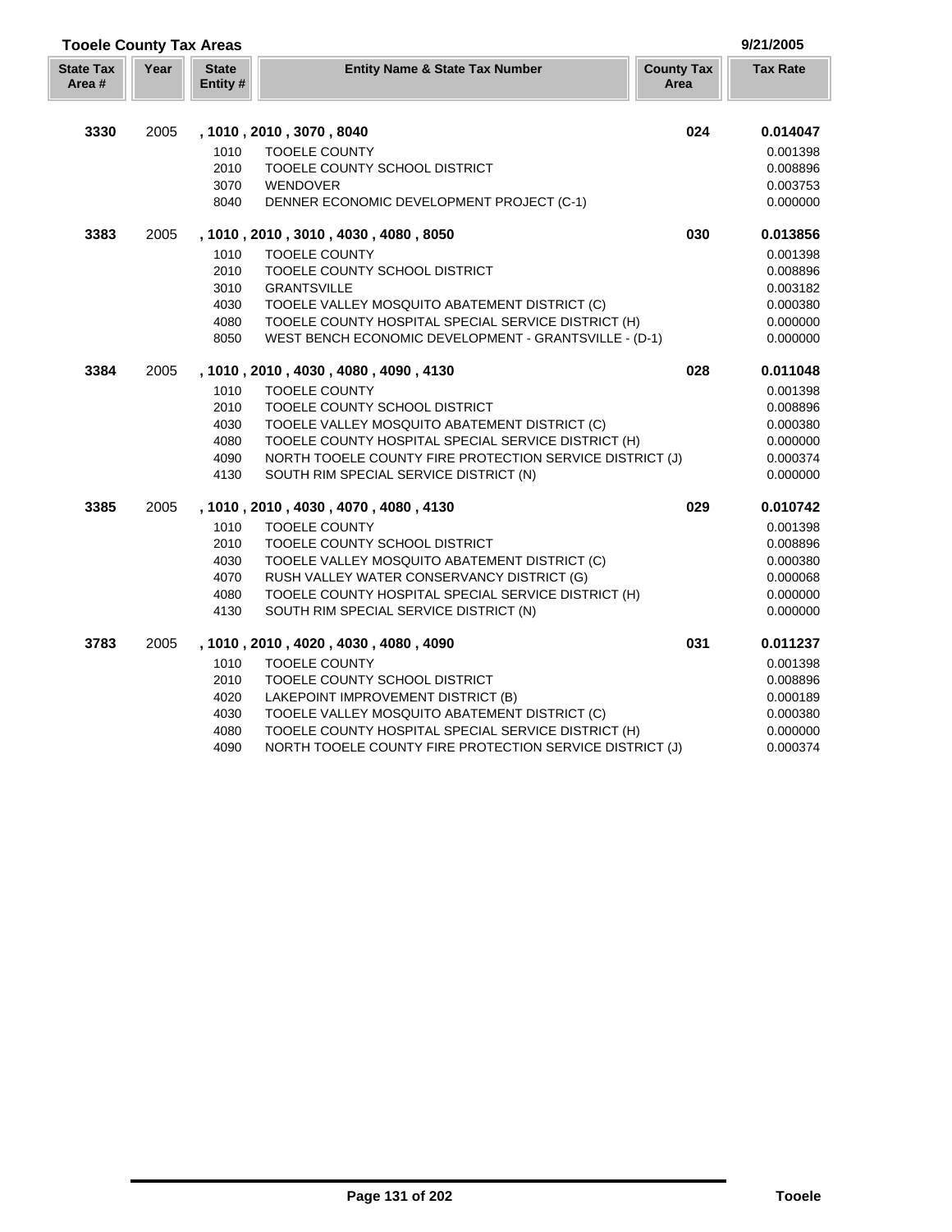| <b>Tooele County Tax Areas</b> |      |                         |                                                          |                           | 9/21/2005       |
|--------------------------------|------|-------------------------|----------------------------------------------------------|---------------------------|-----------------|
| <b>State Tax</b><br>Area#      | Year | <b>State</b><br>Entity# | <b>Entity Name &amp; State Tax Number</b>                | <b>County Tax</b><br>Area | <b>Tax Rate</b> |
| 3330                           | 2005 |                         | , 1010, 2010, 3070, 8040                                 | 024                       | 0.014047        |
|                                |      | 1010                    | <b>TOOELE COUNTY</b>                                     |                           | 0.001398        |
|                                |      | 2010                    | TOOELE COUNTY SCHOOL DISTRICT                            |                           | 0.008896        |
|                                |      | 3070                    | WENDOVER                                                 |                           | 0.003753        |
|                                |      | 8040                    | DENNER ECONOMIC DEVELOPMENT PROJECT (C-1)                |                           | 0.000000        |
| 3383                           | 2005 |                         | , 1010, 2010, 3010, 4030, 4080, 8050                     | 030                       | 0.013856        |
|                                |      | 1010                    | <b>TOOELE COUNTY</b>                                     |                           | 0.001398        |
|                                |      | 2010                    | TOOELE COUNTY SCHOOL DISTRICT                            |                           | 0.008896        |
|                                |      | 3010                    | <b>GRANTSVILLE</b>                                       |                           | 0.003182        |
|                                |      | 4030                    | TOOELE VALLEY MOSQUITO ABATEMENT DISTRICT (C)            |                           | 0.000380        |
|                                |      | 4080                    | TOOELE COUNTY HOSPITAL SPECIAL SERVICE DISTRICT (H)      |                           | 0.000000        |
|                                |      | 8050                    | WEST BENCH ECONOMIC DEVELOPMENT - GRANTSVILLE - (D-1)    |                           | 0.000000        |
| 3384                           | 2005 |                         | , 1010, 2010, 4030, 4080, 4090, 4130                     | 028                       | 0.011048        |
|                                |      | 1010                    | <b>TOOELE COUNTY</b>                                     |                           | 0.001398        |
|                                |      | 2010                    | TOOELE COUNTY SCHOOL DISTRICT                            |                           | 0.008896        |
|                                |      | 4030                    | TOOELE VALLEY MOSQUITO ABATEMENT DISTRICT (C)            |                           | 0.000380        |
|                                |      | 4080                    | TOOELE COUNTY HOSPITAL SPECIAL SERVICE DISTRICT (H)      |                           | 0.000000        |
|                                |      | 4090                    | NORTH TOOELE COUNTY FIRE PROTECTION SERVICE DISTRICT (J) |                           | 0.000374        |
|                                |      | 4130                    | SOUTH RIM SPECIAL SERVICE DISTRICT (N)                   |                           | 0.000000        |
| 3385                           | 2005 |                         | , 1010, 2010, 4030, 4070, 4080, 4130                     | 029                       | 0.010742        |
|                                |      | 1010                    | <b>TOOELE COUNTY</b>                                     |                           | 0.001398        |
|                                |      | 2010                    | TOOELE COUNTY SCHOOL DISTRICT                            |                           | 0.008896        |
|                                |      | 4030                    | TOOELE VALLEY MOSQUITO ABATEMENT DISTRICT (C)            |                           | 0.000380        |
|                                |      | 4070                    | RUSH VALLEY WATER CONSERVANCY DISTRICT (G)               |                           | 0.000068        |
|                                |      | 4080                    | TOOELE COUNTY HOSPITAL SPECIAL SERVICE DISTRICT (H)      |                           | 0.000000        |
|                                |      | 4130                    | SOUTH RIM SPECIAL SERVICE DISTRICT (N)                   |                           | 0.000000        |
| 3783                           | 2005 |                         | , 1010, 2010, 4020, 4030, 4080, 4090                     | 031                       | 0.011237        |
|                                |      | 1010                    | <b>TOOELE COUNTY</b>                                     |                           | 0.001398        |
|                                |      | 2010                    | TOOELE COUNTY SCHOOL DISTRICT                            |                           | 0.008896        |
|                                |      | 4020                    | LAKEPOINT IMPROVEMENT DISTRICT (B)                       |                           | 0.000189        |
|                                |      | 4030                    | TOOELE VALLEY MOSQUITO ABATEMENT DISTRICT (C)            |                           | 0.000380        |
|                                |      | 4080                    | TOOELE COUNTY HOSPITAL SPECIAL SERVICE DISTRICT (H)      |                           | 0.000000        |
|                                |      | 4090                    | NORTH TOOELE COUNTY FIRE PROTECTION SERVICE DISTRICT (J) |                           | 0.000374        |

Г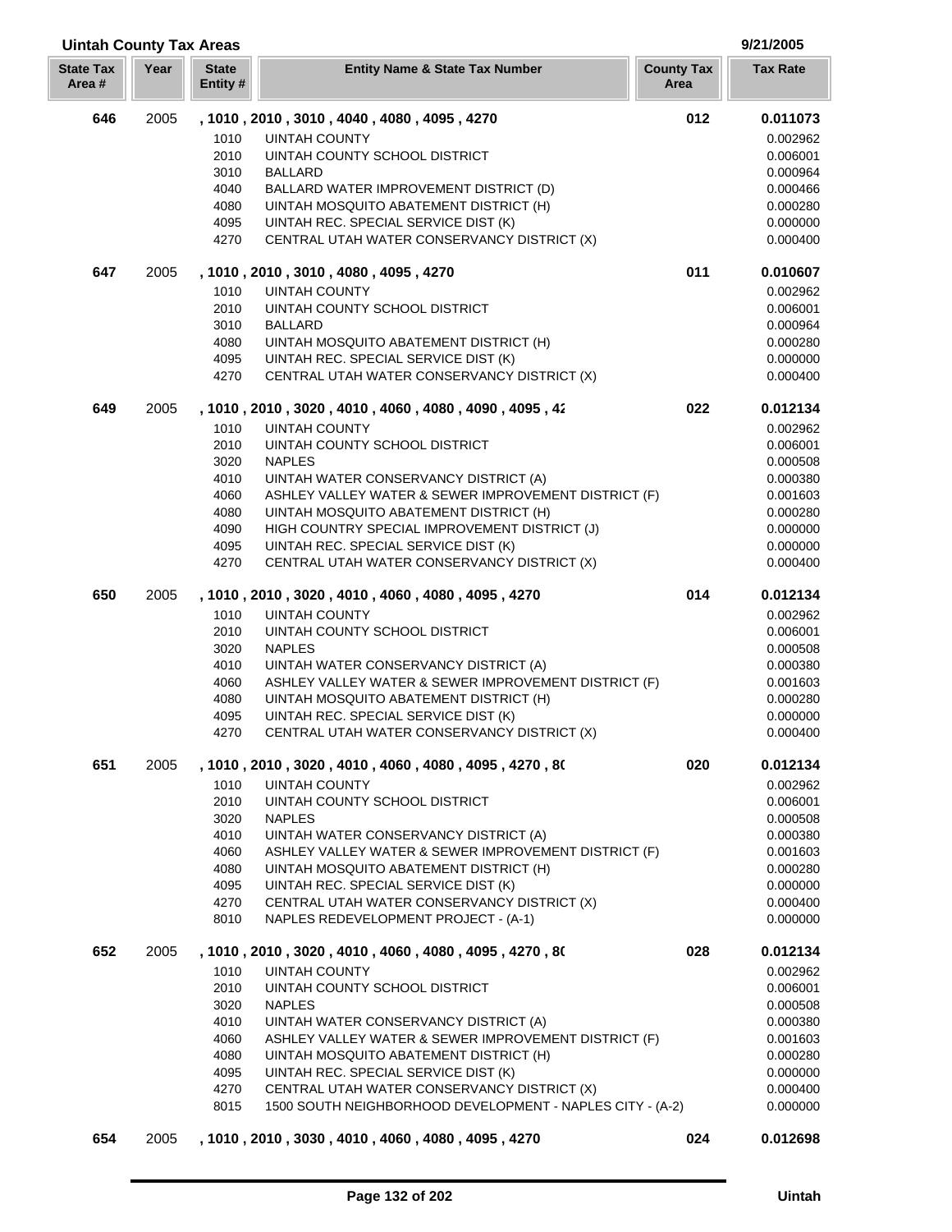| <b>Uintah County Tax Areas</b> |      |                          |                                                                                     |                           | 9/21/2005            |
|--------------------------------|------|--------------------------|-------------------------------------------------------------------------------------|---------------------------|----------------------|
| <b>State Tax</b><br>Area#      | Year | <b>State</b><br>Entity # | <b>Entity Name &amp; State Tax Number</b>                                           | <b>County Tax</b><br>Area | <b>Tax Rate</b>      |
| 646                            | 2005 |                          | , 1010 , 2010 , 3010 , 4040 , 4080 , 4095 , 4270                                    | 012                       | 0.011073             |
|                                |      | 1010                     | <b>UINTAH COUNTY</b>                                                                |                           | 0.002962             |
|                                |      | 2010                     | UINTAH COUNTY SCHOOL DISTRICT                                                       |                           | 0.006001             |
|                                |      | 3010                     | <b>BALLARD</b>                                                                      |                           | 0.000964             |
|                                |      | 4040                     | BALLARD WATER IMPROVEMENT DISTRICT (D)                                              |                           | 0.000466             |
|                                |      | 4080                     | UINTAH MOSQUITO ABATEMENT DISTRICT (H)                                              |                           | 0.000280             |
|                                |      | 4095                     | UINTAH REC. SPECIAL SERVICE DIST (K)                                                |                           | 0.000000             |
|                                |      | 4270                     | CENTRAL UTAH WATER CONSERVANCY DISTRICT (X)                                         |                           | 0.000400             |
| 647                            | 2005 |                          | , 1010, 2010, 3010, 4080, 4095, 4270                                                | 011                       | 0.010607             |
|                                |      | 1010                     | <b>UINTAH COUNTY</b>                                                                |                           | 0.002962             |
|                                |      | 2010                     | UINTAH COUNTY SCHOOL DISTRICT                                                       |                           | 0.006001             |
|                                |      | 3010                     | <b>BALLARD</b>                                                                      |                           | 0.000964             |
|                                |      | 4080                     | UINTAH MOSQUITO ABATEMENT DISTRICT (H)                                              |                           | 0.000280             |
|                                |      | 4095<br>4270             | UINTAH REC. SPECIAL SERVICE DIST (K)<br>CENTRAL UTAH WATER CONSERVANCY DISTRICT (X) |                           | 0.000000<br>0.000400 |
|                                |      |                          |                                                                                     |                           |                      |
| 649                            | 2005 |                          | , 1010, 2010, 3020, 4010, 4060, 4080, 4090, 4095, 42<br><b>UINTAH COUNTY</b>        | 022                       | 0.012134             |
|                                |      | 1010<br>2010             | UINTAH COUNTY SCHOOL DISTRICT                                                       |                           | 0.002962<br>0.006001 |
|                                |      | 3020                     | <b>NAPLES</b>                                                                       |                           | 0.000508             |
|                                |      | 4010                     | UINTAH WATER CONSERVANCY DISTRICT (A)                                               |                           | 0.000380             |
|                                |      | 4060                     | ASHLEY VALLEY WATER & SEWER IMPROVEMENT DISTRICT (F)                                |                           | 0.001603             |
|                                |      | 4080                     | UINTAH MOSQUITO ABATEMENT DISTRICT (H)                                              |                           | 0.000280             |
|                                |      | 4090                     | HIGH COUNTRY SPECIAL IMPROVEMENT DISTRICT (J)                                       |                           | 0.000000             |
|                                |      | 4095                     | UINTAH REC. SPECIAL SERVICE DIST (K)                                                |                           | 0.000000             |
|                                |      | 4270                     | CENTRAL UTAH WATER CONSERVANCY DISTRICT (X)                                         |                           | 0.000400             |
| 650                            | 2005 |                          | , 1010, 2010, 3020, 4010, 4060, 4080, 4095, 4270                                    | 014                       | 0.012134             |
|                                |      | 1010                     | <b>UINTAH COUNTY</b>                                                                |                           | 0.002962             |
|                                |      | 2010                     | UINTAH COUNTY SCHOOL DISTRICT                                                       |                           | 0.006001             |
|                                |      | 3020                     | <b>NAPLES</b>                                                                       |                           | 0.000508             |
|                                |      | 4010                     | UINTAH WATER CONSERVANCY DISTRICT (A)                                               |                           | 0.000380             |
|                                |      | 4060                     | ASHLEY VALLEY WATER & SEWER IMPROVEMENT DISTRICT (F)                                |                           | 0.001603             |
|                                |      | 4080                     | UINTAH MOSQUITO ABATEMENT DISTRICT (H)                                              |                           | 0.000280             |
|                                |      | 4095                     | UINTAH REC. SPECIAL SERVICE DIST (K)                                                |                           | 0.000000             |
|                                |      | 4270                     | CENTRAL UTAH WATER CONSERVANCY DISTRICT (X)                                         |                           | 0.000400             |
| 651                            | 2005 |                          | , 1010, 2010, 3020, 4010, 4060, 4080, 4095, 4270, 80                                | 020                       | 0.012134             |
|                                |      | 1010                     | <b>UINTAH COUNTY</b>                                                                |                           | 0.002962             |
|                                |      | 2010                     | UINTAH COUNTY SCHOOL DISTRICT                                                       |                           | 0.006001             |
|                                |      | 3020                     | <b>NAPLES</b>                                                                       |                           | 0.000508             |
|                                |      | 4010                     | UINTAH WATER CONSERVANCY DISTRICT (A)                                               |                           | 0.000380             |
|                                |      | 4060                     | ASHLEY VALLEY WATER & SEWER IMPROVEMENT DISTRICT (F)                                |                           | 0.001603             |
|                                |      | 4080                     | UINTAH MOSQUITO ABATEMENT DISTRICT (H)                                              |                           | 0.000280             |
|                                |      | 4095<br>4270             | UINTAH REC. SPECIAL SERVICE DIST (K)<br>CENTRAL UTAH WATER CONSERVANCY DISTRICT (X) |                           | 0.000000<br>0.000400 |
|                                |      | 8010                     | NAPLES REDEVELOPMENT PROJECT - (A-1)                                                |                           | 0.000000             |
| 652                            | 2005 |                          |                                                                                     | 028                       |                      |
|                                |      |                          | , 1010, 2010, 3020, 4010, 4060, 4080, 4095, 4270, 80                                |                           | 0.012134             |
|                                |      | 1010<br>2010             | <b>UINTAH COUNTY</b><br>UINTAH COUNTY SCHOOL DISTRICT                               |                           | 0.002962<br>0.006001 |
|                                |      | 3020                     | <b>NAPLES</b>                                                                       |                           | 0.000508             |
|                                |      | 4010                     | UINTAH WATER CONSERVANCY DISTRICT (A)                                               |                           | 0.000380             |
|                                |      | 4060                     | ASHLEY VALLEY WATER & SEWER IMPROVEMENT DISTRICT (F)                                |                           | 0.001603             |
|                                |      | 4080                     | UINTAH MOSQUITO ABATEMENT DISTRICT (H)                                              |                           | 0.000280             |
|                                |      | 4095                     | UINTAH REC. SPECIAL SERVICE DIST (K)                                                |                           | 0.000000             |
|                                |      | 4270                     | CENTRAL UTAH WATER CONSERVANCY DISTRICT (X)                                         |                           | 0.000400             |
|                                |      | 8015                     | 1500 SOUTH NEIGHBORHOOD DEVELOPMENT - NAPLES CITY - (A-2)                           |                           | 0.000000             |
| 654                            | 2005 |                          | , 1010, 2010, 3030, 4010, 4060, 4080, 4095, 4270                                    | 024                       | 0.012698             |

U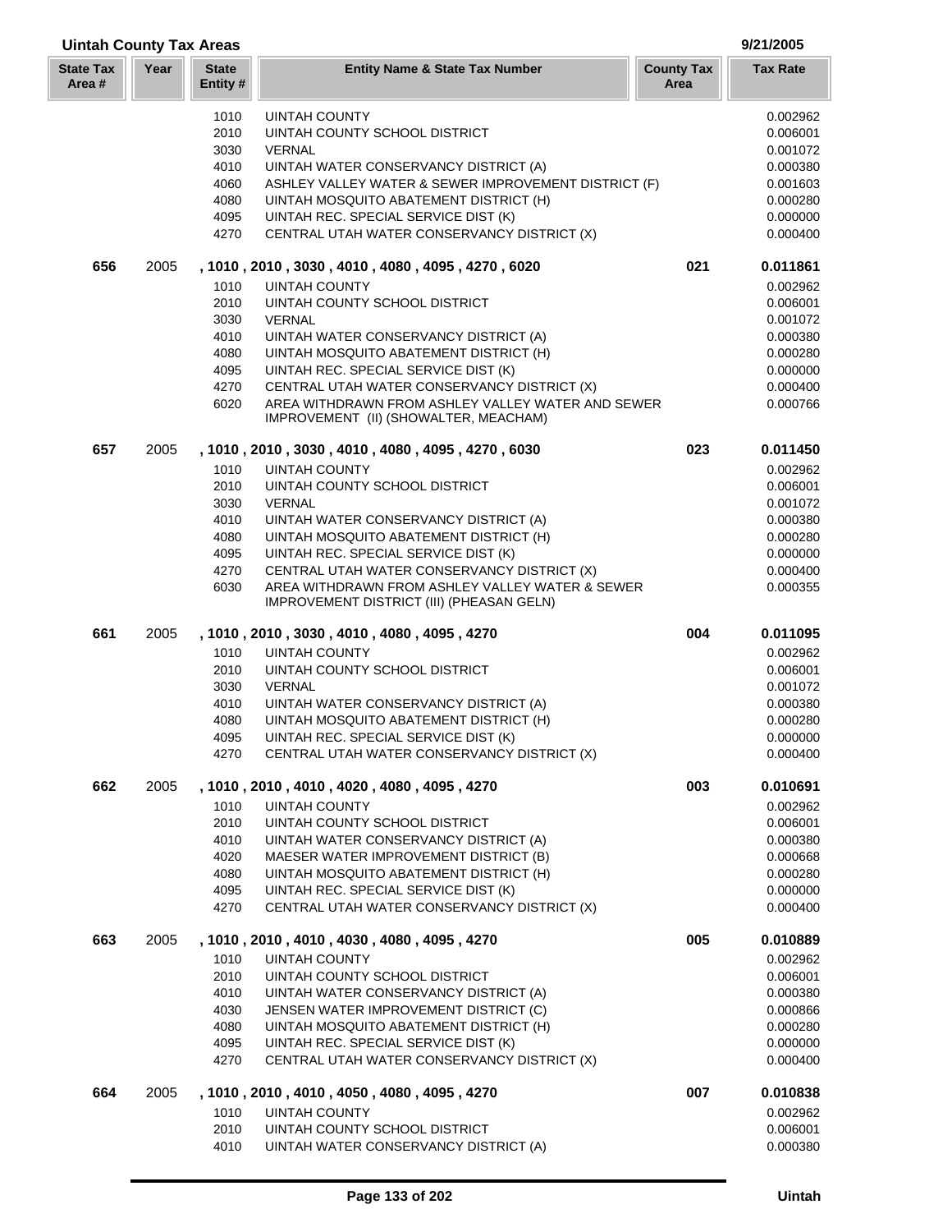| <b>Uintah County Tax Areas</b> |      |                         |                                                      |                           | 9/21/2005       |
|--------------------------------|------|-------------------------|------------------------------------------------------|---------------------------|-----------------|
| <b>State Tax</b><br>Area #     | Year | <b>State</b><br>Entity# | <b>Entity Name &amp; State Tax Number</b>            | <b>County Tax</b><br>Area | <b>Tax Rate</b> |
|                                |      | 1010                    | UINTAH COUNTY                                        |                           | 0.002962        |
|                                |      | 2010                    | UINTAH COUNTY SCHOOL DISTRICT                        |                           | 0.006001        |
|                                |      | 3030                    | <b>VERNAL</b>                                        |                           | 0.001072        |
|                                |      | 4010                    | UINTAH WATER CONSERVANCY DISTRICT (A)                |                           | 0.000380        |
|                                |      | 4060                    | ASHLEY VALLEY WATER & SEWER IMPROVEMENT DISTRICT (F) |                           | 0.001603        |
|                                |      | 4080                    | UINTAH MOSQUITO ABATEMENT DISTRICT (H)               |                           | 0.000280        |
|                                |      | 4095                    | UINTAH REC. SPECIAL SERVICE DIST (K)                 |                           | 0.000000        |
|                                |      | 4270                    | CENTRAL UTAH WATER CONSERVANCY DISTRICT (X)          |                           | 0.000400        |
| 656                            | 2005 |                         | , 1010, 2010, 3030, 4010, 4080, 4095, 4270, 6020     | 021                       | 0.011861        |
|                                |      | 1010                    | <b>UINTAH COUNTY</b>                                 |                           | 0.002962        |
|                                |      | 2010                    | UINTAH COUNTY SCHOOL DISTRICT                        |                           | 0.006001        |
|                                |      | 3030                    | VERNAL                                               |                           | 0.001072        |
|                                |      | 4010                    | UINTAH WATER CONSERVANCY DISTRICT (A)                |                           | 0.000380        |
|                                |      | 4080                    | UINTAH MOSQUITO ABATEMENT DISTRICT (H)               |                           | 0.000280        |
|                                |      | 4095                    | UINTAH REC. SPECIAL SERVICE DIST (K)                 |                           | 0.000000        |
|                                |      | 4270                    | CENTRAL UTAH WATER CONSERVANCY DISTRICT (X)          |                           | 0.000400        |
|                                |      | 6020                    | AREA WITHDRAWN FROM ASHLEY VALLEY WATER AND SEWER    |                           | 0.000766        |
|                                |      |                         | IMPROVEMENT (II) (SHOWALTER, MEACHAM)                |                           |                 |
| 657                            | 2005 |                         | , 1010, 2010, 3030, 4010, 4080, 4095, 4270, 6030     | 023                       | 0.011450        |
|                                |      | 1010                    | <b>UINTAH COUNTY</b>                                 |                           | 0.002962        |
|                                |      | 2010                    | UINTAH COUNTY SCHOOL DISTRICT                        |                           | 0.006001        |
|                                |      | 3030                    | <b>VERNAL</b>                                        |                           | 0.001072        |
|                                |      | 4010                    | UINTAH WATER CONSERVANCY DISTRICT (A)                |                           | 0.000380        |
|                                |      | 4080                    | UINTAH MOSQUITO ABATEMENT DISTRICT (H)               |                           | 0.000280        |
|                                |      | 4095                    | UINTAH REC. SPECIAL SERVICE DIST (K)                 |                           | 0.000000        |
|                                |      | 4270                    | CENTRAL UTAH WATER CONSERVANCY DISTRICT (X)          |                           | 0.000400        |
|                                |      | 6030                    | AREA WITHDRAWN FROM ASHLEY VALLEY WATER & SEWER      |                           | 0.000355        |
|                                |      |                         | IMPROVEMENT DISTRICT (III) (PHEASAN GELN)            |                           |                 |
| 661                            | 2005 |                         | , 1010, 2010, 3030, 4010, 4080, 4095, 4270           | 004                       | 0.011095        |
|                                |      | 1010                    | <b>UINTAH COUNTY</b>                                 |                           | 0.002962        |
|                                |      | 2010                    | UINTAH COUNTY SCHOOL DISTRICT                        |                           | 0.006001        |
|                                |      | 3030                    | <b>VERNAL</b>                                        |                           | 0.001072        |
|                                |      | 4010                    | UINTAH WATER CONSERVANCY DISTRICT (A)                |                           | 0.000380        |
|                                |      | 4080                    | UINTAH MOSQUITO ABATEMENT DISTRICT (H)               |                           | 0.000280        |
|                                |      | 4095                    | UINTAH REC. SPECIAL SERVICE DIST (K)                 |                           | 0.000000        |
|                                |      | 4270                    | CENTRAL UTAH WATER CONSERVANCY DISTRICT (X)          |                           | 0.000400        |
| 662                            | 2005 |                         | , 1010, 2010, 4010, 4020, 4080, 4095, 4270           | 003                       | 0.010691        |
|                                |      | 1010                    | <b>UINTAH COUNTY</b>                                 |                           | 0.002962        |
|                                |      | 2010                    | UINTAH COUNTY SCHOOL DISTRICT                        |                           | 0.006001        |
|                                |      | 4010                    | UINTAH WATER CONSERVANCY DISTRICT (A)                |                           | 0.000380        |
|                                |      | 4020                    | MAESER WATER IMPROVEMENT DISTRICT (B)                |                           | 0.000668        |
|                                |      | 4080                    | UINTAH MOSQUITO ABATEMENT DISTRICT (H)               |                           | 0.000280        |
|                                |      | 4095                    | UINTAH REC. SPECIAL SERVICE DIST (K)                 |                           | 0.000000        |
|                                |      | 4270                    | CENTRAL UTAH WATER CONSERVANCY DISTRICT (X)          |                           | 0.000400        |
| 663                            | 2005 |                         | , 1010, 2010, 4010, 4030, 4080, 4095, 4270           | 005                       | 0.010889        |
|                                |      | 1010                    | <b>UINTAH COUNTY</b>                                 |                           | 0.002962        |
|                                |      | 2010                    | UINTAH COUNTY SCHOOL DISTRICT                        |                           | 0.006001        |
|                                |      | 4010                    | UINTAH WATER CONSERVANCY DISTRICT (A)                |                           | 0.000380        |
|                                |      | 4030                    | JENSEN WATER IMPROVEMENT DISTRICT (C)                |                           | 0.000866        |
|                                |      | 4080                    | UINTAH MOSQUITO ABATEMENT DISTRICT (H)               |                           | 0.000280        |
|                                |      | 4095                    | UINTAH REC. SPECIAL SERVICE DIST (K)                 |                           | 0.000000        |
|                                |      | 4270                    | CENTRAL UTAH WATER CONSERVANCY DISTRICT (X)          |                           | 0.000400        |
| 664                            | 2005 |                         | , 1010 , 2010 , 4010 , 4050 , 4080 , 4095 , 4270     | 007                       | 0.010838        |
|                                |      | 1010                    | <b>UINTAH COUNTY</b>                                 |                           | 0.002962        |
|                                |      | 2010                    | UINTAH COUNTY SCHOOL DISTRICT                        |                           | 0.006001        |
|                                |      | 4010                    | UINTAH WATER CONSERVANCY DISTRICT (A)                |                           | 0.000380        |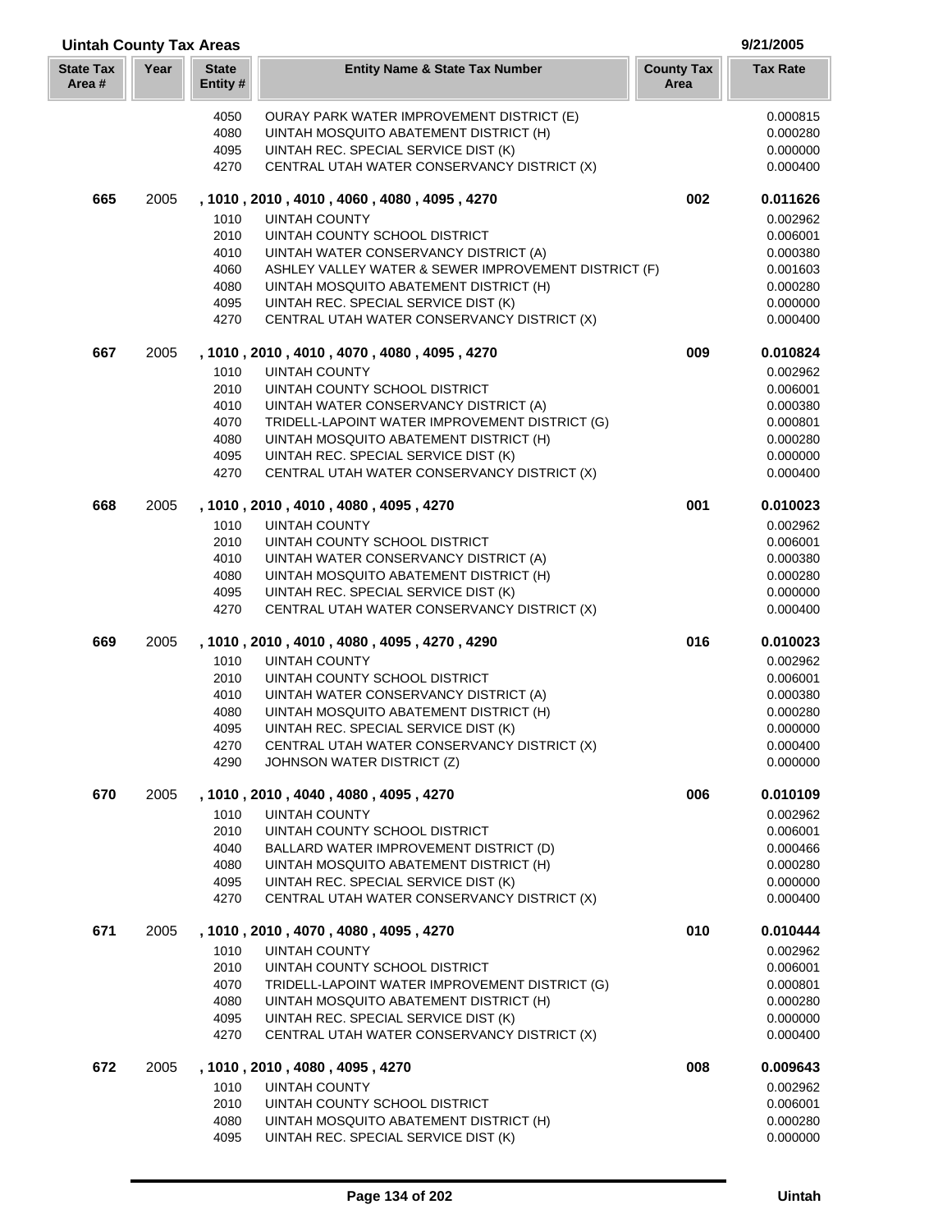| <b>Uintah County Tax Areas</b> |      |                          |                                                                                     |                           | 9/21/2005            |
|--------------------------------|------|--------------------------|-------------------------------------------------------------------------------------|---------------------------|----------------------|
| <b>State Tax</b><br>Area#      | Year | <b>State</b><br>Entity # | <b>Entity Name &amp; State Tax Number</b>                                           | <b>County Tax</b><br>Area | <b>Tax Rate</b>      |
|                                |      | 4050                     | <b>OURAY PARK WATER IMPROVEMENT DISTRICT (E)</b>                                    |                           | 0.000815             |
|                                |      | 4080                     | UINTAH MOSQUITO ABATEMENT DISTRICT (H)                                              |                           | 0.000280             |
|                                |      | 4095                     | UINTAH REC. SPECIAL SERVICE DIST (K)                                                |                           | 0.000000             |
|                                |      | 4270                     | CENTRAL UTAH WATER CONSERVANCY DISTRICT (X)                                         |                           | 0.000400             |
| 665                            | 2005 |                          | , 1010 , 2010 , 4010 , 4060 , 4080 , 4095 , 4270                                    | 002                       | 0.011626             |
|                                |      | 1010                     | <b>UINTAH COUNTY</b>                                                                |                           | 0.002962             |
|                                |      | 2010                     | UINTAH COUNTY SCHOOL DISTRICT                                                       |                           | 0.006001             |
|                                |      | 4010                     | UINTAH WATER CONSERVANCY DISTRICT (A)                                               |                           | 0.000380             |
|                                |      | 4060                     | ASHLEY VALLEY WATER & SEWER IMPROVEMENT DISTRICT (F)                                |                           | 0.001603             |
|                                |      | 4080                     | UINTAH MOSQUITO ABATEMENT DISTRICT (H)                                              |                           | 0.000280             |
|                                |      | 4095                     | UINTAH REC. SPECIAL SERVICE DIST (K)                                                |                           | 0.000000             |
|                                |      | 4270                     | CENTRAL UTAH WATER CONSERVANCY DISTRICT (X)                                         |                           | 0.000400             |
| 667                            | 2005 |                          | , 1010, 2010, 4010, 4070, 4080, 4095, 4270                                          | 009                       | 0.010824             |
|                                |      | 1010                     | <b>UINTAH COUNTY</b>                                                                |                           | 0.002962             |
|                                |      | 2010                     | UINTAH COUNTY SCHOOL DISTRICT                                                       |                           | 0.006001             |
|                                |      | 4010                     | UINTAH WATER CONSERVANCY DISTRICT (A)                                               |                           | 0.000380             |
|                                |      | 4070                     | TRIDELL-LAPOINT WATER IMPROVEMENT DISTRICT (G)                                      |                           | 0.000801             |
|                                |      | 4080                     | UINTAH MOSQUITO ABATEMENT DISTRICT (H)                                              |                           | 0.000280             |
|                                |      | 4095                     | UINTAH REC. SPECIAL SERVICE DIST (K)                                                |                           | 0.000000             |
|                                |      | 4270                     | CENTRAL UTAH WATER CONSERVANCY DISTRICT (X)                                         |                           | 0.000400             |
| 668                            | 2005 |                          | , 1010, 2010, 4010, 4080, 4095, 4270                                                | 001                       | 0.010023             |
|                                |      | 1010                     | <b>UINTAH COUNTY</b>                                                                |                           | 0.002962             |
|                                |      | 2010                     | UINTAH COUNTY SCHOOL DISTRICT                                                       |                           | 0.006001             |
|                                |      | 4010                     | UINTAH WATER CONSERVANCY DISTRICT (A)                                               |                           | 0.000380             |
|                                |      | 4080                     | UINTAH MOSQUITO ABATEMENT DISTRICT (H)                                              |                           | 0.000280             |
|                                |      | 4095<br>4270             | UINTAH REC. SPECIAL SERVICE DIST (K)<br>CENTRAL UTAH WATER CONSERVANCY DISTRICT (X) |                           | 0.000000<br>0.000400 |
| 669                            | 2005 |                          | , 1010, 2010, 4010, 4080, 4095, 4270, 4290                                          | 016                       | 0.010023             |
|                                |      | 1010                     | <b>UINTAH COUNTY</b>                                                                |                           | 0.002962             |
|                                |      | 2010                     | UINTAH COUNTY SCHOOL DISTRICT                                                       |                           | 0.006001             |
|                                |      | 4010                     | UINTAH WATER CONSERVANCY DISTRICT (A)                                               |                           | 0.000380             |
|                                |      | 4080                     | UINTAH MOSQUITO ABATEMENT DISTRICT (H)                                              |                           | 0.000280             |
|                                |      | 4095                     | UINTAH REC. SPECIAL SERVICE DIST (K)                                                |                           | 0.000000             |
|                                |      | 4270                     | CENTRAL UTAH WATER CONSERVANCY DISTRICT (X)                                         |                           | 0.000400             |
|                                |      | 4290                     | JOHNSON WATER DISTRICT (Z)                                                          |                           | 0.000000             |
| 670                            | 2005 |                          | , 1010, 2010, 4040, 4080, 4095, 4270                                                | 006                       | 0.010109             |
|                                |      | 1010                     | <b>UINTAH COUNTY</b>                                                                |                           | 0.002962             |
|                                |      | 2010                     | UINTAH COUNTY SCHOOL DISTRICT                                                       |                           | 0.006001             |
|                                |      | 4040                     | BALLARD WATER IMPROVEMENT DISTRICT (D)                                              |                           | 0.000466             |
|                                |      | 4080                     | UINTAH MOSQUITO ABATEMENT DISTRICT (H)                                              |                           | 0.000280             |
|                                |      | 4095                     | UINTAH REC. SPECIAL SERVICE DIST (K)                                                |                           | 0.000000             |
|                                |      | 4270                     | CENTRAL UTAH WATER CONSERVANCY DISTRICT (X)                                         |                           | 0.000400             |
| 671                            | 2005 |                          | , 1010, 2010, 4070, 4080, 4095, 4270                                                | 010                       | 0.010444             |
|                                |      | 1010                     | <b>UINTAH COUNTY</b>                                                                |                           | 0.002962             |
|                                |      | 2010                     | UINTAH COUNTY SCHOOL DISTRICT                                                       |                           | 0.006001             |
|                                |      | 4070                     | TRIDELL-LAPOINT WATER IMPROVEMENT DISTRICT (G)                                      |                           | 0.000801             |
|                                |      | 4080                     | UINTAH MOSQUITO ABATEMENT DISTRICT (H)                                              |                           | 0.000280             |
|                                |      | 4095                     | UINTAH REC. SPECIAL SERVICE DIST (K)                                                |                           | 0.000000             |
|                                |      | 4270                     | CENTRAL UTAH WATER CONSERVANCY DISTRICT (X)                                         |                           | 0.000400             |
| 672                            | 2005 |                          | , 1010 , 2010 , 4080 , 4095 , 4270                                                  | 008                       | 0.009643             |
|                                |      | 1010                     | <b>UINTAH COUNTY</b>                                                                |                           | 0.002962             |
|                                |      | 2010                     | UINTAH COUNTY SCHOOL DISTRICT                                                       |                           | 0.006001             |
|                                |      | 4080                     | UINTAH MOSQUITO ABATEMENT DISTRICT (H)                                              |                           | 0.000280             |
|                                |      | 4095                     | UINTAH REC. SPECIAL SERVICE DIST (K)                                                |                           | 0.000000             |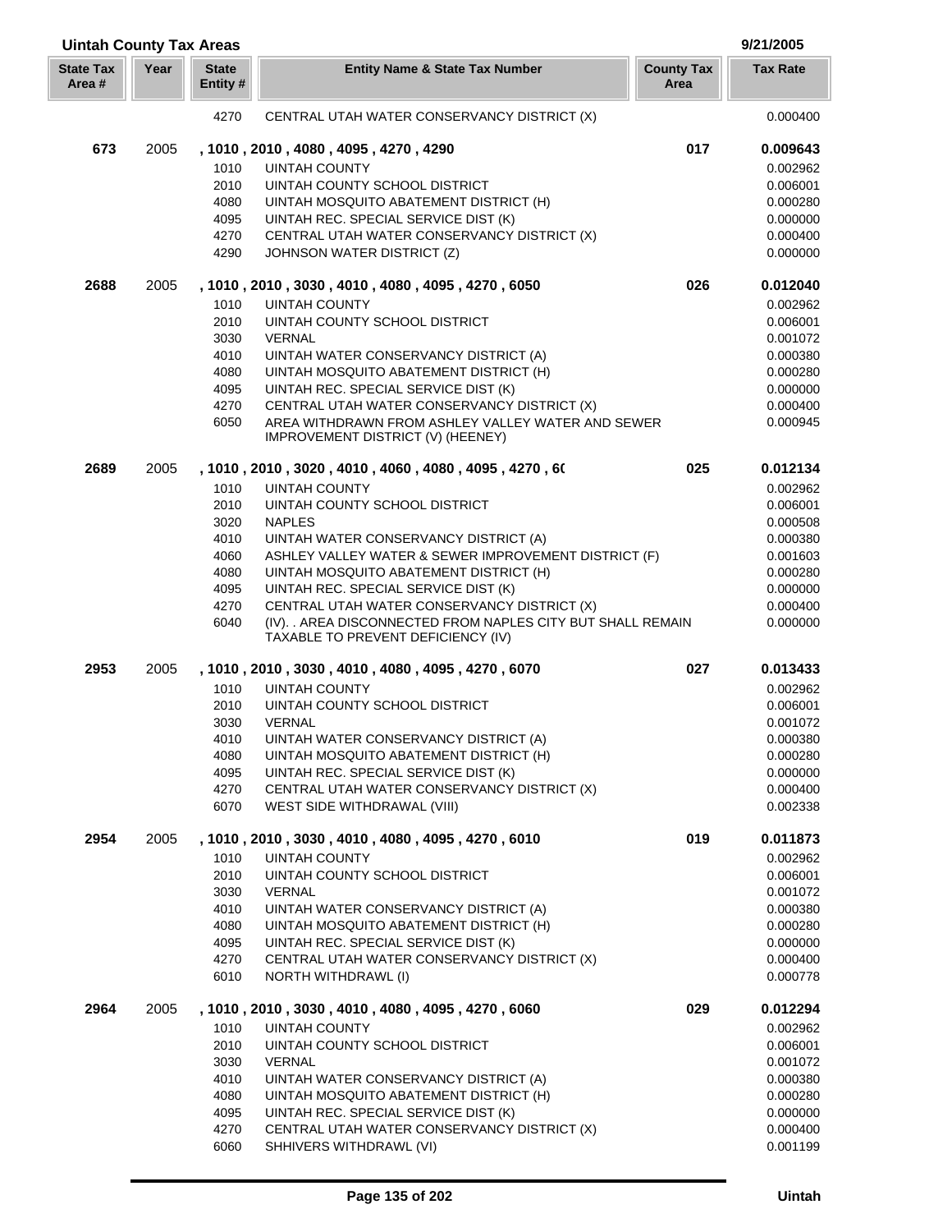| <b>Uintah County Tax Areas</b> |      |                         |                                                                                                   |                           | 9/21/2005            |  |
|--------------------------------|------|-------------------------|---------------------------------------------------------------------------------------------------|---------------------------|----------------------|--|
| <b>State Tax</b><br>Area #     | Year | <b>State</b><br>Entity# | <b>Entity Name &amp; State Tax Number</b>                                                         | <b>County Tax</b><br>Area | <b>Tax Rate</b>      |  |
|                                |      | 4270                    | CENTRAL UTAH WATER CONSERVANCY DISTRICT (X)                                                       |                           | 0.000400             |  |
| 673                            | 2005 |                         | , 1010, 2010, 4080, 4095, 4270, 4290                                                              | 017                       | 0.009643             |  |
|                                |      | 1010                    | <b>UINTAH COUNTY</b>                                                                              |                           | 0.002962             |  |
|                                |      | 2010                    | UINTAH COUNTY SCHOOL DISTRICT                                                                     |                           | 0.006001             |  |
|                                |      | 4080                    | UINTAH MOSQUITO ABATEMENT DISTRICT (H)                                                            |                           | 0.000280             |  |
|                                |      | 4095                    | UINTAH REC. SPECIAL SERVICE DIST (K)                                                              |                           | 0.000000             |  |
|                                |      | 4270                    | CENTRAL UTAH WATER CONSERVANCY DISTRICT (X)                                                       |                           | 0.000400             |  |
|                                |      | 4290                    | JOHNSON WATER DISTRICT (Z)                                                                        |                           | 0.000000             |  |
| 2688                           | 2005 |                         | , 1010, 2010, 3030, 4010, 4080, 4095, 4270, 6050                                                  | 026                       | 0.012040             |  |
|                                |      | 1010                    | <b>UINTAH COUNTY</b>                                                                              |                           | 0.002962             |  |
|                                |      | 2010                    | UINTAH COUNTY SCHOOL DISTRICT                                                                     |                           | 0.006001             |  |
|                                |      | 3030                    | <b>VERNAL</b>                                                                                     |                           | 0.001072             |  |
|                                |      | 4010                    | UINTAH WATER CONSERVANCY DISTRICT (A)                                                             |                           | 0.000380             |  |
|                                |      | 4080                    | UINTAH MOSQUITO ABATEMENT DISTRICT (H)                                                            |                           | 0.000280             |  |
|                                |      | 4095                    | UINTAH REC. SPECIAL SERVICE DIST (K)                                                              |                           | 0.000000             |  |
|                                |      | 4270                    | CENTRAL UTAH WATER CONSERVANCY DISTRICT (X)                                                       |                           | 0.000400             |  |
|                                |      | 6050                    | AREA WITHDRAWN FROM ASHLEY VALLEY WATER AND SEWER<br>IMPROVEMENT DISTRICT (V) (HEENEY)            |                           | 0.000945             |  |
| 2689                           | 2005 |                         | , 1010, 2010, 3020, 4010, 4060, 4080, 4095, 4270, 60                                              | 025                       | 0.012134             |  |
|                                |      | 1010                    | <b>UINTAH COUNTY</b>                                                                              |                           | 0.002962             |  |
|                                |      | 2010                    | UINTAH COUNTY SCHOOL DISTRICT                                                                     |                           | 0.006001             |  |
|                                |      | 3020                    | <b>NAPLES</b>                                                                                     |                           | 0.000508             |  |
|                                |      | 4010                    | UINTAH WATER CONSERVANCY DISTRICT (A)                                                             |                           | 0.000380             |  |
|                                |      | 4060                    | ASHLEY VALLEY WATER & SEWER IMPROVEMENT DISTRICT (F)                                              |                           | 0.001603             |  |
|                                |      | 4080                    | UINTAH MOSQUITO ABATEMENT DISTRICT (H)                                                            |                           | 0.000280             |  |
|                                |      | 4095                    | UINTAH REC. SPECIAL SERVICE DIST (K)                                                              |                           | 0.000000             |  |
|                                |      | 4270                    | CENTRAL UTAH WATER CONSERVANCY DISTRICT (X)                                                       |                           | 0.000400             |  |
|                                |      | 6040                    | (IV). . AREA DISCONNECTED FROM NAPLES CITY BUT SHALL REMAIN<br>TAXABLE TO PREVENT DEFICIENCY (IV) |                           | 0.000000             |  |
| 2953                           | 2005 |                         | , 1010, 2010, 3030, 4010, 4080, 4095, 4270, 6070                                                  | 027                       | 0.013433             |  |
|                                |      | 1010                    | <b>UINTAH COUNTY</b>                                                                              |                           | 0.002962             |  |
|                                |      | 2010                    | UINTAH COUNTY SCHOOL DISTRICT                                                                     |                           | 0.006001             |  |
|                                |      | 3030                    | <b>VERNAL</b>                                                                                     |                           | 0.001072             |  |
|                                |      | 4010                    | UINTAH WATER CONSERVANCY DISTRICT (A)                                                             |                           | 0.000380             |  |
|                                |      | 4080                    | UINTAH MOSQUITO ABATEMENT DISTRICT (H)                                                            |                           | 0.000280             |  |
|                                |      | 4095                    | UINTAH REC. SPECIAL SERVICE DIST (K)                                                              |                           | 0.000000             |  |
|                                |      | 4270                    | CENTRAL UTAH WATER CONSERVANCY DISTRICT (X)                                                       |                           | 0.000400             |  |
|                                |      | 6070                    | WEST SIDE WITHDRAWAL (VIII)                                                                       |                           | 0.002338             |  |
| 2954                           | 2005 |                         | , 1010, 2010, 3030, 4010, 4080, 4095, 4270, 6010                                                  | 019                       | 0.011873             |  |
|                                |      | 1010                    | <b>UINTAH COUNTY</b>                                                                              |                           | 0.002962             |  |
|                                |      | 2010                    | UINTAH COUNTY SCHOOL DISTRICT                                                                     |                           | 0.006001             |  |
|                                |      | 3030                    | <b>VERNAL</b>                                                                                     |                           | 0.001072             |  |
|                                |      | 4010                    | UINTAH WATER CONSERVANCY DISTRICT (A)                                                             |                           | 0.000380             |  |
|                                |      | 4080                    | UINTAH MOSQUITO ABATEMENT DISTRICT (H)                                                            |                           | 0.000280             |  |
|                                |      | 4095                    | UINTAH REC. SPECIAL SERVICE DIST (K)                                                              |                           | 0.000000             |  |
|                                |      | 4270<br>6010            | CENTRAL UTAH WATER CONSERVANCY DISTRICT (X)<br>NORTH WITHDRAWL (I)                                |                           | 0.000400<br>0.000778 |  |
| 2964                           | 2005 |                         | , 1010, 2010, 3030, 4010, 4080, 4095, 4270, 6060                                                  | 029                       | 0.012294             |  |
|                                |      | 1010                    | <b>UINTAH COUNTY</b>                                                                              |                           | 0.002962             |  |
|                                |      | 2010                    | UINTAH COUNTY SCHOOL DISTRICT                                                                     |                           | 0.006001             |  |
|                                |      | 3030                    | <b>VERNAL</b>                                                                                     |                           | 0.001072             |  |
|                                |      | 4010                    | UINTAH WATER CONSERVANCY DISTRICT (A)                                                             |                           | 0.000380             |  |
|                                |      | 4080                    | UINTAH MOSQUITO ABATEMENT DISTRICT (H)                                                            |                           | 0.000280             |  |
|                                |      | 4095                    | UINTAH REC. SPECIAL SERVICE DIST (K)                                                              |                           | 0.000000             |  |
|                                |      | 4270                    | CENTRAL UTAH WATER CONSERVANCY DISTRICT (X)                                                       |                           | 0.000400             |  |
|                                |      | 6060                    | SHHIVERS WITHDRAWL (VI)                                                                           |                           | 0.001199             |  |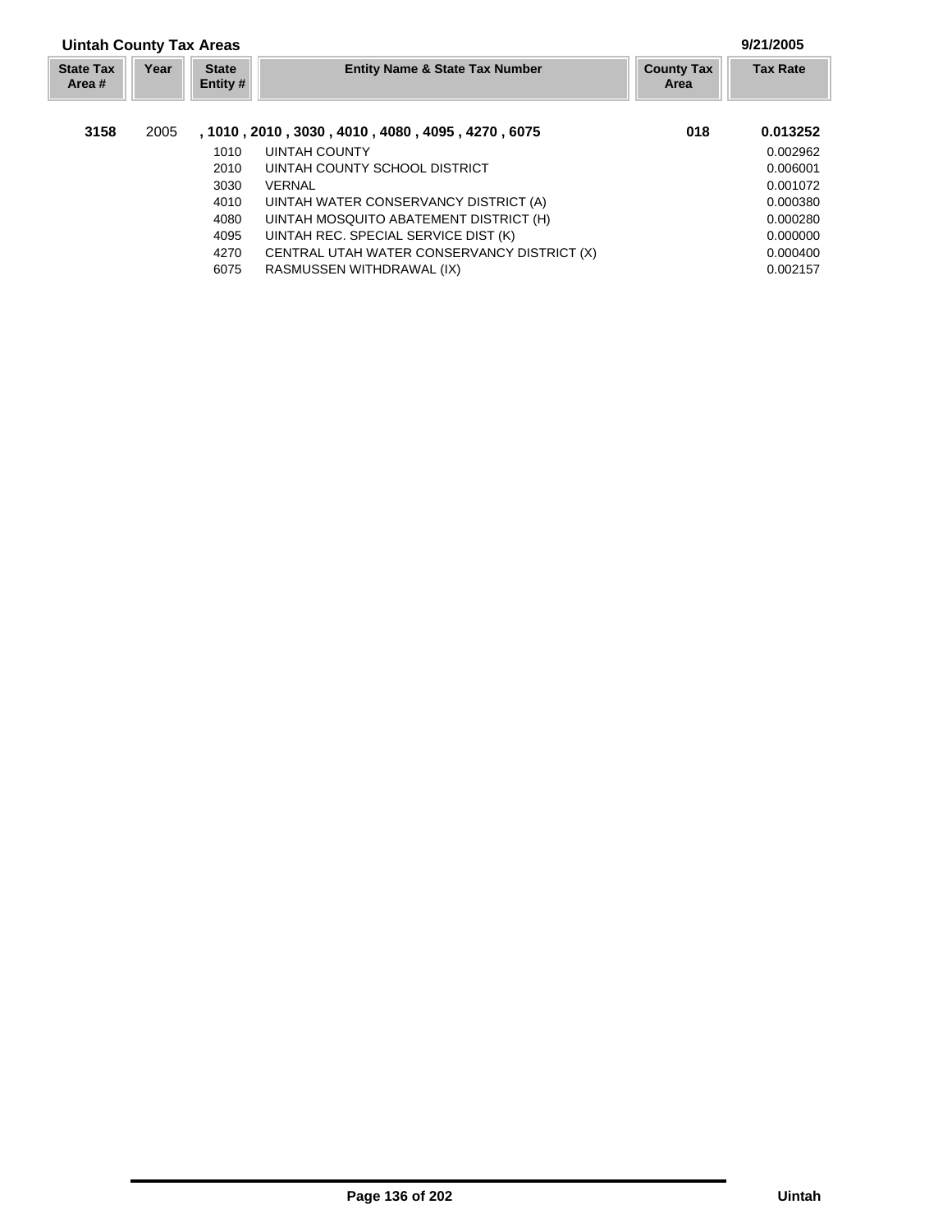| <b>Uintah County Tax Areas</b> |      |                            |                                                         |                                  | 9/21/2005       |
|--------------------------------|------|----------------------------|---------------------------------------------------------|----------------------------------|-----------------|
| <b>State Tax</b><br>Area #     | Year | <b>State</b><br>Entity $#$ | <b>Entity Name &amp; State Tax Number</b>               | <b>County Tax</b><br><b>Area</b> | <b>Tax Rate</b> |
| 3158                           | 2005 |                            | , 1010 , 2010 , 3030 , 4010 , 4080 , 4095 , 4270 , 6075 | 018                              | 0.013252        |
|                                |      | 1010                       | UINTAH COUNTY                                           |                                  | 0.002962        |
|                                |      | 2010                       | UINTAH COUNTY SCHOOL DISTRICT                           |                                  | 0.006001        |
|                                |      | 3030                       | VERNAL                                                  |                                  | 0.001072        |
|                                |      | 4010                       | UINTAH WATER CONSERVANCY DISTRICT (A)                   |                                  | 0.000380        |
|                                |      | 4080                       | UINTAH MOSQUITO ABATEMENT DISTRICT (H)                  |                                  | 0.000280        |
|                                |      | 4095                       | UINTAH REC. SPECIAL SERVICE DIST (K)                    |                                  | 0.000000        |
|                                |      | 4270                       | CENTRAL UTAH WATER CONSERVANCY DISTRICT (X)             |                                  | 0.000400        |
|                                |      | 6075                       | RASMUSSEN WITHDRAWAL (IX)                               |                                  | 0.002157        |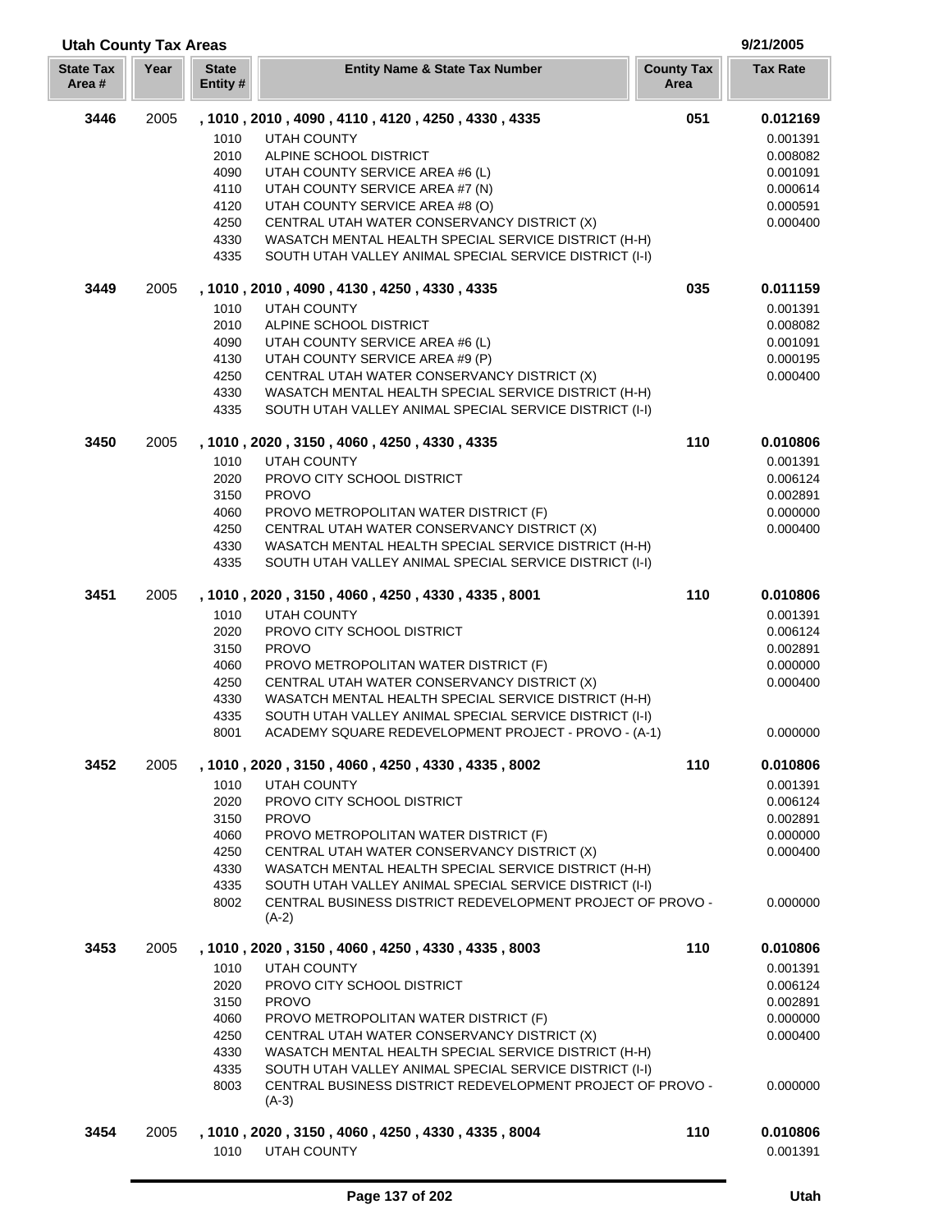| <b>Utah County Tax Areas</b> |      |                                                              |                                                                                                                                                                                                                                                                                                                                                                                                          |                           | 9/21/2005                                                                        |  |
|------------------------------|------|--------------------------------------------------------------|----------------------------------------------------------------------------------------------------------------------------------------------------------------------------------------------------------------------------------------------------------------------------------------------------------------------------------------------------------------------------------------------------------|---------------------------|----------------------------------------------------------------------------------|--|
| <b>State Tax</b><br>Area#    | Year | <b>State</b><br>Entity #                                     | <b>Entity Name &amp; State Tax Number</b>                                                                                                                                                                                                                                                                                                                                                                | <b>County Tax</b><br>Area | <b>Tax Rate</b>                                                                  |  |
| 3446                         | 2005 | 1010<br>2010<br>4090<br>4110<br>4120<br>4250<br>4330<br>4335 | , 1010, 2010, 4090, 4110, 4120, 4250, 4330, 4335<br><b>UTAH COUNTY</b><br>ALPINE SCHOOL DISTRICT<br>UTAH COUNTY SERVICE AREA #6 (L)<br>UTAH COUNTY SERVICE AREA #7 (N)<br>UTAH COUNTY SERVICE AREA #8 (O)<br>CENTRAL UTAH WATER CONSERVANCY DISTRICT (X)<br>WASATCH MENTAL HEALTH SPECIAL SERVICE DISTRICT (H-H)<br>SOUTH UTAH VALLEY ANIMAL SPECIAL SERVICE DISTRICT (I-I)                              | 051                       | 0.012169<br>0.001391<br>0.008082<br>0.001091<br>0.000614<br>0.000591<br>0.000400 |  |
| 3449                         | 2005 | 1010<br>2010<br>4090<br>4130<br>4250<br>4330<br>4335         | , 1010, 2010, 4090, 4130, 4250, 4330, 4335<br><b>UTAH COUNTY</b><br>ALPINE SCHOOL DISTRICT<br>UTAH COUNTY SERVICE AREA #6 (L)<br>UTAH COUNTY SERVICE AREA #9 (P)<br>CENTRAL UTAH WATER CONSERVANCY DISTRICT (X)<br>WASATCH MENTAL HEALTH SPECIAL SERVICE DISTRICT (H-H)<br>SOUTH UTAH VALLEY ANIMAL SPECIAL SERVICE DISTRICT (I-I)                                                                       | 035                       | 0.011159<br>0.001391<br>0.008082<br>0.001091<br>0.000195<br>0.000400             |  |
| 3450                         | 2005 | 1010<br>2020<br>3150<br>4060<br>4250<br>4330<br>4335         | , 1010, 2020, 3150, 4060, 4250, 4330, 4335<br><b>UTAH COUNTY</b><br>PROVO CITY SCHOOL DISTRICT<br><b>PROVO</b><br>PROVO METROPOLITAN WATER DISTRICT (F)<br>CENTRAL UTAH WATER CONSERVANCY DISTRICT (X)<br>WASATCH MENTAL HEALTH SPECIAL SERVICE DISTRICT (H-H)<br>SOUTH UTAH VALLEY ANIMAL SPECIAL SERVICE DISTRICT (I-I)                                                                                | 110                       | 0.010806<br>0.001391<br>0.006124<br>0.002891<br>0.000000<br>0.000400             |  |
| 3451                         | 2005 | 1010<br>2020<br>3150<br>4060<br>4250<br>4330<br>4335<br>8001 | , 1010, 2020, 3150, 4060, 4250, 4330, 4335, 8001<br><b>UTAH COUNTY</b><br>PROVO CITY SCHOOL DISTRICT<br><b>PROVO</b><br>PROVO METROPOLITAN WATER DISTRICT (F)<br>CENTRAL UTAH WATER CONSERVANCY DISTRICT (X)<br>WASATCH MENTAL HEALTH SPECIAL SERVICE DISTRICT (H-H)<br>SOUTH UTAH VALLEY ANIMAL SPECIAL SERVICE DISTRICT (I-I)<br>ACADEMY SQUARE REDEVELOPMENT PROJECT - PROVO - (A-1)                  | 110                       | 0.010806<br>0.001391<br>0.006124<br>0.002891<br>0.000000<br>0.000400<br>0.000000 |  |
| 3452                         | 2005 | 1010<br>2020<br>3150<br>4060<br>4250<br>4330<br>4335<br>8002 | , 1010, 2020, 3150, 4060, 4250, 4330, 4335, 8002<br><b>UTAH COUNTY</b><br>PROVO CITY SCHOOL DISTRICT<br><b>PROVO</b><br>PROVO METROPOLITAN WATER DISTRICT (F)<br>CENTRAL UTAH WATER CONSERVANCY DISTRICT (X)<br>WASATCH MENTAL HEALTH SPECIAL SERVICE DISTRICT (H-H)<br>SOUTH UTAH VALLEY ANIMAL SPECIAL SERVICE DISTRICT (I-I)<br>CENTRAL BUSINESS DISTRICT REDEVELOPMENT PROJECT OF PROVO -<br>$(A-2)$ | 110                       | 0.010806<br>0.001391<br>0.006124<br>0.002891<br>0.000000<br>0.000400<br>0.000000 |  |
| 3453                         | 2005 | 1010<br>2020<br>3150<br>4060<br>4250<br>4330<br>4335<br>8003 | , 1010, 2020, 3150, 4060, 4250, 4330, 4335, 8003<br><b>UTAH COUNTY</b><br>PROVO CITY SCHOOL DISTRICT<br><b>PROVO</b><br>PROVO METROPOLITAN WATER DISTRICT (F)<br>CENTRAL UTAH WATER CONSERVANCY DISTRICT (X)<br>WASATCH MENTAL HEALTH SPECIAL SERVICE DISTRICT (H-H)<br>SOUTH UTAH VALLEY ANIMAL SPECIAL SERVICE DISTRICT (I-I)<br>CENTRAL BUSINESS DISTRICT REDEVELOPMENT PROJECT OF PROVO -<br>$(A-3)$ | 110                       | 0.010806<br>0.001391<br>0.006124<br>0.002891<br>0.000000<br>0.000400<br>0.000000 |  |
| 3454                         | 2005 | 1010                                                         | , 1010, 2020, 3150, 4060, 4250, 4330, 4335, 8004<br><b>UTAH COUNTY</b>                                                                                                                                                                                                                                                                                                                                   | 110                       | 0.010806<br>0.001391                                                             |  |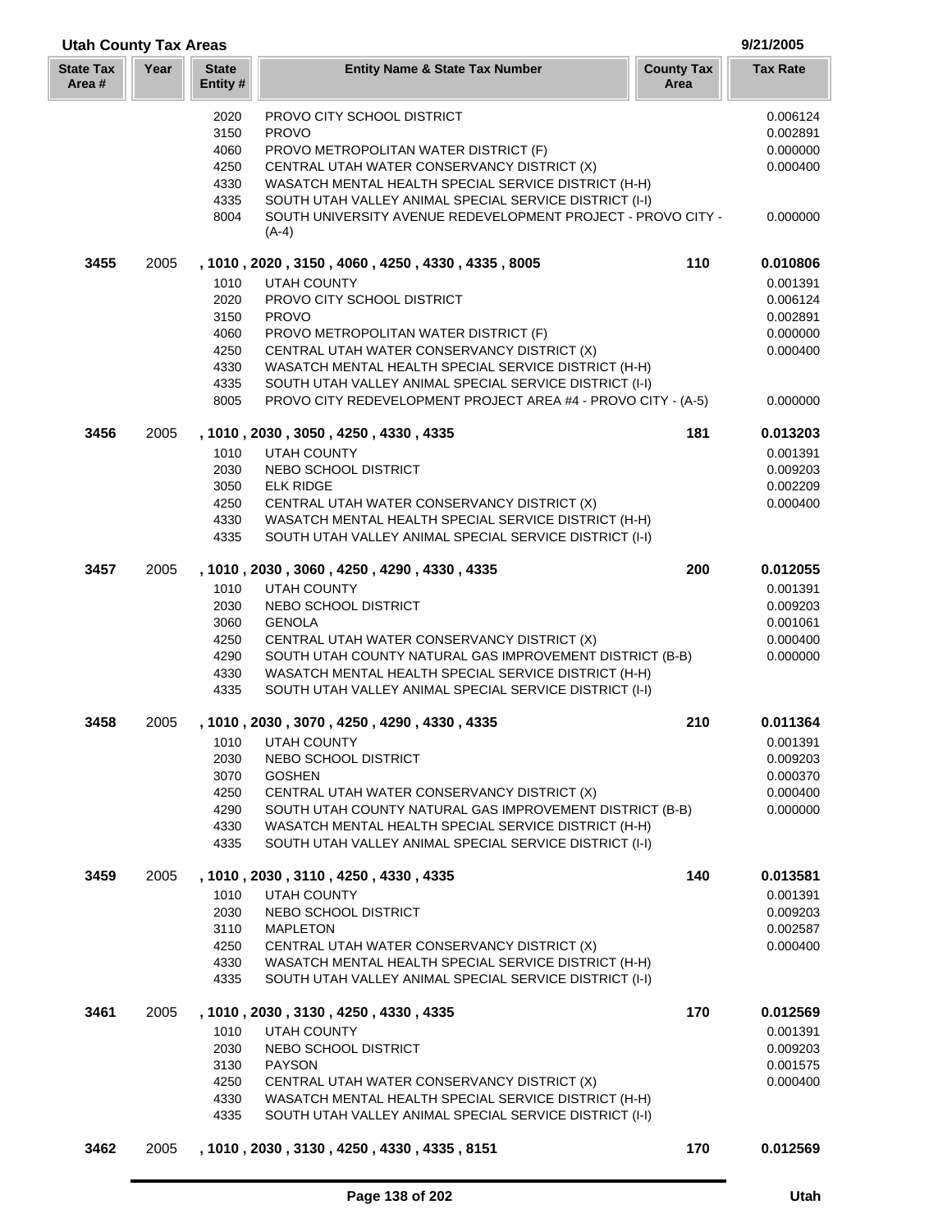|                           | <b>Utah County Tax Areas</b> |                          |                                                                                                                  |                           | 9/21/2005            |  |
|---------------------------|------------------------------|--------------------------|------------------------------------------------------------------------------------------------------------------|---------------------------|----------------------|--|
| <b>State Tax</b><br>Area# | Year                         | <b>State</b><br>Entity # | <b>Entity Name &amp; State Tax Number</b>                                                                        | <b>County Tax</b><br>Area | <b>Tax Rate</b>      |  |
|                           |                              | 2020<br>3150             | PROVO CITY SCHOOL DISTRICT<br><b>PROVO</b>                                                                       |                           | 0.006124<br>0.002891 |  |
|                           |                              | 4060<br>4250             | PROVO METROPOLITAN WATER DISTRICT (F)<br>CENTRAL UTAH WATER CONSERVANCY DISTRICT (X)                             |                           | 0.000000<br>0.000400 |  |
|                           |                              | 4330<br>4335             | WASATCH MENTAL HEALTH SPECIAL SERVICE DISTRICT (H-H)<br>SOUTH UTAH VALLEY ANIMAL SPECIAL SERVICE DISTRICT (I-I)  |                           |                      |  |
|                           |                              | 8004                     | SOUTH UNIVERSITY AVENUE REDEVELOPMENT PROJECT - PROVO CITY -<br>$(A-4)$                                          |                           | 0.000000             |  |
| 3455                      | 2005                         | 1010                     | , 1010, 2020, 3150, 4060, 4250, 4330, 4335, 8005<br><b>UTAH COUNTY</b>                                           | 110                       | 0.010806<br>0.001391 |  |
|                           |                              | 2020                     | PROVO CITY SCHOOL DISTRICT                                                                                       |                           | 0.006124             |  |
|                           |                              | 3150                     | <b>PROVO</b>                                                                                                     |                           | 0.002891             |  |
|                           |                              | 4060                     | PROVO METROPOLITAN WATER DISTRICT (F)                                                                            |                           | 0.000000             |  |
|                           |                              | 4250                     | CENTRAL UTAH WATER CONSERVANCY DISTRICT (X)                                                                      |                           | 0.000400             |  |
|                           |                              | 4330                     | WASATCH MENTAL HEALTH SPECIAL SERVICE DISTRICT (H-H)                                                             |                           |                      |  |
|                           |                              | 4335                     | SOUTH UTAH VALLEY ANIMAL SPECIAL SERVICE DISTRICT (I-I)                                                          |                           |                      |  |
|                           |                              | 8005                     | PROVO CITY REDEVELOPMENT PROJECT AREA #4 - PROVO CITY - (A-5)                                                    |                           | 0.000000             |  |
| 3456                      | 2005                         | 1010                     | , 1010, 2030, 3050, 4250, 4330, 4335<br><b>UTAH COUNTY</b>                                                       | 181                       | 0.013203             |  |
|                           |                              | 2030                     | NEBO SCHOOL DISTRICT                                                                                             |                           | 0.001391<br>0.009203 |  |
|                           |                              | 3050                     | <b>ELK RIDGE</b>                                                                                                 |                           | 0.002209             |  |
|                           |                              | 4250                     | CENTRAL UTAH WATER CONSERVANCY DISTRICT (X)                                                                      |                           | 0.000400             |  |
|                           |                              | 4330                     | WASATCH MENTAL HEALTH SPECIAL SERVICE DISTRICT (H-H)                                                             |                           |                      |  |
|                           |                              | 4335                     | SOUTH UTAH VALLEY ANIMAL SPECIAL SERVICE DISTRICT (I-I)                                                          |                           |                      |  |
| 3457                      | 2005                         |                          | , 1010, 2030, 3060, 4250, 4290, 4330, 4335                                                                       | 200                       | 0.012055             |  |
|                           |                              | 1010                     | <b>UTAH COUNTY</b>                                                                                               |                           | 0.001391             |  |
|                           |                              | 2030                     | NEBO SCHOOL DISTRICT                                                                                             |                           | 0.009203             |  |
|                           |                              | 3060                     | <b>GENOLA</b>                                                                                                    |                           | 0.001061             |  |
|                           |                              | 4250                     | CENTRAL UTAH WATER CONSERVANCY DISTRICT (X)                                                                      |                           | 0.000400             |  |
|                           |                              | 4290<br>4330             | SOUTH UTAH COUNTY NATURAL GAS IMPROVEMENT DISTRICT (B-B)<br>WASATCH MENTAL HEALTH SPECIAL SERVICE DISTRICT (H-H) |                           | 0.000000             |  |
|                           |                              | 4335                     | SOUTH UTAH VALLEY ANIMAL SPECIAL SERVICE DISTRICT (I-I)                                                          |                           |                      |  |
| 3458                      | 2005                         |                          | , 1010, 2030, 3070, 4250, 4290, 4330, 4335                                                                       | 210                       | 0.011364             |  |
|                           |                              | 1010                     | UTAH COUNTY                                                                                                      |                           | 0.001391             |  |
|                           |                              | 2030                     | NEBO SCHOOL DISTRICT                                                                                             |                           | 0.009203             |  |
|                           |                              | 3070                     | <b>GOSHEN</b>                                                                                                    |                           | 0.000370             |  |
|                           |                              | 4250                     | CENTRAL UTAH WATER CONSERVANCY DISTRICT (X)                                                                      |                           | 0.000400             |  |
|                           |                              | 4290<br>4330             | SOUTH UTAH COUNTY NATURAL GAS IMPROVEMENT DISTRICT (B-B)<br>WASATCH MENTAL HEALTH SPECIAL SERVICE DISTRICT (H-H) |                           | 0.000000             |  |
|                           |                              | 4335                     | SOUTH UTAH VALLEY ANIMAL SPECIAL SERVICE DISTRICT (I-I)                                                          |                           |                      |  |
| 3459                      | 2005                         |                          | , 1010 , 2030 , 3110 , 4250 , 4330 , 4335                                                                        | 140                       | 0.013581             |  |
|                           |                              | 1010                     | UTAH COUNTY                                                                                                      |                           | 0.001391             |  |
|                           |                              | 2030                     | NEBO SCHOOL DISTRICT                                                                                             |                           | 0.009203             |  |
|                           |                              | 3110                     | <b>MAPLETON</b>                                                                                                  |                           | 0.002587             |  |
|                           |                              | 4250                     | CENTRAL UTAH WATER CONSERVANCY DISTRICT (X)                                                                      |                           | 0.000400             |  |
|                           |                              | 4330<br>4335             | WASATCH MENTAL HEALTH SPECIAL SERVICE DISTRICT (H-H)<br>SOUTH UTAH VALLEY ANIMAL SPECIAL SERVICE DISTRICT (I-I)  |                           |                      |  |
| 3461                      | 2005                         |                          | , 1010, 2030, 3130, 4250, 4330, 4335                                                                             | 170                       | 0.012569             |  |
|                           |                              | 1010                     | <b>UTAH COUNTY</b>                                                                                               |                           | 0.001391             |  |
|                           |                              | 2030                     | NEBO SCHOOL DISTRICT                                                                                             |                           | 0.009203             |  |
|                           |                              | 3130                     | <b>PAYSON</b>                                                                                                    |                           | 0.001575             |  |
|                           |                              | 4250                     | CENTRAL UTAH WATER CONSERVANCY DISTRICT (X)                                                                      |                           | 0.000400             |  |
|                           |                              | 4330<br>4335             | WASATCH MENTAL HEALTH SPECIAL SERVICE DISTRICT (H-H)<br>SOUTH UTAH VALLEY ANIMAL SPECIAL SERVICE DISTRICT (I-I)  |                           |                      |  |
| 3462                      | 2005                         |                          | , 1010, 2030, 3130, 4250, 4330, 4335, 8151                                                                       | 170                       | 0.012569             |  |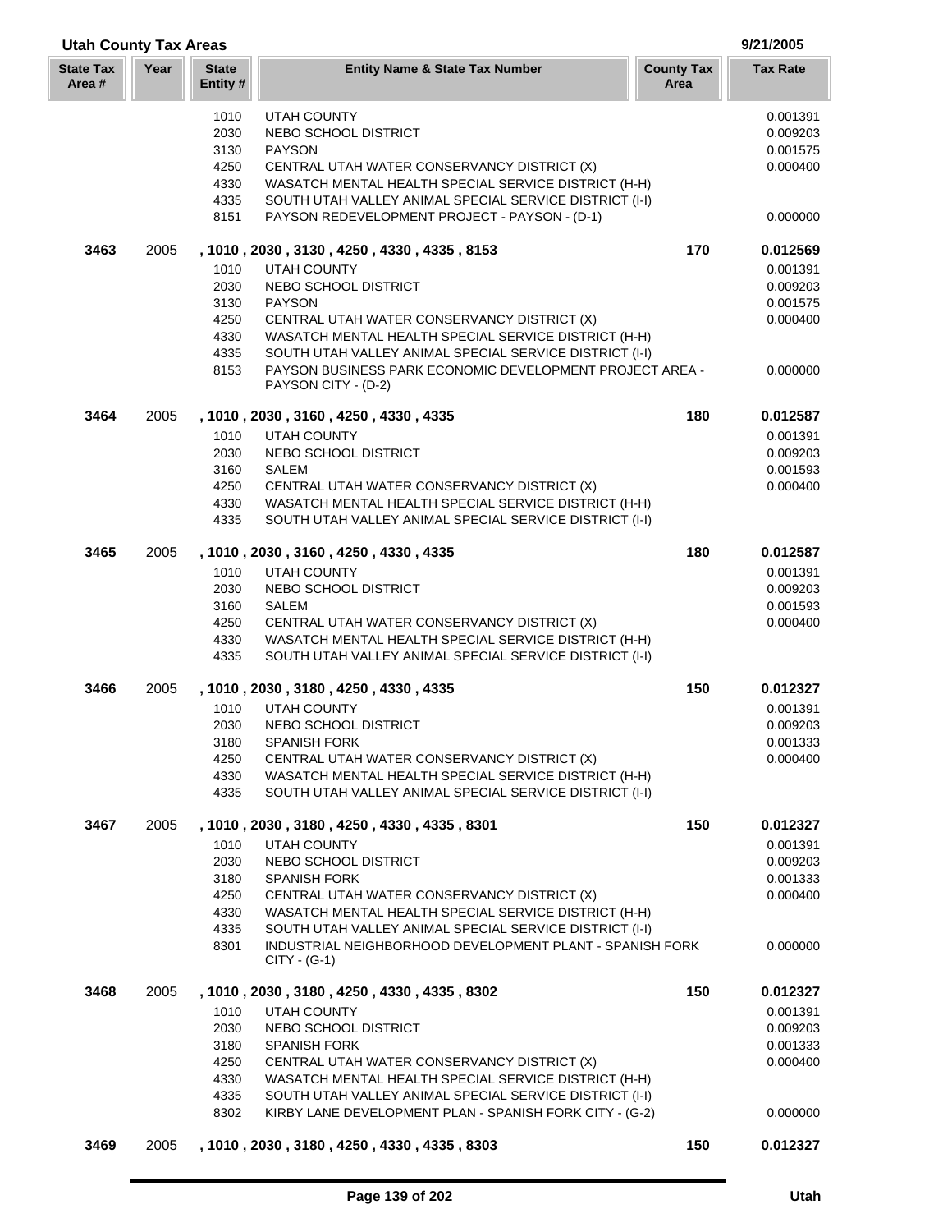| <b>Utah County Tax Areas</b> |      |                          |                                                                                                                 |                           | 9/21/2005       |  |
|------------------------------|------|--------------------------|-----------------------------------------------------------------------------------------------------------------|---------------------------|-----------------|--|
| <b>State Tax</b><br>Area #   | Year | <b>State</b><br>Entity # | <b>Entity Name &amp; State Tax Number</b>                                                                       | <b>County Tax</b><br>Area | <b>Tax Rate</b> |  |
|                              |      | 1010                     | <b>UTAH COUNTY</b>                                                                                              |                           | 0.001391        |  |
|                              |      | 2030                     | NEBO SCHOOL DISTRICT                                                                                            |                           | 0.009203        |  |
|                              |      | 3130                     | <b>PAYSON</b>                                                                                                   |                           | 0.001575        |  |
|                              |      | 4250                     | CENTRAL UTAH WATER CONSERVANCY DISTRICT (X)                                                                     |                           | 0.000400        |  |
|                              |      | 4330                     | WASATCH MENTAL HEALTH SPECIAL SERVICE DISTRICT (H-H)                                                            |                           |                 |  |
|                              |      | 4335                     | SOUTH UTAH VALLEY ANIMAL SPECIAL SERVICE DISTRICT (I-I)                                                         |                           |                 |  |
|                              |      | 8151                     | PAYSON REDEVELOPMENT PROJECT - PAYSON - (D-1)                                                                   |                           | 0.000000        |  |
| 3463                         | 2005 |                          | , 1010, 2030, 3130, 4250, 4330, 4335, 8153                                                                      | 170                       | 0.012569        |  |
|                              |      | 1010                     | <b>UTAH COUNTY</b>                                                                                              |                           | 0.001391        |  |
|                              |      | 2030                     | NEBO SCHOOL DISTRICT                                                                                            |                           | 0.009203        |  |
|                              |      | 3130                     | <b>PAYSON</b>                                                                                                   |                           | 0.001575        |  |
|                              |      | 4250                     | CENTRAL UTAH WATER CONSERVANCY DISTRICT (X)                                                                     |                           | 0.000400        |  |
|                              |      | 4330                     | WASATCH MENTAL HEALTH SPECIAL SERVICE DISTRICT (H-H)                                                            |                           |                 |  |
|                              |      | 4335                     | SOUTH UTAH VALLEY ANIMAL SPECIAL SERVICE DISTRICT (I-I)                                                         |                           |                 |  |
|                              |      | 8153                     | PAYSON BUSINESS PARK ECONOMIC DEVELOPMENT PROJECT AREA -<br>PAYSON CITY - (D-2)                                 |                           | 0.000000        |  |
| 3464                         | 2005 |                          | , 1010, 2030, 3160, 4250, 4330, 4335                                                                            | 180                       | 0.012587        |  |
|                              |      | 1010                     | <b>UTAH COUNTY</b>                                                                                              |                           | 0.001391        |  |
|                              |      | 2030                     | NEBO SCHOOL DISTRICT                                                                                            |                           | 0.009203        |  |
|                              |      | 3160                     | <b>SALEM</b>                                                                                                    |                           | 0.001593        |  |
|                              |      | 4250                     | CENTRAL UTAH WATER CONSERVANCY DISTRICT (X)                                                                     |                           | 0.000400        |  |
|                              |      | 4330                     | WASATCH MENTAL HEALTH SPECIAL SERVICE DISTRICT (H-H)                                                            |                           |                 |  |
|                              |      | 4335                     | SOUTH UTAH VALLEY ANIMAL SPECIAL SERVICE DISTRICT (I-I)                                                         |                           |                 |  |
| 3465                         | 2005 |                          | , 1010, 2030, 3160, 4250, 4330, 4335                                                                            | 180                       | 0.012587        |  |
|                              |      | 1010                     | <b>UTAH COUNTY</b>                                                                                              |                           | 0.001391        |  |
|                              |      | 2030                     | NEBO SCHOOL DISTRICT                                                                                            |                           | 0.009203        |  |
|                              |      | 3160                     | <b>SALEM</b>                                                                                                    |                           | 0.001593        |  |
|                              |      | 4250                     | CENTRAL UTAH WATER CONSERVANCY DISTRICT (X)                                                                     |                           | 0.000400        |  |
|                              |      | 4330<br>4335             | WASATCH MENTAL HEALTH SPECIAL SERVICE DISTRICT (H-H)<br>SOUTH UTAH VALLEY ANIMAL SPECIAL SERVICE DISTRICT (I-I) |                           |                 |  |
| 3466                         | 2005 |                          | , 1010, 2030, 3180, 4250, 4330, 4335                                                                            | 150                       | 0.012327        |  |
|                              |      | 1010                     | <b>UTAH COUNTY</b>                                                                                              |                           | 0.001391        |  |
|                              |      | 2030                     | NEBO SCHOOL DISTRICT                                                                                            |                           | 0.009203        |  |
|                              |      | 3180                     | <b>SPANISH FORK</b>                                                                                             |                           | 0.001333        |  |
|                              |      | 4250                     | CENTRAL UTAH WATER CONSERVANCY DISTRICT (X)                                                                     |                           | 0.000400        |  |
|                              |      | 4330                     | WASATCH MENTAL HEALTH SPECIAL SERVICE DISTRICT (H-H)                                                            |                           |                 |  |
|                              |      | 4335                     | SOUTH UTAH VALLEY ANIMAL SPECIAL SERVICE DISTRICT (I-I)                                                         |                           |                 |  |
| 3467                         | 2005 |                          | , 1010, 2030, 3180, 4250, 4330, 4335, 8301                                                                      | 150                       | 0.012327        |  |
|                              |      | 1010                     | <b>UTAH COUNTY</b>                                                                                              |                           | 0.001391        |  |
|                              |      | 2030                     | NEBO SCHOOL DISTRICT                                                                                            |                           | 0.009203        |  |
|                              |      | 3180                     | <b>SPANISH FORK</b>                                                                                             |                           | 0.001333        |  |
|                              |      | 4250                     | CENTRAL UTAH WATER CONSERVANCY DISTRICT (X)                                                                     |                           | 0.000400        |  |
|                              |      | 4330                     | WASATCH MENTAL HEALTH SPECIAL SERVICE DISTRICT (H-H)                                                            |                           |                 |  |
|                              |      | 4335                     | SOUTH UTAH VALLEY ANIMAL SPECIAL SERVICE DISTRICT (I-I)                                                         |                           |                 |  |
|                              |      | 8301                     | INDUSTRIAL NEIGHBORHOOD DEVELOPMENT PLANT - SPANISH FORK<br>$CITY - (G-1)$                                      |                           | 0.000000        |  |
| 3468                         | 2005 |                          | , 1010, 2030, 3180, 4250, 4330, 4335, 8302                                                                      | 150                       | 0.012327        |  |
|                              |      | 1010                     | <b>UTAH COUNTY</b>                                                                                              |                           | 0.001391        |  |
|                              |      | 2030                     | NEBO SCHOOL DISTRICT                                                                                            |                           | 0.009203        |  |
|                              |      | 3180                     | <b>SPANISH FORK</b>                                                                                             |                           | 0.001333        |  |
|                              |      | 4250                     | CENTRAL UTAH WATER CONSERVANCY DISTRICT (X)                                                                     |                           | 0.000400        |  |
|                              |      | 4330                     | WASATCH MENTAL HEALTH SPECIAL SERVICE DISTRICT (H-H)                                                            |                           |                 |  |
|                              |      | 4335                     | SOUTH UTAH VALLEY ANIMAL SPECIAL SERVICE DISTRICT (I-I)                                                         |                           |                 |  |
|                              |      | 8302                     | KIRBY LANE DEVELOPMENT PLAN - SPANISH FORK CITY - (G-2)                                                         |                           | 0.000000        |  |
| 3469                         | 2005 |                          | , 1010 , 2030 , 3180 , 4250 , 4330 , 4335 , 8303                                                                | 150                       | 0.012327        |  |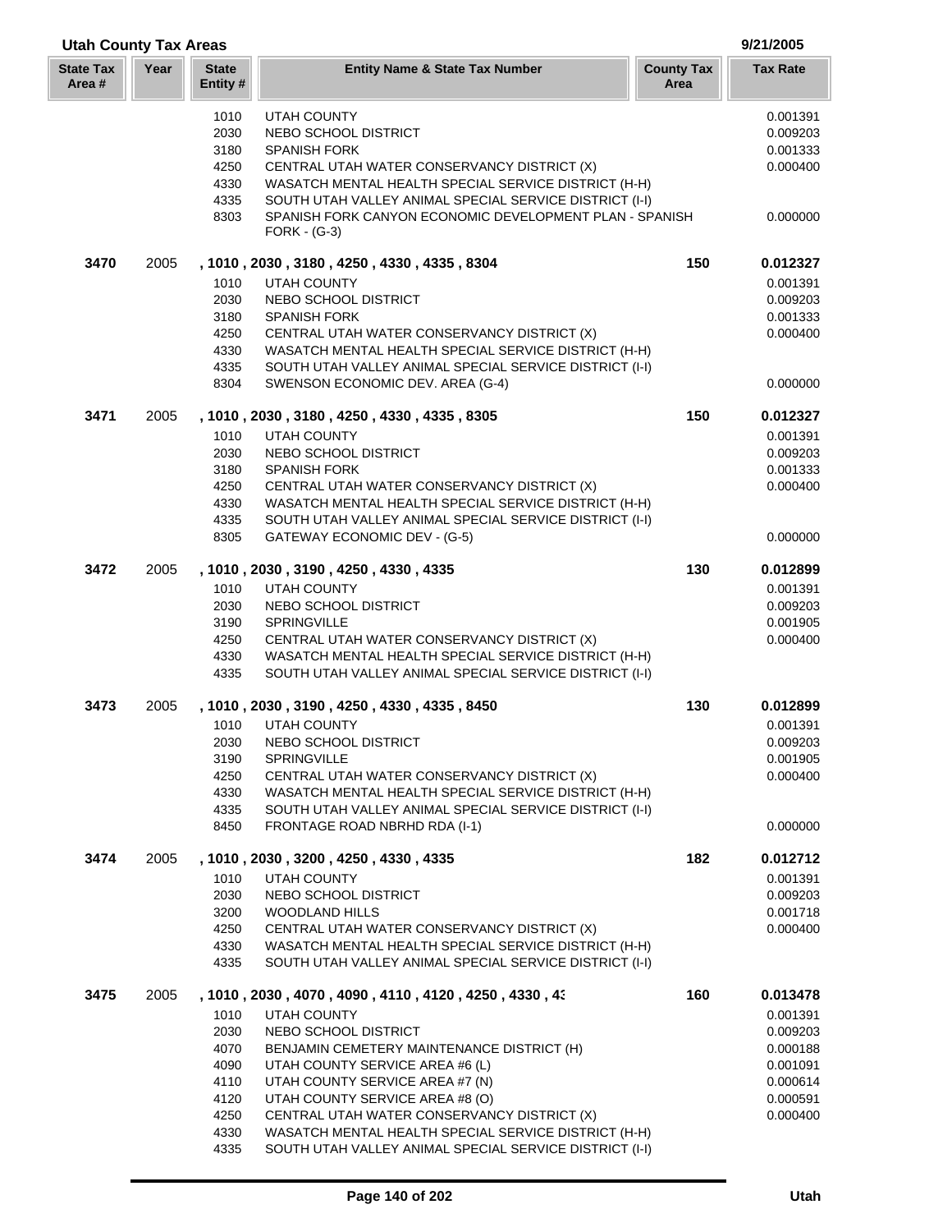| 1010<br><b>UTAH COUNTY</b><br>2030<br>NEBO SCHOOL DISTRICT                                                                      |     | 0.001391<br>0.009203 |
|---------------------------------------------------------------------------------------------------------------------------------|-----|----------------------|
| 3180<br><b>SPANISH FORK</b>                                                                                                     |     | 0.001333             |
| 4250<br>CENTRAL UTAH WATER CONSERVANCY DISTRICT (X)                                                                             |     | 0.000400             |
| 4330<br>WASATCH MENTAL HEALTH SPECIAL SERVICE DISTRICT (H-H)                                                                    |     |                      |
| 4335<br>SOUTH UTAH VALLEY ANIMAL SPECIAL SERVICE DISTRICT (I-I)                                                                 |     |                      |
| SPANISH FORK CANYON ECONOMIC DEVELOPMENT PLAN - SPANISH<br>8303<br>$FORK - (G-3)$                                               |     | 0.000000             |
| 3470<br>2005<br>, 1010, 2030, 3180, 4250, 4330, 4335, 8304                                                                      | 150 | 0.012327             |
| <b>UTAH COUNTY</b><br>1010                                                                                                      |     | 0.001391             |
| 2030<br>NEBO SCHOOL DISTRICT<br>3180<br><b>SPANISH FORK</b>                                                                     |     | 0.009203             |
| CENTRAL UTAH WATER CONSERVANCY DISTRICT (X)<br>4250                                                                             |     | 0.001333<br>0.000400 |
| 4330<br>WASATCH MENTAL HEALTH SPECIAL SERVICE DISTRICT (H-H)                                                                    |     |                      |
| SOUTH UTAH VALLEY ANIMAL SPECIAL SERVICE DISTRICT (I-I)<br>4335                                                                 |     |                      |
| 8304<br>SWENSON ECONOMIC DEV. AREA (G-4)                                                                                        |     | 0.000000             |
| 3471<br>2005<br>, 1010, 2030, 3180, 4250, 4330, 4335, 8305                                                                      | 150 | 0.012327             |
| 1010<br><b>UTAH COUNTY</b>                                                                                                      |     | 0.001391             |
| 2030<br>NEBO SCHOOL DISTRICT                                                                                                    |     | 0.009203             |
| 3180<br><b>SPANISH FORK</b>                                                                                                     |     | 0.001333             |
| 4250<br>CENTRAL UTAH WATER CONSERVANCY DISTRICT (X)                                                                             |     | 0.000400             |
| 4330<br>WASATCH MENTAL HEALTH SPECIAL SERVICE DISTRICT (H-H)<br>4335<br>SOUTH UTAH VALLEY ANIMAL SPECIAL SERVICE DISTRICT (I-I) |     |                      |
| 8305<br>GATEWAY ECONOMIC DEV - (G-5)                                                                                            |     | 0.000000             |
| 3472<br>2005<br>, 1010, 2030, 3190, 4250, 4330, 4335                                                                            | 130 | 0.012899             |
| 1010<br><b>UTAH COUNTY</b>                                                                                                      |     | 0.001391             |
| 2030<br>NEBO SCHOOL DISTRICT                                                                                                    |     | 0.009203             |
| SPRINGVILLE<br>3190                                                                                                             |     | 0.001905             |
| 4250<br>CENTRAL UTAH WATER CONSERVANCY DISTRICT (X)                                                                             |     | 0.000400             |
| WASATCH MENTAL HEALTH SPECIAL SERVICE DISTRICT (H-H)<br>4330                                                                    |     |                      |
| 4335<br>SOUTH UTAH VALLEY ANIMAL SPECIAL SERVICE DISTRICT (I-I)                                                                 |     |                      |
| 3473<br>2005<br>, 1010, 2030, 3190, 4250, 4330, 4335, 8450<br>1010<br><b>UTAH COUNTY</b>                                        | 130 | 0.012899<br>0.001391 |
| 2030<br>NEBO SCHOOL DISTRICT                                                                                                    |     | 0.009203             |
| 3190<br><b>SPRINGVILLE</b>                                                                                                      |     | 0.001905             |
| 4250<br>CENTRAL UTAH WATER CONSERVANCY DISTRICT (X)                                                                             |     | 0.000400             |
| 4330<br>WASATCH MENTAL HEALTH SPECIAL SERVICE DISTRICT (H-H)                                                                    |     |                      |
| 4335<br>SOUTH UTAH VALLEY ANIMAL SPECIAL SERVICE DISTRICT (I-I)                                                                 |     |                      |
| 8450<br>FRONTAGE ROAD NBRHD RDA (I-1)                                                                                           |     | 0.000000             |
| 3474<br>2005<br>, 1010, 2030, 3200, 4250, 4330, 4335                                                                            | 182 | 0.012712             |
| 1010<br><b>UTAH COUNTY</b>                                                                                                      |     | 0.001391             |
| 2030<br>NEBO SCHOOL DISTRICT<br><b>WOODLAND HILLS</b>                                                                           |     | 0.009203             |
| 3200<br>4250<br>CENTRAL UTAH WATER CONSERVANCY DISTRICT (X)                                                                     |     | 0.001718<br>0.000400 |
| 4330<br>WASATCH MENTAL HEALTH SPECIAL SERVICE DISTRICT (H-H)                                                                    |     |                      |
| SOUTH UTAH VALLEY ANIMAL SPECIAL SERVICE DISTRICT (I-I)<br>4335                                                                 |     |                      |
| 3475<br>2005<br>, 1010 , 2030 , 4070 , 4090 , 4110 , 4120 , 4250 , 4330 , 43                                                    | 160 | 0.013478             |
| 1010<br><b>UTAH COUNTY</b>                                                                                                      |     | 0.001391             |
| 2030<br>NEBO SCHOOL DISTRICT                                                                                                    |     | 0.009203             |
| 4070<br>BENJAMIN CEMETERY MAINTENANCE DISTRICT (H)                                                                              |     | 0.000188             |
| 4090<br>UTAH COUNTY SERVICE AREA #6 (L)                                                                                         |     | 0.001091             |
| 4110<br>UTAH COUNTY SERVICE AREA #7 (N)                                                                                         |     | 0.000614             |
| 4120<br>UTAH COUNTY SERVICE AREA #8 (O)<br>4250<br>CENTRAL UTAH WATER CONSERVANCY DISTRICT (X)                                  |     | 0.000591<br>0.000400 |
| WASATCH MENTAL HEALTH SPECIAL SERVICE DISTRICT (H-H)<br>4330                                                                    |     |                      |

**Utah County Tax Areas 9/21/2005**

SOUTH UTAH VALLEY ANIMAL SPECIAL SERVICE DISTRICT (I-I)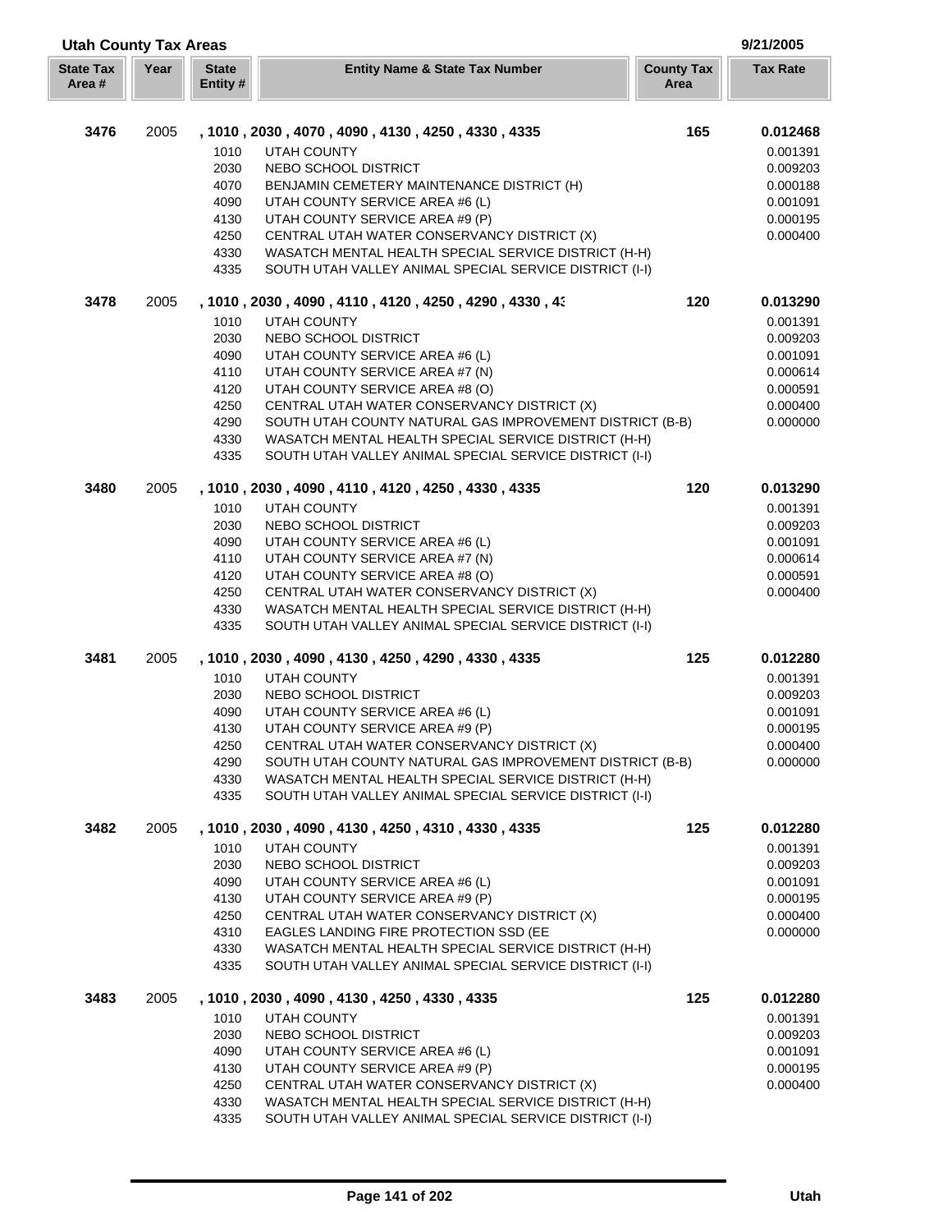|                           | <b>Utah County Tax Areas</b><br>9/21/2005 |                          |                                                                                                                 |                           |                      |
|---------------------------|-------------------------------------------|--------------------------|-----------------------------------------------------------------------------------------------------------------|---------------------------|----------------------|
| <b>State Tax</b><br>Area# | Year                                      | <b>State</b><br>Entity # | <b>Entity Name &amp; State Tax Number</b>                                                                       | <b>County Tax</b><br>Area | <b>Tax Rate</b>      |
| 3476                      | 2005                                      |                          | , 1010, 2030, 4070, 4090, 4130, 4250, 4330, 4335                                                                | 165                       | 0.012468             |
|                           |                                           | 1010                     | <b>UTAH COUNTY</b>                                                                                              |                           | 0.001391             |
|                           |                                           | 2030                     | NEBO SCHOOL DISTRICT                                                                                            |                           | 0.009203             |
|                           |                                           | 4070                     | BENJAMIN CEMETERY MAINTENANCE DISTRICT (H)                                                                      |                           | 0.000188             |
|                           |                                           | 4090                     | UTAH COUNTY SERVICE AREA #6 (L)                                                                                 |                           | 0.001091             |
|                           |                                           | 4130                     | UTAH COUNTY SERVICE AREA #9 (P)                                                                                 |                           | 0.000195             |
|                           |                                           | 4250                     | CENTRAL UTAH WATER CONSERVANCY DISTRICT (X)                                                                     |                           | 0.000400             |
|                           |                                           | 4330                     | WASATCH MENTAL HEALTH SPECIAL SERVICE DISTRICT (H-H)                                                            |                           |                      |
|                           |                                           | 4335                     | SOUTH UTAH VALLEY ANIMAL SPECIAL SERVICE DISTRICT (I-I)                                                         |                           |                      |
| 3478                      | 2005                                      |                          | , 1010 , 2030 , 4090 , 4110 , 4120 , 4250 , 4290 , 4330 , 43                                                    | 120                       | 0.013290             |
|                           |                                           | 1010                     | <b>UTAH COUNTY</b>                                                                                              |                           | 0.001391             |
|                           |                                           | 2030                     | NEBO SCHOOL DISTRICT                                                                                            |                           | 0.009203             |
|                           |                                           | 4090                     | UTAH COUNTY SERVICE AREA #6 (L)                                                                                 |                           | 0.001091             |
|                           |                                           | 4110                     | UTAH COUNTY SERVICE AREA #7 (N)                                                                                 |                           | 0.000614             |
|                           |                                           | 4120                     | UTAH COUNTY SERVICE AREA #8 (O)                                                                                 |                           | 0.000591             |
|                           |                                           | 4250                     | CENTRAL UTAH WATER CONSERVANCY DISTRICT (X)                                                                     |                           | 0.000400             |
|                           |                                           | 4290                     | SOUTH UTAH COUNTY NATURAL GAS IMPROVEMENT DISTRICT (B-B)                                                        |                           | 0.000000             |
|                           |                                           | 4330<br>4335             | WASATCH MENTAL HEALTH SPECIAL SERVICE DISTRICT (H-H)<br>SOUTH UTAH VALLEY ANIMAL SPECIAL SERVICE DISTRICT (I-I) |                           |                      |
| 3480                      | 2005                                      |                          | , 1010, 2030, 4090, 4110, 4120, 4250, 4330, 4335                                                                | 120                       | 0.013290             |
|                           |                                           | 1010                     | <b>UTAH COUNTY</b>                                                                                              |                           | 0.001391             |
|                           |                                           | 2030                     | NEBO SCHOOL DISTRICT                                                                                            |                           | 0.009203             |
|                           |                                           | 4090                     | UTAH COUNTY SERVICE AREA #6 (L)                                                                                 |                           | 0.001091             |
|                           |                                           | 4110                     | UTAH COUNTY SERVICE AREA #7 (N)                                                                                 |                           | 0.000614             |
|                           |                                           | 4120                     | UTAH COUNTY SERVICE AREA #8 (O)                                                                                 |                           | 0.000591             |
|                           |                                           | 4250                     | CENTRAL UTAH WATER CONSERVANCY DISTRICT (X)                                                                     |                           | 0.000400             |
|                           |                                           | 4330                     | WASATCH MENTAL HEALTH SPECIAL SERVICE DISTRICT (H-H)                                                            |                           |                      |
|                           |                                           | 4335                     | SOUTH UTAH VALLEY ANIMAL SPECIAL SERVICE DISTRICT (I-I)                                                         |                           |                      |
| 3481                      | 2005                                      |                          | , 1010, 2030, 4090, 4130, 4250, 4290, 4330, 4335                                                                | 125                       | 0.012280             |
|                           |                                           | 1010<br>2030             | <b>UTAH COUNTY</b><br>NEBO SCHOOL DISTRICT                                                                      |                           | 0.001391             |
|                           |                                           | 4090                     | UTAH COUNTY SERVICE AREA #6 (L)                                                                                 |                           | 0.009203<br>0.001091 |
|                           |                                           | 4130                     | UTAH COUNTY SERVICE AREA #9 (P)                                                                                 |                           | 0.000195             |
|                           |                                           | 4250                     | CENTRAL UTAH WATER CONSERVANCY DISTRICT (X)                                                                     |                           | 0.000400             |
|                           |                                           | 4290                     | SOUTH UTAH COUNTY NATURAL GAS IMPROVEMENT DISTRICT (B-B)                                                        |                           | 0.000000             |
|                           |                                           | 4330                     | WASATCH MENTAL HEALTH SPECIAL SERVICE DISTRICT (H-H)                                                            |                           |                      |
|                           |                                           | 4335                     | SOUTH UTAH VALLEY ANIMAL SPECIAL SERVICE DISTRICT (I-I)                                                         |                           |                      |
| 3482                      | 2005                                      |                          | , 1010, 2030, 4090, 4130, 4250, 4310, 4330, 4335                                                                | 125                       | 0.012280             |
|                           |                                           | 1010                     | <b>UTAH COUNTY</b>                                                                                              |                           | 0.001391             |
|                           |                                           | 2030                     | NEBO SCHOOL DISTRICT                                                                                            |                           | 0.009203             |
|                           |                                           | 4090                     | UTAH COUNTY SERVICE AREA #6 (L)                                                                                 |                           | 0.001091             |
|                           |                                           | 4130                     | UTAH COUNTY SERVICE AREA #9 (P)                                                                                 |                           | 0.000195             |
|                           |                                           | 4250                     | CENTRAL UTAH WATER CONSERVANCY DISTRICT (X)                                                                     |                           | 0.000400             |
|                           |                                           | 4310                     | EAGLES LANDING FIRE PROTECTION SSD (EE                                                                          |                           | 0.000000             |
|                           |                                           | 4330<br>4335             | WASATCH MENTAL HEALTH SPECIAL SERVICE DISTRICT (H-H)<br>SOUTH UTAH VALLEY ANIMAL SPECIAL SERVICE DISTRICT (I-I) |                           |                      |
| 3483                      | 2005                                      |                          | , 1010, 2030, 4090, 4130, 4250, 4330, 4335                                                                      | 125                       | 0.012280             |
|                           |                                           | 1010                     | UTAH COUNTY                                                                                                     |                           | 0.001391             |
|                           |                                           | 2030                     | NEBO SCHOOL DISTRICT                                                                                            |                           | 0.009203             |
|                           |                                           | 4090                     | UTAH COUNTY SERVICE AREA #6 (L)                                                                                 |                           | 0.001091             |
|                           |                                           | 4130                     | UTAH COUNTY SERVICE AREA #9 (P)                                                                                 |                           | 0.000195             |
|                           |                                           | 4250                     | CENTRAL UTAH WATER CONSERVANCY DISTRICT (X)                                                                     |                           | 0.000400             |
|                           |                                           | 4330                     | WASATCH MENTAL HEALTH SPECIAL SERVICE DISTRICT (H-H)                                                            |                           |                      |
|                           |                                           | 4335                     | SOUTH UTAH VALLEY ANIMAL SPECIAL SERVICE DISTRICT (I-I)                                                         |                           |                      |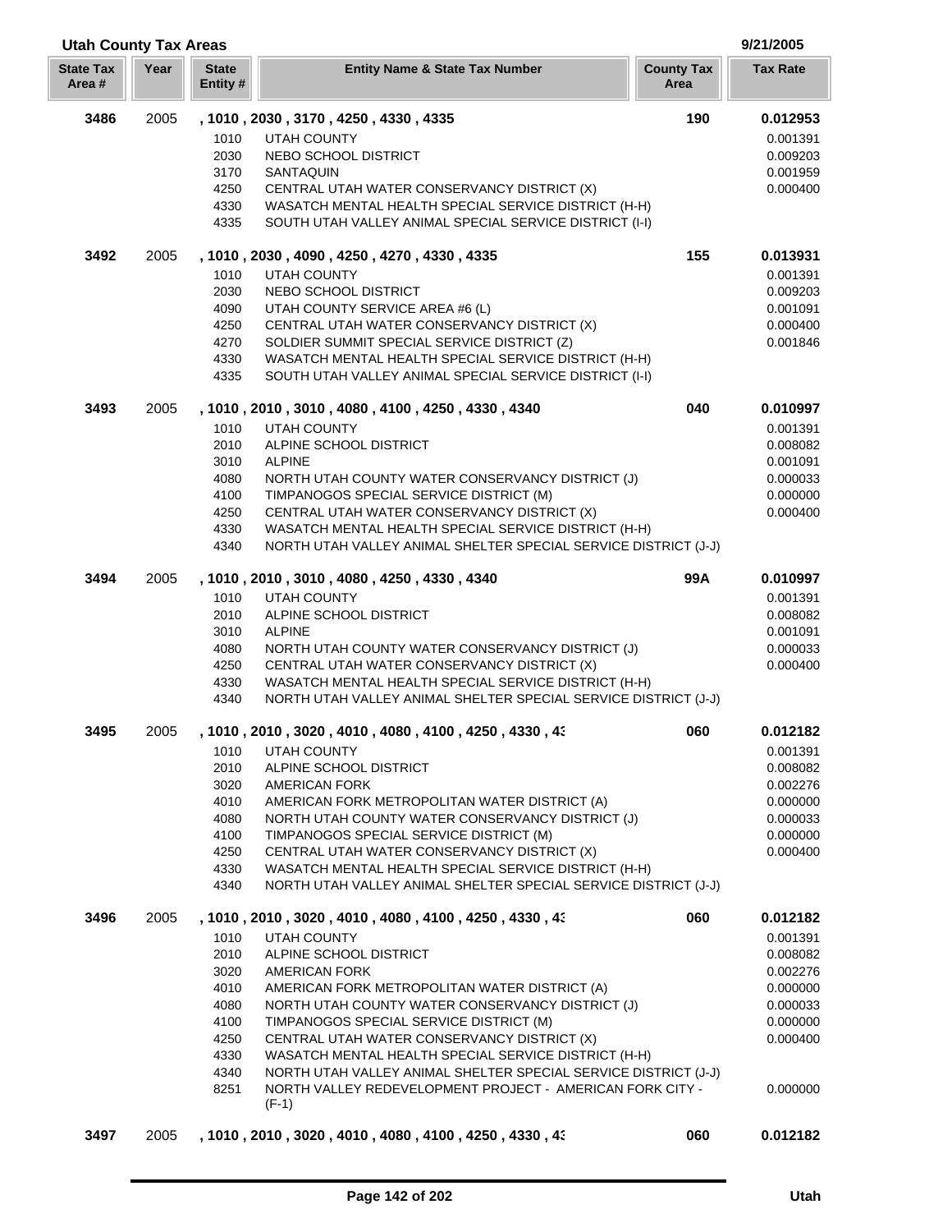| <b>Utah County Tax Areas</b> |      |                          |                                                                                                                         |                           | 9/21/2005            |  |
|------------------------------|------|--------------------------|-------------------------------------------------------------------------------------------------------------------------|---------------------------|----------------------|--|
| <b>State Tax</b><br>Area #   | Year | <b>State</b><br>Entity # | <b>Entity Name &amp; State Tax Number</b>                                                                               | <b>County Tax</b><br>Area | <b>Tax Rate</b>      |  |
| 3486                         | 2005 |                          | , 1010, 2030, 3170, 4250, 4330, 4335                                                                                    | 190                       | 0.012953             |  |
|                              |      | 1010                     | <b>UTAH COUNTY</b>                                                                                                      |                           | 0.001391             |  |
|                              |      | 2030                     | NEBO SCHOOL DISTRICT                                                                                                    |                           | 0.009203             |  |
|                              |      | 3170                     | SANTAQUIN                                                                                                               |                           | 0.001959             |  |
|                              |      | 4250                     | CENTRAL UTAH WATER CONSERVANCY DISTRICT (X)                                                                             |                           | 0.000400             |  |
|                              |      | 4330                     | WASATCH MENTAL HEALTH SPECIAL SERVICE DISTRICT (H-H)                                                                    |                           |                      |  |
|                              |      | 4335                     | SOUTH UTAH VALLEY ANIMAL SPECIAL SERVICE DISTRICT (I-I)                                                                 |                           |                      |  |
| 3492                         | 2005 |                          | , 1010, 2030, 4090, 4250, 4270, 4330, 4335                                                                              | 155                       | 0.013931             |  |
|                              |      | 1010                     | <b>UTAH COUNTY</b>                                                                                                      |                           | 0.001391             |  |
|                              |      | 2030                     | NEBO SCHOOL DISTRICT                                                                                                    |                           | 0.009203             |  |
|                              |      | 4090                     | UTAH COUNTY SERVICE AREA #6 (L)                                                                                         |                           | 0.001091             |  |
|                              |      | 4250                     | CENTRAL UTAH WATER CONSERVANCY DISTRICT (X)                                                                             |                           | 0.000400             |  |
|                              |      | 4270                     | SOLDIER SUMMIT SPECIAL SERVICE DISTRICT (Z)                                                                             |                           | 0.001846             |  |
|                              |      | 4330                     | WASATCH MENTAL HEALTH SPECIAL SERVICE DISTRICT (H-H)                                                                    |                           |                      |  |
|                              |      | 4335                     | SOUTH UTAH VALLEY ANIMAL SPECIAL SERVICE DISTRICT (I-I)                                                                 |                           |                      |  |
| 3493                         | 2005 |                          | , 1010, 2010, 3010, 4080, 4100, 4250, 4330, 4340                                                                        | 040                       | 0.010997             |  |
|                              |      | 1010                     | <b>UTAH COUNTY</b>                                                                                                      |                           | 0.001391             |  |
|                              |      | 2010                     | ALPINE SCHOOL DISTRICT                                                                                                  |                           | 0.008082             |  |
|                              |      | 3010                     | <b>ALPINE</b>                                                                                                           |                           | 0.001091             |  |
|                              |      | 4080<br>4100             | NORTH UTAH COUNTY WATER CONSERVANCY DISTRICT (J)                                                                        |                           | 0.000033             |  |
|                              |      | 4250                     | TIMPANOGOS SPECIAL SERVICE DISTRICT (M)<br>CENTRAL UTAH WATER CONSERVANCY DISTRICT (X)                                  |                           | 0.000000<br>0.000400 |  |
|                              |      | 4330                     | WASATCH MENTAL HEALTH SPECIAL SERVICE DISTRICT (H-H)                                                                    |                           |                      |  |
|                              |      | 4340                     | NORTH UTAH VALLEY ANIMAL SHELTER SPECIAL SERVICE DISTRICT (J-J)                                                         |                           |                      |  |
|                              |      |                          |                                                                                                                         |                           |                      |  |
| 3494                         | 2005 |                          | , 1010, 2010, 3010, 4080, 4250, 4330, 4340                                                                              | 99A                       | 0.010997             |  |
|                              |      | 1010                     | <b>UTAH COUNTY</b>                                                                                                      |                           | 0.001391             |  |
|                              |      | 2010                     | ALPINE SCHOOL DISTRICT                                                                                                  |                           | 0.008082             |  |
|                              |      | 3010                     | <b>ALPINE</b>                                                                                                           |                           | 0.001091             |  |
|                              |      | 4080                     | NORTH UTAH COUNTY WATER CONSERVANCY DISTRICT (J)                                                                        |                           | 0.000033             |  |
|                              |      | 4250                     | CENTRAL UTAH WATER CONSERVANCY DISTRICT (X)                                                                             |                           | 0.000400             |  |
|                              |      | 4330<br>4340             | WASATCH MENTAL HEALTH SPECIAL SERVICE DISTRICT (H-H)<br>NORTH UTAH VALLEY ANIMAL SHELTER SPECIAL SERVICE DISTRICT (J-J) |                           |                      |  |
|                              |      |                          |                                                                                                                         |                           |                      |  |
| 3495                         | 2005 | 1010                     | , 1010 , 2010 , 3020 , 4010 , 4080 , 4100 , 4250 , 4330 , 43<br>UTAH COUNTY                                             | 060                       | 0.012182<br>0.001391 |  |
|                              |      | 2010                     | ALPINE SCHOOL DISTRICT                                                                                                  |                           | 0.008082             |  |
|                              |      | 3020                     | <b>AMERICAN FORK</b>                                                                                                    |                           | 0.002276             |  |
|                              |      | 4010                     | AMERICAN FORK METROPOLITAN WATER DISTRICT (A)                                                                           |                           | 0.000000             |  |
|                              |      | 4080                     | NORTH UTAH COUNTY WATER CONSERVANCY DISTRICT (J)                                                                        |                           | 0.000033             |  |
|                              |      | 4100                     | TIMPANOGOS SPECIAL SERVICE DISTRICT (M)                                                                                 |                           | 0.000000             |  |
|                              |      | 4250                     | CENTRAL UTAH WATER CONSERVANCY DISTRICT (X)                                                                             |                           | 0.000400             |  |
|                              |      | 4330                     | WASATCH MENTAL HEALTH SPECIAL SERVICE DISTRICT (H-H)                                                                    |                           |                      |  |
|                              |      | 4340                     | NORTH UTAH VALLEY ANIMAL SHELTER SPECIAL SERVICE DISTRICT (J-J)                                                         |                           |                      |  |
| 3496                         | 2005 |                          | , 1010, 2010, 3020, 4010, 4080, 4100, 4250, 4330, 43                                                                    | 060                       | 0.012182             |  |
|                              |      | 1010                     | UTAH COUNTY                                                                                                             |                           | 0.001391             |  |
|                              |      | 2010                     | ALPINE SCHOOL DISTRICT                                                                                                  |                           | 0.008082             |  |
|                              |      | 3020                     | <b>AMERICAN FORK</b>                                                                                                    |                           | 0.002276             |  |
|                              |      | 4010                     | AMERICAN FORK METROPOLITAN WATER DISTRICT (A)                                                                           |                           | 0.000000             |  |
|                              |      | 4080                     | NORTH UTAH COUNTY WATER CONSERVANCY DISTRICT (J)                                                                        |                           | 0.000033             |  |
|                              |      | 4100                     | TIMPANOGOS SPECIAL SERVICE DISTRICT (M)                                                                                 |                           | 0.000000             |  |
|                              |      | 4250                     | CENTRAL UTAH WATER CONSERVANCY DISTRICT (X)                                                                             |                           | 0.000400             |  |
|                              |      | 4330                     | WASATCH MENTAL HEALTH SPECIAL SERVICE DISTRICT (H-H)                                                                    |                           |                      |  |
|                              |      | 4340                     | NORTH UTAH VALLEY ANIMAL SHELTER SPECIAL SERVICE DISTRICT (J-J)                                                         |                           |                      |  |
|                              |      | 8251                     | NORTH VALLEY REDEVELOPMENT PROJECT - AMERICAN FORK CITY -<br>$(F-1)$                                                    |                           | 0.000000             |  |
|                              |      |                          |                                                                                                                         |                           |                      |  |
| 3497                         | 2005 |                          | , 1010 , 2010 , 3020 , 4010 , 4080 , 4100 , 4250 , 4330 , 43                                                            | 060                       | 0.012182             |  |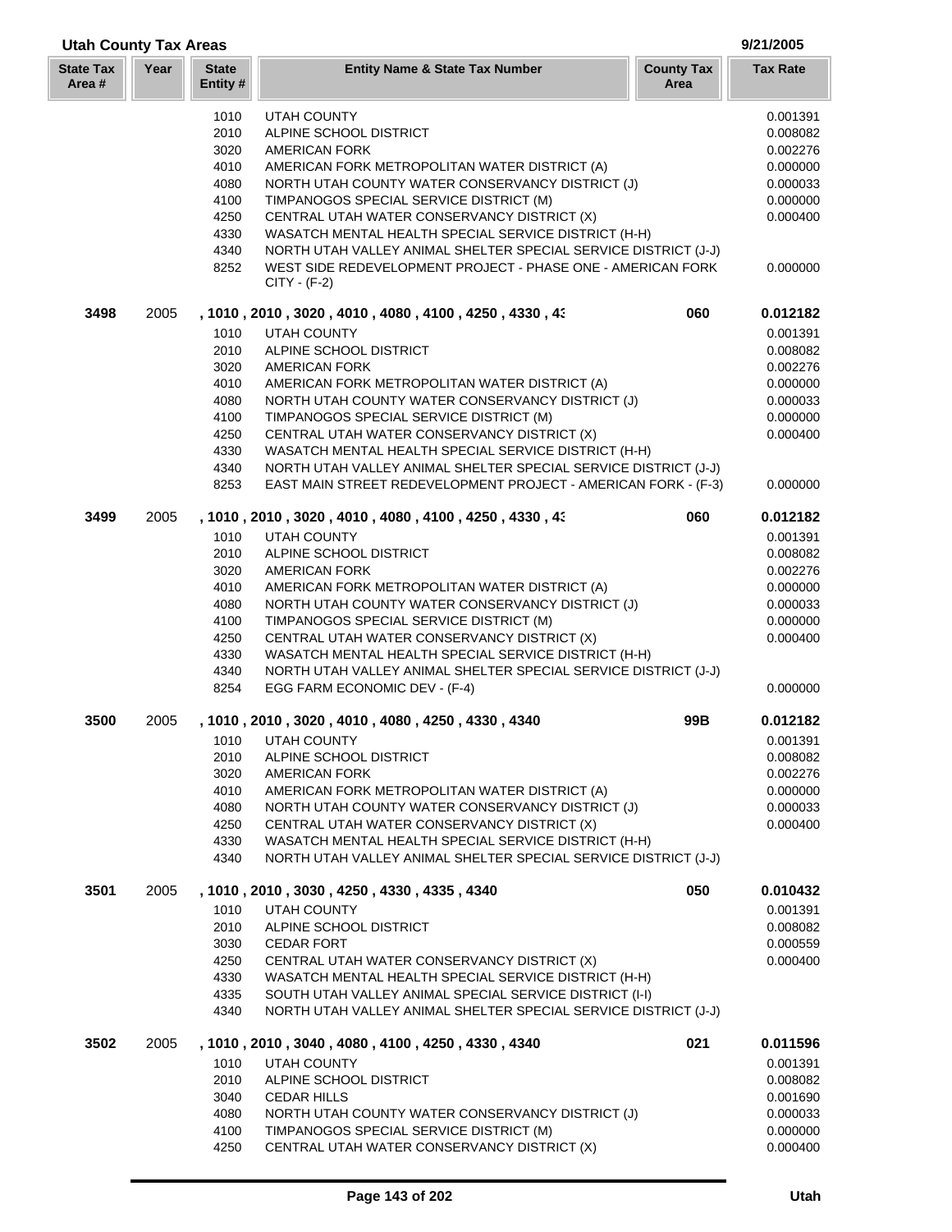| <b>Utah County Tax Areas</b> |      |                          |                                                                                                                                   |                           |                 |
|------------------------------|------|--------------------------|-----------------------------------------------------------------------------------------------------------------------------------|---------------------------|-----------------|
| <b>State Tax</b><br>Area #   | Year | <b>State</b><br>Entity # | <b>Entity Name &amp; State Tax Number</b>                                                                                         | <b>County Tax</b><br>Area | <b>Tax Rate</b> |
|                              |      | 1010                     | <b>UTAH COUNTY</b>                                                                                                                |                           | 0.001391        |
|                              |      | 2010                     | ALPINE SCHOOL DISTRICT                                                                                                            |                           | 0.008082        |
|                              |      | 3020                     | <b>AMERICAN FORK</b>                                                                                                              |                           | 0.002276        |
|                              |      | 4010                     | AMERICAN FORK METROPOLITAN WATER DISTRICT (A)                                                                                     |                           | 0.000000        |
|                              |      | 4080                     | NORTH UTAH COUNTY WATER CONSERVANCY DISTRICT (J)                                                                                  |                           | 0.000033        |
|                              |      | 4100                     | TIMPANOGOS SPECIAL SERVICE DISTRICT (M)                                                                                           |                           | 0.000000        |
|                              |      | 4250                     | CENTRAL UTAH WATER CONSERVANCY DISTRICT (X)                                                                                       |                           | 0.000400        |
|                              |      | 4330                     | WASATCH MENTAL HEALTH SPECIAL SERVICE DISTRICT (H-H)                                                                              |                           |                 |
|                              |      | 4340                     | NORTH UTAH VALLEY ANIMAL SHELTER SPECIAL SERVICE DISTRICT (J-J)                                                                   |                           |                 |
|                              |      | 8252                     | WEST SIDE REDEVELOPMENT PROJECT - PHASE ONE - AMERICAN FORK<br>$CITY - (F-2)$                                                     |                           | 0.000000        |
| 3498                         | 2005 |                          | , 1010 , 2010 , 3020 , 4010 , 4080 , 4100 , 4250 , 4330 , 43                                                                      | 060                       | 0.012182        |
|                              |      | 1010                     | UTAH COUNTY                                                                                                                       |                           | 0.001391        |
|                              |      | 2010                     | ALPINE SCHOOL DISTRICT                                                                                                            |                           | 0.008082        |
|                              |      | 3020                     | <b>AMERICAN FORK</b>                                                                                                              |                           | 0.002276        |
|                              |      | 4010                     | AMERICAN FORK METROPOLITAN WATER DISTRICT (A)                                                                                     |                           | 0.000000        |
|                              |      | 4080                     | NORTH UTAH COUNTY WATER CONSERVANCY DISTRICT (J)                                                                                  |                           | 0.000033        |
|                              |      | 4100                     | TIMPANOGOS SPECIAL SERVICE DISTRICT (M)                                                                                           |                           | 0.000000        |
|                              |      | 4250                     | CENTRAL UTAH WATER CONSERVANCY DISTRICT (X)                                                                                       |                           | 0.000400        |
|                              |      | 4330                     | WASATCH MENTAL HEALTH SPECIAL SERVICE DISTRICT (H-H)                                                                              |                           |                 |
|                              |      | 4340<br>8253             | NORTH UTAH VALLEY ANIMAL SHELTER SPECIAL SERVICE DISTRICT (J-J)<br>EAST MAIN STREET REDEVELOPMENT PROJECT - AMERICAN FORK - (F-3) |                           | 0.000000        |
| 3499                         | 2005 |                          | , 1010, 2010, 3020, 4010, 4080, 4100, 4250, 4330, 43                                                                              | 060                       | 0.012182        |
|                              |      | 1010                     | UTAH COUNTY                                                                                                                       |                           | 0.001391        |
|                              |      | 2010                     | ALPINE SCHOOL DISTRICT                                                                                                            |                           | 0.008082        |
|                              |      | 3020                     | <b>AMERICAN FORK</b>                                                                                                              |                           | 0.002276        |
|                              |      | 4010                     | AMERICAN FORK METROPOLITAN WATER DISTRICT (A)                                                                                     |                           | 0.000000        |
|                              |      | 4080                     | NORTH UTAH COUNTY WATER CONSERVANCY DISTRICT (J)                                                                                  |                           | 0.000033        |
|                              |      | 4100                     | TIMPANOGOS SPECIAL SERVICE DISTRICT (M)                                                                                           |                           | 0.000000        |
|                              |      | 4250                     | CENTRAL UTAH WATER CONSERVANCY DISTRICT (X)                                                                                       |                           | 0.000400        |
|                              |      | 4330<br>4340             | WASATCH MENTAL HEALTH SPECIAL SERVICE DISTRICT (H-H)<br>NORTH UTAH VALLEY ANIMAL SHELTER SPECIAL SERVICE DISTRICT (J-J)           |                           |                 |
|                              |      | 8254                     | EGG FARM ECONOMIC DEV - (F-4)                                                                                                     |                           | 0.000000        |
| 3500                         | 2005 |                          | , 1010, 2010, 3020, 4010, 4080, 4250, 4330, 4340                                                                                  | 99B                       | 0.012182        |
|                              |      | 1010                     | <b>UTAH COUNTY</b>                                                                                                                |                           | 0.001391        |
|                              |      | 2010                     | ALPINE SCHOOL DISTRICT                                                                                                            |                           | 0.008082        |
|                              |      | 3020                     | <b>AMERICAN FORK</b>                                                                                                              |                           | 0.002276        |
|                              |      | 4010                     | AMERICAN FORK METROPOLITAN WATER DISTRICT (A)                                                                                     |                           | 0.000000        |
|                              |      | 4080                     | NORTH UTAH COUNTY WATER CONSERVANCY DISTRICT (J)                                                                                  |                           | 0.000033        |
|                              |      | 4250                     | CENTRAL UTAH WATER CONSERVANCY DISTRICT (X)                                                                                       |                           | 0.000400        |
|                              |      | 4330<br>4340             | WASATCH MENTAL HEALTH SPECIAL SERVICE DISTRICT (H-H)<br>NORTH UTAH VALLEY ANIMAL SHELTER SPECIAL SERVICE DISTRICT (J-J)           |                           |                 |
| 3501                         | 2005 |                          | , 1010, 2010, 3030, 4250, 4330, 4335, 4340                                                                                        | 050                       | 0.010432        |
|                              |      | 1010                     | <b>UTAH COUNTY</b>                                                                                                                |                           | 0.001391        |
|                              |      | 2010                     | ALPINE SCHOOL DISTRICT                                                                                                            |                           | 0.008082        |
|                              |      | 3030                     | <b>CEDAR FORT</b>                                                                                                                 |                           | 0.000559        |
|                              |      | 4250                     | CENTRAL UTAH WATER CONSERVANCY DISTRICT (X)                                                                                       |                           | 0.000400        |
|                              |      | 4330                     | WASATCH MENTAL HEALTH SPECIAL SERVICE DISTRICT (H-H)                                                                              |                           |                 |
|                              |      | 4335<br>4340             | SOUTH UTAH VALLEY ANIMAL SPECIAL SERVICE DISTRICT (I-I)<br>NORTH UTAH VALLEY ANIMAL SHELTER SPECIAL SERVICE DISTRICT (J-J)        |                           |                 |
| 3502                         | 2005 |                          | , 1010, 2010, 3040, 4080, 4100, 4250, 4330, 4340                                                                                  | 021                       | 0.011596        |
|                              |      | 1010                     | UTAH COUNTY                                                                                                                       |                           | 0.001391        |
|                              |      | 2010                     | ALPINE SCHOOL DISTRICT                                                                                                            |                           | 0.008082        |
|                              |      | 3040                     | <b>CEDAR HILLS</b>                                                                                                                |                           | 0.001690        |
|                              |      | 4080                     | NORTH UTAH COUNTY WATER CONSERVANCY DISTRICT (J)                                                                                  |                           | 0.000033        |
|                              |      | 4100                     | TIMPANOGOS SPECIAL SERVICE DISTRICT (M)                                                                                           |                           | 0.000000        |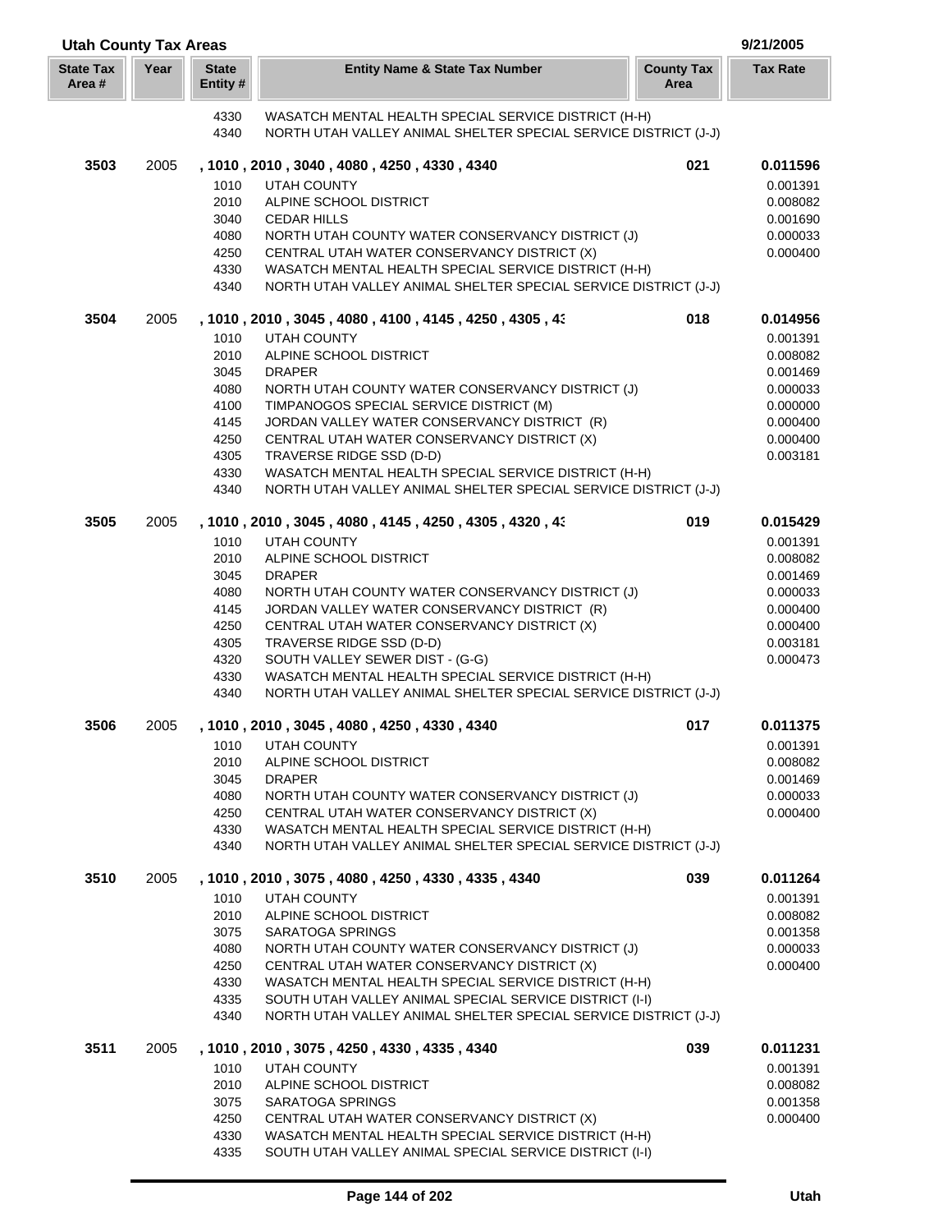| <b>Utah County Tax Areas</b><br>9/21/2005 |      |                          |                                                                                                                 |                           |                      |
|-------------------------------------------|------|--------------------------|-----------------------------------------------------------------------------------------------------------------|---------------------------|----------------------|
| <b>State Tax</b><br>Area #                | Year | <b>State</b><br>Entity # | <b>Entity Name &amp; State Tax Number</b>                                                                       | <b>County Tax</b><br>Area | <b>Tax Rate</b>      |
|                                           |      | 4330                     | WASATCH MENTAL HEALTH SPECIAL SERVICE DISTRICT (H-H)                                                            |                           |                      |
|                                           |      | 4340                     | NORTH UTAH VALLEY ANIMAL SHELTER SPECIAL SERVICE DISTRICT (J-J)                                                 |                           |                      |
| 3503                                      | 2005 |                          | , 1010, 2010, 3040, 4080, 4250, 4330, 4340                                                                      | 021                       | 0.011596             |
|                                           |      | 1010                     | UTAH COUNTY                                                                                                     |                           | 0.001391             |
|                                           |      | 2010                     | ALPINE SCHOOL DISTRICT                                                                                          |                           | 0.008082             |
|                                           |      | 3040                     | <b>CEDAR HILLS</b>                                                                                              |                           | 0.001690             |
|                                           |      | 4080                     | NORTH UTAH COUNTY WATER CONSERVANCY DISTRICT (J)                                                                |                           | 0.000033             |
|                                           |      | 4250                     | CENTRAL UTAH WATER CONSERVANCY DISTRICT (X)                                                                     |                           | 0.000400             |
|                                           |      | 4330                     | WASATCH MENTAL HEALTH SPECIAL SERVICE DISTRICT (H-H)                                                            |                           |                      |
|                                           |      | 4340                     | NORTH UTAH VALLEY ANIMAL SHELTER SPECIAL SERVICE DISTRICT (J-J)                                                 |                           |                      |
|                                           |      |                          |                                                                                                                 |                           |                      |
| 3504                                      | 2005 |                          | , 1010 , 2010 , 3045 , 4080 , 4100 , 4145 , 4250 , 4305 , 43                                                    | 018                       | 0.014956             |
|                                           |      | 1010                     | UTAH COUNTY                                                                                                     |                           | 0.001391             |
|                                           |      | 2010                     | ALPINE SCHOOL DISTRICT                                                                                          |                           | 0.008082             |
|                                           |      | 3045                     | <b>DRAPER</b>                                                                                                   |                           | 0.001469             |
|                                           |      | 4080                     | NORTH UTAH COUNTY WATER CONSERVANCY DISTRICT (J)                                                                |                           | 0.000033             |
|                                           |      | 4100                     | TIMPANOGOS SPECIAL SERVICE DISTRICT (M)                                                                         |                           | 0.000000             |
|                                           |      | 4145                     | JORDAN VALLEY WATER CONSERVANCY DISTRICT (R)                                                                    |                           | 0.000400             |
|                                           |      | 4250                     | CENTRAL UTAH WATER CONSERVANCY DISTRICT (X)                                                                     |                           | 0.000400             |
|                                           |      | 4305                     | TRAVERSE RIDGE SSD (D-D)                                                                                        |                           | 0.003181             |
|                                           |      | 4330                     | WASATCH MENTAL HEALTH SPECIAL SERVICE DISTRICT (H-H)                                                            |                           |                      |
|                                           |      | 4340                     | NORTH UTAH VALLEY ANIMAL SHELTER SPECIAL SERVICE DISTRICT (J-J)                                                 |                           |                      |
| 3505                                      | 2005 |                          | , 1010, 2010, 3045, 4080, 4145, 4250, 4305, 4320, 43                                                            | 019                       | 0.015429             |
|                                           |      | 1010                     | <b>UTAH COUNTY</b>                                                                                              |                           | 0.001391             |
|                                           |      | 2010                     | ALPINE SCHOOL DISTRICT                                                                                          |                           | 0.008082             |
|                                           |      | 3045                     | <b>DRAPER</b>                                                                                                   |                           | 0.001469             |
|                                           |      | 4080                     | NORTH UTAH COUNTY WATER CONSERVANCY DISTRICT (J)                                                                |                           | 0.000033             |
|                                           |      | 4145                     | JORDAN VALLEY WATER CONSERVANCY DISTRICT (R)                                                                    |                           | 0.000400             |
|                                           |      | 4250                     | CENTRAL UTAH WATER CONSERVANCY DISTRICT (X)                                                                     |                           | 0.000400             |
|                                           |      | 4305                     | TRAVERSE RIDGE SSD (D-D)                                                                                        |                           | 0.003181             |
|                                           |      | 4320                     | SOUTH VALLEY SEWER DIST - (G-G)                                                                                 |                           | 0.000473             |
|                                           |      | 4330                     | WASATCH MENTAL HEALTH SPECIAL SERVICE DISTRICT (H-H)                                                            |                           |                      |
|                                           |      | 4340                     | NORTH UTAH VALLEY ANIMAL SHELTER SPECIAL SERVICE DISTRICT (J-J)                                                 |                           |                      |
| 3506                                      | 2005 |                          | , 1010, 2010, 3045, 4080, 4250, 4330, 4340                                                                      | 017                       | 0.011375             |
|                                           |      | 1010                     | <b>UTAH COUNTY</b>                                                                                              |                           | 0.001391             |
|                                           |      | 2010                     | ALPINE SCHOOL DISTRICT                                                                                          |                           | 0.008082             |
|                                           |      | 3045                     | <b>DRAPER</b>                                                                                                   |                           | 0.001469             |
|                                           |      | 4080                     | NORTH UTAH COUNTY WATER CONSERVANCY DISTRICT (J)                                                                |                           | 0.000033             |
|                                           |      | 4250                     | CENTRAL UTAH WATER CONSERVANCY DISTRICT (X)                                                                     |                           | 0.000400             |
|                                           |      | 4330                     | WASATCH MENTAL HEALTH SPECIAL SERVICE DISTRICT (H-H)                                                            |                           |                      |
|                                           |      | 4340                     | NORTH UTAH VALLEY ANIMAL SHELTER SPECIAL SERVICE DISTRICT (J-J)                                                 |                           |                      |
| 3510                                      | 2005 |                          | , 1010, 2010, 3075, 4080, 4250, 4330, 4335, 4340                                                                | 039                       | 0.011264             |
|                                           |      | 1010                     | <b>UTAH COUNTY</b>                                                                                              |                           | 0.001391             |
|                                           |      | 2010                     | ALPINE SCHOOL DISTRICT                                                                                          |                           | 0.008082             |
|                                           |      | 3075                     | SARATOGA SPRINGS                                                                                                |                           | 0.001358             |
|                                           |      | 4080                     | NORTH UTAH COUNTY WATER CONSERVANCY DISTRICT (J)                                                                |                           | 0.000033             |
|                                           |      | 4250                     | CENTRAL UTAH WATER CONSERVANCY DISTRICT (X)                                                                     |                           | 0.000400             |
|                                           |      |                          |                                                                                                                 |                           |                      |
|                                           |      | 4330<br>4335             | WASATCH MENTAL HEALTH SPECIAL SERVICE DISTRICT (H-H)<br>SOUTH UTAH VALLEY ANIMAL SPECIAL SERVICE DISTRICT (I-I) |                           |                      |
|                                           |      | 4340                     | NORTH UTAH VALLEY ANIMAL SHELTER SPECIAL SERVICE DISTRICT (J-J)                                                 |                           |                      |
|                                           |      |                          |                                                                                                                 |                           |                      |
| 3511                                      | 2005 | 1010                     | , 1010, 2010, 3075, 4250, 4330, 4335, 4340<br>UTAH COUNTY                                                       | 039                       | 0.011231<br>0.001391 |
|                                           |      | 2010                     | ALPINE SCHOOL DISTRICT                                                                                          |                           | 0.008082             |
|                                           |      | 3075                     | SARATOGA SPRINGS                                                                                                |                           | 0.001358             |
|                                           |      | 4250                     | CENTRAL UTAH WATER CONSERVANCY DISTRICT (X)                                                                     |                           | 0.000400             |
|                                           |      | 4330                     | WASATCH MENTAL HEALTH SPECIAL SERVICE DISTRICT (H-H)                                                            |                           |                      |
|                                           |      | 4335                     | SOUTH UTAH VALLEY ANIMAL SPECIAL SERVICE DISTRICT (I-I)                                                         |                           |                      |

Г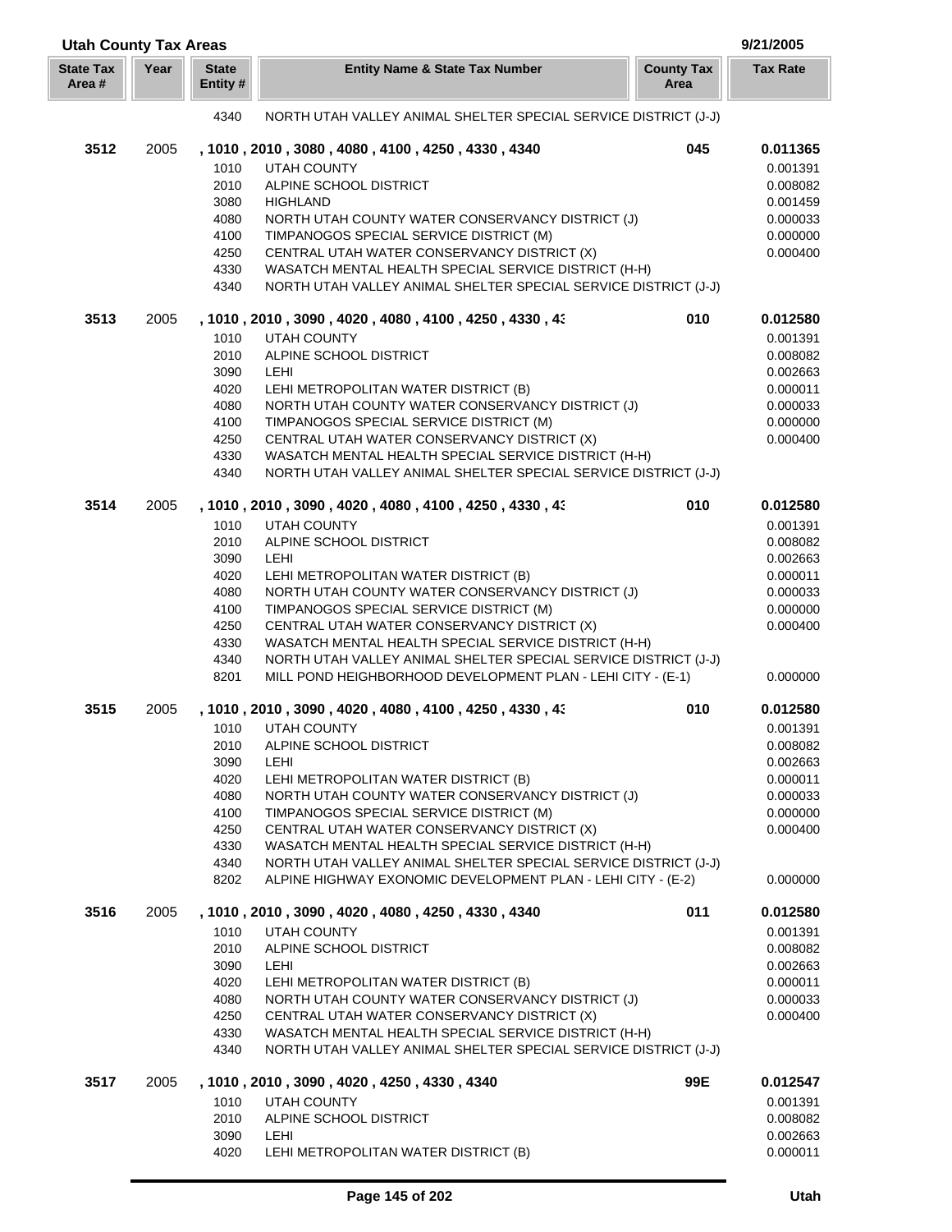| <b>Utah County Tax Areas</b> |      |                          |                                                                                                                                |                           | 9/21/2005            |
|------------------------------|------|--------------------------|--------------------------------------------------------------------------------------------------------------------------------|---------------------------|----------------------|
| <b>State Tax</b><br>Area#    | Year | <b>State</b><br>Entity # | <b>Entity Name &amp; State Tax Number</b>                                                                                      | <b>County Tax</b><br>Area | <b>Tax Rate</b>      |
|                              |      | 4340                     | NORTH UTAH VALLEY ANIMAL SHELTER SPECIAL SERVICE DISTRICT (J-J)                                                                |                           |                      |
| 3512                         | 2005 |                          | , 1010, 2010, 3080, 4080, 4100, 4250, 4330, 4340                                                                               | 045                       | 0.011365             |
|                              |      | 1010                     | <b>UTAH COUNTY</b>                                                                                                             |                           | 0.001391             |
|                              |      | 2010                     | ALPINE SCHOOL DISTRICT                                                                                                         |                           | 0.008082             |
|                              |      | 3080                     | <b>HIGHLAND</b>                                                                                                                |                           | 0.001459             |
|                              |      | 4080                     | NORTH UTAH COUNTY WATER CONSERVANCY DISTRICT (J)                                                                               |                           | 0.000033             |
|                              |      | 4100                     | TIMPANOGOS SPECIAL SERVICE DISTRICT (M)                                                                                        |                           | 0.000000             |
|                              |      | 4250                     | CENTRAL UTAH WATER CONSERVANCY DISTRICT (X)                                                                                    |                           | 0.000400             |
|                              |      | 4330                     | WASATCH MENTAL HEALTH SPECIAL SERVICE DISTRICT (H-H)                                                                           |                           |                      |
|                              |      | 4340                     | NORTH UTAH VALLEY ANIMAL SHELTER SPECIAL SERVICE DISTRICT (J-J)                                                                |                           |                      |
| 3513                         | 2005 |                          | , 1010, 2010, 3090, 4020, 4080, 4100, 4250, 4330, 43                                                                           | 010                       | 0.012580             |
|                              |      | 1010                     | <b>UTAH COUNTY</b>                                                                                                             |                           | 0.001391             |
|                              |      | 2010                     | ALPINE SCHOOL DISTRICT                                                                                                         |                           | 0.008082             |
|                              |      | 3090                     | LEHI                                                                                                                           |                           | 0.002663             |
|                              |      | 4020                     | LEHI METROPOLITAN WATER DISTRICT (B)<br>NORTH UTAH COUNTY WATER CONSERVANCY DISTRICT (J)                                       |                           | 0.000011             |
|                              |      | 4080<br>4100             | TIMPANOGOS SPECIAL SERVICE DISTRICT (M)                                                                                        |                           | 0.000033<br>0.000000 |
|                              |      | 4250                     | CENTRAL UTAH WATER CONSERVANCY DISTRICT (X)                                                                                    |                           | 0.000400             |
|                              |      | 4330                     | WASATCH MENTAL HEALTH SPECIAL SERVICE DISTRICT (H-H)                                                                           |                           |                      |
|                              |      | 4340                     | NORTH UTAH VALLEY ANIMAL SHELTER SPECIAL SERVICE DISTRICT (J-J)                                                                |                           |                      |
| 3514                         | 2005 |                          | , 1010, 2010, 3090, 4020, 4080, 4100, 4250, 4330, 43                                                                           | 010                       | 0.012580             |
|                              |      | 1010                     | <b>UTAH COUNTY</b>                                                                                                             |                           | 0.001391             |
|                              |      | 2010                     | ALPINE SCHOOL DISTRICT                                                                                                         |                           | 0.008082             |
|                              |      | 3090                     | LEHI                                                                                                                           |                           | 0.002663             |
|                              |      | 4020                     | LEHI METROPOLITAN WATER DISTRICT (B)                                                                                           |                           | 0.000011             |
|                              |      | 4080                     | NORTH UTAH COUNTY WATER CONSERVANCY DISTRICT (J)                                                                               |                           | 0.000033             |
|                              |      | 4100                     | TIMPANOGOS SPECIAL SERVICE DISTRICT (M)                                                                                        |                           | 0.000000             |
|                              |      | 4250                     | CENTRAL UTAH WATER CONSERVANCY DISTRICT (X)                                                                                    |                           | 0.000400             |
|                              |      | 4330                     | WASATCH MENTAL HEALTH SPECIAL SERVICE DISTRICT (H-H)                                                                           |                           |                      |
|                              |      | 4340<br>8201             | NORTH UTAH VALLEY ANIMAL SHELTER SPECIAL SERVICE DISTRICT (J-J)<br>MILL POND HEIGHBORHOOD DEVELOPMENT PLAN - LEHI CITY - (E-1) |                           | 0.000000             |
| 3515                         | 2005 |                          | , 1010, 2010, 3090, 4020, 4080, 4100, 4250, 4330, 43                                                                           | 010                       | 0.012580             |
|                              |      | 1010                     | <b>UTAH COUNTY</b>                                                                                                             |                           | 0.001391             |
|                              |      | 2010                     | ALPINE SCHOOL DISTRICT                                                                                                         |                           | 0.008082             |
|                              |      | 3090                     | <b>LEHI</b>                                                                                                                    |                           | 0.002663             |
|                              |      | 4020                     | LEHI METROPOLITAN WATER DISTRICT (B)                                                                                           |                           | 0.000011             |
|                              |      | 4080                     | NORTH UTAH COUNTY WATER CONSERVANCY DISTRICT (J)                                                                               |                           | 0.000033             |
|                              |      | 4100                     | TIMPANOGOS SPECIAL SERVICE DISTRICT (M)                                                                                        |                           | 0.000000             |
|                              |      | 4250                     | CENTRAL UTAH WATER CONSERVANCY DISTRICT (X)                                                                                    |                           | 0.000400             |
|                              |      | 4330                     | WASATCH MENTAL HEALTH SPECIAL SERVICE DISTRICT (H-H)                                                                           |                           |                      |
|                              |      | 4340                     | NORTH UTAH VALLEY ANIMAL SHELTER SPECIAL SERVICE DISTRICT (J-J)                                                                |                           |                      |
|                              |      | 8202                     | ALPINE HIGHWAY EXONOMIC DEVELOPMENT PLAN - LEHI CITY - (E-2)                                                                   |                           | 0.000000             |
| 3516                         | 2005 |                          | , 1010, 2010, 3090, 4020, 4080, 4250, 4330, 4340                                                                               | 011                       | 0.012580             |
|                              |      | 1010                     | UTAH COUNTY                                                                                                                    |                           | 0.001391             |
|                              |      | 2010                     | ALPINE SCHOOL DISTRICT                                                                                                         |                           | 0.008082             |
|                              |      | 3090                     | LEHI                                                                                                                           |                           | 0.002663             |
|                              |      | 4020<br>4080             | LEHI METROPOLITAN WATER DISTRICT (B)<br>NORTH UTAH COUNTY WATER CONSERVANCY DISTRICT (J)                                       |                           | 0.000011<br>0.000033 |
|                              |      | 4250                     | CENTRAL UTAH WATER CONSERVANCY DISTRICT (X)                                                                                    |                           | 0.000400             |
|                              |      | 4330                     | WASATCH MENTAL HEALTH SPECIAL SERVICE DISTRICT (H-H)                                                                           |                           |                      |
|                              |      | 4340                     | NORTH UTAH VALLEY ANIMAL SHELTER SPECIAL SERVICE DISTRICT (J-J)                                                                |                           |                      |
| 3517                         | 2005 |                          | , 1010, 2010, 3090, 4020, 4250, 4330, 4340                                                                                     | 99E                       | 0.012547             |
|                              |      | 1010                     | <b>UTAH COUNTY</b>                                                                                                             |                           | 0.001391             |
|                              |      | 2010                     | ALPINE SCHOOL DISTRICT                                                                                                         |                           | 0.008082             |
|                              |      | 3090                     | <b>LEHI</b>                                                                                                                    |                           | 0.002663             |
|                              |      | 4020                     | LEHI METROPOLITAN WATER DISTRICT (B)                                                                                           |                           | 0.000011             |

Г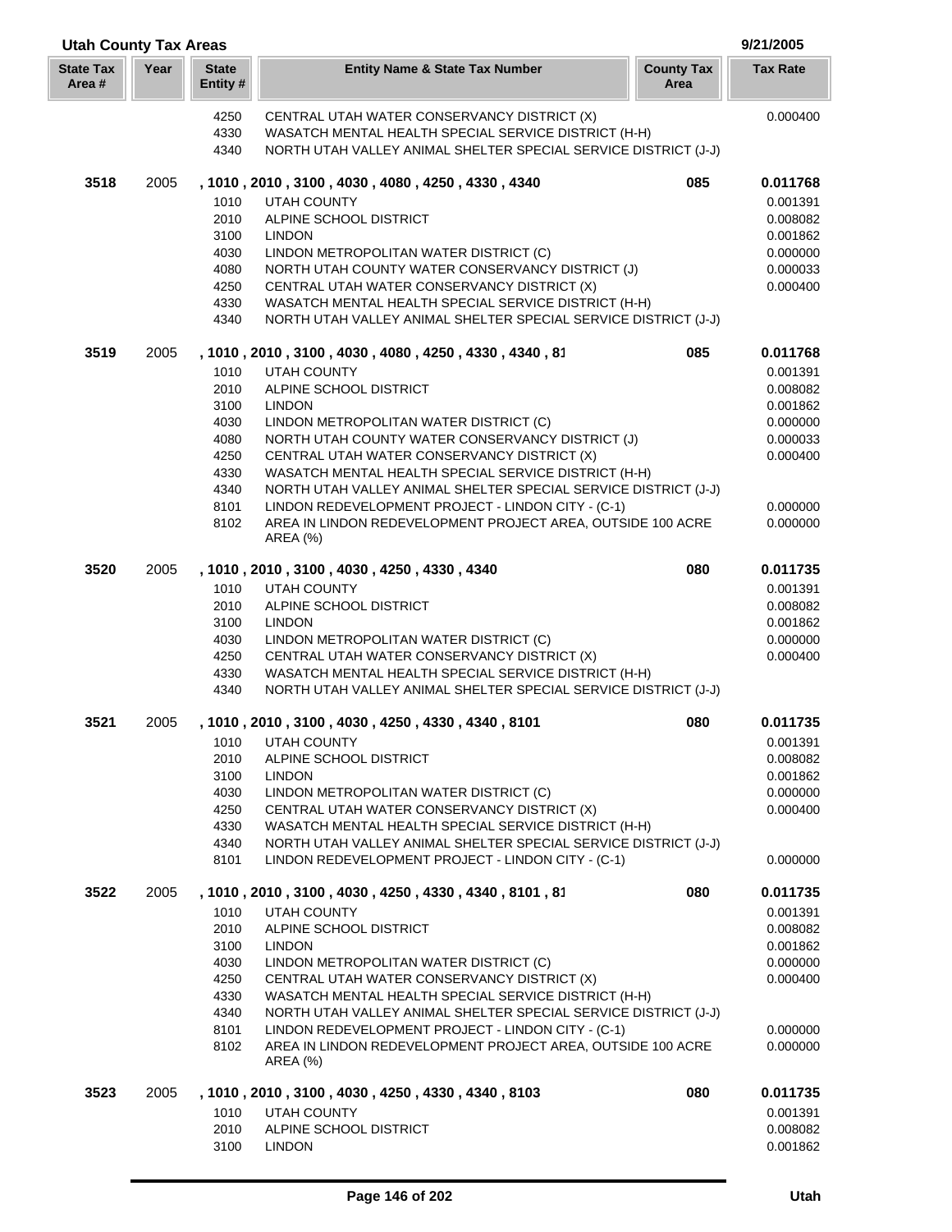| <b>Utah County Tax Areas</b> |      |                          |                                                                                                     |                           | 9/21/2005            |
|------------------------------|------|--------------------------|-----------------------------------------------------------------------------------------------------|---------------------------|----------------------|
| <b>State Tax</b><br>Area#    | Year | <b>State</b><br>Entity # | <b>Entity Name &amp; State Tax Number</b>                                                           | <b>County Tax</b><br>Area | <b>Tax Rate</b>      |
|                              |      | 4250                     | CENTRAL UTAH WATER CONSERVANCY DISTRICT (X)                                                         |                           | 0.000400             |
|                              |      | 4330                     | WASATCH MENTAL HEALTH SPECIAL SERVICE DISTRICT (H-H)                                                |                           |                      |
|                              |      | 4340                     | NORTH UTAH VALLEY ANIMAL SHELTER SPECIAL SERVICE DISTRICT (J-J)                                     |                           |                      |
| 3518                         | 2005 |                          | , 1010, 2010, 3100, 4030, 4080, 4250, 4330, 4340                                                    | 085                       | 0.011768             |
|                              |      | 1010                     | UTAH COUNTY                                                                                         |                           | 0.001391             |
|                              |      | 2010                     | ALPINE SCHOOL DISTRICT                                                                              |                           | 0.008082             |
|                              |      | 3100                     | <b>LINDON</b>                                                                                       |                           | 0.001862             |
|                              |      | 4030                     | LINDON METROPOLITAN WATER DISTRICT (C)                                                              |                           | 0.000000             |
|                              |      | 4080<br>4250             | NORTH UTAH COUNTY WATER CONSERVANCY DISTRICT (J)<br>CENTRAL UTAH WATER CONSERVANCY DISTRICT (X)     |                           | 0.000033<br>0.000400 |
|                              |      | 4330                     | WASATCH MENTAL HEALTH SPECIAL SERVICE DISTRICT (H-H)                                                |                           |                      |
|                              |      | 4340                     | NORTH UTAH VALLEY ANIMAL SHELTER SPECIAL SERVICE DISTRICT (J-J)                                     |                           |                      |
| 3519                         | 2005 |                          | , 1010, 2010, 3100, 4030, 4080, 4250, 4330, 4340, 81                                                | 085                       | 0.011768             |
|                              |      | 1010                     | UTAH COUNTY                                                                                         |                           | 0.001391             |
|                              |      | 2010                     | ALPINE SCHOOL DISTRICT                                                                              |                           | 0.008082             |
|                              |      | 3100                     | <b>LINDON</b>                                                                                       |                           | 0.001862             |
|                              |      | 4030                     | LINDON METROPOLITAN WATER DISTRICT (C)                                                              |                           | 0.000000             |
|                              |      | 4080                     | NORTH UTAH COUNTY WATER CONSERVANCY DISTRICT (J)                                                    |                           | 0.000033             |
|                              |      | 4250<br>4330             | CENTRAL UTAH WATER CONSERVANCY DISTRICT (X)<br>WASATCH MENTAL HEALTH SPECIAL SERVICE DISTRICT (H-H) |                           | 0.000400             |
|                              |      | 4340                     | NORTH UTAH VALLEY ANIMAL SHELTER SPECIAL SERVICE DISTRICT (J-J)                                     |                           |                      |
|                              |      | 8101                     | LINDON REDEVELOPMENT PROJECT - LINDON CITY - (C-1)                                                  |                           | 0.000000             |
|                              |      | 8102                     | AREA IN LINDON REDEVELOPMENT PROJECT AREA, OUTSIDE 100 ACRE                                         |                           | 0.000000             |
|                              |      |                          | <b>AREA (%)</b>                                                                                     |                           |                      |
| 3520                         | 2005 |                          | , 1010, 2010, 3100, 4030, 4250, 4330, 4340                                                          | 080                       | 0.011735             |
|                              |      | 1010                     | <b>UTAH COUNTY</b>                                                                                  |                           | 0.001391             |
|                              |      | 2010                     | ALPINE SCHOOL DISTRICT                                                                              |                           | 0.008082             |
|                              |      | 3100<br>4030             | <b>LINDON</b><br>LINDON METROPOLITAN WATER DISTRICT (C)                                             |                           | 0.001862<br>0.000000 |
|                              |      | 4250                     | CENTRAL UTAH WATER CONSERVANCY DISTRICT (X)                                                         |                           | 0.000400             |
|                              |      | 4330                     | WASATCH MENTAL HEALTH SPECIAL SERVICE DISTRICT (H-H)                                                |                           |                      |
|                              |      | 4340                     | NORTH UTAH VALLEY ANIMAL SHELTER SPECIAL SERVICE DISTRICT (J-J)                                     |                           |                      |
| 3521                         | 2005 |                          | , 1010, 2010, 3100, 4030, 4250, 4330, 4340, 8101                                                    | 080                       | 0.011735             |
|                              |      | 1010                     | <b>UTAH COUNTY</b>                                                                                  |                           | 0.001391             |
|                              |      | 2010                     | ALPINE SCHOOL DISTRICT                                                                              |                           | 0.008082             |
|                              |      | 3100                     | <b>LINDON</b>                                                                                       |                           | 0.001862             |
|                              |      | 4030                     | LINDON METROPOLITAN WATER DISTRICT (C)                                                              |                           | 0.000000             |
|                              |      | 4250<br>4330             | CENTRAL UTAH WATER CONSERVANCY DISTRICT (X)<br>WASATCH MENTAL HEALTH SPECIAL SERVICE DISTRICT (H-H) |                           | 0.000400             |
|                              |      | 4340                     | NORTH UTAH VALLEY ANIMAL SHELTER SPECIAL SERVICE DISTRICT (J-J)                                     |                           |                      |
|                              |      | 8101                     | LINDON REDEVELOPMENT PROJECT - LINDON CITY - (C-1)                                                  |                           | 0.000000             |
| 3522                         | 2005 |                          | , 1010 , 2010 , 3100 , 4030 , 4250 , 4330 , 4340 , 8101 , 81                                        | 080                       | 0.011735             |
|                              |      | 1010                     | <b>UTAH COUNTY</b>                                                                                  |                           | 0.001391             |
|                              |      | 2010                     | ALPINE SCHOOL DISTRICT                                                                              |                           | 0.008082             |
|                              |      | 3100                     | <b>LINDON</b>                                                                                       |                           | 0.001862             |
|                              |      | 4030                     | LINDON METROPOLITAN WATER DISTRICT (C)                                                              |                           | 0.000000             |
|                              |      | 4250<br>4330             | CENTRAL UTAH WATER CONSERVANCY DISTRICT (X)<br>WASATCH MENTAL HEALTH SPECIAL SERVICE DISTRICT (H-H) |                           | 0.000400             |
|                              |      | 4340                     | NORTH UTAH VALLEY ANIMAL SHELTER SPECIAL SERVICE DISTRICT (J-J)                                     |                           |                      |
|                              |      | 8101                     | LINDON REDEVELOPMENT PROJECT - LINDON CITY - (C-1)                                                  |                           | 0.000000             |
|                              |      | 8102                     | AREA IN LINDON REDEVELOPMENT PROJECT AREA, OUTSIDE 100 ACRE                                         |                           | 0.000000             |
|                              |      |                          | AREA (%)                                                                                            |                           |                      |
| 3523                         | 2005 |                          | , 1010 , 2010 , 3100 , 4030 , 4250 , 4330 , 4340 , 8103                                             | 080                       | 0.011735             |
|                              |      | 1010                     | <b>UTAH COUNTY</b>                                                                                  |                           | 0.001391             |
|                              |      | 2010<br>3100             | ALPINE SCHOOL DISTRICT<br><b>LINDON</b>                                                             |                           | 0.008082<br>0.001862 |
|                              |      |                          |                                                                                                     |                           |                      |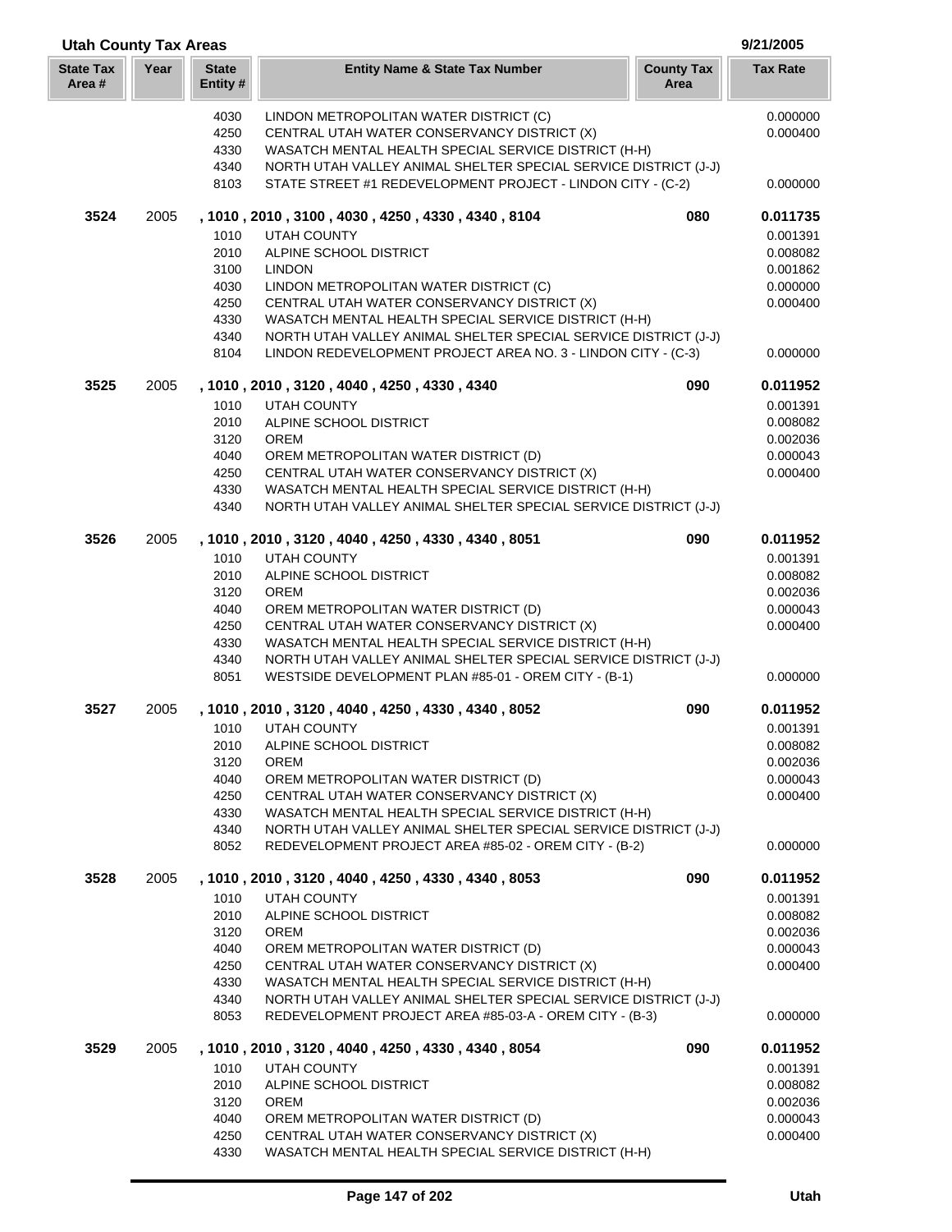| <b>Utah County Tax Areas</b> |      |                         |                                                                                                                          |                           | 9/21/2005       |
|------------------------------|------|-------------------------|--------------------------------------------------------------------------------------------------------------------------|---------------------------|-----------------|
| <b>State Tax</b><br>Area #   | Year | <b>State</b><br>Entity# | <b>Entity Name &amp; State Tax Number</b>                                                                                | <b>County Tax</b><br>Area | <b>Tax Rate</b> |
|                              |      | 4030                    | LINDON METROPOLITAN WATER DISTRICT (C)                                                                                   |                           | 0.000000        |
|                              |      | 4250                    | CENTRAL UTAH WATER CONSERVANCY DISTRICT (X)                                                                              |                           | 0.000400        |
|                              |      | 4330                    | WASATCH MENTAL HEALTH SPECIAL SERVICE DISTRICT (H-H)                                                                     |                           |                 |
|                              |      | 4340                    | NORTH UTAH VALLEY ANIMAL SHELTER SPECIAL SERVICE DISTRICT (J-J)                                                          |                           |                 |
|                              |      | 8103                    | STATE STREET #1 REDEVELOPMENT PROJECT - LINDON CITY - (C-2)                                                              |                           | 0.000000        |
| 3524                         | 2005 |                         | , 1010, 2010, 3100, 4030, 4250, 4330, 4340, 8104                                                                         | 080                       | 0.011735        |
|                              |      | 1010                    | <b>UTAH COUNTY</b>                                                                                                       |                           | 0.001391        |
|                              |      | 2010                    | ALPINE SCHOOL DISTRICT                                                                                                   |                           | 0.008082        |
|                              |      | 3100                    | <b>LINDON</b>                                                                                                            |                           | 0.001862        |
|                              |      | 4030                    | LINDON METROPOLITAN WATER DISTRICT (C)                                                                                   |                           | 0.000000        |
|                              |      | 4250                    | CENTRAL UTAH WATER CONSERVANCY DISTRICT (X)                                                                              |                           | 0.000400        |
|                              |      | 4330                    | WASATCH MENTAL HEALTH SPECIAL SERVICE DISTRICT (H-H)                                                                     |                           |                 |
|                              |      | 4340                    | NORTH UTAH VALLEY ANIMAL SHELTER SPECIAL SERVICE DISTRICT (J-J)                                                          |                           |                 |
|                              |      | 8104                    | LINDON REDEVELOPMENT PROJECT AREA NO. 3 - LINDON CITY - (C-3)                                                            |                           | 0.000000        |
| 3525                         | 2005 |                         | , 1010, 2010, 3120, 4040, 4250, 4330, 4340                                                                               | 090                       | 0.011952        |
|                              |      | 1010                    | <b>UTAH COUNTY</b>                                                                                                       |                           | 0.001391        |
|                              |      | 2010                    | ALPINE SCHOOL DISTRICT                                                                                                   |                           | 0.008082        |
|                              |      | 3120                    | <b>OREM</b>                                                                                                              |                           | 0.002036        |
|                              |      | 4040                    | OREM METROPOLITAN WATER DISTRICT (D)                                                                                     |                           | 0.000043        |
|                              |      | 4250                    | CENTRAL UTAH WATER CONSERVANCY DISTRICT (X)                                                                              |                           | 0.000400        |
|                              |      | 4330<br>4340            | WASATCH MENTAL HEALTH SPECIAL SERVICE DISTRICT (H-H)<br>NORTH UTAH VALLEY ANIMAL SHELTER SPECIAL SERVICE DISTRICT (J-J)  |                           |                 |
| 3526                         | 2005 |                         | , 1010, 2010, 3120, 4040, 4250, 4330, 4340, 8051                                                                         | 090                       | 0.011952        |
|                              |      | 1010                    | <b>UTAH COUNTY</b>                                                                                                       |                           | 0.001391        |
|                              |      | 2010                    | ALPINE SCHOOL DISTRICT                                                                                                   |                           | 0.008082        |
|                              |      | 3120                    | <b>OREM</b>                                                                                                              |                           | 0.002036        |
|                              |      | 4040                    | OREM METROPOLITAN WATER DISTRICT (D)                                                                                     |                           | 0.000043        |
|                              |      | 4250                    | CENTRAL UTAH WATER CONSERVANCY DISTRICT (X)                                                                              |                           | 0.000400        |
|                              |      | 4330                    | WASATCH MENTAL HEALTH SPECIAL SERVICE DISTRICT (H-H)                                                                     |                           |                 |
|                              |      | 4340                    | NORTH UTAH VALLEY ANIMAL SHELTER SPECIAL SERVICE DISTRICT (J-J)                                                          |                           |                 |
|                              |      | 8051                    | WESTSIDE DEVELOPMENT PLAN #85-01 - OREM CITY - (B-1)                                                                     |                           | 0.000000        |
| 3527                         | 2005 |                         | , 1010, 2010, 3120, 4040, 4250, 4330, 4340, 8052                                                                         | 090                       | 0.011952        |
|                              |      |                         | 1010 UTAH COUNTY                                                                                                         |                           | 0.001391        |
|                              |      | 2010                    | ALPINE SCHOOL DISTRICT                                                                                                   |                           | 0.008082        |
|                              |      | 3120                    | <b>OREM</b>                                                                                                              |                           | 0.002036        |
|                              |      | 4040                    | OREM METROPOLITAN WATER DISTRICT (D)                                                                                     |                           | 0.000043        |
|                              |      | 4250                    | CENTRAL UTAH WATER CONSERVANCY DISTRICT (X)                                                                              |                           | 0.000400        |
|                              |      | 4330                    | WASATCH MENTAL HEALTH SPECIAL SERVICE DISTRICT (H-H)                                                                     |                           |                 |
|                              |      | 4340<br>8052            | NORTH UTAH VALLEY ANIMAL SHELTER SPECIAL SERVICE DISTRICT (J-J)<br>REDEVELOPMENT PROJECT AREA #85-02 - OREM CITY - (B-2) |                           | 0.000000        |
| 3528                         | 2005 |                         | , 1010, 2010, 3120, 4040, 4250, 4330, 4340, 8053                                                                         | 090                       | 0.011952        |
|                              |      | 1010                    | <b>UTAH COUNTY</b>                                                                                                       |                           | 0.001391        |
|                              |      | 2010                    | ALPINE SCHOOL DISTRICT                                                                                                   |                           | 0.008082        |
|                              |      | 3120                    | <b>OREM</b>                                                                                                              |                           | 0.002036        |
|                              |      | 4040                    | OREM METROPOLITAN WATER DISTRICT (D)                                                                                     |                           | 0.000043        |
|                              |      | 4250                    | CENTRAL UTAH WATER CONSERVANCY DISTRICT (X)                                                                              |                           | 0.000400        |
|                              |      | 4330                    | WASATCH MENTAL HEALTH SPECIAL SERVICE DISTRICT (H-H)                                                                     |                           |                 |
|                              |      | 4340                    | NORTH UTAH VALLEY ANIMAL SHELTER SPECIAL SERVICE DISTRICT (J-J)                                                          |                           |                 |
|                              |      | 8053                    | REDEVELOPMENT PROJECT AREA #85-03-A - OREM CITY - (B-3)                                                                  |                           | 0.000000        |
| 3529                         | 2005 |                         | , 1010, 2010, 3120, 4040, 4250, 4330, 4340, 8054                                                                         | 090                       | 0.011952        |
|                              |      | 1010                    | UTAH COUNTY                                                                                                              |                           | 0.001391        |
|                              |      | 2010                    | ALPINE SCHOOL DISTRICT                                                                                                   |                           | 0.008082        |
|                              |      | 3120                    | <b>OREM</b>                                                                                                              |                           | 0.002036        |
|                              |      | 4040                    | OREM METROPOLITAN WATER DISTRICT (D)                                                                                     |                           | 0.000043        |
|                              |      | 4250                    | CENTRAL UTAH WATER CONSERVANCY DISTRICT (X)                                                                              |                           | 0.000400        |
|                              |      | 4330                    | WASATCH MENTAL HEALTH SPECIAL SERVICE DISTRICT (H-H)                                                                     |                           |                 |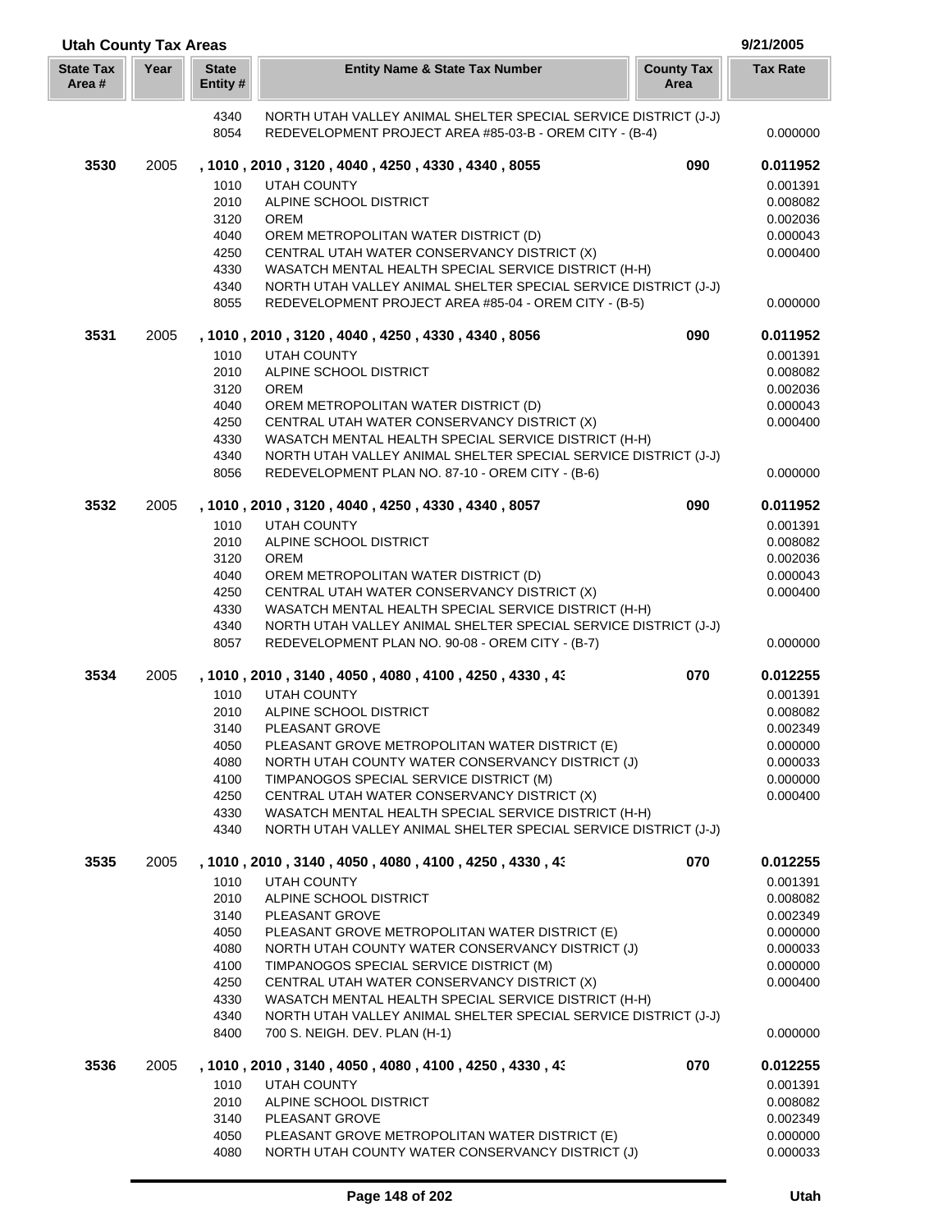| <b>Utah County Tax Areas</b> |      |                          |                                                                                                                     |                           | 9/21/2005            |
|------------------------------|------|--------------------------|---------------------------------------------------------------------------------------------------------------------|---------------------------|----------------------|
| <b>State Tax</b><br>Area#    | Year | <b>State</b><br>Entity # | <b>Entity Name &amp; State Tax Number</b>                                                                           | <b>County Tax</b><br>Area | <b>Tax Rate</b>      |
|                              |      | 4340                     | NORTH UTAH VALLEY ANIMAL SHELTER SPECIAL SERVICE DISTRICT (J-J)                                                     |                           |                      |
|                              |      | 8054                     | REDEVELOPMENT PROJECT AREA #85-03-B - OREM CITY - (B-4)                                                             |                           | 0.000000             |
| 3530                         | 2005 |                          | , 1010, 2010, 3120, 4040, 4250, 4330, 4340, 8055                                                                    | 090                       | 0.011952             |
|                              |      | 1010                     | <b>UTAH COUNTY</b>                                                                                                  |                           | 0.001391             |
|                              |      | 2010                     | ALPINE SCHOOL DISTRICT                                                                                              |                           | 0.008082             |
|                              |      | 3120                     | <b>OREM</b>                                                                                                         |                           | 0.002036             |
|                              |      | 4040                     | OREM METROPOLITAN WATER DISTRICT (D)                                                                                |                           | 0.000043             |
|                              |      | 4250                     | CENTRAL UTAH WATER CONSERVANCY DISTRICT (X)                                                                         |                           | 0.000400             |
|                              |      | 4330                     | WASATCH MENTAL HEALTH SPECIAL SERVICE DISTRICT (H-H)                                                                |                           |                      |
|                              |      | 4340                     | NORTH UTAH VALLEY ANIMAL SHELTER SPECIAL SERVICE DISTRICT (J-J)                                                     |                           |                      |
|                              |      | 8055                     | REDEVELOPMENT PROJECT AREA #85-04 - OREM CITY - (B-5)                                                               |                           | 0.000000             |
| 3531                         | 2005 |                          | , 1010, 2010, 3120, 4040, 4250, 4330, 4340, 8056                                                                    | 090                       | 0.011952             |
|                              |      | 1010                     | <b>UTAH COUNTY</b>                                                                                                  |                           | 0.001391             |
|                              |      | 2010                     | ALPINE SCHOOL DISTRICT                                                                                              |                           | 0.008082             |
|                              |      | 3120                     | <b>OREM</b>                                                                                                         |                           | 0.002036             |
|                              |      | 4040                     | OREM METROPOLITAN WATER DISTRICT (D)                                                                                |                           | 0.000043             |
|                              |      | 4250                     | CENTRAL UTAH WATER CONSERVANCY DISTRICT (X)                                                                         |                           | 0.000400             |
|                              |      | 4330                     | WASATCH MENTAL HEALTH SPECIAL SERVICE DISTRICT (H-H)                                                                |                           |                      |
|                              |      | 4340<br>8056             | NORTH UTAH VALLEY ANIMAL SHELTER SPECIAL SERVICE DISTRICT (J-J)<br>REDEVELOPMENT PLAN NO. 87-10 - OREM CITY - (B-6) |                           | 0.000000             |
| 3532                         | 2005 |                          | , 1010, 2010, 3120, 4040, 4250, 4330, 4340, 8057                                                                    | 090                       | 0.011952             |
|                              |      | 1010                     | <b>UTAH COUNTY</b>                                                                                                  |                           | 0.001391             |
|                              |      | 2010                     | ALPINE SCHOOL DISTRICT                                                                                              |                           | 0.008082             |
|                              |      | 3120                     | <b>OREM</b>                                                                                                         |                           | 0.002036             |
|                              |      | 4040                     | OREM METROPOLITAN WATER DISTRICT (D)                                                                                |                           | 0.000043             |
|                              |      | 4250                     | CENTRAL UTAH WATER CONSERVANCY DISTRICT (X)                                                                         |                           | 0.000400             |
|                              |      | 4330                     | WASATCH MENTAL HEALTH SPECIAL SERVICE DISTRICT (H-H)                                                                |                           |                      |
|                              |      | 4340                     | NORTH UTAH VALLEY ANIMAL SHELTER SPECIAL SERVICE DISTRICT (J-J)                                                     |                           |                      |
|                              |      | 8057                     | REDEVELOPMENT PLAN NO. 90-08 - OREM CITY - (B-7)                                                                    |                           | 0.000000             |
| 3534                         | 2005 |                          | , 1010 , 2010 , 3140 , 4050 , 4080 , 4100 , 4250 , 4330 , 43                                                        | 070                       | 0.012255             |
|                              |      | 1010                     | <b>UTAH COUNTY</b>                                                                                                  |                           | 0.001391             |
|                              |      | 2010                     | ALPINE SCHOOL DISTRICT                                                                                              |                           | 0.008082             |
|                              |      | 3140                     | PLEASANT GROVE                                                                                                      |                           | 0.002349             |
|                              |      | 4050                     | PLEASANT GROVE METROPOLITAN WATER DISTRICT (E)                                                                      |                           | 0.000000             |
|                              |      | 4080                     | NORTH UTAH COUNTY WATER CONSERVANCY DISTRICT (J)                                                                    |                           | 0.000033             |
|                              |      | 4100                     | TIMPANOGOS SPECIAL SERVICE DISTRICT (M)                                                                             |                           | 0.000000             |
|                              |      | 4250                     | CENTRAL UTAH WATER CONSERVANCY DISTRICT (X)                                                                         |                           | 0.000400             |
|                              |      | 4330                     | WASATCH MENTAL HEALTH SPECIAL SERVICE DISTRICT (H-H)                                                                |                           |                      |
|                              |      | 4340                     | NORTH UTAH VALLEY ANIMAL SHELTER SPECIAL SERVICE DISTRICT (J-J)                                                     |                           |                      |
| 3535                         | 2005 |                          | , 1010, 2010, 3140, 4050, 4080, 4100, 4250, 4330, 43                                                                | 070                       | 0.012255             |
|                              |      | 1010                     | <b>UTAH COUNTY</b>                                                                                                  |                           | 0.001391             |
|                              |      | 2010                     | ALPINE SCHOOL DISTRICT                                                                                              |                           | 0.008082             |
|                              |      | 3140                     | PLEASANT GROVE                                                                                                      |                           | 0.002349             |
|                              |      | 4050                     | PLEASANT GROVE METROPOLITAN WATER DISTRICT (E)                                                                      |                           | 0.000000             |
|                              |      | 4080<br>4100             | NORTH UTAH COUNTY WATER CONSERVANCY DISTRICT (J)<br>TIMPANOGOS SPECIAL SERVICE DISTRICT (M)                         |                           | 0.000033<br>0.000000 |
|                              |      | 4250                     | CENTRAL UTAH WATER CONSERVANCY DISTRICT (X)                                                                         |                           | 0.000400             |
|                              |      | 4330                     | WASATCH MENTAL HEALTH SPECIAL SERVICE DISTRICT (H-H)                                                                |                           |                      |
|                              |      | 4340                     | NORTH UTAH VALLEY ANIMAL SHELTER SPECIAL SERVICE DISTRICT (J-J)                                                     |                           |                      |
|                              |      | 8400                     | 700 S. NEIGH. DEV. PLAN (H-1)                                                                                       |                           | 0.000000             |
| 3536                         | 2005 |                          | , 1010, 2010, 3140, 4050, 4080, 4100, 4250, 4330, 43                                                                | 070                       | 0.012255             |
|                              |      | 1010                     | <b>UTAH COUNTY</b>                                                                                                  |                           | 0.001391             |
|                              |      | 2010                     | ALPINE SCHOOL DISTRICT                                                                                              |                           | 0.008082             |
|                              |      | 3140                     | PLEASANT GROVE                                                                                                      |                           | 0.002349             |
|                              |      | 4050                     | PLEASANT GROVE METROPOLITAN WATER DISTRICT (E)                                                                      |                           | 0.000000             |
|                              |      | 4080                     | NORTH UTAH COUNTY WATER CONSERVANCY DISTRICT (J)                                                                    |                           | 0.000033             |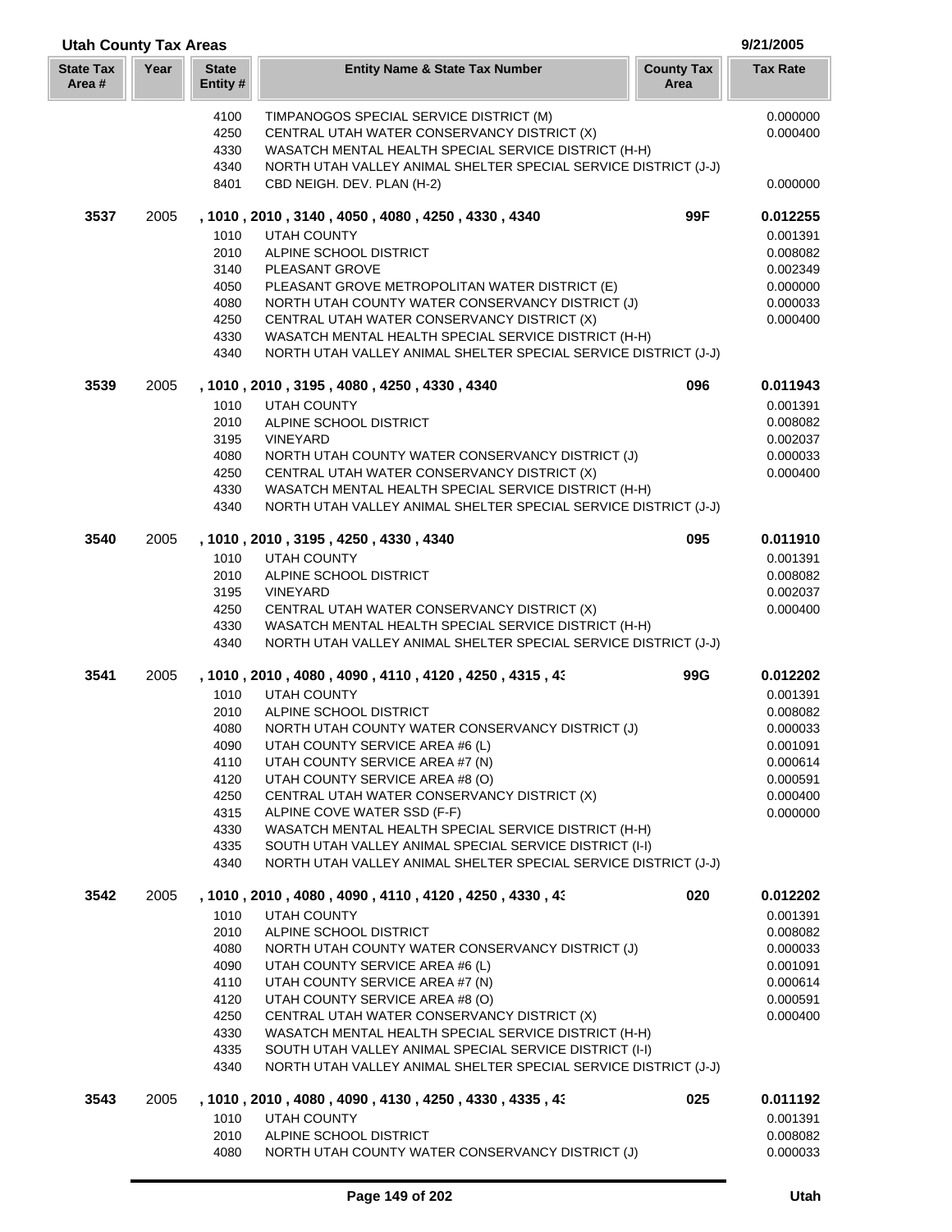| <b>Utah County Tax Areas</b> |      |                          |                                                                                                                 |                           | 9/21/2005            |
|------------------------------|------|--------------------------|-----------------------------------------------------------------------------------------------------------------|---------------------------|----------------------|
| <b>State Tax</b><br>Area #   | Year | <b>State</b><br>Entity # | <b>Entity Name &amp; State Tax Number</b>                                                                       | <b>County Tax</b><br>Area | <b>Tax Rate</b>      |
|                              |      | 4100                     | TIMPANOGOS SPECIAL SERVICE DISTRICT (M)                                                                         |                           | 0.000000             |
|                              |      | 4250                     | CENTRAL UTAH WATER CONSERVANCY DISTRICT (X)                                                                     |                           | 0.000400             |
|                              |      | 4330                     | WASATCH MENTAL HEALTH SPECIAL SERVICE DISTRICT (H-H)                                                            |                           |                      |
|                              |      | 4340<br>8401             | NORTH UTAH VALLEY ANIMAL SHELTER SPECIAL SERVICE DISTRICT (J-J)<br>CBD NEIGH. DEV. PLAN (H-2)                   |                           | 0.000000             |
|                              |      |                          |                                                                                                                 |                           |                      |
| 3537                         | 2005 |                          | , 1010, 2010, 3140, 4050, 4080, 4250, 4330, 4340                                                                | 99F                       | 0.012255             |
|                              |      | 1010                     | <b>UTAH COUNTY</b>                                                                                              |                           | 0.001391             |
|                              |      | 2010                     | ALPINE SCHOOL DISTRICT                                                                                          |                           | 0.008082             |
|                              |      | 3140<br>4050             | PLEASANT GROVE<br>PLEASANT GROVE METROPOLITAN WATER DISTRICT (E)                                                |                           | 0.002349<br>0.000000 |
|                              |      | 4080                     | NORTH UTAH COUNTY WATER CONSERVANCY DISTRICT (J)                                                                |                           | 0.000033             |
|                              |      | 4250                     | CENTRAL UTAH WATER CONSERVANCY DISTRICT (X)                                                                     |                           | 0.000400             |
|                              |      | 4330                     | WASATCH MENTAL HEALTH SPECIAL SERVICE DISTRICT (H-H)                                                            |                           |                      |
|                              |      | 4340                     | NORTH UTAH VALLEY ANIMAL SHELTER SPECIAL SERVICE DISTRICT (J-J)                                                 |                           |                      |
| 3539                         | 2005 |                          | , 1010, 2010, 3195, 4080, 4250, 4330, 4340                                                                      | 096                       | 0.011943             |
|                              |      | 1010                     | <b>UTAH COUNTY</b>                                                                                              |                           | 0.001391             |
|                              |      | 2010                     | ALPINE SCHOOL DISTRICT                                                                                          |                           | 0.008082             |
|                              |      | 3195                     | <b>VINEYARD</b>                                                                                                 |                           | 0.002037             |
|                              |      | 4080<br>4250             | NORTH UTAH COUNTY WATER CONSERVANCY DISTRICT (J)<br>CENTRAL UTAH WATER CONSERVANCY DISTRICT (X)                 |                           | 0.000033<br>0.000400 |
|                              |      | 4330                     | WASATCH MENTAL HEALTH SPECIAL SERVICE DISTRICT (H-H)                                                            |                           |                      |
|                              |      | 4340                     | NORTH UTAH VALLEY ANIMAL SHELTER SPECIAL SERVICE DISTRICT (J-J)                                                 |                           |                      |
| 3540                         | 2005 |                          | , 1010, 2010, 3195, 4250, 4330, 4340                                                                            | 095                       | 0.011910             |
|                              |      | 1010                     | <b>UTAH COUNTY</b>                                                                                              |                           | 0.001391             |
|                              |      | 2010                     | ALPINE SCHOOL DISTRICT                                                                                          |                           | 0.008082             |
|                              |      | 3195                     | <b>VINEYARD</b>                                                                                                 |                           | 0.002037             |
|                              |      | 4250                     | CENTRAL UTAH WATER CONSERVANCY DISTRICT (X)                                                                     |                           | 0.000400             |
|                              |      | 4330                     | WASATCH MENTAL HEALTH SPECIAL SERVICE DISTRICT (H-H)                                                            |                           |                      |
|                              |      | 4340                     | NORTH UTAH VALLEY ANIMAL SHELTER SPECIAL SERVICE DISTRICT (J-J)                                                 |                           |                      |
| 3541                         | 2005 |                          | , 1010, 2010, 4080, 4090, 4110, 4120, 4250, 4315, 43                                                            | 99G                       | 0.012202             |
|                              |      | 1010                     | <b>UTAH COUNTY</b>                                                                                              |                           | 0.001391             |
|                              |      | 2010<br>4080             | ALPINE SCHOOL DISTRICT<br>NORTH UTAH COUNTY WATER CONSERVANCY DISTRICT (J)                                      |                           | 0.008082<br>0.000033 |
|                              |      | 4090                     | UTAH COUNTY SERVICE AREA #6 (L)                                                                                 |                           | 0.001091             |
|                              |      | 4110                     | UTAH COUNTY SERVICE AREA #7 (N)                                                                                 |                           | 0.000614             |
|                              |      | 4120                     | UTAH COUNTY SERVICE AREA #8 (O)                                                                                 |                           | 0.000591             |
|                              |      | 4250                     | CENTRAL UTAH WATER CONSERVANCY DISTRICT (X)                                                                     |                           | 0.000400             |
|                              |      | 4315                     | ALPINE COVE WATER SSD (F-F)                                                                                     |                           | 0.000000             |
|                              |      | 4330<br>4335             | WASATCH MENTAL HEALTH SPECIAL SERVICE DISTRICT (H-H)<br>SOUTH UTAH VALLEY ANIMAL SPECIAL SERVICE DISTRICT (I-I) |                           |                      |
|                              |      | 4340                     | NORTH UTAH VALLEY ANIMAL SHELTER SPECIAL SERVICE DISTRICT (J-J)                                                 |                           |                      |
| 3542                         | 2005 |                          | , 1010, 2010, 4080, 4090, 4110, 4120, 4250, 4330, 43                                                            | 020                       | 0.012202             |
|                              |      | 1010                     | <b>UTAH COUNTY</b>                                                                                              |                           | 0.001391             |
|                              |      | 2010                     | ALPINE SCHOOL DISTRICT                                                                                          |                           | 0.008082             |
|                              |      | 4080                     | NORTH UTAH COUNTY WATER CONSERVANCY DISTRICT (J)                                                                |                           | 0.000033             |
|                              |      | 4090                     | UTAH COUNTY SERVICE AREA #6 (L)                                                                                 |                           | 0.001091             |
|                              |      | 4110                     | UTAH COUNTY SERVICE AREA #7 (N)                                                                                 |                           | 0.000614             |
|                              |      | 4120<br>4250             | UTAH COUNTY SERVICE AREA #8 (O)<br>CENTRAL UTAH WATER CONSERVANCY DISTRICT (X)                                  |                           | 0.000591<br>0.000400 |
|                              |      | 4330                     | WASATCH MENTAL HEALTH SPECIAL SERVICE DISTRICT (H-H)                                                            |                           |                      |
|                              |      | 4335                     | SOUTH UTAH VALLEY ANIMAL SPECIAL SERVICE DISTRICT (I-I)                                                         |                           |                      |
|                              |      | 4340                     | NORTH UTAH VALLEY ANIMAL SHELTER SPECIAL SERVICE DISTRICT (J-J)                                                 |                           |                      |
| 3543                         | 2005 |                          | , 1010, 2010, 4080, 4090, 4130, 4250, 4330, 4335, 43                                                            | 025                       | 0.011192             |
|                              |      | 1010                     | UTAH COUNTY                                                                                                     |                           | 0.001391             |
|                              |      | 2010                     | ALPINE SCHOOL DISTRICT                                                                                          |                           | 0.008082             |
|                              |      | 4080                     | NORTH UTAH COUNTY WATER CONSERVANCY DISTRICT (J)                                                                |                           | 0.000033             |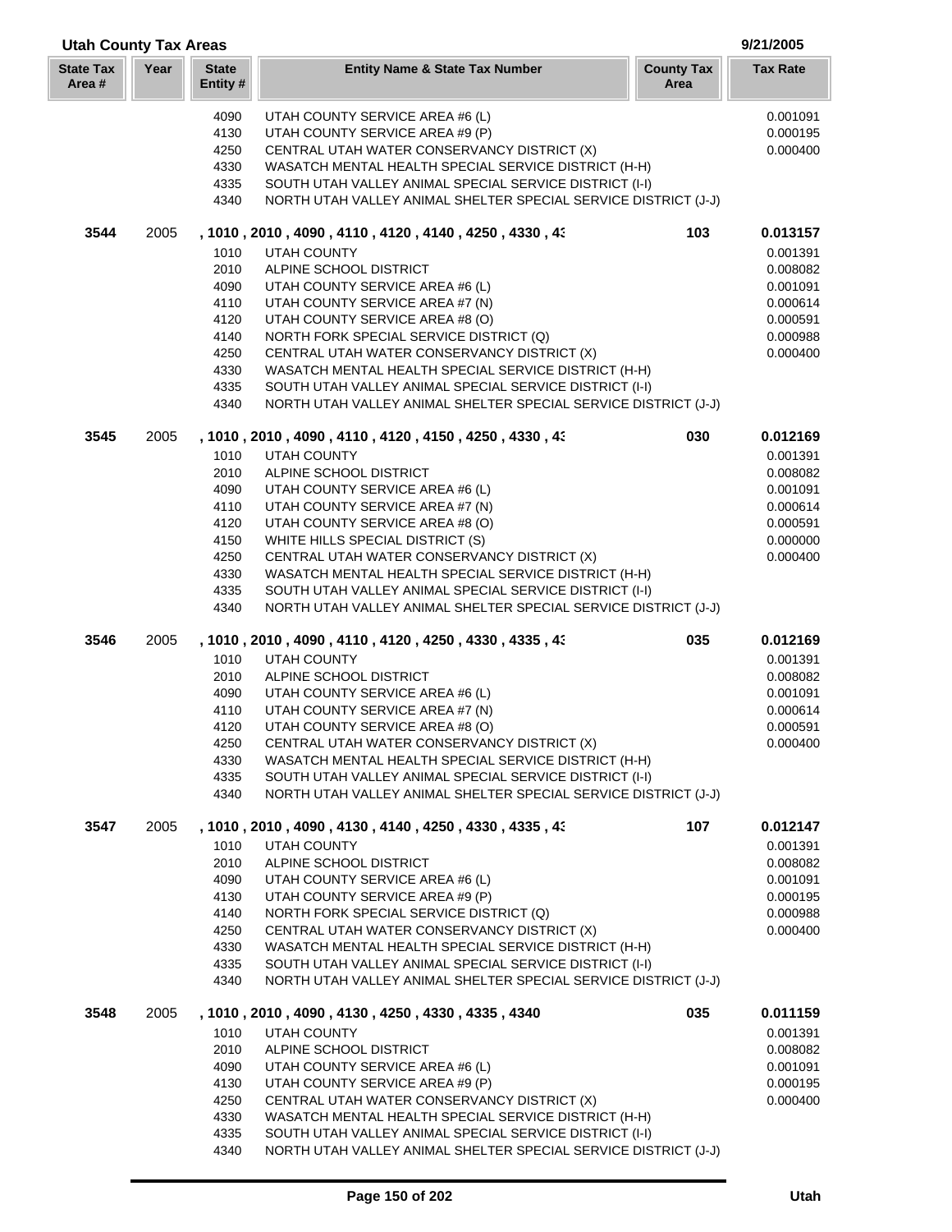| <b>Utah County Tax Areas</b> |      |                          |                                                                                                                            |                           | 9/21/2005       |  |
|------------------------------|------|--------------------------|----------------------------------------------------------------------------------------------------------------------------|---------------------------|-----------------|--|
| <b>State Tax</b><br>Area#    | Year | <b>State</b><br>Entity # | <b>Entity Name &amp; State Tax Number</b>                                                                                  | <b>County Tax</b><br>Area | <b>Tax Rate</b> |  |
|                              |      | 4090                     | UTAH COUNTY SERVICE AREA #6 (L)                                                                                            |                           | 0.001091        |  |
|                              |      | 4130                     | UTAH COUNTY SERVICE AREA #9 (P)                                                                                            |                           | 0.000195        |  |
|                              |      | 4250                     | CENTRAL UTAH WATER CONSERVANCY DISTRICT (X)                                                                                |                           | 0.000400        |  |
|                              |      | 4330                     | WASATCH MENTAL HEALTH SPECIAL SERVICE DISTRICT (H-H)                                                                       |                           |                 |  |
|                              |      | 4335                     | SOUTH UTAH VALLEY ANIMAL SPECIAL SERVICE DISTRICT (I-I)                                                                    |                           |                 |  |
|                              |      | 4340                     | NORTH UTAH VALLEY ANIMAL SHELTER SPECIAL SERVICE DISTRICT (J-J)                                                            |                           |                 |  |
| 3544                         | 2005 |                          | , 1010, 2010, 4090, 4110, 4120, 4140, 4250, 4330, 43                                                                       | 103                       | 0.013157        |  |
|                              |      | 1010                     | <b>UTAH COUNTY</b>                                                                                                         |                           | 0.001391        |  |
|                              |      | 2010                     | ALPINE SCHOOL DISTRICT                                                                                                     |                           | 0.008082        |  |
|                              |      | 4090                     | UTAH COUNTY SERVICE AREA #6 (L)                                                                                            |                           | 0.001091        |  |
|                              |      | 4110                     | UTAH COUNTY SERVICE AREA #7 (N)                                                                                            |                           | 0.000614        |  |
|                              |      | 4120                     | UTAH COUNTY SERVICE AREA #8 (O)                                                                                            |                           | 0.000591        |  |
|                              |      | 4140                     | NORTH FORK SPECIAL SERVICE DISTRICT (Q)                                                                                    |                           | 0.000988        |  |
|                              |      | 4250                     | CENTRAL UTAH WATER CONSERVANCY DISTRICT (X)                                                                                |                           | 0.000400        |  |
|                              |      | 4330                     | WASATCH MENTAL HEALTH SPECIAL SERVICE DISTRICT (H-H)                                                                       |                           |                 |  |
|                              |      | 4335                     | SOUTH UTAH VALLEY ANIMAL SPECIAL SERVICE DISTRICT (I-I)                                                                    |                           |                 |  |
|                              |      | 4340                     | NORTH UTAH VALLEY ANIMAL SHELTER SPECIAL SERVICE DISTRICT (J-J)                                                            |                           |                 |  |
| 3545                         | 2005 |                          | , 1010, 2010, 4090, 4110, 4120, 4150, 4250, 4330, 43                                                                       | 030                       | 0.012169        |  |
|                              |      | 1010                     | <b>UTAH COUNTY</b>                                                                                                         |                           | 0.001391        |  |
|                              |      | 2010                     | ALPINE SCHOOL DISTRICT                                                                                                     |                           | 0.008082        |  |
|                              |      | 4090                     | UTAH COUNTY SERVICE AREA #6 (L)                                                                                            |                           | 0.001091        |  |
|                              |      | 4110                     | UTAH COUNTY SERVICE AREA #7 (N)                                                                                            |                           | 0.000614        |  |
|                              |      | 4120                     | UTAH COUNTY SERVICE AREA #8 (O)                                                                                            |                           | 0.000591        |  |
|                              |      | 4150                     | WHITE HILLS SPECIAL DISTRICT (S)                                                                                           |                           | 0.000000        |  |
|                              |      | 4250                     | CENTRAL UTAH WATER CONSERVANCY DISTRICT (X)                                                                                |                           | 0.000400        |  |
|                              |      | 4330                     | WASATCH MENTAL HEALTH SPECIAL SERVICE DISTRICT (H-H)                                                                       |                           |                 |  |
|                              |      | 4335<br>4340             | SOUTH UTAH VALLEY ANIMAL SPECIAL SERVICE DISTRICT (I-I)<br>NORTH UTAH VALLEY ANIMAL SHELTER SPECIAL SERVICE DISTRICT (J-J) |                           |                 |  |
| 3546                         | 2005 |                          | , 1010, 2010, 4090, 4110, 4120, 4250, 4330, 4335, 43                                                                       | 035                       | 0.012169        |  |
|                              |      | 1010                     | <b>UTAH COUNTY</b>                                                                                                         |                           | 0.001391        |  |
|                              |      | 2010                     | ALPINE SCHOOL DISTRICT                                                                                                     |                           | 0.008082        |  |
|                              |      | 4090                     | UTAH COUNTY SERVICE AREA #6 (L)                                                                                            |                           | 0.001091        |  |
|                              |      | 4110                     | UTAH COUNTY SERVICE AREA #7 (N)                                                                                            |                           | 0.000614        |  |
|                              |      | 4120                     | UTAH COUNTY SERVICE AREA #8 (O)                                                                                            |                           | 0.000591        |  |
|                              |      | 4250                     | CENTRAL UTAH WATER CONSERVANCY DISTRICT (X)                                                                                |                           | 0.000400        |  |
|                              |      | 4330                     | WASATCH MENTAL HEALTH SPECIAL SERVICE DISTRICT (H-H)                                                                       |                           |                 |  |
|                              |      | 4335                     | SOUTH UTAH VALLEY ANIMAL SPECIAL SERVICE DISTRICT (I-I)                                                                    |                           |                 |  |
|                              |      | 4340                     | NORTH UTAH VALLEY ANIMAL SHELTER SPECIAL SERVICE DISTRICT (J-J)                                                            |                           |                 |  |
| 3547                         | 2005 |                          | , 1010 , 2010 , 4090 , 4130 , 4140 , 4250 , 4330 , 4335 , 43                                                               | 107                       | 0.012147        |  |
|                              |      | 1010                     | <b>UTAH COUNTY</b>                                                                                                         |                           | 0.001391        |  |
|                              |      | 2010                     | ALPINE SCHOOL DISTRICT                                                                                                     |                           | 0.008082        |  |
|                              |      | 4090                     | UTAH COUNTY SERVICE AREA #6 (L)                                                                                            |                           | 0.001091        |  |
|                              |      | 4130                     | UTAH COUNTY SERVICE AREA #9 (P)                                                                                            |                           | 0.000195        |  |
|                              |      | 4140                     | NORTH FORK SPECIAL SERVICE DISTRICT (Q)                                                                                    |                           | 0.000988        |  |
|                              |      | 4250                     | CENTRAL UTAH WATER CONSERVANCY DISTRICT (X)                                                                                |                           | 0.000400        |  |
|                              |      | 4330                     | WASATCH MENTAL HEALTH SPECIAL SERVICE DISTRICT (H-H)                                                                       |                           |                 |  |
|                              |      | 4335<br>4340             | SOUTH UTAH VALLEY ANIMAL SPECIAL SERVICE DISTRICT (I-I)<br>NORTH UTAH VALLEY ANIMAL SHELTER SPECIAL SERVICE DISTRICT (J-J) |                           |                 |  |
|                              |      |                          |                                                                                                                            |                           |                 |  |
| 3548                         | 2005 |                          | , 1010, 2010, 4090, 4130, 4250, 4330, 4335, 4340                                                                           | 035                       | 0.011159        |  |
|                              |      | 1010                     | <b>UTAH COUNTY</b>                                                                                                         |                           | 0.001391        |  |
|                              |      | 2010                     | ALPINE SCHOOL DISTRICT                                                                                                     |                           | 0.008082        |  |
|                              |      | 4090                     | UTAH COUNTY SERVICE AREA #6 (L)                                                                                            |                           | 0.001091        |  |
|                              |      | 4130                     | UTAH COUNTY SERVICE AREA #9 (P)                                                                                            |                           | 0.000195        |  |
|                              |      | 4250                     | CENTRAL UTAH WATER CONSERVANCY DISTRICT (X)                                                                                |                           | 0.000400        |  |
|                              |      | 4330                     | WASATCH MENTAL HEALTH SPECIAL SERVICE DISTRICT (H-H)                                                                       |                           |                 |  |
|                              |      | 4335<br>4340             | SOUTH UTAH VALLEY ANIMAL SPECIAL SERVICE DISTRICT (I-I)<br>NORTH UTAH VALLEY ANIMAL SHELTER SPECIAL SERVICE DISTRICT (J-J) |                           |                 |  |
|                              |      |                          |                                                                                                                            |                           |                 |  |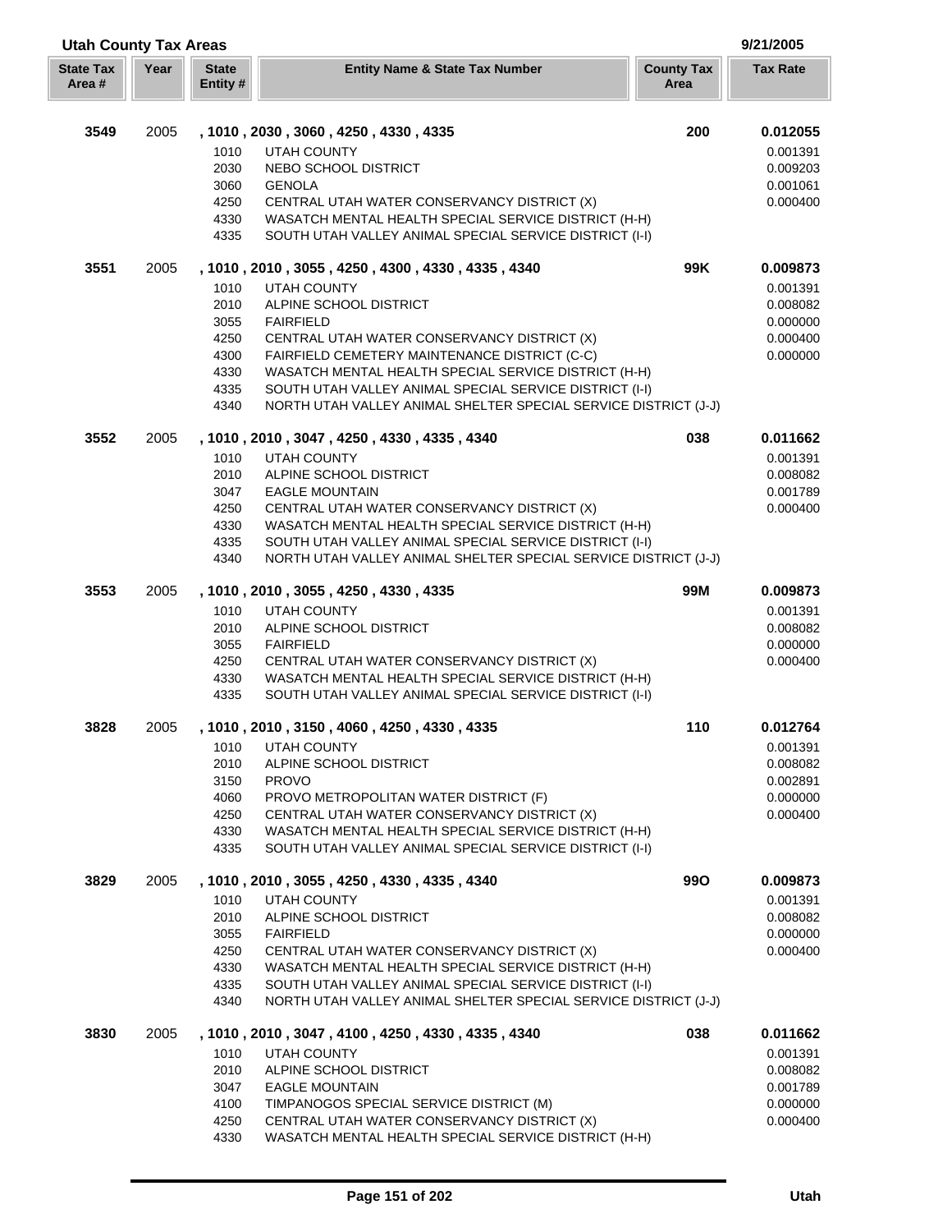| <b>Utah County Tax Areas</b> |      |                          |                                                                                                                 |                           | 9/21/2005       |
|------------------------------|------|--------------------------|-----------------------------------------------------------------------------------------------------------------|---------------------------|-----------------|
| <b>State Tax</b><br>Area#    | Year | <b>State</b><br>Entity # | <b>Entity Name &amp; State Tax Number</b>                                                                       | <b>County Tax</b><br>Area | <b>Tax Rate</b> |
| 3549                         | 2005 |                          | , 1010, 2030, 3060, 4250, 4330, 4335                                                                            | 200                       | 0.012055        |
|                              |      | 1010                     | <b>UTAH COUNTY</b>                                                                                              |                           | 0.001391        |
|                              |      | 2030                     | NEBO SCHOOL DISTRICT                                                                                            |                           | 0.009203        |
|                              |      | 3060                     | <b>GENOLA</b>                                                                                                   |                           | 0.001061        |
|                              |      | 4250                     | CENTRAL UTAH WATER CONSERVANCY DISTRICT (X)                                                                     |                           | 0.000400        |
|                              |      | 4330                     | WASATCH MENTAL HEALTH SPECIAL SERVICE DISTRICT (H-H)                                                            |                           |                 |
|                              |      | 4335                     | SOUTH UTAH VALLEY ANIMAL SPECIAL SERVICE DISTRICT (I-I)                                                         |                           |                 |
| 3551                         | 2005 |                          | , 1010, 2010, 3055, 4250, 4300, 4330, 4335, 4340                                                                | 99K                       | 0.009873        |
|                              |      | 1010                     | <b>UTAH COUNTY</b>                                                                                              |                           | 0.001391        |
|                              |      | 2010                     | ALPINE SCHOOL DISTRICT                                                                                          |                           | 0.008082        |
|                              |      | 3055                     | <b>FAIRFIELD</b>                                                                                                |                           | 0.000000        |
|                              |      | 4250                     | CENTRAL UTAH WATER CONSERVANCY DISTRICT (X)                                                                     |                           | 0.000400        |
|                              |      | 4300                     | FAIRFIELD CEMETERY MAINTENANCE DISTRICT (C-C)                                                                   |                           | 0.000000        |
|                              |      | 4330                     | WASATCH MENTAL HEALTH SPECIAL SERVICE DISTRICT (H-H)                                                            |                           |                 |
|                              |      | 4335                     | SOUTH UTAH VALLEY ANIMAL SPECIAL SERVICE DISTRICT (I-I)                                                         |                           |                 |
|                              |      | 4340                     | NORTH UTAH VALLEY ANIMAL SHELTER SPECIAL SERVICE DISTRICT (J-J)                                                 |                           |                 |
| 3552                         | 2005 |                          | , 1010, 2010, 3047, 4250, 4330, 4335, 4340                                                                      | 038                       | 0.011662        |
|                              |      | 1010                     | <b>UTAH COUNTY</b>                                                                                              |                           | 0.001391        |
|                              |      | 2010                     | ALPINE SCHOOL DISTRICT                                                                                          |                           | 0.008082        |
|                              |      | 3047                     | <b>EAGLE MOUNTAIN</b>                                                                                           |                           | 0.001789        |
|                              |      | 4250<br>4330             | CENTRAL UTAH WATER CONSERVANCY DISTRICT (X)<br>WASATCH MENTAL HEALTH SPECIAL SERVICE DISTRICT (H-H)             |                           | 0.000400        |
|                              |      | 4335                     | SOUTH UTAH VALLEY ANIMAL SPECIAL SERVICE DISTRICT (I-I)                                                         |                           |                 |
|                              |      | 4340                     | NORTH UTAH VALLEY ANIMAL SHELTER SPECIAL SERVICE DISTRICT (J-J)                                                 |                           |                 |
| 3553                         | 2005 |                          | , 1010, 2010, 3055, 4250, 4330, 4335                                                                            | 99M                       | 0.009873        |
|                              |      | 1010                     | <b>UTAH COUNTY</b>                                                                                              |                           | 0.001391        |
|                              |      | 2010                     | ALPINE SCHOOL DISTRICT                                                                                          |                           | 0.008082        |
|                              |      | 3055                     | <b>FAIRFIELD</b>                                                                                                |                           | 0.000000        |
|                              |      | 4250                     | CENTRAL UTAH WATER CONSERVANCY DISTRICT (X)                                                                     |                           | 0.000400        |
|                              |      | 4330                     | WASATCH MENTAL HEALTH SPECIAL SERVICE DISTRICT (H-H)                                                            |                           |                 |
|                              |      | 4335                     | SOUTH UTAH VALLEY ANIMAL SPECIAL SERVICE DISTRICT (I-I)                                                         |                           |                 |
| 3828                         | 2005 |                          | , 1010, 2010, 3150, 4060, 4250, 4330, 4335                                                                      | 110                       | 0.012764        |
|                              |      | 1010                     | <b>UTAH COUNTY</b>                                                                                              |                           | 0.001391        |
|                              |      | 2010                     | ALPINE SCHOOL DISTRICT                                                                                          |                           | 0.008082        |
|                              |      | 3150                     | <b>PROVO</b>                                                                                                    |                           | 0.002891        |
|                              |      | 4060                     | PROVO METROPOLITAN WATER DISTRICT (F)                                                                           |                           | 0.000000        |
|                              |      | 4250                     | CENTRAL UTAH WATER CONSERVANCY DISTRICT (X)                                                                     |                           | 0.000400        |
|                              |      | 4330<br>4335             | WASATCH MENTAL HEALTH SPECIAL SERVICE DISTRICT (H-H)<br>SOUTH UTAH VALLEY ANIMAL SPECIAL SERVICE DISTRICT (I-I) |                           |                 |
| 3829                         | 2005 |                          | , 1010, 2010, 3055, 4250, 4330, 4335, 4340                                                                      | <b>990</b>                | 0.009873        |
|                              |      | 1010                     | UTAH COUNTY                                                                                                     |                           | 0.001391        |
|                              |      | 2010                     | ALPINE SCHOOL DISTRICT                                                                                          |                           | 0.008082        |
|                              |      | 3055                     | <b>FAIRFIELD</b>                                                                                                |                           | 0.000000        |
|                              |      | 4250                     | CENTRAL UTAH WATER CONSERVANCY DISTRICT (X)                                                                     |                           | 0.000400        |
|                              |      | 4330                     | WASATCH MENTAL HEALTH SPECIAL SERVICE DISTRICT (H-H)                                                            |                           |                 |
|                              |      | 4335                     | SOUTH UTAH VALLEY ANIMAL SPECIAL SERVICE DISTRICT (I-I)                                                         |                           |                 |
|                              |      | 4340                     | NORTH UTAH VALLEY ANIMAL SHELTER SPECIAL SERVICE DISTRICT (J-J)                                                 |                           |                 |
| 3830                         | 2005 |                          | , 1010, 2010, 3047, 4100, 4250, 4330, 4335, 4340                                                                | 038                       | 0.011662        |
|                              |      | 1010                     | UTAH COUNTY                                                                                                     |                           | 0.001391        |
|                              |      | 2010                     | ALPINE SCHOOL DISTRICT                                                                                          |                           | 0.008082        |
|                              |      | 3047                     | <b>EAGLE MOUNTAIN</b>                                                                                           |                           | 0.001789        |
|                              |      | 4100                     | TIMPANOGOS SPECIAL SERVICE DISTRICT (M)                                                                         |                           | 0.000000        |
|                              |      | 4250                     | CENTRAL UTAH WATER CONSERVANCY DISTRICT (X)                                                                     |                           | 0.000400        |
|                              |      | 4330                     | WASATCH MENTAL HEALTH SPECIAL SERVICE DISTRICT (H-H)                                                            |                           |                 |

Г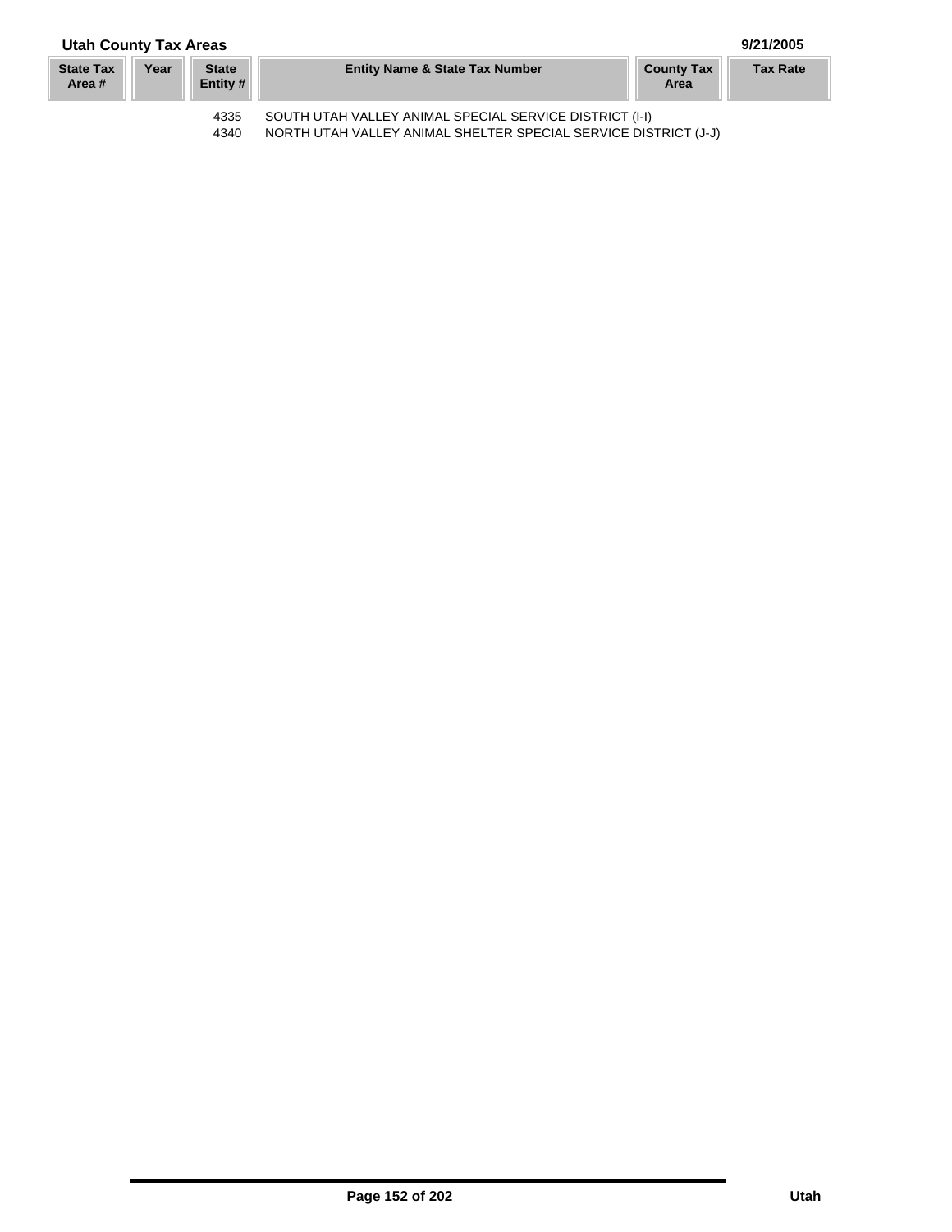## **Utah County Tax Areas 9/21/2005**

| <b>State Tax</b><br>Area # | Year | <b>State</b><br>Entity # | <b>Entity Name &amp; State Tax Number</b>               | <b>County Tax</b><br>Area | <b>Tax Rate</b> |
|----------------------------|------|--------------------------|---------------------------------------------------------|---------------------------|-----------------|
|                            |      | 4335                     | SOUTH UTAH VALLEY ANIMAL SPECIAL SERVICE DISTRICT (I-I) |                           |                 |

4340 NORTH UTAH VALLEY ANIMAL SHELTER SPECIAL SERVICE DISTRICT (J-J)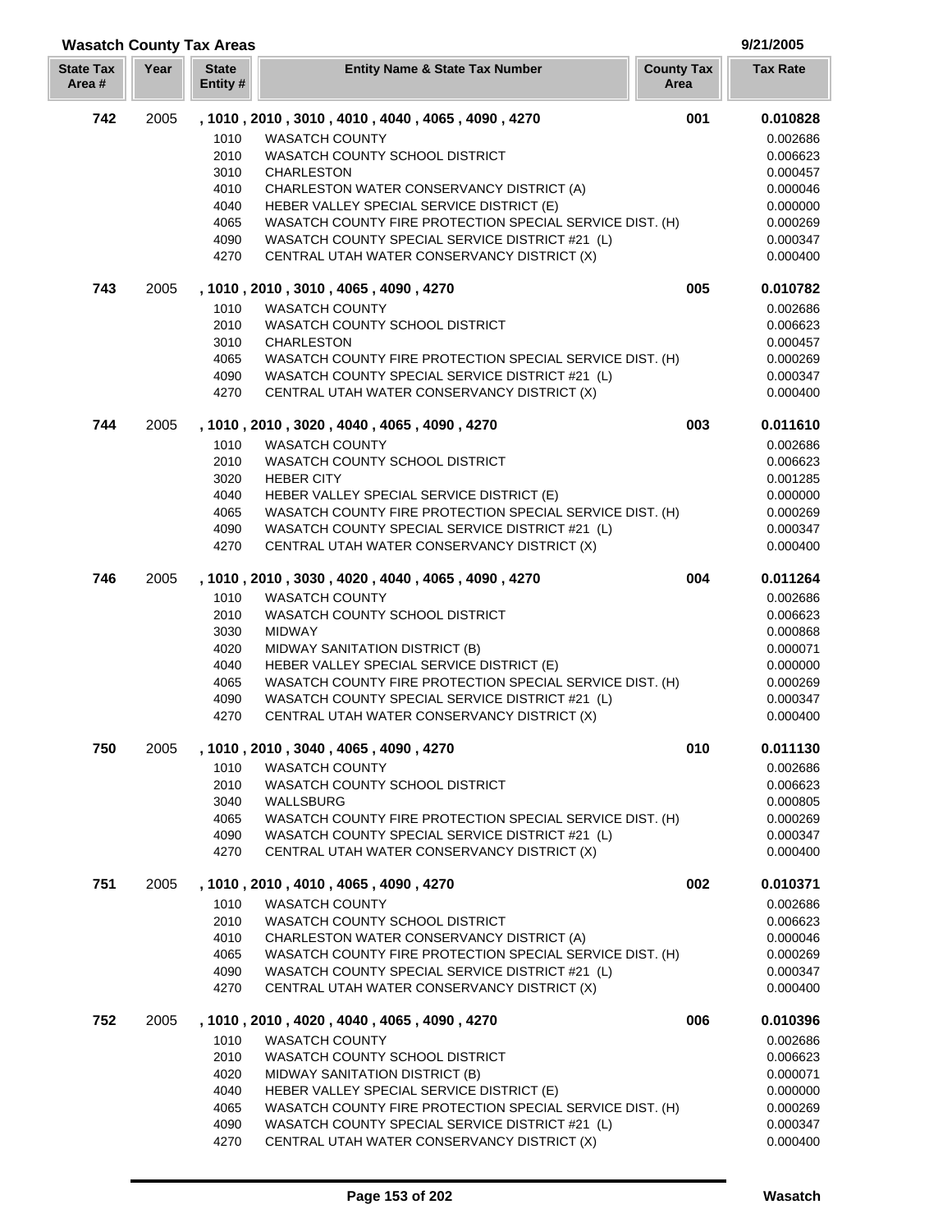| <b>Wasatch County Tax Areas</b> |      |                          |                                                                                                             |                           | 9/21/2005            |
|---------------------------------|------|--------------------------|-------------------------------------------------------------------------------------------------------------|---------------------------|----------------------|
| <b>State Tax</b><br>Area#       | Year | <b>State</b><br>Entity # | <b>Entity Name &amp; State Tax Number</b>                                                                   | <b>County Tax</b><br>Area | <b>Tax Rate</b>      |
| 742                             | 2005 |                          | , 1010, 2010, 3010, 4010, 4040, 4065, 4090, 4270                                                            | 001                       | 0.010828             |
|                                 |      | 1010                     | <b>WASATCH COUNTY</b>                                                                                       |                           | 0.002686             |
|                                 |      | 2010                     | WASATCH COUNTY SCHOOL DISTRICT                                                                              |                           | 0.006623             |
|                                 |      | 3010                     | <b>CHARLESTON</b>                                                                                           |                           | 0.000457             |
|                                 |      | 4010                     | CHARLESTON WATER CONSERVANCY DISTRICT (A)                                                                   |                           | 0.000046             |
|                                 |      | 4040                     | HEBER VALLEY SPECIAL SERVICE DISTRICT (E)                                                                   |                           | 0.000000             |
|                                 |      | 4065                     | WASATCH COUNTY FIRE PROTECTION SPECIAL SERVICE DIST. (H)                                                    |                           | 0.000269             |
|                                 |      | 4090                     | WASATCH COUNTY SPECIAL SERVICE DISTRICT #21 (L)                                                             |                           | 0.000347             |
|                                 |      | 4270                     | CENTRAL UTAH WATER CONSERVANCY DISTRICT (X)                                                                 |                           | 0.000400             |
| 743                             | 2005 |                          | , 1010, 2010, 3010, 4065, 4090, 4270                                                                        | 005                       | 0.010782             |
|                                 |      | 1010                     | <b>WASATCH COUNTY</b>                                                                                       |                           | 0.002686             |
|                                 |      | 2010                     | WASATCH COUNTY SCHOOL DISTRICT                                                                              |                           | 0.006623             |
|                                 |      | 3010                     | <b>CHARLESTON</b>                                                                                           |                           | 0.000457             |
|                                 |      | 4065                     | WASATCH COUNTY FIRE PROTECTION SPECIAL SERVICE DIST. (H)                                                    |                           | 0.000269             |
|                                 |      | 4090                     | WASATCH COUNTY SPECIAL SERVICE DISTRICT #21 (L)                                                             |                           | 0.000347             |
|                                 |      | 4270                     | CENTRAL UTAH WATER CONSERVANCY DISTRICT (X)                                                                 |                           | 0.000400             |
| 744                             | 2005 |                          | , 1010, 2010, 3020, 4040, 4065, 4090, 4270                                                                  | 003                       | 0.011610             |
|                                 |      | 1010                     | <b>WASATCH COUNTY</b>                                                                                       |                           | 0.002686             |
|                                 |      | 2010                     | WASATCH COUNTY SCHOOL DISTRICT                                                                              |                           | 0.006623             |
|                                 |      | 3020                     | <b>HEBER CITY</b>                                                                                           |                           | 0.001285             |
|                                 |      | 4040                     | HEBER VALLEY SPECIAL SERVICE DISTRICT (E)                                                                   |                           | 0.000000             |
|                                 |      | 4065<br>4090             | WASATCH COUNTY FIRE PROTECTION SPECIAL SERVICE DIST. (H)<br>WASATCH COUNTY SPECIAL SERVICE DISTRICT #21 (L) |                           | 0.000269<br>0.000347 |
|                                 |      | 4270                     | CENTRAL UTAH WATER CONSERVANCY DISTRICT (X)                                                                 |                           | 0.000400             |
| 746                             | 2005 |                          | , 1010, 2010, 3030, 4020, 4040, 4065, 4090, 4270                                                            | 004                       | 0.011264             |
|                                 |      | 1010                     | <b>WASATCH COUNTY</b>                                                                                       |                           | 0.002686             |
|                                 |      | 2010                     | WASATCH COUNTY SCHOOL DISTRICT                                                                              |                           | 0.006623             |
|                                 |      | 3030                     | <b>MIDWAY</b>                                                                                               |                           | 0.000868             |
|                                 |      | 4020                     | MIDWAY SANITATION DISTRICT (B)                                                                              |                           | 0.000071             |
|                                 |      | 4040                     | HEBER VALLEY SPECIAL SERVICE DISTRICT (E)                                                                   |                           | 0.000000             |
|                                 |      | 4065                     | WASATCH COUNTY FIRE PROTECTION SPECIAL SERVICE DIST. (H)                                                    |                           | 0.000269             |
|                                 |      | 4090                     | WASATCH COUNTY SPECIAL SERVICE DISTRICT #21 (L)                                                             |                           | 0.000347             |
|                                 |      | 4270                     | CENTRAL UTAH WATER CONSERVANCY DISTRICT (X)                                                                 |                           | 0.000400             |
| 750                             | 2005 |                          | , 1010, 2010, 3040, 4065, 4090, 4270                                                                        | 010                       | 0.011130             |
|                                 |      | 1010                     | <b>WASATCH COUNTY</b>                                                                                       |                           | 0.002686             |
|                                 |      | 2010                     | WASATCH COUNTY SCHOOL DISTRICT                                                                              |                           | 0.006623             |
|                                 |      | 3040                     | WALLSBURG                                                                                                   |                           | 0.000805             |
|                                 |      | 4065                     | WASATCH COUNTY FIRE PROTECTION SPECIAL SERVICE DIST. (H)                                                    |                           | 0.000269             |
|                                 |      | 4090                     | WASATCH COUNTY SPECIAL SERVICE DISTRICT #21 (L)                                                             |                           | 0.000347             |
|                                 |      | 4270                     | CENTRAL UTAH WATER CONSERVANCY DISTRICT (X)                                                                 |                           | 0.000400             |
| 751                             | 2005 |                          | , 1010, 2010, 4010, 4065, 4090, 4270                                                                        | 002                       | 0.010371             |
|                                 |      | 1010                     | <b>WASATCH COUNTY</b>                                                                                       |                           | 0.002686             |
|                                 |      | 2010                     | WASATCH COUNTY SCHOOL DISTRICT                                                                              |                           | 0.006623             |
|                                 |      | 4010                     | CHARLESTON WATER CONSERVANCY DISTRICT (A)                                                                   |                           | 0.000046             |
|                                 |      | 4065                     | WASATCH COUNTY FIRE PROTECTION SPECIAL SERVICE DIST. (H)                                                    |                           | 0.000269             |
|                                 |      | 4090<br>4270             | WASATCH COUNTY SPECIAL SERVICE DISTRICT #21 (L)<br>CENTRAL UTAH WATER CONSERVANCY DISTRICT (X)              |                           | 0.000347<br>0.000400 |
| 752                             | 2005 |                          | , 1010, 2010, 4020, 4040, 4065, 4090, 4270                                                                  | 006                       | 0.010396             |
|                                 |      | 1010                     | <b>WASATCH COUNTY</b>                                                                                       |                           | 0.002686             |
|                                 |      | 2010                     | WASATCH COUNTY SCHOOL DISTRICT                                                                              |                           | 0.006623             |
|                                 |      | 4020                     | MIDWAY SANITATION DISTRICT (B)                                                                              |                           | 0.000071             |
|                                 |      | 4040                     | HEBER VALLEY SPECIAL SERVICE DISTRICT (E)                                                                   |                           | 0.000000             |
|                                 |      | 4065                     | WASATCH COUNTY FIRE PROTECTION SPECIAL SERVICE DIST. (H)                                                    |                           | 0.000269             |
|                                 |      | 4090                     | WASATCH COUNTY SPECIAL SERVICE DISTRICT #21 (L)                                                             |                           | 0.000347             |
|                                 |      | 4270                     | CENTRAL UTAH WATER CONSERVANCY DISTRICT (X)                                                                 |                           | 0.000400             |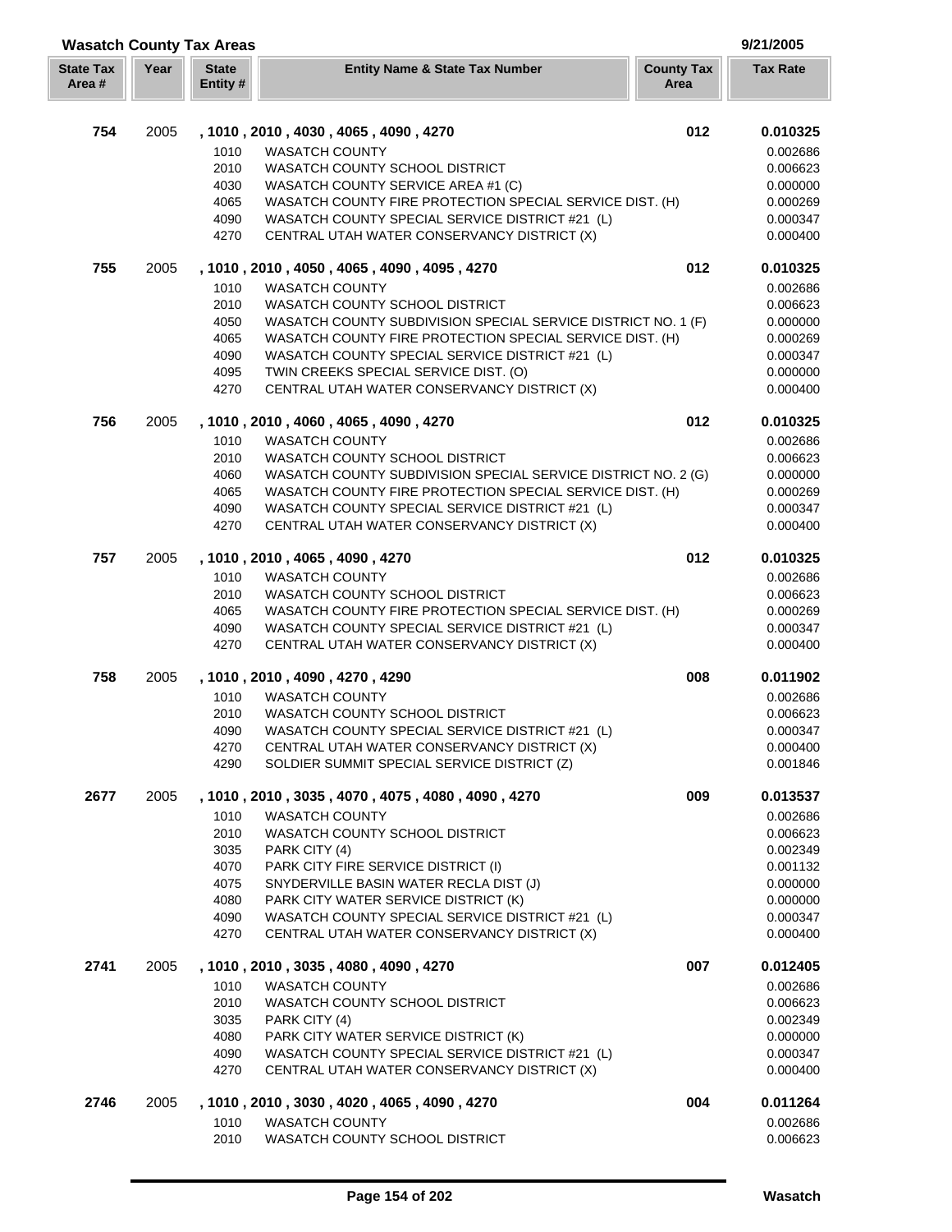|                           |      | <b>Wasatch County Tax Areas</b> |                                                                                                             |                           | 9/21/2005            |
|---------------------------|------|---------------------------------|-------------------------------------------------------------------------------------------------------------|---------------------------|----------------------|
| <b>State Tax</b><br>Area# | Year | <b>State</b><br>Entity #        | <b>Entity Name &amp; State Tax Number</b>                                                                   | <b>County Tax</b><br>Area | <b>Tax Rate</b>      |
| 754                       | 2005 |                                 | , 1010 , 2010 , 4030 , 4065 , 4090 , 4270                                                                   | 012                       | 0.010325             |
|                           |      | 1010                            | <b>WASATCH COUNTY</b>                                                                                       |                           | 0.002686             |
|                           |      | 2010                            | WASATCH COUNTY SCHOOL DISTRICT                                                                              |                           | 0.006623             |
|                           |      | 4030                            | WASATCH COUNTY SERVICE AREA #1 (C)                                                                          |                           | 0.000000             |
|                           |      | 4065                            | WASATCH COUNTY FIRE PROTECTION SPECIAL SERVICE DIST. (H)                                                    |                           | 0.000269             |
|                           |      | 4090                            | WASATCH COUNTY SPECIAL SERVICE DISTRICT #21 (L)                                                             |                           | 0.000347             |
|                           |      | 4270                            | CENTRAL UTAH WATER CONSERVANCY DISTRICT (X)                                                                 |                           | 0.000400             |
| 755                       | 2005 |                                 | , 1010, 2010, 4050, 4065, 4090, 4095, 4270                                                                  | 012                       | 0.010325             |
|                           |      | 1010                            | <b>WASATCH COUNTY</b>                                                                                       |                           | 0.002686             |
|                           |      | 2010                            | WASATCH COUNTY SCHOOL DISTRICT                                                                              |                           | 0.006623             |
|                           |      | 4050                            | WASATCH COUNTY SUBDIVISION SPECIAL SERVICE DISTRICT NO. 1 (F)                                               |                           | 0.000000             |
|                           |      | 4065<br>4090                    | WASATCH COUNTY FIRE PROTECTION SPECIAL SERVICE DIST. (H)<br>WASATCH COUNTY SPECIAL SERVICE DISTRICT #21 (L) |                           | 0.000269<br>0.000347 |
|                           |      | 4095                            | TWIN CREEKS SPECIAL SERVICE DIST. (O)                                                                       |                           | 0.000000             |
|                           |      | 4270                            | CENTRAL UTAH WATER CONSERVANCY DISTRICT (X)                                                                 |                           | 0.000400             |
| 756                       | 2005 |                                 | , 1010 , 2010 , 4060 , 4065 , 4090 , 4270                                                                   | 012                       | 0.010325             |
|                           |      | 1010                            | <b>WASATCH COUNTY</b>                                                                                       |                           | 0.002686             |
|                           |      | 2010                            | WASATCH COUNTY SCHOOL DISTRICT                                                                              |                           | 0.006623             |
|                           |      | 4060                            | WASATCH COUNTY SUBDIVISION SPECIAL SERVICE DISTRICT NO. 2 (G)                                               |                           | 0.000000             |
|                           |      | 4065                            | WASATCH COUNTY FIRE PROTECTION SPECIAL SERVICE DIST. (H)                                                    |                           | 0.000269             |
|                           |      | 4090                            | WASATCH COUNTY SPECIAL SERVICE DISTRICT #21 (L)                                                             |                           | 0.000347             |
|                           |      | 4270                            | CENTRAL UTAH WATER CONSERVANCY DISTRICT (X)                                                                 |                           | 0.000400             |
| 757                       | 2005 |                                 | , 1010, 2010, 4065, 4090, 4270                                                                              | 012                       | 0.010325             |
|                           |      | 1010                            | <b>WASATCH COUNTY</b>                                                                                       |                           | 0.002686             |
|                           |      | 2010                            | WASATCH COUNTY SCHOOL DISTRICT                                                                              |                           | 0.006623             |
|                           |      | 4065                            | WASATCH COUNTY FIRE PROTECTION SPECIAL SERVICE DIST. (H)                                                    |                           | 0.000269             |
|                           |      | 4090                            | WASATCH COUNTY SPECIAL SERVICE DISTRICT #21 (L)                                                             |                           | 0.000347             |
|                           |      | 4270                            | CENTRAL UTAH WATER CONSERVANCY DISTRICT (X)                                                                 |                           | 0.000400             |
| 758                       | 2005 |                                 | , 1010, 2010, 4090, 4270, 4290                                                                              | 008                       | 0.011902             |
|                           |      | 1010                            | <b>WASATCH COUNTY</b>                                                                                       |                           | 0.002686             |
|                           |      | 2010                            | WASATCH COUNTY SCHOOL DISTRICT                                                                              |                           | 0.006623             |
|                           |      | 4090                            | WASATCH COUNTY SPECIAL SERVICE DISTRICT #21 (L)                                                             |                           | 0.000347             |
|                           |      | 4270                            | CENTRAL UTAH WATER CONSERVANCY DISTRICT (X)                                                                 |                           | 0.000400             |
|                           |      | 4290                            | SOLDIER SUMMIT SPECIAL SERVICE DISTRICT (Z)                                                                 |                           | 0.001846             |
| 2677                      | 2005 |                                 | , 1010, 2010, 3035, 4070, 4075, 4080, 4090, 4270                                                            | 009                       | 0.013537             |
|                           |      | 1010                            | <b>WASATCH COUNTY</b>                                                                                       |                           | 0.002686             |
|                           |      | 2010                            | WASATCH COUNTY SCHOOL DISTRICT                                                                              |                           | 0.006623             |
|                           |      | 3035                            | PARK CITY (4)                                                                                               |                           | 0.002349             |
|                           |      | 4070                            | PARK CITY FIRE SERVICE DISTRICT (I)                                                                         |                           | 0.001132             |
|                           |      | 4075                            | SNYDERVILLE BASIN WATER RECLA DIST (J)<br>PARK CITY WATER SERVICE DISTRICT (K)                              |                           | 0.000000             |
|                           |      | 4080<br>4090                    | WASATCH COUNTY SPECIAL SERVICE DISTRICT #21 (L)                                                             |                           | 0.000000<br>0.000347 |
|                           |      | 4270                            | CENTRAL UTAH WATER CONSERVANCY DISTRICT (X)                                                                 |                           | 0.000400             |
| 2741                      | 2005 |                                 | , 1010, 2010, 3035, 4080, 4090, 4270                                                                        | 007                       | 0.012405             |
|                           |      | 1010                            | <b>WASATCH COUNTY</b>                                                                                       |                           | 0.002686             |
|                           |      | 2010                            | WASATCH COUNTY SCHOOL DISTRICT                                                                              |                           | 0.006623             |
|                           |      | 3035                            | PARK CITY (4)                                                                                               |                           | 0.002349             |
|                           |      | 4080                            | PARK CITY WATER SERVICE DISTRICT (K)                                                                        |                           | 0.000000             |
|                           |      | 4090                            | WASATCH COUNTY SPECIAL SERVICE DISTRICT #21 (L)                                                             |                           | 0.000347             |
|                           |      | 4270                            | CENTRAL UTAH WATER CONSERVANCY DISTRICT (X)                                                                 |                           | 0.000400             |
| 2746                      | 2005 |                                 | , 1010 , 2010 , 3030 , 4020 , 4065 , 4090 , 4270                                                            | 004                       | 0.011264             |
|                           |      | 1010                            | <b>WASATCH COUNTY</b>                                                                                       |                           | 0.002686             |
|                           |      | 2010                            | WASATCH COUNTY SCHOOL DISTRICT                                                                              |                           | 0.006623             |

ſ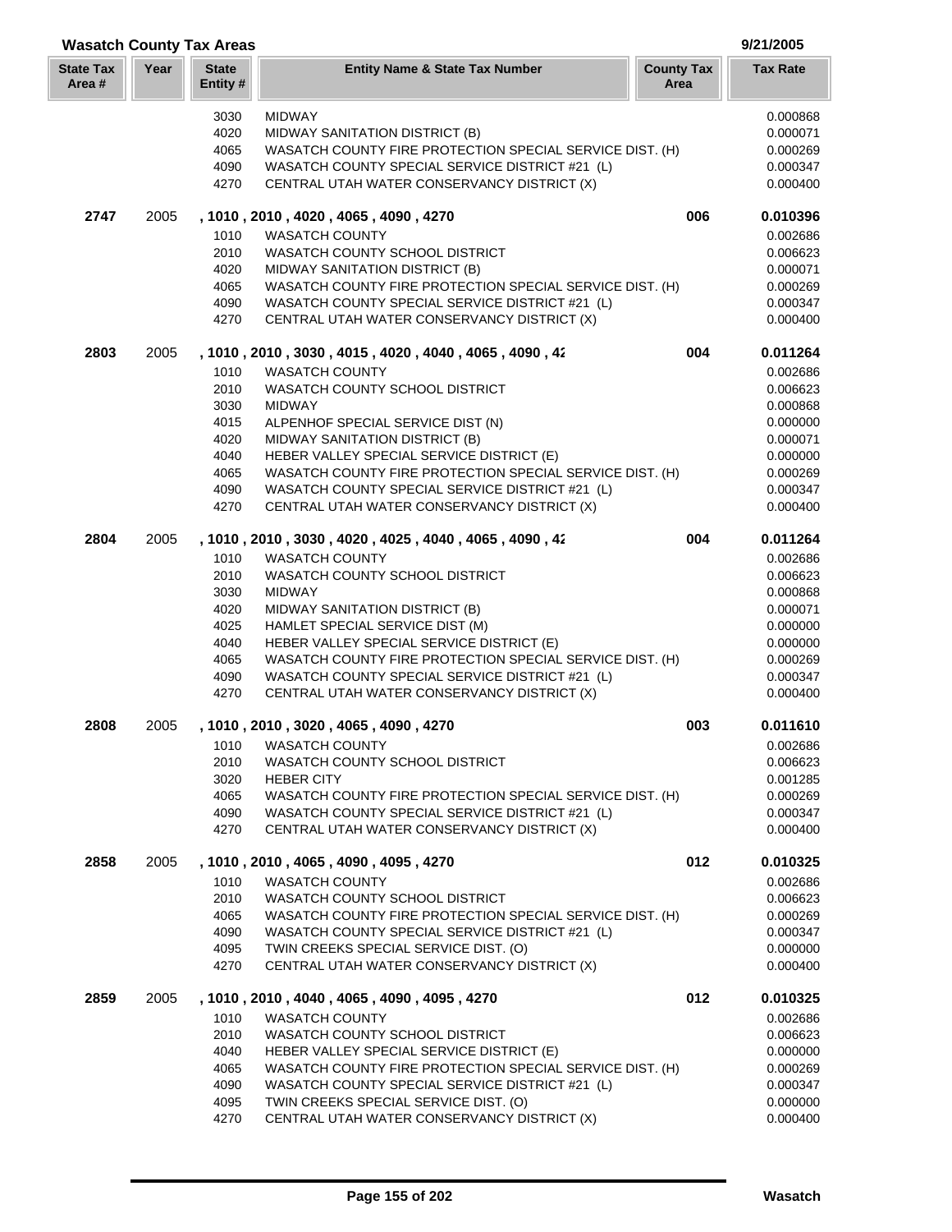|                           |      | <b>Wasatch County Tax Areas</b> |                                                                                                |                           | 9/21/2005            |
|---------------------------|------|---------------------------------|------------------------------------------------------------------------------------------------|---------------------------|----------------------|
| <b>State Tax</b><br>Area# | Year | <b>State</b><br>Entity #        | <b>Entity Name &amp; State Tax Number</b>                                                      | <b>County Tax</b><br>Area | <b>Tax Rate</b>      |
|                           |      | 3030                            | <b>MIDWAY</b>                                                                                  |                           | 0.000868             |
|                           |      | 4020                            | MIDWAY SANITATION DISTRICT (B)                                                                 |                           | 0.000071             |
|                           |      | 4065                            | WASATCH COUNTY FIRE PROTECTION SPECIAL SERVICE DIST. (H)                                       |                           | 0.000269             |
|                           |      | 4090                            | WASATCH COUNTY SPECIAL SERVICE DISTRICT #21 (L)                                                |                           | 0.000347             |
|                           |      | 4270                            | CENTRAL UTAH WATER CONSERVANCY DISTRICT (X)                                                    |                           | 0.000400             |
| 2747                      | 2005 |                                 | , 1010 , 2010 , 4020 , 4065 , 4090 , 4270                                                      | 006                       | 0.010396             |
|                           |      | 1010                            | <b>WASATCH COUNTY</b>                                                                          |                           | 0.002686             |
|                           |      | 2010                            | WASATCH COUNTY SCHOOL DISTRICT                                                                 |                           | 0.006623             |
|                           |      | 4020                            | MIDWAY SANITATION DISTRICT (B)                                                                 |                           | 0.000071             |
|                           |      | 4065                            | WASATCH COUNTY FIRE PROTECTION SPECIAL SERVICE DIST. (H)                                       |                           | 0.000269             |
|                           |      | 4090<br>4270                    | WASATCH COUNTY SPECIAL SERVICE DISTRICT #21 (L)<br>CENTRAL UTAH WATER CONSERVANCY DISTRICT (X) |                           | 0.000347<br>0.000400 |
|                           |      |                                 |                                                                                                | 004                       |                      |
| 2803                      | 2005 |                                 | , 1010, 2010, 3030, 4015, 4020, 4040, 4065, 4090, 42                                           |                           | 0.011264             |
|                           |      | 1010                            | <b>WASATCH COUNTY</b>                                                                          |                           | 0.002686             |
|                           |      | 2010                            | WASATCH COUNTY SCHOOL DISTRICT                                                                 |                           | 0.006623             |
|                           |      | 3030                            | <b>MIDWAY</b>                                                                                  |                           | 0.000868             |
|                           |      | 4015<br>4020                    | ALPENHOF SPECIAL SERVICE DIST (N)<br>MIDWAY SANITATION DISTRICT (B)                            |                           | 0.000000<br>0.000071 |
|                           |      | 4040                            | HEBER VALLEY SPECIAL SERVICE DISTRICT (E)                                                      |                           | 0.000000             |
|                           |      | 4065                            | WASATCH COUNTY FIRE PROTECTION SPECIAL SERVICE DIST. (H)                                       |                           | 0.000269             |
|                           |      | 4090                            | WASATCH COUNTY SPECIAL SERVICE DISTRICT #21 (L)                                                |                           | 0.000347             |
|                           |      | 4270                            | CENTRAL UTAH WATER CONSERVANCY DISTRICT (X)                                                    |                           | 0.000400             |
| 2804                      | 2005 |                                 | , 1010, 2010, 3030, 4020, 4025, 4040, 4065, 4090, 42                                           | 004                       | 0.011264             |
|                           |      | 1010                            | <b>WASATCH COUNTY</b>                                                                          |                           | 0.002686             |
|                           |      | 2010                            | WASATCH COUNTY SCHOOL DISTRICT                                                                 |                           | 0.006623             |
|                           |      | 3030                            | <b>MIDWAY</b>                                                                                  |                           | 0.000868             |
|                           |      | 4020                            | MIDWAY SANITATION DISTRICT (B)                                                                 |                           | 0.000071             |
|                           |      | 4025                            | HAMLET SPECIAL SERVICE DIST (M)                                                                |                           | 0.000000             |
|                           |      | 4040                            | HEBER VALLEY SPECIAL SERVICE DISTRICT (E)                                                      |                           | 0.000000             |
|                           |      | 4065                            | WASATCH COUNTY FIRE PROTECTION SPECIAL SERVICE DIST. (H)                                       |                           | 0.000269             |
|                           |      | 4090                            | WASATCH COUNTY SPECIAL SERVICE DISTRICT #21 (L)                                                |                           | 0.000347             |
|                           |      | 4270                            | CENTRAL UTAH WATER CONSERVANCY DISTRICT (X)                                                    |                           | 0.000400             |
| 2808                      | 2005 |                                 | 1010, 2010, 3020, 4065, 4090, 4270                                                             | 003                       | 0.011610             |
|                           |      | 1010                            | <b>WASATCH COUNTY</b>                                                                          |                           | 0.002686             |
|                           |      | 2010                            | WASATCH COUNTY SCHOOL DISTRICT                                                                 |                           | 0.006623             |
|                           |      | 3020                            | <b>HEBER CITY</b>                                                                              |                           | 0.001285             |
|                           |      | 4065                            | WASATCH COUNTY FIRE PROTECTION SPECIAL SERVICE DIST. (H)                                       |                           | 0.000269             |
|                           |      | 4090<br>4270                    | WASATCH COUNTY SPECIAL SERVICE DISTRICT #21 (L)<br>CENTRAL UTAH WATER CONSERVANCY DISTRICT (X) |                           | 0.000347<br>0.000400 |
| 2858                      | 2005 |                                 | , 1010, 2010, 4065, 4090, 4095, 4270                                                           | 012                       | 0.010325             |
|                           |      | 1010                            | <b>WASATCH COUNTY</b>                                                                          |                           | 0.002686             |
|                           |      | 2010                            | WASATCH COUNTY SCHOOL DISTRICT                                                                 |                           | 0.006623             |
|                           |      | 4065                            | WASATCH COUNTY FIRE PROTECTION SPECIAL SERVICE DIST. (H)                                       |                           | 0.000269             |
|                           |      | 4090                            | WASATCH COUNTY SPECIAL SERVICE DISTRICT #21 (L)                                                |                           | 0.000347             |
|                           |      | 4095                            | TWIN CREEKS SPECIAL SERVICE DIST. (O)                                                          |                           | 0.000000             |
|                           |      | 4270                            | CENTRAL UTAH WATER CONSERVANCY DISTRICT (X)                                                    |                           | 0.000400             |
| 2859                      | 2005 |                                 | , 1010, 2010, 4040, 4065, 4090, 4095, 4270                                                     | 012                       | 0.010325             |
|                           |      | 1010                            | <b>WASATCH COUNTY</b>                                                                          |                           | 0.002686             |
|                           |      | 2010                            | WASATCH COUNTY SCHOOL DISTRICT                                                                 |                           | 0.006623             |
|                           |      | 4040                            | HEBER VALLEY SPECIAL SERVICE DISTRICT (E)                                                      |                           | 0.000000             |
|                           |      | 4065                            | WASATCH COUNTY FIRE PROTECTION SPECIAL SERVICE DIST. (H)                                       |                           | 0.000269             |
|                           |      | 4090                            | WASATCH COUNTY SPECIAL SERVICE DISTRICT #21 (L)                                                |                           | 0.000347             |
|                           |      | 4095                            | TWIN CREEKS SPECIAL SERVICE DIST. (O)                                                          |                           | 0.000000             |
|                           |      | 4270                            | CENTRAL UTAH WATER CONSERVANCY DISTRICT (X)                                                    |                           | 0.000400             |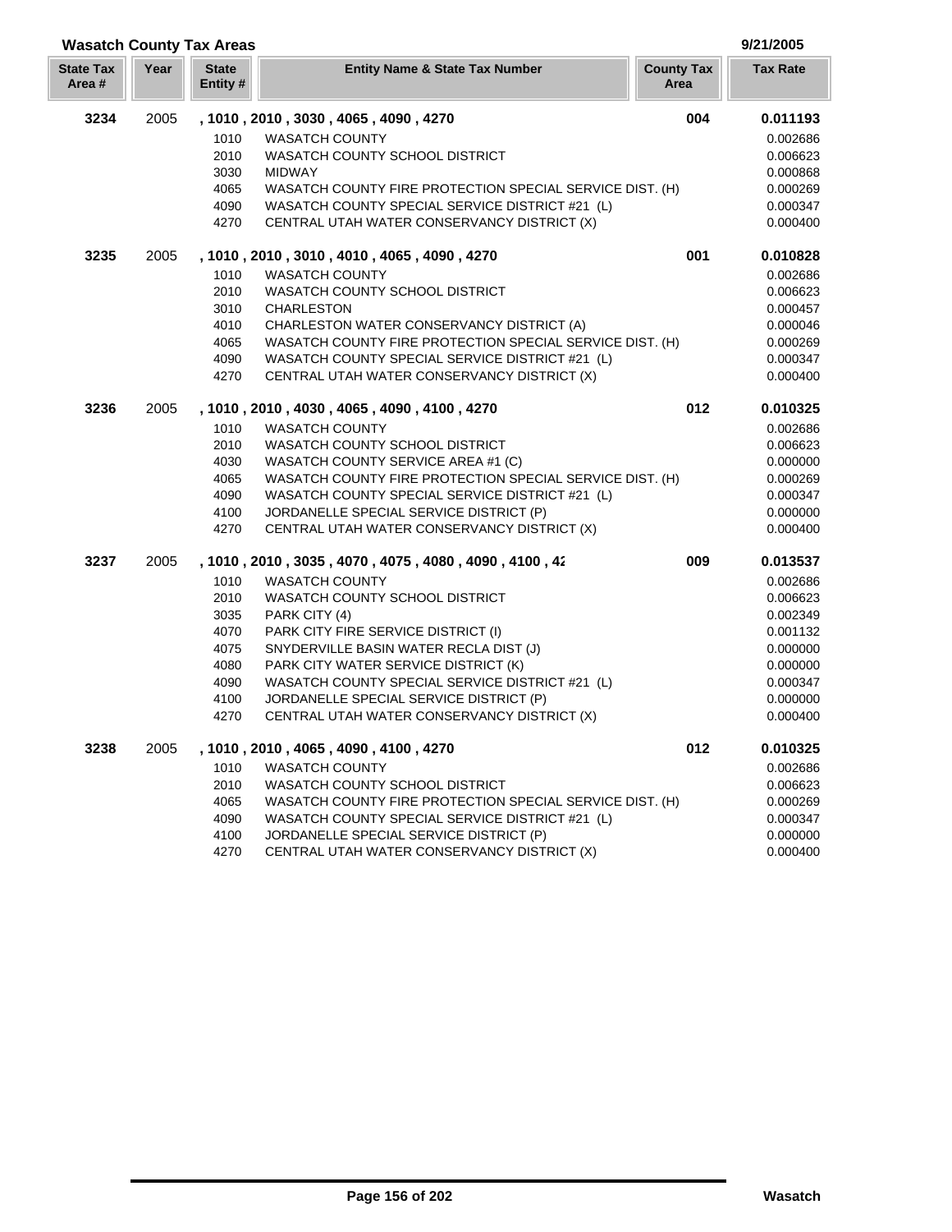|                           |      | <b>Wasatch County Tax Areas</b> |                                                          |                           | 9/21/2005       |
|---------------------------|------|---------------------------------|----------------------------------------------------------|---------------------------|-----------------|
| <b>State Tax</b><br>Area# | Year | <b>State</b><br>Entity #        | <b>Entity Name &amp; State Tax Number</b>                | <b>County Tax</b><br>Area | <b>Tax Rate</b> |
| 3234                      | 2005 |                                 | , 1010, 2010, 3030, 4065, 4090, 4270                     | 004                       | 0.011193        |
|                           |      | 1010                            | <b>WASATCH COUNTY</b>                                    |                           | 0.002686        |
|                           |      | 2010                            | WASATCH COUNTY SCHOOL DISTRICT                           |                           | 0.006623        |
|                           |      | 3030                            | <b>MIDWAY</b>                                            |                           | 0.000868        |
|                           |      | 4065                            | WASATCH COUNTY FIRE PROTECTION SPECIAL SERVICE DIST. (H) |                           | 0.000269        |
|                           |      | 4090                            | WASATCH COUNTY SPECIAL SERVICE DISTRICT #21 (L)          |                           | 0.000347        |
|                           |      | 4270                            | CENTRAL UTAH WATER CONSERVANCY DISTRICT (X)              |                           | 0.000400        |
| 3235                      | 2005 |                                 | , 1010, 2010, 3010, 4010, 4065, 4090, 4270               | 001                       | 0.010828        |
|                           |      | 1010                            | <b>WASATCH COUNTY</b>                                    |                           | 0.002686        |
|                           |      | 2010                            | WASATCH COUNTY SCHOOL DISTRICT                           |                           | 0.006623        |
|                           |      | 3010                            | <b>CHARLESTON</b>                                        |                           | 0.000457        |
|                           |      | 4010                            | CHARLESTON WATER CONSERVANCY DISTRICT (A)                |                           | 0.000046        |
|                           |      | 4065                            | WASATCH COUNTY FIRE PROTECTION SPECIAL SERVICE DIST. (H) |                           | 0.000269        |
|                           |      | 4090                            | WASATCH COUNTY SPECIAL SERVICE DISTRICT #21 (L)          |                           | 0.000347        |
|                           |      | 4270                            | CENTRAL UTAH WATER CONSERVANCY DISTRICT (X)              |                           | 0.000400        |
| 3236                      | 2005 |                                 | , 1010, 2010, 4030, 4065, 4090, 4100, 4270               | 012                       | 0.010325        |
|                           |      | 1010                            | <b>WASATCH COUNTY</b>                                    |                           | 0.002686        |
|                           |      | 2010                            | WASATCH COUNTY SCHOOL DISTRICT                           |                           | 0.006623        |
|                           |      | 4030                            | WASATCH COUNTY SERVICE AREA #1 (C)                       |                           | 0.000000        |
|                           |      | 4065                            | WASATCH COUNTY FIRE PROTECTION SPECIAL SERVICE DIST. (H) |                           | 0.000269        |
|                           |      | 4090                            | WASATCH COUNTY SPECIAL SERVICE DISTRICT #21 (L)          |                           | 0.000347        |
|                           |      | 4100                            | JORDANELLE SPECIAL SERVICE DISTRICT (P)                  |                           | 0.000000        |
|                           |      | 4270                            | CENTRAL UTAH WATER CONSERVANCY DISTRICT (X)              |                           | 0.000400        |
| 3237                      | 2005 |                                 | , 1010, 2010, 3035, 4070, 4075, 4080, 4090, 4100, 42     | 009                       | 0.013537        |
|                           |      | 1010                            | <b>WASATCH COUNTY</b>                                    |                           | 0.002686        |
|                           |      | 2010                            | WASATCH COUNTY SCHOOL DISTRICT                           |                           | 0.006623        |
|                           |      | 3035                            | PARK CITY (4)                                            |                           | 0.002349        |
|                           |      | 4070                            | PARK CITY FIRE SERVICE DISTRICT (I)                      |                           | 0.001132        |
|                           |      | 4075                            | SNYDERVILLE BASIN WATER RECLA DIST (J)                   |                           | 0.000000        |
|                           |      | 4080                            | PARK CITY WATER SERVICE DISTRICT (K)                     |                           | 0.000000        |
|                           |      | 4090                            | WASATCH COUNTY SPECIAL SERVICE DISTRICT #21 (L)          |                           | 0.000347        |
|                           |      | 4100                            | JORDANELLE SPECIAL SERVICE DISTRICT (P)                  |                           | 0.000000        |
|                           |      | 4270                            | CENTRAL UTAH WATER CONSERVANCY DISTRICT (X)              |                           | 0.000400        |
| 3238                      | 2005 |                                 | , 1010, 2010, 4065, 4090, 4100, 4270                     | 012                       | 0.010325        |
|                           |      | 1010                            | <b>WASATCH COUNTY</b>                                    |                           | 0.002686        |
|                           |      | 2010                            | WASATCH COUNTY SCHOOL DISTRICT                           |                           | 0.006623        |
|                           |      | 4065                            | WASATCH COUNTY FIRE PROTECTION SPECIAL SERVICE DIST. (H) |                           | 0.000269        |
|                           |      | 4090                            | WASATCH COUNTY SPECIAL SERVICE DISTRICT #21 (L)          |                           | 0.000347        |
|                           |      | 4100                            | JORDANELLE SPECIAL SERVICE DISTRICT (P)                  |                           | 0.000000        |
|                           |      | 4270                            | CENTRAL UTAH WATER CONSERVANCY DISTRICT (X)              |                           | 0.000400        |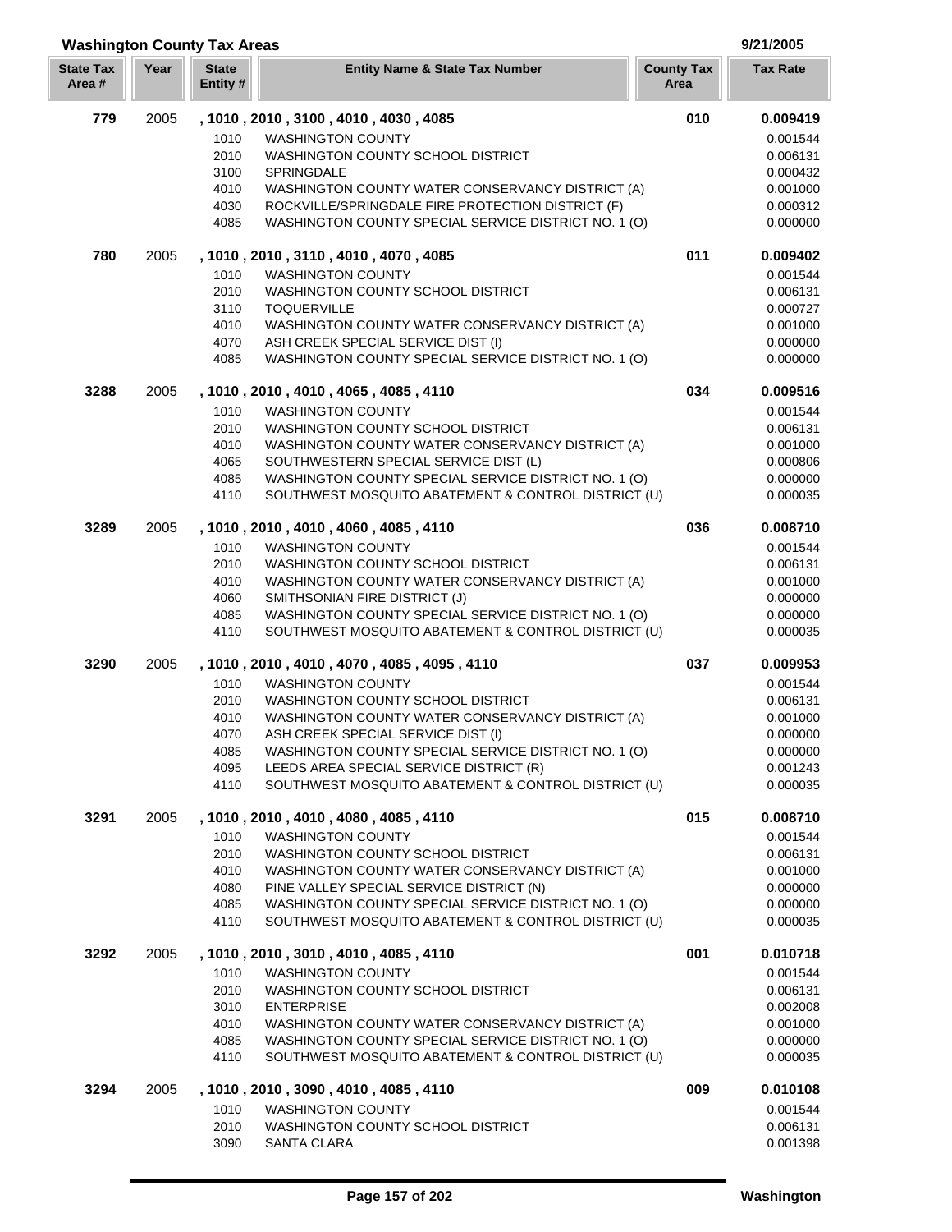#### **Washington County Tax Areas 9/21/2005**

| <b>State Tax</b><br>Area# | Year | <b>State</b><br>Entity # | <b>Entity Name &amp; State Tax Number</b>                                                      | <b>County Tax</b><br>Area | <b>Tax Rate</b>      |
|---------------------------|------|--------------------------|------------------------------------------------------------------------------------------------|---------------------------|----------------------|
| 779                       | 2005 |                          | , 1010, 2010, 3100, 4010, 4030, 4085                                                           | 010                       | 0.009419             |
|                           |      | 1010                     | <b>WASHINGTON COUNTY</b>                                                                       |                           | 0.001544             |
|                           |      | 2010                     | WASHINGTON COUNTY SCHOOL DISTRICT                                                              |                           | 0.006131             |
|                           |      | 3100                     | SPRINGDALE                                                                                     |                           | 0.000432             |
|                           |      | 4010                     | WASHINGTON COUNTY WATER CONSERVANCY DISTRICT (A)                                               |                           | 0.001000             |
|                           |      | 4030                     | ROCKVILLE/SPRINGDALE FIRE PROTECTION DISTRICT (F)                                              |                           | 0.000312             |
|                           |      | 4085                     | WASHINGTON COUNTY SPECIAL SERVICE DISTRICT NO. 1 (O)                                           |                           | 0.000000             |
| 780                       | 2005 |                          | , 1010, 2010, 3110, 4010, 4070, 4085                                                           | 011                       | 0.009402             |
|                           |      | 1010                     | <b>WASHINGTON COUNTY</b>                                                                       |                           | 0.001544             |
|                           |      | 2010                     | WASHINGTON COUNTY SCHOOL DISTRICT                                                              |                           | 0.006131             |
|                           |      | 3110                     | <b>TOQUERVILLE</b>                                                                             |                           | 0.000727             |
|                           |      | 4010                     | WASHINGTON COUNTY WATER CONSERVANCY DISTRICT (A)                                               |                           | 0.001000             |
|                           |      | 4070                     | ASH CREEK SPECIAL SERVICE DIST (I)                                                             |                           | 0.000000             |
|                           |      | 4085                     | WASHINGTON COUNTY SPECIAL SERVICE DISTRICT NO. 1 (O)                                           |                           | 0.000000             |
| 3288                      | 2005 |                          | , 1010, 2010, 4010, 4065, 4085, 4110                                                           | 034                       | 0.009516             |
|                           |      | 1010                     | <b>WASHINGTON COUNTY</b>                                                                       |                           | 0.001544             |
|                           |      | 2010                     | WASHINGTON COUNTY SCHOOL DISTRICT                                                              |                           | 0.006131             |
|                           |      | 4010                     | WASHINGTON COUNTY WATER CONSERVANCY DISTRICT (A)                                               |                           | 0.001000             |
|                           |      | 4065                     | SOUTHWESTERN SPECIAL SERVICE DIST (L)                                                          |                           | 0.000806             |
|                           |      | 4085                     | WASHINGTON COUNTY SPECIAL SERVICE DISTRICT NO. 1 (O)                                           |                           | 0.000000             |
|                           |      | 4110                     | SOUTHWEST MOSQUITO ABATEMENT & CONTROL DISTRICT (U)                                            |                           | 0.000035             |
| 3289                      | 2005 |                          | , 1010 , 2010 , 4010 , 4060 , 4085 , 4110                                                      | 036                       | 0.008710             |
|                           |      | 1010                     | <b>WASHINGTON COUNTY</b>                                                                       |                           | 0.001544             |
|                           |      | 2010                     | WASHINGTON COUNTY SCHOOL DISTRICT                                                              |                           | 0.006131             |
|                           |      | 4010                     | WASHINGTON COUNTY WATER CONSERVANCY DISTRICT (A)                                               |                           | 0.001000             |
|                           |      | 4060                     | SMITHSONIAN FIRE DISTRICT (J)                                                                  |                           | 0.000000             |
|                           |      | 4085                     | WASHINGTON COUNTY SPECIAL SERVICE DISTRICT NO. 1 (O)                                           |                           | 0.000000             |
|                           |      | 4110                     | SOUTHWEST MOSQUITO ABATEMENT & CONTROL DISTRICT (U)                                            |                           | 0.000035             |
| 3290                      | 2005 |                          | , 1010, 2010, 4010, 4070, 4085, 4095, 4110                                                     | 037                       | 0.009953             |
|                           |      | 1010                     | <b>WASHINGTON COUNTY</b>                                                                       |                           | 0.001544             |
|                           |      | 2010                     | WASHINGTON COUNTY SCHOOL DISTRICT                                                              |                           | 0.006131             |
|                           |      | 4010                     | WASHINGTON COUNTY WATER CONSERVANCY DISTRICT (A)                                               |                           | 0.001000             |
|                           |      | 4070                     | ASH CREEK SPECIAL SERVICE DIST (I)                                                             |                           | 0.000000             |
|                           |      | 4085                     | WASHINGTON COUNTY SPECIAL SERVICE DISTRICT NO. 1 (O)                                           |                           | 0.000000             |
|                           |      | 4095                     | LEEDS AREA SPECIAL SERVICE DISTRICT (R)<br>SOUTHWEST MOSQUITO ABATEMENT & CONTROL DISTRICT (U) |                           | 0.001243             |
|                           |      | 4110                     |                                                                                                |                           | 0.000035             |
| 3291                      | 2005 |                          | , 1010 , 2010 , 4010 , 4080 , 4085 , 4110                                                      | 015                       | 0.008710             |
|                           |      | 1010                     | <b>WASHINGTON COUNTY</b>                                                                       |                           | 0.001544             |
|                           |      | 2010                     | WASHINGTON COUNTY SCHOOL DISTRICT                                                              |                           | 0.006131             |
|                           |      | 4010<br>4080             | WASHINGTON COUNTY WATER CONSERVANCY DISTRICT (A)<br>PINE VALLEY SPECIAL SERVICE DISTRICT (N)   |                           | 0.001000<br>0.000000 |
|                           |      | 4085                     | WASHINGTON COUNTY SPECIAL SERVICE DISTRICT NO. 1 (O)                                           |                           | 0.000000             |
|                           |      | 4110                     | SOUTHWEST MOSQUITO ABATEMENT & CONTROL DISTRICT (U)                                            |                           | 0.000035             |
| 3292                      | 2005 |                          | , 1010, 2010, 3010, 4010, 4085, 4110                                                           | 001                       | 0.010718             |
|                           |      | 1010                     | <b>WASHINGTON COUNTY</b>                                                                       |                           | 0.001544             |
|                           |      | 2010                     | WASHINGTON COUNTY SCHOOL DISTRICT                                                              |                           | 0.006131             |
|                           |      | 3010                     | <b>ENTERPRISE</b>                                                                              |                           | 0.002008             |
|                           |      | 4010                     | WASHINGTON COUNTY WATER CONSERVANCY DISTRICT (A)                                               |                           | 0.001000             |
|                           |      | 4085                     | WASHINGTON COUNTY SPECIAL SERVICE DISTRICT NO. 1 (O)                                           |                           | 0.000000             |
|                           |      | 4110                     | SOUTHWEST MOSQUITO ABATEMENT & CONTROL DISTRICT (U)                                            |                           | 0.000035             |
| 3294                      | 2005 |                          | , 1010, 2010, 3090, 4010, 4085, 4110                                                           | 009                       | 0.010108             |
|                           |      | 1010                     | <b>WASHINGTON COUNTY</b>                                                                       |                           | 0.001544             |
|                           |      | 2010                     | WASHINGTON COUNTY SCHOOL DISTRICT                                                              |                           | 0.006131             |
|                           |      | 3090                     | <b>SANTA CLARA</b>                                                                             |                           | 0.001398             |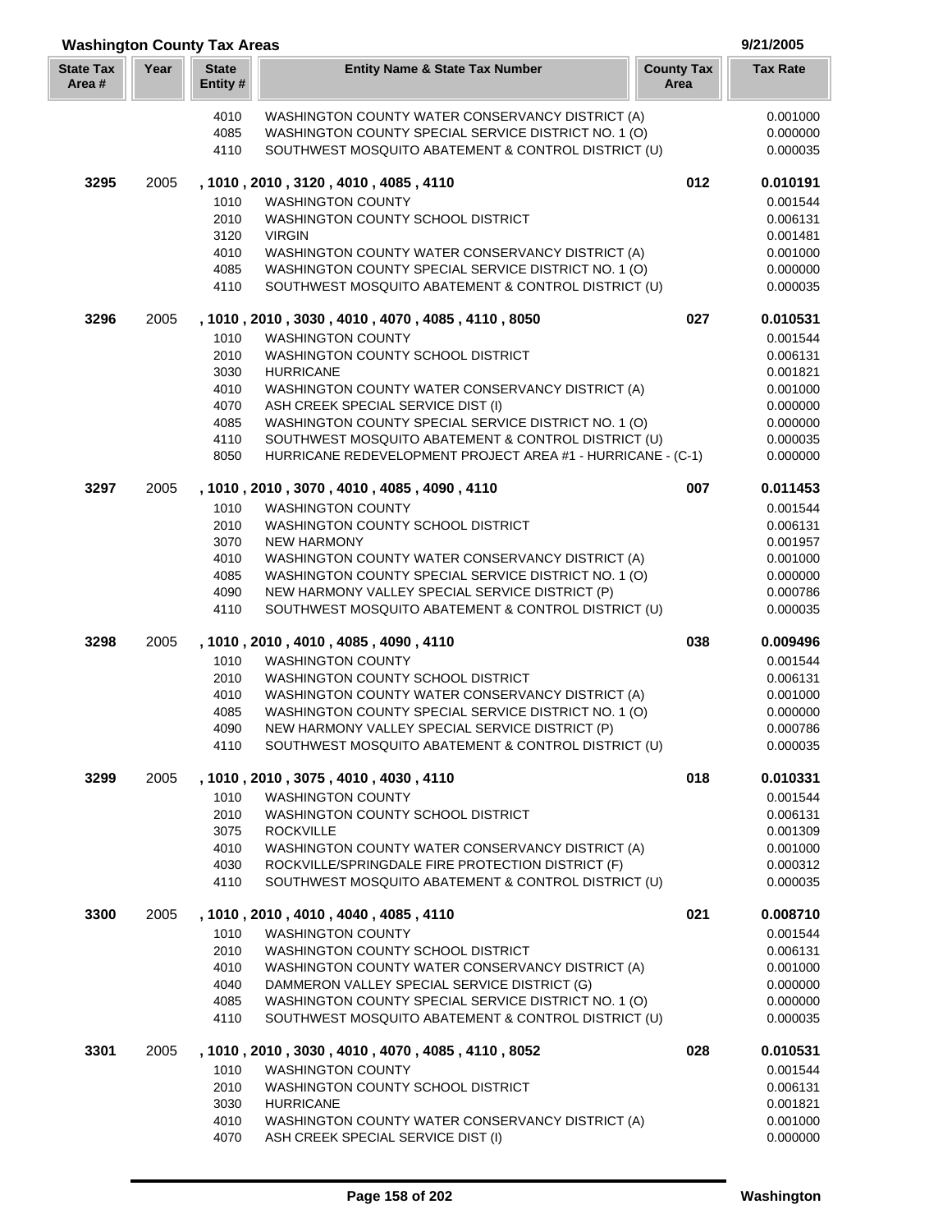| <b>Washington County Tax Areas</b> |      |                         |                                                                                                             |                           |                      |
|------------------------------------|------|-------------------------|-------------------------------------------------------------------------------------------------------------|---------------------------|----------------------|
| <b>State Tax</b><br>Area#          | Year | <b>State</b><br>Entity# | <b>Entity Name &amp; State Tax Number</b>                                                                   | <b>County Tax</b><br>Area | <b>Tax Rate</b>      |
|                                    |      | 4010                    | WASHINGTON COUNTY WATER CONSERVANCY DISTRICT (A)                                                            |                           | 0.001000             |
|                                    |      | 4085                    | WASHINGTON COUNTY SPECIAL SERVICE DISTRICT NO. 1 (O)                                                        |                           | 0.000000             |
|                                    |      | 4110                    | SOUTHWEST MOSQUITO ABATEMENT & CONTROL DISTRICT (U)                                                         |                           | 0.000035             |
| 3295                               | 2005 |                         | , 1010, 2010, 3120, 4010, 4085, 4110                                                                        | 012                       | 0.010191             |
|                                    |      | 1010                    | <b>WASHINGTON COUNTY</b>                                                                                    |                           | 0.001544             |
|                                    |      | 2010                    | WASHINGTON COUNTY SCHOOL DISTRICT                                                                           |                           | 0.006131             |
|                                    |      | 3120                    | <b>VIRGIN</b>                                                                                               |                           | 0.001481             |
|                                    |      | 4010                    | WASHINGTON COUNTY WATER CONSERVANCY DISTRICT (A)                                                            |                           | 0.001000             |
|                                    |      | 4085<br>4110            | WASHINGTON COUNTY SPECIAL SERVICE DISTRICT NO. 1 (O)<br>SOUTHWEST MOSQUITO ABATEMENT & CONTROL DISTRICT (U) |                           | 0.000000<br>0.000035 |
| 3296                               | 2005 |                         | , 1010, 2010, 3030, 4010, 4070, 4085, 4110, 8050                                                            | 027                       | 0.010531             |
|                                    |      | 1010                    | <b>WASHINGTON COUNTY</b>                                                                                    |                           |                      |
|                                    |      | 2010                    | WASHINGTON COUNTY SCHOOL DISTRICT                                                                           |                           | 0.001544<br>0.006131 |
|                                    |      | 3030                    | <b>HURRICANE</b>                                                                                            |                           | 0.001821             |
|                                    |      | 4010                    | WASHINGTON COUNTY WATER CONSERVANCY DISTRICT (A)                                                            |                           | 0.001000             |
|                                    |      | 4070                    | ASH CREEK SPECIAL SERVICE DIST (I)                                                                          |                           | 0.000000             |
|                                    |      | 4085                    | WASHINGTON COUNTY SPECIAL SERVICE DISTRICT NO. 1 (O)                                                        |                           | 0.000000             |
|                                    |      | 4110                    | SOUTHWEST MOSQUITO ABATEMENT & CONTROL DISTRICT (U)                                                         |                           | 0.000035             |
|                                    |      | 8050                    | HURRICANE REDEVELOPMENT PROJECT AREA #1 - HURRICANE - (C-1)                                                 |                           | 0.000000             |
| 3297                               | 2005 |                         | , 1010, 2010, 3070, 4010, 4085, 4090, 4110                                                                  | 007                       | 0.011453             |
|                                    |      | 1010                    | <b>WASHINGTON COUNTY</b>                                                                                    |                           | 0.001544             |
|                                    |      | 2010                    | WASHINGTON COUNTY SCHOOL DISTRICT                                                                           |                           | 0.006131             |
|                                    |      | 3070                    | <b>NEW HARMONY</b>                                                                                          |                           | 0.001957             |
|                                    |      | 4010                    | WASHINGTON COUNTY WATER CONSERVANCY DISTRICT (A)                                                            |                           | 0.001000             |
|                                    |      | 4085                    | WASHINGTON COUNTY SPECIAL SERVICE DISTRICT NO. 1 (O)                                                        |                           | 0.000000             |
|                                    |      | 4090                    | NEW HARMONY VALLEY SPECIAL SERVICE DISTRICT (P)                                                             |                           | 0.000786             |
|                                    |      | 4110                    | SOUTHWEST MOSQUITO ABATEMENT & CONTROL DISTRICT (U)                                                         |                           | 0.000035             |
| 3298                               | 2005 |                         | , 1010, 2010, 4010, 4085, 4090, 4110                                                                        | 038                       | 0.009496             |
|                                    |      | 1010                    | <b>WASHINGTON COUNTY</b>                                                                                    |                           | 0.001544             |
|                                    |      | 2010                    | WASHINGTON COUNTY SCHOOL DISTRICT                                                                           |                           | 0.006131             |
|                                    |      | 4010<br>4085            | WASHINGTON COUNTY WATER CONSERVANCY DISTRICT (A)<br>WASHINGTON COUNTY SPECIAL SERVICE DISTRICT NO. 1 (O)    |                           | 0.001000<br>0.000000 |
|                                    |      | 4090                    | NEW HARMONY VALLEY SPECIAL SERVICE DISTRICT (P)                                                             |                           | 0.000786             |
|                                    |      | 4110                    | SOUTHWEST MOSQUITO ABATEMENT & CONTROL DISTRICT (U)                                                         |                           | 0.000035             |
| 3299                               | 2005 |                         | , 1010 , 2010 , 3075 , 4010 , 4030 , 4110                                                                   | 018                       | 0.010331             |
|                                    |      | 1010                    | <b>WASHINGTON COUNTY</b>                                                                                    |                           | 0.001544             |
|                                    |      | 2010                    | WASHINGTON COUNTY SCHOOL DISTRICT                                                                           |                           | 0.006131             |
|                                    |      | 3075                    | <b>ROCKVILLE</b>                                                                                            |                           | 0.001309             |
|                                    |      | 4010                    | WASHINGTON COUNTY WATER CONSERVANCY DISTRICT (A)                                                            |                           | 0.001000             |
|                                    |      | 4030                    | ROCKVILLE/SPRINGDALE FIRE PROTECTION DISTRICT (F)                                                           |                           | 0.000312             |
|                                    |      | 4110                    | SOUTHWEST MOSQUITO ABATEMENT & CONTROL DISTRICT (U)                                                         |                           | 0.000035             |
| 3300                               | 2005 |                         | , 1010, 2010, 4010, 4040, 4085, 4110                                                                        | 021                       | 0.008710             |
|                                    |      | 1010                    | <b>WASHINGTON COUNTY</b>                                                                                    |                           | 0.001544             |
|                                    |      | 2010                    | WASHINGTON COUNTY SCHOOL DISTRICT                                                                           |                           | 0.006131             |
|                                    |      | 4010                    | WASHINGTON COUNTY WATER CONSERVANCY DISTRICT (A)                                                            |                           | 0.001000             |
|                                    |      | 4040                    | DAMMERON VALLEY SPECIAL SERVICE DISTRICT (G)                                                                |                           | 0.000000             |
|                                    |      | 4085<br>4110            | WASHINGTON COUNTY SPECIAL SERVICE DISTRICT NO. 1 (O)<br>SOUTHWEST MOSQUITO ABATEMENT & CONTROL DISTRICT (U) |                           | 0.000000<br>0.000035 |
| 3301                               | 2005 |                         | , 1010, 2010, 3030, 4010, 4070, 4085, 4110, 8052                                                            | 028                       | 0.010531             |
|                                    |      | 1010                    | <b>WASHINGTON COUNTY</b>                                                                                    |                           | 0.001544             |
|                                    |      | 2010                    | WASHINGTON COUNTY SCHOOL DISTRICT                                                                           |                           | 0.006131             |
|                                    |      | 3030                    | <b>HURRICANE</b>                                                                                            |                           | 0.001821             |
|                                    |      | 4010                    | WASHINGTON COUNTY WATER CONSERVANCY DISTRICT (A)                                                            |                           | 0.001000             |
|                                    |      | 4070                    | ASH CREEK SPECIAL SERVICE DIST (I)                                                                          |                           | 0.000000             |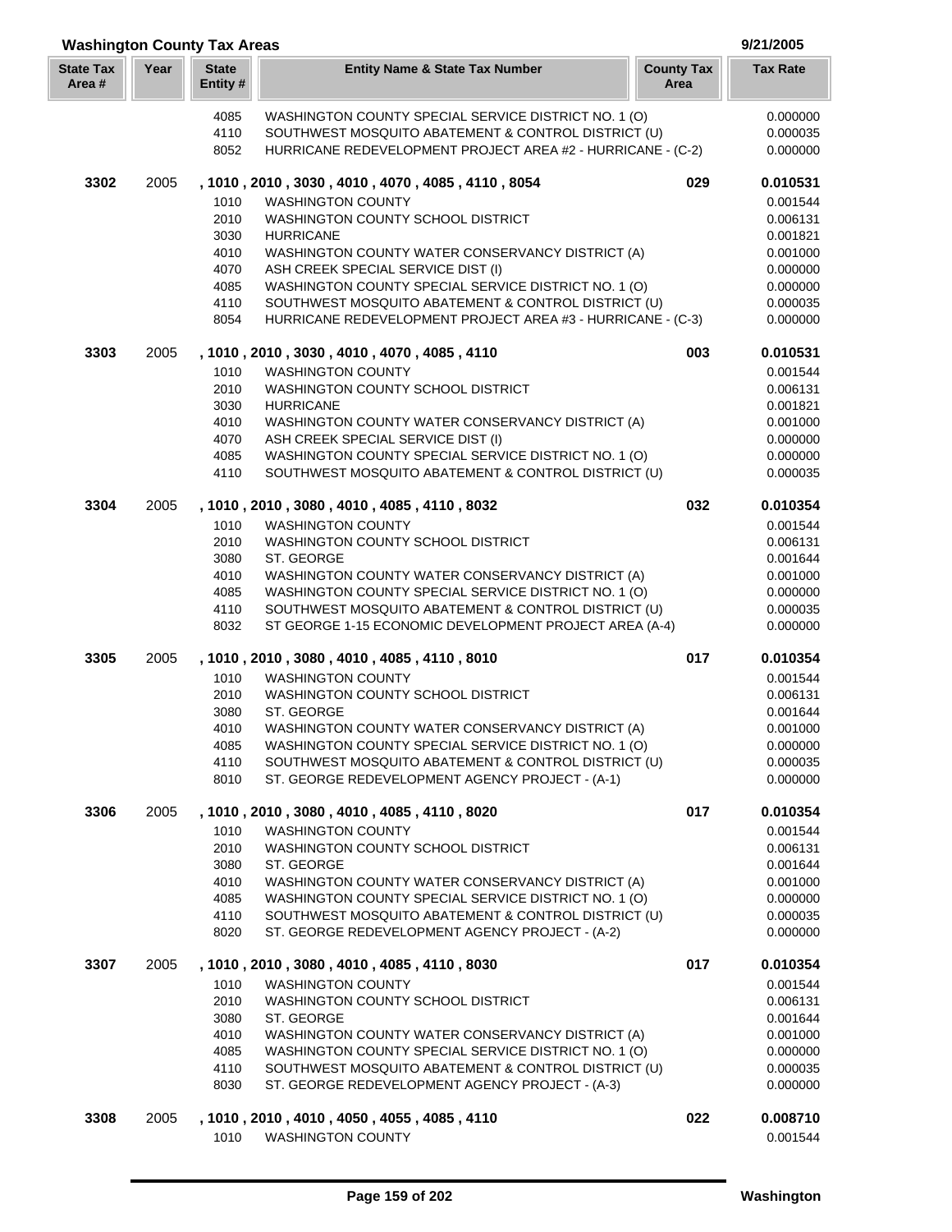|                           | <b>Washington County Tax Areas</b> |                         |                                                                                                        |                           |                      |  |
|---------------------------|------------------------------------|-------------------------|--------------------------------------------------------------------------------------------------------|---------------------------|----------------------|--|
| <b>State Tax</b><br>Area# | Year                               | <b>State</b><br>Entity# | <b>Entity Name &amp; State Tax Number</b>                                                              | <b>County Tax</b><br>Area | <b>Tax Rate</b>      |  |
|                           |                                    | 4085                    | WASHINGTON COUNTY SPECIAL SERVICE DISTRICT NO. 1 (O)                                                   |                           | 0.000000             |  |
|                           |                                    | 4110                    | SOUTHWEST MOSQUITO ABATEMENT & CONTROL DISTRICT (U)                                                    |                           | 0.000035             |  |
|                           |                                    | 8052                    | HURRICANE REDEVELOPMENT PROJECT AREA #2 - HURRICANE - (C-2)                                            |                           | 0.000000             |  |
| 3302                      | 2005                               |                         | , 1010, 2010, 3030, 4010, 4070, 4085, 4110, 8054                                                       | 029                       | 0.010531             |  |
|                           |                                    | 1010                    | <b>WASHINGTON COUNTY</b>                                                                               |                           | 0.001544             |  |
|                           |                                    | 2010                    | WASHINGTON COUNTY SCHOOL DISTRICT                                                                      |                           | 0.006131             |  |
|                           |                                    | 3030                    | <b>HURRICANE</b>                                                                                       |                           | 0.001821             |  |
|                           |                                    | 4010                    | WASHINGTON COUNTY WATER CONSERVANCY DISTRICT (A)                                                       |                           | 0.001000             |  |
|                           |                                    | 4070<br>4085            | ASH CREEK SPECIAL SERVICE DIST (I)<br>WASHINGTON COUNTY SPECIAL SERVICE DISTRICT NO. 1 (O)             |                           | 0.000000<br>0.000000 |  |
|                           |                                    | 4110                    | SOUTHWEST MOSQUITO ABATEMENT & CONTROL DISTRICT (U)                                                    |                           | 0.000035             |  |
|                           |                                    | 8054                    | HURRICANE REDEVELOPMENT PROJECT AREA #3 - HURRICANE - (C-3)                                            |                           | 0.000000             |  |
| 3303                      | 2005                               |                         | , 1010, 2010, 3030, 4010, 4070, 4085, 4110                                                             | 003                       | 0.010531             |  |
|                           |                                    | 1010                    | <b>WASHINGTON COUNTY</b>                                                                               |                           | 0.001544             |  |
|                           |                                    | 2010                    | WASHINGTON COUNTY SCHOOL DISTRICT                                                                      |                           | 0.006131             |  |
|                           |                                    | 3030                    | <b>HURRICANE</b>                                                                                       |                           | 0.001821             |  |
|                           |                                    | 4010                    | WASHINGTON COUNTY WATER CONSERVANCY DISTRICT (A)                                                       |                           | 0.001000             |  |
|                           |                                    | 4070                    | ASH CREEK SPECIAL SERVICE DIST (I)                                                                     |                           | 0.000000             |  |
|                           |                                    | 4085                    | WASHINGTON COUNTY SPECIAL SERVICE DISTRICT NO. 1 (O)                                                   |                           | 0.000000             |  |
|                           |                                    | 4110                    | SOUTHWEST MOSQUITO ABATEMENT & CONTROL DISTRICT (U)                                                    |                           | 0.000035             |  |
| 3304                      | 2005                               | 1010                    | , 1010, 2010, 3080, 4010, 4085, 4110, 8032<br><b>WASHINGTON COUNTY</b>                                 | 032                       | 0.010354<br>0.001544 |  |
|                           |                                    | 2010                    | WASHINGTON COUNTY SCHOOL DISTRICT                                                                      |                           | 0.006131             |  |
|                           |                                    | 3080                    | ST. GEORGE                                                                                             |                           | 0.001644             |  |
|                           |                                    | 4010                    | WASHINGTON COUNTY WATER CONSERVANCY DISTRICT (A)                                                       |                           | 0.001000             |  |
|                           |                                    | 4085                    | WASHINGTON COUNTY SPECIAL SERVICE DISTRICT NO. 1 (O)                                                   |                           | 0.000000             |  |
|                           |                                    | 4110                    | SOUTHWEST MOSQUITO ABATEMENT & CONTROL DISTRICT (U)                                                    |                           | 0.000035             |  |
|                           |                                    | 8032                    | ST GEORGE 1-15 ECONOMIC DEVELOPMENT PROJECT AREA (A-4)                                                 |                           | 0.000000             |  |
| 3305                      | 2005                               |                         | , 1010 , 2010 , 3080 , 4010 , 4085 , 4110 , 8010                                                       | 017                       | 0.010354             |  |
|                           |                                    | 1010                    | <b>WASHINGTON COUNTY</b>                                                                               |                           | 0.001544             |  |
|                           |                                    | 2010                    | WASHINGTON COUNTY SCHOOL DISTRICT                                                                      |                           | 0.006131             |  |
|                           |                                    | 3080                    | ST. GEORGE<br>WASHINGTON COUNTY WATER CONSERVANCY DISTRICT (A)                                         |                           | 0.001644             |  |
|                           |                                    | 4010<br>4085            | WASHINGTON COUNTY SPECIAL SERVICE DISTRICT NO. 1 (O)                                                   |                           | 0.001000<br>0.000000 |  |
|                           |                                    | 4110                    | SOUTHWEST MOSQUITO ABATEMENT & CONTROL DISTRICT (U)                                                    |                           | 0.000035             |  |
|                           |                                    | 8010                    | ST. GEORGE REDEVELOPMENT AGENCY PROJECT - (A-1)                                                        |                           | 0.000000             |  |
| 3306                      | 2005                               |                         | , 1010, 2010, 3080, 4010, 4085, 4110, 8020                                                             | 017                       | 0.010354             |  |
|                           |                                    | 1010                    | <b>WASHINGTON COUNTY</b>                                                                               |                           | 0.001544             |  |
|                           |                                    | 2010                    | WASHINGTON COUNTY SCHOOL DISTRICT                                                                      |                           | 0.006131             |  |
|                           |                                    | 3080                    | ST. GEORGE                                                                                             |                           | 0.001644             |  |
|                           |                                    | 4010                    | WASHINGTON COUNTY WATER CONSERVANCY DISTRICT (A)                                                       |                           | 0.001000             |  |
|                           |                                    | 4085                    | WASHINGTON COUNTY SPECIAL SERVICE DISTRICT NO. 1 (O)                                                   |                           | 0.000000             |  |
|                           |                                    | 4110<br>8020            | SOUTHWEST MOSQUITO ABATEMENT & CONTROL DISTRICT (U)<br>ST. GEORGE REDEVELOPMENT AGENCY PROJECT - (A-2) |                           | 0.000035<br>0.000000 |  |
| 3307                      | 2005                               |                         | , 1010, 2010, 3080, 4010, 4085, 4110, 8030                                                             | 017                       | 0.010354             |  |
|                           |                                    | 1010                    | <b>WASHINGTON COUNTY</b>                                                                               |                           | 0.001544             |  |
|                           |                                    | 2010                    | WASHINGTON COUNTY SCHOOL DISTRICT                                                                      |                           | 0.006131             |  |
|                           |                                    | 3080                    | ST. GEORGE                                                                                             |                           | 0.001644             |  |
|                           |                                    | 4010                    | WASHINGTON COUNTY WATER CONSERVANCY DISTRICT (A)                                                       |                           | 0.001000             |  |
|                           |                                    | 4085                    | WASHINGTON COUNTY SPECIAL SERVICE DISTRICT NO. 1 (O)                                                   |                           | 0.000000             |  |
|                           |                                    | 4110                    | SOUTHWEST MOSQUITO ABATEMENT & CONTROL DISTRICT (U)                                                    |                           | 0.000035             |  |
|                           |                                    | 8030                    | ST. GEORGE REDEVELOPMENT AGENCY PROJECT - (A-3)                                                        |                           | 0.000000             |  |
| 3308                      | 2005                               |                         | , 1010, 2010, 4010, 4050, 4055, 4085, 4110                                                             | 022                       | 0.008710             |  |
|                           |                                    | 1010                    | <b>WASHINGTON COUNTY</b>                                                                               |                           | 0.001544             |  |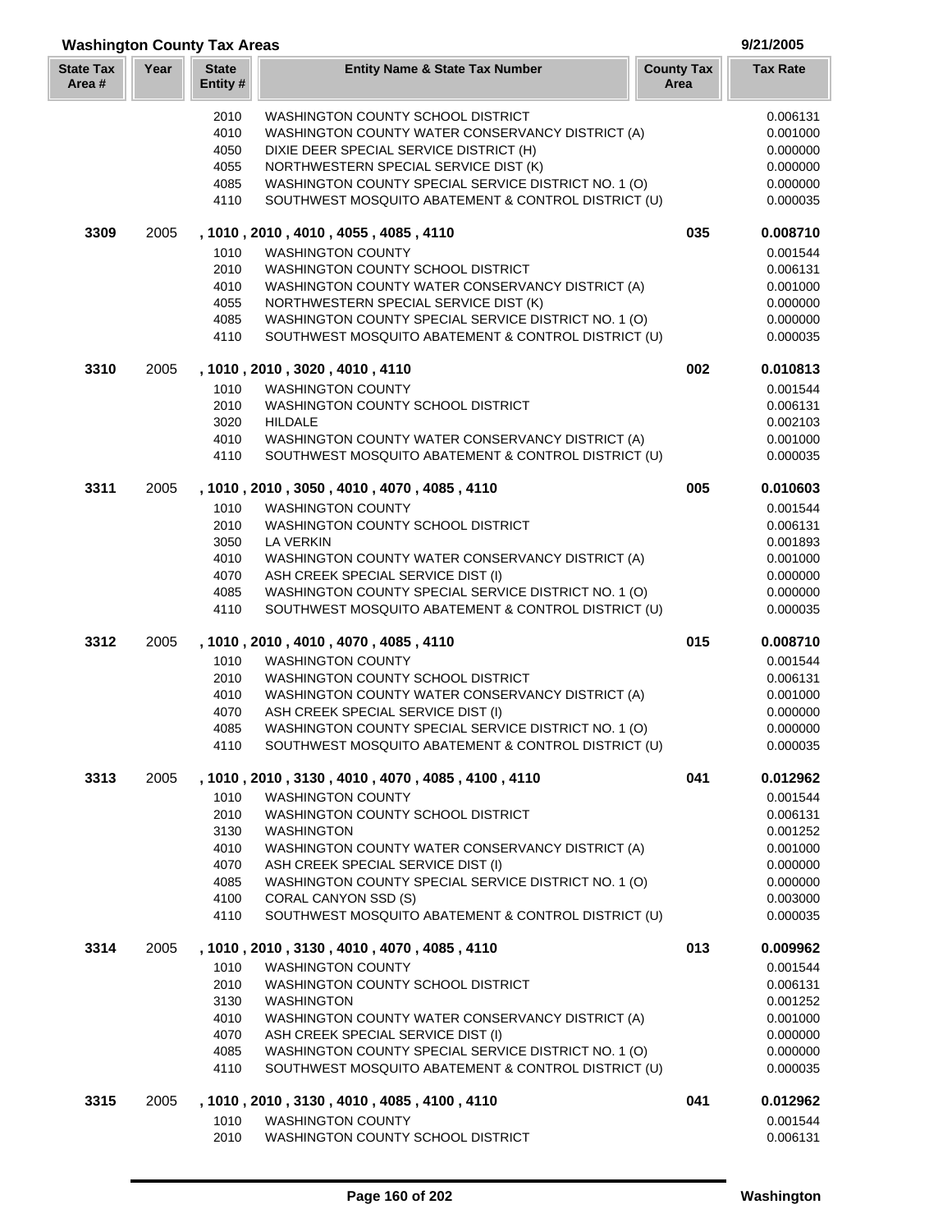| <b>Washington County Tax Areas</b> |      |                          |                                                                                                         |                           | 9/21/2005            |
|------------------------------------|------|--------------------------|---------------------------------------------------------------------------------------------------------|---------------------------|----------------------|
| <b>State Tax</b><br>Area#          | Year | <b>State</b><br>Entity # | <b>Entity Name &amp; State Tax Number</b>                                                               | <b>County Tax</b><br>Area | <b>Tax Rate</b>      |
|                                    |      | 2010                     | <b>WASHINGTON COUNTY SCHOOL DISTRICT</b>                                                                |                           | 0.006131             |
|                                    |      | 4010                     | WASHINGTON COUNTY WATER CONSERVANCY DISTRICT (A)                                                        |                           | 0.001000             |
|                                    |      | 4050                     | DIXIE DEER SPECIAL SERVICE DISTRICT (H)                                                                 |                           | 0.000000             |
|                                    |      | 4055                     | NORTHWESTERN SPECIAL SERVICE DIST (K)                                                                   |                           | 0.000000             |
|                                    |      | 4085                     | WASHINGTON COUNTY SPECIAL SERVICE DISTRICT NO. 1 (O)                                                    |                           | 0.000000             |
|                                    |      | 4110                     | SOUTHWEST MOSQUITO ABATEMENT & CONTROL DISTRICT (U)                                                     |                           | 0.000035             |
| 3309                               | 2005 |                          | , 1010 , 2010 , 4010 , 4055 , 4085 , 4110                                                               | 035                       | 0.008710             |
|                                    |      | 1010                     | <b>WASHINGTON COUNTY</b>                                                                                |                           | 0.001544             |
|                                    |      | 2010                     | WASHINGTON COUNTY SCHOOL DISTRICT                                                                       |                           | 0.006131             |
|                                    |      | 4010                     | WASHINGTON COUNTY WATER CONSERVANCY DISTRICT (A)                                                        |                           | 0.001000             |
|                                    |      | 4055                     | NORTHWESTERN SPECIAL SERVICE DIST (K)                                                                   |                           | 0.000000             |
|                                    |      | 4085                     | WASHINGTON COUNTY SPECIAL SERVICE DISTRICT NO. 1 (O)                                                    |                           | 0.000000             |
|                                    |      | 4110                     | SOUTHWEST MOSQUITO ABATEMENT & CONTROL DISTRICT (U)                                                     |                           | 0.000035             |
| 3310                               | 2005 |                          | , 1010, 2010, 3020, 4010, 4110                                                                          | 002                       | 0.010813             |
|                                    |      | 1010                     | <b>WASHINGTON COUNTY</b>                                                                                |                           | 0.001544             |
|                                    |      | 2010                     | WASHINGTON COUNTY SCHOOL DISTRICT                                                                       |                           | 0.006131             |
|                                    |      | 3020                     | <b>HILDALE</b>                                                                                          |                           | 0.002103             |
|                                    |      | 4010<br>4110             | WASHINGTON COUNTY WATER CONSERVANCY DISTRICT (A)<br>SOUTHWEST MOSQUITO ABATEMENT & CONTROL DISTRICT (U) |                           | 0.001000<br>0.000035 |
| 3311                               | 2005 |                          | , 1010, 2010, 3050, 4010, 4070, 4085, 4110                                                              | 005                       | 0.010603             |
|                                    |      | 1010                     | <b>WASHINGTON COUNTY</b>                                                                                |                           | 0.001544             |
|                                    |      | 2010                     | WASHINGTON COUNTY SCHOOL DISTRICT                                                                       |                           | 0.006131             |
|                                    |      | 3050                     | <b>LA VERKIN</b>                                                                                        |                           | 0.001893             |
|                                    |      | 4010                     | WASHINGTON COUNTY WATER CONSERVANCY DISTRICT (A)                                                        |                           | 0.001000             |
|                                    |      | 4070                     | ASH CREEK SPECIAL SERVICE DIST (I)                                                                      |                           | 0.000000             |
|                                    |      | 4085                     | WASHINGTON COUNTY SPECIAL SERVICE DISTRICT NO. 1 (O)                                                    |                           | 0.000000             |
|                                    |      | 4110                     | SOUTHWEST MOSQUITO ABATEMENT & CONTROL DISTRICT (U)                                                     |                           | 0.000035             |
| 3312                               | 2005 |                          | , 1010 , 2010 , 4010 , 4070 , 4085 , 4110                                                               | 015                       | 0.008710             |
|                                    |      | 1010                     | <b>WASHINGTON COUNTY</b>                                                                                |                           | 0.001544             |
|                                    |      | 2010                     | WASHINGTON COUNTY SCHOOL DISTRICT                                                                       |                           | 0.006131             |
|                                    |      | 4010                     | WASHINGTON COUNTY WATER CONSERVANCY DISTRICT (A)                                                        |                           | 0.001000             |
|                                    |      | 4070                     | ASH CREEK SPECIAL SERVICE DIST (I)                                                                      |                           | 0.000000             |
|                                    |      | 4085                     | WASHINGTON COUNTY SPECIAL SERVICE DISTRICT NO. 1 (O)                                                    |                           | 0.000000             |
|                                    |      | 4110                     | SOUTHWEST MOSQUITO ABATEMENT & CONTROL DISTRICT (U)                                                     |                           | 0.000035             |
| 3313                               | 2005 |                          | , 1010, 2010, 3130, 4010, 4070, 4085, 4100, 4110                                                        | 041                       | 0.012962             |
|                                    |      | 1010                     | <b>WASHINGTON COUNTY</b>                                                                                |                           | 0.001544             |
|                                    |      | 2010                     | WASHINGTON COUNTY SCHOOL DISTRICT                                                                       |                           | 0.006131             |
|                                    |      | 3130                     | <b>WASHINGTON</b>                                                                                       |                           | 0.001252             |
|                                    |      | 4010                     | WASHINGTON COUNTY WATER CONSERVANCY DISTRICT (A)                                                        |                           | 0.001000             |
|                                    |      | 4070                     | ASH CREEK SPECIAL SERVICE DIST (I)                                                                      |                           | 0.000000             |
|                                    |      | 4085                     | WASHINGTON COUNTY SPECIAL SERVICE DISTRICT NO. 1 (O)                                                    |                           | 0.000000             |
|                                    |      | 4100<br>4110             | CORAL CANYON SSD (S)<br>SOUTHWEST MOSQUITO ABATEMENT & CONTROL DISTRICT (U)                             |                           | 0.003000<br>0.000035 |
| 3314                               | 2005 |                          | , 1010 , 2010 , 3130 , 4010 , 4070 , 4085 , 4110                                                        | 013                       | 0.009962             |
|                                    |      |                          |                                                                                                         |                           |                      |
|                                    |      | 1010<br>2010             | <b>WASHINGTON COUNTY</b><br>WASHINGTON COUNTY SCHOOL DISTRICT                                           |                           | 0.001544<br>0.006131 |
|                                    |      | 3130                     | <b>WASHINGTON</b>                                                                                       |                           | 0.001252             |
|                                    |      | 4010                     | WASHINGTON COUNTY WATER CONSERVANCY DISTRICT (A)                                                        |                           | 0.001000             |
|                                    |      | 4070                     | ASH CREEK SPECIAL SERVICE DIST (I)                                                                      |                           | 0.000000             |
|                                    |      | 4085                     | WASHINGTON COUNTY SPECIAL SERVICE DISTRICT NO. 1 (O)                                                    |                           | 0.000000             |
|                                    |      | 4110                     | SOUTHWEST MOSQUITO ABATEMENT & CONTROL DISTRICT (U)                                                     |                           | 0.000035             |
| 3315                               | 2005 |                          | , 1010 , 2010 , 3130 , 4010 , 4085 , 4100 , 4110                                                        | 041                       | 0.012962             |
|                                    |      | 1010                     | <b>WASHINGTON COUNTY</b>                                                                                |                           | 0.001544             |
|                                    |      | 2010                     | WASHINGTON COUNTY SCHOOL DISTRICT                                                                       |                           | 0.006131             |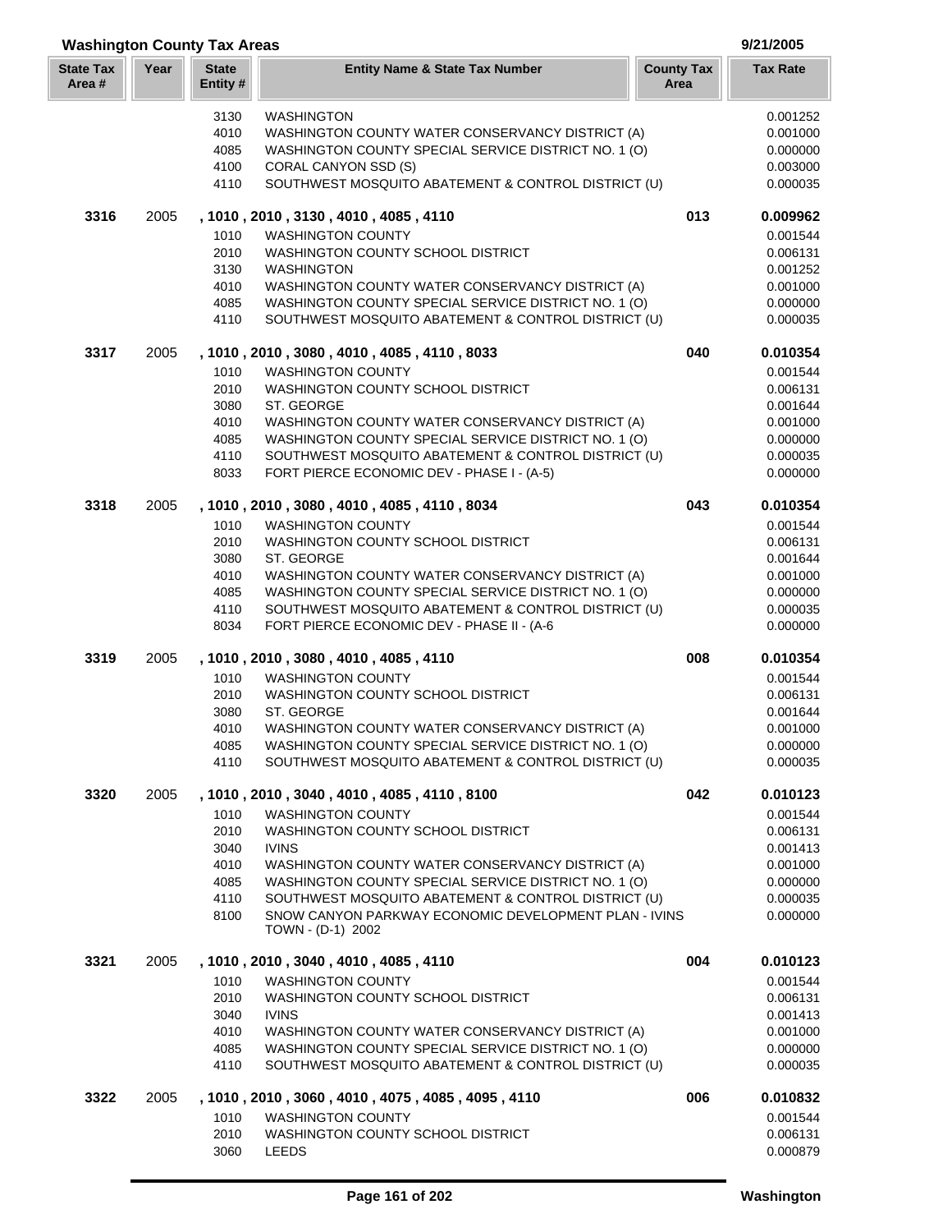| <b>Washington County Tax Areas</b> | 9/21/2005 |
|------------------------------------|-----------|
|------------------------------------|-----------|

| <b>State Tax</b><br>Area # | Year | <b>State</b><br>Entity#                              | <b>Entity Name &amp; State Tax Number</b>                                                                                                                                                                                                                                                                                                                                    | <b>County Tax</b><br>Area | <b>Tax Rate</b>                                                                              |
|----------------------------|------|------------------------------------------------------|------------------------------------------------------------------------------------------------------------------------------------------------------------------------------------------------------------------------------------------------------------------------------------------------------------------------------------------------------------------------------|---------------------------|----------------------------------------------------------------------------------------------|
|                            |      | 3130<br>4010<br>4085<br>4100<br>4110                 | <b>WASHINGTON</b><br>WASHINGTON COUNTY WATER CONSERVANCY DISTRICT (A)<br>WASHINGTON COUNTY SPECIAL SERVICE DISTRICT NO. 1 (O)<br>CORAL CANYON SSD (S)<br>SOUTHWEST MOSQUITO ABATEMENT & CONTROL DISTRICT (U)                                                                                                                                                                 |                           | 0.001252<br>0.001000<br>0.000000<br>0.003000<br>0.000035                                     |
| 3316                       | 2005 | 1010<br>2010<br>3130<br>4010<br>4085<br>4110         | , 1010, 2010, 3130, 4010, 4085, 4110<br><b>WASHINGTON COUNTY</b><br>WASHINGTON COUNTY SCHOOL DISTRICT<br><b>WASHINGTON</b><br>WASHINGTON COUNTY WATER CONSERVANCY DISTRICT (A)<br>WASHINGTON COUNTY SPECIAL SERVICE DISTRICT NO. 1 (O)<br>SOUTHWEST MOSQUITO ABATEMENT & CONTROL DISTRICT (U)                                                                                | 013                       | 0.009962<br>0.001544<br>0.006131<br>0.001252<br>0.001000<br>0.000000<br>0.000035             |
| 3317                       | 2005 | 1010<br>2010<br>3080<br>4010<br>4085<br>4110<br>8033 | , 1010, 2010, 3080, 4010, 4085, 4110, 8033<br><b>WASHINGTON COUNTY</b><br>WASHINGTON COUNTY SCHOOL DISTRICT<br>ST. GEORGE<br>WASHINGTON COUNTY WATER CONSERVANCY DISTRICT (A)<br>WASHINGTON COUNTY SPECIAL SERVICE DISTRICT NO. 1 (O)<br>SOUTHWEST MOSQUITO ABATEMENT & CONTROL DISTRICT (U)<br>FORT PIERCE ECONOMIC DEV - PHASE I - (A-5)                                   | 040                       | 0.010354<br>0.001544<br>0.006131<br>0.001644<br>0.001000<br>0.000000<br>0.000035<br>0.000000 |
| 3318                       | 2005 | 1010<br>2010<br>3080<br>4010<br>4085<br>4110<br>8034 | , 1010, 2010, 3080, 4010, 4085, 4110, 8034<br><b>WASHINGTON COUNTY</b><br>WASHINGTON COUNTY SCHOOL DISTRICT<br>ST. GEORGE<br>WASHINGTON COUNTY WATER CONSERVANCY DISTRICT (A)<br>WASHINGTON COUNTY SPECIAL SERVICE DISTRICT NO. 1 (O)<br>SOUTHWEST MOSQUITO ABATEMENT & CONTROL DISTRICT (U)<br>FORT PIERCE ECONOMIC DEV - PHASE II - (A-6                                   | 043                       | 0.010354<br>0.001544<br>0.006131<br>0.001644<br>0.001000<br>0.000000<br>0.000035<br>0.000000 |
| 3319                       | 2005 | 1010<br>2010<br>3080<br>4010<br>4085<br>4110         | , 1010, 2010, 3080, 4010, 4085, 4110<br><b>WASHINGTON COUNTY</b><br>WASHINGTON COUNTY SCHOOL DISTRICT<br>ST. GEORGE<br>WASHINGTON COUNTY WATER CONSERVANCY DISTRICT (A)<br>WASHINGTON COUNTY SPECIAL SERVICE DISTRICT NO. 1 (O)<br>SOUTHWEST MOSQUITO ABATEMENT & CONTROL DISTRICT (U)                                                                                       | 008                       | 0.010354<br>0.001544<br>0.006131<br>0.001644<br>0.001000<br>0.000000<br>0.000035             |
| 3320                       | 2005 | 1010<br>2010<br>3040<br>4010<br>4085<br>4110<br>8100 | , 1010, 2010, 3040, 4010, 4085, 4110, 8100<br><b>WASHINGTON COUNTY</b><br>WASHINGTON COUNTY SCHOOL DISTRICT<br><b>IVINS</b><br>WASHINGTON COUNTY WATER CONSERVANCY DISTRICT (A)<br>WASHINGTON COUNTY SPECIAL SERVICE DISTRICT NO. 1 (O)<br>SOUTHWEST MOSQUITO ABATEMENT & CONTROL DISTRICT (U)<br>SNOW CANYON PARKWAY ECONOMIC DEVELOPMENT PLAN - IVINS<br>TOWN - (D-1) 2002 | 042                       | 0.010123<br>0.001544<br>0.006131<br>0.001413<br>0.001000<br>0.000000<br>0.000035<br>0.000000 |
| 3321                       | 2005 | 1010<br>2010<br>3040<br>4010<br>4085<br>4110         | , 1010, 2010, 3040, 4010, 4085, 4110<br><b>WASHINGTON COUNTY</b><br>WASHINGTON COUNTY SCHOOL DISTRICT<br><b>IVINS</b><br>WASHINGTON COUNTY WATER CONSERVANCY DISTRICT (A)<br>WASHINGTON COUNTY SPECIAL SERVICE DISTRICT NO. 1 (O)<br>SOUTHWEST MOSQUITO ABATEMENT & CONTROL DISTRICT (U)                                                                                     | 004                       | 0.010123<br>0.001544<br>0.006131<br>0.001413<br>0.001000<br>0.000000<br>0.000035             |
| 3322                       | 2005 | 1010<br>2010<br>3060                                 | , 1010, 2010, 3060, 4010, 4075, 4085, 4095, 4110<br><b>WASHINGTON COUNTY</b><br>WASHINGTON COUNTY SCHOOL DISTRICT<br><b>LEEDS</b>                                                                                                                                                                                                                                            | 006                       | 0.010832<br>0.001544<br>0.006131<br>0.000879                                                 |

ľ L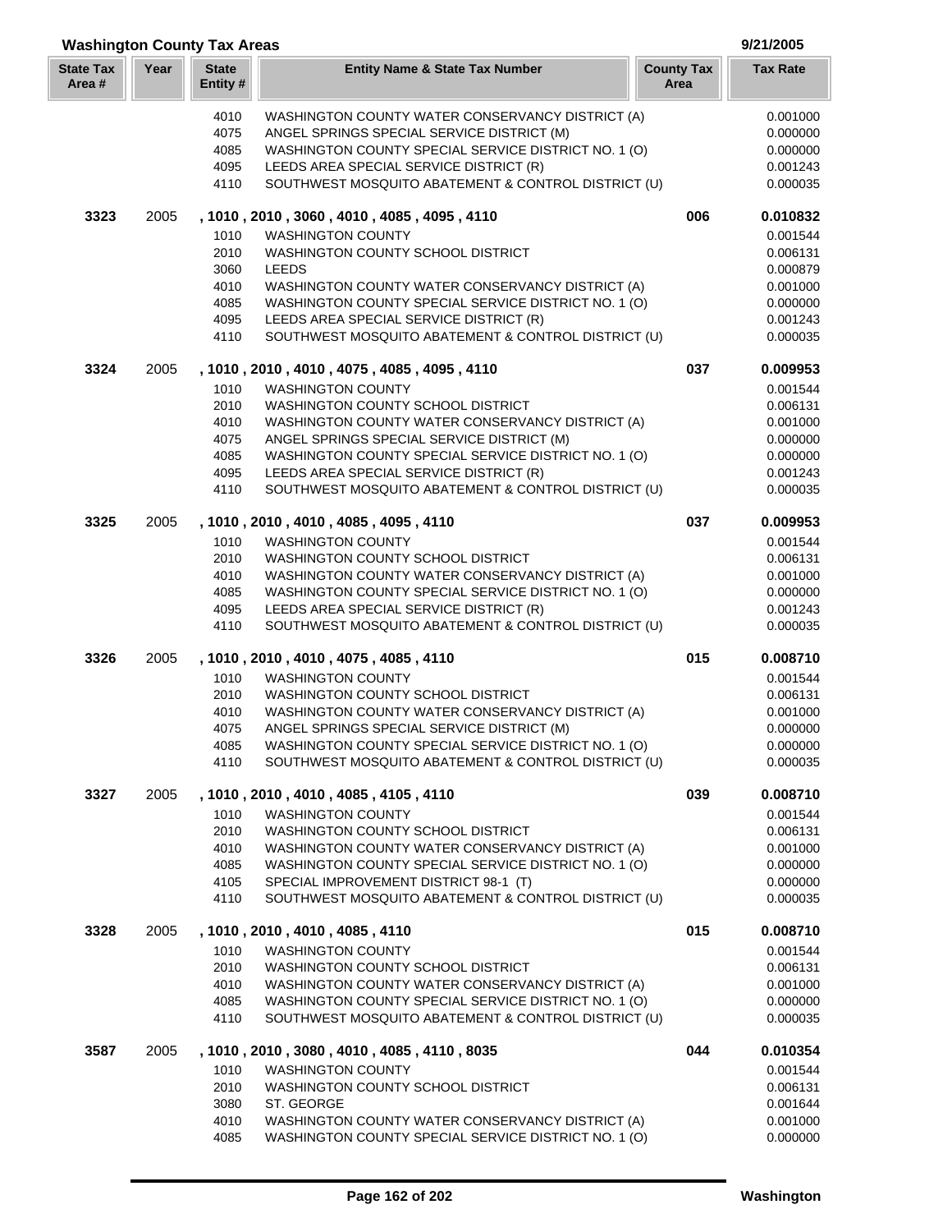| Area # |      | Entity#      |                                                                                                | Area |                      |
|--------|------|--------------|------------------------------------------------------------------------------------------------|------|----------------------|
|        |      | 4010         | WASHINGTON COUNTY WATER CONSERVANCY DISTRICT (A)                                               |      | 0.001000             |
|        |      | 4075         | ANGEL SPRINGS SPECIAL SERVICE DISTRICT (M)                                                     |      | 0.000000             |
|        |      | 4085         | WASHINGTON COUNTY SPECIAL SERVICE DISTRICT NO. 1 (O)                                           |      | 0.000000             |
|        |      | 4095         | LEEDS AREA SPECIAL SERVICE DISTRICT (R)                                                        |      | 0.001243             |
|        |      | 4110         | SOUTHWEST MOSQUITO ABATEMENT & CONTROL DISTRICT (U)                                            |      | 0.000035             |
| 3323   | 2005 |              | , 1010, 2010, 3060, 4010, 4085, 4095, 4110                                                     | 006  | 0.010832             |
|        |      | 1010         | <b>WASHINGTON COUNTY</b>                                                                       |      | 0.001544             |
|        |      | 2010         | WASHINGTON COUNTY SCHOOL DISTRICT                                                              |      | 0.006131             |
|        |      | 3060         | <b>LEEDS</b>                                                                                   |      | 0.000879             |
|        |      | 4010         | WASHINGTON COUNTY WATER CONSERVANCY DISTRICT (A)                                               |      | 0.001000             |
|        |      | 4085         | WASHINGTON COUNTY SPECIAL SERVICE DISTRICT NO. 1 (O)                                           |      | 0.000000             |
|        |      | 4095         | LEEDS AREA SPECIAL SERVICE DISTRICT (R)                                                        |      | 0.001243             |
|        |      | 4110         | SOUTHWEST MOSQUITO ABATEMENT & CONTROL DISTRICT (U)                                            |      | 0.000035             |
| 3324   | 2005 |              | , 1010, 2010, 4010, 4075, 4085, 4095, 4110                                                     | 037  | 0.009953             |
|        |      | 1010         | <b>WASHINGTON COUNTY</b>                                                                       |      | 0.001544             |
|        |      | 2010         | WASHINGTON COUNTY SCHOOL DISTRICT                                                              |      | 0.006131             |
|        |      | 4010         | WASHINGTON COUNTY WATER CONSERVANCY DISTRICT (A)                                               |      | 0.001000             |
|        |      | 4075         | ANGEL SPRINGS SPECIAL SERVICE DISTRICT (M)                                                     |      | 0.000000             |
|        |      | 4085         | WASHINGTON COUNTY SPECIAL SERVICE DISTRICT NO. 1 (O)                                           |      | 0.000000             |
|        |      | 4095<br>4110 | LEEDS AREA SPECIAL SERVICE DISTRICT (R)<br>SOUTHWEST MOSQUITO ABATEMENT & CONTROL DISTRICT (U) |      | 0.001243<br>0.000035 |
| 3325   | 2005 |              | , 1010, 2010, 4010, 4085, 4095, 4110                                                           | 037  | 0.009953             |
|        |      | 1010         | <b>WASHINGTON COUNTY</b>                                                                       |      | 0.001544             |
|        |      | 2010         | WASHINGTON COUNTY SCHOOL DISTRICT                                                              |      | 0.006131             |
|        |      | 4010         | WASHINGTON COUNTY WATER CONSERVANCY DISTRICT (A)                                               |      | 0.001000             |
|        |      | 4085         | WASHINGTON COUNTY SPECIAL SERVICE DISTRICT NO. 1 (O)                                           |      | 0.000000             |
|        |      | 4095         | LEEDS AREA SPECIAL SERVICE DISTRICT (R)                                                        |      | 0.001243             |
|        |      | 4110         | SOUTHWEST MOSQUITO ABATEMENT & CONTROL DISTRICT (U)                                            |      | 0.000035             |
| 3326   | 2005 |              | , 1010, 2010, 4010, 4075, 4085, 4110                                                           | 015  | 0.008710             |
|        |      | 1010         | <b>WASHINGTON COUNTY</b>                                                                       |      | 0.001544             |
|        |      | 2010         | WASHINGTON COUNTY SCHOOL DISTRICT                                                              |      | 0.006131             |
|        |      | 4010         | WASHINGTON COUNTY WATER CONSERVANCY DISTRICT (A)                                               |      | 0.001000             |
|        |      | 4075         | ANGEL SPRINGS SPECIAL SERVICE DISTRICT (M)                                                     |      | 0.000000             |
|        |      | 4085         | WASHINGTON COUNTY SPECIAL SERVICE DISTRICT NO. 1 (O)                                           |      | 0.000000             |
|        |      | 4110         | SOUTHWEST MOSQUITO ABATEMENT & CONTROL DISTRICT (U)                                            |      | 0.000035             |
| 3327   | 2005 |              | , 1010 , 2010 , 4010 , 4085 , 4105 , 4110                                                      | 039  | 0.008710             |
|        |      | 1010         | <b>WASHINGTON COUNTY</b>                                                                       |      | 0.001544             |
|        |      | 2010         | WASHINGTON COUNTY SCHOOL DISTRICT                                                              |      | 0.006131             |
|        |      | 4010         | WASHINGTON COUNTY WATER CONSERVANCY DISTRICT (A)                                               |      | 0.001000             |
|        |      | 4085         | WASHINGTON COUNTY SPECIAL SERVICE DISTRICT NO. 1 (O)                                           |      | 0.000000             |
|        |      | 4105<br>4110 | SPECIAL IMPROVEMENT DISTRICT 98-1 (T)<br>SOUTHWEST MOSQUITO ABATEMENT & CONTROL DISTRICT (U)   |      | 0.000000<br>0.000035 |
| 3328   | 2005 |              | , 1010, 2010, 4010, 4085, 4110                                                                 | 015  | 0.008710             |
|        |      | 1010         | <b>WASHINGTON COUNTY</b>                                                                       |      | 0.001544             |
|        |      | 2010         | WASHINGTON COUNTY SCHOOL DISTRICT                                                              |      | 0.006131             |
|        |      | 4010         | WASHINGTON COUNTY WATER CONSERVANCY DISTRICT (A)                                               |      | 0.001000             |
|        |      | 4085         | WASHINGTON COUNTY SPECIAL SERVICE DISTRICT NO. 1 (O)                                           |      | 0.000000             |
|        |      | 4110         | SOUTHWEST MOSQUITO ABATEMENT & CONTROL DISTRICT (U)                                            |      | 0.000035             |
| 3587   | 2005 |              | , 1010 , 2010 , 3080 , 4010 , 4085 , 4110 , 8035                                               | 044  | 0.010354             |
|        |      | 1010         | <b>WASHINGTON COUNTY</b>                                                                       |      | 0.001544             |
|        |      | 2010         | WASHINGTON COUNTY SCHOOL DISTRICT                                                              |      | 0.006131             |
|        |      | 3080         | ST. GEORGE                                                                                     |      | 0.001644             |
|        |      | 4010         | WASHINGTON COUNTY WATER CONSERVANCY DISTRICT (A)                                               |      | 0.001000             |
|        |      | 4085         | WASHINGTON COUNTY SPECIAL SERVICE DISTRICT NO. 1 (O)                                           |      | 0.000000             |

**Year Entity Name & State Tax Number County Tax Tax Rate**

**Washington County Tax Areas 9/21/2005**

**State Tax** 

**State**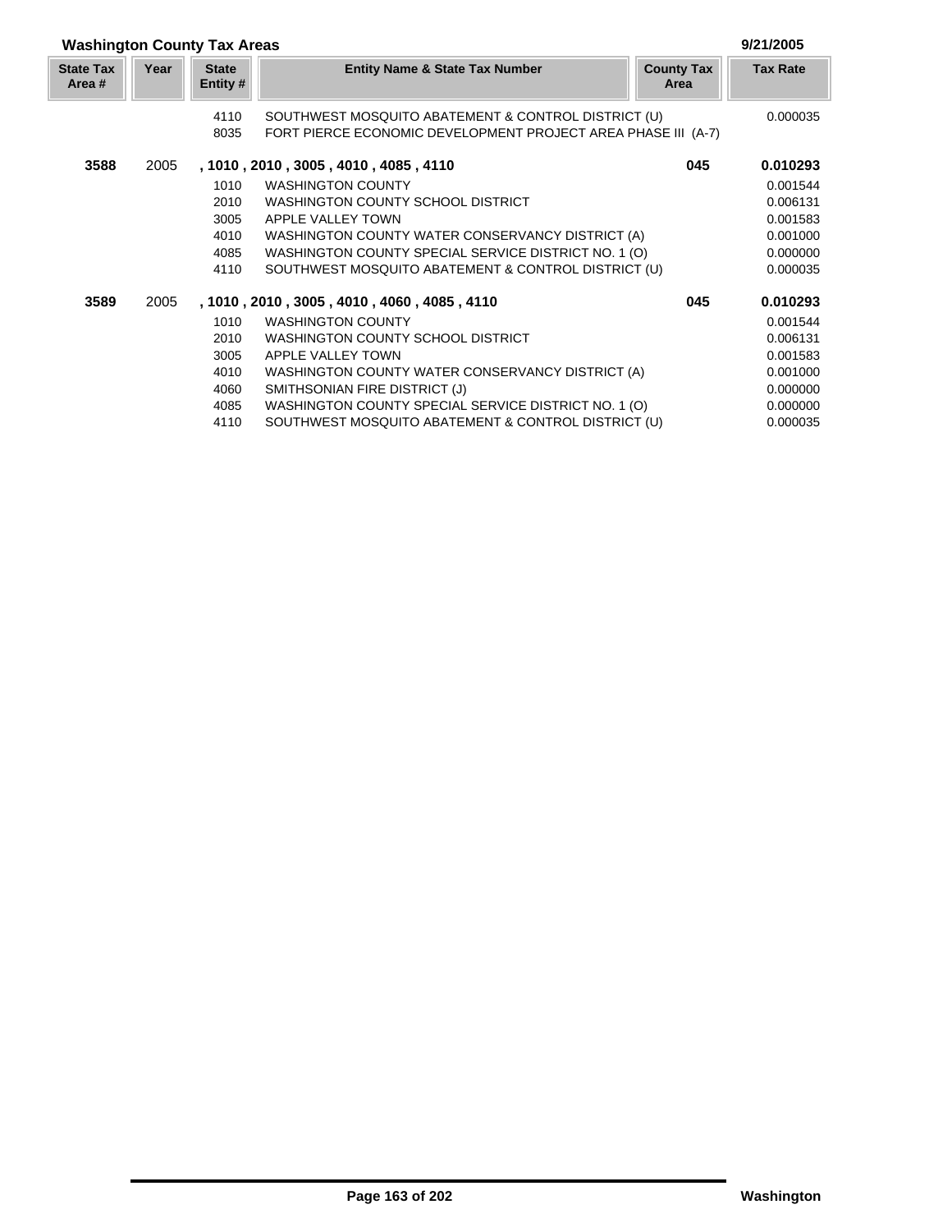| <b>Washington County Tax Areas</b> |      |                          |                                                               |                           | 9/21/2005       |
|------------------------------------|------|--------------------------|---------------------------------------------------------------|---------------------------|-----------------|
| <b>State Tax</b><br>Area #         | Year | <b>State</b><br>Entity # | <b>Entity Name &amp; State Tax Number</b>                     | <b>County Tax</b><br>Area | <b>Tax Rate</b> |
|                                    |      | 4110                     | SOUTHWEST MOSQUITO ABATEMENT & CONTROL DISTRICT (U)           |                           | 0.000035        |
|                                    |      | 8035                     | FORT PIERCE ECONOMIC DEVELOPMENT PROJECT AREA PHASE III (A-7) |                           |                 |
| 3588                               | 2005 |                          | , 1010 , 2010 , 3005 , 4010 , 4085 , 4110                     | 045                       | 0.010293        |
|                                    |      | 1010                     | <b>WASHINGTON COUNTY</b>                                      |                           | 0.001544        |
|                                    |      | 2010                     | WASHINGTON COUNTY SCHOOL DISTRICT                             |                           | 0.006131        |
|                                    |      | 3005                     | APPLE VALLEY TOWN                                             |                           | 0.001583        |
|                                    |      | 4010                     | WASHINGTON COUNTY WATER CONSERVANCY DISTRICT (A)              |                           | 0.001000        |
|                                    |      | 4085                     | WASHINGTON COUNTY SPECIAL SERVICE DISTRICT NO. 1 (O)          |                           | 0.000000        |
|                                    |      | 4110                     | SOUTHWEST MOSQUITO ABATEMENT & CONTROL DISTRICT (U)           |                           | 0.000035        |
| 3589                               | 2005 |                          | , 1010, 2010, 3005, 4010, 4060, 4085, 4110                    | 045                       | 0.010293        |
|                                    |      | 1010                     | <b>WASHINGTON COUNTY</b>                                      |                           | 0.001544        |
|                                    |      | 2010                     | WASHINGTON COUNTY SCHOOL DISTRICT                             |                           | 0.006131        |
|                                    |      | 3005                     | APPLE VALLEY TOWN                                             |                           | 0.001583        |
|                                    |      | 4010                     | WASHINGTON COUNTY WATER CONSERVANCY DISTRICT (A)              |                           | 0.001000        |
|                                    |      | 4060                     | SMITHSONIAN FIRE DISTRICT (J)                                 |                           | 0.000000        |
|                                    |      | 4085                     | WASHINGTON COUNTY SPECIAL SERVICE DISTRICT NO. 1 (O)          |                           | 0.000000        |
|                                    |      | 4110                     | SOUTHWEST MOSQUITO ABATEMENT & CONTROL DISTRICT (U)           |                           | 0.000035        |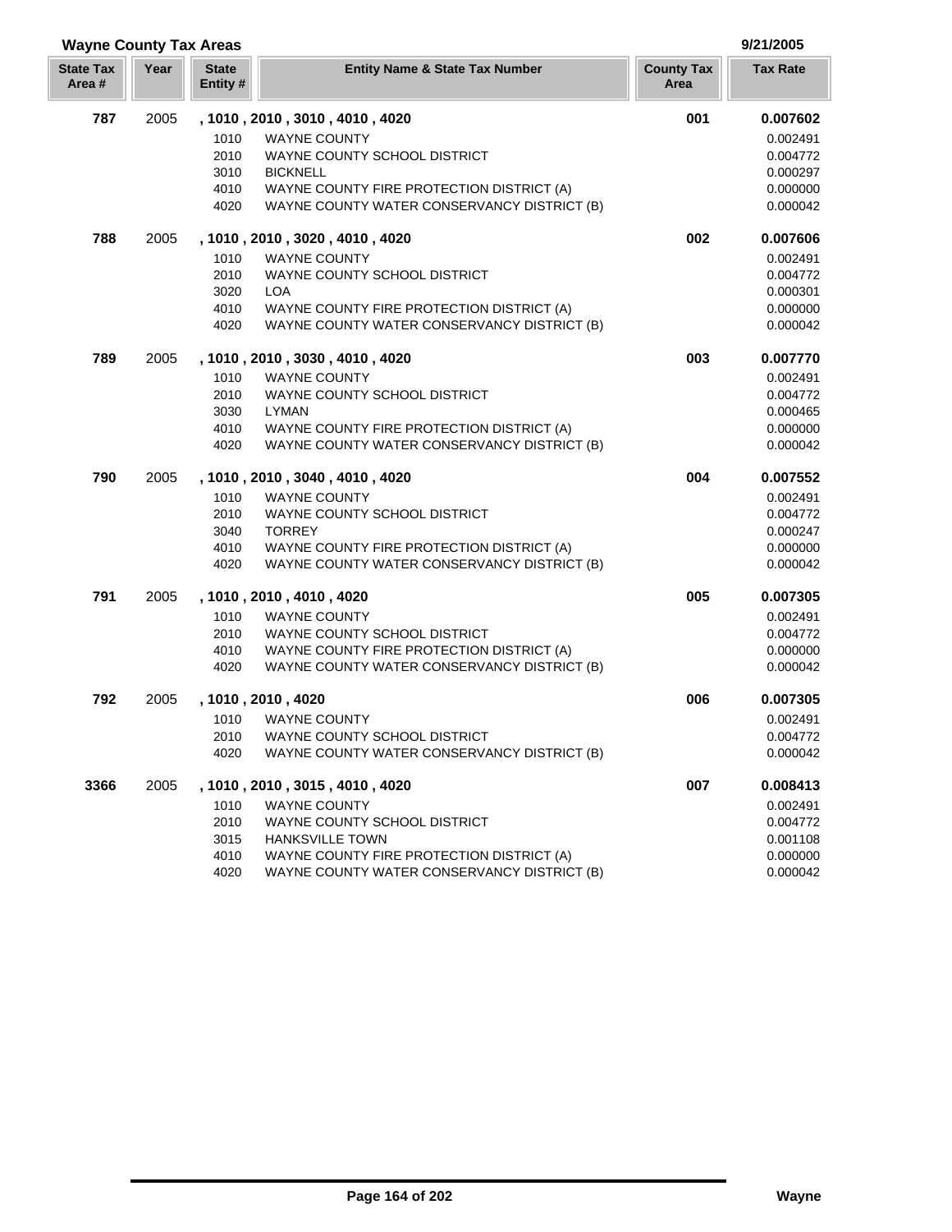| <b>Wayne County Tax Areas</b> |      |                         | 9/21/2005                                   |                           |                 |
|-------------------------------|------|-------------------------|---------------------------------------------|---------------------------|-----------------|
| <b>State Tax</b><br>Area#     | Year | <b>State</b><br>Entity# | <b>Entity Name &amp; State Tax Number</b>   | <b>County Tax</b><br>Area | <b>Tax Rate</b> |
| 787                           | 2005 |                         | , 1010, 2010, 3010, 4010, 4020              | 001                       | 0.007602        |
|                               |      | 1010                    | <b>WAYNE COUNTY</b>                         |                           | 0.002491        |
|                               |      | 2010                    | WAYNE COUNTY SCHOOL DISTRICT                |                           | 0.004772        |
|                               |      | 3010                    | <b>BICKNELL</b>                             |                           | 0.000297        |
|                               |      | 4010                    | WAYNE COUNTY FIRE PROTECTION DISTRICT (A)   |                           | 0.000000        |
|                               |      | 4020                    | WAYNE COUNTY WATER CONSERVANCY DISTRICT (B) |                           | 0.000042        |
| 788                           | 2005 |                         | , 1010, 2010, 3020, 4010, 4020              | 002                       | 0.007606        |
|                               |      | 1010                    | <b>WAYNE COUNTY</b>                         |                           | 0.002491        |
|                               |      | 2010                    | WAYNE COUNTY SCHOOL DISTRICT                |                           | 0.004772        |
|                               |      | 3020                    | <b>LOA</b>                                  |                           | 0.000301        |
|                               |      | 4010                    | WAYNE COUNTY FIRE PROTECTION DISTRICT (A)   |                           | 0.000000        |
|                               |      | 4020                    | WAYNE COUNTY WATER CONSERVANCY DISTRICT (B) |                           | 0.000042        |
| 789                           | 2005 |                         | , 1010 , 2010 , 3030 , 4010 , 4020          | 003                       | 0.007770        |
|                               |      | 1010                    | <b>WAYNE COUNTY</b>                         |                           | 0.002491        |
|                               |      | 2010                    | WAYNE COUNTY SCHOOL DISTRICT                |                           | 0.004772        |
|                               |      | 3030                    | <b>LYMAN</b>                                |                           | 0.000465        |
|                               |      | 4010                    | WAYNE COUNTY FIRE PROTECTION DISTRICT (A)   |                           | 0.000000        |
|                               |      | 4020                    | WAYNE COUNTY WATER CONSERVANCY DISTRICT (B) |                           | 0.000042        |
| 790                           | 2005 |                         | , 1010, 2010, 3040, 4010, 4020              | 004                       | 0.007552        |
|                               |      | 1010                    | <b>WAYNE COUNTY</b>                         |                           | 0.002491        |
|                               |      | 2010                    | WAYNE COUNTY SCHOOL DISTRICT                |                           | 0.004772        |
|                               |      | 3040                    | <b>TORREY</b>                               |                           | 0.000247        |
|                               |      | 4010                    | WAYNE COUNTY FIRE PROTECTION DISTRICT (A)   |                           | 0.000000        |
|                               |      | 4020                    | WAYNE COUNTY WATER CONSERVANCY DISTRICT (B) |                           | 0.000042        |
| 791                           | 2005 |                         | , 1010, 2010, 4010, 4020                    | 005                       | 0.007305        |
|                               |      | 1010                    | <b>WAYNE COUNTY</b>                         |                           | 0.002491        |
|                               |      | 2010                    | WAYNE COUNTY SCHOOL DISTRICT                |                           | 0.004772        |
|                               |      | 4010                    | WAYNE COUNTY FIRE PROTECTION DISTRICT (A)   |                           | 0.000000        |
|                               |      | 4020                    | WAYNE COUNTY WATER CONSERVANCY DISTRICT (B) |                           | 0.000042        |
| 792                           | 2005 |                         | , 1010, 2010, 4020                          | 006                       | 0.007305        |
|                               |      | 1010                    | <b>WAYNE COUNTY</b>                         |                           | 0.002491        |
|                               |      | 2010                    | WAYNE COUNTY SCHOOL DISTRICT                |                           | 0.004772        |
|                               |      | 4020                    | WAYNE COUNTY WATER CONSERVANCY DISTRICT (B) |                           | 0.000042        |
| 3366                          | 2005 |                         | , 1010, 2010, 3015, 4010, 4020              | 007                       | 0.008413        |
|                               |      | 1010                    | <b>WAYNE COUNTY</b>                         |                           | 0.002491        |
|                               |      | 2010                    | WAYNE COUNTY SCHOOL DISTRICT                |                           | 0.004772        |
|                               |      | 3015                    | <b>HANKSVILLE TOWN</b>                      |                           | 0.001108        |
|                               |      | 4010                    | WAYNE COUNTY FIRE PROTECTION DISTRICT (A)   |                           | 0.000000        |
|                               |      | 4020                    | WAYNE COUNTY WATER CONSERVANCY DISTRICT (B) |                           | 0.000042        |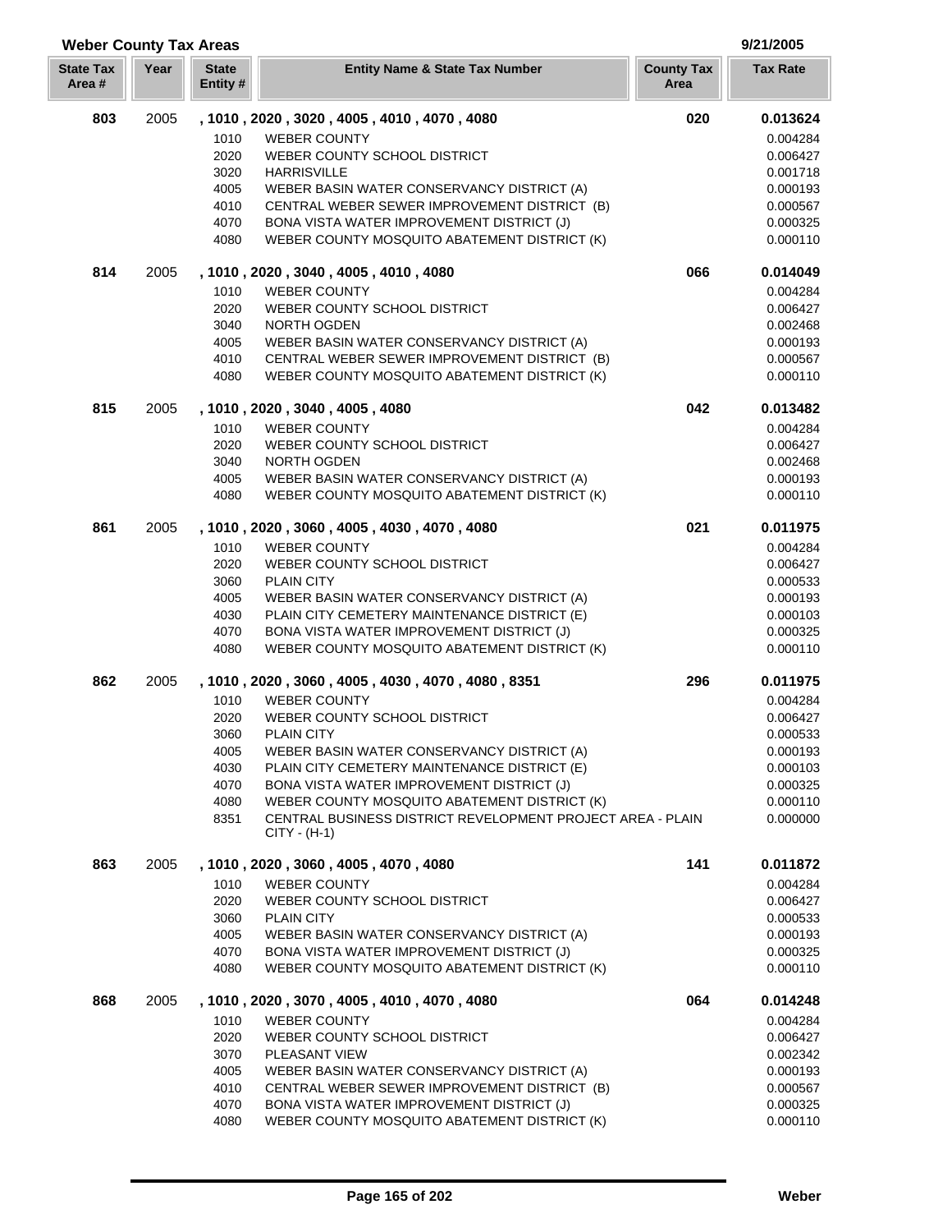### 2005 **, 1010 , 2020 , 3020 , 4005 , 4010 , 4070 , 4080 020 0.013624** 1010 WEBER COUNTY **1010** WEBER COUNTY WEBER COUNTY SCHOOL DISTRICT 0.006427 3020 HARRISVILLE 2000 000 1718 WEBER BASIN WATER CONSERVANCY DISTRICT (A) 0.000193 4010 CENTRAL WEBER SEWER IMPROVEMENT DISTRICT (B) 0.000567 4070 BONA VISTA WATER IMPROVEMENT DISTRICT (J) 0.000325 WEBER COUNTY MOSQUITO ABATEMENT DISTRICT (K) 0.000110 2005 **, 1010 , 2020 , 3040 , 4005 , 4010 , 4080 066 0.014049** 1010 WEBER COUNTY **1010** WEBER COUNTY WEBER COUNTY SCHOOL DISTRICT 0.006427 NORTH OGDEN 0.002468 4005 WEBER BASIN WATER CONSERVANCY DISTRICT (A) 0.000193 CENTRAL WEBER SEWER IMPROVEMENT DISTRICT (B) 0.000567 WEBER COUNTY MOSQUITO ABATEMENT DISTRICT (K) 0.000110 2005 **, 1010 , 2020 , 3040 , 4005 , 4080 042 0.013482** WEBER COUNTY 0.004284 WEBER COUNTY SCHOOL DISTRICT 0.006427 NORTH OGDEN 0.002468 4005 WEBER BASIN WATER CONSERVANCY DISTRICT (A) 0.000193 WEBER COUNTY MOSQUITO ABATEMENT DISTRICT (K) 0.000110 2005 **, 1010 , 2020 , 3060 , 4005 , 4030 , 4070 , 4080 021 0.011975** WEBER COUNTY 0.004284 WEBER COUNTY SCHOOL DISTRICT 0.006427 3060 PLAIN CITY 6.000533 4005 WEBER BASIN WATER CONSERVANCY DISTRICT (A) 0.000193 PLAIN CITY CEMETERY MAINTENANCE DISTRICT (E) 0.000103 4070 BONA VISTA WATER IMPROVEMENT DISTRICT (J) 0.000325 WEBER COUNTY MOSQUITO ABATEMENT DISTRICT (K) 0.000110 2005 **, 1010 , 2020 , 3060 , 4005 , 4030 , 4070 , 4080 , 8351 296 0.011975** 1010 WEBER COUNTY **1010** WEBER COUNTY WEBER COUNTY SCHOOL DISTRICT 0.006427 3060 PLAIN CITY 6.000533 WEBER BASIN WATER CONSERVANCY DISTRICT (A) 0.000193 PLAIN CITY CEMETERY MAINTENANCE DISTRICT (E) 0.000103 4070 BONA VISTA WATER IMPROVEMENT DISTRICT (J) 0.000325 WEBER COUNTY MOSQUITO ABATEMENT DISTRICT (K) 0.000110 CENTRAL BUSINESS DISTRICT REVELOPMENT PROJECT AREA - PLAIN 0.000000 CITY - (H-1) 2005 **, 1010 , 2020 , 3060 , 4005 , 4070 , 4080 141 0.011872** WEBER COUNTY 0.004284 WEBER COUNTY SCHOOL DISTRICT 0.006427 3060 PLAIN CITY 6.000533 WEBER BASIN WATER CONSERVANCY DISTRICT (A) 0.000193 BONA VISTA WATER IMPROVEMENT DISTRICT (J) 0.000325 WEBER COUNTY MOSQUITO ABATEMENT DISTRICT (K) 0.000110 2005 **, 1010 , 2020 , 3070 , 4005 , 4010 , 4070 , 4080 064 0.014248** WEBER COUNTY 0.004284 WEBER COUNTY SCHOOL DISTRICT 0.006427 PLEASANT VIEW 0.002342 WEBER BASIN WATER CONSERVANCY DISTRICT (A) 0.000193 CENTRAL WEBER SEWER IMPROVEMENT DISTRICT (B) 0.000567 BONA VISTA WATER IMPROVEMENT DISTRICT (J) 0.000325 WEBER COUNTY MOSQUITO ABATEMENT DISTRICT (K) 0.000110

**Year Entity Name & State Tax Number County Tax Tax Rate**

**Weber County Tax Areas 9/21/2005**

**State Tax Area #**

**State Entity #**

**Area**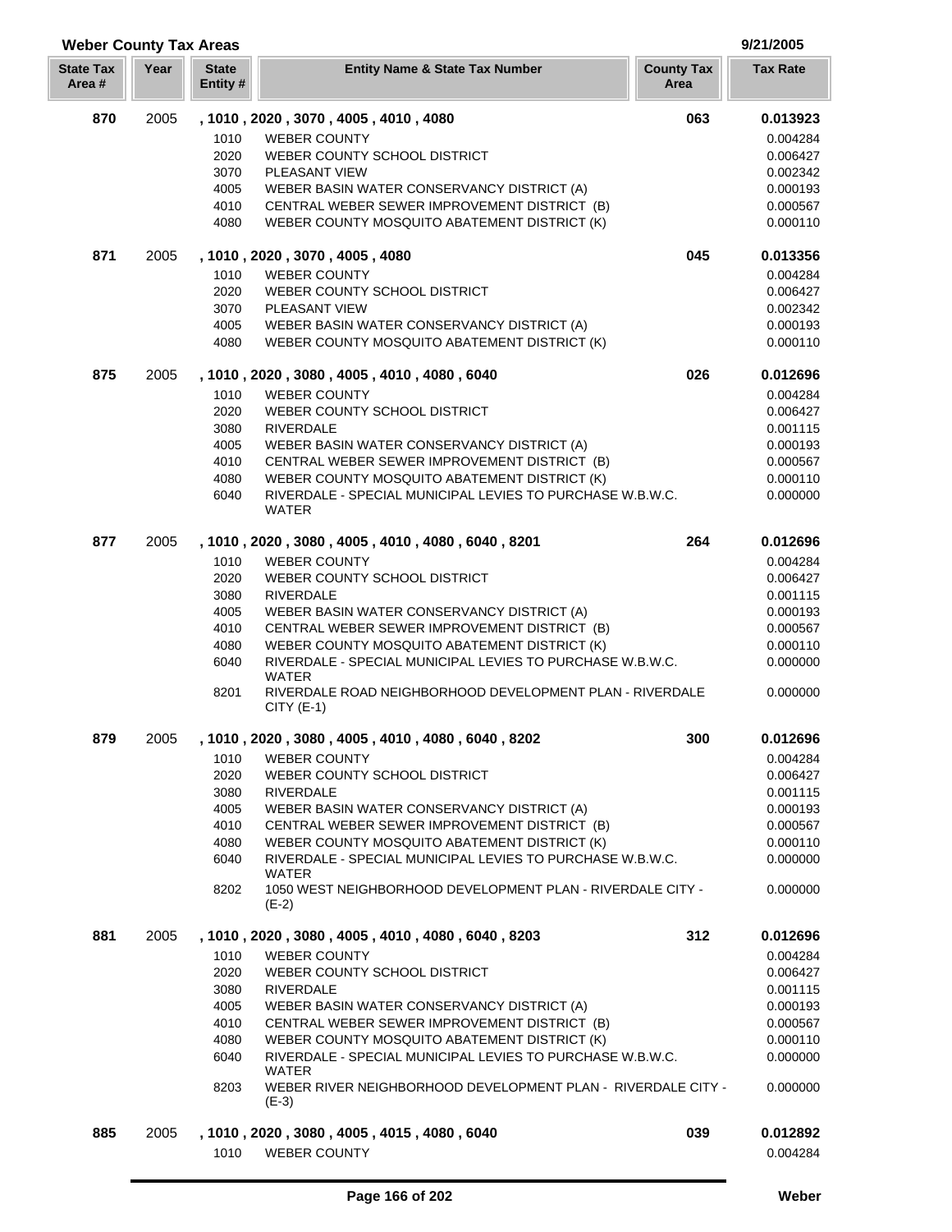| <b>Weber County Tax Areas</b><br>9/21/2005 |      |                          |                                                                                                           |                           |                      |
|--------------------------------------------|------|--------------------------|-----------------------------------------------------------------------------------------------------------|---------------------------|----------------------|
| <b>State Tax</b><br>Area #                 | Year | <b>State</b><br>Entity # | <b>Entity Name &amp; State Tax Number</b>                                                                 | <b>County Tax</b><br>Area | <b>Tax Rate</b>      |
| 870                                        | 2005 |                          | , 1010, 2020, 3070, 4005, 4010, 4080                                                                      | 063                       | 0.013923             |
|                                            |      | 1010                     | <b>WEBER COUNTY</b>                                                                                       |                           | 0.004284             |
|                                            |      | 2020                     | WEBER COUNTY SCHOOL DISTRICT                                                                              |                           | 0.006427             |
|                                            |      | 3070                     | PLEASANT VIEW                                                                                             |                           | 0.002342             |
|                                            |      | 4005                     | WEBER BASIN WATER CONSERVANCY DISTRICT (A)                                                                |                           | 0.000193             |
|                                            |      | 4010                     | CENTRAL WEBER SEWER IMPROVEMENT DISTRICT (B)                                                              |                           | 0.000567             |
|                                            |      | 4080                     | WEBER COUNTY MOSQUITO ABATEMENT DISTRICT (K)                                                              |                           | 0.000110             |
| 871                                        | 2005 |                          | , 1010, 2020, 3070, 4005, 4080                                                                            | 045                       | 0.013356             |
|                                            |      | 1010                     | <b>WEBER COUNTY</b>                                                                                       |                           | 0.004284             |
|                                            |      | 2020                     | WEBER COUNTY SCHOOL DISTRICT                                                                              |                           | 0.006427             |
|                                            |      | 3070                     | PLEASANT VIEW                                                                                             |                           | 0.002342             |
|                                            |      | 4005                     | WEBER BASIN WATER CONSERVANCY DISTRICT (A)                                                                |                           | 0.000193             |
|                                            |      | 4080                     | WEBER COUNTY MOSQUITO ABATEMENT DISTRICT (K)                                                              |                           | 0.000110             |
| 875                                        | 2005 |                          | , 1010, 2020, 3080, 4005, 4010, 4080, 6040                                                                | 026                       | 0.012696             |
|                                            |      | 1010                     | <b>WEBER COUNTY</b>                                                                                       |                           | 0.004284             |
|                                            |      | 2020                     | WEBER COUNTY SCHOOL DISTRICT                                                                              |                           | 0.006427             |
|                                            |      | 3080                     | <b>RIVERDALE</b>                                                                                          |                           | 0.001115             |
|                                            |      | 4005<br>4010             | WEBER BASIN WATER CONSERVANCY DISTRICT (A)                                                                |                           | 0.000193<br>0.000567 |
|                                            |      | 4080                     | CENTRAL WEBER SEWER IMPROVEMENT DISTRICT (B)<br>WEBER COUNTY MOSQUITO ABATEMENT DISTRICT (K)              |                           | 0.000110             |
|                                            |      | 6040                     | RIVERDALE - SPECIAL MUNICIPAL LEVIES TO PURCHASE W.B.W.C.                                                 |                           | 0.000000             |
|                                            |      |                          | WATER                                                                                                     |                           |                      |
| 877                                        | 2005 |                          | , 1010, 2020, 3080, 4005, 4010, 4080, 6040, 8201                                                          | 264                       | 0.012696             |
|                                            |      | 1010                     | <b>WEBER COUNTY</b>                                                                                       |                           | 0.004284             |
|                                            |      | 2020                     | WEBER COUNTY SCHOOL DISTRICT                                                                              |                           | 0.006427             |
|                                            |      | 3080                     | <b>RIVERDALE</b>                                                                                          |                           | 0.001115             |
|                                            |      | 4005                     | WEBER BASIN WATER CONSERVANCY DISTRICT (A)                                                                |                           | 0.000193             |
|                                            |      | 4010                     | CENTRAL WEBER SEWER IMPROVEMENT DISTRICT (B)                                                              |                           | 0.000567             |
|                                            |      | 4080                     | WEBER COUNTY MOSQUITO ABATEMENT DISTRICT (K)                                                              |                           | 0.000110             |
|                                            |      | 6040                     | RIVERDALE - SPECIAL MUNICIPAL LEVIES TO PURCHASE W.B.W.C.<br>WATER                                        |                           | 0.000000             |
|                                            |      | 8201                     | RIVERDALE ROAD NEIGHBORHOOD DEVELOPMENT PLAN - RIVERDALE<br>$CITY$ (E-1)                                  |                           | 0.000000             |
| 879                                        | 2005 |                          | , 1010, 2020, 3080, 4005, 4010, 4080, 6040, 8202                                                          | 300                       | 0.012696             |
|                                            |      | 1010                     | <b>WEBER COUNTY</b>                                                                                       |                           | 0.004284             |
|                                            |      | 2020                     | WEBER COUNTY SCHOOL DISTRICT                                                                              |                           | 0.006427             |
|                                            |      | 3080                     | RIVERDALE                                                                                                 |                           | 0.001115             |
|                                            |      | 4005                     | WEBER BASIN WATER CONSERVANCY DISTRICT (A)                                                                |                           | 0.000193             |
|                                            |      | 4010                     | CENTRAL WEBER SEWER IMPROVEMENT DISTRICT (B)                                                              |                           | 0.000567             |
|                                            |      | 4080                     | WEBER COUNTY MOSQUITO ABATEMENT DISTRICT (K)<br>RIVERDALE - SPECIAL MUNICIPAL LEVIES TO PURCHASE W.B.W.C. |                           | 0.000110             |
|                                            |      | 6040                     | WATER                                                                                                     |                           | 0.000000             |
|                                            |      | 8202                     | 1050 WEST NEIGHBORHOOD DEVELOPMENT PLAN - RIVERDALE CITY -<br>$(E-2)$                                     |                           | 0.000000             |
| 881                                        | 2005 |                          | , 1010, 2020, 3080, 4005, 4010, 4080, 6040, 8203                                                          | 312                       | 0.012696             |
|                                            |      | 1010                     | <b>WEBER COUNTY</b>                                                                                       |                           | 0.004284             |
|                                            |      | 2020                     | WEBER COUNTY SCHOOL DISTRICT                                                                              |                           | 0.006427             |
|                                            |      | 3080                     | <b>RIVERDALE</b>                                                                                          |                           | 0.001115             |
|                                            |      | 4005                     | WEBER BASIN WATER CONSERVANCY DISTRICT (A)                                                                |                           | 0.000193             |
|                                            |      | 4010                     | CENTRAL WEBER SEWER IMPROVEMENT DISTRICT (B)                                                              |                           | 0.000567             |
|                                            |      | 4080                     | WEBER COUNTY MOSQUITO ABATEMENT DISTRICT (K)                                                              |                           | 0.000110             |
|                                            |      | 6040                     | RIVERDALE - SPECIAL MUNICIPAL LEVIES TO PURCHASE W.B.W.C.                                                 |                           | 0.000000             |
|                                            |      |                          | WATER                                                                                                     |                           |                      |
|                                            |      | 8203                     | WEBER RIVER NEIGHBORHOOD DEVELOPMENT PLAN - RIVERDALE CITY -<br>$(E-3)$                                   |                           | 0.000000             |
| 885                                        | 2005 |                          | , 1010 , 2020 , 3080 , 4005 , 4015 , 4080 , 6040                                                          | 039                       | 0.012892             |
|                                            |      | 1010                     | <b>WEBER COUNTY</b>                                                                                       |                           | 0.004284             |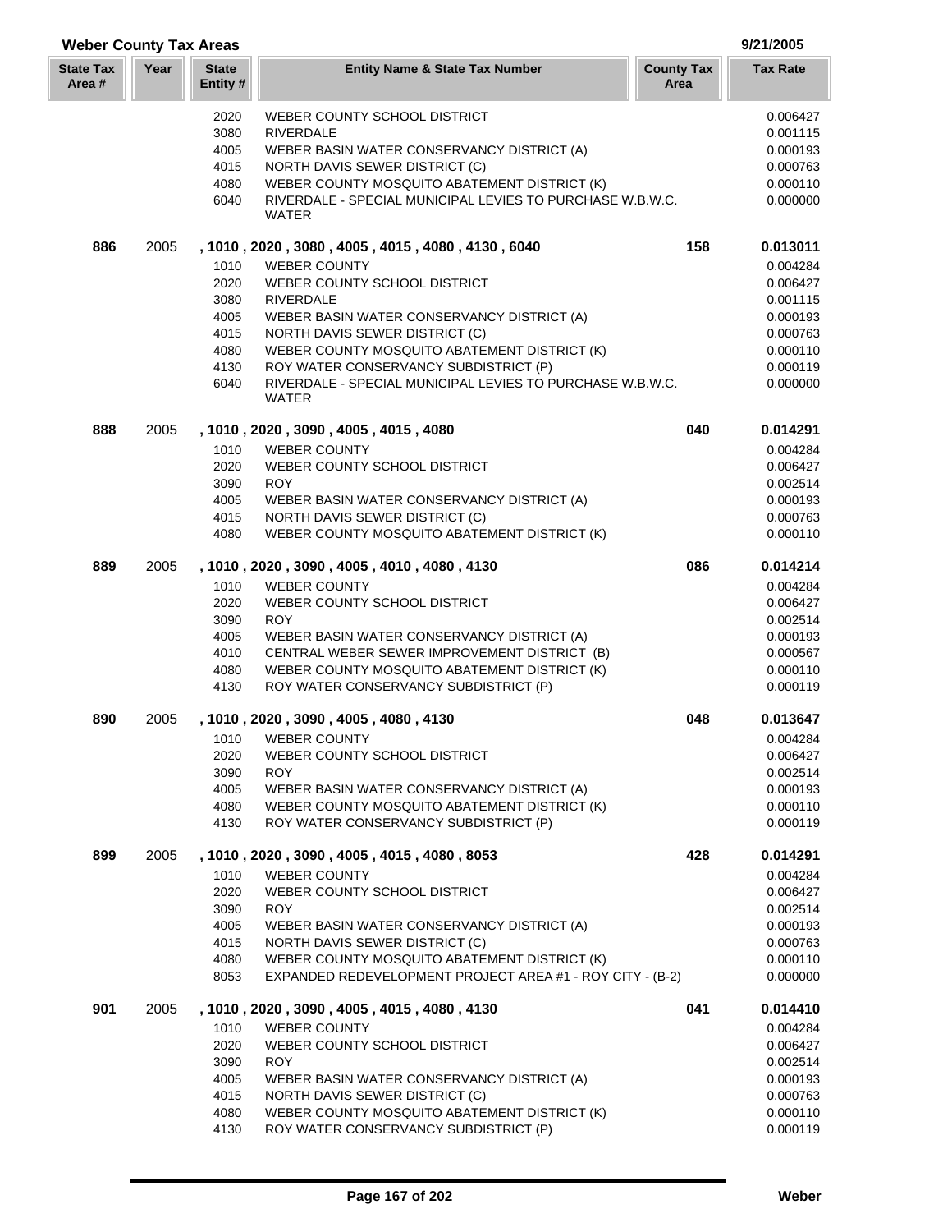| <b>Weber County Tax Areas</b> |      |                         |                                                                                            | 9/21/2005                 |                      |
|-------------------------------|------|-------------------------|--------------------------------------------------------------------------------------------|---------------------------|----------------------|
| <b>State Tax</b><br>Area #    | Year | <b>State</b><br>Entity# | <b>Entity Name &amp; State Tax Number</b>                                                  | <b>County Tax</b><br>Area | <b>Tax Rate</b>      |
|                               |      | 2020                    | WEBER COUNTY SCHOOL DISTRICT                                                               |                           | 0.006427             |
|                               |      | 3080                    | <b>RIVERDALE</b>                                                                           |                           | 0.001115             |
|                               |      | 4005                    | WEBER BASIN WATER CONSERVANCY DISTRICT (A)                                                 |                           | 0.000193             |
|                               |      | 4015                    | NORTH DAVIS SEWER DISTRICT (C)                                                             |                           | 0.000763             |
|                               |      | 4080                    | WEBER COUNTY MOSQUITO ABATEMENT DISTRICT (K)                                               |                           | 0.000110             |
|                               |      | 6040                    | RIVERDALE - SPECIAL MUNICIPAL LEVIES TO PURCHASE W.B.W.C.<br><b>WATER</b>                  |                           | 0.000000             |
| 886                           | 2005 |                         | , 1010, 2020, 3080, 4005, 4015, 4080, 4130, 6040                                           | 158                       | 0.013011             |
|                               |      | 1010                    | <b>WEBER COUNTY</b>                                                                        |                           | 0.004284             |
|                               |      | 2020                    | WEBER COUNTY SCHOOL DISTRICT                                                               |                           | 0.006427             |
|                               |      | 3080                    | <b>RIVERDALE</b>                                                                           |                           | 0.001115             |
|                               |      | 4005                    | WEBER BASIN WATER CONSERVANCY DISTRICT (A)                                                 |                           | 0.000193             |
|                               |      | 4015                    | NORTH DAVIS SEWER DISTRICT (C)                                                             |                           | 0.000763             |
|                               |      | 4080<br>4130            | WEBER COUNTY MOSQUITO ABATEMENT DISTRICT (K)<br>ROY WATER CONSERVANCY SUBDISTRICT (P)      |                           | 0.000110<br>0.000119 |
|                               |      | 6040                    | RIVERDALE - SPECIAL MUNICIPAL LEVIES TO PURCHASE W.B.W.C.<br><b>WATER</b>                  |                           | 0.000000             |
| 888                           | 2005 |                         | , 1010, 2020, 3090, 4005, 4015, 4080                                                       | 040                       | 0.014291             |
|                               |      | 1010                    | <b>WEBER COUNTY</b>                                                                        |                           | 0.004284             |
|                               |      | 2020                    | WEBER COUNTY SCHOOL DISTRICT                                                               |                           | 0.006427             |
|                               |      | 3090                    | <b>ROY</b>                                                                                 |                           | 0.002514             |
|                               |      | 4005                    | WEBER BASIN WATER CONSERVANCY DISTRICT (A)                                                 |                           | 0.000193             |
|                               |      | 4015                    | NORTH DAVIS SEWER DISTRICT (C)                                                             |                           | 0.000763             |
|                               |      | 4080                    | WEBER COUNTY MOSQUITO ABATEMENT DISTRICT (K)                                               |                           | 0.000110             |
| 889                           | 2005 |                         | , 1010, 2020, 3090, 4005, 4010, 4080, 4130                                                 | 086                       | 0.014214             |
|                               |      | 1010                    | <b>WEBER COUNTY</b>                                                                        |                           | 0.004284             |
|                               |      | 2020                    | WEBER COUNTY SCHOOL DISTRICT                                                               |                           | 0.006427             |
|                               |      | 3090                    | <b>ROY</b>                                                                                 |                           | 0.002514             |
|                               |      | 4005<br>4010            | WEBER BASIN WATER CONSERVANCY DISTRICT (A)<br>CENTRAL WEBER SEWER IMPROVEMENT DISTRICT (B) |                           | 0.000193<br>0.000567 |
|                               |      | 4080                    | WEBER COUNTY MOSQUITO ABATEMENT DISTRICT (K)                                               |                           | 0.000110             |
|                               |      | 4130                    | ROY WATER CONSERVANCY SUBDISTRICT (P)                                                      |                           | 0.000119             |
| 890                           | 2005 |                         | , 1010, 2020, 3090, 4005, 4080, 4130                                                       | 048                       | 0.013647             |
|                               |      | 1010                    | <b>WEBER COUNTY</b>                                                                        |                           | 0.004284             |
|                               |      | 2020                    | WEBER COUNTY SCHOOL DISTRICT                                                               |                           | 0.006427             |
|                               |      | 3090                    | <b>ROY</b>                                                                                 |                           | 0.002514             |
|                               |      | 4005<br>4080            | WEBER BASIN WATER CONSERVANCY DISTRICT (A)<br>WEBER COUNTY MOSQUITO ABATEMENT DISTRICT (K) |                           | 0.000193<br>0.000110 |
|                               |      | 4130                    | ROY WATER CONSERVANCY SUBDISTRICT (P)                                                      |                           | 0.000119             |
| 899                           | 2005 |                         | , 1010, 2020, 3090, 4005, 4015, 4080, 8053                                                 | 428                       | 0.014291             |
|                               |      | 1010                    | <b>WEBER COUNTY</b>                                                                        |                           | 0.004284             |
|                               |      | 2020                    | WEBER COUNTY SCHOOL DISTRICT                                                               |                           | 0.006427             |
|                               |      | 3090                    | <b>ROY</b>                                                                                 |                           | 0.002514             |
|                               |      | 4005                    | WEBER BASIN WATER CONSERVANCY DISTRICT (A)                                                 |                           | 0.000193             |
|                               |      | 4015<br>4080            | NORTH DAVIS SEWER DISTRICT (C)<br>WEBER COUNTY MOSQUITO ABATEMENT DISTRICT (K)             |                           | 0.000763             |
|                               |      | 8053                    | EXPANDED REDEVELOPMENT PROJECT AREA #1 - ROY CITY - (B-2)                                  |                           | 0.000110<br>0.000000 |
| 901                           | 2005 |                         | , 1010 , 2020 , 3090 , 4005 , 4015 , 4080 , 4130                                           | 041                       | 0.014410             |
|                               |      | 1010                    | <b>WEBER COUNTY</b>                                                                        |                           | 0.004284             |
|                               |      | 2020                    | WEBER COUNTY SCHOOL DISTRICT                                                               |                           | 0.006427             |
|                               |      | 3090                    | <b>ROY</b>                                                                                 |                           | 0.002514             |
|                               |      | 4005                    | WEBER BASIN WATER CONSERVANCY DISTRICT (A)                                                 |                           | 0.000193             |
|                               |      | 4015<br>4080            | NORTH DAVIS SEWER DISTRICT (C)                                                             |                           | 0.000763             |
|                               |      | 4130                    | WEBER COUNTY MOSQUITO ABATEMENT DISTRICT (K)<br>ROY WATER CONSERVANCY SUBDISTRICT (P)      |                           | 0.000110<br>0.000119 |
|                               |      |                         |                                                                                            |                           |                      |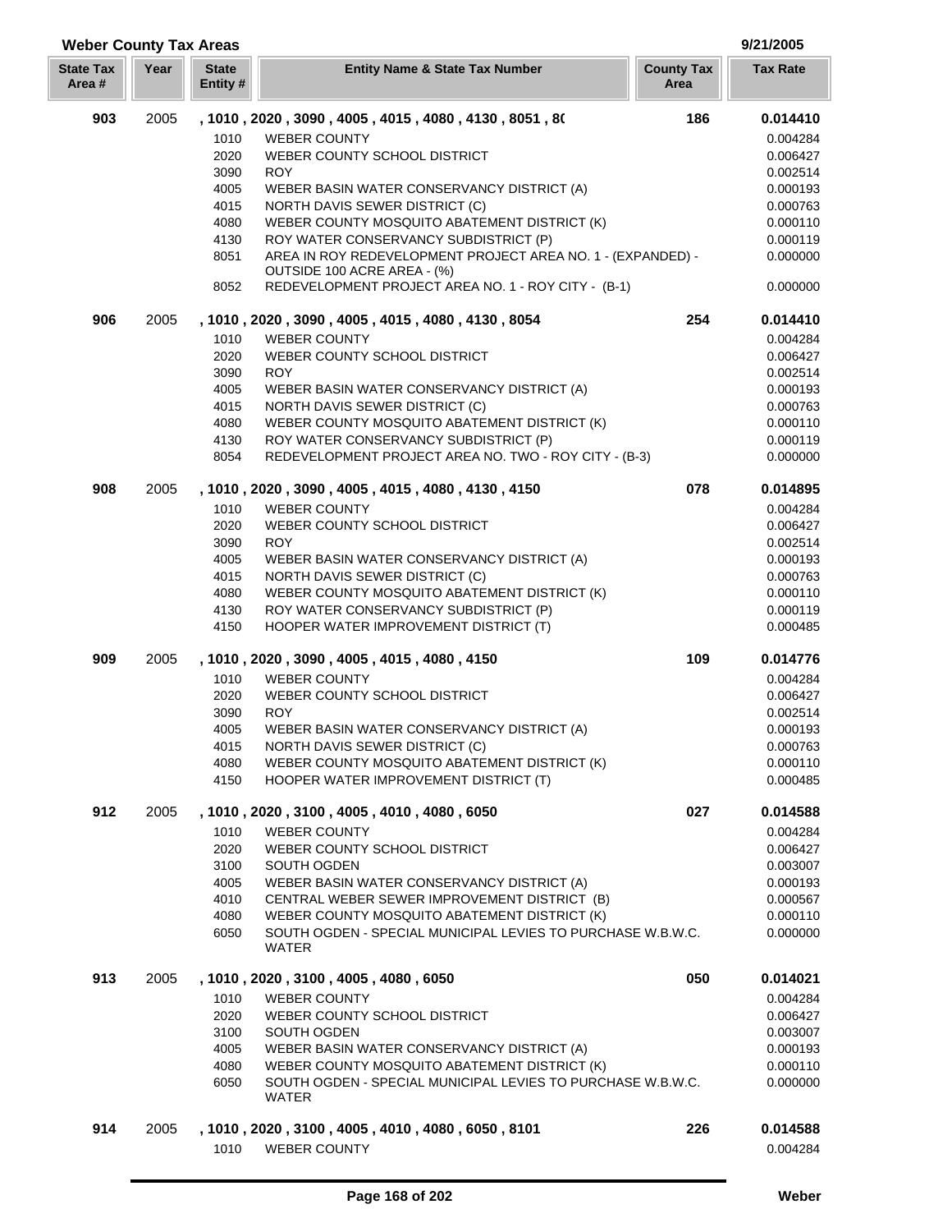| <b>State Tax</b><br>Area # | Year | <b>State</b><br>Entity# | <b>Entity Name &amp; State Tax Number</b>                                                  | <b>County Tax</b><br>Area | <b>Tax Rate</b>      |
|----------------------------|------|-------------------------|--------------------------------------------------------------------------------------------|---------------------------|----------------------|
| 903                        | 2005 |                         | , 1010, 2020, 3090, 4005, 4015, 4080, 4130, 8051, 80                                       | 186                       | 0.014410             |
|                            |      | 1010                    | <b>WEBER COUNTY</b>                                                                        |                           | 0.004284             |
|                            |      | 2020                    | WEBER COUNTY SCHOOL DISTRICT                                                               |                           | 0.006427             |
|                            |      | 3090                    | <b>ROY</b>                                                                                 |                           | 0.002514             |
|                            |      | 4005                    | WEBER BASIN WATER CONSERVANCY DISTRICT (A)                                                 |                           | 0.000193             |
|                            |      | 4015                    | NORTH DAVIS SEWER DISTRICT (C)                                                             |                           | 0.000763             |
|                            |      | 4080                    | WEBER COUNTY MOSQUITO ABATEMENT DISTRICT (K)                                               |                           | 0.000110             |
|                            |      | 4130                    | ROY WATER CONSERVANCY SUBDISTRICT (P)                                                      |                           | 0.000119             |
|                            |      | 8051                    | AREA IN ROY REDEVELOPMENT PROJECT AREA NO. 1 - (EXPANDED) -<br>OUTSIDE 100 ACRE AREA - (%) |                           | 0.000000             |
|                            |      | 8052                    | REDEVELOPMENT PROJECT AREA NO. 1 - ROY CITY - (B-1)                                        |                           | 0.000000             |
| 906                        | 2005 |                         | , 1010, 2020, 3090, 4005, 4015, 4080, 4130, 8054                                           | 254                       | 0.014410             |
|                            |      | 1010                    | <b>WEBER COUNTY</b>                                                                        |                           | 0.004284             |
|                            |      | 2020                    | WEBER COUNTY SCHOOL DISTRICT                                                               |                           | 0.006427             |
|                            |      | 3090                    | <b>ROY</b>                                                                                 |                           | 0.002514             |
|                            |      | 4005                    | WEBER BASIN WATER CONSERVANCY DISTRICT (A)                                                 |                           | 0.000193             |
|                            |      | 4015                    | NORTH DAVIS SEWER DISTRICT (C)                                                             |                           | 0.000763             |
|                            |      | 4080                    | WEBER COUNTY MOSQUITO ABATEMENT DISTRICT (K)                                               |                           | 0.000110             |
|                            |      | 4130                    | ROY WATER CONSERVANCY SUBDISTRICT (P)                                                      |                           | 0.000119             |
|                            |      | 8054                    | REDEVELOPMENT PROJECT AREA NO. TWO - ROY CITY - (B-3)                                      |                           | 0.000000             |
| 908                        | 2005 |                         | , 1010, 2020, 3090, 4005, 4015, 4080, 4130, 4150                                           | 078                       | 0.014895             |
|                            |      | 1010                    | <b>WEBER COUNTY</b>                                                                        |                           | 0.004284             |
|                            |      | 2020                    | WEBER COUNTY SCHOOL DISTRICT                                                               |                           | 0.006427             |
|                            |      | 3090                    | <b>ROY</b>                                                                                 |                           | 0.002514             |
|                            |      | 4005                    | WEBER BASIN WATER CONSERVANCY DISTRICT (A)                                                 |                           | 0.000193             |
|                            |      | 4015                    | NORTH DAVIS SEWER DISTRICT (C)                                                             |                           | 0.000763             |
|                            |      | 4080                    | WEBER COUNTY MOSQUITO ABATEMENT DISTRICT (K)                                               |                           | 0.000110             |
|                            |      | 4130<br>4150            | ROY WATER CONSERVANCY SUBDISTRICT (P)<br>HOOPER WATER IMPROVEMENT DISTRICT (T)             |                           | 0.000119<br>0.000485 |
|                            |      |                         |                                                                                            |                           |                      |
| 909                        | 2005 |                         | , 1010, 2020, 3090, 4005, 4015, 4080, 4150                                                 | 109                       | 0.014776             |
|                            |      | 1010                    | <b>WEBER COUNTY</b>                                                                        |                           | 0.004284             |
|                            |      | 2020                    | WEBER COUNTY SCHOOL DISTRICT                                                               |                           | 0.006427             |
|                            |      | 3090                    | <b>ROY</b>                                                                                 |                           | 0.002514             |
|                            |      | 4005                    | WEBER BASIN WATER CONSERVANCY DISTRICT (A)                                                 |                           | 0.000193             |
|                            |      | 4015                    | NORTH DAVIS SEWER DISTRICT (C)                                                             |                           | 0.000763             |
|                            |      | 4080                    | WEBER COUNTY MOSQUITO ABATEMENT DISTRICT (K)                                               |                           | 0.000110             |
|                            |      | 4150                    | HOOPER WATER IMPROVEMENT DISTRICT (T)                                                      |                           | 0.000485             |
| 912                        | 2005 |                         | , 1010 , 2020 , 3100 , 4005 , 4010 , 4080 , 6050                                           | 027                       | 0.014588             |
|                            |      | 1010                    | <b>WEBER COUNTY</b>                                                                        |                           | 0.004284             |
|                            |      | 2020                    | WEBER COUNTY SCHOOL DISTRICT                                                               |                           | 0.006427             |
|                            |      | 3100                    | SOUTH OGDEN                                                                                |                           | 0.003007             |
|                            |      | 4005                    | WEBER BASIN WATER CONSERVANCY DISTRICT (A)                                                 |                           | 0.000193             |
|                            |      | 4010                    | CENTRAL WEBER SEWER IMPROVEMENT DISTRICT (B)                                               |                           | 0.000567             |
|                            |      | 4080                    | WEBER COUNTY MOSQUITO ABATEMENT DISTRICT (K)                                               |                           | 0.000110             |
|                            |      | 6050                    | SOUTH OGDEN - SPECIAL MUNICIPAL LEVIES TO PURCHASE W.B.W.C.<br>WATER                       |                           | 0.000000             |
| 913                        | 2005 |                         | , 1010, 2020, 3100, 4005, 4080, 6050                                                       | 050                       | 0.014021             |
|                            |      | 1010                    | <b>WEBER COUNTY</b>                                                                        |                           | 0.004284             |
|                            |      | 2020                    | WEBER COUNTY SCHOOL DISTRICT                                                               |                           | 0.006427             |
|                            |      | 3100                    | SOUTH OGDEN                                                                                |                           | 0.003007             |
|                            |      | 4005                    | WEBER BASIN WATER CONSERVANCY DISTRICT (A)                                                 |                           | 0.000193             |
|                            |      | 4080                    | WEBER COUNTY MOSQUITO ABATEMENT DISTRICT (K)                                               |                           | 0.000110             |
|                            |      | 6050                    | SOUTH OGDEN - SPECIAL MUNICIPAL LEVIES TO PURCHASE W.B.W.C.<br>WATER                       |                           | 0.000000             |
| 914                        | 2005 |                         | , 1010, 2020, 3100, 4005, 4010, 4080, 6050, 8101                                           | 226                       | 0.014588             |
|                            |      | 1010                    | <b>WEBER COUNTY</b>                                                                        |                           | 0.004284             |
|                            |      |                         |                                                                                            |                           |                      |

**Weber County Tax Areas 9/21/2005**

ľ

J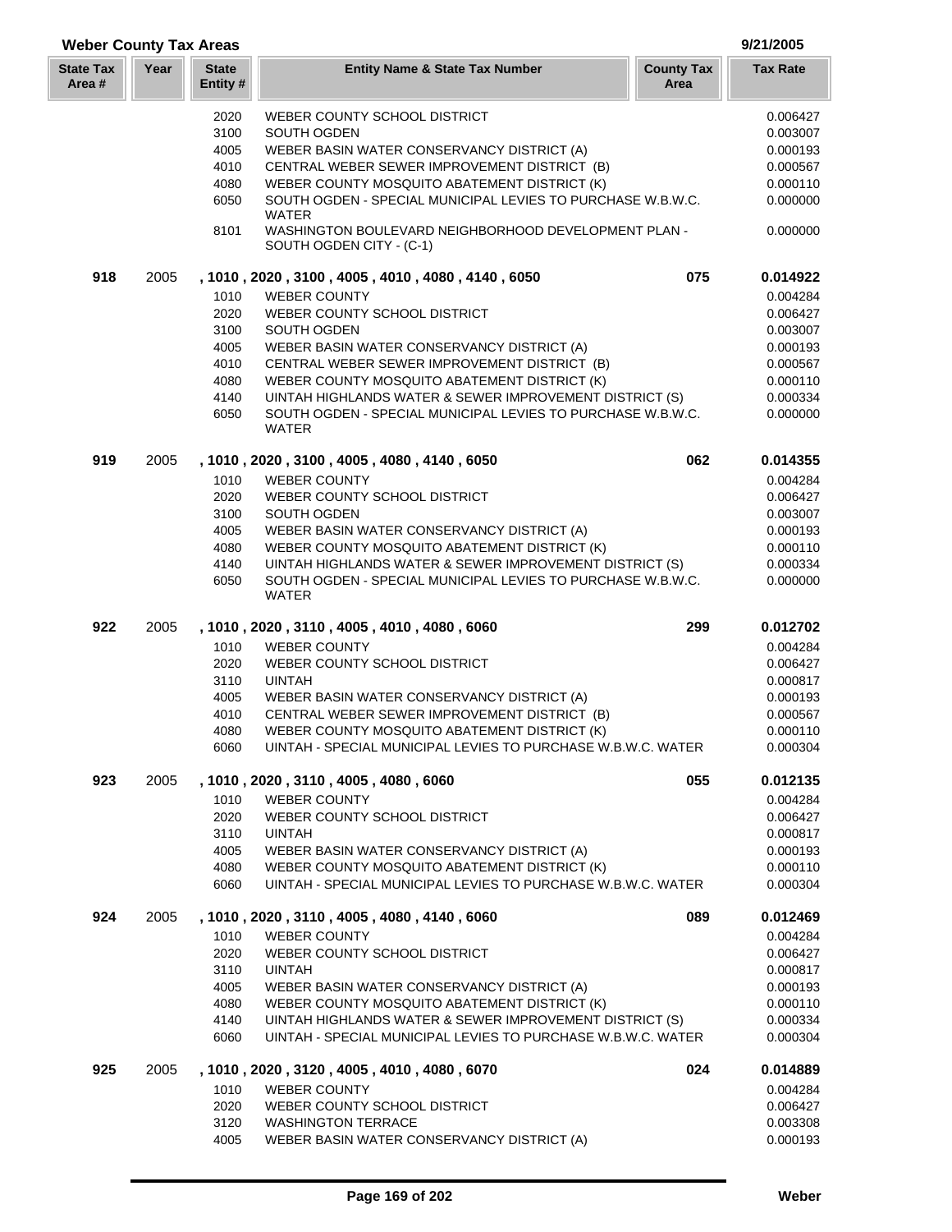# **Weber County Tax Areas 9/21/2005**

| <b>State Tax</b><br>Area # | Year | <b>State</b><br>Entity#                                      | <b>Entity Name &amp; State Tax Number</b>                                                                                                                                                                                                                                                                                                                                                                      | <b>County Tax</b><br>Area | <b>Tax Rate</b>                                                                                          |
|----------------------------|------|--------------------------------------------------------------|----------------------------------------------------------------------------------------------------------------------------------------------------------------------------------------------------------------------------------------------------------------------------------------------------------------------------------------------------------------------------------------------------------------|---------------------------|----------------------------------------------------------------------------------------------------------|
|                            |      | 2020<br>3100<br>4005<br>4010<br>4080<br>6050                 | WEBER COUNTY SCHOOL DISTRICT<br>SOUTH OGDEN<br>WEBER BASIN WATER CONSERVANCY DISTRICT (A)<br>CENTRAL WEBER SEWER IMPROVEMENT DISTRICT (B)<br>WEBER COUNTY MOSQUITO ABATEMENT DISTRICT (K)<br>SOUTH OGDEN - SPECIAL MUNICIPAL LEVIES TO PURCHASE W.B.W.C.<br><b>WATER</b>                                                                                                                                       |                           | 0.006427<br>0.003007<br>0.000193<br>0.000567<br>0.000110<br>0.000000                                     |
|                            |      | 8101                                                         | WASHINGTON BOULEVARD NEIGHBORHOOD DEVELOPMENT PLAN -<br>SOUTH OGDEN CITY - (C-1)                                                                                                                                                                                                                                                                                                                               |                           | 0.000000                                                                                                 |
| 918                        | 2005 | 1010<br>2020<br>3100<br>4005<br>4010<br>4080<br>4140<br>6050 | , 1010, 2020, 3100, 4005, 4010, 4080, 4140, 6050<br><b>WEBER COUNTY</b><br>WEBER COUNTY SCHOOL DISTRICT<br>SOUTH OGDEN<br>WEBER BASIN WATER CONSERVANCY DISTRICT (A)<br>CENTRAL WEBER SEWER IMPROVEMENT DISTRICT (B)<br>WEBER COUNTY MOSQUITO ABATEMENT DISTRICT (K)<br>UINTAH HIGHLANDS WATER & SEWER IMPROVEMENT DISTRICT (S)<br>SOUTH OGDEN - SPECIAL MUNICIPAL LEVIES TO PURCHASE W.B.W.C.<br><b>WATER</b> | 075                       | 0.014922<br>0.004284<br>0.006427<br>0.003007<br>0.000193<br>0.000567<br>0.000110<br>0.000334<br>0.000000 |
| 919                        | 2005 | 1010<br>2020<br>3100<br>4005<br>4080<br>4140<br>6050         | , 1010, 2020, 3100, 4005, 4080, 4140, 6050<br><b>WEBER COUNTY</b><br>WEBER COUNTY SCHOOL DISTRICT<br>SOUTH OGDEN<br>WEBER BASIN WATER CONSERVANCY DISTRICT (A)<br>WEBER COUNTY MOSQUITO ABATEMENT DISTRICT (K)<br>UINTAH HIGHLANDS WATER & SEWER IMPROVEMENT DISTRICT (S)<br>SOUTH OGDEN - SPECIAL MUNICIPAL LEVIES TO PURCHASE W.B.W.C.<br>WATER                                                              | 062                       | 0.014355<br>0.004284<br>0.006427<br>0.003007<br>0.000193<br>0.000110<br>0.000334<br>0.000000             |
| 922                        | 2005 | 1010<br>2020<br>3110<br>4005<br>4010<br>4080<br>6060         | , 1010, 2020, 3110, 4005, 4010, 4080, 6060<br><b>WEBER COUNTY</b><br>WEBER COUNTY SCHOOL DISTRICT<br><b>UINTAH</b><br>WEBER BASIN WATER CONSERVANCY DISTRICT (A)<br>CENTRAL WEBER SEWER IMPROVEMENT DISTRICT (B)<br>WEBER COUNTY MOSQUITO ABATEMENT DISTRICT (K)<br>UINTAH - SPECIAL MUNICIPAL LEVIES TO PURCHASE W.B.W.C. WATER                                                                               | 299                       | 0.012702<br>0.004284<br>0.006427<br>0.000817<br>0.000193<br>0.000567<br>0.000110<br>0.000304             |
| 923                        | 2005 | 1010<br>2020<br>3110<br>4005<br>4080<br>6060                 | , 1010 , 2020 , 3110 , 4005 , 4080 , 6060<br><b>WEBER COUNTY</b><br>WEBER COUNTY SCHOOL DISTRICT<br><b>UINTAH</b><br>WEBER BASIN WATER CONSERVANCY DISTRICT (A)<br>WEBER COUNTY MOSQUITO ABATEMENT DISTRICT (K)<br>UINTAH - SPECIAL MUNICIPAL LEVIES TO PURCHASE W.B.W.C. WATER                                                                                                                                | 055                       | 0.012135<br>0.004284<br>0.006427<br>0.000817<br>0.000193<br>0.000110<br>0.000304                         |
| 924                        | 2005 | 1010<br>2020<br>3110<br>4005<br>4080<br>4140<br>6060         | , 1010, 2020, 3110, 4005, 4080, 4140, 6060<br><b>WEBER COUNTY</b><br>WEBER COUNTY SCHOOL DISTRICT<br><b>UINTAH</b><br>WEBER BASIN WATER CONSERVANCY DISTRICT (A)<br>WEBER COUNTY MOSQUITO ABATEMENT DISTRICT (K)<br>UINTAH HIGHLANDS WATER & SEWER IMPROVEMENT DISTRICT (S)<br>UINTAH - SPECIAL MUNICIPAL LEVIES TO PURCHASE W.B.W.C. WATER                                                                    | 089                       | 0.012469<br>0.004284<br>0.006427<br>0.000817<br>0.000193<br>0.000110<br>0.000334<br>0.000304             |
| 925                        | 2005 | 1010<br>2020<br>3120<br>4005                                 | , 1010, 2020, 3120, 4005, 4010, 4080, 6070<br><b>WEBER COUNTY</b><br>WEBER COUNTY SCHOOL DISTRICT<br><b>WASHINGTON TERRACE</b><br>WEBER BASIN WATER CONSERVANCY DISTRICT (A)                                                                                                                                                                                                                                   | 024                       | 0.014889<br>0.004284<br>0.006427<br>0.003308<br>0.000193                                                 |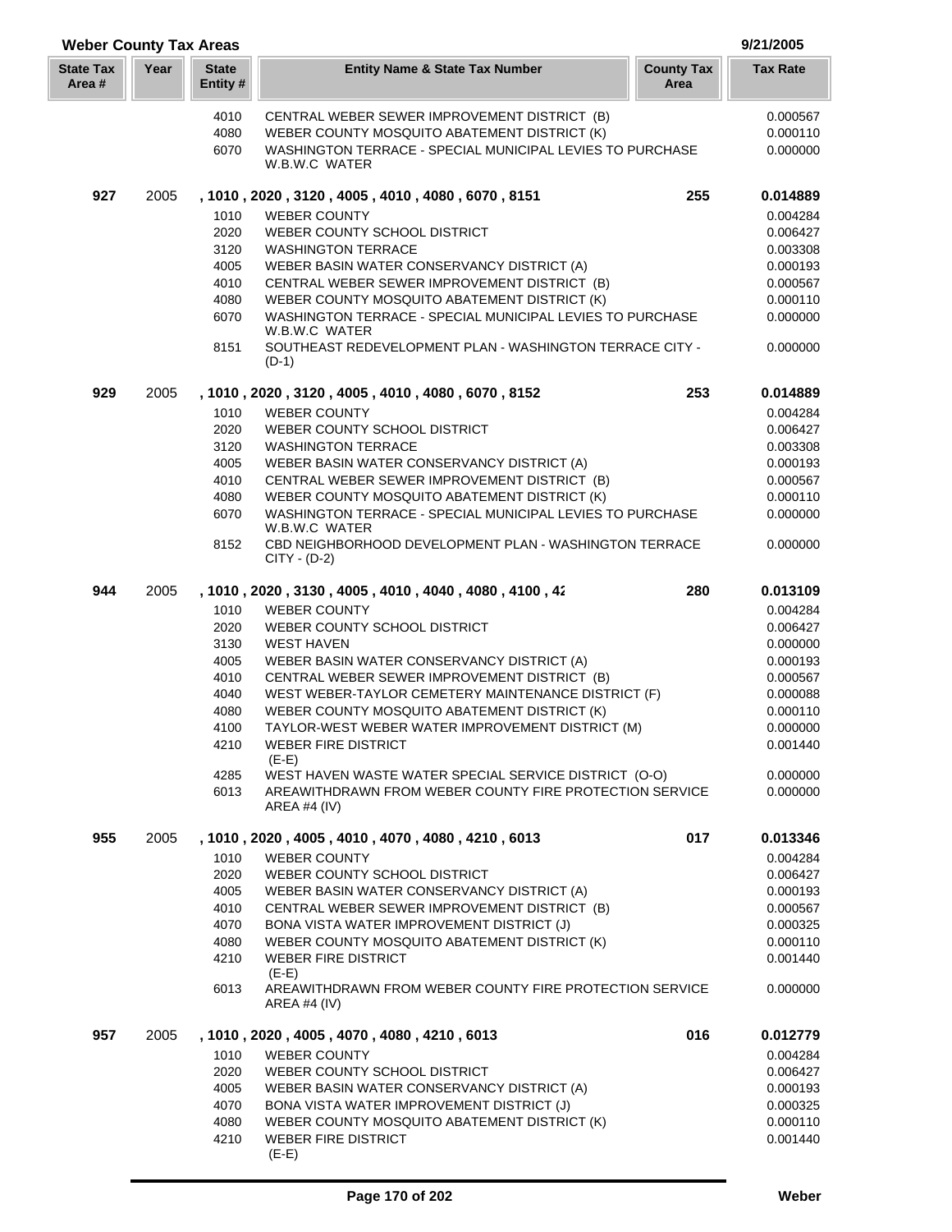| <b>Weber County Tax Areas</b> |      |                          |                                                                                                           |                           |                      |  |
|-------------------------------|------|--------------------------|-----------------------------------------------------------------------------------------------------------|---------------------------|----------------------|--|
| <b>State Tax</b><br>Area #    | Year | <b>State</b><br>Entity # | <b>Entity Name &amp; State Tax Number</b>                                                                 | <b>County Tax</b><br>Area | <b>Tax Rate</b>      |  |
|                               |      | 4010                     | CENTRAL WEBER SEWER IMPROVEMENT DISTRICT (B)                                                              |                           | 0.000567             |  |
|                               |      | 4080                     | WEBER COUNTY MOSQUITO ABATEMENT DISTRICT (K)                                                              |                           | 0.000110             |  |
|                               |      | 6070                     | WASHINGTON TERRACE - SPECIAL MUNICIPAL LEVIES TO PURCHASE<br>W.B.W.C WATER                                |                           | 0.000000             |  |
| 927                           | 2005 |                          | , 1010, 2020, 3120, 4005, 4010, 4080, 6070, 8151                                                          | 255                       | 0.014889             |  |
|                               |      | 1010                     | <b>WEBER COUNTY</b>                                                                                       |                           | 0.004284             |  |
|                               |      | 2020                     | WEBER COUNTY SCHOOL DISTRICT                                                                              |                           | 0.006427             |  |
|                               |      | 3120                     | <b>WASHINGTON TERRACE</b>                                                                                 |                           | 0.003308             |  |
|                               |      | 4005                     | WEBER BASIN WATER CONSERVANCY DISTRICT (A)                                                                |                           | 0.000193             |  |
|                               |      | 4010                     | CENTRAL WEBER SEWER IMPROVEMENT DISTRICT (B)                                                              |                           | 0.000567             |  |
|                               |      | 4080                     | WEBER COUNTY MOSQUITO ABATEMENT DISTRICT (K)<br>WASHINGTON TERRACE - SPECIAL MUNICIPAL LEVIES TO PURCHASE |                           | 0.000110             |  |
|                               |      | 6070                     | W.B.W.C WATER                                                                                             |                           | 0.000000             |  |
|                               |      | 8151                     | SOUTHEAST REDEVELOPMENT PLAN - WASHINGTON TERRACE CITY -<br>$(D-1)$                                       |                           | 0.000000             |  |
| 929                           | 2005 |                          | , 1010, 2020, 3120, 4005, 4010, 4080, 6070, 8152                                                          | 253                       | 0.014889             |  |
|                               |      | 1010                     | <b>WEBER COUNTY</b>                                                                                       |                           | 0.004284             |  |
|                               |      | 2020                     | WEBER COUNTY SCHOOL DISTRICT                                                                              |                           | 0.006427             |  |
|                               |      | 3120                     | <b>WASHINGTON TERRACE</b>                                                                                 |                           | 0.003308             |  |
|                               |      | 4005                     | WEBER BASIN WATER CONSERVANCY DISTRICT (A)                                                                |                           | 0.000193             |  |
|                               |      | 4010<br>4080             | CENTRAL WEBER SEWER IMPROVEMENT DISTRICT (B)                                                              |                           | 0.000567             |  |
|                               |      | 6070                     | WEBER COUNTY MOSQUITO ABATEMENT DISTRICT (K)<br>WASHINGTON TERRACE - SPECIAL MUNICIPAL LEVIES TO PURCHASE |                           | 0.000110<br>0.000000 |  |
|                               |      | 8152                     | W.B.W.C WATER<br>CBD NEIGHBORHOOD DEVELOPMENT PLAN - WASHINGTON TERRACE<br>CITY - (D-2)                   |                           | 0.000000             |  |
| 944                           | 2005 |                          | , 1010, 2020, 3130, 4005, 4010, 4040, 4080, 4100, 42                                                      | 280                       | 0.013109             |  |
|                               |      | 1010                     | <b>WEBER COUNTY</b>                                                                                       |                           | 0.004284             |  |
|                               |      | 2020                     | WEBER COUNTY SCHOOL DISTRICT                                                                              |                           | 0.006427             |  |
|                               |      | 3130                     | <b>WEST HAVEN</b>                                                                                         |                           | 0.000000             |  |
|                               |      | 4005                     | WEBER BASIN WATER CONSERVANCY DISTRICT (A)                                                                |                           | 0.000193             |  |
|                               |      | 4010                     | CENTRAL WEBER SEWER IMPROVEMENT DISTRICT (B)                                                              |                           | 0.000567             |  |
|                               |      | 4040                     | WEST WEBER-TAYLOR CEMETERY MAINTENANCE DISTRICT (F)                                                       |                           | 0.000088             |  |
|                               |      | 4080                     | WEBER COUNTY MOSQUITO ABATEMENT DISTRICT (K)                                                              |                           | 0.000110             |  |
|                               |      | 4100<br>4210             | TAYLOR-WEST WEBER WATER IMPROVEMENT DISTRICT (M)<br><b>WEBER FIRE DISTRICT</b><br>$(E-E)$                 |                           | 0.000000<br>0.001440 |  |
|                               |      | 4285                     | WEST HAVEN WASTE WATER SPECIAL SERVICE DISTRICT (O-O)                                                     |                           | 0.000000             |  |
|                               |      | 6013                     | AREAWITHDRAWN FROM WEBER COUNTY FIRE PROTECTION SERVICE<br>AREA #4 $(IV)$                                 |                           | 0.000000             |  |
| 955                           | 2005 |                          | , 1010, 2020, 4005, 4010, 4070, 4080, 4210, 6013                                                          | 017                       | 0.013346             |  |
|                               |      | 1010                     | <b>WEBER COUNTY</b>                                                                                       |                           | 0.004284             |  |
|                               |      | 2020                     | WEBER COUNTY SCHOOL DISTRICT                                                                              |                           | 0.006427             |  |
|                               |      | 4005                     | WEBER BASIN WATER CONSERVANCY DISTRICT (A)                                                                |                           | 0.000193             |  |
|                               |      | 4010<br>4070             | CENTRAL WEBER SEWER IMPROVEMENT DISTRICT (B)<br>BONA VISTA WATER IMPROVEMENT DISTRICT (J)                 |                           | 0.000567<br>0.000325 |  |
|                               |      | 4080                     | WEBER COUNTY MOSQUITO ABATEMENT DISTRICT (K)                                                              |                           | 0.000110             |  |
|                               |      | 4210                     | <b>WEBER FIRE DISTRICT</b>                                                                                |                           | 0.001440             |  |
|                               |      |                          | $(E-E)$                                                                                                   |                           |                      |  |
|                               |      | 6013                     | AREAWITHDRAWN FROM WEBER COUNTY FIRE PROTECTION SERVICE<br>AREA #4 (IV)                                   |                           | 0.000000             |  |
| 957                           | 2005 |                          | , 1010, 2020, 4005, 4070, 4080, 4210, 6013                                                                | 016                       | 0.012779             |  |
|                               |      | 1010                     | <b>WEBER COUNTY</b>                                                                                       |                           | 0.004284             |  |
|                               |      | 2020                     | WEBER COUNTY SCHOOL DISTRICT                                                                              |                           | 0.006427             |  |
|                               |      | 4005                     | WEBER BASIN WATER CONSERVANCY DISTRICT (A)                                                                |                           | 0.000193             |  |
|                               |      | 4070                     | BONA VISTA WATER IMPROVEMENT DISTRICT (J)                                                                 |                           | 0.000325             |  |
|                               |      | 4080                     | WEBER COUNTY MOSQUITO ABATEMENT DISTRICT (K)                                                              |                           | 0.000110             |  |
|                               |      | 4210                     | <b>WEBER FIRE DISTRICT</b><br>$(E-E)$                                                                     |                           | 0.001440             |  |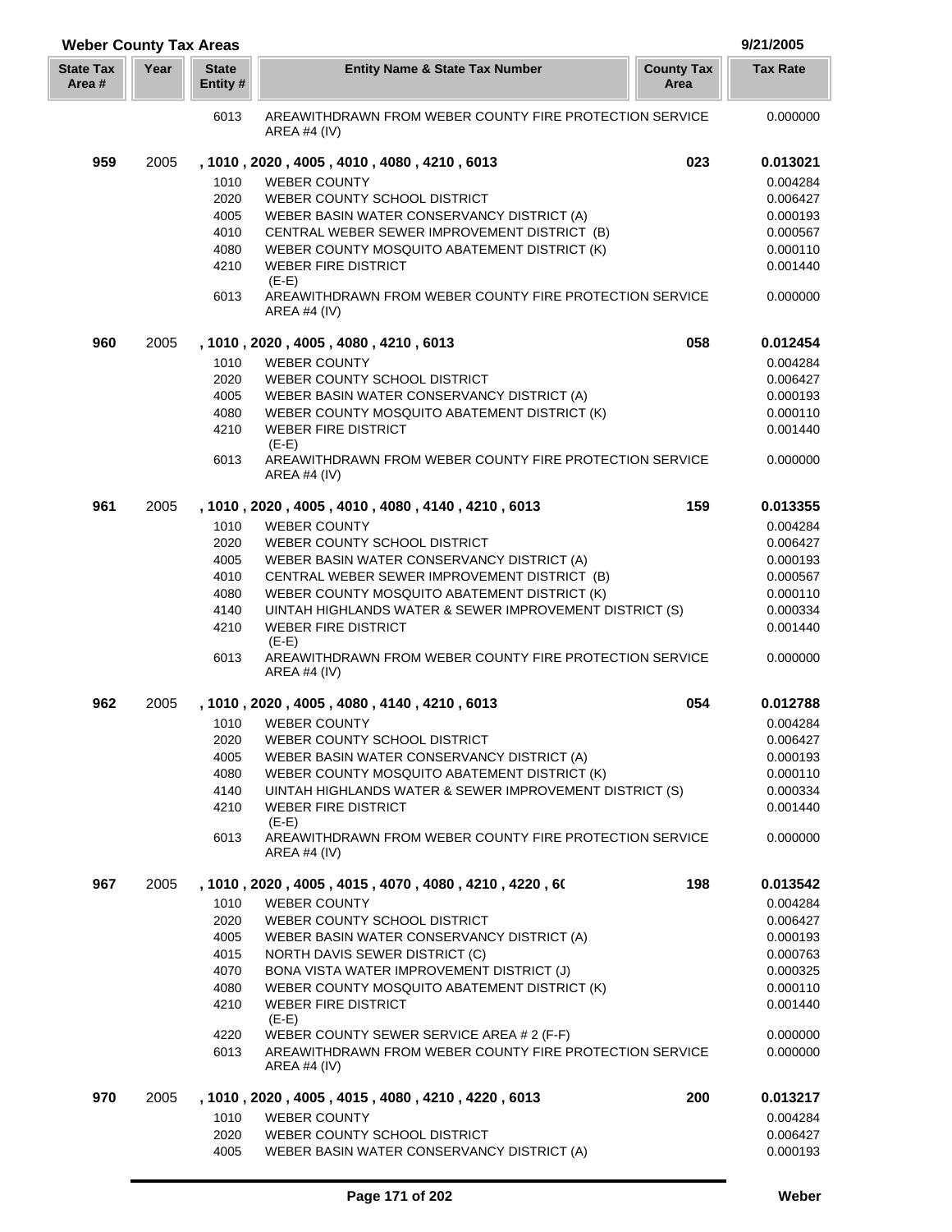| <b>Weber County Tax Areas</b> |      |                          |                                                                                           |                           |                 |
|-------------------------------|------|--------------------------|-------------------------------------------------------------------------------------------|---------------------------|-----------------|
| <b>State Tax</b><br>Area #    | Year | <b>State</b><br>Entity # | <b>Entity Name &amp; State Tax Number</b>                                                 | <b>County Tax</b><br>Area | <b>Tax Rate</b> |
|                               |      | 6013                     | AREAWITHDRAWN FROM WEBER COUNTY FIRE PROTECTION SERVICE                                   |                           | 0.000000        |
|                               |      |                          | AREA #4 $(IV)$                                                                            |                           |                 |
| 959                           | 2005 |                          | , 1010, 2020, 4005, 4010, 4080, 4210, 6013                                                | 023                       | 0.013021        |
|                               |      | 1010                     | <b>WEBER COUNTY</b>                                                                       |                           | 0.004284        |
|                               |      | 2020                     | WEBER COUNTY SCHOOL DISTRICT                                                              |                           | 0.006427        |
|                               |      | 4005                     | WEBER BASIN WATER CONSERVANCY DISTRICT (A)                                                |                           | 0.000193        |
|                               |      | 4010                     | CENTRAL WEBER SEWER IMPROVEMENT DISTRICT (B)                                              |                           | 0.000567        |
|                               |      | 4080                     | WEBER COUNTY MOSQUITO ABATEMENT DISTRICT (K)                                              |                           | 0.000110        |
|                               |      | 4210                     | <b>WEBER FIRE DISTRICT</b><br>$(E-E)$                                                     |                           | 0.001440        |
|                               |      | 6013                     | AREAWITHDRAWN FROM WEBER COUNTY FIRE PROTECTION SERVICE<br>AREA #4 $(IV)$                 |                           | 0.000000        |
| 960                           | 2005 |                          | , 1010, 2020, 4005, 4080, 4210, 6013                                                      | 058                       | 0.012454        |
|                               |      | 1010                     | <b>WEBER COUNTY</b>                                                                       |                           | 0.004284        |
|                               |      | 2020                     | WEBER COUNTY SCHOOL DISTRICT                                                              |                           | 0.006427        |
|                               |      | 4005                     | WEBER BASIN WATER CONSERVANCY DISTRICT (A)                                                |                           | 0.000193        |
|                               |      | 4080                     | WEBER COUNTY MOSQUITO ABATEMENT DISTRICT (K)                                              |                           | 0.000110        |
|                               |      | 4210                     | <b>WEBER FIRE DISTRICT</b><br>$(E-E)$                                                     |                           | 0.001440        |
|                               |      | 6013                     | AREAWITHDRAWN FROM WEBER COUNTY FIRE PROTECTION SERVICE<br>AREA #4 $(IV)$                 |                           | 0.000000        |
| 961                           | 2005 |                          | , 1010, 2020, 4005, 4010, 4080, 4140, 4210, 6013                                          | 159                       | 0.013355        |
|                               |      | 1010                     | <b>WEBER COUNTY</b>                                                                       |                           | 0.004284        |
|                               |      | 2020                     | WEBER COUNTY SCHOOL DISTRICT                                                              |                           | 0.006427        |
|                               |      | 4005                     | WEBER BASIN WATER CONSERVANCY DISTRICT (A)                                                |                           | 0.000193        |
|                               |      | 4010                     | CENTRAL WEBER SEWER IMPROVEMENT DISTRICT (B)                                              |                           | 0.000567        |
|                               |      | 4080                     | WEBER COUNTY MOSQUITO ABATEMENT DISTRICT (K)                                              |                           | 0.000110        |
|                               |      | 4140                     | UINTAH HIGHLANDS WATER & SEWER IMPROVEMENT DISTRICT (S)                                   |                           | 0.000334        |
|                               |      | 4210                     | <b>WEBER FIRE DISTRICT</b>                                                                |                           | 0.001440        |
|                               |      | 6013                     | $(E-E)$<br>AREAWITHDRAWN FROM WEBER COUNTY FIRE PROTECTION SERVICE<br><b>AREA #4 (IV)</b> |                           | 0.000000        |
| 962                           | 2005 |                          | , 1010, 2020, 4005, 4080, 4140, 4210, 6013                                                | 054                       | 0.012788        |
|                               |      | 1010                     | <b>WEBER COUNTY</b>                                                                       |                           | 0.004284        |
|                               |      | 2020                     | WEBER COUNTY SCHOOL DISTRICT                                                              |                           | 0.006427        |
|                               |      | 4005                     | WEBER BASIN WATER CONSERVANCY DISTRICT (A)                                                |                           | 0.000193        |
|                               |      | 4080                     | WEBER COUNTY MOSQUITO ABATEMENT DISTRICT (K)                                              |                           | 0.000110        |
|                               |      | 4140                     | UINTAH HIGHLANDS WATER & SEWER IMPROVEMENT DISTRICT (S)                                   |                           | 0.000334        |
|                               |      | 4210                     | <b>WEBER FIRE DISTRICT</b><br>$(E-E)$                                                     |                           | 0.001440        |
|                               |      | 6013                     | AREAWITHDRAWN FROM WEBER COUNTY FIRE PROTECTION SERVICE<br>AREA #4 $(IV)$                 |                           | 0.000000        |
| 967                           | 2005 |                          | , 1010 , 2020 , 4005 , 4015 , 4070 , 4080 , 4210 , 4220 , 60                              | 198                       | 0.013542        |
|                               |      | 1010                     | <b>WEBER COUNTY</b>                                                                       |                           | 0.004284        |
|                               |      | 2020                     | WEBER COUNTY SCHOOL DISTRICT                                                              |                           | 0.006427        |
|                               |      | 4005                     | WEBER BASIN WATER CONSERVANCY DISTRICT (A)                                                |                           | 0.000193        |
|                               |      | 4015                     | NORTH DAVIS SEWER DISTRICT (C)                                                            |                           | 0.000763        |
|                               |      | 4070                     | BONA VISTA WATER IMPROVEMENT DISTRICT (J)                                                 |                           | 0.000325        |
|                               |      | 4080                     | WEBER COUNTY MOSQUITO ABATEMENT DISTRICT (K)                                              |                           | 0.000110        |
|                               |      | 4210                     | <b>WEBER FIRE DISTRICT</b><br>$(E-E)$                                                     |                           | 0.001440        |
|                               |      | 4220                     | WEBER COUNTY SEWER SERVICE AREA # 2 (F-F)                                                 |                           | 0.000000        |
|                               |      | 6013                     | AREAWITHDRAWN FROM WEBER COUNTY FIRE PROTECTION SERVICE<br>AREA #4 $(IV)$                 |                           | 0.000000        |
| 970                           | 2005 |                          | , 1010, 2020, 4005, 4015, 4080, 4210, 4220, 6013                                          | 200                       | 0.013217        |
|                               |      | 1010                     | <b>WEBER COUNTY</b>                                                                       |                           | 0.004284        |
|                               |      | 2020                     | WEBER COUNTY SCHOOL DISTRICT                                                              |                           | 0.006427        |
|                               |      | 4005                     | WEBER BASIN WATER CONSERVANCY DISTRICT (A)                                                |                           | 0.000193        |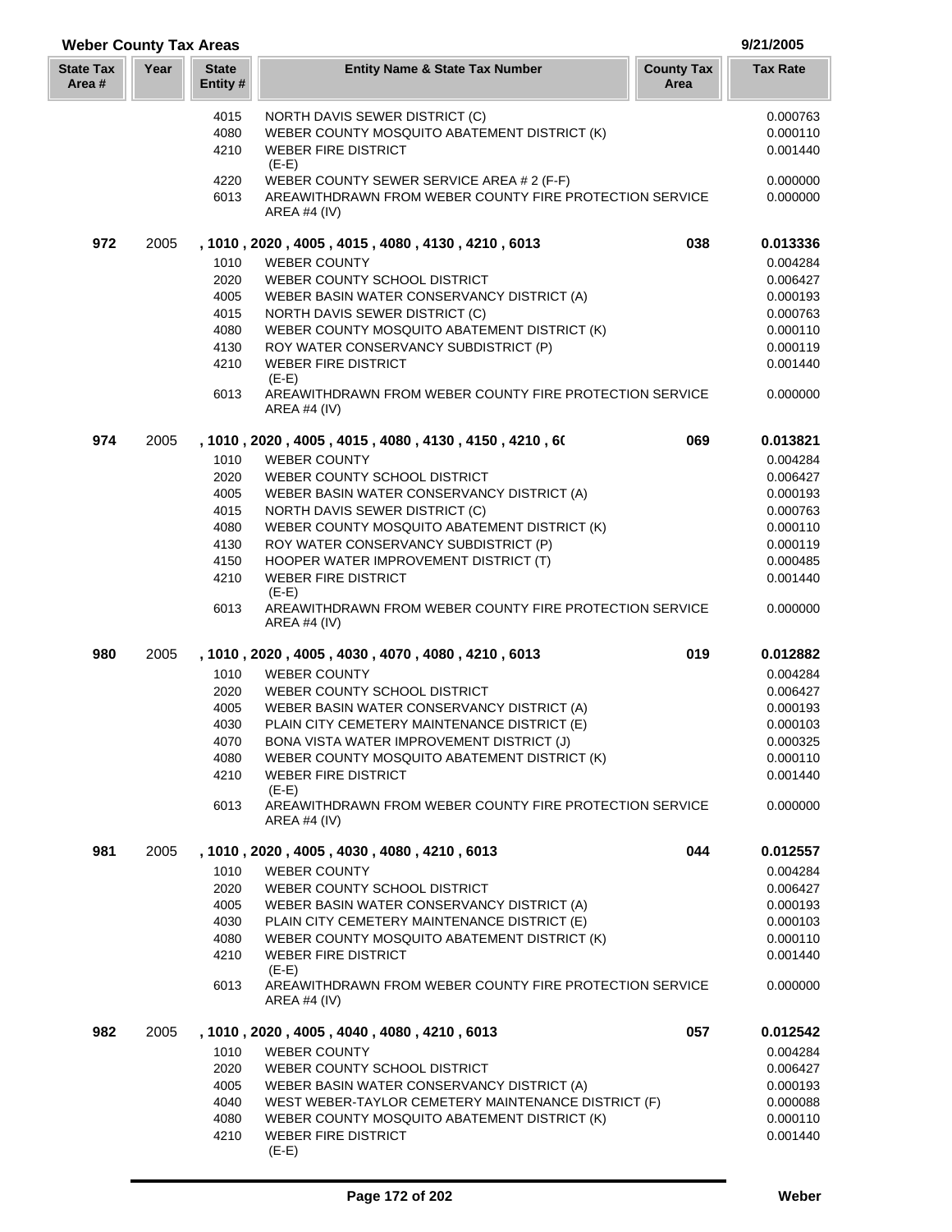| <b>Weber County Tax Areas</b> |      |                          |                                                                                |                           |                 |
|-------------------------------|------|--------------------------|--------------------------------------------------------------------------------|---------------------------|-----------------|
| <b>State Tax</b><br>Area #    | Year | <b>State</b><br>Entity # | <b>Entity Name &amp; State Tax Number</b>                                      | <b>County Tax</b><br>Area | <b>Tax Rate</b> |
|                               |      | 4015                     | NORTH DAVIS SEWER DISTRICT (C)                                                 |                           | 0.000763        |
|                               |      | 4080                     | WEBER COUNTY MOSQUITO ABATEMENT DISTRICT (K)                                   |                           | 0.000110        |
|                               |      | 4210                     | <b>WEBER FIRE DISTRICT</b>                                                     |                           | 0.001440        |
|                               |      |                          | $(E-E)$                                                                        |                           |                 |
|                               |      | 4220                     | WEBER COUNTY SEWER SERVICE AREA # 2 (F-F)                                      |                           | 0.000000        |
|                               |      | 6013                     | AREAWITHDRAWN FROM WEBER COUNTY FIRE PROTECTION SERVICE<br><b>AREA #4 (IV)</b> |                           | 0.000000        |
| 972                           | 2005 |                          | , 1010, 2020, 4005, 4015, 4080, 4130, 4210, 6013                               | 038                       | 0.013336        |
|                               |      | 1010                     | <b>WEBER COUNTY</b>                                                            |                           | 0.004284        |
|                               |      | 2020                     | WEBER COUNTY SCHOOL DISTRICT                                                   |                           | 0.006427        |
|                               |      | 4005                     | WEBER BASIN WATER CONSERVANCY DISTRICT (A)                                     |                           | 0.000193        |
|                               |      | 4015                     | NORTH DAVIS SEWER DISTRICT (C)                                                 |                           | 0.000763        |
|                               |      | 4080                     | WEBER COUNTY MOSQUITO ABATEMENT DISTRICT (K)                                   |                           | 0.000110        |
|                               |      | 4130                     | ROY WATER CONSERVANCY SUBDISTRICT (P)                                          |                           | 0.000119        |
|                               |      | 4210                     | <b>WEBER FIRE DISTRICT</b>                                                     |                           | 0.001440        |
|                               |      |                          | $(E-E)$                                                                        |                           |                 |
|                               |      | 6013                     | AREAWITHDRAWN FROM WEBER COUNTY FIRE PROTECTION SERVICE<br>AREA #4 $(IV)$      |                           | 0.000000        |
| 974                           | 2005 |                          | , 1010 , 2020 , 4005 , 4015 , 4080 , 4130 , 4150 , 4210 , 60                   | 069                       | 0.013821        |
|                               |      | 1010                     | <b>WEBER COUNTY</b>                                                            |                           | 0.004284        |
|                               |      | 2020                     | WEBER COUNTY SCHOOL DISTRICT                                                   |                           | 0.006427        |
|                               |      | 4005                     | WEBER BASIN WATER CONSERVANCY DISTRICT (A)                                     |                           | 0.000193        |
|                               |      | 4015                     | NORTH DAVIS SEWER DISTRICT (C)                                                 |                           | 0.000763        |
|                               |      | 4080                     | WEBER COUNTY MOSQUITO ABATEMENT DISTRICT (K)                                   |                           | 0.000110        |
|                               |      | 4130                     |                                                                                |                           | 0.000119        |
|                               |      | 4150                     | ROY WATER CONSERVANCY SUBDISTRICT (P)                                          |                           | 0.000485        |
|                               |      |                          | HOOPER WATER IMPROVEMENT DISTRICT (T)<br><b>WEBER FIRE DISTRICT</b>            |                           |                 |
|                               |      | 4210                     | $(E-E)$                                                                        |                           | 0.001440        |
|                               |      | 6013                     | AREAWITHDRAWN FROM WEBER COUNTY FIRE PROTECTION SERVICE<br><b>AREA #4 (IV)</b> |                           | 0.000000        |
| 980                           | 2005 |                          | , 1010, 2020, 4005, 4030, 4070, 4080, 4210, 6013                               | 019                       | 0.012882        |
|                               |      | 1010                     | <b>WEBER COUNTY</b>                                                            |                           | 0.004284        |
|                               |      | 2020                     | WEBER COUNTY SCHOOL DISTRICT                                                   |                           | 0.006427        |
|                               |      | 4005                     | WEBER BASIN WATER CONSERVANCY DISTRICT (A)                                     |                           | 0.000193        |
|                               |      | 4030                     | PLAIN CITY CEMETERY MAINTENANCE DISTRICT (E)                                   |                           | 0.000103        |
|                               |      | 4070                     | BONA VISTA WATER IMPROVEMENT DISTRICT (J)                                      |                           | 0.000325        |
|                               |      | 4080                     | WEBER COUNTY MOSQUITO ABATEMENT DISTRICT (K)                                   |                           | 0.000110        |
|                               |      | 4210                     | <b>WEBER FIRE DISTRICT</b>                                                     |                           | 0.001440        |
|                               |      |                          | $(E-E)$                                                                        |                           |                 |
|                               |      | 6013                     | AREAWITHDRAWN FROM WEBER COUNTY FIRE PROTECTION SERVICE<br>AREA #4 $(IV)$      |                           | 0.000000        |
| 981                           | 2005 |                          | , 1010, 2020, 4005, 4030, 4080, 4210, 6013                                     | 044                       | 0.012557        |
|                               |      | 1010                     | <b>WEBER COUNTY</b>                                                            |                           | 0.004284        |
|                               |      | 2020                     | WEBER COUNTY SCHOOL DISTRICT                                                   |                           | 0.006427        |
|                               |      | 4005                     | WEBER BASIN WATER CONSERVANCY DISTRICT (A)                                     |                           | 0.000193        |
|                               |      | 4030                     | PLAIN CITY CEMETERY MAINTENANCE DISTRICT (E)                                   |                           | 0.000103        |
|                               |      | 4080                     | WEBER COUNTY MOSQUITO ABATEMENT DISTRICT (K)                                   |                           | 0.000110        |
|                               |      | 4210                     | <b>WEBER FIRE DISTRICT</b>                                                     |                           | 0.001440        |
|                               |      |                          | $(E-E)$                                                                        |                           |                 |
|                               |      | 6013                     | AREAWITHDRAWN FROM WEBER COUNTY FIRE PROTECTION SERVICE<br>AREA #4 (IV)        |                           | 0.000000        |
| 982                           | 2005 |                          | , 1010, 2020, 4005, 4040, 4080, 4210, 6013                                     | 057                       | 0.012542        |
|                               |      | 1010                     | <b>WEBER COUNTY</b>                                                            |                           | 0.004284        |
|                               |      | 2020                     | WEBER COUNTY SCHOOL DISTRICT                                                   |                           | 0.006427        |
|                               |      | 4005                     | WEBER BASIN WATER CONSERVANCY DISTRICT (A)                                     |                           | 0.000193        |
|                               |      | 4040                     | WEST WEBER-TAYLOR CEMETERY MAINTENANCE DISTRICT (F)                            |                           | 0.000088        |
|                               |      | 4080                     | WEBER COUNTY MOSQUITO ABATEMENT DISTRICT (K)                                   |                           | 0.000110        |
|                               |      | 4210                     | WEBER FIRE DISTRICT                                                            |                           | 0.001440        |

(E-E)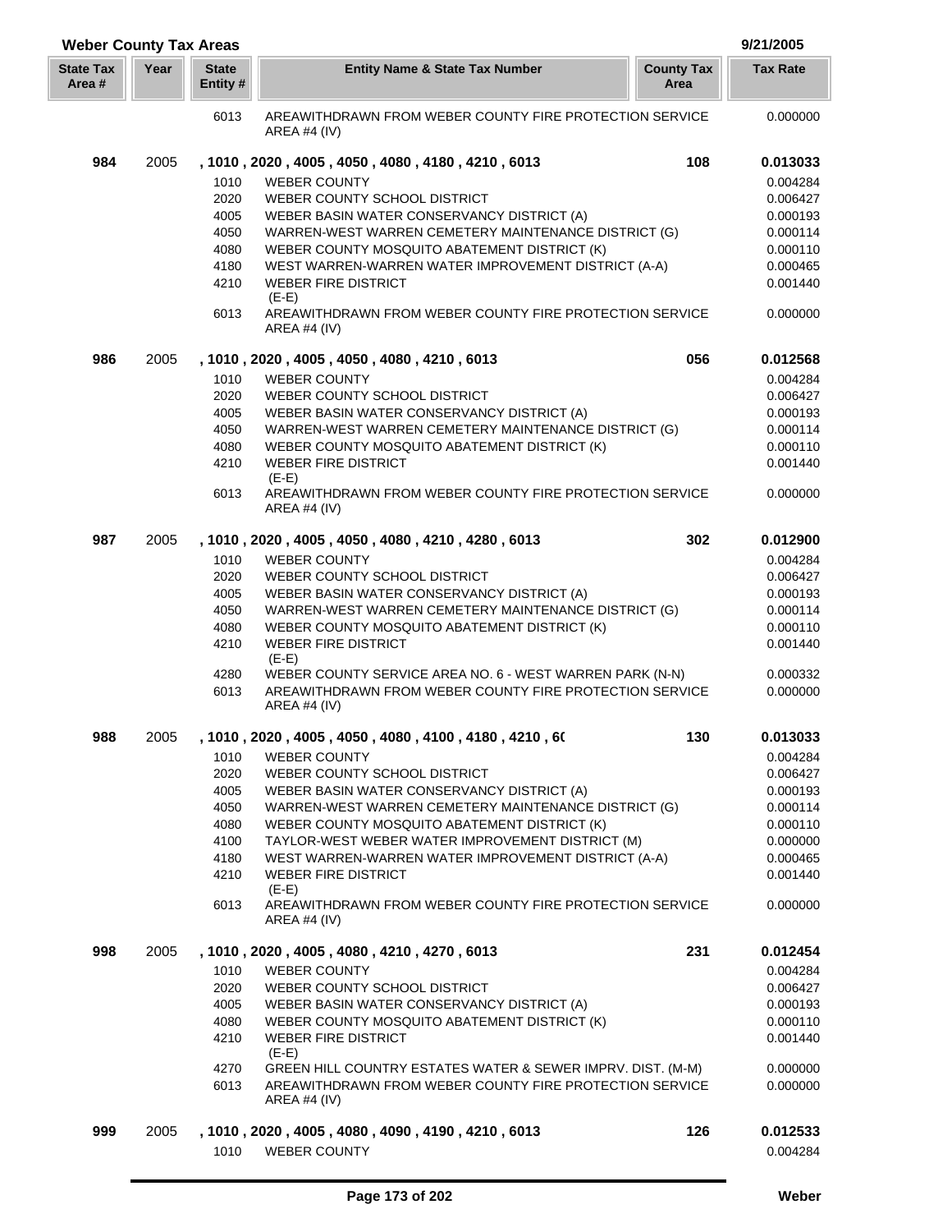| <b>Weber County Tax Areas</b> |      |                          |                                                                                                      |                           | 9/21/2005       |
|-------------------------------|------|--------------------------|------------------------------------------------------------------------------------------------------|---------------------------|-----------------|
| <b>State Tax</b><br>Area #    | Year | <b>State</b><br>Entity # | <b>Entity Name &amp; State Tax Number</b>                                                            | <b>County Tax</b><br>Area | <b>Tax Rate</b> |
|                               |      | 6013                     | AREAWITHDRAWN FROM WEBER COUNTY FIRE PROTECTION SERVICE<br>AREA #4 $(IV)$                            |                           | 0.000000        |
| 984                           | 2005 |                          | , 1010 , 2020 , 4005 , 4050 , 4080 , 4180 , 4210 , 6013                                              | 108                       | 0.013033        |
|                               |      | 1010                     | <b>WEBER COUNTY</b>                                                                                  |                           | 0.004284        |
|                               |      | 2020                     | WEBER COUNTY SCHOOL DISTRICT                                                                         |                           | 0.006427        |
|                               |      | 4005                     | WEBER BASIN WATER CONSERVANCY DISTRICT (A)                                                           |                           | 0.000193        |
|                               |      | 4050                     | WARREN-WEST WARREN CEMETERY MAINTENANCE DISTRICT (G)                                                 |                           | 0.000114        |
|                               |      | 4080                     | WEBER COUNTY MOSQUITO ABATEMENT DISTRICT (K)                                                         |                           | 0.000110        |
|                               |      | 4180                     | WEST WARREN-WARREN WATER IMPROVEMENT DISTRICT (A-A)                                                  |                           | 0.000465        |
|                               |      | 4210                     | <b>WEBER FIRE DISTRICT</b>                                                                           |                           | 0.001440        |
|                               |      |                          | $(E-E)$                                                                                              |                           |                 |
|                               |      | 6013                     | AREAWITHDRAWN FROM WEBER COUNTY FIRE PROTECTION SERVICE<br>AREA #4 $(IV)$                            |                           | 0.000000        |
| 986                           | 2005 |                          | , 1010, 2020, 4005, 4050, 4080, 4210, 6013                                                           | 056                       | 0.012568        |
|                               |      | 1010                     | <b>WEBER COUNTY</b>                                                                                  |                           | 0.004284        |
|                               |      | 2020                     | WEBER COUNTY SCHOOL DISTRICT                                                                         |                           | 0.006427        |
|                               |      | 4005                     | WEBER BASIN WATER CONSERVANCY DISTRICT (A)                                                           |                           | 0.000193        |
|                               |      | 4050                     |                                                                                                      |                           | 0.000114        |
|                               |      | 4080                     | WARREN-WEST WARREN CEMETERY MAINTENANCE DISTRICT (G)<br>WEBER COUNTY MOSQUITO ABATEMENT DISTRICT (K) |                           | 0.000110        |
|                               |      | 4210                     | <b>WEBER FIRE DISTRICT</b>                                                                           |                           | 0.001440        |
|                               |      |                          | $(E-E)$                                                                                              |                           |                 |
|                               |      | 6013                     | AREAWITHDRAWN FROM WEBER COUNTY FIRE PROTECTION SERVICE<br><b>AREA #4 (IV)</b>                       |                           | 0.000000        |
| 987                           | 2005 |                          | , 1010, 2020, 4005, 4050, 4080, 4210, 4280, 6013                                                     | 302                       | 0.012900        |
|                               |      | 1010                     | <b>WEBER COUNTY</b>                                                                                  |                           | 0.004284        |
|                               |      | 2020                     | WEBER COUNTY SCHOOL DISTRICT                                                                         |                           | 0.006427        |
|                               |      | 4005                     | WEBER BASIN WATER CONSERVANCY DISTRICT (A)                                                           |                           | 0.000193        |
|                               |      | 4050                     | WARREN-WEST WARREN CEMETERY MAINTENANCE DISTRICT (G)                                                 |                           | 0.000114        |
|                               |      | 4080                     | WEBER COUNTY MOSQUITO ABATEMENT DISTRICT (K)                                                         |                           | 0.000110        |
|                               |      | 4210                     | <b>WEBER FIRE DISTRICT</b>                                                                           |                           | 0.001440        |
|                               |      |                          | $(E-E)$                                                                                              |                           |                 |
|                               |      | 4280                     | WEBER COUNTY SERVICE AREA NO. 6 - WEST WARREN PARK (N-N)                                             |                           | 0.000332        |
|                               |      | 6013                     | AREAWITHDRAWN FROM WEBER COUNTY FIRE PROTECTION SERVICE<br>AREA #4 $(IV)$                            |                           | 0.000000        |
| 988                           | 2005 |                          | , 1010 , 2020 , 4005 , 4050 , 4080 , 4100 , 4180 , 4210 , 60                                         | 130                       | 0.013033        |
|                               |      | 1010                     | <b>WEBER COUNTY</b>                                                                                  |                           | 0.004284        |
|                               |      | 2020                     | WEBER COUNTY SCHOOL DISTRICT                                                                         |                           | 0.006427        |
|                               |      | 4005                     | WEBER BASIN WATER CONSERVANCY DISTRICT (A)                                                           |                           | 0.000193        |
|                               |      | 4050                     | WARREN-WEST WARREN CEMETERY MAINTENANCE DISTRICT (G)                                                 |                           | 0.000114        |
|                               |      | 4080                     | WEBER COUNTY MOSQUITO ABATEMENT DISTRICT (K)                                                         |                           | 0.000110        |
|                               |      | 4100                     | TAYLOR-WEST WEBER WATER IMPROVEMENT DISTRICT (M)                                                     |                           | 0.000000        |
|                               |      | 4180                     | WEST WARREN-WARREN WATER IMPROVEMENT DISTRICT (A-A)                                                  |                           | 0.000465        |
|                               |      | 4210                     | <b>WEBER FIRE DISTRICT</b>                                                                           |                           | 0.001440        |
|                               |      |                          | $(E-E)$                                                                                              |                           |                 |
|                               |      | 6013                     | AREAWITHDRAWN FROM WEBER COUNTY FIRE PROTECTION SERVICE<br>AREA #4 (IV)                              |                           | 0.000000        |
| 998                           | 2005 |                          | , 1010, 2020, 4005, 4080, 4210, 4270, 6013                                                           | 231                       | 0.012454        |
|                               |      | 1010                     | <b>WEBER COUNTY</b>                                                                                  |                           | 0.004284        |
|                               |      | 2020                     | WEBER COUNTY SCHOOL DISTRICT                                                                         |                           | 0.006427        |
|                               |      | 4005                     | WEBER BASIN WATER CONSERVANCY DISTRICT (A)                                                           |                           | 0.000193        |
|                               |      | 4080                     | WEBER COUNTY MOSQUITO ABATEMENT DISTRICT (K)                                                         |                           | 0.000110        |
|                               |      | 4210                     | <b>WEBER FIRE DISTRICT</b>                                                                           |                           | 0.001440        |
|                               |      |                          | $(E-E)$                                                                                              |                           |                 |
|                               |      | 4270                     | GREEN HILL COUNTRY ESTATES WATER & SEWER IMPRV. DIST. (M-M)                                          |                           | 0.000000        |
|                               |      | 6013                     | AREAWITHDRAWN FROM WEBER COUNTY FIRE PROTECTION SERVICE                                              |                           | 0.000000        |
|                               |      |                          | AREA #4 $(IV)$                                                                                       |                           |                 |
| 999                           | 2005 |                          | , 1010, 2020, 4005, 4080, 4090, 4190, 4210, 6013                                                     | 126                       | 0.012533        |
|                               |      |                          | <b>WEBER COUNTY</b>                                                                                  |                           |                 |
|                               |      | 1010                     |                                                                                                      |                           | 0.004284        |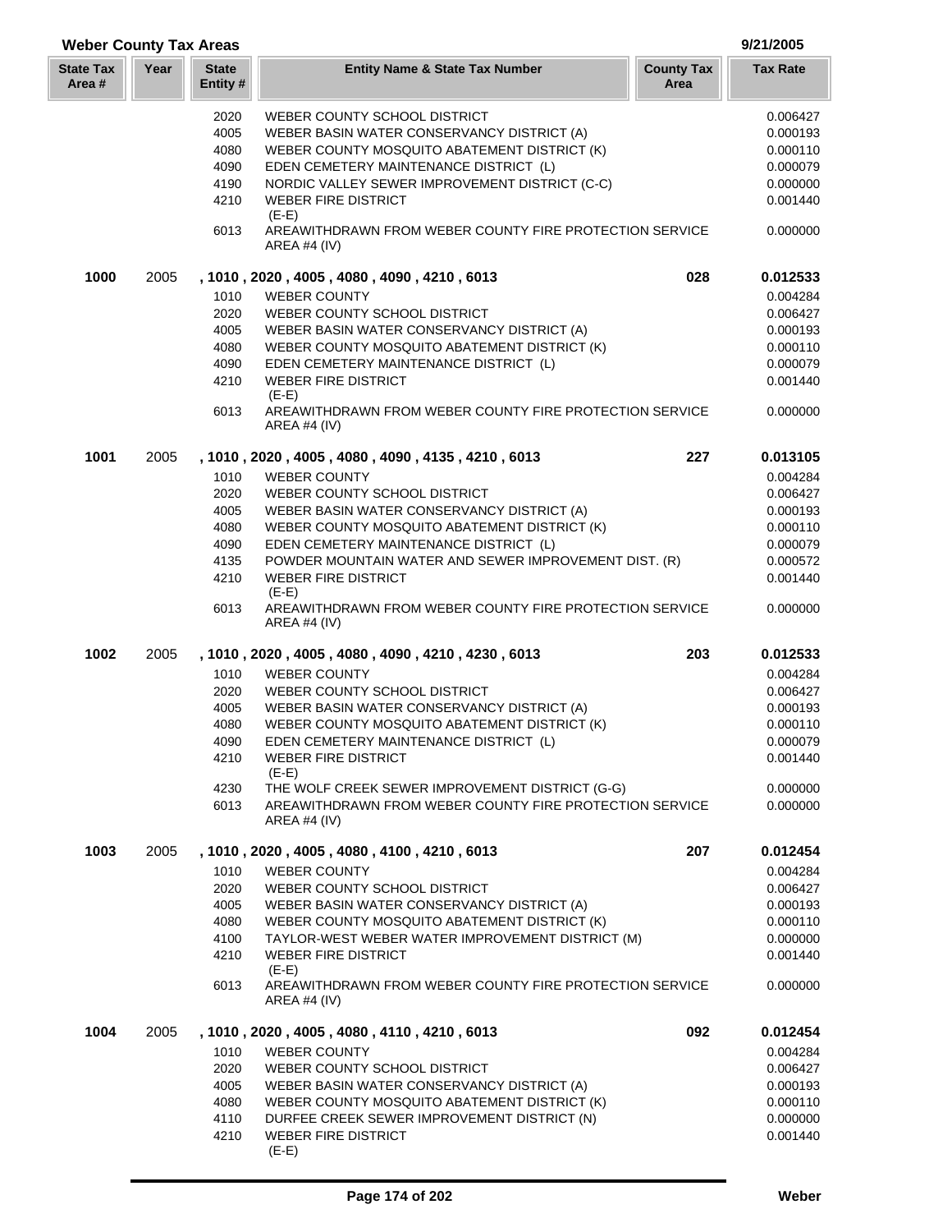| <b>Weber County Tax Areas</b> |      |                          |                                                                                |                           | 9/21/2005            |  |
|-------------------------------|------|--------------------------|--------------------------------------------------------------------------------|---------------------------|----------------------|--|
| <b>State Tax</b><br>Area #    | Year | <b>State</b><br>Entity # | <b>Entity Name &amp; State Tax Number</b>                                      | <b>County Tax</b><br>Area | <b>Tax Rate</b>      |  |
|                               |      | 2020                     | WEBER COUNTY SCHOOL DISTRICT                                                   |                           | 0.006427             |  |
|                               |      | 4005                     | WEBER BASIN WATER CONSERVANCY DISTRICT (A)                                     |                           | 0.000193             |  |
|                               |      | 4080                     | WEBER COUNTY MOSQUITO ABATEMENT DISTRICT (K)                                   |                           | 0.000110             |  |
|                               |      | 4090                     | EDEN CEMETERY MAINTENANCE DISTRICT (L)                                         |                           | 0.000079             |  |
|                               |      | 4190                     | NORDIC VALLEY SEWER IMPROVEMENT DISTRICT (C-C)                                 |                           | 0.000000             |  |
|                               |      | 4210                     | <b>WEBER FIRE DISTRICT</b><br>$(E-E)$                                          |                           | 0.001440             |  |
|                               |      | 6013                     | AREAWITHDRAWN FROM WEBER COUNTY FIRE PROTECTION SERVICE<br>AREA #4 $(IV)$      |                           | 0.000000             |  |
| 1000                          | 2005 |                          | , 1010 , 2020 , 4005 , 4080 , 4090 , 4210 , 6013                               | 028                       | 0.012533             |  |
|                               |      | 1010                     | <b>WEBER COUNTY</b>                                                            |                           | 0.004284             |  |
|                               |      | 2020                     | WEBER COUNTY SCHOOL DISTRICT                                                   |                           | 0.006427             |  |
|                               |      | 4005                     | WEBER BASIN WATER CONSERVANCY DISTRICT (A)                                     |                           | 0.000193             |  |
|                               |      | 4080                     | WEBER COUNTY MOSQUITO ABATEMENT DISTRICT (K)                                   |                           | 0.000110             |  |
|                               |      | 4090                     | EDEN CEMETERY MAINTENANCE DISTRICT (L)                                         |                           | 0.000079             |  |
|                               |      | 4210                     | <b>WEBER FIRE DISTRICT</b><br>$(E-E)$                                          |                           | 0.001440             |  |
|                               |      | 6013                     | AREAWITHDRAWN FROM WEBER COUNTY FIRE PROTECTION SERVICE<br>AREA #4 (IV)        |                           | 0.000000             |  |
| 1001                          | 2005 |                          | , 1010, 2020, 4005, 4080, 4090, 4135, 4210, 6013                               | 227                       | 0.013105             |  |
|                               |      | 1010                     | <b>WEBER COUNTY</b>                                                            |                           | 0.004284             |  |
|                               |      | 2020                     | WEBER COUNTY SCHOOL DISTRICT                                                   |                           | 0.006427             |  |
|                               |      | 4005                     | WEBER BASIN WATER CONSERVANCY DISTRICT (A)                                     |                           | 0.000193             |  |
|                               |      | 4080                     | WEBER COUNTY MOSQUITO ABATEMENT DISTRICT (K)                                   |                           | 0.000110             |  |
|                               |      | 4090                     | EDEN CEMETERY MAINTENANCE DISTRICT (L)                                         |                           | 0.000079             |  |
|                               |      | 4135                     | POWDER MOUNTAIN WATER AND SEWER IMPROVEMENT DIST. (R)                          |                           | 0.000572             |  |
|                               |      | 4210                     | <b>WEBER FIRE DISTRICT</b><br>$(E-E)$                                          |                           | 0.001440             |  |
|                               |      | 6013                     | AREAWITHDRAWN FROM WEBER COUNTY FIRE PROTECTION SERVICE<br><b>AREA #4 (IV)</b> |                           | 0.000000             |  |
| 1002                          | 2005 |                          | , 1010, 2020, 4005, 4080, 4090, 4210, 4230, 6013                               | 203                       | 0.012533             |  |
|                               |      | 1010                     | <b>WEBER COUNTY</b>                                                            |                           | 0.004284             |  |
|                               |      | 2020                     | WEBER COUNTY SCHOOL DISTRICT                                                   |                           | 0.006427             |  |
|                               |      | 4005                     | WEBER BASIN WATER CONSERVANCY DISTRICT (A)                                     |                           | 0.000193             |  |
|                               |      | 4080                     | WEBER COUNTY MOSQUITO ABATEMENT DISTRICT (K)                                   |                           | 0.000110             |  |
|                               |      | 4090                     | EDEN CEMETERY MAINTENANCE DISTRICT (L)                                         |                           | 0.000079             |  |
|                               |      | 4210                     | <b>WEBER FIRE DISTRICT</b><br>$(E-E)$                                          |                           | 0.001440             |  |
|                               |      | 4230                     | THE WOLF CREEK SEWER IMPROVEMENT DISTRICT (G-G)                                |                           | 0.000000             |  |
|                               |      | 6013                     | AREAWITHDRAWN FROM WEBER COUNTY FIRE PROTECTION SERVICE<br>AREA #4 $(IV)$      |                           | 0.000000             |  |
| 1003                          | 2005 |                          | , 1010, 2020, 4005, 4080, 4100, 4210, 6013                                     | 207                       | 0.012454             |  |
|                               |      | 1010                     | <b>WEBER COUNTY</b>                                                            |                           | 0.004284             |  |
|                               |      | 2020                     | WEBER COUNTY SCHOOL DISTRICT                                                   |                           | 0.006427             |  |
|                               |      | 4005                     | WEBER BASIN WATER CONSERVANCY DISTRICT (A)                                     |                           | 0.000193             |  |
|                               |      | 4080                     | WEBER COUNTY MOSQUITO ABATEMENT DISTRICT (K)                                   |                           | 0.000110             |  |
|                               |      | 4100<br>4210             | TAYLOR-WEST WEBER WATER IMPROVEMENT DISTRICT (M)<br><b>WEBER FIRE DISTRICT</b> |                           | 0.000000<br>0.001440 |  |
|                               |      |                          | $(E-E)$                                                                        |                           |                      |  |
|                               |      | 6013                     | AREAWITHDRAWN FROM WEBER COUNTY FIRE PROTECTION SERVICE<br>AREA #4 $(IV)$      |                           | 0.000000             |  |
| 1004                          | 2005 |                          | , 1010, 2020, 4005, 4080, 4110, 4210, 6013                                     | 092                       | 0.012454             |  |
|                               |      | 1010                     | <b>WEBER COUNTY</b>                                                            |                           | 0.004284             |  |
|                               |      | 2020                     | WEBER COUNTY SCHOOL DISTRICT                                                   |                           | 0.006427             |  |
|                               |      | 4005                     | WEBER BASIN WATER CONSERVANCY DISTRICT (A)                                     |                           | 0.000193             |  |
|                               |      | 4080                     | WEBER COUNTY MOSQUITO ABATEMENT DISTRICT (K)                                   |                           | 0.000110             |  |
|                               |      | 4110                     | DURFEE CREEK SEWER IMPROVEMENT DISTRICT (N)                                    |                           | 0.000000             |  |
|                               |      | 4210                     | <b>WEBER FIRE DISTRICT</b><br>$(E-E)$                                          |                           | 0.001440             |  |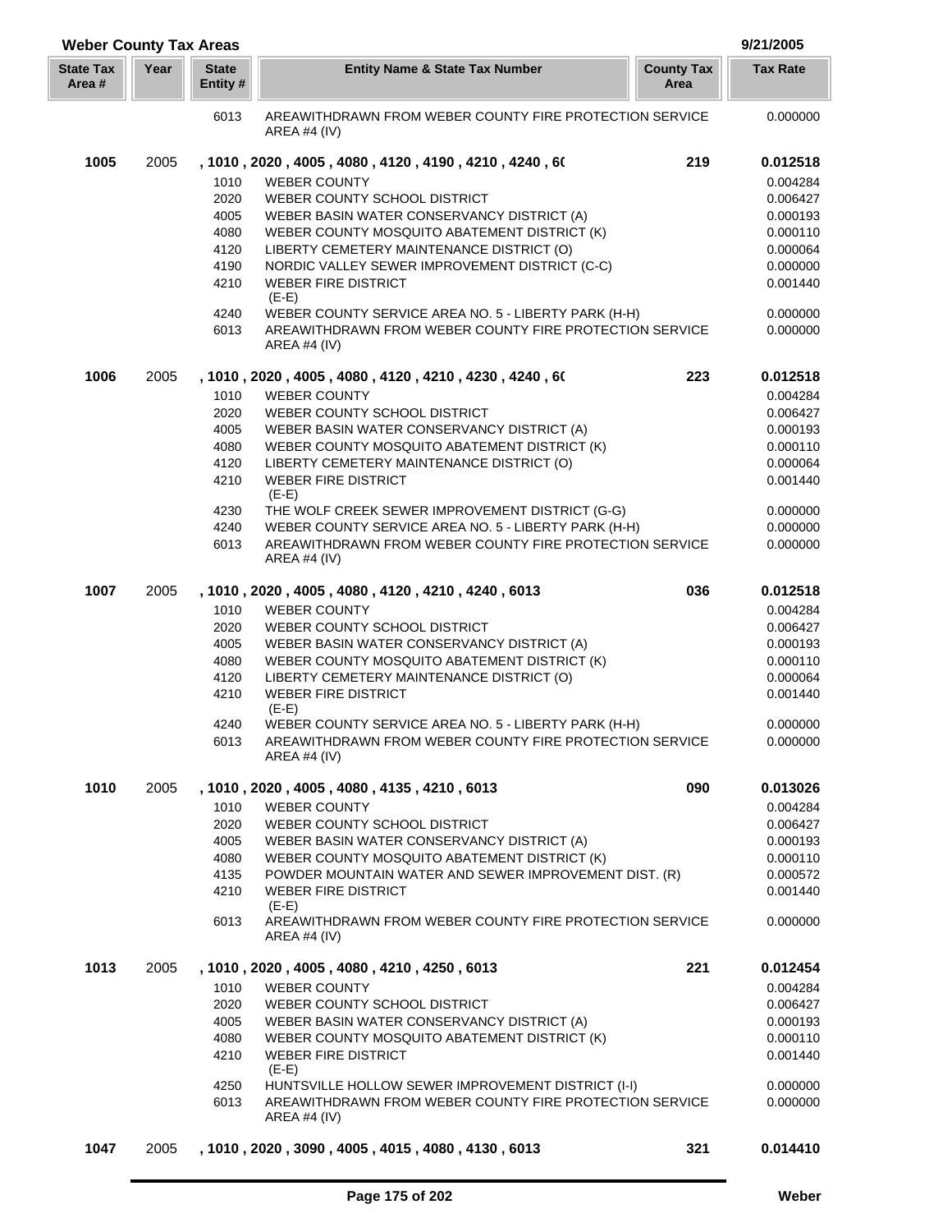| <b>Weber County Tax Areas</b> |      |                         |                                                                                     |                           |                 |  |
|-------------------------------|------|-------------------------|-------------------------------------------------------------------------------------|---------------------------|-----------------|--|
| <b>State Tax</b><br>Area #    | Year | <b>State</b><br>Entity# | <b>Entity Name &amp; State Tax Number</b>                                           | <b>County Tax</b><br>Area | <b>Tax Rate</b> |  |
|                               |      | 6013                    | AREAWITHDRAWN FROM WEBER COUNTY FIRE PROTECTION SERVICE<br>AREA #4 $(IV)$           |                           | 0.000000        |  |
| 1005                          | 2005 |                         | , 1010, 2020, 4005, 4080, 4120, 4190, 4210, 4240, 60                                | 219                       | 0.012518        |  |
|                               |      | 1010                    | <b>WEBER COUNTY</b>                                                                 |                           | 0.004284        |  |
|                               |      | 2020                    | WEBER COUNTY SCHOOL DISTRICT                                                        |                           | 0.006427        |  |
|                               |      | 4005                    | WEBER BASIN WATER CONSERVANCY DISTRICT (A)                                          |                           | 0.000193        |  |
|                               |      | 4080                    | WEBER COUNTY MOSQUITO ABATEMENT DISTRICT (K)                                        |                           | 0.000110        |  |
|                               |      | 4120                    | LIBERTY CEMETERY MAINTENANCE DISTRICT (O)                                           |                           | 0.000064        |  |
|                               |      | 4190                    | NORDIC VALLEY SEWER IMPROVEMENT DISTRICT (C-C)                                      |                           | 0.000000        |  |
|                               |      | 4210                    | <b>WEBER FIRE DISTRICT</b>                                                          |                           | 0.001440        |  |
|                               |      |                         | $(E-E)$                                                                             |                           |                 |  |
|                               |      | 4240                    | WEBER COUNTY SERVICE AREA NO. 5 - LIBERTY PARK (H-H)                                |                           | 0.000000        |  |
|                               |      | 6013                    | AREAWITHDRAWN FROM WEBER COUNTY FIRE PROTECTION SERVICE<br>AREA #4 (IV)             |                           | 0.000000        |  |
| 1006                          | 2005 |                         | , 1010 , 2020 , 4005 , 4080 , 4120 , 4210 , 4230 , 4240 , 60                        | 223                       | 0.012518        |  |
|                               |      | 1010                    | <b>WEBER COUNTY</b>                                                                 |                           | 0.004284        |  |
|                               |      | 2020                    | WEBER COUNTY SCHOOL DISTRICT                                                        |                           | 0.006427        |  |
|                               |      | 4005                    | WEBER BASIN WATER CONSERVANCY DISTRICT (A)                                          |                           | 0.000193        |  |
|                               |      | 4080                    | WEBER COUNTY MOSQUITO ABATEMENT DISTRICT (K)                                        |                           | 0.000110        |  |
|                               |      | 4120                    | LIBERTY CEMETERY MAINTENANCE DISTRICT (O)                                           |                           | 0.000064        |  |
|                               |      | 4210                    | <b>WEBER FIRE DISTRICT</b><br>$(E-E)$                                               |                           | 0.001440        |  |
|                               |      | 4230                    | THE WOLF CREEK SEWER IMPROVEMENT DISTRICT (G-G)                                     |                           | 0.000000        |  |
|                               |      | 4240                    | WEBER COUNTY SERVICE AREA NO. 5 - LIBERTY PARK (H-H)                                |                           | 0.000000        |  |
|                               |      | 6013                    | AREAWITHDRAWN FROM WEBER COUNTY FIRE PROTECTION SERVICE                             |                           | 0.000000        |  |
|                               |      |                         | <b>AREA #4 (IV)</b>                                                                 |                           |                 |  |
| 1007                          | 2005 |                         | , 1010, 2020, 4005, 4080, 4120, 4210, 4240, 6013                                    | 036                       | 0.012518        |  |
|                               |      | 1010                    | <b>WEBER COUNTY</b>                                                                 |                           | 0.004284        |  |
|                               |      | 2020                    | WEBER COUNTY SCHOOL DISTRICT                                                        |                           | 0.006427        |  |
|                               |      | 4005                    | WEBER BASIN WATER CONSERVANCY DISTRICT (A)                                          |                           | 0.000193        |  |
|                               |      | 4080                    | WEBER COUNTY MOSQUITO ABATEMENT DISTRICT (K)                                        |                           | 0.000110        |  |
|                               |      | 4120                    | LIBERTY CEMETERY MAINTENANCE DISTRICT (O)                                           |                           | 0.000064        |  |
|                               |      | 4210                    | <b>WEBER FIRE DISTRICT</b><br>$(E-E)$                                               |                           | 0.001440        |  |
|                               |      | 4240                    | WEBER COUNTY SERVICE AREA NO. 5 - LIBERTY PARK (H-H)                                |                           | 0.000000        |  |
|                               |      | 6013                    | AREAWITHDRAWN FROM WEBER COUNTY FIRE PROTECTION SERVICE                             |                           | 0.000000        |  |
|                               |      |                         | AREA #4 $(IV)$                                                                      |                           |                 |  |
| 1010                          | 2005 |                         | , 1010, 2020, 4005, 4080, 4135, 4210, 6013                                          | 090                       | 0.013026        |  |
|                               |      | 1010                    | <b>WEBER COUNTY</b>                                                                 |                           | 0.004284        |  |
|                               |      | 2020                    | WEBER COUNTY SCHOOL DISTRICT                                                        |                           | 0.006427        |  |
|                               |      | 4005                    | WEBER BASIN WATER CONSERVANCY DISTRICT (A)                                          |                           | 0.000193        |  |
|                               |      | 4080                    | WEBER COUNTY MOSQUITO ABATEMENT DISTRICT (K)                                        |                           | 0.000110        |  |
|                               |      | 4135                    | POWDER MOUNTAIN WATER AND SEWER IMPROVEMENT DIST. (R)<br><b>WEBER FIRE DISTRICT</b> |                           | 0.000572        |  |
|                               |      | 4210                    | $(E-E)$                                                                             |                           | 0.001440        |  |
|                               |      | 6013                    | AREAWITHDRAWN FROM WEBER COUNTY FIRE PROTECTION SERVICE<br>AREA #4 $(IV)$           |                           | 0.000000        |  |
| 1013                          | 2005 |                         | , 1010, 2020, 4005, 4080, 4210, 4250, 6013                                          | 221                       | 0.012454        |  |
|                               |      | 1010                    | <b>WEBER COUNTY</b>                                                                 |                           | 0.004284        |  |
|                               |      | 2020                    | WEBER COUNTY SCHOOL DISTRICT                                                        |                           | 0.006427        |  |
|                               |      | 4005                    | WEBER BASIN WATER CONSERVANCY DISTRICT (A)                                          |                           | 0.000193        |  |
|                               |      | 4080                    | WEBER COUNTY MOSQUITO ABATEMENT DISTRICT (K)                                        |                           | 0.000110        |  |
|                               |      | 4210                    | <b>WEBER FIRE DISTRICT</b>                                                          |                           | 0.001440        |  |
|                               |      |                         | $(E-E)$                                                                             |                           |                 |  |
|                               |      | 4250                    | HUNTSVILLE HOLLOW SEWER IMPROVEMENT DISTRICT (I-I)                                  |                           | 0.000000        |  |
|                               |      | 6013                    | AREAWITHDRAWN FROM WEBER COUNTY FIRE PROTECTION SERVICE<br><b>AREA #4 (IV)</b>      |                           | 0.000000        |  |
| 1047                          | 2005 |                         | , 1010, 2020, 3090, 4005, 4015, 4080, 4130, 6013                                    | 321                       | 0.014410        |  |
|                               |      |                         |                                                                                     |                           |                 |  |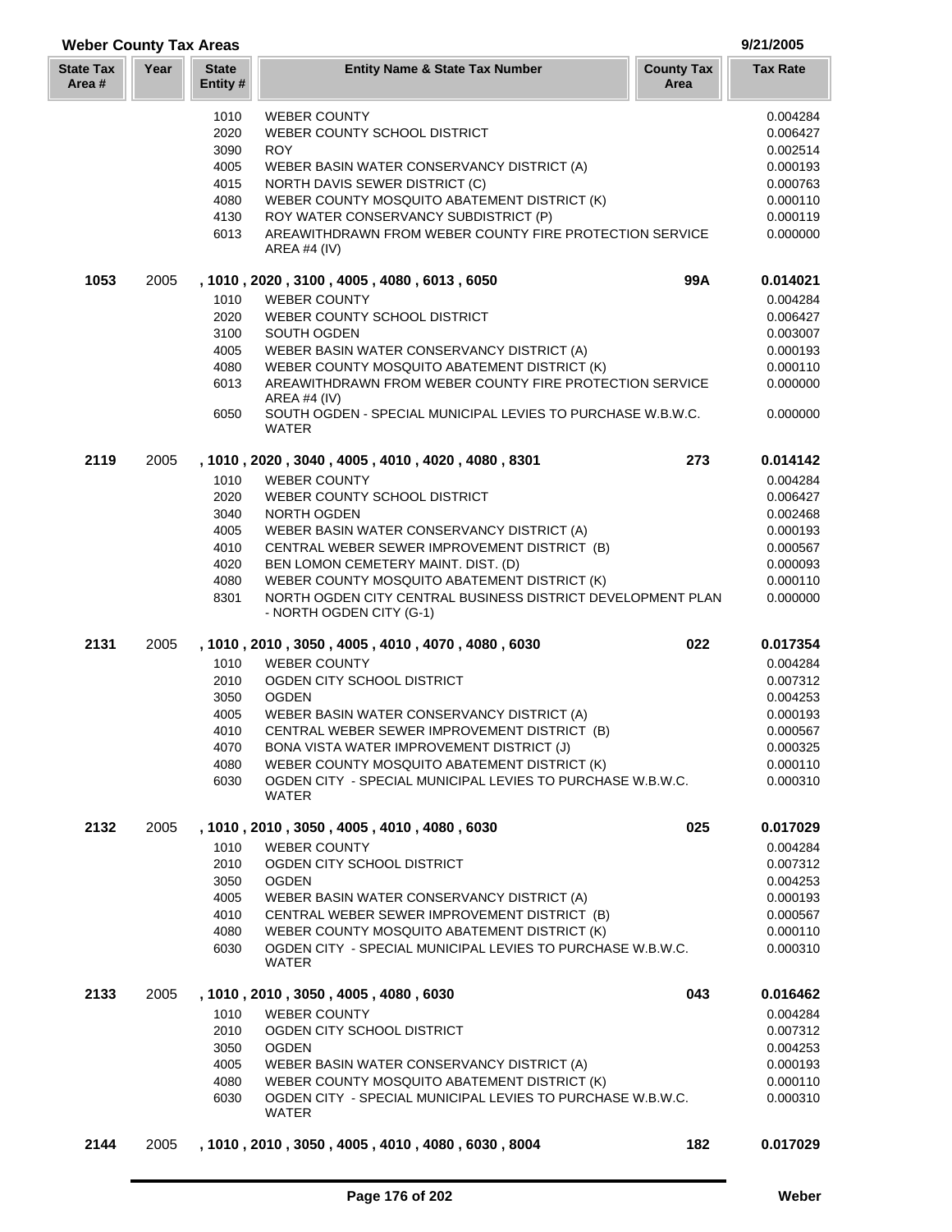# **Weber County Tax Areas 9/21/2005**

| <b>State Tax</b><br>Area # | Year | <b>State</b><br>Entity #                                     | <b>Entity Name &amp; State Tax Number</b>                                                                                                                                                                                                                                                                                                                                                              | <b>County Tax</b><br>Area | <b>Tax Rate</b>                                                                                          |
|----------------------------|------|--------------------------------------------------------------|--------------------------------------------------------------------------------------------------------------------------------------------------------------------------------------------------------------------------------------------------------------------------------------------------------------------------------------------------------------------------------------------------------|---------------------------|----------------------------------------------------------------------------------------------------------|
|                            |      | 1010<br>2020<br>3090<br>4005<br>4015<br>4080<br>4130<br>6013 | <b>WEBER COUNTY</b><br>WEBER COUNTY SCHOOL DISTRICT<br><b>ROY</b><br>WEBER BASIN WATER CONSERVANCY DISTRICT (A)<br>NORTH DAVIS SEWER DISTRICT (C)<br>WEBER COUNTY MOSQUITO ABATEMENT DISTRICT (K)<br>ROY WATER CONSERVANCY SUBDISTRICT (P)<br>AREAWITHDRAWN FROM WEBER COUNTY FIRE PROTECTION SERVICE<br>AREA #4 $(IV)$                                                                                |                           | 0.004284<br>0.006427<br>0.002514<br>0.000193<br>0.000763<br>0.000110<br>0.000119<br>0.000000             |
| 1053                       | 2005 | 1010<br>2020<br>3100<br>4005<br>4080<br>6013<br>6050         | , 1010, 2020, 3100, 4005, 4080, 6013, 6050<br><b>WEBER COUNTY</b><br>WEBER COUNTY SCHOOL DISTRICT<br>SOUTH OGDEN<br>WEBER BASIN WATER CONSERVANCY DISTRICT (A)<br>WEBER COUNTY MOSQUITO ABATEMENT DISTRICT (K)<br>AREAWITHDRAWN FROM WEBER COUNTY FIRE PROTECTION SERVICE<br><b>AREA #4 (IV)</b><br>SOUTH OGDEN - SPECIAL MUNICIPAL LEVIES TO PURCHASE W.B.W.C.<br>WATER                               | 99A                       | 0.014021<br>0.004284<br>0.006427<br>0.003007<br>0.000193<br>0.000110<br>0.000000<br>0.000000             |
| 2119                       | 2005 | 1010<br>2020<br>3040<br>4005<br>4010<br>4020<br>4080<br>8301 | , 1010, 2020, 3040, 4005, 4010, 4020, 4080, 8301<br><b>WEBER COUNTY</b><br>WEBER COUNTY SCHOOL DISTRICT<br>NORTH OGDEN<br>WEBER BASIN WATER CONSERVANCY DISTRICT (A)<br>CENTRAL WEBER SEWER IMPROVEMENT DISTRICT (B)<br>BEN LOMON CEMETERY MAINT. DIST. (D)<br>WEBER COUNTY MOSQUITO ABATEMENT DISTRICT (K)<br>NORTH OGDEN CITY CENTRAL BUSINESS DISTRICT DEVELOPMENT PLAN<br>- NORTH OGDEN CITY (G-1) | 273                       | 0.014142<br>0.004284<br>0.006427<br>0.002468<br>0.000193<br>0.000567<br>0.000093<br>0.000110<br>0.000000 |
| 2131                       | 2005 | 1010<br>2010<br>3050<br>4005<br>4010<br>4070<br>4080<br>6030 | , 1010, 2010, 3050, 4005, 4010, 4070, 4080, 6030<br><b>WEBER COUNTY</b><br>OGDEN CITY SCHOOL DISTRICT<br><b>OGDEN</b><br>WEBER BASIN WATER CONSERVANCY DISTRICT (A)<br>CENTRAL WEBER SEWER IMPROVEMENT DISTRICT (B)<br>BONA VISTA WATER IMPROVEMENT DISTRICT (J)<br>WEBER COUNTY MOSQUITO ABATEMENT DISTRICT (K)<br>OGDEN CITY - SPECIAL MUNICIPAL LEVIES TO PURCHASE W.B.W.C.<br>WATER                | 022                       | 0.017354<br>0.004284<br>0.007312<br>0.004253<br>0.000193<br>0.000567<br>0.000325<br>0.000110<br>0.000310 |
| 2132                       | 2005 | 1010<br>2010<br>3050<br>4005<br>4010<br>4080<br>6030         | , 1010, 2010, 3050, 4005, 4010, 4080, 6030<br><b>WEBER COUNTY</b><br>OGDEN CITY SCHOOL DISTRICT<br><b>OGDEN</b><br>WEBER BASIN WATER CONSERVANCY DISTRICT (A)<br>CENTRAL WEBER SEWER IMPROVEMENT DISTRICT (B)<br>WEBER COUNTY MOSQUITO ABATEMENT DISTRICT (K)<br>OGDEN CITY - SPECIAL MUNICIPAL LEVIES TO PURCHASE W.B.W.C.<br>WATER                                                                   | 025                       | 0.017029<br>0.004284<br>0.007312<br>0.004253<br>0.000193<br>0.000567<br>0.000110<br>0.000310             |
| 2133                       | 2005 | 1010<br>2010<br>3050<br>4005<br>4080<br>6030                 | , 1010 , 2010 , 3050 , 4005 , 4080 , 6030<br><b>WEBER COUNTY</b><br>OGDEN CITY SCHOOL DISTRICT<br><b>OGDEN</b><br>WEBER BASIN WATER CONSERVANCY DISTRICT (A)<br>WEBER COUNTY MOSQUITO ABATEMENT DISTRICT (K)<br>OGDEN CITY - SPECIAL MUNICIPAL LEVIES TO PURCHASE W.B.W.C.<br>WATER                                                                                                                    | 043                       | 0.016462<br>0.004284<br>0.007312<br>0.004253<br>0.000193<br>0.000110<br>0.000310                         |
| 2144                       | 2005 |                                                              | , 1010 , 2010 , 3050 , 4005 , 4010 , 4080 , 6030 , 8004                                                                                                                                                                                                                                                                                                                                                | 182                       | 0.017029                                                                                                 |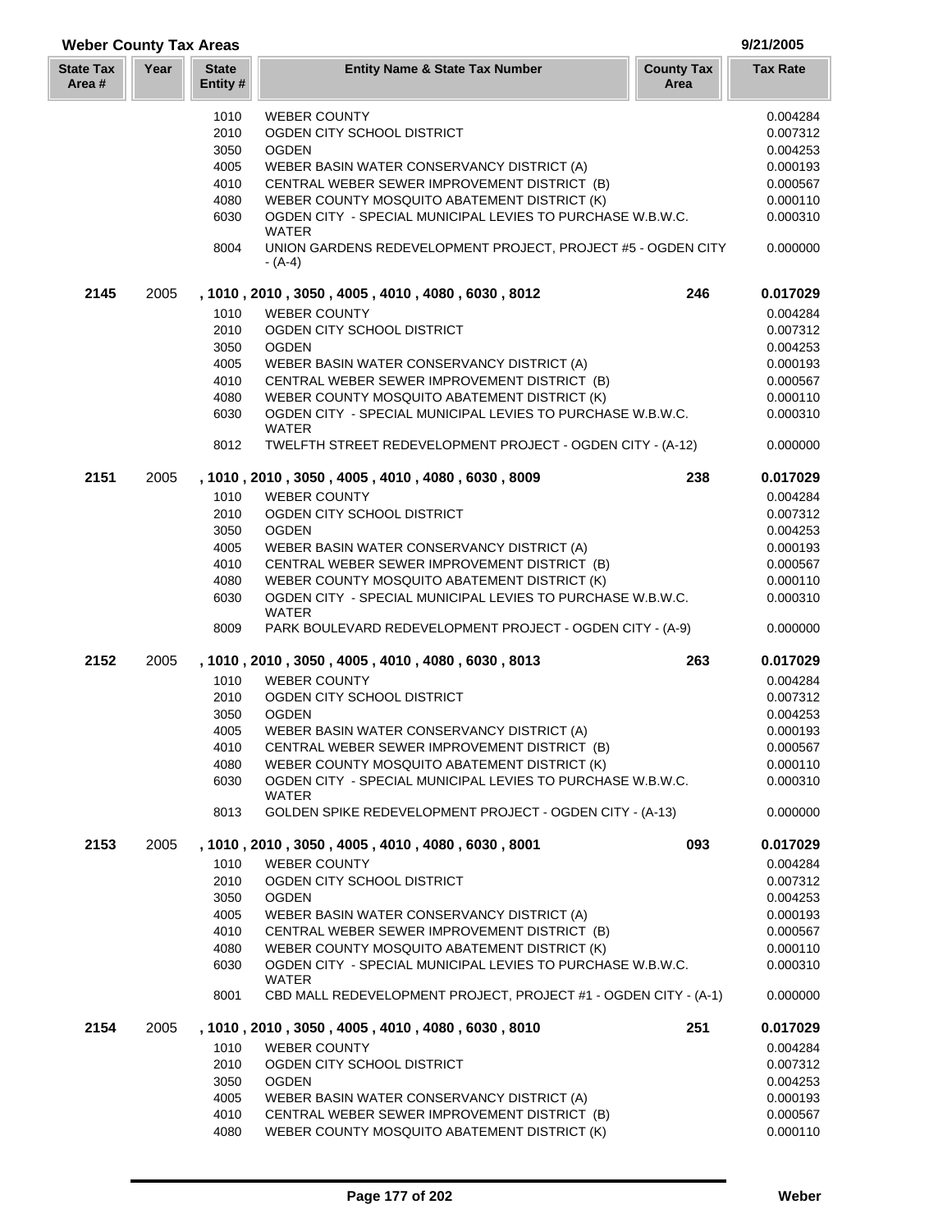| <b>Weber County Tax Areas</b> |      |                          | 9/21/2005                                                                  |                           |                 |
|-------------------------------|------|--------------------------|----------------------------------------------------------------------------|---------------------------|-----------------|
| <b>State Tax</b><br>Area #    | Year | <b>State</b><br>Entity # | <b>Entity Name &amp; State Tax Number</b>                                  | <b>County Tax</b><br>Area | <b>Tax Rate</b> |
|                               |      | 1010                     | <b>WEBER COUNTY</b>                                                        |                           | 0.004284        |
|                               |      | 2010                     | OGDEN CITY SCHOOL DISTRICT                                                 |                           | 0.007312        |
|                               |      | 3050                     | <b>OGDEN</b>                                                               |                           | 0.004253        |
|                               |      | 4005                     | WEBER BASIN WATER CONSERVANCY DISTRICT (A)                                 |                           | 0.000193        |
|                               |      | 4010                     |                                                                            |                           |                 |
|                               |      |                          | CENTRAL WEBER SEWER IMPROVEMENT DISTRICT (B)                               |                           | 0.000567        |
|                               |      | 4080                     | WEBER COUNTY MOSQUITO ABATEMENT DISTRICT (K)                               |                           | 0.000110        |
|                               |      | 6030                     | OGDEN CITY - SPECIAL MUNICIPAL LEVIES TO PURCHASE W.B.W.C.<br>WATER        |                           | 0.000310        |
|                               |      | 8004                     | UNION GARDENS REDEVELOPMENT PROJECT, PROJECT #5 - OGDEN CITY<br>$-(A-4)$   |                           | 0.000000        |
| 2145                          | 2005 |                          | , 1010, 2010, 3050, 4005, 4010, 4080, 6030, 8012                           | 246                       | 0.017029        |
|                               |      | 1010                     | <b>WEBER COUNTY</b>                                                        |                           | 0.004284        |
|                               |      | 2010                     | OGDEN CITY SCHOOL DISTRICT                                                 |                           | 0.007312        |
|                               |      | 3050                     | <b>OGDEN</b>                                                               |                           | 0.004253        |
|                               |      | 4005                     | WEBER BASIN WATER CONSERVANCY DISTRICT (A)                                 |                           | 0.000193        |
|                               |      | 4010                     | CENTRAL WEBER SEWER IMPROVEMENT DISTRICT (B)                               |                           | 0.000567        |
|                               |      |                          |                                                                            |                           |                 |
|                               |      | 4080                     | WEBER COUNTY MOSQUITO ABATEMENT DISTRICT (K)                               |                           | 0.000110        |
|                               |      | 6030                     | OGDEN CITY - SPECIAL MUNICIPAL LEVIES TO PURCHASE W.B.W.C.<br><b>WATER</b> |                           | 0.000310        |
|                               |      | 8012                     | TWELFTH STREET REDEVELOPMENT PROJECT - OGDEN CITY - (A-12)                 |                           | 0.000000        |
| 2151                          | 2005 |                          | , 1010, 2010, 3050, 4005, 4010, 4080, 6030, 8009                           | 238                       | 0.017029        |
|                               |      | 1010                     | <b>WEBER COUNTY</b>                                                        |                           | 0.004284        |
|                               |      | 2010                     | OGDEN CITY SCHOOL DISTRICT                                                 |                           | 0.007312        |
|                               |      | 3050                     | <b>OGDEN</b>                                                               |                           | 0.004253        |
|                               |      | 4005                     | WEBER BASIN WATER CONSERVANCY DISTRICT (A)                                 |                           | 0.000193        |
|                               |      | 4010                     | CENTRAL WEBER SEWER IMPROVEMENT DISTRICT (B)                               |                           | 0.000567        |
|                               |      | 4080                     | WEBER COUNTY MOSQUITO ABATEMENT DISTRICT (K)                               |                           | 0.000110        |
|                               |      | 6030                     | OGDEN CITY - SPECIAL MUNICIPAL LEVIES TO PURCHASE W.B.W.C.<br><b>WATER</b> |                           | 0.000310        |
|                               |      | 8009                     | PARK BOULEVARD REDEVELOPMENT PROJECT - OGDEN CITY - (A-9)                  |                           | 0.000000        |
| 2152                          | 2005 |                          | , 1010, 2010, 3050, 4005, 4010, 4080, 6030, 8013                           | 263                       | 0.017029        |
|                               |      | 1010                     | <b>WEBER COUNTY</b>                                                        |                           | 0.004284        |
|                               |      | 2010                     | OGDEN CITY SCHOOL DISTRICT                                                 |                           | 0.007312        |
|                               |      | 3050                     | <b>OGDEN</b>                                                               |                           | 0.004253        |
|                               |      | 4005                     | WEBER BASIN WATER CONSERVANCY DISTRICT (A)                                 |                           | 0.000193        |
|                               |      | 4010                     | CENTRAL WEBER SEWER IMPROVEMENT DISTRICT (B)                               |                           | 0.000567        |
|                               |      | 4080                     | WEBER COUNTY MOSQUITO ABATEMENT DISTRICT (K)                               |                           | 0.000110        |
|                               |      | 6030                     | OGDEN CITY - SPECIAL MUNICIPAL LEVIES TO PURCHASE W.B.W.C.                 |                           | 0.000310        |
|                               |      |                          | <b>WATER</b>                                                               |                           |                 |
|                               |      | 8013                     | GOLDEN SPIKE REDEVELOPMENT PROJECT - OGDEN CITY - (A-13)                   |                           | 0.000000        |
| 2153                          | 2005 |                          | , 1010, 2010, 3050, 4005, 4010, 4080, 6030, 8001                           | 093                       | 0.017029        |
|                               |      | 1010                     | <b>WEBER COUNTY</b>                                                        |                           | 0.004284        |
|                               |      | 2010                     | OGDEN CITY SCHOOL DISTRICT                                                 |                           | 0.007312        |
|                               |      | 3050                     | <b>OGDEN</b>                                                               |                           | 0.004253        |
|                               |      | 4005                     | WEBER BASIN WATER CONSERVANCY DISTRICT (A)                                 |                           | 0.000193        |
|                               |      | 4010                     | CENTRAL WEBER SEWER IMPROVEMENT DISTRICT (B)                               |                           | 0.000567        |
|                               |      | 4080                     | WEBER COUNTY MOSQUITO ABATEMENT DISTRICT (K)                               |                           | 0.000110        |
|                               |      | 6030                     | OGDEN CITY - SPECIAL MUNICIPAL LEVIES TO PURCHASE W.B.W.C.<br>WATER        |                           | 0.000310        |
|                               |      | 8001                     | CBD MALL REDEVELOPMENT PROJECT, PROJECT #1 - OGDEN CITY - (A-1)            |                           | 0.000000        |
| 2154                          | 2005 |                          | , 1010, 2010, 3050, 4005, 4010, 4080, 6030, 8010                           | 251                       | 0.017029        |
|                               |      | 1010                     | <b>WEBER COUNTY</b>                                                        |                           | 0.004284        |
|                               |      | 2010                     | OGDEN CITY SCHOOL DISTRICT                                                 |                           | 0.007312        |
|                               |      | 3050                     | <b>OGDEN</b>                                                               |                           | 0.004253        |
|                               |      | 4005                     | WEBER BASIN WATER CONSERVANCY DISTRICT (A)                                 |                           | 0.000193        |
|                               |      | 4010                     | CENTRAL WEBER SEWER IMPROVEMENT DISTRICT (B)                               |                           | 0.000567        |
|                               |      | 4080                     | WEBER COUNTY MOSQUITO ABATEMENT DISTRICT (K)                               |                           | 0.000110        |
|                               |      |                          |                                                                            |                           |                 |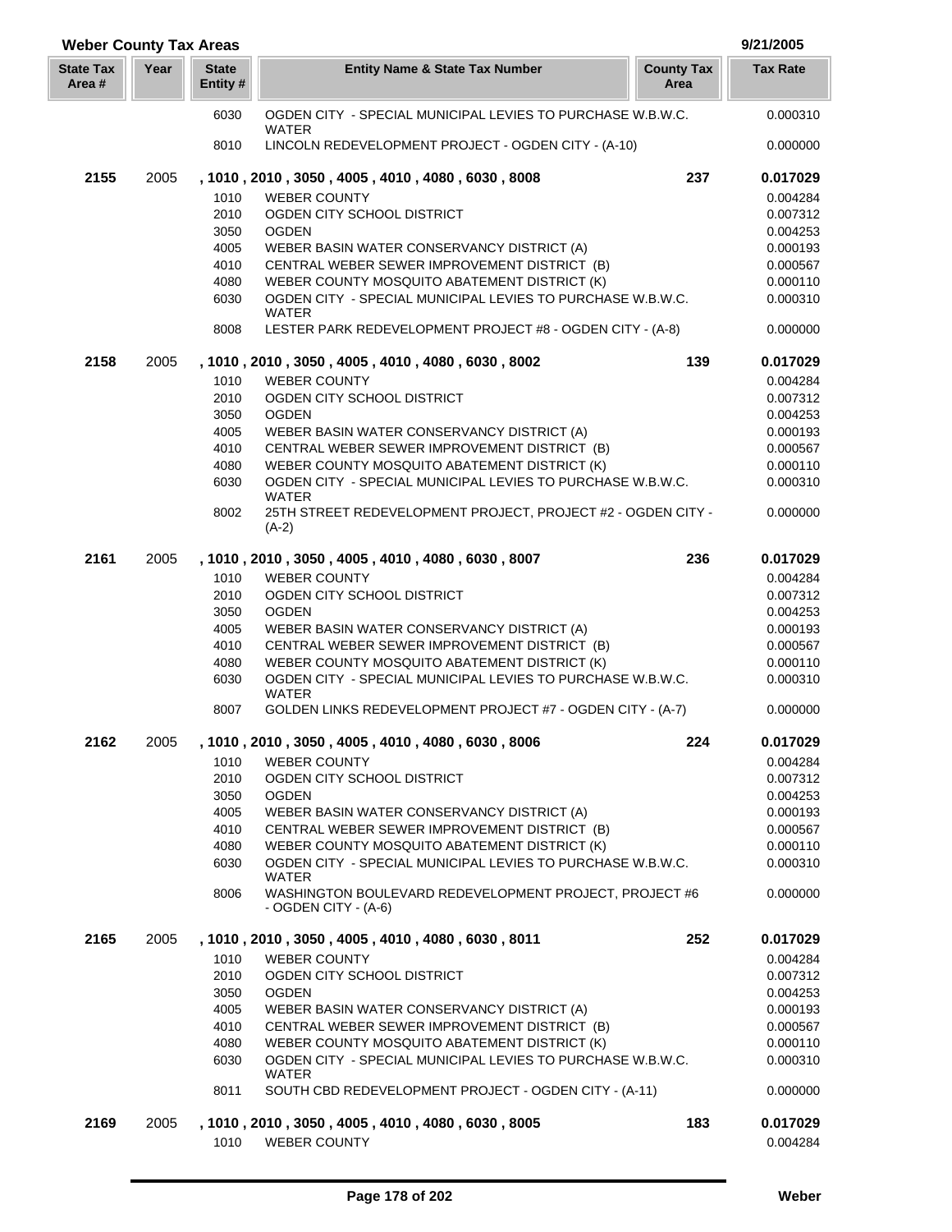| <b>Weber County Tax Areas</b> |      |                          |                                                                                                            | 9/21/2005                 |                      |
|-------------------------------|------|--------------------------|------------------------------------------------------------------------------------------------------------|---------------------------|----------------------|
| <b>State Tax</b><br>Area#     | Year | <b>State</b><br>Entity # | <b>Entity Name &amp; State Tax Number</b>                                                                  | <b>County Tax</b><br>Area | <b>Tax Rate</b>      |
|                               |      | 6030                     | OGDEN CITY - SPECIAL MUNICIPAL LEVIES TO PURCHASE W.B.W.C.<br><b>WATER</b>                                 |                           | 0.000310             |
|                               |      | 8010                     | LINCOLN REDEVELOPMENT PROJECT - OGDEN CITY - (A-10)                                                        |                           | 0.000000             |
| 2155                          | 2005 |                          | , 1010, 2010, 3050, 4005, 4010, 4080, 6030, 8008                                                           | 237                       | 0.017029             |
|                               |      | 1010                     | <b>WEBER COUNTY</b>                                                                                        |                           | 0.004284             |
|                               |      | 2010                     | OGDEN CITY SCHOOL DISTRICT                                                                                 |                           | 0.007312             |
|                               |      | 3050                     | <b>OGDEN</b>                                                                                               |                           | 0.004253             |
|                               |      | 4005                     | WEBER BASIN WATER CONSERVANCY DISTRICT (A)                                                                 |                           | 0.000193             |
|                               |      | 4010<br>4080             | CENTRAL WEBER SEWER IMPROVEMENT DISTRICT (B)<br>WEBER COUNTY MOSQUITO ABATEMENT DISTRICT (K)               |                           | 0.000567<br>0.000110 |
|                               |      | 6030                     | OGDEN CITY - SPECIAL MUNICIPAL LEVIES TO PURCHASE W.B.W.C.                                                 |                           | 0.000310             |
|                               |      |                          | <b>WATER</b>                                                                                               |                           |                      |
|                               |      | 8008                     | LESTER PARK REDEVELOPMENT PROJECT #8 - OGDEN CITY - (A-8)                                                  |                           | 0.000000             |
| 2158                          | 2005 |                          | , 1010, 2010, 3050, 4005, 4010, 4080, 6030, 8002                                                           | 139                       | 0.017029             |
|                               |      | 1010                     | <b>WEBER COUNTY</b>                                                                                        |                           | 0.004284             |
|                               |      | 2010                     | OGDEN CITY SCHOOL DISTRICT                                                                                 |                           | 0.007312             |
|                               |      | 3050                     | <b>OGDEN</b>                                                                                               |                           | 0.004253             |
|                               |      | 4005                     | WEBER BASIN WATER CONSERVANCY DISTRICT (A)                                                                 |                           | 0.000193             |
|                               |      | 4010<br>4080             | CENTRAL WEBER SEWER IMPROVEMENT DISTRICT (B)                                                               |                           | 0.000567             |
|                               |      | 6030                     | WEBER COUNTY MOSQUITO ABATEMENT DISTRICT (K)<br>OGDEN CITY - SPECIAL MUNICIPAL LEVIES TO PURCHASE W.B.W.C. |                           | 0.000110<br>0.000310 |
|                               |      |                          | WATER                                                                                                      |                           |                      |
|                               |      | 8002                     | 25TH STREET REDEVELOPMENT PROJECT, PROJECT #2 - OGDEN CITY -<br>$(A-2)$                                    |                           | 0.000000             |
| 2161                          | 2005 |                          | , 1010, 2010, 3050, 4005, 4010, 4080, 6030, 8007                                                           | 236                       | 0.017029             |
|                               |      | 1010                     | <b>WEBER COUNTY</b>                                                                                        |                           | 0.004284             |
|                               |      | 2010                     | OGDEN CITY SCHOOL DISTRICT                                                                                 |                           | 0.007312             |
|                               |      | 3050                     | <b>OGDEN</b>                                                                                               |                           | 0.004253             |
|                               |      | 4005                     | WEBER BASIN WATER CONSERVANCY DISTRICT (A)                                                                 |                           | 0.000193             |
|                               |      | 4010                     | CENTRAL WEBER SEWER IMPROVEMENT DISTRICT (B)                                                               |                           | 0.000567             |
|                               |      | 4080                     | WEBER COUNTY MOSQUITO ABATEMENT DISTRICT (K)                                                               |                           | 0.000110             |
|                               |      | 6030                     | OGDEN CITY - SPECIAL MUNICIPAL LEVIES TO PURCHASE W.B.W.C.<br><b>WATER</b>                                 |                           | 0.000310             |
|                               |      | 8007                     | GOLDEN LINKS REDEVELOPMENT PROJECT #7 - OGDEN CITY - (A-7)                                                 |                           | 0.000000             |
| 2162                          | 2005 |                          | , 1010, 2010, 3050, 4005, 4010, 4080, 6030, 8006                                                           | 224                       | 0.017029             |
|                               |      | 1010                     | <b>WEBER COUNTY</b>                                                                                        |                           | 0.004284             |
|                               |      | 2010                     | OGDEN CITY SCHOOL DISTRICT                                                                                 |                           | 0.007312             |
|                               |      | 3050                     | <b>OGDEN</b>                                                                                               |                           | 0.004253             |
|                               |      | 4005<br>4010             | WEBER BASIN WATER CONSERVANCY DISTRICT (A)<br>CENTRAL WEBER SEWER IMPROVEMENT DISTRICT (B)                 |                           | 0.000193<br>0.000567 |
|                               |      | 4080                     | WEBER COUNTY MOSQUITO ABATEMENT DISTRICT (K)                                                               |                           | 0.000110             |
|                               |      | 6030                     | OGDEN CITY - SPECIAL MUNICIPAL LEVIES TO PURCHASE W.B.W.C.                                                 |                           | 0.000310             |
|                               |      |                          | <b>WATER</b>                                                                                               |                           |                      |
|                               |      | 8006                     | WASHINGTON BOULEVARD REDEVELOPMENT PROJECT, PROJECT #6<br>- OGDEN CITY - (A-6)                             |                           | 0.000000             |
| 2165                          | 2005 |                          | , 1010, 2010, 3050, 4005, 4010, 4080, 6030, 8011                                                           | 252                       | 0.017029             |
|                               |      | 1010                     | <b>WEBER COUNTY</b>                                                                                        |                           | 0.004284             |
|                               |      | 2010                     | OGDEN CITY SCHOOL DISTRICT                                                                                 |                           | 0.007312             |
|                               |      | 3050                     | <b>OGDEN</b>                                                                                               |                           | 0.004253             |
|                               |      | 4005                     | WEBER BASIN WATER CONSERVANCY DISTRICT (A)                                                                 |                           | 0.000193             |
|                               |      | 4010                     | CENTRAL WEBER SEWER IMPROVEMENT DISTRICT (B)                                                               |                           | 0.000567             |
|                               |      | 4080                     | WEBER COUNTY MOSQUITO ABATEMENT DISTRICT (K)                                                               |                           | 0.000110             |
|                               |      | 6030                     | OGDEN CITY - SPECIAL MUNICIPAL LEVIES TO PURCHASE W.B.W.C.<br><b>WATER</b>                                 |                           | 0.000310             |
|                               |      | 8011                     | SOUTH CBD REDEVELOPMENT PROJECT - OGDEN CITY - (A-11)                                                      |                           | 0.000000             |
| 2169                          | 2005 |                          | , 1010, 2010, 3050, 4005, 4010, 4080, 6030, 8005                                                           | 183                       | 0.017029             |
|                               |      | 1010                     | <b>WEBER COUNTY</b>                                                                                        |                           | 0.004284             |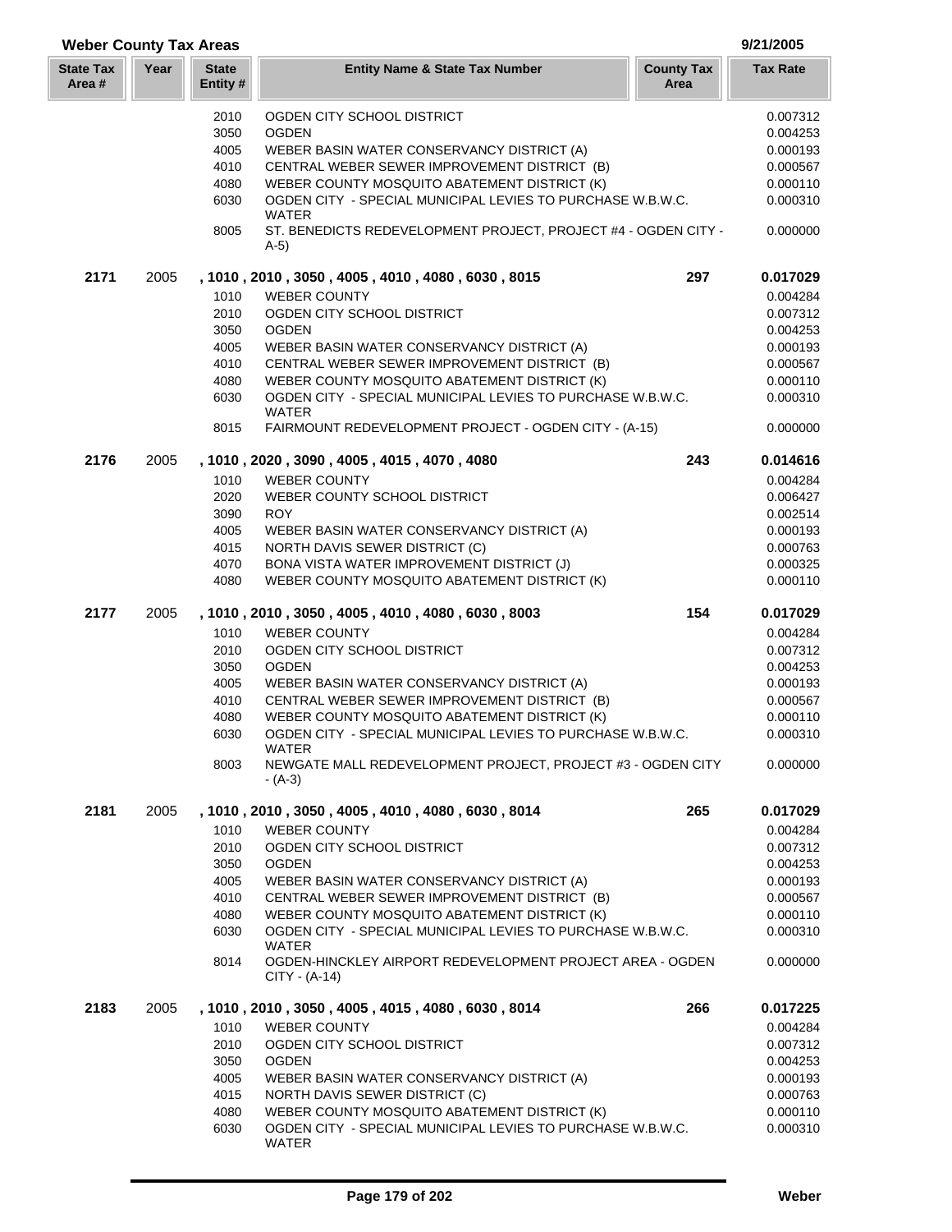| <b>Weber County Tax Areas</b> |      |                          |                                                                              |                           | 9/21/2005            |
|-------------------------------|------|--------------------------|------------------------------------------------------------------------------|---------------------------|----------------------|
| <b>State Tax</b><br>Area#     | Year | <b>State</b><br>Entity # | <b>Entity Name &amp; State Tax Number</b>                                    | <b>County Tax</b><br>Area | <b>Tax Rate</b>      |
|                               |      | 2010                     | OGDEN CITY SCHOOL DISTRICT                                                   |                           | 0.007312             |
|                               |      | 3050                     | <b>OGDEN</b>                                                                 |                           | 0.004253             |
|                               |      | 4005                     | WEBER BASIN WATER CONSERVANCY DISTRICT (A)                                   |                           | 0.000193             |
|                               |      | 4010                     | CENTRAL WEBER SEWER IMPROVEMENT DISTRICT (B)                                 |                           | 0.000567             |
|                               |      | 4080                     | WEBER COUNTY MOSQUITO ABATEMENT DISTRICT (K)                                 |                           | 0.000110             |
|                               |      | 6030                     | OGDEN CITY - SPECIAL MUNICIPAL LEVIES TO PURCHASE W.B.W.C.<br><b>WATER</b>   |                           | 0.000310             |
|                               |      | 8005                     | ST. BENEDICTS REDEVELOPMENT PROJECT, PROJECT #4 - OGDEN CITY -<br>$A-5)$     |                           | 0.000000             |
| 2171                          | 2005 |                          | , 1010, 2010, 3050, 4005, 4010, 4080, 6030, 8015                             | 297                       | 0.017029             |
|                               |      | 1010                     | <b>WEBER COUNTY</b>                                                          |                           | 0.004284             |
|                               |      | 2010                     | OGDEN CITY SCHOOL DISTRICT                                                   |                           | 0.007312             |
|                               |      | 3050                     | <b>OGDEN</b>                                                                 |                           | 0.004253             |
|                               |      | 4005                     | WEBER BASIN WATER CONSERVANCY DISTRICT (A)                                   |                           | 0.000193             |
|                               |      | 4010                     | CENTRAL WEBER SEWER IMPROVEMENT DISTRICT (B)                                 |                           | 0.000567             |
|                               |      | 4080                     | WEBER COUNTY MOSQUITO ABATEMENT DISTRICT (K)                                 |                           | 0.000110             |
|                               |      | 6030                     | OGDEN CITY - SPECIAL MUNICIPAL LEVIES TO PURCHASE W.B.W.C.<br><b>WATER</b>   |                           | 0.000310             |
|                               |      | 8015                     | FAIRMOUNT REDEVELOPMENT PROJECT - OGDEN CITY - (A-15)                        |                           | 0.000000             |
| 2176                          | 2005 |                          | , 1010, 2020, 3090, 4005, 4015, 4070, 4080                                   | 243                       | 0.014616             |
|                               |      | 1010                     | <b>WEBER COUNTY</b>                                                          |                           | 0.004284             |
|                               |      | 2020                     | WEBER COUNTY SCHOOL DISTRICT                                                 |                           | 0.006427             |
|                               |      | 3090                     | <b>ROY</b>                                                                   |                           | 0.002514             |
|                               |      | 4005                     | WEBER BASIN WATER CONSERVANCY DISTRICT (A)                                   |                           | 0.000193             |
|                               |      | 4015                     | NORTH DAVIS SEWER DISTRICT (C)                                               |                           | 0.000763             |
|                               |      | 4070                     | BONA VISTA WATER IMPROVEMENT DISTRICT (J)                                    |                           | 0.000325             |
|                               |      | 4080                     | WEBER COUNTY MOSQUITO ABATEMENT DISTRICT (K)                                 |                           | 0.000110             |
| 2177                          | 2005 |                          | , 1010, 2010, 3050, 4005, 4010, 4080, 6030, 8003                             | 154                       | 0.017029             |
|                               |      | 1010                     | <b>WEBER COUNTY</b>                                                          |                           | 0.004284             |
|                               |      | 2010                     | OGDEN CITY SCHOOL DISTRICT                                                   |                           | 0.007312             |
|                               |      | 3050                     | <b>OGDEN</b>                                                                 |                           | 0.004253             |
|                               |      | 4005                     | WEBER BASIN WATER CONSERVANCY DISTRICT (A)                                   |                           | 0.000193             |
|                               |      | 4010                     | CENTRAL WEBER SEWER IMPROVEMENT DISTRICT (B)                                 |                           | 0.000567             |
|                               |      | 4080                     | WEBER COUNTY MOSQUITO ABATEMENT DISTRICT (K)                                 |                           | 0.000110             |
|                               |      | 6030                     | OGDEN CITY - SPECIAL MUNICIPAL LEVIES TO PURCHASE W.B.W.C.<br><b>WATER</b>   |                           | 0.000310             |
|                               |      | 8003                     | NEWGATE MALL REDEVELOPMENT PROJECT, PROJECT #3 - OGDEN CITY<br>$-(A-3)$      |                           | 0.000000             |
| 2181                          | 2005 |                          | , 1010, 2010, 3050, 4005, 4010, 4080, 6030, 8014                             | 265                       | 0.017029             |
|                               |      | 1010                     | <b>WEBER COUNTY</b>                                                          |                           | 0.004284             |
|                               |      | 2010                     | OGDEN CITY SCHOOL DISTRICT                                                   |                           | 0.007312             |
|                               |      | 3050                     | <b>OGDEN</b>                                                                 |                           | 0.004253             |
|                               |      | 4005                     | WEBER BASIN WATER CONSERVANCY DISTRICT (A)                                   |                           | 0.000193             |
|                               |      | 4010                     | CENTRAL WEBER SEWER IMPROVEMENT DISTRICT (B)                                 |                           | 0.000567             |
|                               |      | 4080                     | WEBER COUNTY MOSQUITO ABATEMENT DISTRICT (K)                                 |                           | 0.000110             |
|                               |      | 6030                     | OGDEN CITY - SPECIAL MUNICIPAL LEVIES TO PURCHASE W.B.W.C.                   |                           | 0.000310             |
|                               |      | 8014                     | WATER<br>OGDEN-HINCKLEY AIRPORT REDEVELOPMENT PROJECT AREA - OGDEN           |                           | 0.000000             |
|                               |      |                          | $CITY - (A-14)$                                                              |                           |                      |
| 2183                          | 2005 |                          | , 1010, 2010, 3050, 4005, 4015, 4080, 6030, 8014                             | 266                       | 0.017225             |
|                               |      | 1010                     | <b>WEBER COUNTY</b>                                                          |                           | 0.004284             |
|                               |      | 2010                     | OGDEN CITY SCHOOL DISTRICT                                                   |                           | 0.007312             |
|                               |      | 3050                     | <b>OGDEN</b>                                                                 |                           | 0.004253             |
|                               |      | 4005<br>4015             | WEBER BASIN WATER CONSERVANCY DISTRICT (A)<br>NORTH DAVIS SEWER DISTRICT (C) |                           | 0.000193<br>0.000763 |
|                               |      | 4080                     | WEBER COUNTY MOSQUITO ABATEMENT DISTRICT (K)                                 |                           | 0.000110             |
|                               |      | 6030                     | OGDEN CITY - SPECIAL MUNICIPAL LEVIES TO PURCHASE W.B.W.C.                   |                           | 0.000310             |
|                               |      |                          |                                                                              |                           |                      |

WATER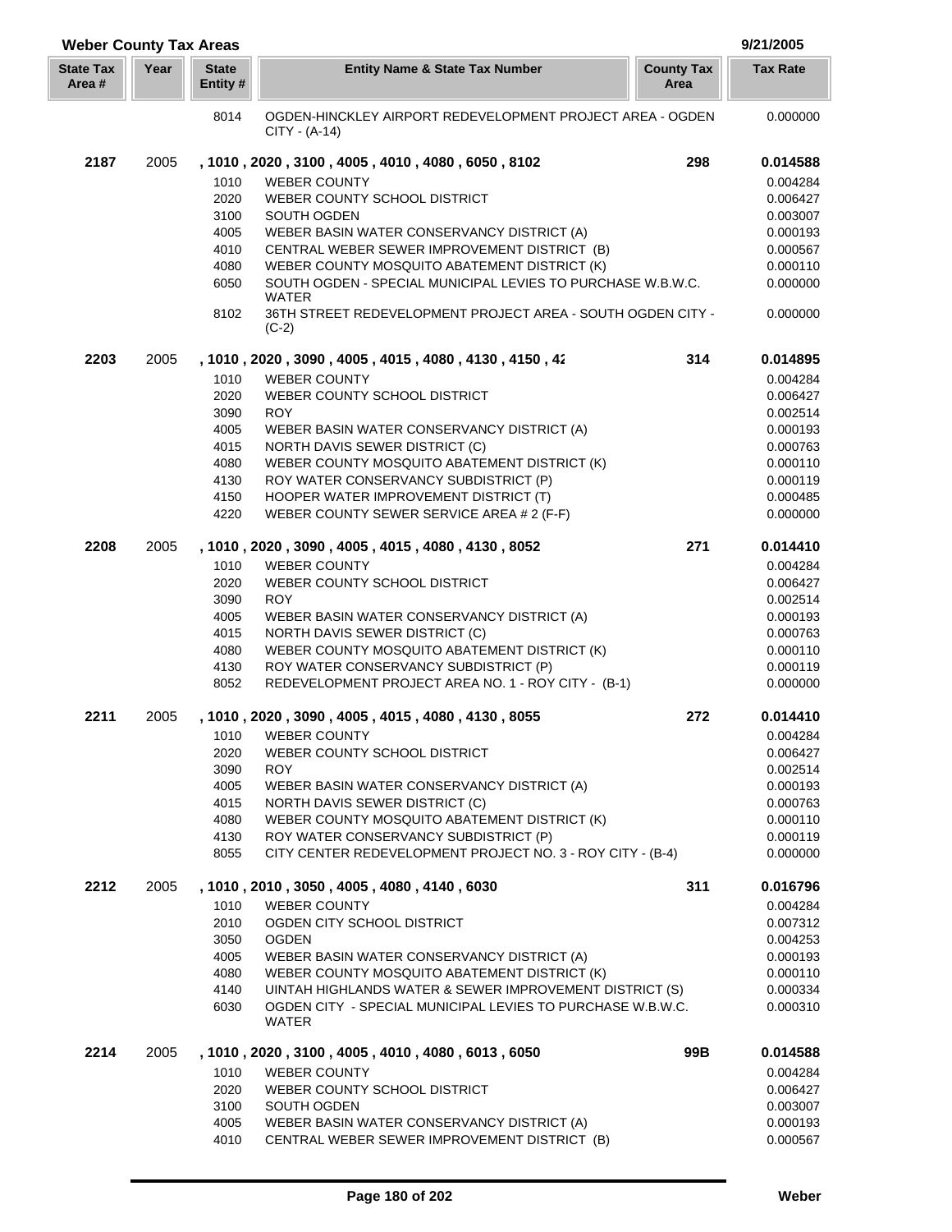| <b>Weber County Tax Areas</b> |      |                          |                                                                              |                           | 9/21/2005       |
|-------------------------------|------|--------------------------|------------------------------------------------------------------------------|---------------------------|-----------------|
| <b>State Tax</b><br>Area #    | Year | <b>State</b><br>Entity # | <b>Entity Name &amp; State Tax Number</b>                                    | <b>County Tax</b><br>Area | <b>Tax Rate</b> |
|                               |      | 8014                     | OGDEN-HINCKLEY AIRPORT REDEVELOPMENT PROJECT AREA - OGDEN<br>$CITY - (A-14)$ |                           | 0.000000        |
| 2187                          | 2005 |                          | , 1010, 2020, 3100, 4005, 4010, 4080, 6050, 8102                             | 298                       | 0.014588        |
|                               |      | 1010                     | <b>WEBER COUNTY</b>                                                          |                           | 0.004284        |
|                               |      | 2020                     | WEBER COUNTY SCHOOL DISTRICT                                                 |                           | 0.006427        |
|                               |      | 3100                     | SOUTH OGDEN                                                                  |                           | 0.003007        |
|                               |      | 4005                     | WEBER BASIN WATER CONSERVANCY DISTRICT (A)                                   |                           | 0.000193        |
|                               |      | 4010                     | CENTRAL WEBER SEWER IMPROVEMENT DISTRICT (B)                                 |                           | 0.000567        |
|                               |      | 4080                     | WEBER COUNTY MOSQUITO ABATEMENT DISTRICT (K)                                 |                           | 0.000110        |
|                               |      | 6050                     | SOUTH OGDEN - SPECIAL MUNICIPAL LEVIES TO PURCHASE W.B.W.C.                  |                           | 0.000000        |
|                               |      |                          | WATER                                                                        |                           |                 |
|                               |      | 8102                     | 36TH STREET REDEVELOPMENT PROJECT AREA - SOUTH OGDEN CITY -<br>$(C-2)$       |                           | 0.000000        |
| 2203                          | 2005 |                          | , 1010, 2020, 3090, 4005, 4015, 4080, 4130, 4150, 42                         | 314                       | 0.014895        |
|                               |      | 1010                     | <b>WEBER COUNTY</b>                                                          |                           | 0.004284        |
|                               |      | 2020                     | WEBER COUNTY SCHOOL DISTRICT                                                 |                           | 0.006427        |
|                               |      | 3090                     | <b>ROY</b>                                                                   |                           | 0.002514        |
|                               |      | 4005                     | WEBER BASIN WATER CONSERVANCY DISTRICT (A)                                   |                           | 0.000193        |
|                               |      | 4015                     | <b>NORTH DAVIS SEWER DISTRICT (C)</b>                                        |                           | 0.000763        |
|                               |      | 4080                     | WEBER COUNTY MOSQUITO ABATEMENT DISTRICT (K)                                 |                           | 0.000110        |
|                               |      | 4130                     | ROY WATER CONSERVANCY SUBDISTRICT (P)                                        |                           | 0.000119        |
|                               |      | 4150                     | HOOPER WATER IMPROVEMENT DISTRICT (T)                                        |                           | 0.000485        |
|                               |      | 4220                     | WEBER COUNTY SEWER SERVICE AREA # 2 (F-F)                                    |                           | 0.000000        |
| 2208                          | 2005 |                          | , 1010, 2020, 3090, 4005, 4015, 4080, 4130, 8052                             | 271                       | 0.014410        |
|                               |      | 1010                     | <b>WEBER COUNTY</b>                                                          |                           | 0.004284        |
|                               |      | 2020                     | WEBER COUNTY SCHOOL DISTRICT                                                 |                           | 0.006427        |
|                               |      | 3090                     | <b>ROY</b>                                                                   |                           | 0.002514        |
|                               |      | 4005                     | WEBER BASIN WATER CONSERVANCY DISTRICT (A)                                   |                           | 0.000193        |
|                               |      | 4015                     | NORTH DAVIS SEWER DISTRICT (C)                                               |                           | 0.000763        |
|                               |      | 4080                     | WEBER COUNTY MOSQUITO ABATEMENT DISTRICT (K)                                 |                           | 0.000110        |
|                               |      | 4130                     | ROY WATER CONSERVANCY SUBDISTRICT (P)                                        |                           | 0.000119        |
|                               |      | 8052                     | REDEVELOPMENT PROJECT AREA NO. 1 - ROY CITY - (B-1)                          |                           | 0.000000        |
| 2211                          | 2005 |                          | , 1010, 2020, 3090, 4005, 4015, 4080, 4130, 8055                             | 272                       | 0.014410        |
|                               |      |                          | 1010 WEBER COUNTY                                                            |                           | 0.004284        |
|                               |      | 2020                     | WEBER COUNTY SCHOOL DISTRICT                                                 |                           | 0.006427        |
|                               |      | 3090                     | <b>ROY</b>                                                                   |                           | 0.002514        |
|                               |      | 4005                     | WEBER BASIN WATER CONSERVANCY DISTRICT (A)                                   |                           | 0.000193        |
|                               |      | 4015                     | NORTH DAVIS SEWER DISTRICT (C)                                               |                           | 0.000763        |
|                               |      | 4080                     | WEBER COUNTY MOSQUITO ABATEMENT DISTRICT (K)                                 |                           | 0.000110        |
|                               |      | 4130                     | ROY WATER CONSERVANCY SUBDISTRICT (P)                                        |                           | 0.000119        |
|                               |      | 8055                     | CITY CENTER REDEVELOPMENT PROJECT NO. 3 - ROY CITY - (B-4)                   |                           | 0.000000        |
| 2212                          | 2005 |                          | , 1010, 2010, 3050, 4005, 4080, 4140, 6030                                   | 311                       | 0.016796        |
|                               |      | 1010                     | <b>WEBER COUNTY</b>                                                          |                           | 0.004284        |
|                               |      | 2010                     | OGDEN CITY SCHOOL DISTRICT                                                   |                           | 0.007312        |
|                               |      | 3050                     | <b>OGDEN</b>                                                                 |                           | 0.004253        |
|                               |      | 4005                     | WEBER BASIN WATER CONSERVANCY DISTRICT (A)                                   |                           | 0.000193        |
|                               |      | 4080                     | WEBER COUNTY MOSQUITO ABATEMENT DISTRICT (K)                                 |                           | 0.000110        |
|                               |      | 4140                     | UINTAH HIGHLANDS WATER & SEWER IMPROVEMENT DISTRICT (S)                      |                           | 0.000334        |
|                               |      | 6030                     | OGDEN CITY - SPECIAL MUNICIPAL LEVIES TO PURCHASE W.B.W.C.<br>WATER          |                           | 0.000310        |
| 2214                          | 2005 |                          | , 1010, 2020, 3100, 4005, 4010, 4080, 6013, 6050                             | 99B                       | 0.014588        |
|                               |      | 1010                     | <b>WEBER COUNTY</b>                                                          |                           | 0.004284        |
|                               |      | 2020                     | WEBER COUNTY SCHOOL DISTRICT                                                 |                           | 0.006427        |
|                               |      | 3100                     | SOUTH OGDEN                                                                  |                           | 0.003007        |
|                               |      | 4005                     | WEBER BASIN WATER CONSERVANCY DISTRICT (A)                                   |                           | 0.000193        |
|                               |      | 4010                     | CENTRAL WEBER SEWER IMPROVEMENT DISTRICT (B)                                 |                           | 0.000567        |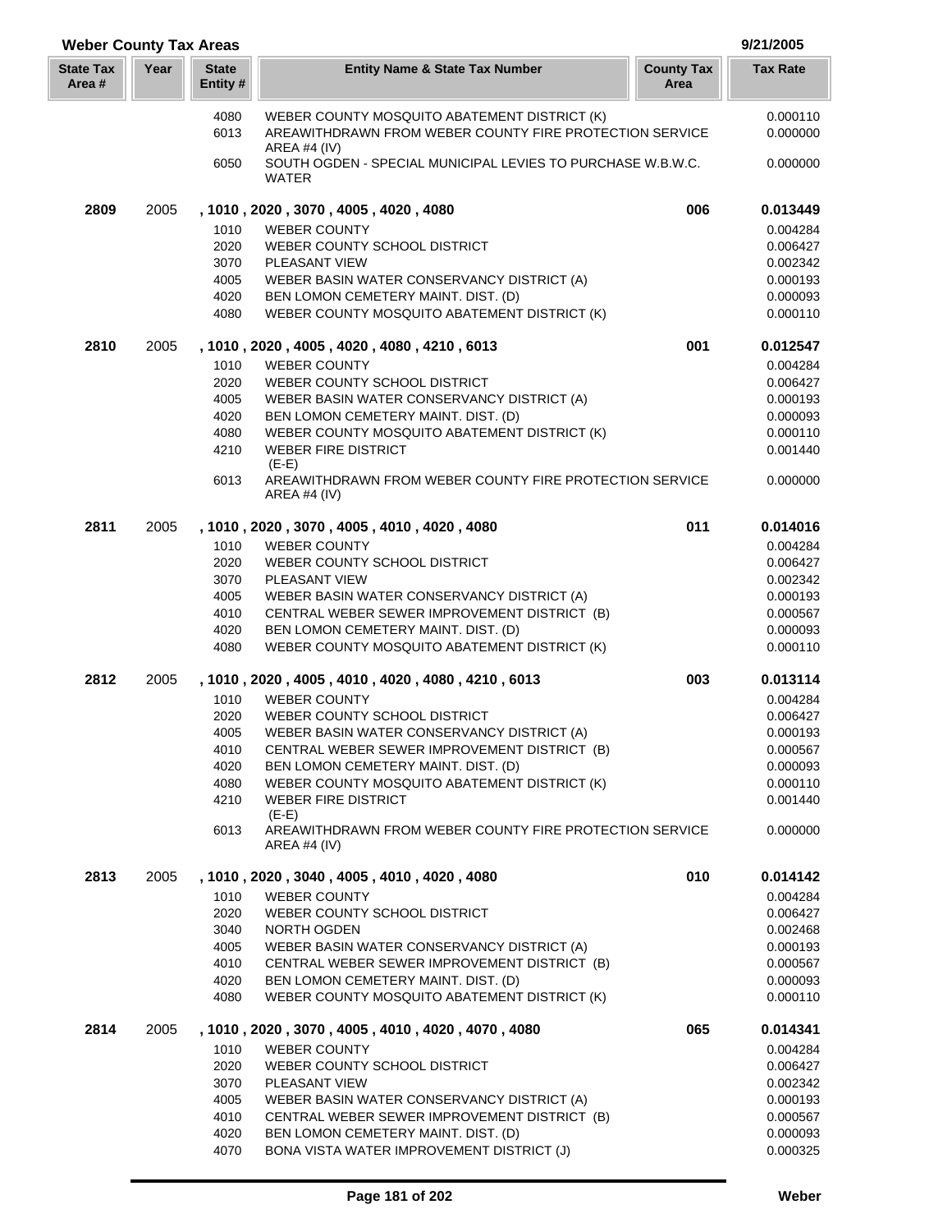| <b>Weber County Tax Areas</b> |      |                         |                                                                                     |                           | 9/21/2005            |
|-------------------------------|------|-------------------------|-------------------------------------------------------------------------------------|---------------------------|----------------------|
| <b>State Tax</b><br>Area #    | Year | <b>State</b><br>Entity# | <b>Entity Name &amp; State Tax Number</b>                                           | <b>County Tax</b><br>Area | <b>Tax Rate</b>      |
|                               |      | 4080                    | WEBER COUNTY MOSQUITO ABATEMENT DISTRICT (K)                                        |                           | 0.000110             |
|                               |      | 6013                    | AREAWITHDRAWN FROM WEBER COUNTY FIRE PROTECTION SERVICE<br>AREA #4 (IV)             |                           | 0.000000             |
|                               |      | 6050                    | SOUTH OGDEN - SPECIAL MUNICIPAL LEVIES TO PURCHASE W.B.W.C.<br><b>WATER</b>         |                           | 0.000000             |
| 2809                          | 2005 |                         | , 1010, 2020, 3070, 4005, 4020, 4080                                                | 006                       | 0.013449             |
|                               |      | 1010                    | <b>WEBER COUNTY</b>                                                                 |                           | 0.004284             |
|                               |      | 2020                    | WEBER COUNTY SCHOOL DISTRICT                                                        |                           | 0.006427             |
|                               |      | 3070                    | PLEASANT VIEW                                                                       |                           | 0.002342             |
|                               |      | 4005                    | WEBER BASIN WATER CONSERVANCY DISTRICT (A)                                          |                           | 0.000193             |
|                               |      | 4020                    | BEN LOMON CEMETERY MAINT. DIST. (D)                                                 |                           | 0.000093             |
|                               |      | 4080                    | WEBER COUNTY MOSQUITO ABATEMENT DISTRICT (K)                                        |                           | 0.000110             |
| 2810                          | 2005 |                         | , 1010, 2020, 4005, 4020, 4080, 4210, 6013                                          | 001                       | 0.012547             |
|                               |      | 1010                    | <b>WEBER COUNTY</b>                                                                 |                           | 0.004284             |
|                               |      | 2020                    | WEBER COUNTY SCHOOL DISTRICT                                                        |                           | 0.006427             |
|                               |      | 4005                    | WEBER BASIN WATER CONSERVANCY DISTRICT (A)                                          |                           | 0.000193             |
|                               |      | 4020                    | BEN LOMON CEMETERY MAINT. DIST. (D)                                                 |                           | 0.000093             |
|                               |      | 4080                    | WEBER COUNTY MOSQUITO ABATEMENT DISTRICT (K)                                        |                           | 0.000110             |
|                               |      | 4210                    | <b>WEBER FIRE DISTRICT</b><br>$(E-E)$                                               |                           | 0.001440             |
|                               |      | 6013                    | AREAWITHDRAWN FROM WEBER COUNTY FIRE PROTECTION SERVICE<br>AREA #4 $(IV)$           |                           | 0.000000             |
| 2811                          | 2005 |                         | , 1010, 2020, 3070, 4005, 4010, 4020, 4080                                          | 011                       | 0.014016             |
|                               |      | 1010                    | <b>WEBER COUNTY</b>                                                                 |                           | 0.004284             |
|                               |      | 2020                    | WEBER COUNTY SCHOOL DISTRICT                                                        |                           | 0.006427             |
|                               |      | 3070                    | PLEASANT VIEW                                                                       |                           | 0.002342             |
|                               |      | 4005                    | WEBER BASIN WATER CONSERVANCY DISTRICT (A)                                          |                           | 0.000193             |
|                               |      | 4010                    | CENTRAL WEBER SEWER IMPROVEMENT DISTRICT (B)                                        |                           | 0.000567             |
|                               |      | 4020                    | BEN LOMON CEMETERY MAINT. DIST. (D)                                                 |                           | 0.000093             |
|                               |      | 4080                    | WEBER COUNTY MOSQUITO ABATEMENT DISTRICT (K)                                        |                           | 0.000110             |
| 2812                          | 2005 |                         | , 1010, 2020, 4005, 4010, 4020, 4080, 4210, 6013                                    | 003                       | 0.013114             |
|                               |      | 1010                    | <b>WEBER COUNTY</b>                                                                 |                           | 0.004284             |
|                               |      | 2020                    | WEBER COUNTY SCHOOL DISTRICT                                                        |                           | 0.006427             |
|                               |      |                         | 4005 WEBER BASIN WATER CONSERVANCY DISTRICT (A)                                     |                           | 0.000193             |
|                               |      | 4010<br>4020            | CENTRAL WEBER SEWER IMPROVEMENT DISTRICT (B)<br>BEN LOMON CEMETERY MAINT, DIST. (D) |                           | 0.000567             |
|                               |      | 4080                    | WEBER COUNTY MOSQUITO ABATEMENT DISTRICT (K)                                        |                           | 0.000093<br>0.000110 |
|                               |      | 4210                    | <b>WEBER FIRE DISTRICT</b>                                                          |                           | 0.001440             |
|                               |      |                         | $(E-E)$                                                                             |                           |                      |
|                               |      | 6013                    | AREAWITHDRAWN FROM WEBER COUNTY FIRE PROTECTION SERVICE<br>AREA #4 $(IV)$           |                           | 0.000000             |
| 2813                          | 2005 |                         | , 1010, 2020, 3040, 4005, 4010, 4020, 4080                                          | 010                       | 0.014142             |
|                               |      | 1010                    | <b>WEBER COUNTY</b>                                                                 |                           | 0.004284             |
|                               |      | 2020                    | WEBER COUNTY SCHOOL DISTRICT                                                        |                           | 0.006427             |
|                               |      | 3040                    | <b>NORTH OGDEN</b>                                                                  |                           | 0.002468             |
|                               |      | 4005                    | WEBER BASIN WATER CONSERVANCY DISTRICT (A)                                          |                           | 0.000193             |
|                               |      | 4010                    | CENTRAL WEBER SEWER IMPROVEMENT DISTRICT (B)                                        |                           | 0.000567             |
|                               |      | 4020<br>4080            | BEN LOMON CEMETERY MAINT. DIST. (D)<br>WEBER COUNTY MOSQUITO ABATEMENT DISTRICT (K) |                           | 0.000093<br>0.000110 |
| 2814                          | 2005 |                         | , 1010, 2020, 3070, 4005, 4010, 4020, 4070, 4080                                    | 065                       | 0.014341             |
|                               |      | 1010                    | <b>WEBER COUNTY</b>                                                                 |                           | 0.004284             |
|                               |      | 2020                    | WEBER COUNTY SCHOOL DISTRICT                                                        |                           | 0.006427             |
|                               |      | 3070                    | PLEASANT VIEW                                                                       |                           | 0.002342             |
|                               |      | 4005                    | WEBER BASIN WATER CONSERVANCY DISTRICT (A)                                          |                           | 0.000193             |
|                               |      | 4010                    | CENTRAL WEBER SEWER IMPROVEMENT DISTRICT (B)                                        |                           | 0.000567             |
|                               |      | 4020                    | BEN LOMON CEMETERY MAINT. DIST. (D)                                                 |                           | 0.000093             |

L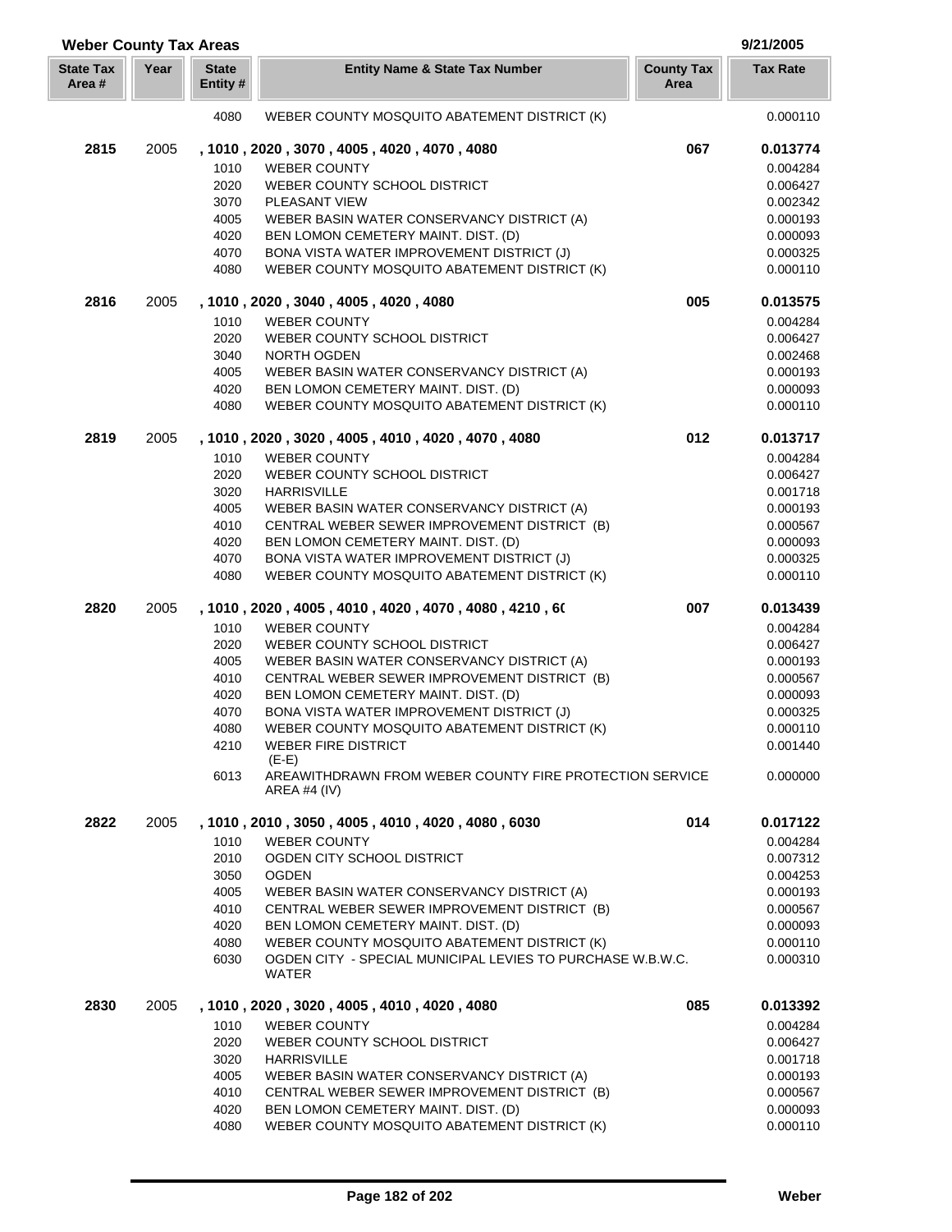| <b>Weber County Tax Areas</b> |      |                          |                                                                                                            |                           | 9/21/2005            |
|-------------------------------|------|--------------------------|------------------------------------------------------------------------------------------------------------|---------------------------|----------------------|
| <b>State Tax</b><br>Area#     | Year | <b>State</b><br>Entity # | <b>Entity Name &amp; State Tax Number</b>                                                                  | <b>County Tax</b><br>Area | <b>Tax Rate</b>      |
|                               |      | 4080                     | WEBER COUNTY MOSQUITO ABATEMENT DISTRICT (K)                                                               |                           | 0.000110             |
| 2815                          | 2005 |                          | , 1010, 2020, 3070, 4005, 4020, 4070, 4080                                                                 | 067                       | 0.013774             |
|                               |      | 1010                     | <b>WEBER COUNTY</b>                                                                                        |                           | 0.004284             |
|                               |      | 2020                     | WEBER COUNTY SCHOOL DISTRICT                                                                               |                           | 0.006427             |
|                               |      | 3070                     | PLEASANT VIEW                                                                                              |                           | 0.002342             |
|                               |      | 4005                     | WEBER BASIN WATER CONSERVANCY DISTRICT (A)                                                                 |                           | 0.000193             |
|                               |      | 4020                     | BEN LOMON CEMETERY MAINT. DIST. (D)                                                                        |                           | 0.000093             |
|                               |      | 4070                     | BONA VISTA WATER IMPROVEMENT DISTRICT (J)                                                                  |                           | 0.000325             |
|                               |      | 4080                     | WEBER COUNTY MOSQUITO ABATEMENT DISTRICT (K)                                                               |                           | 0.000110             |
| 2816                          | 2005 |                          | , 1010, 2020, 3040, 4005, 4020, 4080                                                                       | 005                       | 0.013575             |
|                               |      | 1010                     | <b>WEBER COUNTY</b>                                                                                        |                           | 0.004284             |
|                               |      | 2020                     | WEBER COUNTY SCHOOL DISTRICT                                                                               |                           | 0.006427             |
|                               |      | 3040                     | NORTH OGDEN                                                                                                |                           | 0.002468             |
|                               |      | 4005                     | WEBER BASIN WATER CONSERVANCY DISTRICT (A)                                                                 |                           | 0.000193             |
|                               |      | 4020                     | BEN LOMON CEMETERY MAINT. DIST. (D)                                                                        |                           | 0.000093             |
|                               |      | 4080                     | WEBER COUNTY MOSQUITO ABATEMENT DISTRICT (K)                                                               |                           | 0.000110             |
| 2819                          | 2005 |                          | , 1010, 2020, 3020, 4005, 4010, 4020, 4070, 4080                                                           | 012                       | 0.013717             |
|                               |      | 1010                     | <b>WEBER COUNTY</b>                                                                                        |                           | 0.004284             |
|                               |      | 2020                     | WEBER COUNTY SCHOOL DISTRICT                                                                               |                           | 0.006427             |
|                               |      | 3020                     | <b>HARRISVILLE</b>                                                                                         |                           | 0.001718             |
|                               |      | 4005                     | WEBER BASIN WATER CONSERVANCY DISTRICT (A)                                                                 |                           | 0.000193             |
|                               |      | 4010                     | CENTRAL WEBER SEWER IMPROVEMENT DISTRICT (B)                                                               |                           | 0.000567             |
|                               |      | 4020                     | BEN LOMON CEMETERY MAINT. DIST. (D)                                                                        |                           | 0.000093             |
|                               |      | 4070                     | BONA VISTA WATER IMPROVEMENT DISTRICT (J)                                                                  |                           | 0.000325             |
|                               |      | 4080                     | WEBER COUNTY MOSQUITO ABATEMENT DISTRICT (K)                                                               |                           | 0.000110             |
| 2820                          | 2005 |                          | , 1010, 2020, 4005, 4010, 4020, 4070, 4080, 4210, 60                                                       | 007                       | 0.013439             |
|                               |      | 1010                     | <b>WEBER COUNTY</b>                                                                                        |                           | 0.004284             |
|                               |      | 2020                     | WEBER COUNTY SCHOOL DISTRICT                                                                               |                           | 0.006427             |
|                               |      | 4005                     | WEBER BASIN WATER CONSERVANCY DISTRICT (A)                                                                 |                           | 0.000193             |
|                               |      | 4010                     | CENTRAL WEBER SEWER IMPROVEMENT DISTRICT (B)                                                               |                           | 0.000567             |
|                               |      | 4020<br>4070             | BEN LOMON CEMETERY MAINT. DIST. (D)<br>BONA VISTA WATER IMPROVEMENT DISTRICT (J)                           |                           | 0.000093<br>0.000325 |
|                               |      | 4080                     | WEBER COUNTY MOSQUITO ABATEMENT DISTRICT (K)                                                               |                           | 0.000110             |
|                               |      | 4210                     | <b>WEBER FIRE DISTRICT</b>                                                                                 |                           | 0.001440             |
|                               |      |                          | $(E-E)$                                                                                                    |                           |                      |
|                               |      | 6013                     | AREAWITHDRAWN FROM WEBER COUNTY FIRE PROTECTION SERVICE<br><b>AREA #4 (IV)</b>                             |                           | 0.000000             |
| 2822                          | 2005 |                          | , 1010, 2010, 3050, 4005, 4010, 4020, 4080, 6030                                                           | 014                       | 0.017122             |
|                               |      | 1010                     | <b>WEBER COUNTY</b>                                                                                        |                           | 0.004284             |
|                               |      | 2010                     | OGDEN CITY SCHOOL DISTRICT                                                                                 |                           | 0.007312             |
|                               |      | 3050                     | <b>OGDEN</b>                                                                                               |                           | 0.004253             |
|                               |      | 4005                     | WEBER BASIN WATER CONSERVANCY DISTRICT (A)                                                                 |                           | 0.000193             |
|                               |      | 4010                     | CENTRAL WEBER SEWER IMPROVEMENT DISTRICT (B)                                                               |                           | 0.000567             |
|                               |      | 4020                     | BEN LOMON CEMETERY MAINT. DIST. (D)                                                                        |                           | 0.000093             |
|                               |      | 4080                     | WEBER COUNTY MOSQUITO ABATEMENT DISTRICT (K)<br>OGDEN CITY - SPECIAL MUNICIPAL LEVIES TO PURCHASE W.B.W.C. |                           | 0.000110             |
|                               |      | 6030                     | WATER                                                                                                      |                           | 0.000310             |
| 2830                          | 2005 |                          | , 1010, 2020, 3020, 4005, 4010, 4020, 4080                                                                 | 085                       | 0.013392             |
|                               |      | 1010                     | <b>WEBER COUNTY</b>                                                                                        |                           | 0.004284             |
|                               |      | 2020                     | WEBER COUNTY SCHOOL DISTRICT                                                                               |                           | 0.006427             |
|                               |      | 3020                     | <b>HARRISVILLE</b>                                                                                         |                           | 0.001718             |
|                               |      | 4005                     | WEBER BASIN WATER CONSERVANCY DISTRICT (A)                                                                 |                           | 0.000193             |
|                               |      | 4010                     | CENTRAL WEBER SEWER IMPROVEMENT DISTRICT (B)                                                               |                           | 0.000567             |
|                               |      | 4020                     | BEN LOMON CEMETERY MAINT. DIST. (D)                                                                        |                           | 0.000093             |
|                               |      | 4080                     | WEBER COUNTY MOSQUITO ABATEMENT DISTRICT (K)                                                               |                           | 0.000110             |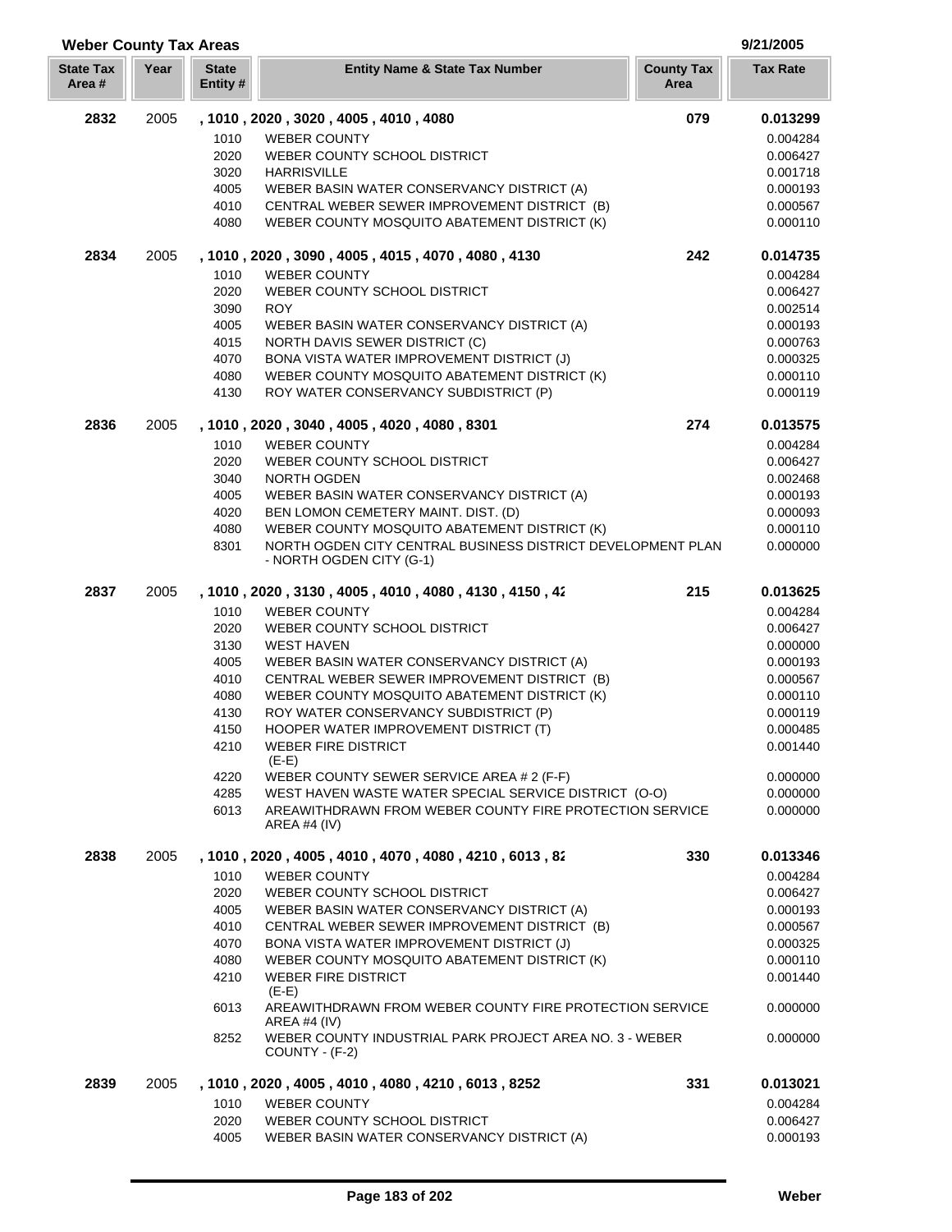| <b>Weber County Tax Areas</b> |      |                          |                                                                                              |                           | 9/21/2005            |
|-------------------------------|------|--------------------------|----------------------------------------------------------------------------------------------|---------------------------|----------------------|
| <b>State Tax</b><br>Area #    | Year | <b>State</b><br>Entity # | <b>Entity Name &amp; State Tax Number</b>                                                    | <b>County Tax</b><br>Area | <b>Tax Rate</b>      |
| 2832                          | 2005 |                          | , 1010, 2020, 3020, 4005, 4010, 4080                                                         | 079                       | 0.013299             |
|                               |      | 1010                     | <b>WEBER COUNTY</b>                                                                          |                           | 0.004284             |
|                               |      | 2020                     | WEBER COUNTY SCHOOL DISTRICT                                                                 |                           | 0.006427             |
|                               |      | 3020                     | <b>HARRISVILLE</b>                                                                           |                           | 0.001718             |
|                               |      | 4005                     | WEBER BASIN WATER CONSERVANCY DISTRICT (A)                                                   |                           | 0.000193             |
|                               |      | 4010                     | CENTRAL WEBER SEWER IMPROVEMENT DISTRICT (B)                                                 |                           | 0.000567             |
|                               |      | 4080                     | WEBER COUNTY MOSQUITO ABATEMENT DISTRICT (K)                                                 |                           | 0.000110             |
| 2834                          | 2005 |                          | , 1010, 2020, 3090, 4005, 4015, 4070, 4080, 4130                                             | 242                       | 0.014735             |
|                               |      | 1010                     | <b>WEBER COUNTY</b>                                                                          |                           | 0.004284             |
|                               |      | 2020                     | WEBER COUNTY SCHOOL DISTRICT                                                                 |                           | 0.006427             |
|                               |      | 3090                     | <b>ROY</b>                                                                                   |                           | 0.002514             |
|                               |      | 4005                     | WEBER BASIN WATER CONSERVANCY DISTRICT (A)                                                   |                           | 0.000193             |
|                               |      | 4015                     | NORTH DAVIS SEWER DISTRICT (C)                                                               |                           | 0.000763             |
|                               |      | 4070<br>4080             | BONA VISTA WATER IMPROVEMENT DISTRICT (J)<br>WEBER COUNTY MOSQUITO ABATEMENT DISTRICT (K)    |                           | 0.000325<br>0.000110 |
|                               |      | 4130                     | ROY WATER CONSERVANCY SUBDISTRICT (P)                                                        |                           | 0.000119             |
| 2836                          | 2005 |                          | , 1010, 2020, 3040, 4005, 4020, 4080, 8301                                                   | 274                       | 0.013575             |
|                               |      | 1010                     | <b>WEBER COUNTY</b>                                                                          |                           | 0.004284             |
|                               |      | 2020                     | WEBER COUNTY SCHOOL DISTRICT                                                                 |                           | 0.006427             |
|                               |      | 3040                     | NORTH OGDEN                                                                                  |                           | 0.002468             |
|                               |      | 4005                     | WEBER BASIN WATER CONSERVANCY DISTRICT (A)                                                   |                           | 0.000193             |
|                               |      | 4020                     | BEN LOMON CEMETERY MAINT. DIST. (D)                                                          |                           | 0.000093             |
|                               |      | 4080                     | WEBER COUNTY MOSQUITO ABATEMENT DISTRICT (K)                                                 |                           | 0.000110             |
|                               |      | 8301                     | NORTH OGDEN CITY CENTRAL BUSINESS DISTRICT DEVELOPMENT PLAN<br>- NORTH OGDEN CITY (G-1)      |                           | 0.000000             |
| 2837                          | 2005 |                          | , 1010 , 2020 , 3130 , 4005 , 4010 , 4080 , 4130 , 4150 , 42                                 | 215                       | 0.013625             |
|                               |      | 1010                     | <b>WEBER COUNTY</b>                                                                          |                           | 0.004284             |
|                               |      | 2020                     | WEBER COUNTY SCHOOL DISTRICT                                                                 |                           | 0.006427             |
|                               |      | 3130                     | <b>WEST HAVEN</b>                                                                            |                           | 0.000000             |
|                               |      | 4005                     | WEBER BASIN WATER CONSERVANCY DISTRICT (A)                                                   |                           | 0.000193             |
|                               |      | 4010<br>4080             | CENTRAL WEBER SEWER IMPROVEMENT DISTRICT (B)<br>WEBER COUNTY MOSQUITO ABATEMENT DISTRICT (K) |                           | 0.000567<br>0.000110 |
|                               |      | 4130                     | ROY WATER CONSERVANCY SUBDISTRICT (P)                                                        |                           | 0.000119             |
|                               |      | 4150                     | HOOPER WATER IMPROVEMENT DISTRICT (T)                                                        |                           | 0.000485             |
|                               |      | 4210                     | <b>WEBER FIRE DISTRICT</b>                                                                   |                           | 0.001440             |
|                               |      | 4220                     | $(E-E)$<br>WEBER COUNTY SEWER SERVICE AREA # 2 (F-F)                                         |                           | 0.000000             |
|                               |      | 4285                     | WEST HAVEN WASTE WATER SPECIAL SERVICE DISTRICT (O-O)                                        |                           | 0.000000             |
|                               |      | 6013                     | AREAWITHDRAWN FROM WEBER COUNTY FIRE PROTECTION SERVICE                                      |                           | 0.000000             |
|                               |      |                          | AREA #4 $(IV)$                                                                               |                           |                      |
| 2838                          | 2005 |                          | , 1010 , 2020 , 4005 , 4010 , 4070 , 4080 , 4210 , 6013 , 82                                 | 330                       | 0.013346             |
|                               |      | 1010                     | <b>WEBER COUNTY</b>                                                                          |                           | 0.004284             |
|                               |      | 2020                     | WEBER COUNTY SCHOOL DISTRICT                                                                 |                           | 0.006427             |
|                               |      | 4005                     | WEBER BASIN WATER CONSERVANCY DISTRICT (A)                                                   |                           | 0.000193             |
|                               |      | 4010                     | CENTRAL WEBER SEWER IMPROVEMENT DISTRICT (B)                                                 |                           | 0.000567             |
|                               |      | 4070<br>4080             | BONA VISTA WATER IMPROVEMENT DISTRICT (J)<br>WEBER COUNTY MOSQUITO ABATEMENT DISTRICT (K)    |                           | 0.000325<br>0.000110 |
|                               |      | 4210                     | <b>WEBER FIRE DISTRICT</b>                                                                   |                           | 0.001440             |
|                               |      | 6013                     | $(E-E)$<br>AREAWITHDRAWN FROM WEBER COUNTY FIRE PROTECTION SERVICE                           |                           | 0.000000             |
|                               |      |                          | AREA #4 (IV)                                                                                 |                           |                      |
|                               |      | 8252                     | WEBER COUNTY INDUSTRIAL PARK PROJECT AREA NO. 3 - WEBER<br>COUNTY - (F-2)                    |                           | 0.000000             |
| 2839                          | 2005 |                          | , 1010, 2020, 4005, 4010, 4080, 4210, 6013, 8252                                             | 331                       | 0.013021             |
|                               |      | 1010                     | <b>WEBER COUNTY</b>                                                                          |                           | 0.004284             |
|                               |      | 2020                     | WEBER COUNTY SCHOOL DISTRICT                                                                 |                           | 0.006427             |
|                               |      | 4005                     | WEBER BASIN WATER CONSERVANCY DISTRICT (A)                                                   |                           | 0.000193             |

L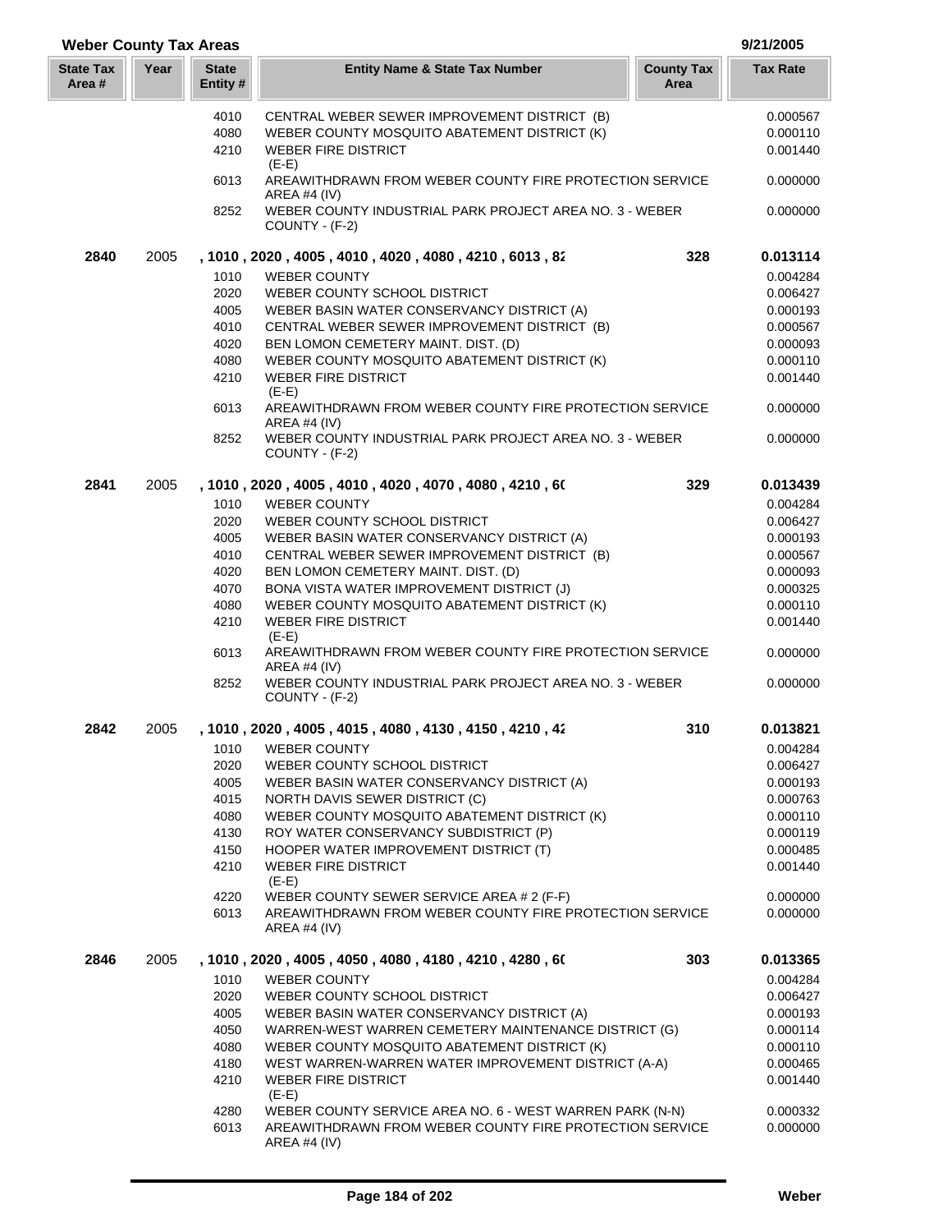## **Year Entity Name & State Tax Number County Tax Tax Rate Area State Tax Area # Weber County Tax Areas 9/21/2005 State Entity #** 4010 CENTRAL WEBER SEWER IMPROVEMENT DISTRICT (B) 0.000567 4080 WEBER COUNTY MOSQUITO ABATEMENT DISTRICT (K) 0.000110 4210 WEBER FIRE DISTRICT AND ALL AND THE USE OF A 4210 MEBER FIRE DISTRICT  $(E-E)$ 6013 AREAWITHDRAWN FROM WEBER COUNTY FIRE PROTECTION SERVICE 0.000000 AREA #4 (IV) 8252 WEBER COUNTY INDUSTRIAL PARK PROJECT AREA NO. 3 - WEBER 0.000000 COUNTY - (F-2) **2840** 2005 **, 1010 , 2020 , 4005 , 4010 , 4020 , 4080 , 4210 , 6013 , 825 328 0.013114** 1010 WEBER COUNTY **1010** WEBER COUNTY 2020 WEBER COUNTY SCHOOL DISTRICT 0.006427 4005 WEBER BASIN WATER CONSERVANCY DISTRICT (A) 0.000193 4010 CENTRAL WEBER SEWER IMPROVEMENT DISTRICT (B) 0.000567 4020 BEN LOMON CEMETERY MAINT. DIST. (D) 0.000093 4080 WEBER COUNTY MOSQUITO ABATEMENT DISTRICT (K) 0.000110 4210 WEBER FIRE DISTRICT 0.001440  $(E-E)$ 6013 AREAWITHDRAWN FROM WEBER COUNTY FIRE PROTECTION SERVICE 0.000000 AREA #4 (IV) 8252 WEBER COUNTY INDUSTRIAL PARK PROJECT AREA NO. 3 - WEBER 0.000000 COUNTY - (F-2) **2841** 2005 **, 1010 , 2020 , 4005 , 4010 , 4020 , 4070 , 4080 , 4210 , 601 329 0.013439** 1010 WEBER COUNTY 0.004284 2020 WEBER COUNTY SCHOOL DISTRICT 0.006427 4005 WEBER BASIN WATER CONSERVANCY DISTRICT (A) 0.000193 4010 CENTRAL WEBER SEWER IMPROVEMENT DISTRICT (B) 0.000567 4020 BEN LOMON CEMETERY MAINT. DIST. (D) 0.000093 4070 BONA VISTA WATER IMPROVEMENT DISTRICT (J) 0.000325 4080 WEBER COUNTY MOSQUITO ABATEMENT DISTRICT (K) 0.000110 A 210 WEBER FIRE DISTRICT A 210 MB 2000 1440 (E-E) 6013 AREAWITHDRAWN FROM WEBER COUNTY FIRE PROTECTION SERVICE 0.000000 AREA #4 (IV) 8252 WEBER COUNTY INDUSTRIAL PARK PROJECT AREA NO. 3 - WEBER 0.000000 COUNTY - (F-2) **2842** 2005 **, 1010 , 2020 , 4005 , 4015 , 4080 , 4130 , 4150 , 4210 , 422 310 0.013821** 1010 WEBER COUNTY **1010** WEBER COUNTY 2020 WEBER COUNTY SCHOOL DISTRICT 0.006427 4005 WEBER BASIN WATER CONSERVANCY DISTRICT (A) 0.000193 4015 NORTH DAVIS SEWER DISTRICT (C) 0.0000763 4080 WEBER COUNTY MOSQUITO ABATEMENT DISTRICT (K) 0.000110 4130 ROY WATER CONSERVANCY SUBDISTRICT (P) 0.000119 4150 HOOPER WATER IMPROVEMENT DISTRICT (T) 0.000485 4210 WEBER FIRE DISTRICT 0.001440  $(E-E)$ 4220 WEBER COUNTY SEWER SERVICE AREA # 2 (F-F) 0.000000 6013 AREAWITHDRAWN FROM WEBER COUNTY FIRE PROTECTION SERVICE 0.000000 AREA #4 (IV) **2846** 2005 **, 1010 , 2020 , 4005 , 4050 , 4080 , 4180 , 4210 , 4280 , 601 303 0.013365** 1010 WEBER COUNTY **1010** WEBER COUNTY 2020 WEBER COUNTY SCHOOL DISTRICT 0.006427 4005 WEBER BASIN WATER CONSERVANCY DISTRICT (A) 0.000193 4050 WARREN-WEST WARREN CEMETERY MAINTENANCE DISTRICT (G) 0.000114 4080 WEBER COUNTY MOSQUITO ABATEMENT DISTRICT (K) 0.000110 4180 WEST WARREN-WARREN WATER IMPROVEMENT DISTRICT (A-A) 0.000465 4210 WEBER FIRE DISTRICT 0.001440  $(E-E)$ 4280 WEBER COUNTY SERVICE AREA NO. 6 - WEST WARREN PARK (N-N) 0.000332 6013 AREAWITHDRAWN FROM WEBER COUNTY FIRE PROTECTION SERVICE 0.000000

AREA #4 (IV)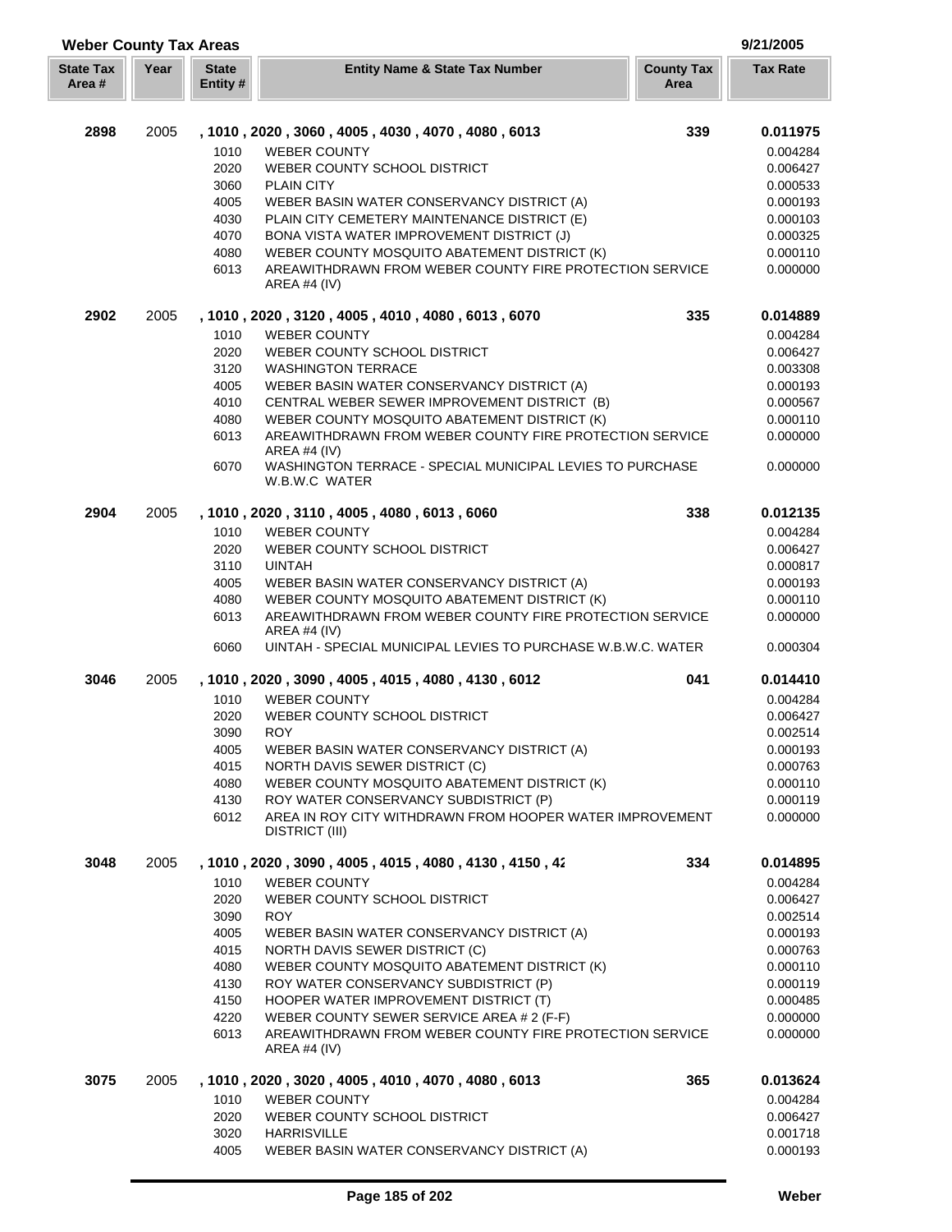| <b>Weber County Tax Areas</b> |      |                          |                                                                                            |                           | 9/21/2005            |
|-------------------------------|------|--------------------------|--------------------------------------------------------------------------------------------|---------------------------|----------------------|
| <b>State Tax</b><br>Area #    | Year | <b>State</b><br>Entity # | <b>Entity Name &amp; State Tax Number</b>                                                  | <b>County Tax</b><br>Area | <b>Tax Rate</b>      |
| 2898                          | 2005 |                          |                                                                                            | 339                       |                      |
|                               |      |                          | , 1010, 2020, 3060, 4005, 4030, 4070, 4080, 6013                                           |                           | 0.011975             |
|                               |      | 1010                     | <b>WEBER COUNTY</b>                                                                        |                           | 0.004284             |
|                               |      | 2020                     | WEBER COUNTY SCHOOL DISTRICT                                                               |                           | 0.006427             |
|                               |      | 3060                     | <b>PLAIN CITY</b>                                                                          |                           | 0.000533             |
|                               |      | 4005<br>4030             | WEBER BASIN WATER CONSERVANCY DISTRICT (A)<br>PLAIN CITY CEMETERY MAINTENANCE DISTRICT (E) |                           | 0.000193<br>0.000103 |
|                               |      | 4070                     | BONA VISTA WATER IMPROVEMENT DISTRICT (J)                                                  |                           | 0.000325             |
|                               |      | 4080                     | WEBER COUNTY MOSQUITO ABATEMENT DISTRICT (K)                                               |                           | 0.000110             |
|                               |      | 6013                     | AREAWITHDRAWN FROM WEBER COUNTY FIRE PROTECTION SERVICE<br>AREA #4 (IV)                    |                           | 0.000000             |
| 2902                          | 2005 |                          | , 1010, 2020, 3120, 4005, 4010, 4080, 6013, 6070                                           | 335                       | 0.014889             |
|                               |      | 1010                     | <b>WEBER COUNTY</b>                                                                        |                           | 0.004284             |
|                               |      | 2020                     | WEBER COUNTY SCHOOL DISTRICT                                                               |                           | 0.006427             |
|                               |      | 3120                     | <b>WASHINGTON TERRACE</b>                                                                  |                           | 0.003308             |
|                               |      | 4005                     | WEBER BASIN WATER CONSERVANCY DISTRICT (A)                                                 |                           | 0.000193             |
|                               |      | 4010                     | CENTRAL WEBER SEWER IMPROVEMENT DISTRICT (B)                                               |                           | 0.000567             |
|                               |      | 4080                     | WEBER COUNTY MOSQUITO ABATEMENT DISTRICT (K)                                               |                           | 0.000110             |
|                               |      | 6013                     | AREAWITHDRAWN FROM WEBER COUNTY FIRE PROTECTION SERVICE<br>AREA #4 (IV)                    |                           | 0.000000             |
|                               |      | 6070                     | WASHINGTON TERRACE - SPECIAL MUNICIPAL LEVIES TO PURCHASE<br>W.B.W.C WATER                 |                           | 0.000000             |
| 2904                          | 2005 |                          | , 1010 , 2020 , 3110 , 4005 , 4080 , 6013 , 6060                                           | 338                       | 0.012135             |
|                               |      | 1010                     | <b>WEBER COUNTY</b>                                                                        |                           | 0.004284             |
|                               |      | 2020                     | WEBER COUNTY SCHOOL DISTRICT                                                               |                           | 0.006427             |
|                               |      | 3110                     | <b>UINTAH</b>                                                                              |                           | 0.000817             |
|                               |      | 4005                     | WEBER BASIN WATER CONSERVANCY DISTRICT (A)                                                 |                           | 0.000193             |
|                               |      | 4080                     | WEBER COUNTY MOSQUITO ABATEMENT DISTRICT (K)                                               |                           | 0.000110             |
|                               |      | 6013                     | AREAWITHDRAWN FROM WEBER COUNTY FIRE PROTECTION SERVICE<br>AREA #4 $(IV)$                  |                           | 0.000000             |
|                               |      | 6060                     | UINTAH - SPECIAL MUNICIPAL LEVIES TO PURCHASE W.B.W.C. WATER                               |                           | 0.000304             |
| 3046                          | 2005 |                          | , 1010, 2020, 3090, 4005, 4015, 4080, 4130, 6012                                           | 041                       | 0.014410             |
|                               |      | 1010                     | <b>WEBER COUNTY</b>                                                                        |                           | 0.004284             |
|                               |      | 2020                     | WEBER COUNTY SCHOOL DISTRICT                                                               |                           | 0.006427             |
|                               |      | 3090                     | <b>ROY</b>                                                                                 |                           | 0.002514             |
|                               |      | 4005<br>4015             | WEBER BASIN WATER CONSERVANCY DISTRICT (A)                                                 |                           | 0.000193             |
|                               |      | 4080                     | NORTH DAVIS SEWER DISTRICT (C)<br>WEBER COUNTY MOSQUITO ABATEMENT DISTRICT (K)             |                           | 0.000763<br>0.000110 |
|                               |      | 4130                     | ROY WATER CONSERVANCY SUBDISTRICT (P)                                                      |                           | 0.000119             |
|                               |      | 6012                     | AREA IN ROY CITY WITHDRAWN FROM HOOPER WATER IMPROVEMENT<br>DISTRICT (III)                 |                           | 0.000000             |
| 3048                          | 2005 |                          | , 1010, 2020, 3090, 4005, 4015, 4080, 4130, 4150, 42                                       | 334                       | 0.014895             |
|                               |      | 1010                     | <b>WEBER COUNTY</b>                                                                        |                           | 0.004284             |
|                               |      | 2020                     | WEBER COUNTY SCHOOL DISTRICT                                                               |                           | 0.006427             |
|                               |      | 3090                     | <b>ROY</b>                                                                                 |                           | 0.002514             |
|                               |      | 4005                     | WEBER BASIN WATER CONSERVANCY DISTRICT (A)                                                 |                           | 0.000193             |
|                               |      | 4015                     | NORTH DAVIS SEWER DISTRICT (C)                                                             |                           | 0.000763             |
|                               |      | 4080                     | WEBER COUNTY MOSQUITO ABATEMENT DISTRICT (K)                                               |                           | 0.000110             |
|                               |      | 4130                     | ROY WATER CONSERVANCY SUBDISTRICT (P)                                                      |                           | 0.000119             |
|                               |      | 4150                     | HOOPER WATER IMPROVEMENT DISTRICT (T)                                                      |                           | 0.000485             |
|                               |      | 4220                     | WEBER COUNTY SEWER SERVICE AREA # 2 (F-F)                                                  |                           | 0.000000             |
|                               |      | 6013                     | AREAWITHDRAWN FROM WEBER COUNTY FIRE PROTECTION SERVICE<br>AREA #4 (IV)                    |                           | 0.000000             |
| 3075                          | 2005 |                          | , 1010, 2020, 3020, 4005, 4010, 4070, 4080, 6013                                           | 365                       | 0.013624             |
|                               |      | 1010                     | <b>WEBER COUNTY</b>                                                                        |                           | 0.004284             |
|                               |      | 2020                     | WEBER COUNTY SCHOOL DISTRICT                                                               |                           | 0.006427             |
|                               |      | 3020                     | <b>HARRISVILLE</b>                                                                         |                           | 0.001718             |
|                               |      | 4005                     | WEBER BASIN WATER CONSERVANCY DISTRICT (A)                                                 |                           | 0.000193             |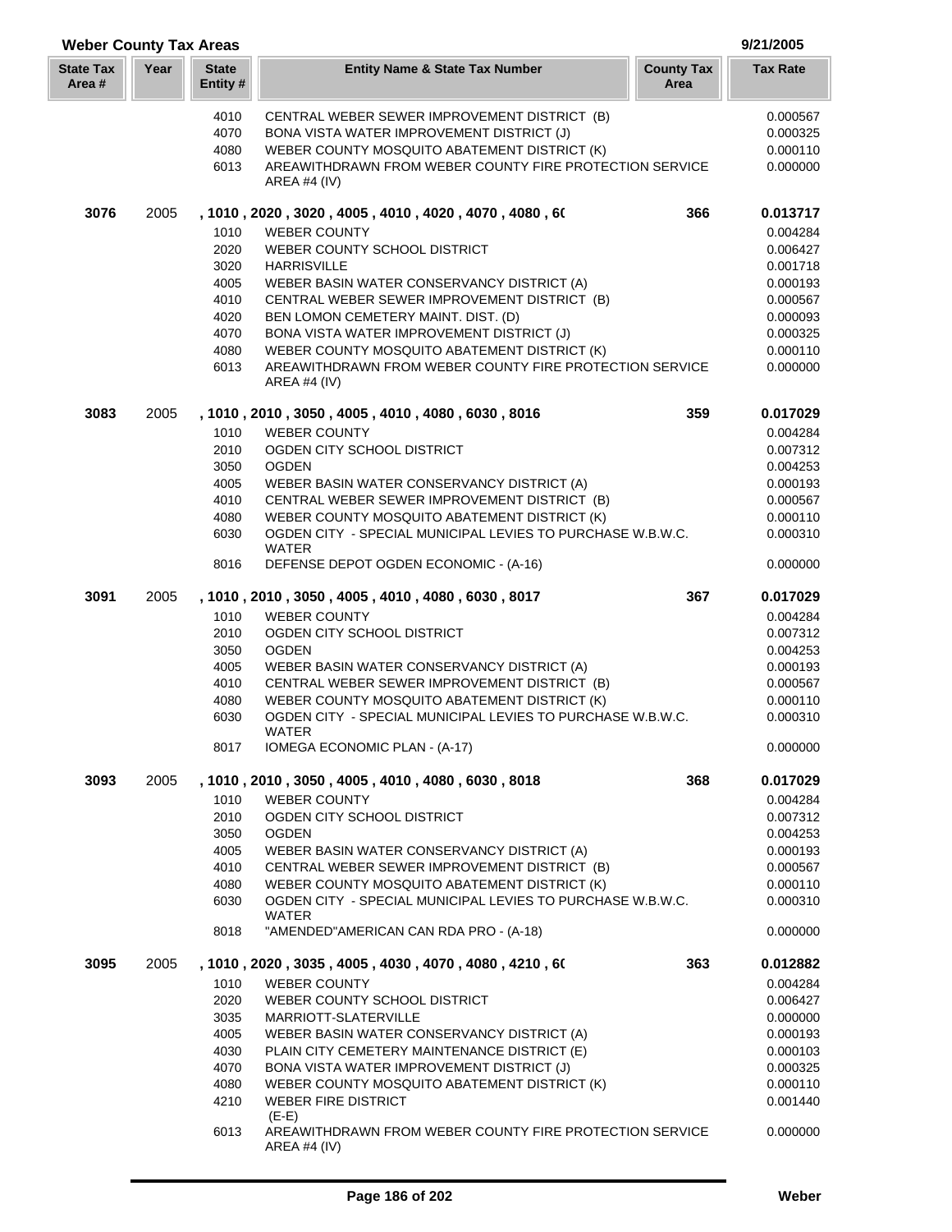| <b>Weber County Tax Areas</b> |      |                          |                                                                                                      |                           | 9/21/2005            |
|-------------------------------|------|--------------------------|------------------------------------------------------------------------------------------------------|---------------------------|----------------------|
| <b>State Tax</b><br>Area #    | Year | <b>State</b><br>Entity # | <b>Entity Name &amp; State Tax Number</b>                                                            | <b>County Tax</b><br>Area | <b>Tax Rate</b>      |
|                               |      | 4010                     | CENTRAL WEBER SEWER IMPROVEMENT DISTRICT (B)                                                         |                           | 0.000567             |
|                               |      | 4070                     | BONA VISTA WATER IMPROVEMENT DISTRICT (J)                                                            |                           | 0.000325             |
|                               |      | 4080                     | WEBER COUNTY MOSQUITO ABATEMENT DISTRICT (K)                                                         |                           | 0.000110             |
|                               |      | 6013                     | AREAWITHDRAWN FROM WEBER COUNTY FIRE PROTECTION SERVICE<br>AREA #4 $(IV)$                            |                           | 0.000000             |
| 3076                          | 2005 |                          | , 1010, 2020, 3020, 4005, 4010, 4020, 4070, 4080, 60                                                 | 366                       | 0.013717             |
|                               |      | 1010                     | <b>WEBER COUNTY</b>                                                                                  |                           | 0.004284             |
|                               |      | 2020                     | WEBER COUNTY SCHOOL DISTRICT                                                                         |                           | 0.006427             |
|                               |      | 3020                     | <b>HARRISVILLE</b>                                                                                   |                           | 0.001718<br>0.000193 |
|                               |      | 4005<br>4010             | WEBER BASIN WATER CONSERVANCY DISTRICT (A)<br>CENTRAL WEBER SEWER IMPROVEMENT DISTRICT (B)           |                           | 0.000567             |
|                               |      | 4020                     | BEN LOMON CEMETERY MAINT. DIST. (D)                                                                  |                           | 0.000093             |
|                               |      | 4070                     | BONA VISTA WATER IMPROVEMENT DISTRICT (J)                                                            |                           | 0.000325             |
|                               |      | 4080                     | WEBER COUNTY MOSQUITO ABATEMENT DISTRICT (K)                                                         |                           | 0.000110             |
|                               |      | 6013                     | AREAWITHDRAWN FROM WEBER COUNTY FIRE PROTECTION SERVICE<br>AREA #4 $(IV)$                            |                           | 0.000000             |
| 3083                          | 2005 |                          | , 1010, 2010, 3050, 4005, 4010, 4080, 6030, 8016                                                     | 359                       | 0.017029             |
|                               |      | 1010                     | <b>WEBER COUNTY</b>                                                                                  |                           | 0.004284             |
|                               |      | 2010                     | OGDEN CITY SCHOOL DISTRICT                                                                           |                           | 0.007312             |
|                               |      | 3050<br>4005             | <b>OGDEN</b><br>WEBER BASIN WATER CONSERVANCY DISTRICT (A)                                           |                           | 0.004253<br>0.000193 |
|                               |      | 4010                     | CENTRAL WEBER SEWER IMPROVEMENT DISTRICT (B)                                                         |                           | 0.000567             |
|                               |      | 4080                     | WEBER COUNTY MOSQUITO ABATEMENT DISTRICT (K)                                                         |                           | 0.000110             |
|                               |      | 6030                     | OGDEN CITY - SPECIAL MUNICIPAL LEVIES TO PURCHASE W.B.W.C.                                           |                           | 0.000310             |
|                               |      | 8016                     | WATER<br>DEFENSE DEPOT OGDEN ECONOMIC - (A-16)                                                       |                           | 0.000000             |
| 3091                          | 2005 |                          | , 1010, 2010, 3050, 4005, 4010, 4080, 6030, 8017                                                     | 367                       | 0.017029             |
|                               |      | 1010                     | <b>WEBER COUNTY</b>                                                                                  |                           | 0.004284             |
|                               |      | 2010                     | OGDEN CITY SCHOOL DISTRICT                                                                           |                           | 0.007312             |
|                               |      | 3050                     | <b>OGDEN</b>                                                                                         |                           | 0.004253             |
|                               |      | 4005                     | WEBER BASIN WATER CONSERVANCY DISTRICT (A)                                                           |                           | 0.000193             |
|                               |      | 4010                     | CENTRAL WEBER SEWER IMPROVEMENT DISTRICT (B)                                                         |                           | 0.000567             |
|                               |      | 4080                     | WEBER COUNTY MOSQUITO ABATEMENT DISTRICT (K)                                                         |                           | 0.000110             |
|                               |      | 6030<br>8017             | OGDEN CITY - SPECIAL MUNICIPAL LEVIES TO PURCHASE W.B.W.C.<br>WATER<br>IOMEGA ECONOMIC PLAN - (A-17) |                           | 0.000310<br>0.000000 |
| 3093                          | 2005 |                          | , 1010, 2010, 3050, 4005, 4010, 4080, 6030, 8018                                                     | 368                       | 0.017029             |
|                               |      | 1010                     | <b>WEBER COUNTY</b>                                                                                  |                           | 0.004284             |
|                               |      | 2010                     | OGDEN CITY SCHOOL DISTRICT                                                                           |                           | 0.007312             |
|                               |      | 3050                     | <b>OGDEN</b>                                                                                         |                           | 0.004253             |
|                               |      | 4005                     | WEBER BASIN WATER CONSERVANCY DISTRICT (A)                                                           |                           | 0.000193             |
|                               |      | 4010                     | CENTRAL WEBER SEWER IMPROVEMENT DISTRICT (B)                                                         |                           | 0.000567             |
|                               |      | 4080                     | WEBER COUNTY MOSQUITO ABATEMENT DISTRICT (K)                                                         |                           | 0.000110             |
|                               |      | 6030                     | OGDEN CITY - SPECIAL MUNICIPAL LEVIES TO PURCHASE W.B.W.C.<br>WATER                                  |                           | 0.000310             |
|                               |      | 8018                     | "AMENDED"AMERICAN CAN RDA PRO - (A-18)                                                               |                           | 0.000000             |
| 3095                          | 2005 |                          | , 1010 , 2020 , 3035 , 4005 , 4030 , 4070 , 4080 , 4210 , 60                                         | 363                       | 0.012882             |
|                               |      | 1010                     | <b>WEBER COUNTY</b>                                                                                  |                           | 0.004284             |
|                               |      | 2020                     | WEBER COUNTY SCHOOL DISTRICT                                                                         |                           | 0.006427             |
|                               |      | 3035                     | MARRIOTT-SLATERVILLE                                                                                 |                           | 0.000000             |
|                               |      | 4005<br>4030             | WEBER BASIN WATER CONSERVANCY DISTRICT (A)<br>PLAIN CITY CEMETERY MAINTENANCE DISTRICT (E)           |                           | 0.000193<br>0.000103 |
|                               |      | 4070                     | BONA VISTA WATER IMPROVEMENT DISTRICT (J)                                                            |                           | 0.000325             |
|                               |      | 4080                     | WEBER COUNTY MOSQUITO ABATEMENT DISTRICT (K)                                                         |                           | 0.000110             |
|                               |      | 4210                     | <b>WEBER FIRE DISTRICT</b>                                                                           |                           | 0.001440             |
|                               |      | 6013                     | $(E-E)$<br>AREAWITHDRAWN FROM WEBER COUNTY FIRE PROTECTION SERVICE                                   |                           | 0.000000             |
|                               |      |                          | AREA #4 $(IV)$                                                                                       |                           |                      |

L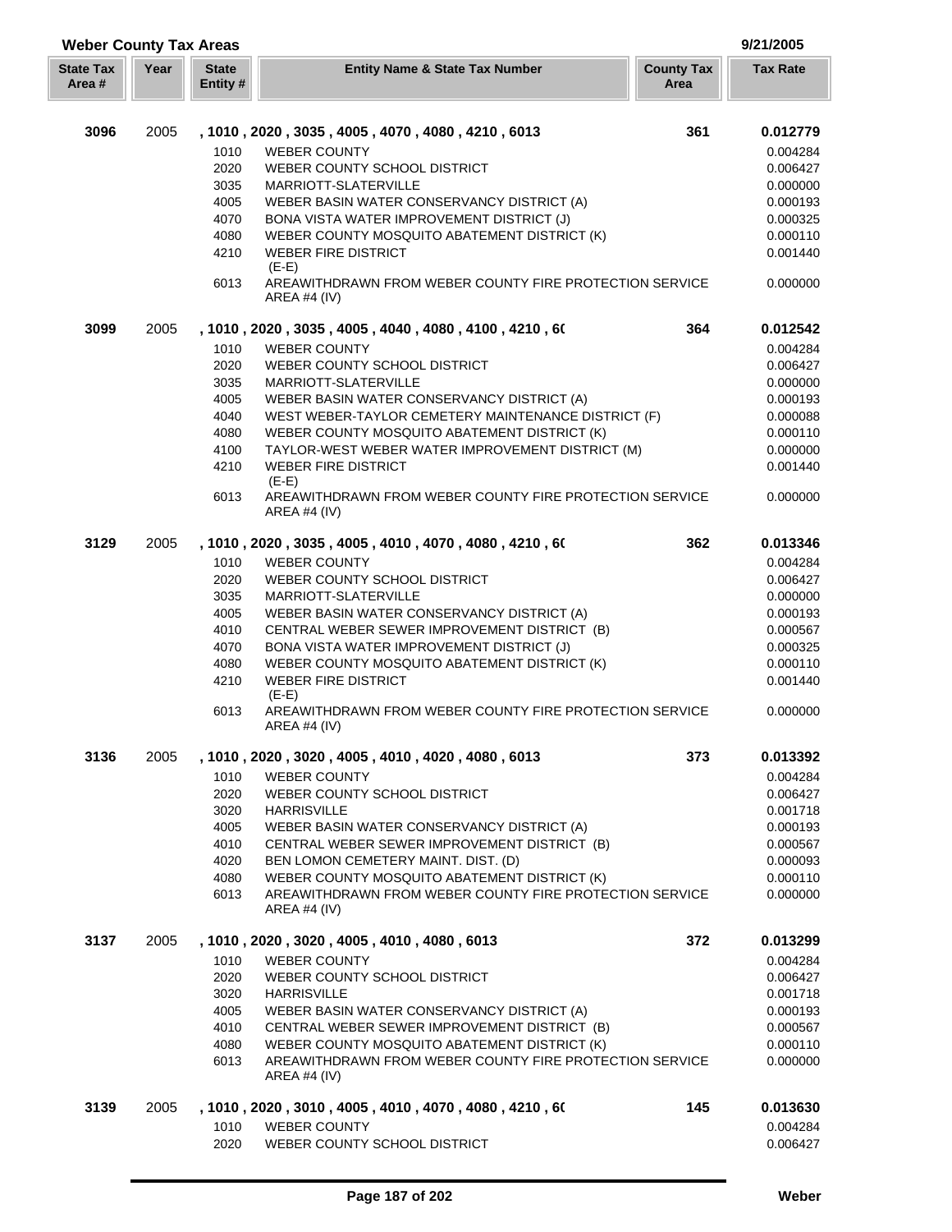| <b>Weber County Tax Areas</b> |      |                                                                      |                                                                                                                                                                                                                                                                                                                                                                                                                                                                            |                           | 9/21/2005                                                                                                            |
|-------------------------------|------|----------------------------------------------------------------------|----------------------------------------------------------------------------------------------------------------------------------------------------------------------------------------------------------------------------------------------------------------------------------------------------------------------------------------------------------------------------------------------------------------------------------------------------------------------------|---------------------------|----------------------------------------------------------------------------------------------------------------------|
| <b>State Tax</b><br>Area #    | Year | <b>State</b><br>Entity #                                             | <b>Entity Name &amp; State Tax Number</b>                                                                                                                                                                                                                                                                                                                                                                                                                                  | <b>County Tax</b><br>Area | <b>Tax Rate</b>                                                                                                      |
| 3096                          | 2005 | 1010                                                                 | , 1010, 2020, 3035, 4005, 4070, 4080, 4210, 6013<br><b>WEBER COUNTY</b>                                                                                                                                                                                                                                                                                                                                                                                                    | 361                       | 0.012779<br>0.004284                                                                                                 |
|                               |      | 2020<br>3035<br>4005<br>4070<br>4080                                 | WEBER COUNTY SCHOOL DISTRICT<br>MARRIOTT-SLATERVILLE<br>WEBER BASIN WATER CONSERVANCY DISTRICT (A)<br>BONA VISTA WATER IMPROVEMENT DISTRICT (J)<br>WEBER COUNTY MOSQUITO ABATEMENT DISTRICT (K)                                                                                                                                                                                                                                                                            |                           | 0.006427<br>0.000000<br>0.000193<br>0.000325<br>0.000110                                                             |
|                               |      | 4210<br>6013                                                         | <b>WEBER FIRE DISTRICT</b><br>$(E-E)$<br>AREAWITHDRAWN FROM WEBER COUNTY FIRE PROTECTION SERVICE                                                                                                                                                                                                                                                                                                                                                                           |                           | 0.001440<br>0.000000                                                                                                 |
|                               |      |                                                                      | AREA #4 $(IV)$                                                                                                                                                                                                                                                                                                                                                                                                                                                             |                           |                                                                                                                      |
| 3099                          | 2005 | 1010<br>2020<br>3035<br>4005<br>4040<br>4080<br>4100<br>4210<br>6013 | , 1010 , 2020 , 3035 , 4005 , 4040 , 4080 , 4100 , 4210 , 60<br><b>WEBER COUNTY</b><br>WEBER COUNTY SCHOOL DISTRICT<br>MARRIOTT-SLATERVILLE<br>WEBER BASIN WATER CONSERVANCY DISTRICT (A)<br>WEST WEBER-TAYLOR CEMETERY MAINTENANCE DISTRICT (F)<br>WEBER COUNTY MOSQUITO ABATEMENT DISTRICT (K)<br>TAYLOR-WEST WEBER WATER IMPROVEMENT DISTRICT (M)<br><b>WEBER FIRE DISTRICT</b><br>$(E-E)$<br>AREAWITHDRAWN FROM WEBER COUNTY FIRE PROTECTION SERVICE<br>AREA #4 $(IV)$ | 364                       | 0.012542<br>0.004284<br>0.006427<br>0.000000<br>0.000193<br>0.000088<br>0.000110<br>0.000000<br>0.001440<br>0.000000 |
| 3129                          | 2005 | 1010<br>2020<br>3035<br>4005<br>4010<br>4070<br>4080<br>4210<br>6013 | , 1010 , 2020 , 3035 , 4005 , 4010 , 4070 , 4080 , 4210 , 60<br><b>WEBER COUNTY</b><br>WEBER COUNTY SCHOOL DISTRICT<br>MARRIOTT-SLATERVILLE<br>WEBER BASIN WATER CONSERVANCY DISTRICT (A)<br>CENTRAL WEBER SEWER IMPROVEMENT DISTRICT (B)<br>BONA VISTA WATER IMPROVEMENT DISTRICT (J)<br>WEBER COUNTY MOSQUITO ABATEMENT DISTRICT (K)<br><b>WEBER FIRE DISTRICT</b><br>$(E-E)$<br>AREAWITHDRAWN FROM WEBER COUNTY FIRE PROTECTION SERVICE<br>AREA #4 (IV)                 | 362                       | 0.013346<br>0.004284<br>0.006427<br>0.000000<br>0.000193<br>0.000567<br>0.000325<br>0.000110<br>0.001440<br>0.000000 |
| 3136                          | 2005 | 1010<br>2020<br>3020<br>4005<br>4010<br>4020<br>4080<br>6013         | , 1010, 2020, 3020, 4005, 4010, 4020, 4080, 6013<br><b>WEBER COUNTY</b><br>WEBER COUNTY SCHOOL DISTRICT<br>HARRISVILLE<br>WEBER BASIN WATER CONSERVANCY DISTRICT (A)<br>CENTRAL WEBER SEWER IMPROVEMENT DISTRICT (B)<br>BEN LOMON CEMETERY MAINT. DIST. (D)<br>WEBER COUNTY MOSQUITO ABATEMENT DISTRICT (K)<br>AREAWITHDRAWN FROM WEBER COUNTY FIRE PROTECTION SERVICE<br>AREA #4 $(IV)$                                                                                   | 373                       | 0.013392<br>0.004284<br>0.006427<br>0.001718<br>0.000193<br>0.000567<br>0.000093<br>0.000110<br>0.000000             |
| 3137                          | 2005 | 1010<br>2020<br>3020<br>4005<br>4010<br>4080<br>6013                 | , 1010, 2020, 3020, 4005, 4010, 4080, 6013<br><b>WEBER COUNTY</b><br>WEBER COUNTY SCHOOL DISTRICT<br><b>HARRISVILLE</b><br>WEBER BASIN WATER CONSERVANCY DISTRICT (A)<br>CENTRAL WEBER SEWER IMPROVEMENT DISTRICT (B)<br>WEBER COUNTY MOSQUITO ABATEMENT DISTRICT (K)<br>AREAWITHDRAWN FROM WEBER COUNTY FIRE PROTECTION SERVICE<br>AREA #4 $(IV)$                                                                                                                         | 372                       | 0.013299<br>0.004284<br>0.006427<br>0.001718<br>0.000193<br>0.000567<br>0.000110<br>0.000000                         |
| 3139                          | 2005 | 1010<br>2020                                                         | , 1010 , 2020 , 3010 , 4005 , 4010 , 4070 , 4080 , 4210 , 60<br><b>WEBER COUNTY</b><br>WEBER COUNTY SCHOOL DISTRICT                                                                                                                                                                                                                                                                                                                                                        | 145                       | 0.013630<br>0.004284<br>0.006427                                                                                     |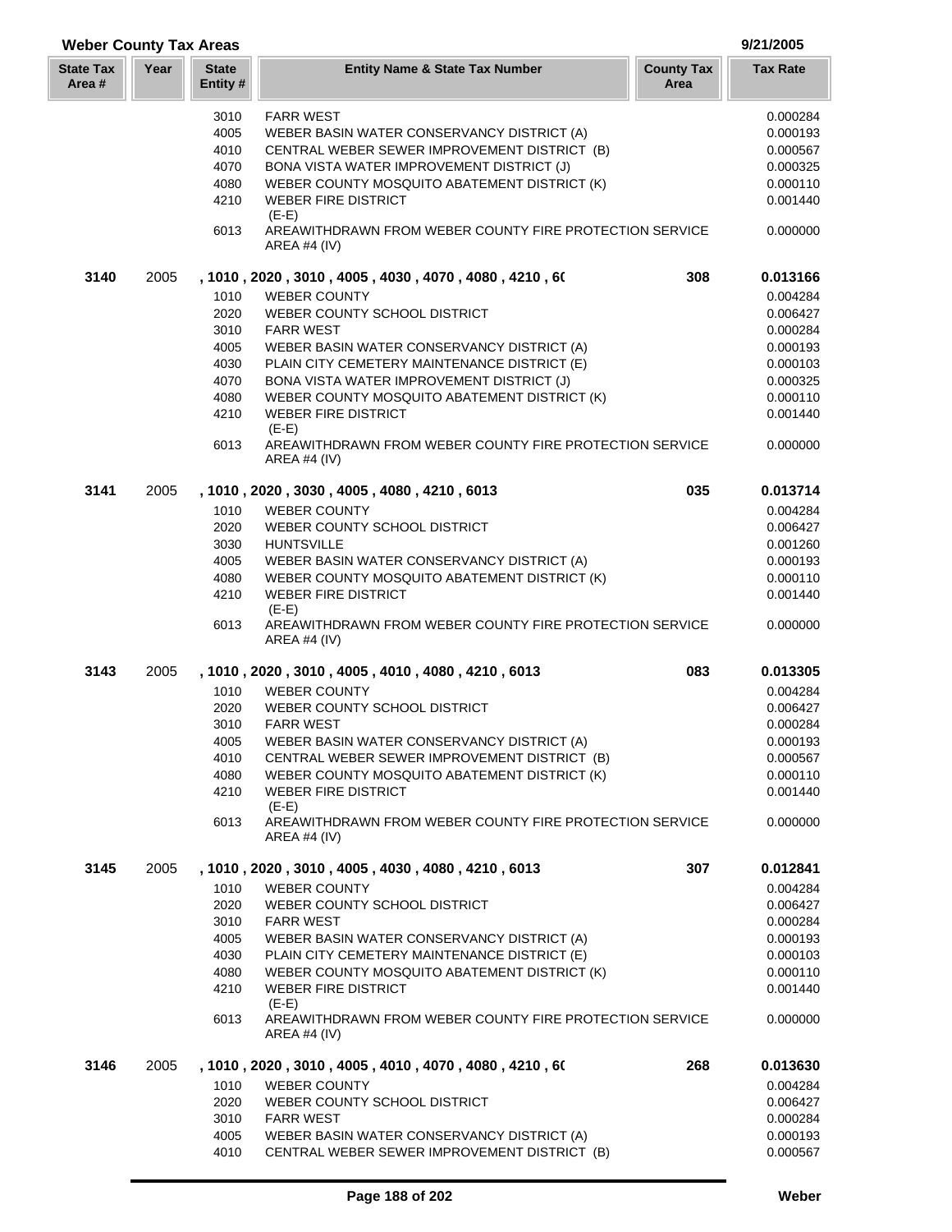| <b>Weber County Tax Areas</b> |      |                          |                                                                           |                           | 9/21/2005       |
|-------------------------------|------|--------------------------|---------------------------------------------------------------------------|---------------------------|-----------------|
| <b>State Tax</b><br>Area #    | Year | <b>State</b><br>Entity # | <b>Entity Name &amp; State Tax Number</b>                                 | <b>County Tax</b><br>Area | <b>Tax Rate</b> |
|                               |      | 3010                     | <b>FARR WEST</b>                                                          |                           | 0.000284        |
|                               |      | 4005                     | WEBER BASIN WATER CONSERVANCY DISTRICT (A)                                |                           | 0.000193        |
|                               |      | 4010                     | CENTRAL WEBER SEWER IMPROVEMENT DISTRICT (B)                              |                           | 0.000567        |
|                               |      | 4070                     | BONA VISTA WATER IMPROVEMENT DISTRICT (J)                                 |                           | 0.000325        |
|                               |      | 4080                     | WEBER COUNTY MOSQUITO ABATEMENT DISTRICT (K)                              |                           | 0.000110        |
|                               |      | 4210                     | <b>WEBER FIRE DISTRICT</b><br>$(E-E)$                                     |                           | 0.001440        |
|                               |      | 6013                     | AREAWITHDRAWN FROM WEBER COUNTY FIRE PROTECTION SERVICE<br>AREA #4 $(IV)$ |                           | 0.000000        |
| 3140                          | 2005 |                          | , 1010 , 2020 , 3010 , 4005 , 4030 , 4070 , 4080 , 4210 , 60              | 308                       | 0.013166        |
|                               |      | 1010                     | <b>WEBER COUNTY</b>                                                       |                           | 0.004284        |
|                               |      | 2020                     | WEBER COUNTY SCHOOL DISTRICT                                              |                           | 0.006427        |
|                               |      | 3010                     | <b>FARR WEST</b>                                                          |                           | 0.000284        |
|                               |      | 4005                     | WEBER BASIN WATER CONSERVANCY DISTRICT (A)                                |                           | 0.000193        |
|                               |      | 4030                     | PLAIN CITY CEMETERY MAINTENANCE DISTRICT (E)                              |                           | 0.000103        |
|                               |      | 4070                     | BONA VISTA WATER IMPROVEMENT DISTRICT (J)                                 |                           | 0.000325        |
|                               |      | 4080                     | WEBER COUNTY MOSQUITO ABATEMENT DISTRICT (K)                              |                           | 0.000110        |
|                               |      | 4210                     | <b>WEBER FIRE DISTRICT</b><br>$(E-E)$                                     |                           | 0.001440        |
|                               |      | 6013                     | AREAWITHDRAWN FROM WEBER COUNTY FIRE PROTECTION SERVICE<br>AREA #4 (IV)   |                           | 0.000000        |
| 3141                          | 2005 |                          | , 1010 , 2020 , 3030 , 4005 , 4080 , 4210 , 6013                          | 035                       | 0.013714        |
|                               |      | 1010                     | <b>WEBER COUNTY</b>                                                       |                           | 0.004284        |
|                               |      | 2020                     | WEBER COUNTY SCHOOL DISTRICT                                              |                           | 0.006427        |
|                               |      | 3030                     | <b>HUNTSVILLE</b>                                                         |                           | 0.001260        |
|                               |      | 4005                     | WEBER BASIN WATER CONSERVANCY DISTRICT (A)                                |                           | 0.000193        |
|                               |      | 4080                     | WEBER COUNTY MOSQUITO ABATEMENT DISTRICT (K)                              |                           | 0.000110        |
|                               |      | 4210                     | <b>WEBER FIRE DISTRICT</b><br>$(E-E)$                                     |                           | 0.001440        |
|                               |      | 6013                     | AREAWITHDRAWN FROM WEBER COUNTY FIRE PROTECTION SERVICE<br>AREA #4 (IV)   |                           | 0.000000        |
| 3143                          | 2005 |                          | , 1010, 2020, 3010, 4005, 4010, 4080, 4210, 6013                          | 083                       | 0.013305        |
|                               |      | 1010                     | <b>WEBER COUNTY</b>                                                       |                           | 0.004284        |
|                               |      | 2020                     | WEBER COUNTY SCHOOL DISTRICT                                              |                           | 0.006427        |
|                               |      | 3010                     | <b>FARR WEST</b>                                                          |                           | 0.000284        |
|                               |      | 4005                     | WEBER BASIN WATER CONSERVANCY DISTRICT (A)                                |                           | 0.000193        |
|                               |      | 4010                     | CENTRAL WEBER SEWER IMPROVEMENT DISTRICT (B)                              |                           | 0.000567        |
|                               |      | 4080                     | WEBER COUNTY MOSQUITO ABATEMENT DISTRICT (K)                              |                           | 0.000110        |
|                               |      | 4210                     | <b>WEBER FIRE DISTRICT</b><br>$(E-E)$                                     |                           | 0.001440        |
|                               |      | 6013                     | AREAWITHDRAWN FROM WEBER COUNTY FIRE PROTECTION SERVICE<br>AREA #4 $(IV)$ |                           | 0.000000        |
| 3145                          | 2005 |                          | , 1010, 2020, 3010, 4005, 4030, 4080, 4210, 6013                          | 307                       | 0.012841        |
|                               |      | 1010                     | <b>WEBER COUNTY</b>                                                       |                           | 0.004284        |
|                               |      | 2020                     | WEBER COUNTY SCHOOL DISTRICT                                              |                           | 0.006427        |
|                               |      | 3010                     | <b>FARR WEST</b>                                                          |                           | 0.000284        |
|                               |      | 4005                     | WEBER BASIN WATER CONSERVANCY DISTRICT (A)                                |                           | 0.000193        |
|                               |      | 4030                     | PLAIN CITY CEMETERY MAINTENANCE DISTRICT (E)                              |                           | 0.000103        |
|                               |      | 4080                     | WEBER COUNTY MOSQUITO ABATEMENT DISTRICT (K)                              |                           | 0.000110        |
|                               |      | 4210                     | <b>WEBER FIRE DISTRICT</b><br>$(E-E)$                                     |                           | 0.001440        |
|                               |      | 6013                     | AREAWITHDRAWN FROM WEBER COUNTY FIRE PROTECTION SERVICE<br>AREA #4 (IV)   |                           | 0.000000        |
| 3146                          | 2005 |                          | , 1010, 2020, 3010, 4005, 4010, 4070, 4080, 4210, 60                      | 268                       | 0.013630        |
|                               |      | 1010                     | <b>WEBER COUNTY</b>                                                       |                           | 0.004284        |
|                               |      | 2020                     | WEBER COUNTY SCHOOL DISTRICT                                              |                           | 0.006427        |
|                               |      | 3010                     | <b>FARR WEST</b>                                                          |                           | 0.000284        |
|                               |      | 4005                     | WEBER BASIN WATER CONSERVANCY DISTRICT (A)                                |                           | 0.000193        |

4010 CENTRAL WEBER SEWER IMPROVEMENT DISTRICT (B) 0.000567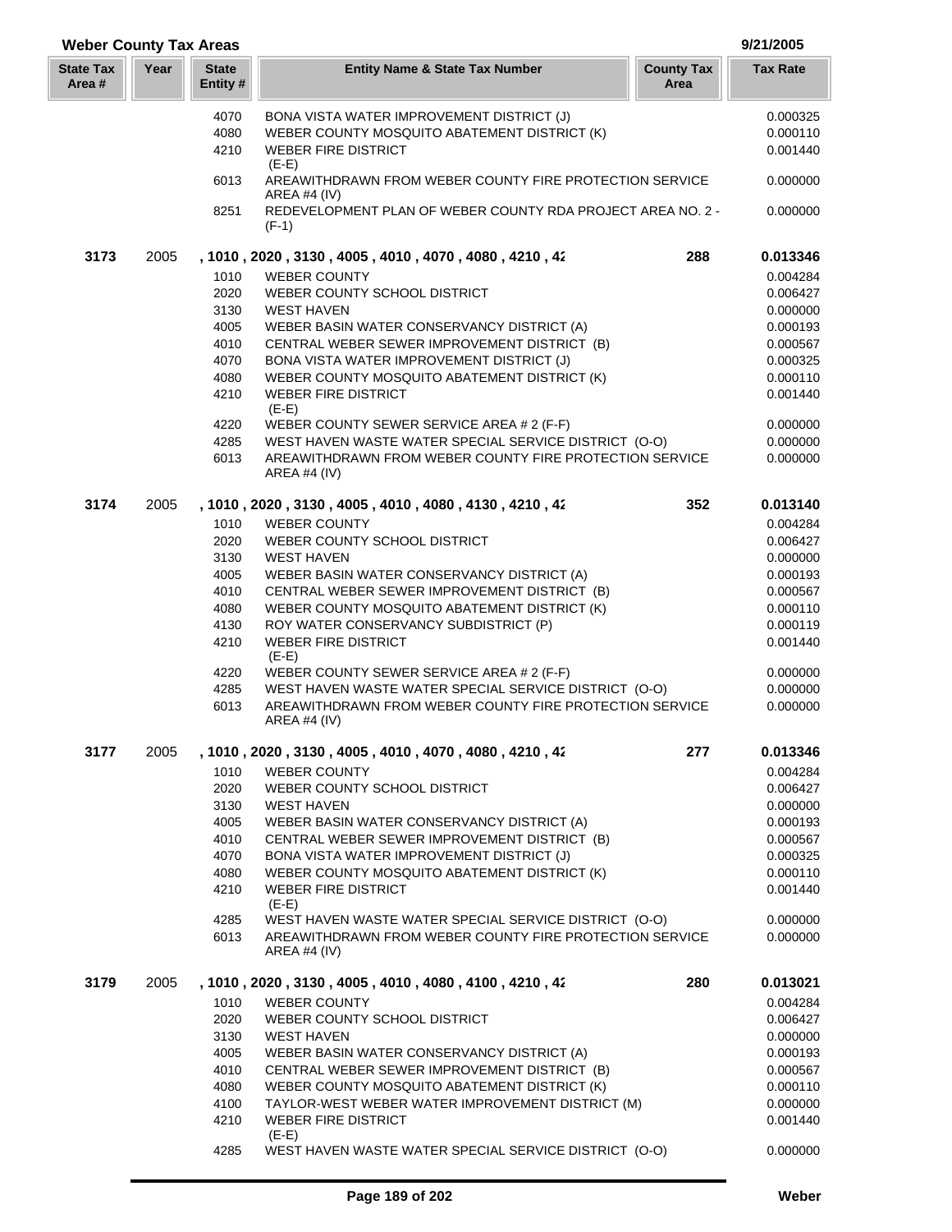## **Year Entity Name & State Tax Number County Tax Tax Rate Area State Tax Area # Weber County Tax Areas 9/21/2005 State Entity #** 4070 BONA VISTA WATER IMPROVEMENT DISTRICT (J) 0.000325 4080 WEBER COUNTY MOSQUITO ABATEMENT DISTRICT (K) 0.000110 4210 WEBER FIRE DISTRICT 0.001440  $(F-F)$ 6013 AREAWITHDRAWN FROM WEBER COUNTY FIRE PROTECTION SERVICE 0.000000 AREA #4 (IV) 8251 REDEVELOPMENT PLAN OF WEBER COUNTY RDA PROJECT AREA NO. 2 - 0.000000 (F-1) **3173** 2005 **, 1010 , 2020 , 3130 , 4005 , 4010 , 4070 , 4080 , 4210 , 422 288 0.013346** 1010 WEBER COUNTY 0.004284 2020 WEBER COUNTY SCHOOL DISTRICT 0.006427 3130 WEST HAVEN 0.000000 4005 WEBER BASIN WATER CONSERVANCY DISTRICT (A) 0.000193 4010 CENTRAL WEBER SEWER IMPROVEMENT DISTRICT (B) 0.000567 4070 BONA VISTA WATER IMPROVEMENT DISTRICT (J) 0.000325 4080 WEBER COUNTY MOSQUITO ABATEMENT DISTRICT (K) 0.000110 4210 WEBER FIRE DISTRICT 0.001440 (E-E) 4220 WEBER COUNTY SEWER SERVICE AREA # 2 (F-F) 0.000000 4285 WEST HAVEN WASTE WATER SPECIAL SERVICE DISTRICT (O-O) 0.000000 6013 AREAWITHDRAWN FROM WEBER COUNTY FIRE PROTECTION SERVICE 0.000000 AREA #4 (IV) **3174** 2005 **, 1010 , 2020 , 3130 , 4005 , 4010 , 4080 , 4130 , 4210 , 422 352 0.013140** 1010 WEBER COUNTY 0.004284 2020 WEBER COUNTY SCHOOL DISTRICT 0.006427 3130 WEST HAVEN 0.000000 4005 WEBER BASIN WATER CONSERVANCY DISTRICT (A) 0.000193 4010 CENTRAL WEBER SEWER IMPROVEMENT DISTRICT (B) 0.000567 4080 WEBER COUNTY MOSQUITO ABATEMENT DISTRICT (K) 0.000110 4130 ROY WATER CONSERVANCY SUBDISTRICT (P) 0.000119 Action WEBER FIRE DISTRICT And the state of the control of the control of the control of the control of the control of the control of the control of the control of the control of the control of the control of the control o  $(E-E)$ 4220 WEBER COUNTY SEWER SERVICE AREA # 2 (F-F) 0.000000 4285 WEST HAVEN WASTE WATER SPECIAL SERVICE DISTRICT (O-O) 0.000000 6013 AREAWITHDRAWN FROM WEBER COUNTY FIRE PROTECTION SERVICE 0.000000 AREA #4 (IV) **3177** 2005 **, 1010 , 2020 , 3130 , 4005 , 4010 , 4070 , 4080 , 4210 , 428 277 0.013346** 1010 WEBER COUNTY **10.000 UNITY 10.000 UNITS** 0.004284 2020 WEBER COUNTY SCHOOL DISTRICT 0.006427 3130 WEST HAVEN 0.000000 4005 WEBER BASIN WATER CONSERVANCY DISTRICT (A) 0.000193 4010 CENTRAL WEBER SEWER IMPROVEMENT DISTRICT (B) 0.000567 4070 BONA VISTA WATER IMPROVEMENT DISTRICT (J) 0.000325 4080 WEBER COUNTY MOSQUITO ABATEMENT DISTRICT (K) 0.000110 4210 WEBER FIRE DISTRICT 0.001440  $(F-F)$ 4285 WEST HAVEN WASTE WATER SPECIAL SERVICE DISTRICT (O-O) 0.000000 6013 AREAWITHDRAWN FROM WEBER COUNTY FIRE PROTECTION SERVICE 0.000000 AREA #4 (IV) **3179** 2005 **, 1010 , 2020 , 3130 , 4005 , 4010 , 4080 , 4100 , 4210 , 428 280 0.013021** 1010 WEBER COUNTY **1010** WEBER COUNTY 2020 WEBER COUNTY SCHOOL DISTRICT And the control of the country of the control of the control of the control of the control of the control of the control of the control of the control of the control of the control of the 3130 WEST HAVEN 0.000000 4005 WEBER BASIN WATER CONSERVANCY DISTRICT (A) 0.000193 4010 CENTRAL WEBER SEWER IMPROVEMENT DISTRICT (B) 0.000567 4080 WEBER COUNTY MOSQUITO ABATEMENT DISTRICT (K) 0.000110 4100 TAYLOR-WEST WEBER WATER IMPROVEMENT DISTRICT (M) 0.000000 Action WEBER FIRE DISTRICT And the state of the control of the control of the control of the control of the control of the control of the control of the control of the control of the control of the control of the control o (E-E)

4285 WEST HAVEN WASTE WATER SPECIAL SERVICE DISTRICT (O-O) 0.000000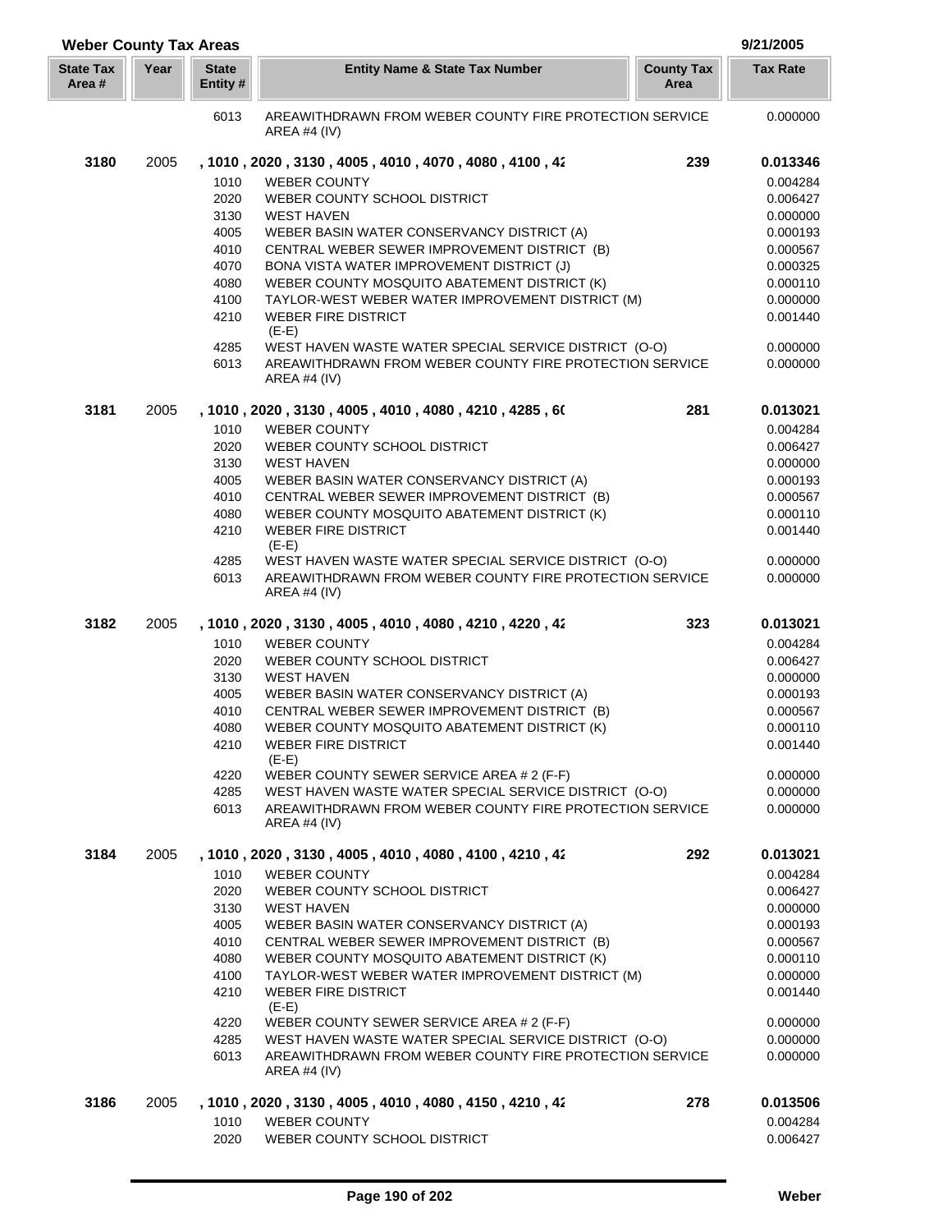| <b>Weber County Tax Areas</b> |      |                          |                                                                                |                           | 9/21/2005       |
|-------------------------------|------|--------------------------|--------------------------------------------------------------------------------|---------------------------|-----------------|
| <b>State Tax</b><br>Area #    | Year | <b>State</b><br>Entity # | <b>Entity Name &amp; State Tax Number</b>                                      | <b>County Tax</b><br>Area | <b>Tax Rate</b> |
|                               |      | 6013                     | AREAWITHDRAWN FROM WEBER COUNTY FIRE PROTECTION SERVICE<br>AREA #4 (IV)        |                           | 0.000000        |
| 3180                          | 2005 |                          | , 1010, 2020, 3130, 4005, 4010, 4070, 4080, 4100, 42                           | 239                       | 0.013346        |
|                               |      | 1010                     | <b>WEBER COUNTY</b>                                                            |                           | 0.004284        |
|                               |      | 2020                     | WEBER COUNTY SCHOOL DISTRICT                                                   |                           | 0.006427        |
|                               |      | 3130                     | <b>WEST HAVEN</b>                                                              |                           | 0.000000        |
|                               |      | 4005                     | WEBER BASIN WATER CONSERVANCY DISTRICT (A)                                     |                           | 0.000193        |
|                               |      | 4010                     | CENTRAL WEBER SEWER IMPROVEMENT DISTRICT (B)                                   |                           | 0.000567        |
|                               |      | 4070                     | BONA VISTA WATER IMPROVEMENT DISTRICT (J)                                      |                           | 0.000325        |
|                               |      | 4080                     | WEBER COUNTY MOSQUITO ABATEMENT DISTRICT (K)                                   |                           | 0.000110        |
|                               |      | 4100                     | TAYLOR-WEST WEBER WATER IMPROVEMENT DISTRICT (M)                               |                           | 0.000000        |
|                               |      | 4210                     | <b>WEBER FIRE DISTRICT</b>                                                     |                           | 0.001440        |
|                               |      |                          | $(E-E)$                                                                        |                           |                 |
|                               |      | 4285                     | WEST HAVEN WASTE WATER SPECIAL SERVICE DISTRICT (O-O)                          |                           | 0.000000        |
|                               |      | 6013                     | AREAWITHDRAWN FROM WEBER COUNTY FIRE PROTECTION SERVICE<br><b>AREA #4 (IV)</b> |                           | 0.000000        |
| 3181                          | 2005 |                          | , 1010, 2020, 3130, 4005, 4010, 4080, 4210, 4285, 60                           | 281                       | 0.013021        |
|                               |      | 1010                     | <b>WEBER COUNTY</b>                                                            |                           | 0.004284        |
|                               |      | 2020                     | WEBER COUNTY SCHOOL DISTRICT                                                   |                           | 0.006427        |
|                               |      | 3130                     | <b>WEST HAVEN</b>                                                              |                           | 0.000000        |
|                               |      | 4005                     | WEBER BASIN WATER CONSERVANCY DISTRICT (A)                                     |                           | 0.000193        |
|                               |      | 4010                     | CENTRAL WEBER SEWER IMPROVEMENT DISTRICT (B)                                   |                           | 0.000567        |
|                               |      | 4080                     | WEBER COUNTY MOSQUITO ABATEMENT DISTRICT (K)                                   |                           | 0.000110        |
|                               |      | 4210                     | <b>WEBER FIRE DISTRICT</b><br>$(E-E)$                                          |                           | 0.001440        |
|                               |      | 4285                     | WEST HAVEN WASTE WATER SPECIAL SERVICE DISTRICT (O-O)                          |                           | 0.000000        |
|                               |      | 6013                     | AREAWITHDRAWN FROM WEBER COUNTY FIRE PROTECTION SERVICE<br><b>AREA #4 (IV)</b> |                           | 0.000000        |
| 3182                          | 2005 |                          | , 1010, 2020, 3130, 4005, 4010, 4080, 4210, 4220, 42                           | 323                       | 0.013021        |
|                               |      | 1010                     | <b>WEBER COUNTY</b>                                                            |                           | 0.004284        |
|                               |      | 2020                     | WEBER COUNTY SCHOOL DISTRICT                                                   |                           | 0.006427        |
|                               |      | 3130                     | <b>WEST HAVEN</b>                                                              |                           | 0.000000        |
|                               |      | 4005                     | WEBER BASIN WATER CONSERVANCY DISTRICT (A)                                     |                           | 0.000193        |
|                               |      | 4010                     | CENTRAL WEBER SEWER IMPROVEMENT DISTRICT (B)                                   |                           | 0.000567        |
|                               |      | 4080                     | WEBER COUNTY MOSQUITO ABATEMENT DISTRICT (K)                                   |                           | 0.000110        |
|                               |      | 4210                     | WEBER FIRE DISTRICT                                                            |                           | 0.001440        |
|                               |      |                          | $(E-E)$                                                                        |                           |                 |
|                               |      | 4220                     | WEBER COUNTY SEWER SERVICE AREA # 2 (F-F)                                      |                           | 0.000000        |
|                               |      | 4285                     | WEST HAVEN WASTE WATER SPECIAL SERVICE DISTRICT (O-O)                          |                           | 0.000000        |
|                               |      | 6013                     | AREAWITHDRAWN FROM WEBER COUNTY FIRE PROTECTION SERVICE<br>AREA #4 $(IV)$      |                           | 0.000000        |
| 3184                          | 2005 |                          | , 1010 , 2020 , 3130 , 4005 , 4010 , 4080 , 4100 , 4210 , 42                   | 292                       | 0.013021        |
|                               |      | 1010                     | <b>WEBER COUNTY</b>                                                            |                           | 0.004284        |
|                               |      | 2020                     | WEBER COUNTY SCHOOL DISTRICT                                                   |                           | 0.006427        |
|                               |      | 3130                     | <b>WEST HAVEN</b>                                                              |                           | 0.000000        |
|                               |      | 4005                     | WEBER BASIN WATER CONSERVANCY DISTRICT (A)                                     |                           | 0.000193        |
|                               |      | 4010                     | CENTRAL WEBER SEWER IMPROVEMENT DISTRICT (B)                                   |                           | 0.000567        |
|                               |      | 4080                     | WEBER COUNTY MOSQUITO ABATEMENT DISTRICT (K)                                   |                           | 0.000110        |
|                               |      | 4100                     | TAYLOR-WEST WEBER WATER IMPROVEMENT DISTRICT (M)                               |                           | 0.000000        |
|                               |      | 4210                     | <b>WEBER FIRE DISTRICT</b><br>$(E-E)$                                          |                           | 0.001440        |
|                               |      | 4220                     | WEBER COUNTY SEWER SERVICE AREA # 2 (F-F)                                      |                           | 0.000000        |
|                               |      | 4285                     | WEST HAVEN WASTE WATER SPECIAL SERVICE DISTRICT (O-O)                          |                           | 0.000000        |
|                               |      | 6013                     | AREAWITHDRAWN FROM WEBER COUNTY FIRE PROTECTION SERVICE<br>AREA #4 (IV)        |                           | 0.000000        |
| 3186                          | 2005 |                          | , 1010 , 2020 , 3130 , 4005 , 4010 , 4080 , 4150 , 4210 , 42                   | 278                       | 0.013506        |
|                               |      | 1010                     | <b>WEBER COUNTY</b>                                                            |                           | 0.004284        |
|                               |      | 2020                     | WEBER COUNTY SCHOOL DISTRICT                                                   |                           | 0.006427        |

I Į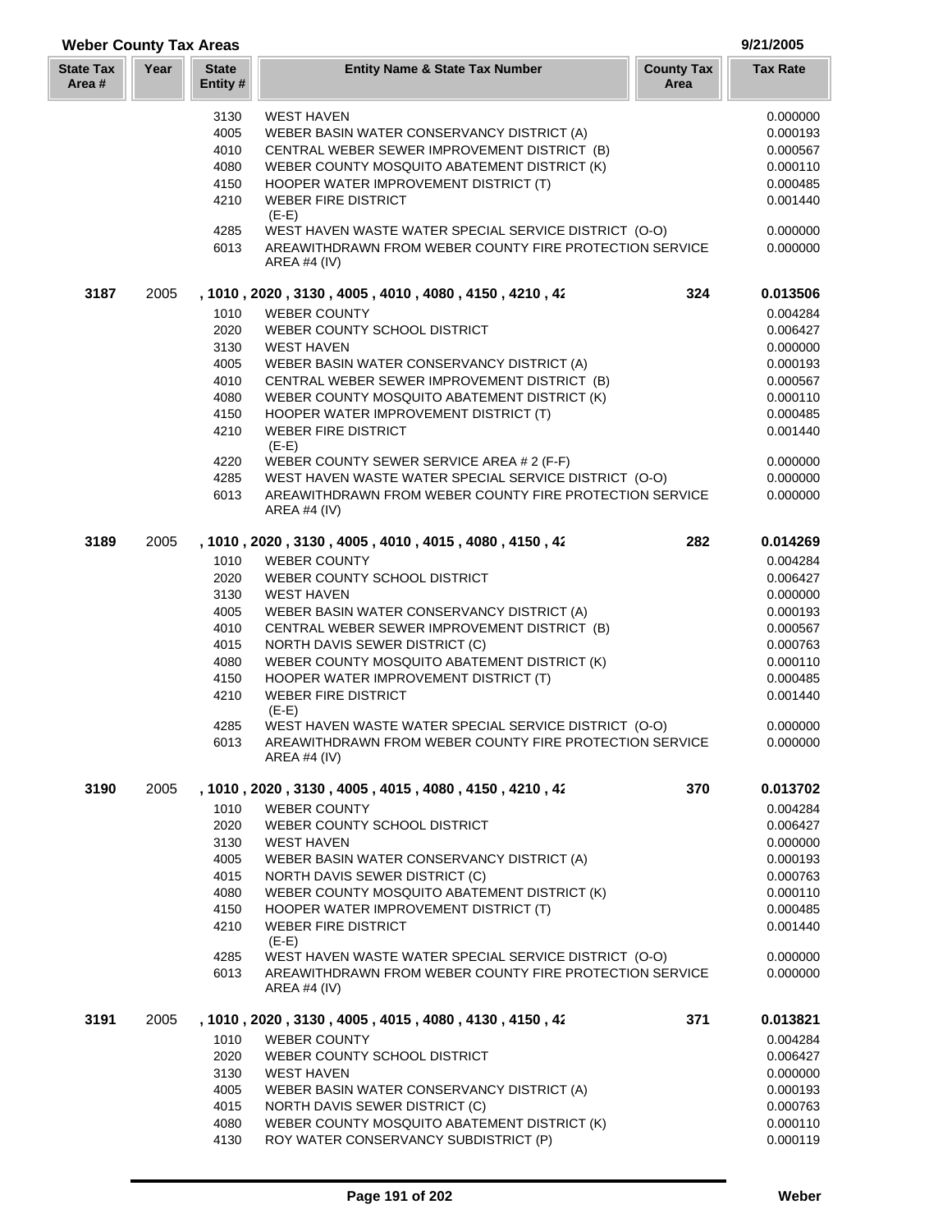| <b>State Tax</b><br>Area # | Year | <b>State</b><br>Entity # | <b>Entity Name &amp; State Tax Number</b>                                 | <b>County Tax</b><br>Area | <b>Tax Rate</b> |
|----------------------------|------|--------------------------|---------------------------------------------------------------------------|---------------------------|-----------------|
|                            |      | 3130                     | <b>WEST HAVEN</b>                                                         |                           | 0.000000        |
|                            |      | 4005                     | WEBER BASIN WATER CONSERVANCY DISTRICT (A)                                |                           | 0.000193        |
|                            |      | 4010                     | CENTRAL WEBER SEWER IMPROVEMENT DISTRICT (B)                              |                           | 0.000567        |
|                            |      | 4080                     | WEBER COUNTY MOSQUITO ABATEMENT DISTRICT (K)                              |                           | 0.000110        |
|                            |      | 4150                     | HOOPER WATER IMPROVEMENT DISTRICT (T)                                     |                           | 0.000485        |
|                            |      | 4210                     | <b>WEBER FIRE DISTRICT</b>                                                |                           | 0.001440        |
|                            |      |                          | $(E-E)$                                                                   |                           |                 |
|                            |      | 4285                     | WEST HAVEN WASTE WATER SPECIAL SERVICE DISTRICT (O-O)                     |                           | 0.000000        |
|                            |      | 6013                     | AREAWITHDRAWN FROM WEBER COUNTY FIRE PROTECTION SERVICE<br>AREA #4 (IV)   |                           | 0.000000        |
| 3187                       | 2005 |                          | , 1010, 2020, 3130, 4005, 4010, 4080, 4150, 4210, 42                      | 324                       | 0.013506        |
|                            |      | 1010                     | <b>WEBER COUNTY</b>                                                       |                           | 0.004284        |
|                            |      | 2020                     | WEBER COUNTY SCHOOL DISTRICT                                              |                           | 0.006427        |
|                            |      | 3130                     | <b>WEST HAVEN</b>                                                         |                           | 0.000000        |
|                            |      | 4005                     | WEBER BASIN WATER CONSERVANCY DISTRICT (A)                                |                           | 0.000193        |
|                            |      | 4010                     | CENTRAL WEBER SEWER IMPROVEMENT DISTRICT (B)                              |                           | 0.000567        |
|                            |      | 4080                     | WEBER COUNTY MOSQUITO ABATEMENT DISTRICT (K)                              |                           | 0.000110        |
|                            |      | 4150                     | HOOPER WATER IMPROVEMENT DISTRICT (T)                                     |                           | 0.000485        |
|                            |      | 4210                     | <b>WEBER FIRE DISTRICT</b>                                                |                           | 0.001440        |
|                            |      |                          | $(E-E)$                                                                   |                           |                 |
|                            |      | 4220                     | WEBER COUNTY SEWER SERVICE AREA # 2 (F-F)                                 |                           | 0.000000        |
|                            |      | 4285                     | WEST HAVEN WASTE WATER SPECIAL SERVICE DISTRICT (O-O)                     |                           | 0.000000        |
|                            |      | 6013                     | AREAWITHDRAWN FROM WEBER COUNTY FIRE PROTECTION SERVICE<br>AREA #4 $(IV)$ |                           | 0.000000        |
| 3189                       | 2005 |                          | , 1010, 2020, 3130, 4005, 4010, 4015, 4080, 4150, 42                      | 282                       | 0.014269        |
|                            |      | 1010                     | <b>WEBER COUNTY</b>                                                       |                           | 0.004284        |
|                            |      | 2020                     | WEBER COUNTY SCHOOL DISTRICT                                              |                           | 0.006427        |
|                            |      | 3130                     | <b>WEST HAVEN</b>                                                         |                           | 0.000000        |
|                            |      | 4005                     | WEBER BASIN WATER CONSERVANCY DISTRICT (A)                                |                           | 0.000193        |
|                            |      | 4010                     | CENTRAL WEBER SEWER IMPROVEMENT DISTRICT (B)                              |                           | 0.000567        |
|                            |      | 4015                     | <b>NORTH DAVIS SEWER DISTRICT (C)</b>                                     |                           | 0.000763        |
|                            |      | 4080                     | WEBER COUNTY MOSQUITO ABATEMENT DISTRICT (K)                              |                           | 0.000110        |
|                            |      | 4150                     | HOOPER WATER IMPROVEMENT DISTRICT (T)                                     |                           | 0.000485        |
|                            |      | 4210                     | <b>WEBER FIRE DISTRICT</b>                                                |                           | 0.001440        |
|                            |      | 4285                     | $(E-E)$<br>WEST HAVEN WASTE WATER SPECIAL SERVICE DISTRICT (O-O)          |                           | 0.000000        |
|                            |      | 6013                     | AREAWITHDRAWN FROM WEBER COUNTY FIRE PROTECTION SERVICE                   |                           | 0.000000        |
|                            |      |                          | AREA #4 (IV)                                                              |                           |                 |
| 3190                       | 2005 |                          | , 1010 , 2020 , 3130 , 4005 , 4015 , 4080 , 4150 , 4210 , 42              | 370                       | 0.013702        |
|                            |      | 1010                     | <b>WEBER COUNTY</b>                                                       |                           | 0.004284        |
|                            |      | 2020                     | WEBER COUNTY SCHOOL DISTRICT                                              |                           | 0.006427        |
|                            |      | 3130                     | <b>WEST HAVEN</b>                                                         |                           | 0.000000        |
|                            |      | 4005                     | WEBER BASIN WATER CONSERVANCY DISTRICT (A)                                |                           | 0.000193        |
|                            |      | 4015                     | NORTH DAVIS SEWER DISTRICT (C)                                            |                           | 0.000763        |
|                            |      | 4080                     | WEBER COUNTY MOSQUITO ABATEMENT DISTRICT (K)                              |                           | 0.000110        |
|                            |      | 4150                     | HOOPER WATER IMPROVEMENT DISTRICT (T)                                     |                           | 0.000485        |
|                            |      | 4210                     | <b>WEBER FIRE DISTRICT</b>                                                |                           | 0.001440        |
|                            |      | 4285                     | $(E-E)$<br>WEST HAVEN WASTE WATER SPECIAL SERVICE DISTRICT (O-O)          |                           | 0.000000        |
|                            |      | 6013                     | AREAWITHDRAWN FROM WEBER COUNTY FIRE PROTECTION SERVICE                   |                           | 0.000000        |
|                            |      |                          | AREA #4 $(IV)$                                                            |                           |                 |
| 3191                       | 2005 |                          | , 1010 , 2020 , 3130 , 4005 , 4015 , 4080 , 4130 , 4150 , 42              | 371                       | 0.013821        |
|                            |      | 1010                     | <b>WEBER COUNTY</b>                                                       |                           | 0.004284        |
|                            |      | 2020                     | WEBER COUNTY SCHOOL DISTRICT                                              |                           | 0.006427        |
|                            |      | 3130                     | <b>WEST HAVEN</b>                                                         |                           | 0.000000        |
|                            |      | 4005                     | WEBER BASIN WATER CONSERVANCY DISTRICT (A)                                |                           | 0.000193        |
|                            |      | 4015                     | NORTH DAVIS SEWER DISTRICT (C)                                            |                           | 0.000763        |
|                            |      | 4080                     | WEBER COUNTY MOSQUITO ABATEMENT DISTRICT (K)                              |                           | 0.000110        |
|                            |      | 4130                     | ROY WATER CONSERVANCY SUBDISTRICT (P)                                     |                           | 0.000119        |

**Weber County Tax Areas 9/21/2005**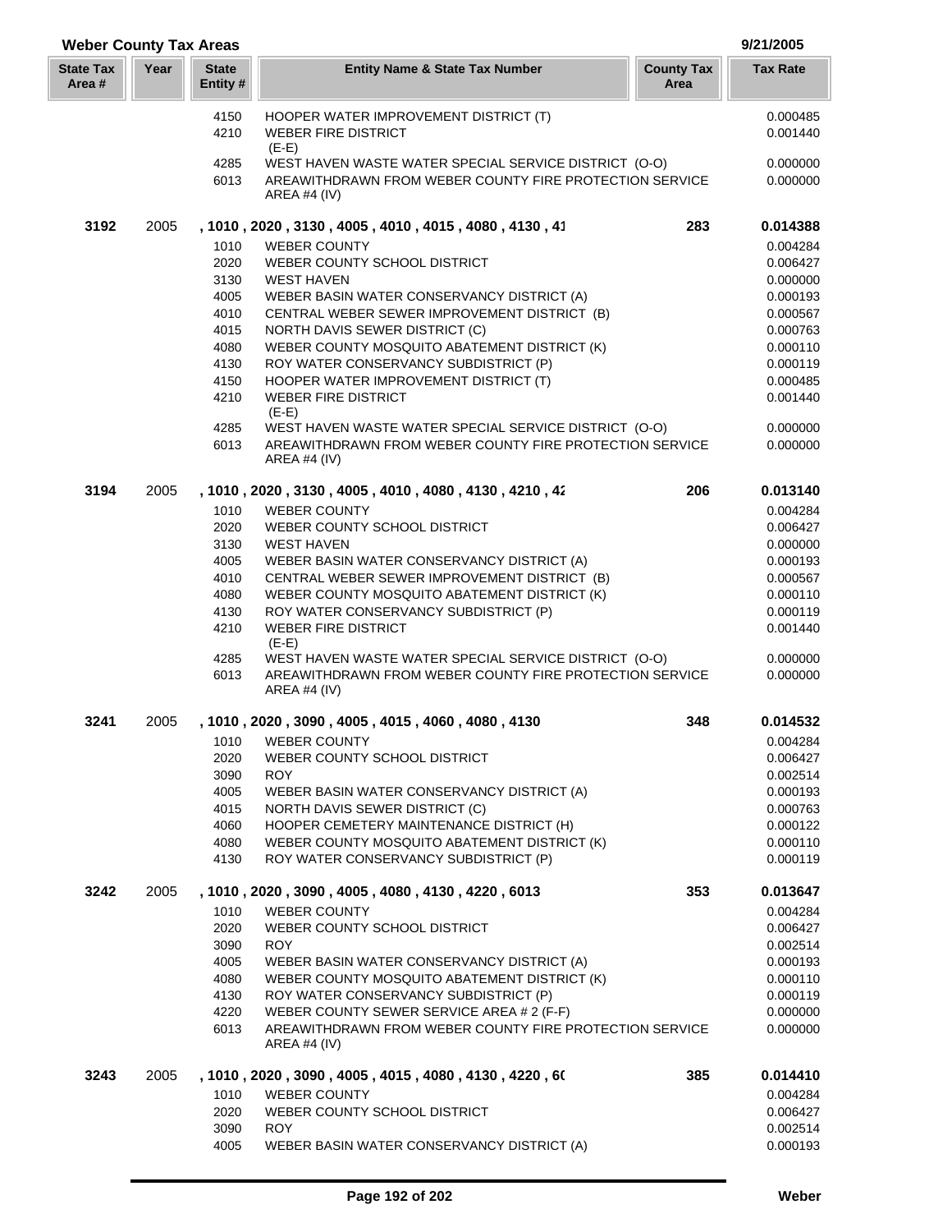| <b>Weber County Tax Areas</b> |      |                          |                                                                                          |                           | 9/21/2005            |
|-------------------------------|------|--------------------------|------------------------------------------------------------------------------------------|---------------------------|----------------------|
| <b>State Tax</b><br>Area #    | Year | <b>State</b><br>Entity # | <b>Entity Name &amp; State Tax Number</b>                                                | <b>County Tax</b><br>Area | <b>Tax Rate</b>      |
|                               |      | 4150                     | HOOPER WATER IMPROVEMENT DISTRICT (T)                                                    |                           | 0.000485             |
|                               |      | 4210                     | <b>WEBER FIRE DISTRICT</b><br>$(E-E)$                                                    |                           | 0.001440             |
|                               |      | 4285                     | WEST HAVEN WASTE WATER SPECIAL SERVICE DISTRICT (O-O)                                    |                           | 0.000000             |
|                               |      | 6013                     | AREAWITHDRAWN FROM WEBER COUNTY FIRE PROTECTION SERVICE<br>AREA #4 $(IV)$                |                           | 0.000000             |
| 3192                          | 2005 |                          | , 1010, 2020, 3130, 4005, 4010, 4015, 4080, 4130, 41                                     | 283                       | 0.014388             |
|                               |      | 1010                     | <b>WEBER COUNTY</b>                                                                      |                           | 0.004284             |
|                               |      | 2020<br>3130             | WEBER COUNTY SCHOOL DISTRICT<br><b>WEST HAVEN</b>                                        |                           | 0.006427<br>0.000000 |
|                               |      | 4005                     | WEBER BASIN WATER CONSERVANCY DISTRICT (A)                                               |                           | 0.000193             |
|                               |      | 4010                     | CENTRAL WEBER SEWER IMPROVEMENT DISTRICT (B)                                             |                           | 0.000567             |
|                               |      | 4015                     | NORTH DAVIS SEWER DISTRICT (C)                                                           |                           | 0.000763             |
|                               |      | 4080                     | WEBER COUNTY MOSQUITO ABATEMENT DISTRICT (K)                                             |                           | 0.000110             |
|                               |      | 4130                     | ROY WATER CONSERVANCY SUBDISTRICT (P)                                                    |                           | 0.000119             |
|                               |      | 4150                     | HOOPER WATER IMPROVEMENT DISTRICT (T)                                                    |                           | 0.000485             |
|                               |      | 4210                     | <b>WEBER FIRE DISTRICT</b>                                                               |                           | 0.001440             |
|                               |      | 4285                     | $(E-E)$<br>WEST HAVEN WASTE WATER SPECIAL SERVICE DISTRICT (O-O)                         |                           | 0.000000             |
|                               |      | 6013                     | AREAWITHDRAWN FROM WEBER COUNTY FIRE PROTECTION SERVICE                                  |                           | 0.000000             |
|                               |      |                          | <b>AREA #4 (IV)</b>                                                                      |                           |                      |
| 3194                          | 2005 |                          | , 1010 , 2020 , 3130 , 4005 , 4010 , 4080 , 4130 , 4210 , 42                             | 206                       | 0.013140             |
|                               |      | 1010                     | <b>WEBER COUNTY</b>                                                                      |                           | 0.004284             |
|                               |      | 2020                     | WEBER COUNTY SCHOOL DISTRICT                                                             |                           | 0.006427             |
|                               |      | 3130                     | <b>WEST HAVEN</b>                                                                        |                           | 0.000000             |
|                               |      | 4005                     | WEBER BASIN WATER CONSERVANCY DISTRICT (A)                                               |                           | 0.000193             |
|                               |      | 4010                     | CENTRAL WEBER SEWER IMPROVEMENT DISTRICT (B)                                             |                           | 0.000567             |
|                               |      | 4080<br>4130             | WEBER COUNTY MOSQUITO ABATEMENT DISTRICT (K)<br>ROY WATER CONSERVANCY SUBDISTRICT (P)    |                           | 0.000110<br>0.000119 |
|                               |      | 4210                     | <b>WEBER FIRE DISTRICT</b>                                                               |                           | 0.001440             |
|                               |      |                          | $(E-E)$                                                                                  |                           |                      |
|                               |      | 4285                     | WEST HAVEN WASTE WATER SPECIAL SERVICE DISTRICT (O-O)                                    |                           | 0.000000             |
|                               |      | 6013                     | AREAWITHDRAWN FROM WEBER COUNTY FIRE PROTECTION SERVICE<br>AREA #4 $(IV)$                |                           | 0.000000             |
| 3241                          | 2005 |                          | , 1010, 2020, 3090, 4005, 4015, 4060, 4080, 4130                                         | 348                       | 0.014532             |
|                               |      | 1010                     | <b>WEBER COUNTY</b>                                                                      |                           | 0.004284             |
|                               |      | 2020                     | WEBER COUNTY SCHOOL DISTRICT                                                             |                           | 0.006427             |
|                               |      | 3090                     | <b>ROY</b>                                                                               |                           | 0.002514             |
|                               |      | 4005                     | WEBER BASIN WATER CONSERVANCY DISTRICT (A)                                               |                           | 0.000193             |
|                               |      | 4015                     | NORTH DAVIS SEWER DISTRICT (C)                                                           |                           | 0.000763             |
|                               |      | 4060<br>4080             | HOOPER CEMETERY MAINTENANCE DISTRICT (H)<br>WEBER COUNTY MOSQUITO ABATEMENT DISTRICT (K) |                           | 0.000122<br>0.000110 |
|                               |      | 4130                     | ROY WATER CONSERVANCY SUBDISTRICT (P)                                                    |                           | 0.000119             |
| 3242                          | 2005 |                          | , 1010, 2020, 3090, 4005, 4080, 4130, 4220, 6013                                         | 353                       | 0.013647             |
|                               |      | 1010                     | <b>WEBER COUNTY</b>                                                                      |                           | 0.004284             |
|                               |      | 2020                     | WEBER COUNTY SCHOOL DISTRICT                                                             |                           | 0.006427             |
|                               |      | 3090                     | <b>ROY</b>                                                                               |                           | 0.002514             |
|                               |      | 4005                     | WEBER BASIN WATER CONSERVANCY DISTRICT (A)                                               |                           | 0.000193             |
|                               |      | 4080<br>4130             | WEBER COUNTY MOSQUITO ABATEMENT DISTRICT (K)<br>ROY WATER CONSERVANCY SUBDISTRICT (P)    |                           | 0.000110<br>0.000119 |
|                               |      | 4220                     | WEBER COUNTY SEWER SERVICE AREA # 2 (F-F)                                                |                           | 0.000000             |
|                               |      | 6013                     | AREAWITHDRAWN FROM WEBER COUNTY FIRE PROTECTION SERVICE                                  |                           | 0.000000             |
|                               |      |                          | AREA #4 (IV)                                                                             |                           |                      |
| 3243                          | 2005 |                          | , 1010 , 2020 , 3090 , 4005 , 4015 , 4080 , 4130 , 4220 , 60                             | 385                       | 0.014410             |
|                               |      | 1010                     | <b>WEBER COUNTY</b>                                                                      |                           | 0.004284             |
|                               |      | 2020                     | WEBER COUNTY SCHOOL DISTRICT                                                             |                           | 0.006427             |
|                               |      | 3090                     | <b>ROY</b>                                                                               |                           | 0.002514             |
|                               |      | 4005                     | WEBER BASIN WATER CONSERVANCY DISTRICT (A)                                               |                           | 0.000193             |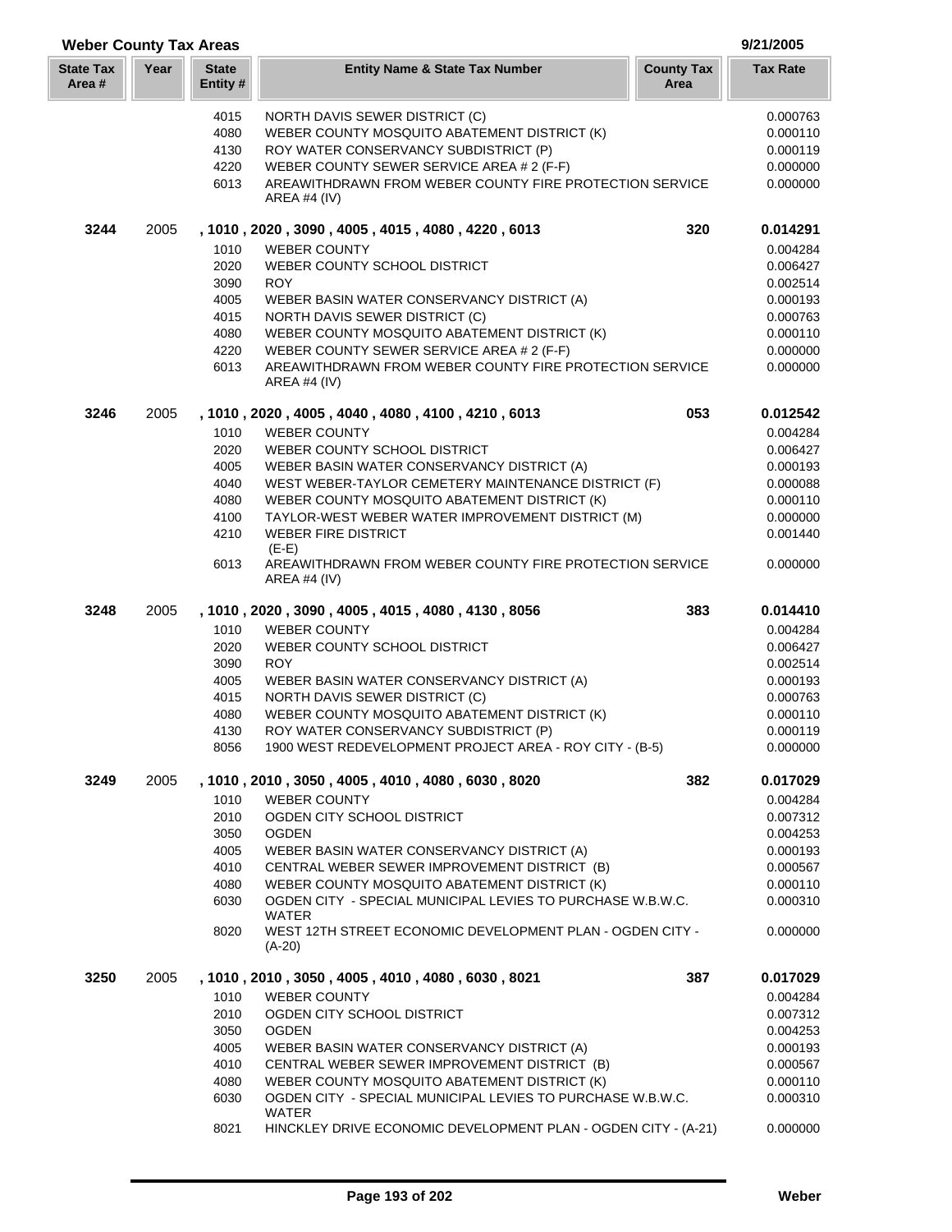| <b>Weber County Tax Areas</b> |      |                          |                                                                                                            |                           | 9/21/2005            |
|-------------------------------|------|--------------------------|------------------------------------------------------------------------------------------------------------|---------------------------|----------------------|
| <b>State Tax</b><br>Area #    | Year | <b>State</b><br>Entity # | <b>Entity Name &amp; State Tax Number</b>                                                                  | <b>County Tax</b><br>Area | <b>Tax Rate</b>      |
|                               |      | 4015                     | NORTH DAVIS SEWER DISTRICT (C)                                                                             |                           | 0.000763             |
|                               |      | 4080                     | WEBER COUNTY MOSQUITO ABATEMENT DISTRICT (K)                                                               |                           | 0.000110             |
|                               |      | 4130                     | ROY WATER CONSERVANCY SUBDISTRICT (P)                                                                      |                           | 0.000119             |
|                               |      | 4220                     | WEBER COUNTY SEWER SERVICE AREA # 2 (F-F)                                                                  |                           | 0.000000             |
|                               |      | 6013                     | AREAWITHDRAWN FROM WEBER COUNTY FIRE PROTECTION SERVICE<br>AREA #4 $(IV)$                                  |                           | 0.000000             |
| 3244                          | 2005 |                          | , 1010, 2020, 3090, 4005, 4015, 4080, 4220, 6013                                                           | 320                       | 0.014291             |
|                               |      | 1010                     | <b>WEBER COUNTY</b>                                                                                        |                           | 0.004284             |
|                               |      | 2020                     | WEBER COUNTY SCHOOL DISTRICT                                                                               |                           | 0.006427             |
|                               |      | 3090                     | <b>ROY</b>                                                                                                 |                           | 0.002514             |
|                               |      | 4005                     | WEBER BASIN WATER CONSERVANCY DISTRICT (A)                                                                 |                           | 0.000193             |
|                               |      | 4015                     | NORTH DAVIS SEWER DISTRICT (C)                                                                             |                           | 0.000763             |
|                               |      | 4080                     | WEBER COUNTY MOSQUITO ABATEMENT DISTRICT (K)                                                               |                           | 0.000110             |
|                               |      | 4220                     | WEBER COUNTY SEWER SERVICE AREA # 2 (F-F)                                                                  |                           | 0.000000             |
|                               |      |                          | AREAWITHDRAWN FROM WEBER COUNTY FIRE PROTECTION SERVICE                                                    |                           | 0.000000             |
|                               |      | 6013                     | <b>AREA #4 (IV)</b>                                                                                        |                           |                      |
| 3246                          | 2005 |                          | , 1010, 2020, 4005, 4040, 4080, 4100, 4210, 6013                                                           | 053                       | 0.012542             |
|                               |      | 1010                     | <b>WEBER COUNTY</b>                                                                                        |                           | 0.004284             |
|                               |      | 2020                     | WEBER COUNTY SCHOOL DISTRICT                                                                               |                           | 0.006427             |
|                               |      | 4005                     | WEBER BASIN WATER CONSERVANCY DISTRICT (A)                                                                 |                           | 0.000193             |
|                               |      | 4040                     | WEST WEBER-TAYLOR CEMETERY MAINTENANCE DISTRICT (F)                                                        |                           | 0.000088             |
|                               |      | 4080                     | WEBER COUNTY MOSQUITO ABATEMENT DISTRICT (K)                                                               |                           | 0.000110             |
|                               |      | 4100                     | TAYLOR-WEST WEBER WATER IMPROVEMENT DISTRICT (M)                                                           |                           | 0.000000             |
|                               |      | 4210                     | <b>WEBER FIRE DISTRICT</b><br>$(E-E)$                                                                      |                           | 0.001440             |
|                               |      | 6013                     | AREAWITHDRAWN FROM WEBER COUNTY FIRE PROTECTION SERVICE<br><b>AREA #4 (IV)</b>                             |                           | 0.000000             |
| 3248                          | 2005 |                          | , 1010, 2020, 3090, 4005, 4015, 4080, 4130, 8056                                                           | 383                       | 0.014410             |
|                               |      | 1010                     | <b>WEBER COUNTY</b>                                                                                        |                           | 0.004284             |
|                               |      | 2020                     | WEBER COUNTY SCHOOL DISTRICT                                                                               |                           | 0.006427             |
|                               |      | 3090                     | <b>ROY</b>                                                                                                 |                           | 0.002514             |
|                               |      | 4005                     | WEBER BASIN WATER CONSERVANCY DISTRICT (A)                                                                 |                           | 0.000193             |
|                               |      | 4015                     | NORTH DAVIS SEWER DISTRICT (C)                                                                             |                           | 0.000763             |
|                               |      | 4080                     | WEBER COUNTY MOSQUITO ABATEMENT DISTRICT (K)                                                               |                           | 0.000110             |
|                               |      | 4130                     | ROY WATER CONSERVANCY SUBDISTRICT (P)                                                                      |                           | 0.000119             |
|                               |      | 8056                     | 1900 WEST REDEVELOPMENT PROJECT AREA - ROY CITY - (B-5)                                                    |                           | 0.000000             |
| 3249                          | 2005 | 1010                     | , 1010, 2010, 3050, 4005, 4010, 4080, 6030, 8020                                                           | 382                       | 0.017029             |
|                               |      | 2010                     | <b>WEBER COUNTY</b><br>OGDEN CITY SCHOOL DISTRICT                                                          |                           | 0.004284<br>0.007312 |
|                               |      |                          | <b>OGDEN</b>                                                                                               |                           |                      |
|                               |      | 3050                     |                                                                                                            |                           | 0.004253             |
|                               |      | 4005                     | WEBER BASIN WATER CONSERVANCY DISTRICT (A)                                                                 |                           | 0.000193             |
|                               |      | 4010                     | CENTRAL WEBER SEWER IMPROVEMENT DISTRICT (B)                                                               |                           | 0.000567             |
|                               |      | 4080                     | WEBER COUNTY MOSQUITO ABATEMENT DISTRICT (K)<br>OGDEN CITY - SPECIAL MUNICIPAL LEVIES TO PURCHASE W.B.W.C. |                           | 0.000110             |
|                               |      | 6030                     | WATER                                                                                                      |                           | 0.000310             |
|                               |      | 8020                     | WEST 12TH STREET ECONOMIC DEVELOPMENT PLAN - OGDEN CITY -<br>$(A-20)$                                      |                           | 0.000000             |
| 3250                          | 2005 |                          | , 1010, 2010, 3050, 4005, 4010, 4080, 6030, 8021                                                           | 387                       | 0.017029             |
|                               |      | 1010                     | <b>WEBER COUNTY</b>                                                                                        |                           | 0.004284             |
|                               |      | 2010                     | OGDEN CITY SCHOOL DISTRICT                                                                                 |                           | 0.007312             |
|                               |      | 3050                     | <b>OGDEN</b>                                                                                               |                           | 0.004253             |
|                               |      | 4005                     | WEBER BASIN WATER CONSERVANCY DISTRICT (A)                                                                 |                           | 0.000193             |
|                               |      | 4010                     | CENTRAL WEBER SEWER IMPROVEMENT DISTRICT (B)                                                               |                           | 0.000567             |
|                               |      | 4080                     | WEBER COUNTY MOSQUITO ABATEMENT DISTRICT (K)                                                               |                           | 0.000110             |
|                               |      | 6030                     | OGDEN CITY - SPECIAL MUNICIPAL LEVIES TO PURCHASE W.B.W.C.                                                 |                           | 0.000310             |
|                               |      | 8021                     | <b>WATER</b><br>HINCKLEY DRIVE ECONOMIC DEVELOPMENT PLAN - OGDEN CITY - (A-21)                             |                           | 0.000000             |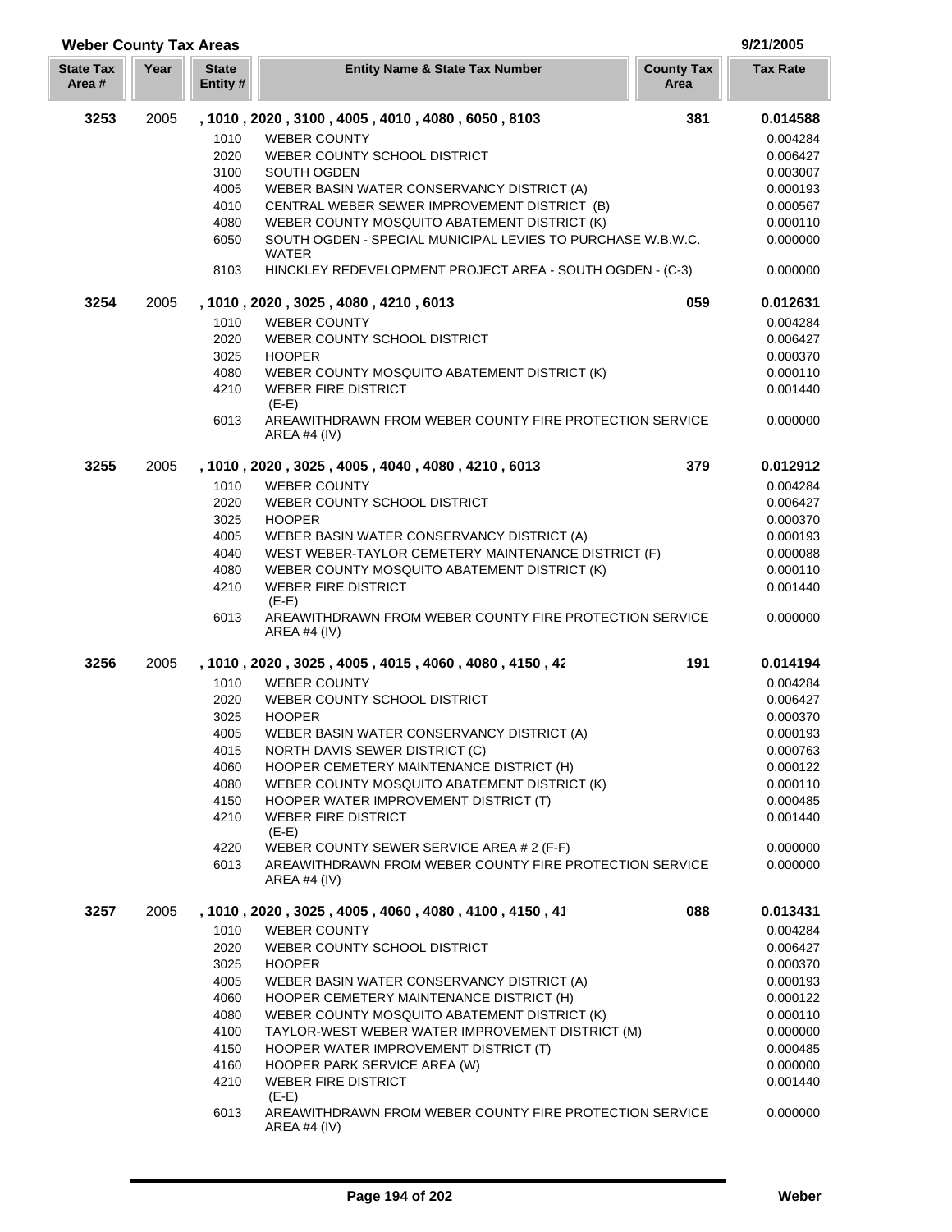| <b>Weber County Tax Areas</b> |      |                          |                                                                                    |                           | 9/21/2005       |
|-------------------------------|------|--------------------------|------------------------------------------------------------------------------------|---------------------------|-----------------|
| <b>State Tax</b><br>Area#     | Year | <b>State</b><br>Entity # | <b>Entity Name &amp; State Tax Number</b>                                          | <b>County Tax</b><br>Area | <b>Tax Rate</b> |
| 3253                          | 2005 |                          | , 1010, 2020, 3100, 4005, 4010, 4080, 6050, 8103                                   | 381                       | 0.014588        |
|                               |      | 1010                     | <b>WEBER COUNTY</b>                                                                |                           | 0.004284        |
|                               |      | 2020                     | WEBER COUNTY SCHOOL DISTRICT                                                       |                           | 0.006427        |
|                               |      | 3100                     | SOUTH OGDEN                                                                        |                           | 0.003007        |
|                               |      | 4005                     | WEBER BASIN WATER CONSERVANCY DISTRICT (A)                                         |                           | 0.000193        |
|                               |      | 4010                     | CENTRAL WEBER SEWER IMPROVEMENT DISTRICT (B)                                       |                           | 0.000567        |
|                               |      | 4080                     | WEBER COUNTY MOSQUITO ABATEMENT DISTRICT (K)                                       |                           | 0.000110        |
|                               |      | 6050                     | SOUTH OGDEN - SPECIAL MUNICIPAL LEVIES TO PURCHASE W.B.W.C.<br><b>WATER</b>        |                           | 0.000000        |
|                               |      | 8103                     | HINCKLEY REDEVELOPMENT PROJECT AREA - SOUTH OGDEN - (C-3)                          |                           | 0.000000        |
| 3254                          | 2005 |                          | , 1010 , 2020 , 3025 , 4080 , 4210 , 6013                                          | 059                       | 0.012631        |
|                               |      | 1010                     | <b>WEBER COUNTY</b>                                                                |                           | 0.004284        |
|                               |      | 2020                     | WEBER COUNTY SCHOOL DISTRICT                                                       |                           | 0.006427        |
|                               |      | 3025                     | <b>HOOPER</b>                                                                      |                           | 0.000370        |
|                               |      | 4080                     | WEBER COUNTY MOSQUITO ABATEMENT DISTRICT (K)                                       |                           | 0.000110        |
|                               |      | 4210                     | <b>WEBER FIRE DISTRICT</b>                                                         |                           | 0.001440        |
|                               |      |                          | $(E-E)$                                                                            |                           |                 |
|                               |      | 6013                     | AREAWITHDRAWN FROM WEBER COUNTY FIRE PROTECTION SERVICE<br>AREA #4 $(IV)$          |                           | 0.000000        |
| 3255                          | 2005 |                          | , 1010, 2020, 3025, 4005, 4040, 4080, 4210, 6013                                   | 379                       | 0.012912        |
|                               |      | 1010                     | <b>WEBER COUNTY</b>                                                                |                           | 0.004284        |
|                               |      | 2020                     | WEBER COUNTY SCHOOL DISTRICT                                                       |                           | 0.006427        |
|                               |      | 3025                     | <b>HOOPER</b>                                                                      |                           | 0.000370        |
|                               |      | 4005                     | WEBER BASIN WATER CONSERVANCY DISTRICT (A)                                         |                           | 0.000193        |
|                               |      | 4040                     | WEST WEBER-TAYLOR CEMETERY MAINTENANCE DISTRICT (F)                                |                           | 0.000088        |
|                               |      | 4080                     | WEBER COUNTY MOSQUITO ABATEMENT DISTRICT (K)                                       |                           | 0.000110        |
|                               |      | 4210                     | <b>WEBER FIRE DISTRICT</b>                                                         |                           | 0.001440        |
|                               |      | 6013                     | $(E-E)$<br>AREAWITHDRAWN FROM WEBER COUNTY FIRE PROTECTION SERVICE<br>AREA #4 (IV) |                           | 0.000000        |
| 3256                          | 2005 |                          | , 1010, 2020, 3025, 4005, 4015, 4060, 4080, 4150, 42                               | 191                       | 0.014194        |
|                               |      | 1010                     | <b>WEBER COUNTY</b>                                                                |                           | 0.004284        |
|                               |      | 2020                     | WEBER COUNTY SCHOOL DISTRICT                                                       |                           | 0.006427        |
|                               |      | 3025                     | <b>HOOPER</b>                                                                      |                           | 0.000370        |
|                               |      | 4005                     | WEBER BASIN WATER CONSERVANCY DISTRICT (A)                                         |                           | 0.000193        |
|                               |      | 4015                     | NORTH DAVIS SEWER DISTRICT (C)                                                     |                           | 0.000763        |
|                               |      | 4060                     | HOOPER CEMETERY MAINTENANCE DISTRICT (H)                                           |                           | 0.000122        |
|                               |      | 4080                     | WEBER COUNTY MOSQUITO ABATEMENT DISTRICT (K)                                       |                           | 0.000110        |
|                               |      | 4150                     | HOOPER WATER IMPROVEMENT DISTRICT (T)                                              |                           | 0.000485        |
|                               |      | 4210                     | <b>WEBER FIRE DISTRICT</b>                                                         |                           | 0.001440        |
|                               |      |                          | $(E-E)$                                                                            |                           |                 |
|                               |      | 4220                     | WEBER COUNTY SEWER SERVICE AREA # 2 (F-F)                                          |                           | 0.000000        |
|                               |      | 6013                     | AREAWITHDRAWN FROM WEBER COUNTY FIRE PROTECTION SERVICE<br>AREA #4 (IV)            |                           | 0.000000        |
| 3257                          | 2005 |                          | , 1010, 2020, 3025, 4005, 4060, 4080, 4100, 4150, 41                               | 088                       | 0.013431        |
|                               |      | 1010                     | <b>WEBER COUNTY</b>                                                                |                           | 0.004284        |
|                               |      | 2020                     | WEBER COUNTY SCHOOL DISTRICT                                                       |                           | 0.006427        |
|                               |      | 3025                     | <b>HOOPER</b>                                                                      |                           | 0.000370        |
|                               |      | 4005                     | WEBER BASIN WATER CONSERVANCY DISTRICT (A)                                         |                           | 0.000193        |
|                               |      | 4060                     | HOOPER CEMETERY MAINTENANCE DISTRICT (H)                                           |                           | 0.000122        |
|                               |      | 4080                     | WEBER COUNTY MOSQUITO ABATEMENT DISTRICT (K)                                       |                           | 0.000110        |
|                               |      | 4100                     | TAYLOR-WEST WEBER WATER IMPROVEMENT DISTRICT (M)                                   |                           | 0.000000        |
|                               |      | 4150                     | HOOPER WATER IMPROVEMENT DISTRICT (T)                                              |                           | 0.000485        |
|                               |      | 4160                     | HOOPER PARK SERVICE AREA (W)                                                       |                           | 0.000000        |
|                               |      | 4210                     | <b>WEBER FIRE DISTRICT</b>                                                         |                           | 0.001440        |
|                               |      |                          | $(E-E)$                                                                            |                           |                 |
|                               |      | 6013                     | AREAWITHDRAWN FROM WEBER COUNTY FIRE PROTECTION SERVICE<br>AREA #4 (IV)            |                           | 0.000000        |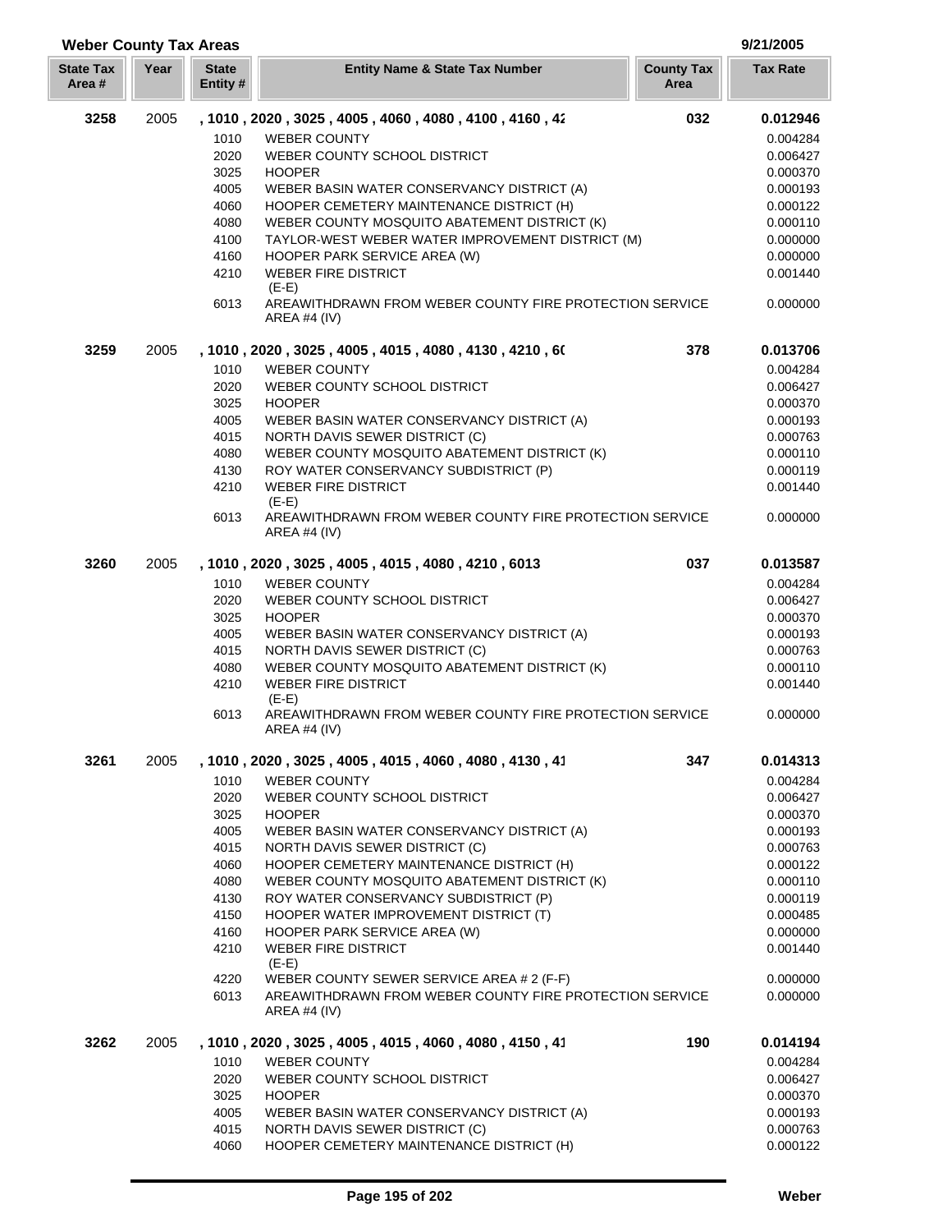| <b>Weber County Tax Areas</b> |      |                          |                                                                                |                           | 9/21/2005       |
|-------------------------------|------|--------------------------|--------------------------------------------------------------------------------|---------------------------|-----------------|
| <b>State Tax</b><br>Area #    | Year | <b>State</b><br>Entity # | <b>Entity Name &amp; State Tax Number</b>                                      | <b>County Tax</b><br>Area | <b>Tax Rate</b> |
| 3258                          | 2005 |                          | , 1010, 2020, 3025, 4005, 4060, 4080, 4100, 4160, 42                           | 032                       | 0.012946        |
|                               |      | 1010                     | <b>WEBER COUNTY</b>                                                            |                           | 0.004284        |
|                               |      | 2020                     | WEBER COUNTY SCHOOL DISTRICT                                                   |                           | 0.006427        |
|                               |      | 3025                     | <b>HOOPER</b>                                                                  |                           | 0.000370        |
|                               |      | 4005                     | WEBER BASIN WATER CONSERVANCY DISTRICT (A)                                     |                           | 0.000193        |
|                               |      | 4060                     | HOOPER CEMETERY MAINTENANCE DISTRICT (H)                                       |                           | 0.000122        |
|                               |      | 4080                     | WEBER COUNTY MOSQUITO ABATEMENT DISTRICT (K)                                   |                           | 0.000110        |
|                               |      | 4100                     | TAYLOR-WEST WEBER WATER IMPROVEMENT DISTRICT (M)                               |                           | 0.000000        |
|                               |      | 4160                     | HOOPER PARK SERVICE AREA (W)                                                   |                           | 0.000000        |
|                               |      | 4210                     | <b>WEBER FIRE DISTRICT</b>                                                     |                           | 0.001440        |
|                               |      |                          | $(E-E)$                                                                        |                           |                 |
|                               |      | 6013                     | AREAWITHDRAWN FROM WEBER COUNTY FIRE PROTECTION SERVICE<br><b>AREA #4 (IV)</b> |                           | 0.000000        |
| 3259                          | 2005 |                          | , 1010 , 2020 , 3025 , 4005 , 4015 , 4080 , 4130 , 4210 , 60                   | 378                       | 0.013706        |
|                               |      | 1010                     | <b>WEBER COUNTY</b>                                                            |                           | 0.004284        |
|                               |      | 2020                     | WEBER COUNTY SCHOOL DISTRICT                                                   |                           | 0.006427        |
|                               |      | 3025                     |                                                                                |                           |                 |
|                               |      |                          | <b>HOOPER</b>                                                                  |                           | 0.000370        |
|                               |      | 4005                     | WEBER BASIN WATER CONSERVANCY DISTRICT (A)                                     |                           | 0.000193        |
|                               |      | 4015                     | NORTH DAVIS SEWER DISTRICT (C)                                                 |                           | 0.000763        |
|                               |      | 4080                     | WEBER COUNTY MOSQUITO ABATEMENT DISTRICT (K)                                   |                           | 0.000110        |
|                               |      | 4130                     | ROY WATER CONSERVANCY SUBDISTRICT (P)                                          |                           | 0.000119        |
|                               |      | 4210                     | <b>WEBER FIRE DISTRICT</b><br>$(E-E)$                                          |                           | 0.001440        |
|                               |      | 6013                     | AREAWITHDRAWN FROM WEBER COUNTY FIRE PROTECTION SERVICE<br>AREA #4 (IV)        |                           | 0.000000        |
| 3260                          | 2005 |                          | , 1010, 2020, 3025, 4005, 4015, 4080, 4210, 6013                               | 037                       | 0.013587        |
|                               |      | 1010                     | <b>WEBER COUNTY</b>                                                            |                           | 0.004284        |
|                               |      | 2020                     | WEBER COUNTY SCHOOL DISTRICT                                                   |                           | 0.006427        |
|                               |      | 3025                     | <b>HOOPER</b>                                                                  |                           | 0.000370        |
|                               |      | 4005                     | WEBER BASIN WATER CONSERVANCY DISTRICT (A)                                     |                           | 0.000193        |
|                               |      | 4015                     | NORTH DAVIS SEWER DISTRICT (C)                                                 |                           | 0.000763        |
|                               |      | 4080                     | WEBER COUNTY MOSQUITO ABATEMENT DISTRICT (K)                                   |                           | 0.000110        |
|                               |      | 4210                     | <b>WEBER FIRE DISTRICT</b>                                                     |                           | 0.001440        |
|                               |      |                          | $(E-E)$                                                                        |                           |                 |
|                               |      | 6013                     | AREAWITHDRAWN FROM WEBER COUNTY FIRE PROTECTION SERVICE<br>AREA #4 $(IV)$      |                           | 0.000000        |
| 3261                          | 2005 |                          | , 1010, 2020, 3025, 4005, 4015, 4060, 4080, 4130, 41                           | 347                       | 0.014313        |
|                               |      | 1010                     | <b>WEBER COUNTY</b>                                                            |                           | 0.004284        |
|                               |      | 2020                     | WEBER COUNTY SCHOOL DISTRICT                                                   |                           | 0.006427        |
|                               |      | 3025                     | <b>HOOPER</b>                                                                  |                           | 0.000370        |
|                               |      | 4005                     | WEBER BASIN WATER CONSERVANCY DISTRICT (A)                                     |                           | 0.000193        |
|                               |      | 4015                     | NORTH DAVIS SEWER DISTRICT (C)                                                 |                           | 0.000763        |
|                               |      | 4060                     | HOOPER CEMETERY MAINTENANCE DISTRICT (H)                                       |                           | 0.000122        |
|                               |      | 4080                     | WEBER COUNTY MOSQUITO ABATEMENT DISTRICT (K)                                   |                           | 0.000110        |
|                               |      | 4130                     | ROY WATER CONSERVANCY SUBDISTRICT (P)                                          |                           | 0.000119        |
|                               |      |                          | HOOPER WATER IMPROVEMENT DISTRICT (T)                                          |                           |                 |
|                               |      | 4150                     |                                                                                |                           | 0.000485        |
|                               |      | 4160                     | HOOPER PARK SERVICE AREA (W)                                                   |                           | 0.000000        |
|                               |      | 4210                     | <b>WEBER FIRE DISTRICT</b><br>$(E-E)$                                          |                           | 0.001440        |
|                               |      | 4220                     | WEBER COUNTY SEWER SERVICE AREA # 2 (F-F)                                      |                           | 0.000000        |
|                               |      | 6013                     | AREAWITHDRAWN FROM WEBER COUNTY FIRE PROTECTION SERVICE<br>AREA #4 $(IV)$      |                           | 0.000000        |
| 3262                          | 2005 |                          | , 1010, 2020, 3025, 4005, 4015, 4060, 4080, 4150, 41                           | 190                       | 0.014194        |
|                               |      | 1010                     | <b>WEBER COUNTY</b>                                                            |                           | 0.004284        |
|                               |      | 2020                     | WEBER COUNTY SCHOOL DISTRICT                                                   |                           | 0.006427        |
|                               |      | 3025                     | <b>HOOPER</b>                                                                  |                           | 0.000370        |
|                               |      | 4005                     | WEBER BASIN WATER CONSERVANCY DISTRICT (A)                                     |                           | 0.000193        |
|                               |      | 4015                     | NORTH DAVIS SEWER DISTRICT (C)                                                 |                           | 0.000763        |
|                               |      | 4060                     | HOOPER CEMETERY MAINTENANCE DISTRICT (H)                                       |                           | 0.000122        |
|                               |      |                          |                                                                                |                           |                 |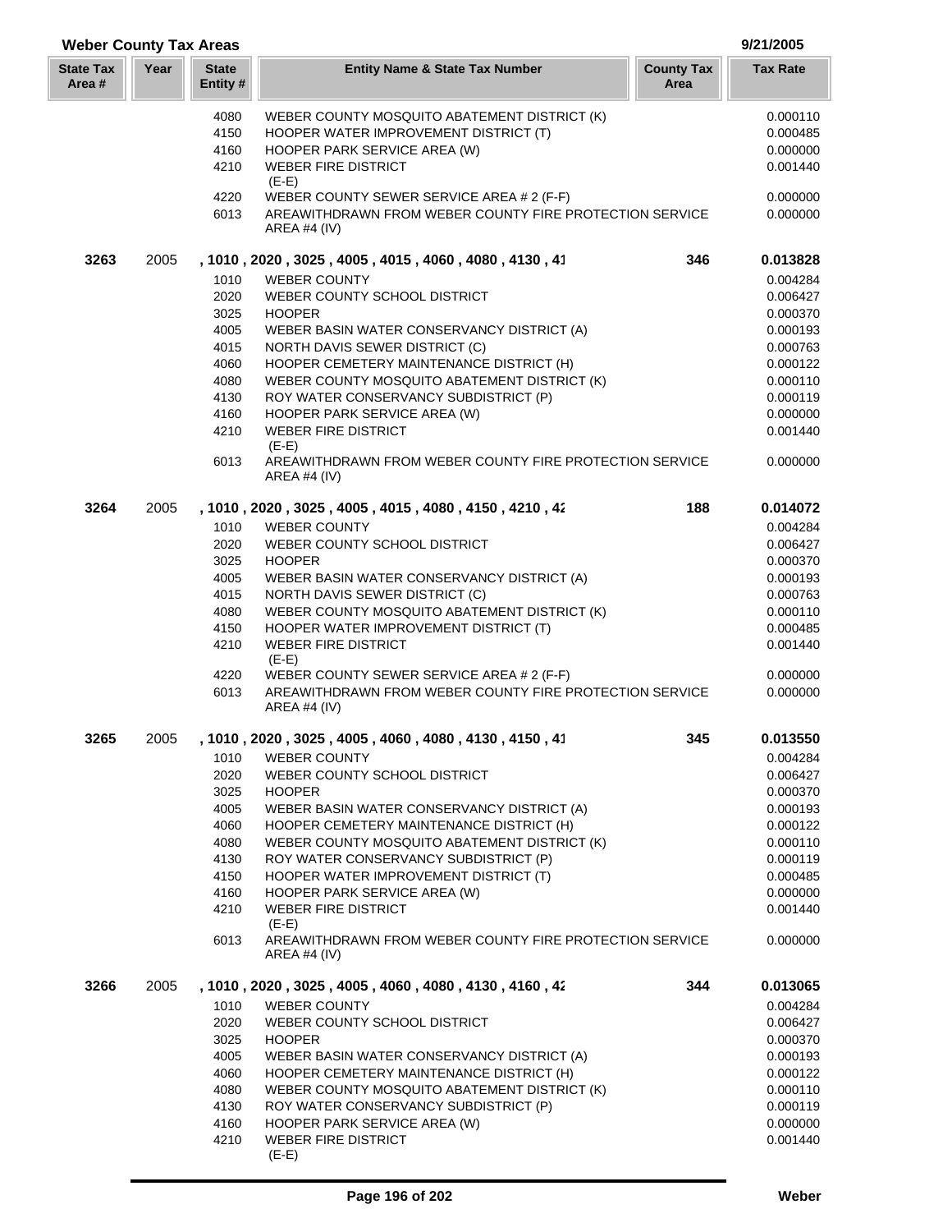| Year<br><b>State</b><br><b>County Tax</b><br><b>Tax Rate</b><br><b>Entity Name &amp; State Tax Number</b><br>Area #<br>Entity #<br>Area<br>WEBER COUNTY MOSQUITO ABATEMENT DISTRICT (K)<br>0.000110<br>4080<br>4150<br>HOOPER WATER IMPROVEMENT DISTRICT (T)<br>0.000485<br>4160<br>HOOPER PARK SERVICE AREA (W)<br>0.000000<br><b>WEBER FIRE DISTRICT</b><br>4210<br>0.001440<br>$(E-E)$<br>4220<br>WEBER COUNTY SEWER SERVICE AREA # 2 (F-F)<br>0.000000<br>AREAWITHDRAWN FROM WEBER COUNTY FIRE PROTECTION SERVICE<br>6013<br>0.000000<br>AREA #4 (IV)<br>3263<br>2005<br>, 1010, 2020, 3025, 4005, 4015, 4060, 4080, 4130, 41<br>346<br>0.013828<br>1010<br><b>WEBER COUNTY</b><br>0.004284<br>2020<br>WEBER COUNTY SCHOOL DISTRICT<br>0.006427<br>3025<br><b>HOOPER</b><br>0.000370<br>4005<br>WEBER BASIN WATER CONSERVANCY DISTRICT (A)<br>0.000193<br>4015<br>NORTH DAVIS SEWER DISTRICT (C)<br>0.000763<br>4060<br>HOOPER CEMETERY MAINTENANCE DISTRICT (H)<br>0.000122<br>4080<br>WEBER COUNTY MOSQUITO ABATEMENT DISTRICT (K)<br>0.000110<br>4130<br>0.000119<br>ROY WATER CONSERVANCY SUBDISTRICT (P)<br>HOOPER PARK SERVICE AREA (W)<br>0.000000<br>4160<br>4210<br><b>WEBER FIRE DISTRICT</b><br>0.001440<br>$(E-E)$<br>AREAWITHDRAWN FROM WEBER COUNTY FIRE PROTECTION SERVICE<br>6013<br>0.000000<br>AREA #4 (IV)<br>188<br>3264<br>2005<br>, 1010, 2020, 3025, 4005, 4015, 4080, 4150, 4210, 42<br>0.014072<br>1010<br><b>WEBER COUNTY</b><br>0.004284<br>2020<br>WEBER COUNTY SCHOOL DISTRICT<br>0.006427<br>3025<br>0.000370<br><b>HOOPER</b><br>4005<br>WEBER BASIN WATER CONSERVANCY DISTRICT (A)<br>0.000193<br>4015<br>NORTH DAVIS SEWER DISTRICT (C)<br>0.000763<br>4080<br>WEBER COUNTY MOSQUITO ABATEMENT DISTRICT (K)<br>0.000110<br>4150<br>HOOPER WATER IMPROVEMENT DISTRICT (T)<br>0.000485<br><b>WEBER FIRE DISTRICT</b><br>0.001440<br>4210<br>$(E-E)$<br>4220<br>WEBER COUNTY SEWER SERVICE AREA # 2 (F-F)<br>0.000000<br>AREAWITHDRAWN FROM WEBER COUNTY FIRE PROTECTION SERVICE<br>0.000000<br>6013<br><b>AREA #4 (IV)</b><br>, 1010, 2020, 3025, 4005, 4060, 4080, 4130, 4150, 41<br>3265<br>2005<br>345<br>0.013550<br>1010<br><b>WEBER COUNTY</b><br>0.004284<br>2020<br>WEBER COUNTY SCHOOL DISTRICT<br>0.006427<br>3025<br>0.000370<br><b>HOOPER</b><br>4005<br>WEBER BASIN WATER CONSERVANCY DISTRICT (A)<br>0.000193<br>4060<br>HOOPER CEMETERY MAINTENANCE DISTRICT (H)<br>0.000122<br>4080<br>WEBER COUNTY MOSQUITO ABATEMENT DISTRICT (K)<br>0.000110<br>4130<br>ROY WATER CONSERVANCY SUBDISTRICT (P)<br>0.000119<br>4150<br>HOOPER WATER IMPROVEMENT DISTRICT (T)<br>0.000485<br>4160<br>HOOPER PARK SERVICE AREA (W)<br>0.000000<br>4210<br><b>WEBER FIRE DISTRICT</b><br>0.001440<br>$(E-E)$<br>6013<br>AREAWITHDRAWN FROM WEBER COUNTY FIRE PROTECTION SERVICE<br>0.000000<br>AREA #4 $(IV)$<br>3266<br>344<br>0.013065<br>2005<br>, 1010 , 2020 , 3025 , 4005 , 4060 , 4080 , 4130 , 4160 , 42<br>1010<br><b>WEBER COUNTY</b><br>0.004284<br>2020<br>WEBER COUNTY SCHOOL DISTRICT<br>0.006427<br>3025<br><b>HOOPER</b><br>0.000370<br>WEBER BASIN WATER CONSERVANCY DISTRICT (A)<br>4005<br>0.000193<br>4060<br>HOOPER CEMETERY MAINTENANCE DISTRICT (H)<br>0.000122<br>4080<br>WEBER COUNTY MOSQUITO ABATEMENT DISTRICT (K)<br>0.000110<br>4130<br>ROY WATER CONSERVANCY SUBDISTRICT (P)<br>0.000119<br>4160<br>HOOPER PARK SERVICE AREA (W)<br>0.000000<br>4210<br><b>WEBER FIRE DISTRICT</b><br>0.001440 | <b>Weber County Tax Areas</b> |  |         |  | 9/21/2005 |
|----------------------------------------------------------------------------------------------------------------------------------------------------------------------------------------------------------------------------------------------------------------------------------------------------------------------------------------------------------------------------------------------------------------------------------------------------------------------------------------------------------------------------------------------------------------------------------------------------------------------------------------------------------------------------------------------------------------------------------------------------------------------------------------------------------------------------------------------------------------------------------------------------------------------------------------------------------------------------------------------------------------------------------------------------------------------------------------------------------------------------------------------------------------------------------------------------------------------------------------------------------------------------------------------------------------------------------------------------------------------------------------------------------------------------------------------------------------------------------------------------------------------------------------------------------------------------------------------------------------------------------------------------------------------------------------------------------------------------------------------------------------------------------------------------------------------------------------------------------------------------------------------------------------------------------------------------------------------------------------------------------------------------------------------------------------------------------------------------------------------------------------------------------------------------------------------------------------------------------------------------------------------------------------------------------------------------------------------------------------------------------------------------------------------------------------------------------------------------------------------------------------------------------------------------------------------------------------------------------------------------------------------------------------------------------------------------------------------------------------------------------------------------------------------------------------------------------------------------------------------------------------------------------------------------------------------------------------------------------------------------------------------------------------------------------------------------------------------------------------------------------------------------------------------------------------------------------------------------------------------------------------------------------------------------------------------------------------------------------------------------------------------------------------------------------------------------------------|-------------------------------|--|---------|--|-----------|
|                                                                                                                                                                                                                                                                                                                                                                                                                                                                                                                                                                                                                                                                                                                                                                                                                                                                                                                                                                                                                                                                                                                                                                                                                                                                                                                                                                                                                                                                                                                                                                                                                                                                                                                                                                                                                                                                                                                                                                                                                                                                                                                                                                                                                                                                                                                                                                                                                                                                                                                                                                                                                                                                                                                                                                                                                                                                                                                                                                                                                                                                                                                                                                                                                                                                                                                                                                                                                                                                | <b>State Tax</b>              |  |         |  |           |
|                                                                                                                                                                                                                                                                                                                                                                                                                                                                                                                                                                                                                                                                                                                                                                                                                                                                                                                                                                                                                                                                                                                                                                                                                                                                                                                                                                                                                                                                                                                                                                                                                                                                                                                                                                                                                                                                                                                                                                                                                                                                                                                                                                                                                                                                                                                                                                                                                                                                                                                                                                                                                                                                                                                                                                                                                                                                                                                                                                                                                                                                                                                                                                                                                                                                                                                                                                                                                                                                |                               |  |         |  |           |
|                                                                                                                                                                                                                                                                                                                                                                                                                                                                                                                                                                                                                                                                                                                                                                                                                                                                                                                                                                                                                                                                                                                                                                                                                                                                                                                                                                                                                                                                                                                                                                                                                                                                                                                                                                                                                                                                                                                                                                                                                                                                                                                                                                                                                                                                                                                                                                                                                                                                                                                                                                                                                                                                                                                                                                                                                                                                                                                                                                                                                                                                                                                                                                                                                                                                                                                                                                                                                                                                |                               |  |         |  |           |
|                                                                                                                                                                                                                                                                                                                                                                                                                                                                                                                                                                                                                                                                                                                                                                                                                                                                                                                                                                                                                                                                                                                                                                                                                                                                                                                                                                                                                                                                                                                                                                                                                                                                                                                                                                                                                                                                                                                                                                                                                                                                                                                                                                                                                                                                                                                                                                                                                                                                                                                                                                                                                                                                                                                                                                                                                                                                                                                                                                                                                                                                                                                                                                                                                                                                                                                                                                                                                                                                |                               |  |         |  |           |
|                                                                                                                                                                                                                                                                                                                                                                                                                                                                                                                                                                                                                                                                                                                                                                                                                                                                                                                                                                                                                                                                                                                                                                                                                                                                                                                                                                                                                                                                                                                                                                                                                                                                                                                                                                                                                                                                                                                                                                                                                                                                                                                                                                                                                                                                                                                                                                                                                                                                                                                                                                                                                                                                                                                                                                                                                                                                                                                                                                                                                                                                                                                                                                                                                                                                                                                                                                                                                                                                |                               |  |         |  |           |
|                                                                                                                                                                                                                                                                                                                                                                                                                                                                                                                                                                                                                                                                                                                                                                                                                                                                                                                                                                                                                                                                                                                                                                                                                                                                                                                                                                                                                                                                                                                                                                                                                                                                                                                                                                                                                                                                                                                                                                                                                                                                                                                                                                                                                                                                                                                                                                                                                                                                                                                                                                                                                                                                                                                                                                                                                                                                                                                                                                                                                                                                                                                                                                                                                                                                                                                                                                                                                                                                |                               |  |         |  |           |
|                                                                                                                                                                                                                                                                                                                                                                                                                                                                                                                                                                                                                                                                                                                                                                                                                                                                                                                                                                                                                                                                                                                                                                                                                                                                                                                                                                                                                                                                                                                                                                                                                                                                                                                                                                                                                                                                                                                                                                                                                                                                                                                                                                                                                                                                                                                                                                                                                                                                                                                                                                                                                                                                                                                                                                                                                                                                                                                                                                                                                                                                                                                                                                                                                                                                                                                                                                                                                                                                |                               |  |         |  |           |
|                                                                                                                                                                                                                                                                                                                                                                                                                                                                                                                                                                                                                                                                                                                                                                                                                                                                                                                                                                                                                                                                                                                                                                                                                                                                                                                                                                                                                                                                                                                                                                                                                                                                                                                                                                                                                                                                                                                                                                                                                                                                                                                                                                                                                                                                                                                                                                                                                                                                                                                                                                                                                                                                                                                                                                                                                                                                                                                                                                                                                                                                                                                                                                                                                                                                                                                                                                                                                                                                |                               |  |         |  |           |
|                                                                                                                                                                                                                                                                                                                                                                                                                                                                                                                                                                                                                                                                                                                                                                                                                                                                                                                                                                                                                                                                                                                                                                                                                                                                                                                                                                                                                                                                                                                                                                                                                                                                                                                                                                                                                                                                                                                                                                                                                                                                                                                                                                                                                                                                                                                                                                                                                                                                                                                                                                                                                                                                                                                                                                                                                                                                                                                                                                                                                                                                                                                                                                                                                                                                                                                                                                                                                                                                |                               |  |         |  |           |
|                                                                                                                                                                                                                                                                                                                                                                                                                                                                                                                                                                                                                                                                                                                                                                                                                                                                                                                                                                                                                                                                                                                                                                                                                                                                                                                                                                                                                                                                                                                                                                                                                                                                                                                                                                                                                                                                                                                                                                                                                                                                                                                                                                                                                                                                                                                                                                                                                                                                                                                                                                                                                                                                                                                                                                                                                                                                                                                                                                                                                                                                                                                                                                                                                                                                                                                                                                                                                                                                |                               |  |         |  |           |
|                                                                                                                                                                                                                                                                                                                                                                                                                                                                                                                                                                                                                                                                                                                                                                                                                                                                                                                                                                                                                                                                                                                                                                                                                                                                                                                                                                                                                                                                                                                                                                                                                                                                                                                                                                                                                                                                                                                                                                                                                                                                                                                                                                                                                                                                                                                                                                                                                                                                                                                                                                                                                                                                                                                                                                                                                                                                                                                                                                                                                                                                                                                                                                                                                                                                                                                                                                                                                                                                |                               |  |         |  |           |
|                                                                                                                                                                                                                                                                                                                                                                                                                                                                                                                                                                                                                                                                                                                                                                                                                                                                                                                                                                                                                                                                                                                                                                                                                                                                                                                                                                                                                                                                                                                                                                                                                                                                                                                                                                                                                                                                                                                                                                                                                                                                                                                                                                                                                                                                                                                                                                                                                                                                                                                                                                                                                                                                                                                                                                                                                                                                                                                                                                                                                                                                                                                                                                                                                                                                                                                                                                                                                                                                |                               |  |         |  |           |
|                                                                                                                                                                                                                                                                                                                                                                                                                                                                                                                                                                                                                                                                                                                                                                                                                                                                                                                                                                                                                                                                                                                                                                                                                                                                                                                                                                                                                                                                                                                                                                                                                                                                                                                                                                                                                                                                                                                                                                                                                                                                                                                                                                                                                                                                                                                                                                                                                                                                                                                                                                                                                                                                                                                                                                                                                                                                                                                                                                                                                                                                                                                                                                                                                                                                                                                                                                                                                                                                |                               |  |         |  |           |
|                                                                                                                                                                                                                                                                                                                                                                                                                                                                                                                                                                                                                                                                                                                                                                                                                                                                                                                                                                                                                                                                                                                                                                                                                                                                                                                                                                                                                                                                                                                                                                                                                                                                                                                                                                                                                                                                                                                                                                                                                                                                                                                                                                                                                                                                                                                                                                                                                                                                                                                                                                                                                                                                                                                                                                                                                                                                                                                                                                                                                                                                                                                                                                                                                                                                                                                                                                                                                                                                |                               |  |         |  |           |
|                                                                                                                                                                                                                                                                                                                                                                                                                                                                                                                                                                                                                                                                                                                                                                                                                                                                                                                                                                                                                                                                                                                                                                                                                                                                                                                                                                                                                                                                                                                                                                                                                                                                                                                                                                                                                                                                                                                                                                                                                                                                                                                                                                                                                                                                                                                                                                                                                                                                                                                                                                                                                                                                                                                                                                                                                                                                                                                                                                                                                                                                                                                                                                                                                                                                                                                                                                                                                                                                |                               |  |         |  |           |
|                                                                                                                                                                                                                                                                                                                                                                                                                                                                                                                                                                                                                                                                                                                                                                                                                                                                                                                                                                                                                                                                                                                                                                                                                                                                                                                                                                                                                                                                                                                                                                                                                                                                                                                                                                                                                                                                                                                                                                                                                                                                                                                                                                                                                                                                                                                                                                                                                                                                                                                                                                                                                                                                                                                                                                                                                                                                                                                                                                                                                                                                                                                                                                                                                                                                                                                                                                                                                                                                |                               |  |         |  |           |
|                                                                                                                                                                                                                                                                                                                                                                                                                                                                                                                                                                                                                                                                                                                                                                                                                                                                                                                                                                                                                                                                                                                                                                                                                                                                                                                                                                                                                                                                                                                                                                                                                                                                                                                                                                                                                                                                                                                                                                                                                                                                                                                                                                                                                                                                                                                                                                                                                                                                                                                                                                                                                                                                                                                                                                                                                                                                                                                                                                                                                                                                                                                                                                                                                                                                                                                                                                                                                                                                |                               |  |         |  |           |
|                                                                                                                                                                                                                                                                                                                                                                                                                                                                                                                                                                                                                                                                                                                                                                                                                                                                                                                                                                                                                                                                                                                                                                                                                                                                                                                                                                                                                                                                                                                                                                                                                                                                                                                                                                                                                                                                                                                                                                                                                                                                                                                                                                                                                                                                                                                                                                                                                                                                                                                                                                                                                                                                                                                                                                                                                                                                                                                                                                                                                                                                                                                                                                                                                                                                                                                                                                                                                                                                |                               |  |         |  |           |
|                                                                                                                                                                                                                                                                                                                                                                                                                                                                                                                                                                                                                                                                                                                                                                                                                                                                                                                                                                                                                                                                                                                                                                                                                                                                                                                                                                                                                                                                                                                                                                                                                                                                                                                                                                                                                                                                                                                                                                                                                                                                                                                                                                                                                                                                                                                                                                                                                                                                                                                                                                                                                                                                                                                                                                                                                                                                                                                                                                                                                                                                                                                                                                                                                                                                                                                                                                                                                                                                |                               |  |         |  |           |
|                                                                                                                                                                                                                                                                                                                                                                                                                                                                                                                                                                                                                                                                                                                                                                                                                                                                                                                                                                                                                                                                                                                                                                                                                                                                                                                                                                                                                                                                                                                                                                                                                                                                                                                                                                                                                                                                                                                                                                                                                                                                                                                                                                                                                                                                                                                                                                                                                                                                                                                                                                                                                                                                                                                                                                                                                                                                                                                                                                                                                                                                                                                                                                                                                                                                                                                                                                                                                                                                |                               |  |         |  |           |
|                                                                                                                                                                                                                                                                                                                                                                                                                                                                                                                                                                                                                                                                                                                                                                                                                                                                                                                                                                                                                                                                                                                                                                                                                                                                                                                                                                                                                                                                                                                                                                                                                                                                                                                                                                                                                                                                                                                                                                                                                                                                                                                                                                                                                                                                                                                                                                                                                                                                                                                                                                                                                                                                                                                                                                                                                                                                                                                                                                                                                                                                                                                                                                                                                                                                                                                                                                                                                                                                |                               |  |         |  |           |
|                                                                                                                                                                                                                                                                                                                                                                                                                                                                                                                                                                                                                                                                                                                                                                                                                                                                                                                                                                                                                                                                                                                                                                                                                                                                                                                                                                                                                                                                                                                                                                                                                                                                                                                                                                                                                                                                                                                                                                                                                                                                                                                                                                                                                                                                                                                                                                                                                                                                                                                                                                                                                                                                                                                                                                                                                                                                                                                                                                                                                                                                                                                                                                                                                                                                                                                                                                                                                                                                |                               |  |         |  |           |
|                                                                                                                                                                                                                                                                                                                                                                                                                                                                                                                                                                                                                                                                                                                                                                                                                                                                                                                                                                                                                                                                                                                                                                                                                                                                                                                                                                                                                                                                                                                                                                                                                                                                                                                                                                                                                                                                                                                                                                                                                                                                                                                                                                                                                                                                                                                                                                                                                                                                                                                                                                                                                                                                                                                                                                                                                                                                                                                                                                                                                                                                                                                                                                                                                                                                                                                                                                                                                                                                |                               |  |         |  |           |
|                                                                                                                                                                                                                                                                                                                                                                                                                                                                                                                                                                                                                                                                                                                                                                                                                                                                                                                                                                                                                                                                                                                                                                                                                                                                                                                                                                                                                                                                                                                                                                                                                                                                                                                                                                                                                                                                                                                                                                                                                                                                                                                                                                                                                                                                                                                                                                                                                                                                                                                                                                                                                                                                                                                                                                                                                                                                                                                                                                                                                                                                                                                                                                                                                                                                                                                                                                                                                                                                |                               |  |         |  |           |
|                                                                                                                                                                                                                                                                                                                                                                                                                                                                                                                                                                                                                                                                                                                                                                                                                                                                                                                                                                                                                                                                                                                                                                                                                                                                                                                                                                                                                                                                                                                                                                                                                                                                                                                                                                                                                                                                                                                                                                                                                                                                                                                                                                                                                                                                                                                                                                                                                                                                                                                                                                                                                                                                                                                                                                                                                                                                                                                                                                                                                                                                                                                                                                                                                                                                                                                                                                                                                                                                |                               |  |         |  |           |
|                                                                                                                                                                                                                                                                                                                                                                                                                                                                                                                                                                                                                                                                                                                                                                                                                                                                                                                                                                                                                                                                                                                                                                                                                                                                                                                                                                                                                                                                                                                                                                                                                                                                                                                                                                                                                                                                                                                                                                                                                                                                                                                                                                                                                                                                                                                                                                                                                                                                                                                                                                                                                                                                                                                                                                                                                                                                                                                                                                                                                                                                                                                                                                                                                                                                                                                                                                                                                                                                |                               |  |         |  |           |
|                                                                                                                                                                                                                                                                                                                                                                                                                                                                                                                                                                                                                                                                                                                                                                                                                                                                                                                                                                                                                                                                                                                                                                                                                                                                                                                                                                                                                                                                                                                                                                                                                                                                                                                                                                                                                                                                                                                                                                                                                                                                                                                                                                                                                                                                                                                                                                                                                                                                                                                                                                                                                                                                                                                                                                                                                                                                                                                                                                                                                                                                                                                                                                                                                                                                                                                                                                                                                                                                |                               |  |         |  |           |
|                                                                                                                                                                                                                                                                                                                                                                                                                                                                                                                                                                                                                                                                                                                                                                                                                                                                                                                                                                                                                                                                                                                                                                                                                                                                                                                                                                                                                                                                                                                                                                                                                                                                                                                                                                                                                                                                                                                                                                                                                                                                                                                                                                                                                                                                                                                                                                                                                                                                                                                                                                                                                                                                                                                                                                                                                                                                                                                                                                                                                                                                                                                                                                                                                                                                                                                                                                                                                                                                |                               |  |         |  |           |
|                                                                                                                                                                                                                                                                                                                                                                                                                                                                                                                                                                                                                                                                                                                                                                                                                                                                                                                                                                                                                                                                                                                                                                                                                                                                                                                                                                                                                                                                                                                                                                                                                                                                                                                                                                                                                                                                                                                                                                                                                                                                                                                                                                                                                                                                                                                                                                                                                                                                                                                                                                                                                                                                                                                                                                                                                                                                                                                                                                                                                                                                                                                                                                                                                                                                                                                                                                                                                                                                |                               |  |         |  |           |
|                                                                                                                                                                                                                                                                                                                                                                                                                                                                                                                                                                                                                                                                                                                                                                                                                                                                                                                                                                                                                                                                                                                                                                                                                                                                                                                                                                                                                                                                                                                                                                                                                                                                                                                                                                                                                                                                                                                                                                                                                                                                                                                                                                                                                                                                                                                                                                                                                                                                                                                                                                                                                                                                                                                                                                                                                                                                                                                                                                                                                                                                                                                                                                                                                                                                                                                                                                                                                                                                |                               |  |         |  |           |
|                                                                                                                                                                                                                                                                                                                                                                                                                                                                                                                                                                                                                                                                                                                                                                                                                                                                                                                                                                                                                                                                                                                                                                                                                                                                                                                                                                                                                                                                                                                                                                                                                                                                                                                                                                                                                                                                                                                                                                                                                                                                                                                                                                                                                                                                                                                                                                                                                                                                                                                                                                                                                                                                                                                                                                                                                                                                                                                                                                                                                                                                                                                                                                                                                                                                                                                                                                                                                                                                |                               |  |         |  |           |
|                                                                                                                                                                                                                                                                                                                                                                                                                                                                                                                                                                                                                                                                                                                                                                                                                                                                                                                                                                                                                                                                                                                                                                                                                                                                                                                                                                                                                                                                                                                                                                                                                                                                                                                                                                                                                                                                                                                                                                                                                                                                                                                                                                                                                                                                                                                                                                                                                                                                                                                                                                                                                                                                                                                                                                                                                                                                                                                                                                                                                                                                                                                                                                                                                                                                                                                                                                                                                                                                |                               |  |         |  |           |
|                                                                                                                                                                                                                                                                                                                                                                                                                                                                                                                                                                                                                                                                                                                                                                                                                                                                                                                                                                                                                                                                                                                                                                                                                                                                                                                                                                                                                                                                                                                                                                                                                                                                                                                                                                                                                                                                                                                                                                                                                                                                                                                                                                                                                                                                                                                                                                                                                                                                                                                                                                                                                                                                                                                                                                                                                                                                                                                                                                                                                                                                                                                                                                                                                                                                                                                                                                                                                                                                |                               |  |         |  |           |
|                                                                                                                                                                                                                                                                                                                                                                                                                                                                                                                                                                                                                                                                                                                                                                                                                                                                                                                                                                                                                                                                                                                                                                                                                                                                                                                                                                                                                                                                                                                                                                                                                                                                                                                                                                                                                                                                                                                                                                                                                                                                                                                                                                                                                                                                                                                                                                                                                                                                                                                                                                                                                                                                                                                                                                                                                                                                                                                                                                                                                                                                                                                                                                                                                                                                                                                                                                                                                                                                |                               |  |         |  |           |
|                                                                                                                                                                                                                                                                                                                                                                                                                                                                                                                                                                                                                                                                                                                                                                                                                                                                                                                                                                                                                                                                                                                                                                                                                                                                                                                                                                                                                                                                                                                                                                                                                                                                                                                                                                                                                                                                                                                                                                                                                                                                                                                                                                                                                                                                                                                                                                                                                                                                                                                                                                                                                                                                                                                                                                                                                                                                                                                                                                                                                                                                                                                                                                                                                                                                                                                                                                                                                                                                |                               |  |         |  |           |
|                                                                                                                                                                                                                                                                                                                                                                                                                                                                                                                                                                                                                                                                                                                                                                                                                                                                                                                                                                                                                                                                                                                                                                                                                                                                                                                                                                                                                                                                                                                                                                                                                                                                                                                                                                                                                                                                                                                                                                                                                                                                                                                                                                                                                                                                                                                                                                                                                                                                                                                                                                                                                                                                                                                                                                                                                                                                                                                                                                                                                                                                                                                                                                                                                                                                                                                                                                                                                                                                |                               |  |         |  |           |
|                                                                                                                                                                                                                                                                                                                                                                                                                                                                                                                                                                                                                                                                                                                                                                                                                                                                                                                                                                                                                                                                                                                                                                                                                                                                                                                                                                                                                                                                                                                                                                                                                                                                                                                                                                                                                                                                                                                                                                                                                                                                                                                                                                                                                                                                                                                                                                                                                                                                                                                                                                                                                                                                                                                                                                                                                                                                                                                                                                                                                                                                                                                                                                                                                                                                                                                                                                                                                                                                |                               |  |         |  |           |
|                                                                                                                                                                                                                                                                                                                                                                                                                                                                                                                                                                                                                                                                                                                                                                                                                                                                                                                                                                                                                                                                                                                                                                                                                                                                                                                                                                                                                                                                                                                                                                                                                                                                                                                                                                                                                                                                                                                                                                                                                                                                                                                                                                                                                                                                                                                                                                                                                                                                                                                                                                                                                                                                                                                                                                                                                                                                                                                                                                                                                                                                                                                                                                                                                                                                                                                                                                                                                                                                |                               |  |         |  |           |
|                                                                                                                                                                                                                                                                                                                                                                                                                                                                                                                                                                                                                                                                                                                                                                                                                                                                                                                                                                                                                                                                                                                                                                                                                                                                                                                                                                                                                                                                                                                                                                                                                                                                                                                                                                                                                                                                                                                                                                                                                                                                                                                                                                                                                                                                                                                                                                                                                                                                                                                                                                                                                                                                                                                                                                                                                                                                                                                                                                                                                                                                                                                                                                                                                                                                                                                                                                                                                                                                |                               |  |         |  |           |
|                                                                                                                                                                                                                                                                                                                                                                                                                                                                                                                                                                                                                                                                                                                                                                                                                                                                                                                                                                                                                                                                                                                                                                                                                                                                                                                                                                                                                                                                                                                                                                                                                                                                                                                                                                                                                                                                                                                                                                                                                                                                                                                                                                                                                                                                                                                                                                                                                                                                                                                                                                                                                                                                                                                                                                                                                                                                                                                                                                                                                                                                                                                                                                                                                                                                                                                                                                                                                                                                |                               |  |         |  |           |
|                                                                                                                                                                                                                                                                                                                                                                                                                                                                                                                                                                                                                                                                                                                                                                                                                                                                                                                                                                                                                                                                                                                                                                                                                                                                                                                                                                                                                                                                                                                                                                                                                                                                                                                                                                                                                                                                                                                                                                                                                                                                                                                                                                                                                                                                                                                                                                                                                                                                                                                                                                                                                                                                                                                                                                                                                                                                                                                                                                                                                                                                                                                                                                                                                                                                                                                                                                                                                                                                |                               |  |         |  |           |
|                                                                                                                                                                                                                                                                                                                                                                                                                                                                                                                                                                                                                                                                                                                                                                                                                                                                                                                                                                                                                                                                                                                                                                                                                                                                                                                                                                                                                                                                                                                                                                                                                                                                                                                                                                                                                                                                                                                                                                                                                                                                                                                                                                                                                                                                                                                                                                                                                                                                                                                                                                                                                                                                                                                                                                                                                                                                                                                                                                                                                                                                                                                                                                                                                                                                                                                                                                                                                                                                |                               |  |         |  |           |
|                                                                                                                                                                                                                                                                                                                                                                                                                                                                                                                                                                                                                                                                                                                                                                                                                                                                                                                                                                                                                                                                                                                                                                                                                                                                                                                                                                                                                                                                                                                                                                                                                                                                                                                                                                                                                                                                                                                                                                                                                                                                                                                                                                                                                                                                                                                                                                                                                                                                                                                                                                                                                                                                                                                                                                                                                                                                                                                                                                                                                                                                                                                                                                                                                                                                                                                                                                                                                                                                |                               |  |         |  |           |
|                                                                                                                                                                                                                                                                                                                                                                                                                                                                                                                                                                                                                                                                                                                                                                                                                                                                                                                                                                                                                                                                                                                                                                                                                                                                                                                                                                                                                                                                                                                                                                                                                                                                                                                                                                                                                                                                                                                                                                                                                                                                                                                                                                                                                                                                                                                                                                                                                                                                                                                                                                                                                                                                                                                                                                                                                                                                                                                                                                                                                                                                                                                                                                                                                                                                                                                                                                                                                                                                |                               |  |         |  |           |
|                                                                                                                                                                                                                                                                                                                                                                                                                                                                                                                                                                                                                                                                                                                                                                                                                                                                                                                                                                                                                                                                                                                                                                                                                                                                                                                                                                                                                                                                                                                                                                                                                                                                                                                                                                                                                                                                                                                                                                                                                                                                                                                                                                                                                                                                                                                                                                                                                                                                                                                                                                                                                                                                                                                                                                                                                                                                                                                                                                                                                                                                                                                                                                                                                                                                                                                                                                                                                                                                |                               |  |         |  |           |
|                                                                                                                                                                                                                                                                                                                                                                                                                                                                                                                                                                                                                                                                                                                                                                                                                                                                                                                                                                                                                                                                                                                                                                                                                                                                                                                                                                                                                                                                                                                                                                                                                                                                                                                                                                                                                                                                                                                                                                                                                                                                                                                                                                                                                                                                                                                                                                                                                                                                                                                                                                                                                                                                                                                                                                                                                                                                                                                                                                                                                                                                                                                                                                                                                                                                                                                                                                                                                                                                |                               |  |         |  |           |
|                                                                                                                                                                                                                                                                                                                                                                                                                                                                                                                                                                                                                                                                                                                                                                                                                                                                                                                                                                                                                                                                                                                                                                                                                                                                                                                                                                                                                                                                                                                                                                                                                                                                                                                                                                                                                                                                                                                                                                                                                                                                                                                                                                                                                                                                                                                                                                                                                                                                                                                                                                                                                                                                                                                                                                                                                                                                                                                                                                                                                                                                                                                                                                                                                                                                                                                                                                                                                                                                |                               |  |         |  |           |
|                                                                                                                                                                                                                                                                                                                                                                                                                                                                                                                                                                                                                                                                                                                                                                                                                                                                                                                                                                                                                                                                                                                                                                                                                                                                                                                                                                                                                                                                                                                                                                                                                                                                                                                                                                                                                                                                                                                                                                                                                                                                                                                                                                                                                                                                                                                                                                                                                                                                                                                                                                                                                                                                                                                                                                                                                                                                                                                                                                                                                                                                                                                                                                                                                                                                                                                                                                                                                                                                |                               |  |         |  |           |
|                                                                                                                                                                                                                                                                                                                                                                                                                                                                                                                                                                                                                                                                                                                                                                                                                                                                                                                                                                                                                                                                                                                                                                                                                                                                                                                                                                                                                                                                                                                                                                                                                                                                                                                                                                                                                                                                                                                                                                                                                                                                                                                                                                                                                                                                                                                                                                                                                                                                                                                                                                                                                                                                                                                                                                                                                                                                                                                                                                                                                                                                                                                                                                                                                                                                                                                                                                                                                                                                |                               |  |         |  |           |
|                                                                                                                                                                                                                                                                                                                                                                                                                                                                                                                                                                                                                                                                                                                                                                                                                                                                                                                                                                                                                                                                                                                                                                                                                                                                                                                                                                                                                                                                                                                                                                                                                                                                                                                                                                                                                                                                                                                                                                                                                                                                                                                                                                                                                                                                                                                                                                                                                                                                                                                                                                                                                                                                                                                                                                                                                                                                                                                                                                                                                                                                                                                                                                                                                                                                                                                                                                                                                                                                |                               |  |         |  |           |
|                                                                                                                                                                                                                                                                                                                                                                                                                                                                                                                                                                                                                                                                                                                                                                                                                                                                                                                                                                                                                                                                                                                                                                                                                                                                                                                                                                                                                                                                                                                                                                                                                                                                                                                                                                                                                                                                                                                                                                                                                                                                                                                                                                                                                                                                                                                                                                                                                                                                                                                                                                                                                                                                                                                                                                                                                                                                                                                                                                                                                                                                                                                                                                                                                                                                                                                                                                                                                                                                |                               |  | $(E-E)$ |  |           |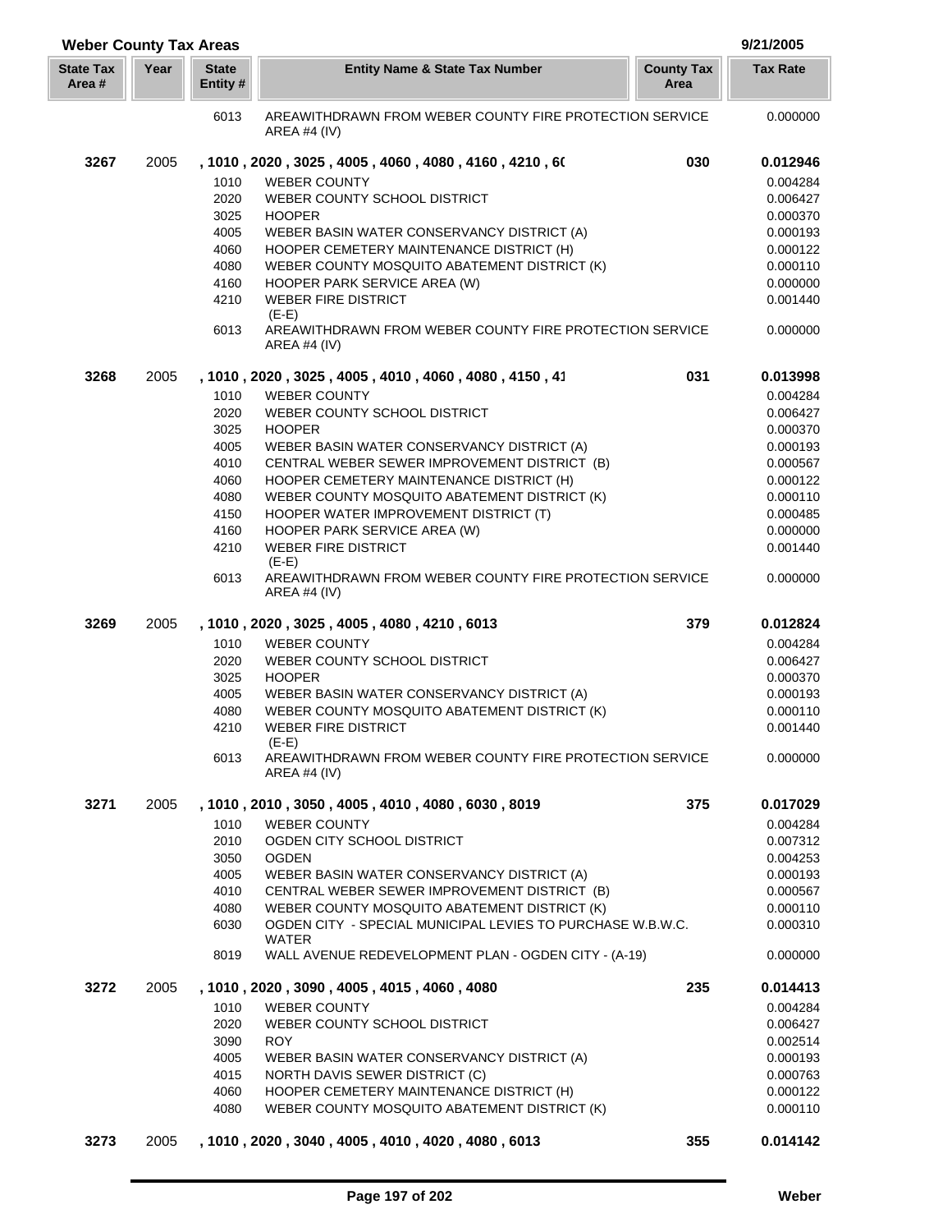| <b>Weber County Tax Areas</b> |      |                          |                                                                           |                           | 9/21/2005       |
|-------------------------------|------|--------------------------|---------------------------------------------------------------------------|---------------------------|-----------------|
| <b>State Tax</b><br>Area #    | Year | <b>State</b><br>Entity # | <b>Entity Name &amp; State Tax Number</b>                                 | <b>County Tax</b><br>Area | <b>Tax Rate</b> |
|                               |      | 6013                     | AREAWITHDRAWN FROM WEBER COUNTY FIRE PROTECTION SERVICE<br>AREA #4 $(IV)$ |                           | 0.000000        |
| 3267                          | 2005 |                          | , 1010, 2020, 3025, 4005, 4060, 4080, 4160, 4210, 60                      | 030                       | 0.012946        |
|                               |      | 1010                     | <b>WEBER COUNTY</b>                                                       |                           | 0.004284        |
|                               |      | 2020                     | WEBER COUNTY SCHOOL DISTRICT                                              |                           | 0.006427        |
|                               |      | 3025                     | <b>HOOPER</b>                                                             |                           | 0.000370        |
|                               |      | 4005                     | WEBER BASIN WATER CONSERVANCY DISTRICT (A)                                |                           | 0.000193        |
|                               |      | 4060                     | HOOPER CEMETERY MAINTENANCE DISTRICT (H)                                  |                           | 0.000122        |
|                               |      | 4080                     | WEBER COUNTY MOSQUITO ABATEMENT DISTRICT (K)                              |                           | 0.000110        |
|                               |      | 4160                     | HOOPER PARK SERVICE AREA (W)                                              |                           | 0.000000        |
|                               |      | 4210                     | <b>WEBER FIRE DISTRICT</b>                                                |                           | 0.001440        |
|                               |      |                          | $(E-E)$                                                                   |                           |                 |
|                               |      | 6013                     | AREAWITHDRAWN FROM WEBER COUNTY FIRE PROTECTION SERVICE<br>AREA #4 (IV)   |                           | 0.000000        |
| 3268                          | 2005 |                          | , 1010, 2020, 3025, 4005, 4010, 4060, 4080, 4150, 41                      | 031                       | 0.013998        |
|                               |      | 1010                     | <b>WEBER COUNTY</b>                                                       |                           | 0.004284        |
|                               |      | 2020                     | WEBER COUNTY SCHOOL DISTRICT                                              |                           | 0.006427        |
|                               |      | 3025                     | <b>HOOPER</b>                                                             |                           | 0.000370        |
|                               |      | 4005                     | WEBER BASIN WATER CONSERVANCY DISTRICT (A)                                |                           | 0.000193        |
|                               |      | 4010                     | CENTRAL WEBER SEWER IMPROVEMENT DISTRICT (B)                              |                           | 0.000567        |
|                               |      | 4060                     | HOOPER CEMETERY MAINTENANCE DISTRICT (H)                                  |                           | 0.000122        |
|                               |      | 4080                     | WEBER COUNTY MOSQUITO ABATEMENT DISTRICT (K)                              |                           | 0.000110        |
|                               |      | 4150                     | HOOPER WATER IMPROVEMENT DISTRICT (T)                                     |                           | 0.000485        |
|                               |      | 4160                     | HOOPER PARK SERVICE AREA (W)                                              |                           | 0.000000        |
|                               |      | 4210                     | <b>WEBER FIRE DISTRICT</b>                                                |                           | 0.001440        |
|                               |      | 6013                     | $(E-E)$<br>AREAWITHDRAWN FROM WEBER COUNTY FIRE PROTECTION SERVICE        |                           | 0.000000        |
|                               |      |                          | AREA #4 (IV)                                                              |                           |                 |
| 3269                          | 2005 |                          | , 1010, 2020, 3025, 4005, 4080, 4210, 6013                                | 379                       | 0.012824        |
|                               |      | 1010                     | <b>WEBER COUNTY</b>                                                       |                           | 0.004284        |
|                               |      | 2020                     | WEBER COUNTY SCHOOL DISTRICT                                              |                           | 0.006427        |
|                               |      | 3025                     | <b>HOOPER</b>                                                             |                           | 0.000370        |
|                               |      | 4005                     | WEBER BASIN WATER CONSERVANCY DISTRICT (A)                                |                           | 0.000193        |
|                               |      | 4080                     | WEBER COUNTY MOSQUITO ABATEMENT DISTRICT (K)                              |                           | 0.000110        |
|                               |      | 4210                     | <b>WEBER FIRE DISTRICT</b>                                                |                           | 0.001440        |
|                               |      |                          | $(E-E)$                                                                   |                           |                 |
|                               |      | 6013                     | AREAWITHDRAWN FROM WEBER COUNTY FIRE PROTECTION SERVICE<br>AREA #4 (IV)   |                           | 0.000000        |
| 3271                          | 2005 |                          | , 1010 , 2010 , 3050 , 4005 , 4010 , 4080 , 6030 , 8019                   | 375                       | 0.017029        |
|                               |      | 1010                     | <b>WEBER COUNTY</b>                                                       |                           | 0.004284        |
|                               |      | 2010                     | OGDEN CITY SCHOOL DISTRICT                                                |                           | 0.007312        |
|                               |      | 3050                     | <b>OGDEN</b>                                                              |                           | 0.004253        |
|                               |      | 4005                     | WEBER BASIN WATER CONSERVANCY DISTRICT (A)                                |                           | 0.000193        |
|                               |      | 4010                     | CENTRAL WEBER SEWER IMPROVEMENT DISTRICT (B)                              |                           | 0.000567        |
|                               |      | 4080                     | WEBER COUNTY MOSQUITO ABATEMENT DISTRICT (K)                              |                           | 0.000110        |
|                               |      | 6030                     | OGDEN CITY - SPECIAL MUNICIPAL LEVIES TO PURCHASE W.B.W.C.                |                           | 0.000310        |
|                               |      | 8019                     | <b>WATER</b><br>WALL AVENUE REDEVELOPMENT PLAN - OGDEN CITY - (A-19)      |                           | 0.000000        |
| 3272                          | 2005 |                          | , 1010, 2020, 3090, 4005, 4015, 4060, 4080                                | 235                       | 0.014413        |
|                               |      | 1010                     | <b>WEBER COUNTY</b>                                                       |                           | 0.004284        |
|                               |      | 2020                     | WEBER COUNTY SCHOOL DISTRICT                                              |                           | 0.006427        |
|                               |      | 3090                     | <b>ROY</b>                                                                |                           | 0.002514        |
|                               |      | 4005                     | WEBER BASIN WATER CONSERVANCY DISTRICT (A)                                |                           | 0.000193        |
|                               |      | 4015                     | NORTH DAVIS SEWER DISTRICT (C)                                            |                           | 0.000763        |
|                               |      | 4060                     | HOOPER CEMETERY MAINTENANCE DISTRICT (H)                                  |                           | 0.000122        |
|                               |      | 4080                     | WEBER COUNTY MOSQUITO ABATEMENT DISTRICT (K)                              |                           | 0.000110        |
| 3273                          | 2005 |                          | , 1010, 2020, 3040, 4005, 4010, 4020, 4080, 6013                          | 355                       | 0.014142        |

I L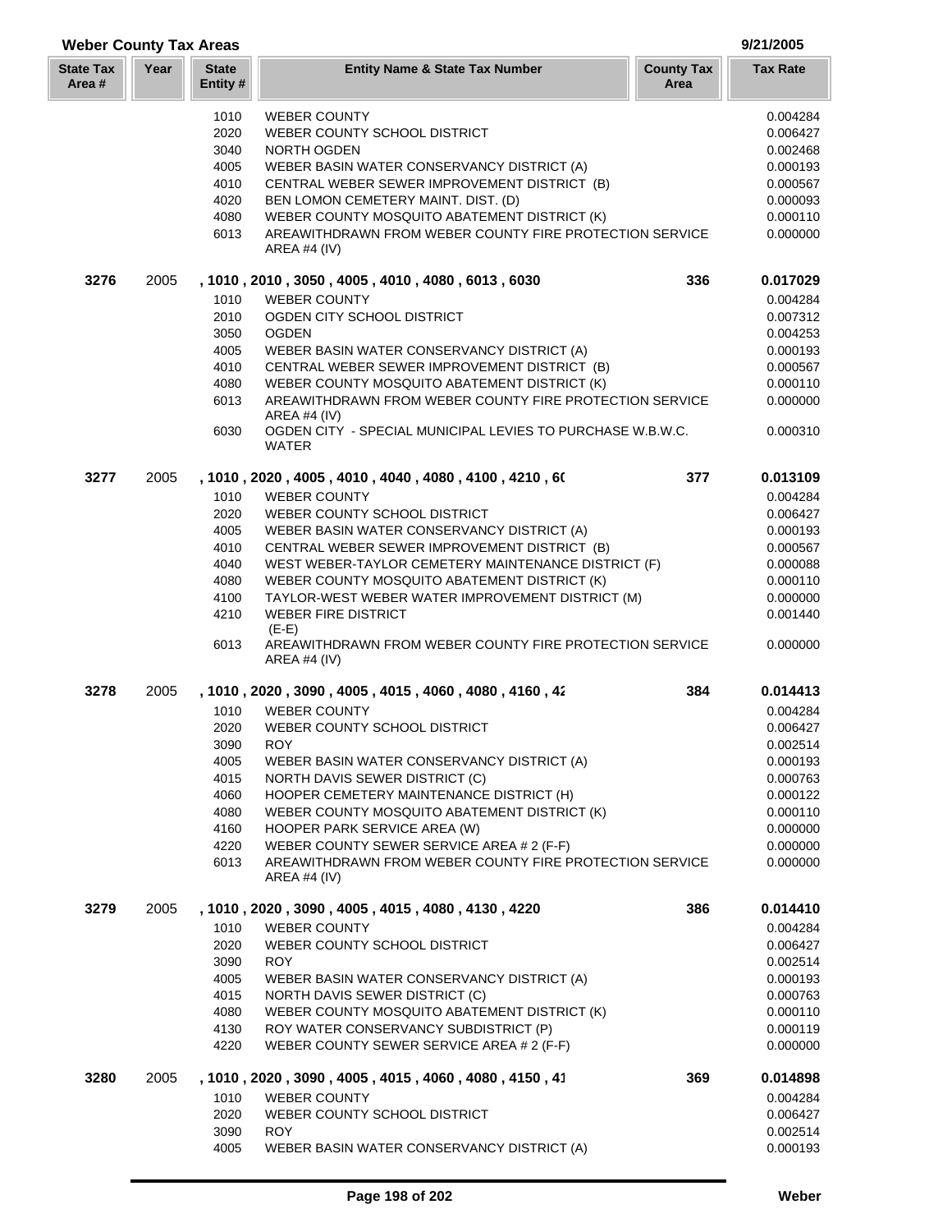| <b>Weber County Tax Areas</b> |      |                          |                                                                            | 9/21/2005       |
|-------------------------------|------|--------------------------|----------------------------------------------------------------------------|-----------------|
| <b>State Tax</b><br>Area #    | Year | <b>State</b><br>Entity # | <b>Entity Name &amp; State Tax Number</b><br><b>County Tax</b><br>Area     | <b>Tax Rate</b> |
|                               |      | 1010                     | <b>WEBER COUNTY</b>                                                        | 0.004284        |
|                               |      | 2020                     | WEBER COUNTY SCHOOL DISTRICT                                               | 0.006427        |
|                               |      | 3040                     | <b>NORTH OGDEN</b>                                                         | 0.002468        |
|                               |      | 4005                     | WEBER BASIN WATER CONSERVANCY DISTRICT (A)                                 | 0.000193        |
|                               |      | 4010                     | CENTRAL WEBER SEWER IMPROVEMENT DISTRICT (B)                               | 0.000567        |
|                               |      | 4020                     | BEN LOMON CEMETERY MAINT. DIST. (D)                                        | 0.000093        |
|                               |      | 4080                     | WEBER COUNTY MOSQUITO ABATEMENT DISTRICT (K)                               | 0.000110        |
|                               |      | 6013                     | AREAWITHDRAWN FROM WEBER COUNTY FIRE PROTECTION SERVICE<br>AREA #4 $(IV)$  | 0.000000        |
| 3276                          | 2005 |                          | 336<br>, 1010 , 2010 , 3050 , 4005 , 4010 , 4080 , 6013 , 6030             | 0.017029        |
|                               |      | 1010                     | <b>WEBER COUNTY</b>                                                        | 0.004284        |
|                               |      | 2010                     | OGDEN CITY SCHOOL DISTRICT                                                 | 0.007312        |
|                               |      | 3050                     | <b>OGDEN</b>                                                               | 0.004253        |
|                               |      | 4005                     | WEBER BASIN WATER CONSERVANCY DISTRICT (A)                                 | 0.000193        |
|                               |      | 4010                     | CENTRAL WEBER SEWER IMPROVEMENT DISTRICT (B)                               | 0.000567        |
|                               |      | 4080                     | WEBER COUNTY MOSQUITO ABATEMENT DISTRICT (K)                               | 0.000110        |
|                               |      | 6013                     | AREAWITHDRAWN FROM WEBER COUNTY FIRE PROTECTION SERVICE<br>AREA #4 $(IV)$  | 0.000000        |
|                               |      | 6030                     | OGDEN CITY - SPECIAL MUNICIPAL LEVIES TO PURCHASE W.B.W.C.<br><b>WATER</b> | 0.000310        |

| 3277 | 2005 |      | , 1010, 2020, 4005, 4010, 4040, 4080, 4100, 4210, 60                      | 377 | 0.013109 |
|------|------|------|---------------------------------------------------------------------------|-----|----------|
|      |      | 1010 | <b>WEBER COUNTY</b>                                                       |     | 0.004284 |
|      |      | 2020 | WEBER COUNTY SCHOOL DISTRICT                                              |     | 0.006427 |
|      |      | 4005 | WEBER BASIN WATER CONSERVANCY DISTRICT (A)                                |     | 0.000193 |
|      |      | 4010 | CENTRAL WEBER SEWER IMPROVEMENT DISTRICT (B)                              |     | 0.000567 |
|      |      | 4040 | WEST WEBER-TAYLOR CEMETERY MAINTENANCE DISTRICT (F)                       |     | 0.000088 |
|      |      | 4080 | WEBER COUNTY MOSQUITO ABATEMENT DISTRICT (K)                              |     | 0.000110 |
|      |      | 4100 | TAYLOR-WEST WEBER WATER IMPROVEMENT DISTRICT (M)                          |     | 0.000000 |
|      |      | 4210 | <b>WEBER FIRE DISTRICT</b><br>$(E-E)$                                     |     | 0.001440 |
|      |      | 6013 | AREAWITHDRAWN FROM WEBER COUNTY FIRE PROTECTION SERVICE<br>AREA #4 $(IV)$ |     | 0.000000 |

| 3278 | 2005 |      | , 1010 , 2020 , 3090 , 4005 , 4015 , 4060 , 4080 , 4160 , 42            | 384 | 0.014413 |
|------|------|------|-------------------------------------------------------------------------|-----|----------|
|      |      | 1010 | <b>WEBER COUNTY</b>                                                     |     | 0.004284 |
|      |      | 2020 | WEBER COUNTY SCHOOL DISTRICT                                            |     | 0.006427 |
|      |      | 3090 | <b>ROY</b>                                                              |     | 0.002514 |
|      |      | 4005 | WEBER BASIN WATER CONSERVANCY DISTRICT (A)                              |     | 0.000193 |
|      |      | 4015 | NORTH DAVIS SEWER DISTRICT (C)                                          |     | 0.000763 |
|      |      | 4060 | HOOPER CEMETERY MAINTENANCE DISTRICT (H)                                |     | 0.000122 |
|      |      | 4080 | WEBER COUNTY MOSQUITO ABATEMENT DISTRICT (K)                            |     | 0.000110 |
|      |      | 4160 | HOOPER PARK SERVICE AREA (W)                                            |     | 0.000000 |
|      |      | 4220 | WEBER COUNTY SEWER SERVICE AREA # 2 (F-F)                               |     | 0.000000 |
|      |      | 6013 | AREAWITHDRAWN FROM WEBER COUNTY FIRE PROTECTION SERVICE<br>AREA #4 (IV) |     | 0.000000 |
| 3279 | 2005 |      | , 1010, 2020, 3090, 4005, 4015, 4080, 4130, 4220                        | 386 | 0.014410 |
|      |      | 1010 | <b>WEBER COUNTY</b>                                                     |     | 0.004284 |
|      |      | 2020 | WEBER COUNTY SCHOOL DISTRICT                                            |     | 0.006427 |
|      |      | 3090 | <b>ROY</b>                                                              |     | 0.002514 |
|      |      | 4005 | WEBER BASIN WATER CONSERVANCY DISTRICT (A)                              |     | 0.000193 |
|      |      | 4015 | NORTH DAVIS SEWER DISTRICT (C)                                          |     | 0.000763 |
|      |      | 4080 | WEBER COUNTY MOSQUITO ABATEMENT DISTRICT (K)                            |     | 0.000110 |
|      |      | 4130 | ROY WATER CONSERVANCY SUBDISTRICT (P)                                   |     | 0.000119 |
|      |      | 4220 | WEBER COUNTY SEWER SERVICE AREA # 2 (F-F)                               |     | 0.000000 |
| 3280 | 2005 |      | , 1010 , 2020 , 3090 , 4005 , 4015 , 4060 , 4080 , 4150 , 41            | 369 | 0.014898 |
|      |      | 1010 | <b>WEBER COUNTY</b>                                                     |     | 0.004284 |
|      |      | 2020 | WEBER COUNTY SCHOOL DISTRICT                                            |     | 0.006427 |

## ROY 0.002514 4005 WEBER BASIN WATER CONSERVANCY DISTRICT (A) 0.000193

**State Tax Area #**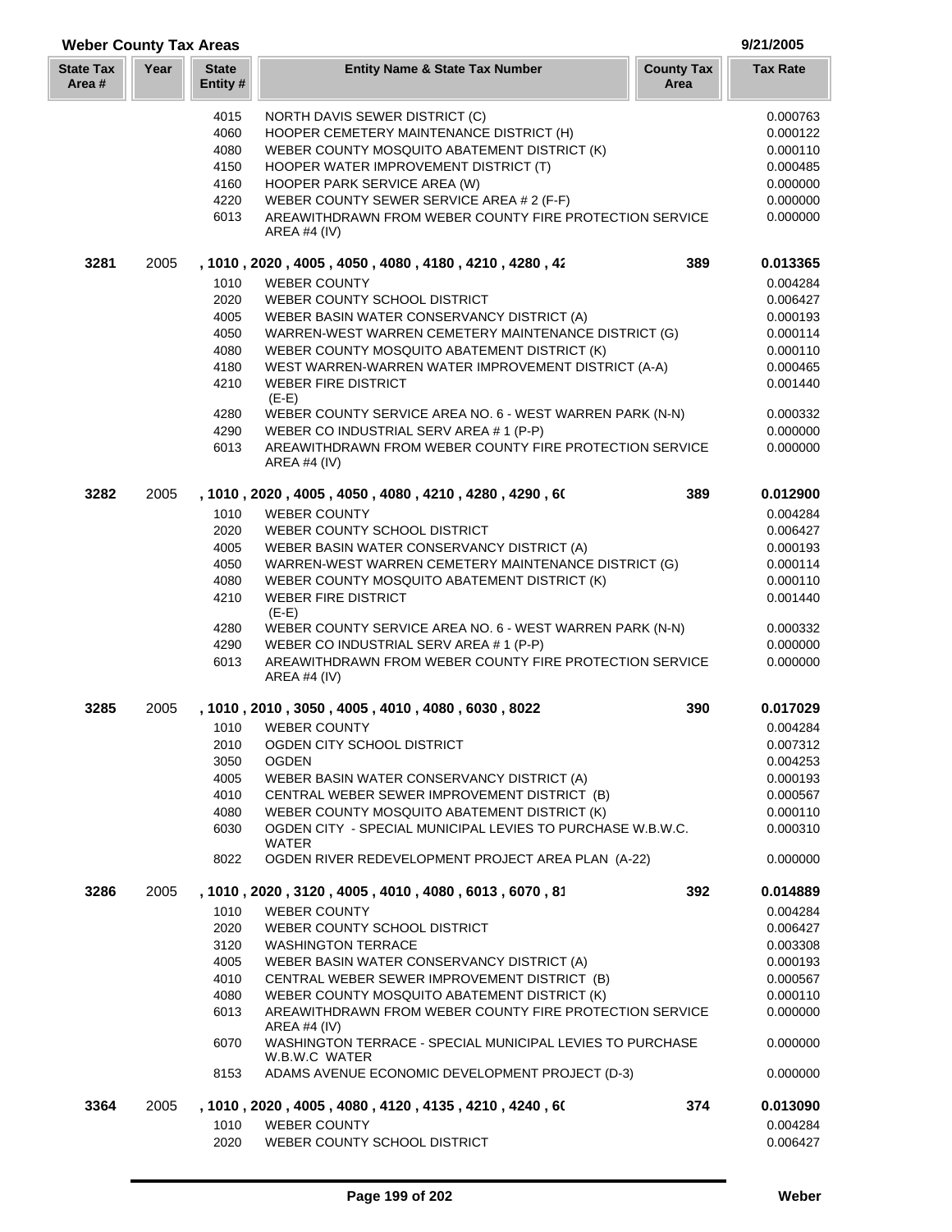| <b>Weber County Tax Areas</b> |      |                          |                                                                                | 9/21/2005                 |                      |
|-------------------------------|------|--------------------------|--------------------------------------------------------------------------------|---------------------------|----------------------|
| <b>State Tax</b><br>Area #    | Year | <b>State</b><br>Entity # | <b>Entity Name &amp; State Tax Number</b>                                      | <b>County Tax</b><br>Area | <b>Tax Rate</b>      |
|                               |      | 4015                     | NORTH DAVIS SEWER DISTRICT (C)                                                 |                           | 0.000763             |
|                               |      | 4060                     | HOOPER CEMETERY MAINTENANCE DISTRICT (H)                                       |                           | 0.000122             |
|                               |      | 4080                     | WEBER COUNTY MOSQUITO ABATEMENT DISTRICT (K)                                   |                           | 0.000110             |
|                               |      | 4150                     | HOOPER WATER IMPROVEMENT DISTRICT (T)                                          |                           | 0.000485             |
|                               |      | 4160                     | HOOPER PARK SERVICE AREA (W)                                                   |                           | 0.000000             |
|                               |      | 4220                     | WEBER COUNTY SEWER SERVICE AREA # 2 (F-F)                                      |                           | 0.000000             |
|                               |      | 6013                     | AREAWITHDRAWN FROM WEBER COUNTY FIRE PROTECTION SERVICE<br>AREA #4 (IV)        |                           | 0.000000             |
| 3281                          | 2005 |                          | , 1010 , 2020 , 4005 , 4050 , 4080 , 4180 , 4210 , 4280 , 42                   | 389                       | 0.013365             |
|                               |      | 1010                     | <b>WEBER COUNTY</b>                                                            |                           | 0.004284             |
|                               |      | 2020                     | WEBER COUNTY SCHOOL DISTRICT                                                   |                           | 0.006427             |
|                               |      | 4005                     | WEBER BASIN WATER CONSERVANCY DISTRICT (A)                                     |                           | 0.000193             |
|                               |      | 4050                     | WARREN-WEST WARREN CEMETERY MAINTENANCE DISTRICT (G)                           |                           | 0.000114             |
|                               |      | 4080                     | WEBER COUNTY MOSQUITO ABATEMENT DISTRICT (K)                                   |                           | 0.000110             |
|                               |      | 4180                     | WEST WARREN-WARREN WATER IMPROVEMENT DISTRICT (A-A)                            |                           | 0.000465             |
|                               |      | 4210                     | <b>WEBER FIRE DISTRICT</b><br>$(E-E)$                                          |                           | 0.001440             |
|                               |      | 4280                     | WEBER COUNTY SERVICE AREA NO. 6 - WEST WARREN PARK (N-N)                       |                           | 0.000332             |
|                               |      | 4290                     | WEBER CO INDUSTRIAL SERV AREA # 1 (P-P)                                        |                           | 0.000000             |
|                               |      | 6013                     | AREAWITHDRAWN FROM WEBER COUNTY FIRE PROTECTION SERVICE<br><b>AREA #4 (IV)</b> |                           | 0.000000             |
| 3282                          | 2005 |                          | , 1010 , 2020 , 4005 , 4050 , 4080 , 4210 , 4280 , 4290 , 60                   | 389                       | 0.012900             |
|                               |      | 1010                     | <b>WEBER COUNTY</b>                                                            |                           | 0.004284             |
|                               |      | 2020                     | WEBER COUNTY SCHOOL DISTRICT                                                   |                           | 0.006427             |
|                               |      | 4005                     | WEBER BASIN WATER CONSERVANCY DISTRICT (A)                                     |                           | 0.000193             |
|                               |      | 4050                     | WARREN-WEST WARREN CEMETERY MAINTENANCE DISTRICT (G)                           |                           | 0.000114             |
|                               |      | 4080                     | WEBER COUNTY MOSQUITO ABATEMENT DISTRICT (K)                                   |                           | 0.000110             |
|                               |      | 4210                     | <b>WEBER FIRE DISTRICT</b><br>$(E-E)$                                          |                           | 0.001440             |
|                               |      | 4280                     | WEBER COUNTY SERVICE AREA NO. 6 - WEST WARREN PARK (N-N)                       |                           | 0.000332             |
|                               |      | 4290                     | WEBER CO INDUSTRIAL SERV AREA # 1 (P-P)                                        |                           | 0.000000             |
|                               |      | 6013                     | AREAWITHDRAWN FROM WEBER COUNTY FIRE PROTECTION SERVICE<br><b>AREA #4 (IV)</b> |                           | 0.000000             |
| 3285                          | 2005 |                          | , 1010, 2010, 3050, 4005, 4010, 4080, 6030, 8022                               | 390                       | 0.017029             |
|                               |      |                          | 1010 WEBER COUNTY                                                              |                           | 0.004284             |
|                               |      | 2010                     | OGDEN CITY SCHOOL DISTRICT                                                     |                           | 0.007312             |
|                               |      | 3050                     | <b>OGDEN</b>                                                                   |                           | 0.004253             |
|                               |      | 4005                     | WEBER BASIN WATER CONSERVANCY DISTRICT (A)                                     |                           | 0.000193             |
|                               |      | 4010                     | CENTRAL WEBER SEWER IMPROVEMENT DISTRICT (B)                                   |                           | 0.000567             |
|                               |      | 4080                     | WEBER COUNTY MOSQUITO ABATEMENT DISTRICT (K)                                   |                           | 0.000110             |
|                               |      | 6030                     | OGDEN CITY - SPECIAL MUNICIPAL LEVIES TO PURCHASE W.B.W.C.<br><b>WATER</b>     |                           | 0.000310             |
|                               |      | 8022                     | OGDEN RIVER REDEVELOPMENT PROJECT AREA PLAN (A-22)                             |                           | 0.000000             |
| 3286                          | 2005 | 1010                     | , 1010, 2020, 3120, 4005, 4010, 4080, 6013, 6070, 81<br><b>WEBER COUNTY</b>    | 392                       | 0.014889<br>0.004284 |
|                               |      | 2020                     | WEBER COUNTY SCHOOL DISTRICT                                                   |                           | 0.006427             |
|                               |      | 3120                     | <b>WASHINGTON TERRACE</b>                                                      |                           | 0.003308             |
|                               |      | 4005                     | WEBER BASIN WATER CONSERVANCY DISTRICT (A)                                     |                           | 0.000193             |
|                               |      | 4010                     | CENTRAL WEBER SEWER IMPROVEMENT DISTRICT (B)                                   |                           | 0.000567             |
|                               |      | 4080                     | WEBER COUNTY MOSQUITO ABATEMENT DISTRICT (K)                                   |                           | 0.000110             |
|                               |      | 6013                     | AREAWITHDRAWN FROM WEBER COUNTY FIRE PROTECTION SERVICE<br>AREA #4 $(IV)$      |                           | 0.000000             |
|                               |      | 6070                     | WASHINGTON TERRACE - SPECIAL MUNICIPAL LEVIES TO PURCHASE<br>W.B.W.C WATER     |                           | 0.000000             |
|                               |      | 8153                     | ADAMS AVENUE ECONOMIC DEVELOPMENT PROJECT (D-3)                                |                           | 0.000000             |
| 3364                          | 2005 |                          | , 1010 , 2020 , 4005 , 4080 , 4120 , 4135 , 4210 , 4240 , 60                   | 374                       | 0.013090             |
|                               |      | 1010<br>2020             | <b>WEBER COUNTY</b>                                                            |                           | 0.004284             |
|                               |      |                          | WEBER COUNTY SCHOOL DISTRICT                                                   |                           | 0.006427             |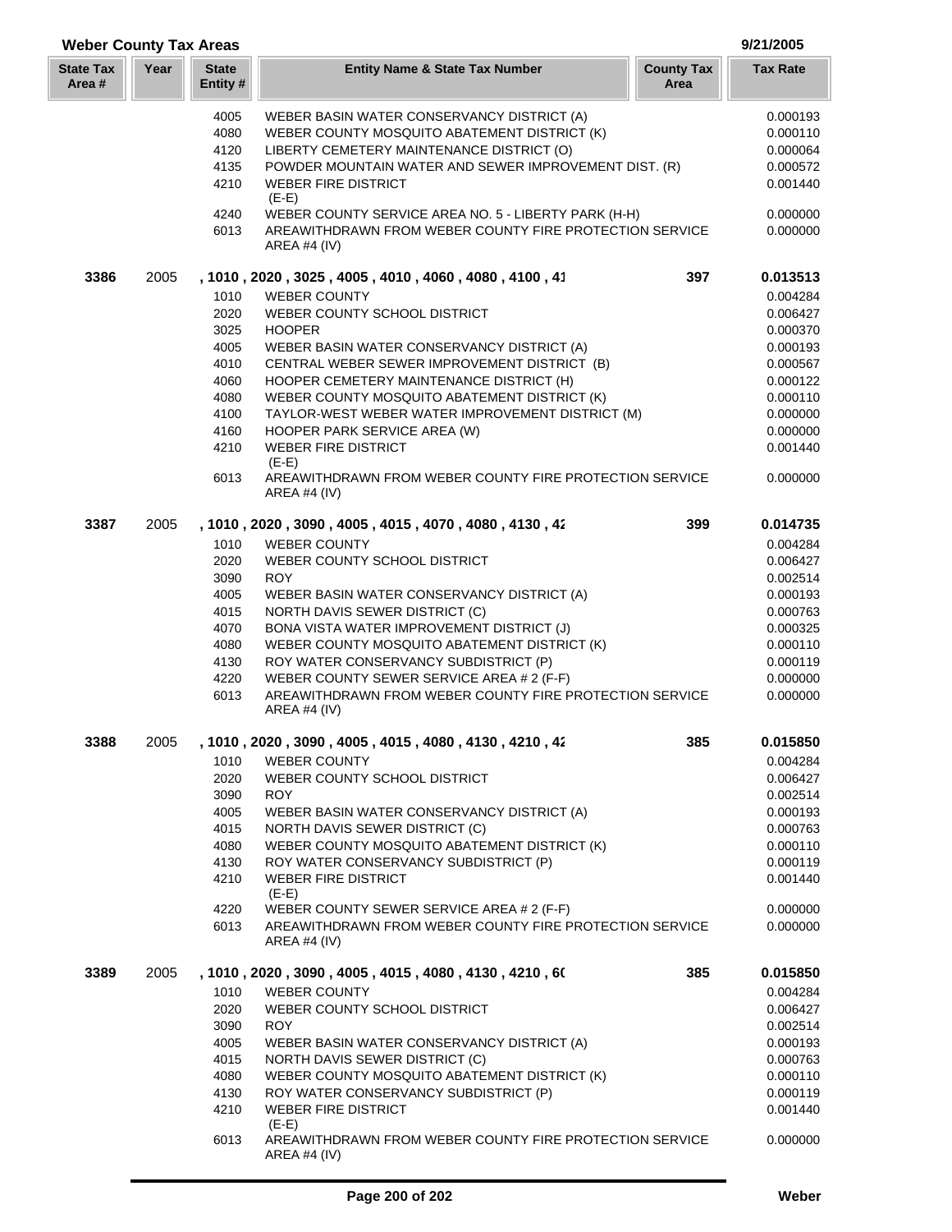| <b>Weber County Tax Areas</b> |      |                          |                                                                                           |                           | 9/21/2005            |
|-------------------------------|------|--------------------------|-------------------------------------------------------------------------------------------|---------------------------|----------------------|
| <b>State Tax</b><br>Area #    | Year | <b>State</b><br>Entity # | <b>Entity Name &amp; State Tax Number</b>                                                 | <b>County Tax</b><br>Area | <b>Tax Rate</b>      |
|                               |      |                          |                                                                                           |                           |                      |
|                               |      | 4005                     | WEBER BASIN WATER CONSERVANCY DISTRICT (A)                                                |                           | 0.000193             |
|                               |      | 4080<br>4120             | WEBER COUNTY MOSQUITO ABATEMENT DISTRICT (K)<br>LIBERTY CEMETERY MAINTENANCE DISTRICT (O) |                           | 0.000110<br>0.000064 |
|                               |      | 4135                     | POWDER MOUNTAIN WATER AND SEWER IMPROVEMENT DIST. (R)                                     |                           | 0.000572             |
|                               |      | 4210                     | <b>WEBER FIRE DISTRICT</b>                                                                |                           | 0.001440             |
|                               |      |                          | $(E-E)$                                                                                   |                           |                      |
|                               |      | 4240                     | WEBER COUNTY SERVICE AREA NO. 5 - LIBERTY PARK (H-H)                                      |                           | 0.000000             |
|                               |      | 6013                     | AREAWITHDRAWN FROM WEBER COUNTY FIRE PROTECTION SERVICE<br>AREA #4 $(IV)$                 |                           | 0.000000             |
| 3386                          | 2005 |                          | , 1010, 2020, 3025, 4005, 4010, 4060, 4080, 4100, 41                                      | 397                       | 0.013513             |
|                               |      | 1010                     | <b>WEBER COUNTY</b>                                                                       |                           | 0.004284             |
|                               |      | 2020                     | WEBER COUNTY SCHOOL DISTRICT                                                              |                           | 0.006427             |
|                               |      | 3025                     | <b>HOOPER</b>                                                                             |                           | 0.000370             |
|                               |      | 4005                     | WEBER BASIN WATER CONSERVANCY DISTRICT (A)                                                |                           | 0.000193             |
|                               |      | 4010                     | CENTRAL WEBER SEWER IMPROVEMENT DISTRICT (B)                                              |                           | 0.000567             |
|                               |      | 4060                     | HOOPER CEMETERY MAINTENANCE DISTRICT (H)                                                  |                           | 0.000122             |
|                               |      | 4080                     | WEBER COUNTY MOSQUITO ABATEMENT DISTRICT (K)                                              |                           | 0.000110             |
|                               |      | 4100<br>4160             | TAYLOR-WEST WEBER WATER IMPROVEMENT DISTRICT (M)                                          |                           | 0.000000             |
|                               |      | 4210                     | HOOPER PARK SERVICE AREA (W)<br><b>WEBER FIRE DISTRICT</b>                                |                           | 0.000000<br>0.001440 |
|                               |      |                          | $(E-E)$                                                                                   |                           |                      |
|                               |      | 6013                     | AREAWITHDRAWN FROM WEBER COUNTY FIRE PROTECTION SERVICE<br>AREA #4 $(IV)$                 |                           | 0.000000             |
| 3387                          | 2005 |                          | , 1010, 2020, 3090, 4005, 4015, 4070, 4080, 4130, 42                                      | 399                       | 0.014735             |
|                               |      | 1010                     | <b>WEBER COUNTY</b>                                                                       |                           | 0.004284             |
|                               |      | 2020                     | WEBER COUNTY SCHOOL DISTRICT                                                              |                           | 0.006427             |
|                               |      | 3090                     | <b>ROY</b>                                                                                |                           | 0.002514             |
|                               |      | 4005                     | WEBER BASIN WATER CONSERVANCY DISTRICT (A)                                                |                           | 0.000193             |
|                               |      | 4015                     | NORTH DAVIS SEWER DISTRICT (C)                                                            |                           | 0.000763             |
|                               |      | 4070                     | BONA VISTA WATER IMPROVEMENT DISTRICT (J)                                                 |                           | 0.000325             |
|                               |      | 4080<br>4130             | WEBER COUNTY MOSQUITO ABATEMENT DISTRICT (K)<br>ROY WATER CONSERVANCY SUBDISTRICT (P)     |                           | 0.000110<br>0.000119 |
|                               |      | 4220                     | WEBER COUNTY SEWER SERVICE AREA # 2 (F-F)                                                 |                           | 0.000000             |
|                               |      | 6013                     | AREAWITHDRAWN FROM WEBER COUNTY FIRE PROTECTION SERVICE<br><b>AREA #4 (IV)</b>            |                           | 0.000000             |
| 3388                          | 2005 |                          | , 1010 , 2020 , 3090 , 4005 , 4015 , 4080 , 4130 , 4210 , 42                              | 385                       | 0.015850             |
|                               |      | 1010                     | <b>WEBER COUNTY</b>                                                                       |                           | 0.004284             |
|                               |      | 2020                     | WEBER COUNTY SCHOOL DISTRICT                                                              |                           | 0.006427             |
|                               |      | 3090                     | <b>ROY</b>                                                                                |                           | 0.002514             |
|                               |      | 4005                     | WEBER BASIN WATER CONSERVANCY DISTRICT (A)                                                |                           | 0.000193             |
|                               |      | 4015                     | NORTH DAVIS SEWER DISTRICT (C)                                                            |                           | 0.000763             |
|                               |      | 4080                     | WEBER COUNTY MOSQUITO ABATEMENT DISTRICT (K)                                              |                           | 0.000110             |
|                               |      | 4130                     | ROY WATER CONSERVANCY SUBDISTRICT (P)                                                     |                           | 0.000119             |
|                               |      | 4210                     | <b>WEBER FIRE DISTRICT</b><br>$(E-E)$                                                     |                           | 0.001440             |
|                               |      | 4220                     | WEBER COUNTY SEWER SERVICE AREA # 2 (F-F)                                                 |                           | 0.000000             |
|                               |      | 6013                     | AREAWITHDRAWN FROM WEBER COUNTY FIRE PROTECTION SERVICE<br>AREA #4 $(IV)$                 |                           | 0.000000             |
| 3389                          | 2005 |                          | , 1010 , 2020 , 3090 , 4005 , 4015 , 4080 , 4130 , 4210 , 60                              | 385                       | 0.015850             |
|                               |      | 1010                     | <b>WEBER COUNTY</b>                                                                       |                           | 0.004284             |
|                               |      | 2020                     | WEBER COUNTY SCHOOL DISTRICT                                                              |                           | 0.006427             |
|                               |      | 3090                     | <b>ROY</b>                                                                                |                           | 0.002514             |
|                               |      | 4005                     | WEBER BASIN WATER CONSERVANCY DISTRICT (A)                                                |                           | 0.000193             |
|                               |      | 4015<br>4080             | NORTH DAVIS SEWER DISTRICT (C)<br>WEBER COUNTY MOSQUITO ABATEMENT DISTRICT (K)            |                           | 0.000763<br>0.000110 |
|                               |      | 4130                     | ROY WATER CONSERVANCY SUBDISTRICT (P)                                                     |                           | 0.000119             |
|                               |      | 4210                     | <b>WEBER FIRE DISTRICT</b>                                                                |                           | 0.001440             |
|                               |      |                          | $(E-E)$                                                                                   |                           |                      |
|                               |      | 6013                     | AREAWITHDRAWN FROM WEBER COUNTY FIRE PROTECTION SERVICE<br><b>AREA #4 (IV)</b>            |                           | 0.000000             |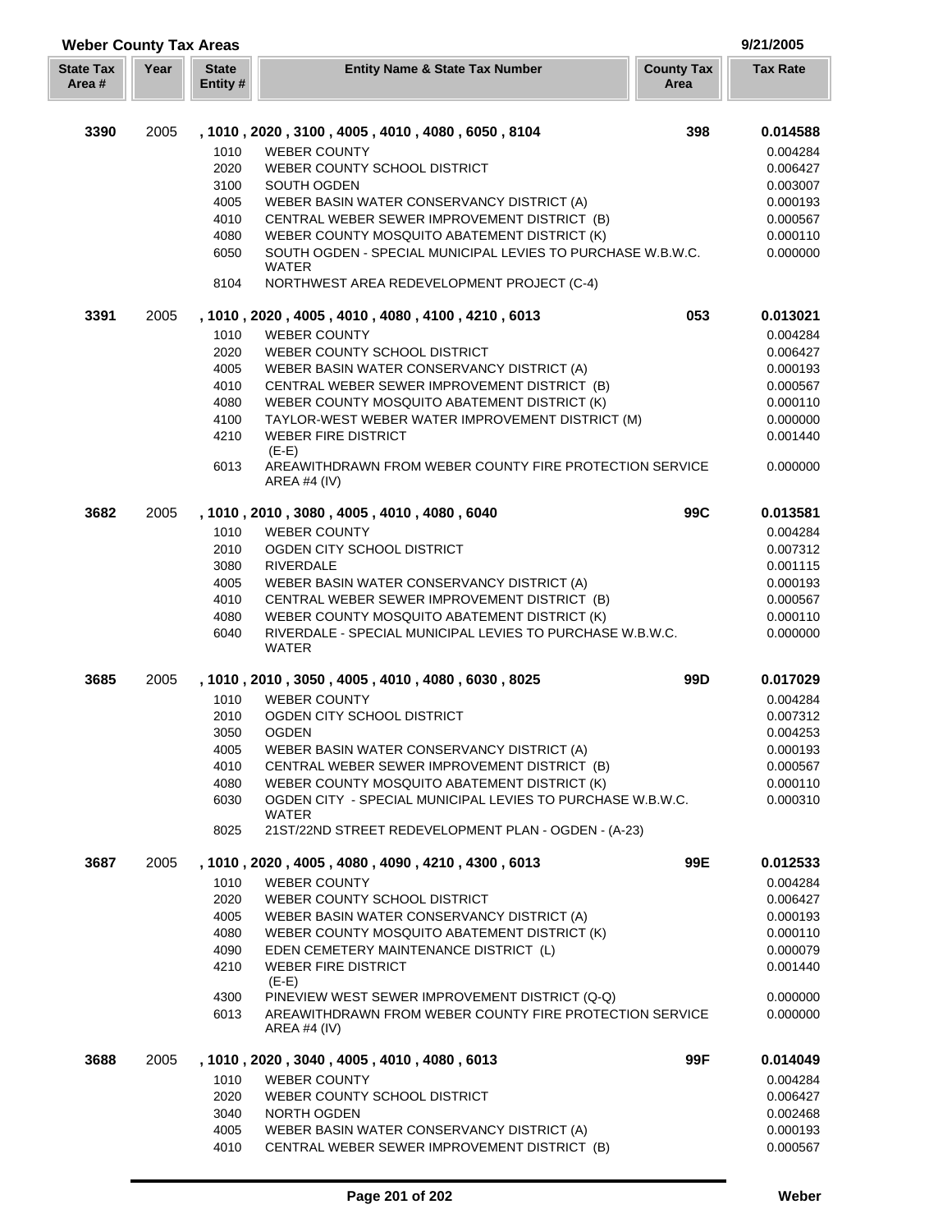| <b>Weber County Tax Areas</b> |      |                          | 9/21/2005                                                                                    |                           |                      |
|-------------------------------|------|--------------------------|----------------------------------------------------------------------------------------------|---------------------------|----------------------|
| <b>State Tax</b><br>Area#     | Year | <b>State</b><br>Entity # | <b>Entity Name &amp; State Tax Number</b>                                                    | <b>County Tax</b><br>Area | <b>Tax Rate</b>      |
| 3390                          | 2005 |                          | , 1010, 2020, 3100, 4005, 4010, 4080, 6050, 8104                                             | 398                       | 0.014588             |
|                               |      |                          | <b>WEBER COUNTY</b>                                                                          |                           |                      |
|                               |      | 1010<br>2020             | WEBER COUNTY SCHOOL DISTRICT                                                                 |                           | 0.004284<br>0.006427 |
|                               |      | 3100                     | SOUTH OGDEN                                                                                  |                           | 0.003007             |
|                               |      | 4005                     | WEBER BASIN WATER CONSERVANCY DISTRICT (A)                                                   |                           | 0.000193             |
|                               |      | 4010                     | CENTRAL WEBER SEWER IMPROVEMENT DISTRICT (B)                                                 |                           | 0.000567             |
|                               |      | 4080                     | WEBER COUNTY MOSQUITO ABATEMENT DISTRICT (K)                                                 |                           | 0.000110             |
|                               |      | 6050                     | SOUTH OGDEN - SPECIAL MUNICIPAL LEVIES TO PURCHASE W.B.W.C.                                  |                           | 0.000000             |
|                               |      | 8104                     | <b>WATER</b><br>NORTHWEST AREA REDEVELOPMENT PROJECT (C-4)                                   |                           |                      |
| 3391                          | 2005 |                          | , 1010, 2020, 4005, 4010, 4080, 4100, 4210, 6013                                             | 053                       | 0.013021             |
|                               |      | 1010                     | <b>WEBER COUNTY</b>                                                                          |                           | 0.004284             |
|                               |      | 2020                     | WEBER COUNTY SCHOOL DISTRICT                                                                 |                           | 0.006427             |
|                               |      | 4005                     | WEBER BASIN WATER CONSERVANCY DISTRICT (A)                                                   |                           | 0.000193             |
|                               |      | 4010                     | CENTRAL WEBER SEWER IMPROVEMENT DISTRICT (B)                                                 |                           | 0.000567             |
|                               |      | 4080                     | WEBER COUNTY MOSQUITO ABATEMENT DISTRICT (K)                                                 |                           | 0.000110             |
|                               |      | 4100                     | TAYLOR-WEST WEBER WATER IMPROVEMENT DISTRICT (M)                                             |                           | 0.000000             |
|                               |      | 4210                     | <b>WEBER FIRE DISTRICT</b><br>$(E-E)$                                                        |                           | 0.001440             |
|                               |      | 6013                     | AREAWITHDRAWN FROM WEBER COUNTY FIRE PROTECTION SERVICE<br><b>AREA #4 (IV)</b>               |                           | 0.000000             |
| 3682                          | 2005 |                          | , 1010, 2010, 3080, 4005, 4010, 4080, 6040                                                   | 99C                       | 0.013581             |
|                               |      | 1010                     | <b>WEBER COUNTY</b>                                                                          |                           | 0.004284             |
|                               |      | 2010                     | OGDEN CITY SCHOOL DISTRICT                                                                   |                           | 0.007312             |
|                               |      | 3080                     | <b>RIVERDALE</b>                                                                             |                           | 0.001115             |
|                               |      | 4005                     | WEBER BASIN WATER CONSERVANCY DISTRICT (A)                                                   |                           | 0.000193             |
|                               |      | 4010<br>4080             | CENTRAL WEBER SEWER IMPROVEMENT DISTRICT (B)<br>WEBER COUNTY MOSQUITO ABATEMENT DISTRICT (K) |                           | 0.000567<br>0.000110 |
|                               |      | 6040                     | RIVERDALE - SPECIAL MUNICIPAL LEVIES TO PURCHASE W.B.W.C.                                    |                           | 0.000000             |
|                               |      |                          | <b>WATER</b>                                                                                 |                           |                      |
| 3685                          | 2005 |                          | , 1010, 2010, 3050, 4005, 4010, 4080, 6030, 8025                                             | 99D                       | 0.017029             |
|                               |      | 1010                     | <b>WEBER COUNTY</b>                                                                          |                           | 0.004284             |
|                               |      | 2010                     | OGDEN CITY SCHOOL DISTRICT                                                                   |                           | 0.007312             |
|                               |      | 3050                     | <b>OGDEN</b>                                                                                 |                           | 0.004253             |
|                               |      | 4005                     | WEBER BASIN WATER CONSERVANCY DISTRICT (A)                                                   |                           | 0.000193             |
|                               |      | 4010<br>4080             | CENTRAL WEBER SEWER IMPROVEMENT DISTRICT (B)<br>WEBER COUNTY MOSQUITO ABATEMENT DISTRICT (K) |                           | 0.000567<br>0.000110 |
|                               |      | 6030                     | OGDEN CITY - SPECIAL MUNICIPAL LEVIES TO PURCHASE W.B.W.C.                                   |                           | 0.000310             |
|                               |      |                          | <b>WATER</b>                                                                                 |                           |                      |
|                               |      | 8025                     | 21ST/22ND STREET REDEVELOPMENT PLAN - OGDEN - (A-23)                                         |                           |                      |
| 3687                          | 2005 |                          | , 1010, 2020, 4005, 4080, 4090, 4210, 4300, 6013                                             | 99E                       | 0.012533             |
|                               |      | 1010                     | <b>WEBER COUNTY</b>                                                                          |                           | 0.004284             |
|                               |      | 2020                     | WEBER COUNTY SCHOOL DISTRICT                                                                 |                           | 0.006427             |
|                               |      | 4005                     | WEBER BASIN WATER CONSERVANCY DISTRICT (A)                                                   |                           | 0.000193             |
|                               |      | 4080<br>4090             | WEBER COUNTY MOSQUITO ABATEMENT DISTRICT (K)<br>EDEN CEMETERY MAINTENANCE DISTRICT (L)       |                           | 0.000110<br>0.000079 |
|                               |      | 4210                     | <b>WEBER FIRE DISTRICT</b>                                                                   |                           | 0.001440             |
|                               |      |                          | $(E-E)$                                                                                      |                           |                      |
|                               |      | 4300                     | PINEVIEW WEST SEWER IMPROVEMENT DISTRICT (Q-Q)                                               |                           | 0.000000             |
|                               |      | 6013                     | AREAWITHDRAWN FROM WEBER COUNTY FIRE PROTECTION SERVICE<br>AREA #4 $(IV)$                    |                           | 0.000000             |
| 3688                          | 2005 |                          | , 1010, 2020, 3040, 4005, 4010, 4080, 6013                                                   | 99F                       | 0.014049             |
|                               |      | 1010                     | <b>WEBER COUNTY</b>                                                                          |                           | 0.004284             |
|                               |      | 2020                     | WEBER COUNTY SCHOOL DISTRICT                                                                 |                           | 0.006427             |
|                               |      | 3040                     | NORTH OGDEN                                                                                  |                           | 0.002468             |
|                               |      | 4005                     | WEBER BASIN WATER CONSERVANCY DISTRICT (A)                                                   |                           | 0.000193             |
|                               |      | 4010                     | CENTRAL WEBER SEWER IMPROVEMENT DISTRICT (B)                                                 |                           | 0.000567             |